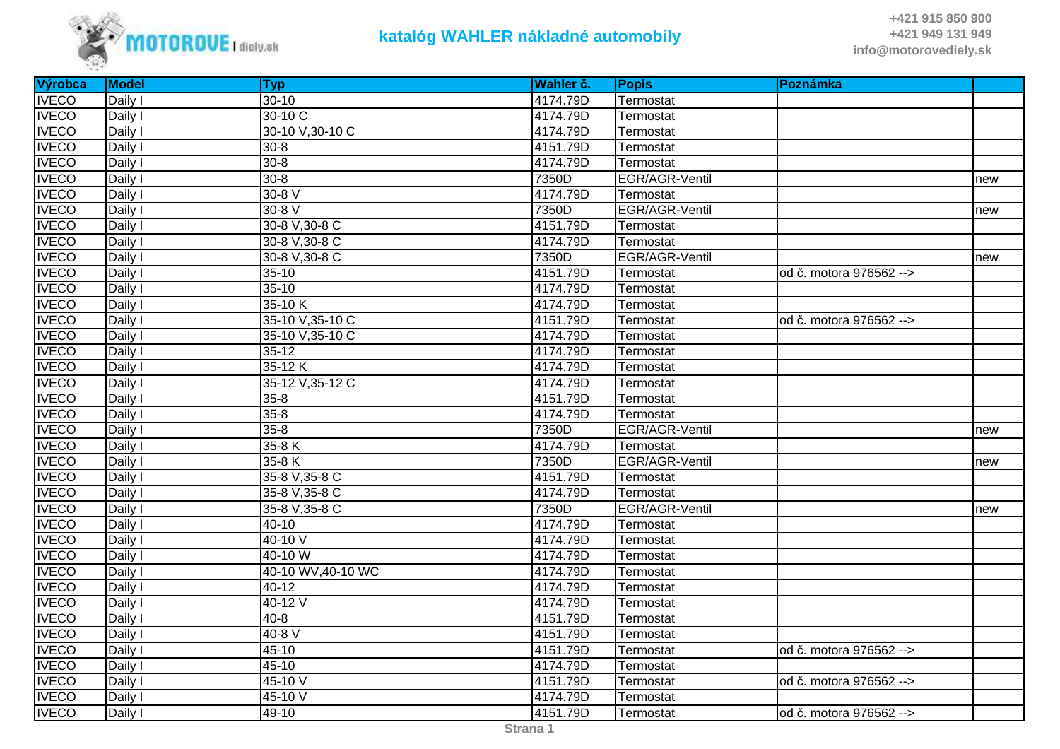

| Výrobca      | <b>Model</b> | <b>Typ</b>         | Wahler č. | <b>Popis</b>   | Poznámka                |     |
|--------------|--------------|--------------------|-----------|----------------|-------------------------|-----|
| <b>IVECO</b> | Daily I      | $30 - 10$          | 4174.79D  | Termostat      |                         |     |
| <b>IVECO</b> | Daily I      | 30-10 C            | 4174.79D  | Termostat      |                         |     |
| <b>IVECO</b> | Daily I      | 30-10 V, 30-10 C   | 4174.79D  | Termostat      |                         |     |
| <b>IVECO</b> | Daily I      | $30 - 8$           | 4151.79D  | Termostat      |                         |     |
| <b>IVECO</b> | Daily I      | $30 - 8$           | 4174.79D  | Termostat      |                         |     |
| <b>IVECO</b> | Daily I      | $30 - 8$           | 7350D     | EGR/AGR-Ventil |                         | new |
| <b>IVECO</b> | Daily I      | $30-8$ V           | 4174.79D  | Termostat      |                         |     |
| <b>IVECO</b> | Daily I      | 30-8 V             | 7350D     | EGR/AGR-Ventil |                         | new |
| <b>IVECO</b> | Daily I      | 30-8 V, 30-8 C     | 4151.79D  | Termostat      |                         |     |
| <b>IVECO</b> | Daily I      | 30-8 V, 30-8 C     | 4174.79D  | Termostat      |                         |     |
| <b>IVECO</b> | Daily I      | 30-8 V, 30-8 C     | 7350D     | EGR/AGR-Ventil |                         | new |
| <b>IVECO</b> | Daily I      | $35-10$            | 4151.79D  | Termostat      | od č. motora 976562 --> |     |
| <b>IVECO</b> | Daily I      | $35 - 10$          | 4174.79D  | Termostat      |                         |     |
| <b>IVECO</b> | Daily I      | $35-10K$           | 4174.79D  | Termostat      |                         |     |
| <b>IVECO</b> | Daily I      | 35-10 V, 35-10 C   | 4151.79D  | Termostat      | od č. motora 976562 --> |     |
| <b>IVECO</b> | Daily I      | 35-10 V, 35-10 C   | 4174.79D  | Termostat      |                         |     |
| <b>IVECO</b> | Daily I      | $35-12$            | 4174.79D  | Termostat      |                         |     |
| <b>IVECO</b> | Daily I      | 35-12K             | 4174.79D  | Termostat      |                         |     |
| <b>IVECO</b> | Daily I      | 35-12 V, 35-12 C   | 4174.79D  | Termostat      |                         |     |
| <b>IVECO</b> | Daily I      | $35 - 8$           | 4151.79D  | Termostat      |                         |     |
| <b>IVECO</b> | Daily I      | $35 - 8$           | 4174.79D  | Termostat      |                         |     |
| <b>IVECO</b> | Daily I      | $35 - 8$           | 7350D     | EGR/AGR-Ventil |                         | new |
| <b>IVECO</b> | Daily I      | $35-8K$            | 4174.79D  | Termostat      |                         |     |
| <b>IVECO</b> | Daily I      | $35-8K$            | 7350D     | EGR/AGR-Ventil |                         | new |
| <b>IVECO</b> | Daily I      | 35-8 V, 35-8 C     | 4151.79D  | Termostat      |                         |     |
| <b>IVECO</b> | Daily I      | 35-8 V, 35-8 C     | 4174.79D  | Termostat      |                         |     |
| <b>IVECO</b> | Daily I      | 35-8 V, 35-8 C     | 7350D     | EGR/AGR-Ventil |                         | new |
| <b>IVECO</b> | Daily I      | $40 - 10$          | 4174.79D  | Termostat      |                         |     |
| <b>IVECO</b> | Daily I      | 40-10 V            | 4174.79D  | Termostat      |                         |     |
| <b>IVECO</b> | Daily I      | 40-10 W            | 4174.79D  | Termostat      |                         |     |
| <b>IVECO</b> | Daily I      | 40-10 WV, 40-10 WC | 4174.79D  | Termostat      |                         |     |
| <b>IVECO</b> | Daily I      | $40 - 12$          | 4174.79D  | Termostat      |                         |     |
| <b>IVECO</b> | Daily I      | 40-12 $V$          | 4174.79D  | Termostat      |                         |     |
| <b>IVECO</b> | Daily I      | $40 - 8$           | 4151.79D  | Termostat      |                         |     |
| <b>IVECO</b> | Daily I      | $40-8$ V           | 4151.79D  | Termostat      |                         |     |
| <b>IVECO</b> | Daily I      | $45 - 10$          | 4151.79D  | Termostat      | od č. motora 976562 --> |     |
| <b>IVECO</b> | Daily I      | $45 - 10$          | 4174.79D  | Termostat      |                         |     |
| <b>IVECO</b> | Daily I      | 45-10 V            | 4151.79D  | Termostat      | od č. motora 976562 --> |     |
| <b>IVECO</b> | Daily I      | 45-10 V            | 4174.79D  | Termostat      |                         |     |
| <b>IVECO</b> | Daily I      | 49-10              | 4151.79D  | Termostat      | od č. motora 976562 --> |     |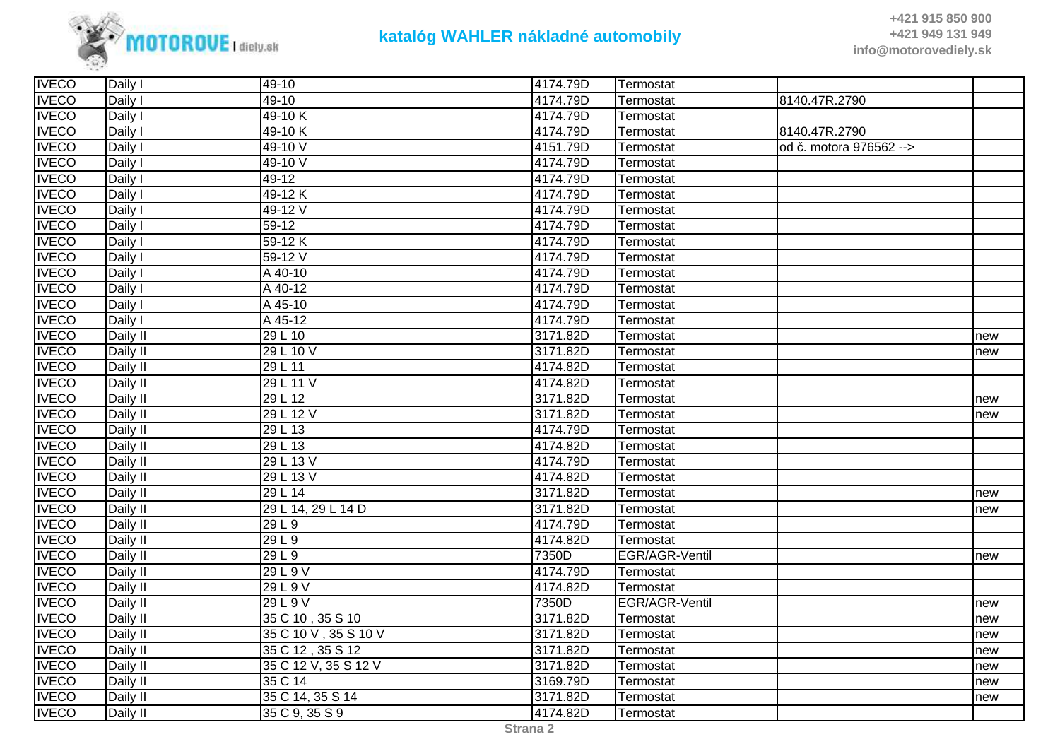

| <b>IVECO</b> | Daily I  | 49-10                 | 4174.79D | Termostat      |                         |     |
|--------------|----------|-----------------------|----------|----------------|-------------------------|-----|
| <b>IVECO</b> | Daily I  | 49-10                 | 4174.79D | Termostat      | 8140.47R.2790           |     |
| <b>IVECO</b> | Daily I  | 49-10K                | 4174.79D | Termostat      |                         |     |
| <b>IVECO</b> | Daily I  | 49-10K                | 4174.79D | Termostat      | 8140.47R.2790           |     |
| <b>IVECO</b> | Daily I  | 49-10 V               | 4151.79D | Termostat      | od č. motora 976562 --> |     |
| <b>IVECO</b> | Daily I  | 49-10 V               | 4174.79D | Termostat      |                         |     |
| <b>IVECO</b> | Daily I  | $49 - 12$             | 4174.79D | Termostat      |                         |     |
| <b>IVECO</b> | Daily I  | 49-12K                | 4174.79D | Termostat      |                         |     |
| <b>IVECO</b> | Daily I  | 49-12 V               | 4174.79D | Termostat      |                         |     |
| <b>IVECO</b> | Daily I  | 59-12                 | 4174.79D | Termostat      |                         |     |
| <b>IVECO</b> | Daily I  | 59-12K                | 4174.79D | Termostat      |                         |     |
| <b>IVECO</b> | Daily I  | 59-12 V               | 4174.79D | Termostat      |                         |     |
| <b>IVECO</b> | Daily I  | A 40-10               | 4174.79D | Termostat      |                         |     |
| <b>IVECO</b> | Daily I  | A 40-12               | 4174.79D | Termostat      |                         |     |
| <b>IVECO</b> | Daily I  | A 45-10               | 4174.79D | Termostat      |                         |     |
| <b>IVECO</b> | Daily I  | A 45-12               | 4174.79D | Termostat      |                         |     |
| <b>IVECO</b> | Daily II | 29 L 10               | 3171.82D | Termostat      |                         | new |
| <b>IVECO</b> | Daily II | 29 L 10 V             | 3171.82D | Termostat      |                         | new |
| <b>IVECO</b> | Daily II | 29 L 11               | 4174.82D | Termostat      |                         |     |
| <b>IVECO</b> | Daily II | 29 L 11 V             | 4174.82D | Termostat      |                         |     |
| <b>IVECO</b> | Daily II | 29 L 12               | 3171.82D | Termostat      |                         | new |
| <b>IVECO</b> | Daily II | 29 L 12 V             | 3171.82D | Termostat      |                         | new |
| <b>IVECO</b> | Daily II | 29 L 13               | 4174.79D | Termostat      |                         |     |
| <b>IVECO</b> | Daily II | 29 L 13               | 4174.82D | Termostat      |                         |     |
| <b>IVECO</b> | Daily II | 29 L 13 V             | 4174.79D | Termostat      |                         |     |
| <b>IVECO</b> | Daily II | 29 L 13 V             | 4174.82D | Termostat      |                         |     |
| <b>IVECO</b> | Daily II | 29 L 14               | 3171.82D | Termostat      |                         | new |
| <b>IVECO</b> | Daily II | 29 L 14, 29 L 14 D    | 3171.82D | Termostat      |                         | new |
| <b>IVECO</b> | Daily II | 29 L 9                | 4174.79D | Termostat      |                         |     |
| <b>IVECO</b> | Daily II | 29 L 9                | 4174.82D | Termostat      |                         |     |
| <b>IVECO</b> | Daily II | $\overline{29}$ L 9   | 7350D    | EGR/AGR-Ventil |                         | new |
| <b>IVECO</b> | Daily II | 29 L 9 V              | 4174.79D | Termostat      |                         |     |
| <b>IVECO</b> | Daily II | 29 L 9 V              | 4174.82D | Termostat      |                         |     |
| <b>IVECO</b> | Daily II | 29 L 9 V              | 7350D    | EGR/AGR-Ventil |                         | new |
| <b>IVECO</b> | Daily II | 35 C 10, 35 S 10      | 3171.82D | Termostat      |                         | new |
| <b>IVECO</b> | Daily II | 35 C 10 V , 35 S 10 V | 3171.82D | Termostat      |                         | new |
| <b>IVECO</b> | Daily II | 35 C 12, 35 S 12      | 3171.82D | Termostat      |                         | new |
| <b>IVECO</b> | Daily II | 35 C 12 V, 35 S 12 V  | 3171.82D | Termostat      |                         | new |
| <b>IVECO</b> | Daily II | 35 C 14               | 3169.79D | Termostat      |                         | new |
| <b>IVECO</b> | Daily II | 35 C 14, 35 S 14      | 3171.82D | Termostat      |                         | new |
| <b>IVECO</b> | Daily II | 35 C 9, 35 S 9        | 4174.82D | Termostat      |                         |     |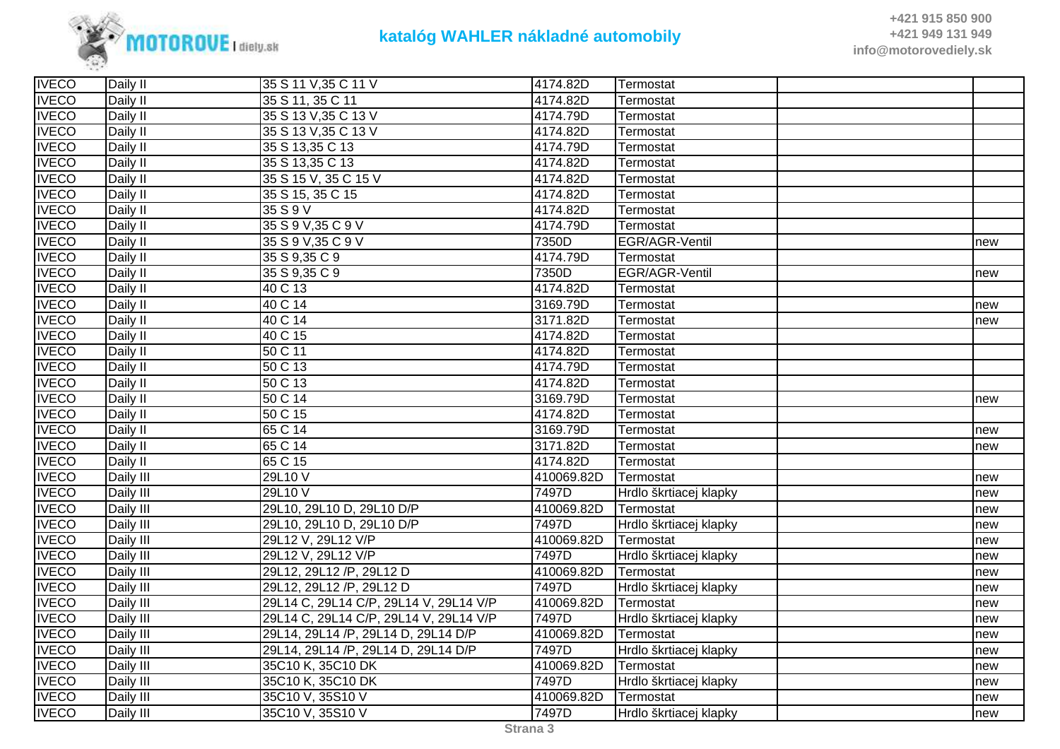

| <b>IVECO</b> | Daily II  | 35 S 11 V, 35 C 11 V                   | 4174.82D   | Termostat              |     |
|--------------|-----------|----------------------------------------|------------|------------------------|-----|
| <b>IVECO</b> | Daily II  | 35 S 11, 35 C 11                       | 4174.82D   | Termostat              |     |
| <b>IVECO</b> | Daily II  | 35 S 13 V, 35 C 13 V                   | 4174.79D   | Termostat              |     |
| <b>IVECO</b> | Daily II  | 35 S 13 V, 35 C 13 V                   | 4174.82D   | Termostat              |     |
| <b>IVECO</b> | Daily II  | 35 S 13,35 C 13                        | 4174.79D   | Termostat              |     |
| <b>IVECO</b> | Daily II  | 35 S 13,35 C 13                        | 4174.82D   | Termostat              |     |
| <b>IVECO</b> | Daily II  | 35 S 15 V, 35 C 15 V                   | 4174.82D   | Termostat              |     |
| <b>IVECO</b> | Daily II  | 35 S 15, 35 C 15                       | 4174.82D   | Termostat              |     |
| <b>IVECO</b> | Daily II  | 35 S 9 V                               | 4174.82D   | Termostat              |     |
| <b>IVECO</b> | Daily II  | 35 S 9 V, 35 C 9 V                     | 4174.79D   | Termostat              |     |
| <b>IVECO</b> | Daily II  | 35 S 9 V, 35 C 9 V                     | 7350D      | EGR/AGR-Ventil         | new |
| <b>IVECO</b> | Daily II  | 35 S 9,35 C 9                          | 4174.79D   | Termostat              |     |
| <b>IVECO</b> | Daily II  | 35 S 9,35 C 9                          | 7350D      | EGR/AGR-Ventil         | new |
| <b>IVECO</b> | Daily II  | 40 C 13                                | 4174.82D   | Termostat              |     |
| <b>IVECO</b> | Daily II  | 40 C 14                                | 3169.79D   | Termostat              | new |
| <b>IVECO</b> | Daily II  | 40 C 14                                | 3171.82D   | Termostat              | new |
| <b>IVECO</b> | Daily II  | 40 C 15                                | 4174.82D   | Termostat              |     |
| <b>IVECO</b> | Daily II  | 50 C 11                                | 4174.82D   | Termostat              |     |
| <b>IVECO</b> | Daily II  | 50 C 13                                | 4174.79D   | Termostat              |     |
| <b>IVECO</b> | Daily II  | 50 C 13                                | 4174.82D   | Termostat              |     |
| <b>IVECO</b> | Daily II  | 50 C 14                                | 3169.79D   | Termostat              | new |
| <b>IVECO</b> | Daily II  | 50 C 15                                | 4174.82D   | Termostat              |     |
| <b>IVECO</b> | Daily II  | 65 C 14                                | 3169.79D   | Termostat              | new |
| <b>IVECO</b> | Daily II  | 65 C 14                                | 3171.82D   | Termostat              | new |
| <b>IVECO</b> | Daily II  | 65 C 15                                | 4174.82D   | Termostat              |     |
| <b>IVECO</b> | Daily III | 29L10 V                                | 410069.82D | Termostat              | new |
| <b>IVECO</b> | Daily III | 29L10 V                                | 7497D      | Hrdlo škrtiacej klapky | new |
| <b>IVECO</b> | Daily III | 29L10, 29L10 D, 29L10 D/P              | 410069.82D | Termostat              | new |
| <b>IVECO</b> | Daily III | 29L10, 29L10 D, 29L10 D/P              | 7497D      | Hrdlo škrtiacej klapky | new |
| <b>IVECO</b> | Daily III | 29L12 V, 29L12 V/P                     | 410069.82D | Termostat              | new |
| <b>IVECO</b> | Daily III | 29L12 V, 29L12 V/P                     | 7497D      | Hrdlo škrtiacej klapky | new |
| <b>IVECO</b> | Daily III | 29L12, 29L12 /P, 29L12 D               | 410069.82D | Termostat              | new |
| <b>IVECO</b> | Daily III | 29L12, 29L12 /P, 29L12 D               | 7497D      | Hrdlo škrtiacej klapky | new |
| <b>IVECO</b> | Daily III | 29L14 C, 29L14 C/P, 29L14 V, 29L14 V/P | 410069.82D | Termostat              | new |
| <b>IVECO</b> | Daily III | 29L14 C, 29L14 C/P, 29L14 V, 29L14 V/P | 7497D      | Hrdlo škrtiacej klapky | new |
| <b>IVECO</b> | Daily III | 29L14, 29L14 /P, 29L14 D, 29L14 D/P    | 410069.82D | Termostat              | new |
| <b>IVECO</b> | Daily III | 29L14, 29L14 /P, 29L14 D, 29L14 D/P    | 7497D      | Hrdlo škrtiacej klapky | new |
| <b>IVECO</b> | Daily III | 35C10 K, 35C10 DK                      | 410069.82D | Termostat              | new |
| <b>IVECO</b> | Daily III | 35C10 K, 35C10 DK                      | 7497D      | Hrdlo škrtiacej klapky | new |
| <b>IVECO</b> | Daily III | 35C10 V, 35S10 V                       | 410069.82D | Termostat              | new |
| <b>IVECO</b> | Daily III | 35C10 V, 35S10 V                       | 7497D      | Hrdlo škrtiacej klapky | new |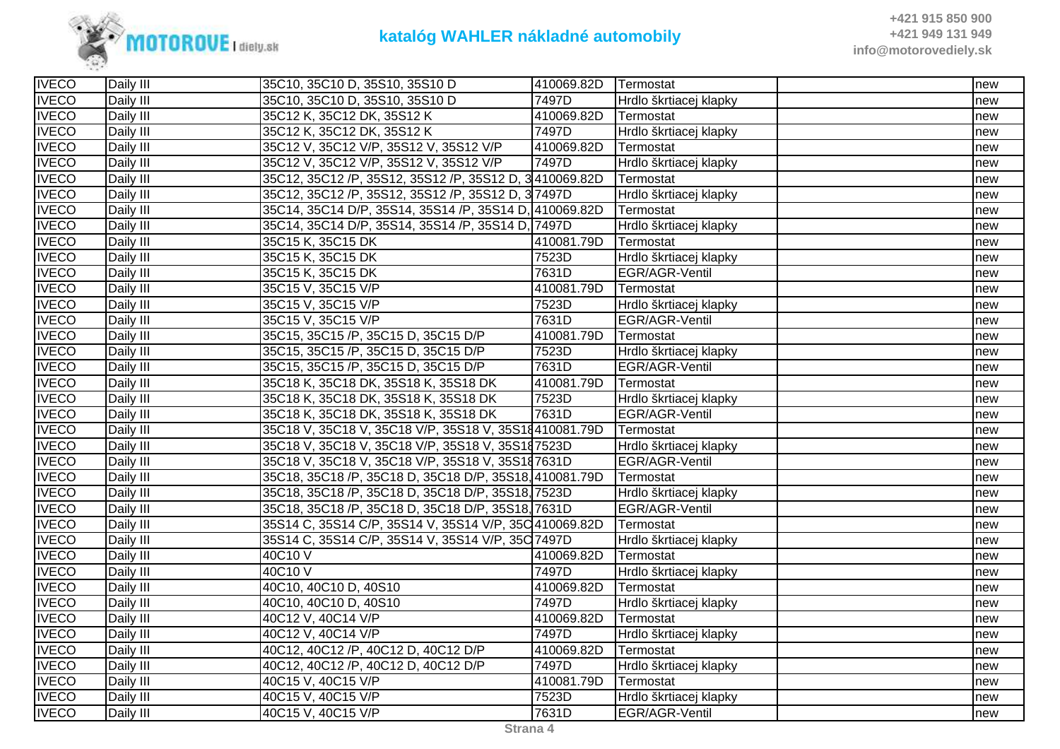

| <b>IVECO</b> | Daily III | 35C10, 35C10 D, 35S10, 35S10 D                         | 410069.82D | Termostat              | new |
|--------------|-----------|--------------------------------------------------------|------------|------------------------|-----|
| <b>IVECO</b> | Daily III | 35C10, 35C10 D, 35S10, 35S10 D                         | 7497D      | Hrdlo škrtiacej klapky | new |
| <b>IVECO</b> | Daily III | 35C12 K, 35C12 DK, 35S12 K                             | 410069.82D | Termostat              | new |
| <b>IVECO</b> | Daily III | 35C12 K, 35C12 DK, 35S12 K                             | 7497D      | Hrdlo škrtiacej klapky | new |
| <b>IVECO</b> | Daily III | 35C12 V, 35C12 V/P, 35S12 V, 35S12 V/P                 | 410069.82D | Termostat              | new |
| <b>IVECO</b> | Daily III | 35C12 V, 35C12 V/P, 35S12 V, 35S12 V/P                 | 7497D      | Hrdlo škrtiacej klapky | new |
| <b>IVECO</b> | Daily III | 35C12, 35C12 /P, 35S12, 35S12 /P, 35S12 D, 3410069.82D |            | Termostat              | new |
| <b>IVECO</b> | Daily III | 35C12, 35C12 /P, 35S12, 35S12 /P, 35S12 D, 37497D      |            | Hrdlo škrtiacej klapky | new |
| <b>IVECO</b> | Daily III | 35C14, 35C14 D/P, 35S14, 35S14 /P, 35S14 D, 410069.82D |            | Termostat              | new |
| <b>IVECO</b> | Daily III | 35C14, 35C14 D/P, 35S14, 35S14 /P, 35S14 D, 7497D      |            | Hrdlo škrtiacej klapky | new |
| <b>IVECO</b> | Daily III | 35C15 K, 35C15 DK                                      | 410081.79D | Termostat              | new |
| <b>IVECO</b> | Daily III | 35C15 K, 35C15 DK                                      | 7523D      | Hrdlo škrtiacej klapky | new |
| <b>IVECO</b> | Daily III | 35C15 K, 35C15 DK                                      | 7631D      | EGR/AGR-Ventil         | new |
| <b>IVECO</b> | Daily III | 35C15 V, 35C15 V/P                                     | 410081.79D | Termostat              | new |
| <b>IVECO</b> | Daily III | 35C15 V, 35C15 V/P                                     | 7523D      | Hrdlo škrtiacej klapky | new |
| <b>IVECO</b> | Daily III | 35C15 V, 35C15 V/P                                     | 7631D      | EGR/AGR-Ventil         | new |
| <b>IVECO</b> | Daily III | 35C15, 35C15 /P, 35C15 D, 35C15 D/P                    | 410081.79D | Termostat              | new |
| <b>IVECO</b> | Daily III | 35C15, 35C15 /P, 35C15 D, 35C15 D/P                    | 7523D      | Hrdlo škrtiacej klapky | new |
| <b>IVECO</b> | Daily III | 35C15, 35C15 /P, 35C15 D, 35C15 D/P                    | 7631D      | EGR/AGR-Ventil         | new |
| <b>IVECO</b> | Daily III | 35C18 K, 35C18 DK, 35S18 K, 35S18 DK                   | 410081.79D | Termostat              | new |
| <b>IVECO</b> | Daily III | 35C18 K, 35C18 DK, 35S18 K, 35S18 DK                   | 7523D      | Hrdlo škrtiacej klapky | new |
| <b>IVECO</b> | Daily III | 35C18 K, 35C18 DK, 35S18 K, 35S18 DK                   | 7631D      | EGR/AGR-Ventil         | new |
| <b>IVECO</b> | Daily III | 35C18 V, 35C18 V, 35C18 V/P, 35S18 V, 35S18410081.79D  |            | Termostat              | new |
| <b>IVECO</b> | Daily III | 35C18 V, 35C18 V, 35C18 V/P, 35S18 V, 35S187523D       |            | Hrdlo škrtiacej klapky | new |
| <b>IVECO</b> | Daily III | 35C18 V, 35C18 V, 35C18 V/P, 35S18 V, 35S187631D       |            | EGR/AGR-Ventil         | new |
| <b>IVECO</b> | Daily III | 35C18, 35C18 /P, 35C18 D, 35C18 D/P, 35S18, 410081.79D |            | Termostat              | new |
| <b>IVECO</b> | Daily III | 35C18, 35C18 /P, 35C18 D, 35C18 D/P, 35S18, 7523D      |            | Hrdlo škrtiacej klapky | new |
| <b>IVECO</b> | Daily III | 35C18, 35C18 /P, 35C18 D, 35C18 D/P, 35S18, 7631D      |            | EGR/AGR-Ventil         | new |
| <b>IVECO</b> | Daily III | 35S14 C, 35S14 C/P, 35S14 V, 35S14 V/P, 35C 410069.82D |            | Termostat              | new |
| <b>IVECO</b> | Daily III | 35S14 C, 35S14 C/P, 35S14 V, 35S14 V/P, 35C 7497D      |            | Hrdlo škrtiacej klapky | new |
| <b>IVECO</b> | Daily III | 40C10 V                                                | 410069.82D | Termostat              | new |
| <b>IVECO</b> | Daily III | 40C10 V                                                | 7497D      | Hrdlo škrtiacej klapky | new |
| <b>IVECO</b> | Daily III | 40C10, 40C10 D, 40S10                                  | 410069.82D | Termostat              | new |
| <b>IVECO</b> | Daily III | 40C10, 40C10 D, 40S10                                  | 7497D      | Hrdlo škrtiacej klapky | new |
| <b>IVECO</b> | Daily III | 40C12 V, 40C14 V/P                                     | 410069.82D | Termostat              | new |
| <b>IVECO</b> | Daily III | 40C12 V, 40C14 V/P                                     | 7497D      | Hrdlo škrtiacej klapky | new |
| <b>IVECO</b> | Daily III | 40C12, 40C12 / P, 40C12 D, 40C12 D/P                   | 410069.82D | Termostat              | new |
| <b>IVECO</b> | Daily III | 40C12, 40C12 /P, 40C12 D, 40C12 D/P                    | 7497D      | Hrdlo škrtiacej klapky | new |
| <b>IVECO</b> | Daily III | 40C15 V, 40C15 V/P                                     | 410081.79D | Termostat              | new |
| <b>IVECO</b> | Daily III | 40C15 V, 40C15 V/P                                     | 7523D      | Hrdlo škrtiacej klapky | new |
| <b>IVECO</b> | Daily III | 40C15 V, 40C15 V/P                                     | 7631D      | EGR/AGR-Ventil         | new |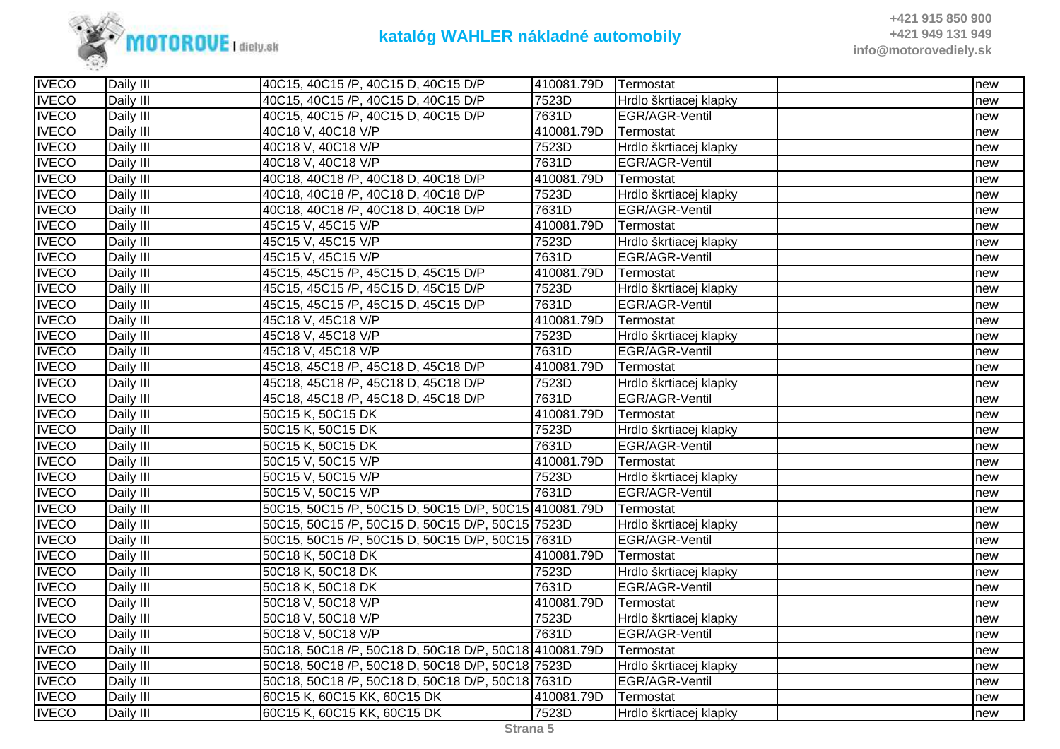

| <b>IVECO</b> | Daily III | 40C15, 40C15 /P, 40C15 D, 40C15 D/P                   | 410081.79D | Termostat              | new |
|--------------|-----------|-------------------------------------------------------|------------|------------------------|-----|
| <b>IVECO</b> | Daily III | 40C15, 40C15 /P, 40C15 D, 40C15 D/P                   | 7523D      | Hrdlo škrtiacej klapky | new |
| <b>IVECO</b> | Daily III | 40C15, 40C15 /P, 40C15 D, 40C15 D/P                   | 7631D      | EGR/AGR-Ventil         | new |
| <b>IVECO</b> | Daily III | 40C18 V, 40C18 V/P                                    | 410081.79D | Termostat              | new |
| <b>IVECO</b> | Daily III | 40C18 V, 40C18 V/P                                    | 7523D      | Hrdlo škrtiacej klapky | new |
| <b>IVECO</b> | Daily III | 40C18 V, 40C18 V/P                                    | 7631D      | EGR/AGR-Ventil         | new |
| <b>IVECO</b> | Daily III | 40C18, 40C18 /P, 40C18 D, 40C18 D/P                   | 410081.79D | Termostat              | new |
| <b>IVECO</b> | Daily III | 40C18, 40C18 /P, 40C18 D, 40C18 D/P                   | 7523D      | Hrdlo škrtiacej klapky | new |
| <b>IVECO</b> | Daily III | 40C18, 40C18 /P, 40C18 D, 40C18 D/P                   | 7631D      | EGR/AGR-Ventil         | new |
| <b>IVECO</b> | Daily III | 45C15 V, 45C15 V/P                                    | 410081.79D | Termostat              | new |
| <b>IVECO</b> | Daily III | 45C15 V, 45C15 V/P                                    | 7523D      | Hrdlo škrtiacej klapky | new |
| <b>IVECO</b> | Daily III | 45C15 V, 45C15 V/P                                    | 7631D      | EGR/AGR-Ventil         | new |
| <b>IVECO</b> | Daily III | 45C15, 45C15 /P, 45C15 D, 45C15 D/P                   | 410081.79D | Termostat              | new |
| <b>IVECO</b> | Daily III | 45C15, 45C15 /P, 45C15 D, 45C15 D/P                   | 7523D      | Hrdlo škrtiacej klapky | new |
| <b>IVECO</b> | Daily III | 45C15, 45C15 /P, 45C15 D, 45C15 D/P                   | 7631D      | EGR/AGR-Ventil         | new |
| <b>IVECO</b> | Daily III | 45C18 V, 45C18 V/P                                    | 410081.79D | Termostat              | new |
| <b>IVECO</b> | Daily III | 45C18 V, 45C18 V/P                                    | 7523D      | Hrdlo škrtiacej klapky | new |
| <b>IVECO</b> | Daily III | 45C18 V, 45C18 V/P                                    | 7631D      | EGR/AGR-Ventil         | new |
| <b>IVECO</b> | Daily III | 45C18, 45C18 /P, 45C18 D, 45C18 D/P                   | 410081.79D | Termostat              | new |
| <b>IVECO</b> | Daily III | 45C18, 45C18 /P, 45C18 D, 45C18 D/P                   | 7523D      | Hrdlo škrtiacej klapky | new |
| <b>IVECO</b> | Daily III | 45C18, 45C18 /P, 45C18 D, 45C18 D/P                   | 7631D      | EGR/AGR-Ventil         | new |
| <b>IVECO</b> | Daily III | 50C15 K, 50C15 DK                                     | 410081.79D | Termostat              | new |
| <b>IVECO</b> | Daily III | 50C15 K, 50C15 DK                                     | 7523D      | Hrdlo škrtiacej klapky | new |
| <b>IVECO</b> | Daily III | 50C15 K, 50C15 DK                                     | 7631D      | EGR/AGR-Ventil         | new |
| <b>IVECO</b> | Daily III | 50C15 V, 50C15 V/P                                    | 410081.79D | Termostat              | new |
| <b>IVECO</b> | Daily III | 50C15 V, 50C15 V/P                                    | 7523D      | Hrdlo škrtiacej klapky | new |
| <b>IVECO</b> | Daily III | 50C15 V, 50C15 V/P                                    | 7631D      | EGR/AGR-Ventil         | new |
| <b>IVECO</b> | Daily III | 50C15, 50C15 /P, 50C15 D, 50C15 D/P, 50C15 410081.79D |            | Termostat              | new |
| <b>IVECO</b> | Daily III | 50C15, 50C15 /P, 50C15 D, 50C15 D/P, 50C15 7523D      |            | Hrdlo škrtiacej klapky | new |
| <b>IVECO</b> | Daily III | 50C15, 50C15 /P, 50C15 D, 50C15 D/P, 50C15 7631D      |            | EGR/AGR-Ventil         | new |
| <b>IVECO</b> | Daily III | 50C18 K, 50C18 DK                                     | 410081.79D | Termostat              | new |
| <b>IVECO</b> | Daily III | 50C18 K, 50C18 DK                                     | 7523D      | Hrdlo škrtiacej klapky | new |
| <b>IVECO</b> | Daily III | 50C18 K, 50C18 DK                                     | 7631D      | EGR/AGR-Ventil         | new |
| <b>IVECO</b> | Daily III | 50C18 V, 50C18 V/P                                    | 410081.79D | Termostat              | new |
| <b>IVECO</b> | Daily III | 50C18 V, 50C18 V/P                                    | 7523D      | Hrdlo škrtiacej klapky | new |
| <b>IVECO</b> | Daily III | 50C18 V, 50C18 V/P                                    | 7631D      | EGR/AGR-Ventil         | new |
| <b>IVECO</b> | Daily III | 50C18, 50C18 /P, 50C18 D, 50C18 D/P, 50C18 410081.79D |            | Termostat              | new |
| <b>IVECO</b> | Daily III | 50C18, 50C18 /P, 50C18 D, 50C18 D/P, 50C18 7523D      |            | Hrdlo škrtiacej klapky | new |
| <b>IVECO</b> | Daily III | 50C18, 50C18 /P, 50C18 D, 50C18 D/P, 50C18 7631D      |            | EGR/AGR-Ventil         | new |
| <b>IVECO</b> | Daily III | 60C15 K, 60C15 KK, 60C15 DK                           | 410081.79D | Termostat              | new |
| <b>IVECO</b> | Daily III | 60C15 K, 60C15 KK, 60C15 DK                           | 7523D      | Hrdlo škrtiacej klapky | new |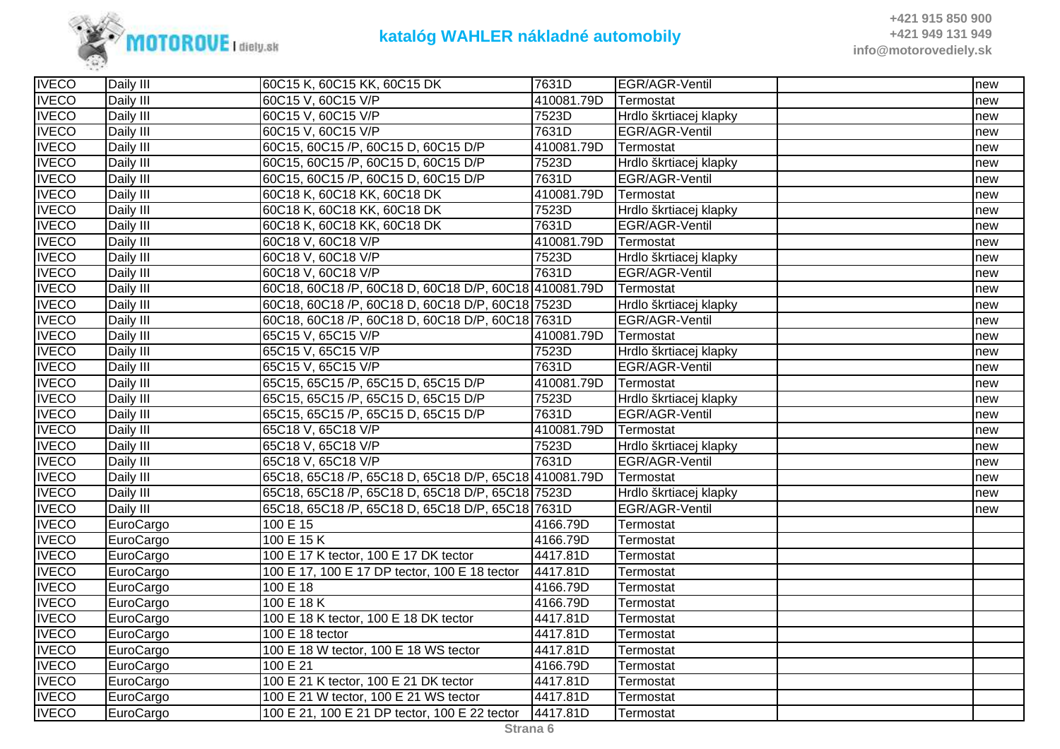

| <b>IVECO</b> | Daily III | 60C15 K, 60C15 KK, 60C15 DK                           | 7631D      | EGR/AGR-Ventil         | new |
|--------------|-----------|-------------------------------------------------------|------------|------------------------|-----|
| <b>IVECO</b> | Daily III | 60C15 V, 60C15 V/P                                    | 410081.79D | Termostat              | new |
| <b>IVECO</b> | Daily III | 60C15 V, 60C15 V/P                                    | 7523D      | Hrdlo škrtiacej klapky | new |
| <b>IVECO</b> | Daily III | 60C15 V, 60C15 V/P                                    | 7631D      | EGR/AGR-Ventil         | new |
| <b>IVECO</b> | Daily III | 60C15, 60C15 /P, 60C15 D, 60C15 D/P                   | 410081.79D | Termostat              | new |
| <b>IVECO</b> | Daily III | 60C15, 60C15 /P, 60C15 D, 60C15 D/P                   | 7523D      | Hrdlo škrtiacej klapky | new |
| <b>IVECO</b> | Daily III | 60C15, 60C15 /P, 60C15 D, 60C15 D/P                   | 7631D      | EGR/AGR-Ventil         | new |
| <b>IVECO</b> | Daily III | 60C18 K, 60C18 KK, 60C18 DK                           | 410081.79D | Termostat              | new |
| <b>IVECO</b> | Daily III | 60C18 K, 60C18 KK, 60C18 DK                           | 7523D      | Hrdlo škrtiacej klapky | new |
| <b>IVECO</b> | Daily III | 60C18 K, 60C18 KK, 60C18 DK                           | 7631D      | EGR/AGR-Ventil         | new |
| <b>IVECO</b> | Daily III | 60C18 V, 60C18 V/P                                    | 410081.79D | Termostat              | new |
| <b>IVECO</b> | Daily III | 60C18 V, 60C18 V/P                                    | 7523D      | Hrdlo škrtiacej klapky | new |
| <b>IVECO</b> | Daily III | 60C18 V, 60C18 V/P                                    | 7631D      | EGR/AGR-Ventil         | new |
| <b>IVECO</b> | Daily III | 60C18, 60C18 /P, 60C18 D, 60C18 D/P, 60C18 410081.79D |            | Termostat              | new |
| <b>IVECO</b> | Daily III | 60C18, 60C18 /P, 60C18 D, 60C18 D/P, 60C18 7523D      |            | Hrdlo škrtiacej klapky | new |
| <b>IVECO</b> | Daily III | 60C18, 60C18 /P, 60C18 D, 60C18 D/P, 60C18 7631D      |            | EGR/AGR-Ventil         | new |
| <b>IVECO</b> | Daily III | 65C15 V, 65C15 V/P                                    | 410081.79D | Termostat              | new |
| <b>IVECO</b> | Daily III | 65C15 V, 65C15 V/P                                    | 7523D      | Hrdlo škrtiacej klapky | new |
| <b>IVECO</b> | Daily III | 65C15 V, 65C15 V/P                                    | 7631D      | EGR/AGR-Ventil         | new |
| <b>IVECO</b> | Daily III | 65C15, 65C15 /P, 65C15 D, 65C15 D/P                   | 410081.79D | Termostat              | new |
| <b>IVECO</b> | Daily III | 65C15, 65C15 /P, 65C15 D, 65C15 D/P                   | 7523D      | Hrdlo škrtiacej klapky | new |
| <b>IVECO</b> | Daily III | 65C15, 65C15 /P, 65C15 D, 65C15 D/P                   | 7631D      | EGR/AGR-Ventil         | new |
| <b>IVECO</b> | Daily III | 65C18 V, 65C18 V/P                                    | 410081.79D | Termostat              | new |
| <b>IVECO</b> | Daily III | 65C18 V, 65C18 V/P                                    | 7523D      | Hrdlo škrtiacej klapky | new |
| <b>IVECO</b> | Daily III | 65C18 V, 65C18 V/P                                    | 7631D      | EGR/AGR-Ventil         | new |
| <b>IVECO</b> | Daily III | 65C18, 65C18 /P, 65C18 D, 65C18 D/P, 65C18 410081.79D |            | Termostat              | new |
| <b>IVECO</b> | Daily III | 65C18, 65C18 /P, 65C18 D, 65C18 D/P, 65C18 7523D      |            | Hrdlo škrtiacej klapky | new |
| <b>IVECO</b> | Daily III | 65C18, 65C18 /P, 65C18 D, 65C18 D/P, 65C18 7631D      |            | EGR/AGR-Ventil         | new |
| <b>IVECO</b> | EuroCargo | 100 E 15                                              | 4166.79D   | Termostat              |     |
| <b>IVECO</b> | EuroCargo | 100 E 15 K                                            | 4166.79D   | Termostat              |     |
| <b>IVECO</b> | EuroCargo | 100 E 17 K tector, 100 E 17 DK tector                 | 4417.81D   | Termostat              |     |
| <b>IVECO</b> | EuroCargo | 100 E 17, 100 E 17 DP tector, 100 E 18 tector         | 4417.81D   | Termostat              |     |
| <b>IVECO</b> | EuroCargo | 100 E 18                                              | 4166.79D   | Termostat              |     |
| <b>IVECO</b> | EuroCargo | 100 E 18 K                                            | 4166.79D   | Termostat              |     |
| <b>IVECO</b> | EuroCargo | 100 E 18 K tector, 100 E 18 DK tector                 | 4417.81D   | Termostat              |     |
| <b>IVECO</b> | EuroCargo | 100 E 18 tector                                       | 4417.81D   | Termostat              |     |
| <b>IVECO</b> | EuroCargo | 100 E 18 W tector, 100 E 18 WS tector                 | 4417.81D   | Termostat              |     |
| <b>IVECO</b> | EuroCargo | 100 E 21                                              | 4166.79D   | Termostat              |     |
| <b>IVECO</b> | EuroCargo | 100 E 21 K tector, 100 E 21 DK tector                 | 4417.81D   | Termostat              |     |
| <b>IVECO</b> | EuroCargo | 100 E 21 W tector, 100 E 21 WS tector                 | 4417.81D   | Termostat              |     |
| <b>IVECO</b> | EuroCargo | 100 E 21, 100 E 21 DP tector, 100 E 22 tector         | 4417.81D   | Termostat              |     |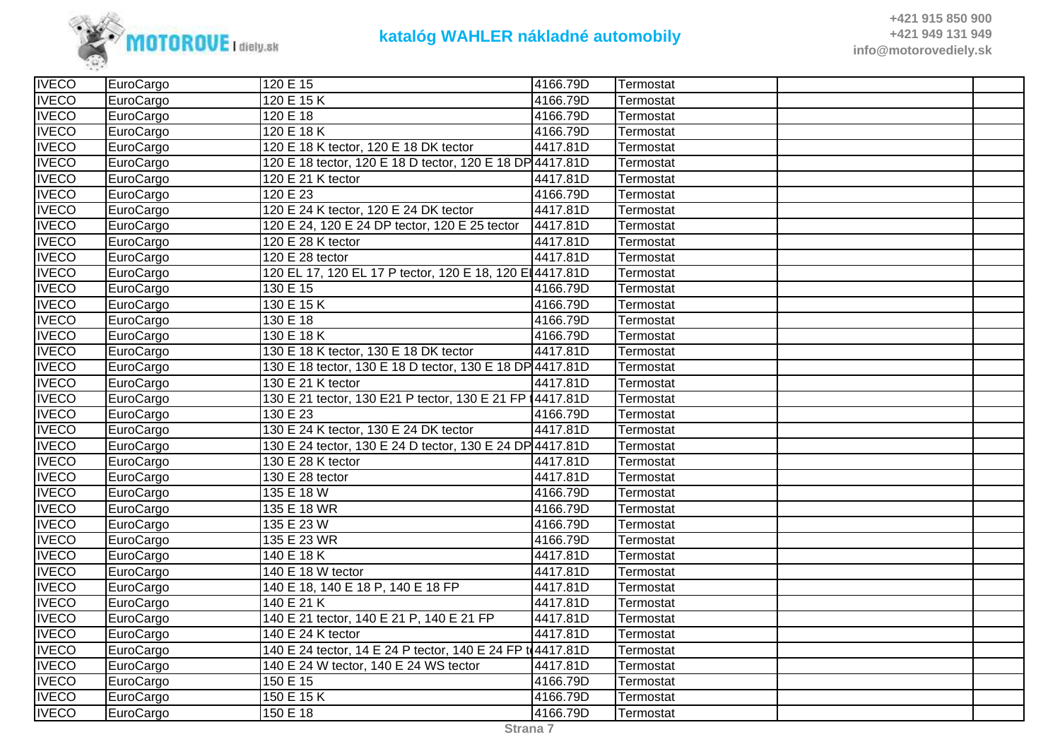

| <b>IVECO</b> | EuroCargo | 120 E 15                                                   | 4166.79D | Termostat |  |
|--------------|-----------|------------------------------------------------------------|----------|-----------|--|
| <b>IVECO</b> | EuroCargo | 120 E 15 K                                                 | 4166.79D | Termostat |  |
| <b>IVECO</b> | EuroCargo | 120 E 18                                                   | 4166.79D | Termostat |  |
| <b>IVECO</b> | EuroCargo | 120 E 18 K                                                 | 4166.79D | Termostat |  |
| <b>IVECO</b> | EuroCargo | 120 E 18 K tector, 120 E 18 DK tector                      | 4417.81D | Termostat |  |
| <b>IVECO</b> | EuroCargo | 120 E 18 tector, 120 E 18 D tector, 120 E 18 DP 4417.81D   |          | Termostat |  |
| <b>IVECO</b> | EuroCargo | 120 E 21 K tector                                          | 4417.81D | Termostat |  |
| <b>IVECO</b> | EuroCargo | 120 E 23                                                   | 4166.79D | Termostat |  |
| <b>IVECO</b> | EuroCargo | 120 E 24 K tector, 120 E 24 DK tector                      | 4417.81D | Termostat |  |
| <b>IVECO</b> | EuroCargo | 120 E 24, 120 E 24 DP tector, 120 E 25 tector              | 4417.81D | Termostat |  |
| <b>IVECO</b> | EuroCargo | 120 E 28 K tector                                          | 4417.81D | Termostat |  |
| <b>IVECO</b> | EuroCargo | 120 E 28 tector                                            | 4417.81D | Termostat |  |
| <b>IVECO</b> | EuroCargo | 120 EL 17, 120 EL 17 P tector, 120 E 18, 120 E 4417.81D    |          | Termostat |  |
| <b>IVECO</b> | EuroCargo | 130 E 15                                                   | 4166.79D | Termostat |  |
| <b>IVECO</b> | EuroCargo | 130 E 15 K                                                 | 4166.79D | Termostat |  |
| <b>IVECO</b> | EuroCargo | 130 E 18                                                   | 4166.79D | Termostat |  |
| <b>IVECO</b> | EuroCargo | 130 E 18 K                                                 | 4166.79D | Termostat |  |
| <b>IVECO</b> | EuroCargo | 130 E 18 K tector, 130 E 18 DK tector                      | 4417.81D | Termostat |  |
| <b>IVECO</b> | EuroCargo | 130 E 18 tector, 130 E 18 D tector, 130 E 18 DP 4417.81D   |          | Termostat |  |
| <b>IVECO</b> | EuroCargo | 130 E 21 K tector                                          | 4417.81D | Termostat |  |
| <b>IVECO</b> | EuroCargo | 130 E 21 tector, 130 E21 P tector, 130 E 21 FP 14417.81D   |          | Termostat |  |
| <b>IVECO</b> | EuroCargo | 130 E 23                                                   | 4166.79D | Termostat |  |
| <b>IVECO</b> | EuroCargo | 130 E 24 K tector, 130 E 24 DK tector                      | 4417.81D | Termostat |  |
| <b>IVECO</b> | EuroCargo | 130 E 24 tector, 130 E 24 D tector, 130 E 24 DP 4417.81D   |          | Termostat |  |
| <b>IVECO</b> | EuroCargo | 130 E 28 K tector                                          | 4417.81D | Termostat |  |
| <b>IVECO</b> | EuroCargo | 130 E 28 tector                                            | 4417.81D | Termostat |  |
| <b>IVECO</b> | EuroCargo | 135 E 18 W                                                 | 4166.79D | Termostat |  |
| <b>IVECO</b> | EuroCargo | 135 E 18 WR                                                | 4166.79D | Termostat |  |
| <b>IVECO</b> | EuroCargo | 135 E 23 W                                                 | 4166.79D | Termostat |  |
| <b>IVECO</b> | EuroCargo | 135 E 23 WR                                                | 4166.79D | Termostat |  |
| <b>IVECO</b> | EuroCargo | 140 E 18 K                                                 | 4417.81D | Termostat |  |
| <b>IVECO</b> | EuroCargo | 140 E 18 W tector                                          | 4417.81D | Termostat |  |
| <b>IVECO</b> | EuroCargo | 140 E 18, 140 E 18 P, 140 E 18 FP                          | 4417.81D | Termostat |  |
| <b>IVECO</b> | EuroCargo | 140 E 21 K                                                 | 4417.81D | Termostat |  |
| <b>IVECO</b> | EuroCargo | 140 E 21 tector, 140 E 21 P, 140 E 21 FP                   | 4417.81D | Termostat |  |
| <b>IVECO</b> | EuroCargo | 140 E 24 K tector                                          | 4417.81D | Termostat |  |
| <b>IVECO</b> | EuroCargo | 140 E 24 tector, 14 E 24 P tector, 140 E 24 FP to 4417.81D |          | Termostat |  |
| <b>IVECO</b> | EuroCargo | 140 E 24 W tector, 140 E 24 WS tector                      | 4417.81D | Termostat |  |
| <b>IVECO</b> | EuroCargo | 150 E 15                                                   | 4166.79D | Termostat |  |
| <b>IVECO</b> | EuroCargo | 150 E 15 K                                                 | 4166.79D | Termostat |  |
| <b>IVECO</b> | EuroCargo | 150 E 18                                                   | 4166.79D | Termostat |  |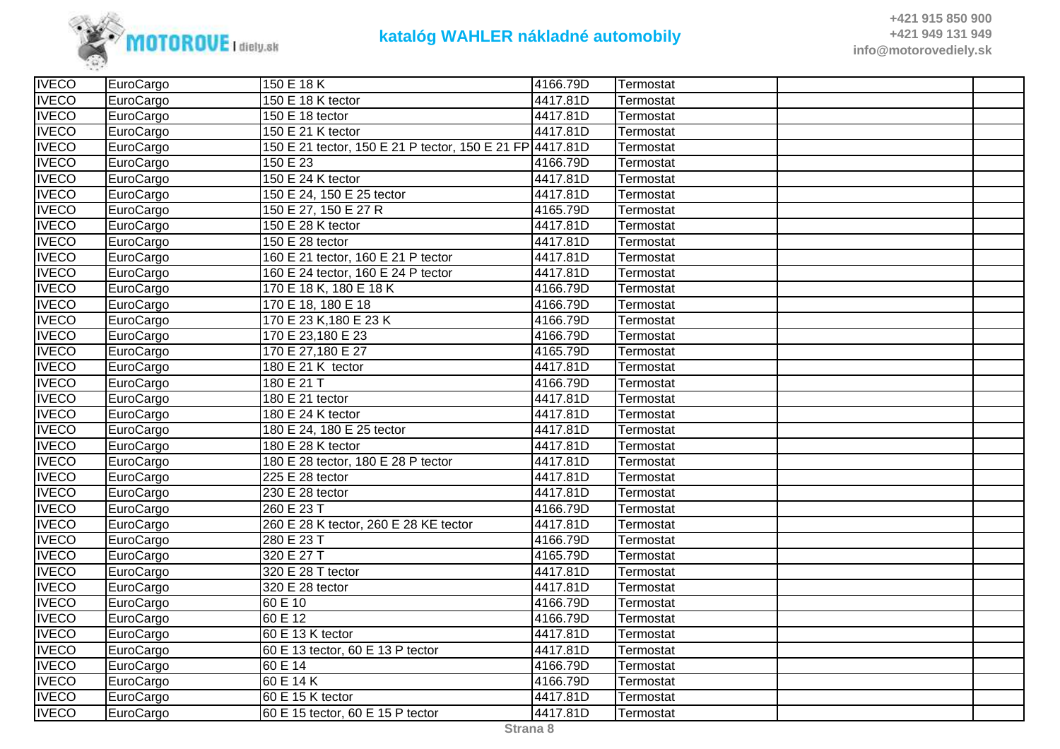

| <b>IVECO</b> | EuroCargo | 150 E 18 K                                               | 4166.79D | Termostat |  |
|--------------|-----------|----------------------------------------------------------|----------|-----------|--|
| <b>IVECO</b> | EuroCargo | 150 E 18 K tector                                        | 4417.81D | Termostat |  |
| <b>IVECO</b> | EuroCargo | 150 E 18 tector                                          | 4417.81D | Termostat |  |
| <b>IVECO</b> | EuroCargo | 150 E 21 K tector                                        | 4417.81D | Termostat |  |
| <b>IVECO</b> | EuroCargo | 150 E 21 tector, 150 E 21 P tector, 150 E 21 FP 4417.81D |          | Termostat |  |
| <b>IVECO</b> | EuroCargo | 150 E 23                                                 | 4166.79D | Termostat |  |
| <b>IVECO</b> | EuroCargo | 150 E 24 K tector                                        | 4417.81D | Termostat |  |
| <b>IVECO</b> | EuroCargo | 150 E 24, 150 E 25 tector                                | 4417.81D | Termostat |  |
| <b>IVECO</b> | EuroCargo | 150 E 27, 150 E 27 R                                     | 4165.79D | Termostat |  |
| <b>IVECO</b> | EuroCargo | 150 E 28 K tector                                        | 4417.81D | Termostat |  |
| <b>IVECO</b> | EuroCargo | 150 E 28 tector                                          | 4417.81D | Termostat |  |
| <b>IVECO</b> | EuroCargo | 160 E 21 tector, 160 E 21 P tector                       | 4417.81D | Termostat |  |
| <b>IVECO</b> | EuroCargo | 160 E 24 tector, 160 E 24 P tector                       | 4417.81D | Termostat |  |
| <b>IVECO</b> | EuroCargo | 170 E 18 K, 180 E 18 K                                   | 4166.79D | Termostat |  |
| <b>IVECO</b> | EuroCargo | 170 E 18, 180 E 18                                       | 4166.79D | Termostat |  |
| <b>IVECO</b> | EuroCargo | 170 E 23 K, 180 E 23 K                                   | 4166.79D | Termostat |  |
| <b>IVECO</b> | EuroCargo | 170 E 23,180 E 23                                        | 4166.79D | Termostat |  |
| <b>IVECO</b> | EuroCargo | 170 E 27,180 E 27                                        | 4165.79D | Termostat |  |
| <b>IVECO</b> | EuroCargo | 180 E 21 K tector                                        | 4417.81D | Termostat |  |
| <b>IVECO</b> | EuroCargo | 180 E 21 T                                               | 4166.79D | Termostat |  |
| <b>IVECO</b> | EuroCargo | 180 E 21 tector                                          | 4417.81D | Termostat |  |
| <b>IVECO</b> | EuroCargo | 180 E 24 K tector                                        | 4417.81D | Termostat |  |
| <b>IVECO</b> | EuroCargo | 180 E 24, 180 E 25 tector                                | 4417.81D | Termostat |  |
| <b>IVECO</b> | EuroCargo | 180 E 28 K tector                                        | 4417.81D | Termostat |  |
| <b>IVECO</b> | EuroCargo | 180 E 28 tector, 180 E 28 P tector                       | 4417.81D | Termostat |  |
| <b>IVECO</b> | EuroCargo | 225 E 28 tector                                          | 4417.81D | Termostat |  |
| <b>IVECO</b> | EuroCargo | 230 E 28 tector                                          | 4417.81D | Termostat |  |
| <b>IVECO</b> | EuroCargo | 260 E 23 T                                               | 4166.79D | Termostat |  |
| <b>IVECO</b> | EuroCargo | 260 E 28 K tector, 260 E 28 KE tector                    | 4417.81D | Termostat |  |
| <b>IVECO</b> | EuroCargo | 280 E 23 T                                               | 4166.79D | Termostat |  |
| <b>IVECO</b> | EuroCargo | 320 E 27 T                                               | 4165.79D | Termostat |  |
| <b>IVECO</b> | EuroCargo | 320 E 28 T tector                                        | 4417.81D | Termostat |  |
| <b>IVECO</b> | EuroCargo | 320 E 28 tector                                          | 4417.81D | Termostat |  |
| <b>IVECO</b> | EuroCargo | 60 E 10                                                  | 4166.79D | Termostat |  |
| <b>IVECO</b> | EuroCargo | 60 E 12                                                  | 4166.79D | Termostat |  |
| <b>IVECO</b> | EuroCargo | 60 E 13 K tector                                         | 4417.81D | Termostat |  |
| <b>IVECO</b> | EuroCargo | 60 E 13 tector, 60 E 13 P tector                         | 4417.81D | Termostat |  |
| <b>IVECO</b> | EuroCargo | 60 E 14                                                  | 4166.79D | Termostat |  |
| <b>IVECO</b> | EuroCargo | 60 E 14 K                                                | 4166.79D | Termostat |  |
| <b>IVECO</b> | EuroCargo | 60 E 15 K tector                                         | 4417.81D | Termostat |  |
| <b>IVECO</b> | EuroCargo | 60 E 15 tector, 60 E 15 P tector                         | 4417.81D | Termostat |  |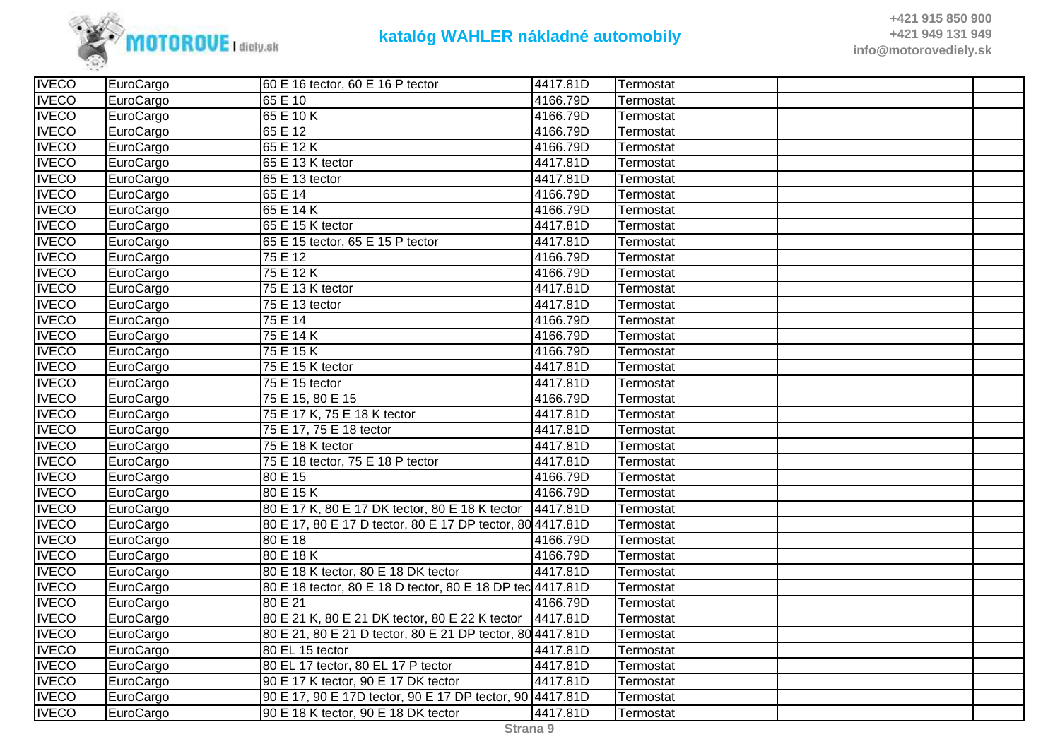

| <b>IVECO</b> | EuroCargo | 60 E 16 tector, 60 E 16 P tector                          | 4417.81D | Termostat |  |
|--------------|-----------|-----------------------------------------------------------|----------|-----------|--|
| <b>IVECO</b> | EuroCargo | 65 E 10                                                   | 4166.79D | Termostat |  |
| <b>IVECO</b> | EuroCargo | 65 E 10 K                                                 | 4166.79D | Termostat |  |
| <b>IVECO</b> | EuroCargo | 65 E 12                                                   | 4166.79D | Termostat |  |
| <b>IVECO</b> | EuroCargo | 65 E 12 K                                                 | 4166.79D | Termostat |  |
| <b>IVECO</b> | EuroCargo | 65 E 13 K tector                                          | 4417.81D | Termostat |  |
| <b>IVECO</b> | EuroCargo | 65 E 13 tector                                            | 4417.81D | Termostat |  |
| <b>IVECO</b> | EuroCargo | 65 E 14                                                   | 4166.79D | Termostat |  |
| <b>IVECO</b> | EuroCargo | 65 E 14 K                                                 | 4166.79D | Termostat |  |
| <b>IVECO</b> | EuroCargo | 65 E 15 K tector                                          | 4417.81D | Termostat |  |
| <b>IVECO</b> | EuroCargo | 65 E 15 tector, 65 E 15 P tector                          | 4417.81D | Termostat |  |
| <b>IVECO</b> | EuroCargo | 75 E 12                                                   | 4166.79D | Termostat |  |
| <b>IVECO</b> | EuroCargo | 75 E 12 K                                                 | 4166.79D | Termostat |  |
| <b>IVECO</b> | EuroCargo | 75 E 13 K tector                                          | 4417.81D | Termostat |  |
| <b>IVECO</b> | EuroCargo | 75 E 13 tector                                            | 4417.81D | Termostat |  |
| <b>IVECO</b> | EuroCargo | 75 E 14                                                   | 4166.79D | Termostat |  |
| <b>IVECO</b> | EuroCargo | $\overline{75}$ E 14 K                                    | 4166.79D | Termostat |  |
| <b>IVECO</b> | EuroCargo | 75 E 15 K                                                 | 4166.79D | Termostat |  |
| <b>IVECO</b> | EuroCargo | 75 E 15 K tector                                          | 4417.81D | Termostat |  |
| <b>IVECO</b> | EuroCargo | 75 E 15 tector                                            | 4417.81D | Termostat |  |
| <b>IVECO</b> | EuroCargo | 75 E 15, 80 E 15                                          | 4166.79D | Termostat |  |
| <b>IVECO</b> | EuroCargo | 75 E 17 K, 75 E 18 K tector                               | 4417.81D | Termostat |  |
| <b>IVECO</b> | EuroCargo | 75 E 17, 75 E 18 tector                                   | 4417.81D | Termostat |  |
| <b>IVECO</b> | EuroCargo | 75 E 18 K tector                                          | 4417.81D | Termostat |  |
| <b>IVECO</b> | EuroCargo | 75 E 18 tector, 75 E 18 P tector                          | 4417.81D | Termostat |  |
| <b>IVECO</b> | EuroCargo | 80 E 15                                                   | 4166.79D | Termostat |  |
| <b>IVECO</b> | EuroCargo | 80 E 15 K                                                 | 4166.79D | Termostat |  |
| <b>IVECO</b> | EuroCargo | 80 E 17 K, 80 E 17 DK tector, 80 E 18 K tector            | 4417.81D | Termostat |  |
| <b>IVECO</b> | EuroCargo | 80 E 17, 80 E 17 D tector, 80 E 17 DP tector, 80 4417.81D |          | Termostat |  |
| <b>IVECO</b> | EuroCargo | 80 E 18                                                   | 4166.79D | Termostat |  |
| <b>IVECO</b> | EuroCargo | 80 E 18 K                                                 | 4166.79D | Termostat |  |
| <b>IVECO</b> | EuroCargo | 80 E 18 K tector, 80 E 18 DK tector                       | 4417.81D | Termostat |  |
| <b>IVECO</b> | EuroCargo | 80 E 18 tector, 80 E 18 D tector, 80 E 18 DP tec 4417.81D |          | Termostat |  |
| <b>IVECO</b> | EuroCargo | 80 E 21                                                   | 4166.79D | Termostat |  |
| <b>IVECO</b> | EuroCargo | 80 E 21 K, 80 E 21 DK tector, 80 E 22 K tector 4417.81D   |          | Termostat |  |
| <b>IVECO</b> | EuroCargo | 80 E 21, 80 E 21 D tector, 80 E 21 DP tector, 80 4417.81D |          | Termostat |  |
| <b>IVECO</b> | EuroCargo | 80 EL 15 tector                                           | 4417.81D | Termostat |  |
| <b>IVECO</b> | EuroCargo | 80 EL 17 tector, 80 EL 17 P tector                        | 4417.81D | Termostat |  |
| <b>IVECO</b> | EuroCargo | 90 E 17 K tector, 90 E 17 DK tector                       | 4417.81D | Termostat |  |
| <b>IVECO</b> | EuroCargo | 90 E 17, 90 E 17D tector, 90 E 17 DP tector, 90 4417.81D  |          | Termostat |  |
| <b>IVECO</b> | EuroCargo | 90 E 18 K tector, 90 E 18 DK tector                       | 4417.81D | Termostat |  |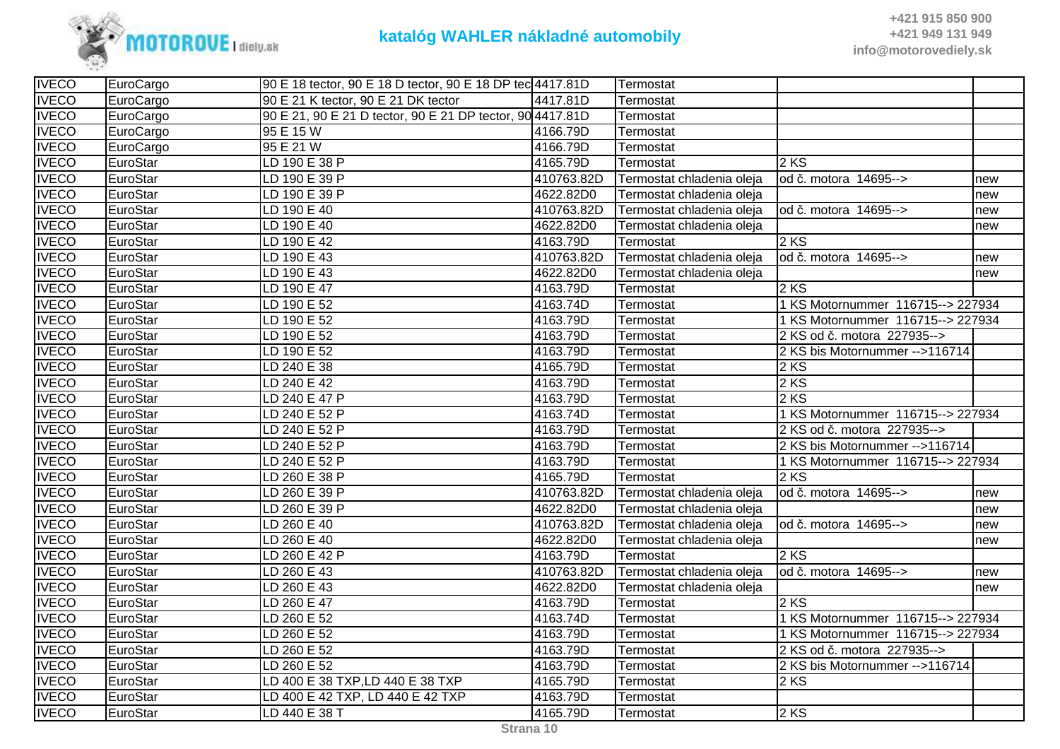

| <b>IVECO</b> | EuroCargo | 90 E 18 tector, 90 E 18 D tector, 90 E 18 DP tec 4417.81D |            | Termostat                 |                                   |     |
|--------------|-----------|-----------------------------------------------------------|------------|---------------------------|-----------------------------------|-----|
| <b>IVECO</b> | EuroCargo | 90 E 21 K tector, 90 E 21 DK tector                       | 4417.81D   | Termostat                 |                                   |     |
| <b>IVECO</b> | EuroCargo | 90 E 21, 90 E 21 D tector, 90 E 21 DP tector, 90 4417.81D |            | Termostat                 |                                   |     |
| <b>IVECO</b> | EuroCargo | 95 E 15 W                                                 | 4166.79D   | Termostat                 |                                   |     |
| <b>IVECO</b> | EuroCargo | 95 E 21 W                                                 | 4166.79D   | Termostat                 |                                   |     |
| <b>IVECO</b> | EuroStar  | LD 190 E 38 P                                             | 4165.79D   | Termostat                 | 2 KS                              |     |
| <b>IVECO</b> | EuroStar  | LD 190 E 39 P                                             | 410763.82D | Termostat chladenia oleja | od č. motora 14695-->             | new |
| <b>IVECO</b> | EuroStar  | LD 190 E 39 P                                             | 4622.82D0  | Termostat chladenia oleja |                                   | new |
| <b>IVECO</b> | EuroStar  | LD 190 E 40                                               | 410763.82D | Termostat chladenia oleja | od č. motora 14695-->             | new |
| <b>IVECO</b> | EuroStar  | LD 190 E 40                                               | 4622.82D0  | Termostat chladenia oleja |                                   | new |
| <b>IVECO</b> | EuroStar  | LD 190 E 42                                               | 4163.79D   | Termostat                 | 2 KS                              |     |
| <b>IVECO</b> | EuroStar  | LD 190 E 43                                               | 410763.82D | Termostat chladenia oleja | od č. motora 14695-->             | new |
| <b>IVECO</b> | EuroStar  | LD 190 E 43                                               | 4622.82D0  | Termostat chladenia oleja |                                   | new |
| <b>IVECO</b> | EuroStar  | LD 190 E 47                                               | 4163.79D   | Termostat                 | 2 KS                              |     |
| <b>IVECO</b> | EuroStar  | LD 190 E 52                                               | 4163.74D   | Termostat                 | 1 KS Motornummer 116715--> 227934 |     |
| <b>IVECO</b> | EuroStar  | LD 190 E 52                                               | 4163.79D   | Termostat                 | 1 KS Motornummer 116715--> 227934 |     |
| <b>IVECO</b> | EuroStar  | LD 190 E 52                                               | 4163.79D   | Termostat                 | 2 KS od č. motora 227935-->       |     |
| <b>IVECO</b> | EuroStar  | LD 190 E 52                                               | 4163.79D   | Termostat                 | 2 KS bis Motornummer -->116714    |     |
| <b>IVECO</b> | EuroStar  | LD 240 E 38                                               | 4165.79D   | Termostat                 | 2KS                               |     |
| <b>IVECO</b> | EuroStar  | LD 240 E 42                                               | 4163.79D   | Termostat                 | 2 KS                              |     |
| <b>IVECO</b> | EuroStar  | LD 240 E 47 P                                             | 4163.79D   | Termostat                 | 2 KS                              |     |
| <b>IVECO</b> | EuroStar  | LD 240 E 52 P                                             | 4163.74D   | Termostat                 | 1 KS Motornummer 116715--> 227934 |     |
| <b>IVECO</b> | EuroStar  | LD 240 E 52 P                                             | 4163.79D   | Termostat                 | 2 KS od č. motora 227935-->       |     |
| <b>IVECO</b> | EuroStar  | LD 240 E 52 P                                             | 4163.79D   | Termostat                 | 2 KS bis Motornummer -->116714    |     |
| <b>IVECO</b> | EuroStar  | LD 240 E 52 P                                             | 4163.79D   | Termostat                 | 1 KS Motornummer 116715--> 227934 |     |
| <b>IVECO</b> | EuroStar  | LD 260 E 38 P                                             | 4165.79D   | Termostat                 | $2$ KS                            |     |
| <b>IVECO</b> | EuroStar  | LD 260 E 39 P                                             | 410763.82D | Termostat chladenia oleja | od č. motora 14695-->             | new |
| <b>IVECO</b> | EuroStar  | LD 260 E 39 P                                             | 4622.82D0  | Termostat chladenia oleja |                                   | new |
| <b>IVECO</b> | EuroStar  | LD 260 E 40                                               | 410763.82D | Termostat chladenia oleja | od č. motora 14695-->             | new |
| <b>IVECO</b> | EuroStar  | LD 260 E 40                                               | 4622.82D0  | Termostat chladenia oleja |                                   | new |
| <b>IVECO</b> | EuroStar  | LD 260 E 42 P                                             | 4163.79D   | Termostat                 | 2 KS                              |     |
| <b>IVECO</b> | EuroStar  | LD 260 E 43                                               | 410763.82D | Termostat chladenia oleja | od č. motora 14695-->             | new |
| <b>IVECO</b> | EuroStar  | LD 260 E 43                                               | 4622.82D0  | Termostat chladenia oleja |                                   | new |
| <b>IVECO</b> | EuroStar  | LD 260 E 47                                               | 4163.79D   | Termostat                 | 2 KS                              |     |
| <b>IVECO</b> | EuroStar  | LD 260 E 52                                               | 4163.74D   | Termostat                 | 1 KS Motornummer 116715--> 227934 |     |
| <b>IVECO</b> | EuroStar  | LD 260 E 52                                               | 4163.79D   | Termostat                 | 1 KS Motornummer 116715--> 227934 |     |
| <b>IVECO</b> | EuroStar  | LD 260 E 52                                               | 4163.79D   | Termostat                 | 2 KS od č. motora 227935-->       |     |
| <b>IVECO</b> | EuroStar  | LD 260 E 52                                               | 4163.79D   | Termostat                 | 2 KS bis Motornummer -- > 116714  |     |
| <b>IVECO</b> | EuroStar  | LD 400 E 38 TXP, LD 440 E 38 TXP                          | 4165.79D   | Termostat                 | 2 KS                              |     |
| <b>IVECO</b> | EuroStar  | LD 400 E 42 TXP, LD 440 E 42 TXP                          | 4163.79D   | Termostat                 |                                   |     |
| <b>IVECO</b> | EuroStar  | LD 440 E 38 T                                             | 4165.79D   | Termostat                 | $2$ KS                            |     |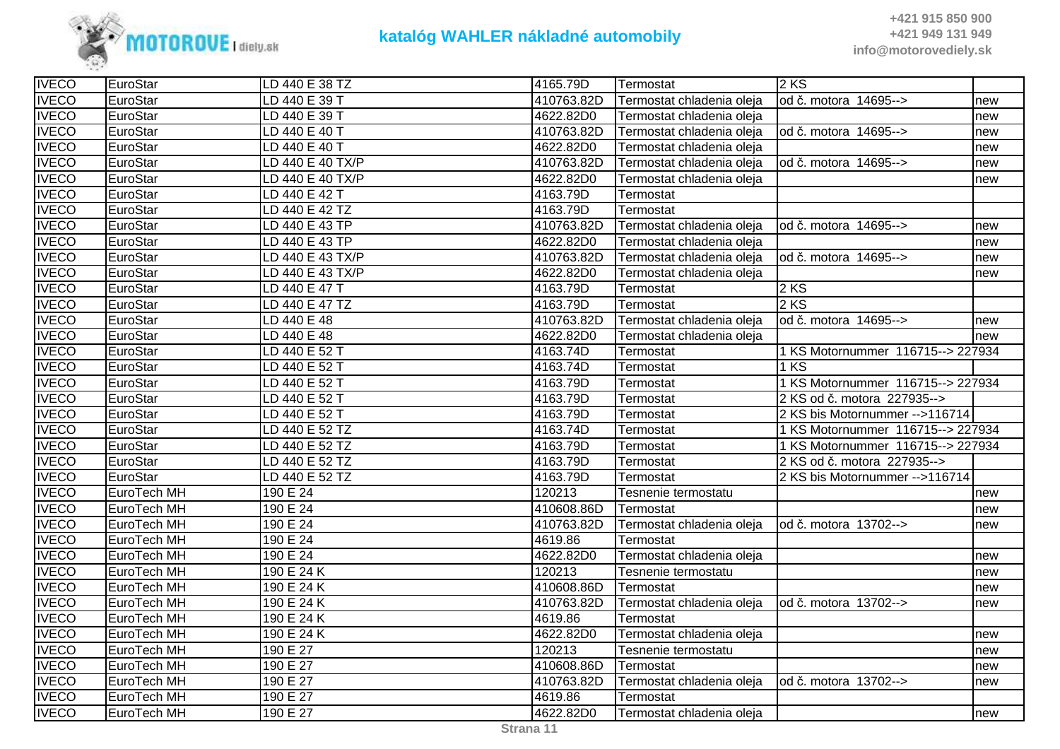

| <b>IVECO</b> | EuroStar    | LD 440 E 38 TZ   | 4165.79D   | Termostat                 | 2 KS                              |     |
|--------------|-------------|------------------|------------|---------------------------|-----------------------------------|-----|
| <b>IVECO</b> | EuroStar    | LD 440 E 39 T    | 410763.82D | Termostat chladenia oleja | od č. motora 14695-->             | new |
| <b>IVECO</b> | EuroStar    | LD 440 E 39 T    | 4622.82D0  | Termostat chladenia oleja |                                   | new |
| <b>IVECO</b> | EuroStar    | LD 440 E 40 T    | 410763.82D | Termostat chladenia oleja | od č. motora 14695-->             | new |
| <b>IVECO</b> | EuroStar    | LD 440 E 40 T    | 4622.82D0  | Termostat chladenia oleja |                                   | new |
| <b>IVECO</b> | EuroStar    | LD 440 E 40 TX/P | 410763.82D | Termostat chladenia oleja | lod č. motora 14695-->            | new |
| <b>IVECO</b> | EuroStar    | LD 440 E 40 TX/P | 4622.82D0  | Termostat chladenia oleja |                                   | new |
| <b>IVECO</b> | EuroStar    | LD 440 E 42 T    | 4163.79D   | Termostat                 |                                   |     |
| <b>IVECO</b> | EuroStar    | LD 440 E 42 TZ   | 4163.79D   | Termostat                 |                                   |     |
| <b>IVECO</b> | EuroStar    | LD 440 E 43 TP   | 410763.82D | Termostat chladenia oleja | od č. motora 14695-->             | new |
| <b>IVECO</b> | EuroStar    | LD 440 E 43 TP   | 4622.82D0  | Termostat chladenia oleja |                                   | new |
| <b>IVECO</b> | EuroStar    | LD 440 E 43 TX/P | 410763.82D | Termostat chladenia oleja | od č. motora 14695-->             | new |
| <b>IVECO</b> | EuroStar    | LD 440 E 43 TX/P | 4622.82D0  | Termostat chladenia oleja |                                   | new |
| <b>IVECO</b> | EuroStar    | LD 440 E 47 T    | 4163.79D   | Termostat                 | 2 KS                              |     |
| <b>IVECO</b> | EuroStar    | LD 440 E 47 TZ   | 4163.79D   | Termostat                 | 2 KS                              |     |
| <b>IVECO</b> | EuroStar    | LD 440 E 48      | 410763.82D | Termostat chladenia oleja | od č. motora 14695-->             | new |
| <b>IVECO</b> | EuroStar    | LD 440 E 48      | 4622.82D0  | Termostat chladenia oleja |                                   | new |
| <b>IVECO</b> | EuroStar    | LD 440 E 52 T    | 4163.74D   | Termostat                 | 1 KS Motornummer 116715--> 227934 |     |
| <b>IVECO</b> | EuroStar    | LD 440 E 52 T    | 4163.74D   | Termostat                 | 1 KS                              |     |
| <b>IVECO</b> | EuroStar    | LD 440 E 52 T    | 4163.79D   | Termostat                 | 1 KS Motornummer 116715--> 227934 |     |
| <b>IVECO</b> | EuroStar    | LD 440 E 52 T    | 4163.79D   | Termostat                 | 2 KS od č. motora 227935-->       |     |
| <b>IVECO</b> | EuroStar    | LD 440 E 52 T    | 4163.79D   | Termostat                 | 2 KS bis Motornummer -- > 116714  |     |
| <b>IVECO</b> | EuroStar    | LD 440 E 52 TZ   | 4163.74D   | Termostat                 | 1 KS Motornummer 116715--> 227934 |     |
| <b>IVECO</b> | EuroStar    | LD 440 E 52 TZ   | 4163.79D   | Termostat                 | 1 KS Motornummer 116715--> 227934 |     |
| <b>IVECO</b> | EuroStar    | LD 440 E 52 TZ   | 4163.79D   | Termostat                 | 2 KS od č. motora 227935-->       |     |
| <b>IVECO</b> | EuroStar    | LD 440 E 52 TZ   | 4163.79D   | Termostat                 | 2 KS bis Motornummer -- > 116714  |     |
| <b>IVECO</b> | EuroTech MH | 190 E 24         | 120213     | Tesnenie termostatu       |                                   | new |
| <b>IVECO</b> | EuroTech MH | 190 E 24         | 410608.86D | Termostat                 |                                   | new |
| <b>IVECO</b> | EuroTech MH | 190 E 24         | 410763.82D | Termostat chladenia oleja | od č. motora 13702-->             | new |
| <b>IVECO</b> | EuroTech MH | 190 E 24         | 4619.86    | Termostat                 |                                   |     |
| <b>IVECO</b> | EuroTech MH | 190 E 24         | 4622.82D0  | Termostat chladenia oleja |                                   | new |
| <b>IVECO</b> | EuroTech MH | 190 E 24 K       | 120213     | Tesnenie termostatu       |                                   | new |
| <b>IVECO</b> | EuroTech MH | 190 E 24 K       | 410608.86D | Termostat                 |                                   | new |
| <b>IVECO</b> | EuroTech MH | 190 E 24 K       | 410763.82D | Termostat chladenia oleja | od č. motora 13702-->             | new |
| <b>IVECO</b> | EuroTech MH | 190 E 24 K       | 4619.86    | Termostat                 |                                   |     |
| <b>IVECO</b> | EuroTech MH | 190 E 24 K       | 4622.82D0  | Termostat chladenia oleja |                                   | new |
| <b>IVECO</b> | EuroTech MH | 190 E 27         | 120213     | Tesnenie termostatu       |                                   | new |
| <b>IVECO</b> | EuroTech MH | 190 E 27         | 410608.86D | Termostat                 |                                   | new |
| <b>IVECO</b> | EuroTech MH | 190 E 27         | 410763.82D | Termostat chladenia oleja | lod č. motora 13702-->            | new |
| <b>IVECO</b> | EuroTech MH | 190 E 27         | 4619.86    | Termostat                 |                                   |     |
| <b>IVECO</b> | EuroTech MH | 190 E 27         | 4622.82D0  | Termostat chladenia oleja |                                   | new |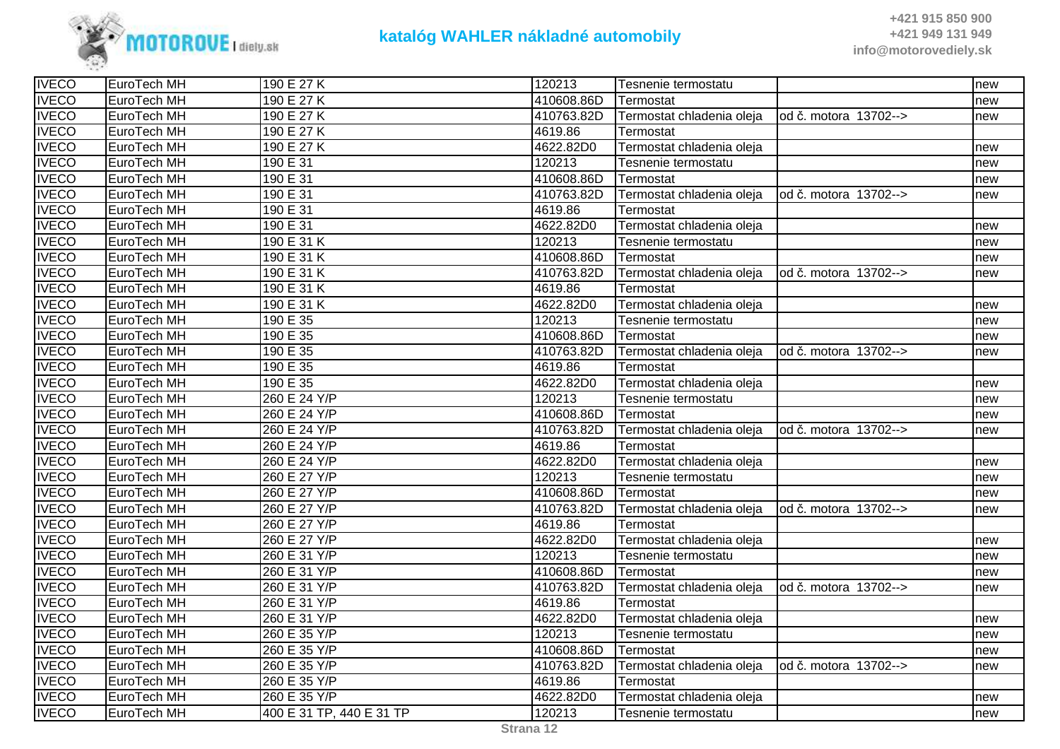

| <b>IVECO</b> | EuroTech MH | 190 E 27 K               | 120213     | Tesnenie termostatu                               |                        | new |
|--------------|-------------|--------------------------|------------|---------------------------------------------------|------------------------|-----|
| <b>IVECO</b> | EuroTech MH | 190 E 27 K               | 410608.86D | Termostat                                         |                        | new |
| <b>IVECO</b> | EuroTech MH | 190 E 27 K               | 410763.82D | Termostat chladenia oleja                         | lod č. motora 13702--> | new |
| <b>IVECO</b> | EuroTech MH | 190 E 27 K               | 4619.86    | Termostat                                         |                        |     |
| <b>IVECO</b> | EuroTech MH | 190 E 27 K               | 4622.82D0  | Termostat chladenia oleja                         |                        | new |
| <b>IVECO</b> | EuroTech MH | 190 E 31                 | 120213     | Tesnenie termostatu                               |                        | new |
| <b>IVECO</b> | EuroTech MH | 190 E 31                 | 410608.86D | Termostat                                         |                        | new |
| <b>IVECO</b> | EuroTech MH | 190 E 31                 | 410763.82D | Termostat chladenia oleja   od č. motora 13702--> |                        | new |
| <b>IVECO</b> | EuroTech MH | 190 E 31                 | 4619.86    | Termostat                                         |                        |     |
| <b>IVECO</b> | EuroTech MH | 190 E 31                 | 4622.82D0  | Termostat chladenia oleja                         |                        | new |
| <b>IVECO</b> | EuroTech MH | 190 E 31 K               | 120213     | Tesnenie termostatu                               |                        | new |
| <b>IVECO</b> | EuroTech MH | 190 E 31 K               | 410608.86D | Termostat                                         |                        | new |
| <b>IVECO</b> | EuroTech MH | 190 E 31 K               | 410763.82D | Termostat chladenia oleja   od č. motora 13702--> |                        | new |
| <b>IVECO</b> | EuroTech MH | 190 E 31 K               | 4619.86    | Termostat                                         |                        |     |
| <b>IVECO</b> | EuroTech MH | 190 E 31 K               | 4622.82D0  | Termostat chladenia oleja                         |                        | new |
| <b>IVECO</b> | EuroTech MH | 190 E 35                 | 120213     | Tesnenie termostatu                               |                        | new |
| <b>IVECO</b> | EuroTech MH | 190 E 35                 | 410608.86D | Termostat                                         |                        | new |
| <b>IVECO</b> | EuroTech MH | 190 E 35                 | 410763.82D | Termostat chladenia oleja                         | od č. motora 13702-->  | new |
| <b>IVECO</b> | EuroTech MH | 190 E 35                 | 4619.86    | Termostat                                         |                        |     |
| <b>IVECO</b> | EuroTech MH | 190 E 35                 | 4622.82D0  | Termostat chladenia oleja                         |                        | new |
| <b>IVECO</b> | EuroTech MH | 260 E 24 Y/P             | 120213     | Tesnenie termostatu                               |                        | new |
| <b>IVECO</b> | EuroTech MH | 260 E 24 Y/P             | 410608.86D | Termostat                                         |                        | new |
| <b>IVECO</b> | EuroTech MH | 260 E 24 Y/P             | 410763.82D | Termostat chladenia oleja                         | od č. motora 13702-->  | new |
| <b>IVECO</b> | EuroTech MH | 260 E 24 Y/P             | 4619.86    | Termostat                                         |                        |     |
| <b>IVECO</b> | EuroTech MH | 260 E 24 Y/P             | 4622.82D0  | Termostat chladenia oleja                         |                        | new |
| <b>IVECO</b> | EuroTech MH | 260 E 27 Y/P             | 120213     | Tesnenie termostatu                               |                        | new |
| <b>IVECO</b> | EuroTech MH | 260 E 27 Y/P             | 410608.86D | Termostat                                         |                        | new |
| <b>IVECO</b> | EuroTech MH | 260 E 27 Y/P             | 410763.82D | Termostat chladenia oleja                         | lod č. motora 13702--> | new |
| <b>IVECO</b> | EuroTech MH | 260 E 27 Y/P             | 4619.86    | Termostat                                         |                        |     |
| <b>IVECO</b> | EuroTech MH | 260 E 27 Y/P             | 4622.82D0  | Termostat chladenia oleja                         |                        | new |
| <b>IVECO</b> | EuroTech MH | 260 E 31 Y/P             | 120213     | Tesnenie termostatu                               |                        | new |
| <b>IVECO</b> | EuroTech MH | 260 E 31 Y/P             | 410608.86D | Termostat                                         |                        | new |
| <b>IVECO</b> | EuroTech MH | 260 E 31 Y/P             | 410763.82D | Termostat chladenia oleja                         | lod č. motora 13702--> | new |
| <b>IVECO</b> | EuroTech MH | 260 E 31 Y/P             | 4619.86    | Termostat                                         |                        |     |
| <b>IVECO</b> | EuroTech MH | 260 E 31 Y/P             | 4622.82D0  | Termostat chladenia oleja                         |                        | new |
| <b>IVECO</b> | EuroTech MH | 260 E 35 Y/P             | 120213     | Tesnenie termostatu                               |                        | new |
| <b>IVECO</b> | EuroTech MH | 260 E 35 Y/P             | 410608.86D | Termostat                                         |                        | new |
| <b>IVECO</b> | EuroTech MH | 260 E 35 Y/P             | 410763.82D | Termostat chladenia oleja                         | lod č. motora 13702--> | new |
| <b>IVECO</b> | EuroTech MH | 260 E 35 Y/P             | 4619.86    | Termostat                                         |                        |     |
| <b>IVECO</b> | EuroTech MH | 260 E 35 Y/P             | 4622.82D0  | Termostat chladenia oleja                         |                        | new |
| <b>IVECO</b> | EuroTech MH | 400 E 31 TP, 440 E 31 TP | 120213     | Tesnenie termostatu                               |                        | new |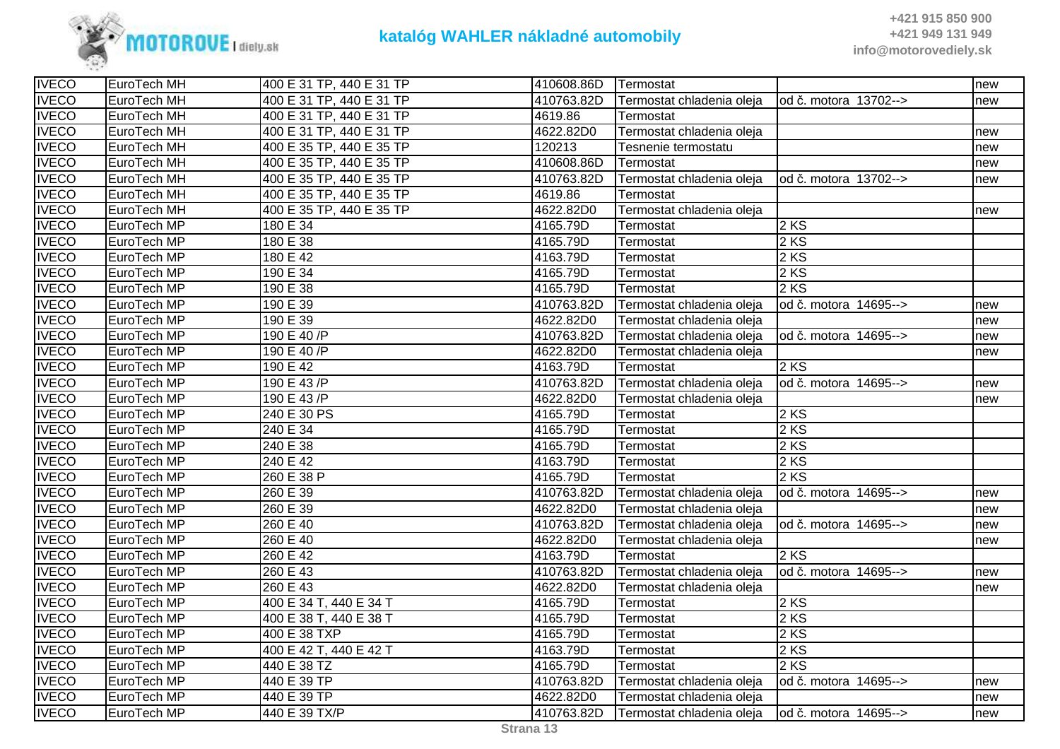

| <b>IVECO</b> | EuroTech MH | 400 E 31 TP, 440 E 31 TP | 410608.86D | <b>Termostat</b>          |                        | new |
|--------------|-------------|--------------------------|------------|---------------------------|------------------------|-----|
| <b>IVECO</b> | EuroTech MH | 400 E 31 TP, 440 E 31 TP | 410763.82D | Termostat chladenia oleja | od č. motora 13702-->  | new |
| <b>IVECO</b> | EuroTech MH | 400 E 31 TP, 440 E 31 TP | 4619.86    | Termostat                 |                        |     |
| <b>IVECO</b> | EuroTech MH | 400 E 31 TP, 440 E 31 TP | 4622.82D0  | Termostat chladenia oleja |                        | new |
| <b>IVECO</b> | EuroTech MH | 400 E 35 TP, 440 E 35 TP | 120213     | Tesnenie termostatu       |                        | new |
| <b>IVECO</b> | EuroTech MH | 400 E 35 TP, 440 E 35 TP | 410608.86D | Termostat                 |                        | new |
| <b>IVECO</b> | EuroTech MH | 400 E 35 TP, 440 E 35 TP | 410763.82D | Termostat chladenia oleja | od č. motora 13702-->  | new |
| <b>IVECO</b> | EuroTech MH | 400 E 35 TP, 440 E 35 TP | 4619.86    | Termostat                 |                        |     |
| <b>IVECO</b> | EuroTech MH | 400 E 35 TP, 440 E 35 TP | 4622.82D0  | Termostat chladenia oleja |                        | new |
| <b>IVECO</b> | EuroTech MP | 180 E 34                 | 4165.79D   | Termostat                 | 2 KS                   |     |
| <b>IVECO</b> | EuroTech MP | 180 E 38                 | 4165.79D   | Termostat                 | 2 KS                   |     |
| <b>IVECO</b> | EuroTech MP | 180 E 42                 | 4163.79D   | Termostat                 | 2KS                    |     |
| <b>IVECO</b> | EuroTech MP | 190 E 34                 | 4165.79D   | Termostat                 | 2KS                    |     |
| <b>IVECO</b> | EuroTech MP | 190 E 38                 | 4165.79D   | Termostat                 | $2$ KS                 |     |
| <b>IVECO</b> | EuroTech MP | 190 E 39                 | 410763.82D | Termostat chladenia oleja | od č. motora 14695-->  | new |
| <b>IVECO</b> | EuroTech MP | 190 E 39                 | 4622.82D0  | Termostat chladenia oleja |                        | new |
| <b>IVECO</b> | EuroTech MP | 190 E 40 P               | 410763.82D | Termostat chladenia oleja | od č. motora 14695-->  | new |
| <b>IVECO</b> | EuroTech MP | 190 E 40 /P              | 4622.82D0  | Termostat chladenia oleja |                        | new |
| <b>IVECO</b> | EuroTech MP | 190 E 42                 | 4163.79D   | Termostat                 | 2KS                    |     |
| <b>IVECO</b> | EuroTech MP | 190 E 43 /P              | 410763.82D | Termostat chladenia oleja | od č. motora 14695-->  | new |
| <b>IVECO</b> | EuroTech MP | 190 E 43 /P              | 4622.82D0  | Termostat chladenia oleja |                        | new |
| <b>IVECO</b> | EuroTech MP | 240 E 30 PS              | 4165.79D   | Termostat                 | 2 KS                   |     |
| <b>IVECO</b> | EuroTech MP | 240 E 34                 | 4165.79D   | Termostat                 | 2 KS                   |     |
| <b>IVECO</b> | EuroTech MP | 240 E 38                 | 4165.79D   | Termostat                 | 2 KS                   |     |
| <b>IVECO</b> | EuroTech MP | 240 E 42                 | 4163.79D   | Termostat                 | 2 KS                   |     |
| <b>IVECO</b> | EuroTech MP | 260 E 38 P               | 4165.79D   | Termostat                 | 2KS                    |     |
| <b>IVECO</b> | EuroTech MP | 260 E 39                 | 410763.82D | Termostat chladenia oleja | od č. motora 14695-->  | new |
| <b>IVECO</b> | EuroTech MP | 260 E 39                 | 4622.82D0  | Termostat chladenia oleja |                        | new |
| <b>IVECO</b> | EuroTech MP | 260 E 40                 | 410763.82D | Termostat chladenia oleja | od č. motora 14695-->  | new |
| <b>IVECO</b> | EuroTech MP | 260 E 40                 | 4622.82D0  | Termostat chladenia oleja |                        | new |
| <b>IVECO</b> | EuroTech MP | 260 E 42                 | 4163.79D   | Termostat                 | 2 KS                   |     |
| <b>IVECO</b> | EuroTech MP | 260 E 43                 | 410763.82D | Termostat chladenia oleja | od č. motora 14695-->  | new |
| <b>IVECO</b> | EuroTech MP | 260 E 43                 | 4622.82D0  | Termostat chladenia oleja |                        | new |
| <b>IVECO</b> | EuroTech MP | 400 E 34 T, 440 E 34 T   | 4165.79D   | Termostat                 | 2 KS                   |     |
| <b>IVECO</b> | EuroTech MP | 400 E 38 T, 440 E 38 T   | 4165.79D   | Termostat                 | 2 KS                   |     |
| <b>IVECO</b> | EuroTech MP | 400 E 38 TXP             | 4165.79D   | Termostat                 | 2 KS                   |     |
| <b>IVECO</b> | EuroTech MP | 400 E 42 T, 440 E 42 T   | 4163.79D   | Termostat                 | 2 KS                   |     |
| <b>IVECO</b> | EuroTech MP | 440 E 38 TZ              | 4165.79D   | Termostat                 | $2$ KS                 |     |
| <b>IVECO</b> | EuroTech MP | 440 E 39 TP              | 410763.82D | Termostat chladenia oleja | od č. motora 14695-->  | new |
| <b>IVECO</b> | EuroTech MP | 440 E 39 TP              | 4622.82D0  | Termostat chladenia oleja |                        | new |
| <b>IVECO</b> | EuroTech MP | 440 E 39 TX/P            | 410763.82D | Termostat chladenia oleja | lod č. motora 14695--> | new |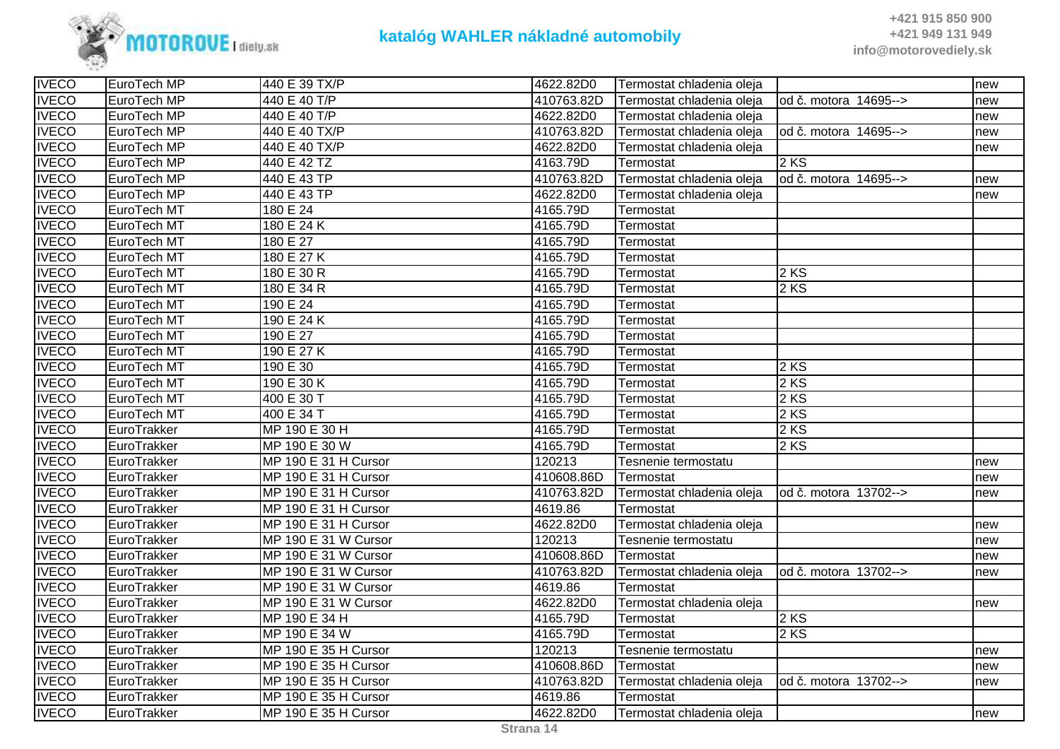

| <b>IVECO</b> | EuroTech MP | 440 E 39 TX/P        | 4622.82D0  | Termostat chladenia oleja |                        | new |
|--------------|-------------|----------------------|------------|---------------------------|------------------------|-----|
| <b>IVECO</b> | EuroTech MP | 440 E 40 T/P         | 410763.82D | Termostat chladenia oleja | lod č. motora 14695--> | new |
| <b>IVECO</b> | EuroTech MP | 440 E 40 T/P         | 4622.82D0  | Termostat chladenia oleja |                        | new |
| <b>IVECO</b> | EuroTech MP | 440 E 40 TX/P        | 410763.82D | Termostat chladenia oleja | od č. motora 14695-->  | new |
| <b>IVECO</b> | EuroTech MP | 440 E 40 TX/P        | 4622.82D0  | Termostat chladenia oleja |                        | new |
| <b>IVECO</b> | EuroTech MP | 440 E 42 TZ          | 4163.79D   | Termostat                 | 2 KS                   |     |
| <b>IVECO</b> | EuroTech MP | 440 E 43 TP          | 410763.82D | Termostat chladenia oleja | od č. motora 14695-->  | new |
| <b>IVECO</b> | EuroTech MP | 440 E 43 TP          | 4622.82D0  | Termostat chladenia oleja |                        | new |
| <b>IVECO</b> | EuroTech MT | 180 E 24             | 4165.79D   | Termostat                 |                        |     |
| <b>IVECO</b> | EuroTech MT | 180 E 24 K           | 4165.79D   | Termostat                 |                        |     |
| <b>IVECO</b> | EuroTech MT | 180 E 27             | 4165.79D   | Termostat                 |                        |     |
| <b>IVECO</b> | EuroTech MT | 180 E 27 K           | 4165.79D   | Termostat                 |                        |     |
| <b>IVECO</b> | EuroTech MT | 180 E 30 R           | 4165.79D   | Termostat                 | 2 KS                   |     |
| <b>IVECO</b> | EuroTech MT | 180 E 34 R           | 4165.79D   | Termostat                 | 2 KS                   |     |
| <b>IVECO</b> | EuroTech MT | 190 E 24             | 4165.79D   | Termostat                 |                        |     |
| <b>IVECO</b> | EuroTech MT | 190 E 24 K           | 4165.79D   | Termostat                 |                        |     |
| <b>IVECO</b> | EuroTech MT | 190 E 27             | 4165.79D   | Termostat                 |                        |     |
| <b>IVECO</b> | EuroTech MT | 190 E 27 K           | 4165.79D   | Termostat                 |                        |     |
| <b>IVECO</b> | EuroTech MT | 190 E 30             | 4165.79D   | Termostat                 | 2 KS                   |     |
| <b>IVECO</b> | EuroTech MT | 190 E 30 K           | 4165.79D   | Termostat                 | 2 KS                   |     |
| <b>IVECO</b> | EuroTech MT | 400 E 30 T           | 4165.79D   | Termostat                 | 2 KS                   |     |
| <b>IVECO</b> | EuroTech MT | 400 E 34 T           | 4165.79D   | Termostat                 | 2 KS                   |     |
| <b>IVECO</b> | EuroTrakker | MP 190 E 30 H        | 4165.79D   | Termostat                 | 2 KS                   |     |
| <b>IVECO</b> | EuroTrakker | MP 190 E 30 W        | 4165.79D   | Termostat                 | 2 KS                   |     |
| <b>IVECO</b> | EuroTrakker | MP 190 E 31 H Cursor | 120213     | Tesnenie termostatu       |                        | new |
| <b>IVECO</b> | EuroTrakker | MP 190 E 31 H Cursor | 410608.86D | Termostat                 |                        | new |
| <b>IVECO</b> | EuroTrakker | MP 190 E 31 H Cursor | 410763.82D | Termostat chladenia oleja | od č. motora 13702-->  | new |
| <b>IVECO</b> | EuroTrakker | MP 190 E 31 H Cursor | 4619.86    | Termostat                 |                        |     |
| <b>IVECO</b> | EuroTrakker | MP 190 E 31 H Cursor | 4622.82D0  | Termostat chladenia oleja |                        | new |
| <b>IVECO</b> | EuroTrakker | MP 190 E 31 W Cursor | 120213     | Tesnenie termostatu       |                        | new |
| <b>IVECO</b> | EuroTrakker | MP 190 E 31 W Cursor | 410608.86D | Termostat                 |                        | new |
| <b>IVECO</b> | EuroTrakker | MP 190 E 31 W Cursor | 410763.82D | Termostat chladenia oleja | od č. motora 13702-->  | new |
| <b>IVECO</b> | EuroTrakker | MP 190 E 31 W Cursor | 4619.86    | Termostat                 |                        |     |
| <b>IVECO</b> | EuroTrakker | MP 190 E 31 W Cursor | 4622.82D0  | Termostat chladenia oleja |                        | new |
| <b>IVECO</b> | EuroTrakker | MP 190 E 34 H        | 4165.79D   | Termostat                 | 2 KS                   |     |
| <b>IVECO</b> | EuroTrakker | MP 190 E 34 W        | 4165.79D   | Termostat                 | 2 KS                   |     |
| <b>IVECO</b> | EuroTrakker | MP 190 E 35 H Cursor | 120213     | Tesnenie termostatu       |                        | new |
| <b>IVECO</b> | EuroTrakker | MP 190 E 35 H Cursor | 410608.86D | Termostat                 |                        | new |
| <b>IVECO</b> | EuroTrakker | MP 190 E 35 H Cursor | 410763.82D | Termostat chladenia oleja | lod č. motora 13702--> | new |
| <b>IVECO</b> | EuroTrakker | MP 190 E 35 H Cursor | 4619.86    | Termostat                 |                        |     |
| <b>IVECO</b> | EuroTrakker | MP 190 E 35 H Cursor | 4622.82D0  | Termostat chladenia oleja |                        | new |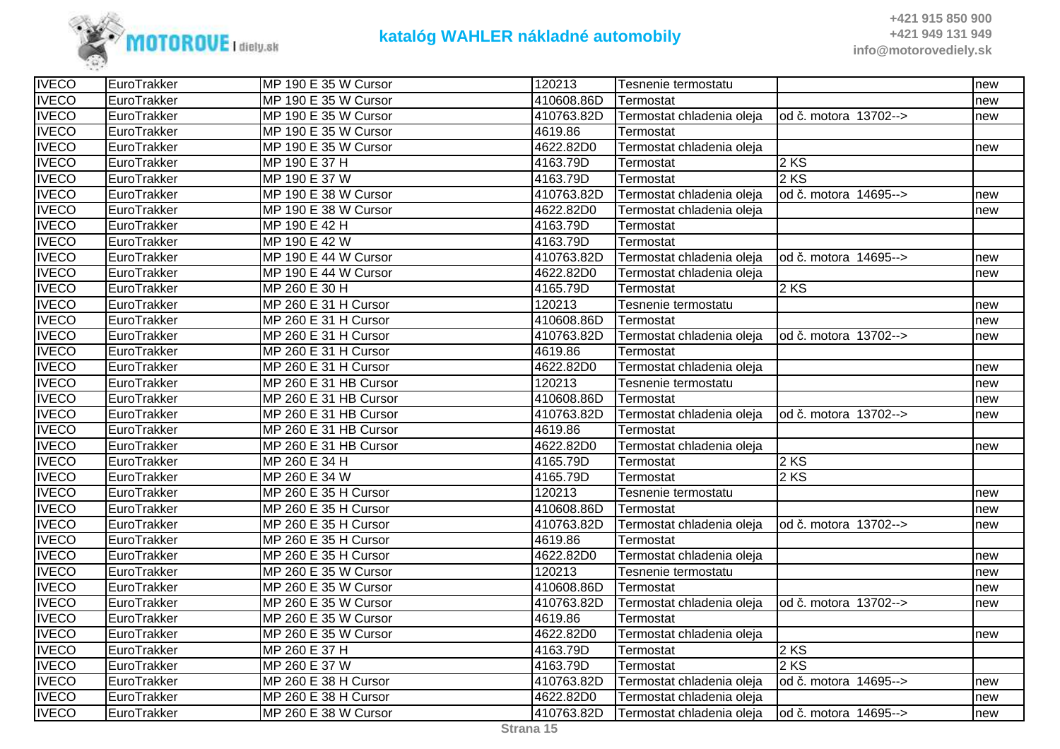

| <b>IVECO</b> | EuroTrakker | MP 190 E 35 W Cursor  | 120213     | Tesnenie termostatu       |                        | new |
|--------------|-------------|-----------------------|------------|---------------------------|------------------------|-----|
| <b>IVECO</b> | EuroTrakker | MP 190 E 35 W Cursor  | 410608.86D | Termostat                 |                        | new |
| <b>IVECO</b> | EuroTrakker | MP 190 E 35 W Cursor  | 410763.82D | Termostat chladenia oleja | lod č. motora 13702--> | new |
| <b>IVECO</b> | EuroTrakker | MP 190 E 35 W Cursor  | 4619.86    | Termostat                 |                        |     |
| <b>IVECO</b> | EuroTrakker | MP 190 E 35 W Cursor  | 4622.82D0  | Termostat chladenia oleja |                        | new |
| <b>IVECO</b> | EuroTrakker | MP 190 E 37 H         | 4163.79D   | Termostat                 | $2$ KS                 |     |
| <b>IVECO</b> | EuroTrakker | MP 190 E 37 W         | 4163.79D   | Termostat                 | 2 KS                   |     |
| <b>IVECO</b> | EuroTrakker | MP 190 E 38 W Cursor  | 410763.82D | Termostat chladenia oleja | od č. motora 14695-->  | new |
| <b>IVECO</b> | EuroTrakker | MP 190 E 38 W Cursor  | 4622.82D0  | Termostat chladenia oleja |                        | new |
| <b>IVECO</b> | EuroTrakker | MP 190 E 42 H         | 4163.79D   | Termostat                 |                        |     |
| <b>IVECO</b> | EuroTrakker | MP 190 E 42 W         | 4163.79D   | Termostat                 |                        |     |
| <b>IVECO</b> | EuroTrakker | MP 190 E 44 W Cursor  | 410763.82D | Termostat chladenia oleja | od č. motora 14695-->  | new |
| <b>IVECO</b> | EuroTrakker | MP 190 E 44 W Cursor  | 4622.82D0  | Termostat chladenia oleja |                        | new |
| <b>IVECO</b> | EuroTrakker | MP 260 E 30 H         | 4165.79D   | Termostat                 | $2$ KS                 |     |
| <b>IVECO</b> | EuroTrakker | MP 260 E 31 H Cursor  | 120213     | Tesnenie termostatu       |                        | new |
| <b>IVECO</b> | EuroTrakker | MP 260 E 31 H Cursor  | 410608.86D | Termostat                 |                        | new |
| <b>IVECO</b> | EuroTrakker | MP 260 E 31 H Cursor  | 410763.82D | Termostat chladenia oleja | od č. motora 13702-->  | new |
| <b>IVECO</b> | EuroTrakker | MP 260 E 31 H Cursor  | 4619.86    | Termostat                 |                        |     |
| <b>IVECO</b> | EuroTrakker | MP 260 E 31 H Cursor  | 4622.82D0  | Termostat chladenia oleja |                        | new |
| <b>IVECO</b> | EuroTrakker | MP 260 E 31 HB Cursor | 120213     | Tesnenie termostatu       |                        | new |
| <b>IVECO</b> | EuroTrakker | MP 260 E 31 HB Cursor | 410608.86D | Termostat                 |                        | new |
| <b>IVECO</b> | EuroTrakker | MP 260 E 31 HB Cursor | 410763.82D | Termostat chladenia oleja | od č. motora 13702-->  | new |
| <b>IVECO</b> | EuroTrakker | MP 260 E 31 HB Cursor | 4619.86    | Termostat                 |                        |     |
| <b>IVECO</b> | EuroTrakker | MP 260 E 31 HB Cursor | 4622.82D0  | Termostat chladenia oleja |                        | new |
| <b>IVECO</b> | EuroTrakker | MP 260 E 34 H         | 4165.79D   | Termostat                 | $2$ KS                 |     |
| <b>IVECO</b> | EuroTrakker | MP 260 E 34 W         | 4165.79D   | Termostat                 | $2$ KS                 |     |
| <b>IVECO</b> | EuroTrakker | MP 260 E 35 H Cursor  | 120213     | Tesnenie termostatu       |                        | new |
| <b>IVECO</b> | EuroTrakker | MP 260 E 35 H Cursor  | 410608.86D | Termostat                 |                        | new |
| <b>IVECO</b> | EuroTrakker | MP 260 E 35 H Cursor  | 410763.82D | Termostat chladenia oleja | od č. motora 13702-->  | new |
| <b>IVECO</b> | EuroTrakker | MP 260 E 35 H Cursor  | 4619.86    | Termostat                 |                        |     |
| <b>IVECO</b> | EuroTrakker | MP 260 E 35 H Cursor  | 4622.82D0  | Termostat chladenia oleja |                        | new |
| <b>IVECO</b> | EuroTrakker | MP 260 E 35 W Cursor  | 120213     | Tesnenie termostatu       |                        | new |
| <b>IVECO</b> | EuroTrakker | MP 260 E 35 W Cursor  | 410608.86D | Termostat                 |                        | new |
| <b>IVECO</b> | EuroTrakker | MP 260 E 35 W Cursor  | 410763.82D | Termostat chladenia oleja | od č. motora 13702-->  | new |
| <b>IVECO</b> | EuroTrakker | MP 260 E 35 W Cursor  | 4619.86    | Termostat                 |                        |     |
| <b>IVECO</b> | EuroTrakker | MP 260 E 35 W Cursor  | 4622.82D0  | Termostat chladenia oleja |                        | new |
| <b>IVECO</b> | EuroTrakker | MP 260 E 37 H         | 4163.79D   | Termostat                 | 2 KS                   |     |
| <b>IVECO</b> | EuroTrakker | MP 260 E 37 W         | 4163.79D   | Termostat                 | 2 KS                   |     |
| <b>IVECO</b> | EuroTrakker | MP 260 E 38 H Cursor  | 410763.82D | Termostat chladenia oleja | od č. motora 14695-->  | new |
| <b>IVECO</b> | EuroTrakker | MP 260 E 38 H Cursor  | 4622.82D0  | Termostat chladenia oleja |                        | new |
| <b>IVECO</b> | EuroTrakker | MP 260 E 38 W Cursor  | 410763.82D | Termostat chladenia oleja | od č. motora 14695-->  | new |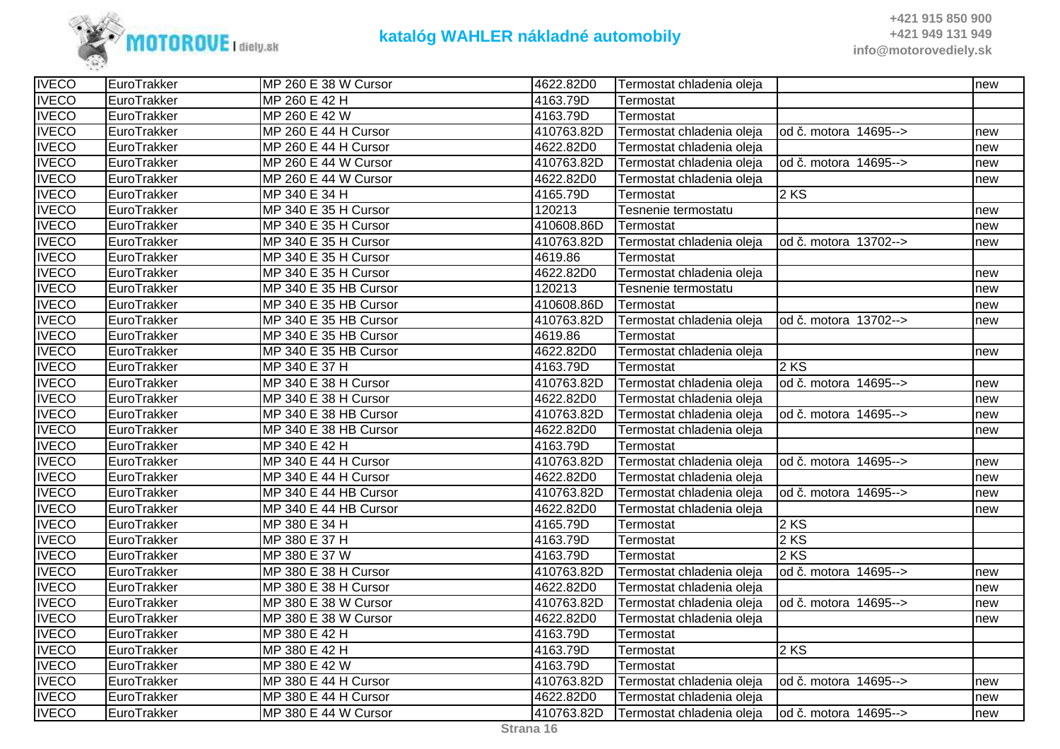

| <b>IVECO</b> | EuroTrakker | MP 260 E 38 W Cursor  | 4622.82D0  | Termostat chladenia oleja |                       | new |
|--------------|-------------|-----------------------|------------|---------------------------|-----------------------|-----|
| <b>IVECO</b> | EuroTrakker | MP 260 E 42 H         | 4163.79D   | Termostat                 |                       |     |
| <b>IVECO</b> | EuroTrakker | MP 260 E 42 W         | 4163.79D   | Termostat                 |                       |     |
| <b>IVECO</b> | EuroTrakker | MP 260 E 44 H Cursor  | 410763.82D | Termostat chladenia oleja | od č. motora 14695--> | new |
| <b>IVECO</b> | EuroTrakker | MP 260 E 44 H Cursor  | 4622.82D0  | Termostat chladenia oleja |                       | new |
| <b>IVECO</b> | EuroTrakker | MP 260 E 44 W Cursor  | 410763.82D | Termostat chladenia oleja | od č. motora 14695--> | new |
| <b>IVECO</b> | EuroTrakker | MP 260 E 44 W Cursor  | 4622.82D0  | Termostat chladenia oleja |                       | new |
| <b>IVECO</b> | EuroTrakker | MP 340 E 34 H         | 4165.79D   | Termostat                 | $2$ KS                |     |
| <b>IVECO</b> | EuroTrakker | MP 340 E 35 H Cursor  | 120213     | Tesnenie termostatu       |                       | new |
| <b>IVECO</b> | EuroTrakker | MP 340 E 35 H Cursor  | 410608.86D | Termostat                 |                       | new |
| <b>IVECO</b> | EuroTrakker | MP 340 E 35 H Cursor  | 410763.82D | Termostat chladenia oleja | od č. motora 13702--> | new |
| <b>IVECO</b> | EuroTrakker | MP 340 E 35 H Cursor  | 4619.86    | Termostat                 |                       |     |
| <b>IVECO</b> | EuroTrakker | MP 340 E 35 H Cursor  | 4622.82D0  | Termostat chladenia oleja |                       | new |
| <b>IVECO</b> | EuroTrakker | MP 340 E 35 HB Cursor | 120213     | Tesnenie termostatu       |                       | new |
| <b>IVECO</b> | EuroTrakker | MP 340 E 35 HB Cursor | 410608.86D | Termostat                 |                       | new |
| <b>IVECO</b> | EuroTrakker | MP 340 E 35 HB Cursor | 410763.82D | Termostat chladenia oleja | od č. motora 13702--> | new |
| <b>IVECO</b> | EuroTrakker | MP 340 E 35 HB Cursor | 4619.86    | Termostat                 |                       |     |
| <b>IVECO</b> | EuroTrakker | MP 340 E 35 HB Cursor | 4622.82D0  | Termostat chladenia oleja |                       | new |
| <b>IVECO</b> | EuroTrakker | MP 340 E 37 H         | 4163.79D   | Termostat                 | $2$ KS                |     |
| <b>IVECO</b> | EuroTrakker | MP 340 E 38 H Cursor  | 410763.82D | Termostat chladenia oleja | od č. motora 14695--> | new |
| <b>IVECO</b> | EuroTrakker | MP 340 E 38 H Cursor  | 4622.82D0  | Termostat chladenia oleja |                       | new |
| <b>IVECO</b> | EuroTrakker | MP 340 E 38 HB Cursor | 410763.82D | Termostat chladenia oleja | od č. motora 14695--> | new |
| <b>IVECO</b> | EuroTrakker | MP 340 E 38 HB Cursor | 4622.82D0  | Termostat chladenia oleja |                       | new |
| <b>IVECO</b> | EuroTrakker | MP 340 E 42 H         | 4163.79D   | Termostat                 |                       |     |
| <b>IVECO</b> | EuroTrakker | MP 340 E 44 H Cursor  | 410763.82D | Termostat chladenia oleja | od č. motora 14695--> | new |
| <b>IVECO</b> | EuroTrakker | MP 340 E 44 H Cursor  | 4622.82D0  | Termostat chladenia oleja |                       | new |
| <b>IVECO</b> | EuroTrakker | MP 340 E 44 HB Cursor | 410763.82D | Termostat chladenia oleja | od č. motora 14695--> | new |
| <b>IVECO</b> | EuroTrakker | MP 340 E 44 HB Cursor | 4622.82D0  | Termostat chladenia oleja |                       | new |
| <b>IVECO</b> | EuroTrakker | MP 380 E 34 H         | 4165.79D   | Termostat                 | 2 KS                  |     |
| <b>IVECO</b> | EuroTrakker | MP 380 E 37 H         | 4163.79D   | Termostat                 | 2 KS                  |     |
| <b>IVECO</b> | EuroTrakker | MP 380 E 37 W         | 4163.79D   | Termostat                 | 2 KS                  |     |
| <b>IVECO</b> | EuroTrakker | MP 380 E 38 H Cursor  | 410763.82D | Termostat chladenia oleja | od č. motora 14695--> | new |
| <b>IVECO</b> | EuroTrakker | MP 380 E 38 H Cursor  | 4622.82D0  | Termostat chladenia oleja |                       | new |
| <b>IVECO</b> | EuroTrakker | MP 380 E 38 W Cursor  | 410763.82D | Termostat chladenia oleja | od č. motora 14695--> | new |
| <b>IVECO</b> | EuroTrakker | MP 380 E 38 W Cursor  | 4622.82D0  | Termostat chladenia oleja |                       | new |
| <b>IVECO</b> | EuroTrakker | MP 380 E 42 H         | 4163.79D   | Termostat                 |                       |     |
| <b>IVECO</b> | EuroTrakker | MP 380 E 42 H         | 4163.79D   | Termostat                 | 2 KS                  |     |
| <b>IVECO</b> | EuroTrakker | MP 380 E 42 W         | 4163.79D   | Termostat                 |                       |     |
| <b>IVECO</b> | EuroTrakker | MP 380 E 44 H Cursor  | 410763.82D | Termostat chladenia oleja | od č. motora 14695--> | new |
| <b>IVECO</b> | EuroTrakker | MP 380 E 44 H Cursor  | 4622.82D0  | Termostat chladenia oleja |                       | new |
| <b>IVECO</b> | EuroTrakker | MP 380 E 44 W Cursor  | 410763.82D | Termostat chladenia oleja | od č. motora 14695--> | new |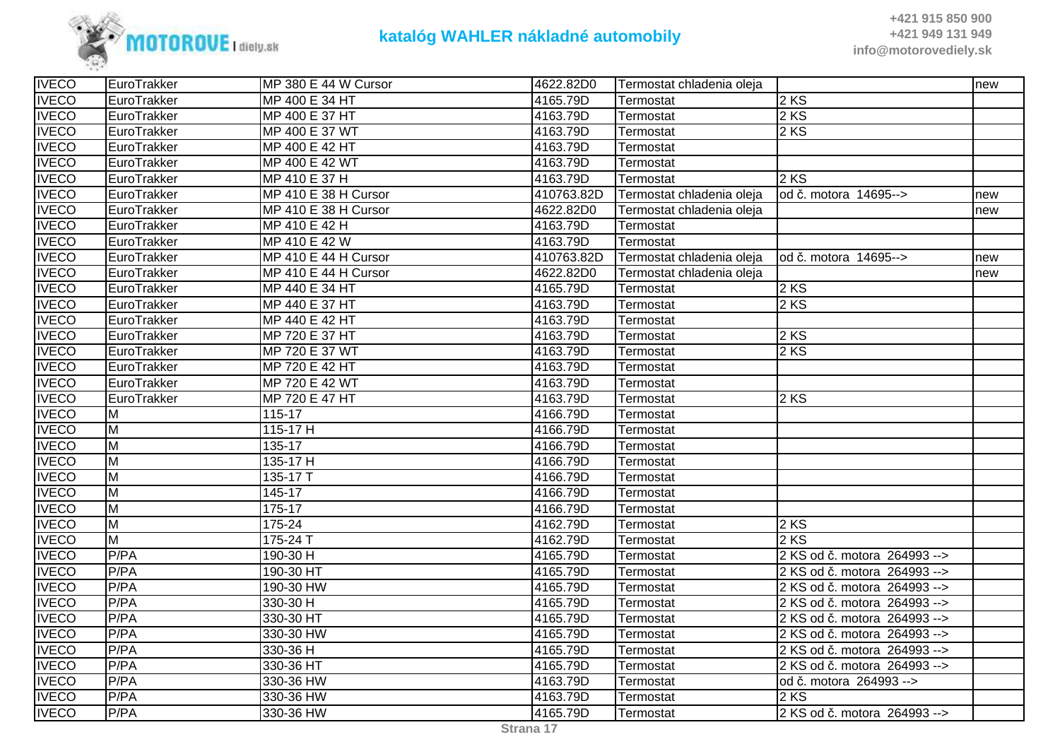

| 4165.79D<br>$2$ KS<br>MP 400 E 34 HT<br>EuroTrakker<br>Termostat<br>4163.79D<br>$2$ KS<br>MP 400 E 37 HT<br>EuroTrakker<br>Termostat<br><b>IVECO</b><br>MP 400 E 37 WT<br>4163.79D<br>$2$ KS<br>EuroTrakker<br>Termostat<br>4163.79D<br>MP 400 E 42 HT<br>EuroTrakker<br>Termostat<br><b>IVECO</b><br>MP 400 E 42 WT<br>4163.79D<br>EuroTrakker<br>Termostat<br>2 KS<br>MP 410 E 37 H<br>4163.79D<br>EuroTrakker<br>Termostat<br>410763.82D<br>od č. motora 14695--><br>EuroTrakker<br>MP 410 E 38 H Cursor<br>Termostat chladenia oleja<br>new<br><b>IVECO</b><br>EuroTrakker<br>MP 410 E 38 H Cursor<br>4622.82D0<br>Termostat chladenia oleja<br>new<br>4163.79D<br>EuroTrakker<br>MP 410 E 42 H<br>Termostat<br><b>IVECO</b><br>MP 410 E 42 W<br>4163.79D<br>EuroTrakker<br>Termostat<br>MP 410 E 44 H Cursor<br>410763.82D<br>EuroTrakker<br>Termostat chladenia oleja<br>od č. motora 14695--><br>new<br>MP 410 E 44 H Cursor<br>4622.82D0<br>EuroTrakker<br>Termostat chladenia oleja<br>new<br>$2$ KS<br>EuroTrakker<br>MP 440 E 34 HT<br>4165.79D<br>Termostat<br>2 KS<br>4163.79D<br>EuroTrakker<br>MP 440 E 37 HT<br>Termostat<br><b>IVECO</b><br>4163.79D<br>MP 440 E 42 HT<br>EuroTrakker<br>Termostat<br>$2$ KS<br>MP 720 E 37 HT<br>4163.79D<br>EuroTrakker<br>Termostat<br>$2$ KS<br>MP 720 E 37 WT<br>4163.79D<br>EuroTrakker<br>Termostat<br>MP 720 E 42 HT<br>4163.79D<br>EuroTrakker<br>Termostat<br>MP 720 E 42 WT<br>4163.79D<br>EuroTrakker<br>Termostat<br><b>IVECO</b><br>4163.79D<br>$2$ KS<br>EuroTrakker<br>MP 720 E 47 HT<br>Termostat<br>115-17<br>4166.79D<br>M<br>Termostat<br><b>IVECO</b><br>M<br>4166.79D<br>$115-17$ H<br>Termostat<br>M<br>135-17<br>4166.79D<br>Termostat<br>$\overline{M}$<br>4166.79D<br>135-17 H<br>Termostat<br><b>IVECO</b><br>M<br>4166.79D<br>135-17 T<br>Termostat<br>M<br>145-17<br>4166.79D<br>Termostat<br><b>IVECO</b><br>M<br>$175 - 17$<br>4166.79D<br>Termostat<br>M<br>$2$ KS<br>175-24<br>4162.79D<br>Termostat<br>M<br>$175 - 24$ T<br>2 KS<br>4162.79D<br>Termostat<br><b>IVECO</b><br>P/PA<br>4165.79D<br>2 KS od č. motora 264993 --><br>190-30 H<br>Termostat<br><b>IVECO</b><br>P/PA<br>190-30 HT<br>4165.79D<br>2 KS od č. motora 264993 --><br>Termostat<br><b>IVECO</b><br>P/PA<br>4165.79D<br>190-30 HW<br>2 KS od č. motora 264993 --><br>Termostat<br>P/PA<br>330-30 H<br>4165.79D<br>2 KS od č. motora 264993 --><br>Termostat<br><b>IVECO</b><br>P/PA<br>330-30 HT<br>4165.79D<br>Termostat<br>2 KS od č. motora 264993 --><br><b>IVECO</b><br>P/PA<br>4165.79D<br>330-30 HW<br>2 KS od č. motora 264993 --><br>Termostat<br>P/PA<br>330-36 H<br>4165.79D<br>2 KS od č. motora 264993 --><br>Termostat<br>P/PA<br>4165.79D<br>330-36 HT<br>2 KS od č. motora 264993 --><br>Termostat<br>P/PA<br>330-36 HW<br>4163.79D<br>od č. motora 264993 --><br>Termostat<br><b>IVECO</b><br>$2 K\overline{S}$<br>P/PA<br>4163.79D<br>330-36 HW<br>Termostat<br><b>IVECO</b><br>P/PA<br>330-36 HW<br>4165.79D<br>2 KS od č. motora 264993 --><br>Termostat | <b>IVECO</b> | EuroTrakker | MP 380 E 44 W Cursor | 4622.82D0 | Termostat chladenia oleja | new |
|-------------------------------------------------------------------------------------------------------------------------------------------------------------------------------------------------------------------------------------------------------------------------------------------------------------------------------------------------------------------------------------------------------------------------------------------------------------------------------------------------------------------------------------------------------------------------------------------------------------------------------------------------------------------------------------------------------------------------------------------------------------------------------------------------------------------------------------------------------------------------------------------------------------------------------------------------------------------------------------------------------------------------------------------------------------------------------------------------------------------------------------------------------------------------------------------------------------------------------------------------------------------------------------------------------------------------------------------------------------------------------------------------------------------------------------------------------------------------------------------------------------------------------------------------------------------------------------------------------------------------------------------------------------------------------------------------------------------------------------------------------------------------------------------------------------------------------------------------------------------------------------------------------------------------------------------------------------------------------------------------------------------------------------------------------------------------------------------------------------------------------------------------------------------------------------------------------------------------------------------------------------------------------------------------------------------------------------------------------------------------------------------------------------------------------------------------------------------------------------------------------------------------------------------------------------------------------------------------------------------------------------------------------------------------------------------------------------------------------------------------------------------------------------------------------------------------------------------------------------------------------------------------------------------------------------------------------------------------------------------------------------------------------------|--------------|-------------|----------------------|-----------|---------------------------|-----|
|                                                                                                                                                                                                                                                                                                                                                                                                                                                                                                                                                                                                                                                                                                                                                                                                                                                                                                                                                                                                                                                                                                                                                                                                                                                                                                                                                                                                                                                                                                                                                                                                                                                                                                                                                                                                                                                                                                                                                                                                                                                                                                                                                                                                                                                                                                                                                                                                                                                                                                                                                                                                                                                                                                                                                                                                                                                                                                                                                                                                                                     | <b>IVECO</b> |             |                      |           |                           |     |
|                                                                                                                                                                                                                                                                                                                                                                                                                                                                                                                                                                                                                                                                                                                                                                                                                                                                                                                                                                                                                                                                                                                                                                                                                                                                                                                                                                                                                                                                                                                                                                                                                                                                                                                                                                                                                                                                                                                                                                                                                                                                                                                                                                                                                                                                                                                                                                                                                                                                                                                                                                                                                                                                                                                                                                                                                                                                                                                                                                                                                                     | <b>IVECO</b> |             |                      |           |                           |     |
|                                                                                                                                                                                                                                                                                                                                                                                                                                                                                                                                                                                                                                                                                                                                                                                                                                                                                                                                                                                                                                                                                                                                                                                                                                                                                                                                                                                                                                                                                                                                                                                                                                                                                                                                                                                                                                                                                                                                                                                                                                                                                                                                                                                                                                                                                                                                                                                                                                                                                                                                                                                                                                                                                                                                                                                                                                                                                                                                                                                                                                     |              |             |                      |           |                           |     |
|                                                                                                                                                                                                                                                                                                                                                                                                                                                                                                                                                                                                                                                                                                                                                                                                                                                                                                                                                                                                                                                                                                                                                                                                                                                                                                                                                                                                                                                                                                                                                                                                                                                                                                                                                                                                                                                                                                                                                                                                                                                                                                                                                                                                                                                                                                                                                                                                                                                                                                                                                                                                                                                                                                                                                                                                                                                                                                                                                                                                                                     | <b>IVECO</b> |             |                      |           |                           |     |
|                                                                                                                                                                                                                                                                                                                                                                                                                                                                                                                                                                                                                                                                                                                                                                                                                                                                                                                                                                                                                                                                                                                                                                                                                                                                                                                                                                                                                                                                                                                                                                                                                                                                                                                                                                                                                                                                                                                                                                                                                                                                                                                                                                                                                                                                                                                                                                                                                                                                                                                                                                                                                                                                                                                                                                                                                                                                                                                                                                                                                                     |              |             |                      |           |                           |     |
|                                                                                                                                                                                                                                                                                                                                                                                                                                                                                                                                                                                                                                                                                                                                                                                                                                                                                                                                                                                                                                                                                                                                                                                                                                                                                                                                                                                                                                                                                                                                                                                                                                                                                                                                                                                                                                                                                                                                                                                                                                                                                                                                                                                                                                                                                                                                                                                                                                                                                                                                                                                                                                                                                                                                                                                                                                                                                                                                                                                                                                     | <b>IVECO</b> |             |                      |           |                           |     |
|                                                                                                                                                                                                                                                                                                                                                                                                                                                                                                                                                                                                                                                                                                                                                                                                                                                                                                                                                                                                                                                                                                                                                                                                                                                                                                                                                                                                                                                                                                                                                                                                                                                                                                                                                                                                                                                                                                                                                                                                                                                                                                                                                                                                                                                                                                                                                                                                                                                                                                                                                                                                                                                                                                                                                                                                                                                                                                                                                                                                                                     | <b>IVECO</b> |             |                      |           |                           |     |
|                                                                                                                                                                                                                                                                                                                                                                                                                                                                                                                                                                                                                                                                                                                                                                                                                                                                                                                                                                                                                                                                                                                                                                                                                                                                                                                                                                                                                                                                                                                                                                                                                                                                                                                                                                                                                                                                                                                                                                                                                                                                                                                                                                                                                                                                                                                                                                                                                                                                                                                                                                                                                                                                                                                                                                                                                                                                                                                                                                                                                                     |              |             |                      |           |                           |     |
|                                                                                                                                                                                                                                                                                                                                                                                                                                                                                                                                                                                                                                                                                                                                                                                                                                                                                                                                                                                                                                                                                                                                                                                                                                                                                                                                                                                                                                                                                                                                                                                                                                                                                                                                                                                                                                                                                                                                                                                                                                                                                                                                                                                                                                                                                                                                                                                                                                                                                                                                                                                                                                                                                                                                                                                                                                                                                                                                                                                                                                     | <b>IVECO</b> |             |                      |           |                           |     |
|                                                                                                                                                                                                                                                                                                                                                                                                                                                                                                                                                                                                                                                                                                                                                                                                                                                                                                                                                                                                                                                                                                                                                                                                                                                                                                                                                                                                                                                                                                                                                                                                                                                                                                                                                                                                                                                                                                                                                                                                                                                                                                                                                                                                                                                                                                                                                                                                                                                                                                                                                                                                                                                                                                                                                                                                                                                                                                                                                                                                                                     |              |             |                      |           |                           |     |
|                                                                                                                                                                                                                                                                                                                                                                                                                                                                                                                                                                                                                                                                                                                                                                                                                                                                                                                                                                                                                                                                                                                                                                                                                                                                                                                                                                                                                                                                                                                                                                                                                                                                                                                                                                                                                                                                                                                                                                                                                                                                                                                                                                                                                                                                                                                                                                                                                                                                                                                                                                                                                                                                                                                                                                                                                                                                                                                                                                                                                                     | <b>IVECO</b> |             |                      |           |                           |     |
|                                                                                                                                                                                                                                                                                                                                                                                                                                                                                                                                                                                                                                                                                                                                                                                                                                                                                                                                                                                                                                                                                                                                                                                                                                                                                                                                                                                                                                                                                                                                                                                                                                                                                                                                                                                                                                                                                                                                                                                                                                                                                                                                                                                                                                                                                                                                                                                                                                                                                                                                                                                                                                                                                                                                                                                                                                                                                                                                                                                                                                     | <b>IVECO</b> |             |                      |           |                           |     |
|                                                                                                                                                                                                                                                                                                                                                                                                                                                                                                                                                                                                                                                                                                                                                                                                                                                                                                                                                                                                                                                                                                                                                                                                                                                                                                                                                                                                                                                                                                                                                                                                                                                                                                                                                                                                                                                                                                                                                                                                                                                                                                                                                                                                                                                                                                                                                                                                                                                                                                                                                                                                                                                                                                                                                                                                                                                                                                                                                                                                                                     | <b>IVECO</b> |             |                      |           |                           |     |
|                                                                                                                                                                                                                                                                                                                                                                                                                                                                                                                                                                                                                                                                                                                                                                                                                                                                                                                                                                                                                                                                                                                                                                                                                                                                                                                                                                                                                                                                                                                                                                                                                                                                                                                                                                                                                                                                                                                                                                                                                                                                                                                                                                                                                                                                                                                                                                                                                                                                                                                                                                                                                                                                                                                                                                                                                                                                                                                                                                                                                                     | <b>IVECO</b> |             |                      |           |                           |     |
|                                                                                                                                                                                                                                                                                                                                                                                                                                                                                                                                                                                                                                                                                                                                                                                                                                                                                                                                                                                                                                                                                                                                                                                                                                                                                                                                                                                                                                                                                                                                                                                                                                                                                                                                                                                                                                                                                                                                                                                                                                                                                                                                                                                                                                                                                                                                                                                                                                                                                                                                                                                                                                                                                                                                                                                                                                                                                                                                                                                                                                     |              |             |                      |           |                           |     |
|                                                                                                                                                                                                                                                                                                                                                                                                                                                                                                                                                                                                                                                                                                                                                                                                                                                                                                                                                                                                                                                                                                                                                                                                                                                                                                                                                                                                                                                                                                                                                                                                                                                                                                                                                                                                                                                                                                                                                                                                                                                                                                                                                                                                                                                                                                                                                                                                                                                                                                                                                                                                                                                                                                                                                                                                                                                                                                                                                                                                                                     | <b>IVECO</b> |             |                      |           |                           |     |
|                                                                                                                                                                                                                                                                                                                                                                                                                                                                                                                                                                                                                                                                                                                                                                                                                                                                                                                                                                                                                                                                                                                                                                                                                                                                                                                                                                                                                                                                                                                                                                                                                                                                                                                                                                                                                                                                                                                                                                                                                                                                                                                                                                                                                                                                                                                                                                                                                                                                                                                                                                                                                                                                                                                                                                                                                                                                                                                                                                                                                                     | <b>IVECO</b> |             |                      |           |                           |     |
|                                                                                                                                                                                                                                                                                                                                                                                                                                                                                                                                                                                                                                                                                                                                                                                                                                                                                                                                                                                                                                                                                                                                                                                                                                                                                                                                                                                                                                                                                                                                                                                                                                                                                                                                                                                                                                                                                                                                                                                                                                                                                                                                                                                                                                                                                                                                                                                                                                                                                                                                                                                                                                                                                                                                                                                                                                                                                                                                                                                                                                     | <b>IVECO</b> |             |                      |           |                           |     |
|                                                                                                                                                                                                                                                                                                                                                                                                                                                                                                                                                                                                                                                                                                                                                                                                                                                                                                                                                                                                                                                                                                                                                                                                                                                                                                                                                                                                                                                                                                                                                                                                                                                                                                                                                                                                                                                                                                                                                                                                                                                                                                                                                                                                                                                                                                                                                                                                                                                                                                                                                                                                                                                                                                                                                                                                                                                                                                                                                                                                                                     | <b>IVECO</b> |             |                      |           |                           |     |
|                                                                                                                                                                                                                                                                                                                                                                                                                                                                                                                                                                                                                                                                                                                                                                                                                                                                                                                                                                                                                                                                                                                                                                                                                                                                                                                                                                                                                                                                                                                                                                                                                                                                                                                                                                                                                                                                                                                                                                                                                                                                                                                                                                                                                                                                                                                                                                                                                                                                                                                                                                                                                                                                                                                                                                                                                                                                                                                                                                                                                                     |              |             |                      |           |                           |     |
|                                                                                                                                                                                                                                                                                                                                                                                                                                                                                                                                                                                                                                                                                                                                                                                                                                                                                                                                                                                                                                                                                                                                                                                                                                                                                                                                                                                                                                                                                                                                                                                                                                                                                                                                                                                                                                                                                                                                                                                                                                                                                                                                                                                                                                                                                                                                                                                                                                                                                                                                                                                                                                                                                                                                                                                                                                                                                                                                                                                                                                     | <b>IVECO</b> |             |                      |           |                           |     |
|                                                                                                                                                                                                                                                                                                                                                                                                                                                                                                                                                                                                                                                                                                                                                                                                                                                                                                                                                                                                                                                                                                                                                                                                                                                                                                                                                                                                                                                                                                                                                                                                                                                                                                                                                                                                                                                                                                                                                                                                                                                                                                                                                                                                                                                                                                                                                                                                                                                                                                                                                                                                                                                                                                                                                                                                                                                                                                                                                                                                                                     |              |             |                      |           |                           |     |
|                                                                                                                                                                                                                                                                                                                                                                                                                                                                                                                                                                                                                                                                                                                                                                                                                                                                                                                                                                                                                                                                                                                                                                                                                                                                                                                                                                                                                                                                                                                                                                                                                                                                                                                                                                                                                                                                                                                                                                                                                                                                                                                                                                                                                                                                                                                                                                                                                                                                                                                                                                                                                                                                                                                                                                                                                                                                                                                                                                                                                                     | <b>IVECO</b> |             |                      |           |                           |     |
|                                                                                                                                                                                                                                                                                                                                                                                                                                                                                                                                                                                                                                                                                                                                                                                                                                                                                                                                                                                                                                                                                                                                                                                                                                                                                                                                                                                                                                                                                                                                                                                                                                                                                                                                                                                                                                                                                                                                                                                                                                                                                                                                                                                                                                                                                                                                                                                                                                                                                                                                                                                                                                                                                                                                                                                                                                                                                                                                                                                                                                     | <b>IVECO</b> |             |                      |           |                           |     |
|                                                                                                                                                                                                                                                                                                                                                                                                                                                                                                                                                                                                                                                                                                                                                                                                                                                                                                                                                                                                                                                                                                                                                                                                                                                                                                                                                                                                                                                                                                                                                                                                                                                                                                                                                                                                                                                                                                                                                                                                                                                                                                                                                                                                                                                                                                                                                                                                                                                                                                                                                                                                                                                                                                                                                                                                                                                                                                                                                                                                                                     |              |             |                      |           |                           |     |
|                                                                                                                                                                                                                                                                                                                                                                                                                                                                                                                                                                                                                                                                                                                                                                                                                                                                                                                                                                                                                                                                                                                                                                                                                                                                                                                                                                                                                                                                                                                                                                                                                                                                                                                                                                                                                                                                                                                                                                                                                                                                                                                                                                                                                                                                                                                                                                                                                                                                                                                                                                                                                                                                                                                                                                                                                                                                                                                                                                                                                                     | <b>IVECO</b> |             |                      |           |                           |     |
|                                                                                                                                                                                                                                                                                                                                                                                                                                                                                                                                                                                                                                                                                                                                                                                                                                                                                                                                                                                                                                                                                                                                                                                                                                                                                                                                                                                                                                                                                                                                                                                                                                                                                                                                                                                                                                                                                                                                                                                                                                                                                                                                                                                                                                                                                                                                                                                                                                                                                                                                                                                                                                                                                                                                                                                                                                                                                                                                                                                                                                     |              |             |                      |           |                           |     |
|                                                                                                                                                                                                                                                                                                                                                                                                                                                                                                                                                                                                                                                                                                                                                                                                                                                                                                                                                                                                                                                                                                                                                                                                                                                                                                                                                                                                                                                                                                                                                                                                                                                                                                                                                                                                                                                                                                                                                                                                                                                                                                                                                                                                                                                                                                                                                                                                                                                                                                                                                                                                                                                                                                                                                                                                                                                                                                                                                                                                                                     | <b>IVECO</b> |             |                      |           |                           |     |
|                                                                                                                                                                                                                                                                                                                                                                                                                                                                                                                                                                                                                                                                                                                                                                                                                                                                                                                                                                                                                                                                                                                                                                                                                                                                                                                                                                                                                                                                                                                                                                                                                                                                                                                                                                                                                                                                                                                                                                                                                                                                                                                                                                                                                                                                                                                                                                                                                                                                                                                                                                                                                                                                                                                                                                                                                                                                                                                                                                                                                                     | <b>IVECO</b> |             |                      |           |                           |     |
|                                                                                                                                                                                                                                                                                                                                                                                                                                                                                                                                                                                                                                                                                                                                                                                                                                                                                                                                                                                                                                                                                                                                                                                                                                                                                                                                                                                                                                                                                                                                                                                                                                                                                                                                                                                                                                                                                                                                                                                                                                                                                                                                                                                                                                                                                                                                                                                                                                                                                                                                                                                                                                                                                                                                                                                                                                                                                                                                                                                                                                     |              |             |                      |           |                           |     |
|                                                                                                                                                                                                                                                                                                                                                                                                                                                                                                                                                                                                                                                                                                                                                                                                                                                                                                                                                                                                                                                                                                                                                                                                                                                                                                                                                                                                                                                                                                                                                                                                                                                                                                                                                                                                                                                                                                                                                                                                                                                                                                                                                                                                                                                                                                                                                                                                                                                                                                                                                                                                                                                                                                                                                                                                                                                                                                                                                                                                                                     |              |             |                      |           |                           |     |
|                                                                                                                                                                                                                                                                                                                                                                                                                                                                                                                                                                                                                                                                                                                                                                                                                                                                                                                                                                                                                                                                                                                                                                                                                                                                                                                                                                                                                                                                                                                                                                                                                                                                                                                                                                                                                                                                                                                                                                                                                                                                                                                                                                                                                                                                                                                                                                                                                                                                                                                                                                                                                                                                                                                                                                                                                                                                                                                                                                                                                                     |              |             |                      |           |                           |     |
|                                                                                                                                                                                                                                                                                                                                                                                                                                                                                                                                                                                                                                                                                                                                                                                                                                                                                                                                                                                                                                                                                                                                                                                                                                                                                                                                                                                                                                                                                                                                                                                                                                                                                                                                                                                                                                                                                                                                                                                                                                                                                                                                                                                                                                                                                                                                                                                                                                                                                                                                                                                                                                                                                                                                                                                                                                                                                                                                                                                                                                     | <b>IVECO</b> |             |                      |           |                           |     |
|                                                                                                                                                                                                                                                                                                                                                                                                                                                                                                                                                                                                                                                                                                                                                                                                                                                                                                                                                                                                                                                                                                                                                                                                                                                                                                                                                                                                                                                                                                                                                                                                                                                                                                                                                                                                                                                                                                                                                                                                                                                                                                                                                                                                                                                                                                                                                                                                                                                                                                                                                                                                                                                                                                                                                                                                                                                                                                                                                                                                                                     |              |             |                      |           |                           |     |
|                                                                                                                                                                                                                                                                                                                                                                                                                                                                                                                                                                                                                                                                                                                                                                                                                                                                                                                                                                                                                                                                                                                                                                                                                                                                                                                                                                                                                                                                                                                                                                                                                                                                                                                                                                                                                                                                                                                                                                                                                                                                                                                                                                                                                                                                                                                                                                                                                                                                                                                                                                                                                                                                                                                                                                                                                                                                                                                                                                                                                                     |              |             |                      |           |                           |     |
|                                                                                                                                                                                                                                                                                                                                                                                                                                                                                                                                                                                                                                                                                                                                                                                                                                                                                                                                                                                                                                                                                                                                                                                                                                                                                                                                                                                                                                                                                                                                                                                                                                                                                                                                                                                                                                                                                                                                                                                                                                                                                                                                                                                                                                                                                                                                                                                                                                                                                                                                                                                                                                                                                                                                                                                                                                                                                                                                                                                                                                     | <b>IVECO</b> |             |                      |           |                           |     |
|                                                                                                                                                                                                                                                                                                                                                                                                                                                                                                                                                                                                                                                                                                                                                                                                                                                                                                                                                                                                                                                                                                                                                                                                                                                                                                                                                                                                                                                                                                                                                                                                                                                                                                                                                                                                                                                                                                                                                                                                                                                                                                                                                                                                                                                                                                                                                                                                                                                                                                                                                                                                                                                                                                                                                                                                                                                                                                                                                                                                                                     | <b>IVECO</b> |             |                      |           |                           |     |
|                                                                                                                                                                                                                                                                                                                                                                                                                                                                                                                                                                                                                                                                                                                                                                                                                                                                                                                                                                                                                                                                                                                                                                                                                                                                                                                                                                                                                                                                                                                                                                                                                                                                                                                                                                                                                                                                                                                                                                                                                                                                                                                                                                                                                                                                                                                                                                                                                                                                                                                                                                                                                                                                                                                                                                                                                                                                                                                                                                                                                                     | <b>IVECO</b> |             |                      |           |                           |     |
|                                                                                                                                                                                                                                                                                                                                                                                                                                                                                                                                                                                                                                                                                                                                                                                                                                                                                                                                                                                                                                                                                                                                                                                                                                                                                                                                                                                                                                                                                                                                                                                                                                                                                                                                                                                                                                                                                                                                                                                                                                                                                                                                                                                                                                                                                                                                                                                                                                                                                                                                                                                                                                                                                                                                                                                                                                                                                                                                                                                                                                     |              |             |                      |           |                           |     |
|                                                                                                                                                                                                                                                                                                                                                                                                                                                                                                                                                                                                                                                                                                                                                                                                                                                                                                                                                                                                                                                                                                                                                                                                                                                                                                                                                                                                                                                                                                                                                                                                                                                                                                                                                                                                                                                                                                                                                                                                                                                                                                                                                                                                                                                                                                                                                                                                                                                                                                                                                                                                                                                                                                                                                                                                                                                                                                                                                                                                                                     |              |             |                      |           |                           |     |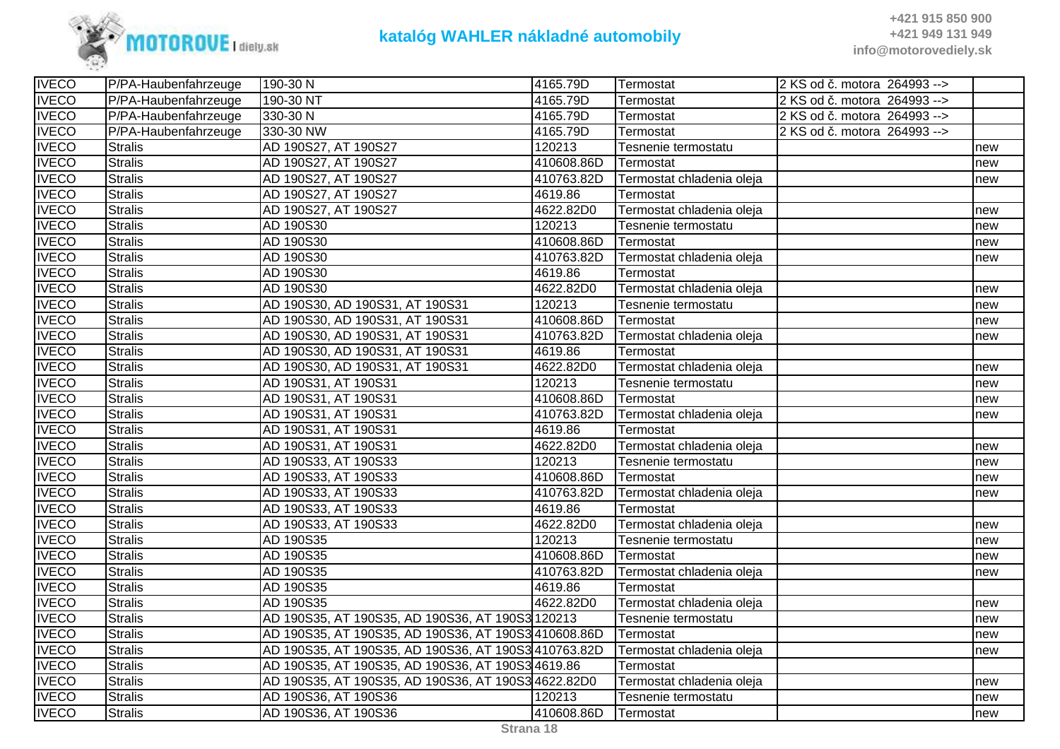

| <b>IVECO</b> | P/PA-Haubenfahrzeuge | 190-30N                                              | 4165.79D   | Termostat                 | 2 KS od č. motora 264993 --> |     |
|--------------|----------------------|------------------------------------------------------|------------|---------------------------|------------------------------|-----|
| <b>IVECO</b> | P/PA-Haubenfahrzeuge | 190-30 NT                                            | 4165.79D   | Termostat                 | 2 KS od č. motora 264993 --> |     |
| <b>IVECO</b> | P/PA-Haubenfahrzeuge | 330-30 N                                             | 4165.79D   | Termostat                 | 2 KS od č. motora 264993 --> |     |
| <b>IVECO</b> | P/PA-Haubenfahrzeuge | 330-30 NW                                            | 4165.79D   | Termostat                 | 2 KS od č. motora 264993 --> |     |
| <b>IVECO</b> | <b>Stralis</b>       | AD 190S27, AT 190S27                                 | 120213     | Tesnenie termostatu       |                              | new |
| <b>IVECO</b> | <b>Stralis</b>       | AD 190S27, AT 190S27                                 | 410608.86D | Termostat                 |                              | new |
| <b>IVECO</b> | <b>Stralis</b>       | AD 190S27, AT 190S27                                 | 410763.82D | Termostat chladenia oleja |                              | new |
| <b>IVECO</b> | <b>Stralis</b>       | AD 190S27, AT 190S27                                 | 4619.86    | Termostat                 |                              |     |
| <b>IVECO</b> | Stralis              | AD 190S27, AT 190S27                                 | 4622.82D0  | Termostat chladenia oleja |                              | new |
| <b>IVECO</b> | <b>Stralis</b>       | AD 190S30                                            | 120213     | Tesnenie termostatu       |                              | new |
| <b>IVECO</b> | <b>Stralis</b>       | AD 190S30                                            | 410608.86D | Termostat                 |                              | new |
| <b>IVECO</b> | <b>Stralis</b>       | AD 190S30                                            | 410763.82D | Termostat chladenia oleja |                              | new |
| <b>IVECO</b> | <b>Stralis</b>       | AD 190S30                                            | 4619.86    | Termostat                 |                              |     |
| <b>IVECO</b> | <b>Stralis</b>       | AD 190S30                                            | 4622.82D0  | Termostat chladenia oleja |                              | new |
| <b>IVECO</b> | <b>Stralis</b>       | AD 190S30, AD 190S31, AT 190S31                      | 120213     | Tesnenie termostatu       |                              | new |
| <b>IVECO</b> | <b>Stralis</b>       | AD 190S30, AD 190S31, AT 190S31                      | 410608.86D | Termostat                 |                              | new |
| <b>IVECO</b> | <b>Stralis</b>       | AD 190S30, AD 190S31, AT 190S31                      | 410763.82D | Termostat chladenia oleja |                              | new |
| <b>IVECO</b> | <b>Stralis</b>       | AD 190S30, AD 190S31, AT 190S31                      | 4619.86    | Termostat                 |                              |     |
| <b>IVECO</b> | <b>Stralis</b>       | AD 190S30, AD 190S31, AT 190S31                      | 4622.82D0  | Termostat chladenia oleja |                              | new |
| <b>IVECO</b> | Stralis              | AD 190S31, AT 190S31                                 | 120213     | Tesnenie termostatu       |                              | new |
| <b>IVECO</b> | <b>Stralis</b>       | AD 190S31, AT 190S31                                 | 410608.86D | Termostat                 |                              | new |
| <b>IVECO</b> | <b>Stralis</b>       | AD 190S31, AT 190S31                                 | 410763.82D | Termostat chladenia oleja |                              | new |
| <b>IVECO</b> | <b>Stralis</b>       | AD 190S31, AT 190S31                                 | 4619.86    | Termostat                 |                              |     |
| <b>IVECO</b> | <b>Stralis</b>       | AD 190S31, AT 190S31                                 | 4622.82D0  | Termostat chladenia oleja |                              | new |
| <b>IVECO</b> | <b>Stralis</b>       | AD 190S33, AT 190S33                                 | 120213     | Tesnenie termostatu       |                              | new |
| <b>IVECO</b> | <b>Stralis</b>       | AD 190S33, AT 190S33                                 | 410608.86D | Termostat                 |                              | new |
| <b>IVECO</b> | <b>Stralis</b>       | AD 190S33, AT 190S33                                 | 410763.82D | Termostat chladenia oleja |                              | new |
| <b>IVECO</b> | <b>Stralis</b>       | AD 190S33, AT 190S33                                 | 4619.86    | Termostat                 |                              |     |
| <b>IVECO</b> | <b>Stralis</b>       | AD 190S33, AT 190S33                                 | 4622.82D0  | Termostat chladenia oleja |                              | new |
| <b>IVECO</b> | <b>Stralis</b>       | AD 190S35                                            | 120213     | Tesnenie termostatu       |                              | new |
| <b>IVECO</b> | <b>Stralis</b>       | AD 190S35                                            | 410608.86D | Termostat                 |                              | new |
| <b>IVECO</b> | <b>Stralis</b>       | AD 190S35                                            | 410763.82D | Termostat chladenia oleja |                              | new |
| <b>IVECO</b> | <b>Stralis</b>       | AD 190S35                                            | 4619.86    | Termostat                 |                              |     |
| <b>IVECO</b> | Stralis              | AD 190S35                                            | 4622.82D0  | Termostat chladenia oleja |                              | new |
| <b>IVECO</b> | <b>Stralis</b>       | AD 190S35, AT 190S35, AD 190S36, AT 190S3 120213     |            | Tesnenie termostatu       |                              | new |
| <b>IVECO</b> | <b>Stralis</b>       | AD 190S35, AT 190S35, AD 190S36, AT 190S3 410608.86D |            | Termostat                 |                              | new |
| <b>IVECO</b> | <b>Stralis</b>       | AD 190S35, AT 190S35, AD 190S36, AT 190S3410763.82D  |            | Termostat chladenia oleja |                              | new |
| <b>IVECO</b> | <b>Stralis</b>       | AD 190S35, AT 190S35, AD 190S36, AT 190S3 4619.86    |            | Termostat                 |                              |     |
| <b>IVECO</b> | Stralis              | AD 190S35, AT 190S35, AD 190S36, AT 190S3 4622.82D0  |            | Termostat chladenia oleja |                              | new |
| <b>IVECO</b> | <b>Stralis</b>       | AD 190S36, AT 190S36                                 | 120213     | Tesnenie termostatu       |                              | new |
| <b>IVECO</b> | <b>Stralis</b>       | AD 190S36, AT 190S36                                 | 410608.86D | <b>Termostat</b>          |                              | new |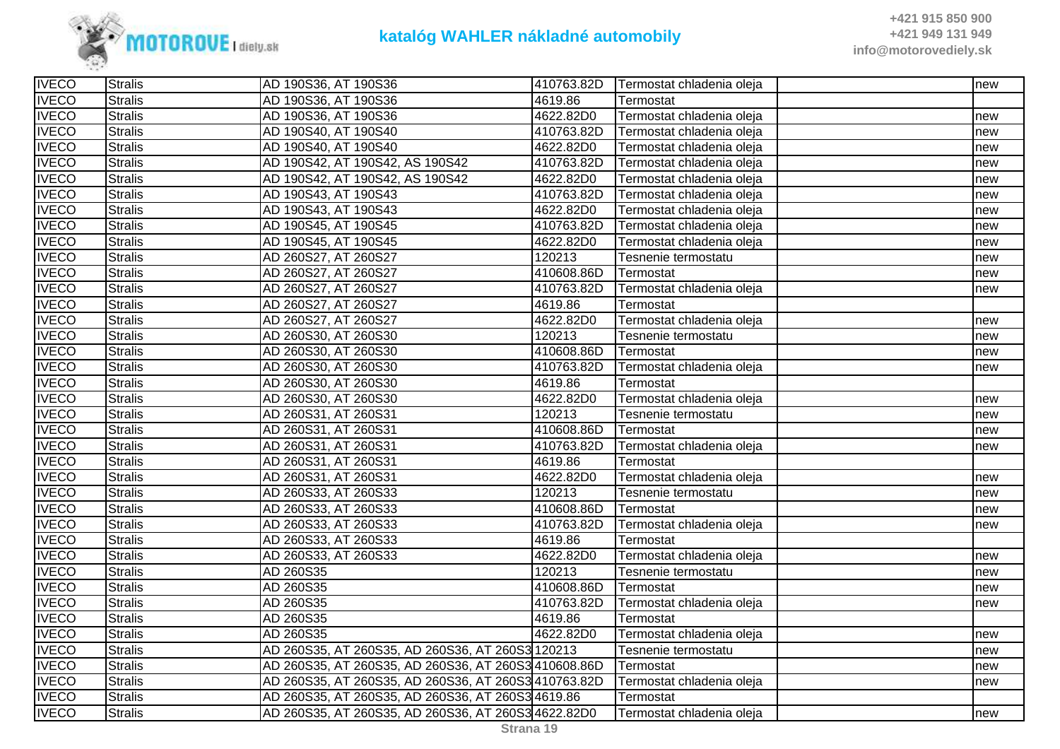

| <b>IVECO</b> | <b>Stralis</b> | AD 190S36, AT 190S36                                 | 410763.82D | Termostat chladenia oleja | new |
|--------------|----------------|------------------------------------------------------|------------|---------------------------|-----|
| <b>IVECO</b> | <b>Stralis</b> | AD 190S36, AT 190S36                                 | 4619.86    | Termostat                 |     |
| <b>IVECO</b> | <b>Stralis</b> | AD 190S36, AT 190S36                                 | 4622.82D0  | Termostat chladenia oleja | new |
| <b>IVECO</b> | <b>Stralis</b> | AD 190S40, AT 190S40                                 | 410763.82D | Termostat chladenia oleja | new |
| <b>IVECO</b> | <b>Stralis</b> | AD 190S40, AT 190S40                                 | 4622.82D0  | Termostat chladenia oleja | new |
| <b>IVECO</b> | <b>Stralis</b> | AD 190S42, AT 190S42, AS 190S42                      | 410763.82D | Termostat chladenia oleja | new |
| <b>IVECO</b> | <b>Stralis</b> | AD 190S42, AT 190S42, AS 190S42                      | 4622.82D0  | Termostat chladenia oleja | new |
| <b>IVECO</b> | <b>Stralis</b> | AD 190S43, AT 190S43                                 | 410763.82D | Termostat chladenia oleja | new |
| <b>IVECO</b> | <b>Stralis</b> | AD 190S43, AT 190S43                                 | 4622.82D0  | Termostat chladenia oleja | new |
| <b>IVECO</b> | <b>Stralis</b> | AD 190S45, AT 190S45                                 | 410763.82D | Termostat chladenia oleja | new |
| <b>IVECO</b> | <b>Stralis</b> | AD 190S45, AT 190S45                                 | 4622.82D0  | Termostat chladenia oleja | new |
| <b>IVECO</b> | <b>Stralis</b> | AD 260S27, AT 260S27                                 | 120213     | Tesnenie termostatu       | new |
| <b>IVECO</b> | <b>Stralis</b> | AD 260S27, AT 260S27                                 | 410608.86D | Termostat                 | new |
| <b>IVECO</b> | <b>Stralis</b> | AD 260S27, AT 260S27                                 | 410763.82D | Termostat chladenia oleja | new |
| <b>IVECO</b> | <b>Stralis</b> | AD 260S27, AT 260S27                                 | 4619.86    | Termostat                 |     |
| <b>IVECO</b> | <b>Stralis</b> | AD 260S27, AT 260S27                                 | 4622.82D0  | Termostat chladenia oleja | new |
| <b>IVECO</b> | <b>Stralis</b> | AD 260S30, AT 260S30                                 | 120213     | Tesnenie termostatu       | new |
| <b>IVECO</b> | <b>Stralis</b> | AD 260S30, AT 260S30                                 | 410608.86D | Termostat                 | new |
| <b>IVECO</b> | <b>Stralis</b> | AD 260S30, AT 260S30                                 | 410763.82D | Termostat chladenia oleja | new |
| <b>IVECO</b> | Stralis        | AD 260S30, AT 260S30                                 | 4619.86    | Termostat                 |     |
| <b>IVECO</b> | <b>Stralis</b> | AD 260S30, AT 260S30                                 | 4622.82D0  | Termostat chladenia oleja | new |
| <b>IVECO</b> | <b>Stralis</b> | AD 260S31, AT 260S31                                 | 120213     | Tesnenie termostatu       | new |
| <b>IVECO</b> | <b>Stralis</b> | AD 260S31, AT 260S31                                 | 410608.86D | Termostat                 | new |
| <b>IVECO</b> | <b>Stralis</b> | AD 260S31, AT 260S31                                 | 410763.82D | Termostat chladenia oleja | new |
| <b>IVECO</b> | <b>Stralis</b> | AD 260S31, AT 260S31                                 | 4619.86    | Termostat                 |     |
| <b>IVECO</b> | <b>Stralis</b> | AD 260S31, AT 260S31                                 | 4622.82D0  | Termostat chladenia oleja | new |
| <b>IVECO</b> | <b>Stralis</b> | AD 260S33, AT 260S33                                 | 120213     | Tesnenie termostatu       | new |
| <b>IVECO</b> | <b>Stralis</b> | AD 260S33, AT 260S33                                 | 410608.86D | Termostat                 | new |
| <b>IVECO</b> | <b>Stralis</b> | AD 260S33, AT 260S33                                 | 410763.82D | Termostat chladenia oleja | new |
| <b>IVECO</b> | <b>Stralis</b> | AD 260S33, AT 260S33                                 | 4619.86    | Termostat                 |     |
| <b>IVECO</b> | <b>Stralis</b> | AD 260S33, AT 260S33                                 | 4622.82D0  | Termostat chladenia oleja | new |
| <b>IVECO</b> | <b>Stralis</b> | AD 260S35                                            | 120213     | Tesnenie termostatu       | new |
| <b>IVECO</b> | <b>Stralis</b> | AD 260S35                                            | 410608.86D | Termostat                 | new |
| <b>IVECO</b> | <b>Stralis</b> | AD 260S35                                            | 410763.82D | Termostat chladenia oleja | new |
| <b>IVECO</b> | <b>Stralis</b> | AD 260S35                                            | 4619.86    | Termostat                 |     |
| <b>IVECO</b> | <b>Stralis</b> | AD 260S35                                            | 4622.82D0  | Termostat chladenia oleja | new |
| <b>IVECO</b> | <b>Stralis</b> | AD 260S35, AT 260S35, AD 260S36, AT 260S3 120213     |            | Tesnenie termostatu       | new |
| <b>IVECO</b> | <b>Stralis</b> | AD 260S35, AT 260S35, AD 260S36, AT 260S3410608.86D  |            | Termostat                 | new |
| <b>IVECO</b> | <b>Stralis</b> | AD 260S35, AT 260S35, AD 260S36, AT 260S3 410763.82D |            | Termostat chladenia oleja | new |
| <b>IVECO</b> | <b>Stralis</b> | AD 260S35, AT 260S35, AD 260S36, AT 260S3 4619.86    |            | Termostat                 |     |
| <b>IVECO</b> | <b>Stralis</b> | AD 260S35, AT 260S35, AD 260S36, AT 260S34622.82D0   |            | Termostat chladenia oleja | new |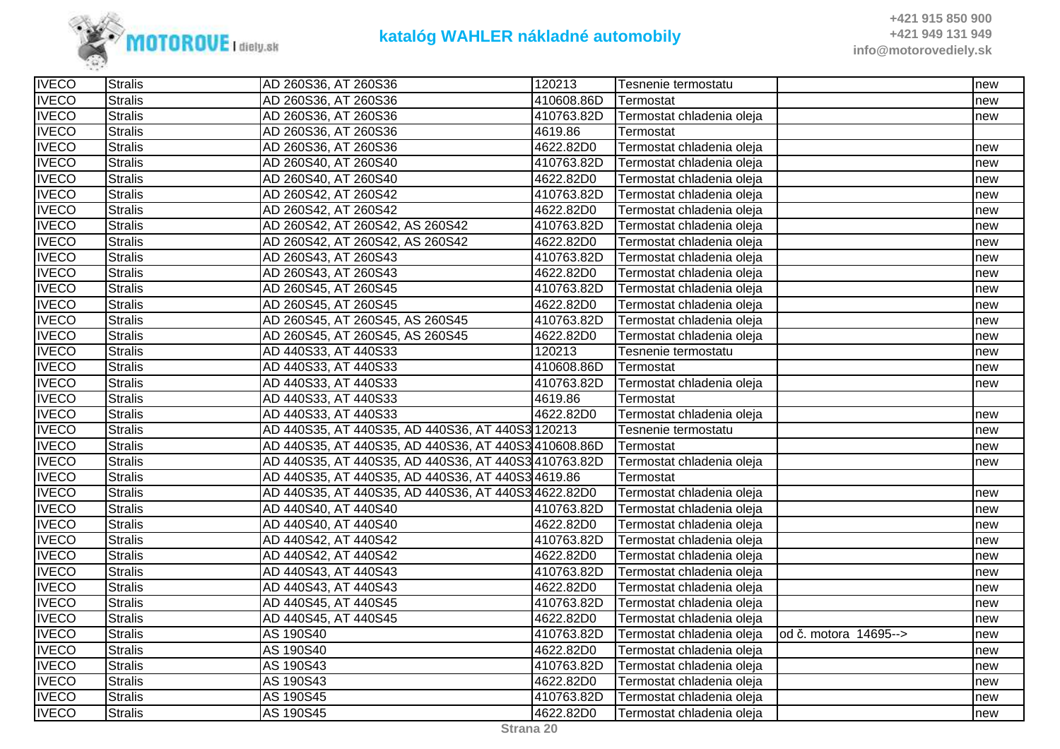

| <b>IVECO</b> | <b>Stralis</b> | AD 260S36, AT 260S36                                 | 120213     | Tesnenie termostatu       |                       | new |
|--------------|----------------|------------------------------------------------------|------------|---------------------------|-----------------------|-----|
| <b>IVECO</b> | <b>Stralis</b> | AD 260S36, AT 260S36                                 | 410608.86D | Termostat                 |                       | new |
| <b>IVECO</b> | <b>Stralis</b> | AD 260S36, AT 260S36                                 | 410763.82D | Termostat chladenia oleja |                       | new |
| <b>IVECO</b> | <b>Stralis</b> | AD 260S36, AT 260S36                                 | 4619.86    | Termostat                 |                       |     |
| <b>IVECO</b> | <b>Stralis</b> | AD 260S36, AT 260S36                                 | 4622.82D0  | Termostat chladenia oleja |                       | new |
| <b>IVECO</b> | <b>Stralis</b> | AD 260S40, AT 260S40                                 | 410763.82D | Termostat chladenia oleja |                       | new |
| <b>IVECO</b> | Stralis        | AD 260S40, AT 260S40                                 | 4622.82D0  | Termostat chladenia oleja |                       | new |
| <b>IVECO</b> | <b>Stralis</b> | AD 260S42, AT 260S42                                 | 410763.82D | Termostat chladenia oleja |                       | new |
| <b>IVECO</b> | <b>Stralis</b> | AD 260S42, AT 260S42                                 | 4622.82D0  | Termostat chladenia oleja |                       | new |
| <b>IVECO</b> | <b>Stralis</b> | AD 260S42, AT 260S42, AS 260S42                      | 410763.82D | Termostat chladenia oleja |                       | new |
| <b>IVECO</b> | <b>Stralis</b> | AD 260S42, AT 260S42, AS 260S42                      | 4622.82D0  | Termostat chladenia oleja |                       | new |
| <b>IVECO</b> | <b>Stralis</b> | AD 260S43, AT 260S43                                 | 410763.82D | Termostat chladenia oleja |                       | new |
| <b>IVECO</b> | <b>Stralis</b> | AD 260S43, AT 260S43                                 | 4622.82D0  | Termostat chladenia oleja |                       | new |
| <b>IVECO</b> | <b>Stralis</b> | AD 260S45, AT 260S45                                 | 410763.82D | Termostat chladenia oleja |                       | new |
| <b>IVECO</b> | <b>Stralis</b> | AD 260S45, AT 260S45                                 | 4622.82D0  | Termostat chladenia oleja |                       | new |
| <b>IVECO</b> | <b>Stralis</b> | AD 260S45, AT 260S45, AS 260S45                      | 410763.82D | Termostat chladenia oleja |                       | new |
| <b>IVECO</b> | <b>Stralis</b> | AD 260S45, AT 260S45, AS 260S45                      | 4622.82D0  | Termostat chladenia oleja |                       | new |
| <b>IVECO</b> | <b>Stralis</b> | AD 440S33, AT 440S33                                 | 120213     | Tesnenie termostatu       |                       | new |
| <b>IVECO</b> | <b>Stralis</b> | AD 440S33, AT 440S33                                 | 410608.86D | Termostat                 |                       | new |
| <b>IVECO</b> | Stralis        | AD 440S33, AT 440S33                                 | 410763.82D | Termostat chladenia oleja |                       | new |
| <b>IVECO</b> | <b>Stralis</b> | AD 440S33, AT 440S33                                 | 4619.86    | Termostat                 |                       |     |
| <b>IVECO</b> | <b>Stralis</b> | AD 440S33, AT 440S33                                 | 4622.82D0  | Termostat chladenia oleja |                       | new |
| <b>IVECO</b> | <b>Stralis</b> | AD 440S35, AT 440S35, AD 440S36, AT 440S3 120213     |            | Tesnenie termostatu       |                       | new |
| <b>IVECO</b> | <b>Stralis</b> | AD 440S35, AT 440S35, AD 440S36, AT 440S3410608.86D  |            | Termostat                 |                       | new |
| <b>IVECO</b> | <b>Stralis</b> | AD 440S35, AT 440S35, AD 440S36, AT 440S3 410763.82D |            | Termostat chladenia oleja |                       | new |
| <b>IVECO</b> | <b>Stralis</b> | AD 440S35, AT 440S35, AD 440S36, AT 440S3 4619.86    |            | Termostat                 |                       |     |
| <b>IVECO</b> | <b>Stralis</b> | AD 440S35, AT 440S35, AD 440S36, AT 440S34622.82D0   |            | Termostat chladenia oleja |                       | new |
| <b>IVECO</b> | <b>Stralis</b> | AD 440S40, AT 440S40                                 | 410763.82D | Termostat chladenia oleja |                       | new |
| <b>IVECO</b> | <b>Stralis</b> | AD 440S40, AT 440S40                                 | 4622.82D0  | Termostat chladenia oleja |                       | new |
| <b>IVECO</b> | <b>Stralis</b> | AD 440S42, AT 440S42                                 | 410763.82D | Termostat chladenia oleja |                       | new |
| <b>IVECO</b> | Stralis        | AD 440S42, AT 440S42                                 | 4622.82D0  | Termostat chladenia oleja |                       | new |
| <b>IVECO</b> | <b>Stralis</b> | AD 440S43, AT 440S43                                 | 410763.82D | Termostat chladenia oleja |                       | new |
| <b>IVECO</b> | <b>Stralis</b> | AD 440S43, AT 440S43                                 | 4622.82D0  | Termostat chladenia oleja |                       | new |
| <b>IVECO</b> | <b>Stralis</b> | AD 440S45, AT 440S45                                 | 410763.82D | Termostat chladenia oleja |                       | new |
| <b>IVECO</b> | <b>Stralis</b> | AD 440S45, AT 440S45                                 | 4622.82D0  | Termostat chladenia oleja |                       | new |
| <b>IVECO</b> | <b>Stralis</b> | AS 190S40                                            | 410763.82D | Termostat chladenia oleja | od č. motora 14695--> | new |
| <b>IVECO</b> | <b>Stralis</b> | AS 190S40                                            | 4622.82D0  | Termostat chladenia oleja |                       | new |
| <b>IVECO</b> | <b>Stralis</b> | AS 190S43                                            | 410763.82D | Termostat chladenia oleja |                       | new |
| <b>IVECO</b> | <b>Stralis</b> | AS 190S43                                            | 4622.82D0  | Termostat chladenia oleja |                       | new |
| <b>IVECO</b> | <b>Stralis</b> | AS 190S45                                            | 410763.82D | Termostat chladenia oleja |                       | new |
| <b>IVECO</b> | <b>Stralis</b> | AS 190S45                                            | 4622.82D0  | Termostat chladenia oleja |                       | new |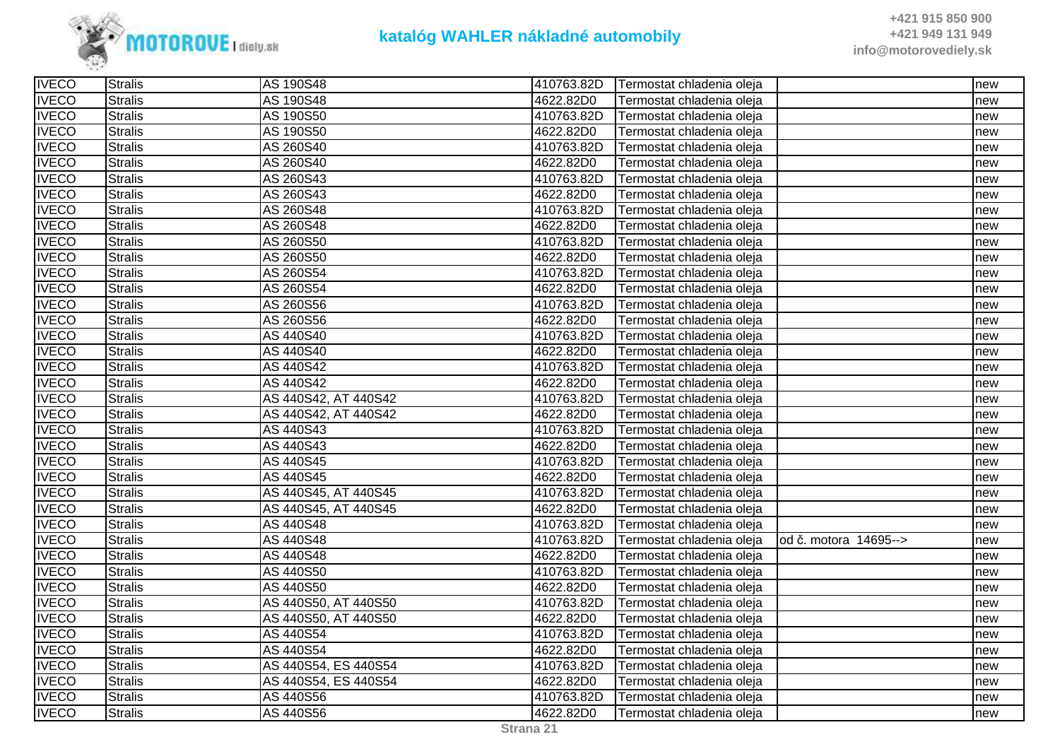

| <b>IVECO</b> | <b>Stralis</b> | AS 190S48            | 410763.82D | Termostat chladenia oleja |                       | new |
|--------------|----------------|----------------------|------------|---------------------------|-----------------------|-----|
| <b>IVECO</b> | <b>Stralis</b> | AS 190S48            | 4622.82D0  | Termostat chladenia oleja |                       | new |
| <b>IVECO</b> | <b>Stralis</b> | AS 190S50            | 410763.82D | Termostat chladenia oleja |                       | new |
| <b>IVECO</b> | <b>Stralis</b> | AS 190S50            | 4622.82D0  | Termostat chladenia oleja |                       | new |
| <b>IVECO</b> | <b>Stralis</b> | AS 260S40            | 410763.82D | Termostat chladenia oleja |                       | new |
| <b>IVECO</b> | <b>Stralis</b> | AS 260S40            | 4622.82D0  | Termostat chladenia oleja |                       | new |
| <b>IVECO</b> | <b>Stralis</b> | AS 260S43            | 410763.82D | Termostat chladenia oleja |                       | new |
| <b>IVECO</b> | <b>Stralis</b> | AS 260S43            | 4622.82D0  | Termostat chladenia oleja |                       | new |
| <b>IVECO</b> | <b>Stralis</b> | AS 260S48            | 410763.82D | Termostat chladenia oleja |                       | new |
| <b>IVECO</b> | <b>Stralis</b> | AS 260S48            | 4622.82D0  | Termostat chladenia oleja |                       | new |
| <b>IVECO</b> | <b>Stralis</b> | AS 260S50            | 410763.82D | Termostat chladenia oleja |                       | new |
| <b>IVECO</b> | <b>Stralis</b> | AS 260S50            | 4622.82D0  | Termostat chladenia oleja |                       | new |
| <b>IVECO</b> | <b>Stralis</b> | AS 260S54            | 410763.82D | Termostat chladenia oleja |                       | new |
| <b>IVECO</b> | <b>Stralis</b> | AS 260S54            | 4622.82D0  | Termostat chladenia oleja |                       | new |
| <b>IVECO</b> | <b>Stralis</b> | AS 260S56            | 410763.82D | Termostat chladenia oleja |                       | new |
| <b>IVECO</b> | <b>Stralis</b> | AS 260S56            | 4622.82D0  | Termostat chladenia oleja |                       | new |
| <b>IVECO</b> | <b>Stralis</b> | AS 440S40            | 410763.82D | Termostat chladenia oleja |                       | new |
| <b>IVECO</b> | <b>Stralis</b> | AS 440S40            | 4622.82D0  | Termostat chladenia oleja |                       | new |
| <b>IVECO</b> | <b>Stralis</b> | AS 440S42            | 410763.82D | Termostat chladenia oleja |                       | new |
| <b>IVECO</b> | <b>Stralis</b> | AS 440S42            | 4622.82D0  | Termostat chladenia oleja |                       | new |
| <b>IVECO</b> | <b>Stralis</b> | AS 440S42, AT 440S42 | 410763.82D | Termostat chladenia oleja |                       | new |
| <b>IVECO</b> | <b>Stralis</b> | AS 440S42, AT 440S42 | 4622.82D0  | Termostat chladenia oleja |                       | new |
| <b>IVECO</b> | <b>Stralis</b> | AS 440S43            | 410763.82D | Termostat chladenia oleja |                       | new |
| <b>IVECO</b> | <b>Stralis</b> | AS 440S43            | 4622.82D0  | Termostat chladenia oleja |                       | new |
| <b>IVECO</b> | <b>Stralis</b> | AS 440S45            | 410763.82D | Termostat chladenia oleja |                       | new |
| <b>IVECO</b> | Stralis        | AS 440S45            | 4622.82D0  | Termostat chladenia oleja |                       | new |
| <b>IVECO</b> | <b>Stralis</b> | AS 440S45, AT 440S45 | 410763.82D | Termostat chladenia oleja |                       | new |
| <b>IVECO</b> | <b>Stralis</b> | AS 440S45, AT 440S45 | 4622.82D0  | Termostat chladenia oleja |                       | new |
| <b>IVECO</b> | <b>Stralis</b> | AS 440S48            | 410763.82D | Termostat chladenia oleja |                       | new |
| <b>IVECO</b> | <b>Stralis</b> | AS 440S48            | 410763.82D | Termostat chladenia oleja | od č. motora 14695--> | new |
| <b>IVECO</b> | <b>Stralis</b> | AS 440S48            | 4622.82D0  | Termostat chladenia oleja |                       | new |
| <b>IVECO</b> | <b>Stralis</b> | AS 440S50            | 410763.82D | Termostat chladenia oleja |                       | new |
| <b>IVECO</b> | <b>Stralis</b> | AS 440S50            | 4622.82D0  | Termostat chladenia oleja |                       | new |
| <b>IVECO</b> | <b>Stralis</b> | AS 440S50, AT 440S50 | 410763.82D | Termostat chladenia oleja |                       | new |
| <b>IVECO</b> | <b>Stralis</b> | AS 440S50, AT 440S50 | 4622.82D0  | Termostat chladenia oleja |                       | new |
| <b>IVECO</b> | <b>Stralis</b> | AS 440S54            | 410763.82D | Termostat chladenia oleja |                       | new |
| <b>IVECO</b> | <b>Stralis</b> | AS 440S54            | 4622.82D0  | Termostat chladenia oleja |                       | new |
| <b>IVECO</b> | <b>Stralis</b> | AS 440S54, ES 440S54 | 410763.82D | Termostat chladenia oleja |                       | new |
| <b>IVECO</b> | <b>Stralis</b> | AS 440S54, ES 440S54 | 4622.82D0  | Termostat chladenia oleja |                       | new |
| <b>IVECO</b> | <b>Stralis</b> | AS 440S56            | 410763.82D | Termostat chladenia oleja |                       | new |
| <b>IVECO</b> | <b>Stralis</b> | AS 440S56            | 4622.82D0  | Termostat chladenia oleja |                       | new |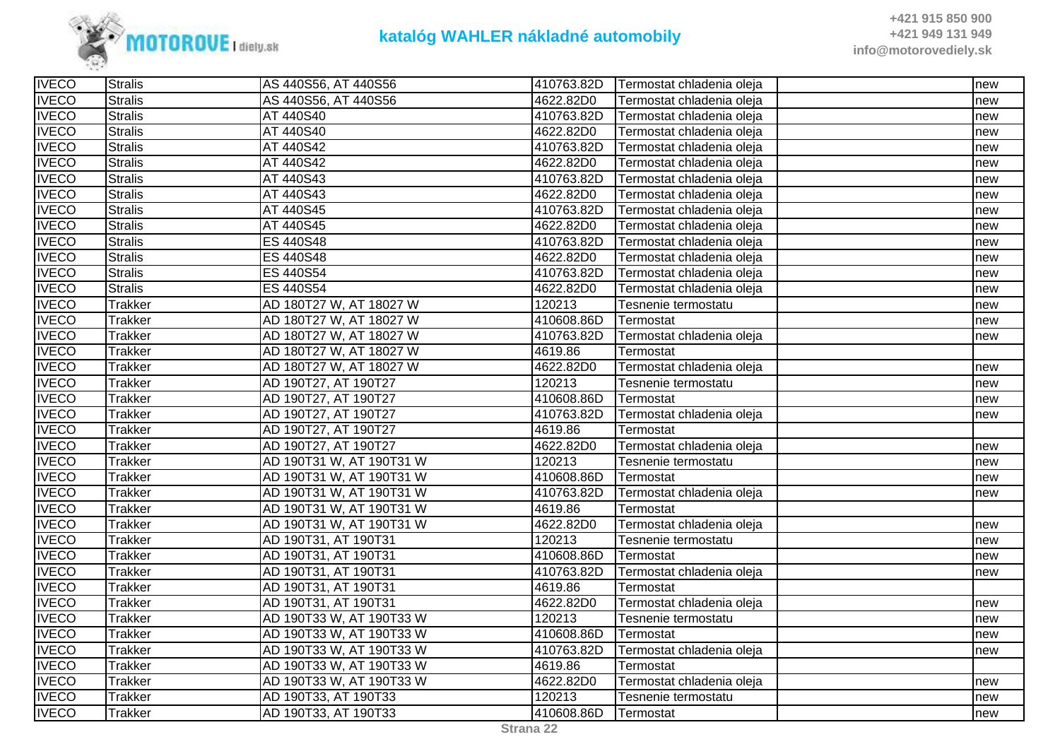

| <b>IVECO</b> | <b>Stralis</b> | AS 440S56, AT 440S56     | 410763.82D | Termostat chladenia oleja | new |
|--------------|----------------|--------------------------|------------|---------------------------|-----|
| <b>IVECO</b> | <b>Stralis</b> | AS 440S56, AT 440S56     | 4622.82D0  | Termostat chladenia oleja | new |
| <b>IVECO</b> | <b>Stralis</b> | AT 440S40                | 410763.82D | Termostat chladenia oleja | new |
| <b>IVECO</b> | <b>Stralis</b> | AT 440S40                | 4622.82D0  | Termostat chladenia oleja | new |
| <b>IVECO</b> | <b>Stralis</b> | AT 440S42                | 410763.82D | Termostat chladenia oleja | new |
| <b>IVECO</b> | <b>Stralis</b> | AT 440S42                | 4622.82D0  | Termostat chladenia oleja | new |
| <b>IVECO</b> | <b>Stralis</b> | AT 440S43                | 410763.82D | Termostat chladenia oleja | new |
| <b>IVECO</b> | <b>Stralis</b> | AT 440S43                | 4622.82D0  | Termostat chladenia oleja | new |
| <b>IVECO</b> | <b>Stralis</b> | AT 440S45                | 410763.82D | Termostat chladenia oleja | new |
| <b>IVECO</b> | <b>Stralis</b> | AT 440S45                | 4622.82D0  | Termostat chladenia oleja | new |
| <b>IVECO</b> | <b>Stralis</b> | ES 440S48                | 410763.82D | Termostat chladenia oleja | new |
| <b>IVECO</b> | <b>Stralis</b> | ES 440S48                | 4622.82D0  | Termostat chladenia oleja | new |
| <b>IVECO</b> | <b>Stralis</b> | ES 440S54                | 410763.82D | Termostat chladenia oleja | new |
| <b>IVECO</b> | <b>Stralis</b> | ES 440S54                | 4622.82D0  | Termostat chladenia oleja | new |
| <b>IVECO</b> | <b>Trakker</b> | AD 180T27 W, AT 18027 W  | 120213     | Tesnenie termostatu       | new |
| <b>IVECO</b> | <b>Trakker</b> | AD 180T27 W, AT 18027 W  | 410608.86D | Termostat                 | new |
| <b>IVECO</b> | <b>Trakker</b> | AD 180T27 W, AT 18027 W  | 410763.82D | Termostat chladenia oleja | new |
| <b>IVECO</b> | <b>Trakker</b> | AD 180T27 W, AT 18027 W  | 4619.86    | Termostat                 |     |
| <b>IVECO</b> | <b>Trakker</b> | AD 180T27 W, AT 18027 W  | 4622.82D0  | Termostat chladenia oleja | new |
| <b>IVECO</b> | <b>Trakker</b> | AD 190T27, AT 190T27     | 120213     | Tesnenie termostatu       | new |
| <b>IVECO</b> | <b>Trakker</b> | AD 190T27, AT 190T27     | 410608.86D | Termostat                 | new |
| <b>IVECO</b> | <b>Trakker</b> | AD 190T27, AT 190T27     | 410763.82D | Termostat chladenia oleja | new |
| <b>IVECO</b> | <b>Trakker</b> | AD 190T27, AT 190T27     | 4619.86    | Termostat                 |     |
| <b>IVECO</b> | <b>Trakker</b> | AD 190T27, AT 190T27     | 4622.82D0  | Termostat chladenia oleja | new |
| <b>IVECO</b> | <b>Trakker</b> | AD 190T31 W, AT 190T31 W | 120213     | Tesnenie termostatu       | new |
| <b>IVECO</b> | <b>Trakker</b> | AD 190T31 W, AT 190T31 W | 410608.86D | Termostat                 | new |
| <b>IVECO</b> | <b>Trakker</b> | AD 190T31 W, AT 190T31 W | 410763.82D | Termostat chladenia oleja | new |
| <b>IVECO</b> | <b>Trakker</b> | AD 190T31 W, AT 190T31 W | 4619.86    | Termostat                 |     |
| <b>IVECO</b> | <b>Trakker</b> | AD 190T31 W, AT 190T31 W | 4622.82D0  | Termostat chladenia oleja | new |
| <b>IVECO</b> | <b>Trakker</b> | AD 190T31, AT 190T31     | 120213     | Tesnenie termostatu       | new |
| <b>IVECO</b> | <b>Trakker</b> | AD 190T31, AT 190T31     | 410608.86D | Termostat                 | new |
| <b>IVECO</b> | <b>Trakker</b> | AD 190T31, AT 190T31     | 410763.82D | Termostat chladenia oleja | new |
| <b>IVECO</b> | <b>Trakker</b> | AD 190T31, AT 190T31     | 4619.86    | Termostat                 |     |
| <b>IVECO</b> | <b>Trakker</b> | AD 190T31, AT 190T31     | 4622.82D0  | Termostat chladenia oleja | new |
| <b>IVECO</b> | <b>Trakker</b> | AD 190T33 W, AT 190T33 W | 120213     | Tesnenie termostatu       | new |
| <b>IVECO</b> | <b>Trakker</b> | AD 190T33 W, AT 190T33 W | 410608.86D | Termostat                 | new |
| <b>IVECO</b> | <b>Trakker</b> | AD 190T33 W, AT 190T33 W | 410763.82D | Termostat chladenia oleja | new |
| <b>IVECO</b> | <b>Trakker</b> | AD 190T33 W, AT 190T33 W | 4619.86    | Termostat                 |     |
| <b>IVECO</b> | <b>Trakker</b> | AD 190T33 W, AT 190T33 W | 4622.82D0  | Termostat chladenia oleja | new |
| <b>IVECO</b> | <b>Trakker</b> | AD 190T33, AT 190T33     | 120213     | Tesnenie termostatu       | new |
| <b>IVECO</b> | <b>Trakker</b> | AD 190T33, AT 190T33     | 410608.86D | Termostat                 | new |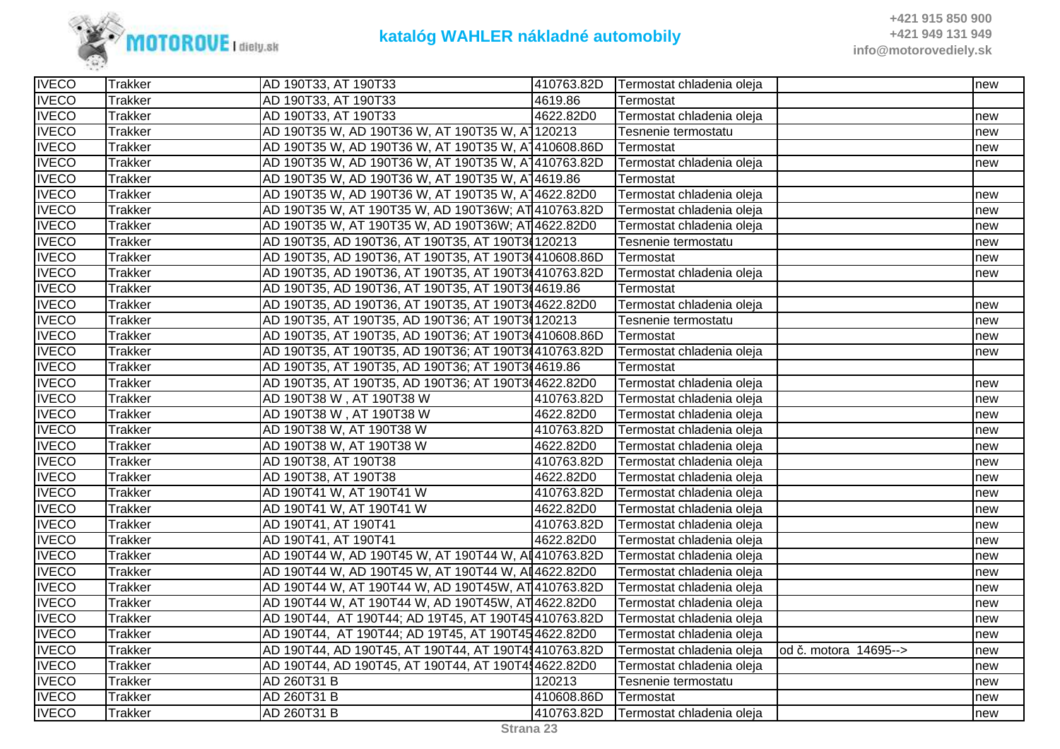

| <b>IVECO</b> | <b>Trakker</b> | AD 190T33, AT 190T33                                 | 410763.82D | Termostat chladenia oleja |                        | new |
|--------------|----------------|------------------------------------------------------|------------|---------------------------|------------------------|-----|
| <b>IVECO</b> | <b>Trakker</b> | AD 190T33, AT 190T33                                 | 4619.86    | Termostat                 |                        |     |
| <b>IVECO</b> | <b>Trakker</b> | AD 190T33, AT 190T33                                 | 4622.82D0  | Termostat chladenia oleja |                        | new |
| <b>IVECO</b> | <b>Trakker</b> | AD 190T35 W, AD 190T36 W, AT 190T35 W, A1120213      |            | Tesnenie termostatu       |                        | new |
| <b>IVECO</b> | <b>Trakker</b> | AD 190T35 W, AD 190T36 W, AT 190T35 W, A 410608.86D  |            | Termostat                 |                        | new |
| <b>IVECO</b> | <b>Trakker</b> | AD 190T35 W, AD 190T36 W, AT 190T35 W, A 410763.82D  |            | Termostat chladenia oleja |                        | new |
| <b>IVECO</b> | <b>Trakker</b> | AD 190T35 W, AD 190T36 W, AT 190T35 W, A 14619.86    |            | Termostat                 |                        |     |
| <b>IVECO</b> | <b>Trakker</b> | AD 190T35 W, AD 190T36 W, AT 190T35 W, A 4622.82D0   |            | Termostat chladenia oleja |                        | new |
| <b>IVECO</b> | <b>Trakker</b> | AD 190T35 W, AT 190T35 W, AD 190T36W; AT 410763.82D  |            | Termostat chladenia oleja |                        | new |
| <b>IVECO</b> | <b>Trakker</b> | AD 190T35 W, AT 190T35 W, AD 190T36W; AT 4622.82D0   |            | Termostat chladenia oleja |                        | new |
| <b>IVECO</b> | <b>Trakker</b> | AD 190T35, AD 190T36, AT 190T35, AT 190T34120213     |            | Tesnenie termostatu       |                        | new |
| <b>IVECO</b> | <b>Trakker</b> | AD 190T35, AD 190T36, AT 190T35, AT 190T3(410608.86D |            | Termostat                 |                        | new |
| <b>IVECO</b> | <b>Trakker</b> | AD 190T35, AD 190T36, AT 190T35, AT 190T3(410763.82D |            | Termostat chladenia oleja |                        | new |
| <b>IVECO</b> | <b>Trakker</b> | AD 190T35, AD 190T36, AT 190T35, AT 190T3(4619.86    |            | Termostat                 |                        |     |
| <b>IVECO</b> | <b>Trakker</b> | AD 190T35, AD 190T36, AT 190T35, AT 190T3(4622.82D0  |            | Termostat chladenia oleja |                        | new |
| <b>IVECO</b> | <b>Trakker</b> | AD 190T35, AT 190T35, AD 190T36; AT 190T3(120213     |            | Tesnenie termostatu       |                        | new |
| <b>IVECO</b> | <b>Trakker</b> | AD 190T35, AT 190T35, AD 190T36; AT 190T3(410608.86D |            | Termostat                 |                        | new |
| <b>IVECO</b> | <b>Trakker</b> | AD 190T35, AT 190T35, AD 190T36; AT 190T3(410763.82D |            | Termostat chladenia oleja |                        | new |
| <b>IVECO</b> | <b>Trakker</b> | AD 190T35, AT 190T35, AD 190T36; AT 190T3(4619.86    |            | Termostat                 |                        |     |
| <b>IVECO</b> | <b>Trakker</b> | AD 190T35, AT 190T35, AD 190T36; AT 190T3(4622.82D0  |            | Termostat chladenia oleja |                        | new |
| <b>IVECO</b> | <b>Trakker</b> | AD 190T38 W, AT 190T38 W                             | 410763.82D | Termostat chladenia oleja |                        | new |
| <b>IVECO</b> | <b>Trakker</b> | AD 190T38 W, AT 190T38 W                             | 4622.82D0  | Termostat chladenia oleja |                        | new |
| <b>IVECO</b> | <b>Trakker</b> | AD 190T38 W, AT 190T38 W                             | 410763.82D | Termostat chladenia oleja |                        | new |
| <b>IVECO</b> | <b>Trakker</b> | AD 190T38 W, AT 190T38 W                             | 4622.82D0  | Termostat chladenia oleja |                        | new |
| <b>IVECO</b> | <b>Trakker</b> | AD 190T38, AT 190T38                                 | 410763.82D | Termostat chladenia oleja |                        | new |
| <b>IVECO</b> | <b>Trakker</b> | AD 190T38, AT 190T38                                 | 4622.82D0  | Termostat chladenia oleja |                        | new |
| <b>IVECO</b> | <b>Trakker</b> | AD 190T41 W, AT 190T41 W                             | 410763.82D | Termostat chladenia oleja |                        | new |
| <b>IVECO</b> | <b>Trakker</b> | AD 190T41 W, AT 190T41 W                             | 4622.82D0  | Termostat chladenia oleja |                        | new |
| <b>IVECO</b> | <b>Trakker</b> | AD 190T41, AT 190T41                                 | 410763.82D | Termostat chladenia oleja |                        | new |
| <b>IVECO</b> | <b>Trakker</b> | AD 190T41, AT 190T41                                 | 4622.82D0  | Termostat chladenia oleja |                        | new |
| <b>IVECO</b> | <b>Trakker</b> | AD 190T44 W, AD 190T45 W, AT 190T44 W, AI410763.82D  |            | Termostat chladenia oleja |                        | new |
| <b>IVECO</b> | <b>Trakker</b> | AD 190T44 W, AD 190T45 W, AT 190T44 W, AI4622.82D0   |            | Termostat chladenia oleja |                        | new |
| <b>IVECO</b> | <b>Trakker</b> | AD 190T44 W, AT 190T44 W, AD 190T45W, AT 410763.82D  |            | Termostat chladenia oleja |                        | new |
| <b>IVECO</b> | <b>Trakker</b> | AD 190T44 W, AT 190T44 W, AD 190T45W, AT 4622.82D0   |            | Termostat chladenia oleja |                        | new |
| <b>IVECO</b> | <b>Trakker</b> | AD 190T44, AT 190T44; AD 19T45, AT 190T45410763.82D  |            | Termostat chladenia oleja |                        | new |
| <b>IVECO</b> | <b>Trakker</b> | AD 190T44, AT 190T44; AD 19T45, AT 190T454622.82D0   |            | Termostat chladenia oleja |                        | new |
| <b>IVECO</b> | <b>Trakker</b> | AD 190T44, AD 190T45, AT 190T44, AT 190T44410763.82D |            | Termostat chladenia oleja | lod č. motora 14695--> | new |
| <b>IVECO</b> | <b>Trakker</b> | AD 190T44, AD 190T45, AT 190T44, AT 190T444622.82D0  |            | Termostat chladenia oleja |                        | new |
| <b>IVECO</b> | <b>Trakker</b> | AD 260T31 B                                          | 120213     | Tesnenie termostatu       |                        | new |
| <b>IVECO</b> | <b>Trakker</b> | AD 260T31 B                                          | 410608.86D | Termostat                 |                        | new |
| <b>IVECO</b> | <b>Trakker</b> | AD 260T31 B                                          | 410763.82D | Termostat chladenia oleja |                        | new |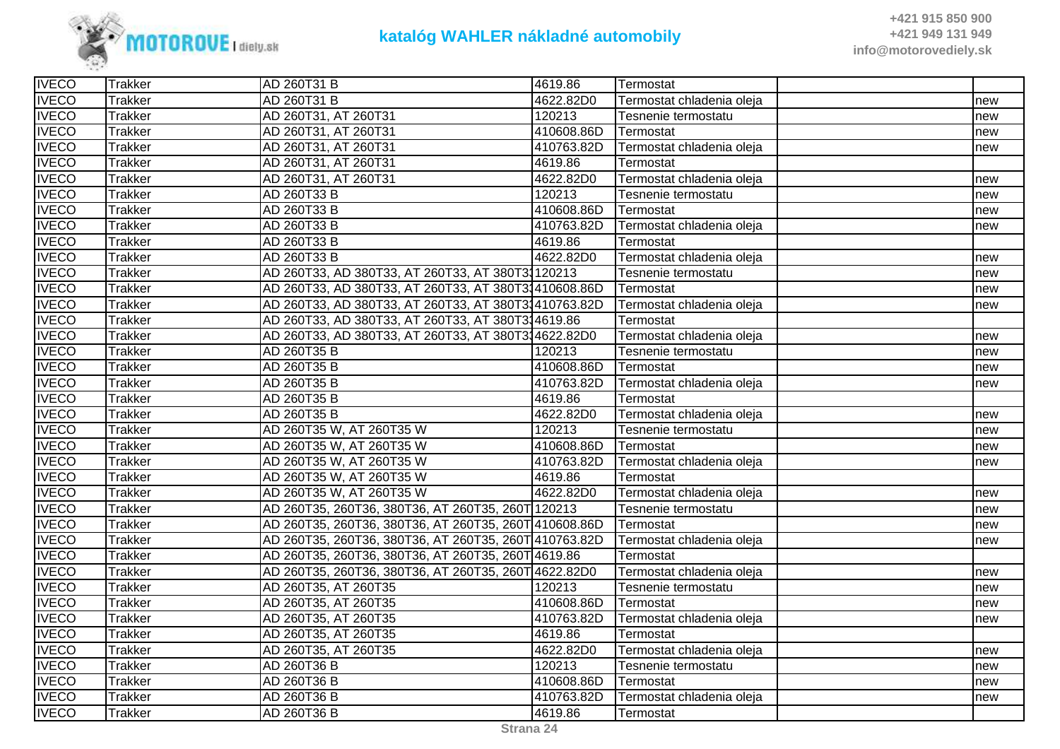

| <b>IVECO</b> | <b>Trakker</b> | AD 260T31 B                                           | 4619.86    | Termostat                 |     |
|--------------|----------------|-------------------------------------------------------|------------|---------------------------|-----|
| <b>IVECO</b> | <b>Trakker</b> | AD 260T31 B                                           | 4622.82D0  | Termostat chladenia oleja | new |
| <b>IVECO</b> | <b>Trakker</b> | AD 260T31, AT 260T31                                  | 120213     | Tesnenie termostatu       | new |
| <b>IVECO</b> | <b>Trakker</b> | AD 260T31, AT 260T31                                  | 410608.86D | Termostat                 | new |
| <b>IVECO</b> | <b>Trakker</b> | AD 260T31, AT 260T31                                  | 410763.82D | Termostat chladenia oleja | new |
| <b>IVECO</b> | <b>Trakker</b> | AD 260T31, AT 260T31                                  | 4619.86    | Termostat                 |     |
| <b>IVECO</b> | <b>Trakker</b> | AD 260T31, AT 260T31                                  | 4622.82D0  | Termostat chladenia oleja | new |
| <b>IVECO</b> | <b>Trakker</b> | AD 260T33 B                                           | 120213     | Tesnenie termostatu       | new |
| <b>IVECO</b> | <b>Trakker</b> | AD 260T33 B                                           | 410608.86D | Termostat                 | new |
| <b>IVECO</b> | <b>Trakker</b> | AD 260T33 B                                           | 410763.82D | Termostat chladenia oleja | new |
| <b>IVECO</b> | <b>Trakker</b> | AD 260T33 B                                           | 4619.86    | Termostat                 |     |
| <b>IVECO</b> | <b>Trakker</b> | AD 260T33 B                                           | 4622.82D0  | Termostat chladenia oleja | new |
| <b>IVECO</b> | <b>Trakker</b> | AD 260T33, AD 380T33, AT 260T33, AT 380T31120213      |            | Tesnenie termostatu       | new |
| <b>IVECO</b> | <b>Trakker</b> | AD 260T33, AD 380T33, AT 260T33, AT 380T31410608.86D  |            | Termostat                 | new |
| <b>IVECO</b> | <b>Trakker</b> | AD 260T33, AD 380T33, AT 260T33, AT 380T31410763.82D  |            | Termostat chladenia oleja | new |
| <b>IVECO</b> | <b>Trakker</b> | AD 260T33, AD 380T33, AT 260T33, AT 380T314619.86     |            | <b>Termostat</b>          |     |
| <b>IVECO</b> | <b>Trakker</b> | AD 260T33, AD 380T33, AT 260T33, AT 380T314622.82D0   |            | Termostat chladenia oleja | new |
| <b>IVECO</b> | <b>Trakker</b> | AD 260T35 B                                           | 120213     | Tesnenie termostatu       | new |
| <b>IVECO</b> | <b>Trakker</b> | AD 260T35 B                                           | 410608.86D | Termostat                 | new |
| <b>IVECO</b> | <b>Trakker</b> | AD 260T35 B                                           | 410763.82D | Termostat chladenia oleja | new |
| <b>IVECO</b> | <b>Trakker</b> | AD 260T35 B                                           | 4619.86    | Termostat                 |     |
| <b>IVECO</b> | <b>Trakker</b> | AD 260T35 B                                           | 4622.82D0  | Termostat chladenia oleja | new |
| <b>IVECO</b> | <b>Trakker</b> | AD 260T35 W, AT 260T35 W                              | 120213     | Tesnenie termostatu       | new |
| <b>IVECO</b> | <b>Trakker</b> | AD 260T35 W, AT 260T35 W                              | 410608.86D | Termostat                 | new |
| <b>IVECO</b> | <b>Trakker</b> | AD 260T35 W, AT 260T35 W                              | 410763.82D | Termostat chladenia oleja | new |
| <b>IVECO</b> | <b>Trakker</b> | AD 260T35 W, AT 260T35 W                              | 4619.86    | Termostat                 |     |
| <b>IVECO</b> | <b>Trakker</b> | AD 260T35 W, AT 260T35 W                              | 4622.82D0  | Termostat chladenia oleja | new |
| <b>IVECO</b> | <b>Trakker</b> | AD 260T35, 260T36, 380T36, AT 260T35, 260T 120213     |            | Tesnenie termostatu       | new |
| <b>IVECO</b> | <b>Trakker</b> | AD 260T35, 260T36, 380T36, AT 260T35, 260T 410608.86D |            | Termostat                 | new |
| <b>IVECO</b> | <b>Trakker</b> | AD 260T35, 260T36, 380T36, AT 260T35, 260T 410763.82D |            | Termostat chladenia oleja | new |
| <b>IVECO</b> | <b>Trakker</b> | AD 260T35, 260T36, 380T36, AT 260T35, 260T 4619.86    |            | Termostat                 |     |
| <b>IVECO</b> | <b>Trakker</b> | AD 260T35, 260T36, 380T36, AT 260T35, 260T 4622.82D0  |            | Termostat chladenia oleja | new |
| <b>IVECO</b> | <b>Trakker</b> | AD 260T35, AT 260T35                                  | 120213     | Tesnenie termostatu       | new |
| <b>IVECO</b> | <b>Trakker</b> | AD 260T35, AT 260T35                                  | 410608.86D | Termostat                 | new |
| <b>IVECO</b> | <b>Trakker</b> | AD 260T35, AT 260T35                                  | 410763.82D | Termostat chladenia oleja | new |
| <b>IVECO</b> | <b>Trakker</b> | AD 260T35, AT 260T35                                  | 4619.86    | Termostat                 |     |
| <b>IVECO</b> | <b>Trakker</b> | AD 260T35, AT 260T35                                  | 4622.82D0  | Termostat chladenia oleja | new |
| <b>IVECO</b> | <b>Trakker</b> | AD 260T36 B                                           | 120213     | Tesnenie termostatu       | new |
| <b>IVECO</b> | <b>Trakker</b> | AD 260T36 B                                           | 410608.86D | Termostat                 | new |
| <b>IVECO</b> | <b>Trakker</b> | AD 260T36 B                                           | 410763.82D | Termostat chladenia oleja | new |
| <b>IVECO</b> | <b>Trakker</b> | AD 260T36 B                                           | 4619.86    | Termostat                 |     |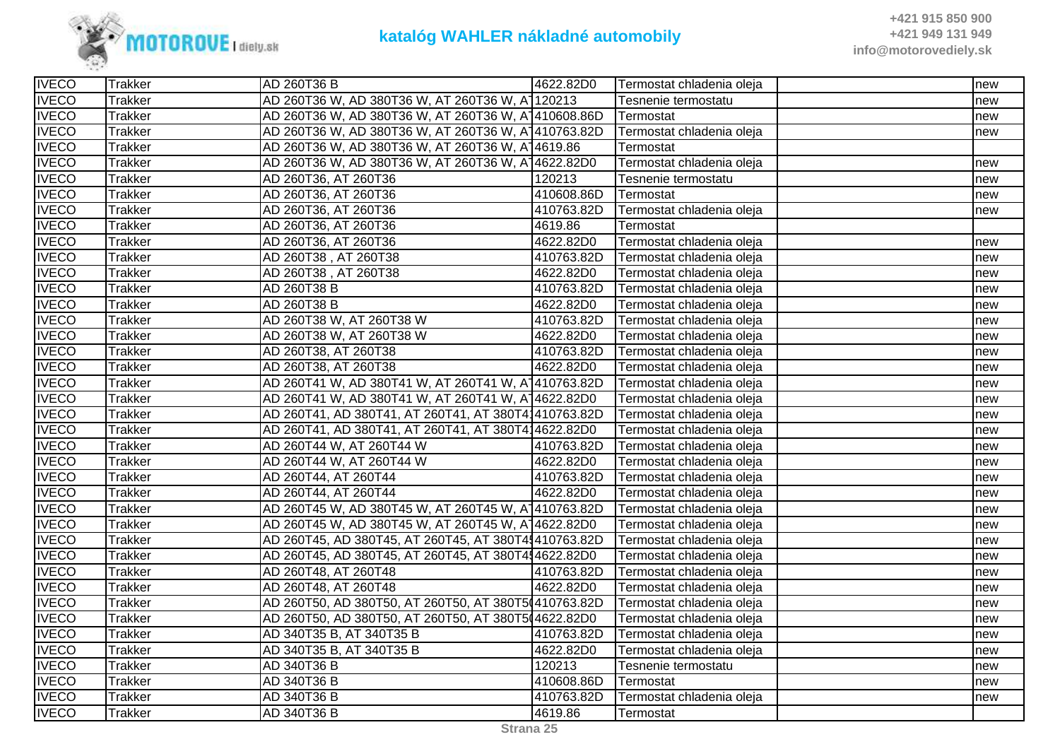

| <b>IVECO</b> | <b>Trakker</b> | AD 260T36 B                                          | 4622.82D0  | Termostat chladenia oleja | new |
|--------------|----------------|------------------------------------------------------|------------|---------------------------|-----|
| <b>IVECO</b> | <b>Trakker</b> | AD 260T36 W, AD 380T36 W, AT 260T36 W, A1120213      |            | Tesnenie termostatu       | new |
| <b>IVECO</b> | <b>Trakker</b> | AD 260T36 W, AD 380T36 W, AT 260T36 W, A 410608.86D  |            | Termostat                 | new |
| <b>IVECO</b> | <b>Trakker</b> | AD 260T36 W, AD 380T36 W, AT 260T36 W, A 410763.82D  |            | Termostat chladenia oleja | new |
| <b>IVECO</b> | <b>Trakker</b> | AD 260T36 W, AD 380T36 W, AT 260T36 W, A14619.86     |            | Termostat                 |     |
| <b>IVECO</b> | <b>Trakker</b> | AD 260T36 W, AD 380T36 W, AT 260T36 W, A14622.82D0   |            | Termostat chladenia oleja | new |
| <b>IVECO</b> | <b>Trakker</b> | AD 260T36, AT 260T36                                 | 120213     | Tesnenie termostatu       | new |
| <b>IVECO</b> | <b>Trakker</b> | AD 260T36, AT 260T36                                 | 410608.86D | Termostat                 | new |
| <b>IVECO</b> | <b>Trakker</b> | AD 260T36, AT 260T36                                 | 410763.82D | Termostat chladenia oleja | new |
| <b>IVECO</b> | <b>Trakker</b> | AD 260T36, AT 260T36                                 | 4619.86    | Termostat                 |     |
| <b>IVECO</b> | <b>Trakker</b> | AD 260T36, AT 260T36                                 | 4622.82D0  | Termostat chladenia oleja | new |
| <b>IVECO</b> | <b>Trakker</b> | AD 260T38, AT 260T38                                 | 410763.82D | Termostat chladenia oleja | new |
| <b>IVECO</b> | <b>Trakker</b> | AD 260T38, AT 260T38                                 | 4622.82D0  | Termostat chladenia oleja | new |
| <b>IVECO</b> | <b>Trakker</b> | AD 260T38 B                                          | 410763.82D | Termostat chladenia oleja | new |
| <b>IVECO</b> | <b>Trakker</b> | AD 260T38 B                                          | 4622.82D0  | Termostat chladenia oleja | new |
| <b>IVECO</b> | <b>Trakker</b> | AD 260T38 W, AT 260T38 W                             | 410763.82D | Termostat chladenia oleja | new |
| <b>IVECO</b> | <b>Trakker</b> | AD 260T38 W, AT 260T38 W                             | 4622.82D0  | Termostat chladenia oleja | new |
| <b>IVECO</b> | <b>Trakker</b> | AD 260T38, AT 260T38                                 | 410763.82D | Termostat chladenia oleja | new |
| <b>IVECO</b> | <b>Trakker</b> | AD 260T38, AT 260T38                                 | 4622.82D0  | Termostat chladenia oleja | new |
| <b>IVECO</b> | <b>Trakker</b> | AD 260T41 W, AD 380T41 W, AT 260T41 W, A 410763.82D  |            | Termostat chladenia oleja | new |
| <b>IVECO</b> | <b>Trakker</b> | AD 260T41 W, AD 380T41 W, AT 260T41 W, A 4622.82D0   |            | Termostat chladenia oleja | new |
| <b>IVECO</b> | <b>Trakker</b> | AD 260T41, AD 380T41, AT 260T41, AT 380T41410763.82D |            | Termostat chladenia oleja | new |
| <b>IVECO</b> | <b>Trakker</b> | AD 260T41, AD 380T41, AT 260T41, AT 380T414622.82D0  |            | Termostat chladenia oleja | new |
| <b>IVECO</b> | <b>Trakker</b> | AD 260T44 W, AT 260T44 W                             | 410763.82D | Termostat chladenia oleja | new |
| <b>IVECO</b> | <b>Trakker</b> | AD 260T44 W, AT 260T44 W                             | 4622.82D0  | Termostat chladenia oleja | new |
| <b>IVECO</b> | <b>Trakker</b> | AD 260T44, AT 260T44                                 | 410763.82D | Termostat chladenia oleja | new |
| <b>IVECO</b> | <b>Trakker</b> | AD 260T44, AT 260T44                                 | 4622.82D0  | Termostat chladenia oleja | new |
| <b>IVECO</b> | <b>Trakker</b> | AD 260T45 W, AD 380T45 W, AT 260T45 W, A 410763.82D  |            | Termostat chladenia oleja | new |
| <b>IVECO</b> | <b>Trakker</b> | AD 260T45 W, AD 380T45 W, AT 260T45 W, A 4622.82D0   |            | Termostat chladenia oleja | new |
| <b>IVECO</b> | <b>Trakker</b> | AD 260T45, AD 380T45, AT 260T45, AT 380T4{410763.82D |            | Termostat chladenia oleja | new |
| <b>IVECO</b> | <b>Trakker</b> | AD 260T45, AD 380T45, AT 260T45, AT 380T414622.82D0  |            | Termostat chladenia oleja | new |
| <b>IVECO</b> | <b>Trakker</b> | AD 260T48, AT 260T48                                 | 410763.82D | Termostat chladenia oleja | new |
| <b>IVECO</b> | <b>Trakker</b> | AD 260T48, AT 260T48                                 | 4622.82D0  | Termostat chladenia oleja | new |
| <b>IVECO</b> | <b>Trakker</b> | AD 260T50, AD 380T50, AT 260T50, AT 380T5(410763.82D |            | Termostat chladenia oleja | new |
| <b>IVECO</b> | <b>Trakker</b> | AD 260T50, AD 380T50, AT 260T50, AT 380T5(4622.82D0  |            | Termostat chladenia oleja | new |
| <b>IVECO</b> | <b>Trakker</b> | AD 340T35 B, AT 340T35 B                             | 410763.82D | Termostat chladenia oleja | new |
| <b>IVECO</b> | <b>Trakker</b> | AD 340T35 B, AT 340T35 B                             | 4622.82D0  | Termostat chladenia oleja | new |
| <b>IVECO</b> | <b>Trakker</b> | AD 340T36 B                                          | 120213     | Tesnenie termostatu       | new |
| <b>IVECO</b> | <b>Trakker</b> | AD 340T36 B                                          | 410608.86D | Termostat                 | new |
| <b>IVECO</b> | <b>Trakker</b> | AD 340T36 B                                          | 410763.82D | Termostat chladenia oleja | new |
| <b>IVECO</b> | <b>Trakker</b> | AD 340T36 B                                          | 4619.86    | Termostat                 |     |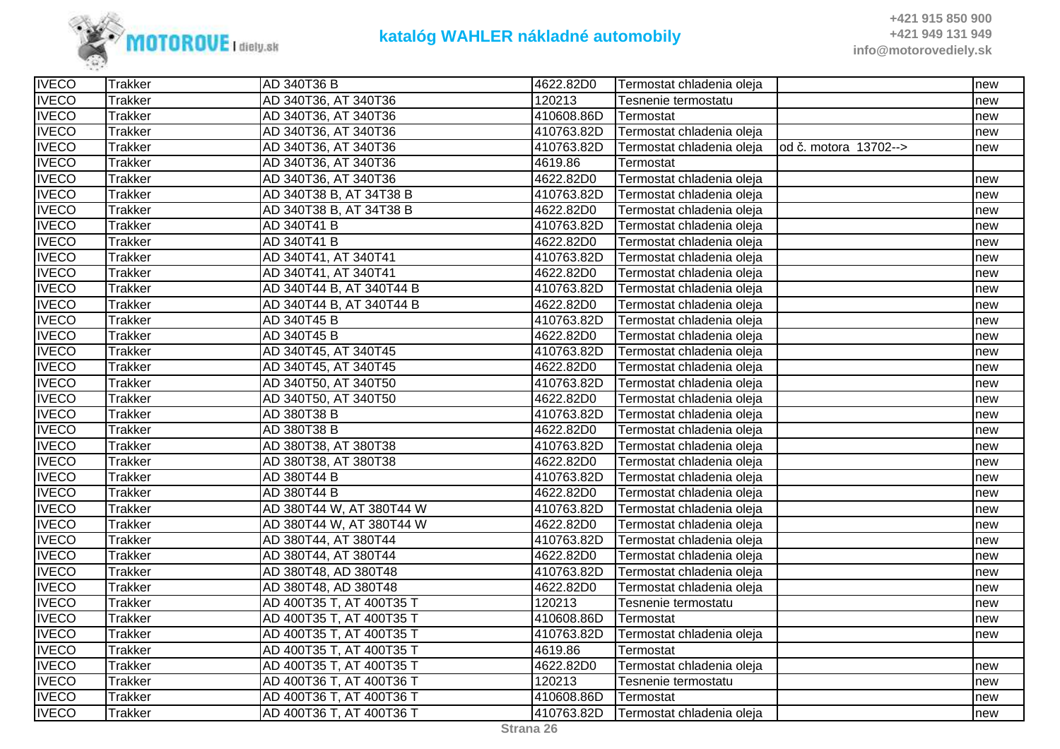

| <b>IVECO</b> | <b>Trakker</b> | AD 340T36 B              | 4622.82D0  | Termostat chladenia oleja |                       | new |
|--------------|----------------|--------------------------|------------|---------------------------|-----------------------|-----|
| <b>IVECO</b> | <b>Trakker</b> | AD 340T36, AT 340T36     | 120213     | Tesnenie termostatu       |                       | new |
| <b>IVECO</b> | <b>Trakker</b> | AD 340T36, AT 340T36     | 410608.86D | Termostat                 |                       | new |
| <b>IVECO</b> | <b>Trakker</b> | AD 340T36, AT 340T36     | 410763.82D | Termostat chladenia oleja |                       | new |
| <b>IVECO</b> | <b>Trakker</b> | AD 340T36, AT 340T36     | 410763.82D | Termostat chladenia oleja | od č. motora 13702--> | new |
| <b>IVECO</b> | <b>Trakker</b> | AD 340T36, AT 340T36     | 4619.86    | Termostat                 |                       |     |
| <b>IVECO</b> | <b>Trakker</b> | AD 340T36, AT 340T36     | 4622.82D0  | Termostat chladenia oleja |                       | new |
| <b>IVECO</b> | <b>Trakker</b> | AD 340T38 B, AT 34T38 B  | 410763.82D | Termostat chladenia oleja |                       | new |
| <b>IVECO</b> | <b>Trakker</b> | AD 340T38 B, AT 34T38 B  | 4622.82D0  | Termostat chladenia oleja |                       | new |
| <b>IVECO</b> | <b>Trakker</b> | AD 340T41 B              | 410763.82D | Termostat chladenia oleja |                       | new |
| <b>IVECO</b> | <b>Trakker</b> | AD 340T41 B              | 4622.82D0  | Termostat chladenia oleja |                       | new |
| <b>IVECO</b> | <b>Trakker</b> | AD 340T41, AT 340T41     | 410763.82D | Termostat chladenia oleja |                       | new |
| <b>IVECO</b> | <b>Trakker</b> | AD 340T41, AT 340T41     | 4622.82D0  | Termostat chladenia oleja |                       | new |
| <b>IVECO</b> | <b>Trakker</b> | AD 340T44 B, AT 340T44 B | 410763.82D | Termostat chladenia oleja |                       | new |
| <b>IVECO</b> | <b>Trakker</b> | AD 340T44 B, AT 340T44 B | 4622.82D0  | Termostat chladenia oleja |                       | new |
| <b>IVECO</b> | <b>Trakker</b> | AD 340T45 B              | 410763.82D | Termostat chladenia oleja |                       | new |
| <b>IVECO</b> | <b>Trakker</b> | AD 340T45 B              | 4622.82D0  | Termostat chladenia oleja |                       | new |
| <b>IVECO</b> | <b>Trakker</b> | AD 340T45, AT 340T45     | 410763.82D | Termostat chladenia oleja |                       | new |
| <b>IVECO</b> | <b>Trakker</b> | AD 340T45, AT 340T45     | 4622.82D0  | Termostat chladenia oleja |                       | new |
| <b>IVECO</b> | <b>Trakker</b> | AD 340T50, AT 340T50     | 410763.82D | Termostat chladenia oleja |                       | new |
| <b>IVECO</b> | <b>Trakker</b> | AD 340T50, AT 340T50     | 4622.82D0  | Termostat chladenia oleja |                       | new |
| <b>IVECO</b> | <b>Trakker</b> | AD 380T38 B              | 410763.82D | Termostat chladenia oleja |                       | new |
| <b>IVECO</b> | <b>Trakker</b> | AD 380T38 B              | 4622.82D0  | Termostat chladenia oleja |                       | new |
| <b>IVECO</b> | <b>Trakker</b> | AD 380T38, AT 380T38     | 410763.82D | Termostat chladenia oleja |                       | new |
| <b>IVECO</b> | <b>Trakker</b> | AD 380T38, AT 380T38     | 4622.82D0  | Termostat chladenia oleja |                       | new |
| <b>IVECO</b> | <b>Trakker</b> | AD 380T44 B              | 410763.82D | Termostat chladenia oleja |                       | new |
| <b>IVECO</b> | <b>Trakker</b> | AD 380T44 B              | 4622.82D0  | Termostat chladenia oleja |                       | new |
| <b>IVECO</b> | <b>Trakker</b> | AD 380T44 W, AT 380T44 W | 410763.82D | Termostat chladenia oleja |                       | new |
| <b>IVECO</b> | <b>Trakker</b> | AD 380T44 W, AT 380T44 W | 4622.82D0  | Termostat chladenia oleja |                       | new |
| <b>IVECO</b> | <b>Trakker</b> | AD 380T44, AT 380T44     | 410763.82D | Termostat chladenia oleja |                       | new |
| <b>IVECO</b> | <b>Trakker</b> | AD 380T44, AT 380T44     | 4622.82D0  | Termostat chladenia oleja |                       | new |
| <b>IVECO</b> | <b>Trakker</b> | AD 380T48, AD 380T48     | 410763.82D | Termostat chladenia oleja |                       | new |
| <b>IVECO</b> | <b>Trakker</b> | AD 380T48, AD 380T48     | 4622.82D0  | Termostat chladenia oleja |                       | new |
| <b>IVECO</b> | <b>Trakker</b> | AD 400T35 T, AT 400T35 T | 120213     | Tesnenie termostatu       |                       | new |
| <b>IVECO</b> | <b>Trakker</b> | AD 400T35 T, AT 400T35 T | 410608.86D | Termostat                 |                       | new |
| <b>IVECO</b> | <b>Trakker</b> | AD 400T35 T, AT 400T35 T | 410763.82D | Termostat chladenia oleja |                       | new |
| <b>IVECO</b> | <b>Trakker</b> | AD 400T35 T, AT 400T35 T | 4619.86    | Termostat                 |                       |     |
| <b>IVECO</b> | <b>Trakker</b> | AD 400T35 T, AT 400T35 T | 4622.82D0  | Termostat chladenia oleja |                       | new |
| <b>IVECO</b> | <b>Trakker</b> | AD 400T36 T, AT 400T36 T | 120213     | Tesnenie termostatu       |                       | new |
| <b>IVECO</b> | <b>Trakker</b> | AD 400T36 T, AT 400T36 T | 410608.86D | Termostat                 |                       | new |
| <b>IVECO</b> | <b>Trakker</b> | AD 400T36 T, AT 400T36 T | 410763.82D | Termostat chladenia oleja |                       | new |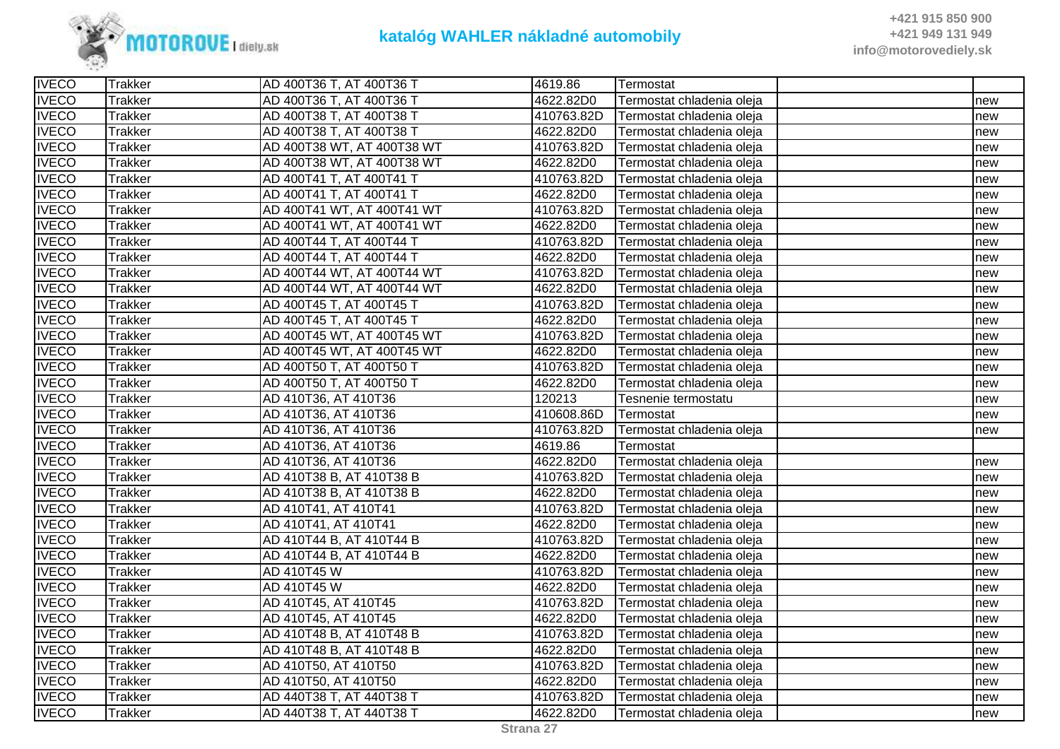

| <b>IVECO</b> | <b>Trakker</b> | AD 400T36 T, AT 400T36 T   | 4619.86    | Termostat                 |     |
|--------------|----------------|----------------------------|------------|---------------------------|-----|
| <b>IVECO</b> | <b>Trakker</b> | AD 400T36 T, AT 400T36 T   | 4622.82D0  | Termostat chladenia oleja | new |
| <b>IVECO</b> | <b>Trakker</b> | AD 400T38 T, AT 400T38 T   | 410763.82D | Termostat chladenia oleja | new |
| <b>IVECO</b> | <b>Trakker</b> | AD 400T38 T, AT 400T38 T   | 4622.82D0  | Termostat chladenia oleja | new |
| <b>IVECO</b> | <b>Trakker</b> | AD 400T38 WT, AT 400T38 WT | 410763.82D | Termostat chladenia oleja | new |
| <b>IVECO</b> | <b>Trakker</b> | AD 400T38 WT, AT 400T38 WT | 4622.82D0  | Termostat chladenia oleja | new |
| <b>IVECO</b> | <b>Trakker</b> | AD 400T41 T, AT 400T41 T   | 410763.82D | Termostat chladenia oleja | new |
| <b>IVECO</b> | <b>Trakker</b> | AD 400T41 T, AT 400T41 T   | 4622.82D0  | Termostat chladenia oleja | new |
| <b>IVECO</b> | <b>Trakker</b> | AD 400T41 WT, AT 400T41 WT | 410763.82D | Termostat chladenia oleja | new |
| <b>IVECO</b> | <b>Trakker</b> | AD 400T41 WT, AT 400T41 WT | 4622.82D0  | Termostat chladenia oleja | new |
| <b>IVECO</b> | Trakker        | AD 400T44 T, AT 400T44 T   | 410763.82D | Termostat chladenia oleja | new |
| <b>IVECO</b> | <b>Trakker</b> | AD 400T44 T, AT 400T44 T   | 4622.82D0  | Termostat chladenia oleja | new |
| <b>IVECO</b> | <b>Trakker</b> | AD 400T44 WT, AT 400T44 WT | 410763.82D | Termostat chladenia oleja | new |
| <b>IVECO</b> | <b>Trakker</b> | AD 400T44 WT, AT 400T44 WT | 4622.82D0  | Termostat chladenia oleja | new |
| <b>IVECO</b> | <b>Trakker</b> | AD 400T45 T, AT 400T45 T   | 410763.82D | Termostat chladenia oleja | new |
| <b>IVECO</b> | <b>Trakker</b> | AD 400T45 T, AT 400T45 T   | 4622.82D0  | Termostat chladenia oleja | new |
| <b>IVECO</b> | <b>Trakker</b> | AD 400T45 WT, AT 400T45 WT | 410763.82D | Termostat chladenia oleja | new |
| <b>IVECO</b> | <b>Trakker</b> | AD 400T45 WT, AT 400T45 WT | 4622.82D0  | Termostat chladenia oleja | new |
| <b>IVECO</b> | Trakker        | AD 400T50 T, AT 400T50 T   | 410763.82D | Termostat chladenia oleja | new |
| <b>IVECO</b> | <b>Trakker</b> | AD 400T50 T, AT 400T50 T   | 4622.82D0  | Termostat chladenia oleja | new |
| <b>IVECO</b> | <b>Trakker</b> | AD 410T36, AT 410T36       | 120213     | Tesnenie termostatu       | new |
| <b>IVECO</b> | <b>Trakker</b> | AD 410T36, AT 410T36       | 410608.86D | Termostat                 | new |
| <b>IVECO</b> | <b>Trakker</b> | AD 410T36, AT 410T36       | 410763.82D | Termostat chladenia oleja | new |
| <b>IVECO</b> | <b>Trakker</b> | AD 410T36, AT 410T36       | 4619.86    | Termostat                 |     |
| <b>IVECO</b> | <b>Trakker</b> | AD 410T36, AT 410T36       | 4622.82D0  | Termostat chladenia oleja | new |
| <b>IVECO</b> | <b>Trakker</b> | AD 410T38 B, AT 410T38 B   | 410763.82D | Termostat chladenia oleja | new |
| <b>IVECO</b> | <b>Trakker</b> | AD 410T38 B, AT 410T38 B   | 4622.82D0  | Termostat chladenia oleja | new |
| <b>IVECO</b> | <b>Trakker</b> | AD 410T41, AT 410T41       | 410763.82D | Termostat chladenia oleja | new |
| <b>IVECO</b> | <b>Trakker</b> | AD 410T41, AT 410T41       | 4622.82D0  | Termostat chladenia oleja | new |
| <b>IVECO</b> | <b>Trakker</b> | AD 410T44 B, AT 410T44 B   | 410763.82D | Termostat chladenia oleja | new |
| <b>IVECO</b> | <b>Trakker</b> | AD 410T44 B, AT 410T44 B   | 4622.82D0  | Termostat chladenia oleja | new |
| <b>IVECO</b> | <b>Trakker</b> | AD 410T45 W                | 410763.82D | Termostat chladenia oleja | new |
| <b>IVECO</b> | Trakker        | AD 410T45 W                | 4622.82D0  | Termostat chladenia oleja | new |
| <b>IVECO</b> | <b>Trakker</b> | AD 410T45, AT 410T45       | 410763.82D | Termostat chladenia oleja | new |
| <b>IVECO</b> | <b>Trakker</b> | AD 410T45, AT 410T45       | 4622.82D0  | Termostat chladenia oleja | new |
| <b>IVECO</b> | <b>Trakker</b> | AD 410T48 B, AT 410T48 B   | 410763.82D | Termostat chladenia oleja | new |
| <b>IVECO</b> | <b>Trakker</b> | AD 410T48 B, AT 410T48 B   | 4622.82D0  | Termostat chladenia oleja | new |
| <b>IVECO</b> | <b>Trakker</b> | AD 410T50, AT 410T50       | 410763.82D | Termostat chladenia oleja | new |
| <b>IVECO</b> | <b>Trakker</b> | AD 410T50, AT 410T50       | 4622.82D0  | Termostat chladenia oleja | new |
| <b>IVECO</b> | <b>Trakker</b> | AD 440T38 T, AT 440T38 T   | 410763.82D | Termostat chladenia oleja | new |
| <b>IVECO</b> | <b>Trakker</b> | AD 440T38 T, AT 440T38 T   | 4622.82D0  | Termostat chladenia oleja | new |
|              |                |                            |            |                           |     |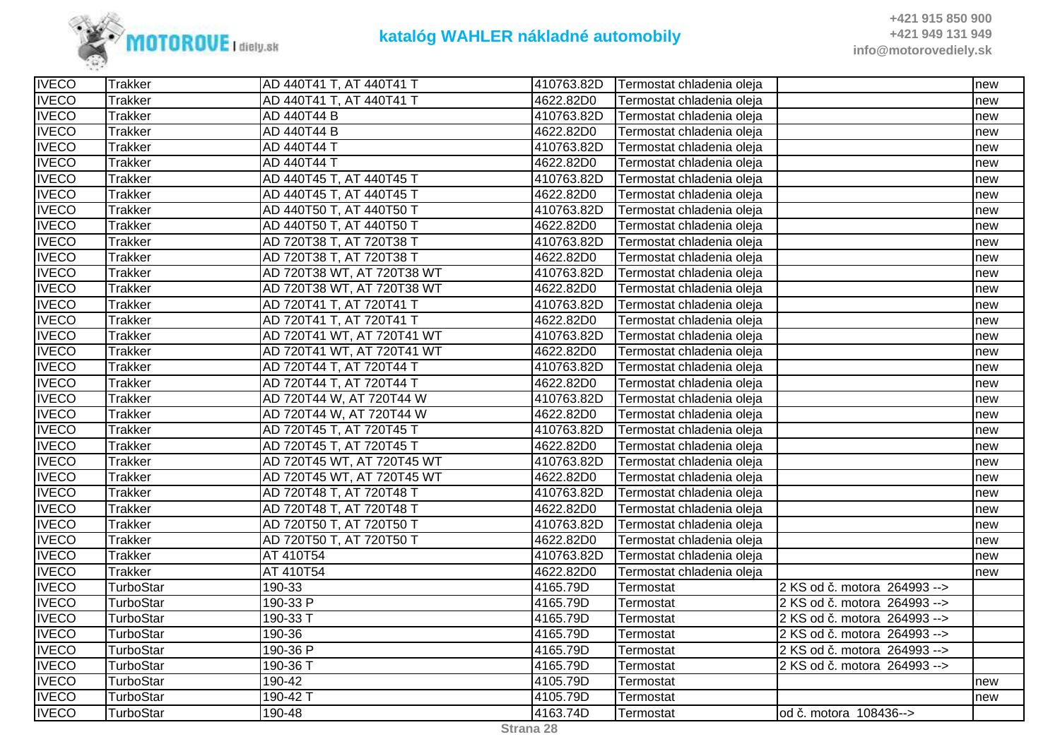

| <b>IVECO</b> | Trakker        | AD 440T41 T, AT 440T41 T   | 410763.82D | Termostat chladenia oleja |                              | new |
|--------------|----------------|----------------------------|------------|---------------------------|------------------------------|-----|
| <b>IVECO</b> | <b>Trakker</b> | AD 440T41 T, AT 440T41 T   | 4622.82D0  | Termostat chladenia oleja |                              | new |
| <b>IVECO</b> | <b>Trakker</b> | AD 440T44 B                | 410763.82D | Termostat chladenia oleja |                              | new |
| <b>IVECO</b> | <b>Trakker</b> | AD 440T44 B                | 4622.82D0  | Termostat chladenia oleja |                              | new |
| <b>IVECO</b> | <b>Trakker</b> | AD 440T44 T                | 410763.82D | Termostat chladenia oleja |                              | new |
| <b>IVECO</b> | <b>Trakker</b> | AD 440T44 T                | 4622.82D0  | Termostat chladenia oleia |                              | new |
| <b>IVECO</b> | <b>Trakker</b> | AD 440T45 T, AT 440T45 T   | 410763.82D | Termostat chladenia oleja |                              | new |
| <b>IVECO</b> | <b>Trakker</b> | AD 440T45 T, AT 440T45 T   | 4622.82D0  | Termostat chladenia oleja |                              | new |
| <b>IVECO</b> | <b>Trakker</b> | AD 440T50 T, AT 440T50 T   | 410763.82D | Termostat chladenia oleja |                              | new |
| <b>IVECO</b> | <b>Trakker</b> | AD 440T50 T, AT 440T50 T   | 4622.82D0  | Termostat chladenia oleja |                              | new |
| <b>IVECO</b> | <b>Trakker</b> | AD 720T38 T, AT 720T38 T   | 410763.82D | Termostat chladenia oleja |                              | new |
| <b>IVECO</b> | <b>Trakker</b> | AD 720T38 T, AT 720T38 T   | 4622.82D0  | Termostat chladenia oleja |                              | new |
| <b>IVECO</b> | <b>Trakker</b> | AD 720T38 WT, AT 720T38 WT | 410763.82D | Termostat chladenia oleja |                              | new |
| <b>IVECO</b> | <b>Trakker</b> | AD 720T38 WT, AT 720T38 WT | 4622.82D0  | Termostat chladenia oleja |                              | new |
| <b>IVECO</b> | <b>Trakker</b> | AD 720T41 T, AT 720T41 T   | 410763.82D | Termostat chladenia oleja |                              | new |
| <b>IVECO</b> | <b>Trakker</b> | AD 720T41 T, AT 720T41 T   | 4622.82D0  | Termostat chladenia oleja |                              | new |
| <b>IVECO</b> | <b>Trakker</b> | AD 720T41 WT, AT 720T41 WT | 410763.82D | Termostat chladenia oleja |                              | new |
| <b>IVECO</b> | <b>Trakker</b> | AD 720T41 WT, AT 720T41 WT | 4622.82D0  | Termostat chladenia oleja |                              | new |
| <b>IVECO</b> | <b>Trakker</b> | AD 720T44 T, AT 720T44 T   | 410763.82D | Termostat chladenia oleja |                              | new |
| <b>IVECO</b> | <b>Trakker</b> | AD 720T44 T, AT 720T44 T   | 4622.82D0  | Termostat chladenia oleja |                              | new |
| <b>IVECO</b> | <b>Trakker</b> | AD 720T44 W, AT 720T44 W   | 410763.82D | Termostat chladenia oleja |                              | new |
| <b>IVECO</b> | <b>Trakker</b> | AD 720T44 W, AT 720T44 W   | 4622.82D0  | Termostat chladenia oleja |                              | new |
| <b>IVECO</b> | <b>Trakker</b> | AD 720T45 T, AT 720T45 T   | 410763.82D | Termostat chladenia oleja |                              | new |
| <b>IVECO</b> | <b>Trakker</b> | AD 720T45 T, AT 720T45 T   | 4622.82D0  | Termostat chladenia oleja |                              | new |
| <b>IVECO</b> | <b>Trakker</b> | AD 720T45 WT, AT 720T45 WT | 410763.82D | Termostat chladenia oleja |                              | new |
| <b>IVECO</b> | <b>Trakker</b> | AD 720T45 WT, AT 720T45 WT | 4622.82D0  | Termostat chladenia oleja |                              | new |
| <b>IVECO</b> | Trakker        | AD 720T48 T, AT 720T48 T   | 410763.82D | Termostat chladenia oleja |                              | new |
| <b>IVECO</b> | <b>Trakker</b> | AD 720T48 T, AT 720T48 T   | 4622.82D0  | Termostat chladenia oleja |                              | new |
| <b>IVECO</b> | <b>Trakker</b> | AD 720T50 T, AT 720T50 T   | 410763.82D | Termostat chladenia oleja |                              | new |
| <b>IVECO</b> | <b>Trakker</b> | AD 720T50 T, AT 720T50 T   | 4622.82D0  | Termostat chladenia oleja |                              | new |
| <b>IVECO</b> | <b>Trakker</b> | AT 410T54                  | 410763.82D | Termostat chladenia oleja |                              | new |
| <b>IVECO</b> | <b>Trakker</b> | AT 410T54                  | 4622.82D0  | Termostat chladenia oleja |                              | new |
| <b>IVECO</b> | TurboStar      | 190-33                     | 4165.79D   | Termostat                 | 2 KS od č. motora 264993 --> |     |
| <b>IVECO</b> | TurboStar      | 190-33 P                   | 4165.79D   | Termostat                 | 2 KS od č. motora 264993 --> |     |
| <b>IVECO</b> | TurboStar      | 190-33 T                   | 4165.79D   | Termostat                 | 2 KS od č. motora 264993 --> |     |
| <b>IVECO</b> | TurboStar      | 190-36                     | 4165.79D   | Termostat                 | 2 KS od č. motora 264993 --> |     |
| <b>IVECO</b> | TurboStar      | 190-36 P                   | 4165.79D   | Termostat                 | 2 KS od č. motora 264993 --> |     |
| <b>IVECO</b> | TurboStar      | 190-36 T                   | 4165.79D   | Termostat                 | 2 KS od č. motora 264993 --> |     |
| <b>IVECO</b> | TurboStar      | 190-42                     | 4105.79D   | Termostat                 |                              | new |
| <b>IVECO</b> | TurboStar      | 190-42 T                   | 4105.79D   | Termostat                 |                              | new |
| <b>IVECO</b> | TurboStar      | 190-48                     | 4163.74D   | Termostat                 | od č. motora 108436-->       |     |
|              |                |                            |            |                           |                              |     |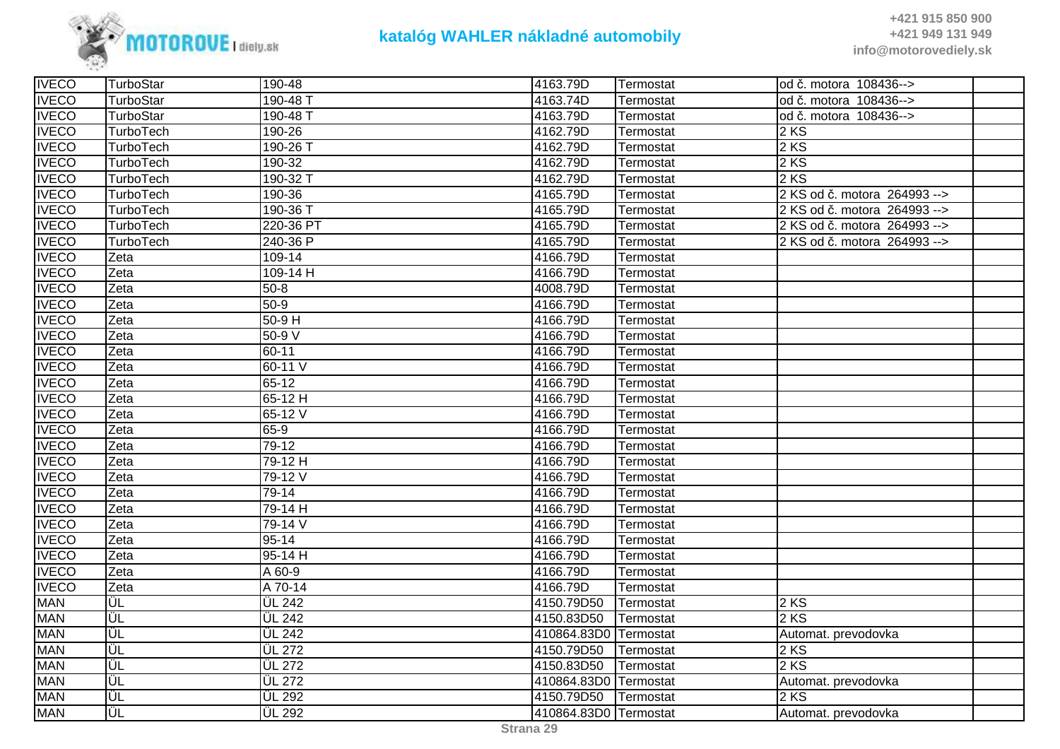

| <b>IVECO</b> | TurboStar | 190-48              | 4163.79D              | Termostat | od č. motora 108436-->       |
|--------------|-----------|---------------------|-----------------------|-----------|------------------------------|
| <b>IVECO</b> | TurboStar | 190-48 T            | 4163.74D              | Termostat | od č. motora 108436-->       |
| <b>IVECO</b> | TurboStar | 190-48 T            | 4163.79D              | Termostat | od č. motora 108436-->       |
| <b>IVECO</b> | TurboTech | 190-26              | 4162.79D              | Termostat | 2 KS                         |
| <b>IVECO</b> | TurboTech | 190-26 T            | 4162.79D              | Termostat | 2 KS                         |
| <b>IVECO</b> | TurboTech | 190-32              | 4162.79D              | Termostat | 2 KS                         |
| <b>IVECO</b> | TurboTech | 190-32 T            | 4162.79D              | Termostat | 2 KS                         |
| <b>IVECO</b> | TurboTech | 190-36              | 4165.79D              | Termostat | 2 KS od č. motora 264993 --> |
| <b>IVECO</b> | TurboTech | 190-36 T            | 4165.79D              | Termostat | 2 KS od č. motora 264993 --> |
| <b>IVECO</b> | TurboTech | 220-36 PT           | 4165.79D              | Termostat | 2 KS od č. motora 264993 --> |
| <b>IVECO</b> | TurboTech | 240-36 P            | 4165.79D              | Termostat | 2 KS od č. motora 264993 --> |
| <b>IVECO</b> | Zeta      | 109-14              | 4166.79D              | Termostat |                              |
| <b>IVECO</b> | Zeta      | $109 - 14$ H        | 4166.79D              | Termostat |                              |
| <b>IVECO</b> | Zeta      | $50 - 8$            | 4008.79D              | Termostat |                              |
| <b>IVECO</b> | Zeta      | $50-9$              | 4166.79D              | Termostat |                              |
| <b>IVECO</b> | Zeta      | $50-9H$             | 4166.79D              | Termostat |                              |
| <b>IVECO</b> | Zeta      | $50-9V$             | 4166.79D              | Termostat |                              |
| <b>IVECO</b> | Zeta      | $60 - 11$           | 4166.79D              | Termostat |                              |
| <b>IVECO</b> | Zeta      | 60-11 V             | 4166.79D              | Termostat |                              |
| <b>IVECO</b> | Zeta      | $65-12$             | 4166.79D              | Termostat |                              |
| <b>IVECO</b> | Zeta      | $65-12$ H           | 4166.79D              | Termostat |                              |
| <b>IVECO</b> | Zeta      | $65-12V$            | 4166.79D              | Termostat |                              |
| <b>IVECO</b> | Zeta      | $65-9$              | 4166.79D              | Termostat |                              |
| <b>IVECO</b> | Zeta      | $79-12$             | 4166.79D              | Termostat |                              |
| <b>IVECO</b> | Zeta      | 79-12 H             | 4166.79D              | Termostat |                              |
| <b>IVECO</b> | Zeta      | 79-12 V             | 4166.79D              | Termostat |                              |
| <b>IVECO</b> | Zeta      | 79-14               | 4166.79D              | Termostat |                              |
| <b>IVECO</b> | Zeta      | 79-14 H             | 4166.79D              | Termostat |                              |
| <b>IVECO</b> | Zeta      | 79-14 V             | 4166.79D              | Termostat |                              |
| <b>IVECO</b> | Zeta      | $95 - 14$           | 4166.79D              | Termostat |                              |
| <b>IVECO</b> | Zeta      | $95-14H$            | 4166.79D              | Termostat |                              |
| <b>IVECO</b> | Zeta      | A 60-9              | 4166.79D              | Termostat |                              |
| <b>IVECO</b> | Zeta      | A 70-14             | 4166.79D              | Termostat |                              |
| <b>MAN</b>   | ÜL        | <b>ÜL 242</b>       | 4150.79D50            | Termostat | 2 KS                         |
| <b>MAN</b>   | ΙÜL       | <b>ÜL 242</b>       | 4150.83D50            | Termostat | 2 KS                         |
| <b>MAN</b>   | ΪÜL       | $\overline{UL}$ 242 | 410864.83D0 Termostat |           | Automat. prevodovka          |
| <b>MAN</b>   | İÜL       | <b>ÜL 272</b>       | 4150.79D50            | Termostat | 2 KS                         |
| <b>MAN</b>   | ΪÜL       | <b>ÜL 272</b>       | 4150.83D50            | Termostat | 2 KS                         |
| <b>MAN</b>   | ΪÜL       | ÜL 272              | 410864.83D0 Termostat |           | Automat. prevodovka          |
| <b>MAN</b>   | ΪÜL       | <b>ÜL 292</b>       | 4150.79D50            | Termostat | 2 KS                         |
| <b>MAN</b>   | lÜL       | <b>ÜL 292</b>       | 410864.83D0 Termostat |           | Automat. prevodovka          |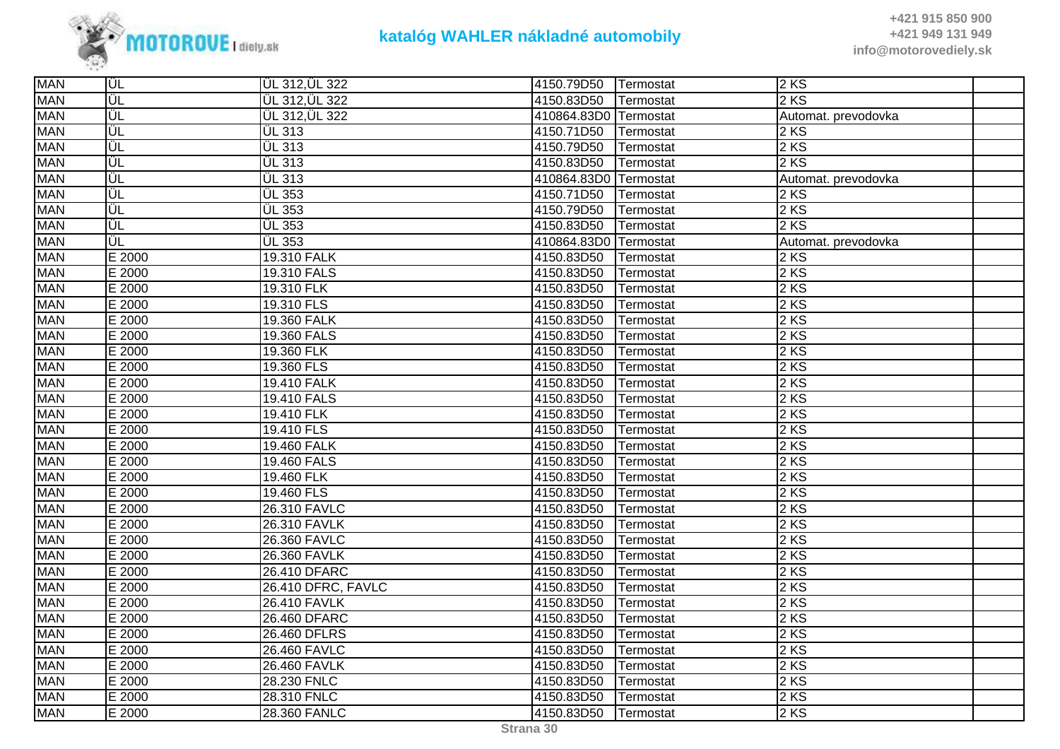

| <b>MAN</b> | ∣ÜL    | ÜL 312, ÜL 322        | 4150.79D50            | Termostat | 2KS                 |  |
|------------|--------|-----------------------|-----------------------|-----------|---------------------|--|
| <b>MAN</b> | ΙÜL    | ÜL 312, ÜL 322        | 4150.83D50            | Termostat | $2$ KS              |  |
| <b>MAN</b> | ΙÜΕ    | <b>ÜL 312, ÜL 322</b> | 410864.83D0           | Termostat | Automat. prevodovka |  |
| <b>MAN</b> | ΪÜL    | ÜL 313                | 4150.71D50            | Termostat | $2$ KS              |  |
| <b>MAN</b> | lül    | ÜL 313                | 4150.79D50            | Termostat | 2 KS                |  |
| <b>MAN</b> | ΪÜL    | ÜL 313                | 4150.83D50            | Termostat | 2 KS                |  |
| <b>MAN</b> | ΪÜL    | <b>ÜL 313</b>         | 410864.83D0 Termostat |           | Automat. prevodovka |  |
| <b>MAN</b> | ΪÜL    | <b>ÜL 353</b>         | 4150.71D50            | Termostat | 2 KS                |  |
| <b>MAN</b> | ÜL     | ÜL 353                | 4150.79D50            | Termostat | 2 KS                |  |
| <b>MAN</b> | ÜL     | ÜL 353                | 4150.83D50            | Termostat | $2$ KS              |  |
| <b>MAN</b> | ÜL     | ÜL 353                | 410864.83D0           | Termostat | Automat. prevodovka |  |
| <b>MAN</b> | E 2000 | 19.310 FALK           | 4150.83D50            | Termostat | $2$ KS              |  |
| <b>MAN</b> | E 2000 | 19.310 FALS           | 4150.83D50            | Termostat | 2 KS                |  |
| <b>MAN</b> | E 2000 | 19.310 FLK            | 4150.83D50            | Termostat | $2$ KS              |  |
| <b>MAN</b> | E 2000 | 19.310 FLS            | 4150.83D50            | Termostat | $2$ KS              |  |
| <b>MAN</b> | E 2000 | 19.360 FALK           | 4150.83D50            | Termostat | 2 KS                |  |
| <b>MAN</b> | E 2000 | 19.360 FALS           | 4150.83D50            | Termostat | 2 KS                |  |
| <b>MAN</b> | E 2000 | 19.360 FLK            | 4150.83D50            | Termostat | 2 KS                |  |
| <b>MAN</b> | E 2000 | 19.360 FLS            | 4150.83D50            | Termostat | 2 KS                |  |
| <b>MAN</b> | E 2000 | <b>19.410 FALK</b>    | 4150.83D50            | Termostat | $2$ KS              |  |
| <b>MAN</b> | E 2000 | 19.410 FALS           | 4150.83D50            | Termostat | 2 KS                |  |
| <b>MAN</b> | E 2000 | 19.410 FLK            | 4150.83D50            | Termostat | 2 KS                |  |
| <b>MAN</b> | E 2000 | 19.410 FLS            | 4150.83D50            | Termostat | 2 KS                |  |
| <b>MAN</b> | E 2000 | <b>19.460 FALK</b>    | 4150.83D50            | Termostat | $2$ KS              |  |
| <b>MAN</b> | E 2000 | 19.460 FALS           | 4150.83D50            | Termostat | 2 KS                |  |
| <b>MAN</b> | E 2000 | 19.460 FLK            | 4150.83D50            | Termostat | $2$ KS              |  |
| <b>MAN</b> | E 2000 | 19.460 FLS            | 4150.83D50            | Termostat | 2 KS                |  |
| <b>MAN</b> | E 2000 | 26.310 FAVLC          | 4150.83D50            | Termostat | $2$ KS              |  |
| <b>MAN</b> | E 2000 | 26.310 FAVLK          | 4150.83D50            | Termostat | 2 KS                |  |
| <b>MAN</b> | E 2000 | 26.360 FAVLC          | 4150.83D50            | Termostat | $2$ KS              |  |
| <b>MAN</b> | E 2000 | 26.360 FAVLK          | 4150.83D50            | Termostat | 2KS                 |  |
| <b>MAN</b> | E 2000 | 26.410 DFARC          | 4150.83D50            | Termostat | 2 KS                |  |
| <b>MAN</b> | E 2000 | 26.410 DFRC, FAVLC    | 4150.83D50            | Termostat | 2KS                 |  |
| <b>MAN</b> | E 2000 | 26.410 FAVLK          | 4150.83D50            | Termostat | 2 KS                |  |
| <b>MAN</b> | E 2000 | 26.460 DFARC          | 4150.83D50            | Termostat | 2 KS                |  |
| <b>MAN</b> | E 2000 | 26.460 DFLRS          | 4150.83D50            | Termostat | $2$ KS              |  |
| <b>MAN</b> | E 2000 | 26.460 FAVLC          | 4150.83D50            | Termostat | $2$ KS              |  |
| <b>MAN</b> | E 2000 | 26.460 FAVLK          | 4150.83D50            | Termostat | 2 KS                |  |
| <b>MAN</b> | E 2000 | 28.230 FNLC           | 4150.83D50            | Termostat | $2$ KS              |  |
| <b>MAN</b> | E 2000 | 28.310 FNLC           | 4150.83D50            | Termostat | $2$ KS              |  |
| <b>MAN</b> | E 2000 | 28.360 FANLC          | 4150.83D50            | Termostat | $2$ KS              |  |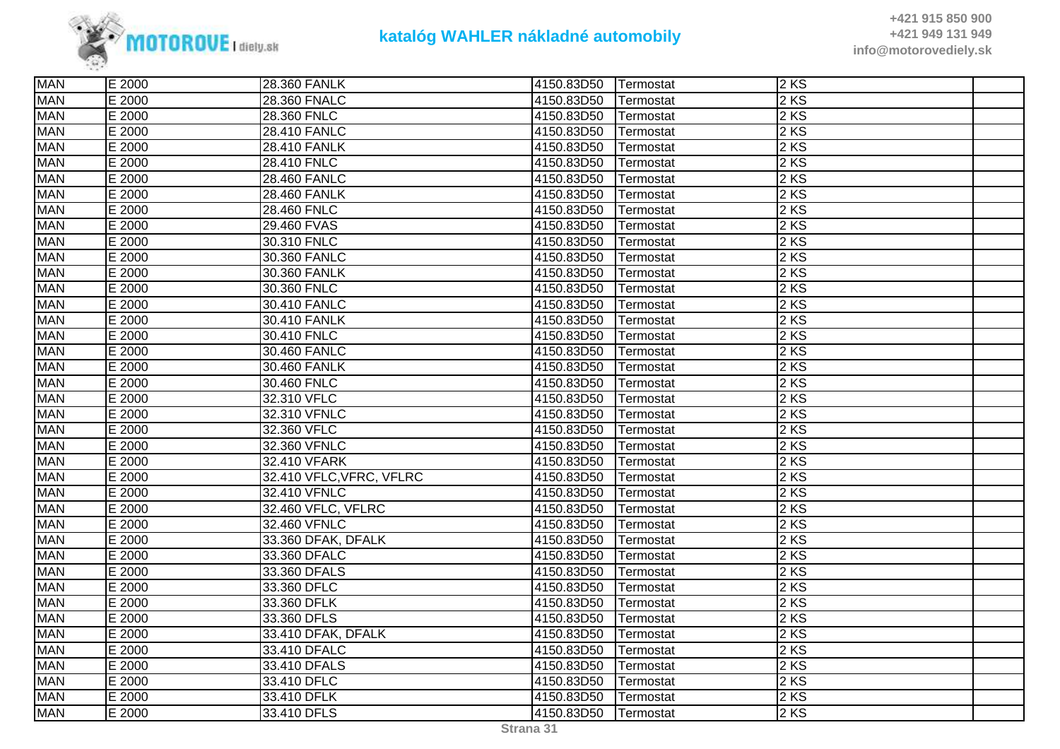

| <b>MAN</b> | E 2000 | 28.360 FANLK             | 4150.83D50 | Termostat | 2 KS |  |
|------------|--------|--------------------------|------------|-----------|------|--|
| <b>MAN</b> | E 2000 | 28.360 FNALC             | 4150.83D50 | Termostat | 2 KS |  |
| <b>MAN</b> | E 2000 | 28.360 FNLC              | 4150.83D50 | Termostat | 2 KS |  |
| <b>MAN</b> | E 2000 | 28.410 FANLC             | 4150.83D50 | Termostat | 2 KS |  |
| <b>MAN</b> | E 2000 | 28.410 FANLK             | 4150.83D50 | Termostat | 2 KS |  |
| <b>MAN</b> | E 2000 | 28.410 FNLC              | 4150.83D50 | Termostat | 2 KS |  |
| <b>MAN</b> | E 2000 | 28.460 FANLC             | 4150.83D50 | Termostat | 2 KS |  |
| <b>MAN</b> | E 2000 | <b>28.460 FANLK</b>      | 4150.83D50 | Termostat | 2 KS |  |
| <b>MAN</b> | E 2000 | 28.460 FNLC              | 4150.83D50 | Termostat | 2KS  |  |
| <b>MAN</b> | E 2000 | 29.460 FVAS              | 4150.83D50 | Termostat | 2 KS |  |
| <b>MAN</b> | E 2000 | 30.310 FNLC              | 4150.83D50 | Termostat | 2 KS |  |
| <b>MAN</b> | E 2000 | 30.360 FANLC             | 4150.83D50 | Termostat | 2 KS |  |
| <b>MAN</b> | E 2000 | 30.360 FANLK             | 4150.83D50 | Termostat | 2 KS |  |
| <b>MAN</b> | E 2000 | 30.360 FNLC              | 4150.83D50 | Termostat | 2 KS |  |
| <b>MAN</b> | E 2000 | 30.410 FANLC             | 4150.83D50 | Termostat | 2 KS |  |
| <b>MAN</b> | E 2000 | 30.410 FANLK             | 4150.83D50 | Termostat | 2 KS |  |
| <b>MAN</b> | E 2000 | 30.410 FNLC              | 4150.83D50 | Termostat | 2 KS |  |
| <b>MAN</b> | E 2000 | 30.460 FANLC             | 4150.83D50 | Termostat | 2 KS |  |
| <b>MAN</b> | E 2000 | 30.460 FANLK             | 4150.83D50 | Termostat | 2KS  |  |
| <b>MAN</b> | E 2000 | 30.460 FNLC              | 4150.83D50 | Termostat | 2 KS |  |
| <b>MAN</b> | E 2000 | 32.310 VFLC              | 4150.83D50 | Termostat | 2 KS |  |
| <b>MAN</b> | E 2000 | 32.310 VFNLC             | 4150.83D50 | Termostat | 2 KS |  |
| <b>MAN</b> | E 2000 | 32.360 VFLC              | 4150.83D50 | Termostat | 2 KS |  |
| <b>MAN</b> | E 2000 | 32.360 VFNLC             | 4150.83D50 | Termostat | 2 KS |  |
| <b>MAN</b> | E 2000 | 32.410 VFARK             | 4150.83D50 | Termostat | 2 KS |  |
| <b>MAN</b> | E 2000 | 32.410 VFLC, VFRC, VFLRC | 4150.83D50 | Termostat | 2KS  |  |
| <b>MAN</b> | E 2000 | 32.410 VFNLC             | 4150.83D50 | Termostat | 2 KS |  |
| <b>MAN</b> | E 2000 | 32.460 VFLC, VFLRC       | 4150.83D50 | Termostat | 2 KS |  |
| <b>MAN</b> | E 2000 | 32.460 VFNLC             | 4150.83D50 | Termostat | 2 KS |  |
| <b>MAN</b> | E 2000 | 33.360 DFAK, DFALK       | 4150.83D50 | Termostat | 2 KS |  |
| <b>MAN</b> | E 2000 | 33.360 DFALC             | 4150.83D50 | Termostat | 2KS  |  |
| <b>MAN</b> | E 2000 | 33.360 DFALS             | 4150.83D50 | Termostat | 2 KS |  |
| <b>MAN</b> | E 2000 | 33.360 DFLC              | 4150.83D50 | Termostat | 2 KS |  |
| <b>MAN</b> | E 2000 | 33.360 DFLK              | 4150.83D50 | Termostat | 2 KS |  |
| <b>MAN</b> | E 2000 | 33.360 DFLS              | 4150.83D50 | Termostat | 2 KS |  |
| <b>MAN</b> | E 2000 | 33.410 DFAK, DFALK       | 4150.83D50 | Termostat | 2KS  |  |
| <b>MAN</b> | E 2000 | 33.410 DFALC             | 4150.83D50 | Termostat | 2 KS |  |
| <b>MAN</b> | E 2000 | 33.410 DFALS             | 4150.83D50 | Termostat | 2 KS |  |
| <b>MAN</b> | E 2000 | 33.410 DFLC              | 4150.83D50 | Termostat | 2 KS |  |
| <b>MAN</b> | E 2000 | 33.410 DFLK              | 4150.83D50 | Termostat | 2KS  |  |
| <b>MAN</b> | E 2000 | 33.410 DFLS              | 4150.83D50 | Termostat | 2KS  |  |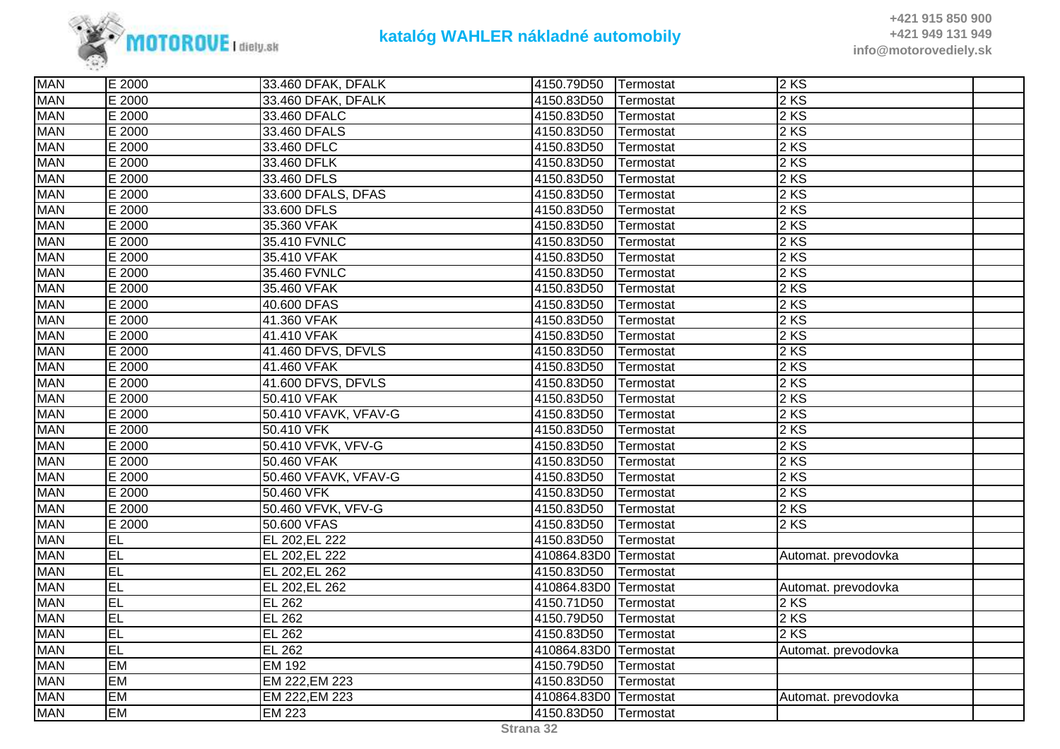

**+421 915 850 900 +421 949 131 949info@motorovediely.sk**

| <b>MAN</b> | E 2000    | 33.460 DFAK, DFALK   | 4150.79D50            | Termostat | 2 KS                |  |
|------------|-----------|----------------------|-----------------------|-----------|---------------------|--|
| <b>MAN</b> | E 2000    | 33.460 DFAK, DFALK   | 4150.83D50            | Termostat | 2 KS                |  |
| <b>MAN</b> | E 2000    | 33.460 DFALC         | 4150.83D50            | Termostat | 2 KS                |  |
| <b>MAN</b> | E 2000    | 33.460 DFALS         | 4150.83D50            | Termostat | 2 KS                |  |
| <b>MAN</b> | E 2000    | 33.460 DFLC          | 4150.83D50            | Termostat | 2 KS                |  |
| <b>MAN</b> | E 2000    | 33.460 DFLK          | 4150.83D50            | Termostat | 2 KS                |  |
| <b>MAN</b> | E 2000    | 33.460 DFLS          | 4150.83D50            | Termostat | 2 KS                |  |
| <b>MAN</b> | E 2000    | 33.600 DFALS, DFAS   | 4150.83D50            | Termostat | $2$ KS              |  |
| <b>MAN</b> | E 2000    | 33.600 DFLS          | 4150.83D50            | Termostat | 2 KS                |  |
| <b>MAN</b> | E 2000    | 35.360 VFAK          | 4150.83D50            | Termostat | 2 KS                |  |
| <b>MAN</b> | E 2000    | 35.410 FVNLC         | 4150.83D50            | Termostat | 2 KS                |  |
| <b>MAN</b> | E 2000    | 35.410 VFAK          | 4150.83D50            | Termostat | 2 KS                |  |
| <b>MAN</b> | E 2000    | 35.460 FVNLC         | 4150.83D50            | Termostat | 2 KS                |  |
| <b>MAN</b> | E 2000    | 35.460 VFAK          | 4150.83D50            | Termostat | 2 KS                |  |
| <b>MAN</b> | E 2000    | 40.600 DFAS          | 4150.83D50            | Termostat | 2 KS                |  |
| <b>MAN</b> | E 2000    | 41.360 VFAK          | 4150.83D50            | Termostat | 2 KS                |  |
| <b>MAN</b> | E 2000    | 41.410 VFAK          | 4150.83D50            | Termostat | 2 KS                |  |
| <b>MAN</b> | E 2000    | 41.460 DFVS, DFVLS   | 4150.83D50            | Termostat | 2 KS                |  |
| <b>MAN</b> | E 2000    | 41.460 VFAK          | 4150.83D50            | Termostat | 2 KS                |  |
| <b>MAN</b> | E 2000    | 41.600 DFVS, DFVLS   | 4150.83D50            | Termostat | 2 KS                |  |
| <b>MAN</b> | E 2000    | 50.410 VFAK          | 4150.83D50            | Termostat | 2 KS                |  |
| <b>MAN</b> | E 2000    | 50.410 VFAVK, VFAV-G | 4150.83D50            | Termostat | 2 KS                |  |
| <b>MAN</b> | E 2000    | 50.410 VFK           | 4150.83D50            | Termostat | 2 KS                |  |
| <b>MAN</b> | E 2000    | 50.410 VFVK, VFV-G   | 4150.83D50            | Termostat | 2KS                 |  |
| <b>MAN</b> | E 2000    | 50.460 VFAK          | 4150.83D50            | Termostat | 2 KS                |  |
| <b>MAN</b> | E 2000    | 50.460 VFAVK, VFAV-G | 4150.83D50            | Termostat | 2 KS                |  |
| <b>MAN</b> | E 2000    | 50.460 VFK           | 4150.83D50            | Termostat | 2 KS                |  |
| <b>MAN</b> | E 2000    | 50.460 VFVK, VFV-G   | 4150.83D50            | Termostat | 2 KS                |  |
| <b>MAN</b> | E 2000    | 50.600 VFAS          | 4150.83D50            | Termostat | 2 KS                |  |
| <b>MAN</b> | EL        | EL 202, EL 222       | 4150.83D50            | Termostat |                     |  |
| <b>MAN</b> | EL        | EL 202, EL 222       | 410864.83D0           | Termostat | Automat. prevodovka |  |
| <b>MAN</b> | EL        | EL 202, EL 262       | 4150.83D50            | Termostat |                     |  |
| <b>MAN</b> | E         | EL 202, EL 262       | 410864.83D0 Termostat |           | Automat. prevodovka |  |
| <b>MAN</b> | EL        | <b>EL 262</b>        | 4150.71D50            | Termostat | 2 KS                |  |
| <b>MAN</b> | EL        | <b>EL 262</b>        | 4150.79D50            | Termostat | $2$ KS              |  |
| <b>MAN</b> | EL        | <b>EL 262</b>        | 4150.83D50            | Termostat | 2 KS                |  |
| <b>MAN</b> | EL        | <b>EL 262</b>        | 410864.83D0 Termostat |           | Automat. prevodovka |  |
| <b>MAN</b> | <b>EM</b> | <b>EM 192</b>        | 4150.79D50            | Termostat |                     |  |
| <b>MAN</b> | <b>EM</b> | EM 222, EM 223       | 4150.83D50            | Termostat |                     |  |
| <b>MAN</b> | EM        | EM 222, EM 223       | 410864.83D0 Termostat |           | Automat. prevodovka |  |
| <b>MAN</b> | <b>EM</b> | <b>EM 223</b>        | 4150.83D50            | Termostat |                     |  |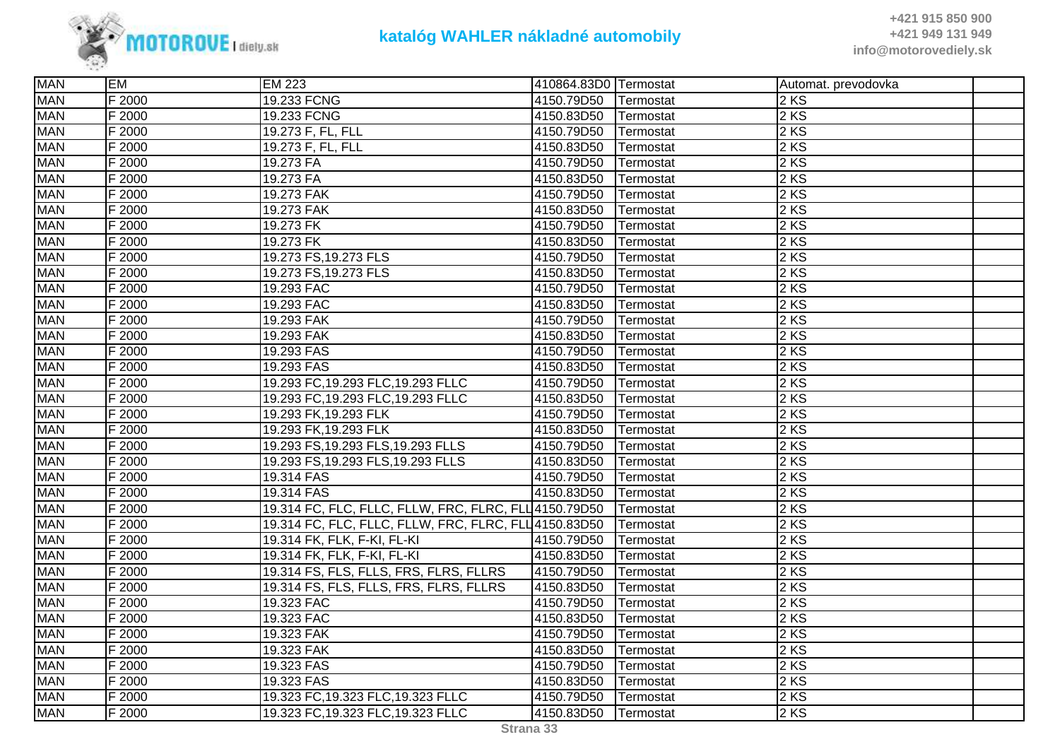

| <b>MAN</b> | <b>EM</b> | <b>EM 223</b>                                         | 410864.83D0 Termostat |           | Automat. prevodovka |  |
|------------|-----------|-------------------------------------------------------|-----------------------|-----------|---------------------|--|
| <b>MAN</b> | F 2000    | 19.233 FCNG                                           | 4150.79D50            | Termostat | 2 KS                |  |
| <b>MAN</b> | F 2000    | 19.233 FCNG                                           | 4150.83D50            | Termostat | 2 KS                |  |
| <b>MAN</b> | F 2000    | 19.273 F, FL, FLL                                     | 4150.79D50            | Termostat | 2 KS                |  |
| <b>MAN</b> | F 2000    | 19.273 F, FL, FLL                                     | 4150.83D50            | Termostat | 2 KS                |  |
| <b>MAN</b> | F 2000    | 19.273 FA                                             | 4150.79D50            | Termostat | 2 KS                |  |
| <b>MAN</b> | F 2000    | 19.273 FA                                             | 4150.83D50            | Termostat | 2 KS                |  |
| <b>MAN</b> | F 2000    | 19.273 FAK                                            | 4150.79D50            | Termostat | 2 KS                |  |
| <b>MAN</b> | F 2000    | 19.273 FAK                                            | 4150.83D50            | Termostat | 2 KS                |  |
| <b>MAN</b> | F 2000    | 19.273 FK                                             | 4150.79D50            | Termostat | 2 KS                |  |
| <b>MAN</b> | F2000     | 19.273 FK                                             | 4150.83D50            | Termostat | 2 KS                |  |
| <b>MAN</b> | F 2000    | 19.273 FS, 19.273 FLS                                 | 4150.79D50            | Termostat | 2 KS                |  |
| <b>MAN</b> | F 2000    | 19.273 FS, 19.273 FLS                                 | 4150.83D50            | Termostat | 2 KS                |  |
| <b>MAN</b> | F 2000    | 19.293 FAC                                            | 4150.79D50            | Termostat | 2 KS                |  |
| <b>MAN</b> | F 2000    | 19.293 FAC                                            | 4150.83D50            | Termostat | 2 KS                |  |
| <b>MAN</b> | F 2000    | 19.293 FAK                                            | 4150.79D50            | Termostat | 2 KS                |  |
| <b>MAN</b> | F 2000    | 19.293 FAK                                            | 4150.83D50            | Termostat | 2 KS                |  |
| <b>MAN</b> | F 2000    | 19.293 FAS                                            | 4150.79D50            | Termostat | 2 KS                |  |
| <b>MAN</b> | F 2000    | 19.293 FAS                                            | 4150.83D50            | Termostat | 2 KS                |  |
| <b>MAN</b> | F 2000    | 19.293 FC, 19.293 FLC, 19.293 FLLC                    | 4150.79D50            | Termostat | 2 KS                |  |
| <b>MAN</b> | F 2000    | 19.293 FC, 19.293 FLC, 19.293 FLLC                    | 4150.83D50            | Termostat | 2 KS                |  |
| <b>MAN</b> | F 2000    | 19.293 FK, 19.293 FLK                                 | 4150.79D50            | Termostat | 2 KS                |  |
| <b>MAN</b> | F 2000    | 19.293 FK, 19.293 FLK                                 | 4150.83D50            | Termostat | 2 KS                |  |
| <b>MAN</b> | F 2000    | 19.293 FS, 19.293 FLS, 19.293 FLLS                    | 4150.79D50            | Termostat | 2 KS                |  |
| <b>MAN</b> | F 2000    | 19.293 FS, 19.293 FLS, 19.293 FLLS                    | 4150.83D50            | Termostat | 2 KS                |  |
| <b>MAN</b> | F 2000    | 19.314 FAS                                            | 4150.79D50            | Termostat | 2KS                 |  |
| <b>MAN</b> | F 2000    | 19.314 FAS                                            | 4150.83D50            | Termostat | 2 KS                |  |
| <b>MAN</b> | F 2000    | 19.314 FC, FLC, FLLC, FLLW, FRC, FLRC, FLL 4150.79D50 |                       | Termostat | 2 KS                |  |
| <b>MAN</b> | F 2000    | 19.314 FC, FLC, FLLC, FLLW, FRC, FLRC, FLL 4150.83D50 |                       | Termostat | 2 KS                |  |
| <b>MAN</b> | F 2000    | 19.314 FK, FLK, F-KI, FL-KI                           | 4150.79D50            | Termostat | 2 KS                |  |
| <b>MAN</b> | F 2000    | 19.314 FK, FLK, F-KI, FL-KI                           | 4150.83D50            | Termostat | 2 KS                |  |
| <b>MAN</b> | F 2000    | 19.314 FS, FLS, FLLS, FRS, FLRS, FLLRS                | 4150.79D50            | Termostat | 2 KS                |  |
| <b>MAN</b> | F 2000    | 19.314 FS, FLS, FLLS, FRS, FLRS, FLLRS                | 4150.83D50            | Termostat | 2 KS                |  |
| <b>MAN</b> | F 2000    | 19.323 FAC                                            | 4150.79D50            | Termostat | 2 KS                |  |
| <b>MAN</b> | F 2000    | 19.323 FAC                                            | 4150.83D50            | Termostat | 2 KS                |  |
| <b>MAN</b> | F 2000    | 19.323 FAK                                            | 4150.79D50            | Termostat | 2 KS                |  |
| <b>MAN</b> | F 2000    | 19.323 FAK                                            | 4150.83D50            | Termostat | 2 KS                |  |
| <b>MAN</b> | F 2000    | 19.323 FAS                                            | 4150.79D50            | Termostat | 2 KS                |  |
| <b>MAN</b> | F 2000    | 19.323 FAS                                            | 4150.83D50            | Termostat | 2 KS                |  |
| <b>MAN</b> | F 2000    | 19.323 FC, 19.323 FLC, 19.323 FLLC                    | 4150.79D50            | Termostat | 2KS                 |  |
| <b>MAN</b> | F 2000    | 19.323 FC, 19.323 FLC, 19.323 FLLC                    | 4150.83D50            | Termostat | 2KS                 |  |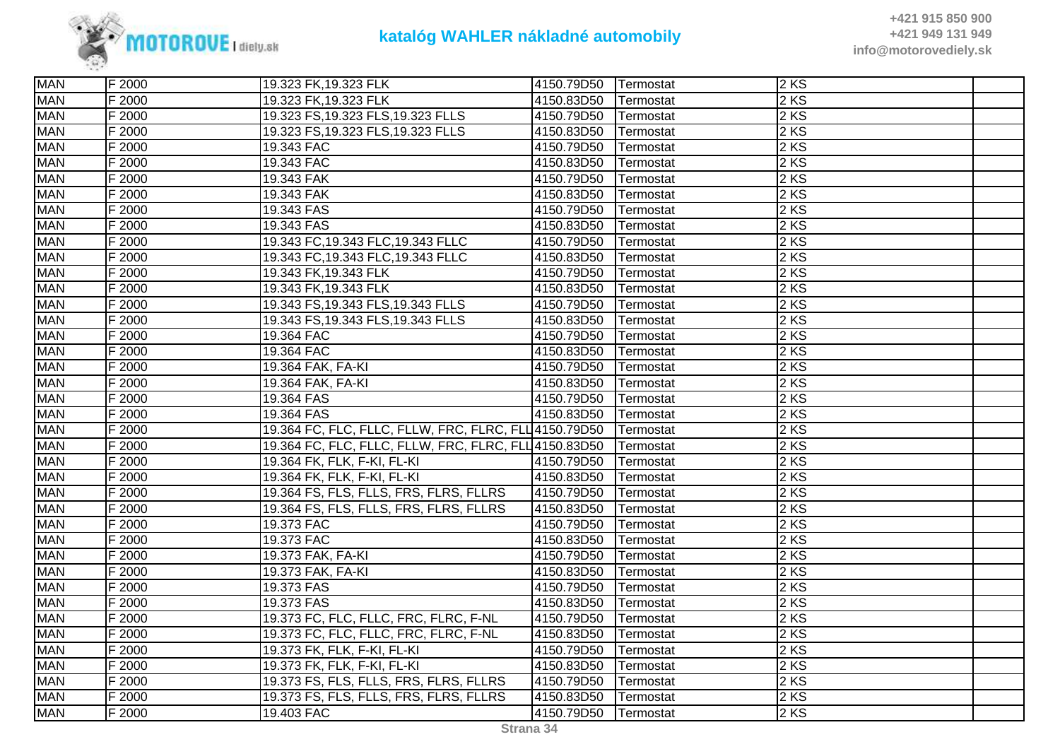

**+421 915 850 900 +421 949 131 949info@motorovediely.sk**

| <b>MAN</b> | F 2000 | 19.323 FK, 19.323 FLK                                 | 4150.79D50 | Termostat | $2$ KS |  |
|------------|--------|-------------------------------------------------------|------------|-----------|--------|--|
| <b>MAN</b> | F 2000 | 19.323 FK, 19.323 FLK                                 | 4150.83D50 | Termostat | 2 KS   |  |
| <b>MAN</b> | F 2000 | 19.323 FS, 19.323 FLS, 19.323 FLLS                    | 4150.79D50 | Termostat | 2 KS   |  |
| <b>MAN</b> | F 2000 | 19.323 FS, 19.323 FLS, 19.323 FLLS                    | 4150.83D50 | Termostat | 2 KS   |  |
| <b>MAN</b> | F 2000 | 19.343 FAC                                            | 4150.79D50 | Termostat | 2KS    |  |
| <b>MAN</b> | F 2000 | 19.343 FAC                                            | 4150.83D50 | Termostat | 2 KS   |  |
| <b>MAN</b> | F 2000 | 19.343 FAK                                            | 4150.79D50 | Termostat | 2 KS   |  |
| <b>MAN</b> | F 2000 | 19.343 FAK                                            | 4150.83D50 | Termostat | 2 KS   |  |
| <b>MAN</b> | F 2000 | 19.343 FAS                                            | 4150.79D50 | Termostat | 2 KS   |  |
| <b>MAN</b> | F 2000 | 19.343 FAS                                            | 4150.83D50 | Termostat | 2KS    |  |
| <b>MAN</b> | F 2000 | 19.343 FC, 19.343 FLC, 19.343 FLLC                    | 4150.79D50 | Termostat | 2 KS   |  |
| <b>MAN</b> | F 2000 | 19.343 FC, 19.343 FLC, 19.343 FLLC                    | 4150.83D50 | Termostat | 2 KS   |  |
| <b>MAN</b> | F 2000 | 19.343 FK, 19.343 FLK                                 | 4150.79D50 | Termostat | 2 KS   |  |
| <b>MAN</b> | F 2000 | 19.343 FK, 19.343 FLK                                 | 4150.83D50 | Termostat | 2 KS   |  |
| <b>MAN</b> | F 2000 | 19.343 FS, 19.343 FLS, 19.343 FLLS                    | 4150.79D50 | Termostat | 2 KS   |  |
| <b>MAN</b> | F 2000 | 19.343 FS, 19.343 FLS, 19.343 FLLS                    | 4150.83D50 | Termostat | 2 KS   |  |
| <b>MAN</b> | F 2000 | 19.364 FAC                                            | 4150.79D50 | Termostat | 2 KS   |  |
| <b>MAN</b> | F 2000 | 19.364 FAC                                            | 4150.83D50 | Termostat | 2 KS   |  |
| <b>MAN</b> | F 2000 | 19.364 FAK, FA-KI                                     | 4150.79D50 | Termostat | 2KS    |  |
| <b>MAN</b> | F 2000 | 19.364 FAK, FA-KI                                     | 4150.83D50 | Termostat | 2 KS   |  |
| <b>MAN</b> | F 2000 | 19.364 FAS                                            | 4150.79D50 | Termostat | 2 KS   |  |
| <b>MAN</b> | F 2000 | 19.364 FAS                                            | 4150.83D50 | Termostat | 2 KS   |  |
| <b>MAN</b> | F 2000 | 19.364 FC, FLC, FLLC, FLLW, FRC, FLRC, FLL 4150.79D50 |            | Termostat | 2 KS   |  |
| <b>MAN</b> | F 2000 | 19.364 FC, FLC, FLLC, FLLW, FRC, FLRC, FLL 4150.83D50 |            | Termostat | 2 KS   |  |
| <b>MAN</b> | F 2000 | 19.364 FK, FLK, F-KI, FL-KI                           | 4150.79D50 | Termostat | 2KS    |  |
| <b>MAN</b> | F 2000 | 19.364 FK, FLK, F-KI, FL-KI                           | 4150.83D50 | Termostat | 2KS    |  |
| <b>MAN</b> | F 2000 | 19.364 FS, FLS, FLLS, FRS, FLRS, FLLRS                | 4150.79D50 | Termostat | 2 KS   |  |
| <b>MAN</b> | F 2000 | 19.364 FS, FLS, FLLS, FRS, FLRS, FLLRS                | 4150.83D50 | Termostat | 2 KS   |  |
| <b>MAN</b> | F 2000 | 19.373 FAC                                            | 4150.79D50 | Termostat | 2 KS   |  |
| <b>MAN</b> | F 2000 | 19.373 FAC                                            | 4150.83D50 | Termostat | 2 KS   |  |
| <b>MAN</b> | F 2000 | 19.373 FAK, FA-KI                                     | 4150.79D50 | Termostat | 2KS    |  |
| <b>MAN</b> | F 2000 | 19.373 FAK, FA-KI                                     | 4150.83D50 | Termostat | 2 KS   |  |
| <b>MAN</b> | F 2000 | 19.373 FAS                                            | 4150.79D50 | Termostat | 2 KS   |  |
| <b>MAN</b> | F 2000 | 19.373 FAS                                            | 4150.83D50 | Termostat | 2 KS   |  |
| <b>MAN</b> | F 2000 | 19.373 FC, FLC, FLLC, FRC, FLRC, F-NL                 | 4150.79D50 | Termostat | 2 KS   |  |
| <b>MAN</b> | F 2000 | 19.373 FC, FLC, FLLC, FRC, FLRC, F-NL                 | 4150.83D50 | Termostat | 2 KS   |  |
| <b>MAN</b> | F 2000 | 19.373 FK, FLK, F-KI, FL-KI                           | 4150.79D50 | Termostat | 2 KS   |  |
| <b>MAN</b> | F 2000 | 19.373 FK, FLK, F-KI, FL-KI                           | 4150.83D50 | Termostat | 2 KS   |  |
| <b>MAN</b> | F 2000 | 19.373 FS, FLS, FLLS, FRS, FLRS, FLLRS                | 4150.79D50 | Termostat | 2 KS   |  |
| <b>MAN</b> | F 2000 | 19.373 FS, FLS, FLLS, FRS, FLRS, FLLRS                | 4150.83D50 | Termostat | $2$ KS |  |
| <b>MAN</b> | F 2000 | 19.403 FAC                                            | 4150.79D50 | Termostat | 2KS    |  |
|            |        |                                                       |            |           |        |  |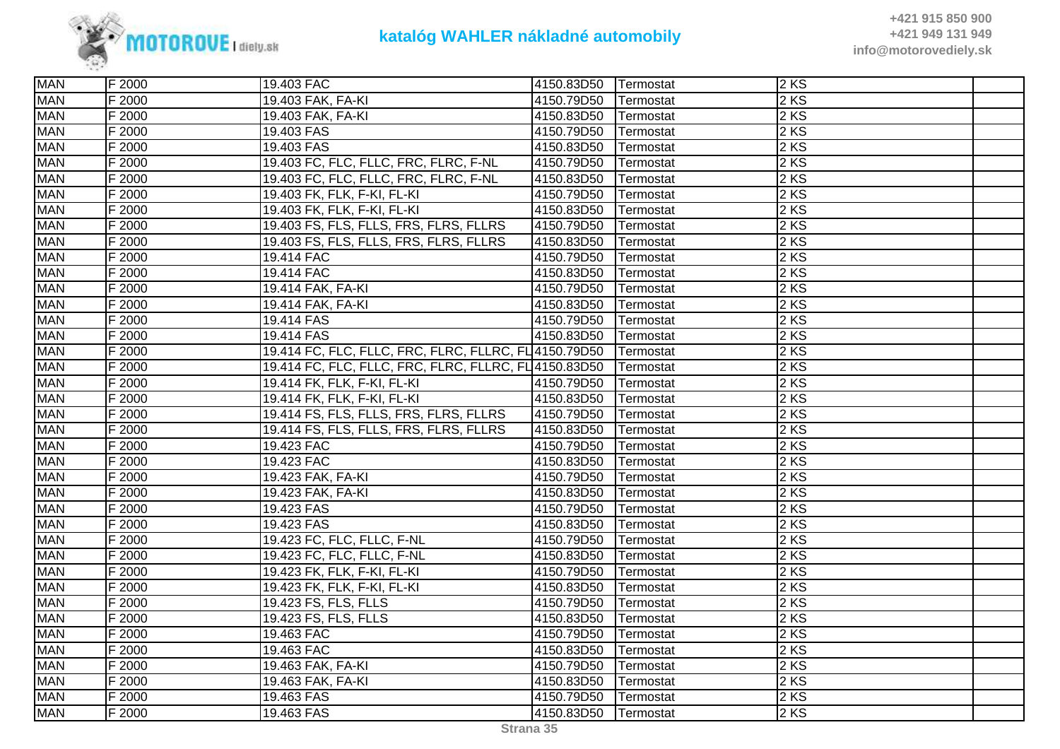

| <b>MAN</b> | F 2000 | 19.403 FAC                                           | 4150.83D50 Termostat |                   | 2 KS |  |
|------------|--------|------------------------------------------------------|----------------------|-------------------|------|--|
| <b>MAN</b> | F 2000 | 19.403 FAK, FA-KI                                    | 4150.79D50           | <b>ITermostat</b> | 2 KS |  |
| <b>MAN</b> | F 2000 | 19.403 FAK, FA-KI                                    | 4150.83D50           | Termostat         | 2 KS |  |
| <b>MAN</b> | F 2000 | 19.403 FAS                                           | 4150.79D50           | Termostat         | 2 KS |  |
| <b>MAN</b> | F 2000 | 19.403 FAS                                           | 4150.83D50           | Termostat         | 2 KS |  |
| <b>MAN</b> | F 2000 | 19.403 FC, FLC, FLLC, FRC, FLRC, F-NL                | 4150.79D50           | Termostat         | 2 KS |  |
| <b>MAN</b> | F 2000 | 19.403 FC, FLC, FLLC, FRC, FLRC, F-NL                | 4150.83D50           | Termostat         | 2 KS |  |
| <b>MAN</b> | F 2000 | 19.403 FK, FLK, F-KI, FL-KI                          | 4150.79D50           | Termostat         | 2 KS |  |
| <b>MAN</b> | F 2000 | 19.403 FK, FLK, F-KI, FL-KI                          | 4150.83D50           | Termostat         | 2 KS |  |
| <b>MAN</b> | F 2000 | 19.403 FS, FLS, FLLS, FRS, FLRS, FLLRS               | 4150.79D50           | Termostat         | 2 KS |  |
| <b>MAN</b> | F 2000 | 19.403 FS, FLS, FLLS, FRS, FLRS, FLLRS               | 4150.83D50           | Termostat         | 2 KS |  |
| <b>MAN</b> | F 2000 | 19.414 FAC                                           | 4150.79D50           | Termostat         | 2 KS |  |
| <b>MAN</b> | F 2000 | 19.414 FAC                                           | 4150.83D50           | Termostat         | 2 KS |  |
| <b>MAN</b> | F 2000 | 19.414 FAK, FA-KI                                    | 4150.79D50           | Termostat         | 2 KS |  |
| <b>MAN</b> | F 2000 | 19.414 FAK, FA-KI                                    | 4150.83D50           | Termostat         | 2 KS |  |
| <b>MAN</b> | F 2000 | 19.414 FAS                                           | 4150.79D50           | Termostat         | 2 KS |  |
| <b>MAN</b> | F 2000 | 19.414 FAS                                           | 4150.83D50           | Termostat         | 2 KS |  |
| <b>MAN</b> | F 2000 | 19.414 FC, FLC, FLLC, FRC, FLRC, FLLRC, FL4150.79D50 |                      | Termostat         | 2 KS |  |
| <b>MAN</b> | F 2000 | 19.414 FC, FLC, FLLC, FRC, FLRC, FLLRC, FL4150.83D50 |                      | Termostat         | 2 KS |  |
| <b>MAN</b> | F 2000 | 19.414 FK, FLK, F-KI, FL-KI                          | 4150.79D50           | Termostat         | 2 KS |  |
| <b>MAN</b> | F 2000 | 19.414 FK, FLK, F-KI, FL-KI                          | 4150.83D50           | Termostat         | 2 KS |  |
| <b>MAN</b> | F 2000 | 19.414 FS, FLS, FLLS, FRS, FLRS, FLLRS               | 4150.79D50           | Termostat         | 2 KS |  |
| <b>MAN</b> | F 2000 | 19.414 FS, FLS, FLLS, FRS, FLRS, FLLRS               | 4150.83D50           | Termostat         | 2 KS |  |
| <b>MAN</b> | F 2000 | 19.423 FAC                                           | 4150.79D50           | Termostat         | 2 KS |  |
| <b>MAN</b> | F 2000 | 19.423 FAC                                           | 4150.83D50           | Termostat         | 2 KS |  |
| <b>MAN</b> | F 2000 | 19.423 FAK, FA-KI                                    | 4150.79D50           | Termostat         | 2 KS |  |
| <b>MAN</b> | F 2000 | 19.423 FAK, FA-KI                                    | 4150.83D50           | Termostat         | 2 KS |  |
| <b>MAN</b> | F 2000 | 19.423 FAS                                           | 4150.79D50           | Termostat         | 2 KS |  |
| <b>MAN</b> | F 2000 | 19.423 FAS                                           | 4150.83D50           | Termostat         | 2 KS |  |
| <b>MAN</b> | F 2000 | 19.423 FC, FLC, FLLC, F-NL                           | 4150.79D50           | Termostat         | 2 KS |  |
| <b>MAN</b> | F 2000 | 19.423 FC, FLC, FLLC, F-NL                           | 4150.83D50           | Termostat         | 2 KS |  |
| <b>MAN</b> | F 2000 | 19.423 FK, FLK, F-KI, FL-KI                          | 4150.79D50           | Termostat         | 2 KS |  |
| <b>MAN</b> | F 2000 | 19.423 FK, FLK, F-KI, FL-KI                          | 4150.83D50           | Termostat         | 2 KS |  |
| <b>MAN</b> | F 2000 | 19.423 FS, FLS, FLLS                                 | 4150.79D50           | Termostat         | 2 KS |  |
| <b>MAN</b> | F 2000 | 19.423 FS, FLS, FLLS                                 | 4150.83D50           | Termostat         | 2 KS |  |
| <b>MAN</b> | F 2000 | 19.463 FAC                                           | 4150.79D50           | Termostat         | 2 KS |  |
| <b>MAN</b> | F 2000 | 19.463 FAC                                           | 4150.83D50           | Termostat         | 2 KS |  |
| <b>MAN</b> | F 2000 | 19.463 FAK, FA-KI                                    | 4150.79D50           | Termostat         | 2 KS |  |
| <b>MAN</b> | F 2000 | 19.463 FAK, FA-KI                                    | 4150.83D50           | Termostat         | 2KS  |  |
| <b>MAN</b> | F 2000 | 19.463 FAS                                           | 4150.79D50           | Termostat         | 2KS  |  |
| <b>MAN</b> | F 2000 | 19.463 FAS                                           | 4150.83D50           | Termostat         | 2 KS |  |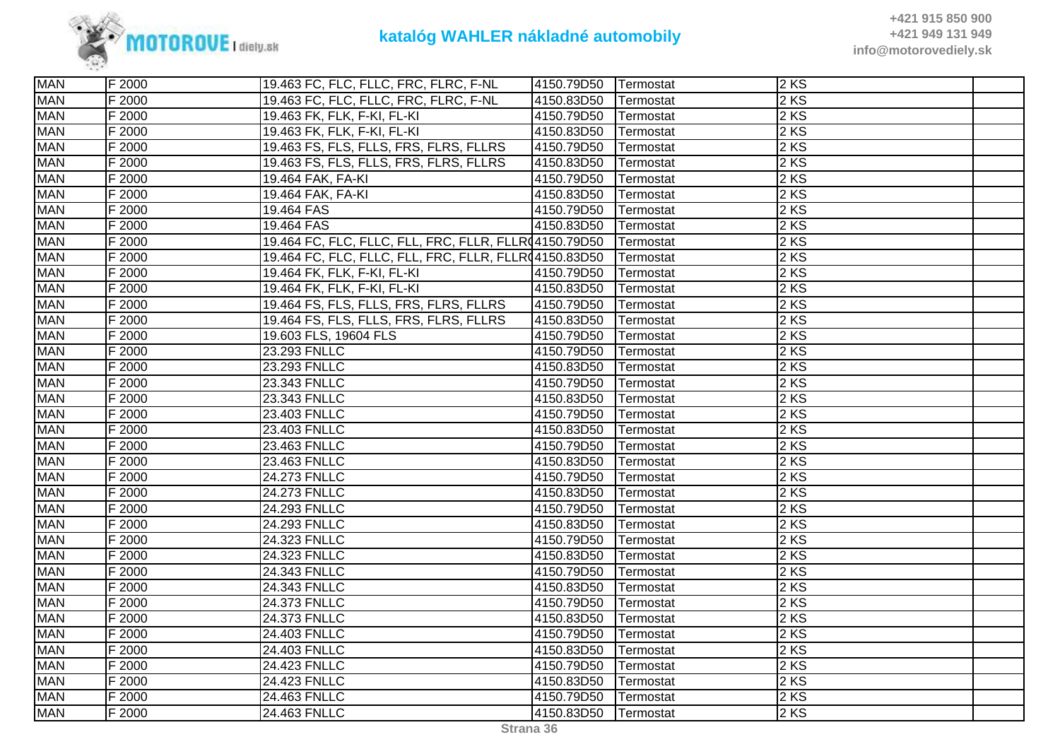

| <b>MAN</b> | F 2000 | 19.463 FC, FLC, FLLC, FRC, FLRC, F-NL                 | 4150.79D50 | Termostat | 2KS  |  |
|------------|--------|-------------------------------------------------------|------------|-----------|------|--|
| <b>MAN</b> | F 2000 | 19.463 FC, FLC, FLLC, FRC, FLRC, F-NL                 | 4150.83D50 | Termostat | 2 KS |  |
| <b>MAN</b> | F 2000 | 19.463 FK, FLK, F-KI, FL-KI                           | 4150.79D50 | Termostat | 2 KS |  |
| <b>MAN</b> | F 2000 | 19.463 FK, FLK, F-KI, FL-KI                           | 4150.83D50 | Termostat | 2 KS |  |
| <b>MAN</b> | F 2000 | 19.463 FS, FLS, FLLS, FRS, FLRS, FLLRS                | 4150.79D50 | Termostat | 2KS  |  |
| <b>MAN</b> | F 2000 | 19.463 FS, FLS, FLLS, FRS, FLRS, FLLRS                | 4150.83D50 | Termostat | 2KS  |  |
| <b>MAN</b> | F 2000 | 19.464 FAK, FA-KI                                     | 4150.79D50 | Termostat | 2 KS |  |
| <b>MAN</b> | F 2000 | 19.464 FAK, FA-KI                                     | 4150.83D50 | Termostat | 2 KS |  |
| <b>MAN</b> | F 2000 | 19.464 FAS                                            | 4150.79D50 | Termostat | 2 KS |  |
| <b>MAN</b> | F 2000 | 19.464 FAS                                            | 4150.83D50 | Termostat | 2 KS |  |
| <b>MAN</b> | F 2000 | 19.464 FC, FLC, FLLC, FLL, FRC, FLLR, FLLR(4150.79D50 |            | Termostat | 2KS  |  |
| <b>MAN</b> | F 2000 | 19.464 FC, FLC, FLLC, FLL, FRC, FLLR, FLLR(4150.83D50 |            | Termostat | 2 KS |  |
| <b>MAN</b> | F 2000 | 19.464 FK, FLK, F-KI, FL-KI                           | 4150.79D50 | Termostat | 2 KS |  |
| <b>MAN</b> | F 2000 | 19.464 FK, FLK, F-KI, FL-KI                           | 4150.83D50 | Termostat | 2 KS |  |
| <b>MAN</b> | F 2000 | 19.464 FS, FLS, FLLS, FRS, FLRS, FLLRS                | 4150.79D50 | Termostat | 2 KS |  |
| <b>MAN</b> | F 2000 | 19.464 FS, FLS, FLLS, FRS, FLRS, FLLRS                | 4150.83D50 | Termostat | 2KS  |  |
| <b>MAN</b> | F 2000 | 19.603 FLS, 19604 FLS                                 | 4150.79D50 | Termostat | 2 KS |  |
| <b>MAN</b> | F 2000 | 23.293 FNLLC                                          | 4150.79D50 | Termostat | 2 KS |  |
| <b>MAN</b> | F 2000 | 23.293 FNLLC                                          | 4150.83D50 | Termostat | 2 KS |  |
| <b>MAN</b> | F 2000 | 23.343 FNLLC                                          | 4150.79D50 | Termostat | 2KS  |  |
| <b>MAN</b> | F 2000 | 23.343 FNLLC                                          | 4150.83D50 | Termostat | 2 KS |  |
| <b>MAN</b> | F 2000 | 23.403 FNLLC                                          | 4150.79D50 | Termostat | 2 KS |  |
| <b>MAN</b> | F 2000 | 23.403 FNLLC                                          | 4150.83D50 | Termostat | 2 KS |  |
| <b>MAN</b> | F 2000 | 23.463 FNLLC                                          | 4150.79D50 | Termostat | 2 KS |  |
| <b>MAN</b> | F 2000 | 23.463 FNLLC                                          | 4150.83D50 | Termostat | 2 KS |  |
| <b>MAN</b> | F 2000 | 24.273 FNLLC                                          | 4150.79D50 | Termostat | 2 KS |  |
| <b>MAN</b> | F 2000 | 24.273 FNLLC                                          | 4150.83D50 | Termostat | 2 KS |  |
| <b>MAN</b> | F 2000 | 24.293 FNLLC                                          | 4150.79D50 | Termostat | 2KS  |  |
| <b>MAN</b> | F 2000 | 24.293 FNLLC                                          | 4150.83D50 | Termostat | 2 KS |  |
| <b>MAN</b> | F 2000 | 24.323 FNLLC                                          | 4150.79D50 | Termostat | 2 KS |  |
| <b>MAN</b> | F 2000 | 24.323 FNLLC                                          | 4150.83D50 | Termostat | 2 KS |  |
| <b>MAN</b> | F 2000 | 24.343 FNLLC                                          | 4150.79D50 | Termostat | 2 KS |  |
| <b>MAN</b> | F 2000 | 24.343 FNLLC                                          | 4150.83D50 | Termostat | 2KS  |  |
| <b>MAN</b> | F 2000 | 24.373 FNLLC                                          | 4150.79D50 | Termostat | 2 KS |  |
| <b>MAN</b> | F 2000 | 24.373 FNLLC                                          | 4150.83D50 | Termostat | 2 KS |  |
| <b>MAN</b> | F 2000 | 24.403 FNLLC                                          | 4150.79D50 | Termostat | 2 KS |  |
| <b>MAN</b> | F 2000 | 24.403 FNLLC                                          | 4150.83D50 | Termostat | 2 KS |  |
| <b>MAN</b> | F 2000 | 24.423 FNLLC                                          | 4150.79D50 | Termostat | 2 KS |  |
| <b>MAN</b> | F 2000 | 24.423 FNLLC                                          | 4150.83D50 | Termostat | 2KS  |  |
| <b>MAN</b> | F 2000 | 24.463 FNLLC                                          | 4150.79D50 | Termostat | 2KS  |  |
| <b>MAN</b> | F 2000 | 24.463 FNLLC                                          | 4150.83D50 | Termostat | 2 KS |  |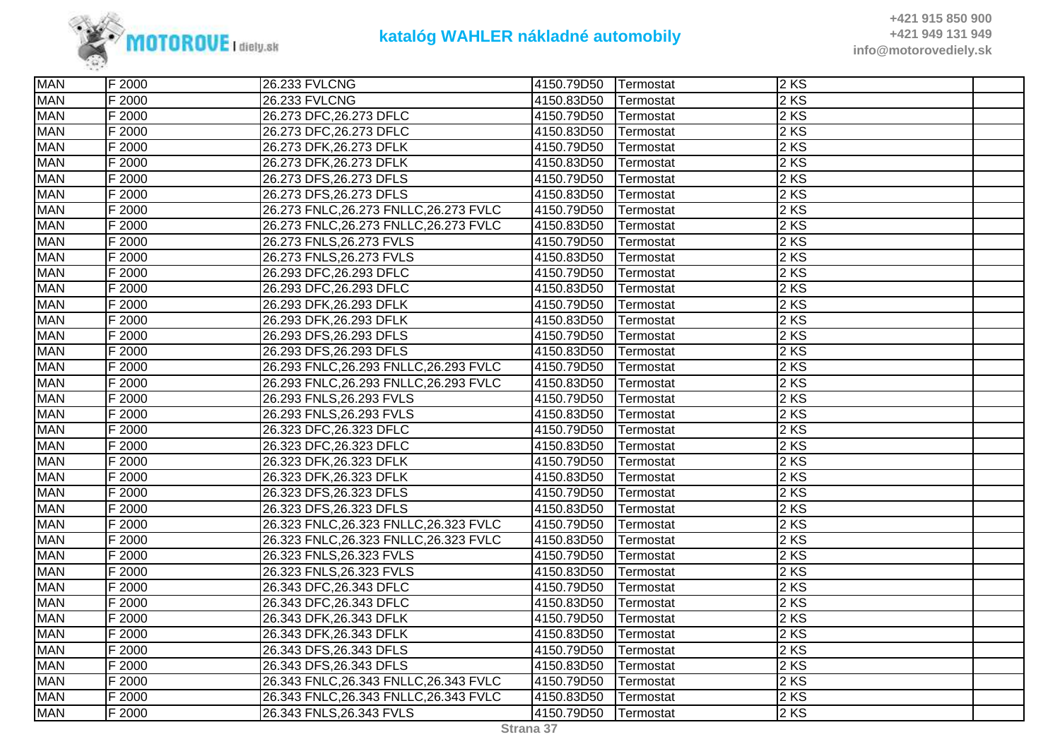

| <b>MAN</b> | F 2000 | 26.233 FVLCNG                          | 4150.79D50 | Termostat | $2$ KS            |  |
|------------|--------|----------------------------------------|------------|-----------|-------------------|--|
| <b>MAN</b> | F 2000 | 26.233 FVLCNG                          | 4150.83D50 | Termostat | 2 KS              |  |
| <b>MAN</b> | F 2000 | 26.273 DFC, 26.273 DFLC                | 4150.79D50 | Termostat | 2 KS              |  |
| <b>MAN</b> | F 2000 | 26.273 DFC, 26.273 DFLC                | 4150.83D50 | Termostat | 2 KS              |  |
| <b>MAN</b> | F 2000 | 26.273 DFK, 26.273 DFLK                | 4150.79D50 | Termostat | 2KS               |  |
| <b>MAN</b> | F 2000 | 26.273 DFK, 26.273 DFLK                | 4150.83D50 | Termostat | 2KS               |  |
| <b>MAN</b> | F 2000 | 26.273 DFS, 26.273 DFLS                | 4150.79D50 | Termostat | 2 KS              |  |
| <b>MAN</b> | F 2000 | 26.273 DFS, 26.273 DFLS                | 4150.83D50 | Termostat | 2 KS              |  |
| <b>MAN</b> | F 2000 | 26.273 FNLC, 26.273 FNLLC, 26.273 FVLC | 4150.79D50 | Termostat | 2 KS              |  |
| <b>MAN</b> | F 2000 | 26.273 FNLC, 26.273 FNLLC, 26.273 FVLC | 4150.83D50 | Termostat | 2KS               |  |
| <b>MAN</b> | F 2000 | 26.273 FNLS, 26.273 FVLS               | 4150.79D50 | Termostat | $2 K\overline{S}$ |  |
| <b>MAN</b> | F 2000 | 26.273 FNLS, 26.273 FVLS               | 4150.83D50 | Termostat | 2KS               |  |
| <b>MAN</b> | F 2000 | 26.293 DFC, 26.293 DFLC                | 4150.79D50 | Termostat | 2 KS              |  |
| <b>MAN</b> | F 2000 | 26.293 DFC, 26.293 DFLC                | 4150.83D50 | Termostat | 2 KS              |  |
| <b>MAN</b> | F 2000 | 26.293 DFK, 26.293 DFLK                | 4150.79D50 | Termostat | 2 KS              |  |
| <b>MAN</b> | F 2000 | 26.293 DFK, 26.293 DFLK                | 4150.83D50 | Termostat | 2 KS              |  |
| <b>MAN</b> | F 2000 | 26.293 DFS, 26.293 DFLS                | 4150.79D50 | Termostat | 2 KS              |  |
| <b>MAN</b> | F 2000 | 26.293 DFS, 26.293 DFLS                | 4150.83D50 | Termostat | 2 KS              |  |
| <b>MAN</b> | F 2000 | 26.293 FNLC, 26.293 FNLLC, 26.293 FVLC | 4150.79D50 | Termostat | 2 KS              |  |
| <b>MAN</b> | F 2000 | 26.293 FNLC, 26.293 FNLLC, 26.293 FVLC | 4150.83D50 | Termostat | 2 KS              |  |
| <b>MAN</b> | F 2000 | 26.293 FNLS, 26.293 FVLS               | 4150.79D50 | Termostat | 2KS               |  |
| <b>MAN</b> | F 2000 | 26.293 FNLS, 26.293 FVLS               | 4150.83D50 | Termostat | 2KS               |  |
| <b>MAN</b> | F 2000 | 26.323 DFC, 26.323 DFLC                | 4150.79D50 | Termostat | $2 K\overline{S}$ |  |
| <b>MAN</b> | F 2000 | 26.323 DFC, 26.323 DFLC                | 4150.83D50 | Termostat | 2 KS              |  |
| <b>MAN</b> | F 2000 | 26.323 DFK, 26.323 DFLK                | 4150.79D50 | Termostat | 2 KS              |  |
| <b>MAN</b> | F 2000 | 26.323 DFK, 26.323 DFLK                | 4150.83D50 | Termostat | 2KS               |  |
| <b>MAN</b> | F 2000 | 26.323 DFS, 26.323 DFLS                | 4150.79D50 | Termostat | 2KS               |  |
| <b>MAN</b> | F 2000 | 26.323 DFS, 26.323 DFLS                | 4150.83D50 | Termostat | 2KS               |  |
| <b>MAN</b> | F 2000 | 26.323 FNLC, 26.323 FNLLC, 26.323 FVLC | 4150.79D50 | Termostat | 2 KS              |  |
| <b>MAN</b> | F 2000 | 26.323 FNLC, 26.323 FNLLC, 26.323 FVLC | 4150.83D50 | Termostat | 2 KS              |  |
| <b>MAN</b> | F 2000 | 26.323 FNLS, 26.323 FVLS               | 4150.79D50 | Termostat | 2 KS              |  |
| <b>MAN</b> | F 2000 | 26.323 FNLS, 26.323 FVLS               | 4150.83D50 | Termostat | 2 KS              |  |
| <b>MAN</b> | F 2000 | 26.343 DFC, 26.343 DFLC                | 4150.79D50 | Termostat | 2KS               |  |
| <b>MAN</b> | F 2000 | 26.343 DFC, 26.343 DFLC                | 4150.83D50 | Termostat | 2 KS              |  |
| <b>MAN</b> | F 2000 | 26.343 DFK, 26.343 DFLK                | 4150.79D50 | Termostat | 2 KS              |  |
| <b>MAN</b> | F 2000 | 26.343 DFK, 26.343 DFLK                | 4150.83D50 | Termostat | 2KS               |  |
| <b>MAN</b> | F 2000 | 26.343 DFS, 26.343 DFLS                | 4150.79D50 | Termostat | 2 KS              |  |
| <b>MAN</b> | F 2000 | 26.343 DFS, 26.343 DFLS                | 4150.83D50 | Termostat | 2 KS              |  |
| <b>MAN</b> | F 2000 | 26.343 FNLC, 26.343 FNLLC, 26.343 FVLC | 4150.79D50 | Termostat | 2KS               |  |
| <b>MAN</b> | F 2000 | 26.343 FNLC, 26.343 FNLLC, 26.343 FVLC | 4150.83D50 | Termostat | $2 K\overline{S}$ |  |
| <b>MAN</b> | F 2000 | 26.343 FNLS, 26.343 FVLS               | 4150.79D50 | Termostat | 2 KS              |  |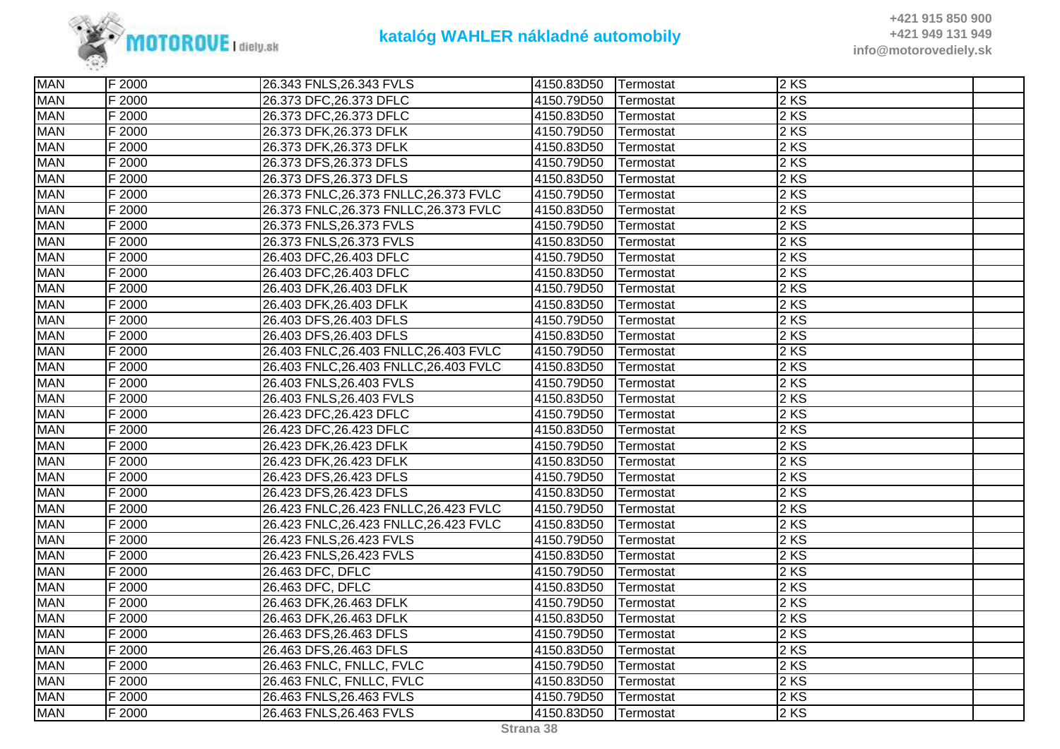

| <b>MAN</b> | F 2000 | 26.343 FNLS, 26.343 FVLS               | 4150.83D50 | Termostat         | 2KS    |  |
|------------|--------|----------------------------------------|------------|-------------------|--------|--|
| <b>MAN</b> | F 2000 | 26.373 DFC, 26.373 DFLC                | 4150.79D50 | Termostat         | $2$ KS |  |
| <b>MAN</b> | F 2000 | 26.373 DFC, 26.373 DFLC                | 4150.83D50 | Termostat         | $2$ KS |  |
| <b>MAN</b> | F 2000 | 26.373 DFK, 26.373 DFLK                | 4150.79D50 | <b>ITermostat</b> | $2$ KS |  |
| <b>MAN</b> | F 2000 | 26.373 DFK, 26.373 DFLK                | 4150.83D50 | Termostat         | 2KS    |  |
| <b>MAN</b> | F 2000 | 26.373 DFS, 26.373 DFLS                | 4150.79D50 | Termostat         | 2 KS   |  |
| <b>MAN</b> | F 2000 | 26.373 DFS, 26.373 DFLS                | 4150.83D50 | Termostat         | $2$ KS |  |
| <b>MAN</b> | F 2000 | 26.373 FNLC, 26.373 FNLLC, 26.373 FVLC | 4150.79D50 | Termostat         | $2$ KS |  |
| <b>MAN</b> | F 2000 | 26.373 FNLC, 26.373 FNLLC, 26.373 FVLC | 4150.83D50 | Termostat         | $2$ KS |  |
| <b>MAN</b> | F 2000 | 26.373 FNLS, 26.373 FVLS               | 4150.79D50 | Termostat         | $2$ KS |  |
| <b>MAN</b> | F 2000 | 26.373 FNLS, 26.373 FVLS               | 4150.83D50 | Termostat         | $2$ KS |  |
| <b>MAN</b> | F 2000 | 26.403 DFC, 26.403 DFLC                | 4150.79D50 | Termostat         | 2 KS   |  |
| <b>MAN</b> | F 2000 | 26.403 DFC, 26.403 DFLC                | 4150.83D50 | Termostat         | $2$ KS |  |
| <b>MAN</b> | F 2000 | 26.403 DFK, 26.403 DFLK                | 4150.79D50 | Termostat         | $2$ KS |  |
| <b>MAN</b> | F 2000 | 26.403 DFK, 26.403 DFLK                | 4150.83D50 | Termostat         | $2$ KS |  |
| <b>MAN</b> | F 2000 | 26.403 DFS, 26.403 DFLS                | 4150.79D50 | Termostat         | $2$ KS |  |
| <b>MAN</b> | F 2000 | 26.403 DFS, 26.403 DFLS                | 4150.83D50 | Termostat         | 2 KS   |  |
| <b>MAN</b> | F 2000 | 26.403 FNLC, 26.403 FNLLC, 26.403 FVLC | 4150.79D50 | Termostat         | $2$ KS |  |
| <b>MAN</b> | F 2000 | 26.403 FNLC, 26.403 FNLLC, 26.403 FVLC | 4150.83D50 | Termostat         | 2KS    |  |
| <b>MAN</b> | F 2000 | 26.403 FNLS, 26.403 FVLS               | 4150.79D50 | Termostat         | $2$ KS |  |
| <b>MAN</b> | F 2000 | 26.403 FNLS, 26.403 FVLS               | 4150.83D50 | Termostat         | $2$ KS |  |
| <b>MAN</b> | F 2000 | 26.423 DFC, 26.423 DFLC                | 4150.79D50 | Termostat         | 2 KS   |  |
| <b>MAN</b> | F 2000 | 26.423 DFC, 26.423 DFLC                | 4150.83D50 | Termostat         | 2 KS   |  |
| <b>MAN</b> | F 2000 | 26.423 DFK, 26.423 DFLK                | 4150.79D50 | Termostat         | 2 KS   |  |
| <b>MAN</b> | F 2000 | 26.423 DFK, 26.423 DFLK                | 4150.83D50 | Termostat         | $2$ KS |  |
| <b>MAN</b> | F 2000 | 26.423 DFS, 26.423 DFLS                | 4150.79D50 | Termostat         | 2KS    |  |
| <b>MAN</b> | F 2000 | 26.423 DFS, 26.423 DFLS                | 4150.83D50 | Termostat         | $2$ KS |  |
| <b>MAN</b> | F 2000 | 26.423 FNLC, 26.423 FNLLC, 26.423 FVLC | 4150.79D50 | Termostat         | 2 KS   |  |
| <b>MAN</b> | F 2000 | 26.423 FNLC, 26.423 FNLLC, 26.423 FVLC | 4150.83D50 | Termostat         | $2$ KS |  |
| <b>MAN</b> | F 2000 | 26.423 FNLS, 26.423 FVLS               | 4150.79D50 | Termostat         | 2 KS   |  |
| <b>MAN</b> | F 2000 | 26.423 FNLS, 26.423 FVLS               | 4150.83D50 | Termostat         | $2$ KS |  |
| <b>MAN</b> | F 2000 | 26.463 DFC, DFLC                       | 4150.79D50 | Termostat         | $2$ KS |  |
| <b>MAN</b> | F 2000 | 26.463 DFC, DFLC                       | 4150.83D50 | Termostat         | 2KS    |  |
| <b>MAN</b> | F 2000 | 26.463 DFK, 26.463 DFLK                | 4150.79D50 | Termostat         | 2 KS   |  |
| <b>MAN</b> | F 2000 | 26.463 DFK, 26.463 DFLK                | 4150.83D50 | Termostat         | $2$ KS |  |
| <b>MAN</b> | F 2000 | 26.463 DFS, 26.463 DFLS                | 4150.79D50 | Termostat         | 2 KS   |  |
| <b>MAN</b> | F 2000 | 26.463 DFS, 26.463 DFLS                | 4150.83D50 | Termostat         | $2$ KS |  |
| <b>MAN</b> | F 2000 | 26.463 FNLC, FNLLC, FVLC               | 4150.79D50 | Termostat         | 2 KS   |  |
| <b>MAN</b> | F 2000 | 26.463 FNLC, FNLLC, FVLC               | 4150.83D50 | Termostat         | 2 KS   |  |
| <b>MAN</b> | F 2000 | 26.463 FNLS, 26.463 FVLS               | 4150.79D50 | Termostat         | 2KS    |  |
| <b>MAN</b> | F 2000 | 26.463 FNLS, 26.463 FVLS               | 4150.83D50 | Termostat         | $2$ KS |  |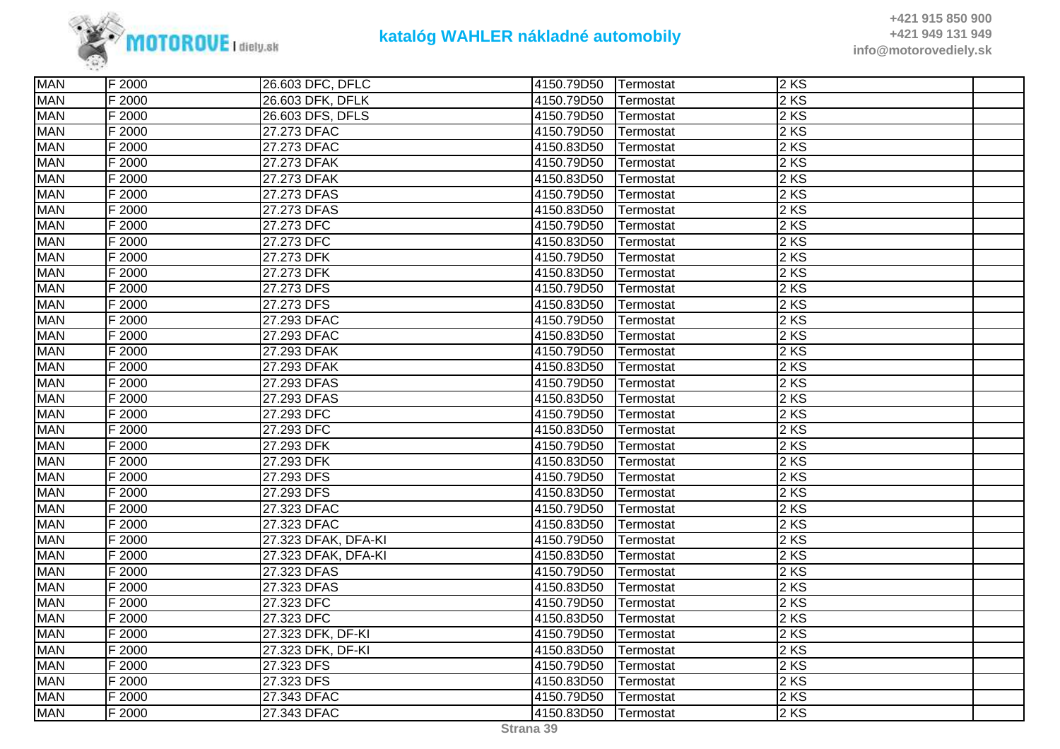

| <b>MAN</b> | F 2000 | 26.603 DFC, DFLC    | 4150.79D50 | Termostat | 2KS    |  |
|------------|--------|---------------------|------------|-----------|--------|--|
| <b>MAN</b> | F 2000 | 26.603 DFK, DFLK    | 4150.79D50 | Termostat | $2$ KS |  |
| <b>MAN</b> | F 2000 | 26.603 DFS, DFLS    | 4150.79D50 | Termostat | $2$ KS |  |
| <b>MAN</b> | F 2000 | 27.273 DFAC         | 4150.79D50 | Termostat | 2 KS   |  |
| <b>MAN</b> | F 2000 | 27.273 DFAC         | 4150.83D50 | Termostat | 2 KS   |  |
| <b>MAN</b> | F 2000 | 27.273 DFAK         | 4150.79D50 | Termostat | 2 KS   |  |
| <b>MAN</b> | F 2000 | 27.273 DFAK         | 4150.83D50 | Termostat | $2$ KS |  |
| <b>MAN</b> | F 2000 | 27.273 DFAS         | 4150.79D50 | Termostat | $2$ KS |  |
| <b>MAN</b> | F 2000 | 27.273 DFAS         | 4150.83D50 | Termostat | $2$ KS |  |
| <b>MAN</b> | F 2000 | 27.273 DFC          | 4150.79D50 | Termostat | 2KS    |  |
| <b>MAN</b> | F 2000 | 27.273 DFC          | 4150.83D50 | Termostat | 2 KS   |  |
| <b>MAN</b> | F 2000 | 27.273 DFK          | 4150.79D50 | Termostat | $2$ KS |  |
| <b>MAN</b> | F 2000 | 27.273 DFK          | 4150.83D50 | Termostat | 2 KS   |  |
| <b>MAN</b> | F 2000 | 27.273 DFS          | 4150.79D50 | Termostat | $2$ KS |  |
| <b>MAN</b> | F 2000 | 27.273 DFS          | 4150.83D50 | Termostat | $2$ KS |  |
| <b>MAN</b> | F 2000 | 27.293 DFAC         | 4150.79D50 | Termostat | 2 KS   |  |
| <b>MAN</b> | F 2000 | 27.293 DFAC         | 4150.83D50 | Termostat | 2 KS   |  |
| <b>MAN</b> | F 2000 | 27.293 DFAK         | 4150.79D50 | Termostat | $2$ KS |  |
| <b>MAN</b> | F 2000 | 27.293 DFAK         | 4150.83D50 | Termostat | 2 KS   |  |
| <b>MAN</b> | F 2000 | 27.293 DFAS         | 4150.79D50 | Termostat | $2$ KS |  |
| <b>MAN</b> | F 2000 | 27.293 DFAS         | 4150.83D50 | Termostat | $2$ KS |  |
| <b>MAN</b> | F 2000 | 27.293 DFC          | 4150.79D50 | Termostat | 2 KS   |  |
| <b>MAN</b> | F 2000 | 27.293 DFC          | 4150.83D50 | Termostat | 2 KS   |  |
| <b>MAN</b> | F 2000 | 27.293 DFK          | 4150.79D50 | Termostat | $2$ KS |  |
| <b>MAN</b> | F 2000 | 27.293 DFK          | 4150.83D50 | Termostat | 2 KS   |  |
| <b>MAN</b> | F 2000 | 27.293 DFS          | 4150.79D50 | Termostat | 2KS    |  |
| <b>MAN</b> | F 2000 | 27.293 DFS          | 4150.83D50 | Termostat | 2 KS   |  |
| <b>MAN</b> | F 2000 | 27.323 DFAC         | 4150.79D50 | Termostat | 2 KS   |  |
| <b>MAN</b> | F 2000 | 27.323 DFAC         | 4150.83D50 | Termostat | $2$ KS |  |
| <b>MAN</b> | F 2000 | 27.323 DFAK, DFA-KI | 4150.79D50 | Termostat | $2$ KS |  |
| <b>MAN</b> | F 2000 | 27.323 DFAK, DFA-KI | 4150.83D50 | Termostat | $2$ KS |  |
| <b>MAN</b> | F 2000 | 27.323 DFAS         | 4150.79D50 | Termostat | $2$ KS |  |
| <b>MAN</b> | F 2000 | 27.323 DFAS         | 4150.83D50 | Termostat | 2KS    |  |
| <b>MAN</b> | F 2000 | 27.323 DFC          | 4150.79D50 | Termostat | 2 KS   |  |
| <b>MAN</b> | F 2000 | 27.323 DFC          | 4150.83D50 | Termostat | $2$ KS |  |
| <b>MAN</b> | F 2000 | 27.323 DFK, DF-KI   | 4150.79D50 | Termostat | $2$ KS |  |
| <b>MAN</b> | F 2000 | 27.323 DFK, DF-KI   | 4150.83D50 | Termostat | 2 KS   |  |
| <b>MAN</b> | F 2000 | 27.323 DFS          | 4150.79D50 | Termostat | 2 KS   |  |
| <b>MAN</b> | F 2000 | 27.323 DFS          | 4150.83D50 | Termostat | 2KS    |  |
| <b>MAN</b> | F 2000 | 27.343 DFAC         | 4150.79D50 | Termostat | 2KS    |  |
| <b>MAN</b> | F 2000 | 27.343 DFAC         | 4150.83D50 | Termostat | $2$ KS |  |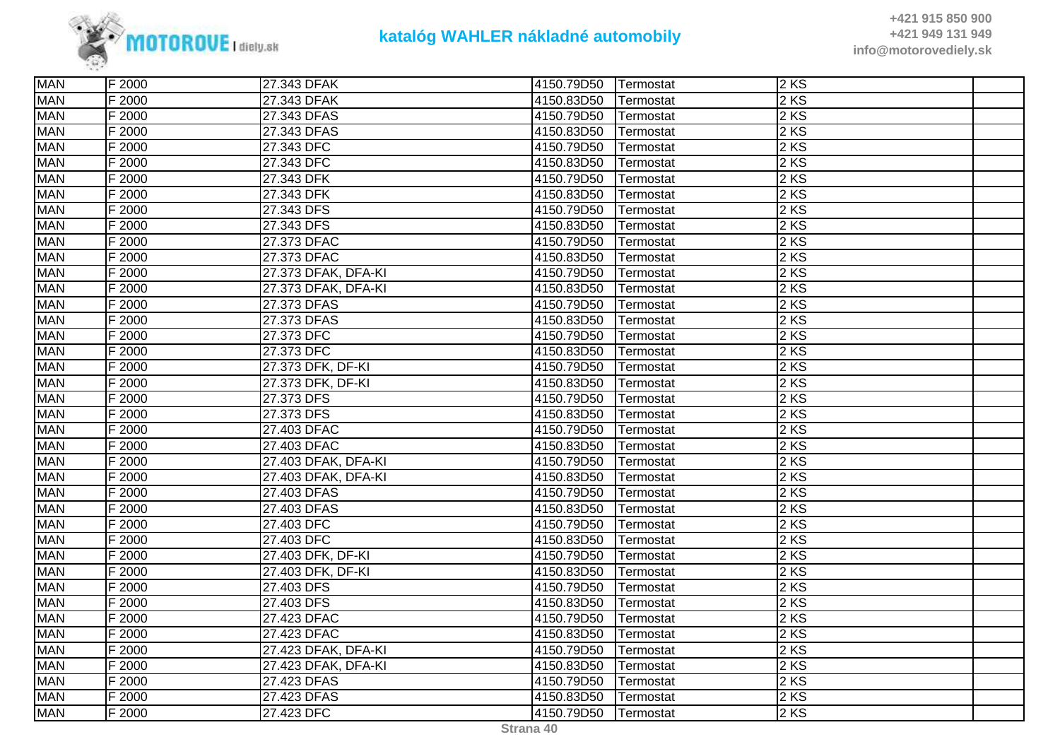

| <b>MAN</b> | F 2000 | 27.343 DFAK         | 4150.79D50 | Termostat | 2KS    |  |
|------------|--------|---------------------|------------|-----------|--------|--|
| <b>MAN</b> | F 2000 | 27.343 DFAK         | 4150.83D50 | Termostat | $2$ KS |  |
| <b>MAN</b> | F 2000 | 27.343 DFAS         | 4150.79D50 | Termostat | 2KS    |  |
| <b>MAN</b> | F 2000 | 27.343 DFAS         | 4150.83D50 | Termostat | 2 KS   |  |
| <b>MAN</b> | F 2000 | 27.343 DFC          | 4150.79D50 | Termostat | 2 KS   |  |
| <b>MAN</b> | F 2000 | 27.343 DFC          | 4150.83D50 | Termostat | $2$ KS |  |
| <b>MAN</b> | F 2000 | 27.343 DFK          | 4150.79D50 | Termostat | $2$ KS |  |
| <b>MAN</b> | F 2000 | 27.343 DFK          | 4150.83D50 | Termostat | 2 KS   |  |
| <b>MAN</b> | F 2000 | 27.343 DFS          | 4150.79D50 | Termostat | 2 KS   |  |
| <b>MAN</b> | F 2000 | 27.343 DFS          | 4150.83D50 | Termostat | $2$ KS |  |
| <b>MAN</b> | F 2000 | 27.373 DFAC         | 4150.79D50 | Termostat | 2 KS   |  |
| <b>MAN</b> | F 2000 | 27.373 DFAC         | 4150.83D50 | Termostat | 2 KS   |  |
| <b>MAN</b> | F 2000 | 27.373 DFAK, DFA-KI | 4150.79D50 | Termostat | $2$ KS |  |
| <b>MAN</b> | F 2000 | 27.373 DFAK, DFA-KI | 4150.83D50 | Termostat | $2$ KS |  |
| <b>MAN</b> | F 2000 | 27.373 DFAS         | 4150.79D50 | Termostat | 2 KS   |  |
| <b>MAN</b> | F 2000 | 27.373 DFAS         | 4150.83D50 | Termostat | $2$ KS |  |
| <b>MAN</b> | F 2000 | 27.373 DFC          | 4150.79D50 | Termostat | 2 KS   |  |
| <b>MAN</b> | F 2000 | 27.373 DFC          | 4150.83D50 | Termostat | $2$ KS |  |
| <b>MAN</b> | F 2000 | 27.373 DFK, DF-KI   | 4150.79D50 | Termostat | 2 KS   |  |
| <b>MAN</b> | F 2000 | 27.373 DFK, DF-KI   | 4150.83D50 | Termostat | $2$ KS |  |
| <b>MAN</b> | F 2000 | 27.373 DFS          | 4150.79D50 | Termostat | 2 KS   |  |
| <b>MAN</b> | F 2000 | 27.373 DFS          | 4150.83D50 | Termostat | 2 KS   |  |
| <b>MAN</b> | F 2000 | 27.403 DFAC         | 4150.79D50 | Termostat | 2 KS   |  |
| <b>MAN</b> | F 2000 | 27.403 DFAC         | 4150.83D50 | Termostat | $2$ KS |  |
| <b>MAN</b> | F 2000 | 27.403 DFAK, DFA-KI | 4150.79D50 | Termostat | $2$ KS |  |
| <b>MAN</b> | F 2000 | 27.403 DFAK, DFA-KI | 4150.83D50 | Termostat | 2KS    |  |
| <b>MAN</b> | F 2000 | 27.403 DFAS         | 4150.79D50 | Termostat | 2 KS   |  |
| <b>MAN</b> | F 2000 | 27.403 DFAS         | 4150.83D50 | Termostat | 2 KS   |  |
| <b>MAN</b> | F 2000 | 27.403 DFC          | 4150.79D50 | Termostat | $2$ KS |  |
| <b>MAN</b> | F 2000 | 27.403 DFC          | 4150.83D50 | Termostat | 2 KS   |  |
| <b>MAN</b> | F 2000 | 27.403 DFK, DF-KI   | 4150.79D50 | Termostat | 2 KS   |  |
| <b>MAN</b> | F 2000 | 27.403 DFK, DF-KI   | 4150.83D50 | Termostat | 2 KS   |  |
| <b>MAN</b> | F 2000 | 27.403 DFS          | 4150.79D50 | Termostat | 2 KS   |  |
| <b>MAN</b> | F 2000 | 27.403 DFS          | 4150.83D50 | Termostat | 2 KS   |  |
| <b>MAN</b> | F 2000 | 27.423 DFAC         | 4150.79D50 | Termostat | $2$ KS |  |
| <b>MAN</b> | F 2000 | 27.423 DFAC         | 4150.83D50 | Termostat | 2 KS   |  |
| <b>MAN</b> | F 2000 | 27.423 DFAK, DFA-KI | 4150.79D50 | Termostat | 2 KS   |  |
| <b>MAN</b> | F 2000 | 27.423 DFAK, DFA-KI | 4150.83D50 | Termostat | 2 KS   |  |
| <b>MAN</b> | F 2000 | 27.423 DFAS         | 4150.79D50 | Termostat | 2 KS   |  |
| <b>MAN</b> | F 2000 | 27.423 DFAS         | 4150.83D50 | Termostat | 2KS    |  |
| <b>MAN</b> | F 2000 | 27.423 DFC          | 4150.79D50 | Termostat | $2$ KS |  |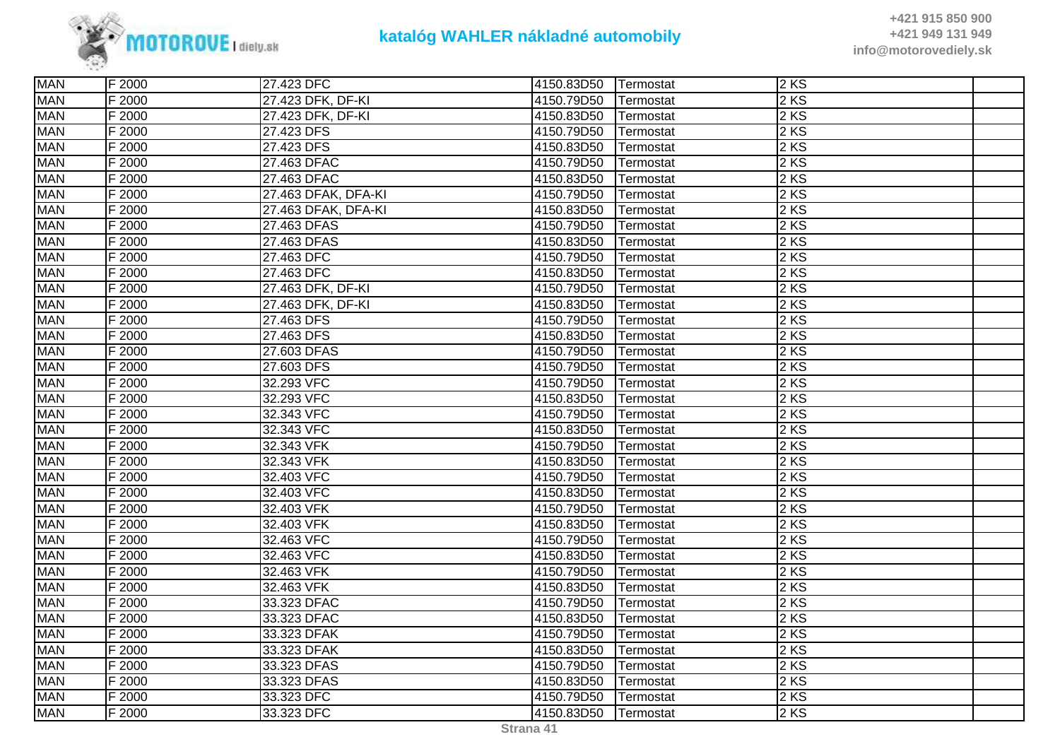

| <b>MAN</b> | F 2000 | 27.423 DFC          | 4150.83D50 | Termostat | 2KS    |  |
|------------|--------|---------------------|------------|-----------|--------|--|
| <b>MAN</b> | F 2000 | 27.423 DFK, DF-KI   | 4150.79D50 | Termostat | 2 KS   |  |
| <b>MAN</b> | F 2000 | 27.423 DFK, DF-KI   | 4150.83D50 | Termostat | $2$ KS |  |
| <b>MAN</b> | F 2000 | 27.423 DFS          | 4150.79D50 | Termostat | 2KS    |  |
| <b>MAN</b> | F 2000 | 27.423 DFS          | 4150.83D50 | Termostat | 2 KS   |  |
| <b>MAN</b> | F 2000 | 27.463 DFAC         | 4150.79D50 | Termostat | $2$ KS |  |
| <b>MAN</b> | F 2000 | 27.463 DFAC         | 4150.83D50 | Termostat | $2$ KS |  |
| <b>MAN</b> | F 2000 | 27.463 DFAK, DFA-KI | 4150.79D50 | Termostat | $2$ KS |  |
| <b>MAN</b> | F 2000 | 27.463 DFAK, DFA-KI | 4150.83D50 | Termostat | 2 KS   |  |
| <b>MAN</b> | F 2000 | 27.463 DFAS         | 4150.79D50 | Termostat | 2 KS   |  |
| <b>MAN</b> | F 2000 | 27.463 DFAS         | 4150.83D50 | Termostat | 2 KS   |  |
| <b>MAN</b> | F 2000 | 27.463 DFC          | 4150.79D50 | Termostat | 2 KS   |  |
| <b>MAN</b> | F 2000 | 27.463 DFC          | 4150.83D50 | Termostat | $2$ KS |  |
| <b>MAN</b> | F 2000 | 27.463 DFK, DF-KI   | 4150.79D50 | Termostat | $2$ KS |  |
| <b>MAN</b> | F 2000 | 27.463 DFK, DF-KI   | 4150.83D50 | Termostat | 2 KS   |  |
| <b>MAN</b> | F 2000 | 27.463 DFS          | 4150.79D50 | Termostat | 2 KS   |  |
| <b>MAN</b> | F 2000 | 27.463 DFS          | 4150.83D50 | Termostat | $2$ KS |  |
| <b>MAN</b> | F 2000 | 27.603 DFAS         | 4150.79D50 | Termostat | $2$ KS |  |
| <b>MAN</b> | F 2000 | 27.603 DFS          | 4150.79D50 | Termostat | $2$ KS |  |
| <b>MAN</b> | F 2000 | 32.293 VFC          | 4150.79D50 | Termostat | 2KS    |  |
| <b>MAN</b> | F 2000 | 32.293 VFC          | 4150.83D50 | Termostat | 2 KS   |  |
| <b>MAN</b> | F 2000 | 32.343 VFC          | 4150.79D50 | Termostat | 2 KS   |  |
| <b>MAN</b> | F 2000 | 32.343 VFC          | 4150.83D50 | Termostat | $2$ KS |  |
| <b>MAN</b> | F 2000 | 32.343 VFK          | 4150.79D50 | Termostat | $2$ KS |  |
| <b>MAN</b> | F 2000 | 32.343 VFK          | 4150.83D50 | Termostat | 2 KS   |  |
| <b>MAN</b> | F 2000 | 32.403 VFC          | 4150.79D50 | Termostat | 2KS    |  |
| <b>MAN</b> | F 2000 | 32.403 VFC          | 4150.83D50 | Termostat | 2 KS   |  |
| <b>MAN</b> | F 2000 | 32.403 VFK          | 4150.79D50 | Termostat | $2$ KS |  |
| <b>MAN</b> | F 2000 | 32.403 VFK          | 4150.83D50 | Termostat | $2$ KS |  |
| <b>MAN</b> | F 2000 | 32.463 VFC          | 4150.79D50 | Termostat | $2$ KS |  |
| <b>MAN</b> | F 2000 | 32.463 VFC          | 4150.83D50 | Termostat | 2 KS   |  |
| <b>MAN</b> | F 2000 | 32.463 VFK          | 4150.79D50 | Termostat | 2 KS   |  |
| <b>MAN</b> | F 2000 | 32.463 VFK          | 4150.83D50 | Termostat | 2 KS   |  |
| <b>MAN</b> | F 2000 | 33.323 DFAC         | 4150.79D50 | Termostat | $2$ KS |  |
| <b>MAN</b> | F 2000 | 33.323 DFAC         | 4150.83D50 | Termostat | $2$ KS |  |
| <b>MAN</b> | F 2000 | 33.323 DFAK         | 4150.79D50 | Termostat | 2KS    |  |
| <b>MAN</b> | F 2000 | 33.323 DFAK         | 4150.83D50 | Termostat | 2 KS   |  |
| <b>MAN</b> | F 2000 | 33.323 DFAS         | 4150.79D50 | Termostat | $2$ KS |  |
| <b>MAN</b> | F 2000 | 33.323 DFAS         | 4150.83D50 | Termostat | 2 KS   |  |
| <b>MAN</b> | F 2000 | 33.323 DFC          | 4150.79D50 | Termostat | $2$ KS |  |
| <b>MAN</b> | F 2000 | 33.323 DFC          | 4150.83D50 | Termostat | 2KS    |  |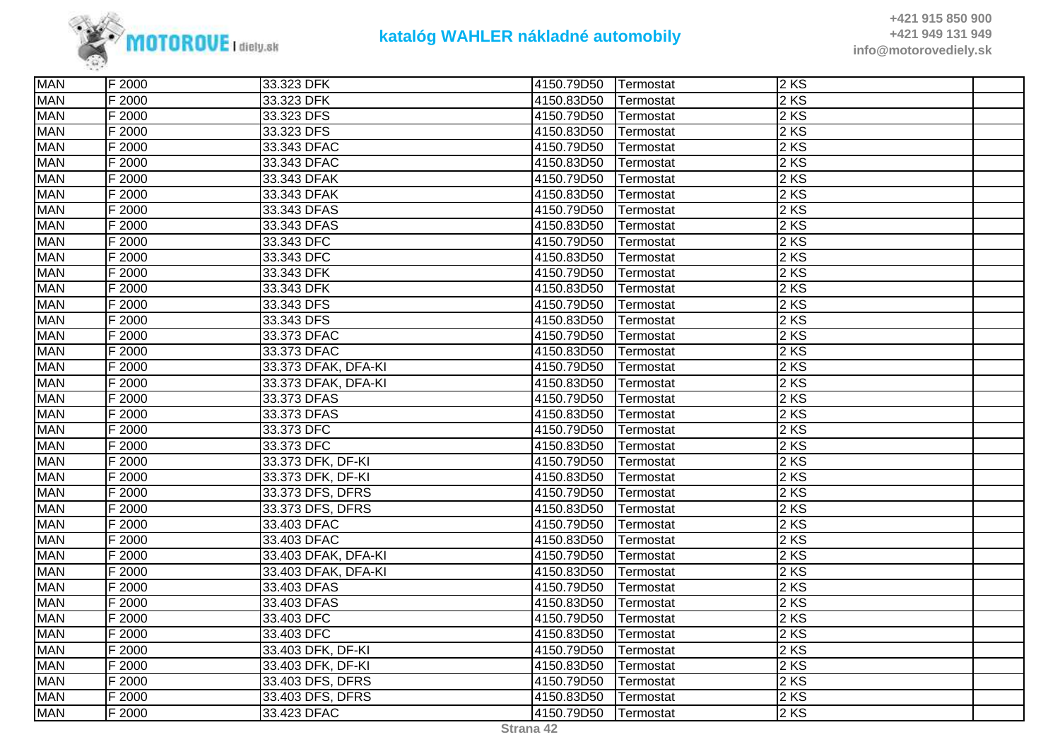

| <b>MAN</b> | F 2000 | 33.323 DFK          | 4150.79D50 | Termostat | 2KS    |  |
|------------|--------|---------------------|------------|-----------|--------|--|
| <b>MAN</b> | F 2000 | 33.323 DFK          | 4150.83D50 | Termostat | 2 KS   |  |
| <b>MAN</b> | F 2000 | 33.323 DFS          | 4150.79D50 | Termostat | 2 KS   |  |
| <b>MAN</b> | F 2000 | 33.323 DFS          | 4150.83D50 | Termostat | 2KS    |  |
| <b>MAN</b> | F 2000 | 33.343 DFAC         | 4150.79D50 | Termostat | 2KS    |  |
| <b>MAN</b> | F 2000 | 33.343 DFAC         | 4150.83D50 | Termostat | 2 KS   |  |
| <b>MAN</b> | F 2000 | 33.343 DFAK         | 4150.79D50 | Termostat | 2 KS   |  |
| <b>MAN</b> | F 2000 | 33.343 DFAK         | 4150.83D50 | Termostat | 2 KS   |  |
| <b>MAN</b> | F 2000 | 33.343 DFAS         | 4150.79D50 | Termostat | 2 KS   |  |
| <b>MAN</b> | F 2000 | 33.343 DFAS         | 4150.83D50 | Termostat | 2 KS   |  |
| <b>MAN</b> | F 2000 | 33.343 DFC          | 4150.79D50 | Termostat | 2 KS   |  |
| <b>MAN</b> | F 2000 | 33.343 DFC          | 4150.83D50 | Termostat | $2$ KS |  |
| <b>MAN</b> | F 2000 | 33.343 DFK          | 4150.79D50 | Termostat | 2 KS   |  |
| <b>MAN</b> | F 2000 | 33.343 DFK          | 4150.83D50 | Termostat | 2 KS   |  |
| <b>MAN</b> | F 2000 | 33.343 DFS          | 4150.79D50 | Termostat | 2 KS   |  |
| <b>MAN</b> | F 2000 | 33.343 DFS          | 4150.83D50 | Termostat | 2 KS   |  |
| <b>MAN</b> | F 2000 | 33.373 DFAC         | 4150.79D50 | Termostat | 2 KS   |  |
| <b>MAN</b> | F 2000 | 33.373 DFAC         | 4150.83D50 | Termostat | 2 KS   |  |
| <b>MAN</b> | F 2000 | 33.373 DFAK, DFA-KI | 4150.79D50 | Termostat | 2KS    |  |
| <b>MAN</b> | F 2000 | 33.373 DFAK, DFA-KI | 4150.83D50 | Termostat | 2 KS   |  |
| <b>MAN</b> | F 2000 | 33.373 DFAS         | 4150.79D50 | Termostat | 2 KS   |  |
| <b>MAN</b> | F 2000 | 33.373 DFAS         | 4150.83D50 | Termostat | 2 KS   |  |
| <b>MAN</b> | F 2000 | 33.373 DFC          | 4150.79D50 | Termostat | 2 KS   |  |
| <b>MAN</b> | F 2000 | 33.373 DFC          | 4150.83D50 | Termostat | 2 KS   |  |
| <b>MAN</b> | F 2000 | 33.373 DFK, DF-KI   | 4150.79D50 | Termostat | 2 KS   |  |
| <b>MAN</b> | F 2000 | 33.373 DFK, DF-KI   | 4150.83D50 | Termostat | 2 KS   |  |
| <b>MAN</b> | F 2000 | 33.373 DFS, DFRS    | 4150.79D50 | Termostat | 2KS    |  |
| <b>MAN</b> | F 2000 | 33.373 DFS, DFRS    | 4150.83D50 | Termostat | 2 KS   |  |
| <b>MAN</b> | F 2000 | 33.403 DFAC         | 4150.79D50 | Termostat | 2 KS   |  |
| <b>MAN</b> | F 2000 | 33.403 DFAC         | 4150.83D50 | Termostat | 2 KS   |  |
| <b>MAN</b> | F 2000 | 33.403 DFAK, DFA-KI | 4150.79D50 | Termostat | 2 KS   |  |
| <b>MAN</b> | F 2000 | 33.403 DFAK, DFA-KI | 4150.83D50 | Termostat | 2 KS   |  |
| <b>MAN</b> | F 2000 | 33.403 DFAS         | 4150.79D50 | Termostat | 2KS    |  |
| <b>MAN</b> | F 2000 | 33.403 DFAS         | 4150.83D50 | Termostat | 2 KS   |  |
| <b>MAN</b> | F 2000 | 33.403 DFC          | 4150.79D50 | Termostat | 2 KS   |  |
| <b>MAN</b> | F 2000 | 33.403 DFC          | 4150.83D50 | Termostat | 2 KS   |  |
| <b>MAN</b> | F 2000 | 33.403 DFK, DF-KI   | 4150.79D50 | Termostat | 2 KS   |  |
| <b>MAN</b> | F 2000 | 33.403 DFK, DF-KI   | 4150.83D50 | Termostat | 2 KS   |  |
| <b>MAN</b> | F 2000 | 33.403 DFS, DFRS    | 4150.79D50 | Termostat | 2 KS   |  |
| <b>MAN</b> | F 2000 | 33.403 DFS, DFRS    | 4150.83D50 | Termostat | $2$ KS |  |
| <b>MAN</b> | F 2000 | 33.423 DFAC         | 4150.79D50 | Termostat | 2KS    |  |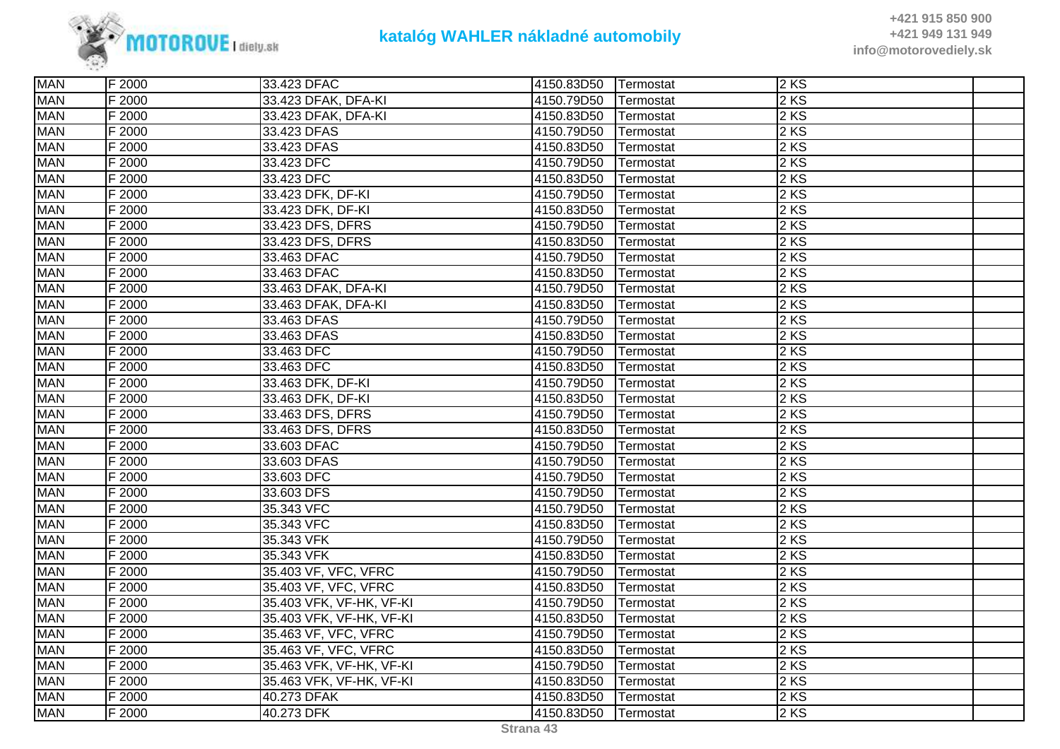

| <b>MAN</b> | F 2000 | 33.423 DFAC              | 4150.83D50 | Termostat         | 2KS    |  |
|------------|--------|--------------------------|------------|-------------------|--------|--|
| <b>MAN</b> | F 2000 | 33.423 DFAK, DFA-KI      | 4150.79D50 | Termostat         | $2$ KS |  |
| <b>MAN</b> | F 2000 | 33.423 DFAK, DFA-KI      | 4150.83D50 | Termostat         | 2 KS   |  |
| <b>MAN</b> | F 2000 | 33.423 DFAS              | 4150.79D50 | Termostat         | 2 KS   |  |
| <b>MAN</b> | F 2000 | 33.423 DFAS              | 4150.83D50 | Termostat         | 2KS    |  |
| <b>MAN</b> | F 2000 | 33.423 DFC               | 4150.79D50 | Termostat         | $2$ KS |  |
| <b>MAN</b> | F 2000 | 33.423 DFC               | 4150.83D50 | Termostat         | $2$ KS |  |
| <b>MAN</b> | F 2000 | 33.423 DFK, DF-KI        | 4150.79D50 | Termostat         | $2$ KS |  |
| <b>MAN</b> | F 2000 | 33.423 DFK, DF-KI        | 4150.83D50 | Termostat         | 2 KS   |  |
| <b>MAN</b> | F 2000 | 33.423 DFS, DFRS         | 4150.79D50 | Termostat         | 2 KS   |  |
| <b>MAN</b> | F 2000 | 33.423 DFS, DFRS         | 4150.83D50 | Termostat         | $2$ KS |  |
| <b>MAN</b> | F 2000 | 33.463 DFAC              | 4150.79D50 | Termostat         | 2 KS   |  |
| <b>MAN</b> | F 2000 | 33.463 DFAC              | 4150.83D50 | Termostat         | $2$ KS |  |
| <b>MAN</b> | F 2000 | 33.463 DFAK, DFA-KI      | 4150.79D50 | Termostat         | $2$ KS |  |
| <b>MAN</b> | F 2000 | 33.463 DFAK, DFA-KI      | 4150.83D50 | Termostat         | 2 KS   |  |
| <b>MAN</b> | F 2000 | 33.463 DFAS              | 4150.79D50 | Termostat         | 2 KS   |  |
| <b>MAN</b> | F 2000 | 33.463 DFAS              | 4150.83D50 | Termostat         | $2$ KS |  |
| <b>MAN</b> | F 2000 | 33.463 DFC               | 4150.79D50 | Termostat         | $2$ KS |  |
| <b>MAN</b> | F 2000 | 33.463 DFC               | 4150.83D50 | Termostat         | $2$ KS |  |
| <b>MAN</b> | F 2000 | 33.463 DFK, DF-KI        | 4150.79D50 | Termostat         | 2KS    |  |
| <b>MAN</b> | F 2000 | 33.463 DFK, DF-KI        | 4150.83D50 | Termostat         | 2 KS   |  |
| <b>MAN</b> | F 2000 | 33.463 DFS, DFRS         | 4150.79D50 | Termostat         | $2$ KS |  |
| <b>MAN</b> | F 2000 | 33.463 DFS, DFRS         | 4150.83D50 | Termostat         | 2 KS   |  |
| <b>MAN</b> | F 2000 | 33.603 DFAC              | 4150.79D50 | Termostat         | $2$ KS |  |
| <b>MAN</b> | F 2000 | 33.603 DFAS              | 4150.79D50 | Termostat         | 2 KS   |  |
| <b>MAN</b> | F 2000 | 33.603 DFC               | 4150.79D50 | Termostat         | 2 KS   |  |
| <b>MAN</b> | F 2000 | 33.603 DFS               | 4150.79D50 | Termostat         | 2 KS   |  |
| <b>MAN</b> | F 2000 | 35.343 VFC               | 4150.79D50 | Termostat         | 2 KS   |  |
| <b>MAN</b> | F 2000 | 35.343 VFC               | 4150.83D50 | Termostat         | $2$ KS |  |
| <b>MAN</b> | F 2000 | 35.343 VFK               | 4150.79D50 | Termostat         | 2KS    |  |
| <b>MAN</b> | F 2000 | 35.343 VFK               | 4150.83D50 | Termostat         | 2 KS   |  |
| <b>MAN</b> | F 2000 | 35.403 VF, VFC, VFRC     | 4150.79D50 | Termostat         | 2 KS   |  |
| <b>MAN</b> | F 2000 | 35.403 VF, VFC, VFRC     | 4150.83D50 | Termostat         | 2 KS   |  |
| <b>MAN</b> | F 2000 | 35.403 VFK, VF-HK, VF-KI | 4150.79D50 | Termostat         | 2 KS   |  |
| <b>MAN</b> | F 2000 | 35.403 VFK, VF-HK, VF-KI | 4150.83D50 | Termostat         | $2$ KS |  |
| <b>MAN</b> | F 2000 | 35.463 VF, VFC, VFRC     | 4150.79D50 | Termostat         | 2KS    |  |
| <b>MAN</b> | F 2000 | 35.463 VF, VFC, VFRC     | 4150.83D50 | Termostat         | 2 KS   |  |
| <b>MAN</b> | F 2000 | 35.463 VFK, VF-HK, VF-KI | 4150.79D50 | Termostat         | $2$ KS |  |
| <b>MAN</b> | F 2000 | 35.463 VFK, VF-HK, VF-KI | 4150.83D50 | Termostat         | 2 KS   |  |
| <b>MAN</b> | F 2000 | 40.273 DFAK              | 4150.83D50 | Termostat         | $2$ KS |  |
| <b>MAN</b> | F 2000 | 40.273 DFK               | 4150.83D50 | <b>ITermostat</b> | $2$ KS |  |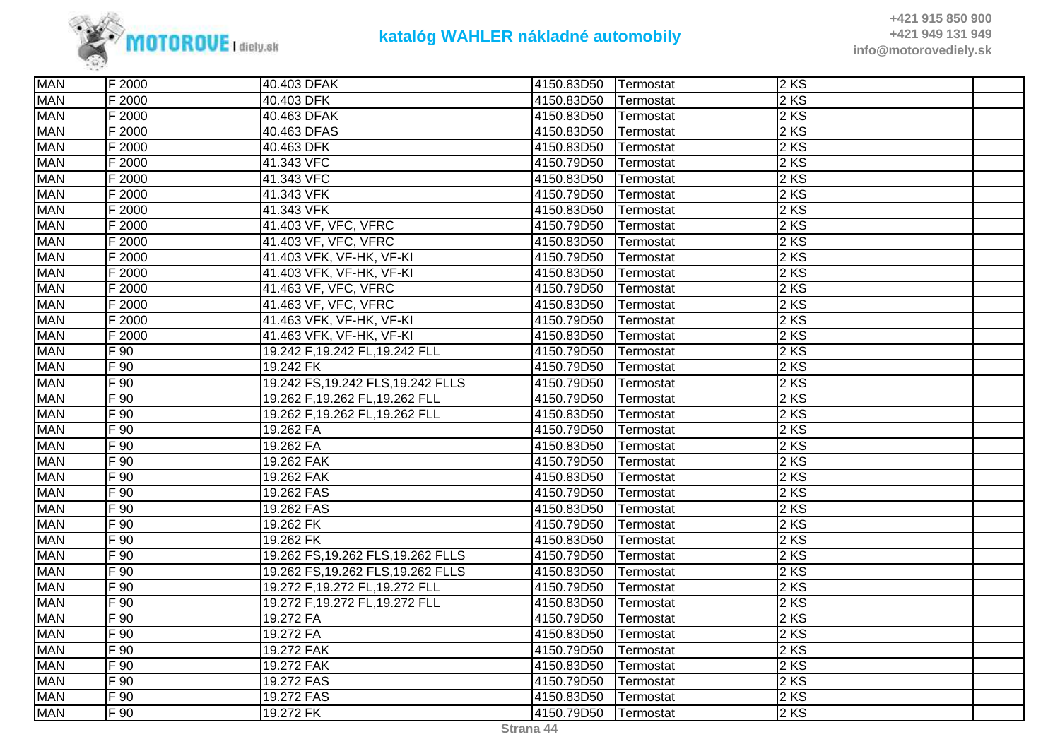

| <b>MAN</b><br>2 KS<br>F 2000<br>40.403 DFK<br>4150.83D50<br>Termostat<br>2 KS<br><b>MAN</b><br>F 2000<br>4150.83D50<br>40.463 DFAK<br>Termostat<br><b>MAN</b><br>F 2000<br>2 KS<br>40.463 DFAS<br>4150.83D50<br>Termostat<br><b>MAN</b><br>2 KS<br>F 2000<br>40.463 DFK<br>4150.83D50<br>Termostat<br>$2$ KS<br><b>MAN</b><br>41.343 VFC<br>F 2000<br>4150.79D50<br>Termostat<br><b>MAN</b><br>2 KS<br>F 2000<br>41.343 VFC<br>4150.83D50<br>Termostat<br><b>MAN</b><br>F 2000<br>2 KS<br>41.343 VFK<br>4150.79D50<br>Termostat<br>2 KS<br><b>MAN</b><br>F 2000<br>41.343 VFK<br>4150.83D50<br>Termostat<br>F 2000<br>$2$ KS<br><b>MAN</b><br>41.403 VF, VFC, VFRC<br>4150.79D50<br>Termostat<br><b>MAN</b><br>2 KS<br>F 2000<br>41.403 VF, VFC, VFRC<br>4150.83D50<br>Termostat<br><b>MAN</b><br>$2$ KS<br>F 2000<br>41.403 VFK, VF-HK, VF-KI<br>4150.79D50<br>Termostat<br><b>MAN</b><br>F 2000<br>41.403 VFK, VF-HK, VF-KI<br>2 KS<br>4150.83D50<br>Termostat<br><b>MAN</b><br>F 2000<br>2 KS<br>41.463 VF, VFC, VFRC<br>4150.79D50<br>Termostat<br><b>MAN</b><br>2 KS<br>F 2000<br>41.463 VF, VFC, VFRC<br>4150.83D50<br>Termostat<br><b>MAN</b><br>$2$ KS<br>F 2000<br>41.463 VFK, VF-HK, VF-KI<br>4150.79D50<br>Termostat<br>$2$ KS<br><b>MAN</b><br>41.463 VFK, VF-HK, VF-KI<br>F 2000<br>4150.83D50<br>Termostat<br><b>MAN</b><br>2 KS<br>F 90<br>19.242 F,19.242 FL,19.242 FLL<br>4150.79D50<br>Termostat<br><b>MAN</b><br>$2$ KS<br>F 90<br>19.242 FK<br>4150.79D50<br>Termostat<br>2 KS<br><b>MAN</b><br>$F_{90}$<br>19.242 FS, 19.242 FLS, 19.242 FLLS<br>4150.79D50<br>Termostat<br>$F_{90}$<br>2 KS<br><b>MAN</b><br>19.262 F,19.262 FL,19.262 FLL<br>4150.79D50<br>Termostat<br><b>MAN</b><br>F 90<br>2 KS<br>19.262 F,19.262 FL,19.262 FLL<br>4150.83D50<br>Termostat<br>$2$ KS<br><b>MAN</b><br>$F_{90}$<br>19.262 FA<br>4150.79D50<br>Termostat<br><b>MAN</b><br>$F_{90}$<br>$2$ KS<br>19.262 FA<br>4150.83D50<br>Termostat<br><b>MAN</b><br>$F\overline{90}$<br>2 KS<br>19.262 FAK<br>4150.79D50<br>Termostat<br><b>MAN</b><br>2 KS<br>F 90<br>19.262 FAK<br>4150.83D50<br>Termostat<br><b>MAN</b><br>$F_{90}$<br>$2$ KS<br>19.262 FAS<br>4150.79D50<br>Termostat<br>$2$ KS<br><b>MAN</b><br>$F_{90}$<br>19.262 FAS<br>4150.83D50<br>Termostat<br><b>MAN</b><br>$2$ KS<br>F 90<br>4150.79D50<br>19.262 FK<br>Termostat<br><b>MAN</b><br>F 90<br>$2$ KS<br>19.262 FK<br>4150.83D50<br>Termostat<br>2 KS<br><b>MAN</b><br>F 90<br>19.262 FS, 19.262 FLS, 19.262 FLLS<br>4150.79D50<br>Termostat<br><b>MAN</b><br>$F_{90}$<br>$2$ KS<br>19.262 FS, 19.262 FLS, 19.262 FLLS<br>4150.83D50<br>Termostat<br><b>MAN</b><br>2 KS<br>F 90<br>19.272 F,19.272 FL,19.272 FLL<br>4150.79D50<br>Termostat<br>$2$ KS<br><b>MAN</b><br>$F_{90}$<br>19.272 F,19.272 FL,19.272 FLL<br>4150.83D50<br>Termostat<br><b>MAN</b><br>19.272 FA<br>$2$ KS<br>F 90<br>4150.79D50<br>Termostat<br><b>MAN</b><br>F 90<br>$2$ KS<br>19.272 FA<br>4150.83D50<br>Termostat<br>2 KS<br><b>MAN</b><br>F 90<br>19.272 FAK<br>4150.79D50<br>Termostat<br><b>MAN</b><br>$2$ KS<br>F 90<br>19.272 FAK<br>4150.83D50<br>Termostat<br>$2$ KS<br><b>MAN</b><br>F 90<br>19.272 FAS<br>4150.79D50<br>Termostat<br><b>MAN</b><br>F 90<br>$2$ KS<br>19.272 FAS<br>4150.83D50<br>Termostat<br><b>MAN</b><br>$F_{90}$<br>$2$ KS<br>19.272 FK<br>4150.79D50<br>Termostat | <b>MAN</b> | F 2000 | 40.403 DFAK | 4150.83D50 | Termostat | 2KS |  |
|-----------------------------------------------------------------------------------------------------------------------------------------------------------------------------------------------------------------------------------------------------------------------------------------------------------------------------------------------------------------------------------------------------------------------------------------------------------------------------------------------------------------------------------------------------------------------------------------------------------------------------------------------------------------------------------------------------------------------------------------------------------------------------------------------------------------------------------------------------------------------------------------------------------------------------------------------------------------------------------------------------------------------------------------------------------------------------------------------------------------------------------------------------------------------------------------------------------------------------------------------------------------------------------------------------------------------------------------------------------------------------------------------------------------------------------------------------------------------------------------------------------------------------------------------------------------------------------------------------------------------------------------------------------------------------------------------------------------------------------------------------------------------------------------------------------------------------------------------------------------------------------------------------------------------------------------------------------------------------------------------------------------------------------------------------------------------------------------------------------------------------------------------------------------------------------------------------------------------------------------------------------------------------------------------------------------------------------------------------------------------------------------------------------------------------------------------------------------------------------------------------------------------------------------------------------------------------------------------------------------------------------------------------------------------------------------------------------------------------------------------------------------------------------------------------------------------------------------------------------------------------------------------------------------------------------------------------------------------------------------------------------------------------------------------------------------------------------------------------------------------------------------------------------------------------------------------------------------------------------------------------------------------------------------------------------------------------------------------|------------|--------|-------------|------------|-----------|-----|--|
|                                                                                                                                                                                                                                                                                                                                                                                                                                                                                                                                                                                                                                                                                                                                                                                                                                                                                                                                                                                                                                                                                                                                                                                                                                                                                                                                                                                                                                                                                                                                                                                                                                                                                                                                                                                                                                                                                                                                                                                                                                                                                                                                                                                                                                                                                                                                                                                                                                                                                                                                                                                                                                                                                                                                                                                                                                                                                                                                                                                                                                                                                                                                                                                                                                                                                                                                               |            |        |             |            |           |     |  |
|                                                                                                                                                                                                                                                                                                                                                                                                                                                                                                                                                                                                                                                                                                                                                                                                                                                                                                                                                                                                                                                                                                                                                                                                                                                                                                                                                                                                                                                                                                                                                                                                                                                                                                                                                                                                                                                                                                                                                                                                                                                                                                                                                                                                                                                                                                                                                                                                                                                                                                                                                                                                                                                                                                                                                                                                                                                                                                                                                                                                                                                                                                                                                                                                                                                                                                                                               |            |        |             |            |           |     |  |
|                                                                                                                                                                                                                                                                                                                                                                                                                                                                                                                                                                                                                                                                                                                                                                                                                                                                                                                                                                                                                                                                                                                                                                                                                                                                                                                                                                                                                                                                                                                                                                                                                                                                                                                                                                                                                                                                                                                                                                                                                                                                                                                                                                                                                                                                                                                                                                                                                                                                                                                                                                                                                                                                                                                                                                                                                                                                                                                                                                                                                                                                                                                                                                                                                                                                                                                                               |            |        |             |            |           |     |  |
|                                                                                                                                                                                                                                                                                                                                                                                                                                                                                                                                                                                                                                                                                                                                                                                                                                                                                                                                                                                                                                                                                                                                                                                                                                                                                                                                                                                                                                                                                                                                                                                                                                                                                                                                                                                                                                                                                                                                                                                                                                                                                                                                                                                                                                                                                                                                                                                                                                                                                                                                                                                                                                                                                                                                                                                                                                                                                                                                                                                                                                                                                                                                                                                                                                                                                                                                               |            |        |             |            |           |     |  |
|                                                                                                                                                                                                                                                                                                                                                                                                                                                                                                                                                                                                                                                                                                                                                                                                                                                                                                                                                                                                                                                                                                                                                                                                                                                                                                                                                                                                                                                                                                                                                                                                                                                                                                                                                                                                                                                                                                                                                                                                                                                                                                                                                                                                                                                                                                                                                                                                                                                                                                                                                                                                                                                                                                                                                                                                                                                                                                                                                                                                                                                                                                                                                                                                                                                                                                                                               |            |        |             |            |           |     |  |
|                                                                                                                                                                                                                                                                                                                                                                                                                                                                                                                                                                                                                                                                                                                                                                                                                                                                                                                                                                                                                                                                                                                                                                                                                                                                                                                                                                                                                                                                                                                                                                                                                                                                                                                                                                                                                                                                                                                                                                                                                                                                                                                                                                                                                                                                                                                                                                                                                                                                                                                                                                                                                                                                                                                                                                                                                                                                                                                                                                                                                                                                                                                                                                                                                                                                                                                                               |            |        |             |            |           |     |  |
|                                                                                                                                                                                                                                                                                                                                                                                                                                                                                                                                                                                                                                                                                                                                                                                                                                                                                                                                                                                                                                                                                                                                                                                                                                                                                                                                                                                                                                                                                                                                                                                                                                                                                                                                                                                                                                                                                                                                                                                                                                                                                                                                                                                                                                                                                                                                                                                                                                                                                                                                                                                                                                                                                                                                                                                                                                                                                                                                                                                                                                                                                                                                                                                                                                                                                                                                               |            |        |             |            |           |     |  |
|                                                                                                                                                                                                                                                                                                                                                                                                                                                                                                                                                                                                                                                                                                                                                                                                                                                                                                                                                                                                                                                                                                                                                                                                                                                                                                                                                                                                                                                                                                                                                                                                                                                                                                                                                                                                                                                                                                                                                                                                                                                                                                                                                                                                                                                                                                                                                                                                                                                                                                                                                                                                                                                                                                                                                                                                                                                                                                                                                                                                                                                                                                                                                                                                                                                                                                                                               |            |        |             |            |           |     |  |
|                                                                                                                                                                                                                                                                                                                                                                                                                                                                                                                                                                                                                                                                                                                                                                                                                                                                                                                                                                                                                                                                                                                                                                                                                                                                                                                                                                                                                                                                                                                                                                                                                                                                                                                                                                                                                                                                                                                                                                                                                                                                                                                                                                                                                                                                                                                                                                                                                                                                                                                                                                                                                                                                                                                                                                                                                                                                                                                                                                                                                                                                                                                                                                                                                                                                                                                                               |            |        |             |            |           |     |  |
|                                                                                                                                                                                                                                                                                                                                                                                                                                                                                                                                                                                                                                                                                                                                                                                                                                                                                                                                                                                                                                                                                                                                                                                                                                                                                                                                                                                                                                                                                                                                                                                                                                                                                                                                                                                                                                                                                                                                                                                                                                                                                                                                                                                                                                                                                                                                                                                                                                                                                                                                                                                                                                                                                                                                                                                                                                                                                                                                                                                                                                                                                                                                                                                                                                                                                                                                               |            |        |             |            |           |     |  |
|                                                                                                                                                                                                                                                                                                                                                                                                                                                                                                                                                                                                                                                                                                                                                                                                                                                                                                                                                                                                                                                                                                                                                                                                                                                                                                                                                                                                                                                                                                                                                                                                                                                                                                                                                                                                                                                                                                                                                                                                                                                                                                                                                                                                                                                                                                                                                                                                                                                                                                                                                                                                                                                                                                                                                                                                                                                                                                                                                                                                                                                                                                                                                                                                                                                                                                                                               |            |        |             |            |           |     |  |
|                                                                                                                                                                                                                                                                                                                                                                                                                                                                                                                                                                                                                                                                                                                                                                                                                                                                                                                                                                                                                                                                                                                                                                                                                                                                                                                                                                                                                                                                                                                                                                                                                                                                                                                                                                                                                                                                                                                                                                                                                                                                                                                                                                                                                                                                                                                                                                                                                                                                                                                                                                                                                                                                                                                                                                                                                                                                                                                                                                                                                                                                                                                                                                                                                                                                                                                                               |            |        |             |            |           |     |  |
|                                                                                                                                                                                                                                                                                                                                                                                                                                                                                                                                                                                                                                                                                                                                                                                                                                                                                                                                                                                                                                                                                                                                                                                                                                                                                                                                                                                                                                                                                                                                                                                                                                                                                                                                                                                                                                                                                                                                                                                                                                                                                                                                                                                                                                                                                                                                                                                                                                                                                                                                                                                                                                                                                                                                                                                                                                                                                                                                                                                                                                                                                                                                                                                                                                                                                                                                               |            |        |             |            |           |     |  |
|                                                                                                                                                                                                                                                                                                                                                                                                                                                                                                                                                                                                                                                                                                                                                                                                                                                                                                                                                                                                                                                                                                                                                                                                                                                                                                                                                                                                                                                                                                                                                                                                                                                                                                                                                                                                                                                                                                                                                                                                                                                                                                                                                                                                                                                                                                                                                                                                                                                                                                                                                                                                                                                                                                                                                                                                                                                                                                                                                                                                                                                                                                                                                                                                                                                                                                                                               |            |        |             |            |           |     |  |
|                                                                                                                                                                                                                                                                                                                                                                                                                                                                                                                                                                                                                                                                                                                                                                                                                                                                                                                                                                                                                                                                                                                                                                                                                                                                                                                                                                                                                                                                                                                                                                                                                                                                                                                                                                                                                                                                                                                                                                                                                                                                                                                                                                                                                                                                                                                                                                                                                                                                                                                                                                                                                                                                                                                                                                                                                                                                                                                                                                                                                                                                                                                                                                                                                                                                                                                                               |            |        |             |            |           |     |  |
|                                                                                                                                                                                                                                                                                                                                                                                                                                                                                                                                                                                                                                                                                                                                                                                                                                                                                                                                                                                                                                                                                                                                                                                                                                                                                                                                                                                                                                                                                                                                                                                                                                                                                                                                                                                                                                                                                                                                                                                                                                                                                                                                                                                                                                                                                                                                                                                                                                                                                                                                                                                                                                                                                                                                                                                                                                                                                                                                                                                                                                                                                                                                                                                                                                                                                                                                               |            |        |             |            |           |     |  |
|                                                                                                                                                                                                                                                                                                                                                                                                                                                                                                                                                                                                                                                                                                                                                                                                                                                                                                                                                                                                                                                                                                                                                                                                                                                                                                                                                                                                                                                                                                                                                                                                                                                                                                                                                                                                                                                                                                                                                                                                                                                                                                                                                                                                                                                                                                                                                                                                                                                                                                                                                                                                                                                                                                                                                                                                                                                                                                                                                                                                                                                                                                                                                                                                                                                                                                                                               |            |        |             |            |           |     |  |
|                                                                                                                                                                                                                                                                                                                                                                                                                                                                                                                                                                                                                                                                                                                                                                                                                                                                                                                                                                                                                                                                                                                                                                                                                                                                                                                                                                                                                                                                                                                                                                                                                                                                                                                                                                                                                                                                                                                                                                                                                                                                                                                                                                                                                                                                                                                                                                                                                                                                                                                                                                                                                                                                                                                                                                                                                                                                                                                                                                                                                                                                                                                                                                                                                                                                                                                                               |            |        |             |            |           |     |  |
|                                                                                                                                                                                                                                                                                                                                                                                                                                                                                                                                                                                                                                                                                                                                                                                                                                                                                                                                                                                                                                                                                                                                                                                                                                                                                                                                                                                                                                                                                                                                                                                                                                                                                                                                                                                                                                                                                                                                                                                                                                                                                                                                                                                                                                                                                                                                                                                                                                                                                                                                                                                                                                                                                                                                                                                                                                                                                                                                                                                                                                                                                                                                                                                                                                                                                                                                               |            |        |             |            |           |     |  |
|                                                                                                                                                                                                                                                                                                                                                                                                                                                                                                                                                                                                                                                                                                                                                                                                                                                                                                                                                                                                                                                                                                                                                                                                                                                                                                                                                                                                                                                                                                                                                                                                                                                                                                                                                                                                                                                                                                                                                                                                                                                                                                                                                                                                                                                                                                                                                                                                                                                                                                                                                                                                                                                                                                                                                                                                                                                                                                                                                                                                                                                                                                                                                                                                                                                                                                                                               |            |        |             |            |           |     |  |
|                                                                                                                                                                                                                                                                                                                                                                                                                                                                                                                                                                                                                                                                                                                                                                                                                                                                                                                                                                                                                                                                                                                                                                                                                                                                                                                                                                                                                                                                                                                                                                                                                                                                                                                                                                                                                                                                                                                                                                                                                                                                                                                                                                                                                                                                                                                                                                                                                                                                                                                                                                                                                                                                                                                                                                                                                                                                                                                                                                                                                                                                                                                                                                                                                                                                                                                                               |            |        |             |            |           |     |  |
|                                                                                                                                                                                                                                                                                                                                                                                                                                                                                                                                                                                                                                                                                                                                                                                                                                                                                                                                                                                                                                                                                                                                                                                                                                                                                                                                                                                                                                                                                                                                                                                                                                                                                                                                                                                                                                                                                                                                                                                                                                                                                                                                                                                                                                                                                                                                                                                                                                                                                                                                                                                                                                                                                                                                                                                                                                                                                                                                                                                                                                                                                                                                                                                                                                                                                                                                               |            |        |             |            |           |     |  |
|                                                                                                                                                                                                                                                                                                                                                                                                                                                                                                                                                                                                                                                                                                                                                                                                                                                                                                                                                                                                                                                                                                                                                                                                                                                                                                                                                                                                                                                                                                                                                                                                                                                                                                                                                                                                                                                                                                                                                                                                                                                                                                                                                                                                                                                                                                                                                                                                                                                                                                                                                                                                                                                                                                                                                                                                                                                                                                                                                                                                                                                                                                                                                                                                                                                                                                                                               |            |        |             |            |           |     |  |
|                                                                                                                                                                                                                                                                                                                                                                                                                                                                                                                                                                                                                                                                                                                                                                                                                                                                                                                                                                                                                                                                                                                                                                                                                                                                                                                                                                                                                                                                                                                                                                                                                                                                                                                                                                                                                                                                                                                                                                                                                                                                                                                                                                                                                                                                                                                                                                                                                                                                                                                                                                                                                                                                                                                                                                                                                                                                                                                                                                                                                                                                                                                                                                                                                                                                                                                                               |            |        |             |            |           |     |  |
|                                                                                                                                                                                                                                                                                                                                                                                                                                                                                                                                                                                                                                                                                                                                                                                                                                                                                                                                                                                                                                                                                                                                                                                                                                                                                                                                                                                                                                                                                                                                                                                                                                                                                                                                                                                                                                                                                                                                                                                                                                                                                                                                                                                                                                                                                                                                                                                                                                                                                                                                                                                                                                                                                                                                                                                                                                                                                                                                                                                                                                                                                                                                                                                                                                                                                                                                               |            |        |             |            |           |     |  |
|                                                                                                                                                                                                                                                                                                                                                                                                                                                                                                                                                                                                                                                                                                                                                                                                                                                                                                                                                                                                                                                                                                                                                                                                                                                                                                                                                                                                                                                                                                                                                                                                                                                                                                                                                                                                                                                                                                                                                                                                                                                                                                                                                                                                                                                                                                                                                                                                                                                                                                                                                                                                                                                                                                                                                                                                                                                                                                                                                                                                                                                                                                                                                                                                                                                                                                                                               |            |        |             |            |           |     |  |
|                                                                                                                                                                                                                                                                                                                                                                                                                                                                                                                                                                                                                                                                                                                                                                                                                                                                                                                                                                                                                                                                                                                                                                                                                                                                                                                                                                                                                                                                                                                                                                                                                                                                                                                                                                                                                                                                                                                                                                                                                                                                                                                                                                                                                                                                                                                                                                                                                                                                                                                                                                                                                                                                                                                                                                                                                                                                                                                                                                                                                                                                                                                                                                                                                                                                                                                                               |            |        |             |            |           |     |  |
|                                                                                                                                                                                                                                                                                                                                                                                                                                                                                                                                                                                                                                                                                                                                                                                                                                                                                                                                                                                                                                                                                                                                                                                                                                                                                                                                                                                                                                                                                                                                                                                                                                                                                                                                                                                                                                                                                                                                                                                                                                                                                                                                                                                                                                                                                                                                                                                                                                                                                                                                                                                                                                                                                                                                                                                                                                                                                                                                                                                                                                                                                                                                                                                                                                                                                                                                               |            |        |             |            |           |     |  |
|                                                                                                                                                                                                                                                                                                                                                                                                                                                                                                                                                                                                                                                                                                                                                                                                                                                                                                                                                                                                                                                                                                                                                                                                                                                                                                                                                                                                                                                                                                                                                                                                                                                                                                                                                                                                                                                                                                                                                                                                                                                                                                                                                                                                                                                                                                                                                                                                                                                                                                                                                                                                                                                                                                                                                                                                                                                                                                                                                                                                                                                                                                                                                                                                                                                                                                                                               |            |        |             |            |           |     |  |
|                                                                                                                                                                                                                                                                                                                                                                                                                                                                                                                                                                                                                                                                                                                                                                                                                                                                                                                                                                                                                                                                                                                                                                                                                                                                                                                                                                                                                                                                                                                                                                                                                                                                                                                                                                                                                                                                                                                                                                                                                                                                                                                                                                                                                                                                                                                                                                                                                                                                                                                                                                                                                                                                                                                                                                                                                                                                                                                                                                                                                                                                                                                                                                                                                                                                                                                                               |            |        |             |            |           |     |  |
|                                                                                                                                                                                                                                                                                                                                                                                                                                                                                                                                                                                                                                                                                                                                                                                                                                                                                                                                                                                                                                                                                                                                                                                                                                                                                                                                                                                                                                                                                                                                                                                                                                                                                                                                                                                                                                                                                                                                                                                                                                                                                                                                                                                                                                                                                                                                                                                                                                                                                                                                                                                                                                                                                                                                                                                                                                                                                                                                                                                                                                                                                                                                                                                                                                                                                                                                               |            |        |             |            |           |     |  |
|                                                                                                                                                                                                                                                                                                                                                                                                                                                                                                                                                                                                                                                                                                                                                                                                                                                                                                                                                                                                                                                                                                                                                                                                                                                                                                                                                                                                                                                                                                                                                                                                                                                                                                                                                                                                                                                                                                                                                                                                                                                                                                                                                                                                                                                                                                                                                                                                                                                                                                                                                                                                                                                                                                                                                                                                                                                                                                                                                                                                                                                                                                                                                                                                                                                                                                                                               |            |        |             |            |           |     |  |
|                                                                                                                                                                                                                                                                                                                                                                                                                                                                                                                                                                                                                                                                                                                                                                                                                                                                                                                                                                                                                                                                                                                                                                                                                                                                                                                                                                                                                                                                                                                                                                                                                                                                                                                                                                                                                                                                                                                                                                                                                                                                                                                                                                                                                                                                                                                                                                                                                                                                                                                                                                                                                                                                                                                                                                                                                                                                                                                                                                                                                                                                                                                                                                                                                                                                                                                                               |            |        |             |            |           |     |  |
|                                                                                                                                                                                                                                                                                                                                                                                                                                                                                                                                                                                                                                                                                                                                                                                                                                                                                                                                                                                                                                                                                                                                                                                                                                                                                                                                                                                                                                                                                                                                                                                                                                                                                                                                                                                                                                                                                                                                                                                                                                                                                                                                                                                                                                                                                                                                                                                                                                                                                                                                                                                                                                                                                                                                                                                                                                                                                                                                                                                                                                                                                                                                                                                                                                                                                                                                               |            |        |             |            |           |     |  |
|                                                                                                                                                                                                                                                                                                                                                                                                                                                                                                                                                                                                                                                                                                                                                                                                                                                                                                                                                                                                                                                                                                                                                                                                                                                                                                                                                                                                                                                                                                                                                                                                                                                                                                                                                                                                                                                                                                                                                                                                                                                                                                                                                                                                                                                                                                                                                                                                                                                                                                                                                                                                                                                                                                                                                                                                                                                                                                                                                                                                                                                                                                                                                                                                                                                                                                                                               |            |        |             |            |           |     |  |
|                                                                                                                                                                                                                                                                                                                                                                                                                                                                                                                                                                                                                                                                                                                                                                                                                                                                                                                                                                                                                                                                                                                                                                                                                                                                                                                                                                                                                                                                                                                                                                                                                                                                                                                                                                                                                                                                                                                                                                                                                                                                                                                                                                                                                                                                                                                                                                                                                                                                                                                                                                                                                                                                                                                                                                                                                                                                                                                                                                                                                                                                                                                                                                                                                                                                                                                                               |            |        |             |            |           |     |  |
|                                                                                                                                                                                                                                                                                                                                                                                                                                                                                                                                                                                                                                                                                                                                                                                                                                                                                                                                                                                                                                                                                                                                                                                                                                                                                                                                                                                                                                                                                                                                                                                                                                                                                                                                                                                                                                                                                                                                                                                                                                                                                                                                                                                                                                                                                                                                                                                                                                                                                                                                                                                                                                                                                                                                                                                                                                                                                                                                                                                                                                                                                                                                                                                                                                                                                                                                               |            |        |             |            |           |     |  |
|                                                                                                                                                                                                                                                                                                                                                                                                                                                                                                                                                                                                                                                                                                                                                                                                                                                                                                                                                                                                                                                                                                                                                                                                                                                                                                                                                                                                                                                                                                                                                                                                                                                                                                                                                                                                                                                                                                                                                                                                                                                                                                                                                                                                                                                                                                                                                                                                                                                                                                                                                                                                                                                                                                                                                                                                                                                                                                                                                                                                                                                                                                                                                                                                                                                                                                                                               |            |        |             |            |           |     |  |
|                                                                                                                                                                                                                                                                                                                                                                                                                                                                                                                                                                                                                                                                                                                                                                                                                                                                                                                                                                                                                                                                                                                                                                                                                                                                                                                                                                                                                                                                                                                                                                                                                                                                                                                                                                                                                                                                                                                                                                                                                                                                                                                                                                                                                                                                                                                                                                                                                                                                                                                                                                                                                                                                                                                                                                                                                                                                                                                                                                                                                                                                                                                                                                                                                                                                                                                                               |            |        |             |            |           |     |  |
|                                                                                                                                                                                                                                                                                                                                                                                                                                                                                                                                                                                                                                                                                                                                                                                                                                                                                                                                                                                                                                                                                                                                                                                                                                                                                                                                                                                                                                                                                                                                                                                                                                                                                                                                                                                                                                                                                                                                                                                                                                                                                                                                                                                                                                                                                                                                                                                                                                                                                                                                                                                                                                                                                                                                                                                                                                                                                                                                                                                                                                                                                                                                                                                                                                                                                                                                               |            |        |             |            |           |     |  |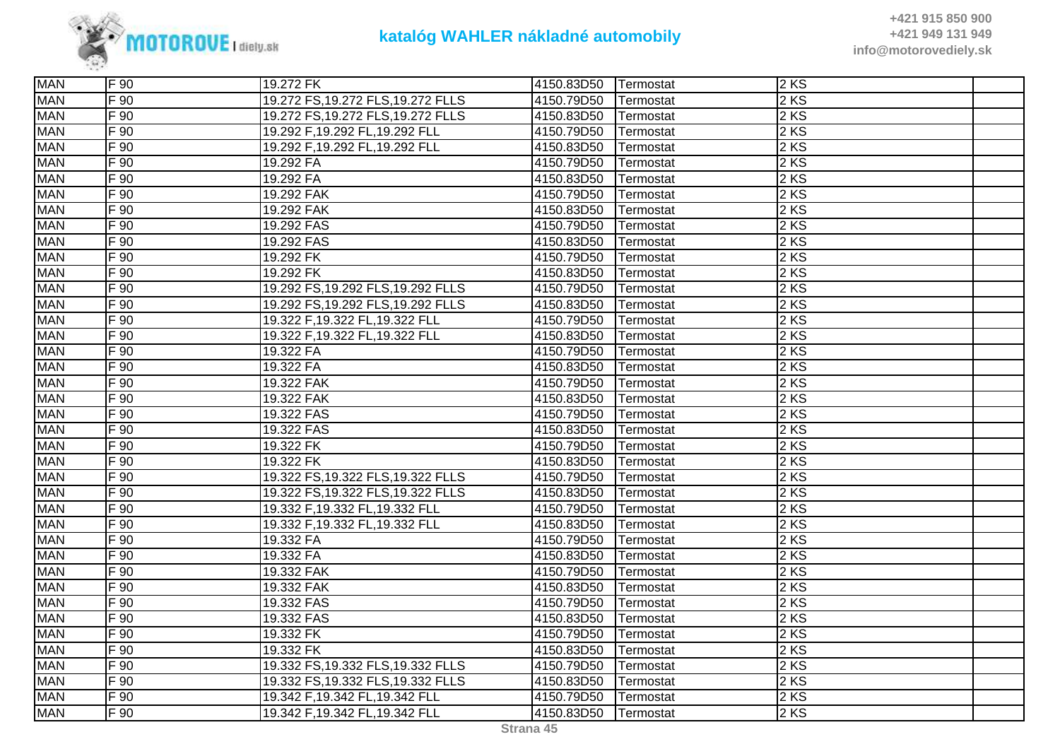

| <b>MAN</b> | F 90     | 19.272 FK                          | 4150.83D50 | <b>Termostat</b> | 2KS    |  |
|------------|----------|------------------------------------|------------|------------------|--------|--|
| <b>MAN</b> | $F_{90}$ | 19.272 FS, 19.272 FLS, 19.272 FLLS | 4150.79D50 | Termostat        | $2$ KS |  |
| <b>MAN</b> | F 90     | 19.272 FS, 19.272 FLS, 19.272 FLLS | 4150.83D50 | Termostat        | $2$ KS |  |
| <b>MAN</b> | F 90     | 19.292 F,19.292 FL,19.292 FLL      | 4150.79D50 | Termostat        | 2KS    |  |
| <b>MAN</b> | F 90     | 19.292 F,19.292 FL,19.292 FLL      | 4150.83D50 | Termostat        | 2KS    |  |
| <b>MAN</b> | $F_{90}$ | 19.292 FA                          | 4150.79D50 | Termostat        | $2$ KS |  |
| <b>MAN</b> | $F_{90}$ | 19.292 FA                          | 4150.83D50 | Termostat        | $2$ KS |  |
| <b>MAN</b> | $F_{90}$ | 19.292 FAK                         | 4150.79D50 | Termostat        | $2$ KS |  |
| <b>MAN</b> | F 90     | 19.292 FAK                         | 4150.83D50 | Termostat        | 2 KS   |  |
| <b>MAN</b> | F 90     | 19.292 FAS                         | 4150.79D50 | Termostat        | 2KS    |  |
| <b>MAN</b> | $F_{90}$ | 19.292 FAS                         | 4150.83D50 | Termostat        | $2$ KS |  |
| <b>MAN</b> | F 90     | 19.292 FK                          | 4150.79D50 | Termostat        | $2$ KS |  |
| <b>MAN</b> | $F_{90}$ | 19.292 FK                          | 4150.83D50 | Termostat        | $2$ KS |  |
| <b>MAN</b> | $F_{90}$ | 19.292 FS, 19.292 FLS, 19.292 FLLS | 4150.79D50 | Termostat        | $2$ KS |  |
| <b>MAN</b> | $F_{90}$ | 19.292 FS, 19.292 FLS, 19.292 FLLS | 4150.83D50 | Termostat        | $2$ KS |  |
| <b>MAN</b> | F 90     | 19.322 F,19.322 FL,19.322 FLL      | 4150.79D50 | Termostat        | 2KS    |  |
| <b>MAN</b> | F 90     | 19.322 F,19.322 FL,19.322 FLL      | 4150.83D50 | Termostat        | $2$ KS |  |
| <b>MAN</b> | $F_{90}$ | 19.322 FA                          | 4150.79D50 | Termostat        | $2$ KS |  |
| <b>MAN</b> | F 90     | 19.322 FA                          | 4150.83D50 | Termostat        | $2$ KS |  |
| <b>MAN</b> | $F_{90}$ | 19.322 FAK                         | 4150.79D50 | Termostat        | $2$ KS |  |
| <b>MAN</b> | $F_{90}$ | 19.322 FAK                         | 4150.83D50 | Termostat        | $2$ KS |  |
| <b>MAN</b> | $F_{90}$ | 19.322 FAS                         | 4150.79D50 | Termostat        | $2$ KS |  |
| <b>MAN</b> | F 90     | 19.322 FAS                         | 4150.83D50 | Termostat        | 2 KS   |  |
| <b>MAN</b> | F 90     | 19.322 FK                          | 4150.79D50 | Termostat        | 2 KS   |  |
| <b>MAN</b> | $F_{90}$ | 19.322 FK                          | 4150.83D50 | Termostat        | $2$ KS |  |
| <b>MAN</b> | F 90     | 19.322 FS, 19.322 FLS, 19.322 FLLS | 4150.79D50 | Termostat        | 2KS    |  |
| <b>MAN</b> | $F_{90}$ | 19.322 FS, 19.322 FLS, 19.322 FLLS | 4150.83D50 | Termostat        | 2 KS   |  |
| <b>MAN</b> | $F_{90}$ | 19.332 F,19.332 FL,19.332 FLL      | 4150.79D50 | Termostat        | $2$ KS |  |
| <b>MAN</b> | $F_{90}$ | 19.332 F,19.332 FL,19.332 FLL      | 4150.83D50 | Termostat        | $2$ KS |  |
| <b>MAN</b> | $F_{90}$ | 19.332 FA                          | 4150.79D50 | Termostat        | $2$ KS |  |
| <b>MAN</b> | F 90     | 19.332 FA                          | 4150.83D50 | Termostat        | $2$ KS |  |
| <b>MAN</b> | $F_{90}$ | 19.332 FAK                         | 4150.79D50 | Termostat        | 2KS    |  |
| <b>MAN</b> | F 90     | 19.332 FAK                         | 4150.83D50 | Termostat        | 2KS    |  |
| <b>MAN</b> | $F_{90}$ | 19.332 FAS                         | 4150.79D50 | Termostat        | 2 KS   |  |
| <b>MAN</b> | $F_{90}$ | 19.332 FAS                         | 4150.83D50 | Termostat        | $2$ KS |  |
| <b>MAN</b> | F 90     | 19.332 FK                          | 4150.79D50 | Termostat        | 2 KS   |  |
| <b>MAN</b> | $F_{90}$ | 19.332 FK                          | 4150.83D50 | Termostat        | $2$ KS |  |
| <b>MAN</b> | F 90     | 19.332 FS, 19.332 FLS, 19.332 FLLS | 4150.79D50 | Termostat        | 2KS    |  |
| <b>MAN</b> | F 90     | 19.332 FS, 19.332 FLS, 19.332 FLLS | 4150.83D50 | Termostat        | 2KS    |  |
| <b>MAN</b> | F 90     | 19.342 F,19.342 FL,19.342 FLL      | 4150.79D50 | Termostat        | $2$ KS |  |
| <b>MAN</b> | $F_{90}$ | 19.342 F,19.342 FL,19.342 FLL      | 4150.83D50 | Termostat        | $2$ KS |  |
|            |          |                                    |            |                  |        |  |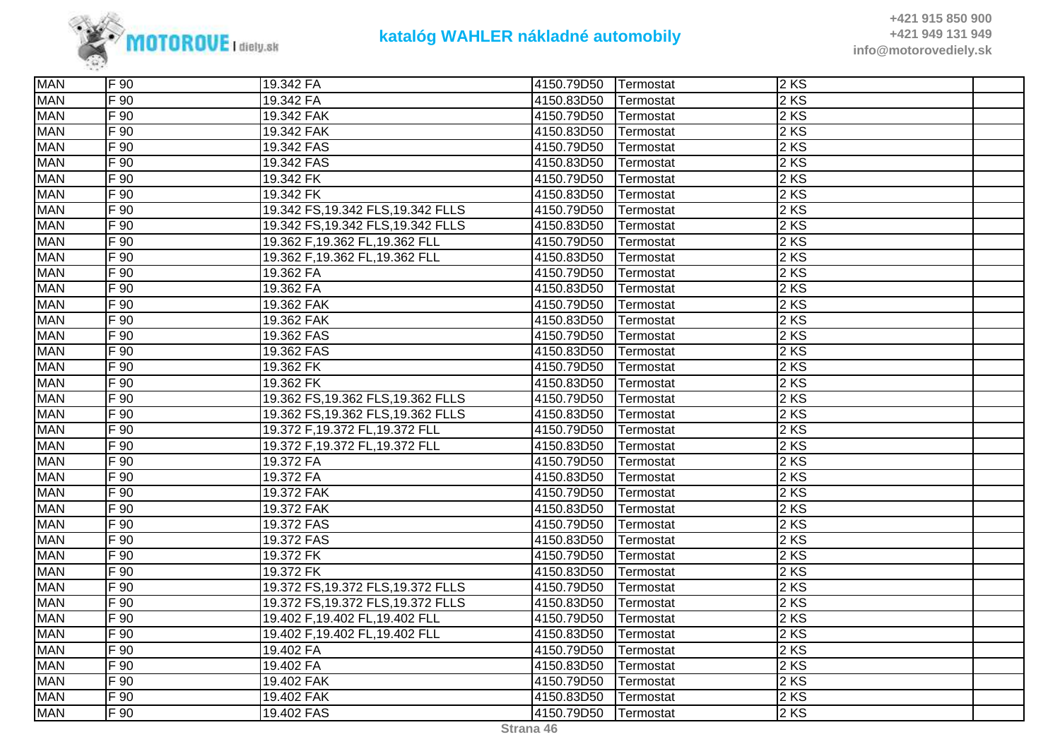

| <b>MAN</b> | F 90     | 19.342 FA                          | 4150.79D50 | Termostat | 2KS    |  |
|------------|----------|------------------------------------|------------|-----------|--------|--|
| <b>MAN</b> | F 90     | 19.342 FA                          | 4150.83D50 | Termostat | 2 KS   |  |
| <b>MAN</b> | F 90     | 19.342 FAK                         | 4150.79D50 | Termostat | 2 KS   |  |
| <b>MAN</b> | $F_{90}$ | 19.342 FAK                         | 4150.83D50 | Termostat | 2 KS   |  |
| <b>MAN</b> | $F_{90}$ | 19.342 FAS                         | 4150.79D50 | Termostat | 2 KS   |  |
| <b>MAN</b> | F 90     | 19.342 FAS                         | 4150.83D50 | Termostat | $2$ KS |  |
| <b>MAN</b> | F 90     | 19.342 FK                          | 4150.79D50 | Termostat | 2 KS   |  |
| <b>MAN</b> | $F_{90}$ | 19.342 FK                          | 4150.83D50 | Termostat | 2 KS   |  |
| <b>MAN</b> | $F_{90}$ | 19.342 FS, 19.342 FLS, 19.342 FLLS | 4150.79D50 | Termostat | 2 KS   |  |
| <b>MAN</b> | $F_{90}$ | 19.342 FS, 19.342 FLS, 19.342 FLLS | 4150.83D50 | Termostat | $2$ KS |  |
| <b>MAN</b> | $F_{90}$ | 19.362 F,19.362 FL,19.362 FLL      | 4150.79D50 | Termostat | 2 KS   |  |
| <b>MAN</b> | F 90     | 19.362 F,19.362 FL,19.362 FLL      | 4150.83D50 | Termostat | 2 KS   |  |
| <b>MAN</b> | $F_{90}$ | 19.362 FA                          | 4150.79D50 | Termostat | 2 KS   |  |
| <b>MAN</b> | $F_{90}$ | 19.362 FA                          | 4150.83D50 | Termostat | 2 KS   |  |
| <b>MAN</b> | $F_{90}$ | 19.362 FAK                         | 4150.79D50 | Termostat | 2 KS   |  |
| <b>MAN</b> | $F_{90}$ | 19.362 FAK                         | 4150.83D50 | Termostat | 2 KS   |  |
| <b>MAN</b> | F 90     | 19.362 FAS                         | 4150.79D50 | Termostat | 2 KS   |  |
| <b>MAN</b> | F 90     | 19.362 FAS                         | 4150.83D50 | Termostat | 2 KS   |  |
| <b>MAN</b> | F 90     | 19.362 FK                          | 4150.79D50 | Termostat | 2 KS   |  |
| <b>MAN</b> | $F_{90}$ | 19.362 FK                          | 4150.83D50 | Termostat | 2 KS   |  |
| <b>MAN</b> | $F_{90}$ | 19.362 FS, 19.362 FLS, 19.362 FLLS | 4150.79D50 | Termostat | 2 KS   |  |
| <b>MAN</b> | F 90     | 19.362 FS, 19.362 FLS, 19.362 FLLS | 4150.83D50 | Termostat | 2 KS   |  |
| <b>MAN</b> | $F_{90}$ | 19.372 F, 19.372 FL, 19.372 FLL    | 4150.79D50 | Termostat | 2 KS   |  |
| <b>MAN</b> | $F_{90}$ | 19.372 F, 19.372 FL, 19.372 FLL    | 4150.83D50 | Termostat | 2 KS   |  |
| <b>MAN</b> | $F_{90}$ | 19.372 FA                          | 4150.79D50 | Termostat | $2$ KS |  |
| <b>MAN</b> | F 90     | 19.372 FA                          | 4150.83D50 | Termostat | 2 KS   |  |
| <b>MAN</b> | $F_{90}$ | 19.372 FAK                         | 4150.79D50 | Termostat | 2 KS   |  |
| <b>MAN</b> | $F_{90}$ | 19.372 FAK                         | 4150.83D50 | Termostat | 2 KS   |  |
| <b>MAN</b> | $F_{90}$ | 19.372 FAS                         | 4150.79D50 | Termostat | 2 KS   |  |
| <b>MAN</b> | F 90     | 19.372 FAS                         | 4150.83D50 | Termostat | 2 KS   |  |
| <b>MAN</b> | F 90     | 19.372 FK                          | 4150.79D50 | Termostat | 2 KS   |  |
| <b>MAN</b> | $F_{90}$ | 19.372 FK                          | 4150.83D50 | Termostat | 2 KS   |  |
| <b>MAN</b> | F 90     | 19.372 FS, 19.372 FLS, 19.372 FLLS | 4150.79D50 | Termostat | 2 KS   |  |
| <b>MAN</b> | $F_{90}$ | 19.372 FS, 19.372 FLS, 19.372 FLLS | 4150.83D50 | Termostat | 2 KS   |  |
| <b>MAN</b> | $F_{90}$ | 19.402 F,19.402 FL,19.402 FLL      | 4150.79D50 | Termostat | 2 KS   |  |
| <b>MAN</b> | $F_{90}$ | 19.402 F,19.402 FL,19.402 FLL      | 4150.83D50 | Termostat | 2 KS   |  |
| <b>MAN</b> | $F_{90}$ | 19.402 FA                          | 4150.79D50 | Termostat | 2 KS   |  |
| <b>MAN</b> | F 90     | 19.402 FA                          | 4150.83D50 | Termostat | 2 KS   |  |
| <b>MAN</b> | F 90     | 19.402 FAK                         | 4150.79D50 | Termostat | 2 KS   |  |
| <b>MAN</b> | F 90     | 19.402 FAK                         | 4150.83D50 | Termostat | 2KS    |  |
| <b>MAN</b> | $F_{90}$ | 19.402 FAS                         | 4150.79D50 | Termostat | $2$ KS |  |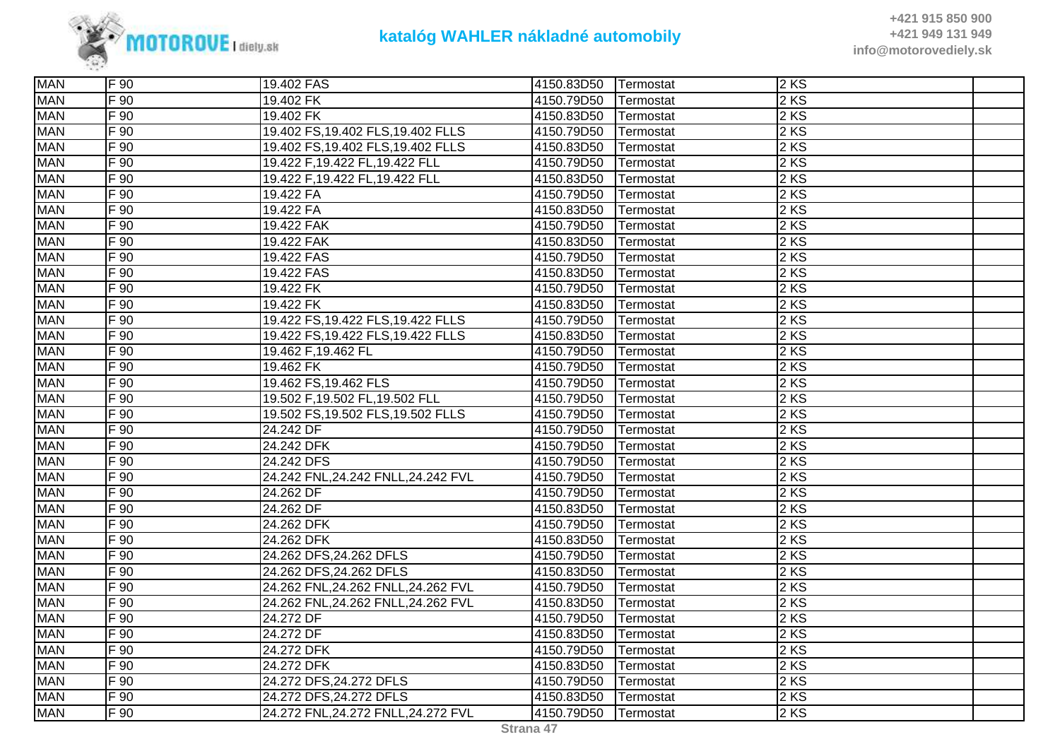

| <b>MAN</b> | F 90              | 19.402 FAS                         | 4150.83D50 | Termostat        | 2KS  |  |
|------------|-------------------|------------------------------------|------------|------------------|------|--|
| <b>MAN</b> | F 90              | 19.402 FK                          | 4150.79D50 | Termostat        | 2 KS |  |
| <b>MAN</b> | F 90              | 19.402 FK                          | 4150.83D50 | Termostat        | 2 KS |  |
| <b>MAN</b> | F 90              | 19.402 FS, 19.402 FLS, 19.402 FLLS | 4150.79D50 | Termostat        | 2 KS |  |
| <b>MAN</b> | $\overline{F}$ 90 | 19.402 FS, 19.402 FLS, 19.402 FLLS | 4150.83D50 | Termostat        | 2KS  |  |
| <b>MAN</b> | $F_{90}$          | 19.422 F, 19.422 FL, 19.422 FLL    | 4150.79D50 | Termostat        | 2 KS |  |
| <b>MAN</b> | F 90              | 19.422 F,19.422 FL,19.422 FLL      | 4150.83D50 | Termostat        | 2 KS |  |
| <b>MAN</b> | F 90              | 19.422 FA                          | 4150.79D50 | Termostat        | 2 KS |  |
| <b>MAN</b> | $F_{90}$          | 19.422 FA                          | 4150.83D50 | Termostat        | 2 KS |  |
| <b>MAN</b> | $F_{90}$          | 19.422 FAK                         | 4150.79D50 | Termostat        | 2 KS |  |
| <b>MAN</b> | $F_{90}$          | 19.422 FAK                         | 4150.83D50 | Termostat        | 2 KS |  |
| <b>MAN</b> | F 90              | 19.422 FAS                         | 4150.79D50 | Termostat        | 2 KS |  |
| <b>MAN</b> | $F_{90}$          | 19.422 FAS                         | 4150.83D50 | Termostat        | 2 KS |  |
| <b>MAN</b> | F 90              | 19.422 FK                          | 4150.79D50 | <b>Termostat</b> | 2 KS |  |
| <b>MAN</b> | F 90              | 19.422 FK                          | 4150.83D50 | Termostat        | 2 KS |  |
| <b>MAN</b> | F 90              | 19.422 FS, 19.422 FLS, 19.422 FLLS | 4150.79D50 | Termostat        | 2 KS |  |
| <b>MAN</b> | F 90              | 19.422 FS, 19.422 FLS, 19.422 FLLS | 4150.83D50 | <b>Termostat</b> | 2 KS |  |
| <b>MAN</b> | F 90              | 19.462 F,19.462 FL                 | 4150.79D50 | Termostat        | 2 KS |  |
| <b>MAN</b> | F 90              | 19.462 FK                          | 4150.79D50 | Termostat        | 2 KS |  |
| <b>MAN</b> | F 90              | 19.462 FS, 19.462 FLS              | 4150.79D50 | Termostat        | 2 KS |  |
| <b>MAN</b> | F 90              | 19.502 F,19.502 FL,19.502 FLL      | 4150.79D50 | Termostat        | 2 KS |  |
| <b>MAN</b> | F 90              | 19.502 FS, 19.502 FLS, 19.502 FLLS | 4150.79D50 | Termostat        | 2 KS |  |
| <b>MAN</b> | $F_{90}$          | 24.242 DF                          | 4150.79D50 | Termostat        | 2 KS |  |
| <b>MAN</b> | $F_{90}$          | 24.242 DFK                         | 4150.79D50 | Termostat        | 2 KS |  |
| <b>MAN</b> | F 90              | 24.242 DFS                         | 4150.79D50 | Termostat        | 2 KS |  |
| <b>MAN</b> | F 90              | 24.242 FNL,24.242 FNLL,24.242 FVL  | 4150.79D50 | Termostat        | 2 KS |  |
| <b>MAN</b> | F 90              | 24.262 DF                          | 4150.79D50 | Termostat        | 2 KS |  |
| <b>MAN</b> | F 90              | 24.262 DF                          | 4150.83D50 | Termostat        | 2 KS |  |
| <b>MAN</b> | $F_{90}$          | 24.262 DFK                         | 4150.79D50 | Termostat        | 2 KS |  |
| <b>MAN</b> | $F_{90}$          | 24.262 DFK                         | 4150.83D50 | Termostat        | 2 KS |  |
| <b>MAN</b> | F 90              | 24.262 DFS, 24.262 DFLS            | 4150.79D50 | Termostat        | 2 KS |  |
| <b>MAN</b> | $F_{90}$          | 24.262 DFS, 24.262 DFLS            | 4150.83D50 | Termostat        | 2 KS |  |
| <b>MAN</b> | F 90              | 24.262 FNL,24.262 FNLL,24.262 FVL  | 4150.79D50 | Termostat        | 2 KS |  |
| <b>MAN</b> | F 90              | 24.262 FNL,24.262 FNLL,24.262 FVL  | 4150.83D50 | Termostat        | 2 KS |  |
| <b>MAN</b> | $F_{90}$          | 24.272 DF                          | 4150.79D50 | Termostat        | 2 KS |  |
| <b>MAN</b> | $F_{90}$          | 24.272 DF                          | 4150.83D50 | Termostat        | 2 KS |  |
| <b>MAN</b> | $F_{90}$          | 24.272 DFK                         | 4150.79D50 | Termostat        | 2 KS |  |
| <b>MAN</b> | F 90              | 24.272 DFK                         | 4150.83D50 | Termostat        | 2 KS |  |
| <b>MAN</b> | $F_{90}$          | 24.272 DFS, 24.272 DFLS            | 4150.79D50 | Termostat        | 2 KS |  |
| <b>MAN</b> | F 90              | 24.272 DFS, 24.272 DFLS            | 4150.83D50 | Termostat        | 2 KS |  |
| <b>MAN</b> | F 90              | 24.272 FNL,24.272 FNLL,24.272 FVL  | 4150.79D50 | <b>Termostat</b> | 2KS  |  |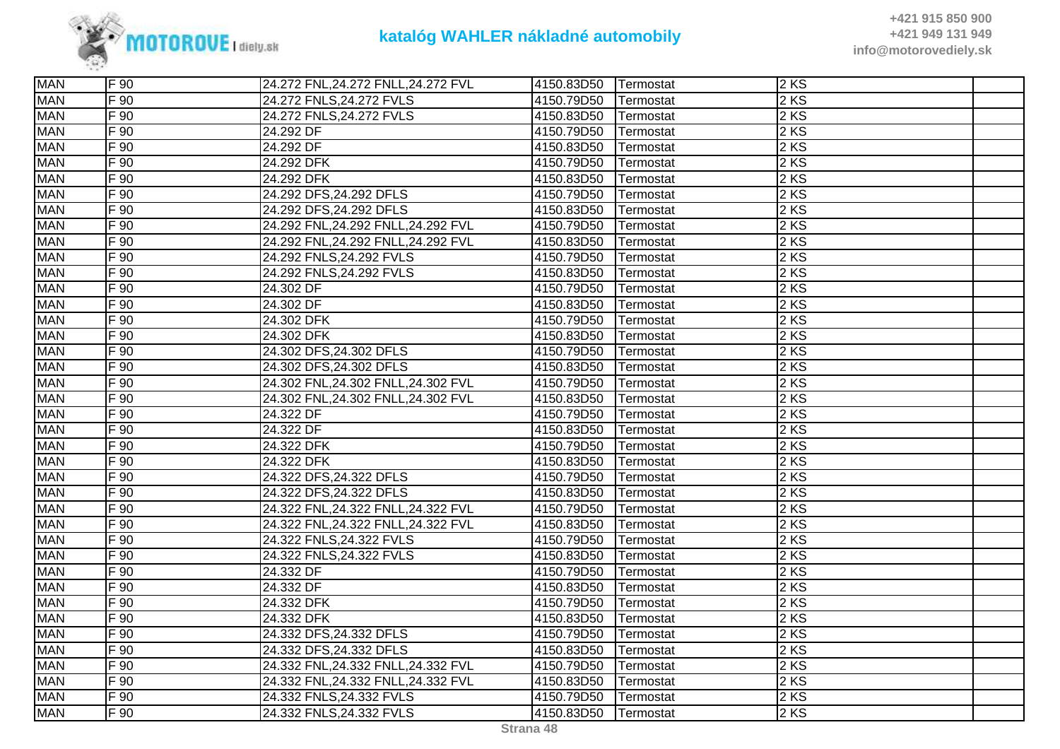

| <b>MAN</b> | F 90             | 24.272 FNL, 24.272 FNLL, 24.272 FVL | 4150.83D50 | <b>Termostat</b> | 2 KS              |  |
|------------|------------------|-------------------------------------|------------|------------------|-------------------|--|
| <b>MAN</b> | F 90             | 24.272 FNLS, 24.272 FVLS            | 4150.79D50 | Termostat        | 2 KS              |  |
| <b>MAN</b> | F 90             | 24.272 FNLS, 24.272 FVLS            | 4150.83D50 | Termostat        | 2 KS              |  |
| <b>MAN</b> | F 90             | 24.292 DF                           | 4150.79D50 | Termostat        | 2KS               |  |
| <b>MAN</b> | F 90             | 24.292 DF                           | 4150.83D50 | Termostat        | 2KS               |  |
| <b>MAN</b> | $F_{90}$         | 24.292 DFK                          | 4150.79D50 | Termostat        | 2 KS              |  |
| <b>MAN</b> | $F\overline{90}$ | 24.292 DFK                          | 4150.83D50 | Termostat        | 2 KS              |  |
| <b>MAN</b> | $F$ 90           | 24.292 DFS, 24.292 DFLS             | 4150.79D50 | Termostat        | 2 KS              |  |
| <b>MAN</b> | $F_{90}$         | 24.292 DFS, 24.292 DFLS             | 4150.83D50 | Termostat        | 2 KS              |  |
| <b>MAN</b> | $F\overline{90}$ | 24.292 FNL,24.292 FNLL,24.292 FVL   | 4150.79D50 | Termostat        | 2 KS              |  |
| <b>MAN</b> | $F\overline{90}$ | 24.292 FNL,24.292 FNLL,24.292 FVL   | 4150.83D50 | Termostat        | 2 KS              |  |
| <b>MAN</b> | F 90             | 24.292 FNLS, 24.292 FVLS            | 4150.79D50 | Termostat        | 2 KS              |  |
| <b>MAN</b> | F90              | 24.292 FNLS, 24.292 FVLS            | 4150.83D50 | Termostat        | 2 KS              |  |
| <b>MAN</b> | $F$ 90           | 24.302 DF                           | 4150.79D50 | Termostat        | 2 KS              |  |
| <b>MAN</b> | F 90             | 24.302 DF                           | 4150.83D50 | Termostat        | 2 KS              |  |
| <b>MAN</b> | $F\overline{90}$ | 24.302 DFK                          | 4150.79D50 | Termostat        | 2KS               |  |
| <b>MAN</b> | F 90             | 24.302 DFK                          | 4150.83D50 | Termostat        | 2KS               |  |
| <b>MAN</b> | $F_{90}$         | 24.302 DFS, 24.302 DFLS             | 4150.79D50 | Termostat        | 2 KS              |  |
| <b>MAN</b> | F 90             | 24.302 DFS, 24.302 DFLS             | 4150.83D50 | Termostat        | $2$ KS            |  |
| <b>MAN</b> | $F_{90}$         | 24.302 FNL,24.302 FNLL,24.302 FVL   | 4150.79D50 | Termostat        | 2 KS              |  |
| <b>MAN</b> | $F_{90}$         | 24.302 FNL,24.302 FNLL,24.302 FVL   | 4150.83D50 | Termostat        | 2 KS              |  |
| <b>MAN</b> | F 90             | 24.322 DF                           | 4150.79D50 | Termostat        | 2KS               |  |
| <b>MAN</b> | $F\overline{90}$ | 24.322 DF                           | 4150.83D50 | Termostat        | 2 KS              |  |
| <b>MAN</b> | $F$ 90           | 24.322 DFK                          | 4150.79D50 | Termostat        | 2 KS              |  |
| <b>MAN</b> | $F_{90}$         | 24.322 DFK                          | 4150.83D50 | Termostat        | 2 KS              |  |
| <b>MAN</b> | F 90             | 24.322 DFS, 24.322 DFLS             | 4150.79D50 | Termostat        | 2KS               |  |
| <b>MAN</b> | F 90             | 24.322 DFS, 24.322 DFLS             | 4150.83D50 | Termostat        | 2KS               |  |
| <b>MAN</b> | F 90             | 24.322 FNL, 24.322 FNLL, 24.322 FVL | 4150.79D50 | Termostat        | 2KS               |  |
| <b>MAN</b> | F 90             | 24.322 FNL, 24.322 FNLL, 24.322 FVL | 4150.83D50 | Termostat        | 2 KS              |  |
| <b>MAN</b> | $F\overline{90}$ | 24.322 FNLS, 24.322 FVLS            | 4150.79D50 | Termostat        | 2 KS              |  |
| <b>MAN</b> | $F$ 90           | 24.322 FNLS, 24.322 FVLS            | 4150.83D50 | Termostat        | 2 KS              |  |
| <b>MAN</b> | F 90             | 24.332 DF                           | 4150.79D50 | Termostat        | 2 KS              |  |
| <b>MAN</b> | F 90             | 24.332 DF                           | 4150.83D50 | Termostat        | $2$ KS            |  |
| <b>MAN</b> | $F$ 90           | 24.332 DFK                          | 4150.79D50 | Termostat        | 2 KS              |  |
| <b>MAN</b> | $F_{90}$         | 24.332 DFK                          | 4150.83D50 | Termostat        | 2 KS              |  |
| <b>MAN</b> | $F$ 90           | 24.332 DFS, 24.332 DFLS             | 4150.79D50 | Termostat        | 2 KS              |  |
| <b>MAN</b> | $F$ 90           | 24.332 DFS, 24.332 DFLS             | 4150.83D50 | Termostat        | 2 KS              |  |
| <b>MAN</b> | F 90             | 24.332 FNL, 24.332 FNLL, 24.332 FVL | 4150.79D50 | Termostat        | 2 KS              |  |
| <b>MAN</b> | F 90             | 24.332 FNL, 24.332 FNLL, 24.332 FVL | 4150.83D50 | Termostat        | 2KS               |  |
| <b>MAN</b> | F 90             | 24.332 FNLS, 24.332 FVLS            | 4150.79D50 | Termostat        | $2 K\overline{S}$ |  |
| <b>MAN</b> | $F_{90}$         | 24.332 FNLS, 24.332 FVLS            | 4150.83D50 | Termostat        | 2 KS              |  |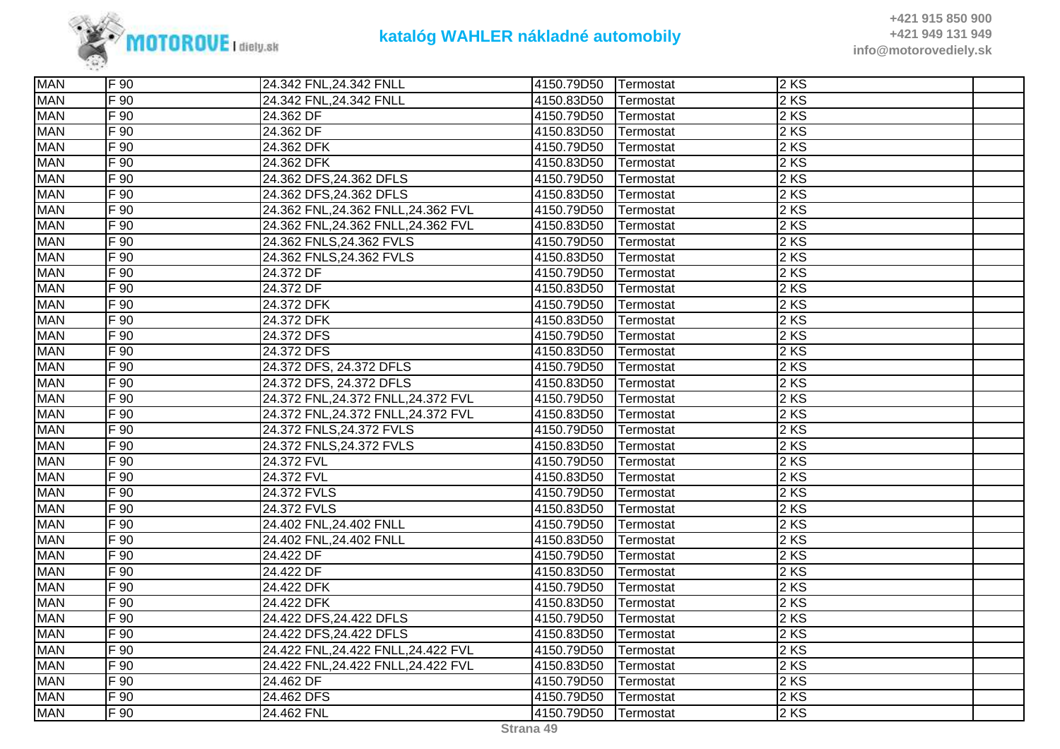

| <b>MAN</b> | F 90     | 24.342 FNL, 24.342 FNLL             | 4150.79D50 | Termostat | 2 KS              |  |
|------------|----------|-------------------------------------|------------|-----------|-------------------|--|
| <b>MAN</b> | F 90     | 24.342 FNL, 24.342 FNLL             | 4150.83D50 | Termostat | 2 KS              |  |
| <b>MAN</b> | F 90     | 24.362 DF                           | 4150.79D50 | Termostat | 2 KS              |  |
| <b>MAN</b> | $F_{90}$ | 24.362 DF                           | 4150.83D50 | Termostat | 2 KS              |  |
| <b>MAN</b> | F 90     | 24.362 DFK                          | 4150.79D50 | Termostat | 2KS               |  |
| <b>MAN</b> | F 90     | 24.362 DFK                          | 4150.83D50 | Termostat | 2 KS              |  |
| <b>MAN</b> | F 90     | 24.362 DFS, 24.362 DFLS             | 4150.79D50 | Termostat | 2 KS              |  |
| <b>MAN</b> | $F_{90}$ | 24.362 DFS, 24.362 DFLS             | 4150.83D50 | Termostat | 2 KS              |  |
| <b>MAN</b> | $F_{90}$ | 24.362 FNL,24.362 FNLL,24.362 FVL   | 4150.79D50 | Termostat | 2 KS              |  |
| <b>MAN</b> | $F_{90}$ | 24.362 FNL, 24.362 FNLL, 24.362 FVL | 4150.83D50 | Termostat | 2 KS              |  |
| <b>MAN</b> | F 90     | 24.362 FNLS, 24.362 FVLS            | 4150.79D50 | Termostat | 2 KS              |  |
| <b>MAN</b> | F 90     | 24.362 FNLS, 24.362 FVLS            | 4150.83D50 | Termostat | 2 KS              |  |
| <b>MAN</b> | $F_{90}$ | 24.372 DF                           | 4150.79D50 | Termostat | 2 KS              |  |
| <b>MAN</b> | $F_{90}$ | 24.372 DF                           | 4150.83D50 | Termostat | 2 KS              |  |
| <b>MAN</b> | F 90     | 24.372 DFK                          | 4150.79D50 | Termostat | 2KS               |  |
| <b>MAN</b> | $F_{90}$ | 24.372 DFK                          | 4150.83D50 | Termostat | $2 K\overline{S}$ |  |
| <b>MAN</b> | $F_{90}$ | 24.372 DFS                          | 4150.79D50 | Termostat | 2 KS              |  |
| <b>MAN</b> | $F_{90}$ | 24.372 DFS                          | 4150.83D50 | Termostat | 2 KS              |  |
| <b>MAN</b> | F 90     | 24.372 DFS, 24.372 DFLS             | 4150.79D50 | Termostat | 2KS               |  |
| <b>MAN</b> | F 90     | 24.372 DFS, 24.372 DFLS             | 4150.83D50 | Termostat | 2KS               |  |
| <b>MAN</b> | $F_{90}$ | 24.372 FNL, 24.372 FNLL, 24.372 FVL | 4150.79D50 | Termostat | 2 KS              |  |
| <b>MAN</b> | $F_{90}$ | 24.372 FNL, 24.372 FNLL, 24.372 FVL | 4150.83D50 | Termostat | 2 KS              |  |
| <b>MAN</b> | $F_{90}$ | 24.372 FNLS, 24.372 FVLS            | 4150.79D50 | Termostat | 2 KS              |  |
| <b>MAN</b> | F 90     | 24.372 FNLS, 24.372 FVLS            | 4150.83D50 | Termostat | 2 KS              |  |
| <b>MAN</b> | F 90     | 24.372 FVL                          | 4150.79D50 | Termostat | 2 KS              |  |
| <b>MAN</b> | F 90     | 24.372 FVL                          | 4150.83D50 | Termostat | 2KS               |  |
| <b>MAN</b> | $F_{90}$ | 24.372 FVLS                         | 4150.79D50 | Termostat | 2 KS              |  |
| <b>MAN</b> | $F_{90}$ | 24.372 FVLS                         | 4150.83D50 | Termostat | 2 KS              |  |
| <b>MAN</b> | $F_{90}$ | 24.402 FNL, 24.402 FNLL             | 4150.79D50 | Termostat | 2 KS              |  |
| <b>MAN</b> | $F_{90}$ | 24.402 FNL,24.402 FNLL              | 4150.83D50 | Termostat | 2 KS              |  |
| <b>MAN</b> | $F$ 90   | 24.422 DF                           | 4150.79D50 | Termostat | 2 KS              |  |
| <b>MAN</b> | F90      | 24.422 DF                           | 4150.83D50 | Termostat | $2 K\overline{S}$ |  |
| <b>MAN</b> | F 90     | 24.422 DFK                          | 4150.79D50 | Termostat | 2KS               |  |
| <b>MAN</b> | $F_{90}$ | 24.422 DFK                          | 4150.83D50 | Termostat | 2 KS              |  |
| <b>MAN</b> | $F_{90}$ | 24.422 DFS, 24.422 DFLS             | 4150.79D50 | Termostat | 2 KS              |  |
| <b>MAN</b> | F 90     | 24.422 DFS, 24.422 DFLS             | 4150.83D50 | Termostat | 2KS               |  |
| <b>MAN</b> | F 90     | 24.422 FNL,24.422 FNLL,24.422 FVL   | 4150.79D50 | Termostat | 2KS               |  |
| <b>MAN</b> | F 90     | 24.422 FNL,24.422 FNLL,24.422 FVL   | 4150.83D50 | Termostat | 2 KS              |  |
| <b>MAN</b> | $F_{90}$ | 24.462 DF                           | 4150.79D50 | Termostat | 2 KS              |  |
| <b>MAN</b> | F 90     | 24.462 DFS                          | 4150.79D50 | Termostat | 2 KS              |  |
| <b>MAN</b> | F 90     | 24.462 FNL                          | 4150.79D50 | Termostat | 2KS               |  |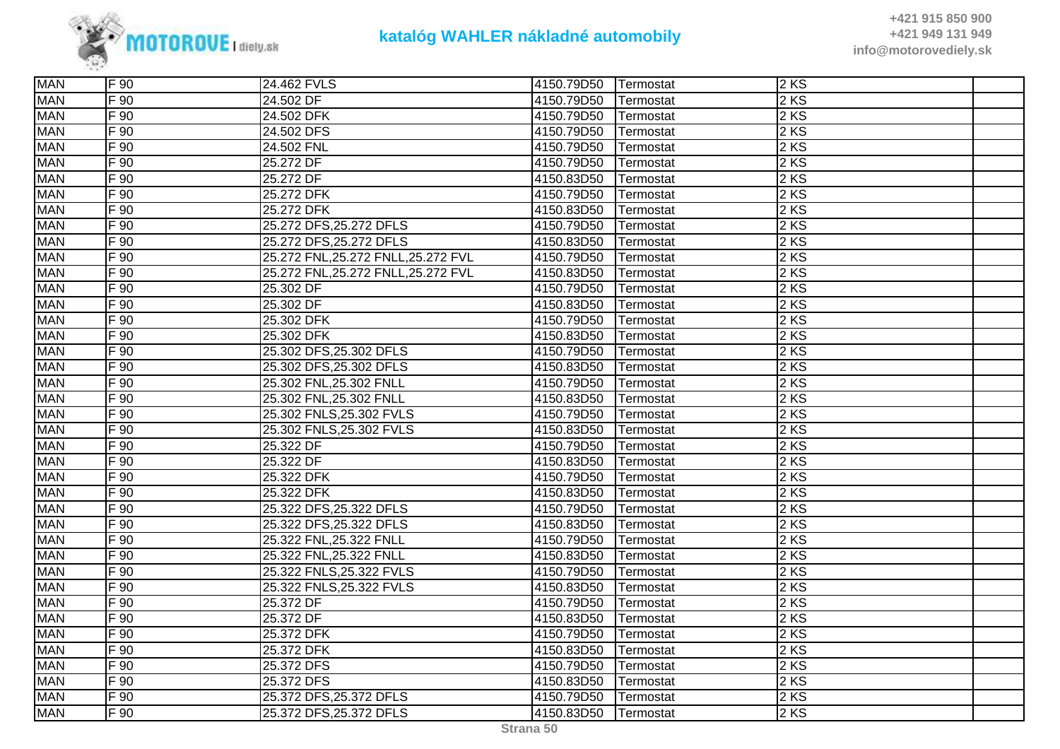

| <b>MAN</b> | IF 90.           | 24.462 FVLS                         | 4150.79D50 | <b>Termostat</b> | 2 KS              |  |
|------------|------------------|-------------------------------------|------------|------------------|-------------------|--|
| <b>MAN</b> | F 90             | 24.502 DF                           | 4150.79D50 | Termostat        | 2KS               |  |
| <b>MAN</b> | F 90             | 24.502 DFK                          | 4150.79D50 | Termostat        | 2KS               |  |
| <b>MAN</b> | F 90             | 24.502 DFS                          | 4150.79D50 | Termostat        | 2KS               |  |
| <b>MAN</b> | F 90             | 24.502 FNL                          | 4150.79D50 | Termostat        | 2KS               |  |
| <b>MAN</b> | F 90             | 25.272 DF                           | 4150.79D50 | Termostat        | 2 KS              |  |
| <b>MAN</b> | F 90             | 25.272 DF                           | 4150.83D50 | Termostat        | 2 KS              |  |
| <b>MAN</b> | F 90             | 25.272 DFK                          | 4150.79D50 | Termostat        | 2KS               |  |
| <b>MAN</b> | F 90             | 25.272 DFK                          | 4150.83D50 | Termostat        | 2KS               |  |
| <b>MAN</b> | F 90             | 25.272 DFS, 25.272 DFLS             | 4150.79D50 | Termostat        | 2KS               |  |
| <b>MAN</b> | $F\overline{90}$ | 25.272 DFS, 25.272 DFLS             | 4150.83D50 | Termostat        | 2 KS              |  |
| <b>MAN</b> | F 90             | 25.272 FNL, 25.272 FNLL, 25.272 FVL | 4150.79D50 | Termostat        | 2KS               |  |
| <b>MAN</b> | F 90             | 25.272 FNL, 25.272 FNLL, 25.272 FVL | 4150.83D50 | Termostat        | 2 KS              |  |
| <b>MAN</b> | F 90             | 25.302 DF                           | 4150.79D50 | Termostat        | 2KS               |  |
| <b>MAN</b> | F 90             | 25.302 DF                           | 4150.83D50 | Termostat        | 2KS               |  |
| <b>MAN</b> | F 90             | 25.302 DFK                          | 4150.79D50 | Termostat        | 2 KS              |  |
| <b>MAN</b> | $F\overline{90}$ | 25.302 DFK                          | 4150.83D50 | Termostat        | 2 KS              |  |
| <b>MAN</b> | F 90             | 25.302 DFS, 25.302 DFLS             | 4150.79D50 | Termostat        | 2 KS              |  |
| <b>MAN</b> | F 90             | 25.302 DFS, 25.302 DFLS             | 4150.83D50 | Termostat        | 2KS               |  |
| <b>MAN</b> | F 90             | 25.302 FNL, 25.302 FNLL             | 4150.79D50 | Termostat        | 2KS               |  |
| <b>MAN</b> | F 90             | 25.302 FNL, 25.302 FNLL             | 4150.83D50 | Termostat        | 2KS               |  |
| <b>MAN</b> | $F\overline{90}$ | 25.302 FNLS, 25.302 FVLS            | 4150.79D50 | Termostat        | 2 KS              |  |
| <b>MAN</b> | $F$ 90           | 25.302 FNLS, 25.302 FVLS            | 4150.83D50 | Termostat        | 2 KS              |  |
| <b>MAN</b> | $F\overline{90}$ | 25.322 DF                           | 4150.79D50 | Termostat        | 2 KS              |  |
| <b>MAN</b> | F 90             | 25.322 DF                           | 4150.83D50 | Termostat        | 2 KS              |  |
| <b>MAN</b> | F 90             | 25.322 DFK                          | 4150.79D50 | Termostat        | 2KS               |  |
| <b>MAN</b> | $F\overline{90}$ | 25.322 DFK                          | 4150.83D50 | Termostat        | $2 K\overline{S}$ |  |
| <b>MAN</b> | F 90             | 25.322 DFS, 25.322 DFLS             | 4150.79D50 | Termostat        | 2 KS              |  |
| <b>MAN</b> | F 90             | 25.322 DFS, 25.322 DFLS             | 4150.83D50 | Termostat        | 2 KS              |  |
| <b>MAN</b> | $F_{90}$         | 25.322 FNL, 25.322 FNLL             | 4150.79D50 | Termostat        | 2 KS              |  |
| <b>MAN</b> | F 90             | 25.322 FNL, 25.322 FNLL             | 4150.83D50 | Termostat        | 2 KS              |  |
| <b>MAN</b> | F 90             | 25.322 FNLS, 25.322 FVLS            | 4150.79D50 | Termostat        | 2KS               |  |
| <b>MAN</b> | F 90             | 25.322 FNLS, 25.322 FVLS            | 4150.83D50 | Termostat        | $2$ KS            |  |
| <b>MAN</b> | $F_{90}$         | 25.372 DF                           | 4150.79D50 | Termostat        | 2 KS              |  |
| <b>MAN</b> | $F_{90}$         | 25.372 DF                           | 4150.83D50 | Termostat        | 2 KS              |  |
| <b>MAN</b> | $F\overline{90}$ | 25.372 DFK                          | 4150.79D50 | Termostat        | 2 KS              |  |
| <b>MAN</b> | $F$ 90           | 25.372 DFK                          | 4150.83D50 | Termostat        | 2 KS              |  |
| <b>MAN</b> | F 90             | 25.372 DFS                          | 4150.79D50 | Termostat        | 2KS               |  |
| <b>MAN</b> | $F\overline{90}$ | 25.372 DFS                          | 4150.83D50 | Termostat        | 2 KS              |  |
| <b>MAN</b> | F 90             | 25.372 DFS, 25.372 DFLS             | 4150.79D50 | Termostat        | 2KS               |  |
| <b>MAN</b> | F 90             | 25.372 DFS, 25.372 DFLS             | 4150.83D50 | Termostat        | 2KS               |  |
|            |                  |                                     |            |                  |                   |  |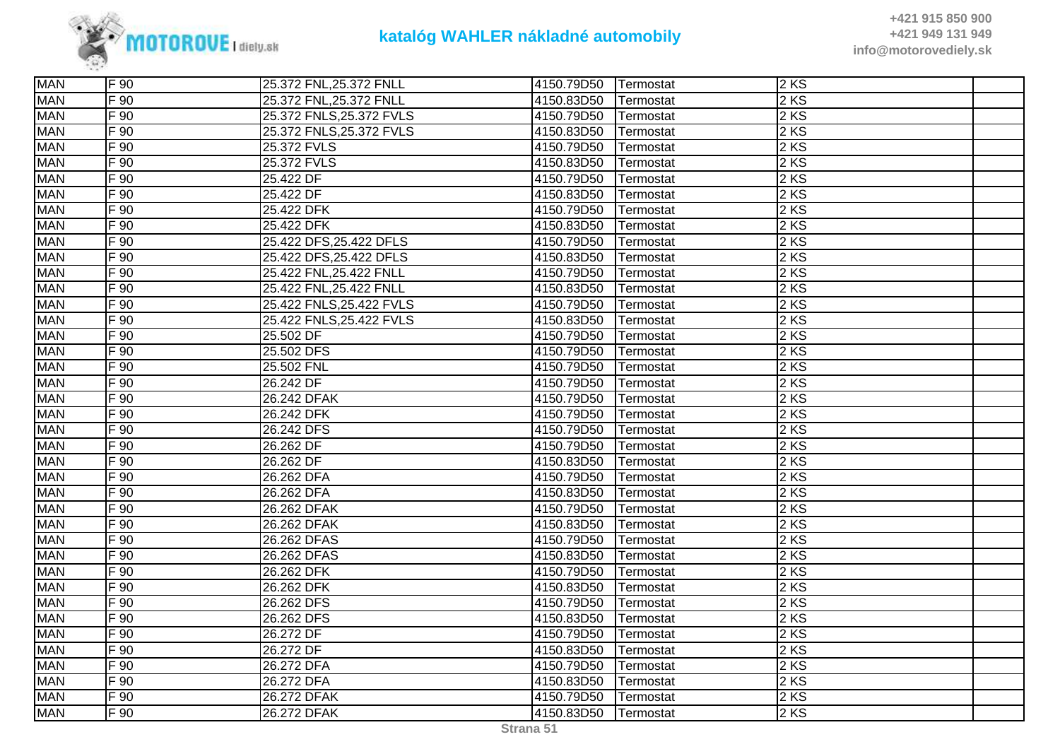

| <b>MAN</b> | $\overline{F}$ 90 | 25.372 FNL, 25.372 FNLL  | 4150.79D50 | Termostat | 2 KS   |  |
|------------|-------------------|--------------------------|------------|-----------|--------|--|
| <b>MAN</b> | $F\overline{90}$  | 25.372 FNL, 25.372 FNLL  | 4150.83D50 | Termostat | 2 KS   |  |
| <b>MAN</b> | F 90              | 25.372 FNLS, 25.372 FVLS | 4150.79D50 | Termostat | 2 KS   |  |
| <b>MAN</b> | F 90              | 25.372 FNLS, 25.372 FVLS | 4150.83D50 | Termostat | 2 KS   |  |
| <b>MAN</b> | F 90              | 25.372 FVLS              | 4150.79D50 | Termostat | 2KS    |  |
| <b>MAN</b> | F 90              | 25.372 FVLS              | 4150.83D50 | Termostat | 2 KS   |  |
| <b>MAN</b> | $F$ 90            | 25.422 DF                | 4150.79D50 | Termostat | 2 KS   |  |
| <b>MAN</b> | F 90              | 25.422 DF                | 4150.83D50 | Termostat | 2 KS   |  |
| <b>MAN</b> | F 90              | 25.422 DFK               | 4150.79D50 | Termostat | 2 KS   |  |
| <b>MAN</b> | F 90              | 25.422 DFK               | 4150.83D50 | Termostat | $2$ KS |  |
| <b>MAN</b> | F 90              | 25.422 DFS, 25.422 DFLS  | 4150.79D50 | Termostat | 2KS    |  |
| <b>MAN</b> | $\overline{F}$ 90 | 25.422 DFS, 25.422 DFLS  | 4150.83D50 | Termostat | 2 KS   |  |
| <b>MAN</b> | F 90              | 25.422 FNL, 25.422 FNLL  | 4150.79D50 | Termostat | 2 KS   |  |
| <b>MAN</b> | F 90              | 25.422 FNL, 25.422 FNLL  | 4150.83D50 | Termostat | 2 KS   |  |
| <b>MAN</b> | F 90              | 25.422 FNLS, 25.422 FVLS | 4150.79D50 | Termostat | 2 KS   |  |
| <b>MAN</b> | F 90              | 25.422 FNLS, 25.422 FVLS | 4150.83D50 | Termostat | 2 KS   |  |
| <b>MAN</b> | F 90              | 25.502 DF                | 4150.79D50 | Termostat | 2 KS   |  |
| <b>MAN</b> | F 90              | 25.502 DFS               | 4150.79D50 | Termostat | 2 KS   |  |
| <b>MAN</b> | F 90              | 25.502 FNL               | 4150.79D50 | Termostat | 2 KS   |  |
| <b>MAN</b> | F 90              | 26.242 DF                | 4150.79D50 | Termostat | 2 KS   |  |
| <b>MAN</b> | $\overline{F}$ 90 | 26.242 DFAK              | 4150.79D50 | Termostat | 2 KS   |  |
| <b>MAN</b> | F 90              | 26.242 DFK               | 4150.79D50 | Termostat | 2KS    |  |
| <b>MAN</b> | F 90              | 26.242 DFS               | 4150.79D50 | Termostat | 2 KS   |  |
| <b>MAN</b> | F 90              | 26.262 DF                | 4150.79D50 | Termostat | 2 KS   |  |
| <b>MAN</b> | F 90              | 26.262 DF                | 4150.83D50 | Termostat | 2 KS   |  |
| <b>MAN</b> | F 90              | 26.262 DFA               | 4150.79D50 | Termostat | 2 KS   |  |
| <b>MAN</b> | F 90              | 26.262 DFA               | 4150.83D50 | Termostat | 2 KS   |  |
| <b>MAN</b> | $F\overline{90}$  | 26.262 DFAK              | 4150.79D50 | Termostat | 2 KS   |  |
| <b>MAN</b> | F 90              | 26.262 DFAK              | 4150.83D50 | Termostat | 2KS    |  |
| <b>MAN</b> | F 90              | 26.262 DFAS              | 4150.79D50 | Termostat | 2 KS   |  |
| <b>MAN</b> | F 90              | 26.262 DFAS              | 4150.83D50 | Termostat | 2 KS   |  |
| <b>MAN</b> | F 90              | 26.262 DFK               | 4150.79D50 | Termostat | 2 KS   |  |
| <b>MAN</b> | F 90              | 26.262 DFK               | 4150.83D50 | Termostat | $2$ KS |  |
| <b>MAN</b> | F 90              | 26.262 DFS               | 4150.79D50 | Termostat | 2KS    |  |
| <b>MAN</b> | $\overline{F}$ 90 | 26.262 DFS               | 4150.83D50 | Termostat | 2 KS   |  |
| <b>MAN</b> | F 90              | 26.272 DF                | 4150.79D50 | Termostat | 2 KS   |  |
| <b>MAN</b> | F 90              | 26.272 DF                | 4150.83D50 | Termostat | 2 KS   |  |
| <b>MAN</b> | F 90              | 26.272 DFA               | 4150.79D50 | Termostat | $2$ KS |  |
| <b>MAN</b> | F 90              | 26.272 DFA               | 4150.83D50 | Termostat | 2KS    |  |
| <b>MAN</b> | F 90              | 26.272 DFAK              | 4150.79D50 | Termostat | $2$ KS |  |
| <b>MAN</b> | F 90              | 26.272 DFAK              | 4150.83D50 | Termostat | 2 KS   |  |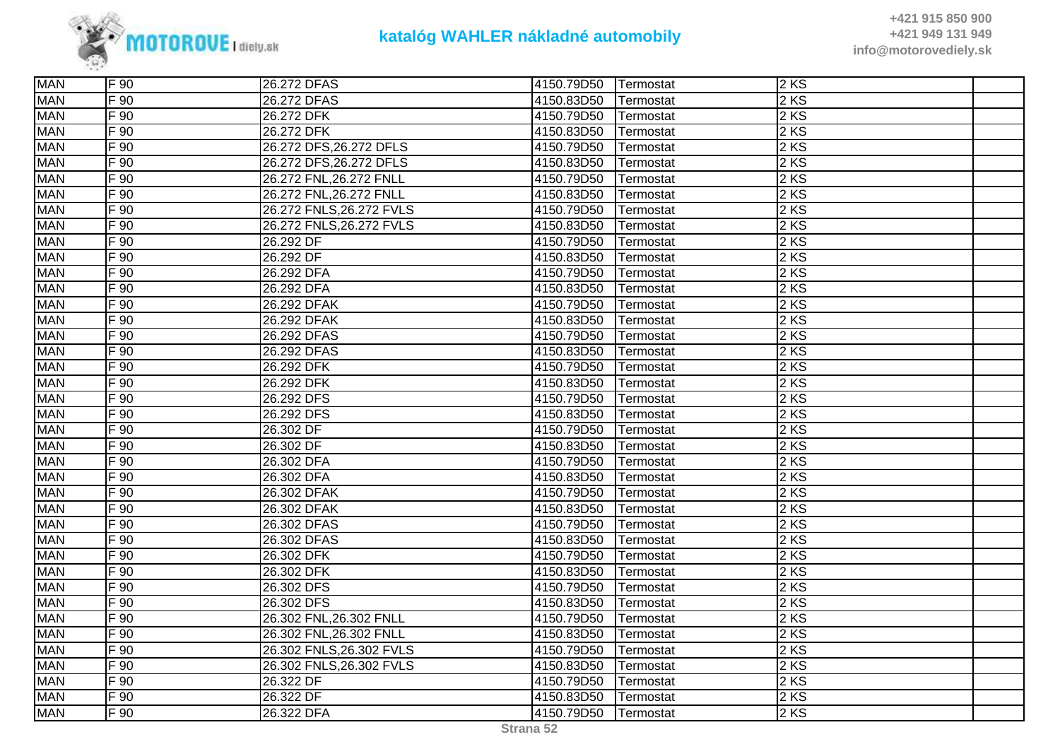

| <b>MAN</b> | F 90     | 26.272 DFAS              | 4150.79D50 | Termostat | 2KS  |  |
|------------|----------|--------------------------|------------|-----------|------|--|
| <b>MAN</b> | F 90     | 26.272 DFAS              | 4150.83D50 | Termostat | 2 KS |  |
| <b>MAN</b> | F 90     | 26.272 DFK               | 4150.79D50 | Termostat | 2 KS |  |
| <b>MAN</b> | F 90     | 26.272 DFK               | 4150.83D50 | Termostat | 2KS  |  |
| <b>MAN</b> | F 90     | 26.272 DFS, 26.272 DFLS  | 4150.79D50 | Termostat | 2KS  |  |
| <b>MAN</b> | F 90     | 26.272 DFS, 26.272 DFLS  | 4150.83D50 | Termostat | 2 KS |  |
| <b>MAN</b> | F 90     | 26.272 FNL, 26.272 FNLL  | 4150.79D50 | Termostat | 2 KS |  |
| <b>MAN</b> | F 90     | 26.272 FNL, 26.272 FNLL  | 4150.83D50 | Termostat | 2 KS |  |
| <b>MAN</b> | $F_{90}$ | 26.272 FNLS, 26.272 FVLS | 4150.79D50 | Termostat | 2 KS |  |
| <b>MAN</b> | $F_{90}$ | 26.272 FNLS, 26.272 FVLS | 4150.83D50 | Termostat | 2 KS |  |
| <b>MAN</b> | $F_{90}$ | 26.292 DF                | 4150.79D50 | Termostat | 2 KS |  |
| <b>MAN</b> | F 90     | 26.292 DF                | 4150.83D50 | Termostat | 2 KS |  |
| <b>MAN</b> | F 90     | 26.292 DFA               | 4150.79D50 | Termostat | 2 KS |  |
| <b>MAN</b> | F 90     | 26.292 DFA               | 4150.83D50 | Termostat | 2KS  |  |
| <b>MAN</b> | F 90     | 26.292 DFAK              | 4150.79D50 | Termostat | 2 KS |  |
| <b>MAN</b> | $F_{90}$ | 26.292 DFAK              | 4150.83D50 | Termostat | 2 KS |  |
| <b>MAN</b> | F 90     | 26.292 DFAS              | 4150.79D50 | Termostat | 2 KS |  |
| <b>MAN</b> | $F_{90}$ | 26.292 DFAS              | 4150.83D50 | Termostat | 2 KS |  |
| <b>MAN</b> | F 90     | 26.292 DFK               | 4150.79D50 | Termostat | 2KS  |  |
| <b>MAN</b> | F 90     | 26.292 DFK               | 4150.83D50 | Termostat | 2 KS |  |
| <b>MAN</b> | F 90     | 26.292 DFS               | 4150.79D50 | Termostat | 2 KS |  |
| <b>MAN</b> | F 90     | 26.292 DFS               | 4150.83D50 | Termostat | 2 KS |  |
| <b>MAN</b> | $F_{90}$ | 26.302 DF                | 4150.79D50 | Termostat | 2 KS |  |
| <b>MAN</b> | F 90     | 26.302 DF                | 4150.83D50 | Termostat | 2 KS |  |
| <b>MAN</b> | F 90     | 26.302 DFA               | 4150.79D50 | Termostat | 2KS  |  |
| <b>MAN</b> | F 90     | 26.302 DFA               | 4150.83D50 | Termostat | 2 KS |  |
| <b>MAN</b> | $F_{90}$ | 26.302 DFAK              | 4150.79D50 | Termostat | 2 KS |  |
| <b>MAN</b> | F 90     | 26.302 DFAK              | 4150.83D50 | Termostat | 2 KS |  |
| <b>MAN</b> | F 90     | 26.302 DFAS              | 4150.79D50 | Termostat | 2 KS |  |
| <b>MAN</b> | $F_{90}$ | 26.302 DFAS              | 4150.83D50 | Termostat | 2 KS |  |
| <b>MAN</b> | F 90     | 26.302 DFK               | 4150.79D50 | Termostat | 2 KS |  |
| <b>MAN</b> | F 90     | 26.302 DFK               | 4150.83D50 | Termostat | 2 KS |  |
| <b>MAN</b> | F 90     | 26.302 DFS               | 4150.79D50 | Termostat | 2 KS |  |
| <b>MAN</b> | $F_{90}$ | 26.302 DFS               | 4150.83D50 | Termostat | 2 KS |  |
| <b>MAN</b> | F 90     | 26.302 FNL, 26.302 FNLL  | 4150.79D50 | Termostat | 2 KS |  |
| <b>MAN</b> | F 90     | 26.302 FNL, 26.302 FNLL  | 4150.83D50 | Termostat | 2KS  |  |
| <b>MAN</b> | F 90     | 26.302 FNLS, 26.302 FVLS | 4150.79D50 | Termostat | 2 KS |  |
| <b>MAN</b> | F 90     | 26.302 FNLS, 26.302 FVLS | 4150.83D50 | Termostat | 2 KS |  |
| <b>MAN</b> | F 90     | 26.322 DF                | 4150.79D50 | Termostat | 2 KS |  |
| <b>MAN</b> | F 90     | 26.322 DF                | 4150.83D50 | Termostat | 2KS  |  |
| <b>MAN</b> | F 90     | 26.322 DFA               | 4150.79D50 | Termostat | 2KS  |  |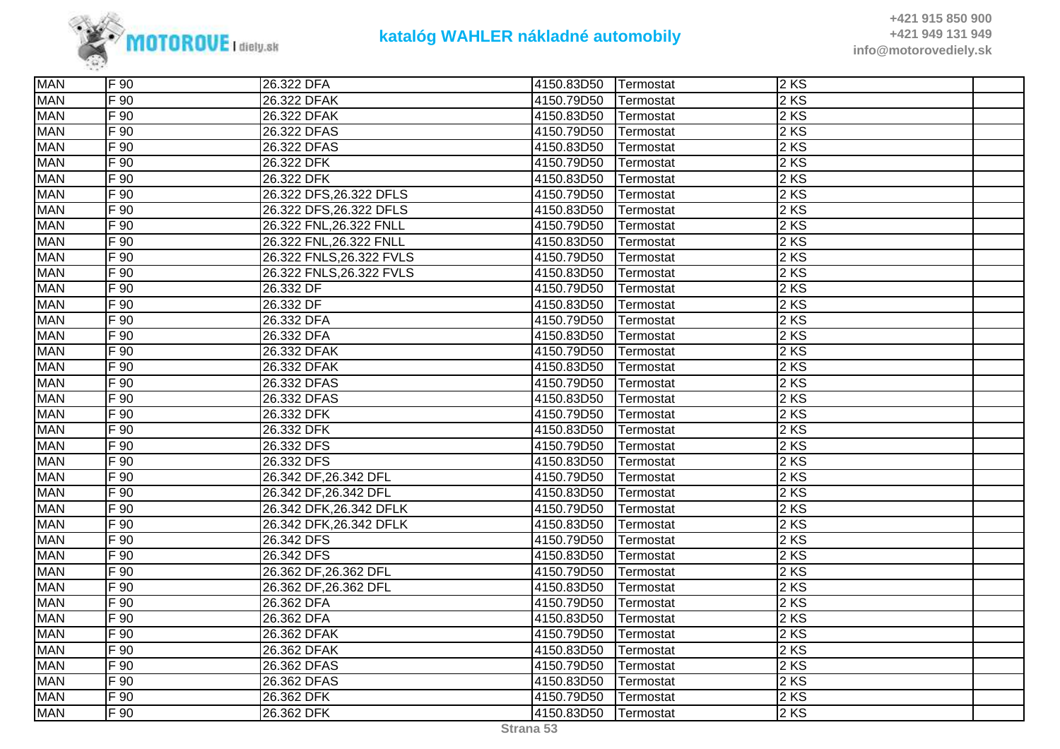

| <b>MAN</b><br>$2$ KS<br>F 90<br>26.322 DFAK<br>4150.79D50<br>Termostat<br><b>MAN</b><br>$2$ KS<br>F 90<br>26.322 DFAK<br>4150.83D50<br>Termostat<br><b>MAN</b><br>$F_{90}$<br>$2$ KS<br>26.322 DFAS<br>4150.79D50<br>Termostat<br><b>MAN</b><br>$F_{90}$<br>$2$ KS<br>26.322 DFAS<br>4150.83D50<br>Termostat<br><b>MAN</b><br>2 KS<br>F 90<br>26.322 DFK<br>4150.79D50<br>Termostat<br><b>MAN</b><br>2 KS<br>F 90<br>26.322 DFK<br>4150.83D50<br>Termostat<br>26.322 DFS, 26.322 DFLS<br><b>MAN</b><br>$2$ KS<br>F 90<br>4150.79D50<br>Termostat<br>2 KS<br><b>MAN</b><br>F 90<br>26.322 DFS, 26.322 DFLS<br>4150.83D50<br>Termostat<br>2 KS<br><b>MAN</b><br>F 90<br>26.322 FNL, 26.322 FNLL<br>4150.79D50<br>Termostat<br><b>MAN</b><br>2 KS<br>$F_{90}$<br>26.322 FNL, 26.322 FNLL<br>4150.83D50<br>Termostat<br><b>MAN</b><br>$2$ KS<br>F 90<br>26.322 FNLS, 26.322 FVLS<br>4150.79D50<br>Termostat<br>$2$ KS<br><b>MAN</b><br>$F_{90}$<br>26.322 FNLS, 26.322 FVLS<br>4150.83D50<br>Termostat<br><b>MAN</b><br>F 90<br>2KS<br>26.332 DF<br>4150.79D50<br>Termostat<br>2 KS<br><b>MAN</b><br>F 90<br>26.332 DF<br>4150.83D50<br>Termostat<br>2 KS<br><b>MAN</b><br>$F_{90}$<br>26.332 DFA<br>4150.79D50<br>Termostat<br>2 KS<br><b>MAN</b><br>$F_{90}$<br>26.332 DFA<br>4150.83D50<br>Termostat<br><b>MAN</b><br>2 KS<br>4150.79D50<br>F 90<br>26.332 DFAK<br>Termostat<br><b>MAN</b><br>$2$ KS<br>F 90<br>26.332 DFAK<br>4150.83D50<br>Termostat<br>2 KS<br><b>MAN</b><br>F 90<br>4150.79D50<br>26.332 DFAS<br>Termostat<br><b>MAN</b><br>$\overline{F}$ 90<br>2 KS<br>26.332 DFAS<br>4150.83D50<br>Termostat<br><b>MAN</b><br>2 KS<br>$F_{90}$<br>4150.79D50<br>26.332 DFK<br>Termostat<br>2 KS<br><b>MAN</b><br>F 90<br>26.332 DFK<br>4150.83D50<br>Termostat<br><b>MAN</b><br>$2$ KS<br>F 90<br>4150.79D50<br>26.332 DFS<br>Termostat<br><b>MAN</b><br>F 90<br>2KS<br>26.332 DFS<br>4150.83D50<br>Termostat<br>2 KS<br><b>MAN</b><br>F 90<br>26.342 DF, 26.342 DFL<br>4150.79D50<br>Termostat<br><b>MAN</b><br>$2$ KS<br>$F_{90}$<br>26.342 DF, 26.342 DFL<br>4150.83D50<br>Termostat<br><b>MAN</b><br>2 KS<br>F 90<br>26.342 DFK, 26.342 DFLK<br>4150.79D50<br>Termostat<br><b>MAN</b><br>$2$ KS<br>F 90<br>26.342 DFK, 26.342 DFLK<br>4150.83D50<br>Termostat<br><b>MAN</b><br>$2$ KS<br>F 90<br>26.342 DFS<br>4150.79D50<br>Termostat<br>F 90<br>2 KS<br><b>MAN</b><br>26.342 DFS<br>4150.83D50<br>Termostat<br>$2$ KS<br><b>MAN</b><br>$F_{90}$<br>26.362 DF, 26.362 DFL<br>4150.79D50<br>Termostat<br><b>MAN</b><br>2 KS<br>F 90<br>26.362 DF, 26.362 DFL<br>4150.83D50<br>Termostat<br>2 KS<br><b>MAN</b><br>4150.79D50<br>F 90<br>26.362 DFA<br>Termostat<br><b>MAN</b><br>$2$ KS<br>F 90<br>4150.83D50<br>26.362 DFA<br>Termostat<br><b>MAN</b><br>2 KS<br>F 90<br>26.362 DFAK<br>4150.79D50<br>Termostat<br>2 KS<br><b>MAN</b><br>F 90<br>26.362 DFAK<br>4150.83D50<br>Termostat<br><b>MAN</b><br>$2$ KS<br>F 90<br>26.362 DFAS<br>4150.79D50<br>Termostat<br><b>MAN</b><br>$2$ KS<br>F 90<br>26.362 DFAS<br>4150.83D50<br>Termostat<br><b>MAN</b><br>$2$ KS<br>F 90<br>26.362 DFK<br>4150.79D50<br>Termostat<br><b>MAN</b><br>$2$ KS<br>F 90<br>26.362 DFK<br>4150.83D50<br>Termostat | <b>MAN</b> | F 90 | 26.322 DFA | 4150.83D50 | Termostat | 2KS |  |
|---------------------------------------------------------------------------------------------------------------------------------------------------------------------------------------------------------------------------------------------------------------------------------------------------------------------------------------------------------------------------------------------------------------------------------------------------------------------------------------------------------------------------------------------------------------------------------------------------------------------------------------------------------------------------------------------------------------------------------------------------------------------------------------------------------------------------------------------------------------------------------------------------------------------------------------------------------------------------------------------------------------------------------------------------------------------------------------------------------------------------------------------------------------------------------------------------------------------------------------------------------------------------------------------------------------------------------------------------------------------------------------------------------------------------------------------------------------------------------------------------------------------------------------------------------------------------------------------------------------------------------------------------------------------------------------------------------------------------------------------------------------------------------------------------------------------------------------------------------------------------------------------------------------------------------------------------------------------------------------------------------------------------------------------------------------------------------------------------------------------------------------------------------------------------------------------------------------------------------------------------------------------------------------------------------------------------------------------------------------------------------------------------------------------------------------------------------------------------------------------------------------------------------------------------------------------------------------------------------------------------------------------------------------------------------------------------------------------------------------------------------------------------------------------------------------------------------------------------------------------------------------------------------------------------------------------------------------------------------------------------------------------------------------------------------------------------------------------------------------------------------------------------------------------------------------------------------|------------|------|------------|------------|-----------|-----|--|
|                                                                                                                                                                                                                                                                                                                                                                                                                                                                                                                                                                                                                                                                                                                                                                                                                                                                                                                                                                                                                                                                                                                                                                                                                                                                                                                                                                                                                                                                                                                                                                                                                                                                                                                                                                                                                                                                                                                                                                                                                                                                                                                                                                                                                                                                                                                                                                                                                                                                                                                                                                                                                                                                                                                                                                                                                                                                                                                                                                                                                                                                                                                                                                                                         |            |      |            |            |           |     |  |
|                                                                                                                                                                                                                                                                                                                                                                                                                                                                                                                                                                                                                                                                                                                                                                                                                                                                                                                                                                                                                                                                                                                                                                                                                                                                                                                                                                                                                                                                                                                                                                                                                                                                                                                                                                                                                                                                                                                                                                                                                                                                                                                                                                                                                                                                                                                                                                                                                                                                                                                                                                                                                                                                                                                                                                                                                                                                                                                                                                                                                                                                                                                                                                                                         |            |      |            |            |           |     |  |
|                                                                                                                                                                                                                                                                                                                                                                                                                                                                                                                                                                                                                                                                                                                                                                                                                                                                                                                                                                                                                                                                                                                                                                                                                                                                                                                                                                                                                                                                                                                                                                                                                                                                                                                                                                                                                                                                                                                                                                                                                                                                                                                                                                                                                                                                                                                                                                                                                                                                                                                                                                                                                                                                                                                                                                                                                                                                                                                                                                                                                                                                                                                                                                                                         |            |      |            |            |           |     |  |
|                                                                                                                                                                                                                                                                                                                                                                                                                                                                                                                                                                                                                                                                                                                                                                                                                                                                                                                                                                                                                                                                                                                                                                                                                                                                                                                                                                                                                                                                                                                                                                                                                                                                                                                                                                                                                                                                                                                                                                                                                                                                                                                                                                                                                                                                                                                                                                                                                                                                                                                                                                                                                                                                                                                                                                                                                                                                                                                                                                                                                                                                                                                                                                                                         |            |      |            |            |           |     |  |
|                                                                                                                                                                                                                                                                                                                                                                                                                                                                                                                                                                                                                                                                                                                                                                                                                                                                                                                                                                                                                                                                                                                                                                                                                                                                                                                                                                                                                                                                                                                                                                                                                                                                                                                                                                                                                                                                                                                                                                                                                                                                                                                                                                                                                                                                                                                                                                                                                                                                                                                                                                                                                                                                                                                                                                                                                                                                                                                                                                                                                                                                                                                                                                                                         |            |      |            |            |           |     |  |
|                                                                                                                                                                                                                                                                                                                                                                                                                                                                                                                                                                                                                                                                                                                                                                                                                                                                                                                                                                                                                                                                                                                                                                                                                                                                                                                                                                                                                                                                                                                                                                                                                                                                                                                                                                                                                                                                                                                                                                                                                                                                                                                                                                                                                                                                                                                                                                                                                                                                                                                                                                                                                                                                                                                                                                                                                                                                                                                                                                                                                                                                                                                                                                                                         |            |      |            |            |           |     |  |
|                                                                                                                                                                                                                                                                                                                                                                                                                                                                                                                                                                                                                                                                                                                                                                                                                                                                                                                                                                                                                                                                                                                                                                                                                                                                                                                                                                                                                                                                                                                                                                                                                                                                                                                                                                                                                                                                                                                                                                                                                                                                                                                                                                                                                                                                                                                                                                                                                                                                                                                                                                                                                                                                                                                                                                                                                                                                                                                                                                                                                                                                                                                                                                                                         |            |      |            |            |           |     |  |
|                                                                                                                                                                                                                                                                                                                                                                                                                                                                                                                                                                                                                                                                                                                                                                                                                                                                                                                                                                                                                                                                                                                                                                                                                                                                                                                                                                                                                                                                                                                                                                                                                                                                                                                                                                                                                                                                                                                                                                                                                                                                                                                                                                                                                                                                                                                                                                                                                                                                                                                                                                                                                                                                                                                                                                                                                                                                                                                                                                                                                                                                                                                                                                                                         |            |      |            |            |           |     |  |
|                                                                                                                                                                                                                                                                                                                                                                                                                                                                                                                                                                                                                                                                                                                                                                                                                                                                                                                                                                                                                                                                                                                                                                                                                                                                                                                                                                                                                                                                                                                                                                                                                                                                                                                                                                                                                                                                                                                                                                                                                                                                                                                                                                                                                                                                                                                                                                                                                                                                                                                                                                                                                                                                                                                                                                                                                                                                                                                                                                                                                                                                                                                                                                                                         |            |      |            |            |           |     |  |
|                                                                                                                                                                                                                                                                                                                                                                                                                                                                                                                                                                                                                                                                                                                                                                                                                                                                                                                                                                                                                                                                                                                                                                                                                                                                                                                                                                                                                                                                                                                                                                                                                                                                                                                                                                                                                                                                                                                                                                                                                                                                                                                                                                                                                                                                                                                                                                                                                                                                                                                                                                                                                                                                                                                                                                                                                                                                                                                                                                                                                                                                                                                                                                                                         |            |      |            |            |           |     |  |
|                                                                                                                                                                                                                                                                                                                                                                                                                                                                                                                                                                                                                                                                                                                                                                                                                                                                                                                                                                                                                                                                                                                                                                                                                                                                                                                                                                                                                                                                                                                                                                                                                                                                                                                                                                                                                                                                                                                                                                                                                                                                                                                                                                                                                                                                                                                                                                                                                                                                                                                                                                                                                                                                                                                                                                                                                                                                                                                                                                                                                                                                                                                                                                                                         |            |      |            |            |           |     |  |
|                                                                                                                                                                                                                                                                                                                                                                                                                                                                                                                                                                                                                                                                                                                                                                                                                                                                                                                                                                                                                                                                                                                                                                                                                                                                                                                                                                                                                                                                                                                                                                                                                                                                                                                                                                                                                                                                                                                                                                                                                                                                                                                                                                                                                                                                                                                                                                                                                                                                                                                                                                                                                                                                                                                                                                                                                                                                                                                                                                                                                                                                                                                                                                                                         |            |      |            |            |           |     |  |
|                                                                                                                                                                                                                                                                                                                                                                                                                                                                                                                                                                                                                                                                                                                                                                                                                                                                                                                                                                                                                                                                                                                                                                                                                                                                                                                                                                                                                                                                                                                                                                                                                                                                                                                                                                                                                                                                                                                                                                                                                                                                                                                                                                                                                                                                                                                                                                                                                                                                                                                                                                                                                                                                                                                                                                                                                                                                                                                                                                                                                                                                                                                                                                                                         |            |      |            |            |           |     |  |
|                                                                                                                                                                                                                                                                                                                                                                                                                                                                                                                                                                                                                                                                                                                                                                                                                                                                                                                                                                                                                                                                                                                                                                                                                                                                                                                                                                                                                                                                                                                                                                                                                                                                                                                                                                                                                                                                                                                                                                                                                                                                                                                                                                                                                                                                                                                                                                                                                                                                                                                                                                                                                                                                                                                                                                                                                                                                                                                                                                                                                                                                                                                                                                                                         |            |      |            |            |           |     |  |
|                                                                                                                                                                                                                                                                                                                                                                                                                                                                                                                                                                                                                                                                                                                                                                                                                                                                                                                                                                                                                                                                                                                                                                                                                                                                                                                                                                                                                                                                                                                                                                                                                                                                                                                                                                                                                                                                                                                                                                                                                                                                                                                                                                                                                                                                                                                                                                                                                                                                                                                                                                                                                                                                                                                                                                                                                                                                                                                                                                                                                                                                                                                                                                                                         |            |      |            |            |           |     |  |
|                                                                                                                                                                                                                                                                                                                                                                                                                                                                                                                                                                                                                                                                                                                                                                                                                                                                                                                                                                                                                                                                                                                                                                                                                                                                                                                                                                                                                                                                                                                                                                                                                                                                                                                                                                                                                                                                                                                                                                                                                                                                                                                                                                                                                                                                                                                                                                                                                                                                                                                                                                                                                                                                                                                                                                                                                                                                                                                                                                                                                                                                                                                                                                                                         |            |      |            |            |           |     |  |
|                                                                                                                                                                                                                                                                                                                                                                                                                                                                                                                                                                                                                                                                                                                                                                                                                                                                                                                                                                                                                                                                                                                                                                                                                                                                                                                                                                                                                                                                                                                                                                                                                                                                                                                                                                                                                                                                                                                                                                                                                                                                                                                                                                                                                                                                                                                                                                                                                                                                                                                                                                                                                                                                                                                                                                                                                                                                                                                                                                                                                                                                                                                                                                                                         |            |      |            |            |           |     |  |
|                                                                                                                                                                                                                                                                                                                                                                                                                                                                                                                                                                                                                                                                                                                                                                                                                                                                                                                                                                                                                                                                                                                                                                                                                                                                                                                                                                                                                                                                                                                                                                                                                                                                                                                                                                                                                                                                                                                                                                                                                                                                                                                                                                                                                                                                                                                                                                                                                                                                                                                                                                                                                                                                                                                                                                                                                                                                                                                                                                                                                                                                                                                                                                                                         |            |      |            |            |           |     |  |
|                                                                                                                                                                                                                                                                                                                                                                                                                                                                                                                                                                                                                                                                                                                                                                                                                                                                                                                                                                                                                                                                                                                                                                                                                                                                                                                                                                                                                                                                                                                                                                                                                                                                                                                                                                                                                                                                                                                                                                                                                                                                                                                                                                                                                                                                                                                                                                                                                                                                                                                                                                                                                                                                                                                                                                                                                                                                                                                                                                                                                                                                                                                                                                                                         |            |      |            |            |           |     |  |
|                                                                                                                                                                                                                                                                                                                                                                                                                                                                                                                                                                                                                                                                                                                                                                                                                                                                                                                                                                                                                                                                                                                                                                                                                                                                                                                                                                                                                                                                                                                                                                                                                                                                                                                                                                                                                                                                                                                                                                                                                                                                                                                                                                                                                                                                                                                                                                                                                                                                                                                                                                                                                                                                                                                                                                                                                                                                                                                                                                                                                                                                                                                                                                                                         |            |      |            |            |           |     |  |
|                                                                                                                                                                                                                                                                                                                                                                                                                                                                                                                                                                                                                                                                                                                                                                                                                                                                                                                                                                                                                                                                                                                                                                                                                                                                                                                                                                                                                                                                                                                                                                                                                                                                                                                                                                                                                                                                                                                                                                                                                                                                                                                                                                                                                                                                                                                                                                                                                                                                                                                                                                                                                                                                                                                                                                                                                                                                                                                                                                                                                                                                                                                                                                                                         |            |      |            |            |           |     |  |
|                                                                                                                                                                                                                                                                                                                                                                                                                                                                                                                                                                                                                                                                                                                                                                                                                                                                                                                                                                                                                                                                                                                                                                                                                                                                                                                                                                                                                                                                                                                                                                                                                                                                                                                                                                                                                                                                                                                                                                                                                                                                                                                                                                                                                                                                                                                                                                                                                                                                                                                                                                                                                                                                                                                                                                                                                                                                                                                                                                                                                                                                                                                                                                                                         |            |      |            |            |           |     |  |
|                                                                                                                                                                                                                                                                                                                                                                                                                                                                                                                                                                                                                                                                                                                                                                                                                                                                                                                                                                                                                                                                                                                                                                                                                                                                                                                                                                                                                                                                                                                                                                                                                                                                                                                                                                                                                                                                                                                                                                                                                                                                                                                                                                                                                                                                                                                                                                                                                                                                                                                                                                                                                                                                                                                                                                                                                                                                                                                                                                                                                                                                                                                                                                                                         |            |      |            |            |           |     |  |
|                                                                                                                                                                                                                                                                                                                                                                                                                                                                                                                                                                                                                                                                                                                                                                                                                                                                                                                                                                                                                                                                                                                                                                                                                                                                                                                                                                                                                                                                                                                                                                                                                                                                                                                                                                                                                                                                                                                                                                                                                                                                                                                                                                                                                                                                                                                                                                                                                                                                                                                                                                                                                                                                                                                                                                                                                                                                                                                                                                                                                                                                                                                                                                                                         |            |      |            |            |           |     |  |
|                                                                                                                                                                                                                                                                                                                                                                                                                                                                                                                                                                                                                                                                                                                                                                                                                                                                                                                                                                                                                                                                                                                                                                                                                                                                                                                                                                                                                                                                                                                                                                                                                                                                                                                                                                                                                                                                                                                                                                                                                                                                                                                                                                                                                                                                                                                                                                                                                                                                                                                                                                                                                                                                                                                                                                                                                                                                                                                                                                                                                                                                                                                                                                                                         |            |      |            |            |           |     |  |
|                                                                                                                                                                                                                                                                                                                                                                                                                                                                                                                                                                                                                                                                                                                                                                                                                                                                                                                                                                                                                                                                                                                                                                                                                                                                                                                                                                                                                                                                                                                                                                                                                                                                                                                                                                                                                                                                                                                                                                                                                                                                                                                                                                                                                                                                                                                                                                                                                                                                                                                                                                                                                                                                                                                                                                                                                                                                                                                                                                                                                                                                                                                                                                                                         |            |      |            |            |           |     |  |
|                                                                                                                                                                                                                                                                                                                                                                                                                                                                                                                                                                                                                                                                                                                                                                                                                                                                                                                                                                                                                                                                                                                                                                                                                                                                                                                                                                                                                                                                                                                                                                                                                                                                                                                                                                                                                                                                                                                                                                                                                                                                                                                                                                                                                                                                                                                                                                                                                                                                                                                                                                                                                                                                                                                                                                                                                                                                                                                                                                                                                                                                                                                                                                                                         |            |      |            |            |           |     |  |
|                                                                                                                                                                                                                                                                                                                                                                                                                                                                                                                                                                                                                                                                                                                                                                                                                                                                                                                                                                                                                                                                                                                                                                                                                                                                                                                                                                                                                                                                                                                                                                                                                                                                                                                                                                                                                                                                                                                                                                                                                                                                                                                                                                                                                                                                                                                                                                                                                                                                                                                                                                                                                                                                                                                                                                                                                                                                                                                                                                                                                                                                                                                                                                                                         |            |      |            |            |           |     |  |
|                                                                                                                                                                                                                                                                                                                                                                                                                                                                                                                                                                                                                                                                                                                                                                                                                                                                                                                                                                                                                                                                                                                                                                                                                                                                                                                                                                                                                                                                                                                                                                                                                                                                                                                                                                                                                                                                                                                                                                                                                                                                                                                                                                                                                                                                                                                                                                                                                                                                                                                                                                                                                                                                                                                                                                                                                                                                                                                                                                                                                                                                                                                                                                                                         |            |      |            |            |           |     |  |
|                                                                                                                                                                                                                                                                                                                                                                                                                                                                                                                                                                                                                                                                                                                                                                                                                                                                                                                                                                                                                                                                                                                                                                                                                                                                                                                                                                                                                                                                                                                                                                                                                                                                                                                                                                                                                                                                                                                                                                                                                                                                                                                                                                                                                                                                                                                                                                                                                                                                                                                                                                                                                                                                                                                                                                                                                                                                                                                                                                                                                                                                                                                                                                                                         |            |      |            |            |           |     |  |
|                                                                                                                                                                                                                                                                                                                                                                                                                                                                                                                                                                                                                                                                                                                                                                                                                                                                                                                                                                                                                                                                                                                                                                                                                                                                                                                                                                                                                                                                                                                                                                                                                                                                                                                                                                                                                                                                                                                                                                                                                                                                                                                                                                                                                                                                                                                                                                                                                                                                                                                                                                                                                                                                                                                                                                                                                                                                                                                                                                                                                                                                                                                                                                                                         |            |      |            |            |           |     |  |
|                                                                                                                                                                                                                                                                                                                                                                                                                                                                                                                                                                                                                                                                                                                                                                                                                                                                                                                                                                                                                                                                                                                                                                                                                                                                                                                                                                                                                                                                                                                                                                                                                                                                                                                                                                                                                                                                                                                                                                                                                                                                                                                                                                                                                                                                                                                                                                                                                                                                                                                                                                                                                                                                                                                                                                                                                                                                                                                                                                                                                                                                                                                                                                                                         |            |      |            |            |           |     |  |
|                                                                                                                                                                                                                                                                                                                                                                                                                                                                                                                                                                                                                                                                                                                                                                                                                                                                                                                                                                                                                                                                                                                                                                                                                                                                                                                                                                                                                                                                                                                                                                                                                                                                                                                                                                                                                                                                                                                                                                                                                                                                                                                                                                                                                                                                                                                                                                                                                                                                                                                                                                                                                                                                                                                                                                                                                                                                                                                                                                                                                                                                                                                                                                                                         |            |      |            |            |           |     |  |
|                                                                                                                                                                                                                                                                                                                                                                                                                                                                                                                                                                                                                                                                                                                                                                                                                                                                                                                                                                                                                                                                                                                                                                                                                                                                                                                                                                                                                                                                                                                                                                                                                                                                                                                                                                                                                                                                                                                                                                                                                                                                                                                                                                                                                                                                                                                                                                                                                                                                                                                                                                                                                                                                                                                                                                                                                                                                                                                                                                                                                                                                                                                                                                                                         |            |      |            |            |           |     |  |
|                                                                                                                                                                                                                                                                                                                                                                                                                                                                                                                                                                                                                                                                                                                                                                                                                                                                                                                                                                                                                                                                                                                                                                                                                                                                                                                                                                                                                                                                                                                                                                                                                                                                                                                                                                                                                                                                                                                                                                                                                                                                                                                                                                                                                                                                                                                                                                                                                                                                                                                                                                                                                                                                                                                                                                                                                                                                                                                                                                                                                                                                                                                                                                                                         |            |      |            |            |           |     |  |
|                                                                                                                                                                                                                                                                                                                                                                                                                                                                                                                                                                                                                                                                                                                                                                                                                                                                                                                                                                                                                                                                                                                                                                                                                                                                                                                                                                                                                                                                                                                                                                                                                                                                                                                                                                                                                                                                                                                                                                                                                                                                                                                                                                                                                                                                                                                                                                                                                                                                                                                                                                                                                                                                                                                                                                                                                                                                                                                                                                                                                                                                                                                                                                                                         |            |      |            |            |           |     |  |
|                                                                                                                                                                                                                                                                                                                                                                                                                                                                                                                                                                                                                                                                                                                                                                                                                                                                                                                                                                                                                                                                                                                                                                                                                                                                                                                                                                                                                                                                                                                                                                                                                                                                                                                                                                                                                                                                                                                                                                                                                                                                                                                                                                                                                                                                                                                                                                                                                                                                                                                                                                                                                                                                                                                                                                                                                                                                                                                                                                                                                                                                                                                                                                                                         |            |      |            |            |           |     |  |
|                                                                                                                                                                                                                                                                                                                                                                                                                                                                                                                                                                                                                                                                                                                                                                                                                                                                                                                                                                                                                                                                                                                                                                                                                                                                                                                                                                                                                                                                                                                                                                                                                                                                                                                                                                                                                                                                                                                                                                                                                                                                                                                                                                                                                                                                                                                                                                                                                                                                                                                                                                                                                                                                                                                                                                                                                                                                                                                                                                                                                                                                                                                                                                                                         |            |      |            |            |           |     |  |
|                                                                                                                                                                                                                                                                                                                                                                                                                                                                                                                                                                                                                                                                                                                                                                                                                                                                                                                                                                                                                                                                                                                                                                                                                                                                                                                                                                                                                                                                                                                                                                                                                                                                                                                                                                                                                                                                                                                                                                                                                                                                                                                                                                                                                                                                                                                                                                                                                                                                                                                                                                                                                                                                                                                                                                                                                                                                                                                                                                                                                                                                                                                                                                                                         |            |      |            |            |           |     |  |
|                                                                                                                                                                                                                                                                                                                                                                                                                                                                                                                                                                                                                                                                                                                                                                                                                                                                                                                                                                                                                                                                                                                                                                                                                                                                                                                                                                                                                                                                                                                                                                                                                                                                                                                                                                                                                                                                                                                                                                                                                                                                                                                                                                                                                                                                                                                                                                                                                                                                                                                                                                                                                                                                                                                                                                                                                                                                                                                                                                                                                                                                                                                                                                                                         |            |      |            |            |           |     |  |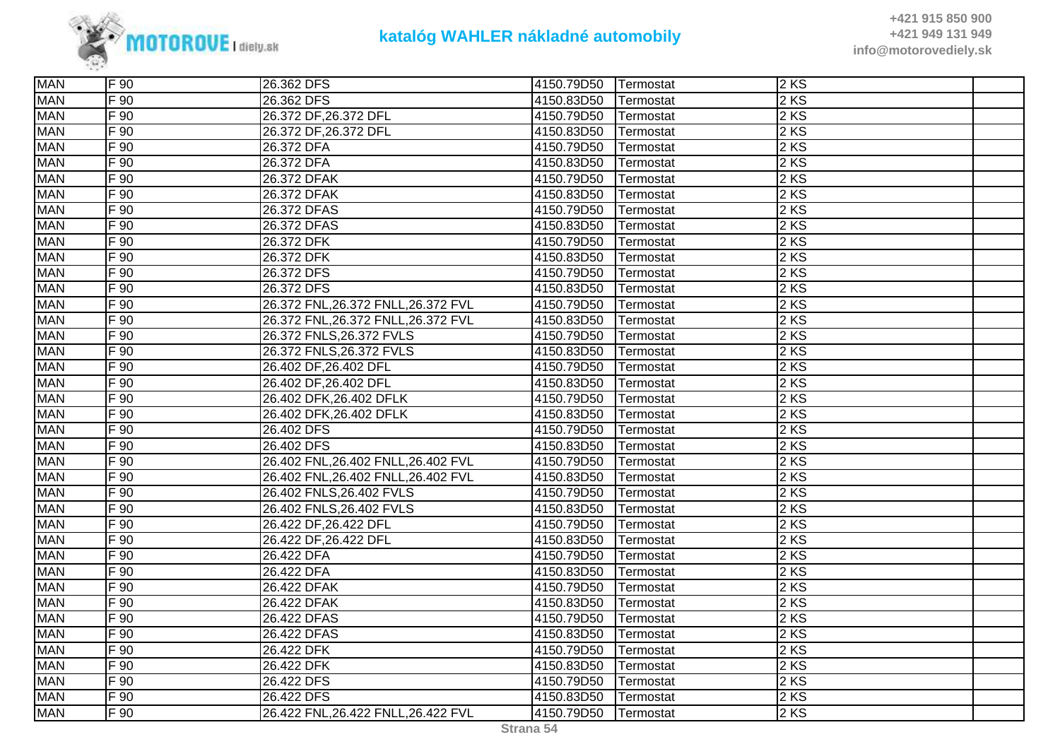

| <b>MAN</b> | F 90             | 26.362 DFS                          | 4150.79D50 | Termostat | 2KS               |  |
|------------|------------------|-------------------------------------|------------|-----------|-------------------|--|
| <b>MAN</b> | F 90             | 26.362 DFS                          | 4150.83D50 | Termostat | 2 KS              |  |
| <b>MAN</b> | F 90             | 26.372 DF, 26.372 DFL               | 4150.79D50 | Termostat | 2KS               |  |
| <b>MAN</b> | $F\overline{90}$ | 26.372 DF, 26.372 DFL               | 4150.83D50 | Termostat | 2 KS              |  |
| <b>MAN</b> | F 90             | 26.372 DFA                          | 4150.79D50 | Termostat | 2 KS              |  |
| <b>MAN</b> | $F\overline{90}$ | 26.372 DFA                          | 4150.83D50 | Termostat | 2 KS              |  |
| <b>MAN</b> | $F$ 90           | 26.372 DFAK                         | 4150.79D50 | Termostat | 2 KS              |  |
| <b>MAN</b> | $F$ 90           | 26.372 DFAK                         | 4150.83D50 | Termostat | 2 KS              |  |
| <b>MAN</b> | $F\overline{90}$ | 26.372 DFAS                         | 4150.79D50 | Termostat | 2 KS              |  |
| <b>MAN</b> | F90              | 26.372 DFAS                         | 4150.83D50 | Termostat | 2KS               |  |
| <b>MAN</b> | F90              | 26.372 DFK                          | 4150.79D50 | Termostat | 2 KS              |  |
| <b>MAN</b> | F 90             | 26.372 DFK                          | 4150.83D50 | Termostat | 2KS               |  |
| <b>MAN</b> | $F\overline{90}$ | 26.372 DFS                          | 4150.79D50 | Termostat | 2 KS              |  |
| <b>MAN</b> | F 90             | 26.372 DFS                          | 4150.83D50 | Termostat | 2 KS              |  |
| <b>MAN</b> | F 90             | 26.372 FNL, 26.372 FNLL, 26.372 FVL | 4150.79D50 | Termostat | 2KS               |  |
| <b>MAN</b> | $F\overline{90}$ | 26.372 FNL, 26.372 FNLL, 26.372 FVL | 4150.83D50 | Termostat | $2 K\overline{S}$ |  |
| <b>MAN</b> | $F$ 90           | 26.372 FNLS, 26.372 FVLS            | 4150.79D50 | Termostat | 2 KS              |  |
| <b>MAN</b> | $F\overline{90}$ | 26.372 FNLS, 26.372 FVLS            | 4150.83D50 | Termostat | 2 KS              |  |
| <b>MAN</b> | F 90             | 26.402 DF, 26.402 DFL               | 4150.79D50 | Termostat | 2 KS              |  |
| <b>MAN</b> | $F$ 90           | 26.402 DF, 26.402 DFL               | 4150.83D50 | Termostat | 2 KS              |  |
| <b>MAN</b> | $F\overline{90}$ | 26.402 DFK, 26.402 DFLK             | 4150.79D50 | Termostat | 2KS               |  |
| <b>MAN</b> | $F\overline{90}$ | 26.402 DFK, 26.402 DFLK             | 4150.83D50 | Termostat | 2 KS              |  |
| <b>MAN</b> | $F_{90}$         | 26.402 DFS                          | 4150.79D50 | Termostat | 2 KS              |  |
| <b>MAN</b> | $F$ 90           | 26.402 DFS                          | 4150.83D50 | Termostat | 2 KS              |  |
| <b>MAN</b> | $F_{90}$         | 26.402 FNL,26.402 FNLL,26.402 FVL   | 4150.79D50 | Termostat | 2 KS              |  |
| <b>MAN</b> | F 90             | 26.402 FNL,26.402 FNLL,26.402 FVL   | 4150.83D50 | Termostat | 2KS               |  |
| <b>MAN</b> | F 90             | 26.402 FNLS, 26.402 FVLS            | 4150.79D50 | Termostat | 2KS               |  |
| <b>MAN</b> | F 90             | 26.402 FNLS, 26.402 FVLS            | 4150.83D50 | Termostat | 2 KS              |  |
| <b>MAN</b> | $F\overline{90}$ | 26.422 DF, 26.422 DFL               | 4150.79D50 | Termostat | 2 KS              |  |
| <b>MAN</b> | $F\overline{90}$ | 26.422 DF, 26.422 DFL               | 4150.83D50 | Termostat | 2 KS              |  |
| <b>MAN</b> | F 90             | 26.422 DFA                          | 4150.79D50 | Termostat | 2 KS              |  |
| <b>MAN</b> | $F\overline{90}$ | 26.422 DFA                          | 4150.83D50 | Termostat | 2 KS              |  |
| <b>MAN</b> | F 90             | 26.422 DFAK                         | 4150.79D50 | Termostat | 2KS               |  |
| <b>MAN</b> | F 90             | 26.422 DFAK                         | 4150.83D50 | Termostat | 2 KS              |  |
| <b>MAN</b> | $F\overline{90}$ | 26.422 DFAS                         | 4150.79D50 | Termostat | 2 KS              |  |
| <b>MAN</b> | $F$ 90           | 26.422 DFAS                         | 4150.83D50 | Termostat | 2 KS              |  |
| <b>MAN</b> | $F$ 90           | 26.422 DFK                          | 4150.79D50 | Termostat | 2 KS              |  |
| <b>MAN</b> | $F$ 90           | 26.422 DFK                          | 4150.83D50 | Termostat | 2 KS              |  |
| <b>MAN</b> | $F\overline{90}$ | 26.422 DFS                          | 4150.79D50 | Termostat | 2 KS              |  |
| <b>MAN</b> | F 90             | 26.422 DFS                          | 4150.83D50 | Termostat | 2KS               |  |
| <b>MAN</b> | F 90             | 26.422 FNL, 26.422 FNLL, 26.422 FVL | 4150.79D50 | Termostat | 2KS               |  |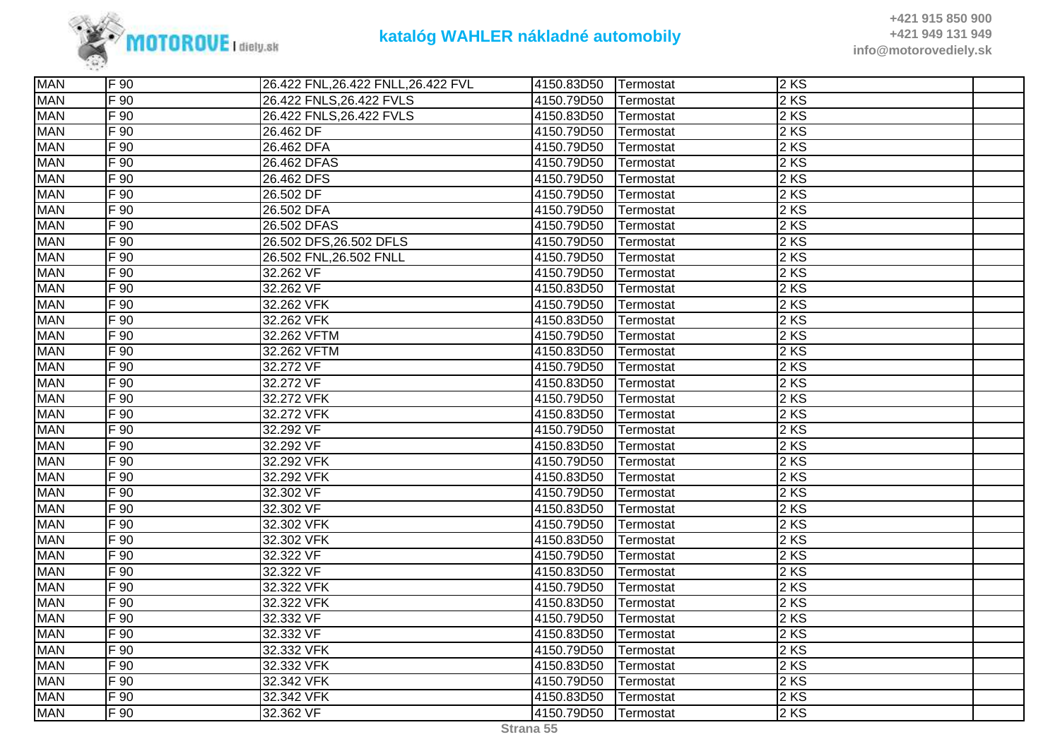

| <b>MAN</b><br>F 90<br>26.422 FNL, 26.422 FNLL, 26.422 FVL<br>$2$ KS<br>4150.83D50<br>Termostat<br><b>MAN</b><br>$F$ 90<br>26.422 FNLS, 26.422 FVLS<br>2 KS<br>4150.79D50<br>Termostat<br>2 KS<br><b>MAN</b><br>F 90<br>26.422 FNLS, 26.422 FVLS<br>4150.83D50<br>Termostat<br>2 KS<br><b>MAN</b><br>$F$ 90<br>4150.79D50<br>26.462 DF<br>Termostat<br>F 90<br><b>MAN</b><br>4150.79D50<br>2KS<br>26.462 DFA<br>Termostat<br><b>MAN</b><br>$F_{90}$<br>2 KS<br>26.462 DFAS<br>4150.79D50<br>Termostat<br><b>MAN</b><br>$F\overline{90}$<br>26.462 DFS<br>4150.79D50<br>2 KS<br>Termostat<br><b>MAN</b><br>$F\overline{90}$<br>2 KS<br>26.502 DF<br>4150.79D50<br>Termostat<br><b>MAN</b><br>2 KS<br>F 90<br>4150.79D50<br>26.502 DFA<br>Termostat<br><b>MAN</b><br>$F\overline{90}$<br>26.502 DFAS<br>2 KS<br>4150.79D50<br>Termostat<br>2 KS<br><b>MAN</b><br>F 90<br>26.502 DFS, 26.502 DFLS<br>4150.79D50<br>Termostat<br><b>MAN</b><br>F 90<br>$2$ KS<br>26.502 FNL, 26.502 FNLL<br>4150.79D50<br>Termostat<br>2 KS<br><b>MAN</b><br>$F_{90}$<br>32.262 VF<br>4150.79D50<br>Termostat<br><b>MAN</b><br>2 KS<br>$F_{90}$<br>32.262 VF<br>4150.83D50<br>Termostat<br>2 KS<br><b>MAN</b><br>F 90<br>32.262 VFK<br>4150.79D50<br>Termostat<br>$F\overline{90}$<br>2 KS<br><b>MAN</b><br>32.262 VFK<br>4150.83D50<br>Termostat<br>2 KS<br><b>MAN</b><br>$F$ 90<br>32.262 VFTM<br>4150.79D50<br>Termostat<br><b>MAN</b><br>2 KS<br>F 90<br>32.262 VFTM<br>4150.83D50<br>Termostat<br>2 KS<br><b>MAN</b><br>F 90<br>32.272 VF<br>4150.79D50<br>Termostat<br><b>MAN</b><br>$F_{90}$<br>32.272 VF<br>2 KS<br>4150.83D50<br>Termostat<br><b>MAN</b><br>F 90<br>32.272 VFK<br>2KS<br>4150.79D50<br>Termostat<br>F 90<br>2 KS<br><b>MAN</b><br>32.272 VFK<br>4150.83D50<br>Termostat<br><b>MAN</b><br>$F\overline{90}$<br>32.292 VF<br>4150.79D50<br>2 KS<br>Termostat<br><b>MAN</b><br>2 KS<br>$F$ 90<br>32.292 VF<br>4150.83D50<br>Termostat<br><b>MAN</b><br>2 KS<br>F 90<br>32.292 VFK<br>4150.79D50<br>Termostat<br>F 90<br>2KS<br><b>MAN</b><br>32.292 VFK<br>4150.83D50<br>Termostat<br><b>MAN</b><br>$F\overline{90}$<br>4150.79D50<br>2 KS<br>32.302 VF<br>Termostat<br><b>MAN</b><br>$F\overline{90}$<br>2 KS<br>32.302 VF<br>4150.83D50<br>Termostat<br>2 KS<br><b>MAN</b><br>$F_{90}$<br>4150.79D50<br>32.302 VFK<br>Termostat<br><b>MAN</b><br>2 KS<br>$F_{90}$<br>32.302 VFK<br>4150.83D50<br>Termostat<br><b>MAN</b><br>F 90<br>32.322 VF<br>4150.79D50<br>2KS<br>Termostat<br>$F\overline{90}$<br>2 KS<br><b>MAN</b><br>32.322 VF<br>4150.83D50<br>Termostat<br>2 KS<br><b>MAN</b><br>F 90<br>32.322 VFK<br>4150.79D50<br>Termostat<br><b>MAN</b><br>2 KS<br>$F$ 90<br>32.322 VFK<br>4150.83D50<br>Termostat<br><b>MAN</b><br>4150.79D50<br>2 KS<br>F 90<br>32.332 VF<br>Termostat<br><b>MAN</b><br>2 KS<br>F 90<br>32.332 VF<br>4150.83D50<br>Termostat<br><b>MAN</b><br>$F$ 90<br>2 KS<br>32.332 VFK<br>4150.79D50<br>Termostat<br><b>MAN</b><br>F 90<br>2KS<br>32.332 VFK<br>4150.83D50<br>Termostat<br><b>MAN</b><br>$F$ 90<br>32.342 VFK<br>2 KS<br>4150.79D50<br>Termostat<br><b>MAN</b><br>F 90<br>32.342 VFK<br>$2$ KS<br>4150.83D50<br>Termostat<br><b>MAN</b><br>F 90<br>4150.79D50<br>$2$ KS<br>32.362 VF<br>Termostat |  |  |  |  |
|------------------------------------------------------------------------------------------------------------------------------------------------------------------------------------------------------------------------------------------------------------------------------------------------------------------------------------------------------------------------------------------------------------------------------------------------------------------------------------------------------------------------------------------------------------------------------------------------------------------------------------------------------------------------------------------------------------------------------------------------------------------------------------------------------------------------------------------------------------------------------------------------------------------------------------------------------------------------------------------------------------------------------------------------------------------------------------------------------------------------------------------------------------------------------------------------------------------------------------------------------------------------------------------------------------------------------------------------------------------------------------------------------------------------------------------------------------------------------------------------------------------------------------------------------------------------------------------------------------------------------------------------------------------------------------------------------------------------------------------------------------------------------------------------------------------------------------------------------------------------------------------------------------------------------------------------------------------------------------------------------------------------------------------------------------------------------------------------------------------------------------------------------------------------------------------------------------------------------------------------------------------------------------------------------------------------------------------------------------------------------------------------------------------------------------------------------------------------------------------------------------------------------------------------------------------------------------------------------------------------------------------------------------------------------------------------------------------------------------------------------------------------------------------------------------------------------------------------------------------------------------------------------------------------------------------------------------------------------------------------------------------------------------------------------------------------------------------------------------------------------------------------------------------------------------------------------------------------------------------|--|--|--|--|
|                                                                                                                                                                                                                                                                                                                                                                                                                                                                                                                                                                                                                                                                                                                                                                                                                                                                                                                                                                                                                                                                                                                                                                                                                                                                                                                                                                                                                                                                                                                                                                                                                                                                                                                                                                                                                                                                                                                                                                                                                                                                                                                                                                                                                                                                                                                                                                                                                                                                                                                                                                                                                                                                                                                                                                                                                                                                                                                                                                                                                                                                                                                                                                                                                                          |  |  |  |  |
|                                                                                                                                                                                                                                                                                                                                                                                                                                                                                                                                                                                                                                                                                                                                                                                                                                                                                                                                                                                                                                                                                                                                                                                                                                                                                                                                                                                                                                                                                                                                                                                                                                                                                                                                                                                                                                                                                                                                                                                                                                                                                                                                                                                                                                                                                                                                                                                                                                                                                                                                                                                                                                                                                                                                                                                                                                                                                                                                                                                                                                                                                                                                                                                                                                          |  |  |  |  |
|                                                                                                                                                                                                                                                                                                                                                                                                                                                                                                                                                                                                                                                                                                                                                                                                                                                                                                                                                                                                                                                                                                                                                                                                                                                                                                                                                                                                                                                                                                                                                                                                                                                                                                                                                                                                                                                                                                                                                                                                                                                                                                                                                                                                                                                                                                                                                                                                                                                                                                                                                                                                                                                                                                                                                                                                                                                                                                                                                                                                                                                                                                                                                                                                                                          |  |  |  |  |
|                                                                                                                                                                                                                                                                                                                                                                                                                                                                                                                                                                                                                                                                                                                                                                                                                                                                                                                                                                                                                                                                                                                                                                                                                                                                                                                                                                                                                                                                                                                                                                                                                                                                                                                                                                                                                                                                                                                                                                                                                                                                                                                                                                                                                                                                                                                                                                                                                                                                                                                                                                                                                                                                                                                                                                                                                                                                                                                                                                                                                                                                                                                                                                                                                                          |  |  |  |  |
|                                                                                                                                                                                                                                                                                                                                                                                                                                                                                                                                                                                                                                                                                                                                                                                                                                                                                                                                                                                                                                                                                                                                                                                                                                                                                                                                                                                                                                                                                                                                                                                                                                                                                                                                                                                                                                                                                                                                                                                                                                                                                                                                                                                                                                                                                                                                                                                                                                                                                                                                                                                                                                                                                                                                                                                                                                                                                                                                                                                                                                                                                                                                                                                                                                          |  |  |  |  |
|                                                                                                                                                                                                                                                                                                                                                                                                                                                                                                                                                                                                                                                                                                                                                                                                                                                                                                                                                                                                                                                                                                                                                                                                                                                                                                                                                                                                                                                                                                                                                                                                                                                                                                                                                                                                                                                                                                                                                                                                                                                                                                                                                                                                                                                                                                                                                                                                                                                                                                                                                                                                                                                                                                                                                                                                                                                                                                                                                                                                                                                                                                                                                                                                                                          |  |  |  |  |
|                                                                                                                                                                                                                                                                                                                                                                                                                                                                                                                                                                                                                                                                                                                                                                                                                                                                                                                                                                                                                                                                                                                                                                                                                                                                                                                                                                                                                                                                                                                                                                                                                                                                                                                                                                                                                                                                                                                                                                                                                                                                                                                                                                                                                                                                                                                                                                                                                                                                                                                                                                                                                                                                                                                                                                                                                                                                                                                                                                                                                                                                                                                                                                                                                                          |  |  |  |  |
|                                                                                                                                                                                                                                                                                                                                                                                                                                                                                                                                                                                                                                                                                                                                                                                                                                                                                                                                                                                                                                                                                                                                                                                                                                                                                                                                                                                                                                                                                                                                                                                                                                                                                                                                                                                                                                                                                                                                                                                                                                                                                                                                                                                                                                                                                                                                                                                                                                                                                                                                                                                                                                                                                                                                                                                                                                                                                                                                                                                                                                                                                                                                                                                                                                          |  |  |  |  |
|                                                                                                                                                                                                                                                                                                                                                                                                                                                                                                                                                                                                                                                                                                                                                                                                                                                                                                                                                                                                                                                                                                                                                                                                                                                                                                                                                                                                                                                                                                                                                                                                                                                                                                                                                                                                                                                                                                                                                                                                                                                                                                                                                                                                                                                                                                                                                                                                                                                                                                                                                                                                                                                                                                                                                                                                                                                                                                                                                                                                                                                                                                                                                                                                                                          |  |  |  |  |
|                                                                                                                                                                                                                                                                                                                                                                                                                                                                                                                                                                                                                                                                                                                                                                                                                                                                                                                                                                                                                                                                                                                                                                                                                                                                                                                                                                                                                                                                                                                                                                                                                                                                                                                                                                                                                                                                                                                                                                                                                                                                                                                                                                                                                                                                                                                                                                                                                                                                                                                                                                                                                                                                                                                                                                                                                                                                                                                                                                                                                                                                                                                                                                                                                                          |  |  |  |  |
|                                                                                                                                                                                                                                                                                                                                                                                                                                                                                                                                                                                                                                                                                                                                                                                                                                                                                                                                                                                                                                                                                                                                                                                                                                                                                                                                                                                                                                                                                                                                                                                                                                                                                                                                                                                                                                                                                                                                                                                                                                                                                                                                                                                                                                                                                                                                                                                                                                                                                                                                                                                                                                                                                                                                                                                                                                                                                                                                                                                                                                                                                                                                                                                                                                          |  |  |  |  |
|                                                                                                                                                                                                                                                                                                                                                                                                                                                                                                                                                                                                                                                                                                                                                                                                                                                                                                                                                                                                                                                                                                                                                                                                                                                                                                                                                                                                                                                                                                                                                                                                                                                                                                                                                                                                                                                                                                                                                                                                                                                                                                                                                                                                                                                                                                                                                                                                                                                                                                                                                                                                                                                                                                                                                                                                                                                                                                                                                                                                                                                                                                                                                                                                                                          |  |  |  |  |
|                                                                                                                                                                                                                                                                                                                                                                                                                                                                                                                                                                                                                                                                                                                                                                                                                                                                                                                                                                                                                                                                                                                                                                                                                                                                                                                                                                                                                                                                                                                                                                                                                                                                                                                                                                                                                                                                                                                                                                                                                                                                                                                                                                                                                                                                                                                                                                                                                                                                                                                                                                                                                                                                                                                                                                                                                                                                                                                                                                                                                                                                                                                                                                                                                                          |  |  |  |  |
|                                                                                                                                                                                                                                                                                                                                                                                                                                                                                                                                                                                                                                                                                                                                                                                                                                                                                                                                                                                                                                                                                                                                                                                                                                                                                                                                                                                                                                                                                                                                                                                                                                                                                                                                                                                                                                                                                                                                                                                                                                                                                                                                                                                                                                                                                                                                                                                                                                                                                                                                                                                                                                                                                                                                                                                                                                                                                                                                                                                                                                                                                                                                                                                                                                          |  |  |  |  |
|                                                                                                                                                                                                                                                                                                                                                                                                                                                                                                                                                                                                                                                                                                                                                                                                                                                                                                                                                                                                                                                                                                                                                                                                                                                                                                                                                                                                                                                                                                                                                                                                                                                                                                                                                                                                                                                                                                                                                                                                                                                                                                                                                                                                                                                                                                                                                                                                                                                                                                                                                                                                                                                                                                                                                                                                                                                                                                                                                                                                                                                                                                                                                                                                                                          |  |  |  |  |
|                                                                                                                                                                                                                                                                                                                                                                                                                                                                                                                                                                                                                                                                                                                                                                                                                                                                                                                                                                                                                                                                                                                                                                                                                                                                                                                                                                                                                                                                                                                                                                                                                                                                                                                                                                                                                                                                                                                                                                                                                                                                                                                                                                                                                                                                                                                                                                                                                                                                                                                                                                                                                                                                                                                                                                                                                                                                                                                                                                                                                                                                                                                                                                                                                                          |  |  |  |  |
|                                                                                                                                                                                                                                                                                                                                                                                                                                                                                                                                                                                                                                                                                                                                                                                                                                                                                                                                                                                                                                                                                                                                                                                                                                                                                                                                                                                                                                                                                                                                                                                                                                                                                                                                                                                                                                                                                                                                                                                                                                                                                                                                                                                                                                                                                                                                                                                                                                                                                                                                                                                                                                                                                                                                                                                                                                                                                                                                                                                                                                                                                                                                                                                                                                          |  |  |  |  |
|                                                                                                                                                                                                                                                                                                                                                                                                                                                                                                                                                                                                                                                                                                                                                                                                                                                                                                                                                                                                                                                                                                                                                                                                                                                                                                                                                                                                                                                                                                                                                                                                                                                                                                                                                                                                                                                                                                                                                                                                                                                                                                                                                                                                                                                                                                                                                                                                                                                                                                                                                                                                                                                                                                                                                                                                                                                                                                                                                                                                                                                                                                                                                                                                                                          |  |  |  |  |
|                                                                                                                                                                                                                                                                                                                                                                                                                                                                                                                                                                                                                                                                                                                                                                                                                                                                                                                                                                                                                                                                                                                                                                                                                                                                                                                                                                                                                                                                                                                                                                                                                                                                                                                                                                                                                                                                                                                                                                                                                                                                                                                                                                                                                                                                                                                                                                                                                                                                                                                                                                                                                                                                                                                                                                                                                                                                                                                                                                                                                                                                                                                                                                                                                                          |  |  |  |  |
|                                                                                                                                                                                                                                                                                                                                                                                                                                                                                                                                                                                                                                                                                                                                                                                                                                                                                                                                                                                                                                                                                                                                                                                                                                                                                                                                                                                                                                                                                                                                                                                                                                                                                                                                                                                                                                                                                                                                                                                                                                                                                                                                                                                                                                                                                                                                                                                                                                                                                                                                                                                                                                                                                                                                                                                                                                                                                                                                                                                                                                                                                                                                                                                                                                          |  |  |  |  |
|                                                                                                                                                                                                                                                                                                                                                                                                                                                                                                                                                                                                                                                                                                                                                                                                                                                                                                                                                                                                                                                                                                                                                                                                                                                                                                                                                                                                                                                                                                                                                                                                                                                                                                                                                                                                                                                                                                                                                                                                                                                                                                                                                                                                                                                                                                                                                                                                                                                                                                                                                                                                                                                                                                                                                                                                                                                                                                                                                                                                                                                                                                                                                                                                                                          |  |  |  |  |
|                                                                                                                                                                                                                                                                                                                                                                                                                                                                                                                                                                                                                                                                                                                                                                                                                                                                                                                                                                                                                                                                                                                                                                                                                                                                                                                                                                                                                                                                                                                                                                                                                                                                                                                                                                                                                                                                                                                                                                                                                                                                                                                                                                                                                                                                                                                                                                                                                                                                                                                                                                                                                                                                                                                                                                                                                                                                                                                                                                                                                                                                                                                                                                                                                                          |  |  |  |  |
|                                                                                                                                                                                                                                                                                                                                                                                                                                                                                                                                                                                                                                                                                                                                                                                                                                                                                                                                                                                                                                                                                                                                                                                                                                                                                                                                                                                                                                                                                                                                                                                                                                                                                                                                                                                                                                                                                                                                                                                                                                                                                                                                                                                                                                                                                                                                                                                                                                                                                                                                                                                                                                                                                                                                                                                                                                                                                                                                                                                                                                                                                                                                                                                                                                          |  |  |  |  |
|                                                                                                                                                                                                                                                                                                                                                                                                                                                                                                                                                                                                                                                                                                                                                                                                                                                                                                                                                                                                                                                                                                                                                                                                                                                                                                                                                                                                                                                                                                                                                                                                                                                                                                                                                                                                                                                                                                                                                                                                                                                                                                                                                                                                                                                                                                                                                                                                                                                                                                                                                                                                                                                                                                                                                                                                                                                                                                                                                                                                                                                                                                                                                                                                                                          |  |  |  |  |
|                                                                                                                                                                                                                                                                                                                                                                                                                                                                                                                                                                                                                                                                                                                                                                                                                                                                                                                                                                                                                                                                                                                                                                                                                                                                                                                                                                                                                                                                                                                                                                                                                                                                                                                                                                                                                                                                                                                                                                                                                                                                                                                                                                                                                                                                                                                                                                                                                                                                                                                                                                                                                                                                                                                                                                                                                                                                                                                                                                                                                                                                                                                                                                                                                                          |  |  |  |  |
|                                                                                                                                                                                                                                                                                                                                                                                                                                                                                                                                                                                                                                                                                                                                                                                                                                                                                                                                                                                                                                                                                                                                                                                                                                                                                                                                                                                                                                                                                                                                                                                                                                                                                                                                                                                                                                                                                                                                                                                                                                                                                                                                                                                                                                                                                                                                                                                                                                                                                                                                                                                                                                                                                                                                                                                                                                                                                                                                                                                                                                                                                                                                                                                                                                          |  |  |  |  |
|                                                                                                                                                                                                                                                                                                                                                                                                                                                                                                                                                                                                                                                                                                                                                                                                                                                                                                                                                                                                                                                                                                                                                                                                                                                                                                                                                                                                                                                                                                                                                                                                                                                                                                                                                                                                                                                                                                                                                                                                                                                                                                                                                                                                                                                                                                                                                                                                                                                                                                                                                                                                                                                                                                                                                                                                                                                                                                                                                                                                                                                                                                                                                                                                                                          |  |  |  |  |
|                                                                                                                                                                                                                                                                                                                                                                                                                                                                                                                                                                                                                                                                                                                                                                                                                                                                                                                                                                                                                                                                                                                                                                                                                                                                                                                                                                                                                                                                                                                                                                                                                                                                                                                                                                                                                                                                                                                                                                                                                                                                                                                                                                                                                                                                                                                                                                                                                                                                                                                                                                                                                                                                                                                                                                                                                                                                                                                                                                                                                                                                                                                                                                                                                                          |  |  |  |  |
|                                                                                                                                                                                                                                                                                                                                                                                                                                                                                                                                                                                                                                                                                                                                                                                                                                                                                                                                                                                                                                                                                                                                                                                                                                                                                                                                                                                                                                                                                                                                                                                                                                                                                                                                                                                                                                                                                                                                                                                                                                                                                                                                                                                                                                                                                                                                                                                                                                                                                                                                                                                                                                                                                                                                                                                                                                                                                                                                                                                                                                                                                                                                                                                                                                          |  |  |  |  |
|                                                                                                                                                                                                                                                                                                                                                                                                                                                                                                                                                                                                                                                                                                                                                                                                                                                                                                                                                                                                                                                                                                                                                                                                                                                                                                                                                                                                                                                                                                                                                                                                                                                                                                                                                                                                                                                                                                                                                                                                                                                                                                                                                                                                                                                                                                                                                                                                                                                                                                                                                                                                                                                                                                                                                                                                                                                                                                                                                                                                                                                                                                                                                                                                                                          |  |  |  |  |
|                                                                                                                                                                                                                                                                                                                                                                                                                                                                                                                                                                                                                                                                                                                                                                                                                                                                                                                                                                                                                                                                                                                                                                                                                                                                                                                                                                                                                                                                                                                                                                                                                                                                                                                                                                                                                                                                                                                                                                                                                                                                                                                                                                                                                                                                                                                                                                                                                                                                                                                                                                                                                                                                                                                                                                                                                                                                                                                                                                                                                                                                                                                                                                                                                                          |  |  |  |  |
|                                                                                                                                                                                                                                                                                                                                                                                                                                                                                                                                                                                                                                                                                                                                                                                                                                                                                                                                                                                                                                                                                                                                                                                                                                                                                                                                                                                                                                                                                                                                                                                                                                                                                                                                                                                                                                                                                                                                                                                                                                                                                                                                                                                                                                                                                                                                                                                                                                                                                                                                                                                                                                                                                                                                                                                                                                                                                                                                                                                                                                                                                                                                                                                                                                          |  |  |  |  |
|                                                                                                                                                                                                                                                                                                                                                                                                                                                                                                                                                                                                                                                                                                                                                                                                                                                                                                                                                                                                                                                                                                                                                                                                                                                                                                                                                                                                                                                                                                                                                                                                                                                                                                                                                                                                                                                                                                                                                                                                                                                                                                                                                                                                                                                                                                                                                                                                                                                                                                                                                                                                                                                                                                                                                                                                                                                                                                                                                                                                                                                                                                                                                                                                                                          |  |  |  |  |
|                                                                                                                                                                                                                                                                                                                                                                                                                                                                                                                                                                                                                                                                                                                                                                                                                                                                                                                                                                                                                                                                                                                                                                                                                                                                                                                                                                                                                                                                                                                                                                                                                                                                                                                                                                                                                                                                                                                                                                                                                                                                                                                                                                                                                                                                                                                                                                                                                                                                                                                                                                                                                                                                                                                                                                                                                                                                                                                                                                                                                                                                                                                                                                                                                                          |  |  |  |  |
|                                                                                                                                                                                                                                                                                                                                                                                                                                                                                                                                                                                                                                                                                                                                                                                                                                                                                                                                                                                                                                                                                                                                                                                                                                                                                                                                                                                                                                                                                                                                                                                                                                                                                                                                                                                                                                                                                                                                                                                                                                                                                                                                                                                                                                                                                                                                                                                                                                                                                                                                                                                                                                                                                                                                                                                                                                                                                                                                                                                                                                                                                                                                                                                                                                          |  |  |  |  |
|                                                                                                                                                                                                                                                                                                                                                                                                                                                                                                                                                                                                                                                                                                                                                                                                                                                                                                                                                                                                                                                                                                                                                                                                                                                                                                                                                                                                                                                                                                                                                                                                                                                                                                                                                                                                                                                                                                                                                                                                                                                                                                                                                                                                                                                                                                                                                                                                                                                                                                                                                                                                                                                                                                                                                                                                                                                                                                                                                                                                                                                                                                                                                                                                                                          |  |  |  |  |
|                                                                                                                                                                                                                                                                                                                                                                                                                                                                                                                                                                                                                                                                                                                                                                                                                                                                                                                                                                                                                                                                                                                                                                                                                                                                                                                                                                                                                                                                                                                                                                                                                                                                                                                                                                                                                                                                                                                                                                                                                                                                                                                                                                                                                                                                                                                                                                                                                                                                                                                                                                                                                                                                                                                                                                                                                                                                                                                                                                                                                                                                                                                                                                                                                                          |  |  |  |  |
|                                                                                                                                                                                                                                                                                                                                                                                                                                                                                                                                                                                                                                                                                                                                                                                                                                                                                                                                                                                                                                                                                                                                                                                                                                                                                                                                                                                                                                                                                                                                                                                                                                                                                                                                                                                                                                                                                                                                                                                                                                                                                                                                                                                                                                                                                                                                                                                                                                                                                                                                                                                                                                                                                                                                                                                                                                                                                                                                                                                                                                                                                                                                                                                                                                          |  |  |  |  |
|                                                                                                                                                                                                                                                                                                                                                                                                                                                                                                                                                                                                                                                                                                                                                                                                                                                                                                                                                                                                                                                                                                                                                                                                                                                                                                                                                                                                                                                                                                                                                                                                                                                                                                                                                                                                                                                                                                                                                                                                                                                                                                                                                                                                                                                                                                                                                                                                                                                                                                                                                                                                                                                                                                                                                                                                                                                                                                                                                                                                                                                                                                                                                                                                                                          |  |  |  |  |
|                                                                                                                                                                                                                                                                                                                                                                                                                                                                                                                                                                                                                                                                                                                                                                                                                                                                                                                                                                                                                                                                                                                                                                                                                                                                                                                                                                                                                                                                                                                                                                                                                                                                                                                                                                                                                                                                                                                                                                                                                                                                                                                                                                                                                                                                                                                                                                                                                                                                                                                                                                                                                                                                                                                                                                                                                                                                                                                                                                                                                                                                                                                                                                                                                                          |  |  |  |  |
|                                                                                                                                                                                                                                                                                                                                                                                                                                                                                                                                                                                                                                                                                                                                                                                                                                                                                                                                                                                                                                                                                                                                                                                                                                                                                                                                                                                                                                                                                                                                                                                                                                                                                                                                                                                                                                                                                                                                                                                                                                                                                                                                                                                                                                                                                                                                                                                                                                                                                                                                                                                                                                                                                                                                                                                                                                                                                                                                                                                                                                                                                                                                                                                                                                          |  |  |  |  |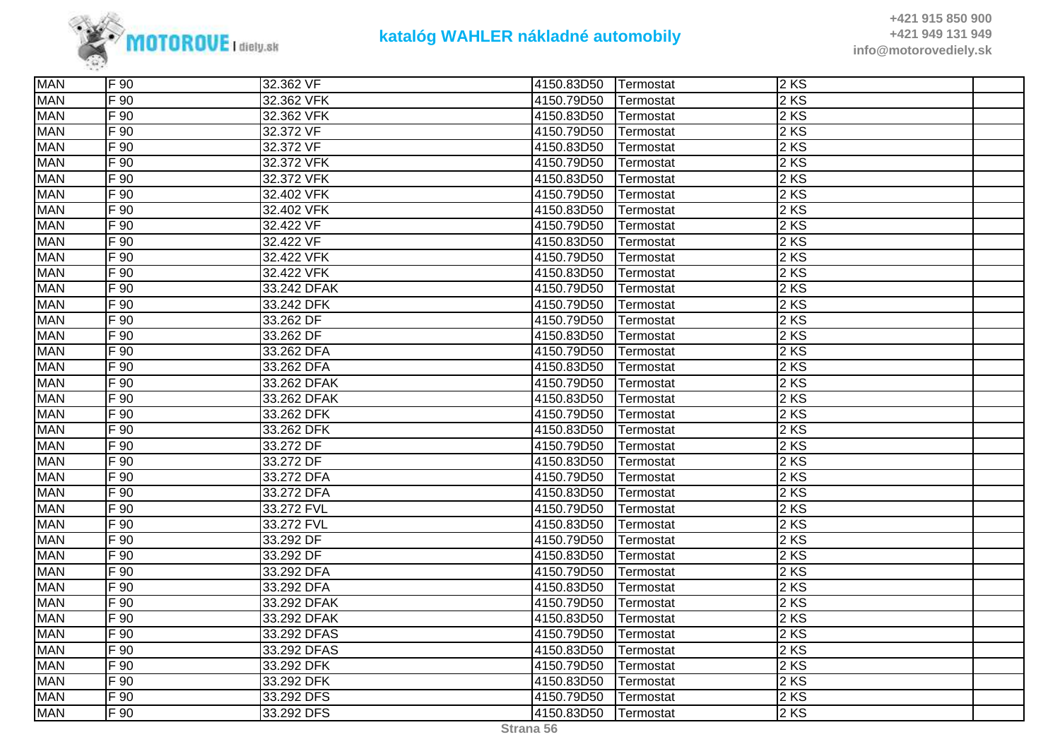

| <b>MAN</b> | F 90             | 32.362 VF   | 4150.83D50 | Termostat        | 2KS               |  |
|------------|------------------|-------------|------------|------------------|-------------------|--|
| <b>MAN</b> | F 90             | 32.362 VFK  | 4150.79D50 | <b>Termostat</b> | 2 KS              |  |
| <b>MAN</b> | F 90             | 32.362 VFK  | 4150.83D50 | Termostat        | 2 KS              |  |
| <b>MAN</b> | F 90             | 32.372 VF   | 4150.79D50 | Termostat        | $2 K\overline{S}$ |  |
| <b>MAN</b> | F 90             | 32.372 VF   | 4150.83D50 | Termostat        | 2KS               |  |
| <b>MAN</b> | $F_{90}$         | 32.372 VFK  | 4150.79D50 | Termostat        | 2 KS              |  |
| <b>MAN</b> | $F_{90}$         | 32.372 VFK  | 4150.83D50 | Termostat        | 2 KS              |  |
| <b>MAN</b> | F 90             | 32.402 VFK  | 4150.79D50 | Termostat        | 2KS               |  |
| <b>MAN</b> | F 90             | 32.402 VFK  | 4150.83D50 | Termostat        | 2KS               |  |
| <b>MAN</b> | $F_{90}$         | 32.422 VF   | 4150.79D50 | Termostat        | 2 KS              |  |
| <b>MAN</b> | F 90             | 32.422 VF   | 4150.83D50 | Termostat        | 2 KS              |  |
| <b>MAN</b> | F 90             | 32.422 VFK  | 4150.79D50 | Termostat        | 2 KS              |  |
| <b>MAN</b> | F 90             | 32.422 VFK  | 4150.83D50 | Termostat        | 2 KS              |  |
| <b>MAN</b> | F 90             | 33.242 DFAK | 4150.79D50 | Termostat        | 2 KS              |  |
| <b>MAN</b> | F 90             | 33.242 DFK  | 4150.79D50 | Termostat        | 2 KS              |  |
| <b>MAN</b> | F 90             | 33.262 DF   | 4150.79D50 | Termostat        | 2 KS              |  |
| <b>MAN</b> | F 90             | 33.262 DF   | 4150.83D50 | Termostat        | 2 KS              |  |
| <b>MAN</b> | $F_{90}$         | 33.262 DFA  | 4150.79D50 | Termostat        | 2 KS              |  |
| <b>MAN</b> | F 90             | 33.262 DFA  | 4150.83D50 | Termostat        | 2KS               |  |
| <b>MAN</b> | $F_{90}$         | 33.262 DFAK | 4150.79D50 | Termostat        | 2 KS              |  |
| <b>MAN</b> | $F_{90}$         | 33.262 DFAK | 4150.83D50 | Termostat        | 2 KS              |  |
| <b>MAN</b> | $F_{90}$         | 33.262 DFK  | 4150.79D50 | Termostat        | 2 KS              |  |
| <b>MAN</b> | $F_{90}$         | 33.262 DFK  | 4150.83D50 | Termostat        | 2 KS              |  |
| <b>MAN</b> | $F_{90}$         | 33.272 DF   | 4150.79D50 | Termostat        | 2 KS              |  |
| <b>MAN</b> | F 90             | 33.272 DF   | 4150.83D50 | Termostat        | 2 KS              |  |
| <b>MAN</b> | F 90             | 33.272 DFA  | 4150.79D50 | Termostat        | 2KS               |  |
| <b>MAN</b> | $F_{90}$         | 33.272 DFA  | 4150.83D50 | Termostat        | 2 KS              |  |
| <b>MAN</b> | $F_{90}$         | 33.272 FVL  | 4150.79D50 | Termostat        | 2 KS              |  |
| <b>MAN</b> | $F_{90}$         | 33.272 FVL  | 4150.83D50 | Termostat        | 2 KS              |  |
| <b>MAN</b> | F 90             | 33.292 DF   | 4150.79D50 | Termostat        | 2KS               |  |
| <b>MAN</b> | F 90             | 33.292 DF   | 4150.83D50 | Termostat        | 2 KS              |  |
| <b>MAN</b> | $F_{90}$         | 33.292 DFA  | 4150.79D50 | Termostat        | 2 KS              |  |
| <b>MAN</b> | $F_{90}$         | 33.292 DFA  | 4150.83D50 | Termostat        | 2 KS              |  |
| <b>MAN</b> | $F_{90}$         | 33.292 DFAK | 4150.79D50 | Termostat        | 2 KS              |  |
| <b>MAN</b> | F 90             | 33.292 DFAK | 4150.83D50 | Termostat        | 2 KS              |  |
| <b>MAN</b> | F 90             | 33.292 DFAS | 4150.79D50 | Termostat        | 2KS               |  |
| <b>MAN</b> | $F\overline{90}$ | 33.292 DFAS | 4150.83D50 | Termostat        | 2 KS              |  |
| <b>MAN</b> | F 90             | 33.292 DFK  | 4150.79D50 | Termostat        | 2 KS              |  |
| <b>MAN</b> | F 90             | 33.292 DFK  | 4150.83D50 | Termostat        | 2 KS              |  |
| <b>MAN</b> | F 90             | 33.292 DFS  | 4150.79D50 | Termostat        | 2KS               |  |
| <b>MAN</b> | $F_{90}$         | 33.292 DFS  | 4150.83D50 | Termostat        | 2KS               |  |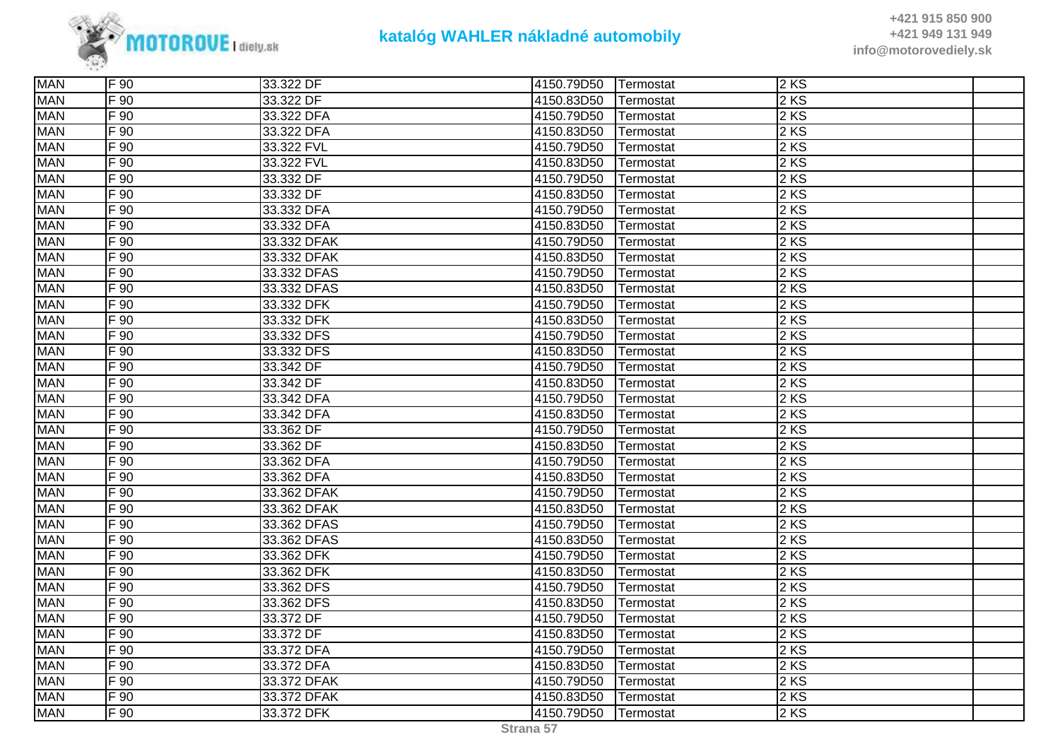

| <b>MAN</b> | F 90              | 33.322 DF   | 4150.79D50 | Termostat | 2KS    |  |
|------------|-------------------|-------------|------------|-----------|--------|--|
| <b>MAN</b> | F 90              | 33.322 DF   | 4150.83D50 | Termostat | 2 KS   |  |
| <b>MAN</b> | F 90              | 33.322 DFA  | 4150.79D50 | Termostat | 2 KS   |  |
| <b>MAN</b> | $F\overline{90}$  | 33.322 DFA  | 4150.83D50 | Termostat | 2 KS   |  |
| <b>MAN</b> | F 90              | 33.322 FVL  | 4150.79D50 | Termostat | 2 KS   |  |
| <b>MAN</b> | F 90              | 33.322 FVL  | 4150.83D50 | Termostat | $2$ KS |  |
| <b>MAN</b> | F 90              | 33.332 DF   | 4150.79D50 | Termostat | 2 KS   |  |
| <b>MAN</b> | F 90              | 33.332 DF   | 4150.83D50 | Termostat | 2 KS   |  |
| <b>MAN</b> | $F\overline{90}$  | 33.332 DFA  | 4150.79D50 | Termostat | 2 KS   |  |
| <b>MAN</b> | $F$ 90            | 33.332 DFA  | 4150.83D50 | Termostat | 2 KS   |  |
| <b>MAN</b> | F 90              | 33.332 DFAK | 4150.79D50 | Termostat | 2 KS   |  |
| <b>MAN</b> | F 90              | 33.332 DFAK | 4150.83D50 | Termostat | 2 KS   |  |
| <b>MAN</b> | F 90              | 33.332 DFAS | 4150.79D50 | Termostat | 2 KS   |  |
| <b>MAN</b> | F 90              | 33.332 DFAS | 4150.83D50 | Termostat | 2 KS   |  |
| <b>MAN</b> | $F\overline{90}$  | 33.332 DFK  | 4150.79D50 | Termostat | 2 KS   |  |
| <b>MAN</b> | F 90              | 33.332 DFK  | 4150.83D50 | Termostat | 2 KS   |  |
| <b>MAN</b> | $F\overline{90}$  | 33.332 DFS  | 4150.79D50 | Termostat | 2 KS   |  |
| <b>MAN</b> | F 90              | 33.332 DFS  | 4150.83D50 | Termostat | 2 KS   |  |
| <b>MAN</b> | F 90              | 33.342 DF   | 4150.79D50 | Termostat | 2 KS   |  |
| <b>MAN</b> | $F\overline{90}$  | 33.342 DF   | 4150.83D50 | Termostat | 2 KS   |  |
| <b>MAN</b> | F90               | 33.342 DFA  | 4150.79D50 | Termostat | 2 KS   |  |
| <b>MAN</b> | F 90              | 33.342 DFA  | 4150.83D50 | Termostat | 2 KS   |  |
| <b>MAN</b> | $F\overline{90}$  | 33.362 DF   | 4150.79D50 | Termostat | 2 KS   |  |
| <b>MAN</b> | $\overline{F}$ 90 | 33.362 DF   | 4150.83D50 | Termostat | 2 KS   |  |
| <b>MAN</b> | F 90              | 33.362 DFA  | 4150.79D50 | Termostat | 2 KS   |  |
| <b>MAN</b> | F 90              | 33.362 DFA  | 4150.83D50 | Termostat | 2 KS   |  |
| <b>MAN</b> | F 90              | 33.362 DFAK | 4150.79D50 | Termostat | 2 KS   |  |
| <b>MAN</b> | $F\overline{90}$  | 33.362 DFAK | 4150.83D50 | Termostat | 2 KS   |  |
| <b>MAN</b> | F 90              | 33.362 DFAS | 4150.79D50 | Termostat | 2 KS   |  |
| <b>MAN</b> | F 90              | 33.362 DFAS | 4150.83D50 | Termostat | 2 KS   |  |
| <b>MAN</b> | F 90              | 33.362 DFK  | 4150.79D50 | Termostat | 2 KS   |  |
| <b>MAN</b> | F 90              | 33.362 DFK  | 4150.83D50 | Termostat | 2 KS   |  |
| <b>MAN</b> | F 90              | 33.362 DFS  | 4150.79D50 | Termostat | 2 KS   |  |
| <b>MAN</b> | F 90              | 33.362 DFS  | 4150.83D50 | Termostat | 2 KS   |  |
| <b>MAN</b> | F 90              | 33.372 DF   | 4150.79D50 | Termostat | 2 KS   |  |
| <b>MAN</b> | F 90              | 33.372 DF   | 4150.83D50 | Termostat | 2 KS   |  |
| <b>MAN</b> | F 90              | 33.372 DFA  | 4150.79D50 | Termostat | 2 KS   |  |
| <b>MAN</b> | F 90              | 33.372 DFA  | 4150.83D50 | Termostat | 2 KS   |  |
| <b>MAN</b> | F 90              | 33.372 DFAK | 4150.79D50 | Termostat | 2 KS   |  |
| <b>MAN</b> | F 90              | 33.372 DFAK | 4150.83D50 | Termostat | 2KS    |  |
| <b>MAN</b> | $F\overline{90}$  | 33.372 DFK  | 4150.79D50 | Termostat | 2 KS   |  |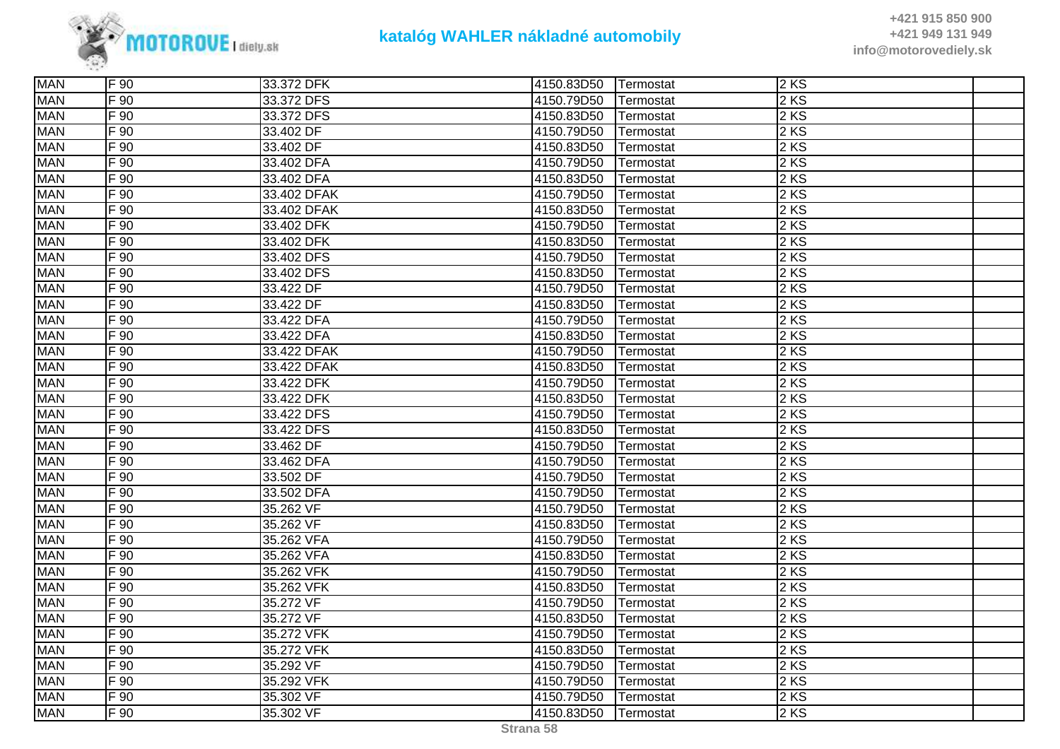

| <b>MAN</b> | F 90              | 33.372 DFK  | 4150.83D50 | Termostat | $2$ KS |  |
|------------|-------------------|-------------|------------|-----------|--------|--|
| <b>MAN</b> | F 90              | 33.372 DFS  | 4150.79D50 | Termostat | 2 KS   |  |
| <b>MAN</b> | F 90              | 33.372 DFS  | 4150.83D50 | Termostat | 2 KS   |  |
| <b>MAN</b> | F 90              | 33.402 DF   | 4150.79D50 | Termostat | 2 KS   |  |
| <b>MAN</b> | F 90              | 33.402 DF   | 4150.83D50 | Termostat | $2$ KS |  |
| <b>MAN</b> | $\overline{F}$ 90 | 33.402 DFA  | 4150.79D50 | Termostat | $2$ KS |  |
| <b>MAN</b> | F 90              | 33.402 DFA  | 4150.83D50 | Termostat | 2 KS   |  |
| <b>MAN</b> | $F_{90}$          | 33.402 DFAK | 4150.79D50 | Termostat | $2$ KS |  |
| <b>MAN</b> | $F_{90}$          | 33.402 DFAK | 4150.83D50 | Termostat | $2$ KS |  |
| <b>MAN</b> | F 90              | 33.402 DFK  | 4150.79D50 | Termostat | 2KS    |  |
| <b>MAN</b> | $\overline{F}$ 90 | 33.402 DFK  | 4150.83D50 | Termostat | 2 KS   |  |
| <b>MAN</b> | $F_{90}$          | 33.402 DFS  | 4150.79D50 | Termostat | 2 KS   |  |
| <b>MAN</b> | $F_{90}$          | 33.402 DFS  | 4150.83D50 | Termostat | 2 KS   |  |
| <b>MAN</b> | $\mathsf{F}$ 90   | 33.422 DF   | 4150.79D50 | Termostat | $2$ KS |  |
| <b>MAN</b> | F 90              | 33.422 DF   | 4150.83D50 | Termostat | 2KS    |  |
| <b>MAN</b> | $F_{90}$          | 33.422 DFA  | 4150.79D50 | Termostat | 2 KS   |  |
| <b>MAN</b> | $F_{90}$          | 33.422 DFA  | 4150.83D50 | Termostat | 2 KS   |  |
| <b>MAN</b> | F 90              | 33.422 DFAK | 4150.79D50 | Termostat | $2$ KS |  |
| <b>MAN</b> | F 90              | 33.422 DFAK | 4150.83D50 | Termostat | 2KS    |  |
| <b>MAN</b> | F 90              | 33.422 DFK  | 4150.79D50 | Termostat | 2 KS   |  |
| <b>MAN</b> | $F_{90}$          | 33.422 DFK  | 4150.83D50 | Termostat | $2$ KS |  |
| <b>MAN</b> | $\overline{F}$ 90 | 33.422 DFS  | 4150.79D50 | Termostat | $2$ KS |  |
| <b>MAN</b> | $F_{90}$          | 33.422 DFS  | 4150.83D50 | Termostat | 2 KS   |  |
| <b>MAN</b> | $F_{90}$          | 33.462 DF   | 4150.79D50 | Termostat | 2 KS   |  |
| <b>MAN</b> | $F_{90}$          | 33.462 DFA  | 4150.79D50 | Termostat | $2$ KS |  |
| <b>MAN</b> | F 90              | 33.502 DF   | 4150.79D50 | Termostat | 2KS    |  |
| <b>MAN</b> | $F_{90}$          | 33.502 DFA  | 4150.79D50 | Termostat | $2$ KS |  |
| <b>MAN</b> | F 90              | 35.262 VF   | 4150.79D50 | Termostat | $2$ KS |  |
| <b>MAN</b> | $F_{90}$          | 35.262 VF   | 4150.83D50 | Termostat | 2 KS   |  |
| <b>MAN</b> | F 90              | 35.262 VFA  | 4150.79D50 | Termostat | 2 KS   |  |
| <b>MAN</b> | F 90              | 35.262 VFA  | 4150.83D50 | Termostat | 2 KS   |  |
| <b>MAN</b> | F 90              | 35.262 VFK  | 4150.79D50 | Termostat | 2 KS   |  |
| <b>MAN</b> | $\mathsf{F}$ 90   | 35.262 VFK  | 4150.83D50 | Termostat | $2$ KS |  |
| <b>MAN</b> | F 90              | 35.272 VF   | 4150.79D50 | Termostat | 2 KS   |  |
| <b>MAN</b> | $F_{90}$          | 35.272 VF   | 4150.83D50 | Termostat | $2$ KS |  |
| <b>MAN</b> | F 90              | 35.272 VFK  | 4150.79D50 | Termostat | $2$ KS |  |
| <b>MAN</b> | F 90              | 35.272 VFK  | 4150.83D50 | Termostat | 2KS    |  |
| <b>MAN</b> | F 90              | 35.292 VF   | 4150.79D50 | Termostat | $2$ KS |  |
| <b>MAN</b> | F 90              | 35.292 VFK  | 4150.79D50 | Termostat | $2$ KS |  |
| <b>MAN</b> | F 90              | 35.302 VF   | 4150.79D50 | Termostat | 2 KS   |  |
| <b>MAN</b> | F 90              | 35.302 VF   | 4150.83D50 | Termostat | 2KS    |  |
|            |                   |             |            |           |        |  |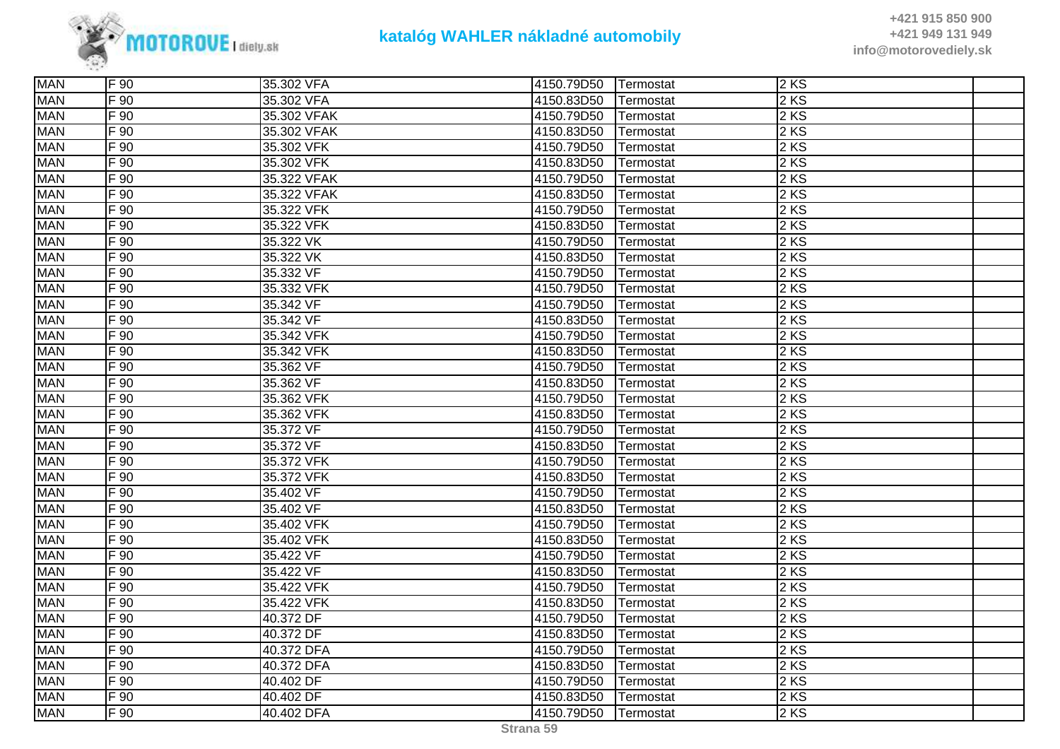

| <b>MAN</b> | F 90            | 35.302 VFA  | 4150.79D50 | Termostat | 2KS               |  |
|------------|-----------------|-------------|------------|-----------|-------------------|--|
| <b>MAN</b> | F 90            | 35.302 VFA  | 4150.83D50 | Termostat | 2 KS              |  |
| <b>MAN</b> | $F_{90}$        | 35.302 VFAK | 4150.79D50 | Termostat | 2 KS              |  |
| <b>MAN</b> | F 90            | 35.302 VFAK | 4150.83D50 | Termostat | 2 KS              |  |
| <b>MAN</b> | $\mathsf{F}$ 90 | 35.302 VFK  | 4150.79D50 | Termostat | 2KS               |  |
| <b>MAN</b> | F 90            | 35.302 VFK  | 4150.83D50 | Termostat | 2 KS              |  |
| <b>MAN</b> | F 90            | 35.322 VFAK | 4150.79D50 | Termostat | 2 KS              |  |
| <b>MAN</b> | F 90            | 35.322 VFAK | 4150.83D50 | Termostat | 2 KS              |  |
| <b>MAN</b> | F 90            | 35.322 VFK  | 4150.79D50 | Termostat | 2KS               |  |
| <b>MAN</b> | F 90            | 35.322 VFK  | 4150.83D50 | Termostat | 2 KS              |  |
| <b>MAN</b> | $F_{90}$        | 35.322 VK   | 4150.79D50 | Termostat | 2 KS              |  |
| <b>MAN</b> | F 90            | 35.322 VK   | 4150.83D50 | Termostat | 2 KS              |  |
| <b>MAN</b> | $F_{90}$        | 35.332 VF   | 4150.79D50 | Termostat | 2 KS              |  |
| <b>MAN</b> | F 90            | 35.332 VFK  | 4150.79D50 | Termostat | 2KS               |  |
| <b>MAN</b> | F 90            | 35.342 VF   | 4150.79D50 | Termostat | 2KS               |  |
| <b>MAN</b> | $F_{90}$        | 35.342 VF   | 4150.83D50 | Termostat | 2 KS              |  |
| <b>MAN</b> | $F_{90}$        | 35.342 VFK  | 4150.79D50 | Termostat | 2 KS              |  |
| <b>MAN</b> | $F_{90}$        | 35.342 VFK  | 4150.83D50 | Termostat | 2 KS              |  |
| <b>MAN</b> | F 90            | 35.362 VF   | 4150.79D50 | Termostat | 2KS               |  |
| <b>MAN</b> | F 90            | 35.362 VF   | 4150.83D50 | Termostat | 2KS               |  |
| <b>MAN</b> | F 90            | 35.362 VFK  | 4150.79D50 | Termostat | 2 KS              |  |
| <b>MAN</b> | $F_{90}$        | 35.362 VFK  | 4150.83D50 | Termostat | 2 KS              |  |
| <b>MAN</b> | F 90            | 35.372 VF   | 4150.79D50 | Termostat | 2 KS              |  |
| <b>MAN</b> | F 90            | 35.372 VF   | 4150.83D50 | Termostat | 2 KS              |  |
| <b>MAN</b> | F 90            | 35.372 VFK  | 4150.79D50 | Termostat | $\overline{2}$ KS |  |
| <b>MAN</b> | F 90            | 35.372 VFK  | 4150.83D50 | Termostat | 2KS               |  |
| <b>MAN</b> | $F_{90}$        | 35.402 VF   | 4150.79D50 | Termostat | 2 KS              |  |
| <b>MAN</b> | F 90            | 35.402 VF   | 4150.83D50 | Termostat | 2 KS              |  |
| <b>MAN</b> | F 90            | 35.402 VFK  | 4150.79D50 | Termostat | 2 KS              |  |
| <b>MAN</b> | F 90            | 35.402 VFK  | 4150.83D50 | Termostat | 2KS               |  |
| <b>MAN</b> | $F_{90}$        | 35.422 VF   | 4150.79D50 | Termostat | 2 KS              |  |
| <b>MAN</b> | $F_{90}$        | 35.422 VF   | 4150.83D50 | Termostat | 2 KS              |  |
| <b>MAN</b> | F 90            | 35.422 VFK  | 4150.79D50 | Termostat | 2KS               |  |
| <b>MAN</b> | F 90            | 35.422 VFK  | 4150.83D50 | Termostat | 2 KS              |  |
| <b>MAN</b> | F 90            | 40.372 DF   | 4150.79D50 | Termostat | 2 KS              |  |
| <b>MAN</b> | F 90            | 40.372 DF   | 4150.83D50 | Termostat | 2KS               |  |
| <b>MAN</b> | F 90            | 40.372 DFA  | 4150.79D50 | Termostat | 2KS               |  |
| <b>MAN</b> | F 90            | 40.372 DFA  | 4150.83D50 | Termostat | 2 KS              |  |
| <b>MAN</b> | F 90            | 40.402 DF   | 4150.79D50 | Termostat | 2 KS              |  |
| <b>MAN</b> | F 90            | 40.402 DF   | 4150.83D50 | Termostat | 2KS               |  |
| <b>MAN</b> | $F_{90}$        | 40.402 DFA  | 4150.79D50 | Termostat | 2KS               |  |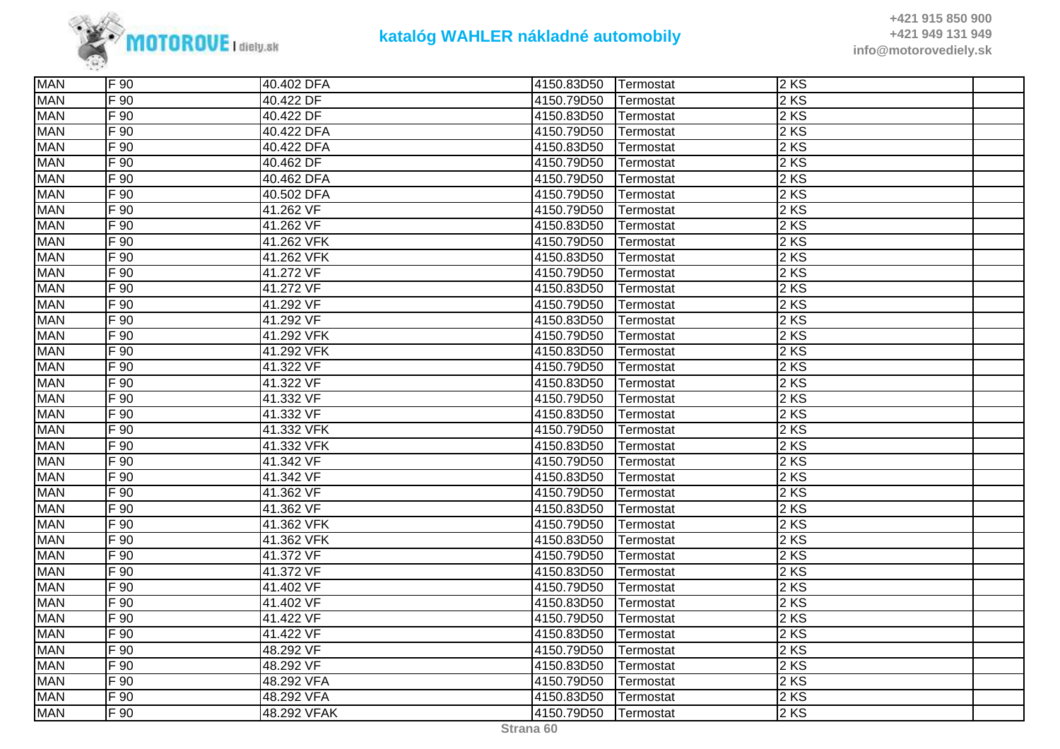

| <b>MAN</b> | F 90            | 40.402 DFA  | 4150.83D50 | Termostat | 2KS               |  |
|------------|-----------------|-------------|------------|-----------|-------------------|--|
| <b>MAN</b> | F 90            | 40.422 DF   | 4150.79D50 | Termostat | 2 KS              |  |
| <b>MAN</b> | F 90            | 40.422 DF   | 4150.83D50 | Termostat | 2 KS              |  |
| <b>MAN</b> | $F_{90}$        | 40.422 DFA  | 4150.79D50 | Termostat | 2 KS              |  |
| <b>MAN</b> | $\mathsf{F}$ 90 | 40.422 DFA  | 4150.83D50 | Termostat | $2$ KS            |  |
| <b>MAN</b> | F 90            | 40.462 DF   | 4150.79D50 | Termostat | 2 KS              |  |
| <b>MAN</b> | $F_{90}$        | 40.462 DFA  | 4150.79D50 | Termostat | 2 KS              |  |
| <b>MAN</b> | F 90            | 40.502 DFA  | 4150.79D50 | Termostat | 2 KS              |  |
| <b>MAN</b> | F 90            | 41.262 VF   | 4150.79D50 | Termostat | 2 KS              |  |
| <b>MAN</b> | $F_{90}$        | 41.262 VF   | 4150.83D50 | Termostat | 2 KS              |  |
| <b>MAN</b> | $F_{90}$        | 41.262 VFK  | 4150.79D50 | Termostat | 2 KS              |  |
| <b>MAN</b> | F 90            | 41.262 VFK  | 4150.83D50 | Termostat | 2 KS              |  |
| <b>MAN</b> | $F_{90}$        | 41.272 VF   | 4150.79D50 | Termostat | 2 KS              |  |
| <b>MAN</b> | F 90            | 41.272 VF   | 4150.83D50 | Termostat | 2 KS              |  |
| <b>MAN</b> | F 90            | 41.292 VF   | 4150.79D50 | Termostat | 2 KS              |  |
| <b>MAN</b> | $F_{90}$        | 41.292 VF   | 4150.83D50 | Termostat | 2 KS              |  |
| <b>MAN</b> | F 90            | 41.292 VFK  | 4150.79D50 | Termostat | 2 KS              |  |
| <b>MAN</b> | $F_{90}$        | 41.292 VFK  | 4150.83D50 | Termostat | 2 KS              |  |
| <b>MAN</b> | F 90            | 41.322 VF   | 4150.79D50 | Termostat | 2 KS              |  |
| <b>MAN</b> | F 90            | 41.322 VF   | 4150.83D50 | Termostat | 2 KS              |  |
| <b>MAN</b> | F 90            | 41.332 VF   | 4150.79D50 | Termostat | 2 KS              |  |
| <b>MAN</b> | F 90            | 41.332 VF   | 4150.83D50 | Termostat | 2 KS              |  |
| <b>MAN</b> | $F_{90}$        | 41.332 VFK  | 4150.79D50 | Termostat | 2 KS              |  |
| <b>MAN</b> | $F_{90}$        | 41.332 VFK  | 4150.83D50 | Termostat | 2 KS              |  |
| <b>MAN</b> | F 90            | 41.342 VF   | 4150.79D50 | Termostat | 2 KS              |  |
| <b>MAN</b> | F 90            | 41.342 VF   | 4150.83D50 | Termostat | 2KS               |  |
| <b>MAN</b> | F 90            | 41.362 VF   | 4150.79D50 | Termostat | 2 KS              |  |
| <b>MAN</b> | $F_{90}$        | 41.362 VF   | 4150.83D50 | Termostat | 2 KS              |  |
| <b>MAN</b> | F 90            | 41.362 VFK  | 4150.79D50 | Termostat | 2 KS              |  |
| <b>MAN</b> | $F_{90}$        | 41.362 VFK  | 4150.83D50 | Termostat | 2 KS              |  |
| <b>MAN</b> | $F_{90}$        | 41.372 VF   | 4150.79D50 | Termostat | 2 KS              |  |
| <b>MAN</b> | F 90            | 41.372 VF   | 4150.83D50 | Termostat | $\overline{2}$ KS |  |
| <b>MAN</b> | F 90            | 41.402 VF   | 4150.79D50 | Termostat | 2 KS              |  |
| <b>MAN</b> | $F_{90}$        | 41.402 VF   | 4150.83D50 | Termostat | 2 KS              |  |
| <b>MAN</b> | F 90            | 41.422 VF   | 4150.79D50 | Termostat | 2 KS              |  |
| <b>MAN</b> | $F_{90}$        | 41.422 VF   | 4150.83D50 | Termostat | 2 KS              |  |
| <b>MAN</b> | $F_{90}$        | 48.292 VF   | 4150.79D50 | Termostat | 2 KS              |  |
| <b>MAN</b> | $F_{90}$        | 48.292 VF   | 4150.83D50 | Termostat | 2 KS              |  |
| <b>MAN</b> | $F_{90}$        | 48.292 VFA  | 4150.79D50 | Termostat | 2 KS              |  |
| <b>MAN</b> | F 90            | 48.292 VFA  | 4150.83D50 | Termostat | $2$ KS            |  |
| <b>MAN</b> | $F_{90}$        | 48.292 VFAK | 4150.79D50 | Termostat | $2$ KS            |  |
|            |                 |             |            |           |                   |  |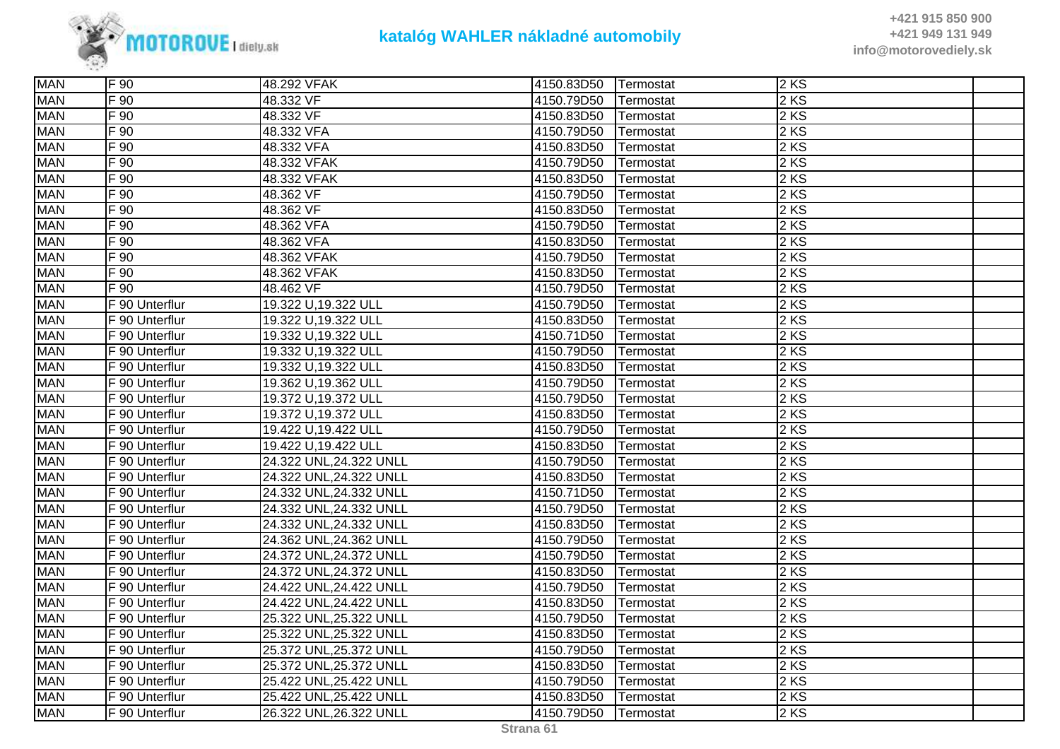

| <b>MAN</b> | IF 90          | 48.292 VFAK             | 4150.83D50 | Termostat | 2 KS   |  |
|------------|----------------|-------------------------|------------|-----------|--------|--|
| <b>MAN</b> | F 90           | 48.332 VF               | 4150.79D50 | Termostat | 2KS    |  |
| <b>MAN</b> | F 90           | 48.332 VF               | 4150.83D50 | Termostat | 2KS    |  |
| <b>MAN</b> | $F_{90}$       | 48.332 VFA              | 4150.79D50 | Termostat | 2 KS   |  |
| <b>MAN</b> | F 90           | 48.332 VFA              | 4150.83D50 | Termostat | $2$ KS |  |
| <b>MAN</b> | F 90           | 48.332 VFAK             | 4150.79D50 | Termostat | 2 KS   |  |
| <b>MAN</b> | F 90           | 48.332 VFAK             | 4150.83D50 | Termostat | $2$ KS |  |
| <b>MAN</b> | F 90           | 48.362 VF               | 4150.79D50 | Termostat | 2KS    |  |
| <b>MAN</b> | F 90           | 48.362 VF               | 4150.83D50 | Termostat | 2KS    |  |
| <b>MAN</b> | F 90           | 48.362 VFA              | 4150.79D50 | Termostat | 2 KS   |  |
| <b>MAN</b> | F 90           | 48.362 VFA              | 4150.83D50 | Termostat | $2$ KS |  |
| <b>MAN</b> | F 90           | 48.362 VFAK             | 4150.79D50 | Termostat | 2KS    |  |
| <b>MAN</b> | F 90           | 48.362 VFAK             | 4150.83D50 | Termostat | $2$ KS |  |
| <b>MAN</b> | F 90           | 48.462 VF               | 4150.79D50 | Termostat | 2KS    |  |
| <b>MAN</b> | F 90 Unterflur | 19.322 U,19.322 ULL     | 4150.79D50 | Termostat | 2KS    |  |
| <b>MAN</b> | F 90 Unterflur | 19.322 U,19.322 ULL     | 4150.83D50 | Termostat | 2KS    |  |
| <b>MAN</b> | F 90 Unterflur | 19.332 U,19.322 ULL     | 4150.71D50 | Termostat | $2$ KS |  |
| <b>MAN</b> | F 90 Unterflur | 19.332 U,19.322 ULL     | 4150.79D50 | Termostat | $2$ KS |  |
| <b>MAN</b> | F 90 Unterflur | 19.332 U,19.322 ULL     | 4150.83D50 | Termostat | 2KS    |  |
| <b>MAN</b> | F 90 Unterflur | 19.362 U,19.362 ULL     | 4150.79D50 | Termostat | 2KS    |  |
| <b>MAN</b> | F 90 Unterflur | 19.372 U,19.372 ULL     | 4150.79D50 | Termostat | 2 KS   |  |
| <b>MAN</b> | F 90 Unterflur | 19.372 U,19.372 ULL     | 4150.83D50 | Termostat | 2 KS   |  |
| <b>MAN</b> | F 90 Unterflur | 19.422 U,19.422 ULL     | 4150.79D50 | Termostat | 2 KS   |  |
| <b>MAN</b> | F 90 Unterflur | 19.422 U,19.422 ULL     | 4150.83D50 | Termostat | 2 KS   |  |
| <b>MAN</b> | F 90 Unterflur | 24.322 UNL, 24.322 UNLL | 4150.79D50 | Termostat | $2$ KS |  |
| <b>MAN</b> | F 90 Unterflur | 24.322 UNL, 24.322 UNLL | 4150.83D50 | Termostat | 2KS    |  |
| <b>MAN</b> | F 90 Unterflur | 24.332 UNL, 24.332 UNLL | 4150.71D50 | Termostat | 2KS    |  |
| <b>MAN</b> | F 90 Unterflur | 24.332 UNL, 24.332 UNLL | 4150.79D50 | Termostat | $2$ KS |  |
| <b>MAN</b> | F 90 Unterflur | 24.332 UNL, 24.332 UNLL | 4150.83D50 | Termostat | 2 KS   |  |
| <b>MAN</b> | F 90 Unterflur | 24.362 UNL, 24.362 UNLL | 4150.79D50 | Termostat | 2 KS   |  |
| <b>MAN</b> | F 90 Unterflur | 24.372 UNL, 24.372 UNLL | 4150.79D50 | Termostat | $2$ KS |  |
| <b>MAN</b> | F 90 Unterflur | 24.372 UNL, 24.372 UNLL | 4150.83D50 | Termostat | 2KS    |  |
| <b>MAN</b> | F 90 Unterflur | 24.422 UNL, 24.422 UNLL | 4150.79D50 | Termostat | 2KS    |  |
| <b>MAN</b> | F 90 Unterflur | 24.422 UNL, 24.422 UNLL | 4150.83D50 | Termostat | $2$ KS |  |
| <b>MAN</b> | F 90 Unterflur | 25.322 UNL, 25.322 UNLL | 4150.79D50 | Termostat | 2 KS   |  |
| <b>MAN</b> | F 90 Unterflur | 25.322 UNL, 25.322 UNLL | 4150.83D50 | Termostat | 2 KS   |  |
| <b>MAN</b> | F 90 Unterflur | 25.372 UNL, 25.372 UNLL | 4150.79D50 | Termostat | 2KS    |  |
| <b>MAN</b> | F 90 Unterflur | 25.372 UNL, 25.372 UNLL | 4150.83D50 | Termostat | 2KS    |  |
| <b>MAN</b> | F 90 Unterflur | 25.422 UNL, 25.422 UNLL | 4150.79D50 | Termostat | 2KS    |  |
| <b>MAN</b> | F 90 Unterflur | 25.422 UNL, 25.422 UNLL | 4150.83D50 | Termostat | 2KS    |  |
| <b>MAN</b> | F 90 Unterflur | 26.322 UNL, 26.322 UNLL | 4150.79D50 | Termostat | 2KS    |  |
|            |                |                         |            |           |        |  |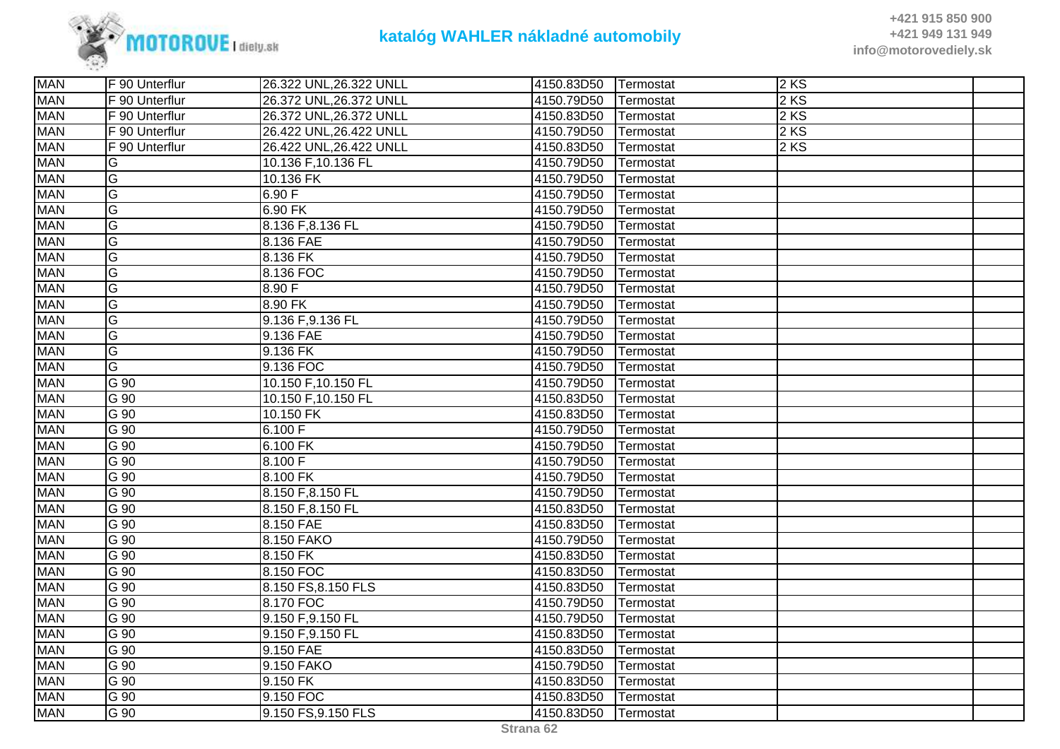

| <b>MAN</b> | F 90 Unterflur | 26.322 UNL, 26.322 UNLL | 4150.83D50 | Termostat | 2 KS |  |
|------------|----------------|-------------------------|------------|-----------|------|--|
| <b>MAN</b> | F 90 Unterflur | 26.372 UNL, 26.372 UNLL | 4150.79D50 | Termostat | 2 KS |  |
| <b>MAN</b> | F 90 Unterflur | 26.372 UNL, 26.372 UNLL | 4150.83D50 | Termostat | 2 KS |  |
| <b>MAN</b> | F 90 Unterflur | 26.422 UNL, 26.422 UNLL | 4150.79D50 | Termostat | 2KS  |  |
| <b>MAN</b> | F 90 Unterflur | 26.422 UNL, 26.422 UNLL | 4150.83D50 | Termostat | 2KS  |  |
| <b>MAN</b> | G              | 10.136 F,10.136 FL      | 4150.79D50 | Termostat |      |  |
| <b>MAN</b> | G              | 10.136 FK               | 4150.79D50 | Termostat |      |  |
| <b>MAN</b> | G              | 6.90 F                  | 4150.79D50 | Termostat |      |  |
| <b>MAN</b> | G              | 6.90 FK                 | 4150.79D50 | Termostat |      |  |
| <b>MAN</b> | G              | 8.136 F,8.136 FL        | 4150.79D50 | Termostat |      |  |
| <b>MAN</b> | G              | 8.136 FAE               | 4150.79D50 | Termostat |      |  |
| <b>MAN</b> | G              | 8.136 FK                | 4150.79D50 | Termostat |      |  |
| <b>MAN</b> | G              | 8.136 FOC               | 4150.79D50 | Termostat |      |  |
| <b>MAN</b> | G              | 8.90 F                  | 4150.79D50 | Termostat |      |  |
| <b>MAN</b> | G              | 8.90 FK                 | 4150.79D50 | Termostat |      |  |
| <b>MAN</b> | G              | 9.136 F, 9.136 FL       | 4150.79D50 | Termostat |      |  |
| <b>MAN</b> | G              | 9.136 FAE               | 4150.79D50 | Termostat |      |  |
| <b>MAN</b> | G              | 9.136 FK                | 4150.79D50 | Termostat |      |  |
| <b>MAN</b> | G              | 9.136 FOC               | 4150.79D50 | Termostat |      |  |
| <b>MAN</b> | G 90           | 10.150 F,10.150 FL      | 4150.79D50 | Termostat |      |  |
| <b>MAN</b> | G 90           | 10.150 F,10.150 FL      | 4150.83D50 | Termostat |      |  |
| <b>MAN</b> | $G$ 90         | 10.150 FK               | 4150.83D50 | Termostat |      |  |
| <b>MAN</b> | $G$ 90         | 6.100 F                 | 4150.79D50 | Termostat |      |  |
| <b>MAN</b> | $G$ 90         | 6.100 FK                | 4150.79D50 | Termostat |      |  |
| <b>MAN</b> | $G$ 90         | 8.100 F                 | 4150.79D50 | Termostat |      |  |
| <b>MAN</b> | G 90           | 8.100 FK                | 4150.79D50 | Termostat |      |  |
| <b>MAN</b> | G 90           | 8.150 F,8.150 FL        | 4150.79D50 | Termostat |      |  |
| <b>MAN</b> | $G$ 90         | 8.150 F,8.150 FL        | 4150.83D50 | Termostat |      |  |
| <b>MAN</b> | G 90           | 8.150 FAE               | 4150.83D50 | Termostat |      |  |
| <b>MAN</b> | $G$ 90         | 8.150 FAKO              | 4150.79D50 | Termostat |      |  |
| <b>MAN</b> | $G$ 90         | 8.150 FK                | 4150.83D50 | Termostat |      |  |
| <b>MAN</b> | $G$ 90         | 8.150 FOC               | 4150.83D50 | Termostat |      |  |
| <b>MAN</b> | G 90           | 8.150 FS, 8.150 FLS     | 4150.83D50 | Termostat |      |  |
| <b>MAN</b> | G 90           | 8.170 FOC               | 4150.79D50 | Termostat |      |  |
| <b>MAN</b> | G 90           | 9.150 F, 9.150 FL       | 4150.79D50 | Termostat |      |  |
| <b>MAN</b> | G 90           | 9.150 F, 9.150 FL       | 4150.83D50 | Termostat |      |  |
| <b>MAN</b> | G 90           | 9.150 FAE               | 4150.83D50 | Termostat |      |  |
| <b>MAN</b> | G 90           | 9.150 FAKO              | 4150.79D50 | Termostat |      |  |
| <b>MAN</b> | G 90           | 9.150 FK                | 4150.83D50 | Termostat |      |  |
| <b>MAN</b> | G 90           | 9.150 FOC               | 4150.83D50 | Termostat |      |  |
| <b>MAN</b> | G 90           | 9.150 FS, 9.150 FLS     | 4150.83D50 | Termostat |      |  |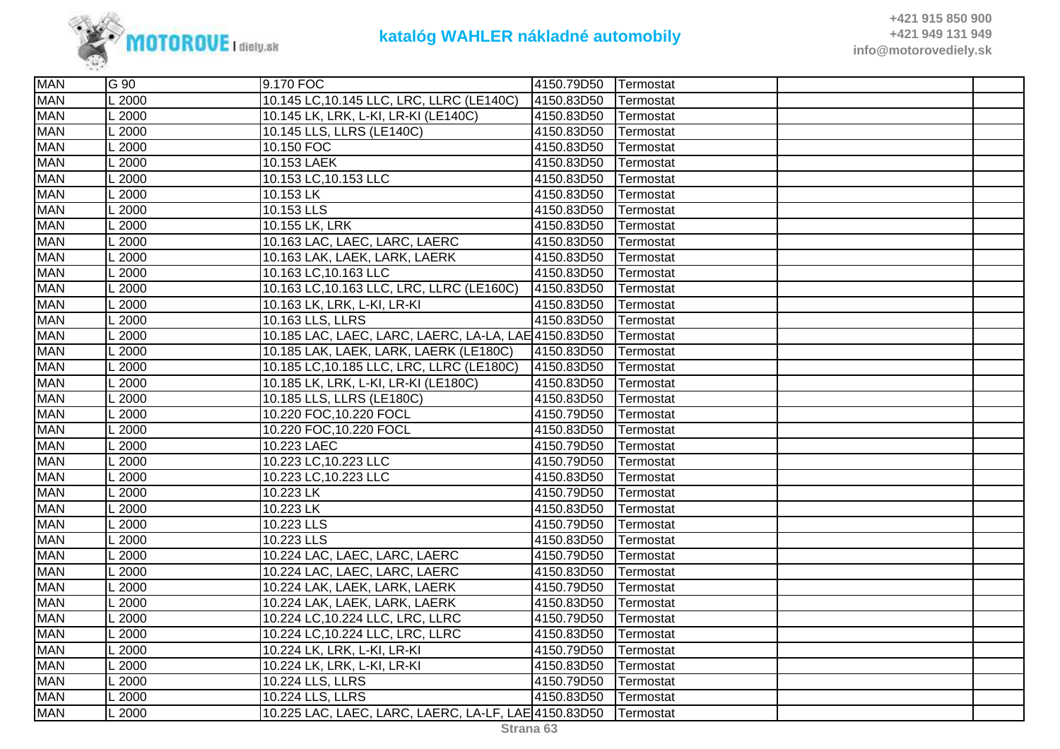

| <b>MAN</b> | G 90    | 9.170 FOC                                            | 4150.79D50 | Termostat |  |
|------------|---------|------------------------------------------------------|------------|-----------|--|
| <b>MAN</b> | L 2000  | 10.145 LC, 10.145 LLC, LRC, LLRC (LE140C)            | 4150.83D50 | Termostat |  |
| <b>MAN</b> | L 2000  | 10.145 LK, LRK, L-KI, LR-KI (LE140C)                 | 4150.83D50 | Termostat |  |
| <b>MAN</b> | L 2000  | 10.145 LLS, LLRS (LE140C)                            | 4150.83D50 | Termostat |  |
| <b>MAN</b> | .2000   | 10.150 FOC                                           | 4150.83D50 | Termostat |  |
| <b>MAN</b> | L2000   | 10.153 LAEK                                          | 4150.83D50 | Termostat |  |
| <b>MAN</b> | L 2000  | 10.153 LC, 10.153 LLC                                | 4150.83D50 | Termostat |  |
| <b>MAN</b> | L 2000  | 10.153 LK                                            | 4150.83D50 | Termostat |  |
| <b>MAN</b> | L2000   | 10.153 LLS                                           | 4150.83D50 | Termostat |  |
| <b>MAN</b> | $-2000$ | 10.155 LK, LRK                                       | 4150.83D50 | Termostat |  |
| <b>MAN</b> | L 2000  | 10.163 LAC, LAEC, LARC, LAERC                        | 4150.83D50 | Termostat |  |
| <b>MAN</b> | L 2000  | 10.163 LAK, LAEK, LARK, LAERK                        | 4150.83D50 | Termostat |  |
| <b>MAN</b> | L 2000  | 10.163 LC, 10.163 LLC                                | 4150.83D50 | Termostat |  |
| <b>MAN</b> | L2000   | 10.163 LC, 10.163 LLC, LRC, LLRC (LE160C)            | 4150.83D50 | Termostat |  |
| <b>MAN</b> | L 2000  | 10.163 LK, LRK, L-KI, LR-KI                          | 4150.83D50 | Termostat |  |
| <b>MAN</b> | $-2000$ | 10.163 LLS, LLRS                                     | 4150.83D50 | Termostat |  |
| <b>MAN</b> | L 2000  | 10.185 LAC, LAEC, LARC, LAERC, LA-LA, LAE 4150.83D50 |            | Termostat |  |
| <b>MAN</b> | L 2000  | 10.185 LAK, LAEK, LARK, LAERK (LE180C)               | 4150.83D50 | Termostat |  |
| <b>MAN</b> | L 2000  | 10.185 LC, 10.185 LLC, LRC, LLRC (LE180C)            | 4150.83D50 | Termostat |  |
| <b>MAN</b> | L 2000  | 10.185 LK, LRK, L-KI, LR-KI (LE180C)                 | 4150.83D50 | Termostat |  |
| <b>MAN</b> | $-2000$ | 10.185 LLS, LLRS (LE180C)                            | 4150.83D50 | Termostat |  |
| <b>MAN</b> | L2000   | 10.220 FOC, 10.220 FOCL                              | 4150.79D50 | Termostat |  |
| <b>MAN</b> | L 2000  | 10.220 FOC, 10.220 FOCL                              | 4150.83D50 | Termostat |  |
| <b>MAN</b> | L 2000  | 10.223 LAEC                                          | 4150.79D50 | Termostat |  |
| <b>MAN</b> | L2000   | 10.223 LC, 10.223 LLC                                | 4150.79D50 | Termostat |  |
| <b>MAN</b> | L 2000  | 10.223 LC, 10.223 LLC                                | 4150.83D50 | Termostat |  |
| <b>MAN</b> | L 2000  | 10.223 LK                                            | 4150.79D50 | Termostat |  |
| <b>MAN</b> | L 2000  | 10.223 LK                                            | 4150.83D50 | Termostat |  |
| <b>MAN</b> | L 2000  | 10.223 LLS                                           | 4150.79D50 | Termostat |  |
| <b>MAN</b> | L2000   | 10.223 LLS                                           | 4150.83D50 | Termostat |  |
| <b>MAN</b> | L 2000  | 10.224 LAC, LAEC, LARC, LAERC                        | 4150.79D50 | Termostat |  |
| <b>MAN</b> | $-2000$ | 10.224 LAC, LAEC, LARC, LAERC                        | 4150.83D50 | Termostat |  |
| <b>MAN</b> | L 2000  | 10.224 LAK, LAEK, LARK, LAERK                        | 4150.79D50 | Termostat |  |
| <b>MAN</b> | L 2000  | 10.224 LAK, LAEK, LARK, LAERK                        | 4150.83D50 | Termostat |  |
| <b>MAN</b> | L 2000  | 10.224 LC, 10.224 LLC, LRC, LLRC                     | 4150.79D50 | Termostat |  |
| <b>MAN</b> | L 2000  | 10.224 LC, 10.224 LLC, LRC, LLRC                     | 4150.83D50 | Termostat |  |
| <b>MAN</b> | $-2000$ | 10.224 LK, LRK, L-KI, LR-KI                          | 4150.79D50 | Termostat |  |
| <b>MAN</b> | L 2000  | 10.224 LK, LRK, L-KI, LR-KI                          | 4150.83D50 | Termostat |  |
| <b>MAN</b> | L 2000  | 10.224 LLS, LLRS                                     | 4150.79D50 | Termostat |  |
| <b>MAN</b> | L 2000  | 10.224 LLS, LLRS                                     | 4150.83D50 | Termostat |  |
| <b>MAN</b> | L 2000  | 10.225 LAC, LAEC, LARC, LAERC, LA-LF, LAE 4150.83D50 |            | Termostat |  |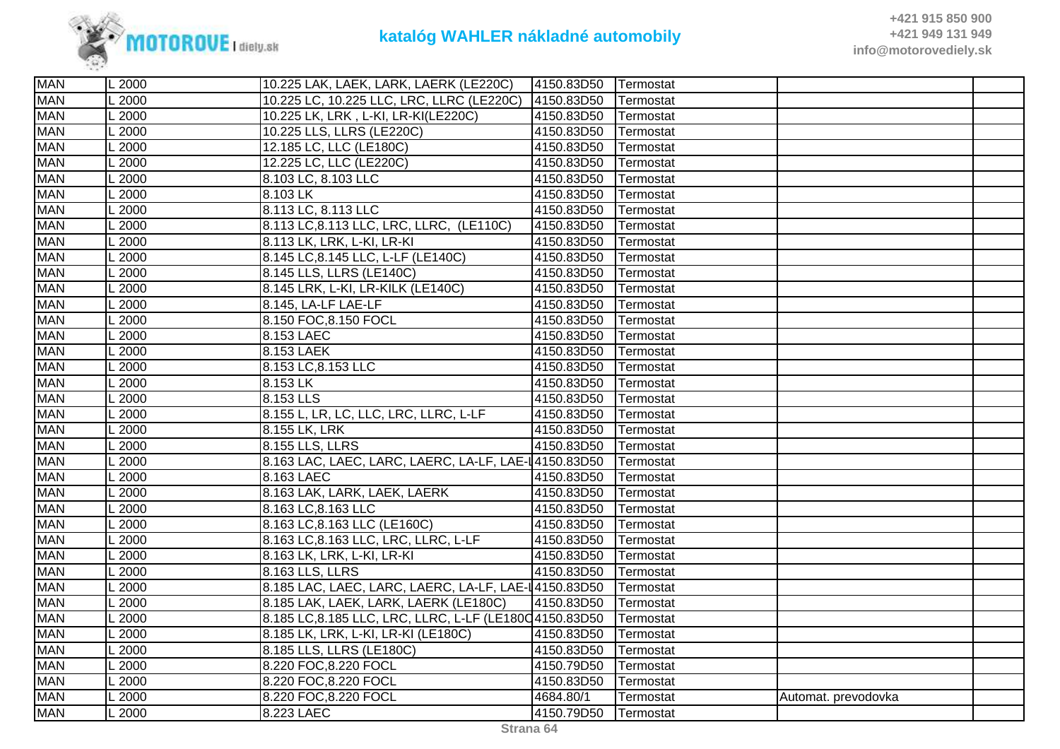

| <b>MAN</b> | L 2000            | 10.225 LAK, LAEK, LARK, LAERK (LE220C)                   | 4150.83D50 | Termostat |                     |  |
|------------|-------------------|----------------------------------------------------------|------------|-----------|---------------------|--|
| <b>MAN</b> | .2000             | 10.225 LC, 10.225 LLC, LRC, LLRC (LE220C)                | 4150.83D50 | Termostat |                     |  |
| <b>MAN</b> | $-2000$           | 10.225 LK, LRK, L-KI, LR-KI(LE220C)                      | 4150.83D50 | Termostat |                     |  |
| <b>MAN</b> | 2000              | 10.225 LLS, LLRS (LE220C)                                | 4150.83D50 | Termostat |                     |  |
| <b>MAN</b> | 2000              | 12.185 LC, LLC (LE180C)                                  | 4150.83D50 | Termostat |                     |  |
| <b>MAN</b> | $-2000$           | 12.225 LC, LLC (LE220C)                                  | 4150.83D50 | Termostat |                     |  |
| <b>MAN</b> | 2000              | 8.103 LC, 8.103 LLC                                      | 4150.83D50 | Termostat |                     |  |
| <b>MAN</b> | $-2000$           | 8.103 LK                                                 | 4150.83D50 | Termostat |                     |  |
| <b>MAN</b> | $-2000$           | 8.113 LC, 8.113 LLC                                      | 4150.83D50 | Termostat |                     |  |
| <b>MAN</b> | .2000             | 8.113 LC, 8.113 LLC, LRC, LLRC, (LE110C)                 | 4150.83D50 | Termostat |                     |  |
| <b>MAN</b> | L2000             | 8.113 LK, LRK, L-KI, LR-KI                               | 4150.83D50 | Termostat |                     |  |
| <b>MAN</b> | 2000              | 8.145 LC, 8.145 LLC, L-LF (LE140C)                       | 4150.83D50 | Termostat |                     |  |
| <b>MAN</b> | $-2000$           | 8.145 LLS, LLRS (LE140C)                                 | 4150.83D50 | Termostat |                     |  |
| <b>MAN</b> | $\overline{2000}$ | 8.145 LRK, L-KI, LR-KILK (LE140C)                        | 4150.83D50 | Termostat |                     |  |
| <b>MAN</b> | 2000              | 8.145, LA-LF LAE-LF                                      | 4150.83D50 | Termostat |                     |  |
| <b>MAN</b> | .2000             | 8.150 FOC, 8.150 FOCL                                    | 4150.83D50 | Termostat |                     |  |
| <b>MAN</b> | $\overline{2000}$ | 8.153 LAEC                                               | 4150.83D50 | Termostat |                     |  |
| <b>MAN</b> | .2000             | 8.153 LAEK                                               | 4150.83D50 | Termostat |                     |  |
| <b>MAN</b> | $-2000$           | 8.153 LC, 8.153 LLC                                      | 4150.83D50 | Termostat |                     |  |
| <b>MAN</b> | .2000             | 8.153 LK                                                 | 4150.83D50 | Termostat |                     |  |
| <b>MAN</b> | $-2000$           | 8.153 LLS                                                | 4150.83D50 | Termostat |                     |  |
| <b>MAN</b> | $L$ 2000          | 8.155 L, LR, LC, LLC, LRC, LLRC, L-LF                    | 4150.83D50 | Termostat |                     |  |
| <b>MAN</b> | .2000             | 8.155 LK, LRK                                            | 4150.83D50 | Termostat |                     |  |
| <b>MAN</b> | $\overline{2000}$ | 8.155 LLS, LLRS                                          | 4150.83D50 | Termostat |                     |  |
| <b>MAN</b> | $-2000$           | 8.163 LAC, LAEC, LARC, LAERC, LA-LF, LAE-14150.83D50     |            | Termostat |                     |  |
| <b>MAN</b> | 2000              | 8.163 LAEC                                               | 4150.83D50 | Termostat |                     |  |
| <b>MAN</b> | $-2000$           | 8.163 LAK, LARK, LAEK, LAERK                             | 4150.83D50 | Termostat |                     |  |
| <b>MAN</b> | 2000              | 8.163 LC, 8.163 LLC                                      | 4150.83D50 | Termostat |                     |  |
| <b>MAN</b> | $-2000$           | 8.163 LC, 8.163 LLC (LE160C)                             | 4150.83D50 | Termostat |                     |  |
| <b>MAN</b> | $-2000$           | 8.163 LC, 8.163 LLC, LRC, LLRC, L-LF                     | 4150.83D50 | Termostat |                     |  |
| <b>MAN</b> | 2000              | 8.163 LK, LRK, L-KI, LR-KI                               | 4150.83D50 | Termostat |                     |  |
| <b>MAN</b> | .2000             | 8.163 LLS, LLRS                                          | 4150.83D50 | Termostat |                     |  |
| <b>MAN</b> | $-2000$           | 8.185 LAC, LAEC, LARC, LAERC, LA-LF, LAE-14150.83D50     |            | Termostat |                     |  |
| <b>MAN</b> | $-2000$           | 8.185 LAK, LAEK, LARK, LAERK (LE180C)                    | 4150.83D50 | Termostat |                     |  |
| <b>MAN</b> | $-2000$           | 8.185 LC, 8.185 LLC, LRC, LLRC, L-LF (LE1800 4150.83D50) |            | Termostat |                     |  |
| <b>MAN</b> | 2000              | 8.185 LK, LRK, L-KI, LR-KI (LE180C)                      | 4150.83D50 | Termostat |                     |  |
| <b>MAN</b> | .2000             | 8.185 LLS, LLRS (LE180C)                                 | 4150.83D50 | Termostat |                     |  |
| <b>MAN</b> | $-2000$           | 8.220 FOC, 8.220 FOCL                                    | 4150.79D50 | Termostat |                     |  |
| <b>MAN</b> | .2000             | 8.220 FOC, 8.220 FOCL                                    | 4150.83D50 | Termostat |                     |  |
| <b>MAN</b> | 2000              | 8.220 FOC, 8.220 FOCL                                    | 4684.80/1  | Termostat | Automat. prevodovka |  |
| <b>MAN</b> | L2000             | 8.223 LAEC                                               | 4150.79D50 | Termostat |                     |  |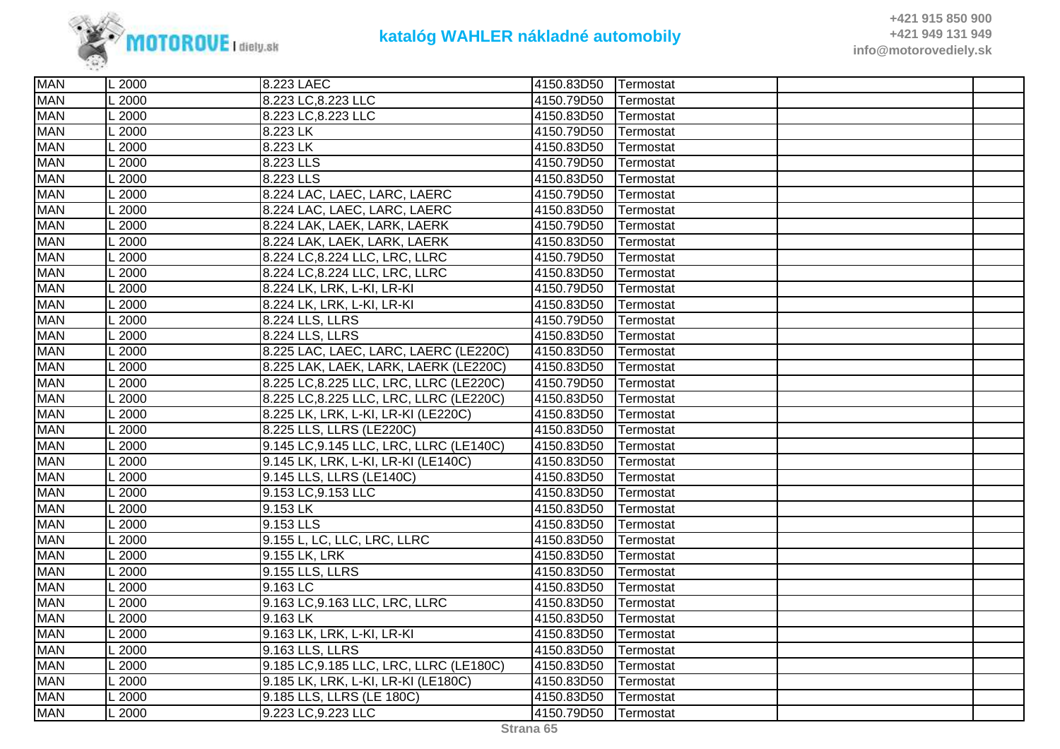

| <b>MAN</b> | L 2000  | 8.223 LAEC                              | 4150.83D50 | Termostat         |  |
|------------|---------|-----------------------------------------|------------|-------------------|--|
| <b>MAN</b> | 2000    | 8.223 LC, 8.223 LLC                     | 4150.79D50 | Termostat         |  |
| <b>MAN</b> | .2000   | 8.223 LC, 8.223 LLC                     | 4150.83D50 | Termostat         |  |
| <b>MAN</b> | 2000    | 8.223 LK                                | 4150.79D50 | Termostat         |  |
| <b>MAN</b> | 2000    | 8.223 LK                                | 4150.83D50 | Termostat         |  |
| <b>MAN</b> | .2000   | 8.223 LLS                               | 4150.79D50 | Termostat         |  |
| <b>MAN</b> | 2000    | 8.223 LLS                               | 4150.83D50 | Termostat         |  |
| <b>MAN</b> | .2000   | 8.224 LAC, LAEC, LARC, LAERC            | 4150.79D50 | Termostat         |  |
| <b>MAN</b> | .2000   | 8.224 LAC, LAEC, LARC, LAERC            | 4150.83D50 | Termostat         |  |
| <b>MAN</b> | 2000    | 8.224 LAK, LAEK, LARK, LAERK            | 4150.79D50 | Termostat         |  |
| <b>MAN</b> | 2000    | 8.224 LAK, LAEK, LARK, LAERK            | 4150.83D50 | Termostat         |  |
| <b>MAN</b> | .2000   | 8.224 LC, 8.224 LLC, LRC, LLRC          | 4150.79D50 | Termostat         |  |
| <b>MAN</b> | .2000   | 8.224 LC, 8.224 LLC, LRC, LLRC          | 4150.83D50 | Termostat         |  |
| <b>MAN</b> | .2000   | 8.224 LK, LRK, L-KI, LR-KI              | 4150.79D50 | Termostat         |  |
| <b>MAN</b> | 2000    | 8.224 LK, LRK, L-KI, LR-KI              | 4150.83D50 | Termostat         |  |
| <b>MAN</b> | 2000    | 8.224 LLS, LLRS                         | 4150.79D50 | Termostat         |  |
| <b>MAN</b> | 2000    | 8.224 LLS, LLRS                         | 4150.83D50 | Termostat         |  |
| <b>MAN</b> | 2000    | 8.225 LAC, LAEC, LARC, LAERC (LE220C)   | 4150.83D50 | Termostat         |  |
| <b>MAN</b> | 2000    | 8.225 LAK, LAEK, LARK, LAERK (LE220C)   | 4150.83D50 | Termostat         |  |
| <b>MAN</b> | .2000   | 8.225 LC, 8.225 LLC, LRC, LLRC (LE220C) | 4150.79D50 | Termostat         |  |
| <b>MAN</b> | 2000    | 8.225 LC, 8.225 LLC, LRC, LLRC (LE220C) | 4150.83D50 | Termostat         |  |
| <b>MAN</b> | 2000    | 8.225 LK, LRK, L-KI, LR-KI (LE220C)     | 4150.83D50 | Termostat         |  |
| <b>MAN</b> | .2000   | 8.225 LLS, LLRS (LE220C)                | 4150.83D50 | Termostat         |  |
| <b>MAN</b> | .2000   | 9.145 LC, 9.145 LLC, LRC, LLRC (LE140C) | 4150.83D50 | Termostat         |  |
| <b>MAN</b> | .2000   | 9.145 LK, LRK, L-KI, LR-KI (LE140C)     | 4150.83D50 | Termostat         |  |
| <b>MAN</b> | .2000   | 9.145 LLS, LLRS (LE140C)                | 4150.83D50 | Termostat         |  |
| <b>MAN</b> | 2000    | 9.153 LC, 9.153 LLC                     | 4150.83D50 | Termostat         |  |
| <b>MAN</b> | 2000    | 9.153 LK                                | 4150.83D50 | Termostat         |  |
| <b>MAN</b> | .2000   | 9.153 LLS                               | 4150.83D50 | Termostat         |  |
| <b>MAN</b> | .2000   | 9.155 L, LC, LLC, LRC, LLRC             | 4150.83D50 | Termostat         |  |
| <b>MAN</b> | .2000   | 9.155 LK, LRK                           | 4150.83D50 | Termostat         |  |
| <b>MAN</b> | 2000    | 9.155 LLS, LLRS                         | 4150.83D50 | Termostat         |  |
| <b>MAN</b> | 2000    | 9.163 LC                                | 4150.83D50 | Termostat         |  |
| <b>MAN</b> | .2000   | 9.163 LC, 9.163 LLC, LRC, LLRC          | 4150.83D50 | Termostat         |  |
| <b>MAN</b> | .2000   | 9.163 LK                                | 4150.83D50 | Termostat         |  |
| <b>MAN</b> | .2000   | 9.163 LK, LRK, L-KI, LR-KI              | 4150.83D50 | Termostat         |  |
| <b>MAN</b> | .2000   | 9.163 LLS, LLRS                         | 4150.83D50 | Termostat         |  |
| <b>MAN</b> | 2000    | 9.185 LC, 9.185 LLC, LRC, LLRC (LE180C) | 4150.83D50 | Termostat         |  |
| <b>MAN</b> | 2000    | 9.185 LK, LRK, L-KI, LR-KI (LE180C)     | 4150.83D50 | Termostat         |  |
| <b>MAN</b> | 2000    | 9.185 LLS, LLRS (LE 180C)               | 4150.83D50 | Termostat         |  |
| <b>MAN</b> | $-2000$ | 9.223 LC, 9.223 LLC                     | 4150.79D50 | <b>ITermostat</b> |  |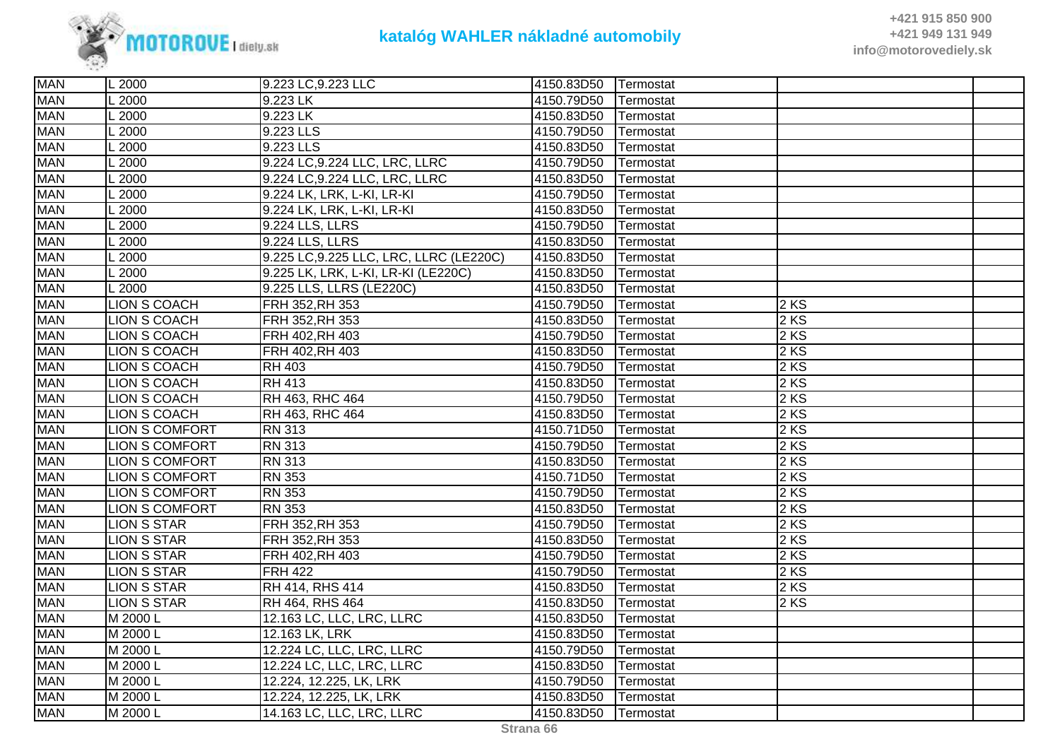

| <b>MAN</b> | L 2000                | 9.223 LC, 9.223 LLC                     | 4150.83D50 | Termostat |        |  |
|------------|-----------------------|-----------------------------------------|------------|-----------|--------|--|
| <b>MAN</b> | 2000                  | 9.223 LK                                | 4150.79D50 | Termostat |        |  |
| <b>MAN</b> | $\overline{2000}$     | $9.223$ LK                              | 4150.83D50 | Termostat |        |  |
| <b>MAN</b> | 2000                  | 9.223 LLS                               | 4150.79D50 | Termostat |        |  |
| <b>MAN</b> | 2000                  | 9.223 LLS                               | 4150.83D50 | Termostat |        |  |
| <b>MAN</b> | $-2000$               | 9.224 LC, 9.224 LLC, LRC, LLRC          | 4150.79D50 | Termostat |        |  |
| <b>MAN</b> | 2000                  | 9.224 LC, 9.224 LLC, LRC, LLRC          | 4150.83D50 | Termostat |        |  |
| <b>MAN</b> | $-2000$               | 9.224 LK, LRK, L-KI, LR-KI              | 4150.79D50 | Termostat |        |  |
| <b>MAN</b> | $\sqrt{2000}$         | 9.224 LK, LRK, L-KI, LR-KI              | 4150.83D50 | Termostat |        |  |
| <b>MAN</b> | 2000                  | 9.224 LLS, LLRS                         | 4150.79D50 | Termostat |        |  |
| <b>MAN</b> | 2000                  | 9.224 LLS, LLRS                         | 4150.83D50 | Termostat |        |  |
| <b>MAN</b> | $-2000$               | 9.225 LC, 9.225 LLC, LRC, LLRC (LE220C) | 4150.83D50 | Termostat |        |  |
| <b>MAN</b> | 2000                  | 9.225 LK, LRK, L-KI, LR-KI (LE220C)     | 4150.83D50 | Termostat |        |  |
| <b>MAN</b> | L 2000                | 9.225 LLS, LLRS (LE220C)                | 4150.83D50 | Termostat |        |  |
| <b>MAN</b> | <b>LION S COACH</b>   | FRH 352, RH 353                         | 4150.79D50 | Termostat | 2 KS   |  |
| <b>MAN</b> | <b>LION S COACH</b>   | FRH 352, RH 353                         | 4150.83D50 | Termostat | 2 KS   |  |
| <b>MAN</b> | <b>LION S COACH</b>   | FRH 402, RH 403                         | 4150.79D50 | Termostat | 2 KS   |  |
| <b>MAN</b> | LION S COACH          | FRH 402, RH 403                         | 4150.83D50 | Termostat | 2 KS   |  |
| <b>MAN</b> | LION S COACH          | <b>RH 403</b>                           | 4150.79D50 | Termostat | 2 KS   |  |
| <b>MAN</b> | LION S COACH          | $\overline{RH413}$                      | 4150.83D50 | Termostat | 2 KS   |  |
| <b>MAN</b> | LION S COACH          | RH 463, RHC 464                         | 4150.79D50 | Termostat | 2KS    |  |
| <b>MAN</b> | <b>LION S COACH</b>   | RH 463, RHC 464                         | 4150.83D50 | Termostat | 2 KS   |  |
| <b>MAN</b> | <b>LION S COMFORT</b> | <b>RN 313</b>                           | 4150.71D50 | Termostat | 2 KS   |  |
| <b>MAN</b> | <b>LION S COMFORT</b> | <b>RN 313</b>                           | 4150.79D50 | Termostat | 2 KS   |  |
| <b>MAN</b> | <b>LION S COMFORT</b> | <b>RN 313</b>                           | 4150.83D50 | Termostat | 2 KS   |  |
| <b>MAN</b> | <b>LION S COMFORT</b> | <b>RN 353</b>                           | 4150.71D50 | Termostat | $2$ KS |  |
| <b>MAN</b> | <b>LION S COMFORT</b> | <b>RN 353</b>                           | 4150.79D50 | Termostat | 2 KS   |  |
| <b>MAN</b> | LION S COMFORT        | <b>RN 353</b>                           | 4150.83D50 | Termostat | 2 KS   |  |
| <b>MAN</b> | <b>LION S STAR</b>    | FRH 352, RH 353                         | 4150.79D50 | Termostat | 2 KS   |  |
| <b>MAN</b> | <b>LION S STAR</b>    | FRH 352, RH 353                         | 4150.83D50 | Termostat | 2 KS   |  |
| <b>MAN</b> | <b>LION S STAR</b>    | FRH 402, RH 403                         | 4150.79D50 | Termostat | 2 KS   |  |
| <b>MAN</b> | <b>LION S STAR</b>    | <b>FRH 422</b>                          | 4150.79D50 | Termostat | 2 KS   |  |
| <b>MAN</b> | <b>LION S STAR</b>    | RH 414, RHS 414                         | 4150.83D50 | Termostat | 2 KS   |  |
| <b>MAN</b> | <b>LION S STAR</b>    | RH 464, RHS 464                         | 4150.83D50 | Termostat | 2 KS   |  |
| <b>MAN</b> | M 2000 L              | 12.163 LC, LLC, LRC, LLRC               | 4150.83D50 | Termostat |        |  |
| <b>MAN</b> | M 2000 L              | 12.163 LK, LRK                          | 4150.83D50 | Termostat |        |  |
| <b>MAN</b> | M 2000 L              | 12.224 LC, LLC, LRC, LLRC               | 4150.79D50 | Termostat |        |  |
| <b>MAN</b> | M 2000 L              | 12.224 LC, LLC, LRC, LLRC               | 4150.83D50 | Termostat |        |  |
| <b>MAN</b> | M 2000 L              | 12.224, 12.225, LK, LRK                 | 4150.79D50 | Termostat |        |  |
| <b>MAN</b> | M 2000 L              | 12.224, 12.225, LK, LRK                 | 4150.83D50 | Termostat |        |  |
| <b>MAN</b> | M 2000 L              | 14.163 LC, LLC, LRC, LLRC               | 4150.83D50 | Termostat |        |  |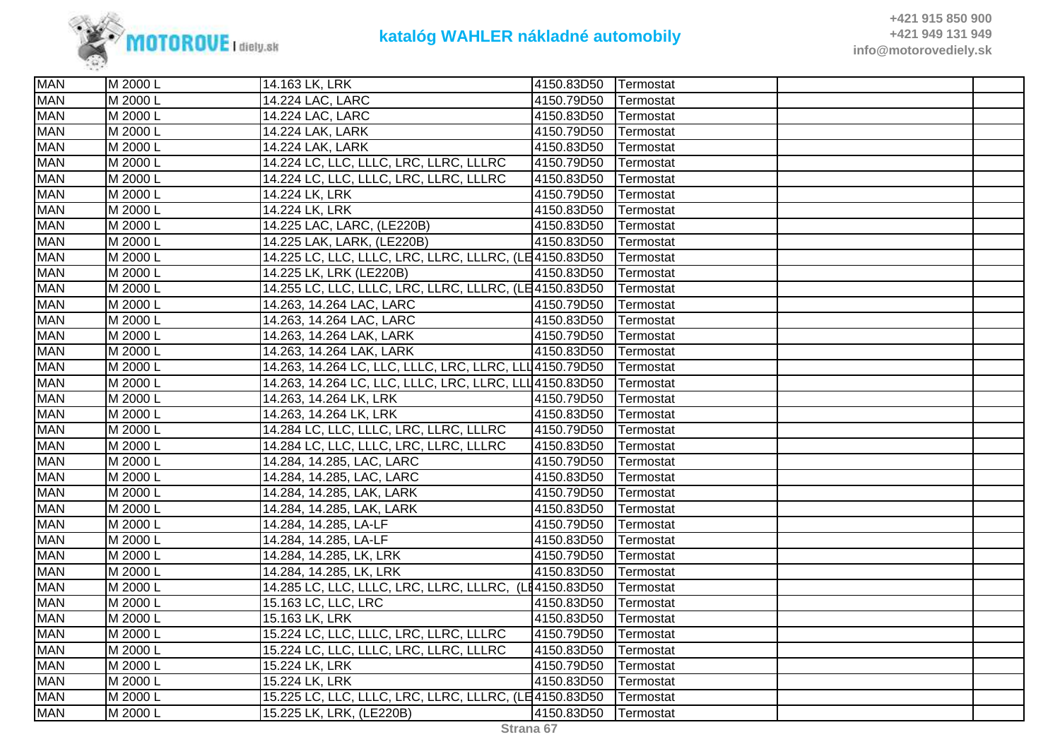

| <b>MAN</b> | M 2000 L | 14.163 LK, LRK                                          | 4150.83D50 Termostat |                   |  |
|------------|----------|---------------------------------------------------------|----------------------|-------------------|--|
| <b>MAN</b> | M 2000 L | 14.224 LAC, LARC                                        | 4150.79D50           | Termostat         |  |
| <b>MAN</b> | M 2000 L | 14.224 LAC, LARC                                        | 4150.83D50           | Termostat         |  |
| <b>MAN</b> | M 2000 L | 14.224 LAK, LARK                                        | 4150.79D50           | Termostat         |  |
| <b>MAN</b> | M 2000 L | 14.224 LAK, LARK                                        | 4150.83D50           | Termostat         |  |
| <b>MAN</b> | M 2000 L | 14.224 LC, LLC, LLLC, LRC, LLRC, LLLRC                  | 4150.79D50           | Termostat         |  |
| <b>MAN</b> | M 2000 L | 14.224 LC, LLC, LLLC, LRC, LLRC, LLLRC                  | 4150.83D50           | Termostat         |  |
| <b>MAN</b> | M 2000 L | 14.224 LK, LRK                                          | 4150.79D50           | Termostat         |  |
| <b>MAN</b> | M 2000 L | 14.224 LK, LRK                                          | 4150.83D50           | Termostat         |  |
| <b>MAN</b> | M 2000 L | 14.225 LAC, LARC, (LE220B)                              | 4150.83D50           | Termostat         |  |
| <b>MAN</b> | M 2000 L | 14.225 LAK, LARK, (LE220B)                              | 4150.83D50           | Termostat         |  |
| <b>MAN</b> | M 2000 L | 14.225 LC, LLC, LLLC, LRC, LLRC, LLLRC, (LE4150.83D50   |                      | Termostat         |  |
| <b>MAN</b> | M 2000 L | 14.225 LK, LRK (LE220B)                                 | 4150.83D50           | Termostat         |  |
| <b>MAN</b> | M 2000 L | 14.255 LC, LLC, LLLC, LRC, LLRC, LLLRC, (LE4150.83D50   |                      | Termostat         |  |
| <b>MAN</b> | M 2000 L | 14.263, 14.264 LAC, LARC                                | 4150.79D50           | Termostat         |  |
| <b>MAN</b> | M 2000 L | 14.263, 14.264 LAC, LARC                                | 4150.83D50           | Termostat         |  |
| <b>MAN</b> | M 2000 L | 14.263, 14.264 LAK, LARK                                | 4150.79D50           | Termostat         |  |
| <b>MAN</b> | M 2000 L | 14.263, 14.264 LAK, LARK                                | 4150.83D50           | Termostat         |  |
| <b>MAN</b> | M 2000 L | 14.263, 14.264 LC, LLC, LLLC, LRC, LLRC, LLL 4150.79D50 |                      | Termostat         |  |
| <b>MAN</b> | M 2000 L | 14.263, 14.264 LC, LLC, LLLC, LRC, LLRC, LLL 4150.83D50 |                      | Termostat         |  |
| <b>MAN</b> | M 2000 L | 14.263, 14.264 LK, LRK                                  | 4150.79D50           | Termostat         |  |
| <b>MAN</b> | M 2000 L | 14.263, 14.264 LK, LRK                                  | 4150.83D50           | Termostat         |  |
| <b>MAN</b> | M 2000 L | 14.284 LC, LLC, LLLC, LRC, LLRC, LLLRC                  | 4150.79D50           | Termostat         |  |
| <b>MAN</b> | M 2000 L | 14.284 LC, LLC, LLLC, LRC, LLRC, LLLRC                  | 4150.83D50           | Termostat         |  |
| <b>MAN</b> | M 2000 L | 14.284, 14.285, LAC, LARC                               | 4150.79D50           | Termostat         |  |
| <b>MAN</b> | M 2000 L | 14.284, 14.285, LAC, LARC                               | 4150.83D50           | Termostat         |  |
| <b>MAN</b> | M 2000 L | 14.284, 14.285, LAK, LARK                               | 4150.79D50           | Termostat         |  |
| <b>MAN</b> | M 2000 L | 14.284, 14.285, LAK, LARK                               | 4150.83D50           | Termostat         |  |
| <b>MAN</b> | M 2000 L | 14.284, 14.285, LA-LF                                   | 4150.79D50           | Termostat         |  |
| <b>MAN</b> | M 2000 L | 14.284, 14.285, LA-LF                                   | 4150.83D50           | Termostat         |  |
| <b>MAN</b> | M 2000 L | 14.284, 14.285, LK, LRK                                 | 4150.79D50           | Termostat         |  |
| <b>MAN</b> | M 2000 L | 14.284, 14.285, LK, LRK                                 | 4150.83D50           | Termostat         |  |
| <b>MAN</b> | M 2000 L | 14.285 LC, LLC, LLLC, LRC, LLRC, LLLRC, (LE4150.83D50   |                      | Termostat         |  |
| <b>MAN</b> | M 2000 L | 15.163 LC, LLC, LRC                                     | 4150.83D50           | Termostat         |  |
| <b>MAN</b> | M 2000 L | 15.163 LK, LRK                                          | 4150.83D50           | Termostat         |  |
| <b>MAN</b> | M 2000 L | 15.224 LC, LLC, LLLC, LRC, LLRC, LLLRC                  | 4150.79D50           | Termostat         |  |
| <b>MAN</b> | M 2000 L | 15.224 LC, LLC, LLLC, LRC, LLRC, LLLRC                  | 4150.83D50           | Termostat         |  |
| <b>MAN</b> | M 2000 L | 15.224 LK, LRK                                          | 4150.79D50           | Termostat         |  |
| <b>MAN</b> | M 2000 L | 15.224 LK, LRK                                          | 4150.83D50           | Termostat         |  |
| <b>MAN</b> | M 2000 L | 15.225 LC, LLC, LLLC, LRC, LLRC, LLLRC, (LE4150.83D50   |                      | Termostat         |  |
| <b>MAN</b> | M 2000 L | 15.225 LK, LRK, (LE220B)                                | 4150.83D50           | <b>ITermostat</b> |  |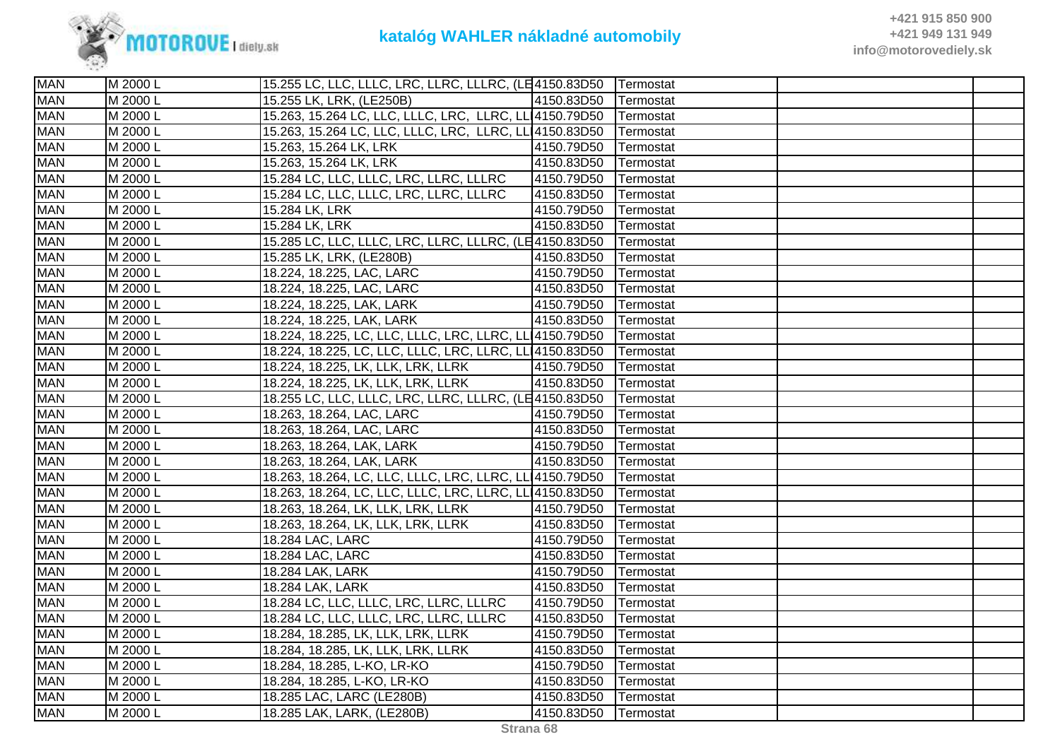

| <b>MAN</b> | M 2000 L | 15.255 LC, LLC, LLLC, LRC, LLRC, LLLRC, (LE4150.83D50            |                      | Termostat |  |
|------------|----------|------------------------------------------------------------------|----------------------|-----------|--|
| <b>MAN</b> | M 2000 L | 15.255 LK, LRK, (LE250B)                                         | 4150.83D50           | Termostat |  |
| <b>MAN</b> | M 2000 L | 15.263, 15.264 LC, LLC, LLLC, LRC, LLRC, LL 4150.79D50 Termostat |                      |           |  |
| <b>MAN</b> | M 2000 L | 15.263, 15.264 LC, LLC, LLLC, LRC, LLRC, LL 4150.83D50           |                      | Termostat |  |
| <b>MAN</b> | M 2000 L | 15.263, 15.264 LK, LRK                                           | 4150.79D50           | Termostat |  |
| <b>MAN</b> | M 2000 L | 15.263, 15.264 LK, LRK                                           | 4150.83D50           | Termostat |  |
| <b>MAN</b> | M 2000 L | 15.284 LC, LLC, LLLC, LRC, LLRC, LLLRC                           | 4150.79D50           | Termostat |  |
| <b>MAN</b> | M 2000 L | 15.284 LC, LLC, LLLC, LRC, LLRC, LLLRC                           | 4150.83D50           | Termostat |  |
| <b>MAN</b> | M 2000 L | 15.284 LK, LRK                                                   | 4150.79D50           | Termostat |  |
| <b>MAN</b> | M 2000 L | 15.284 LK, LRK                                                   | 4150.83D50           | Termostat |  |
| <b>MAN</b> | M 2000 L | 15.285 LC, LLC, LLLC, LRC, LLRC, LLLRC, (LE4150.83D50            |                      | Termostat |  |
| <b>MAN</b> | M 2000 L | 15.285 LK, LRK, (LE280B)                                         | 4150.83D50           | Termostat |  |
| <b>MAN</b> | M 2000 L | 18.224, 18.225, LAC, LARC                                        | 4150.79D50           | Termostat |  |
| <b>MAN</b> | M 2000 L | 18.224, 18.225, LAC, LARC                                        | 4150.83D50           | Termostat |  |
| <b>MAN</b> | M 2000 L | 18.224, 18.225, LAK, LARK                                        | 4150.79D50           | Termostat |  |
| <b>MAN</b> | M 2000 L | 18.224, 18.225, LAK, LARK                                        | 4150.83D50           | Termostat |  |
| <b>MAN</b> | M 2000 L | 18.224, 18.225, LC, LLC, LLLC, LRC, LLRC, LL 4150.79D50          |                      | Termostat |  |
| <b>MAN</b> | M 2000 L | 18.224, 18.225, LC, LLC, LLLC, LRC, LLRC, LL 4150.83D50          |                      | Termostat |  |
| <b>MAN</b> | M 2000 L | 18.224, 18.225, LK, LLK, LRK, LLRK                               | 4150.79D50           | Termostat |  |
| <b>MAN</b> | M 2000 L | 18.224, 18.225, LK, LLK, LRK, LLRK                               | 4150.83D50           | Termostat |  |
| <b>MAN</b> | M 2000 L | 18.255 LC, LLC, LLLC, LRC, LLRC, LLLRC, (LE4150.83D50            |                      | Termostat |  |
| <b>MAN</b> | M 2000 L | 18.263, 18.264, LAC, LARC                                        | 4150.79D50           | Termostat |  |
| <b>MAN</b> | M 2000 L | 18.263, 18.264, LAC, LARC                                        | 4150.83D50           | Termostat |  |
| <b>MAN</b> | M 2000 L | 18.263, 18.264, LAK, LARK                                        | 4150.79D50           | Termostat |  |
| <b>MAN</b> | M 2000 L | 18.263, 18.264, LAK, LARK                                        | 4150.83D50           | Termostat |  |
| <b>MAN</b> | M 2000 L | 18.263, 18.264, LC, LLC, LLLC, LRC, LLRC, LL 4150.79D50          |                      | Termostat |  |
| <b>MAN</b> | M 2000 L | 18.263, 18.264, LC, LLC, LLLC, LRC, LLRC, LL 4150.83D50          |                      | Termostat |  |
| <b>MAN</b> | M 2000 L | 18.263, 18.264, LK, LLK, LRK, LLRK                               | 4150.79D50           | Termostat |  |
| <b>MAN</b> | M 2000 L | 18.263, 18.264, LK, LLK, LRK, LLRK                               | 4150.83D50           | Termostat |  |
| <b>MAN</b> | M 2000 L | 18.284 LAC, LARC                                                 | 4150.79D50           | Termostat |  |
| <b>MAN</b> | M 2000 L | 18.284 LAC, LARC                                                 | 4150.83D50           | Termostat |  |
| <b>MAN</b> | M 2000 L | 18.284 LAK, LARK                                                 | 4150.79D50           | Termostat |  |
| <b>MAN</b> | M 2000 L | 18.284 LAK, LARK                                                 | 4150.83D50           | Termostat |  |
| <b>MAN</b> | M 2000 L | 18.284 LC, LLC, LLLC, LRC, LLRC, LLLRC                           | 4150.79D50           | Termostat |  |
| <b>MAN</b> | M 2000 L | 18.284 LC, LLC, LLLC, LRC, LLRC, LLLRC                           | 4150.83D50           | Termostat |  |
| <b>MAN</b> | M 2000 L | 18.284, 18.285, LK, LLK, LRK, LLRK                               | 4150.79D50           | Termostat |  |
| <b>MAN</b> | M 2000 L | 18.284, 18.285, LK, LLK, LRK, LLRK                               | 4150.83D50           | Termostat |  |
| <b>MAN</b> | M 2000 L | 18.284, 18.285, L-KO, LR-KO                                      | 4150.79D50           | Termostat |  |
| <b>MAN</b> | M 2000 L | 18.284, 18.285, L-KO, LR-KO                                      | 4150.83D50           | Termostat |  |
| <b>MAN</b> | M 2000 L | 18.285 LAC, LARC (LE280B)                                        | 4150.83D50           | Termostat |  |
| <b>MAN</b> | M 2000 L | 18.285 LAK, LARK, (LE280B)                                       | 4150.83D50 Termostat |           |  |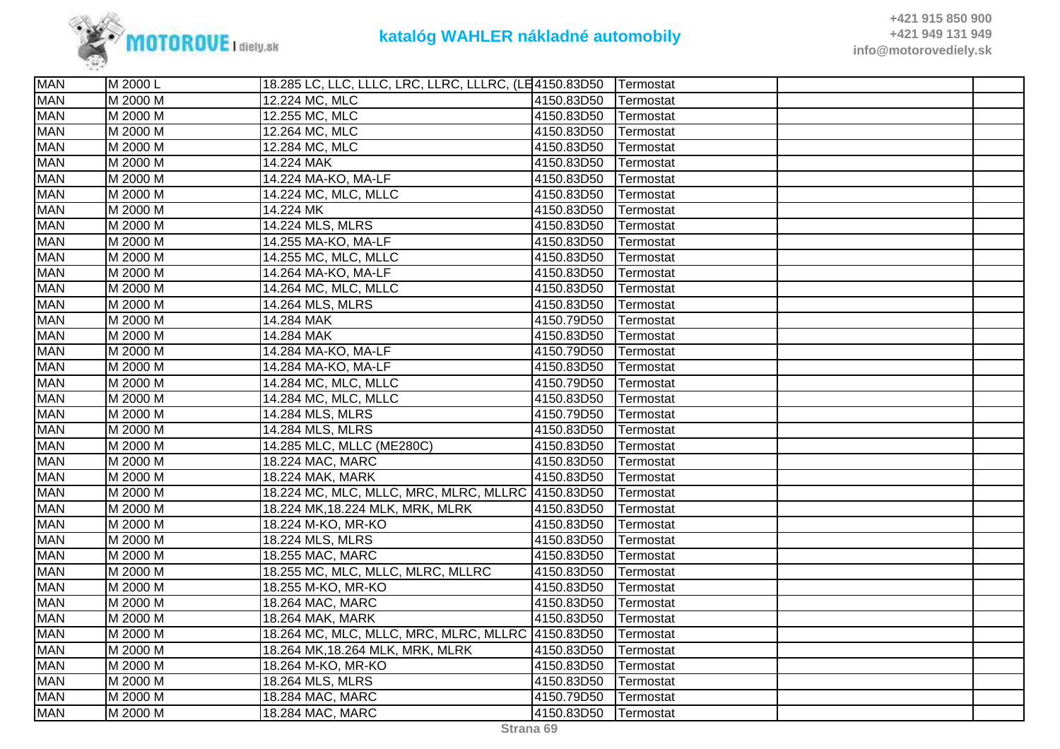

| <b>MAN</b> | M 2000 L | 18.285 LC, LLC, LLLC, LRC, LLRC, LLLRC, (LE4150.83D50 |            | Termostat |  |
|------------|----------|-------------------------------------------------------|------------|-----------|--|
| <b>MAN</b> | M 2000 M | 12.224 MC, MLC                                        | 4150.83D50 | Termostat |  |
| <b>MAN</b> | M 2000 M | 12.255 MC, MLC                                        | 4150.83D50 | Termostat |  |
| <b>MAN</b> | M 2000 M | 12.264 MC, MLC                                        | 4150.83D50 | Termostat |  |
| <b>MAN</b> | M 2000 M | 12.284 MC, MLC                                        | 4150.83D50 | Termostat |  |
| <b>MAN</b> | M 2000 M | 14.224 MAK                                            | 4150.83D50 | Termostat |  |
| <b>MAN</b> | M 2000 M | 14.224 MA-KO, MA-LF                                   | 4150.83D50 | Termostat |  |
| <b>MAN</b> | M 2000 M | 14.224 MC, MLC, MLLC                                  | 4150.83D50 | Termostat |  |
| <b>MAN</b> | M 2000 M | 14.224 MK                                             | 4150.83D50 | Termostat |  |
| <b>MAN</b> | M 2000 M | 14.224 MLS, MLRS                                      | 4150.83D50 | Termostat |  |
| <b>MAN</b> | M 2000 M | 14.255 MA-KO, MA-LF                                   | 4150.83D50 | Termostat |  |
| <b>MAN</b> | M 2000 M | 14.255 MC, MLC, MLLC                                  | 4150.83D50 | Termostat |  |
| <b>MAN</b> | M 2000 M | 14.264 MA-KO, MA-LF                                   | 4150.83D50 | Termostat |  |
| <b>MAN</b> | M 2000 M | 14.264 MC, MLC, MLLC                                  | 4150.83D50 | Termostat |  |
| <b>MAN</b> | M 2000 M | 14.264 MLS, MLRS                                      | 4150.83D50 | Termostat |  |
| <b>MAN</b> | M 2000 M | 14.284 MAK                                            | 4150.79D50 | Termostat |  |
| <b>MAN</b> | M 2000 M | 14.284 MAK                                            | 4150.83D50 | Termostat |  |
| <b>MAN</b> | M 2000 M | 14.284 MA-KO, MA-LF                                   | 4150.79D50 | Termostat |  |
| <b>MAN</b> | M 2000 M | 14.284 MA-KO, MA-LF                                   | 4150.83D50 | Termostat |  |
| <b>MAN</b> | M 2000 M | 14.284 MC, MLC, MLLC                                  | 4150.79D50 | Termostat |  |
| <b>MAN</b> | M 2000 M | 14.284 MC, MLC, MLLC                                  | 4150.83D50 | Termostat |  |
| <b>MAN</b> | M 2000 M | 14.284 MLS, MLRS                                      | 4150.79D50 | Termostat |  |
| <b>MAN</b> | M 2000 M | 14.284 MLS, MLRS                                      | 4150.83D50 | Termostat |  |
| <b>MAN</b> | M 2000 M | 14.285 MLC, MLLC (ME280C)                             | 4150.83D50 | Termostat |  |
| <b>MAN</b> | M 2000 M | 18.224 MAC, MARC                                      | 4150.83D50 | Termostat |  |
| <b>MAN</b> | M 2000 M | 18.224 MAK, MARK                                      | 4150.83D50 | Termostat |  |
| <b>MAN</b> | M 2000 M | 18.224 MC, MLC, MLLC, MRC, MLRC, MLLRC 4150.83D50     |            | Termostat |  |
| <b>MAN</b> | M 2000 M | 18.224 MK, 18.224 MLK, MRK, MLRK                      | 4150.83D50 | Termostat |  |
| <b>MAN</b> | M 2000 M | 18.224 M-KO, MR-KO                                    | 4150.83D50 | Termostat |  |
| <b>MAN</b> | M 2000 M | 18.224 MLS, MLRS                                      | 4150.83D50 | Termostat |  |
| <b>MAN</b> | M 2000 M | 18.255 MAC, MARC                                      | 4150.83D50 | Termostat |  |
| <b>MAN</b> | M 2000 M | 18.255 MC, MLC, MLLC, MLRC, MLLRC                     | 4150.83D50 | Termostat |  |
| <b>MAN</b> | M 2000 M | 18.255 M-KO, MR-KO                                    | 4150.83D50 | Termostat |  |
| <b>MAN</b> | M 2000 M | 18.264 MAC, MARC                                      | 4150.83D50 | Termostat |  |
| <b>MAN</b> | M 2000 M | 18.264 MAK, MARK                                      | 4150.83D50 | Termostat |  |
| <b>MAN</b> | M 2000 M | 18.264 MC, MLC, MLLC, MRC, MLRC, MLLRC 4150.83D50     |            | Termostat |  |
| <b>MAN</b> | M 2000 M | 18.264 MK, 18.264 MLK, MRK, MLRK                      | 4150.83D50 | Termostat |  |
| <b>MAN</b> | M 2000 M | 18.264 M-KO, MR-KO                                    | 4150.83D50 | Termostat |  |
| <b>MAN</b> | M 2000 M | 18.264 MLS, MLRS                                      | 4150.83D50 | Termostat |  |
| <b>MAN</b> | M 2000 M | 18.284 MAC, MARC                                      | 4150.79D50 | Termostat |  |
| <b>MAN</b> | M 2000 M | 18.284 MAC, MARC                                      | 4150.83D50 | Termostat |  |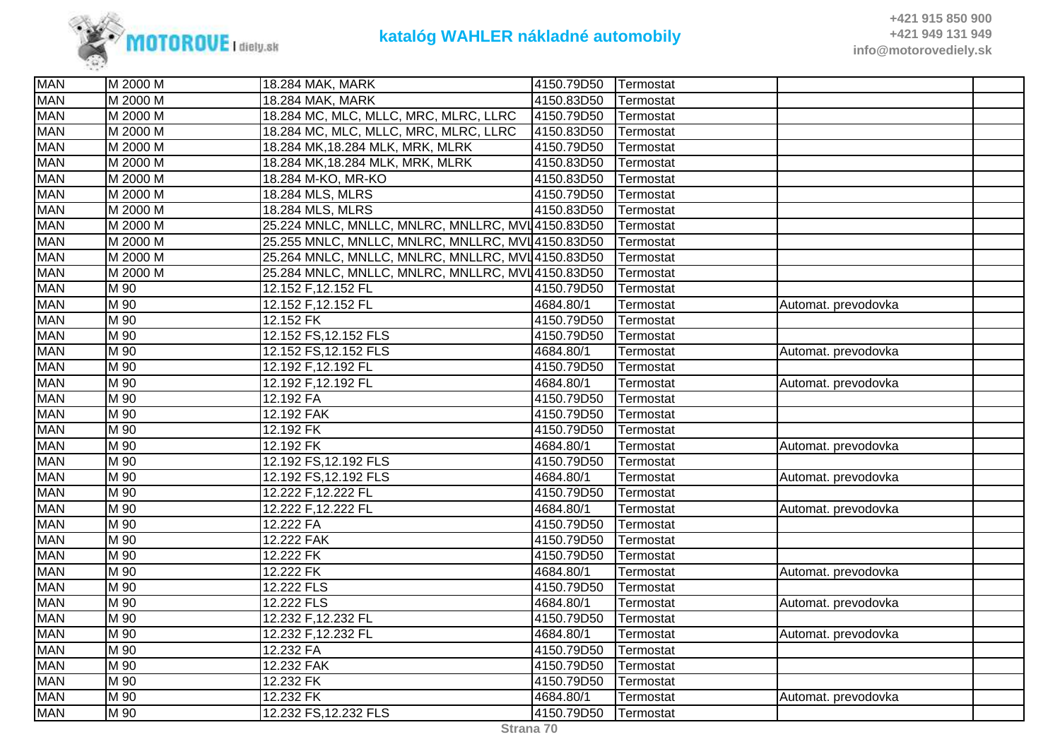

| <b>MAN</b> | M 2000 M          | 18.284 MAK, MARK                                  | 4150.79D50 | Termostat |                     |  |
|------------|-------------------|---------------------------------------------------|------------|-----------|---------------------|--|
| <b>MAN</b> | M 2000 M          | 18.284 MAK, MARK                                  | 4150.83D50 | Termostat |                     |  |
| <b>MAN</b> | M 2000 M          | 18.284 MC, MLC, MLLC, MRC, MLRC, LLRC             | 4150.79D50 | Termostat |                     |  |
| <b>MAN</b> | M 2000 M          | 18.284 MC, MLC, MLLC, MRC, MLRC, LLRC             | 4150.83D50 | Termostat |                     |  |
| <b>MAN</b> | M 2000 M          | 18.284 MK, 18.284 MLK, MRK, MLRK                  | 4150.79D50 | Termostat |                     |  |
| <b>MAN</b> | M 2000 M          | 18.284 MK, 18.284 MLK, MRK, MLRK                  | 4150.83D50 | Termostat |                     |  |
| <b>MAN</b> | M 2000 M          | 18.284 M-KO, MR-KO                                | 4150.83D50 | Termostat |                     |  |
| <b>MAN</b> | M 2000 M          | 18.284 MLS, MLRS                                  | 4150.79D50 | Termostat |                     |  |
| <b>MAN</b> | M 2000 M          | 18.284 MLS, MLRS                                  | 4150.83D50 | Termostat |                     |  |
| <b>MAN</b> | M 2000 M          | 25.224 MNLC, MNLLC, MNLRC, MNLLRC, MVI 4150.83D50 |            | Termostat |                     |  |
| <b>MAN</b> | M 2000 M          | 25.255 MNLC, MNLLC, MNLRC, MNLLRC, MVL4150.83D50  |            | Termostat |                     |  |
| <b>MAN</b> | M 2000 M          | 25.264 MNLC, MNLLC, MNLRC, MNLLRC, MVL4150.83D50  |            | Termostat |                     |  |
| <b>MAN</b> | M 2000 M          | 25.284 MNLC, MNLLC, MNLRC, MNLLRC, MVI 4150.83D50 |            | Termostat |                     |  |
| <b>MAN</b> | M 90              | 12.152 F, 12.152 FL                               | 4150.79D50 | Termostat |                     |  |
| <b>MAN</b> | M 90              | 12.152 F,12.152 FL                                | 4684.80/1  | Termostat | Automat. prevodovka |  |
| <b>MAN</b> | M 90              | 12.152 FK                                         | 4150.79D50 | Termostat |                     |  |
| <b>MAN</b> | M 90              | 12.152 FS, 12.152 FLS                             | 4150.79D50 | Termostat |                     |  |
| <b>MAN</b> | M 90              | 12.152 FS, 12.152 FLS                             | 4684.80/1  | Termostat | Automat. prevodovka |  |
| <b>MAN</b> | M 90              | 12.192 F,12.192 FL                                | 4150.79D50 | Termostat |                     |  |
| <b>MAN</b> | M 90              | 12.192 F, 12.192 FL                               | 4684.80/1  | Termostat | Automat. prevodovka |  |
| <b>MAN</b> | M 90              | 12.192 FA                                         | 4150.79D50 | Termostat |                     |  |
| <b>MAN</b> | M 90              | 12.192 FAK                                        | 4150.79D50 | Termostat |                     |  |
| <b>MAN</b> | $M_{90}$          | 12.192 FK                                         | 4150.79D50 | Termostat |                     |  |
| <b>MAN</b> | M 90              | 12.192 FK                                         | 4684.80/1  | Termostat | Automat. prevodovka |  |
| <b>MAN</b> | M 90              | 12.192 FS, 12.192 FLS                             | 4150.79D50 | Termostat |                     |  |
| <b>MAN</b> | $\overline{M}$ 90 | 12.192 FS, 12.192 FLS                             | 4684.80/1  | Termostat | Automat. prevodovka |  |
| <b>MAN</b> | M 90              | 12.222 F, 12.222 FL                               | 4150.79D50 | Termostat |                     |  |
| <b>MAN</b> | M 90              | 12.222 F, 12.222 FL                               | 4684.80/1  | Termostat | Automat. prevodovka |  |
| <b>MAN</b> | M 90              | 12.222FA                                          | 4150.79D50 | Termostat |                     |  |
| <b>MAN</b> | M 90              | 12.222 FAK                                        | 4150.79D50 | Termostat |                     |  |
| <b>MAN</b> | M 90              | 12.222 FK                                         | 4150.79D50 | Termostat |                     |  |
| <b>MAN</b> | M 90              | 12.222 FK                                         | 4684.80/1  | Termostat | Automat. prevodovka |  |
| <b>MAN</b> | M 90              | 12.222 FLS                                        | 4150.79D50 | Termostat |                     |  |
| <b>MAN</b> | M 90              | 12.222 FLS                                        | 4684.80/1  | Termostat | Automat. prevodovka |  |
| <b>MAN</b> | M 90              | 12.232 F, 12.232 FL                               | 4150.79D50 | Termostat |                     |  |
| <b>MAN</b> | M 90              | 12.232 F, 12.232 FL                               | 4684.80/1  | Termostat | Automat. prevodovka |  |
| <b>MAN</b> | M 90              | 12.232 FA                                         | 4150.79D50 | Termostat |                     |  |
| <b>MAN</b> | M 90              | 12.232 FAK                                        | 4150.79D50 | Termostat |                     |  |
| <b>MAN</b> | M 90              | 12.232 FK                                         | 4150.79D50 | Termostat |                     |  |
| <b>MAN</b> | $\overline{M}$ 90 | 12.232 FK                                         | 4684.80/1  | Termostat | Automat. prevodovka |  |
| <b>MAN</b> | M 90              | 12.232 FS, 12.232 FLS                             | 4150.79D50 | Termostat |                     |  |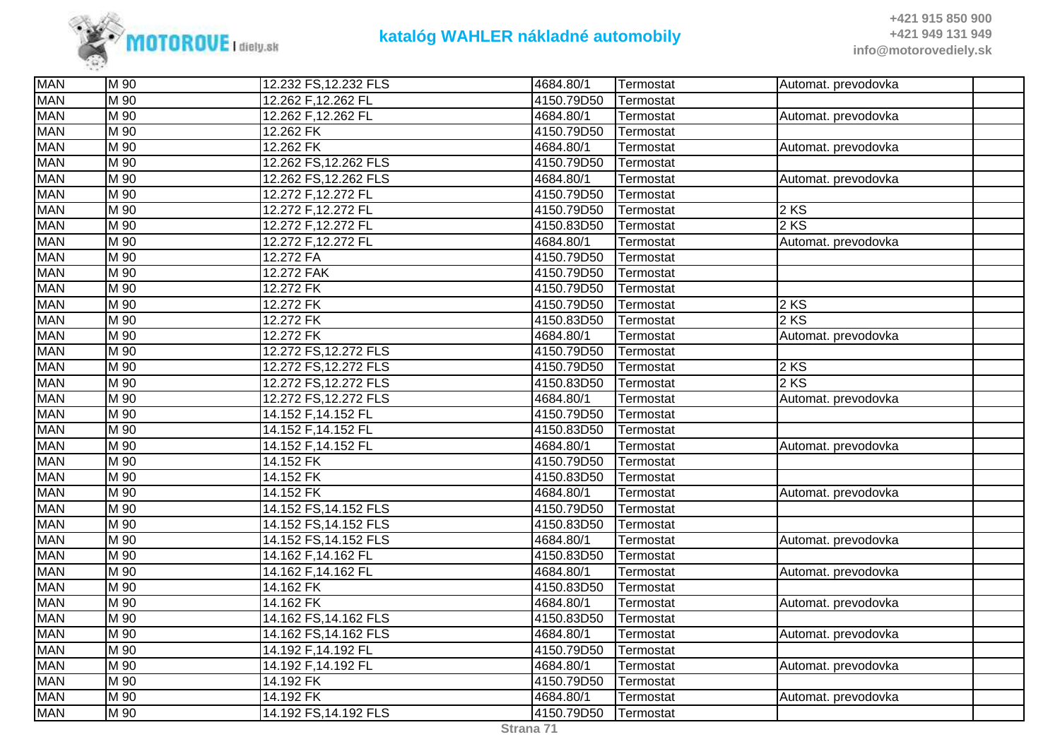

| <b>MAN</b> | M 90              | 12.232 FS, 12.232 FLS | 4684.80/1  | Termostat | Automat. prevodovka |  |
|------------|-------------------|-----------------------|------------|-----------|---------------------|--|
| <b>MAN</b> | M 90              | 12.262 F, 12.262 FL   | 4150.79D50 | Termostat |                     |  |
| <b>MAN</b> | M 90              | 12.262 F,12.262 FL    | 4684.80/1  | Termostat | Automat. prevodovka |  |
| <b>MAN</b> | M 90              | 12.262 FK             | 4150.79D50 | Termostat |                     |  |
| <b>MAN</b> | M 90              | 12.262 FK             | 4684.80/1  | Termostat | Automat. prevodovka |  |
| <b>MAN</b> | M 90              | 12.262 FS, 12.262 FLS | 4150.79D50 | Termostat |                     |  |
| <b>MAN</b> | M 90              | 12.262 FS, 12.262 FLS | 4684.80/1  | Termostat | Automat. prevodovka |  |
| <b>MAN</b> | M 90              | 12.272 F, 12.272 FL   | 4150.79D50 | Termostat |                     |  |
| <b>MAN</b> | M 90              | 12.272 F,12.272 FL    | 4150.79D50 | Termostat | $2$ KS              |  |
| <b>MAN</b> | M 90              | 12.272 F,12.272 FL    | 4150.83D50 | Termostat | 2 KS                |  |
| <b>MAN</b> | M 90              | 12.272 F, 12.272 FL   | 4684.80/1  | Termostat | Automat. prevodovka |  |
| <b>MAN</b> | M 90              | 12.272 FA             | 4150.79D50 | Termostat |                     |  |
| <b>MAN</b> | M 90              | 12.272 FAK            | 4150.79D50 | Termostat |                     |  |
| <b>MAN</b> | M 90              | 12.272 FK             | 4150.79D50 | Termostat |                     |  |
| <b>MAN</b> | M 90              | 12.272 FK             | 4150.79D50 | Termostat | $2$ KS              |  |
| <b>MAN</b> | M 90              | 12.272 FK             | 4150.83D50 | Termostat | $2$ KS              |  |
| <b>MAN</b> | $M_{90}$          | 12.272 FK             | 4684.80/1  | Termostat | Automat. prevodovka |  |
| <b>MAN</b> | M 90              | 12.272 FS, 12.272 FLS | 4150.79D50 | Termostat |                     |  |
| <b>MAN</b> | M 90              | 12.272 FS, 12.272 FLS | 4150.79D50 | Termostat | $2$ KS              |  |
| <b>MAN</b> | M 90              | 12.272 FS, 12.272 FLS | 4150.83D50 | Termostat | 2 KS                |  |
| <b>MAN</b> | M 90              | 12.272 FS, 12.272 FLS | 4684.80/1  | Termostat | Automat. prevodovka |  |
| <b>MAN</b> | M 90              | 14.152 F, 14.152 FL   | 4150.79D50 | Termostat |                     |  |
| <b>MAN</b> | $\overline{M}$ 90 | 14.152 F, 14.152 FL   | 4150.83D50 | Termostat |                     |  |
| <b>MAN</b> | M 90              | 14.152 F, 14.152 FL   | 4684.80/1  | Termostat | Automat. prevodovka |  |
| <b>MAN</b> | M 90              | 14.152 FK             | 4150.79D50 | Termostat |                     |  |
| <b>MAN</b> | M 90              | 14.152 FK             | 4150.83D50 | Termostat |                     |  |
| <b>MAN</b> | M 90              | 14.152 FK             | 4684.80/1  | Termostat | Automat. prevodovka |  |
| <b>MAN</b> | $M_{90}$          | 14.152 FS, 14.152 FLS | 4150.79D50 | Termostat |                     |  |
| <b>MAN</b> | M 90              | 14.152 FS, 14.152 FLS | 4150.83D50 | Termostat |                     |  |
| <b>MAN</b> | M 90              | 14.152 FS, 14.152 FLS | 4684.80/1  | Termostat | Automat. prevodovka |  |
| <b>MAN</b> | M 90              | 14.162 F,14.162 FL    | 4150.83D50 | Termostat |                     |  |
| <b>MAN</b> | M 90              | 14.162 F,14.162 FL    | 4684.80/1  | Termostat | Automat. prevodovka |  |
| <b>MAN</b> | M 90              | 14.162 FK             | 4150.83D50 | Termostat |                     |  |
| <b>MAN</b> | $M_{90}$          | 14.162 FK             | 4684.80/1  | Termostat | Automat. prevodovka |  |
| <b>MAN</b> | M 90              | 14.162 FS, 14.162 FLS | 4150.83D50 | Termostat |                     |  |
| <b>MAN</b> | M 90              | 14.162 FS, 14.162 FLS | 4684.80/1  | Termostat | Automat. prevodovka |  |
| <b>MAN</b> | M 90              | 14.192 F,14.192 FL    | 4150.79D50 | Termostat |                     |  |
| <b>MAN</b> | M 90              | 14.192 F,14.192 FL    | 4684.80/1  | Termostat | Automat. prevodovka |  |
| <b>MAN</b> | $M$ 90            | 14.192 FK             | 4150.79D50 | Termostat |                     |  |
| <b>MAN</b> | M 90              | 14.192 FK             | 4684.80/1  | Termostat | Automat. prevodovka |  |
| <b>MAN</b> | M 90              | 14.192 FS, 14.192 FLS | 4150.79D50 | Termostat |                     |  |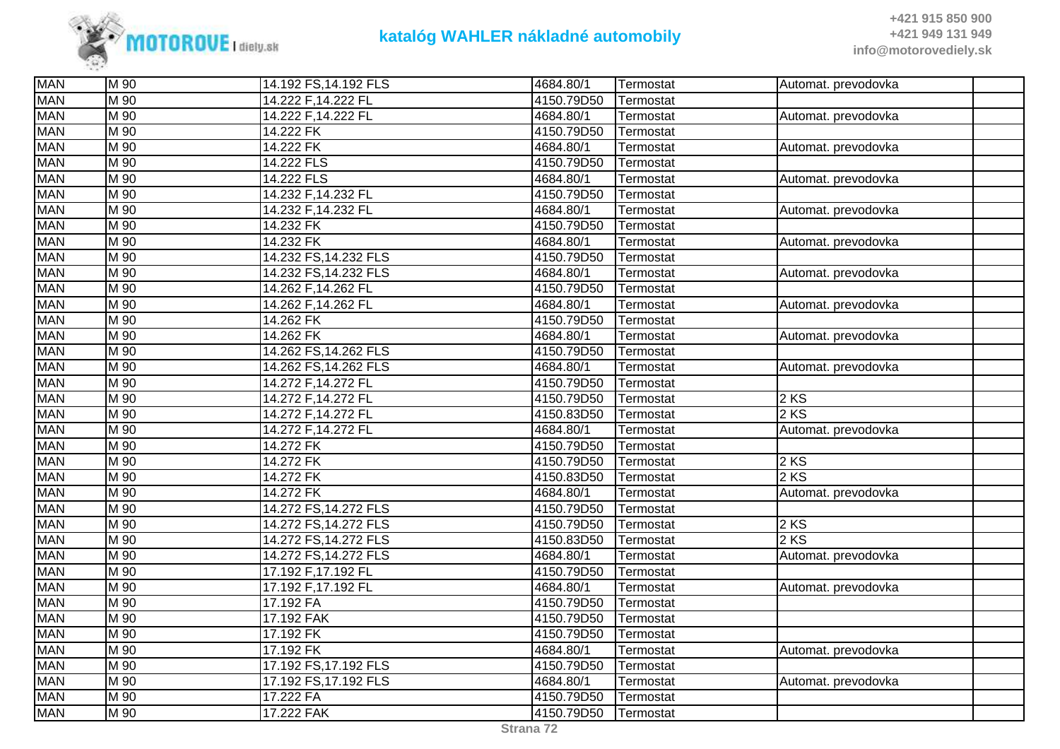

| <b>MAN</b> | M 90              | 14.192 FS, 14.192 FLS | 4684.80/1  | Termostat | Automat. prevodovka |
|------------|-------------------|-----------------------|------------|-----------|---------------------|
| <b>MAN</b> | M 90              | 14.222 F, 14.222 FL   | 4150.79D50 | Termostat |                     |
| <b>MAN</b> | $\overline{M}$ 90 | 14.222 F,14.222 FL    | 4684.80/1  | Termostat | Automat. prevodovka |
| <b>MAN</b> | M 90              | 14.222 FK             | 4150.79D50 | Termostat |                     |
| <b>MAN</b> | M 90              | 14.222 FK             | 4684.80/1  | Termostat | Automat. prevodovka |
| <b>MAN</b> | M 90              | 14.222 FLS            | 4150.79D50 | Termostat |                     |
| <b>MAN</b> | M 90              | 14.222 FLS            | 4684.80/1  | Termostat | Automat. prevodovka |
| <b>MAN</b> | M 90              | 14.232 F,14.232 FL    | 4150.79D50 | Termostat |                     |
| <b>MAN</b> | M 90              | 14.232 F,14.232 FL    | 4684.80/1  | Termostat | Automat. prevodovka |
| <b>MAN</b> | M 90              | 14.232 FK             | 4150.79D50 | Termostat |                     |
| <b>MAN</b> | $\overline{M}$ 90 | 14.232 FK             | 4684.80/1  | Termostat | Automat. prevodovka |
| <b>MAN</b> | $\overline{M}$ 90 | 14.232 FS, 14.232 FLS | 4150.79D50 | Termostat |                     |
| <b>MAN</b> | M 90              | 14.232 FS, 14.232 FLS | 4684.80/1  | Termostat | Automat. prevodovka |
| <b>MAN</b> | M 90              | 14.262 F, 14.262 FL   | 4150.79D50 | Termostat |                     |
| <b>MAN</b> | $\overline{M}$ 90 | 14.262 F, 14.262 FL   | 4684.80/1  | Termostat | Automat. prevodovka |
| <b>MAN</b> | $\overline{M}$ 90 | 14.262 FK             | 4150.79D50 | Termostat |                     |
| <b>MAN</b> | M 90              | 14.262 FK             | 4684.80/1  | Termostat | Automat. prevodovka |
| <b>MAN</b> | M 90              | 14.262 FS, 14.262 FLS | 4150.79D50 | Termostat |                     |
| <b>MAN</b> | M 90              | 14.262 FS, 14.262 FLS | 4684.80/1  | Termostat | Automat. prevodovka |
| <b>MAN</b> | M 90              | 14.272 F,14.272 FL    | 4150.79D50 | Termostat |                     |
| <b>MAN</b> | M 90              | 14.272 F, 14.272 FL   | 4150.79D50 | Termostat | 2 KS                |
| <b>MAN</b> | M 90              | 14.272 F,14.272 FL    | 4150.83D50 | Termostat | 2 KS                |
| <b>MAN</b> | M 90              | 14.272 F, 14.272 FL   | 4684.80/1  | Termostat | Automat. prevodovka |
| <b>MAN</b> | M 90              | 14.272 FK             | 4150.79D50 | Termostat |                     |
| <b>MAN</b> | M 90              | 14.272 FK             | 4150.79D50 | Termostat | 2 KS                |
| <b>MAN</b> | M 90              | 14.272 FK             | 4150.83D50 | Termostat | $2$ KS              |
| <b>MAN</b> | M 90              | 14.272 FK             | 4684.80/1  | Termostat | Automat. prevodovka |
| <b>MAN</b> | M 90              | 14.272 FS, 14.272 FLS | 4150.79D50 | Termostat |                     |
| <b>MAN</b> | M <sub>90</sub>   | 14.272 FS, 14.272 FLS | 4150.79D50 | Termostat | $2$ KS              |
| <b>MAN</b> | M 90              | 14.272 FS, 14.272 FLS | 4150.83D50 | Termostat | 2 KS                |
| <b>MAN</b> | M 90              | 14.272 FS, 14.272 FLS | 4684.80/1  | Termostat | Automat. prevodovka |
| <b>MAN</b> | $\overline{M}$ 90 | 17.192 F,17.192 FL    | 4150.79D50 | Termostat |                     |
| <b>MAN</b> | M 90              | 17.192 F,17.192 FL    | 4684.80/1  | Termostat | Automat. prevodovka |
| <b>MAN</b> | M 90              | 17.192 FA             | 4150.79D50 | Termostat |                     |
| <b>MAN</b> | M 90              | 17.192 FAK            | 4150.79D50 | Termostat |                     |
| <b>MAN</b> | M 90              | 17.192 FK             | 4150.79D50 | Termostat |                     |
| <b>MAN</b> | M 90              | 17.192 FK             | 4684.80/1  | Termostat | Automat. prevodovka |
| <b>MAN</b> | $\overline{M}$ 90 | 17.192 FS, 17.192 FLS | 4150.79D50 | Termostat |                     |
| <b>MAN</b> | M 90              | 17.192 FS, 17.192 FLS | 4684.80/1  | Termostat | Automat. prevodovka |
| <b>MAN</b> | M 90              | 17.222 FA             | 4150.79D50 | Termostat |                     |
| <b>MAN</b> | M 90              | 17.222 FAK            | 4150.79D50 | Termostat |                     |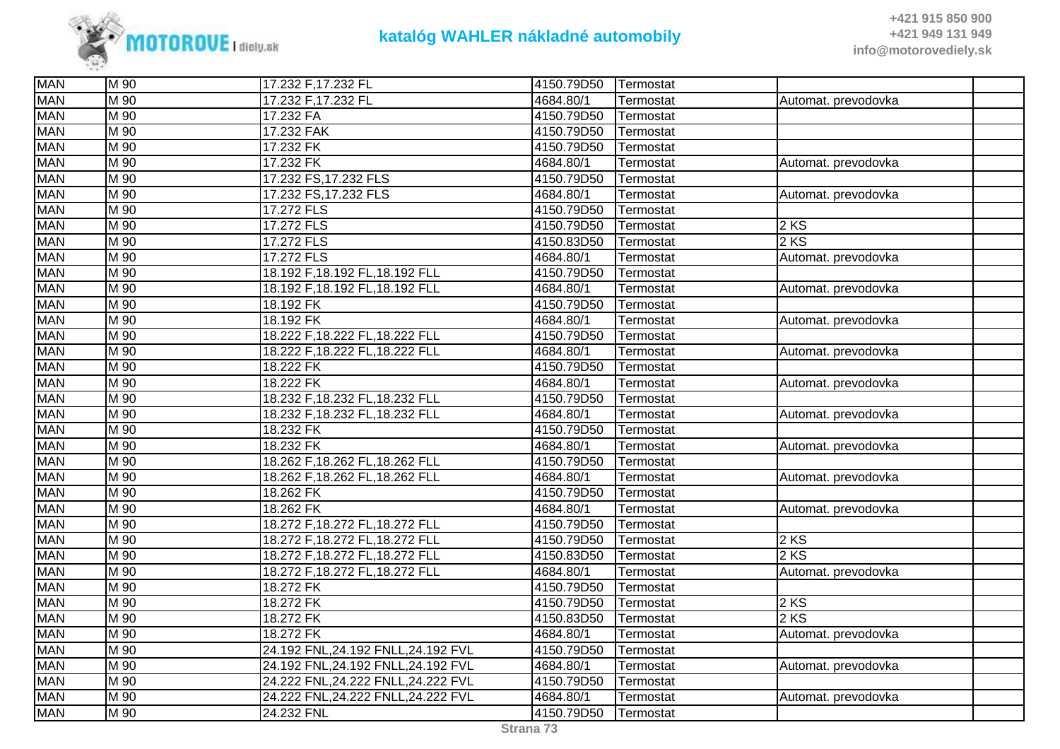

| <b>MAN</b> | M 90              | 17.232 F, 17.232 FL                 | 4150.79D50 | Termostat |                     |  |
|------------|-------------------|-------------------------------------|------------|-----------|---------------------|--|
| <b>MAN</b> | $\overline{M}$ 90 | 17.232 F,17.232 FL                  | 4684.80/1  | Termostat | Automat. prevodovka |  |
| <b>MAN</b> | M 90              | 17.232 FA                           | 4150.79D50 | Termostat |                     |  |
| <b>MAN</b> | M 90              | 17.232 FAK                          | 4150.79D50 | Termostat |                     |  |
| <b>MAN</b> | M 90              | 17.232 FK                           | 4150.79D50 | Termostat |                     |  |
| <b>MAN</b> | M 90              | 17.232 FK                           | 4684.80/1  | Termostat | Automat. prevodovka |  |
| <b>MAN</b> | M 90              | 17.232 FS, 17.232 FLS               | 4150.79D50 | Termostat |                     |  |
| <b>MAN</b> | M 90              | 17.232 FS, 17.232 FLS               | 4684.80/1  | Termostat | Automat. prevodovka |  |
| <b>MAN</b> | M 90              | 17.272 FLS                          | 4150.79D50 | Termostat |                     |  |
| <b>MAN</b> | $\overline{M}$ 90 | 17.272 FLS                          | 4150.79D50 | Termostat | 2 KS                |  |
| <b>MAN</b> | M 90              | 17.272 FLS                          | 4150.83D50 | Termostat | 2 KS                |  |
| <b>MAN</b> | M 90              | 17.272 FLS                          | 4684.80/1  | Termostat | Automat. prevodovka |  |
| <b>MAN</b> | M 90              | 18.192 F, 18.192 FL, 18.192 FLL     | 4150.79D50 | Termostat |                     |  |
| <b>MAN</b> | $\overline{M}$ 90 | 18.192 F, 18.192 FL, 18.192 FLL     | 4684.80/1  | Termostat | Automat. prevodovka |  |
| <b>MAN</b> | M 90              | 18.192 FK                           | 4150.79D50 | Termostat |                     |  |
| <b>MAN</b> | $\overline{M}$ 90 | 18.192 FK                           | 4684.80/1  | Termostat | Automat. prevodovka |  |
| <b>MAN</b> | $\overline{M}$ 90 | 18.222 F, 18.222 FL, 18.222 FLL     | 4150.79D50 | Termostat |                     |  |
| <b>MAN</b> | M 90              | 18.222 F, 18.222 FL, 18.222 FLL     | 4684.80/1  | Termostat | Automat. prevodovka |  |
| <b>MAN</b> | M 90              | 18.222 FK                           | 4150.79D50 | Termostat |                     |  |
| <b>MAN</b> | M 90              | 18.222 FK                           | 4684.80/1  | Termostat | Automat. prevodovka |  |
| <b>MAN</b> | M 90              | 18.232 F,18.232 FL,18.232 FLL       | 4150.79D50 | Termostat |                     |  |
| <b>MAN</b> | M 90              | 18.232 F, 18.232 FL, 18.232 FLL     | 4684.80/1  | Termostat | Automat. prevodovka |  |
| <b>MAN</b> | M 90              | 18.232 FK                           | 4150.79D50 | Termostat |                     |  |
| <b>MAN</b> | M 90              | 18.232 FK                           | 4684.80/1  | Termostat | Automat. prevodovka |  |
| <b>MAN</b> | M 90              | 18.262 F, 18.262 FL, 18.262 FLL     | 4150.79D50 | Termostat |                     |  |
| <b>MAN</b> | M 90              | 18.262 F,18.262 FL,18.262 FLL       | 4684.80/1  | Termostat | Automat. prevodovka |  |
| <b>MAN</b> | M 90              | 18.262 FK                           | 4150.79D50 | Termostat |                     |  |
| <b>MAN</b> | M 90              | 18.262 FK                           | 4684.80/1  | Termostat | Automat. prevodovka |  |
| <b>MAN</b> | M 90              | 18.272 F, 18.272 FL, 18.272 FLL     | 4150.79D50 | Termostat |                     |  |
| <b>MAN</b> | M 90              | 18.272 F, 18.272 FL, 18.272 FLL     | 4150.79D50 | Termostat | 2 KS                |  |
| <b>MAN</b> | M 90              | 18.272 F, 18.272 FL, 18.272 FLL     | 4150.83D50 | Termostat | 2 KS                |  |
| <b>MAN</b> | M 90              | 18.272 F, 18.272 FL, 18.272 FLL     | 4684.80/1  | Termostat | Automat. prevodovka |  |
| <b>MAN</b> | M 90              | 18.272 FK                           | 4150.79D50 | Termostat |                     |  |
| <b>MAN</b> | M 90              | 18.272 FK                           | 4150.79D50 | Termostat | 2 KS                |  |
| <b>MAN</b> | M 90              | 18.272 FK                           | 4150.83D50 | Termostat | 2 KS                |  |
| <b>MAN</b> | M 90              | 18.272 FK                           | 4684.80/1  | Termostat | Automat. prevodovka |  |
| <b>MAN</b> | M 90              | 24.192 FNL, 24.192 FNLL, 24.192 FVL | 4150.79D50 | Termostat |                     |  |
| <b>MAN</b> | M 90              | 24.192 FNL, 24.192 FNLL, 24.192 FVL | 4684.80/1  | Termostat | Automat. prevodovka |  |
| <b>MAN</b> | M 90              | 24.222 FNL,24.222 FNLL,24.222 FVL   | 4150.79D50 | Termostat |                     |  |
| <b>MAN</b> | M 90              | 24.222 FNL,24.222 FNLL,24.222 FVL   | 4684.80/1  | Termostat | Automat. prevodovka |  |
| <b>MAN</b> | M 90              | 24.232 FNL                          | 4150.79D50 | Termostat |                     |  |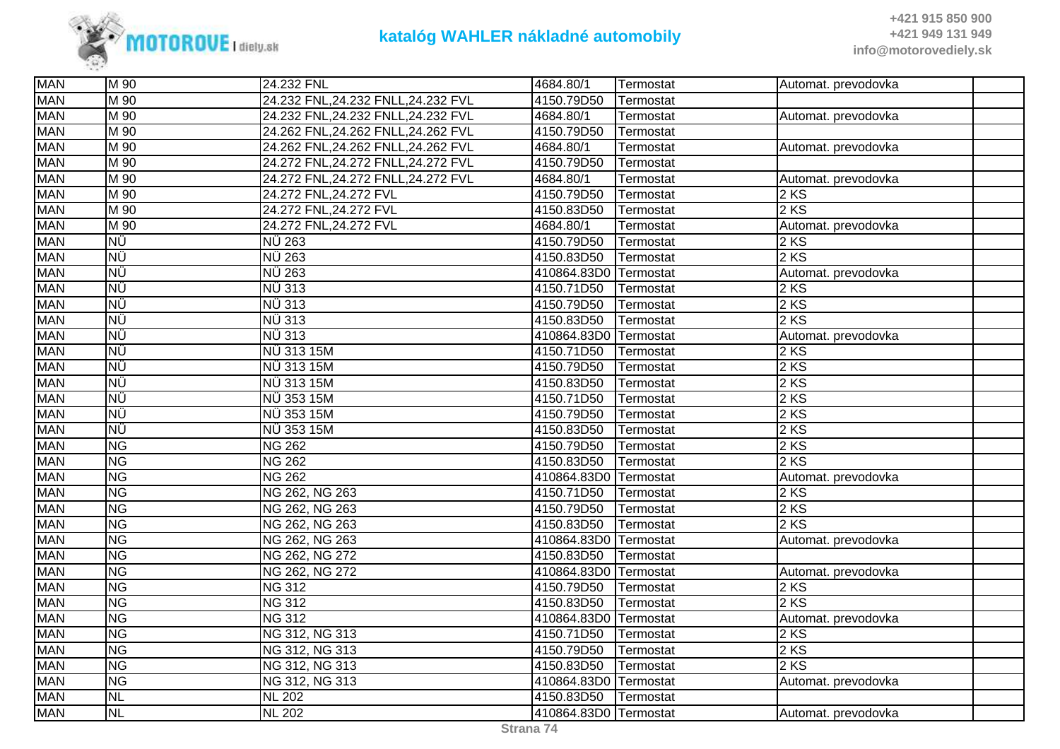

| <b>MAN</b> | M 90           | 24.232 FNL                        | 4684.80/1             | Termostat | Automat. prevodovka |
|------------|----------------|-----------------------------------|-----------------------|-----------|---------------------|
| <b>MAN</b> | M 90           | 24.232 FNL,24.232 FNLL,24.232 FVL | 4150.79D50            | Termostat |                     |
| <b>MAN</b> | M 90           | 24.232 FNL,24.232 FNLL,24.232 FVL | 4684.80/1             | Termostat | Automat. prevodovka |
| <b>MAN</b> | M 90           | 24.262 FNL,24.262 FNLL,24.262 FVL | 4150.79D50            | Termostat |                     |
| <b>MAN</b> | M 90           | 24.262 FNL,24.262 FNLL,24.262 FVL | 4684.80/1             | Termostat | Automat. prevodovka |
| <b>MAN</b> | M 90           | 24.272 FNL,24.272 FNLL,24.272 FVL | 4150.79D50            | Termostat |                     |
| <b>MAN</b> | M 90           | 24.272 FNL,24.272 FNLL,24.272 FVL | 4684.80/1             | Termostat | Automat. prevodovka |
| <b>MAN</b> | M 90           | 24.272 FNL, 24.272 FVL            | 4150.79D50            | Termostat | 2 KS                |
| <b>MAN</b> | M 90           | 24.272 FNL, 24.272 FVL            | 4150.83D50            | Termostat | 2 KS                |
| <b>MAN</b> | M 90           | 24.272 FNL, 24.272 FVL            | 4684.80/1             | Termostat | Automat. prevodovka |
| <b>MAN</b> | ΝÜ             | NÜ 263                            | 4150.79D50            | Termostat | 2 KS                |
| <b>MAN</b> | ΝÜ             | <b>NÜ 263</b>                     | 4150.83D50            | Termostat | 2 KS                |
| <b>MAN</b> | ΝÜ             | <b>NÜ 263</b>                     | 410864.83D0 Termostat |           | Automat. prevodovka |
| <b>MAN</b> | ΝÜ             | NÜ 313                            | 4150.71D50            | Termostat | 2 KS                |
| <b>MAN</b> | ΝÜ             | NÜ 313                            | 4150.79D50            | Termostat | 2 KS                |
| <b>MAN</b> | ΝÜ             | <b>NÜ 313</b>                     | 4150.83D50            | Termostat | 2 KS                |
| <b>MAN</b> | ΝÜ             | NÜ 313                            | 410864.83D0 Termostat |           | Automat. prevodovka |
| <b>MAN</b> | ΝÜ             | NÜ 313 15M                        | 4150.71D50            | Termostat | $2$ KS              |
| <b>MAN</b> | ΝÜ             | NÜ 313 15M                        | 4150.79D50            | Termostat | 2 KS                |
| <b>MAN</b> | ΝÜ             | NÜ 313 15M                        | 4150.83D50            | Termostat | 2 KS                |
| <b>MAN</b> | ΝÜ             | NÜ 353 15M                        | 4150.71D50            | Termostat | 2 KS                |
| <b>MAN</b> | ΝÜ             | NÜ 353 15M                        | 4150.79D50            | Termostat | 2 KS                |
| <b>MAN</b> | ΝÜ             | NÜ 353 15M                        | 4150.83D50            | Termostat | 2 KS                |
| <b>MAN</b> | <b>NG</b>      | <b>NG 262</b>                     | 4150.79D50            | Termostat | 2 KS                |
| <b>MAN</b> | <b>NG</b>      | <b>NG 262</b>                     | 4150.83D50            | Termostat | 2 KS                |
| <b>MAN</b> | <b>NG</b>      | <b>NG 262</b>                     | 410864.83D0 Termostat |           | Automat. prevodovka |
| <b>MAN</b> | N <sub>G</sub> | NG 262, NG 263                    | 4150.71D50            | Termostat | 2 KS                |
| <b>MAN</b> | <b>NG</b>      | NG 262, NG 263                    | 4150.79D50            | Termostat | 2 KS                |
| <b>MAN</b> | N <sub>G</sub> | NG 262, NG 263                    | 4150.83D50            | Termostat | 2 KS                |
| <b>MAN</b> | <b>NG</b>      | NG 262, NG 263                    | 410864.83D0 Termostat |           | Automat. prevodovka |
| <b>MAN</b> | <b>NG</b>      | NG 262, NG 272                    | 4150.83D50            | Termostat |                     |
| <b>MAN</b> | N <sub>G</sub> | NG 262, NG 272                    | 410864.83D0 Termostat |           | Automat. prevodovka |
| <b>MAN</b> | <b>NG</b>      | <b>NG 312</b>                     | 4150.79D50            | Termostat | 2KS                 |
| <b>MAN</b> | <b>NG</b>      | <b>NG 312</b>                     | 4150.83D50            | Termostat | 2 KS                |
| <b>MAN</b> | <b>NG</b>      | <b>NG 312</b>                     | 410864.83D0 Termostat |           | Automat. prevodovka |
| <b>MAN</b> | <b>NG</b>      | NG 312, NG 313                    | 4150.71D50            | Termostat | 2 KS                |
| <b>MAN</b> | <b>NG</b>      | NG 312, NG 313                    | 4150.79D50            | Termostat | 2 KS                |
| <b>MAN</b> | <b>NG</b>      | NG 312, NG 313                    | 4150.83D50            | Termostat | 2 KS                |
| <b>MAN</b> | <b>NG</b>      | NG 312, NG 313                    | 410864.83D0 Termostat |           | Automat. prevodovka |
| <b>MAN</b> | <b>NL</b>      | <b>NL 202</b>                     | 4150.83D50            | Termostat |                     |
| <b>MAN</b> | <b>NL</b>      | <b>NL 202</b>                     | 410864.83D0 Termostat |           | Automat. prevodovka |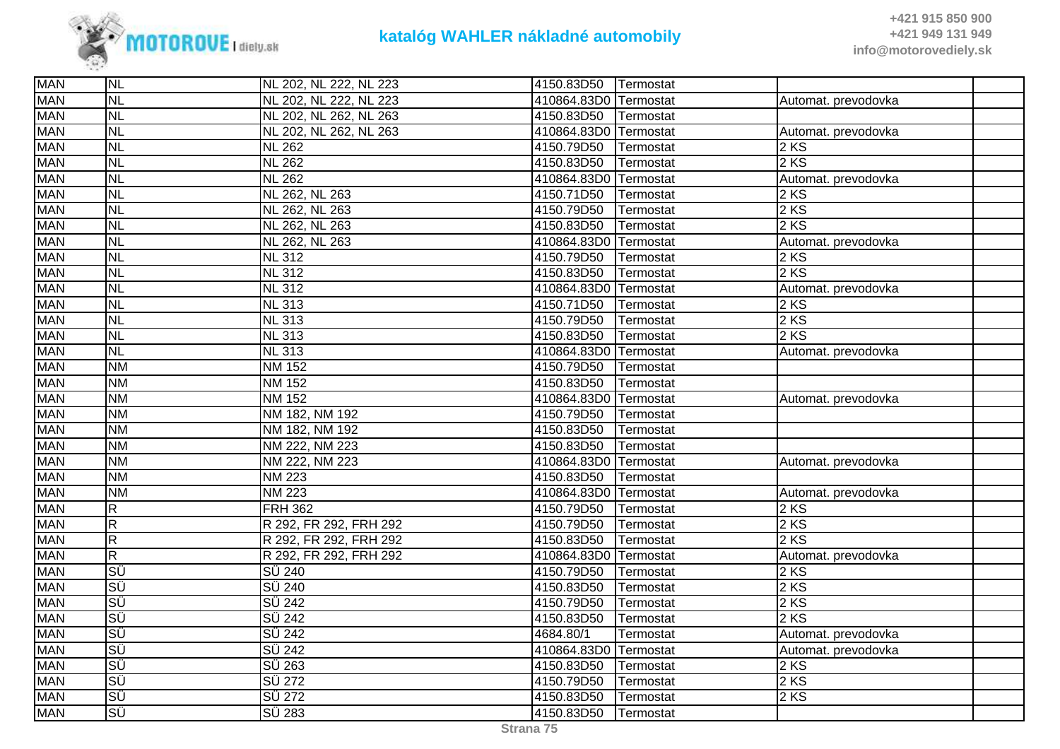

| <b>MAN</b> | <b>NL</b>               | NL 202, NL 222, NL 223     | 4150.83D50            | Termostat |                     |  |
|------------|-------------------------|----------------------------|-----------------------|-----------|---------------------|--|
| <b>MAN</b> | <b>NL</b>               | NL 202, NL 222, NL 223     | 410864.83D0 Termostat |           | Automat. prevodovka |  |
| <b>MAN</b> | <b>NL</b>               | NL 202, NL 262, NL 263     | 4150.83D50            | Termostat |                     |  |
| <b>MAN</b> | <b>NL</b>               | NL 202, NL 262, NL 263     | 410864.83D0 Termostat |           | Automat. prevodovka |  |
| <b>MAN</b> | <b>NL</b>               | <b>NL 262</b>              | 4150.79D50            | Termostat | $2$ KS              |  |
| <b>MAN</b> | <b>NL</b>               | <b>NL 262</b>              | 4150.83D50            | Termostat | 2 KS                |  |
| <b>MAN</b> | <b>NL</b>               | <b>NL 262</b>              | 410864.83D0 Termostat |           | Automat. prevodovka |  |
| <b>MAN</b> | <b>NL</b>               | NL 262, NL 263             | 4150.71D50            | Termostat | 2 KS                |  |
| <b>MAN</b> | <b>NL</b>               | NL 262, NL 263             | 4150.79D50            | Termostat | $2$ KS              |  |
| <b>MAN</b> | <b>NL</b>               | NL 262, NL 263             | 4150.83D50            | Termostat | 2 KS                |  |
| <b>MAN</b> | <b>NL</b>               | NL 262, NL 263             | 410864.83D0 Termostat |           | Automat. prevodovka |  |
| <b>MAN</b> | <b>NL</b>               | $\overline{\text{NL}}$ 312 | 4150.79D50            | Termostat | $2$ KS              |  |
| <b>MAN</b> | <b>NL</b>               | <b>NL 312</b>              | 4150.83D50            | Termostat | 2 KS                |  |
| <b>MAN</b> | <b>NL</b>               | <b>NL 312</b>              | 410864.83D0 Termostat |           | Automat. prevodovka |  |
| <b>MAN</b> | <b>NL</b>               | <b>NL 313</b>              | 4150.71D50            | Termostat | $2$ KS              |  |
| <b>MAN</b> | <b>NL</b>               | <b>NL 313</b>              | 4150.79D50            | Termostat | 2 KS                |  |
| <b>MAN</b> | <b>NL</b>               | <b>NL 313</b>              | 4150.83D50            | Termostat | 2 KS                |  |
| <b>MAN</b> | <b>NL</b>               | <b>NL 313</b>              | 410864.83D0 Termostat |           | Automat. prevodovka |  |
| <b>MAN</b> | <b>NM</b>               | <b>NM 152</b>              | 4150.79D50            | Termostat |                     |  |
| <b>MAN</b> | <b>NM</b>               | <b>NM 152</b>              | 4150.83D50            | Termostat |                     |  |
| <b>MAN</b> | <b>NM</b>               | <b>NM 152</b>              | 410864.83D0 Termostat |           | Automat. prevodovka |  |
| <b>MAN</b> | <b>NM</b>               | NM 182, NM 192             | 4150.79D50            | Termostat |                     |  |
| <b>MAN</b> | <b>NM</b>               | NM 182, NM 192             | 4150.83D50            | Termostat |                     |  |
| <b>MAN</b> | <b>NM</b>               | NM 222, NM 223             | 4150.83D50            | Termostat |                     |  |
| <b>MAN</b> | <b>NM</b>               | NM 222, NM 223             | 410864.83D0 Termostat |           | Automat. prevodovka |  |
| <b>MAN</b> | <b>NM</b>               | <b>NM 223</b>              | 4150.83D50            | Termostat |                     |  |
| <b>MAN</b> | <b>NM</b>               | <b>NM 223</b>              | 410864.83D0 Termostat |           | Automat. prevodovka |  |
| <b>MAN</b> | $\overline{R}$          | <b>FRH 362</b>             | 4150.79D50            | Termostat | $2$ KS              |  |
| <b>MAN</b> | $\overline{R}$          | R 292, FR 292, FRH 292     | 4150.79D50            | Termostat | 2 KS                |  |
| <b>MAN</b> | $\overline{\mathsf{R}}$ | R 292, FR 292, FRH 292     | 4150.83D50            | Termostat | 2 KS                |  |
| <b>MAN</b> | $\overline{R}$          | R 292, FR 292, FRH 292     | 410864.83D0 Termostat |           | Automat. prevodovka |  |
| <b>MAN</b> | ΙSÜ                     | SÜ 240                     | 4150.79D50            | Termostat | $2$ KS              |  |
| <b>MAN</b> | ΙSÜ                     | $S\overline{U}$ 240        | 4150.83D50            | Termostat | $2$ KS              |  |
| <b>MAN</b> | ΙSÜ                     | <b>SÜ 242</b>              | 4150.79D50            | Termostat | 2 KS                |  |
| <b>MAN</b> | ΙSÜ                     | <b>SÜ 242</b>              | 4150.83D50            | Termostat | $2$ KS              |  |
| <b>MAN</b> | Ιsΰ                     | SÜ 242                     | 4684.80/1             | Termostat | Automat. prevodovka |  |
| <b>MAN</b> | ΙSÜ                     | SÜ 242                     | 410864.83D0 Termostat |           | Automat. prevodovka |  |
| <b>MAN</b> | Ιsΰ                     | $\overline{SU}$ 263        | 4150.83D50            | Termostat | 2 KS                |  |
| <b>MAN</b> | Ιsΰ                     | <b>SÜ 272</b>              | 4150.79D50            | Termostat | 2 KS                |  |
| <b>MAN</b> | SÜ                      | $S\overline{U}$ 272        | 4150.83D50            | Termostat | 2 KS                |  |
| <b>MAN</b> | ΙSÜ                     | SÜ 283                     | 4150.83D50            | Termostat |                     |  |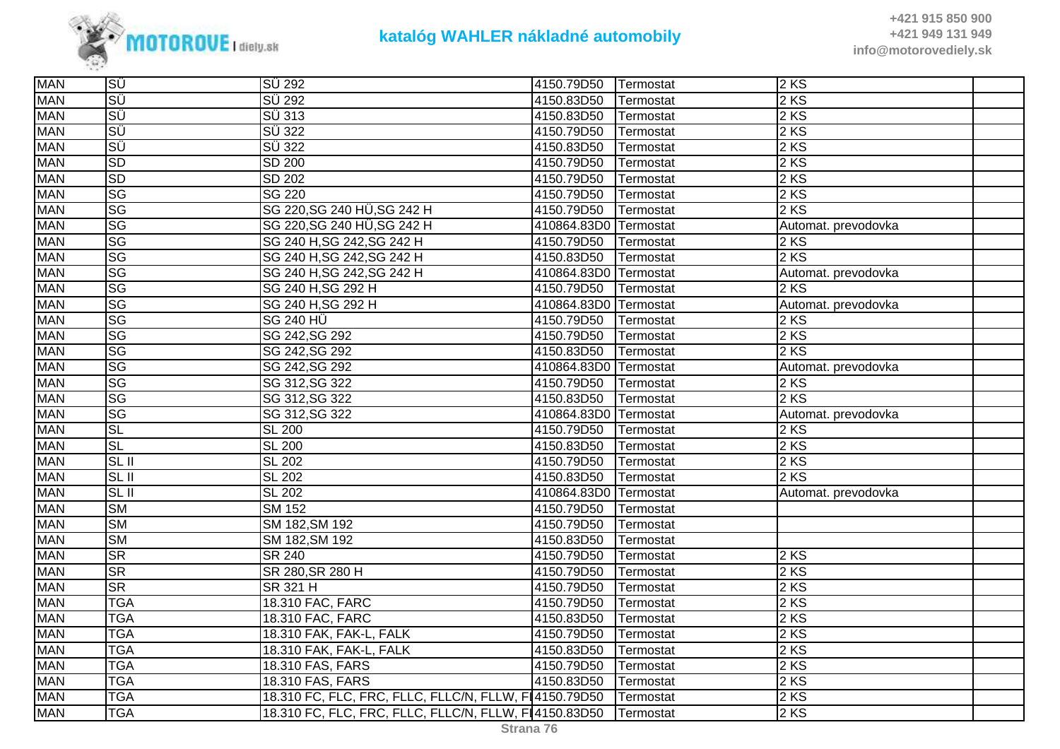

| <b>MAN</b> | ΙSÜ                    | SÜ 292                                                | 4150.79D50            | Termostat | 2KS                 |  |
|------------|------------------------|-------------------------------------------------------|-----------------------|-----------|---------------------|--|
| <b>MAN</b> | ΙSÜ                    | <b>SÜ 292</b>                                         | 4150.83D50            | Termostat | 2 KS                |  |
| <b>MAN</b> | ISÜ                    | SÜ 313                                                | 4150.83D50            | Termostat | 2KS                 |  |
| <b>MAN</b> | ΙSÜ                    | $\overline{SU}$ 322                                   | 4150.79D50            | Termostat | 2 KS                |  |
| <b>MAN</b> | SÜ                     | $\overline{SU}$ 322                                   | 4150.83D50            | Termostat | 2 KS                |  |
| <b>MAN</b> | <b>SD</b>              | <b>SD 200</b>                                         | 4150.79D50            | Termostat | 2 KS                |  |
| <b>MAN</b> | <b>SD</b>              | SD 202                                                | 4150.79D50            | Termostat | 2 KS                |  |
| <b>MAN</b> | SG                     | <b>SG 220</b>                                         | 4150.79D50            | Termostat | 2 KS                |  |
| <b>MAN</b> | SG                     | SG 220, SG 240 HÜ, SG 242 H                           | 4150.79D50            | Termostat | 2 KS                |  |
| <b>MAN</b> | <b>SG</b>              | SG 220, SG 240 HÜ, SG 242 H                           | 410864.83D0           | Termostat | Automat. prevodovka |  |
| <b>MAN</b> | SG                     | SG 240 H, SG 242, SG 242 H                            | 4150.79D50            | Termostat | 2 KS                |  |
| <b>MAN</b> | $\overline{\text{SG}}$ | SG 240 H, SG 242, SG 242 H                            | 4150.83D50            | Termostat | 2 KS                |  |
| <b>MAN</b> | <b>SG</b>              | SG 240 H, SG 242, SG 242 H                            | 410864.83D0 Termostat |           | Automat. prevodovka |  |
| <b>MAN</b> | <b>SG</b>              | SG 240 H, SG 292 H                                    | 4150.79D50            | Termostat | 2 KS                |  |
| <b>MAN</b> | <b>SG</b>              | SG 240 H, SG 292 H                                    | 410864.83D0           | Termostat | Automat. prevodovka |  |
| <b>MAN</b> | SG                     | <b>SG 240 HÜ</b>                                      | 4150.79D50            | Termostat | 2KS                 |  |
| <b>MAN</b> | SG                     | SG 242, SG 292                                        | 4150.79D50            | Termostat | 2 KS                |  |
| <b>MAN</b> | <b>SG</b>              | SG 242, SG 292                                        | 4150.83D50            | Termostat | 2 KS                |  |
| <b>MAN</b> | <b>SG</b>              | SG 242, SG 292                                        | 410864.83D0           | Termostat | Automat. prevodovka |  |
| <b>MAN</b> | SG                     | SG 312, SG 322                                        | 4150.79D50            | Termostat | 2KS                 |  |
| <b>MAN</b> | SG                     | SG 312, SG 322                                        | 4150.83D50            | Termostat | 2 KS                |  |
| <b>MAN</b> | SG                     | SG 312, SG 322                                        | 410864.83D0           | Termostat | Automat. prevodovka |  |
| <b>MAN</b> | <b>SL</b>              | <b>SL 200</b>                                         | 4150.79D50            | Termostat | 2 KS                |  |
| <b>MAN</b> | <b>SL</b>              | <b>SL 200</b>                                         | 4150.83D50            | Termostat | 2 KS                |  |
| <b>MAN</b> | SL II                  | <b>SL 202</b>                                         | 4150.79D50            | Termostat | 2KS                 |  |
| <b>MAN</b> | SL II                  | <b>SL 202</b>                                         | 4150.83D50            | Termostat | 2 KS                |  |
| <b>MAN</b> | SL <sub>II</sub>       | <b>SL 202</b>                                         | 410864.83D0 Termostat |           | Automat. prevodovka |  |
| <b>MAN</b> | $\overline{\text{SM}}$ | <b>SM 152</b>                                         | 4150.79D50            | Termostat |                     |  |
| <b>MAN</b> | <b>SM</b>              | SM 182, SM 192                                        | 4150.79D50            | Termostat |                     |  |
| <b>MAN</b> | <b>SM</b>              | SM 182, SM 192                                        | 4150.83D50            | Termostat |                     |  |
| <b>MAN</b> | <b>SR</b>              | <b>SR 240</b>                                         | 4150.79D50            | Termostat | 2 KS                |  |
| <b>MAN</b> | <b>SR</b>              | SR 280, SR 280 H                                      | 4150.79D50            | Termostat | 2 KS                |  |
| <b>MAN</b> | <b>SR</b>              | SR 321 H                                              | 4150.79D50            | Termostat | 2 KS                |  |
| <b>MAN</b> | <b>TGA</b>             | 18.310 FAC, FARC                                      | 4150.79D50            | Termostat | 2 KS                |  |
| <b>MAN</b> | <b>TGA</b>             | 18.310 FAC, FARC                                      | 4150.83D50            | Termostat | 2 KS                |  |
| <b>MAN</b> | <b>TGA</b>             | 18.310 FAK, FAK-L, FALK                               | 4150.79D50            | Termostat | 2KS                 |  |
| <b>MAN</b> | <b>TGA</b>             | 18.310 FAK, FAK-L, FALK                               | 4150.83D50            | Termostat | 2KS                 |  |
| <b>MAN</b> | <b>TGA</b>             | 18.310 FAS, FARS                                      | 4150.79D50            | Termostat | 2 KS                |  |
| <b>MAN</b> | <b>TGA</b>             | 18.310 FAS, FARS                                      | 4150.83D50            | Termostat | 2 KS                |  |
| <b>MAN</b> | <b>TGA</b>             | 18.310 FC, FLC, FRC, FLLC, FLLC/N, FLLW, F14150.79D50 |                       | Termostat | 2 KS                |  |
| <b>MAN</b> | <b>TGA</b>             | 18.310 FC, FLC, FRC, FLLC, FLLC/N, FLLW, F14150.83D50 |                       | Termostat | 2 KS                |  |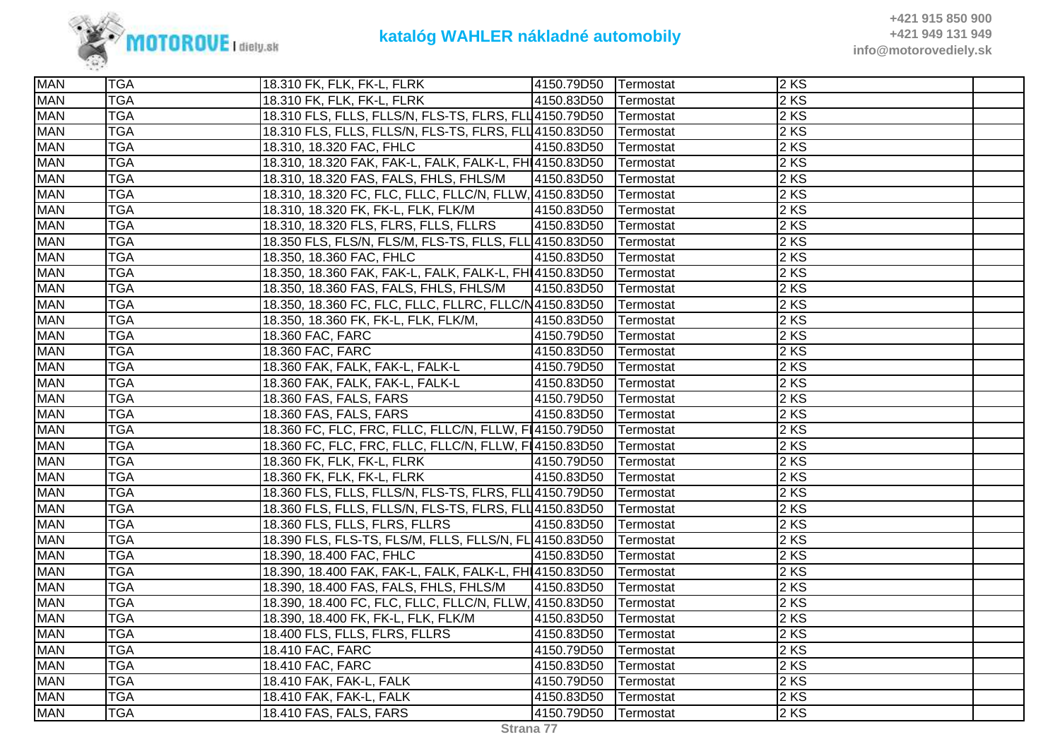

| <b>MAN</b> | <b>TGA</b> | 18.310 FK, FLK, FK-L, FLRK                              | 4150.79D50 | <b>Termostat</b> | 2KS    |  |
|------------|------------|---------------------------------------------------------|------------|------------------|--------|--|
| <b>MAN</b> | <b>TGA</b> | 18.310 FK, FLK, FK-L, FLRK                              | 4150.83D50 | Termostat        | $2$ KS |  |
| <b>MAN</b> | <b>TGA</b> | 18.310 FLS, FLLS, FLLS/N, FLS-TS, FLRS, FLL4150.79D50   |            | Termostat        | $2$ KS |  |
| <b>MAN</b> | <b>TGA</b> | 18.310 FLS, FLLS, FLLS/N, FLS-TS, FLRS, FLL4150.83D50   |            | Termostat        | $2$ KS |  |
| <b>MAN</b> | <b>TGA</b> | 18.310, 18.320 FAC, FHLC                                | 4150.83D50 | Termostat        | $2$ KS |  |
| <b>MAN</b> | <b>TGA</b> | 18.310, 18.320 FAK, FAK-L, FALK, FALK-L, FHI 4150.83D50 |            | Termostat        | 2 KS   |  |
| <b>MAN</b> | <b>TGA</b> | 18.310, 18.320 FAS, FALS, FHLS, FHLS/M                  | 4150.83D50 | Termostat        | 2 KS   |  |
| <b>MAN</b> | <b>TGA</b> | 18.310, 18.320 FC, FLC, FLLC, FLLC/N, FLLW, 4150.83D50  |            | Termostat        | 2 KS   |  |
| <b>MAN</b> | <b>TGA</b> | 18.310, 18.320 FK, FK-L, FLK, FLK/M                     | 4150.83D50 | Termostat        | $2$ KS |  |
| <b>MAN</b> | <b>TGA</b> | 18.310, 18.320 FLS, FLRS, FLLS, FLLRS                   | 4150.83D50 | Termostat        | $2$ KS |  |
| <b>MAN</b> | <b>TGA</b> | 18.350 FLS, FLS/N, FLS/M, FLS-TS, FLLS, FLL 4150.83D50  |            | Termostat        | 2 KS   |  |
| <b>MAN</b> | <b>TGA</b> | 18.350, 18.360 FAC, FHLC                                | 4150.83D50 | Termostat        | 2 KS   |  |
| <b>MAN</b> | <b>TGA</b> | 18.350, 18.360 FAK, FAK-L, FALK, FALK-L, FH 4150.83D50  |            | Termostat        | 2 KS   |  |
| <b>MAN</b> | <b>TGA</b> | 18.350, 18.360 FAS, FALS, FHLS, FHLS/M                  | 4150.83D50 | Termostat        | 2 KS   |  |
| <b>MAN</b> | <b>TGA</b> | 18.350, 18.360 FC, FLC, FLLC, FLLRC, FLLC/N4150.83D50   |            | Termostat        | $2$ KS |  |
| <b>MAN</b> | <b>TGA</b> | 18.350, 18.360 FK, FK-L, FLK, FLK/M,                    | 4150.83D50 | Termostat        | $2$ KS |  |
| <b>MAN</b> | <b>TGA</b> | 18.360 FAC, FARC                                        | 4150.79D50 | Termostat        | 2 KS   |  |
| <b>MAN</b> | <b>TGA</b> | 18.360 FAC, FARC                                        | 4150.83D50 | Termostat        | 2 KS   |  |
| <b>MAN</b> | <b>TGA</b> | 18.360 FAK, FALK, FAK-L, FALK-L                         | 4150.79D50 | Termostat        | $2$ KS |  |
| <b>MAN</b> | <b>TGA</b> | 18.360 FAK, FALK, FAK-L, FALK-L                         | 4150.83D50 | Termostat        | 2 KS   |  |
| <b>MAN</b> | <b>TGA</b> | 18.360 FAS, FALS, FARS                                  | 4150.79D50 | Termostat        | $2$ KS |  |
| <b>MAN</b> | <b>TGA</b> | 18.360 FAS, FALS, FARS                                  | 4150.83D50 | Termostat        | 2KS    |  |
| <b>MAN</b> | <b>TGA</b> | 18.360 FC, FLC, FRC, FLLC, FLLC/N, FLLW, FL4150.79D50   |            | Termostat        | $2$ KS |  |
| <b>MAN</b> | <b>TGA</b> | 18.360 FC, FLC, FRC, FLLC, FLLC/N, FLLW, FL4150.83D50   |            | Termostat        | 2 KS   |  |
| <b>MAN</b> | <b>TGA</b> | 18.360 FK, FLK, FK-L, FLRK                              | 4150.79D50 | Termostat        | $2$ KS |  |
| <b>MAN</b> | <b>TGA</b> | 18.360 FK, FLK, FK-L, FLRK                              | 4150.83D50 | Termostat        | 2 KS   |  |
| <b>MAN</b> | <b>TGA</b> | 18.360 FLS, FLLS, FLLS/N, FLS-TS, FLRS, FLL4150.79D50   |            | Termostat        | $2$ KS |  |
| <b>MAN</b> | <b>TGA</b> | 18.360 FLS, FLLS, FLLS/N, FLS-TS, FLRS, FLL 4150.83D50  |            | Termostat        | $2$ KS |  |
| <b>MAN</b> | <b>TGA</b> | 18.360 FLS, FLLS, FLRS, FLLRS                           | 4150.83D50 | Termostat        | 2 KS   |  |
| <b>MAN</b> | <b>TGA</b> | 18.390 FLS, FLS-TS, FLS/M, FLLS, FLLS/N, FL 4150.83D50  |            | Termostat        | $2$ KS |  |
| <b>MAN</b> | <b>TGA</b> | 18.390, 18.400 FAC, FHLC                                | 4150.83D50 | Termostat        | $2$ KS |  |
| <b>MAN</b> | <b>TGA</b> | 18.390, 18.400 FAK, FAK-L, FALK, FALK-L, FHI 4150.83D50 |            | Termostat        | $2$ KS |  |
| <b>MAN</b> | <b>TGA</b> | 18.390, 18.400 FAS, FALS, FHLS, FHLS/M                  | 4150.83D50 | Termostat        | 2 KS   |  |
| <b>MAN</b> | <b>TGA</b> | 18.390, 18.400 FC, FLC, FLLC, FLLC/N, FLLW, 4150.83D50  |            | Termostat        | $2$ KS |  |
| <b>MAN</b> | <b>TGA</b> | 18.390, 18.400 FK, FK-L, FLK, FLK/M                     | 4150.83D50 | Termostat        | 2 KS   |  |
| <b>MAN</b> | <b>TGA</b> | 18.400 FLS, FLLS, FLRS, FLLRS                           | 4150.83D50 | Termostat        | $2$ KS |  |
| <b>MAN</b> | <b>TGA</b> | 18.410 FAC, FARC                                        | 4150.79D50 | Termostat        | $2$ KS |  |
| <b>MAN</b> | <b>TGA</b> | 18.410 FAC, FARC                                        | 4150.83D50 | Termostat        | $2$ KS |  |
| <b>MAN</b> | <b>TGA</b> | 18.410 FAK, FAK-L, FALK                                 | 4150.79D50 | Termostat        | 2 KS   |  |
| <b>MAN</b> | <b>TGA</b> | 18.410 FAK, FAK-L, FALK                                 | 4150.83D50 | Termostat        | $2$ KS |  |
| <b>MAN</b> | <b>TGA</b> | 18.410 FAS, FALS, FARS                                  | 4150.79D50 | Termostat        | $2$ KS |  |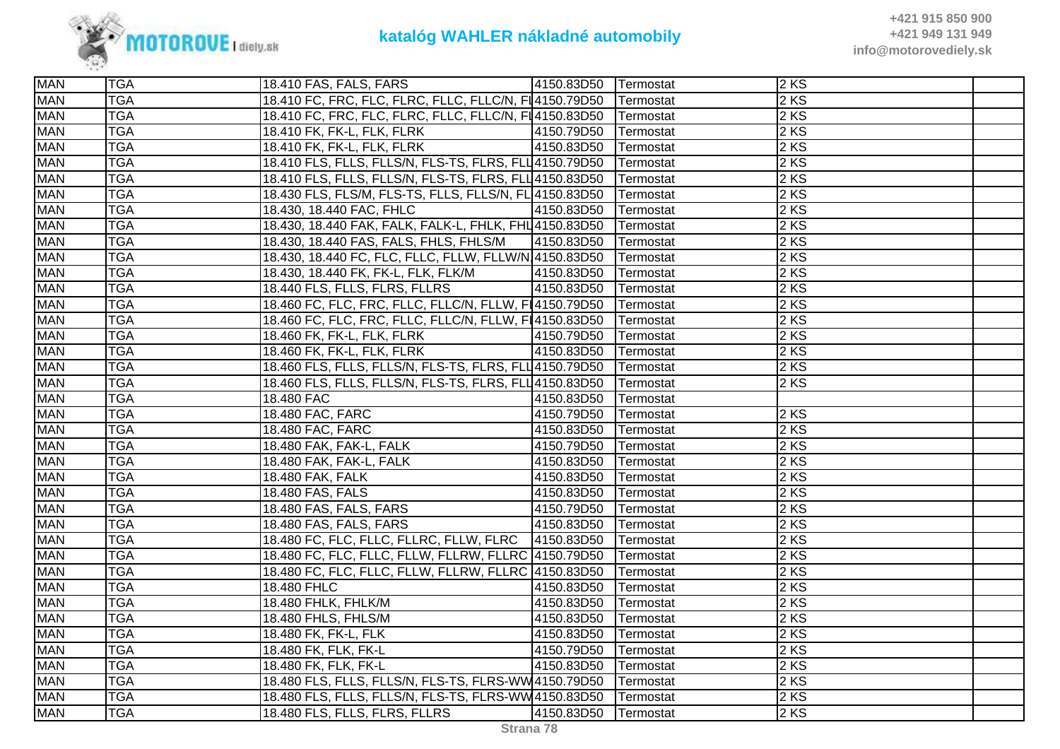

| <b>MAN</b> | <b>TGA</b> | 18.410 FAS, FALS, FARS                                             | 4150.83D50 Termostat |                   | 2KS    |  |
|------------|------------|--------------------------------------------------------------------|----------------------|-------------------|--------|--|
| <b>MAN</b> | <b>TGA</b> | 18.410 FC, FRC, FLC, FLRC, FLLC, FLLC/N, FL4150.79D50 Termostat    |                      |                   | $2$ KS |  |
| <b>MAN</b> | <b>TGA</b> | 18.410 FC, FRC, FLC, FLRC, FLLC, FLLC/N, FL4150.83D50   Termostat  |                      |                   | $2$ KS |  |
| <b>MAN</b> | <b>TGA</b> | 18.410 FK, FK-L, FLK, FLRK                                         | 4150.79D50 Termostat |                   | $2$ KS |  |
| <b>MAN</b> | <b>TGA</b> | 18.410 FK, FK-L, FLK, FLRK                                         | 4150.83D50 Termostat |                   | $2$ KS |  |
| <b>MAN</b> | <b>TGA</b> | 18.410 FLS, FLLS, FLLS/N, FLS-TS, FLRS, FLL4150.79D50              |                      | <b>ITermostat</b> | $2$ KS |  |
| <b>MAN</b> | <b>TGA</b> | 18.410 FLS, FLLS, FLLS/N, FLS-TS, FLRS, FLL 4150.83D50             |                      | Termostat         | 2 KS   |  |
| <b>MAN</b> | <b>TGA</b> | 18.430 FLS, FLS/M, FLS-TS, FLLS, FLLS/N, FL 4150.83D50             |                      | Termostat         | 2 KS   |  |
| <b>MAN</b> | <b>TGA</b> | 18.430, 18.440 FAC, FHLC                                           | 4150.83D50           | Termostat         | $2$ KS |  |
| <b>MAN</b> | <b>TGA</b> | 18.430, 18.440 FAK, FALK, FALK-L, FHLK, FHL 4150.83D50             |                      | Termostat         | $2$ KS |  |
| <b>MAN</b> | <b>TGA</b> | 18.430, 18.440 FAS, FALS, FHLS, FHLS/M                             | 4150.83D50           | Termostat         | 2KS    |  |
| <b>MAN</b> | <b>TGA</b> | 18.430, 18.440 FC, FLC, FLLC, FLLW, FLLW/N 4150.83D50              |                      | Termostat         | 2 KS   |  |
| <b>MAN</b> | <b>TGA</b> | 18.430, 18.440 FK, FK-L, FLK, FLK/M                                | 4150.83D50           | Termostat         | $2$ KS |  |
| <b>MAN</b> | <b>TGA</b> | 18.440 FLS, FLLS, FLRS, FLLRS                                      | 4150.83D50           | Termostat         | $2$ KS |  |
| <b>MAN</b> | <b>TGA</b> | 18.460 FC, FLC, FRC, FLLC, FLLC/N, FLLW, FI4150.79D50   Termostat  |                      |                   | $2$ KS |  |
| <b>MAN</b> | <b>TGA</b> | 18.460 FC, FLC, FRC, FLLC, FLLC/N, FLLW, FI4150.83D50              |                      | Termostat         | 2KS    |  |
| <b>MAN</b> | <b>TGA</b> | 18.460 FK, FK-L, FLK, FLRK                                         | 4150.79D50           | Termostat         | 2 KS   |  |
| <b>MAN</b> | <b>TGA</b> | 18.460 FK, FK-L, FLK, FLRK                                         | 4150.83D50           | Termostat         | 2 KS   |  |
| <b>MAN</b> | <b>TGA</b> | 18.460 FLS, FLLS, FLLS/N, FLS-TS, FLRS, FLL 4150.79D50   Termostat |                      |                   | $2$ KS |  |
| <b>MAN</b> | <b>TGA</b> | 18.460 FLS, FLLS, FLLS/N, FLS-TS, FLRS, FLL 4150.83D50             |                      | Termostat         | $2$ KS |  |
| <b>MAN</b> | <b>TGA</b> | 18.480 FAC                                                         | 4150.83D50           | Termostat         |        |  |
| <b>MAN</b> | <b>TGA</b> | 18.480 FAC, FARC                                                   | 4150.79D50           | Termostat         | $2$ KS |  |
| <b>MAN</b> | <b>TGA</b> | 18.480 FAC, FARC                                                   | 4150.83D50           | Termostat         | 2 KS   |  |
| <b>MAN</b> | <b>TGA</b> | 18.480 FAK, FAK-L, FALK                                            | 4150.79D50           | Termostat         | $2$ KS |  |
| <b>MAN</b> | <b>TGA</b> | 18.480 FAK, FAK-L, FALK                                            | 4150.83D50           | Termostat         | 2 KS   |  |
| <b>MAN</b> | <b>TGA</b> | 18.480 FAK, FALK                                                   | 4150.83D50           | Termostat         | $2$ KS |  |
| <b>MAN</b> | <b>TGA</b> | 18.480 FAS, FALS                                                   | 4150.83D50           | Termostat         | $2$ KS |  |
| <b>MAN</b> | <b>TGA</b> | 18.480 FAS, FALS, FARS                                             | 4150.79D50           | Termostat         | 2KS    |  |
| <b>MAN</b> | <b>TGA</b> | 18.480 FAS, FALS, FARS                                             | 4150.83D50           | Termostat         | 2 KS   |  |
| <b>MAN</b> | <b>TGA</b> | 18.480 FC, FLC, FLLC, FLLRC, FLLW, FLRC                            | 4150.83D50 Termostat |                   | 2 KS   |  |
| <b>MAN</b> | <b>TGA</b> | 18.480 FC, FLC, FLLC, FLLW, FLLRW, FLLRC 4150.79D50                |                      | Termostat         | 2 KS   |  |
| <b>MAN</b> | <b>TGA</b> | 18.480 FC, FLC, FLLC, FLLW, FLLRW, FLLRC 4150.83D50                |                      | Termostat         | $2$ KS |  |
| <b>MAN</b> | <b>TGA</b> | 18.480 FHLC                                                        | 4150.83D50           | Termostat         | $2$ KS |  |
| <b>MAN</b> | <b>TGA</b> | 18.480 FHLK, FHLK/M                                                | 4150.83D50           | Termostat         | 2 KS   |  |
| <b>MAN</b> | <b>TGA</b> | 18.480 FHLS, FHLS/M                                                | 4150.83D50           | Termostat         | 2 KS   |  |
| <b>MAN</b> | <b>TGA</b> | 18.480 FK, FK-L, FLK                                               | 4150.83D50           | Termostat         | $2$ KS |  |
| <b>MAN</b> | <b>TGA</b> | 18.480 FK, FLK, FK-L                                               | 4150.79D50           | Termostat         | $2$ KS |  |
| <b>MAN</b> | <b>TGA</b> | 18.480 FK, FLK, FK-L                                               | 4150.83D50           | Termostat         | $2$ KS |  |
| <b>MAN</b> | <b>TGA</b> | 18.480 FLS, FLLS, FLLS/N, FLS-TS, FLRS-WW4150.79D50   Termostat    |                      |                   | 2KS    |  |
| <b>MAN</b> | <b>TGA</b> | 18.480 FLS, FLLS, FLLS/N, FLS-TS, FLRS-WW4150.83D50                |                      | Termostat         | $2$ KS |  |
| <b>MAN</b> | <b>TGA</b> | 18.480 FLS, FLLS, FLRS, FLLRS                                      | 4150.83D50           | Termostat         | $2$ KS |  |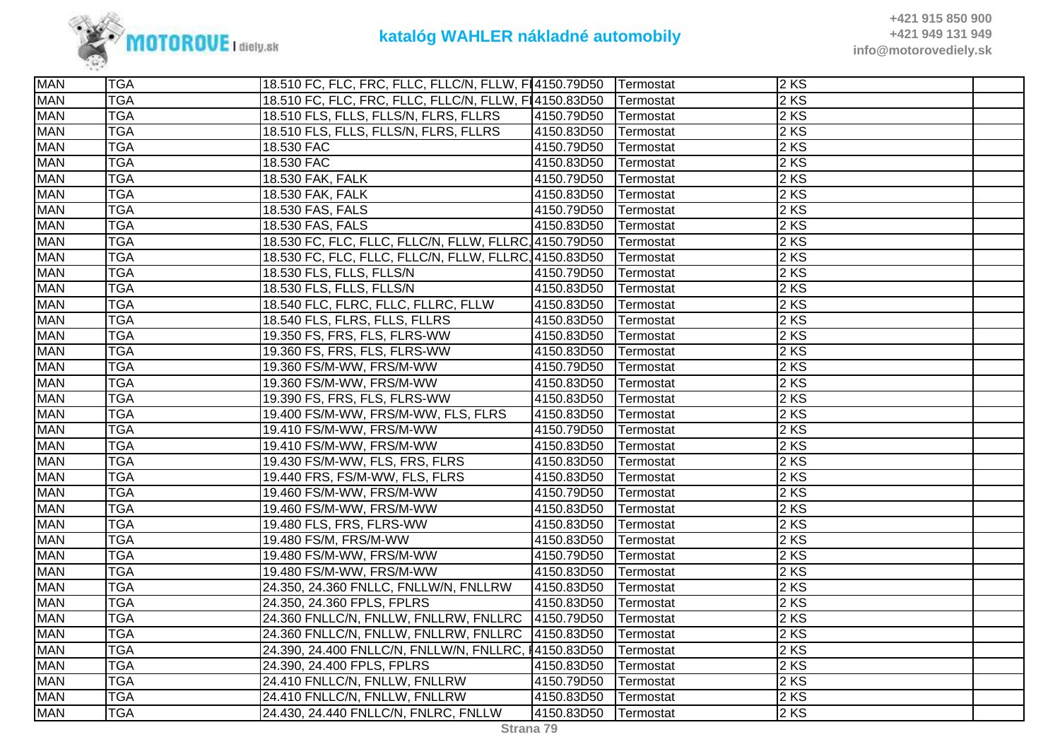

| <b>MAN</b> | <b>TGA</b> | 18.510 FC, FLC, FRC, FLLC, FLLC/N, FLLW, FI4150.79D50 Termostat |            |           | $2$ KS |  |
|------------|------------|-----------------------------------------------------------------|------------|-----------|--------|--|
| <b>MAN</b> | <b>TGA</b> | 18.510 FC, FLC, FRC, FLLC, FLLC/N, FLLW, F14150.83D50           |            | Termostat | 2 KS   |  |
| <b>MAN</b> | <b>TGA</b> | 18.510 FLS, FLLS, FLLS/N, FLRS, FLLRS                           | 4150.79D50 | Termostat | 2 KS   |  |
| <b>MAN</b> | <b>TGA</b> | 18.510 FLS, FLLS, FLLS/N, FLRS, FLLRS                           | 4150.83D50 | Termostat | 2 KS   |  |
| <b>MAN</b> | <b>TGA</b> | 18.530 FAC                                                      | 4150.79D50 | Termostat | 2KS    |  |
| <b>MAN</b> | <b>TGA</b> | 18.530 FAC                                                      | 4150.83D50 | Termostat | 2 KS   |  |
| <b>MAN</b> | <b>TGA</b> | 18.530 FAK, FALK                                                | 4150.79D50 | Termostat | 2 KS   |  |
| <b>MAN</b> | <b>TGA</b> | 18.530 FAK, FALK                                                | 4150.83D50 | Termostat | 2 KS   |  |
| <b>MAN</b> | <b>TGA</b> | 18.530 FAS, FALS                                                | 4150.79D50 | Termostat | 2 KS   |  |
| <b>MAN</b> | <b>TGA</b> | 18.530 FAS, FALS                                                | 4150.83D50 | Termostat | 2KS    |  |
| <b>MAN</b> | <b>TGA</b> | 18.530 FC, FLC, FLLC, FLLC/N, FLLW, FLLRC, 4150.79D50           |            | Termostat | 2 KS   |  |
| <b>MAN</b> | <b>TGA</b> | 18.530 FC, FLC, FLLC, FLLC/N, FLLW, FLLRC, 4150.83D50           |            | Termostat | 2KS    |  |
| <b>MAN</b> | <b>TGA</b> | 18.530 FLS, FLLS, FLLS/N                                        | 4150.79D50 | Termostat | 2 KS   |  |
| <b>MAN</b> | <b>TGA</b> | 18.530 FLS, FLLS, FLLS/N                                        | 4150.83D50 | Termostat | 2 KS   |  |
| <b>MAN</b> | <b>TGA</b> | 18.540 FLC, FLRC, FLLC, FLLRC, FLLW                             | 4150.83D50 | Termostat | 2 KS   |  |
| <b>MAN</b> | <b>TGA</b> | 18.540 FLS, FLRS, FLLS, FLLRS                                   | 4150.83D50 | Termostat | 2 KS   |  |
| <b>MAN</b> | <b>TGA</b> | 19.350 FS, FRS, FLS, FLRS-WW                                    | 4150.83D50 | Termostat | 2 KS   |  |
| <b>MAN</b> | <b>TGA</b> | 19.360 FS, FRS, FLS, FLRS-WW                                    | 4150.83D50 | Termostat | 2 KS   |  |
| <b>MAN</b> | <b>TGA</b> | 19.360 FS/M-WW, FRS/M-WW                                        | 4150.79D50 | Termostat | 2 KS   |  |
| <b>MAN</b> | <b>TGA</b> | 19.360 FS/M-WW, FRS/M-WW                                        | 4150.83D50 | Termostat | 2 KS   |  |
| <b>MAN</b> | <b>TGA</b> | 19.390 FS, FRS, FLS, FLRS-WW                                    | 4150.83D50 | Termostat | 2 KS   |  |
| <b>MAN</b> | <b>TGA</b> | 19.400 FS/M-WW, FRS/M-WW, FLS, FLRS                             | 4150.83D50 | Termostat | 2KS    |  |
| <b>MAN</b> | <b>TGA</b> | 19.410 FS/M-WW, FRS/M-WW                                        | 4150.79D50 | Termostat | 2 KS   |  |
| <b>MAN</b> | <b>TGA</b> | 19.410 FS/M-WW, FRS/M-WW                                        | 4150.83D50 | Termostat | 2 KS   |  |
| <b>MAN</b> | <b>TGA</b> | 19.430 FS/M-WW, FLS, FRS, FLRS                                  | 4150.83D50 | Termostat | 2 KS   |  |
| <b>MAN</b> | <b>TGA</b> | 19.440 FRS, FS/M-WW, FLS, FLRS                                  | 4150.83D50 | Termostat | $2$ KS |  |
| <b>MAN</b> | <b>TGA</b> | 19.460 FS/M-WW, FRS/M-WW                                        | 4150.79D50 | Termostat | 2 KS   |  |
| <b>MAN</b> | <b>TGA</b> | 19.460 FS/M-WW, FRS/M-WW                                        | 4150.83D50 | Termostat | 2KS    |  |
| <b>MAN</b> | <b>TGA</b> | 19.480 FLS, FRS, FLRS-WW                                        | 4150.83D50 | Termostat | 2 KS   |  |
| <b>MAN</b> | <b>TGA</b> | 19.480 FS/M, FRS/M-WW                                           | 4150.83D50 | Termostat | 2 KS   |  |
| <b>MAN</b> | <b>TGA</b> | 19.480 FS/M-WW, FRS/M-WW                                        | 4150.79D50 | Termostat | 2 KS   |  |
| <b>MAN</b> | <b>TGA</b> | 19.480 FS/M-WW, FRS/M-WW                                        | 4150.83D50 | Termostat | 2 KS   |  |
| <b>MAN</b> | <b>TGA</b> | 24.350, 24.360 FNLLC, FNLLW/N, FNLLRW                           | 4150.83D50 | Termostat | 2KS    |  |
| <b>MAN</b> | <b>TGA</b> | 24.350, 24.360 FPLS, FPLRS                                      | 4150.83D50 | Termostat | 2 KS   |  |
| <b>MAN</b> | <b>TGA</b> | 24.360 FNLLC/N, FNLLW, FNLLRW, FNLLRC 4150.79D50                |            | Termostat | 2 KS   |  |
| <b>MAN</b> | <b>TGA</b> | 24.360 FNLLC/N, FNLLW, FNLLRW, FNLLRC 4150.83D50                |            | Termostat | 2 KS   |  |
| <b>MAN</b> | <b>TGA</b> | 24.390, 24.400 FNLLC/N, FNLLW/N, FNLLRC, 14150.83D50            |            | Termostat | 2 KS   |  |
| <b>MAN</b> | <b>TGA</b> | 24.390, 24.400 FPLS, FPLRS                                      | 4150.83D50 | Termostat | 2 KS   |  |
| <b>MAN</b> | <b>TGA</b> | 24.410 FNLLC/N, FNLLW, FNLLRW                                   | 4150.79D50 | Termostat | 2KS    |  |
| <b>MAN</b> | <b>TGA</b> | 24.410 FNLLC/N, FNLLW, FNLLRW                                   | 4150.83D50 | Termostat | 2KS    |  |
| <b>MAN</b> | <b>TGA</b> | 24.430, 24.440 FNLLC/N, FNLRC, FNLLW                            | 4150.83D50 | Termostat | 2 KS   |  |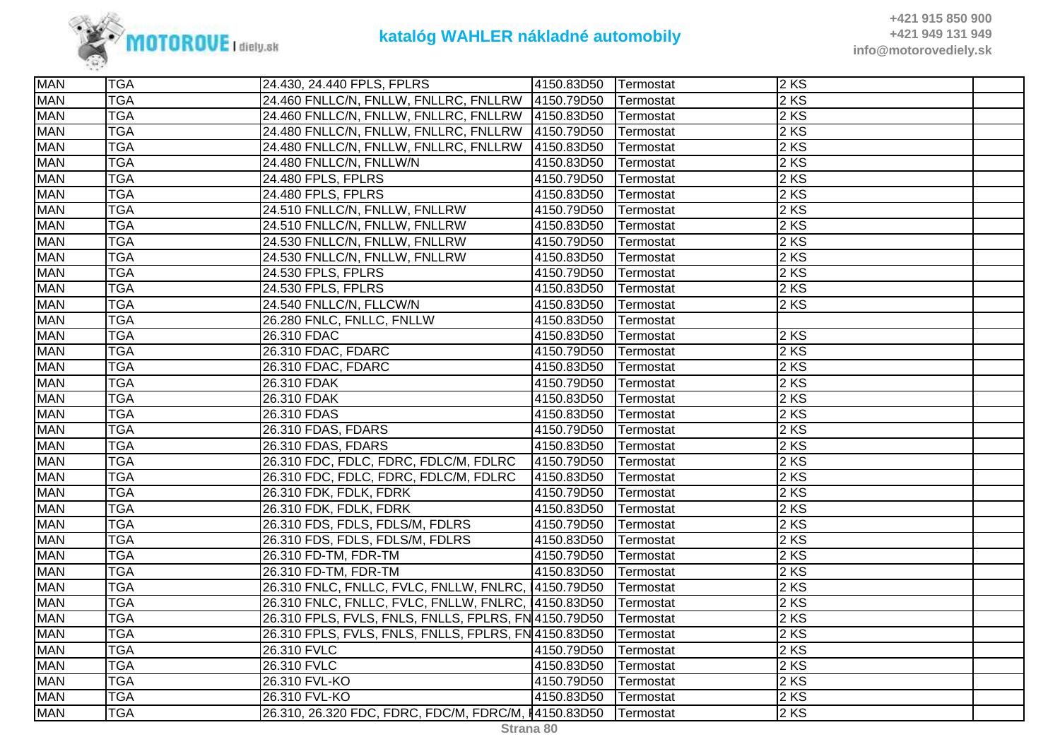

| <b>MAN</b> | <b>TGA</b> | 24.430, 24.440 FPLS, FPLRS                           | 4150.83D50 | <b>Termostat</b> | 2KS  |  |
|------------|------------|------------------------------------------------------|------------|------------------|------|--|
| <b>MAN</b> | <b>TGA</b> | 24.460 FNLLC/N, FNLLW, FNLLRC, FNLLRW 4150.79D50     |            | Termostat        | 2 KS |  |
| <b>MAN</b> | <b>TGA</b> | 24.460 FNLLC/N, FNLLW, FNLLRC, FNLLRW 4150.83D50     |            | Termostat        | 2 KS |  |
| <b>MAN</b> | <b>TGA</b> | 24.480 FNLLC/N, FNLLW, FNLLRC, FNLLRW 4150.79D50     |            | Termostat        | 2 KS |  |
| <b>MAN</b> | <b>TGA</b> | 24.480 FNLLC/N, FNLLW, FNLLRC, FNLLRW                | 4150.83D50 | Termostat        | 2KS  |  |
| <b>MAN</b> | <b>TGA</b> | 24.480 FNLLC/N, FNLLW/N                              | 4150.83D50 | Termostat        | 2 KS |  |
| <b>MAN</b> | <b>TGA</b> | 24.480 FPLS, FPLRS                                   | 4150.79D50 | Termostat        | 2 KS |  |
| <b>MAN</b> | <b>TGA</b> | 24.480 FPLS, FPLRS                                   | 4150.83D50 | Termostat        | 2 KS |  |
| <b>MAN</b> | <b>TGA</b> | 24.510 FNLLC/N, FNLLW, FNLLRW                        | 4150.79D50 | Termostat        | 2 KS |  |
| <b>MAN</b> | <b>TGA</b> | 24.510 FNLLC/N, FNLLW, FNLLRW                        | 4150.83D50 | Termostat        | 2KS  |  |
| <b>MAN</b> | <b>TGA</b> | 24.530 FNLLC/N, FNLLW, FNLLRW                        | 4150.79D50 | Termostat        | 2 KS |  |
| <b>MAN</b> | <b>TGA</b> | 24.530 FNLLC/N, FNLLW, FNLLRW                        | 4150.83D50 | Termostat        | 2 KS |  |
| <b>MAN</b> | <b>TGA</b> | 24.530 FPLS, FPLRS                                   | 4150.79D50 | Termostat        | 2 KS |  |
| <b>MAN</b> | <b>TGA</b> | 24.530 FPLS, FPLRS                                   | 4150.83D50 | <b>Termostat</b> | 2 KS |  |
| <b>MAN</b> | <b>TGA</b> | 24.540 FNLLC/N, FLLCW/N                              | 4150.83D50 | Termostat        | 2 KS |  |
| <b>MAN</b> | <b>TGA</b> | 26.280 FNLC, FNLLC, FNLLW                            | 4150.83D50 | Termostat        |      |  |
| <b>MAN</b> | <b>TGA</b> | 26.310 FDAC                                          | 4150.83D50 | Termostat        | 2 KS |  |
| <b>MAN</b> | <b>TGA</b> | 26.310 FDAC, FDARC                                   | 4150.79D50 | Termostat        | 2 KS |  |
| <b>MAN</b> | <b>TGA</b> | 26.310 FDAC, FDARC                                   | 4150.83D50 | Termostat        | 2 KS |  |
| <b>MAN</b> | <b>TGA</b> | 26.310 FDAK                                          | 4150.79D50 | Termostat        | 2 KS |  |
| <b>MAN</b> | <b>TGA</b> | 26.310 FDAK                                          | 4150.83D50 | Termostat        | 2 KS |  |
| <b>MAN</b> | <b>TGA</b> | 26.310 FDAS                                          | 4150.83D50 | Termostat        | 2 KS |  |
| <b>MAN</b> | <b>TGA</b> | 26.310 FDAS, FDARS                                   | 4150.79D50 | Termostat        | 2 KS |  |
| <b>MAN</b> | <b>TGA</b> | 26.310 FDAS, FDARS                                   | 4150.83D50 | Termostat        | 2 KS |  |
| <b>MAN</b> | <b>TGA</b> | 26.310 FDC, FDLC, FDRC, FDLC/M, FDLRC                | 4150.79D50 | Termostat        | 2 KS |  |
| <b>MAN</b> | <b>TGA</b> | 26.310 FDC, FDLC, FDRC, FDLC/M, FDLRC                | 4150.83D50 | Termostat        | 2KS  |  |
| <b>MAN</b> | <b>TGA</b> | 26.310 FDK, FDLK, FDRK                               | 4150.79D50 | Termostat        | 2 KS |  |
| <b>MAN</b> | <b>TGA</b> | 26.310 FDK, FDLK, FDRK                               | 4150.83D50 | Termostat        | 2 KS |  |
| <b>MAN</b> | <b>TGA</b> | 26.310 FDS, FDLS, FDLS/M, FDLRS                      | 4150.79D50 | Termostat        | 2 KS |  |
| <b>MAN</b> | <b>TGA</b> | 26.310 FDS, FDLS, FDLS/M, FDLRS                      | 4150.83D50 | Termostat        | 2 KS |  |
| <b>MAN</b> | <b>TGA</b> | 26.310 FD-TM, FDR-TM                                 | 4150.79D50 | Termostat        | 2 KS |  |
| <b>MAN</b> | <b>TGA</b> | 26.310 FD-TM, FDR-TM                                 | 4150.83D50 | Termostat        | 2 KS |  |
| <b>MAN</b> | <b>TGA</b> | 26.310 FNLC, FNLLC, FVLC, FNLLW, FNLRC, 14150.79D50  |            | Termostat        | 2 KS |  |
| <b>MAN</b> | <b>TGA</b> | 26.310 FNLC, FNLLC, FVLC, FNLLW, FNLRC, 4150.83D50   |            | Termostat        | 2 KS |  |
| <b>MAN</b> | <b>TGA</b> | 26.310 FPLS, FVLS, FNLS, FNLLS, FPLRS, FN 4150.79D50 |            | Termostat        | 2 KS |  |
| <b>MAN</b> | <b>TGA</b> | 26.310 FPLS, FVLS, FNLS, FNLLS, FPLRS, FN 4150.83D50 |            | Termostat        | 2KS  |  |
| <b>MAN</b> | <b>TGA</b> | 26.310 FVLC                                          | 4150.79D50 | Termostat        | 2 KS |  |
| <b>MAN</b> | <b>TGA</b> | 26.310 FVLC                                          | 4150.83D50 | Termostat        | 2 KS |  |
| <b>MAN</b> | <b>TGA</b> | 26.310 FVL-KO                                        | 4150.79D50 | Termostat        | 2 KS |  |
| <b>MAN</b> | <b>TGA</b> | 26.310 FVL-KO                                        | 4150.83D50 | <b>Termostat</b> | 2KS  |  |
| <b>MAN</b> | <b>TGA</b> | 26.310, 26.320 FDC, FDRC, FDC/M, FDRC/M, 14150.83D50 |            | <b>Termostat</b> | 2 KS |  |
|            |            |                                                      |            |                  |      |  |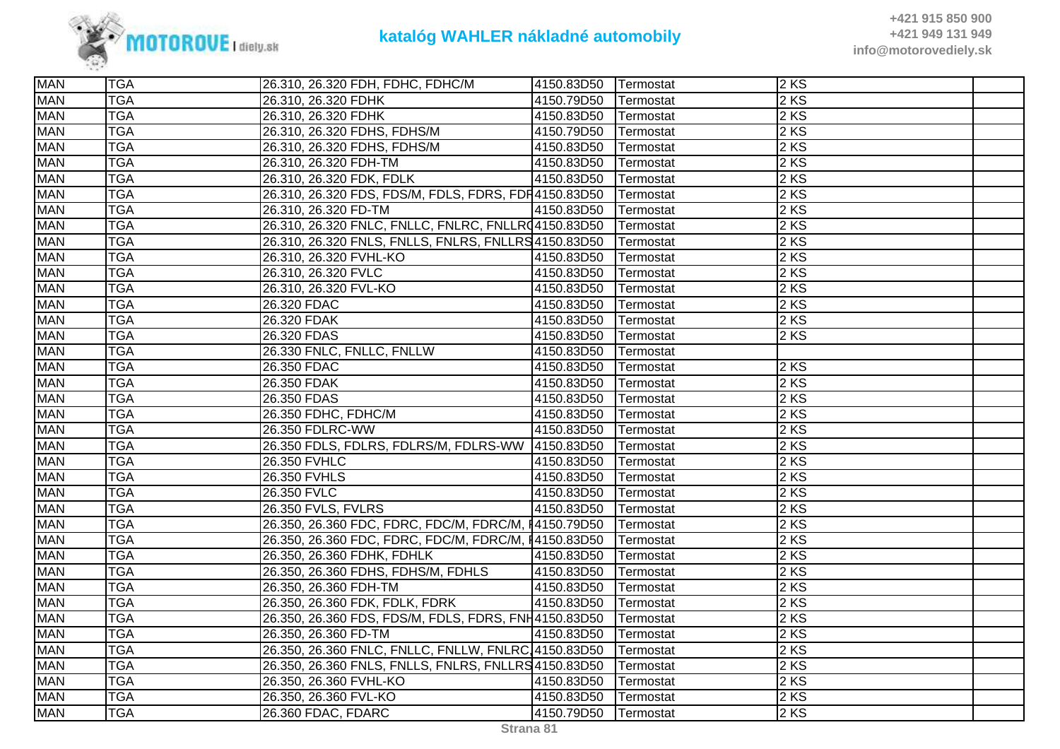

| <b>MAN</b> | <b>TGA</b> | 26.310, 26.320 FDH, FDHC, FDHC/M                     | 4150.83D50 | <b>Termostat</b>  | $2$ KS |  |
|------------|------------|------------------------------------------------------|------------|-------------------|--------|--|
| <b>MAN</b> | <b>TGA</b> | 26.310, 26.320 FDHK                                  | 4150.79D50 | Termostat         | $2$ KS |  |
| <b>MAN</b> | <b>TGA</b> | 26.310, 26.320 FDHK                                  | 4150.83D50 | Termostat         | 2 KS   |  |
| <b>MAN</b> | <b>TGA</b> | 26.310, 26.320 FDHS, FDHS/M                          | 4150.79D50 | Termostat         | 2 KS   |  |
| <b>MAN</b> | <b>TGA</b> | 26.310, 26.320 FDHS, FDHS/M                          | 4150.83D50 | Termostat         | 2KS    |  |
| <b>MAN</b> | <b>TGA</b> | 26.310, 26.320 FDH-TM                                | 4150.83D50 | Termostat         | $2$ KS |  |
| <b>MAN</b> | <b>TGA</b> | 26.310, 26.320 FDK, FDLK                             | 4150.83D50 | Termostat         | $2$ KS |  |
| <b>MAN</b> | <b>TGA</b> | 26.310, 26.320 FDS, FDS/M, FDLS, FDRS, FDR4150.83D50 |            | Termostat         | $2$ KS |  |
| <b>MAN</b> | <b>TGA</b> | 26.310, 26.320 FD-TM                                 | 4150.83D50 | Termostat         | $2$ KS |  |
| <b>MAN</b> | <b>TGA</b> | 26.310, 26.320 FNLC, FNLLC, FNLRC, FNLLR(4150.83D50  |            | Termostat         | 2 KS   |  |
| <b>MAN</b> | <b>TGA</b> | 26.310, 26.320 FNLS, FNLLS, FNLRS, FNLLRS 4150.83D50 |            | Termostat         | 2 KS   |  |
| <b>MAN</b> | <b>TGA</b> | 26.310, 26.320 FVHL-KO                               | 4150.83D50 | Termostat         | $2$ KS |  |
| <b>MAN</b> | <b>TGA</b> | 26.310, 26.320 FVLC                                  | 4150.83D50 | Termostat         | 2 KS   |  |
| <b>MAN</b> | <b>TGA</b> | 26.310, 26.320 FVL-KO                                | 4150.83D50 | Termostat         | $2$ KS |  |
| <b>MAN</b> | <b>TGA</b> | 26.320 FDAC                                          | 4150.83D50 | Termostat         | $2$ KS |  |
| <b>MAN</b> | <b>TGA</b> | 26.320 FDAK                                          | 4150.83D50 | Termostat         | 2 KS   |  |
| <b>MAN</b> | <b>TGA</b> | 26.320 FDAS                                          | 4150.83D50 | Termostat         | 2 KS   |  |
| <b>MAN</b> | <b>TGA</b> | 26.330 FNLC, FNLLC, FNLLW                            | 4150.83D50 | Termostat         |        |  |
| <b>MAN</b> | <b>TGA</b> | 26.350 FDAC                                          | 4150.83D50 | Termostat         | 2 KS   |  |
| <b>MAN</b> | <b>TGA</b> | 26.350 FDAK                                          | 4150.83D50 | Termostat         | $2$ KS |  |
| <b>MAN</b> | <b>TGA</b> | 26.350 FDAS                                          | 4150.83D50 | Termostat         | 2 KS   |  |
| <b>MAN</b> | <b>TGA</b> | 26.350 FDHC, FDHC/M                                  | 4150.83D50 | Termostat         | $2$ KS |  |
| <b>MAN</b> | <b>TGA</b> | 26.350 FDLRC-WW                                      | 4150.83D50 | Termostat         | 2 KS   |  |
| <b>MAN</b> | <b>TGA</b> | 26.350 FDLS, FDLRS, FDLRS/M, FDLRS-WW 4150.83D50     |            | Termostat         | $2$ KS |  |
| <b>MAN</b> | <b>TGA</b> | 26.350 FVHLC                                         | 4150.83D50 | Termostat         | $2$ KS |  |
| <b>MAN</b> | <b>TGA</b> | 26.350 FVHLS                                         | 4150.83D50 | Termostat         | $2$ KS |  |
| <b>MAN</b> | <b>TGA</b> | 26.350 FVLC                                          | 4150.83D50 | Termostat         | 2KS    |  |
| <b>MAN</b> | <b>TGA</b> | 26.350 FVLS, FVLRS                                   | 4150.83D50 | Termostat         | $2$ KS |  |
| <b>MAN</b> | <b>TGA</b> | 26.350, 26.360 FDC, FDRC, FDC/M, FDRC/M, 14150.79D50 |            | Termostat         | $2$ KS |  |
| <b>MAN</b> | <b>TGA</b> | 26.350, 26.360 FDC, FDRC, FDC/M, FDRC/M, 14150.83D50 |            | Termostat         | $2$ KS |  |
| <b>MAN</b> | <b>TGA</b> | 26.350, 26.360 FDHK, FDHLK                           | 4150.83D50 | Termostat         | $2$ KS |  |
| <b>MAN</b> | <b>TGA</b> | 26.350, 26.360 FDHS, FDHS/M, FDHLS                   | 4150.83D50 | Termostat         | $2$ KS |  |
| <b>MAN</b> | <b>TGA</b> | 26.350, 26.360 FDH-TM                                | 4150.83D50 | Termostat         | 2 KS   |  |
| <b>MAN</b> | <b>TGA</b> | 26.350, 26.360 FDK, FDLK, FDRK                       | 4150.83D50 | Termostat         | 2 KS   |  |
| <b>MAN</b> | <b>TGA</b> | 26.350, 26.360 FDS, FDS/M, FDLS, FDRS, FNH4150.83D50 |            | Termostat         | 2 KS   |  |
| <b>MAN</b> | <b>TGA</b> | 26.350, 26.360 FD-TM                                 | 4150.83D50 | Termostat         | $2$ KS |  |
| <b>MAN</b> | <b>TGA</b> | 26.350, 26.360 FNLC, FNLLC, FNLLW, FNLRC, 4150.83D50 |            | Termostat         | $2$ KS |  |
| <b>MAN</b> | <b>TGA</b> | 26.350, 26.360 FNLS, FNLLS, FNLRS, FNLLRS 4150.83D50 |            | Termostat         | 2 KS   |  |
| <b>MAN</b> | <b>TGA</b> | 26.350, 26.360 FVHL-KO                               | 4150.83D50 | Termostat         | 2 KS   |  |
| <b>MAN</b> | <b>TGA</b> | 26.350, 26.360 FVL-KO                                | 4150.83D50 | Termostat         | $2$ KS |  |
| <b>MAN</b> | <b>TGA</b> | 26.360 FDAC, FDARC                                   | 4150.79D50 | <b>ITermostat</b> | 2 KS   |  |
|            |            |                                                      |            |                   |        |  |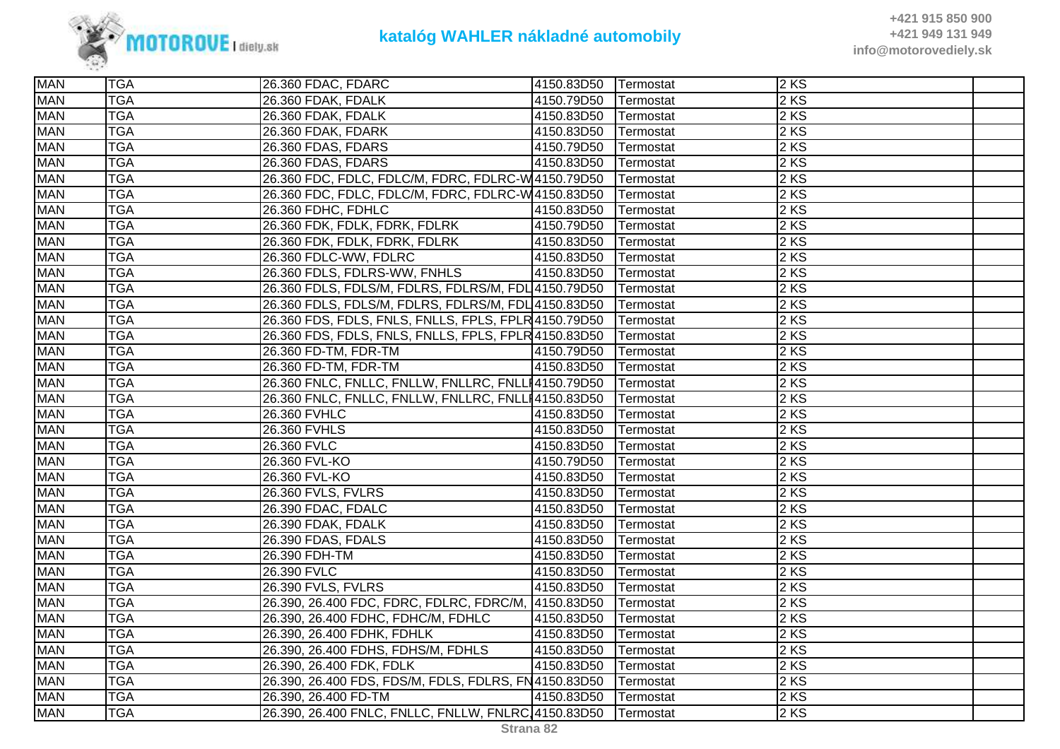

| <b>MAN</b><br>$2$ KS<br><b>TGA</b><br>26.360 FDAK, FDALK<br>4150.79D50<br>Termostat<br>$2$ KS<br><b>MAN</b><br><b>TGA</b><br>26.360 FDAK, FDALK<br>4150.83D50<br>Termostat<br><b>TGA</b><br>2 KS<br><b>MAN</b><br>26.360 FDAK, FDARK<br>4150.83D50<br>Termostat<br><b>MAN</b><br><b>TGA</b><br>2KS<br>4150.79D50<br>26.360 FDAS, FDARS<br>Termostat<br><b>MAN</b><br>2 KS<br><b>TGA</b><br>26.360 FDAS, FDARS<br>4150.83D50<br>Termostat<br>26.360 FDC, FDLC, FDLC/M, FDRC, FDLRC-W 4150.79D50<br>$2$ KS<br><b>MAN</b><br><b>TGA</b><br>Termostat<br><b>MAN</b><br>26.360 FDC, FDLC, FDLC/M, FDRC, FDLRC-W4150.83D50<br>2 KS<br><b>TGA</b><br>Termostat<br><b>MAN</b><br><b>TGA</b><br>2 KS<br>26.360 FDHC, FDHLC<br>4150.83D50<br>Termostat<br><b>TGA</b><br>2 KS<br><b>MAN</b><br>26.360 FDK, FDLK, FDRK, FDLRK<br>4150.79D50<br>Termostat<br>$2$ KS<br><b>MAN</b><br><b>TGA</b><br>26.360 FDK, FDLK, FDRK, FDLRK<br>4150.83D50<br>Termostat<br><b>TGA</b><br>$2$ KS<br><b>MAN</b><br>26.360 FDLC-WW, FDLRC<br>4150.83D50<br>Termostat<br><b>MAN</b><br><b>TGA</b><br>26.360 FDLS, FDLRS-WW, FNHLS<br>$2$ KS<br>4150.83D50 Termostat<br>26.360 FDLS, FDLS/M, FDLRS, FDLRS/M, FDL 4150.79D50 Termostat<br>2 KS<br><b>MAN</b><br><b>TGA</b><br><b>TGA</b><br>2 KS<br><b>MAN</b><br>26.360 FDLS, FDLS/M, FDLRS, FDLRS/M, FDL 4150.83D50<br>Termostat<br><b>TGA</b><br>$2$ KS<br><b>MAN</b><br>26.360 FDS, FDLS, FNLS, FNLLS, FPLS, FPLR 4150.79D50<br>Termostat<br><b>MAN</b><br>2 KS<br><b>TGA</b><br>26.360 FDS, FDLS, FNLS, FNLLS, FPLS, FPLR 4150.83D50<br>Termostat<br>$2$ KS<br><b>MAN</b><br><b>TGA</b><br>26.360 FD-TM, FDR-TM<br>4150.79D50<br>Termostat<br><b>MAN</b><br><b>TGA</b><br>4150.83D50<br>$2$ KS<br>26.360 FD-TM, FDR-TM<br>Termostat<br><b>MAN</b><br><b>TGA</b><br>26.360 FNLC, FNLLC, FNLLW, FNLLRC, FNLLI4150.79D50<br>$2$ KS<br>Termostat<br><b>MAN</b><br><b>TGA</b><br>2 KS<br>26.360 FNLC, FNLLC, FNLLW, FNLLRC, FNLLI4150.83D50<br>Termostat<br><b>MAN</b><br>$2$ KS<br><b>TGA</b><br>26.360 FVHLC<br>4150.83D50<br>Termostat<br><b>MAN</b><br><b>TGA</b><br>$2$ KS<br>26.360 FVHLS<br>4150.83D50<br>Termostat<br><b>TGA</b><br>$2$ KS<br><b>MAN</b><br>4150.83D50<br>26.360 FVLC<br>Termostat<br><b>MAN</b><br><b>TGA</b><br>2KS<br>26.360 FVL-KO<br>4150.79D50<br>Termostat<br><b>TGA</b><br>2 KS<br><b>MAN</b><br>26.360 FVL-KO<br>4150.83D50<br>Termostat<br><b>MAN</b><br>2 KS<br><b>TGA</b><br>26.360 FVLS, FVLRS<br>4150.83D50<br>Termostat<br>2KS<br><b>MAN</b><br><b>TGA</b><br>26.390 FDAC, FDALC<br>4150.83D50<br>Termostat<br><b>MAN</b><br>2 KS<br><b>TGA</b><br>4150.83D50<br>26.390 FDAK, FDALK<br>Termostat<br><b>MAN</b><br>$2$ KS<br><b>TGA</b><br>26.390 FDAS, FDALS<br>4150.83D50<br>Termostat<br><b>TGA</b><br>2 KS<br><b>MAN</b><br>4150.83D50<br>26.390 FDH-TM<br>Termostat<br>$2$ KS<br><b>MAN</b><br><b>TGA</b><br>26.390 FVLC<br>4150.83D50<br>Termostat<br>$2$ KS<br><b>MAN</b><br><b>TGA</b><br>26.390 FVLS, FVLRS<br>4150.83D50<br>Termostat<br>26.390, 26.400 FDC, FDRC, FDLRC, FDRC/M, 4150.83D50<br>$2$ KS<br><b>MAN</b><br><b>TGA</b><br>Termostat<br>2 KS<br><b>MAN</b><br><b>TGA</b><br>26.390, 26.400 FDHC, FDHC/M, FDHLC<br>4150.83D50<br>Termostat<br><b>TGA</b><br>2KS<br><b>MAN</b><br>26.390, 26.400 FDHK, FDHLK<br>4150.83D50<br>Termostat<br><b>MAN</b><br><b>TGA</b><br>2 KS<br>26.390, 26.400 FDHS, FDHS/M, FDHLS<br>4150.83D50<br>Termostat<br><b>MAN</b><br>$2$ KS<br><b>TGA</b><br>4150.83D50<br>26.390, 26.400 FDK, FDLK<br>Termostat<br>26.390, 26.400 FDS, FDS/M, FDLS, FDLRS, FN4150.83D50<br><b>MAN</b><br><b>TGA</b><br>2 KS<br>Termostat<br><b>MAN</b><br>$2$ KS<br><b>TGA</b><br>26.390, 26.400 FD-TM<br>4150.83D50<br>Termostat<br><b>MAN</b><br><b>TGA</b><br>26.390, 26.400 FNLC, FNLLC, FNLLW, FNLRC, 4150.83D50 Termostat<br>$2$ KS | <b>MAN</b> | <b>TGA</b> | 26.360 FDAC, FDARC | 4150.83D50 | Termostat | $2$ KS |  |
|-------------------------------------------------------------------------------------------------------------------------------------------------------------------------------------------------------------------------------------------------------------------------------------------------------------------------------------------------------------------------------------------------------------------------------------------------------------------------------------------------------------------------------------------------------------------------------------------------------------------------------------------------------------------------------------------------------------------------------------------------------------------------------------------------------------------------------------------------------------------------------------------------------------------------------------------------------------------------------------------------------------------------------------------------------------------------------------------------------------------------------------------------------------------------------------------------------------------------------------------------------------------------------------------------------------------------------------------------------------------------------------------------------------------------------------------------------------------------------------------------------------------------------------------------------------------------------------------------------------------------------------------------------------------------------------------------------------------------------------------------------------------------------------------------------------------------------------------------------------------------------------------------------------------------------------------------------------------------------------------------------------------------------------------------------------------------------------------------------------------------------------------------------------------------------------------------------------------------------------------------------------------------------------------------------------------------------------------------------------------------------------------------------------------------------------------------------------------------------------------------------------------------------------------------------------------------------------------------------------------------------------------------------------------------------------------------------------------------------------------------------------------------------------------------------------------------------------------------------------------------------------------------------------------------------------------------------------------------------------------------------------------------------------------------------------------------------------------------------------------------------------------------------------------------------------------------------------------------------------------------------------------------------------------------------------------------------------------------------------------------------------------------------------------------------------------------------------------------------------------------------------------------------------------------------------------------------------------------------------------------------------------------------------------------------------------------------------------------------------------------------------------------------------------------------------------------------|------------|------------|--------------------|------------|-----------|--------|--|
|                                                                                                                                                                                                                                                                                                                                                                                                                                                                                                                                                                                                                                                                                                                                                                                                                                                                                                                                                                                                                                                                                                                                                                                                                                                                                                                                                                                                                                                                                                                                                                                                                                                                                                                                                                                                                                                                                                                                                                                                                                                                                                                                                                                                                                                                                                                                                                                                                                                                                                                                                                                                                                                                                                                                                                                                                                                                                                                                                                                                                                                                                                                                                                                                                                                                                                                                                                                                                                                                                                                                                                                                                                                                                                                                                                                                                               |            |            |                    |            |           |        |  |
|                                                                                                                                                                                                                                                                                                                                                                                                                                                                                                                                                                                                                                                                                                                                                                                                                                                                                                                                                                                                                                                                                                                                                                                                                                                                                                                                                                                                                                                                                                                                                                                                                                                                                                                                                                                                                                                                                                                                                                                                                                                                                                                                                                                                                                                                                                                                                                                                                                                                                                                                                                                                                                                                                                                                                                                                                                                                                                                                                                                                                                                                                                                                                                                                                                                                                                                                                                                                                                                                                                                                                                                                                                                                                                                                                                                                                               |            |            |                    |            |           |        |  |
|                                                                                                                                                                                                                                                                                                                                                                                                                                                                                                                                                                                                                                                                                                                                                                                                                                                                                                                                                                                                                                                                                                                                                                                                                                                                                                                                                                                                                                                                                                                                                                                                                                                                                                                                                                                                                                                                                                                                                                                                                                                                                                                                                                                                                                                                                                                                                                                                                                                                                                                                                                                                                                                                                                                                                                                                                                                                                                                                                                                                                                                                                                                                                                                                                                                                                                                                                                                                                                                                                                                                                                                                                                                                                                                                                                                                                               |            |            |                    |            |           |        |  |
|                                                                                                                                                                                                                                                                                                                                                                                                                                                                                                                                                                                                                                                                                                                                                                                                                                                                                                                                                                                                                                                                                                                                                                                                                                                                                                                                                                                                                                                                                                                                                                                                                                                                                                                                                                                                                                                                                                                                                                                                                                                                                                                                                                                                                                                                                                                                                                                                                                                                                                                                                                                                                                                                                                                                                                                                                                                                                                                                                                                                                                                                                                                                                                                                                                                                                                                                                                                                                                                                                                                                                                                                                                                                                                                                                                                                                               |            |            |                    |            |           |        |  |
|                                                                                                                                                                                                                                                                                                                                                                                                                                                                                                                                                                                                                                                                                                                                                                                                                                                                                                                                                                                                                                                                                                                                                                                                                                                                                                                                                                                                                                                                                                                                                                                                                                                                                                                                                                                                                                                                                                                                                                                                                                                                                                                                                                                                                                                                                                                                                                                                                                                                                                                                                                                                                                                                                                                                                                                                                                                                                                                                                                                                                                                                                                                                                                                                                                                                                                                                                                                                                                                                                                                                                                                                                                                                                                                                                                                                                               |            |            |                    |            |           |        |  |
|                                                                                                                                                                                                                                                                                                                                                                                                                                                                                                                                                                                                                                                                                                                                                                                                                                                                                                                                                                                                                                                                                                                                                                                                                                                                                                                                                                                                                                                                                                                                                                                                                                                                                                                                                                                                                                                                                                                                                                                                                                                                                                                                                                                                                                                                                                                                                                                                                                                                                                                                                                                                                                                                                                                                                                                                                                                                                                                                                                                                                                                                                                                                                                                                                                                                                                                                                                                                                                                                                                                                                                                                                                                                                                                                                                                                                               |            |            |                    |            |           |        |  |
|                                                                                                                                                                                                                                                                                                                                                                                                                                                                                                                                                                                                                                                                                                                                                                                                                                                                                                                                                                                                                                                                                                                                                                                                                                                                                                                                                                                                                                                                                                                                                                                                                                                                                                                                                                                                                                                                                                                                                                                                                                                                                                                                                                                                                                                                                                                                                                                                                                                                                                                                                                                                                                                                                                                                                                                                                                                                                                                                                                                                                                                                                                                                                                                                                                                                                                                                                                                                                                                                                                                                                                                                                                                                                                                                                                                                                               |            |            |                    |            |           |        |  |
|                                                                                                                                                                                                                                                                                                                                                                                                                                                                                                                                                                                                                                                                                                                                                                                                                                                                                                                                                                                                                                                                                                                                                                                                                                                                                                                                                                                                                                                                                                                                                                                                                                                                                                                                                                                                                                                                                                                                                                                                                                                                                                                                                                                                                                                                                                                                                                                                                                                                                                                                                                                                                                                                                                                                                                                                                                                                                                                                                                                                                                                                                                                                                                                                                                                                                                                                                                                                                                                                                                                                                                                                                                                                                                                                                                                                                               |            |            |                    |            |           |        |  |
|                                                                                                                                                                                                                                                                                                                                                                                                                                                                                                                                                                                                                                                                                                                                                                                                                                                                                                                                                                                                                                                                                                                                                                                                                                                                                                                                                                                                                                                                                                                                                                                                                                                                                                                                                                                                                                                                                                                                                                                                                                                                                                                                                                                                                                                                                                                                                                                                                                                                                                                                                                                                                                                                                                                                                                                                                                                                                                                                                                                                                                                                                                                                                                                                                                                                                                                                                                                                                                                                                                                                                                                                                                                                                                                                                                                                                               |            |            |                    |            |           |        |  |
|                                                                                                                                                                                                                                                                                                                                                                                                                                                                                                                                                                                                                                                                                                                                                                                                                                                                                                                                                                                                                                                                                                                                                                                                                                                                                                                                                                                                                                                                                                                                                                                                                                                                                                                                                                                                                                                                                                                                                                                                                                                                                                                                                                                                                                                                                                                                                                                                                                                                                                                                                                                                                                                                                                                                                                                                                                                                                                                                                                                                                                                                                                                                                                                                                                                                                                                                                                                                                                                                                                                                                                                                                                                                                                                                                                                                                               |            |            |                    |            |           |        |  |
|                                                                                                                                                                                                                                                                                                                                                                                                                                                                                                                                                                                                                                                                                                                                                                                                                                                                                                                                                                                                                                                                                                                                                                                                                                                                                                                                                                                                                                                                                                                                                                                                                                                                                                                                                                                                                                                                                                                                                                                                                                                                                                                                                                                                                                                                                                                                                                                                                                                                                                                                                                                                                                                                                                                                                                                                                                                                                                                                                                                                                                                                                                                                                                                                                                                                                                                                                                                                                                                                                                                                                                                                                                                                                                                                                                                                                               |            |            |                    |            |           |        |  |
|                                                                                                                                                                                                                                                                                                                                                                                                                                                                                                                                                                                                                                                                                                                                                                                                                                                                                                                                                                                                                                                                                                                                                                                                                                                                                                                                                                                                                                                                                                                                                                                                                                                                                                                                                                                                                                                                                                                                                                                                                                                                                                                                                                                                                                                                                                                                                                                                                                                                                                                                                                                                                                                                                                                                                                                                                                                                                                                                                                                                                                                                                                                                                                                                                                                                                                                                                                                                                                                                                                                                                                                                                                                                                                                                                                                                                               |            |            |                    |            |           |        |  |
|                                                                                                                                                                                                                                                                                                                                                                                                                                                                                                                                                                                                                                                                                                                                                                                                                                                                                                                                                                                                                                                                                                                                                                                                                                                                                                                                                                                                                                                                                                                                                                                                                                                                                                                                                                                                                                                                                                                                                                                                                                                                                                                                                                                                                                                                                                                                                                                                                                                                                                                                                                                                                                                                                                                                                                                                                                                                                                                                                                                                                                                                                                                                                                                                                                                                                                                                                                                                                                                                                                                                                                                                                                                                                                                                                                                                                               |            |            |                    |            |           |        |  |
|                                                                                                                                                                                                                                                                                                                                                                                                                                                                                                                                                                                                                                                                                                                                                                                                                                                                                                                                                                                                                                                                                                                                                                                                                                                                                                                                                                                                                                                                                                                                                                                                                                                                                                                                                                                                                                                                                                                                                                                                                                                                                                                                                                                                                                                                                                                                                                                                                                                                                                                                                                                                                                                                                                                                                                                                                                                                                                                                                                                                                                                                                                                                                                                                                                                                                                                                                                                                                                                                                                                                                                                                                                                                                                                                                                                                                               |            |            |                    |            |           |        |  |
|                                                                                                                                                                                                                                                                                                                                                                                                                                                                                                                                                                                                                                                                                                                                                                                                                                                                                                                                                                                                                                                                                                                                                                                                                                                                                                                                                                                                                                                                                                                                                                                                                                                                                                                                                                                                                                                                                                                                                                                                                                                                                                                                                                                                                                                                                                                                                                                                                                                                                                                                                                                                                                                                                                                                                                                                                                                                                                                                                                                                                                                                                                                                                                                                                                                                                                                                                                                                                                                                                                                                                                                                                                                                                                                                                                                                                               |            |            |                    |            |           |        |  |
|                                                                                                                                                                                                                                                                                                                                                                                                                                                                                                                                                                                                                                                                                                                                                                                                                                                                                                                                                                                                                                                                                                                                                                                                                                                                                                                                                                                                                                                                                                                                                                                                                                                                                                                                                                                                                                                                                                                                                                                                                                                                                                                                                                                                                                                                                                                                                                                                                                                                                                                                                                                                                                                                                                                                                                                                                                                                                                                                                                                                                                                                                                                                                                                                                                                                                                                                                                                                                                                                                                                                                                                                                                                                                                                                                                                                                               |            |            |                    |            |           |        |  |
|                                                                                                                                                                                                                                                                                                                                                                                                                                                                                                                                                                                                                                                                                                                                                                                                                                                                                                                                                                                                                                                                                                                                                                                                                                                                                                                                                                                                                                                                                                                                                                                                                                                                                                                                                                                                                                                                                                                                                                                                                                                                                                                                                                                                                                                                                                                                                                                                                                                                                                                                                                                                                                                                                                                                                                                                                                                                                                                                                                                                                                                                                                                                                                                                                                                                                                                                                                                                                                                                                                                                                                                                                                                                                                                                                                                                                               |            |            |                    |            |           |        |  |
|                                                                                                                                                                                                                                                                                                                                                                                                                                                                                                                                                                                                                                                                                                                                                                                                                                                                                                                                                                                                                                                                                                                                                                                                                                                                                                                                                                                                                                                                                                                                                                                                                                                                                                                                                                                                                                                                                                                                                                                                                                                                                                                                                                                                                                                                                                                                                                                                                                                                                                                                                                                                                                                                                                                                                                                                                                                                                                                                                                                                                                                                                                                                                                                                                                                                                                                                                                                                                                                                                                                                                                                                                                                                                                                                                                                                                               |            |            |                    |            |           |        |  |
|                                                                                                                                                                                                                                                                                                                                                                                                                                                                                                                                                                                                                                                                                                                                                                                                                                                                                                                                                                                                                                                                                                                                                                                                                                                                                                                                                                                                                                                                                                                                                                                                                                                                                                                                                                                                                                                                                                                                                                                                                                                                                                                                                                                                                                                                                                                                                                                                                                                                                                                                                                                                                                                                                                                                                                                                                                                                                                                                                                                                                                                                                                                                                                                                                                                                                                                                                                                                                                                                                                                                                                                                                                                                                                                                                                                                                               |            |            |                    |            |           |        |  |
|                                                                                                                                                                                                                                                                                                                                                                                                                                                                                                                                                                                                                                                                                                                                                                                                                                                                                                                                                                                                                                                                                                                                                                                                                                                                                                                                                                                                                                                                                                                                                                                                                                                                                                                                                                                                                                                                                                                                                                                                                                                                                                                                                                                                                                                                                                                                                                                                                                                                                                                                                                                                                                                                                                                                                                                                                                                                                                                                                                                                                                                                                                                                                                                                                                                                                                                                                                                                                                                                                                                                                                                                                                                                                                                                                                                                                               |            |            |                    |            |           |        |  |
|                                                                                                                                                                                                                                                                                                                                                                                                                                                                                                                                                                                                                                                                                                                                                                                                                                                                                                                                                                                                                                                                                                                                                                                                                                                                                                                                                                                                                                                                                                                                                                                                                                                                                                                                                                                                                                                                                                                                                                                                                                                                                                                                                                                                                                                                                                                                                                                                                                                                                                                                                                                                                                                                                                                                                                                                                                                                                                                                                                                                                                                                                                                                                                                                                                                                                                                                                                                                                                                                                                                                                                                                                                                                                                                                                                                                                               |            |            |                    |            |           |        |  |
|                                                                                                                                                                                                                                                                                                                                                                                                                                                                                                                                                                                                                                                                                                                                                                                                                                                                                                                                                                                                                                                                                                                                                                                                                                                                                                                                                                                                                                                                                                                                                                                                                                                                                                                                                                                                                                                                                                                                                                                                                                                                                                                                                                                                                                                                                                                                                                                                                                                                                                                                                                                                                                                                                                                                                                                                                                                                                                                                                                                                                                                                                                                                                                                                                                                                                                                                                                                                                                                                                                                                                                                                                                                                                                                                                                                                                               |            |            |                    |            |           |        |  |
|                                                                                                                                                                                                                                                                                                                                                                                                                                                                                                                                                                                                                                                                                                                                                                                                                                                                                                                                                                                                                                                                                                                                                                                                                                                                                                                                                                                                                                                                                                                                                                                                                                                                                                                                                                                                                                                                                                                                                                                                                                                                                                                                                                                                                                                                                                                                                                                                                                                                                                                                                                                                                                                                                                                                                                                                                                                                                                                                                                                                                                                                                                                                                                                                                                                                                                                                                                                                                                                                                                                                                                                                                                                                                                                                                                                                                               |            |            |                    |            |           |        |  |
|                                                                                                                                                                                                                                                                                                                                                                                                                                                                                                                                                                                                                                                                                                                                                                                                                                                                                                                                                                                                                                                                                                                                                                                                                                                                                                                                                                                                                                                                                                                                                                                                                                                                                                                                                                                                                                                                                                                                                                                                                                                                                                                                                                                                                                                                                                                                                                                                                                                                                                                                                                                                                                                                                                                                                                                                                                                                                                                                                                                                                                                                                                                                                                                                                                                                                                                                                                                                                                                                                                                                                                                                                                                                                                                                                                                                                               |            |            |                    |            |           |        |  |
|                                                                                                                                                                                                                                                                                                                                                                                                                                                                                                                                                                                                                                                                                                                                                                                                                                                                                                                                                                                                                                                                                                                                                                                                                                                                                                                                                                                                                                                                                                                                                                                                                                                                                                                                                                                                                                                                                                                                                                                                                                                                                                                                                                                                                                                                                                                                                                                                                                                                                                                                                                                                                                                                                                                                                                                                                                                                                                                                                                                                                                                                                                                                                                                                                                                                                                                                                                                                                                                                                                                                                                                                                                                                                                                                                                                                                               |            |            |                    |            |           |        |  |
|                                                                                                                                                                                                                                                                                                                                                                                                                                                                                                                                                                                                                                                                                                                                                                                                                                                                                                                                                                                                                                                                                                                                                                                                                                                                                                                                                                                                                                                                                                                                                                                                                                                                                                                                                                                                                                                                                                                                                                                                                                                                                                                                                                                                                                                                                                                                                                                                                                                                                                                                                                                                                                                                                                                                                                                                                                                                                                                                                                                                                                                                                                                                                                                                                                                                                                                                                                                                                                                                                                                                                                                                                                                                                                                                                                                                                               |            |            |                    |            |           |        |  |
|                                                                                                                                                                                                                                                                                                                                                                                                                                                                                                                                                                                                                                                                                                                                                                                                                                                                                                                                                                                                                                                                                                                                                                                                                                                                                                                                                                                                                                                                                                                                                                                                                                                                                                                                                                                                                                                                                                                                                                                                                                                                                                                                                                                                                                                                                                                                                                                                                                                                                                                                                                                                                                                                                                                                                                                                                                                                                                                                                                                                                                                                                                                                                                                                                                                                                                                                                                                                                                                                                                                                                                                                                                                                                                                                                                                                                               |            |            |                    |            |           |        |  |
|                                                                                                                                                                                                                                                                                                                                                                                                                                                                                                                                                                                                                                                                                                                                                                                                                                                                                                                                                                                                                                                                                                                                                                                                                                                                                                                                                                                                                                                                                                                                                                                                                                                                                                                                                                                                                                                                                                                                                                                                                                                                                                                                                                                                                                                                                                                                                                                                                                                                                                                                                                                                                                                                                                                                                                                                                                                                                                                                                                                                                                                                                                                                                                                                                                                                                                                                                                                                                                                                                                                                                                                                                                                                                                                                                                                                                               |            |            |                    |            |           |        |  |
|                                                                                                                                                                                                                                                                                                                                                                                                                                                                                                                                                                                                                                                                                                                                                                                                                                                                                                                                                                                                                                                                                                                                                                                                                                                                                                                                                                                                                                                                                                                                                                                                                                                                                                                                                                                                                                                                                                                                                                                                                                                                                                                                                                                                                                                                                                                                                                                                                                                                                                                                                                                                                                                                                                                                                                                                                                                                                                                                                                                                                                                                                                                                                                                                                                                                                                                                                                                                                                                                                                                                                                                                                                                                                                                                                                                                                               |            |            |                    |            |           |        |  |
|                                                                                                                                                                                                                                                                                                                                                                                                                                                                                                                                                                                                                                                                                                                                                                                                                                                                                                                                                                                                                                                                                                                                                                                                                                                                                                                                                                                                                                                                                                                                                                                                                                                                                                                                                                                                                                                                                                                                                                                                                                                                                                                                                                                                                                                                                                                                                                                                                                                                                                                                                                                                                                                                                                                                                                                                                                                                                                                                                                                                                                                                                                                                                                                                                                                                                                                                                                                                                                                                                                                                                                                                                                                                                                                                                                                                                               |            |            |                    |            |           |        |  |
|                                                                                                                                                                                                                                                                                                                                                                                                                                                                                                                                                                                                                                                                                                                                                                                                                                                                                                                                                                                                                                                                                                                                                                                                                                                                                                                                                                                                                                                                                                                                                                                                                                                                                                                                                                                                                                                                                                                                                                                                                                                                                                                                                                                                                                                                                                                                                                                                                                                                                                                                                                                                                                                                                                                                                                                                                                                                                                                                                                                                                                                                                                                                                                                                                                                                                                                                                                                                                                                                                                                                                                                                                                                                                                                                                                                                                               |            |            |                    |            |           |        |  |
|                                                                                                                                                                                                                                                                                                                                                                                                                                                                                                                                                                                                                                                                                                                                                                                                                                                                                                                                                                                                                                                                                                                                                                                                                                                                                                                                                                                                                                                                                                                                                                                                                                                                                                                                                                                                                                                                                                                                                                                                                                                                                                                                                                                                                                                                                                                                                                                                                                                                                                                                                                                                                                                                                                                                                                                                                                                                                                                                                                                                                                                                                                                                                                                                                                                                                                                                                                                                                                                                                                                                                                                                                                                                                                                                                                                                                               |            |            |                    |            |           |        |  |
|                                                                                                                                                                                                                                                                                                                                                                                                                                                                                                                                                                                                                                                                                                                                                                                                                                                                                                                                                                                                                                                                                                                                                                                                                                                                                                                                                                                                                                                                                                                                                                                                                                                                                                                                                                                                                                                                                                                                                                                                                                                                                                                                                                                                                                                                                                                                                                                                                                                                                                                                                                                                                                                                                                                                                                                                                                                                                                                                                                                                                                                                                                                                                                                                                                                                                                                                                                                                                                                                                                                                                                                                                                                                                                                                                                                                                               |            |            |                    |            |           |        |  |
|                                                                                                                                                                                                                                                                                                                                                                                                                                                                                                                                                                                                                                                                                                                                                                                                                                                                                                                                                                                                                                                                                                                                                                                                                                                                                                                                                                                                                                                                                                                                                                                                                                                                                                                                                                                                                                                                                                                                                                                                                                                                                                                                                                                                                                                                                                                                                                                                                                                                                                                                                                                                                                                                                                                                                                                                                                                                                                                                                                                                                                                                                                                                                                                                                                                                                                                                                                                                                                                                                                                                                                                                                                                                                                                                                                                                                               |            |            |                    |            |           |        |  |
|                                                                                                                                                                                                                                                                                                                                                                                                                                                                                                                                                                                                                                                                                                                                                                                                                                                                                                                                                                                                                                                                                                                                                                                                                                                                                                                                                                                                                                                                                                                                                                                                                                                                                                                                                                                                                                                                                                                                                                                                                                                                                                                                                                                                                                                                                                                                                                                                                                                                                                                                                                                                                                                                                                                                                                                                                                                                                                                                                                                                                                                                                                                                                                                                                                                                                                                                                                                                                                                                                                                                                                                                                                                                                                                                                                                                                               |            |            |                    |            |           |        |  |
|                                                                                                                                                                                                                                                                                                                                                                                                                                                                                                                                                                                                                                                                                                                                                                                                                                                                                                                                                                                                                                                                                                                                                                                                                                                                                                                                                                                                                                                                                                                                                                                                                                                                                                                                                                                                                                                                                                                                                                                                                                                                                                                                                                                                                                                                                                                                                                                                                                                                                                                                                                                                                                                                                                                                                                                                                                                                                                                                                                                                                                                                                                                                                                                                                                                                                                                                                                                                                                                                                                                                                                                                                                                                                                                                                                                                                               |            |            |                    |            |           |        |  |
|                                                                                                                                                                                                                                                                                                                                                                                                                                                                                                                                                                                                                                                                                                                                                                                                                                                                                                                                                                                                                                                                                                                                                                                                                                                                                                                                                                                                                                                                                                                                                                                                                                                                                                                                                                                                                                                                                                                                                                                                                                                                                                                                                                                                                                                                                                                                                                                                                                                                                                                                                                                                                                                                                                                                                                                                                                                                                                                                                                                                                                                                                                                                                                                                                                                                                                                                                                                                                                                                                                                                                                                                                                                                                                                                                                                                                               |            |            |                    |            |           |        |  |
|                                                                                                                                                                                                                                                                                                                                                                                                                                                                                                                                                                                                                                                                                                                                                                                                                                                                                                                                                                                                                                                                                                                                                                                                                                                                                                                                                                                                                                                                                                                                                                                                                                                                                                                                                                                                                                                                                                                                                                                                                                                                                                                                                                                                                                                                                                                                                                                                                                                                                                                                                                                                                                                                                                                                                                                                                                                                                                                                                                                                                                                                                                                                                                                                                                                                                                                                                                                                                                                                                                                                                                                                                                                                                                                                                                                                                               |            |            |                    |            |           |        |  |
|                                                                                                                                                                                                                                                                                                                                                                                                                                                                                                                                                                                                                                                                                                                                                                                                                                                                                                                                                                                                                                                                                                                                                                                                                                                                                                                                                                                                                                                                                                                                                                                                                                                                                                                                                                                                                                                                                                                                                                                                                                                                                                                                                                                                                                                                                                                                                                                                                                                                                                                                                                                                                                                                                                                                                                                                                                                                                                                                                                                                                                                                                                                                                                                                                                                                                                                                                                                                                                                                                                                                                                                                                                                                                                                                                                                                                               |            |            |                    |            |           |        |  |
|                                                                                                                                                                                                                                                                                                                                                                                                                                                                                                                                                                                                                                                                                                                                                                                                                                                                                                                                                                                                                                                                                                                                                                                                                                                                                                                                                                                                                                                                                                                                                                                                                                                                                                                                                                                                                                                                                                                                                                                                                                                                                                                                                                                                                                                                                                                                                                                                                                                                                                                                                                                                                                                                                                                                                                                                                                                                                                                                                                                                                                                                                                                                                                                                                                                                                                                                                                                                                                                                                                                                                                                                                                                                                                                                                                                                                               |            |            |                    |            |           |        |  |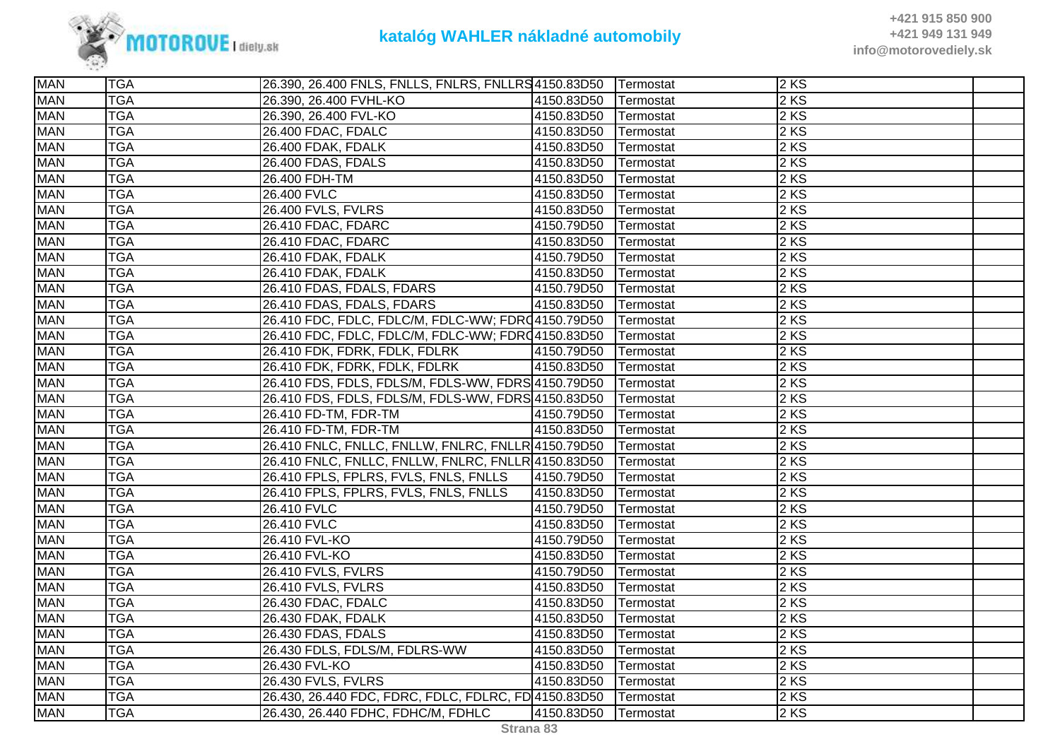

| <b>MAN</b> | <b>TGA</b> | 26.390, 26.400 FNLS, FNLLS, FNLRS, FNLLRS4150.83D50  |            | <b>Termostat</b> | $\overline{2}$ KS |  |
|------------|------------|------------------------------------------------------|------------|------------------|-------------------|--|
| <b>MAN</b> | <b>TGA</b> | 26.390, 26.400 FVHL-KO                               | 4150.83D50 | Termostat        | 2 KS              |  |
| <b>MAN</b> | <b>TGA</b> | 26.390, 26.400 FVL-KO                                | 4150.83D50 | Termostat        | 2 KS              |  |
| <b>MAN</b> | <b>TGA</b> | 26.400 FDAC, FDALC                                   | 4150.83D50 | Termostat        | 2KS               |  |
| <b>MAN</b> | <b>TGA</b> | 26.400 FDAK, FDALK                                   | 4150.83D50 | Termostat        | 2KS               |  |
| <b>MAN</b> | <b>TGA</b> | 26.400 FDAS, FDALS                                   | 4150.83D50 | Termostat        | 2 KS              |  |
| <b>MAN</b> | <b>TGA</b> | 26.400 FDH-TM                                        | 4150.83D50 | Termostat        | 2 KS              |  |
| <b>MAN</b> | <b>TGA</b> | 26.400 FVLC                                          | 4150.83D50 | Termostat        | 2 KS              |  |
| <b>MAN</b> | <b>TGA</b> | <b>26.400 FVLS, FVLRS</b>                            | 4150.83D50 | Termostat        | 2 KS              |  |
| <b>MAN</b> | <b>TGA</b> | 26.410 FDAC, FDARC                                   | 4150.79D50 | Termostat        | 2 KS              |  |
| <b>MAN</b> | <b>TGA</b> | 26.410 FDAC, FDARC                                   | 4150.83D50 | Termostat        | 2 KS              |  |
| <b>MAN</b> | <b>TGA</b> | 26.410 FDAK, FDALK                                   | 4150.79D50 | Termostat        | 2 KS              |  |
| <b>MAN</b> | <b>TGA</b> | 26.410 FDAK, FDALK                                   | 4150.83D50 | Termostat        | 2 KS              |  |
| <b>MAN</b> | <b>TGA</b> | 26.410 FDAS, FDALS, FDARS                            | 4150.79D50 | Termostat        | 2 KS              |  |
| <b>MAN</b> | <b>TGA</b> | 26.410 FDAS, FDALS, FDARS                            | 4150.83D50 | Termostat        | 2 KS              |  |
| <b>MAN</b> | <b>TGA</b> | 26.410 FDC, FDLC, FDLC/M, FDLC-WW; FDRQ4150.79D50    |            | Termostat        | 2KS               |  |
| <b>MAN</b> | <b>TGA</b> | 26.410 FDC, FDLC, FDLC/M, FDLC-WW; FDRQ4150.83D50    |            | Termostat        | 2KS               |  |
| <b>MAN</b> | <b>TGA</b> | 26.410 FDK, FDRK, FDLK, FDLRK                        | 4150.79D50 | Termostat        | 2 KS              |  |
| <b>MAN</b> | <b>TGA</b> | 26.410 FDK, FDRK, FDLK, FDLRK                        | 4150.83D50 | Termostat        | $2$ KS            |  |
| <b>MAN</b> | <b>TGA</b> | 26.410 FDS, FDLS, FDLS/M, FDLS-WW, FDRS 4150.79D50   |            | Termostat        | 2 KS              |  |
| <b>MAN</b> | <b>TGA</b> | 26.410 FDS, FDLS, FDLS/M, FDLS-WW, FDRS 4150.83D50   |            | Termostat        | 2 KS              |  |
| <b>MAN</b> | <b>TGA</b> | 26.410 FD-TM, FDR-TM                                 | 4150.79D50 | Termostat        | 2KS               |  |
| <b>MAN</b> | <b>TGA</b> | 26.410 FD-TM, FDR-TM                                 | 4150.83D50 | Termostat        | 2 KS              |  |
| <b>MAN</b> | <b>TGA</b> | 26.410 FNLC, FNLLC, FNLLW, FNLRC, FNLLR 4150.79D50   |            | Termostat        | 2 KS              |  |
| <b>MAN</b> | <b>TGA</b> | 26.410 FNLC, FNLLC, FNLLW, FNLRC, FNLLR 4150.83D50   |            | Termostat        | 2 KS              |  |
| <b>MAN</b> | <b>TGA</b> | 26.410 FPLS, FPLRS, FVLS, FNLS, FNLLS                | 4150.79D50 | Termostat        | 2KS               |  |
| <b>MAN</b> | <b>TGA</b> | 26.410 FPLS, FPLRS, FVLS, FNLS, FNLLS                | 4150.83D50 | Termostat        | 2KS               |  |
| <b>MAN</b> | <b>TGA</b> | 26.410 FVLC                                          | 4150.79D50 | Termostat        | 2KS               |  |
| <b>MAN</b> | <b>TGA</b> | 26.410 FVLC                                          | 4150.83D50 | Termostat        | 2 KS              |  |
| <b>MAN</b> | <b>TGA</b> | 26.410 FVL-KO                                        | 4150.79D50 | Termostat        | 2 KS              |  |
| <b>MAN</b> | <b>TGA</b> | 26.410 FVL-KO                                        | 4150.83D50 | Termostat        | 2 KS              |  |
| <b>MAN</b> | <b>TGA</b> | 26.410 FVLS, FVLRS                                   | 4150.79D50 | Termostat        | 2 KS              |  |
| <b>MAN</b> | <b>TGA</b> | 26.410 FVLS, FVLRS                                   | 4150.83D50 | Termostat        | $2$ KS            |  |
| <b>MAN</b> | <b>TGA</b> | 26.430 FDAC, FDALC                                   | 4150.83D50 | Termostat        | 2 KS              |  |
| <b>MAN</b> | <b>TGA</b> | 26.430 FDAK, FDALK                                   | 4150.83D50 | Termostat        | 2 KS              |  |
| <b>MAN</b> | <b>TGA</b> | 26.430 FDAS, FDALS                                   | 4150.83D50 | Termostat        | 2 KS              |  |
| <b>MAN</b> | <b>TGA</b> | 26.430 FDLS, FDLS/M, FDLRS-WW                        | 4150.83D50 | Termostat        | 2 KS              |  |
| <b>MAN</b> | <b>TGA</b> | 26.430 FVL-KO                                        | 4150.83D50 | Termostat        | 2 KS              |  |
| <b>MAN</b> | <b>TGA</b> | 26.430 FVLS, FVLRS                                   | 4150.83D50 | Termostat        | 2KS               |  |
| <b>MAN</b> | <b>TGA</b> | 26.430, 26.440 FDC, FDRC, FDLC, FDLRC, FD 4150.83D50 |            | Termostat        | $2$ KS            |  |
| <b>MAN</b> | <b>TGA</b> | 26.430, 26.440 FDHC, FDHC/M, FDHLC                   | 4150.83D50 | Termostat        | 2 KS              |  |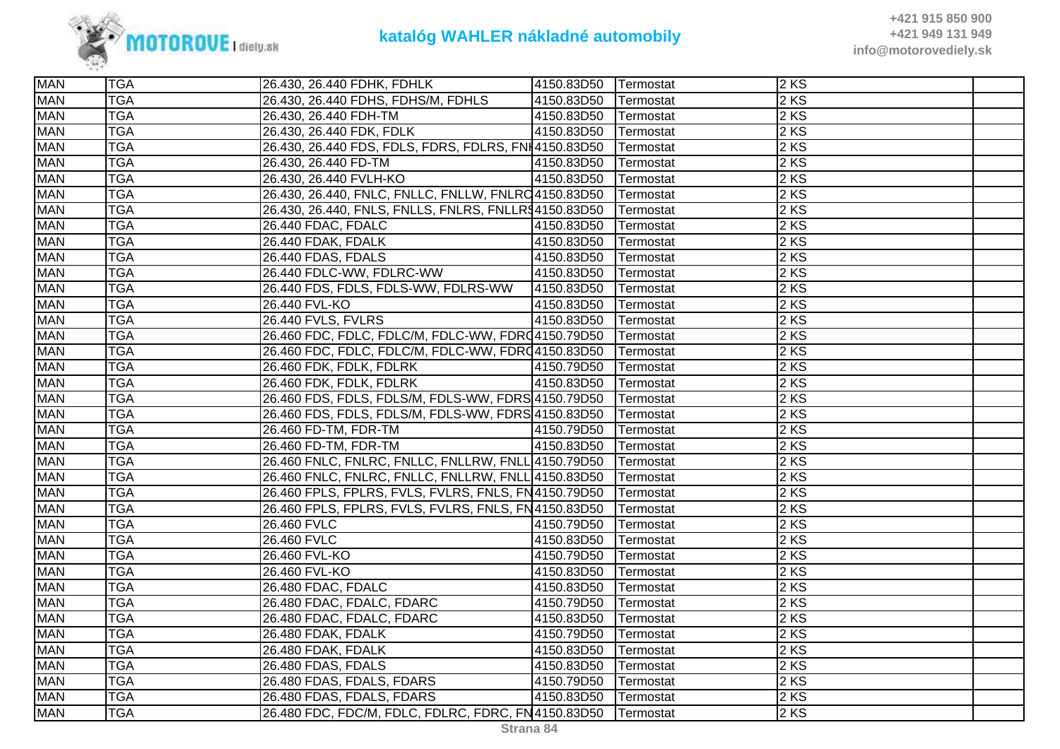

| <b>MAN</b> | <b>TGA</b> | 26.430, 26.440 FDHK, FDHLK                            | 4150.83D50 | Termostat         | $2$ KS |  |
|------------|------------|-------------------------------------------------------|------------|-------------------|--------|--|
| <b>MAN</b> | <b>TGA</b> | 26.430, 26.440 FDHS, FDHS/M, FDHLS                    | 4150.83D50 | Termostat         | 2 KS   |  |
| <b>MAN</b> | <b>TGA</b> | 26.430, 26.440 FDH-TM                                 | 4150.83D50 | <b>ITermostat</b> | 2 KS   |  |
| <b>MAN</b> | <b>TGA</b> | 26.430, 26.440 FDK, FDLK                              | 4150.83D50 | Termostat         | 2 KS   |  |
| <b>MAN</b> | <b>TGA</b> | 26.430, 26.440 FDS, FDLS, FDRS, FDLRS, FNI4150.83D50  |            | Termostat         | $2$ KS |  |
| <b>MAN</b> | <b>TGA</b> | 26.430, 26.440 FD-TM                                  | 4150.83D50 | Termostat         | 2KS    |  |
| <b>MAN</b> | <b>TGA</b> | 26.430, 26.440 FVLH-KO                                | 4150.83D50 | Termostat         | 2 KS   |  |
| <b>MAN</b> | <b>TGA</b> | 26.430, 26.440, FNLC, FNLLC, FNLLW, FNLRC4150.83D50   |            | Termostat         | 2 KS   |  |
| <b>MAN</b> | <b>TGA</b> | 26.430, 26.440, FNLS, FNLLS, FNLRS, FNLLR\$4150.83D50 |            | Termostat         | 2 KS   |  |
| <b>MAN</b> | <b>TGA</b> | 26.440 FDAC, FDALC                                    | 4150.83D50 | Termostat         | 2 KS   |  |
| <b>MAN</b> | <b>TGA</b> | 26.440 FDAK, FDALK                                    | 4150.83D50 | Termostat         | 2 KS   |  |
| <b>MAN</b> | <b>TGA</b> | 26.440 FDAS, FDALS                                    | 4150.83D50 | Termostat         | $2$ KS |  |
| <b>MAN</b> | <b>TGA</b> | 26.440 FDLC-WW, FDLRC-WW                              | 4150.83D50 | Termostat         | 2 KS   |  |
| <b>MAN</b> | <b>TGA</b> | 26.440 FDS, FDLS, FDLS-WW, FDLRS-WW                   | 4150.83D50 | Termostat         | 2 KS   |  |
| <b>MAN</b> | <b>TGA</b> | 26.440 FVL-KO                                         | 4150.83D50 | Termostat         | 2KS    |  |
| <b>MAN</b> | <b>TGA</b> | 26.440 FVLS, FVLRS                                    | 4150.83D50 | Termostat         | 2 KS   |  |
| <b>MAN</b> | <b>TGA</b> | 26.460 FDC, FDLC, FDLC/M, FDLC-WW, FDR(4150.79D50     |            | Termostat         | 2 KS   |  |
| <b>MAN</b> | <b>TGA</b> | 26.460 FDC, FDLC, FDLC/M, FDLC-WW, FDRQ4150.83D50     |            | Termostat         | 2 KS   |  |
| <b>MAN</b> | <b>TGA</b> | 26.460 FDK, FDLK, FDLRK                               | 4150.79D50 | Termostat         | $2$ KS |  |
| <b>MAN</b> | <b>TGA</b> | 26.460 FDK, FDLK, FDLRK                               | 4150.83D50 | Termostat         | 2KS    |  |
| <b>MAN</b> | <b>TGA</b> | 26.460 FDS, FDLS, FDLS/M, FDLS-WW, FDRS 4150.79D50    |            | Termostat         | 2 KS   |  |
| <b>MAN</b> | <b>TGA</b> | 26.460 FDS, FDLS, FDLS/M, FDLS-WW, FDRS 4150.83D50    |            | Termostat         | 2 KS   |  |
| <b>MAN</b> | <b>TGA</b> | 26.460 FD-TM, FDR-TM                                  | 4150.79D50 | Termostat         | 2 KS   |  |
| <b>MAN</b> | <b>TGA</b> | 26.460 FD-TM, FDR-TM                                  | 4150.83D50 | Termostat         | $2$ KS |  |
| <b>MAN</b> | <b>TGA</b> | 26.460 FNLC, FNLRC, FNLLC, FNLLRW, FNLL 4150.79D50    |            | Termostat         | 2 KS   |  |
| <b>MAN</b> | <b>TGA</b> | 26.460 FNLC, FNLRC, FNLLC, FNLLRW, FNLL 4150.83D50    |            | Termostat         | 2KS    |  |
| <b>MAN</b> | <b>TGA</b> | 26.460 FPLS, FPLRS, FVLS, FVLRS, FNLS, FN4150.79D50   |            | Termostat         | 2 KS   |  |
| <b>MAN</b> | <b>TGA</b> | 26.460 FPLS, FPLRS, FVLS, FVLRS, FNLS, FN4150.83D50   |            | Termostat         | 2 KS   |  |
| <b>MAN</b> | <b>TGA</b> | 26.460 FVLC                                           | 4150.79D50 | Termostat         | 2 KS   |  |
| <b>MAN</b> | <b>TGA</b> | 26.460 FVLC                                           | 4150.83D50 | Termostat         | 2 KS   |  |
| <b>MAN</b> | <b>TGA</b> | 26.460 FVL-KO                                         | 4150.79D50 | Termostat         | 2KS    |  |
| <b>MAN</b> | <b>TGA</b> | 26.460 FVL-KO                                         | 4150.83D50 | Termostat         | 2 KS   |  |
| <b>MAN</b> | <b>TGA</b> | 26.480 FDAC, FDALC                                    | 4150.83D50 | Termostat         | 2 KS   |  |
| <b>MAN</b> | <b>TGA</b> | 26.480 FDAC, FDALC, FDARC                             | 4150.79D50 | Termostat         | 2 KS   |  |
| <b>MAN</b> | <b>TGA</b> | 26.480 FDAC, FDALC, FDARC                             | 4150.83D50 | Termostat         | 2 KS   |  |
| <b>MAN</b> | <b>TGA</b> | 26.480 FDAK, FDALK                                    | 4150.79D50 | Termostat         | 2 KS   |  |
| <b>MAN</b> | <b>TGA</b> | 26.480 FDAK, FDALK                                    | 4150.83D50 | Termostat         | 2 KS   |  |
| <b>MAN</b> | <b>TGA</b> | 26.480 FDAS, FDALS                                    | 4150.83D50 | Termostat         | 2 KS   |  |
| <b>MAN</b> | <b>TGA</b> | 26.480 FDAS, FDALS, FDARS                             | 4150.79D50 | Termostat         | 2KS    |  |
| <b>MAN</b> | <b>TGA</b> | 26.480 FDAS, FDALS, FDARS                             | 4150.83D50 | Termostat         | $2$ KS |  |
| <b>MAN</b> | <b>TGA</b> | 26.480 FDC, FDC/M, FDLC, FDLRC, FDRC, FN4150.83D50    |            | Termostat         | 2KS    |  |
|            |            |                                                       |            |                   |        |  |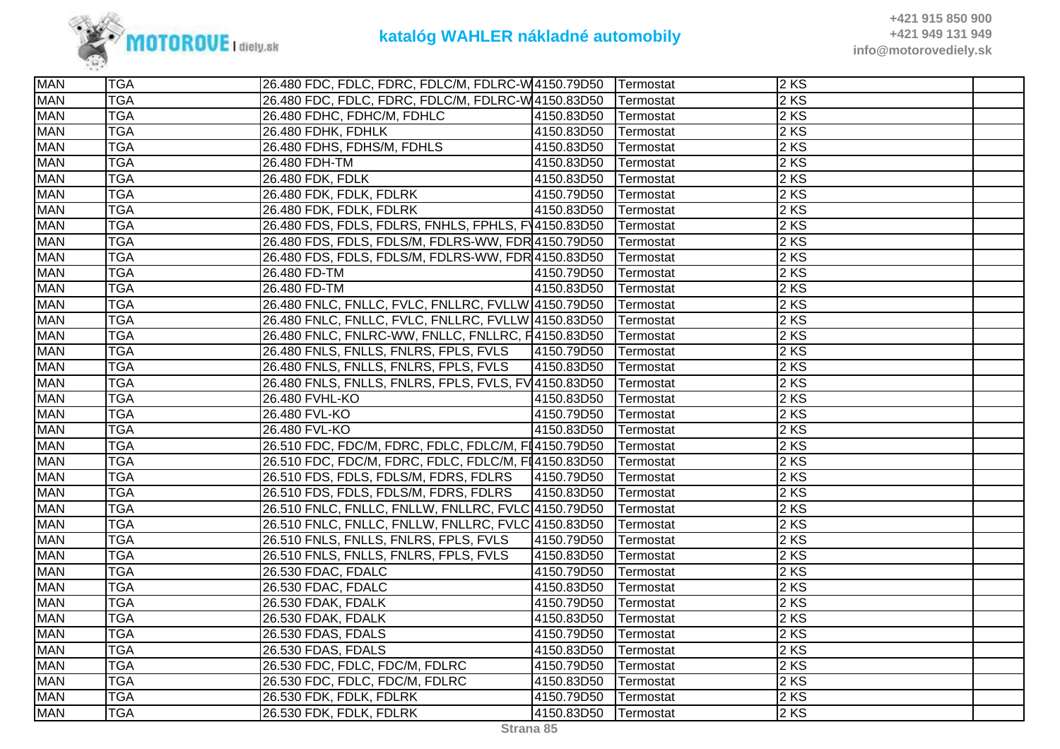

| <b>MAN</b> | <b>TGA</b> | 26.480 FDC, FDLC, FDRC, FDLC/M, FDLRC-W 4150.79D50             |            | <b>Termostat</b> | 2KS               |  |
|------------|------------|----------------------------------------------------------------|------------|------------------|-------------------|--|
| <b>MAN</b> | <b>TGA</b> | 26.480 FDC, FDLC, FDRC, FDLC/M, FDLRC-W4150.83D50              |            | Termostat        | 2 KS              |  |
| <b>MAN</b> | <b>TGA</b> | 26.480 FDHC, FDHC/M, FDHLC                                     | 4150.83D50 | Termostat        | 2 KS              |  |
| <b>MAN</b> | <b>TGA</b> | 26.480 FDHK, FDHLK                                             | 4150.83D50 | Termostat        | 2KS               |  |
| <b>MAN</b> | <b>TGA</b> | 26.480 FDHS, FDHS/M, FDHLS                                     | 4150.83D50 | Termostat        | 2KS               |  |
| <b>MAN</b> | <b>TGA</b> | 26.480 FDH-TM                                                  | 4150.83D50 | Termostat        | 2 KS              |  |
| <b>MAN</b> | <b>TGA</b> | 26.480 FDK, FDLK                                               | 4150.83D50 | Termostat        | 2 KS              |  |
| <b>MAN</b> | <b>TGA</b> | 26.480 FDK, FDLK, FDLRK                                        | 4150.79D50 | Termostat        | 2 KS              |  |
| <b>MAN</b> | <b>TGA</b> | 26.480 FDK, FDLK, FDLRK                                        | 4150.83D50 | Termostat        | 2 KS              |  |
| <b>MAN</b> | <b>TGA</b> | 26.480 FDS, FDLS, FDLRS, FNHLS, FPHLS, FV4150.83D50            |            | Termostat        | 2KS               |  |
| <b>MAN</b> | <b>TGA</b> | 26.480 FDS, FDLS, FDLS/M, FDLRS-WW, FDR 4150.79D50             |            | Termostat        | 2 KS              |  |
| <b>MAN</b> | <b>TGA</b> | 26.480 FDS, FDLS, FDLS/M, FDLRS-WW, FDR 4150.83D50             |            | Termostat        | 2 KS              |  |
| <b>MAN</b> | <b>TGA</b> | 26.480 FD-TM                                                   | 4150.79D50 | Termostat        | 2 KS              |  |
| <b>MAN</b> | <b>TGA</b> | 26.480 FD-TM                                                   | 4150.83D50 | Termostat        | 2 KS              |  |
| <b>MAN</b> | <b>TGA</b> | 26.480 FNLC, FNLLC, FVLC, FNLLRC, FVLLW 4150.79D50   Termostat |            |                  | 2KS               |  |
| <b>MAN</b> | <b>TGA</b> | 26.480 FNLC, FNLLC, FVLC, FNLLRC, FVLLW 4150.83D50             |            | Termostat        | 2KS               |  |
| <b>MAN</b> | <b>TGA</b> | 26.480 FNLC, FNLRC-WW, FNLLC, FNLLRC, F4150.83D50              |            | Termostat        | 2KS               |  |
| <b>MAN</b> | <b>TGA</b> | 26.480 FNLS, FNLLS, FNLRS, FPLS, FVLS                          | 4150.79D50 | Termostat        | 2 KS              |  |
| <b>MAN</b> | <b>TGA</b> | 26.480 FNLS, FNLLS, FNLRS, FPLS, FVLS                          | 4150.83D50 | Termostat        | 2KS               |  |
| <b>MAN</b> | <b>TGA</b> | 26.480 FNLS, FNLLS, FNLRS, FPLS, FVLS, FV44150.83D50           |            | Termostat        | 2 KS              |  |
| <b>MAN</b> | <b>TGA</b> | 26.480 FVHL-KO                                                 | 4150.83D50 | Termostat        | 2 KS              |  |
| <b>MAN</b> | <b>TGA</b> | 26.480 FVL-KO                                                  | 4150.79D50 | Termostat        | 2KS               |  |
| <b>MAN</b> | <b>TGA</b> | 26.480 FVL-KO                                                  | 4150.83D50 | Termostat        | 2 KS              |  |
| <b>MAN</b> | <b>TGA</b> | 26.510 FDC, FDC/M, FDRC, FDLC, FDLC/M, FI4150.79D50            |            | Termostat        | 2 KS              |  |
| <b>MAN</b> | <b>TGA</b> | 26.510 FDC, FDC/M, FDRC, FDLC, FDLC/M, FI4150.83D50            |            | Termostat        | 2 KS              |  |
| <b>MAN</b> | <b>TGA</b> | 26.510 FDS, FDLS, FDLS/M, FDRS, FDLRS                          | 4150.79D50 | Termostat        | 2KS               |  |
| <b>MAN</b> | <b>TGA</b> | 26.510 FDS, FDLS, FDLS/M, FDRS, FDLRS                          | 4150.83D50 | Termostat        | 2KS               |  |
| <b>MAN</b> | <b>TGA</b> | 26.510 FNLC, FNLLC, FNLLW, FNLLRC, FVLC 4150.79D50             |            | Termostat        | 2KS               |  |
| <b>MAN</b> | <b>TGA</b> | 26.510 FNLC, FNLLC, FNLLW, FNLLRC, FVLC 4150.83D50             |            | Termostat        | 2 KS              |  |
| <b>MAN</b> | <b>TGA</b> | 26.510 FNLS, FNLLS, FNLRS, FPLS, FVLS                          | 4150.79D50 | Termostat        | 2 KS              |  |
| <b>MAN</b> | <b>TGA</b> | 26.510 FNLS, FNLLS, FNLRS, FPLS, FVLS                          | 4150.83D50 | Termostat        | 2 KS              |  |
| <b>MAN</b> | <b>TGA</b> | 26.530 FDAC, FDALC                                             | 4150.79D50 | Termostat        | 2 KS              |  |
| <b>MAN</b> | <b>TGA</b> | 26.530 FDAC, FDALC                                             | 4150.83D50 | Termostat        | 2KS               |  |
| <b>MAN</b> | <b>TGA</b> | 26.530 FDAK, FDALK                                             | 4150.79D50 | Termostat        | $2 K\overline{S}$ |  |
| <b>MAN</b> | <b>TGA</b> | 26.530 FDAK, FDALK                                             | 4150.83D50 | Termostat        | 2 KS              |  |
| <b>MAN</b> | <b>TGA</b> | 26.530 FDAS, FDALS                                             | 4150.79D50 | Termostat        | 2 KS              |  |
| <b>MAN</b> | <b>TGA</b> | 26.530 FDAS, FDALS                                             | 4150.83D50 | Termostat        | 2 KS              |  |
| <b>MAN</b> | <b>TGA</b> | 26.530 FDC, FDLC, FDC/M, FDLRC                                 | 4150.79D50 | Termostat        | 2KS               |  |
| <b>MAN</b> | <b>TGA</b> | 26.530 FDC, FDLC, FDC/M, FDLRC                                 | 4150.83D50 | Termostat        | 2KS               |  |
| <b>MAN</b> | <b>TGA</b> | 26.530 FDK, FDLK, FDLRK                                        | 4150.79D50 | Termostat        | 2KS               |  |
| <b>MAN</b> | <b>TGA</b> | 26.530 FDK, FDLK, FDLRK                                        | 4150.83D50 | Termostat        | 2 KS              |  |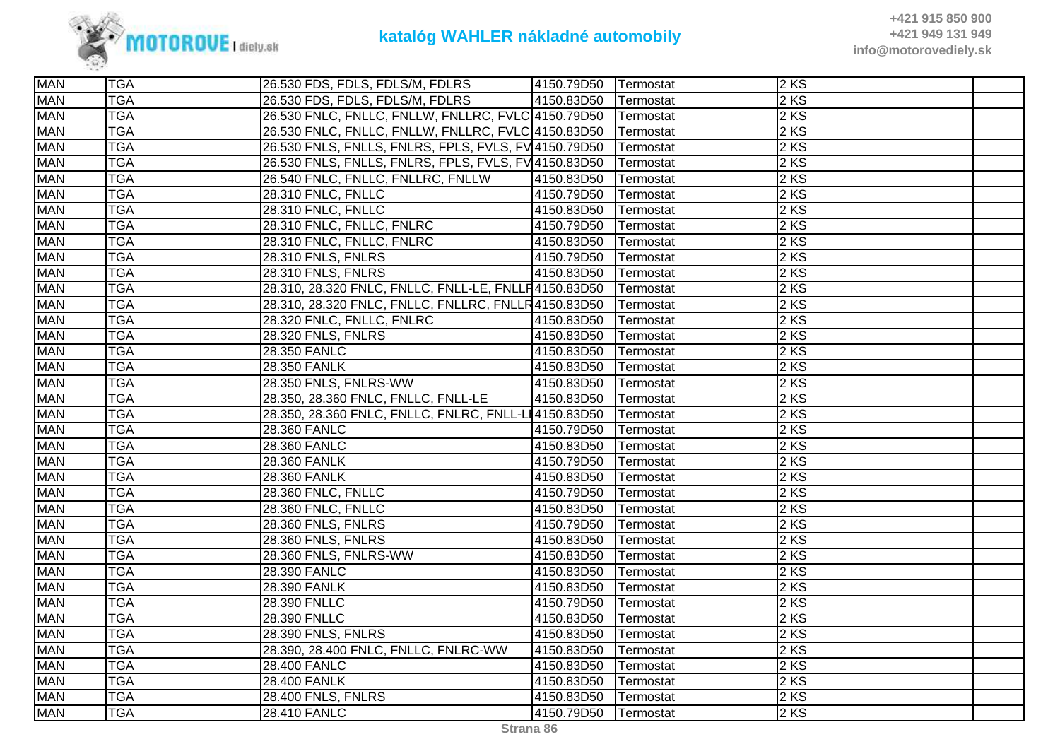

| <b>MAN</b> | <b>TGA</b> | 26.530 FDS, FDLS, FDLS/M, FDLRS                      | 4150.79D50 | Termostat | $2$ KS            |  |
|------------|------------|------------------------------------------------------|------------|-----------|-------------------|--|
| <b>MAN</b> | <b>TGA</b> | 26.530 FDS, FDLS, FDLS/M, FDLRS                      | 4150.83D50 | Termostat | 2 KS              |  |
| <b>MAN</b> | <b>TGA</b> | 26.530 FNLC, FNLLC, FNLLW, FNLLRC, FVLC 4150.79D50   |            | Termostat | 2 KS              |  |
| <b>MAN</b> | <b>TGA</b> | 26.530 FNLC, FNLLC, FNLLW, FNLLRC, FVLC 4150.83D50   |            | Termostat | 2 KS              |  |
| <b>MAN</b> | <b>TGA</b> | 26.530 FNLS, FNLLS, FNLRS, FPLS, FVLS, FV 4150.79D50 |            | Termostat | 2KS               |  |
| <b>MAN</b> | <b>TGA</b> | 26.530 FNLS, FNLLS, FNLRS, FPLS, FVLS, FV 4150.83D50 |            | Termostat | 2 KS              |  |
| <b>MAN</b> | <b>TGA</b> | 26.540 FNLC, FNLLC, FNLLRC, FNLLW                    | 4150.83D50 | Termostat | 2 KS              |  |
| <b>MAN</b> | <b>TGA</b> | 28.310 FNLC, FNLLC                                   | 4150.79D50 | Termostat | 2 KS              |  |
| <b>MAN</b> | <b>TGA</b> | <b>28.310 FNLC, FNLLC</b>                            | 4150.83D50 | Termostat | 2 KS              |  |
| <b>MAN</b> | <b>TGA</b> | 28.310 FNLC, FNLLC, FNLRC                            | 4150.79D50 | Termostat | 2KS               |  |
| <b>MAN</b> | <b>TGA</b> | 28.310 FNLC, FNLLC, FNLRC                            | 4150.83D50 | Termostat | 2 KS              |  |
| <b>MAN</b> | <b>TGA</b> | 28.310 FNLS, FNLRS                                   | 4150.79D50 | Termostat | 2 KS              |  |
| <b>MAN</b> | <b>TGA</b> | 28.310 FNLS, FNLRS                                   | 4150.83D50 | Termostat | 2 KS              |  |
| <b>MAN</b> | <b>TGA</b> | 28.310, 28.320 FNLC, FNLLC, FNLL-LE, FNLLR4150.83D50 |            | Termostat | 2 KS              |  |
| <b>MAN</b> | <b>TGA</b> | 28.310, 28.320 FNLC, FNLLC, FNLLRC, FNLLR4150.83D50  |            | Termostat | 2 KS              |  |
| <b>MAN</b> | <b>TGA</b> | 28.320 FNLC, FNLLC, FNLRC                            | 4150.83D50 | Termostat | 2KS               |  |
| <b>MAN</b> | <b>TGA</b> | 28.320 FNLS, FNLRS                                   | 4150.83D50 | Termostat | $2 K\overline{S}$ |  |
| <b>MAN</b> | <b>TGA</b> | 28.350 FANLC                                         | 4150.83D50 | Termostat | 2 KS              |  |
| <b>MAN</b> | <b>TGA</b> | 28.350 FANLK                                         | 4150.83D50 | Termostat | 2KS               |  |
| <b>MAN</b> | <b>TGA</b> | 28.350 FNLS, FNLRS-WW                                | 4150.83D50 | Termostat | 2 KS              |  |
| <b>MAN</b> | <b>TGA</b> | 28.350, 28.360 FNLC, FNLLC, FNLL-LE                  | 4150.83D50 | Termostat | 2 KS              |  |
| <b>MAN</b> | <b>TGA</b> | 28.350, 28.360 FNLC, FNLLC, FNLRC, FNLL-LI4150.83D50 |            | Termostat | 2 KS              |  |
| <b>MAN</b> | <b>TGA</b> | 28.360 FANLC                                         | 4150.79D50 | Termostat | 2 KS              |  |
| <b>MAN</b> | <b>TGA</b> | 28.360 FANLC                                         | 4150.83D50 | Termostat | 2 KS              |  |
| <b>MAN</b> | <b>TGA</b> | 28.360 FANLK                                         | 4150.79D50 | Termostat | 2 KS              |  |
| <b>MAN</b> | <b>TGA</b> | 28.360 FANLK                                         | 4150.83D50 | Termostat | 2KS               |  |
| <b>MAN</b> | <b>TGA</b> | <b>28.360 FNLC, FNLLC</b>                            | 4150.79D50 | Termostat | 2KS               |  |
| <b>MAN</b> | <b>TGA</b> | 28.360 FNLC, FNLLC                                   | 4150.83D50 | Termostat | 2 KS              |  |
| <b>MAN</b> | <b>TGA</b> | 28.360 FNLS, FNLRS                                   | 4150.79D50 | Termostat | 2 KS              |  |
| <b>MAN</b> | <b>TGA</b> | <b>28.360 FNLS, FNLRS</b>                            | 4150.83D50 | Termostat | 2 KS              |  |
| <b>MAN</b> | <b>TGA</b> | 28.360 FNLS, FNLRS-WW                                | 4150.83D50 | Termostat | $2$ KS            |  |
| <b>MAN</b> | <b>TGA</b> | 28.390 FANLC                                         | 4150.83D50 | Termostat | 2 KS              |  |
| <b>MAN</b> | <b>TGA</b> | 28.390 FANLK                                         | 4150.83D50 | Termostat | 2KS               |  |
| <b>MAN</b> | <b>TGA</b> | 28.390 FNLLC                                         | 4150.79D50 | Termostat | 2 KS              |  |
| <b>MAN</b> | <b>TGA</b> | 28.390 FNLLC                                         | 4150.83D50 | Termostat | 2 KS              |  |
| <b>MAN</b> | <b>TGA</b> | <b>28.390 FNLS, FNLRS</b>                            | 4150.83D50 | Termostat | 2 KS              |  |
| <b>MAN</b> | <b>TGA</b> | 28.390, 28.400 FNLC, FNLLC, FNLRC-WW                 | 4150.83D50 | Termostat | 2 KS              |  |
| <b>MAN</b> | <b>TGA</b> | 28.400 FANLC                                         | 4150.83D50 | Termostat | 2 KS              |  |
| <b>MAN</b> | <b>TGA</b> | 28.400 FANLK                                         | 4150.83D50 | Termostat | 2 KS              |  |
| <b>MAN</b> | <b>TGA</b> | 28.400 FNLS, FNLRS                                   | 4150.83D50 | Termostat | 2KS               |  |
| <b>MAN</b> | <b>TGA</b> | 28.410 FANLC                                         | 4150.79D50 | Termostat | 2 KS              |  |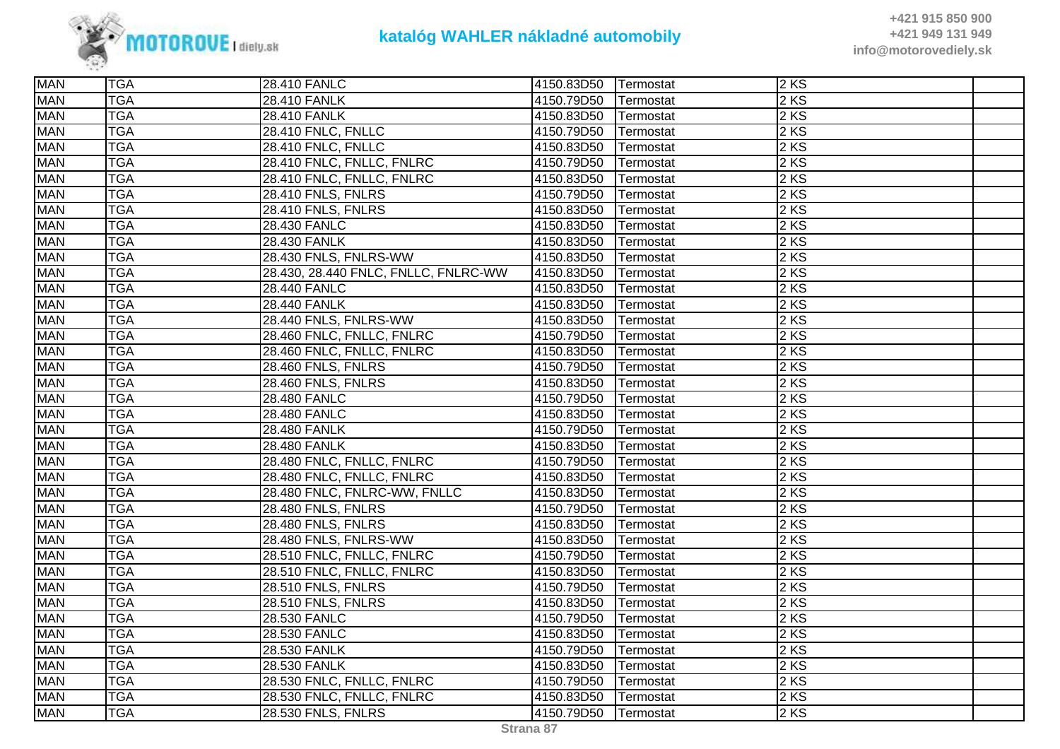

| <b>MAN</b> | <b>TGA</b> | 28.410 FANLC                         | 4150.83D50 | Termostat | 2KS    |  |
|------------|------------|--------------------------------------|------------|-----------|--------|--|
| <b>MAN</b> | <b>TGA</b> | <b>28.410 FANLK</b>                  | 4150.79D50 | Termostat | $2$ KS |  |
| <b>MAN</b> | <b>TGA</b> | <b>28.410 FANLK</b>                  | 4150.83D50 | Termostat | 2 KS   |  |
| <b>MAN</b> | <b>TGA</b> | 28.410 FNLC, FNLLC                   | 4150.79D50 | Termostat | 2 KS   |  |
| <b>MAN</b> | <b>TGA</b> | 28.410 FNLC, FNLLC                   | 4150.83D50 | Termostat | $2$ KS |  |
| <b>MAN</b> | <b>TGA</b> | 28.410 FNLC, FNLLC, FNLRC            | 4150.79D50 | Termostat | 2 KS   |  |
| <b>MAN</b> | <b>TGA</b> | 28.410 FNLC, FNLLC, FNLRC            | 4150.83D50 | Termostat | 2 KS   |  |
| <b>MAN</b> | <b>TGA</b> | 28.410 FNLS, FNLRS                   | 4150.79D50 | Termostat | 2 KS   |  |
| <b>MAN</b> | <b>TGA</b> | 28.410 FNLS, FNLRS                   | 4150.83D50 | Termostat | 2 KS   |  |
| <b>MAN</b> | <b>TGA</b> | 28.430 FANLC                         | 4150.83D50 | Termostat | 2 KS   |  |
| <b>MAN</b> | <b>TGA</b> | 28.430 FANLK                         | 4150.83D50 | Termostat | $2$ KS |  |
| <b>MAN</b> | <b>TGA</b> | 28.430 FNLS, FNLRS-WW                | 4150.83D50 | Termostat | $2$ KS |  |
| <b>MAN</b> | <b>TGA</b> | 28.430, 28.440 FNLC, FNLLC, FNLRC-WW | 4150.83D50 | Termostat | $2$ KS |  |
| <b>MAN</b> | <b>TGA</b> | 28.440 FANLC                         | 4150.83D50 | Termostat | $2$ KS |  |
| <b>MAN</b> | <b>TGA</b> | <b>28.440 FANLK</b>                  | 4150.83D50 | Termostat | 2 KS   |  |
| <b>MAN</b> | <b>TGA</b> | 28.440 FNLS, FNLRS-WW                | 4150.83D50 | Termostat | $2$ KS |  |
| <b>MAN</b> | <b>TGA</b> | 28.460 FNLC, FNLLC, FNLRC            | 4150.79D50 | Termostat | $2$ KS |  |
| <b>MAN</b> | <b>TGA</b> | 28.460 FNLC, FNLLC, FNLRC            | 4150.83D50 | Termostat | $2$ KS |  |
| <b>MAN</b> | <b>TGA</b> | 28.460 FNLS, FNLRS                   | 4150.79D50 | Termostat | 2KS    |  |
| <b>MAN</b> | <b>TGA</b> | 28.460 FNLS, FNLRS                   | 4150.83D50 | Termostat | $2$ KS |  |
| <b>MAN</b> | <b>TGA</b> | 28.480 FANLC                         | 4150.79D50 | Termostat | 2KS    |  |
| <b>MAN</b> | <b>TGA</b> | 28.480 FANLC                         | 4150.83D50 | Termostat | 2 KS   |  |
| <b>MAN</b> | <b>TGA</b> | <b>28.480 FANLK</b>                  | 4150.79D50 | Termostat | 2 KS   |  |
| <b>MAN</b> | <b>TGA</b> | <b>28.480 FANLK</b>                  | 4150.83D50 | Termostat | 2 KS   |  |
| <b>MAN</b> | <b>TGA</b> | 28.480 FNLC, FNLLC, FNLRC            | 4150.79D50 | Termostat | 2 KS   |  |
| <b>MAN</b> | <b>TGA</b> | 28.480 FNLC, FNLLC, FNLRC            | 4150.83D50 | Termostat | $2$ KS |  |
| <b>MAN</b> | <b>TGA</b> | 28.480 FNLC, FNLRC-WW, FNLLC         | 4150.83D50 | Termostat | 2 KS   |  |
| <b>MAN</b> | <b>TGA</b> | 28.480 FNLS, FNLRS                   | 4150.79D50 | Termostat | 2 KS   |  |
| <b>MAN</b> | <b>TGA</b> | <b>28.480 FNLS, FNLRS</b>            | 4150.83D50 | Termostat | $2$ KS |  |
| <b>MAN</b> | <b>TGA</b> | 28.480 FNLS, FNLRS-WW                | 4150.83D50 | Termostat | $2$ KS |  |
| <b>MAN</b> | <b>TGA</b> | 28.510 FNLC, FNLLC, FNLRC            | 4150.79D50 | Termostat | 2 KS   |  |
| <b>MAN</b> | <b>TGA</b> | 28.510 FNLC, FNLLC, FNLRC            | 4150.83D50 | Termostat | 2 KS   |  |
| <b>MAN</b> | <b>TGA</b> | 28.510 FNLS, FNLRS                   | 4150.79D50 | Termostat | 2 KS   |  |
| <b>MAN</b> | <b>TGA</b> | 28.510 FNLS, FNLRS                   | 4150.83D50 | Termostat | $2$ KS |  |
| <b>MAN</b> | <b>TGA</b> | 28.530 FANLC                         | 4150.79D50 | Termostat | $2$ KS |  |
| <b>MAN</b> | <b>TGA</b> | 28.530 FANLC                         | 4150.83D50 | Termostat | $2$ KS |  |
| <b>MAN</b> | <b>TGA</b> | 28.530 FANLK                         | 4150.79D50 | Termostat | $2$ KS |  |
| <b>MAN</b> | <b>TGA</b> | 28.530 FANLK                         | 4150.83D50 | Termostat | 2 KS   |  |
| <b>MAN</b> | <b>TGA</b> | 28.530 FNLC, FNLLC, FNLRC            | 4150.79D50 | Termostat | 2 KS   |  |
| <b>MAN</b> | <b>TGA</b> | 28.530 FNLC, FNLLC, FNLRC            | 4150.83D50 | Termostat | $2$ KS |  |
| <b>MAN</b> | <b>TGA</b> | 28.530 FNLS, FNLRS                   | 4150.79D50 | Termostat | 2KS    |  |
|            |            |                                      |            |           |        |  |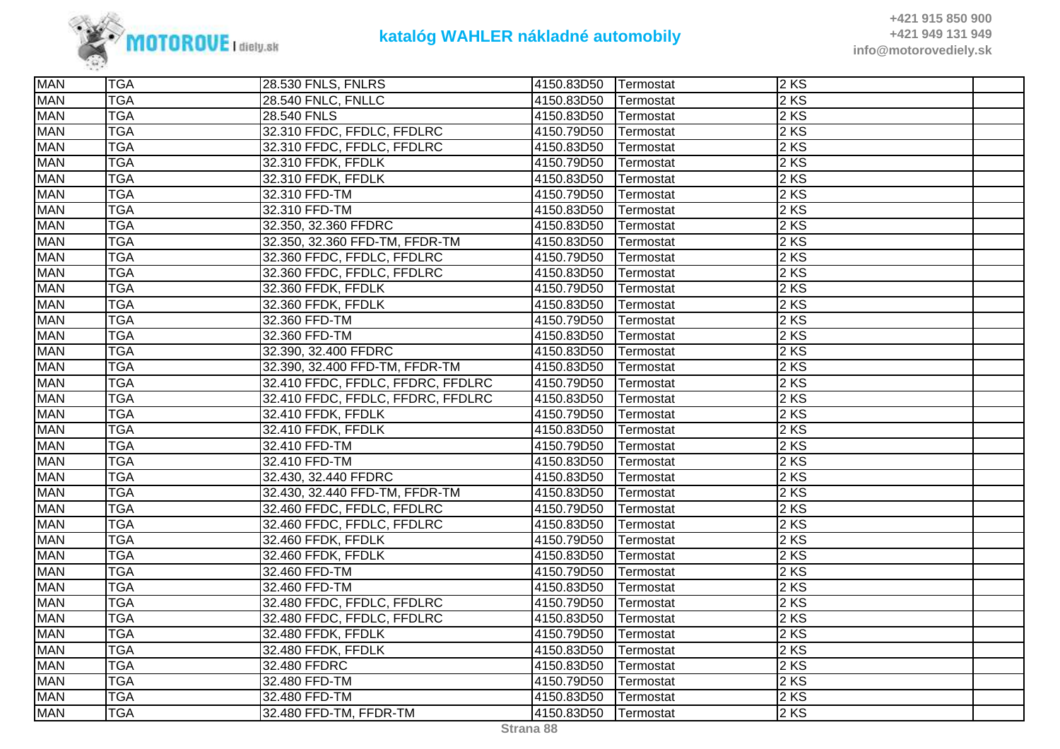

| <b>MAN</b> | <b>TGA</b> | 28.530 FNLS, FNLRS                | 4150.83D50 Termostat |                  | $2$ KS |  |
|------------|------------|-----------------------------------|----------------------|------------------|--------|--|
| <b>MAN</b> | <b>TGA</b> | <b>28.540 FNLC, FNLLC</b>         | 4150.83D50           | Termostat        | $2$ KS |  |
| <b>MAN</b> | <b>TGA</b> | 28.540 FNLS                       | 4150.83D50           | Termostat        | 2 KS   |  |
| <b>MAN</b> | <b>TGA</b> | 32.310 FFDC, FFDLC, FFDLRC        | 4150.79D50           | Termostat        | 2KS    |  |
| <b>MAN</b> | <b>TGA</b> | 32.310 FFDC, FFDLC, FFDLRC        | 4150.83D50           | Termostat        | $2$ KS |  |
| <b>MAN</b> | <b>TGA</b> | 32.310 FFDK, FFDLK                | 4150.79D50           | Termostat        | $2$ KS |  |
| <b>MAN</b> | <b>TGA</b> | 32.310 FFDK, FFDLK                | 4150.83D50           | Termostat        | 2 KS   |  |
| <b>MAN</b> | <b>TGA</b> | 32.310 FFD-TM                     | 4150.79D50           | Termostat        | $2$ KS |  |
| <b>MAN</b> | <b>TGA</b> | 32.310 FFD-TM                     | 4150.83D50           | Termostat        | $2$ KS |  |
| <b>MAN</b> | <b>TGA</b> | 32.350, 32.360 FFDRC              | 4150.83D50           | Termostat        | 2 KS   |  |
| <b>MAN</b> | <b>TGA</b> | 32.350, 32.360 FFD-TM, FFDR-TM    | 4150.83D50           | Termostat        | 2 KS   |  |
| <b>MAN</b> | <b>TGA</b> | 32.360 FFDC, FFDLC, FFDLRC        | 4150.79D50           | Termostat        | $2$ KS |  |
| <b>MAN</b> | <b>TGA</b> | 32.360 FFDC, FFDLC, FFDLRC        | 4150.83D50           | Termostat        | $2$ KS |  |
| <b>MAN</b> | <b>TGA</b> | 32.360 FFDK, FFDLK                | 4150.79D50           | Termostat        | $2$ KS |  |
| <b>MAN</b> | <b>TGA</b> | 32.360 FFDK, FFDLK                | 4150.83D50           | Termostat        | 2 KS   |  |
| <b>MAN</b> | <b>TGA</b> | 32.360 FFD-TM                     | 4150.79D50           | Termostat        | 2 KS   |  |
| <b>MAN</b> | <b>TGA</b> | 32.360 FFD-TM                     | 4150.83D50           | Termostat        | $2$ KS |  |
| <b>MAN</b> | <b>TGA</b> | 32.390, 32.400 FFDRC              | 4150.83D50           | Termostat        | $2$ KS |  |
| <b>MAN</b> | <b>TGA</b> | 32.390, 32.400 FFD-TM, FFDR-TM    | 4150.83D50           | Termostat        | 2 KS   |  |
| <b>MAN</b> | <b>TGA</b> | 32.410 FFDC, FFDLC, FFDRC, FFDLRC | 4150.79D50           | Termostat        | $2$ KS |  |
| <b>MAN</b> | <b>TGA</b> | 32.410 FFDC, FFDLC, FFDRC, FFDLRC | 4150.83D50           | Termostat        | 2KS    |  |
| <b>MAN</b> | <b>TGA</b> | 32.410 FFDK, FFDLK                | 4150.79D50           | Termostat        | 2 KS   |  |
| <b>MAN</b> | <b>TGA</b> | 32.410 FFDK, FFDLK                | 4150.83D50           | Termostat        | $2$ KS |  |
| <b>MAN</b> | <b>TGA</b> | 32.410 FFD-TM                     | 4150.79D50           | Termostat        | $2$ KS |  |
| <b>MAN</b> | <b>TGA</b> | 32.410 FFD-TM                     | 4150.83D50           | Termostat        | $2$ KS |  |
| <b>MAN</b> | <b>TGA</b> | 32.430, 32.440 FFDRC              | 4150.83D50           | Termostat        | 2KS    |  |
| <b>MAN</b> | <b>TGA</b> | 32.430, 32.440 FFD-TM, FFDR-TM    | 4150.83D50           | Termostat        | 2KS    |  |
| <b>MAN</b> | <b>TGA</b> | 32.460 FFDC, FFDLC, FFDLRC        | 4150.79D50           | Termostat        | 2 KS   |  |
| <b>MAN</b> | <b>TGA</b> | 32.460 FFDC, FFDLC, FFDLRC        | 4150.83D50           | Termostat        | $2$ KS |  |
| <b>MAN</b> | <b>TGA</b> | 32.460 FFDK, FFDLK                | 4150.79D50           | Termostat        | 2 KS   |  |
| <b>MAN</b> | <b>TGA</b> | 32.460 FFDK, FFDLK                | 4150.83D50           | <b>Termostat</b> | $2$ KS |  |
| <b>MAN</b> | <b>TGA</b> | 32.460 FFD-TM                     | 4150.79D50           | Termostat        | 2 KS   |  |
| <b>MAN</b> | <b>TGA</b> | 32.460 FFD-TM                     | 4150.83D50           | Termostat        | 2 KS   |  |
| <b>MAN</b> | <b>TGA</b> | 32.480 FFDC, FFDLC, FFDLRC        | 4150.79D50           | Termostat        | $2$ KS |  |
| <b>MAN</b> | <b>TGA</b> | 32.480 FFDC, FFDLC, FFDLRC        | 4150.83D50           | Termostat        | 2 KS   |  |
| <b>MAN</b> | <b>TGA</b> | 32.480 FFDK, FFDLK                | 4150.79D50           | Termostat        | 2 KS   |  |
| <b>MAN</b> | <b>TGA</b> | 32.480 FFDK, FFDLK                | 4150.83D50           | Termostat        | $2$ KS |  |
| <b>MAN</b> | <b>TGA</b> | 32.480 FFDRC                      | 4150.83D50           | Termostat        | 2KS    |  |
| <b>MAN</b> | <b>TGA</b> | 32.480 FFD-TM                     | 4150.79D50           | Termostat        | 2 KS   |  |
| <b>MAN</b> | <b>TGA</b> | 32.480 FFD-TM                     | 4150.83D50           | Termostat        | 2KS    |  |
| <b>MAN</b> | <b>TGA</b> | 32.480 FFD-TM, FFDR-TM            | 4150.83D50           | Termostat        | $2$ KS |  |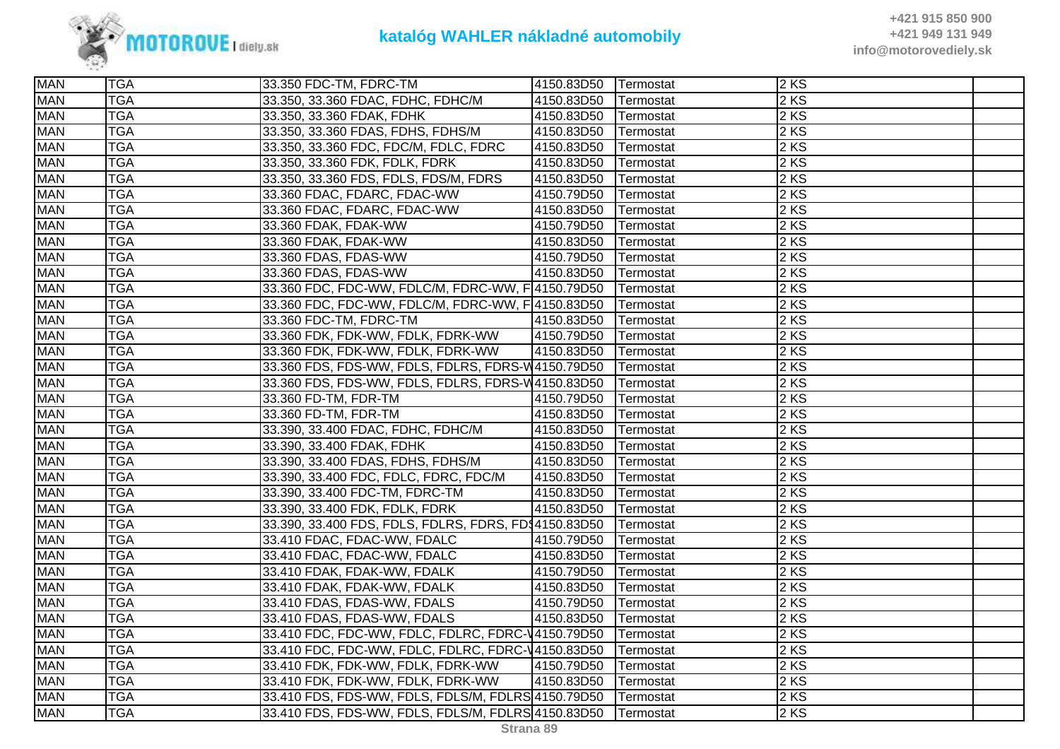

| $2$ KS<br><b>TGA</b><br>33.350, 33.360 FDAC, FDHC, FDHC/M<br>4150.83D50<br>Termostat<br><b>MAN</b><br><b>TGA</b><br>4150.83D50<br>2KS<br>33.350, 33.360 FDAK, FDHK<br>Termostat<br><b>TGA</b><br>2 KS<br><b>MAN</b><br>33.350, 33.360 FDAS, FDHS, FDHS/M<br>4150.83D50<br>Termostat<br><b>MAN</b><br>2 KS<br><b>TGA</b><br>33.350, 33.360 FDC, FDC/M, FDLC, FDRC<br>4150.83D50<br>Termostat<br>$2$ KS<br><b>MAN</b><br><b>TGA</b><br>33.350, 33.360 FDK, FDLK, FDRK<br>4150.83D50<br>Termostat<br><b>MAN</b><br>33.350, 33.360 FDS, FDLS, FDS/M, FDRS<br>$2$ KS<br><b>TGA</b><br>4150.83D50<br>Termostat<br><b>MAN</b><br>$2$ KS<br><b>TGA</b><br>33.360 FDAC, FDARC, FDAC-WW<br>4150.79D50<br>Termostat<br><b>TGA</b><br>2 KS<br><b>MAN</b><br>4150.83D50<br>33.360 FDAC, FDARC, FDAC-WW<br>Termostat<br>2 KS<br><b>MAN</b><br><b>TGA</b><br>33.360 FDAK, FDAK-WW<br>4150.79D50<br>Termostat<br>2 KS<br><b>MAN</b><br><b>TGA</b><br>33.360 FDAK, FDAK-WW<br>4150.83D50<br>Termostat<br><b>MAN</b><br><b>TGA</b><br>$2$ KS<br>33.360 FDAS, FDAS-WW<br>4150.79D50<br>Termostat<br><b>MAN</b><br>$2$ KS<br><b>TGA</b><br>33.360 FDAS, FDAS-WW<br>4150.83D50<br>Termostat<br><b>TGA</b><br><b>MAN</b><br>33.360 FDC, FDC-WW, FDLC/M, FDRC-WW, F 4150.79D50<br>2KS<br>Termostat<br><b>TGA</b><br>$2$ KS<br><b>MAN</b><br>33.360 FDC, FDC-WW, FDLC/M, FDRC-WW, F 4150.83D50<br>Termostat<br><b>MAN</b><br>$2$ KS<br><b>TGA</b><br>4150.83D50<br>33.360 FDC-TM, FDRC-TM<br>Termostat<br><b>MAN</b><br>33.360 FDK, FDK-WW, FDLK, FDRK-WW<br>2 KS<br><b>TGA</b><br>4150.79D50<br>Termostat<br><b>MAN</b><br>$2$ KS<br><b>TGA</b><br>33.360 FDK, FDK-WW, FDLK, FDRK-WW<br>4150.83D50<br>Termostat<br><b>TGA</b><br>33.360 FDS, FDS-WW, FDLS, FDLRS, FDRS-W4150.79D50<br>2KS<br><b>MAN</b><br>Termostat<br><b>TGA</b><br>2 KS<br><b>MAN</b><br>33.360 FDS, FDS-WW, FDLS, FDLRS, FDRS-W4150.83D50<br>Termostat<br><b>MAN</b><br>$2$ KS<br><b>TGA</b><br>33.360 FD-TM, FDR-TM<br>4150.79D50<br>Termostat<br>2 KS<br><b>MAN</b><br><b>TGA</b><br>33.360 FD-TM, FDR-TM<br>4150.83D50<br>Termostat<br><b>TGA</b><br>$2$ KS<br><b>MAN</b><br>33.390, 33.400 FDAC, FDHC, FDHC/M<br>4150.83D50<br>Termostat<br><b>TGA</b><br><b>MAN</b><br>33.390, 33.400 FDAK, FDHK<br>4150.83D50<br>2KS<br>Termostat<br><b>MAN</b><br><b>TGA</b><br>2 KS<br>33.390, 33.400 FDAS, FDHS, FDHS/M<br>4150.83D50<br>Termostat<br><b>MAN</b><br>$2$ KS<br><b>TGA</b><br>33.390, 33.400 FDC, FDLC, FDRC, FDC/M<br>4150.83D50<br>Termostat<br><b>MAN</b><br>$2$ KS<br><b>TGA</b><br>33.390, 33.400 FDC-TM, FDRC-TM<br>4150.83D50<br>Termostat<br><b>MAN</b><br>2 KS<br><b>TGA</b><br>4150.83D50<br>33.390, 33.400 FDK, FDLK, FDRK<br>Termostat<br><b>MAN</b><br>33.390, 33.400 FDS, FDLS, FDLRS, FDRS, FD\$4150.83D50<br>2KS<br><b>TGA</b><br>Termostat<br><b>TGA</b><br><b>MAN</b><br>2 KS<br>33.410 FDAC, FDAC-WW, FDALC<br>4150.79D50<br>Termostat<br><b>MAN</b><br>$2$ KS<br><b>TGA</b><br>33.410 FDAC, FDAC-WW, FDALC<br>4150.83D50<br>Termostat<br>$2$ KS<br><b>MAN</b><br><b>TGA</b><br>4150.79D50<br>33.410 FDAK, FDAK-WW, FDALK<br>Termostat<br><b>MAN</b><br><b>TGA</b><br>2KS<br>33.410 FDAK, FDAK-WW, FDALK<br>4150.83D50<br>Termostat<br><b>MAN</b><br><b>TGA</b><br>4150.79D50<br>2KS<br>33.410 FDAS, FDAS-WW, FDALS<br>Termostat<br><b>TGA</b><br>2 KS<br><b>MAN</b><br>33.410 FDAS, FDAS-WW, FDALS<br>4150.83D50<br>Termostat<br><b>MAN</b><br>2 KS<br><b>TGA</b><br>33.410 FDC, FDC-WW, FDLC, FDLRC, FDRC-V4150.79D50<br>Termostat<br><b>MAN</b><br>$2$ KS<br><b>TGA</b><br>33.410 FDC, FDC-WW, FDLC, FDLRC, FDRC-V4150.83D50<br>Termostat<br>$2$ KS<br><b>TGA</b><br>33.410 FDK, FDK-WW, FDLK, FDRK-WW<br>4150.79D50<br>Termostat<br><b>MAN</b><br>4150.83D50<br>2KS<br><b>TGA</b><br>33.410 FDK, FDK-WW, FDLK, FDRK-WW<br>Termostat<br><b>TGA</b><br>33.410 FDS, FDS-WW, FDLS, FDLS/M, FDLRS 4150.79D50<br>2KS<br><b>MAN</b><br>Termostat<br><b>TGA</b><br>2 KS<br><b>MAN</b><br>33.410 FDS, FDS-WW, FDLS, FDLS/M, FDLRS 4150.83D50<br>Termostat | <b>MAN</b> | <b>TGA</b> | 33.350 FDC-TM, FDRC-TM | 4150.83D50 | <b>Termostat</b> | 2KS |  |
|-----------------------------------------------------------------------------------------------------------------------------------------------------------------------------------------------------------------------------------------------------------------------------------------------------------------------------------------------------------------------------------------------------------------------------------------------------------------------------------------------------------------------------------------------------------------------------------------------------------------------------------------------------------------------------------------------------------------------------------------------------------------------------------------------------------------------------------------------------------------------------------------------------------------------------------------------------------------------------------------------------------------------------------------------------------------------------------------------------------------------------------------------------------------------------------------------------------------------------------------------------------------------------------------------------------------------------------------------------------------------------------------------------------------------------------------------------------------------------------------------------------------------------------------------------------------------------------------------------------------------------------------------------------------------------------------------------------------------------------------------------------------------------------------------------------------------------------------------------------------------------------------------------------------------------------------------------------------------------------------------------------------------------------------------------------------------------------------------------------------------------------------------------------------------------------------------------------------------------------------------------------------------------------------------------------------------------------------------------------------------------------------------------------------------------------------------------------------------------------------------------------------------------------------------------------------------------------------------------------------------------------------------------------------------------------------------------------------------------------------------------------------------------------------------------------------------------------------------------------------------------------------------------------------------------------------------------------------------------------------------------------------------------------------------------------------------------------------------------------------------------------------------------------------------------------------------------------------------------------------------------------------------------------------------------------------------------------------------------------------------------------------------------------------------------------------------------------------------------------------------------------------------------------------------------------------------------------------------------------------------------------------------------------------------------------------------------------------------------------------------------------------------------------------------------------------------------------------------------------------------------------------------------------------------------------------------------------------------------------------------------------------------------|------------|------------|------------------------|------------|------------------|-----|--|
|                                                                                                                                                                                                                                                                                                                                                                                                                                                                                                                                                                                                                                                                                                                                                                                                                                                                                                                                                                                                                                                                                                                                                                                                                                                                                                                                                                                                                                                                                                                                                                                                                                                                                                                                                                                                                                                                                                                                                                                                                                                                                                                                                                                                                                                                                                                                                                                                                                                                                                                                                                                                                                                                                                                                                                                                                                                                                                                                                                                                                                                                                                                                                                                                                                                                                                                                                                                                                                                                                                                                                                                                                                                                                                                                                                                                                                                                                                                                                                                                                             | <b>MAN</b> |            |                        |            |                  |     |  |
|                                                                                                                                                                                                                                                                                                                                                                                                                                                                                                                                                                                                                                                                                                                                                                                                                                                                                                                                                                                                                                                                                                                                                                                                                                                                                                                                                                                                                                                                                                                                                                                                                                                                                                                                                                                                                                                                                                                                                                                                                                                                                                                                                                                                                                                                                                                                                                                                                                                                                                                                                                                                                                                                                                                                                                                                                                                                                                                                                                                                                                                                                                                                                                                                                                                                                                                                                                                                                                                                                                                                                                                                                                                                                                                                                                                                                                                                                                                                                                                                                             |            |            |                        |            |                  |     |  |
|                                                                                                                                                                                                                                                                                                                                                                                                                                                                                                                                                                                                                                                                                                                                                                                                                                                                                                                                                                                                                                                                                                                                                                                                                                                                                                                                                                                                                                                                                                                                                                                                                                                                                                                                                                                                                                                                                                                                                                                                                                                                                                                                                                                                                                                                                                                                                                                                                                                                                                                                                                                                                                                                                                                                                                                                                                                                                                                                                                                                                                                                                                                                                                                                                                                                                                                                                                                                                                                                                                                                                                                                                                                                                                                                                                                                                                                                                                                                                                                                                             |            |            |                        |            |                  |     |  |
|                                                                                                                                                                                                                                                                                                                                                                                                                                                                                                                                                                                                                                                                                                                                                                                                                                                                                                                                                                                                                                                                                                                                                                                                                                                                                                                                                                                                                                                                                                                                                                                                                                                                                                                                                                                                                                                                                                                                                                                                                                                                                                                                                                                                                                                                                                                                                                                                                                                                                                                                                                                                                                                                                                                                                                                                                                                                                                                                                                                                                                                                                                                                                                                                                                                                                                                                                                                                                                                                                                                                                                                                                                                                                                                                                                                                                                                                                                                                                                                                                             |            |            |                        |            |                  |     |  |
|                                                                                                                                                                                                                                                                                                                                                                                                                                                                                                                                                                                                                                                                                                                                                                                                                                                                                                                                                                                                                                                                                                                                                                                                                                                                                                                                                                                                                                                                                                                                                                                                                                                                                                                                                                                                                                                                                                                                                                                                                                                                                                                                                                                                                                                                                                                                                                                                                                                                                                                                                                                                                                                                                                                                                                                                                                                                                                                                                                                                                                                                                                                                                                                                                                                                                                                                                                                                                                                                                                                                                                                                                                                                                                                                                                                                                                                                                                                                                                                                                             |            |            |                        |            |                  |     |  |
|                                                                                                                                                                                                                                                                                                                                                                                                                                                                                                                                                                                                                                                                                                                                                                                                                                                                                                                                                                                                                                                                                                                                                                                                                                                                                                                                                                                                                                                                                                                                                                                                                                                                                                                                                                                                                                                                                                                                                                                                                                                                                                                                                                                                                                                                                                                                                                                                                                                                                                                                                                                                                                                                                                                                                                                                                                                                                                                                                                                                                                                                                                                                                                                                                                                                                                                                                                                                                                                                                                                                                                                                                                                                                                                                                                                                                                                                                                                                                                                                                             |            |            |                        |            |                  |     |  |
|                                                                                                                                                                                                                                                                                                                                                                                                                                                                                                                                                                                                                                                                                                                                                                                                                                                                                                                                                                                                                                                                                                                                                                                                                                                                                                                                                                                                                                                                                                                                                                                                                                                                                                                                                                                                                                                                                                                                                                                                                                                                                                                                                                                                                                                                                                                                                                                                                                                                                                                                                                                                                                                                                                                                                                                                                                                                                                                                                                                                                                                                                                                                                                                                                                                                                                                                                                                                                                                                                                                                                                                                                                                                                                                                                                                                                                                                                                                                                                                                                             |            |            |                        |            |                  |     |  |
|                                                                                                                                                                                                                                                                                                                                                                                                                                                                                                                                                                                                                                                                                                                                                                                                                                                                                                                                                                                                                                                                                                                                                                                                                                                                                                                                                                                                                                                                                                                                                                                                                                                                                                                                                                                                                                                                                                                                                                                                                                                                                                                                                                                                                                                                                                                                                                                                                                                                                                                                                                                                                                                                                                                                                                                                                                                                                                                                                                                                                                                                                                                                                                                                                                                                                                                                                                                                                                                                                                                                                                                                                                                                                                                                                                                                                                                                                                                                                                                                                             |            |            |                        |            |                  |     |  |
|                                                                                                                                                                                                                                                                                                                                                                                                                                                                                                                                                                                                                                                                                                                                                                                                                                                                                                                                                                                                                                                                                                                                                                                                                                                                                                                                                                                                                                                                                                                                                                                                                                                                                                                                                                                                                                                                                                                                                                                                                                                                                                                                                                                                                                                                                                                                                                                                                                                                                                                                                                                                                                                                                                                                                                                                                                                                                                                                                                                                                                                                                                                                                                                                                                                                                                                                                                                                                                                                                                                                                                                                                                                                                                                                                                                                                                                                                                                                                                                                                             |            |            |                        |            |                  |     |  |
|                                                                                                                                                                                                                                                                                                                                                                                                                                                                                                                                                                                                                                                                                                                                                                                                                                                                                                                                                                                                                                                                                                                                                                                                                                                                                                                                                                                                                                                                                                                                                                                                                                                                                                                                                                                                                                                                                                                                                                                                                                                                                                                                                                                                                                                                                                                                                                                                                                                                                                                                                                                                                                                                                                                                                                                                                                                                                                                                                                                                                                                                                                                                                                                                                                                                                                                                                                                                                                                                                                                                                                                                                                                                                                                                                                                                                                                                                                                                                                                                                             |            |            |                        |            |                  |     |  |
|                                                                                                                                                                                                                                                                                                                                                                                                                                                                                                                                                                                                                                                                                                                                                                                                                                                                                                                                                                                                                                                                                                                                                                                                                                                                                                                                                                                                                                                                                                                                                                                                                                                                                                                                                                                                                                                                                                                                                                                                                                                                                                                                                                                                                                                                                                                                                                                                                                                                                                                                                                                                                                                                                                                                                                                                                                                                                                                                                                                                                                                                                                                                                                                                                                                                                                                                                                                                                                                                                                                                                                                                                                                                                                                                                                                                                                                                                                                                                                                                                             |            |            |                        |            |                  |     |  |
|                                                                                                                                                                                                                                                                                                                                                                                                                                                                                                                                                                                                                                                                                                                                                                                                                                                                                                                                                                                                                                                                                                                                                                                                                                                                                                                                                                                                                                                                                                                                                                                                                                                                                                                                                                                                                                                                                                                                                                                                                                                                                                                                                                                                                                                                                                                                                                                                                                                                                                                                                                                                                                                                                                                                                                                                                                                                                                                                                                                                                                                                                                                                                                                                                                                                                                                                                                                                                                                                                                                                                                                                                                                                                                                                                                                                                                                                                                                                                                                                                             |            |            |                        |            |                  |     |  |
|                                                                                                                                                                                                                                                                                                                                                                                                                                                                                                                                                                                                                                                                                                                                                                                                                                                                                                                                                                                                                                                                                                                                                                                                                                                                                                                                                                                                                                                                                                                                                                                                                                                                                                                                                                                                                                                                                                                                                                                                                                                                                                                                                                                                                                                                                                                                                                                                                                                                                                                                                                                                                                                                                                                                                                                                                                                                                                                                                                                                                                                                                                                                                                                                                                                                                                                                                                                                                                                                                                                                                                                                                                                                                                                                                                                                                                                                                                                                                                                                                             |            |            |                        |            |                  |     |  |
|                                                                                                                                                                                                                                                                                                                                                                                                                                                                                                                                                                                                                                                                                                                                                                                                                                                                                                                                                                                                                                                                                                                                                                                                                                                                                                                                                                                                                                                                                                                                                                                                                                                                                                                                                                                                                                                                                                                                                                                                                                                                                                                                                                                                                                                                                                                                                                                                                                                                                                                                                                                                                                                                                                                                                                                                                                                                                                                                                                                                                                                                                                                                                                                                                                                                                                                                                                                                                                                                                                                                                                                                                                                                                                                                                                                                                                                                                                                                                                                                                             |            |            |                        |            |                  |     |  |
|                                                                                                                                                                                                                                                                                                                                                                                                                                                                                                                                                                                                                                                                                                                                                                                                                                                                                                                                                                                                                                                                                                                                                                                                                                                                                                                                                                                                                                                                                                                                                                                                                                                                                                                                                                                                                                                                                                                                                                                                                                                                                                                                                                                                                                                                                                                                                                                                                                                                                                                                                                                                                                                                                                                                                                                                                                                                                                                                                                                                                                                                                                                                                                                                                                                                                                                                                                                                                                                                                                                                                                                                                                                                                                                                                                                                                                                                                                                                                                                                                             |            |            |                        |            |                  |     |  |
|                                                                                                                                                                                                                                                                                                                                                                                                                                                                                                                                                                                                                                                                                                                                                                                                                                                                                                                                                                                                                                                                                                                                                                                                                                                                                                                                                                                                                                                                                                                                                                                                                                                                                                                                                                                                                                                                                                                                                                                                                                                                                                                                                                                                                                                                                                                                                                                                                                                                                                                                                                                                                                                                                                                                                                                                                                                                                                                                                                                                                                                                                                                                                                                                                                                                                                                                                                                                                                                                                                                                                                                                                                                                                                                                                                                                                                                                                                                                                                                                                             |            |            |                        |            |                  |     |  |
|                                                                                                                                                                                                                                                                                                                                                                                                                                                                                                                                                                                                                                                                                                                                                                                                                                                                                                                                                                                                                                                                                                                                                                                                                                                                                                                                                                                                                                                                                                                                                                                                                                                                                                                                                                                                                                                                                                                                                                                                                                                                                                                                                                                                                                                                                                                                                                                                                                                                                                                                                                                                                                                                                                                                                                                                                                                                                                                                                                                                                                                                                                                                                                                                                                                                                                                                                                                                                                                                                                                                                                                                                                                                                                                                                                                                                                                                                                                                                                                                                             |            |            |                        |            |                  |     |  |
|                                                                                                                                                                                                                                                                                                                                                                                                                                                                                                                                                                                                                                                                                                                                                                                                                                                                                                                                                                                                                                                                                                                                                                                                                                                                                                                                                                                                                                                                                                                                                                                                                                                                                                                                                                                                                                                                                                                                                                                                                                                                                                                                                                                                                                                                                                                                                                                                                                                                                                                                                                                                                                                                                                                                                                                                                                                                                                                                                                                                                                                                                                                                                                                                                                                                                                                                                                                                                                                                                                                                                                                                                                                                                                                                                                                                                                                                                                                                                                                                                             |            |            |                        |            |                  |     |  |
|                                                                                                                                                                                                                                                                                                                                                                                                                                                                                                                                                                                                                                                                                                                                                                                                                                                                                                                                                                                                                                                                                                                                                                                                                                                                                                                                                                                                                                                                                                                                                                                                                                                                                                                                                                                                                                                                                                                                                                                                                                                                                                                                                                                                                                                                                                                                                                                                                                                                                                                                                                                                                                                                                                                                                                                                                                                                                                                                                                                                                                                                                                                                                                                                                                                                                                                                                                                                                                                                                                                                                                                                                                                                                                                                                                                                                                                                                                                                                                                                                             |            |            |                        |            |                  |     |  |
|                                                                                                                                                                                                                                                                                                                                                                                                                                                                                                                                                                                                                                                                                                                                                                                                                                                                                                                                                                                                                                                                                                                                                                                                                                                                                                                                                                                                                                                                                                                                                                                                                                                                                                                                                                                                                                                                                                                                                                                                                                                                                                                                                                                                                                                                                                                                                                                                                                                                                                                                                                                                                                                                                                                                                                                                                                                                                                                                                                                                                                                                                                                                                                                                                                                                                                                                                                                                                                                                                                                                                                                                                                                                                                                                                                                                                                                                                                                                                                                                                             |            |            |                        |            |                  |     |  |
|                                                                                                                                                                                                                                                                                                                                                                                                                                                                                                                                                                                                                                                                                                                                                                                                                                                                                                                                                                                                                                                                                                                                                                                                                                                                                                                                                                                                                                                                                                                                                                                                                                                                                                                                                                                                                                                                                                                                                                                                                                                                                                                                                                                                                                                                                                                                                                                                                                                                                                                                                                                                                                                                                                                                                                                                                                                                                                                                                                                                                                                                                                                                                                                                                                                                                                                                                                                                                                                                                                                                                                                                                                                                                                                                                                                                                                                                                                                                                                                                                             |            |            |                        |            |                  |     |  |
|                                                                                                                                                                                                                                                                                                                                                                                                                                                                                                                                                                                                                                                                                                                                                                                                                                                                                                                                                                                                                                                                                                                                                                                                                                                                                                                                                                                                                                                                                                                                                                                                                                                                                                                                                                                                                                                                                                                                                                                                                                                                                                                                                                                                                                                                                                                                                                                                                                                                                                                                                                                                                                                                                                                                                                                                                                                                                                                                                                                                                                                                                                                                                                                                                                                                                                                                                                                                                                                                                                                                                                                                                                                                                                                                                                                                                                                                                                                                                                                                                             |            |            |                        |            |                  |     |  |
|                                                                                                                                                                                                                                                                                                                                                                                                                                                                                                                                                                                                                                                                                                                                                                                                                                                                                                                                                                                                                                                                                                                                                                                                                                                                                                                                                                                                                                                                                                                                                                                                                                                                                                                                                                                                                                                                                                                                                                                                                                                                                                                                                                                                                                                                                                                                                                                                                                                                                                                                                                                                                                                                                                                                                                                                                                                                                                                                                                                                                                                                                                                                                                                                                                                                                                                                                                                                                                                                                                                                                                                                                                                                                                                                                                                                                                                                                                                                                                                                                             |            |            |                        |            |                  |     |  |
|                                                                                                                                                                                                                                                                                                                                                                                                                                                                                                                                                                                                                                                                                                                                                                                                                                                                                                                                                                                                                                                                                                                                                                                                                                                                                                                                                                                                                                                                                                                                                                                                                                                                                                                                                                                                                                                                                                                                                                                                                                                                                                                                                                                                                                                                                                                                                                                                                                                                                                                                                                                                                                                                                                                                                                                                                                                                                                                                                                                                                                                                                                                                                                                                                                                                                                                                                                                                                                                                                                                                                                                                                                                                                                                                                                                                                                                                                                                                                                                                                             |            |            |                        |            |                  |     |  |
|                                                                                                                                                                                                                                                                                                                                                                                                                                                                                                                                                                                                                                                                                                                                                                                                                                                                                                                                                                                                                                                                                                                                                                                                                                                                                                                                                                                                                                                                                                                                                                                                                                                                                                                                                                                                                                                                                                                                                                                                                                                                                                                                                                                                                                                                                                                                                                                                                                                                                                                                                                                                                                                                                                                                                                                                                                                                                                                                                                                                                                                                                                                                                                                                                                                                                                                                                                                                                                                                                                                                                                                                                                                                                                                                                                                                                                                                                                                                                                                                                             |            |            |                        |            |                  |     |  |
|                                                                                                                                                                                                                                                                                                                                                                                                                                                                                                                                                                                                                                                                                                                                                                                                                                                                                                                                                                                                                                                                                                                                                                                                                                                                                                                                                                                                                                                                                                                                                                                                                                                                                                                                                                                                                                                                                                                                                                                                                                                                                                                                                                                                                                                                                                                                                                                                                                                                                                                                                                                                                                                                                                                                                                                                                                                                                                                                                                                                                                                                                                                                                                                                                                                                                                                                                                                                                                                                                                                                                                                                                                                                                                                                                                                                                                                                                                                                                                                                                             |            |            |                        |            |                  |     |  |
|                                                                                                                                                                                                                                                                                                                                                                                                                                                                                                                                                                                                                                                                                                                                                                                                                                                                                                                                                                                                                                                                                                                                                                                                                                                                                                                                                                                                                                                                                                                                                                                                                                                                                                                                                                                                                                                                                                                                                                                                                                                                                                                                                                                                                                                                                                                                                                                                                                                                                                                                                                                                                                                                                                                                                                                                                                                                                                                                                                                                                                                                                                                                                                                                                                                                                                                                                                                                                                                                                                                                                                                                                                                                                                                                                                                                                                                                                                                                                                                                                             |            |            |                        |            |                  |     |  |
|                                                                                                                                                                                                                                                                                                                                                                                                                                                                                                                                                                                                                                                                                                                                                                                                                                                                                                                                                                                                                                                                                                                                                                                                                                                                                                                                                                                                                                                                                                                                                                                                                                                                                                                                                                                                                                                                                                                                                                                                                                                                                                                                                                                                                                                                                                                                                                                                                                                                                                                                                                                                                                                                                                                                                                                                                                                                                                                                                                                                                                                                                                                                                                                                                                                                                                                                                                                                                                                                                                                                                                                                                                                                                                                                                                                                                                                                                                                                                                                                                             |            |            |                        |            |                  |     |  |
|                                                                                                                                                                                                                                                                                                                                                                                                                                                                                                                                                                                                                                                                                                                                                                                                                                                                                                                                                                                                                                                                                                                                                                                                                                                                                                                                                                                                                                                                                                                                                                                                                                                                                                                                                                                                                                                                                                                                                                                                                                                                                                                                                                                                                                                                                                                                                                                                                                                                                                                                                                                                                                                                                                                                                                                                                                                                                                                                                                                                                                                                                                                                                                                                                                                                                                                                                                                                                                                                                                                                                                                                                                                                                                                                                                                                                                                                                                                                                                                                                             |            |            |                        |            |                  |     |  |
|                                                                                                                                                                                                                                                                                                                                                                                                                                                                                                                                                                                                                                                                                                                                                                                                                                                                                                                                                                                                                                                                                                                                                                                                                                                                                                                                                                                                                                                                                                                                                                                                                                                                                                                                                                                                                                                                                                                                                                                                                                                                                                                                                                                                                                                                                                                                                                                                                                                                                                                                                                                                                                                                                                                                                                                                                                                                                                                                                                                                                                                                                                                                                                                                                                                                                                                                                                                                                                                                                                                                                                                                                                                                                                                                                                                                                                                                                                                                                                                                                             |            |            |                        |            |                  |     |  |
|                                                                                                                                                                                                                                                                                                                                                                                                                                                                                                                                                                                                                                                                                                                                                                                                                                                                                                                                                                                                                                                                                                                                                                                                                                                                                                                                                                                                                                                                                                                                                                                                                                                                                                                                                                                                                                                                                                                                                                                                                                                                                                                                                                                                                                                                                                                                                                                                                                                                                                                                                                                                                                                                                                                                                                                                                                                                                                                                                                                                                                                                                                                                                                                                                                                                                                                                                                                                                                                                                                                                                                                                                                                                                                                                                                                                                                                                                                                                                                                                                             |            |            |                        |            |                  |     |  |
|                                                                                                                                                                                                                                                                                                                                                                                                                                                                                                                                                                                                                                                                                                                                                                                                                                                                                                                                                                                                                                                                                                                                                                                                                                                                                                                                                                                                                                                                                                                                                                                                                                                                                                                                                                                                                                                                                                                                                                                                                                                                                                                                                                                                                                                                                                                                                                                                                                                                                                                                                                                                                                                                                                                                                                                                                                                                                                                                                                                                                                                                                                                                                                                                                                                                                                                                                                                                                                                                                                                                                                                                                                                                                                                                                                                                                                                                                                                                                                                                                             |            |            |                        |            |                  |     |  |
|                                                                                                                                                                                                                                                                                                                                                                                                                                                                                                                                                                                                                                                                                                                                                                                                                                                                                                                                                                                                                                                                                                                                                                                                                                                                                                                                                                                                                                                                                                                                                                                                                                                                                                                                                                                                                                                                                                                                                                                                                                                                                                                                                                                                                                                                                                                                                                                                                                                                                                                                                                                                                                                                                                                                                                                                                                                                                                                                                                                                                                                                                                                                                                                                                                                                                                                                                                                                                                                                                                                                                                                                                                                                                                                                                                                                                                                                                                                                                                                                                             |            |            |                        |            |                  |     |  |
|                                                                                                                                                                                                                                                                                                                                                                                                                                                                                                                                                                                                                                                                                                                                                                                                                                                                                                                                                                                                                                                                                                                                                                                                                                                                                                                                                                                                                                                                                                                                                                                                                                                                                                                                                                                                                                                                                                                                                                                                                                                                                                                                                                                                                                                                                                                                                                                                                                                                                                                                                                                                                                                                                                                                                                                                                                                                                                                                                                                                                                                                                                                                                                                                                                                                                                                                                                                                                                                                                                                                                                                                                                                                                                                                                                                                                                                                                                                                                                                                                             |            |            |                        |            |                  |     |  |
|                                                                                                                                                                                                                                                                                                                                                                                                                                                                                                                                                                                                                                                                                                                                                                                                                                                                                                                                                                                                                                                                                                                                                                                                                                                                                                                                                                                                                                                                                                                                                                                                                                                                                                                                                                                                                                                                                                                                                                                                                                                                                                                                                                                                                                                                                                                                                                                                                                                                                                                                                                                                                                                                                                                                                                                                                                                                                                                                                                                                                                                                                                                                                                                                                                                                                                                                                                                                                                                                                                                                                                                                                                                                                                                                                                                                                                                                                                                                                                                                                             |            |            |                        |            |                  |     |  |
|                                                                                                                                                                                                                                                                                                                                                                                                                                                                                                                                                                                                                                                                                                                                                                                                                                                                                                                                                                                                                                                                                                                                                                                                                                                                                                                                                                                                                                                                                                                                                                                                                                                                                                                                                                                                                                                                                                                                                                                                                                                                                                                                                                                                                                                                                                                                                                                                                                                                                                                                                                                                                                                                                                                                                                                                                                                                                                                                                                                                                                                                                                                                                                                                                                                                                                                                                                                                                                                                                                                                                                                                                                                                                                                                                                                                                                                                                                                                                                                                                             |            |            |                        |            |                  |     |  |
|                                                                                                                                                                                                                                                                                                                                                                                                                                                                                                                                                                                                                                                                                                                                                                                                                                                                                                                                                                                                                                                                                                                                                                                                                                                                                                                                                                                                                                                                                                                                                                                                                                                                                                                                                                                                                                                                                                                                                                                                                                                                                                                                                                                                                                                                                                                                                                                                                                                                                                                                                                                                                                                                                                                                                                                                                                                                                                                                                                                                                                                                                                                                                                                                                                                                                                                                                                                                                                                                                                                                                                                                                                                                                                                                                                                                                                                                                                                                                                                                                             | <b>MAN</b> |            |                        |            |                  |     |  |
|                                                                                                                                                                                                                                                                                                                                                                                                                                                                                                                                                                                                                                                                                                                                                                                                                                                                                                                                                                                                                                                                                                                                                                                                                                                                                                                                                                                                                                                                                                                                                                                                                                                                                                                                                                                                                                                                                                                                                                                                                                                                                                                                                                                                                                                                                                                                                                                                                                                                                                                                                                                                                                                                                                                                                                                                                                                                                                                                                                                                                                                                                                                                                                                                                                                                                                                                                                                                                                                                                                                                                                                                                                                                                                                                                                                                                                                                                                                                                                                                                             |            |            |                        |            |                  |     |  |
|                                                                                                                                                                                                                                                                                                                                                                                                                                                                                                                                                                                                                                                                                                                                                                                                                                                                                                                                                                                                                                                                                                                                                                                                                                                                                                                                                                                                                                                                                                                                                                                                                                                                                                                                                                                                                                                                                                                                                                                                                                                                                                                                                                                                                                                                                                                                                                                                                                                                                                                                                                                                                                                                                                                                                                                                                                                                                                                                                                                                                                                                                                                                                                                                                                                                                                                                                                                                                                                                                                                                                                                                                                                                                                                                                                                                                                                                                                                                                                                                                             |            |            |                        |            |                  |     |  |
|                                                                                                                                                                                                                                                                                                                                                                                                                                                                                                                                                                                                                                                                                                                                                                                                                                                                                                                                                                                                                                                                                                                                                                                                                                                                                                                                                                                                                                                                                                                                                                                                                                                                                                                                                                                                                                                                                                                                                                                                                                                                                                                                                                                                                                                                                                                                                                                                                                                                                                                                                                                                                                                                                                                                                                                                                                                                                                                                                                                                                                                                                                                                                                                                                                                                                                                                                                                                                                                                                                                                                                                                                                                                                                                                                                                                                                                                                                                                                                                                                             |            |            |                        |            |                  |     |  |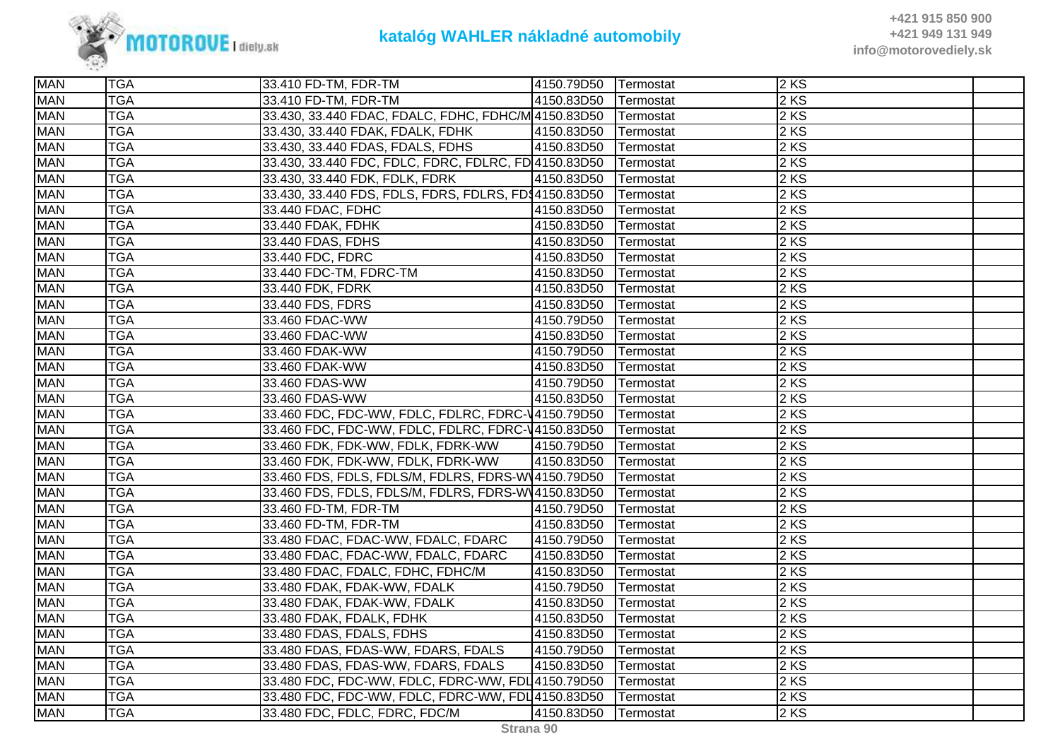

| <b>MAN</b> | <b>TGA</b> | 33.410 FD-TM, FDR-TM                                  | 4150.79D50 | <b>Termostat</b> | $2$ KS |  |
|------------|------------|-------------------------------------------------------|------------|------------------|--------|--|
| <b>MAN</b> | <b>TGA</b> | 33.410 FD-TM, FDR-TM                                  | 4150.83D50 | Termostat        | 2 KS   |  |
| <b>MAN</b> | <b>TGA</b> | 33.430, 33.440 FDAC, FDALC, FDHC, FDHC/M 4150.83D50   |            | Termostat        | 2 KS   |  |
| <b>MAN</b> | <b>TGA</b> | 33.430, 33.440 FDAK, FDALK, FDHK                      | 4150.83D50 | Termostat        | 2 KS   |  |
| <b>MAN</b> | <b>TGA</b> | 33.430, 33.440 FDAS, FDALS, FDHS                      | 4150.83D50 | Termostat        | $2$ KS |  |
| <b>MAN</b> | <b>TGA</b> | 33.430, 33.440 FDC, FDLC, FDRC, FDLRC, FD 4150.83D50  |            | Termostat        | $2$ KS |  |
| <b>MAN</b> | <b>TGA</b> | 33.430, 33.440 FDK, FDLK, FDRK                        | 4150.83D50 | Termostat        | 2 KS   |  |
| <b>MAN</b> | <b>TGA</b> | 33.430, 33.440 FDS, FDLS, FDRS, FDLRS, FD\$4150.83D50 |            | Termostat        | 2 KS   |  |
| <b>MAN</b> | <b>TGA</b> | 33.440 FDAC, FDHC                                     | 4150.83D50 | Termostat        | $2$ KS |  |
| <b>MAN</b> | <b>TGA</b> | 33.440 FDAK, FDHK                                     | 4150.83D50 | Termostat        | $2$ KS |  |
| <b>MAN</b> | <b>TGA</b> | 33.440 FDAS, FDHS                                     | 4150.83D50 | Termostat        | 2 KS   |  |
| <b>MAN</b> | <b>TGA</b> | 33.440 FDC, FDRC                                      | 4150.83D50 | Termostat        | $2$ KS |  |
| <b>MAN</b> | <b>TGA</b> | 33.440 FDC-TM, FDRC-TM                                | 4150.83D50 | Termostat        | 2 KS   |  |
| <b>MAN</b> | <b>TGA</b> | 33.440 FDK, FDRK                                      | 4150.83D50 | Termostat        | 2 KS   |  |
| <b>MAN</b> | <b>TGA</b> | 33.440 FDS, FDRS                                      | 4150.83D50 | Termostat        | 2 KS   |  |
| <b>MAN</b> | <b>TGA</b> | 33.460 FDAC-WW                                        | 4150.79D50 | Termostat        | $2$ KS |  |
| <b>MAN</b> | <b>TGA</b> | 33.460 FDAC-WW                                        | 4150.83D50 | Termostat        | 2 KS   |  |
| <b>MAN</b> | <b>TGA</b> | 33.460 FDAK-WW                                        | 4150.79D50 | Termostat        | 2 KS   |  |
| <b>MAN</b> | <b>TGA</b> | 33.460 FDAK-WW                                        | 4150.83D50 | Termostat        | $2$ KS |  |
| <b>MAN</b> | <b>TGA</b> | 33.460 FDAS-WW                                        | 4150.79D50 | Termostat        | 2 KS   |  |
| <b>MAN</b> | <b>TGA</b> | 33.460 FDAS-WW                                        | 4150.83D50 | Termostat        | 2 KS   |  |
| <b>MAN</b> | <b>TGA</b> | 33.460 FDC, FDC-WW, FDLC, FDLRC, FDRC-V4150.79D50     |            | Termostat        | $2$ KS |  |
| <b>MAN</b> | <b>TGA</b> | 33.460 FDC, FDC-WW, FDLC, FDLRC, FDRC-V4150.83D50     |            | Termostat        | 2 KS   |  |
| <b>MAN</b> | <b>TGA</b> | 33.460 FDK, FDK-WW, FDLK, FDRK-WW                     | 4150.79D50 | Termostat        | $2$ KS |  |
| <b>MAN</b> | <b>TGA</b> | 33.460 FDK, FDK-WW, FDLK, FDRK-WW                     | 4150.83D50 | Termostat        | 2 KS   |  |
| <b>MAN</b> | <b>TGA</b> | 33.460 FDS, FDLS, FDLS/M, FDLRS, FDRS-W14150.79D50    |            | Termostat        | $2$ KS |  |
| <b>MAN</b> | <b>TGA</b> | 33.460 FDS, FDLS, FDLS/M, FDLRS, FDRS-W14150.83D50    |            | Termostat        | $2$ KS |  |
| <b>MAN</b> | <b>TGA</b> | 33.460 FD-TM, FDR-TM                                  | 4150.79D50 | Termostat        | $2$ KS |  |
| <b>MAN</b> | <b>TGA</b> | 33.460 FD-TM, FDR-TM                                  | 4150.83D50 | Termostat        | $2$ KS |  |
| <b>MAN</b> | <b>TGA</b> | 33.480 FDAC, FDAC-WW, FDALC, FDARC                    | 4150.79D50 | Termostat        | 2 KS   |  |
| <b>MAN</b> | <b>TGA</b> | 33.480 FDAC, FDAC-WW, FDALC, FDARC                    | 4150.83D50 | Termostat        | 2 KS   |  |
| <b>MAN</b> | <b>TGA</b> | 33.480 FDAC, FDALC, FDHC, FDHC/M                      | 4150.83D50 | Termostat        | $2$ KS |  |
| <b>MAN</b> | <b>TGA</b> | 33.480 FDAK, FDAK-WW, FDALK                           | 4150.79D50 | Termostat        | $2$ KS |  |
| <b>MAN</b> | <b>TGA</b> | 33.480 FDAK, FDAK-WW, FDALK                           | 4150.83D50 | Termostat        | 2 KS   |  |
| <b>MAN</b> | <b>TGA</b> | 33.480 FDAK, FDALK, FDHK                              | 4150.83D50 | Termostat        | 2 KS   |  |
| <b>MAN</b> | <b>TGA</b> | 33.480 FDAS, FDALS, FDHS                              | 4150.83D50 | Termostat        | 2 KS   |  |
| <b>MAN</b> | <b>TGA</b> | 33.480 FDAS, FDAS-WW, FDARS, FDALS                    | 4150.79D50 | Termostat        | 2 KS   |  |
| <b>MAN</b> | <b>TGA</b> | 33.480 FDAS, FDAS-WW, FDARS, FDALS                    | 4150.83D50 | Termostat        | $2$ KS |  |
| <b>MAN</b> | <b>TGA</b> | 33.480 FDC, FDC-WW, FDLC, FDRC-WW, FDL 4150.79D50     |            | Termostat        | $2$ KS |  |
| <b>MAN</b> | <b>TGA</b> | 33.480 FDC, FDC-WW, FDLC, FDRC-WW, FDL 4150.83D50     |            | Termostat        | $2$ KS |  |
| <b>MAN</b> | <b>TGA</b> | 33.480 FDC, FDLC, FDRC, FDC/M                         | 4150.83D50 | Termostat        | $2$ KS |  |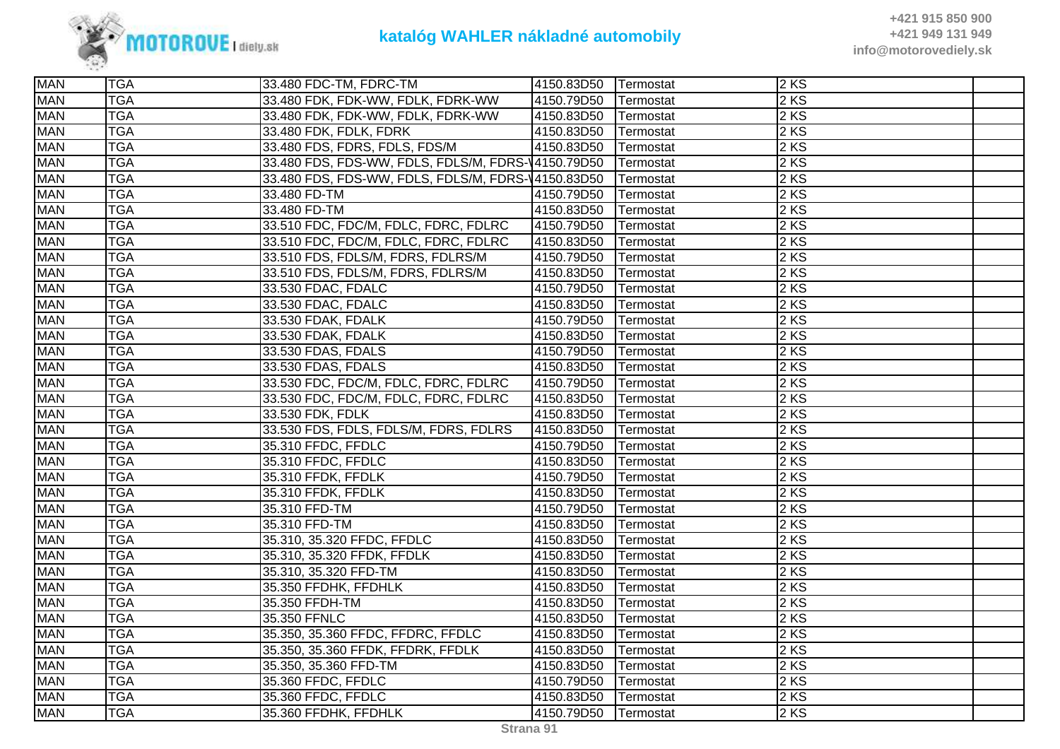

| <b>MAN</b> | <b>TGA</b> | 33.480 FDC-TM, FDRC-TM                             | 4150.83D50 | Termostat | $2$ KS |  |
|------------|------------|----------------------------------------------------|------------|-----------|--------|--|
| <b>MAN</b> | <b>TGA</b> | 33.480 FDK, FDK-WW, FDLK, FDRK-WW                  | 4150.79D50 | Termostat | $2$ KS |  |
| <b>MAN</b> | <b>TGA</b> | 33.480 FDK, FDK-WW, FDLK, FDRK-WW                  | 4150.83D50 | Termostat | $2$ KS |  |
| <b>MAN</b> | <b>TGA</b> | 33.480 FDK, FDLK, FDRK                             | 4150.83D50 | Termostat | $2$ KS |  |
| <b>MAN</b> | <b>TGA</b> | 33.480 FDS, FDRS, FDLS, FDS/M                      | 4150.83D50 | Termostat | 2 KS   |  |
| <b>MAN</b> | <b>TGA</b> | 33.480 FDS, FDS-WW, FDLS, FDLS/M, FDRS-14150.79D50 |            | Termostat | $2$ KS |  |
| <b>MAN</b> | <b>TGA</b> | 33.480 FDS, FDS-WW, FDLS, FDLS/M, FDRS-14150.83D50 |            | Termostat | 2 KS   |  |
| <b>MAN</b> | <b>TGA</b> | 33.480 FD-TM                                       | 4150.79D50 | Termostat | 2 KS   |  |
| <b>MAN</b> | <b>TGA</b> | 33.480 FD-TM                                       | 4150.83D50 | Termostat | $2$ KS |  |
| <b>MAN</b> | <b>TGA</b> | 33.510 FDC, FDC/M, FDLC, FDRC, FDLRC               | 4150.79D50 | Termostat | 2 KS   |  |
| <b>MAN</b> | <b>TGA</b> | 33.510 FDC, FDC/M, FDLC, FDRC, FDLRC               | 4150.83D50 | Termostat | 2KS    |  |
| <b>MAN</b> | <b>TGA</b> | 33.510 FDS, FDLS/M, FDRS, FDLRS/M                  | 4150.79D50 | Termostat | $2$ KS |  |
| <b>MAN</b> | <b>TGA</b> | 33.510 FDS, FDLS/M, FDRS, FDLRS/M                  | 4150.83D50 | Termostat | $2$ KS |  |
| <b>MAN</b> | <b>TGA</b> | 33.530 FDAC, FDALC                                 | 4150.79D50 | Termostat | $2$ KS |  |
| <b>MAN</b> | <b>TGA</b> | 33.530 FDAC, FDALC                                 | 4150.83D50 | Termostat | $2$ KS |  |
| <b>MAN</b> | <b>TGA</b> | 33.530 FDAK, FDALK                                 | 4150.79D50 | Termostat | 2KS    |  |
| <b>MAN</b> | <b>TGA</b> | 33.530 FDAK, FDALK                                 | 4150.83D50 | Termostat | $2$ KS |  |
| <b>MAN</b> | <b>TGA</b> | 33.530 FDAS, FDALS                                 | 4150.79D50 | Termostat | 2 KS   |  |
| <b>MAN</b> | <b>TGA</b> | 33.530 FDAS, FDALS                                 | 4150.83D50 | Termostat | $2$ KS |  |
| <b>MAN</b> | <b>TGA</b> | 33.530 FDC, FDC/M, FDLC, FDRC, FDLRC               | 4150.79D50 | Termostat | $2$ KS |  |
| <b>MAN</b> | <b>TGA</b> | 33.530 FDC, FDC/M, FDLC, FDRC, FDLRC               | 4150.83D50 | Termostat | 2 KS   |  |
| <b>MAN</b> | <b>TGA</b> | 33.530 FDK, FDLK                                   | 4150.83D50 | Termostat | 2 KS   |  |
| <b>MAN</b> | <b>TGA</b> | 33.530 FDS, FDLS, FDLS/M, FDRS, FDLRS              | 4150.83D50 | Termostat | 2 KS   |  |
| <b>MAN</b> | <b>TGA</b> | 35.310 FFDC, FFDLC                                 | 4150.79D50 | Termostat | $2$ KS |  |
| <b>MAN</b> | <b>TGA</b> | 35.310 FFDC, FFDLC                                 | 4150.83D50 | Termostat | $2$ KS |  |
| <b>MAN</b> | <b>TGA</b> | 35.310 FFDK, FFDLK                                 | 4150.79D50 | Termostat | 2 KS   |  |
| <b>MAN</b> | <b>TGA</b> | 35.310 FFDK, FFDLK                                 | 4150.83D50 | Termostat | 2 KS   |  |
| <b>MAN</b> | <b>TGA</b> | 35.310 FFD-TM                                      | 4150.79D50 | Termostat | $2$ KS |  |
| <b>MAN</b> | <b>TGA</b> | 35.310 FFD-TM                                      | 4150.83D50 | Termostat | 2 KS   |  |
| <b>MAN</b> | <b>TGA</b> | 35.310, 35.320 FFDC, FFDLC                         | 4150.83D50 | Termostat | $2$ KS |  |
| <b>MAN</b> | <b>TGA</b> | 35.310, 35.320 FFDK, FFDLK                         | 4150.83D50 | Termostat | 2 KS   |  |
| <b>MAN</b> | <b>TGA</b> | 35.310, 35.320 FFD-TM                              | 4150.83D50 | Termostat | $2$ KS |  |
| <b>MAN</b> | <b>TGA</b> | 35.350 FFDHK, FFDHLK                               | 4150.83D50 | Termostat | 2KS    |  |
| <b>MAN</b> | <b>TGA</b> | 35.350 FFDH-TM                                     | 4150.83D50 | Termostat | 2 KS   |  |
| <b>MAN</b> | <b>TGA</b> | 35.350 FFNLC                                       | 4150.83D50 | Termostat | $2$ KS |  |
| <b>MAN</b> | <b>TGA</b> | 35.350, 35.360 FFDC, FFDRC, FFDLC                  | 4150.83D50 | Termostat | $2$ KS |  |
| <b>MAN</b> | <b>TGA</b> | 35.350, 35.360 FFDK, FFDRK, FFDLK                  | 4150.83D50 | Termostat | 2 KS   |  |
| <b>MAN</b> | <b>TGA</b> | 35.350, 35.360 FFD-TM                              | 4150.83D50 | Termostat | 2 KS   |  |
| <b>MAN</b> | <b>TGA</b> | 35.360 FFDC, FFDLC                                 | 4150.79D50 | Termostat | $2$ KS |  |
| <b>MAN</b> | <b>TGA</b> | 35.360 FFDC, FFDLC                                 | 4150.83D50 | Termostat | $2$ KS |  |
| <b>MAN</b> | <b>TGA</b> | 35.360 FFDHK, FFDHLK                               | 4150.79D50 | Termostat | 2 KS   |  |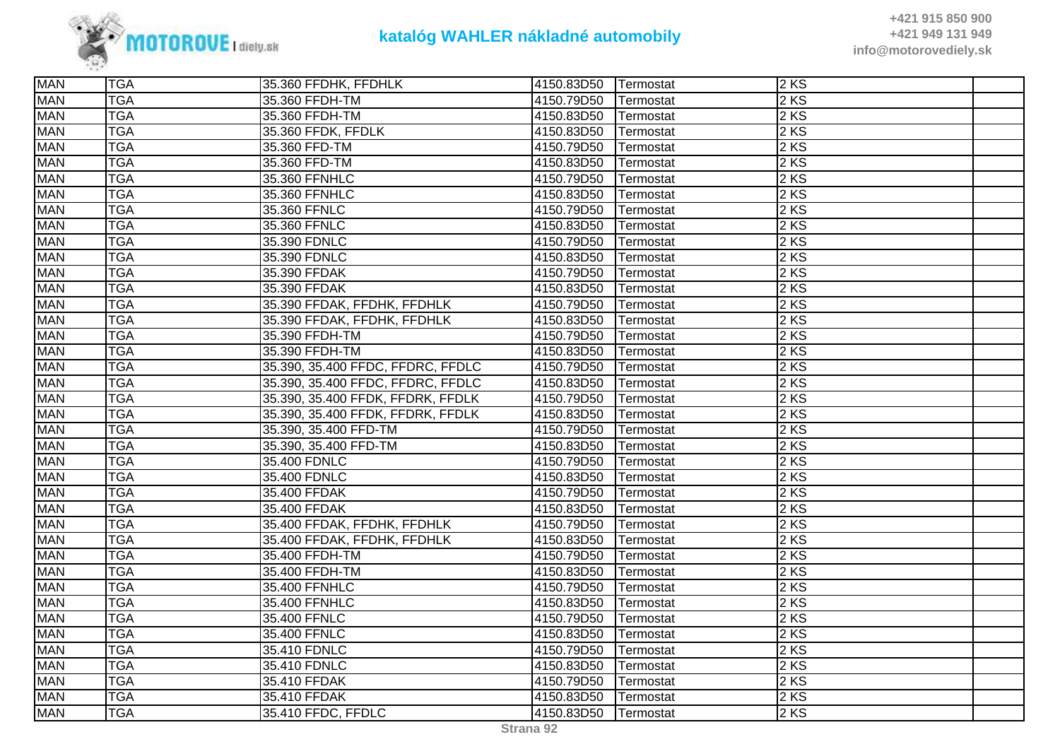

| <b>MAN</b> | <b>TGA</b> | 35.360 FFDHK, FFDHLK              | 4150.83D50 | Termostat | 2KS    |  |
|------------|------------|-----------------------------------|------------|-----------|--------|--|
| <b>MAN</b> | <b>TGA</b> | 35.360 FFDH-TM                    | 4150.79D50 | Termostat | 2 KS   |  |
| <b>MAN</b> | <b>TGA</b> | 35.360 FFDH-TM                    | 4150.83D50 | Termostat | 2 KS   |  |
| <b>MAN</b> | <b>TGA</b> | 35.360 FFDK, FFDLK                | 4150.83D50 | Termostat | 2 KS   |  |
| <b>MAN</b> | <b>TGA</b> | 35.360 FFD-TM                     | 4150.79D50 | Termostat | 2KS    |  |
| <b>MAN</b> | <b>TGA</b> | 35.360 FFD-TM                     | 4150.83D50 | Termostat | 2 KS   |  |
| <b>MAN</b> | <b>TGA</b> | 35.360 FFNHLC                     | 4150.79D50 | Termostat | 2 KS   |  |
| <b>MAN</b> | <b>TGA</b> | 35.360 FFNHLC                     | 4150.83D50 | Termostat | 2 KS   |  |
| <b>MAN</b> | <b>TGA</b> | 35.360 FFNLC                      | 4150.79D50 | Termostat | 2KS    |  |
| <b>MAN</b> | <b>TGA</b> | 35.360 FFNLC                      | 4150.83D50 | Termostat | 2KS    |  |
| <b>MAN</b> | <b>TGA</b> | 35.390 FDNLC                      | 4150.79D50 | Termostat | 2 KS   |  |
| <b>MAN</b> | <b>TGA</b> | 35.390 FDNLC                      | 4150.83D50 | Termostat | 2 KS   |  |
| <b>MAN</b> | <b>TGA</b> | 35.390 FFDAK                      | 4150.79D50 | Termostat | 2 KS   |  |
| <b>MAN</b> | <b>TGA</b> | 35.390 FFDAK                      | 4150.83D50 | Termostat | 2 KS   |  |
| <b>MAN</b> | <b>TGA</b> | 35.390 FFDAK, FFDHK, FFDHLK       | 4150.79D50 | Termostat | 2 KS   |  |
| <b>MAN</b> | <b>TGA</b> | 35.390 FFDAK, FFDHK, FFDHLK       | 4150.83D50 | Termostat | 2 KS   |  |
| <b>MAN</b> | <b>TGA</b> | 35.390 FFDH-TM                    | 4150.79D50 | Termostat | 2 KS   |  |
| <b>MAN</b> | <b>TGA</b> | 35.390 FFDH-TM                    | 4150.83D50 | Termostat | 2 KS   |  |
| <b>MAN</b> | <b>TGA</b> | 35.390, 35.400 FFDC, FFDRC, FFDLC | 4150.79D50 | Termostat | 2 KS   |  |
| <b>MAN</b> | <b>TGA</b> | 35.390, 35.400 FFDC, FFDRC, FFDLC | 4150.83D50 | Termostat | 2 KS   |  |
| <b>MAN</b> | <b>TGA</b> | 35.390, 35.400 FFDK, FFDRK, FFDLK | 4150.79D50 | Termostat | $2$ KS |  |
| <b>MAN</b> | <b>TGA</b> | 35.390, 35.400 FFDK, FFDRK, FFDLK | 4150.83D50 | Termostat | 2KS    |  |
| <b>MAN</b> | <b>TGA</b> | 35.390, 35.400 FFD-TM             | 4150.79D50 | Termostat | 2 KS   |  |
| <b>MAN</b> | <b>TGA</b> | 35.390, 35.400 FFD-TM             | 4150.83D50 | Termostat | 2 KS   |  |
| <b>MAN</b> | <b>TGA</b> | 35.400 FDNLC                      | 4150.79D50 | Termostat | 2 KS   |  |
| <b>MAN</b> | <b>TGA</b> | 35.400 FDNLC                      | 4150.83D50 | Termostat | 2KS    |  |
| <b>MAN</b> | <b>TGA</b> | 35.400 FFDAK                      | 4150.79D50 | Termostat | $2$ KS |  |
| <b>MAN</b> | <b>TGA</b> | 35.400 FFDAK                      | 4150.83D50 | Termostat | 2KS    |  |
| <b>MAN</b> | <b>TGA</b> | 35.400 FFDAK, FFDHK, FFDHLK       | 4150.79D50 | Termostat | 2 KS   |  |
| <b>MAN</b> | <b>TGA</b> | 35.400 FFDAK, FFDHK, FFDHLK       | 4150.83D50 | Termostat | 2 KS   |  |
| <b>MAN</b> | <b>TGA</b> | 35.400 FFDH-TM                    | 4150.79D50 | Termostat | 2 KS   |  |
| <b>MAN</b> | <b>TGA</b> | 35.400 FFDH-TM                    | 4150.83D50 | Termostat | 2 KS   |  |
| <b>MAN</b> | <b>TGA</b> | 35.400 FFNHLC                     | 4150.79D50 | Termostat | $2$ KS |  |
| <b>MAN</b> | <b>TGA</b> | 35.400 FFNHLC                     | 4150.83D50 | Termostat | 2 KS   |  |
| <b>MAN</b> | <b>TGA</b> | 35.400 FFNLC                      | 4150.79D50 | Termostat | $2$ KS |  |
| <b>MAN</b> | <b>TGA</b> | 35.400 FFNLC                      | 4150.83D50 | Termostat | 2 KS   |  |
| <b>MAN</b> | <b>TGA</b> | 35.410 FDNLC                      | 4150.79D50 | Termostat | 2 KS   |  |
| <b>MAN</b> | <b>TGA</b> | 35.410 FDNLC                      | 4150.83D50 | Termostat | $2$ KS |  |
| <b>MAN</b> | <b>TGA</b> | 35.410 FFDAK                      | 4150.79D50 | Termostat | 2KS    |  |
| <b>MAN</b> | <b>TGA</b> | 35.410 FFDAK                      | 4150.83D50 | Termostat | $2$ KS |  |
| <b>MAN</b> | <b>TGA</b> | 35.410 FFDC, FFDLC                | 4150.83D50 | Termostat | 2 KS   |  |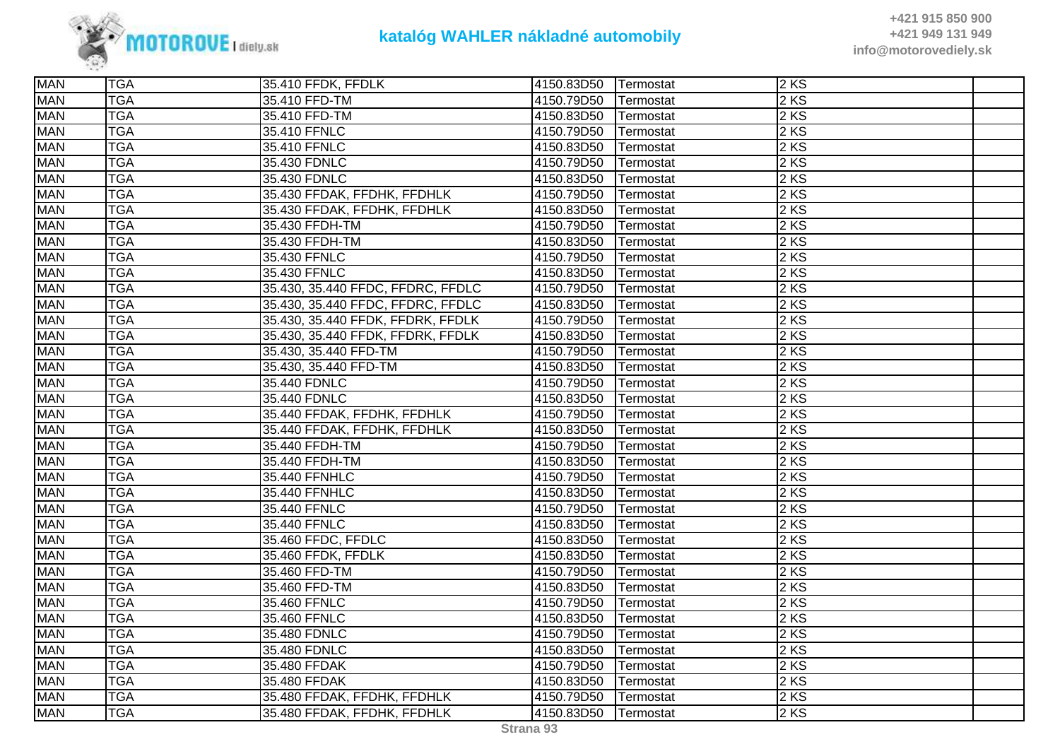

| <b>MAN</b> | <b>TGA</b> | 35.410 FFDK, FFDLK                | 4150.83D50 | Termostat | 2 KS   |  |
|------------|------------|-----------------------------------|------------|-----------|--------|--|
| <b>MAN</b> | <b>TGA</b> | 35.410 FFD-TM                     | 4150.79D50 | Termostat | $2$ KS |  |
| <b>MAN</b> | <b>TGA</b> | 35.410 FFD-TM                     | 4150.83D50 | Termostat | 2 KS   |  |
| <b>MAN</b> | <b>TGA</b> | 35.410 FFNLC                      | 4150.79D50 | Termostat | 2 KS   |  |
| <b>MAN</b> | <b>TGA</b> | 35.410 FFNLC                      | 4150.83D50 | Termostat | $2$ KS |  |
| <b>MAN</b> | <b>TGA</b> | 35.430 FDNLC                      | 4150.79D50 | Termostat | $2$ KS |  |
| <b>MAN</b> | <b>TGA</b> | 35.430 FDNLC                      | 4150.83D50 | Termostat | 2 KS   |  |
| <b>MAN</b> | <b>TGA</b> | 35.430 FFDAK, FFDHK, FFDHLK       | 4150.79D50 | Termostat | 2 KS   |  |
| <b>MAN</b> | <b>TGA</b> | 35.430 FFDAK, FFDHK, FFDHLK       | 4150.83D50 | Termostat | $2$ KS |  |
| <b>MAN</b> | <b>TGA</b> | 35.430 FFDH-TM                    | 4150.79D50 | Termostat | 2KS    |  |
| <b>MAN</b> | <b>TGA</b> | 35.430 FFDH-TM                    | 4150.83D50 | Termostat | 2 KS   |  |
| <b>MAN</b> | <b>TGA</b> | 35.430 FFNLC                      | 4150.79D50 | Termostat | $2$ KS |  |
| <b>MAN</b> | <b>TGA</b> | 35.430 FFNLC                      | 4150.83D50 | Termostat | 2 KS   |  |
| <b>MAN</b> | <b>TGA</b> | 35.430, 35.440 FFDC, FFDRC, FFDLC | 4150.79D50 | Termostat | 2 KS   |  |
| <b>MAN</b> | <b>TGA</b> | 35.430, 35.440 FFDC, FFDRC, FFDLC | 4150.83D50 | Termostat | 2 KS   |  |
| <b>MAN</b> | <b>TGA</b> | 35.430, 35.440 FFDK, FFDRK, FFDLK | 4150.79D50 | Termostat | 2 KS   |  |
| <b>MAN</b> | <b>TGA</b> | 35.430, 35.440 FFDK, FFDRK, FFDLK | 4150.83D50 | Termostat | 2 KS   |  |
| <b>MAN</b> | <b>TGA</b> | 35.430, 35.440 FFD-TM             | 4150.79D50 | Termostat | 2 KS   |  |
| <b>MAN</b> | <b>TGA</b> | 35.430, 35.440 FFD-TM             | 4150.83D50 | Termostat | $2$ KS |  |
| <b>MAN</b> | <b>TGA</b> | 35.440 FDNLC                      | 4150.79D50 | Termostat | $2$ KS |  |
| <b>MAN</b> | <b>TGA</b> | 35.440 FDNLC                      | 4150.83D50 | Termostat | 2 KS   |  |
| <b>MAN</b> | <b>TGA</b> | 35.440 FFDAK, FFDHK, FFDHLK       | 4150.79D50 | Termostat | $2$ KS |  |
| <b>MAN</b> | <b>TGA</b> | 35.440 FFDAK, FFDHK, FFDHLK       | 4150.83D50 | Termostat | 2 KS   |  |
| <b>MAN</b> | <b>TGA</b> | 35.440 FFDH-TM                    | 4150.79D50 | Termostat | 2 KS   |  |
| <b>MAN</b> | <b>TGA</b> | 35.440 FFDH-TM                    | 4150.83D50 | Termostat | 2 KS   |  |
| <b>MAN</b> | <b>TGA</b> | 35.440 FFNHLC                     | 4150.79D50 | Termostat | $2$ KS |  |
| <b>MAN</b> | <b>TGA</b> | 35.440 FFNHLC                     | 4150.83D50 | Termostat | $2$ KS |  |
| <b>MAN</b> | <b>TGA</b> | 35.440 FFNLC                      | 4150.79D50 | Termostat | 2 KS   |  |
| <b>MAN</b> | <b>TGA</b> | 35.440 FFNLC                      | 4150.83D50 | Termostat | $2$ KS |  |
| <b>MAN</b> | <b>TGA</b> | 35.460 FFDC, FFDLC                | 4150.83D50 | Termostat | 2 KS   |  |
| <b>MAN</b> | <b>TGA</b> | 35.460 FFDK, FFDLK                | 4150.83D50 | Termostat | 2 KS   |  |
| <b>MAN</b> | <b>TGA</b> | 35.460 FFD-TM                     | 4150.79D50 | Termostat | $2$ KS |  |
| <b>MAN</b> | <b>TGA</b> | 35.460 FFD-TM                     | 4150.83D50 | Termostat | $2$ KS |  |
| <b>MAN</b> | <b>TGA</b> | 35.460 FFNLC                      | 4150.79D50 | Termostat | 2 KS   |  |
| <b>MAN</b> | <b>TGA</b> | 35.460 FFNLC                      | 4150.83D50 | Termostat | 2 KS   |  |
| <b>MAN</b> | <b>TGA</b> | 35.480 FDNLC                      | 4150.79D50 | Termostat | 2 KS   |  |
| <b>MAN</b> | <b>TGA</b> | 35.480 FDNLC                      | 4150.83D50 | Termostat | $2$ KS |  |
| <b>MAN</b> | <b>TGA</b> | 35.480 FFDAK                      | 4150.79D50 | Termostat | $2$ KS |  |
| <b>MAN</b> | <b>TGA</b> | 35.480 FFDAK                      | 4150.83D50 | Termostat | 2 KS   |  |
| <b>MAN</b> | <b>TGA</b> | 35.480 FFDAK, FFDHK, FFDHLK       | 4150.79D50 | Termostat | $2$ KS |  |
| <b>MAN</b> | <b>TGA</b> | 35.480 FFDAK, FFDHK, FFDHLK       | 4150.83D50 | Termostat | $2$ KS |  |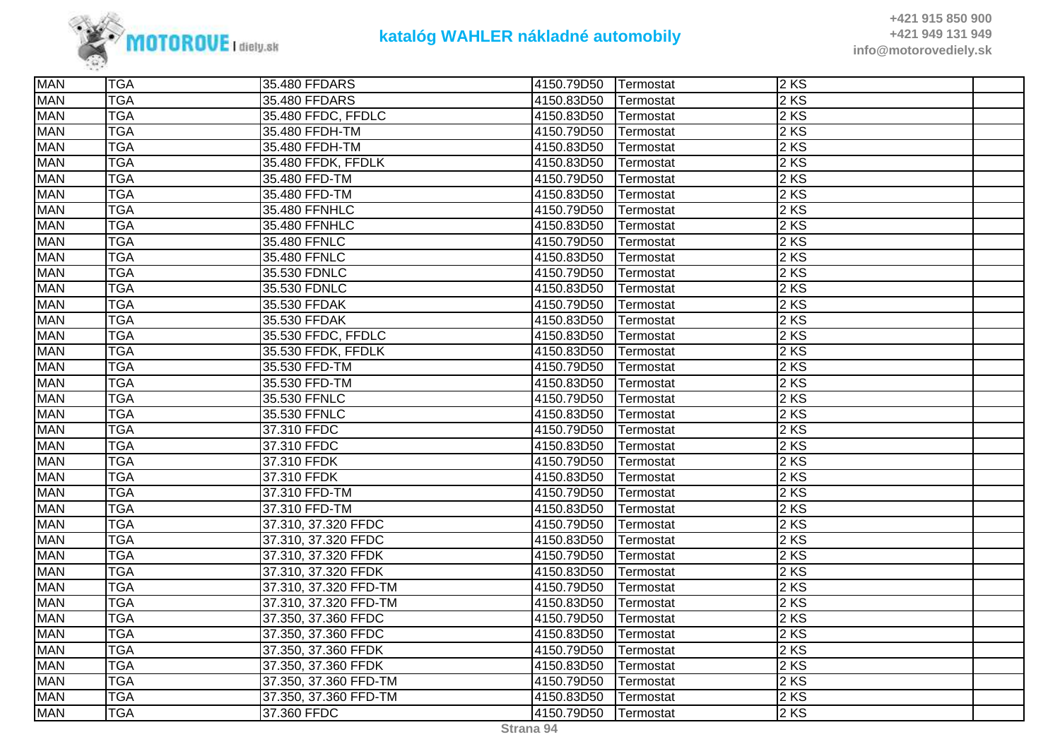

| <b>MAN</b> | <b>TGA</b> | 35.480 FFDARS         | 4150.79D50 | Termostat | 2KS    |  |
|------------|------------|-----------------------|------------|-----------|--------|--|
| <b>MAN</b> | <b>TGA</b> | 35.480 FFDARS         | 4150.83D50 | Termostat | 2 KS   |  |
| <b>MAN</b> | <b>TGA</b> | 35.480 FFDC, FFDLC    | 4150.83D50 | Termostat | 2 KS   |  |
| <b>MAN</b> | <b>TGA</b> | 35.480 FFDH-TM        | 4150.79D50 | Termostat | 2 KS   |  |
| <b>MAN</b> | <b>TGA</b> | 35.480 FFDH-TM        | 4150.83D50 | Termostat | $2$ KS |  |
| <b>MAN</b> | <b>TGA</b> | 35.480 FFDK, FFDLK    | 4150.83D50 | Termostat | 2 KS   |  |
| <b>MAN</b> | <b>TGA</b> | 35.480 FFD-TM         | 4150.79D50 | Termostat | 2 KS   |  |
| <b>MAN</b> | <b>TGA</b> | 35.480 FFD-TM         | 4150.83D50 | Termostat | 2 KS   |  |
| <b>MAN</b> | <b>TGA</b> | 35.480 FFNHLC         | 4150.79D50 | Termostat | 2 KS   |  |
| <b>MAN</b> | <b>TGA</b> | 35.480 FFNHLC         | 4150.83D50 | Termostat | 2 KS   |  |
| <b>MAN</b> | <b>TGA</b> | 35.480 FFNLC          | 4150.79D50 | Termostat | 2KS    |  |
| <b>MAN</b> | <b>TGA</b> | 35.480 FFNLC          | 4150.83D50 | Termostat | 2KS    |  |
| <b>MAN</b> | <b>TGA</b> | 35.530 FDNLC          | 4150.79D50 | Termostat | 2 KS   |  |
| <b>MAN</b> | <b>TGA</b> | 35.530 FDNLC          | 4150.83D50 | Termostat | 2 KS   |  |
| <b>MAN</b> | <b>TGA</b> | 35.530 FFDAK          | 4150.79D50 | Termostat | 2 KS   |  |
| <b>MAN</b> | <b>TGA</b> | 35.530 FFDAK          | 4150.83D50 | Termostat | $2$ KS |  |
| <b>MAN</b> | <b>TGA</b> | 35.530 FFDC, FFDLC    | 4150.83D50 | Termostat | 2KS    |  |
| <b>MAN</b> | <b>TGA</b> | 35.530 FFDK, FFDLK    | 4150.83D50 | Termostat | 2KS    |  |
| <b>MAN</b> | <b>TGA</b> | 35.530 FFD-TM         | 4150.79D50 | Termostat | 2 KS   |  |
| <b>MAN</b> | <b>TGA</b> | 35.530 FFD-TM         | 4150.83D50 | Termostat | 2 KS   |  |
| <b>MAN</b> | <b>TGA</b> | 35.530 FFNLC          | 4150.79D50 | Termostat | 2 KS   |  |
| <b>MAN</b> | <b>TGA</b> | 35.530 FFNLC          | 4150.83D50 | Termostat | 2 KS   |  |
| <b>MAN</b> | <b>TGA</b> | 37.310 FFDC           | 4150.79D50 | Termostat | 2 KS   |  |
| <b>MAN</b> | <b>TGA</b> | 37.310 FFDC           | 4150.83D50 | Termostat | 2 KS   |  |
| <b>MAN</b> | <b>TGA</b> | 37.310 FFDK           | 4150.79D50 | Termostat | 2 KS   |  |
| <b>MAN</b> | <b>TGA</b> | 37.310 FFDK           | 4150.83D50 | Termostat | 2 KS   |  |
| <b>MAN</b> | <b>TGA</b> | 37.310 FFD-TM         | 4150.79D50 | Termostat | 2 KS   |  |
| <b>MAN</b> | <b>TGA</b> | 37.310 FFD-TM         | 4150.83D50 | Termostat | 2KS    |  |
| <b>MAN</b> | <b>TGA</b> | 37.310, 37.320 FFDC   | 4150.79D50 | Termostat | 2 KS   |  |
| <b>MAN</b> | <b>TGA</b> | 37.310, 37.320 FFDC   | 4150.83D50 | Termostat | 2 KS   |  |
| <b>MAN</b> | <b>TGA</b> | 37.310, 37.320 FFDK   | 4150.79D50 | Termostat | 2 KS   |  |
| <b>MAN</b> | <b>TGA</b> | 37.310, 37.320 FFDK   | 4150.83D50 | Termostat | 2 KS   |  |
| <b>MAN</b> | <b>TGA</b> | 37.310, 37.320 FFD-TM | 4150.79D50 | Termostat | 2KS    |  |
| <b>MAN</b> | <b>TGA</b> | 37.310, 37.320 FFD-TM | 4150.83D50 | Termostat | 2KS    |  |
| <b>MAN</b> | <b>TGA</b> | 37.350, 37.360 FFDC   | 4150.79D50 | Termostat | 2 KS   |  |
| <b>MAN</b> | <b>TGA</b> | 37.350, 37.360 FFDC   | 4150.83D50 | Termostat | 2 KS   |  |
| <b>MAN</b> | <b>TGA</b> | 37.350, 37.360 FFDK   | 4150.79D50 | Termostat | 2 KS   |  |
| <b>MAN</b> | <b>TGA</b> | 37.350, 37.360 FFDK   | 4150.83D50 | Termostat | 2 KS   |  |
| <b>MAN</b> | <b>TGA</b> | 37.350, 37.360 FFD-TM | 4150.79D50 | Termostat | 2KS    |  |
| <b>MAN</b> | <b>TGA</b> | 37.350, 37.360 FFD-TM | 4150.83D50 | Termostat | 2KS    |  |
| <b>MAN</b> | <b>TGA</b> | 37.360 FFDC           | 4150.79D50 | Termostat | 2 KS   |  |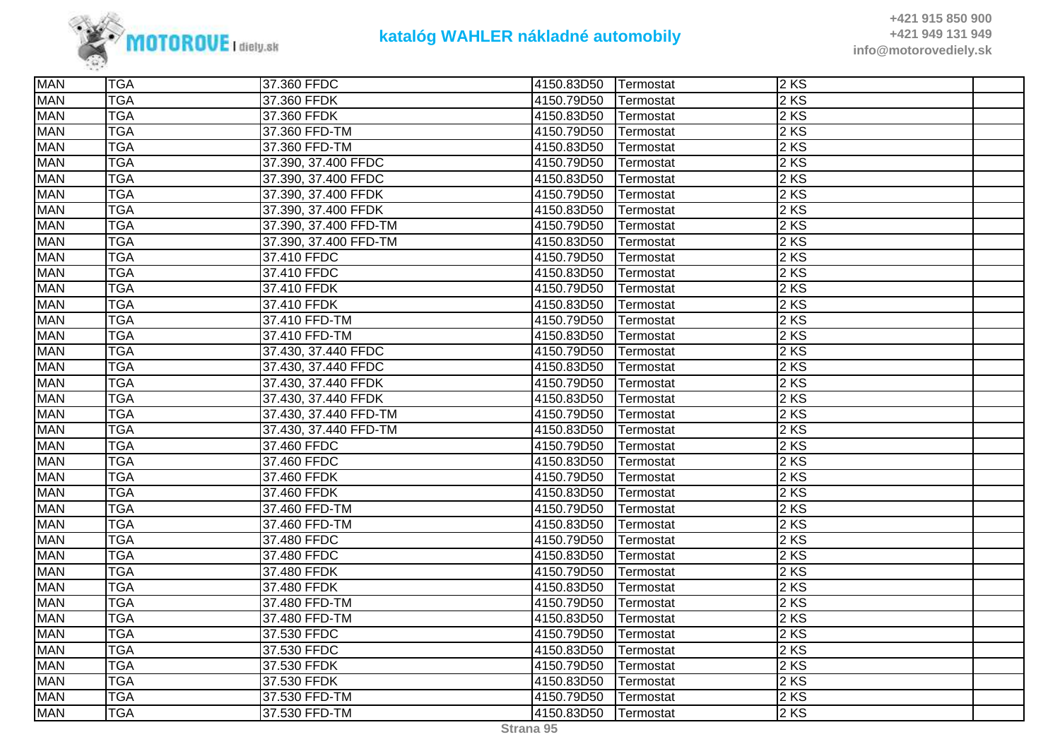

| <b>MAN</b> | <b>TGA</b> | 37.360 FFDC           | 4150.83D50 | Termostat | 2KS               |  |
|------------|------------|-----------------------|------------|-----------|-------------------|--|
| <b>MAN</b> | <b>TGA</b> | 37.360 FFDK           | 4150.79D50 | Termostat | 2 KS              |  |
| <b>MAN</b> | <b>TGA</b> | 37.360 FFDK           | 4150.83D50 | Termostat | 2 KS              |  |
| <b>MAN</b> | <b>TGA</b> | 37.360 FFD-TM         | 4150.79D50 | Termostat | 2KS               |  |
| <b>MAN</b> | <b>TGA</b> | 37.360 FFD-TM         | 4150.83D50 | Termostat | 2KS               |  |
| <b>MAN</b> | <b>TGA</b> | 37.390, 37.400 FFDC   | 4150.79D50 | Termostat | 2 KS              |  |
| <b>MAN</b> | <b>TGA</b> | 37.390, 37.400 FFDC   | 4150.83D50 | Termostat | 2 KS              |  |
| <b>MAN</b> | <b>TGA</b> | 37.390, 37.400 FFDK   | 4150.79D50 | Termostat | 2 KS              |  |
| <b>MAN</b> | <b>TGA</b> | 37.390, 37.400 FFDK   | 4150.83D50 | Termostat | 2KS               |  |
| <b>MAN</b> | <b>TGA</b> | 37.390, 37.400 FFD-TM | 4150.79D50 | Termostat | 2KS               |  |
| <b>MAN</b> | <b>TGA</b> | 37.390, 37.400 FFD-TM | 4150.83D50 | Termostat | 2 KS              |  |
| <b>MAN</b> | <b>TGA</b> | 37.410 FFDC           | 4150.79D50 | Termostat | 2 KS              |  |
| <b>MAN</b> | <b>TGA</b> | 37.410 FFDC           | 4150.83D50 | Termostat | 2 KS              |  |
| <b>MAN</b> | <b>TGA</b> | 37.410 FFDK           | 4150.79D50 | Termostat | 2 KS              |  |
| <b>MAN</b> | <b>TGA</b> | 37.410 FFDK           | 4150.83D50 | Termostat | 2KS               |  |
| <b>MAN</b> | <b>TGA</b> | 37.410 FFD-TM         | 4150.79D50 | Termostat | 2 KS              |  |
| <b>MAN</b> | <b>TGA</b> | 37.410 FFD-TM         | 4150.83D50 | Termostat | 2 KS              |  |
| <b>MAN</b> | <b>TGA</b> | 37.430, 37.440 FFDC   | 4150.79D50 | Termostat | 2 KS              |  |
| <b>MAN</b> | <b>TGA</b> | 37.430, 37.440 FFDC   | 4150.83D50 | Termostat | 2 KS              |  |
| <b>MAN</b> | <b>TGA</b> | 37.430, 37.440 FFDK   | 4150.79D50 | Termostat | 2 KS              |  |
| <b>MAN</b> | <b>TGA</b> | 37.430, 37.440 FFDK   | 4150.83D50 | Termostat | 2 KS              |  |
| <b>MAN</b> | <b>TGA</b> | 37.430, 37.440 FFD-TM | 4150.79D50 | Termostat | 2 KS              |  |
| <b>MAN</b> | <b>TGA</b> | 37.430, 37.440 FFD-TM | 4150.83D50 | Termostat | 2 KS              |  |
| <b>MAN</b> | <b>TGA</b> | 37.460 FFDC           | 4150.79D50 | Termostat | 2 KS              |  |
| <b>MAN</b> | <b>TGA</b> | 37.460 FFDC           | 4150.83D50 | Termostat | 2 KS              |  |
| <b>MAN</b> | <b>TGA</b> | 37.460 FFDK           | 4150.79D50 | Termostat | 2KS               |  |
| <b>MAN</b> | <b>TGA</b> | 37.460 FFDK           | 4150.83D50 | Termostat | 2KS               |  |
| <b>MAN</b> | <b>TGA</b> | 37.460 FFD-TM         | 4150.79D50 | Termostat | 2KS               |  |
| <b>MAN</b> | <b>TGA</b> | 37.460 FFD-TM         | 4150.83D50 | Termostat | 2 KS              |  |
| <b>MAN</b> | <b>TGA</b> | 37.480 FFDC           | 4150.79D50 | Termostat | 2 KS              |  |
| <b>MAN</b> | <b>TGA</b> | 37.480 FFDC           | 4150.83D50 | Termostat | 2 KS              |  |
| <b>MAN</b> | <b>TGA</b> | 37.480 FFDK           | 4150.79D50 | Termostat | 2KS               |  |
| <b>MAN</b> | <b>TGA</b> | 37.480 FFDK           | 4150.83D50 | Termostat | 2KS               |  |
| <b>MAN</b> | <b>TGA</b> | 37.480 FFD-TM         | 4150.79D50 | Termostat | 2 KS              |  |
| <b>MAN</b> | <b>TGA</b> | 37.480 FFD-TM         | 4150.83D50 | Termostat | 2 KS              |  |
| <b>MAN</b> | <b>TGA</b> | 37.530 FFDC           | 4150.79D50 | Termostat | 2KS               |  |
| <b>MAN</b> | <b>TGA</b> | 37.530 FFDC           | 4150.83D50 | Termostat | 2 KS              |  |
| <b>MAN</b> | <b>TGA</b> | 37.530 FFDK           | 4150.79D50 | Termostat | 2 KS              |  |
| <b>MAN</b> | <b>TGA</b> | 37.530 FFDK           | 4150.83D50 | Termostat | $2 K\overline{S}$ |  |
| <b>MAN</b> | <b>TGA</b> | 37.530 FFD-TM         | 4150.79D50 | Termostat | 2KS               |  |
| <b>MAN</b> | <b>TGA</b> | 37.530 FFD-TM         | 4150.83D50 | Termostat | 2 KS              |  |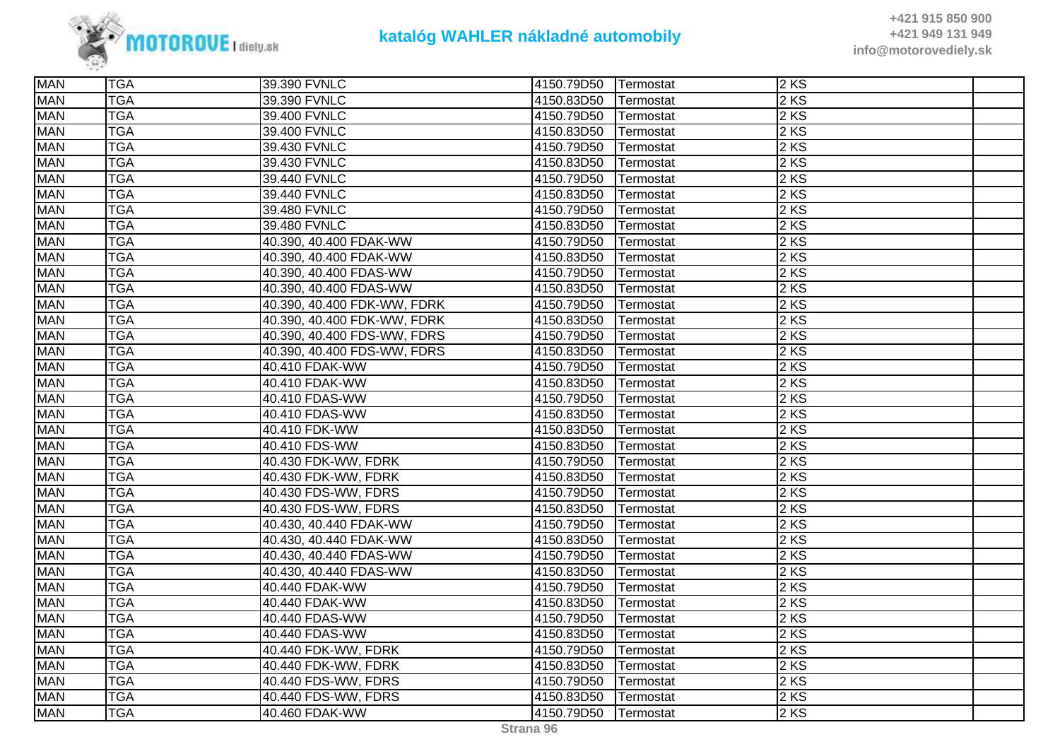

| <b>MAN</b> | <b>TGA</b> | 39.390 FVNLC                | 4150.79D50 | Termostat | 2KS               |  |
|------------|------------|-----------------------------|------------|-----------|-------------------|--|
| <b>MAN</b> | <b>TGA</b> | 39.390 FVNLC                | 4150.83D50 | Termostat | 2 KS              |  |
| <b>MAN</b> | <b>TGA</b> | 39.400 FVNLC                | 4150.79D50 | Termostat | 2 KS              |  |
| <b>MAN</b> | <b>TGA</b> | 39.400 FVNLC                | 4150.83D50 | Termostat | $\overline{2}$ KS |  |
| <b>MAN</b> | <b>TGA</b> | 39.430 FVNLC                | 4150.79D50 | Termostat | $2$ KS            |  |
| <b>MAN</b> | <b>TGA</b> | 39.430 FVNLC                | 4150.83D50 | Termostat | 2 KS              |  |
| <b>MAN</b> | <b>TGA</b> | 39.440 FVNLC                | 4150.79D50 | Termostat | 2 KS              |  |
| <b>MAN</b> | <b>TGA</b> | 39.440 FVNLC                | 4150.83D50 | Termostat | 2 KS              |  |
| <b>MAN</b> | <b>TGA</b> | 39.480 FVNLC                | 4150.79D50 | Termostat | $2$ KS            |  |
| <b>MAN</b> | <b>TGA</b> | 39.480 FVNLC                | 4150.83D50 | Termostat | 2 KS              |  |
| <b>MAN</b> | <b>TGA</b> | 40.390, 40.400 FDAK-WW      | 4150.79D50 | Termostat | 2 KS              |  |
| <b>MAN</b> | <b>TGA</b> | 40.390, 40.400 FDAK-WW      | 4150.83D50 | Termostat | 2KS               |  |
| <b>MAN</b> | <b>TGA</b> | 40.390, 40.400 FDAS-WW      | 4150.79D50 | Termostat | 2 KS              |  |
| <b>MAN</b> | <b>TGA</b> | 40.390, 40.400 FDAS-WW      | 4150.83D50 | Termostat | 2 KS              |  |
| <b>MAN</b> | <b>TGA</b> | 40.390, 40.400 FDK-WW, FDRK | 4150.79D50 | Termostat | $2$ KS            |  |
| <b>MAN</b> | <b>TGA</b> | 40.390, 40.400 FDK-WW, FDRK | 4150.83D50 | Termostat | 2KS               |  |
| <b>MAN</b> | <b>TGA</b> | 40.390, 40.400 FDS-WW, FDRS | 4150.79D50 | Termostat | 2 KS              |  |
| <b>MAN</b> | <b>TGA</b> | 40.390, 40.400 FDS-WW, FDRS | 4150.83D50 | Termostat | 2 KS              |  |
| <b>MAN</b> | <b>TGA</b> | 40.410 FDAK-WW              | 4150.79D50 | Termostat | 2 KS              |  |
| <b>MAN</b> | <b>TGA</b> | 40.410 FDAK-WW              | 4150.83D50 | Termostat | 2 KS              |  |
| <b>MAN</b> | <b>TGA</b> | 40.410 FDAS-WW              | 4150.79D50 | Termostat | $2$ KS            |  |
| <b>MAN</b> | <b>TGA</b> | 40.410 FDAS-WW              | 4150.83D50 | Termostat | 2KS               |  |
| <b>MAN</b> | <b>TGA</b> | 40.410 FDK-WW               | 4150.83D50 | Termostat | 2 KS              |  |
| <b>MAN</b> | <b>TGA</b> | 40.410 FDS-WW               | 4150.83D50 | Termostat | 2 KS              |  |
| <b>MAN</b> | <b>TGA</b> | 40.430 FDK-WW, FDRK         | 4150.79D50 | Termostat | 2 KS              |  |
| <b>MAN</b> | <b>TGA</b> | 40.430 FDK-WW, FDRK         | 4150.83D50 | Termostat | 2KS               |  |
| <b>MAN</b> | <b>TGA</b> | 40.430 FDS-WW, FDRS         | 4150.79D50 | Termostat | 2 KS              |  |
| <b>MAN</b> | <b>TGA</b> | 40.430 FDS-WW, FDRS         | 4150.83D50 | Termostat | 2 KS              |  |
| <b>MAN</b> | <b>TGA</b> | 40.430, 40.440 FDAK-WW      | 4150.79D50 | Termostat | 2 KS              |  |
| <b>MAN</b> | <b>TGA</b> | 40.430, 40.440 FDAK-WW      | 4150.83D50 | Termostat | 2 KS              |  |
| <b>MAN</b> | <b>TGA</b> | 40.430, 40.440 FDAS-WW      | 4150.79D50 | Termostat | 2 KS              |  |
| <b>MAN</b> | <b>TGA</b> | 40.430, 40.440 FDAS-WW      | 4150.83D50 | Termostat | $2$ KS            |  |
| <b>MAN</b> | <b>TGA</b> | 40.440 FDAK-WW              | 4150.79D50 | Termostat | 2KS               |  |
| <b>MAN</b> | <b>TGA</b> | 40.440 FDAK-WW              | 4150.83D50 | Termostat | 2KS               |  |
| <b>MAN</b> | <b>TGA</b> | 40.440 FDAS-WW              | 4150.79D50 | Termostat | 2 KS              |  |
| <b>MAN</b> | <b>TGA</b> | 40.440 FDAS-WW              | 4150.83D50 | Termostat | 2 KS              |  |
| <b>MAN</b> | <b>TGA</b> | 40.440 FDK-WW, FDRK         | 4150.79D50 | Termostat | 2 KS              |  |
| <b>MAN</b> | <b>TGA</b> | 40.440 FDK-WW, FDRK         | 4150.83D50 | Termostat | $2$ KS            |  |
| <b>MAN</b> | <b>TGA</b> | 40.440 FDS-WW, FDRS         | 4150.79D50 | Termostat | 2KS               |  |
| <b>MAN</b> | <b>TGA</b> | 40.440 FDS-WW, FDRS         | 4150.83D50 | Termostat | $2$ KS            |  |
| <b>MAN</b> | <b>TGA</b> | 40.460 FDAK-WW              | 4150.79D50 | Termostat | 2 KS              |  |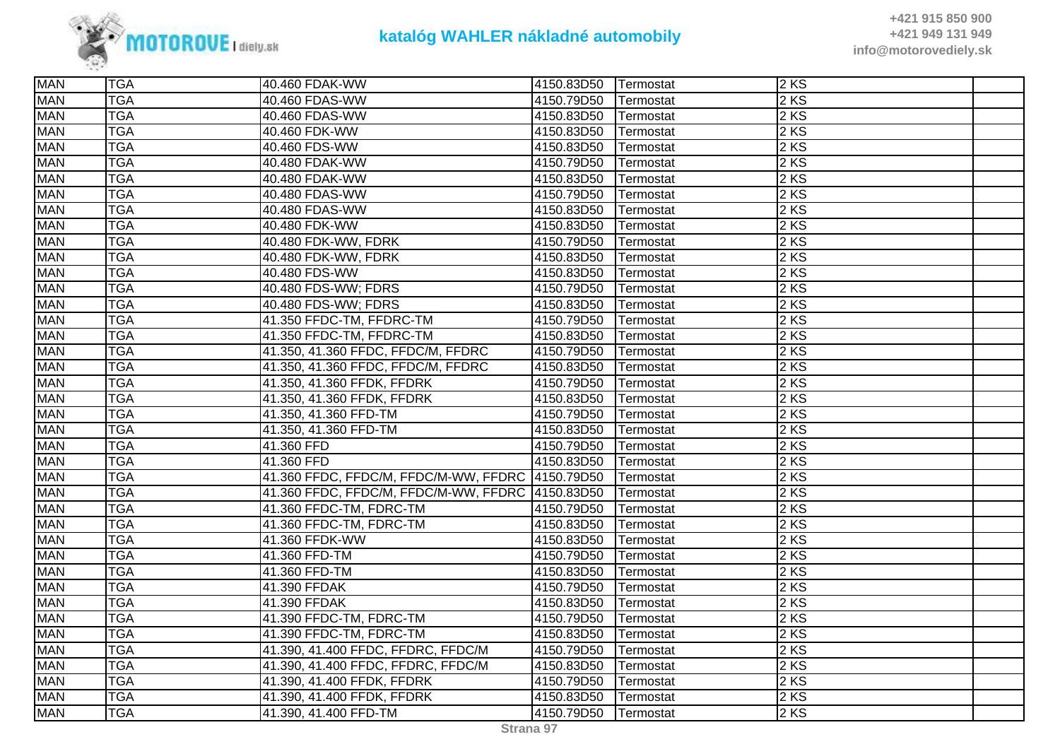

| <b>MAN</b> | <b>TGA</b> | 40.460 FDAK-WW                                    | 4150.83D50 | Termostat | 2KS               |  |
|------------|------------|---------------------------------------------------|------------|-----------|-------------------|--|
| <b>MAN</b> | <b>TGA</b> | 40.460 FDAS-WW                                    | 4150.79D50 | Termostat | 2 KS              |  |
| <b>MAN</b> | <b>TGA</b> | 40.460 FDAS-WW                                    | 4150.83D50 | Termostat | 2 KS              |  |
| <b>MAN</b> | <b>TGA</b> | 40.460 FDK-WW                                     | 4150.83D50 | Termostat | 2KS               |  |
| <b>MAN</b> | <b>TGA</b> | 40.460 FDS-WW                                     | 4150.83D50 | Termostat | $2$ KS            |  |
| <b>MAN</b> | <b>TGA</b> | 40.480 FDAK-WW                                    | 4150.79D50 | Termostat | 2 KS              |  |
| <b>MAN</b> | <b>TGA</b> | 40.480 FDAK-WW                                    | 4150.83D50 | Termostat | 2 KS              |  |
| <b>MAN</b> | <b>TGA</b> | 40.480 FDAS-WW                                    | 4150.79D50 | Termostat | 2 KS              |  |
| <b>MAN</b> | <b>TGA</b> | 40.480 FDAS-WW                                    | 4150.83D50 | Termostat | 2 KS              |  |
| <b>MAN</b> | <b>TGA</b> | 40.480 FDK-WW                                     | 4150.83D50 | Termostat | 2 KS              |  |
| <b>MAN</b> | <b>TGA</b> | 40.480 FDK-WW, FDRK                               | 4150.79D50 | Termostat | 2 KS              |  |
| <b>MAN</b> | <b>TGA</b> | 40.480 FDK-WW, FDRK                               | 4150.83D50 | Termostat | 2 KS              |  |
| <b>MAN</b> | <b>TGA</b> | 40.480 FDS-WW                                     | 4150.83D50 | Termostat | 2 KS              |  |
| <b>MAN</b> | <b>TGA</b> | 40.480 FDS-WW; FDRS                               | 4150.79D50 | Termostat | 2 KS              |  |
| <b>MAN</b> | <b>TGA</b> | 40.480 FDS-WW; FDRS                               | 4150.83D50 | Termostat | 2 KS              |  |
| <b>MAN</b> | <b>TGA</b> | 41.350 FFDC-TM, FFDRC-TM                          | 4150.79D50 | Termostat | 2KS               |  |
| <b>MAN</b> | <b>TGA</b> | 41.350 FFDC-TM, FFDRC-TM                          | 4150.83D50 | Termostat | 2KS               |  |
| <b>MAN</b> | <b>TGA</b> | 41.350, 41.360 FFDC, FFDC/M, FFDRC                | 4150.79D50 | Termostat | 2 KS              |  |
| <b>MAN</b> | <b>TGA</b> | 41.350, 41.360 FFDC, FFDC/M, FFDRC                | 4150.83D50 | Termostat | 2KS               |  |
| <b>MAN</b> | <b>TGA</b> | 41.350, 41.360 FFDK, FFDRK                        | 4150.79D50 | Termostat | 2KS               |  |
| <b>MAN</b> | <b>TGA</b> | 41.350, 41.360 FFDK, FFDRK                        | 4150.83D50 | Termostat | 2KS               |  |
| <b>MAN</b> | <b>TGA</b> | 41.350, 41.360 FFD-TM                             | 4150.79D50 | Termostat | 2 KS              |  |
| <b>MAN</b> | <b>TGA</b> | 41.350, 41.360 FFD-TM                             | 4150.83D50 | Termostat | 2 KS              |  |
| <b>MAN</b> | <b>TGA</b> | 41.360 FFD                                        | 4150.79D50 | Termostat | 2 KS              |  |
| <b>MAN</b> | <b>TGA</b> | 41.360 FFD                                        | 4150.83D50 | Termostat | $2$ KS            |  |
| <b>MAN</b> | <b>TGA</b> | 41.360 FFDC, FFDC/M, FFDC/M-WW, FFDRC 4150.79D50  |            | Termostat | 2KS               |  |
| <b>MAN</b> | <b>TGA</b> | 41.360 FFDC, FFDC/M, FFDC/M-WW, FFDRC  4150.83D50 |            | Termostat | 2KS               |  |
| <b>MAN</b> | <b>TGA</b> | 41.360 FFDC-TM, FDRC-TM                           | 4150.79D50 | Termostat | 2KS               |  |
| <b>MAN</b> | <b>TGA</b> | 41.360 FFDC-TM, FDRC-TM                           | 4150.83D50 | Termostat | 2 KS              |  |
| <b>MAN</b> | <b>TGA</b> | 41.360 FFDK-WW                                    | 4150.83D50 | Termostat | 2 KS              |  |
| <b>MAN</b> | <b>TGA</b> | 41.360 FFD-TM                                     | 4150.79D50 | Termostat | $2$ KS            |  |
| <b>MAN</b> | <b>TGA</b> | 41.360 FFD-TM                                     | 4150.83D50 | Termostat | 2KS               |  |
| <b>MAN</b> | <b>TGA</b> | 41.390 FFDAK                                      | 4150.79D50 | Termostat | $2$ KS            |  |
| <b>MAN</b> | <b>TGA</b> | 41.390 FFDAK                                      | 4150.83D50 | Termostat | 2 KS              |  |
| <b>MAN</b> | <b>TGA</b> | 41.390 FFDC-TM, FDRC-TM                           | 4150.79D50 | Termostat | 2 KS              |  |
| <b>MAN</b> | <b>TGA</b> | 41.390 FFDC-TM, FDRC-TM                           | 4150.83D50 | Termostat | 2 KS              |  |
| <b>MAN</b> | <b>TGA</b> | 41.390, 41.400 FFDC, FFDRC, FFDC/M                | 4150.79D50 | Termostat | 2 KS              |  |
| <b>MAN</b> | <b>TGA</b> | 41.390, 41.400 FFDC, FFDRC, FFDC/M                | 4150.83D50 | Termostat | 2 KS              |  |
| <b>MAN</b> | <b>TGA</b> | 41.390, 41.400 FFDK, FFDRK                        | 4150.79D50 | Termostat | 2 KS              |  |
| <b>MAN</b> | <b>TGA</b> | 41.390, 41.400 FFDK, FFDRK                        | 4150.83D50 | Termostat | 2KS               |  |
| <b>MAN</b> | <b>TGA</b> | 41.390, 41.400 FFD-TM                             | 4150.79D50 | Termostat | $2 K\overline{S}$ |  |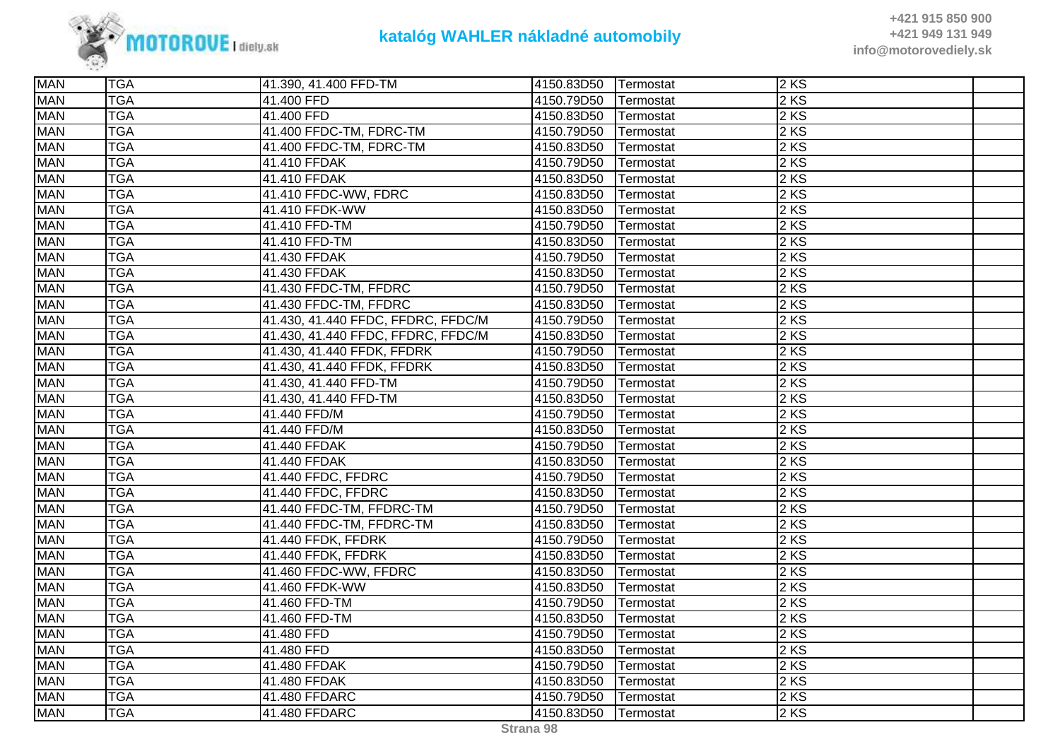

| <b>MAN</b> | <b>TGA</b> | 41.390, 41.400 FFD-TM              | 4150.83D50 | Termostat | 2 KS              |  |
|------------|------------|------------------------------------|------------|-----------|-------------------|--|
| <b>MAN</b> | <b>TGA</b> | 41.400 FFD                         | 4150.79D50 | Termostat | 2 KS              |  |
| <b>MAN</b> | <b>TGA</b> | 41.400 FFD                         | 4150.83D50 | Termostat | 2 KS              |  |
| <b>MAN</b> | <b>TGA</b> | 41.400 FFDC-TM, FDRC-TM            | 4150.79D50 | Termostat | 2 KS              |  |
| <b>MAN</b> | <b>TGA</b> | 41.400 FFDC-TM, FDRC-TM            | 4150.83D50 | Termostat | $2$ KS            |  |
| <b>MAN</b> | <b>TGA</b> | 41.410 FFDAK                       | 4150.79D50 | Termostat | 2 KS              |  |
| <b>MAN</b> | <b>TGA</b> | 41.410 FFDAK                       | 4150.83D50 | Termostat | 2 KS              |  |
| <b>MAN</b> | <b>TGA</b> | 41.410 FFDC-WW, FDRC               | 4150.83D50 | Termostat | 2 KS              |  |
| <b>MAN</b> | <b>TGA</b> | 41.410 FFDK-WW                     | 4150.83D50 | Termostat | 2 KS              |  |
| <b>MAN</b> | <b>TGA</b> | 41.410 FFD-TM                      | 4150.79D50 | Termostat | 2 KS              |  |
| <b>MAN</b> | <b>TGA</b> | 41.410 FFD-TM                      | 4150.83D50 | Termostat | $2$ KS            |  |
| <b>MAN</b> | <b>TGA</b> | 41.430 FFDAK                       | 4150.79D50 | Termostat | $2$ KS            |  |
| <b>MAN</b> | <b>TGA</b> | 41.430 FFDAK                       | 4150.83D50 | Termostat | 2 KS              |  |
| <b>MAN</b> | <b>TGA</b> | 41.430 FFDC-TM, FFDRC              | 4150.79D50 | Termostat | 2 KS              |  |
| <b>MAN</b> | <b>TGA</b> | 41.430 FFDC-TM, FFDRC              | 4150.83D50 | Termostat | 2KS               |  |
| <b>MAN</b> | <b>TGA</b> | 41.430, 41.440 FFDC, FFDRC, FFDC/M | 4150.79D50 | Termostat | $2$ KS            |  |
| <b>MAN</b> | <b>TGA</b> | 41.430, 41.440 FFDC, FFDRC, FFDC/M | 4150.83D50 | Termostat | $2$ KS            |  |
| <b>MAN</b> | <b>TGA</b> | 41.430, 41.440 FFDK, FFDRK         | 4150.79D50 | Termostat | 2 KS              |  |
| <b>MAN</b> | <b>TGA</b> | 41.430, 41.440 FFDK, FFDRK         | 4150.83D50 | Termostat | 2 KS              |  |
| <b>MAN</b> | <b>TGA</b> | 41.430, 41.440 FFD-TM              | 4150.79D50 | Termostat | 2KS               |  |
| <b>MAN</b> | <b>TGA</b> | 41.430, 41.440 FFD-TM              | 4150.83D50 | Termostat | $2$ KS            |  |
| <b>MAN</b> | <b>TGA</b> | 41.440 FFD/M                       | 4150.79D50 | Termostat | $2$ KS            |  |
| <b>MAN</b> | <b>TGA</b> | 41.440 FFD/M                       | 4150.83D50 | Termostat | 2 KS              |  |
| <b>MAN</b> | <b>TGA</b> | 41.440 FFDAK                       | 4150.79D50 | Termostat | 2 KS              |  |
| <b>MAN</b> | <b>TGA</b> | 41.440 FFDAK                       | 4150.83D50 | Termostat | 2KS               |  |
| <b>MAN</b> | <b>TGA</b> | 41.440 FFDC, FFDRC                 | 4150.79D50 | Termostat | 2 KS              |  |
| <b>MAN</b> | <b>TGA</b> | 41.440 FFDC, FFDRC                 | 4150.83D50 | Termostat | $2$ KS            |  |
| <b>MAN</b> | <b>TGA</b> | 41.440 FFDC-TM, FFDRC-TM           | 4150.79D50 | Termostat | $2$ KS            |  |
| <b>MAN</b> | <b>TGA</b> | 41.440 FFDC-TM, FFDRC-TM           | 4150.83D50 | Termostat | 2 KS              |  |
| <b>MAN</b> | <b>TGA</b> | 41.440 FFDK, FFDRK                 | 4150.79D50 | Termostat | 2 KS              |  |
| <b>MAN</b> | <b>TGA</b> | 41.440 FFDK, FFDRK                 | 4150.83D50 | Termostat | 2KS               |  |
| <b>MAN</b> | <b>TGA</b> | 41.460 FFDC-WW, FFDRC              | 4150.83D50 | Termostat | 2 KS              |  |
| <b>MAN</b> | <b>TGA</b> | 41.460 FFDK-WW                     | 4150.83D50 | Termostat | $2$ KS            |  |
| <b>MAN</b> | <b>TGA</b> | 41.460 FFD-TM                      | 4150.79D50 | Termostat | 2 KS              |  |
| <b>MAN</b> | <b>TGA</b> | 41.460 FFD-TM                      | 4150.83D50 | Termostat | 2 KS              |  |
| <b>MAN</b> | <b>TGA</b> | 41.480 FFD                         | 4150.79D50 | Termostat | $2 K\overline{S}$ |  |
| <b>MAN</b> | <b>TGA</b> | 41.480 FFD                         | 4150.83D50 | Termostat | 2 KS              |  |
| <b>MAN</b> | <b>TGA</b> | 41.480 FFDAK                       | 4150.79D50 | Termostat | 2 KS              |  |
| <b>MAN</b> | <b>TGA</b> | 41.480 FFDAK                       | 4150.83D50 | Termostat | $2$ KS            |  |
| <b>MAN</b> | <b>TGA</b> | 41.480 FFDARC                      | 4150.79D50 | Termostat | $2$ KS            |  |
| <b>MAN</b> | <b>TGA</b> | 41.480 FFDARC                      | 4150.83D50 | Termostat | 2 KS              |  |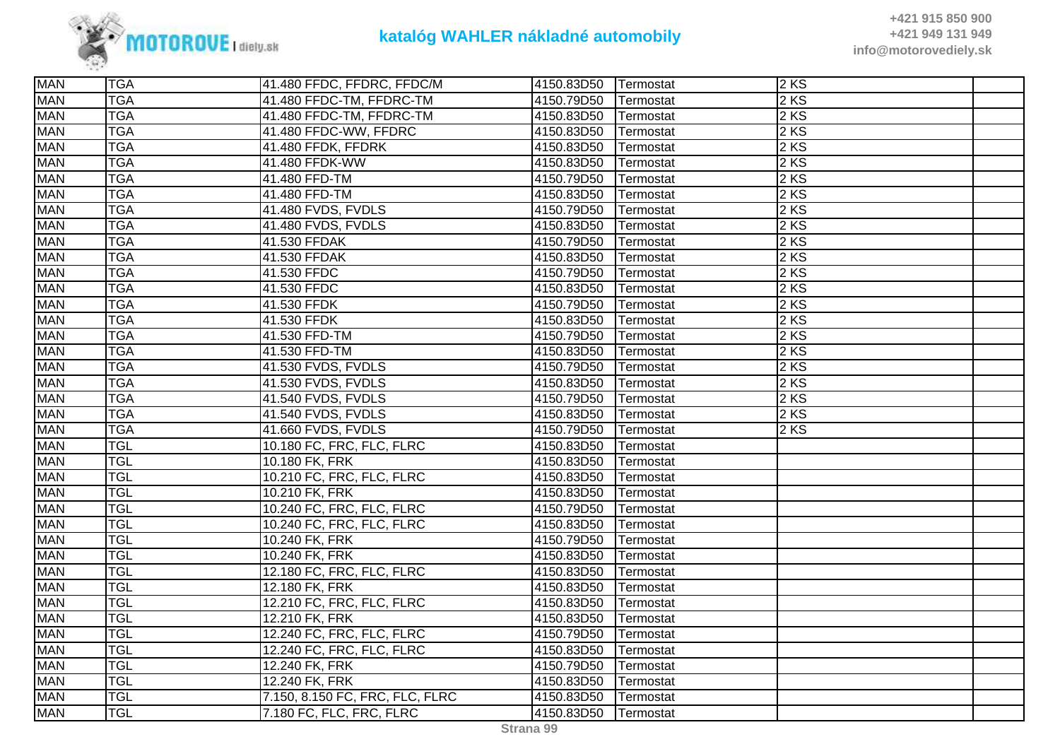

| <b>MAN</b> | <b>TGA</b> | 41.480 FFDC, FFDRC, FFDC/M      | 4150.83D50 | <b>Termostat</b> | $2$ KS |  |
|------------|------------|---------------------------------|------------|------------------|--------|--|
| <b>MAN</b> | <b>TGA</b> | 41.480 FFDC-TM, FFDRC-TM        | 4150.79D50 | Termostat        | $2$ KS |  |
| <b>MAN</b> | <b>TGA</b> | 41.480 FFDC-TM, FFDRC-TM        | 4150.83D50 | Termostat        | $2$ KS |  |
| <b>MAN</b> | <b>TGA</b> | 41.480 FFDC-WW, FFDRC           | 4150.83D50 | Termostat        | 2KS    |  |
| <b>MAN</b> | <b>TGA</b> | 41.480 FFDK, FFDRK              | 4150.83D50 | Termostat        | 2KS    |  |
| <b>MAN</b> | <b>TGA</b> | 41.480 FFDK-WW                  | 4150.83D50 | Termostat        | $2$ KS |  |
| <b>MAN</b> | <b>TGA</b> | 41.480 FFD-TM                   | 4150.79D50 | Termostat        | 2 KS   |  |
| <b>MAN</b> | <b>TGA</b> | 41.480 FFD-TM                   | 4150.83D50 | Termostat        | 2 KS   |  |
| <b>MAN</b> | <b>TGA</b> | 41.480 FVDS, FVDLS              | 4150.79D50 | Termostat        | $2$ KS |  |
| <b>MAN</b> | <b>TGA</b> | 41.480 FVDS, FVDLS              | 4150.83D50 | Termostat        | 2 KS   |  |
| <b>MAN</b> | <b>TGA</b> | 41.530 FFDAK                    | 4150.79D50 | Termostat        | 2 KS   |  |
| <b>MAN</b> | <b>TGA</b> | 41.530 FFDAK                    | 4150.83D50 | Termostat        | $2$ KS |  |
| <b>MAN</b> | <b>TGA</b> | 41.530 FFDC                     | 4150.79D50 | Termostat        | 2 KS   |  |
| <b>MAN</b> | <b>TGA</b> | 41.530 FFDC                     | 4150.83D50 | Termostat        | 2 KS   |  |
| <b>MAN</b> | <b>TGA</b> | 41.530 FFDK                     | 4150.79D50 | Termostat        | 2KS    |  |
| <b>MAN</b> | <b>TGA</b> | 41.530 FFDK                     | 4150.83D50 | Termostat        | 2KS    |  |
| <b>MAN</b> | <b>TGA</b> | 41.530 FFD-TM                   | 4150.79D50 | Termostat        | 2 KS   |  |
| <b>MAN</b> | <b>TGA</b> | 41.530 FFD-TM                   | 4150.83D50 | Termostat        | $2$ KS |  |
| <b>MAN</b> | <b>TGA</b> | 41.530 FVDS, FVDLS              | 4150.79D50 | Termostat        | $2$ KS |  |
| <b>MAN</b> | <b>TGA</b> | 41.530 FVDS, FVDLS              | 4150.83D50 | Termostat        | 2 KS   |  |
| <b>MAN</b> | <b>TGA</b> | 41.540 FVDS, FVDLS              | 4150.79D50 | Termostat        | $2$ KS |  |
| <b>MAN</b> | <b>TGA</b> | 41.540 FVDS, FVDLS              | 4150.83D50 | Termostat        | $2$ KS |  |
| <b>MAN</b> | <b>TGA</b> | 41.660 FVDS, FVDLS              | 4150.79D50 | Termostat        | $2$ KS |  |
| <b>MAN</b> | <b>TGL</b> | 10.180 FC, FRC, FLC, FLRC       | 4150.83D50 | Termostat        |        |  |
| <b>MAN</b> | <b>TGL</b> | 10.180 FK, FRK                  | 4150.83D50 | Termostat        |        |  |
| <b>MAN</b> | <b>TGL</b> | 10.210 FC, FRC, FLC, FLRC       | 4150.83D50 | Termostat        |        |  |
| <b>MAN</b> | <b>TGL</b> | 10.210 FK, FRK                  | 4150.83D50 | Termostat        |        |  |
| <b>MAN</b> | <b>TGL</b> | 10.240 FC, FRC, FLC, FLRC       | 4150.79D50 | Termostat        |        |  |
| <b>MAN</b> | <b>TGL</b> | 10.240 FC, FRC, FLC, FLRC       | 4150.83D50 | Termostat        |        |  |
| <b>MAN</b> | <b>TGL</b> | 10.240 FK, FRK                  | 4150.79D50 | Termostat        |        |  |
| <b>MAN</b> | <b>TGL</b> | 10.240 FK, FRK                  | 4150.83D50 | Termostat        |        |  |
| <b>MAN</b> | <b>TGL</b> | 12.180 FC, FRC, FLC, FLRC       | 4150.83D50 | Termostat        |        |  |
| <b>MAN</b> | <b>TGL</b> | 12.180 FK, FRK                  | 4150.83D50 | Termostat        |        |  |
| <b>MAN</b> | <b>TGL</b> | 12.210 FC, FRC, FLC, FLRC       | 4150.83D50 | Termostat        |        |  |
| <b>MAN</b> | <b>TGL</b> | 12.210 FK, FRK                  | 4150.83D50 | Termostat        |        |  |
| <b>MAN</b> | <b>TGL</b> | 12.240 FC, FRC, FLC, FLRC       | 4150.79D50 |                  |        |  |
|            | <b>TGL</b> | 12.240 FC, FRC, FLC, FLRC       |            | Termostat        |        |  |
| <b>MAN</b> |            |                                 | 4150.83D50 | Termostat        |        |  |
| <b>MAN</b> | <b>TGL</b> | 12.240 FK, FRK                  | 4150.79D50 | Termostat        |        |  |
| <b>MAN</b> | <b>TGL</b> | 12.240 FK, FRK                  | 4150.83D50 | Termostat        |        |  |
| <b>MAN</b> | <b>TGL</b> | 7.150, 8.150 FC, FRC, FLC, FLRC | 4150.83D50 | Termostat        |        |  |
| <b>MAN</b> | <b>TGL</b> | 7.180 FC, FLC, FRC, FLRC        | 4150.83D50 | Termostat        |        |  |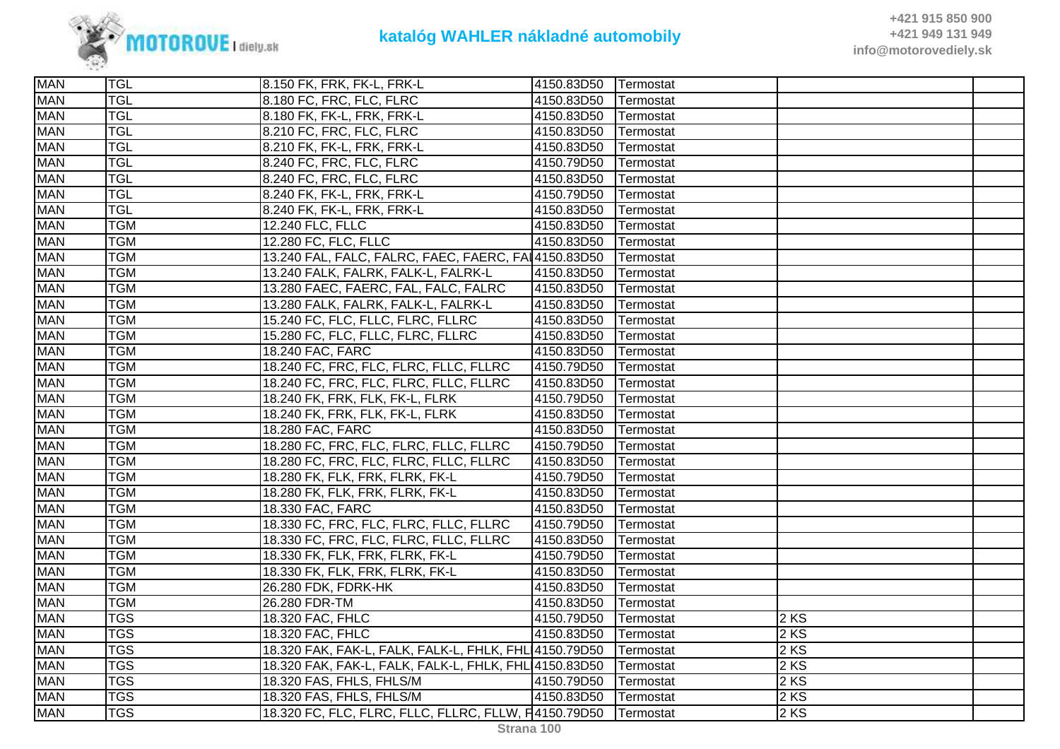

| <b>MAN</b><br><b>TGL</b><br>8.180 FC, FRC, FLC, FLRC<br>4150.83D50<br>Termostat<br><b>MAN</b><br><b>TGL</b><br>8.180 FK, FK-L, FRK, FRK-L<br>4150.83D50<br>Termostat<br><b>TGL</b><br><b>MAN</b><br>8.210 FC, FRC, FLC, FLRC<br>4150.83D50<br>Termostat |  |
|---------------------------------------------------------------------------------------------------------------------------------------------------------------------------------------------------------------------------------------------------------|--|
|                                                                                                                                                                                                                                                         |  |
|                                                                                                                                                                                                                                                         |  |
|                                                                                                                                                                                                                                                         |  |
| <b>TGL</b><br><b>MAN</b><br>8.210 FK, FK-L, FRK, FRK-L<br>4150.83D50<br>Termostat                                                                                                                                                                       |  |
| <b>MAN</b><br><b>TGL</b><br>8.240 FC, FRC, FLC, FLRC<br>4150.79D50<br>Termostat                                                                                                                                                                         |  |
| <b>MAN</b><br><b>TGL</b><br>8.240 FC, FRC, FLC, FLRC<br>4150.83D50<br>Termostat                                                                                                                                                                         |  |
| <b>MAN</b><br><b>TGL</b><br>8.240 FK, FK-L, FRK, FRK-L<br>4150.79D50<br>Termostat                                                                                                                                                                       |  |
| <b>MAN</b><br><b>TGL</b><br>8.240 FK, FK-L, FRK, FRK-L<br>4150.83D50<br>Termostat                                                                                                                                                                       |  |
| <b>TGM</b><br><b>MAN</b><br>12.240 FLC, FLLC<br>4150.83D50<br>Termostat                                                                                                                                                                                 |  |
| <b>MAN</b><br><b>TGM</b><br>12.280 FC, FLC, FLLC<br>4150.83D50<br>Termostat                                                                                                                                                                             |  |
| <b>MAN</b><br><b>TGM</b><br>13.240 FAL, FALC, FALRC, FAEC, FAERC, FAI 4150.83D50<br>Termostat                                                                                                                                                           |  |
| <b>MAN</b><br><b>TGM</b><br>13.240 FALK, FALRK, FALK-L, FALRK-L<br>4150.83D50<br>Termostat                                                                                                                                                              |  |
| <b>MAN</b><br><b>TGM</b><br>13.280 FAEC, FAERC, FAL, FALC, FALRC<br>4150.83D50<br>Termostat                                                                                                                                                             |  |
| <b>TGM</b><br><b>MAN</b><br>13.280 FALK, FALRK, FALK-L, FALRK-L<br>4150.83D50<br>Termostat                                                                                                                                                              |  |
| <b>MAN</b><br><b>TGM</b><br>15.240 FC, FLC, FLLC, FLRC, FLLRC<br>4150.83D50<br>Termostat                                                                                                                                                                |  |
| <b>MAN</b><br><b>TGM</b><br>15.280 FC, FLC, FLLC, FLRC, FLLRC<br>4150.83D50<br>Termostat                                                                                                                                                                |  |
| <b>MAN</b><br><b>TGM</b><br>18.240 FAC, FARC<br>4150.83D50<br>Termostat                                                                                                                                                                                 |  |
| 18.240 FC, FRC, FLC, FLRC, FLLC, FLLRC<br><b>MAN</b><br><b>TGM</b><br>4150.79D50<br>Termostat                                                                                                                                                           |  |
| <b>MAN</b><br><b>TGM</b><br>18.240 FC, FRC, FLC, FLRC, FLLC, FLLRC<br>4150.83D50<br>Termostat                                                                                                                                                           |  |
| <b>TGM</b><br><b>MAN</b><br>18.240 FK, FRK, FLK, FK-L, FLRK<br>4150.79D50<br>Termostat                                                                                                                                                                  |  |
| <b>MAN</b><br><b>TGM</b><br>4150.83D50<br>18.240 FK, FRK, FLK, FK-L, FLRK<br>Termostat                                                                                                                                                                  |  |
| 18.280 FAC, FARC<br><b>MAN</b><br><b>TGM</b><br>4150.83D50<br>Termostat                                                                                                                                                                                 |  |
| 18.280 FC, FRC, FLC, FLRC, FLLC, FLLRC<br><b>MAN</b><br><b>TGM</b><br>4150.79D50<br>Termostat                                                                                                                                                           |  |
| <b>MAN</b><br><b>TGM</b><br>18.280 FC, FRC, FLC, FLRC, FLLC, FLLRC<br>4150.83D50<br>Termostat                                                                                                                                                           |  |
| <b>TGM</b><br><b>MAN</b><br>18.280 FK, FLK, FRK, FLRK, FK-L<br>4150.79D50<br>Termostat                                                                                                                                                                  |  |
| <b>MAN</b><br><b>TGM</b><br>18.280 FK, FLK, FRK, FLRK, FK-L<br>4150.83D50<br>Termostat                                                                                                                                                                  |  |
| <b>MAN</b><br><b>TGM</b><br>18.330 FAC, FARC<br>4150.83D50<br>Termostat                                                                                                                                                                                 |  |
| <b>MAN</b><br><b>TGM</b><br>18.330 FC, FRC, FLC, FLRC, FLLC, FLLRC<br>4150.79D50<br>Termostat                                                                                                                                                           |  |
| <b>MAN</b><br><b>TGM</b><br>18.330 FC, FRC, FLC, FLRC, FLLC, FLLRC<br>4150.83D50<br>Termostat                                                                                                                                                           |  |
| <b>TGM</b><br><b>MAN</b><br>18.330 FK, FLK, FRK, FLRK, FK-L<br>4150.79D50<br>Termostat                                                                                                                                                                  |  |
| <b>MAN</b><br><b>TGM</b><br>18.330 FK, FLK, FRK, FLRK, FK-L<br>4150.83D50<br>Termostat                                                                                                                                                                  |  |
| <b>MAN</b><br><b>TGM</b><br>26.280 FDK, FDRK-HK<br>4150.83D50<br>Termostat                                                                                                                                                                              |  |
| <b>MAN</b><br><b>TGM</b><br>26.280 FDR-TM<br>4150.83D50<br>Termostat                                                                                                                                                                                    |  |
| <b>MAN</b><br><b>TGS</b><br>18.320 FAC, FHLC<br>4150.79D50<br>2 KS<br>Termostat                                                                                                                                                                         |  |
| <b>TGS</b><br><b>MAN</b><br>18.320 FAC, FHLC<br>2 KS<br>4150.83D50<br>Termostat                                                                                                                                                                         |  |
| <b>MAN</b><br><b>TGS</b><br>18.320 FAK, FAK-L, FALK, FALK-L, FHLK, FHL 4150.79D50<br>2 KS<br>Termostat                                                                                                                                                  |  |
| <b>MAN</b><br><b>TGS</b><br>2 KS<br>18.320 FAK, FAK-L, FALK, FALK-L, FHLK, FHL 4150.83D50<br>Termostat                                                                                                                                                  |  |
| <b>MAN</b><br><b>TGS</b><br>2 KS<br>18.320 FAS, FHLS, FHLS/M<br>4150.79D50<br>Termostat                                                                                                                                                                 |  |
| <b>MAN</b><br><b>TGS</b><br>2KS<br>18.320 FAS, FHLS, FHLS/M<br>4150.83D50<br>Termostat                                                                                                                                                                  |  |
| <b>MAN</b><br>18.320 FC, FLC, FLRC, FLLC, FLLRC, FLLW, F4150.79D50<br><b>TGS</b><br>2 KS<br>Termostat                                                                                                                                                   |  |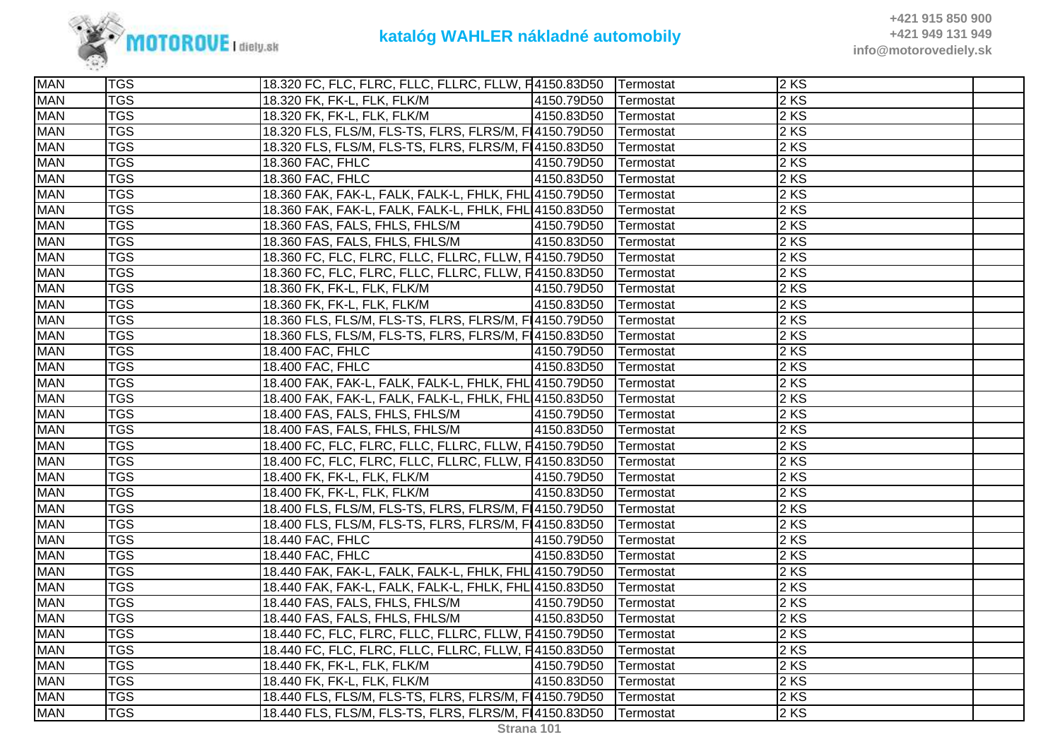

| <b>MAN</b> | <b>TGS</b> | 18.320 FC, FLC, FLRC, FLLC, FLLRC, FLLW, F4150.83D50   Termostat |                      |           | $2$ KS            |  |
|------------|------------|------------------------------------------------------------------|----------------------|-----------|-------------------|--|
| <b>MAN</b> | <b>TGS</b> | 18.320 FK, FK-L, FLK, FLK/M                                      | 4150.79D50           | Termostat | 2 KS              |  |
| <b>MAN</b> | <b>TGS</b> | 18.320 FK, FK-L, FLK, FLK/M                                      | 4150.83D50 Termostat |           | 2 KS              |  |
| <b>MAN</b> | <b>TGS</b> | 18.320 FLS, FLS/M, FLS-TS, FLRS, FLRS/M, F14150.79D50 Termostat  |                      |           | 2 KS              |  |
| <b>MAN</b> | <b>TGS</b> | 18.320 FLS, FLS/M, FLS-TS, FLRS, FLRS/M, F14150.83D50            |                      | Termostat | 2KS               |  |
| <b>MAN</b> | <b>TGS</b> | 18.360 FAC, FHLC                                                 | 4150.79D50           | Termostat | 2 KS              |  |
| <b>MAN</b> | <b>TGS</b> | 18.360 FAC, FHLC                                                 | 4150.83D50           | Termostat | 2 KS              |  |
| <b>MAN</b> | <b>TGS</b> | 18.360 FAK, FAK-L, FALK, FALK-L, FHLK, FHL 4150.79D50            |                      | Termostat | 2 KS              |  |
| <b>MAN</b> | <b>TGS</b> | 18.360 FAK, FAK-L, FALK, FALK-L, FHLK, FHL 4150.83D50            |                      | Termostat | 2 KS              |  |
| <b>MAN</b> | <b>TGS</b> | 18.360 FAS, FALS, FHLS, FHLS/M                                   | 4150.79D50           | Termostat | 2 KS              |  |
| <b>MAN</b> | <b>TGS</b> | 18.360 FAS, FALS, FHLS, FHLS/M                                   | 4150.83D50           | Termostat | 2 KS              |  |
| <b>MAN</b> | <b>TGS</b> | 18.360 FC, FLC, FLRC, FLLC, FLLRC, FLLW, F4150.79D50             |                      | Termostat | $2$ KS            |  |
| <b>MAN</b> | <b>TGS</b> | 18.360 FC, FLC, FLRC, FLLC, FLLRC, FLLW, F4150.83D50   Termostat |                      |           | 2 KS              |  |
| <b>MAN</b> | <b>TGS</b> | 18.360 FK, FK-L, FLK, FLK/M                                      | 4150.79D50 Termostat |           | 2KS               |  |
| <b>MAN</b> | <b>TGS</b> | 18.360 FK, FK-L, FLK, FLK/M                                      | 4150.83D50           | Termostat | 2KS               |  |
| <b>MAN</b> | <b>TGS</b> | 18.360 FLS, FLS/M, FLS-TS, FLRS, FLRS/M, FI4150.79D50            |                      | Termostat | 2 KS              |  |
| <b>MAN</b> | <b>TGS</b> | 18.360 FLS, FLS/M, FLS-TS, FLRS, FLRS/M, F14150.83D50            |                      | Termostat | 2 KS              |  |
| <b>MAN</b> | <b>TGS</b> | 18.400 FAC, FHLC                                                 | 4150.79D50 Termostat |           | $2 K\overline{S}$ |  |
| <b>MAN</b> | <b>TGS</b> | 18.400 FAC, FHLC                                                 | 4150.83D50 Termostat |           | $2$ KS            |  |
| <b>MAN</b> | <b>TGS</b> | 18.400 FAK, FAK-L, FALK, FALK-L, FHLK, FHL 4150.79D50            |                      | Termostat | 2KS               |  |
| <b>MAN</b> | <b>TGS</b> | 18.400 FAK, FAK-L, FALK, FALK-L, FHLK, FHL 4150.83D50            |                      | Termostat | 2 KS              |  |
| <b>MAN</b> | <b>TGS</b> | 18.400 FAS, FALS, FHLS, FHLS/M                                   | 4150.79D50           | Termostat | 2 KS              |  |
| <b>MAN</b> | <b>TGS</b> | 18.400 FAS, FALS, FHLS, FHLS/M                                   | 4150.83D50           | Termostat | 2 KS              |  |
| <b>MAN</b> | <b>TGS</b> | 18.400 FC, FLC, FLRC, FLLC, FLLRC, FLLW, F4150.79D50 Termostat   |                      |           | 2 KS              |  |
| <b>MAN</b> | <b>TGS</b> | 18.400 FC, FLC, FLRC, FLLC, FLLRC, FLLW, F4150.83D50             |                      | Termostat | 2 KS              |  |
| <b>MAN</b> | <b>TGS</b> | 18.400 FK, FK-L, FLK, FLK/M                                      | 4150.79D50 Termostat |           | 2KS               |  |
| <b>MAN</b> | <b>TGS</b> | 18.400 FK, FK-L, FLK, FLK/M                                      | 4150.83D50           | Termostat | 2 KS              |  |
| <b>MAN</b> | <b>TGS</b> | 18.400 FLS, FLS/M, FLS-TS, FLRS, FLRS/M, F14150.79D50            |                      | Termostat | 2 KS              |  |
| <b>MAN</b> | <b>TGS</b> | 18.400 FLS, FLS/M, FLS-TS, FLRS, FLRS/M, F 4150.83D50            |                      | Termostat | 2 KS              |  |
| <b>MAN</b> | <b>TGS</b> | 18.440 FAC, FHLC                                                 | 4150.79D50           | Termostat | 2 KS              |  |
| <b>MAN</b> | <b>TGS</b> | 18.440 FAC, FHLC                                                 | 4150.83D50           | Termostat | 2KS               |  |
| <b>MAN</b> | <b>TGS</b> | 18.440 FAK, FAK-L, FALK, FALK-L, FHLK, FHL 4150.79D50            |                      | Termostat | 2 KS              |  |
| <b>MAN</b> | <b>TGS</b> | 18.440 FAK, FAK-L, FALK, FALK-L, FHLK, FHL 4150.83D50            |                      | Termostat | 2 KS              |  |
| <b>MAN</b> | <b>TGS</b> | 18.440 FAS, FALS, FHLS, FHLS/M                                   | 4150.79D50           | Termostat | 2 KS              |  |
| <b>MAN</b> | <b>TGS</b> | 18.440 FAS, FALS, FHLS, FHLS/M                                   | 4150.83D50 Termostat |           | 2 KS              |  |
| <b>MAN</b> | <b>TGS</b> | 18.440 FC, FLC, FLRC, FLLC, FLLRC, FLLW, F4150.79D50   Termostat |                      |           | 2 KS              |  |
| <b>MAN</b> | <b>TGS</b> | 18.440 FC, FLC, FLRC, FLLC, FLLRC, FLLW, F4150.83D50             |                      | Termostat | 2 KS              |  |
| <b>MAN</b> | <b>TGS</b> | 18.440 FK, FK-L, FLK, FLK/M                                      | 4150.79D50           | Termostat | 2 KS              |  |
| <b>MAN</b> | <b>TGS</b> | 18.440 FK, FK-L, FLK, FLK/M                                      | 4150.83D50           | Termostat | 2KS               |  |
| <b>MAN</b> | <b>TGS</b> | 18.440 FLS, FLS/M, FLS-TS, FLRS, FLRS/M, F14150.79D50            |                      | Termostat | $2$ KS            |  |
| <b>MAN</b> | <b>TGS</b> | 18.440 FLS, FLS/M, FLS-TS, FLRS, FLRS/M, F14150.83D50            |                      | Termostat | 2KS               |  |
|            |            |                                                                  |                      |           |                   |  |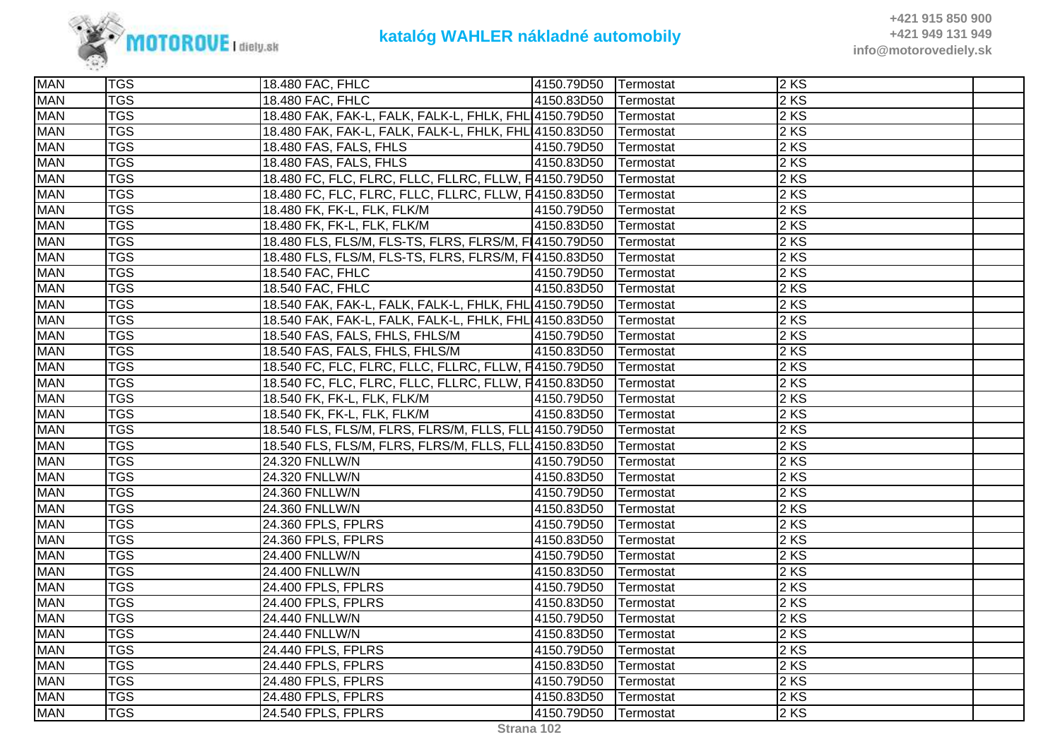

| <b>MAN</b> | <b>TGS</b> | 18.480 FAC, FHLC                                                  | 4150.79D50 | Termostat        | 2 KS   |  |
|------------|------------|-------------------------------------------------------------------|------------|------------------|--------|--|
| <b>MAN</b> | <b>TGS</b> | 18.480 FAC, FHLC                                                  | 4150.83D50 | Termostat        | 2 KS   |  |
| <b>MAN</b> | <b>TGS</b> | 18.480 FAK, FAK-L, FALK, FALK-L, FHLK, FHL 4150.79D50 Termostat   |            |                  | 2 KS   |  |
| <b>MAN</b> | <b>TGS</b> | 18.480 FAK, FAK-L, FALK, FALK-L, FHLK, FHL 4150.83D50   Termostat |            |                  | 2 KS   |  |
| <b>MAN</b> | <b>TGS</b> | 18.480 FAS, FALS, FHLS                                            | 4150.79D50 | Termostat        | 2KS    |  |
| <b>MAN</b> | <b>TGS</b> | 18.480 FAS, FALS, FHLS                                            | 4150.83D50 | Termostat        | 2 KS   |  |
| <b>MAN</b> | <b>TGS</b> | 18.480 FC, FLC, FLRC, FLLC, FLLRC, FLLW, F4150.79D50              |            | Termostat        | 2 KS   |  |
| <b>MAN</b> | <b>TGS</b> | 18.480 FC, FLC, FLRC, FLLC, FLLRC, FLLW, F4150.83D50              |            | Termostat        | 2KS    |  |
| <b>MAN</b> | <b>TGS</b> | 18.480 FK, FK-L, FLK, FLK/M                                       | 4150.79D50 | Termostat        | 2 KS   |  |
| <b>MAN</b> | <b>TGS</b> | 18.480 FK, FK-L, FLK, FLK/M                                       | 4150.83D50 | Termostat        | 2 KS   |  |
| <b>MAN</b> | <b>TGS</b> | 18.480 FLS, FLS/M, FLS-TS, FLRS, FLRS/M, F14150.79D50             |            | Termostat        | 2 KS   |  |
| <b>MAN</b> | <b>TGS</b> | 18.480 FLS, FLS/M, FLS-TS, FLRS, FLRS/M, F14150.83D50             |            | Termostat        | 2 KS   |  |
| <b>MAN</b> | <b>TGS</b> | 18.540 FAC, FHLC                                                  | 4150.79D50 | Termostat        | 2 KS   |  |
| <b>MAN</b> | <b>TGS</b> | 18.540 FAC, FHLC                                                  | 4150.83D50 | Termostat        | 2 KS   |  |
| <b>MAN</b> | <b>TGS</b> | 18.540 FAK, FAK-L, FALK, FALK-L, FHLK, FHL 4150.79D50             |            | Termostat        | 2 KS   |  |
| <b>MAN</b> | <b>TGS</b> | 18.540 FAK, FAK-L, FALK, FALK-L, FHLK, FHL 4150.83D50             |            | Termostat        | 2 KS   |  |
| <b>MAN</b> | <b>TGS</b> | 18.540 FAS, FALS, FHLS, FHLS/M                                    | 4150.79D50 | Termostat        | 2 KS   |  |
| <b>MAN</b> | <b>TGS</b> | 18.540 FAS, FALS, FHLS, FHLS/M                                    | 4150.83D50 | Termostat        | 2 KS   |  |
| <b>MAN</b> | <b>TGS</b> | 18.540 FC, FLC, FLRC, FLLC, FLLRC, FLLW, F4150.79D50              |            | Termostat        | 2 KS   |  |
| <b>MAN</b> | <b>TGS</b> | 18.540 FC, FLC, FLRC, FLLC, FLLRC, FLLW, F4150.83D50              |            | Termostat        | 2 KS   |  |
| <b>MAN</b> | <b>TGS</b> | 18.540 FK, FK-L, FLK, FLK/M                                       | 4150.79D50 | Termostat        | 2 KS   |  |
| <b>MAN</b> | <b>TGS</b> | 18.540 FK, FK-L, FLK, FLK/M                                       | 4150.83D50 | Termostat        | 2KS    |  |
| <b>MAN</b> | <b>TGS</b> | 18.540 FLS, FLS/M, FLRS, FLRS/M, FLLS, FLL 4150.79D50             |            | Termostat        | 2 KS   |  |
| <b>MAN</b> | <b>TGS</b> | 18.540 FLS, FLS/M, FLRS, FLRS/M, FLLS, FLL 4150.83D50             |            | Termostat        | 2 KS   |  |
| <b>MAN</b> | <b>TGS</b> | 24.320 FNLLW/N                                                    | 4150.79D50 | Termostat        | 2 KS   |  |
| <b>MAN</b> | <b>TGS</b> | 24.320 FNLLW/N                                                    | 4150.83D50 | Termostat        | 2KS    |  |
| <b>MAN</b> | <b>TGS</b> | 24.360 FNLLW/N                                                    | 4150.79D50 | Termostat        | 2 KS   |  |
| <b>MAN</b> | <b>TGS</b> | 24.360 FNLLW/N                                                    | 4150.83D50 | Termostat        | 2 KS   |  |
| <b>MAN</b> | <b>TGS</b> | 24.360 FPLS, FPLRS                                                | 4150.79D50 | Termostat        | 2 KS   |  |
| <b>MAN</b> | <b>TGS</b> | 24.360 FPLS, FPLRS                                                | 4150.83D50 | Termostat        | 2 KS   |  |
| <b>MAN</b> | <b>TGS</b> | 24.400 FNLLW/N                                                    | 4150.79D50 | Termostat        | $2$ KS |  |
| <b>MAN</b> | <b>TGS</b> | 24.400 FNLLW/N                                                    | 4150.83D50 | Termostat        | 2 KS   |  |
| <b>MAN</b> | <b>TGS</b> | 24.400 FPLS, FPLRS                                                | 4150.79D50 | Termostat        | 2KS    |  |
| <b>MAN</b> | <b>TGS</b> | 24.400 FPLS, FPLRS                                                | 4150.83D50 | Termostat        | 2 KS   |  |
| <b>MAN</b> | <b>TGS</b> | 24.440 FNLLW/N                                                    | 4150.79D50 | Termostat        | 2 KS   |  |
| <b>MAN</b> | <b>TGS</b> | 24.440 FNLLW/N                                                    | 4150.83D50 | Termostat        | 2KS    |  |
| <b>MAN</b> | <b>TGS</b> | 24.440 FPLS, FPLRS                                                | 4150.79D50 | Termostat        | 2 KS   |  |
| <b>MAN</b> | <b>TGS</b> | 24.440 FPLS, FPLRS                                                | 4150.83D50 | Termostat        | 2 KS   |  |
| <b>MAN</b> | <b>TGS</b> | 24.480 FPLS, FPLRS                                                | 4150.79D50 | Termostat        | 2 KS   |  |
| <b>MAN</b> | <b>TGS</b> | 24.480 FPLS, FPLRS                                                | 4150.83D50 | Termostat        | 2 KS   |  |
| <b>MAN</b> | <b>TGS</b> | 24.540 FPLS, FPLRS                                                | 4150.79D50 | <b>Termostat</b> | 2 KS   |  |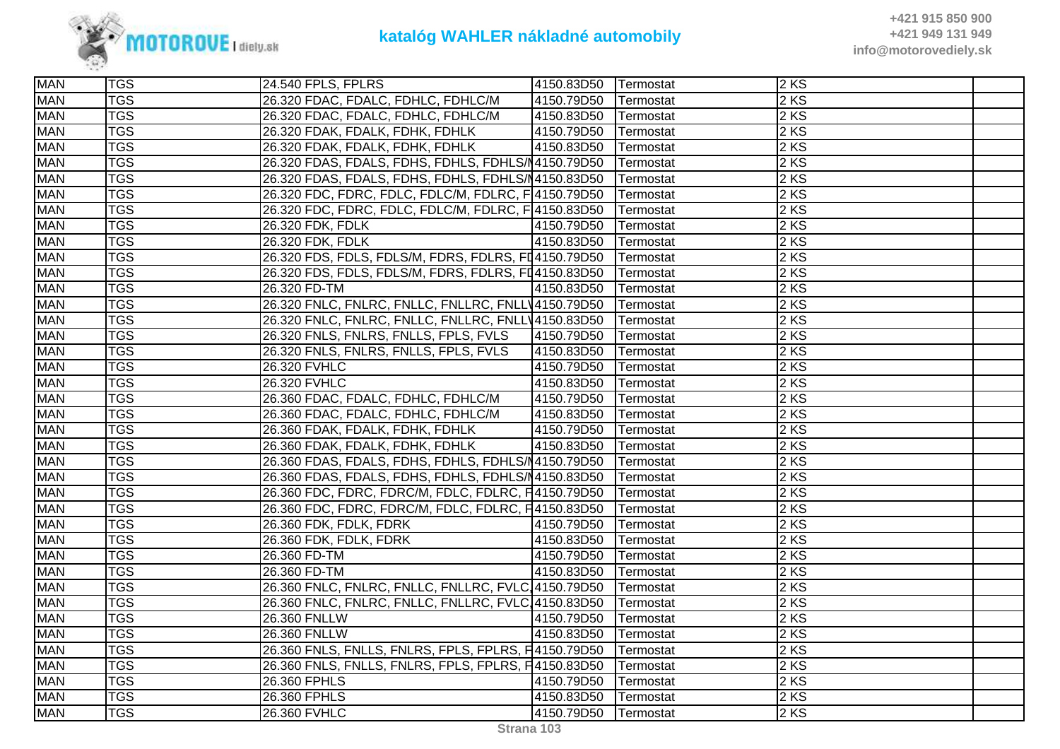

| <b>MAN</b> | <b>TGS</b> | 24.540 FPLS, FPLRS                                           | 4150.83D50           | <b>Termostat</b> | $2$ KS |  |
|------------|------------|--------------------------------------------------------------|----------------------|------------------|--------|--|
| <b>MAN</b> | <b>TGS</b> | 26.320 FDAC, FDALC, FDHLC, FDHLC/M                           | 4150.79D50           | Termostat        | 2KS    |  |
| <b>MAN</b> | <b>TGS</b> | 26.320 FDAC, FDALC, FDHLC, FDHLC/M                           | 4150.83D50 Termostat |                  | 2 KS   |  |
| <b>MAN</b> | <b>TGS</b> | 26.320 FDAK, FDALK, FDHK, FDHLK                              | 4150.79D50           | Termostat        | 2KS    |  |
| <b>MAN</b> | <b>TGS</b> | 26.320 FDAK, FDALK, FDHK, FDHLK                              | 4150.83D50           | Termostat        | 2KS    |  |
| <b>MAN</b> | <b>TGS</b> | 26.320 FDAS, FDALS, FDHS, FDHLS, FDHLS/14150.79D50           |                      | Termostat        | 2 KS   |  |
| <b>MAN</b> | <b>TGS</b> | 26.320 FDAS, FDALS, FDHS, FDHLS, FDHLS/N4150.83D50           |                      | Termostat        | 2 KS   |  |
| <b>MAN</b> | <b>TGS</b> | 26.320 FDC, FDRC, FDLC, FDLC/M, FDLRC, F 4150.79D50          |                      | Termostat        | 2 KS   |  |
| <b>MAN</b> | <b>TGS</b> | 26.320 FDC, FDRC, FDLC, FDLC/M, FDLRC, F 4150.83D50          |                      | Termostat        | 2 KS   |  |
| <b>MAN</b> | <b>TGS</b> | 26.320 FDK, FDLK                                             | 4150.79D50           | Termostat        | 2KS    |  |
| <b>MAN</b> | <b>TGS</b> | 26.320 FDK, FDLK                                             | 4150.83D50           | Termostat        | 2 KS   |  |
| <b>MAN</b> | <b>TGS</b> | 26.320 FDS, FDLS, FDLS/M, FDRS, FDLRS, FI4150.79D50          |                      | Termostat        | 2 KS   |  |
| <b>MAN</b> | <b>TGS</b> | 26.320 FDS, FDLS, FDLS/M, FDRS, FDLRS, FD4150.83D50          |                      | Termostat        | $2$ KS |  |
| <b>MAN</b> | <b>TGS</b> | 26.320 FD-TM                                                 | 4150.83D50 Termostat |                  | $2$ KS |  |
| <b>MAN</b> | <b>TGS</b> | 26.320 FNLC, FNLRC, FNLLC, FNLLRC, FNLLV4150.79D50           |                      | Termostat        | 2 KS   |  |
| <b>MAN</b> | <b>TGS</b> | 26.320 FNLC, FNLRC, FNLLC, FNLLRC, FNLLV4150.83D50           |                      | Termostat        | 2KS    |  |
| <b>MAN</b> | <b>TGS</b> | 26.320 FNLS, FNLRS, FNLLS, FPLS, FVLS                        | 4150.79D50           | Termostat        | 2 KS   |  |
| <b>MAN</b> | <b>TGS</b> | 26.320 FNLS, FNLRS, FNLLS, FPLS, FVLS                        | 4150.83D50           | Termostat        | 2 KS   |  |
| <b>MAN</b> | <b>TGS</b> | 26.320 FVHLC                                                 | 4150.79D50           | Termostat        | $2$ KS |  |
| <b>MAN</b> | <b>TGS</b> | 26.320 FVHLC                                                 | 4150.83D50           | Termostat        | 2 KS   |  |
| <b>MAN</b> | <b>TGS</b> | 26.360 FDAC, FDALC, FDHLC, FDHLC/M                           | 4150.79D50           | Termostat        | 2 KS   |  |
| <b>MAN</b> | <b>TGS</b> | 26.360 FDAC, FDALC, FDHLC, FDHLC/M                           | 4150.83D50           | Termostat        | 2 KS   |  |
| <b>MAN</b> | <b>TGS</b> | 26.360 FDAK, FDALK, FDHK, FDHLK                              | 4150.79D50           | Termostat        | 2 KS   |  |
| <b>MAN</b> | <b>TGS</b> | 26.360 FDAK, FDALK, FDHK, FDHLK                              | 4150.83D50           | Termostat        | 2 KS   |  |
| <b>MAN</b> | <b>TGS</b> | 26.360 FDAS, FDALS, FDHS, FDHLS, FDHLS/N4150.79D50 Termostat |                      |                  | $2$ KS |  |
| <b>MAN</b> | <b>TGS</b> | 26.360 FDAS, FDALS, FDHS, FDHLS, FDHLS/N4150.83D50           |                      | Termostat        | 2KS    |  |
| <b>MAN</b> | <b>TGS</b> | 26.360 FDC, FDRC, FDRC/M, FDLC, FDLRC, F4150.79D50           |                      | Termostat        | 2KS    |  |
| <b>MAN</b> | <b>TGS</b> | 26.360 FDC, FDRC, FDRC/M, FDLC, FDLRC, F4150.83D50           |                      | Termostat        | 2 KS   |  |
| <b>MAN</b> | <b>TGS</b> | 26.360 FDK, FDLK, FDRK                                       | 4150.79D50           | Termostat        | 2 KS   |  |
| <b>MAN</b> | <b>TGS</b> | 26.360 FDK, FDLK, FDRK                                       | 4150.83D50           | Termostat        | 2 KS   |  |
| <b>MAN</b> | <b>TGS</b> | 26.360 FD-TM                                                 | 4150.79D50           | Termostat        | 2 KS   |  |
| <b>MAN</b> | <b>TGS</b> | 26.360 FD-TM                                                 | 4150.83D50           | Termostat        | 2 KS   |  |
| <b>MAN</b> | <b>TGS</b> | 26.360 FNLC, FNLRC, FNLLC, FNLLRC, FVLC 4150.79D50           |                      | Termostat        | 2KS    |  |
| <b>MAN</b> | <b>TGS</b> | 26.360 FNLC, FNLRC, FNLLC, FNLLRC, FVLC, 4150.83D50          |                      | Termostat        | 2 KS   |  |
| <b>MAN</b> | <b>TGS</b> | 26.360 FNLLW                                                 | 4150.79D50           | Termostat        | 2 KS   |  |
| <b>MAN</b> | <b>TGS</b> | 26.360 FNLLW                                                 | 4150.83D50           | Termostat        | 2 KS   |  |
| <b>MAN</b> | <b>TGS</b> | 26.360 FNLS, FNLLS, FNLRS, FPLS, FPLRS, F4150.79D50          |                      | Termostat        | 2 KS   |  |
| <b>MAN</b> | <b>TGS</b> | 26.360 FNLS, FNLLS, FNLRS, FPLS, FPLRS, F4150.83D50          |                      | Termostat        | 2KS    |  |
| <b>MAN</b> | <b>TGS</b> | 26.360 FPHLS                                                 | 4150.79D50           | Termostat        | 2 KS   |  |
| <b>MAN</b> | <b>TGS</b> | 26.360 FPHLS                                                 | 4150.83D50           | Termostat        | 2KS    |  |
| <b>MAN</b> | <b>TGS</b> | 26.360 FVHLC                                                 | 4150.79D50           | <b>Termostat</b> | 2 KS   |  |
|            |            |                                                              |                      |                  |        |  |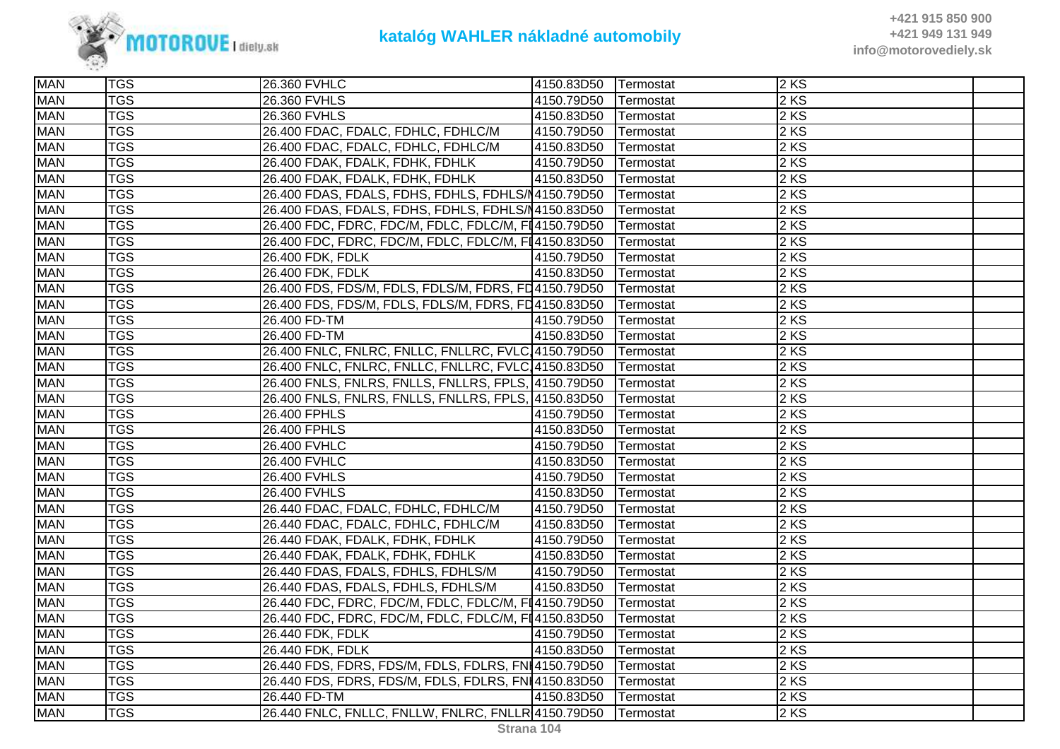

| <b>MAN</b> | <b>TGS</b> | 26.360 FVHLC                                                    | 4150.83D50 Termostat |           | 2KS  |  |
|------------|------------|-----------------------------------------------------------------|----------------------|-----------|------|--|
| <b>MAN</b> | <b>TGS</b> | 26.360 FVHLS                                                    | 4150.79D50           | Termostat | 2 KS |  |
| <b>MAN</b> | <b>TGS</b> | 26.360 FVHLS                                                    | 4150.83D50           | Termostat | 2 KS |  |
| <b>MAN</b> | <b>TGS</b> | 26.400 FDAC, FDALC, FDHLC, FDHLC/M                              | 4150.79D50           | Termostat | 2 KS |  |
| <b>MAN</b> | <b>TGS</b> | 26.400 FDAC, FDALC, FDHLC, FDHLC/M                              | 4150.83D50           | Termostat | 2KS  |  |
| <b>MAN</b> | <b>TGS</b> | 26.400 FDAK, FDALK, FDHK, FDHLK                                 | 4150.79D50           | Termostat | 2 KS |  |
| <b>MAN</b> | <b>TGS</b> | 26.400 FDAK, FDALK, FDHK, FDHLK                                 | 4150.83D50           | Termostat | 2 KS |  |
| <b>MAN</b> | <b>TGS</b> | 26.400 FDAS, FDALS, FDHS, FDHLS, FDHLS/N4150.79D50              |                      | Termostat | 2 KS |  |
| <b>MAN</b> | <b>TGS</b> | 26.400 FDAS, FDALS, FDHS, FDHLS, FDHLS/N4150.83D50              |                      | Termostat | 2 KS |  |
| <b>MAN</b> | <b>TGS</b> | 26.400 FDC, FDRC, FDC/M, FDLC, FDLC/M, FI4150.79D50             |                      | Termostat | 2 KS |  |
| <b>MAN</b> | <b>TGS</b> | 26.400 FDC, FDRC, FDC/M, FDLC, FDLC/M, FI4150.83D50             |                      | Termostat | 2 KS |  |
| <b>MAN</b> | <b>TGS</b> | 26.400 FDK, FDLK                                                | 4150.79D50           | Termostat | 2 KS |  |
| <b>MAN</b> | <b>TGS</b> | 26.400 FDK, FDLK                                                | 4150.83D50           | Termostat | 2 KS |  |
| <b>MAN</b> | <b>TGS</b> | 26.400 FDS, FDS/M, FDLS, FDLS/M, FDRS, FD4150.79D50   Termostat |                      |           | 2 KS |  |
| <b>MAN</b> | <b>TGS</b> | 26.400 FDS, FDS/M, FDLS, FDLS/M, FDRS, FD4150.83D50             |                      | Termostat | 2 KS |  |
| <b>MAN</b> | <b>TGS</b> | 26.400 FD-TM                                                    | 4150.79D50           | Termostat | 2 KS |  |
| <b>MAN</b> | <b>TGS</b> | 26.400 FD-TM                                                    | 4150.83D50           | Termostat | 2 KS |  |
| <b>MAN</b> | <b>TGS</b> | 26.400 FNLC, FNLRC, FNLLC, FNLLRC, FVLC, 4150.79D50             |                      | Termostat | 2 KS |  |
| <b>MAN</b> | <b>TGS</b> | 26.400 FNLC, FNLRC, FNLLC, FNLLRC, FVLC, 4150.83D50             |                      | Termostat | 2 KS |  |
| <b>MAN</b> | <b>TGS</b> | 26.400 FNLS, FNLRS, FNLLS, FNLLRS, FPLS, 4150.79D50             |                      | Termostat | 2 KS |  |
| <b>MAN</b> | <b>TGS</b> | 26.400 FNLS, FNLRS, FNLLS, FNLLRS, FPLS, 4150.83D50             |                      | Termostat | 2 KS |  |
| <b>MAN</b> | <b>TGS</b> | 26.400 FPHLS                                                    | 4150.79D50           | Termostat | 2 KS |  |
| <b>MAN</b> | <b>TGS</b> | 26.400 FPHLS                                                    | 4150.83D50           | Termostat | 2 KS |  |
| <b>MAN</b> | <b>TGS</b> | 26.400 FVHLC                                                    | 4150.79D50           | Termostat | 2 KS |  |
| <b>MAN</b> | <b>TGS</b> | 26.400 FVHLC                                                    | 4150.83D50           | Termostat | 2 KS |  |
| <b>MAN</b> | <b>TGS</b> | 26.400 FVHLS                                                    | 4150.79D50           | Termostat | 2KS  |  |
| <b>MAN</b> | <b>TGS</b> | 26.400 FVHLS                                                    | 4150.83D50           | Termostat | 2 KS |  |
| <b>MAN</b> | <b>TGS</b> | 26.440 FDAC, FDALC, FDHLC, FDHLC/M                              | 4150.79D50           | Termostat | 2 KS |  |
| <b>MAN</b> | <b>TGS</b> | 26.440 FDAC, FDALC, FDHLC, FDHLC/M                              | 4150.83D50           | Termostat | 2 KS |  |
| <b>MAN</b> | <b>TGS</b> | 26.440 FDAK, FDALK, FDHK, FDHLK                                 | 4150.79D50           | Termostat | 2 KS |  |
| <b>MAN</b> | <b>TGS</b> | 26.440 FDAK, FDALK, FDHK, FDHLK                                 | 4150.83D50           | Termostat | 2KS  |  |
| <b>MAN</b> | <b>TGS</b> | 26.440 FDAS, FDALS, FDHLS, FDHLS/M                              | 4150.79D50           | Termostat | 2 KS |  |
| <b>MAN</b> | <b>TGS</b> | 26.440 FDAS, FDALS, FDHLS, FDHLS/M                              | 4150.83D50           | Termostat | 2 KS |  |
| <b>MAN</b> | <b>TGS</b> | 26.440 FDC, FDRC, FDC/M, FDLC, FDLC/M, FI4150.79D50             |                      | Termostat | 2 KS |  |
| <b>MAN</b> | <b>TGS</b> | 26.440 FDC, FDRC, FDC/M, FDLC, FDLC/M, FI4150.83D50             |                      | Termostat | 2 KS |  |
| <b>MAN</b> | <b>TGS</b> | 26.440 FDK, FDLK                                                | 4150.79D50           | Termostat | 2 KS |  |
| <b>MAN</b> | <b>TGS</b> | 26.440 FDK, FDLK                                                | 4150.83D50           | Termostat | 2 KS |  |
| <b>MAN</b> | <b>TGS</b> | 26.440 FDS, FDRS, FDS/M, FDLS, FDLRS, FNI4150.79D50             |                      | Termostat | 2 KS |  |
| <b>MAN</b> | <b>TGS</b> | 26.440 FDS, FDRS, FDS/M, FDLS, FDLRS, FNI4150.83D50             |                      | Termostat | 2 KS |  |
| <b>MAN</b> | <b>TGS</b> | 26.440 FD-TM                                                    | 4150.83D50           | Termostat | 2KS  |  |
| <b>MAN</b> | <b>TGS</b> | 26.440 FNLC, FNLLC, FNLLW, FNLRC, FNLLR 4150.79D50 Termostat    |                      |           | 2 KS |  |
|            |            |                                                                 |                      |           |      |  |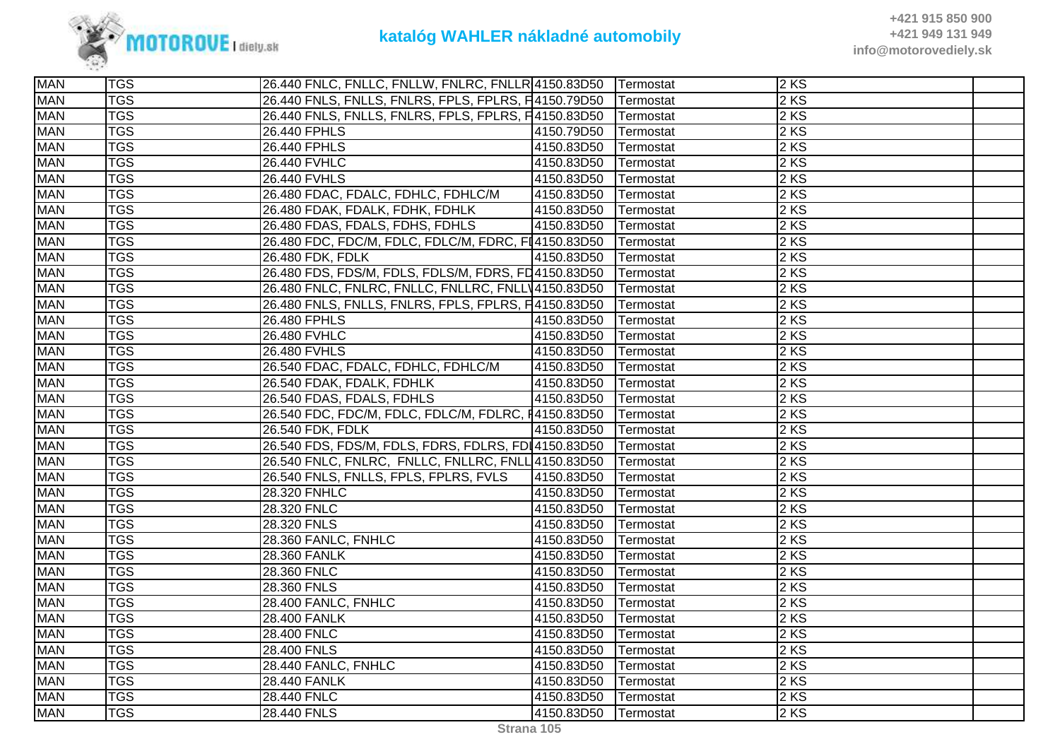

| <b>MAN</b> | <b>TGS</b> | 26.440 FNLC, FNLLC, FNLLW, FNLRC, FNLLR 4150.83D50   |            | <b>Termostat</b> | 2KS  |  |
|------------|------------|------------------------------------------------------|------------|------------------|------|--|
| <b>MAN</b> | <b>TGS</b> | 26.440 FNLS, FNLLS, FNLRS, FPLS, FPLRS, F4150.79D50  |            | Termostat        | 2 KS |  |
| <b>MAN</b> | <b>TGS</b> | 26.440 FNLS, FNLLS, FNLRS, FPLS, FPLRS, F4150.83D50  |            | Termostat        | 2 KS |  |
| <b>MAN</b> | <b>TGS</b> | 26.440 FPHLS                                         | 4150.79D50 | Termostat        | 2KS  |  |
| <b>MAN</b> | <b>TGS</b> | 26.440 FPHLS                                         | 4150.83D50 | Termostat        | 2KS  |  |
| <b>MAN</b> | <b>TGS</b> | 26.440 FVHLC                                         | 4150.83D50 | Termostat        | 2 KS |  |
| <b>MAN</b> | <b>TGS</b> | 26.440 FVHLS                                         | 4150.83D50 | Termostat        | 2 KS |  |
| <b>MAN</b> | <b>TGS</b> | 26.480 FDAC, FDALC, FDHLC, FDHLC/M                   | 4150.83D50 | Termostat        | 2 KS |  |
| <b>MAN</b> | <b>TGS</b> | 26.480 FDAK, FDALK, FDHK, FDHLK                      | 4150.83D50 | Termostat        | 2 KS |  |
| <b>MAN</b> | <b>TGS</b> | 26.480 FDAS, FDALS, FDHS, FDHLS                      | 4150.83D50 | Termostat        | 2KS  |  |
| <b>MAN</b> | <b>TGS</b> | 26.480 FDC, FDC/M, FDLC, FDLC/M, FDRC, FI4150.83D50  |            | Termostat        | 2 KS |  |
| <b>MAN</b> | <b>TGS</b> | 26.480 FDK, FDLK                                     | 4150.83D50 | Termostat        | 2 KS |  |
| <b>MAN</b> | <b>TGS</b> | 26.480 FDS, FDS/M, FDLS, FDLS/M, FDRS, FD4150.83D50  |            | Termostat        | 2 KS |  |
| <b>MAN</b> | <b>TGS</b> | 26.480 FNLC, FNLRC, FNLLC, FNLLRC, FNLLV4150.83D50   |            | Termostat        | 2 KS |  |
| <b>MAN</b> | <b>TGS</b> | 26.480 FNLS, FNLLS, FNLRS, FPLS, FPLRS, F4150.83D50  |            | Termostat        | 2 KS |  |
| <b>MAN</b> | <b>TGS</b> | 26.480 FPHLS                                         | 4150.83D50 | Termostat        | 2 KS |  |
| <b>MAN</b> | <b>TGS</b> | 26.480 FVHLC                                         | 4150.83D50 | Termostat        | 2 KS |  |
| <b>MAN</b> | <b>TGS</b> | 26.480 FVHLS                                         | 4150.83D50 | Termostat        | 2 KS |  |
| <b>MAN</b> | <b>TGS</b> | 26.540 FDAC, FDALC, FDHLC, FDHLC/M                   | 4150.83D50 | Termostat        | 2KS  |  |
| <b>MAN</b> | <b>TGS</b> | 26.540 FDAK, FDALK, FDHLK                            | 4150.83D50 | Termostat        | 2 KS |  |
| <b>MAN</b> | <b>TGS</b> | 26.540 FDAS, FDALS, FDHLS                            | 4150.83D50 | Termostat        | 2 KS |  |
| <b>MAN</b> | <b>TGS</b> | 26.540 FDC, FDC/M, FDLC, FDLC/M, FDLRC, 14150.83D50  |            | Termostat        | 2 KS |  |
| <b>MAN</b> | <b>TGS</b> | 26.540 FDK, FDLK                                     | 4150.83D50 | Termostat        | 2 KS |  |
| <b>MAN</b> | <b>TGS</b> | 26.540 FDS, FDS/M, FDLS, FDRS, FDLRS, FDI 4150.83D50 |            | Termostat        | 2 KS |  |
| <b>MAN</b> | <b>TGS</b> | 26.540 FNLC, FNLRC, FNLLC, FNLLRC, FNLL 4150.83D50   |            | Termostat        | 2KS  |  |
| <b>MAN</b> | <b>TGS</b> | 26.540 FNLS, FNLLS, FPLS, FPLRS, FVLS                | 4150.83D50 | Termostat        | 2KS  |  |
| <b>MAN</b> | <b>TGS</b> | 28.320 FNHLC                                         | 4150.83D50 | Termostat        | 2 KS |  |
| <b>MAN</b> | <b>TGS</b> | 28.320 FNLC                                          | 4150.83D50 | Termostat        | 2 KS |  |
| <b>MAN</b> | <b>TGS</b> | 28.320 FNLS                                          | 4150.83D50 | Termostat        | 2 KS |  |
| <b>MAN</b> | <b>TGS</b> | 28.360 FANLC, FNHLC                                  | 4150.83D50 | Termostat        | 2 KS |  |
| <b>MAN</b> | <b>TGS</b> | 28.360 FANLK                                         | 4150.83D50 | Termostat        | 2KS  |  |
| <b>MAN</b> | <b>TGS</b> | 28.360 FNLC                                          | 4150.83D50 | Termostat        | 2 KS |  |
| <b>MAN</b> | <b>TGS</b> | 28.360 FNLS                                          | 4150.83D50 | Termostat        | 2 KS |  |
| <b>MAN</b> | <b>TGS</b> | 28.400 FANLC, FNHLC                                  | 4150.83D50 | Termostat        | 2 KS |  |
| <b>MAN</b> | <b>TGS</b> | 28.400 FANLK                                         | 4150.83D50 | Termostat        | 2 KS |  |
| <b>MAN</b> | <b>TGS</b> | 28.400 FNLC                                          | 4150.83D50 | Termostat        | 2KS  |  |
| <b>MAN</b> | <b>TGS</b> | 28.400 FNLS                                          | 4150.83D50 | Termostat        | 2 KS |  |
| <b>MAN</b> | <b>TGS</b> | 28.440 FANLC, FNHLC                                  | 4150.83D50 | Termostat        | 2 KS |  |
| <b>MAN</b> | <b>TGS</b> | <b>28.440 FANLK</b>                                  | 4150.83D50 | Termostat        | 2 KS |  |
| <b>MAN</b> | <b>TGS</b> | 28.440 FNLC                                          | 4150.83D50 | Termostat        | 2KS  |  |
| <b>MAN</b> | <b>TGS</b> | 28.440 FNLS                                          | 4150.83D50 | Termostat        | 2KS  |  |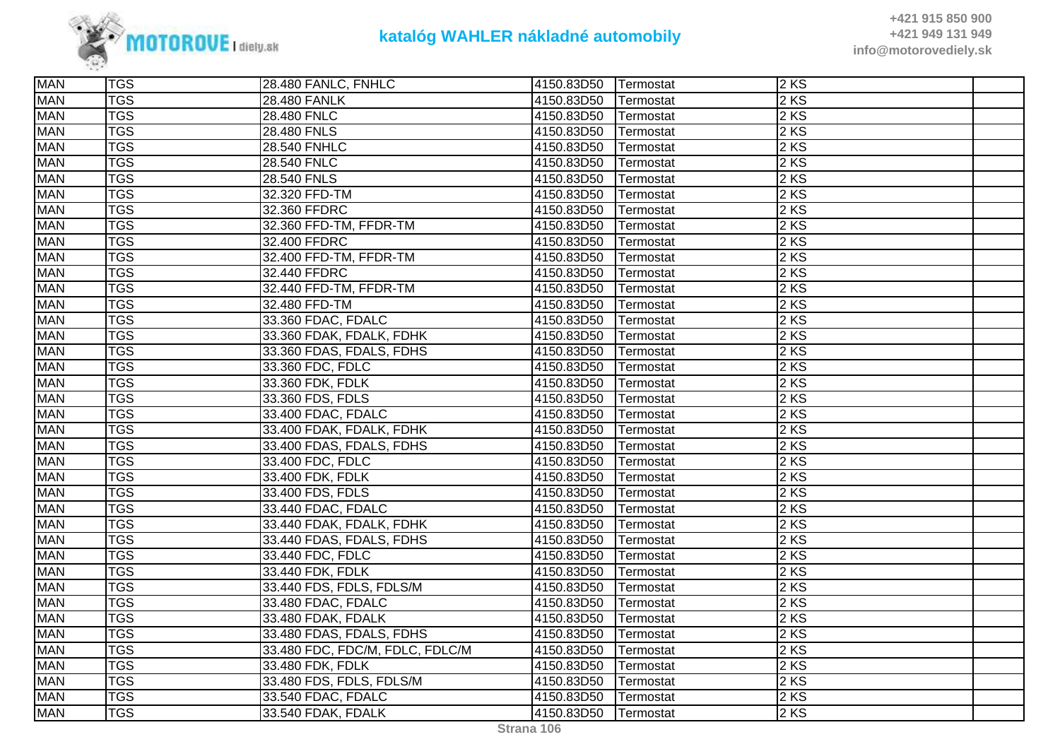

| <b>TGS</b>              |                                                                                                                                                                                                                                        |                                                                                                                                                                                                            |                                                                                                                                          |                                                                                                                                |                                                                                                                 |
|-------------------------|----------------------------------------------------------------------------------------------------------------------------------------------------------------------------------------------------------------------------------------|------------------------------------------------------------------------------------------------------------------------------------------------------------------------------------------------------------|------------------------------------------------------------------------------------------------------------------------------------------|--------------------------------------------------------------------------------------------------------------------------------|-----------------------------------------------------------------------------------------------------------------|
| $\overline{\text{TS}}$  | 32.360 FFDRC                                                                                                                                                                                                                           | 4150.83D50                                                                                                                                                                                                 |                                                                                                                                          |                                                                                                                                |                                                                                                                 |
|                         |                                                                                                                                                                                                                                        |                                                                                                                                                                                                            |                                                                                                                                          |                                                                                                                                |                                                                                                                 |
| <b>TGS</b>              | 32.400 FFDRC                                                                                                                                                                                                                           | 4150.83D50                                                                                                                                                                                                 | Termostat                                                                                                                                |                                                                                                                                |                                                                                                                 |
| <b>TGS</b>              |                                                                                                                                                                                                                                        | 4150.83D50                                                                                                                                                                                                 | Termostat                                                                                                                                | 2KS                                                                                                                            |                                                                                                                 |
| $\overline{\text{TS}}$  | 32.440 FFDRC                                                                                                                                                                                                                           | 4150.83D50                                                                                                                                                                                                 | Termostat                                                                                                                                | 2 KS                                                                                                                           |                                                                                                                 |
| <b>TGS</b>              | 32.440 FFD-TM, FFDR-TM                                                                                                                                                                                                                 | 4150.83D50                                                                                                                                                                                                 | Termostat                                                                                                                                | 2 KS                                                                                                                           |                                                                                                                 |
| <b>TGS</b>              | 32.480 FFD-TM                                                                                                                                                                                                                          | 4150.83D50                                                                                                                                                                                                 | Termostat                                                                                                                                | 2 KS                                                                                                                           |                                                                                                                 |
| $\overline{\text{TGS}}$ | 33.360 FDAC, FDALC                                                                                                                                                                                                                     | 4150.83D50                                                                                                                                                                                                 | Termostat                                                                                                                                | 2KS                                                                                                                            |                                                                                                                 |
| <b>TGS</b>              | 33.360 FDAK, FDALK, FDHK                                                                                                                                                                                                               | 4150.83D50                                                                                                                                                                                                 | Termostat                                                                                                                                | 2 KS                                                                                                                           |                                                                                                                 |
| <b>TGS</b>              | 33.360 FDAS, FDALS, FDHS                                                                                                                                                                                                               | 4150.83D50                                                                                                                                                                                                 | Termostat                                                                                                                                | 2 KS                                                                                                                           |                                                                                                                 |
| <b>TGS</b>              | 33.360 FDC, FDLC                                                                                                                                                                                                                       | 4150.83D50                                                                                                                                                                                                 | Termostat                                                                                                                                | 2 KS                                                                                                                           |                                                                                                                 |
| <b>TGS</b>              | 33.360 FDK, FDLK                                                                                                                                                                                                                       | 4150.83D50                                                                                                                                                                                                 | Termostat                                                                                                                                | 2 KS                                                                                                                           |                                                                                                                 |
| <b>TGS</b>              | 33.360 FDS, FDLS                                                                                                                                                                                                                       | 4150.83D50                                                                                                                                                                                                 | Termostat                                                                                                                                | 2 KS                                                                                                                           |                                                                                                                 |
| <b>TGS</b>              | 33.400 FDAC, FDALC                                                                                                                                                                                                                     | 4150.83D50                                                                                                                                                                                                 | Termostat                                                                                                                                | 2 KS                                                                                                                           |                                                                                                                 |
| <b>TGS</b>              | 33.400 FDAK, FDALK, FDHK                                                                                                                                                                                                               | 4150.83D50                                                                                                                                                                                                 | Termostat                                                                                                                                | 2 KS                                                                                                                           |                                                                                                                 |
| <b>TGS</b>              | 33.400 FDAS, FDALS, FDHS                                                                                                                                                                                                               | 4150.83D50                                                                                                                                                                                                 | Termostat                                                                                                                                | 2 KS                                                                                                                           |                                                                                                                 |
| <b>TGS</b>              | 33.400 FDC, FDLC                                                                                                                                                                                                                       | 4150.83D50                                                                                                                                                                                                 | Termostat                                                                                                                                | 2 KS                                                                                                                           |                                                                                                                 |
| <b>TGS</b>              | 33.400 FDK, FDLK                                                                                                                                                                                                                       | 4150.83D50                                                                                                                                                                                                 | Termostat                                                                                                                                | 2KS                                                                                                                            |                                                                                                                 |
| <b>TGS</b>              | 33.400 FDS, FDLS                                                                                                                                                                                                                       | 4150.83D50                                                                                                                                                                                                 | Termostat                                                                                                                                | 2KS                                                                                                                            |                                                                                                                 |
| <b>TGS</b>              | 33.440 FDAC, FDALC                                                                                                                                                                                                                     | 4150.83D50                                                                                                                                                                                                 | Termostat                                                                                                                                | 2 KS                                                                                                                           |                                                                                                                 |
|                         | 33.440 FDAK, FDALK, FDHK                                                                                                                                                                                                               | 4150.83D50                                                                                                                                                                                                 | Termostat                                                                                                                                |                                                                                                                                |                                                                                                                 |
|                         | 33.440 FDAS, FDALS, FDHS                                                                                                                                                                                                               | 4150.83D50                                                                                                                                                                                                 | Termostat                                                                                                                                | 2 KS                                                                                                                           |                                                                                                                 |
| <b>TGS</b>              | 33.440 FDC, FDLC                                                                                                                                                                                                                       | 4150.83D50                                                                                                                                                                                                 | Termostat                                                                                                                                | 2 KS                                                                                                                           |                                                                                                                 |
| <b>TGS</b>              | 33.440 FDK, FDLK                                                                                                                                                                                                                       | 4150.83D50                                                                                                                                                                                                 | Termostat                                                                                                                                | 2 KS                                                                                                                           |                                                                                                                 |
|                         | 33.440 FDS, FDLS, FDLS/M                                                                                                                                                                                                               | 4150.83D50                                                                                                                                                                                                 | Termostat                                                                                                                                | 2KS                                                                                                                            |                                                                                                                 |
|                         | 33.480 FDAC, FDALC                                                                                                                                                                                                                     | 4150.83D50                                                                                                                                                                                                 | Termostat                                                                                                                                |                                                                                                                                |                                                                                                                 |
|                         |                                                                                                                                                                                                                                        |                                                                                                                                                                                                            | Termostat                                                                                                                                |                                                                                                                                |                                                                                                                 |
|                         | 33.480 FDAS, FDALS, FDHS                                                                                                                                                                                                               | 4150.83D50                                                                                                                                                                                                 | Termostat                                                                                                                                |                                                                                                                                |                                                                                                                 |
| <b>TGS</b>              | 33.480 FDC, FDC/M, FDLC, FDLC/M                                                                                                                                                                                                        | 4150.83D50                                                                                                                                                                                                 | Termostat                                                                                                                                | 2 KS                                                                                                                           |                                                                                                                 |
| <b>TGS</b>              | 33.480 FDK, FDLK                                                                                                                                                                                                                       | 4150.83D50                                                                                                                                                                                                 | Termostat                                                                                                                                | 2KS                                                                                                                            |                                                                                                                 |
|                         | 33.480 FDS, FDLS, FDLS/M                                                                                                                                                                                                               | 4150.83D50                                                                                                                                                                                                 | Termostat                                                                                                                                | 2 KS                                                                                                                           |                                                                                                                 |
| <b>TGS</b>              | 33.540 FDAC, FDALC                                                                                                                                                                                                                     | 4150.83D50                                                                                                                                                                                                 | Termostat                                                                                                                                | 2KS                                                                                                                            |                                                                                                                 |
| $\overline{\text{TS}}$  | 33.540 FDAK, FDALK                                                                                                                                                                                                                     | 4150.83D50                                                                                                                                                                                                 | Termostat                                                                                                                                | 2 KS                                                                                                                           |                                                                                                                 |
|                         | <b>TGS</b><br>$\overline{\text{TS}}$<br><b>TGS</b><br><b>TGS</b><br><b>TGS</b><br><b>TGS</b><br><b>TGS</b><br><b>TGS</b><br><b>TGS</b><br><b>TGS</b><br><b>TGS</b><br>$\overline{\text{TS}}$<br><b>TGS</b><br><b>TGS</b><br><b>TGS</b> | 28.480 FANLC, FNHLC<br>28.480 FANLK<br>28.480 FNLC<br>28.480 FNLS<br>28.540 FNHLC<br>28.540 FNLC<br>28.540 FNLS<br>32.320 FFD-TM<br>32.360 FFD-TM, FFDR-TM<br>32.400 FFD-TM, FFDR-TM<br>33.480 FDAK, FDALK | 4150.83D50<br>4150.83D50<br>4150.83D50<br>4150.83D50<br>4150.83D50<br>4150.83D50<br>4150.83D50<br>4150.83D50<br>4150.83D50<br>4150.83D50 | Termostat<br>Termostat<br>Termostat<br>Termostat<br>Termostat<br>Termostat<br>Termostat<br>Termostat<br>Termostat<br>Termostat | 2KS<br>2 KS<br>2 KS<br>2KS<br>2KS<br>2 KS<br>2 KS<br>2 KS<br>2KS<br>2KS<br>2 KS<br>2 KS<br>2 KS<br>2 KS<br>2 KS |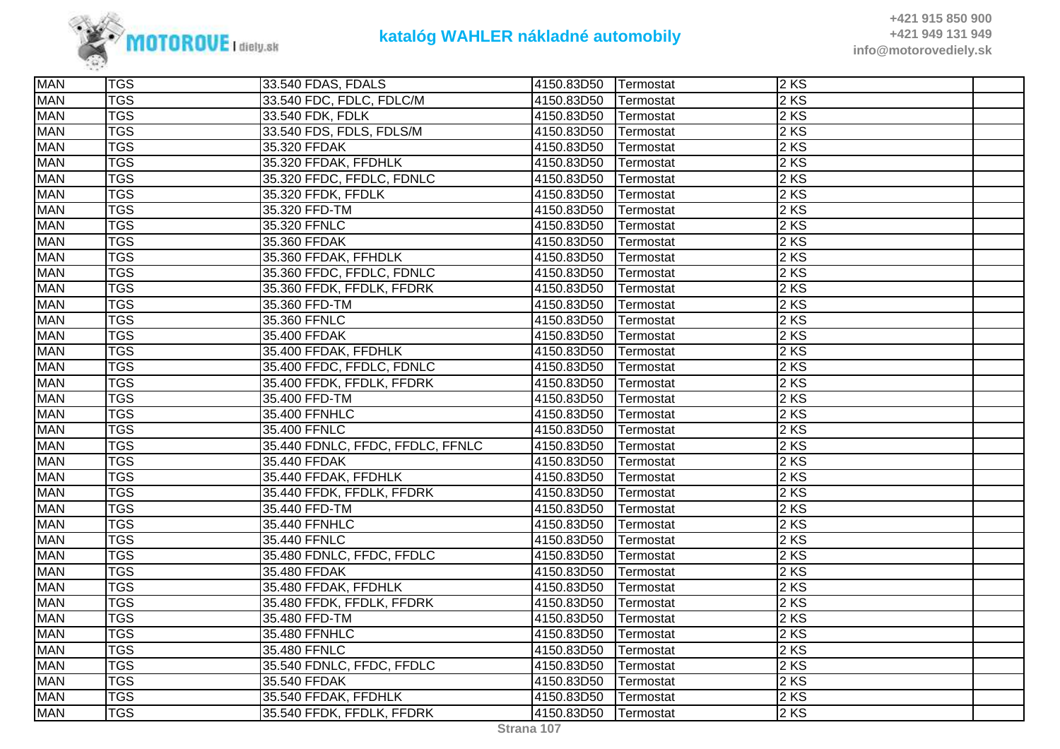

| <b>MAN</b> | <b>TGS</b>              | 33.540 FDAS, FDALS               | 4150.83D50 | <b>Termostat</b> | $2$ KS |  |
|------------|-------------------------|----------------------------------|------------|------------------|--------|--|
| <b>MAN</b> | $\overline{\text{TGS}}$ | 33.540 FDC, FDLC, FDLC/M         | 4150.83D50 | Termostat        | $2$ KS |  |
| <b>MAN</b> | <b>TGS</b>              | 33.540 FDK, FDLK                 | 4150.83D50 | Termostat        | 2 KS   |  |
| <b>MAN</b> | <b>TGS</b>              | 33.540 FDS, FDLS, FDLS/M         | 4150.83D50 | Termostat        | 2KS    |  |
| <b>MAN</b> | <b>TGS</b>              | 35.320 FFDAK                     | 4150.83D50 | Termostat        | 2KS    |  |
| <b>MAN</b> | <b>TGS</b>              | 35.320 FFDAK, FFDHLK             | 4150.83D50 | Termostat        | $2$ KS |  |
| <b>MAN</b> | <b>TGS</b>              | 35.320 FFDC, FFDLC, FDNLC        | 4150.83D50 | Termostat        | $2$ KS |  |
| <b>MAN</b> | <b>TGS</b>              | 35.320 FFDK, FFDLK               | 4150.83D50 | Termostat        | $2$ KS |  |
| <b>MAN</b> | <b>TGS</b>              | 35.320 FFD-TM                    | 4150.83D50 | Termostat        | $2$ KS |  |
| <b>MAN</b> | <b>TGS</b>              | 35.320 FFNLC                     | 4150.83D50 | Termostat        | $2$ KS |  |
| <b>MAN</b> | <b>TGS</b>              | 35.360 FFDAK                     | 4150.83D50 | Termostat        | 2 KS   |  |
| <b>MAN</b> | <b>TGS</b>              | 35.360 FFDAK, FFHDLK             | 4150.83D50 | Termostat        | $2$ KS |  |
| <b>MAN</b> | <b>TGS</b>              | 35.360 FFDC, FFDLC, FDNLC        | 4150.83D50 | Termostat        | 2 KS   |  |
| <b>MAN</b> | <b>TGS</b>              | 35.360 FFDK, FFDLK, FFDRK        | 4150.83D50 | Termostat        | $2$ KS |  |
| <b>MAN</b> | <b>TGS</b>              | 35.360 FFD-TM                    | 4150.83D50 | Termostat        | $2$ KS |  |
| <b>MAN</b> | $\overline{\text{TS}}$  | 35.360 FFNLC                     | 4150.83D50 | Termostat        | 2 KS   |  |
| <b>MAN</b> | <b>TGS</b>              | 35.400 FFDAK                     | 4150.83D50 | Termostat        | 2 KS   |  |
| <b>MAN</b> | <b>TGS</b>              | 35.400 FFDAK, FFDHLK             | 4150.83D50 | Termostat        | $2$ KS |  |
| <b>MAN</b> | <b>TGS</b>              | 35.400 FFDC, FFDLC, FDNLC        | 4150.83D50 | Termostat        | 2 KS   |  |
| <b>MAN</b> | <b>TGS</b>              | 35.400 FFDK, FFDLK, FFDRK        | 4150.83D50 | Termostat        | $2$ KS |  |
| <b>MAN</b> | <b>TGS</b>              | 35.400 FFD-TM                    | 4150.83D50 | Termostat        | 2 KS   |  |
| <b>MAN</b> | <b>TGS</b>              | 35.400 FFNHLC                    | 4150.83D50 | Termostat        | $2$ KS |  |
| <b>MAN</b> | <b>TGS</b>              | 35.400 FFNLC                     | 4150.83D50 | Termostat        | 2 KS   |  |
| <b>MAN</b> | <b>TGS</b>              | 35.440 FDNLC, FFDC, FFDLC, FFNLC | 4150.83D50 | Termostat        | $2$ KS |  |
| <b>MAN</b> | <b>TGS</b>              | 35.440 FFDAK                     | 4150.83D50 | Termostat        | $2$ KS |  |
| <b>MAN</b> | <b>TGS</b>              | 35.440 FFDAK, FFDHLK             | 4150.83D50 | Termostat        | $2$ KS |  |
| <b>MAN</b> | <b>TGS</b>              | 35.440 FFDK, FFDLK, FFDRK        | 4150.83D50 | Termostat        | 2KS    |  |
| <b>MAN</b> | <b>TGS</b>              | 35.440 FFD-TM                    | 4150.83D50 | Termostat        | $2$ KS |  |
| <b>MAN</b> | <b>TGS</b>              | 35.440 FFNHLC                    | 4150.83D50 | Termostat        | $2$ KS |  |
| <b>MAN</b> | <b>TGS</b>              | 35.440 FFNLC                     | 4150.83D50 | Termostat        | $2$ KS |  |
| <b>MAN</b> | <b>TGS</b>              | 35.480 FDNLC, FFDC, FFDLC        | 4150.83D50 | Termostat        | $2$ KS |  |
| <b>MAN</b> | <b>TGS</b>              | 35.480 FFDAK                     | 4150.83D50 | Termostat        | $2$ KS |  |
| <b>MAN</b> | <b>TGS</b>              | 35.480 FFDAK, FFDHLK             | 4150.83D50 | Termostat        | 2 KS   |  |
| <b>MAN</b> | <b>TGS</b>              | 35.480 FFDK, FFDLK, FFDRK        | 4150.83D50 | Termostat        | 2 KS   |  |
| <b>MAN</b> | <b>TGS</b>              | 35.480 FFD-TM                    | 4150.83D50 | Termostat        | 2 KS   |  |
| <b>MAN</b> | <b>TGS</b>              | 35.480 FFNHLC                    | 4150.83D50 | Termostat        | $2$ KS |  |
| <b>MAN</b> | <b>TGS</b>              | 35.480 FFNLC                     | 4150.83D50 | Termostat        | $2$ KS |  |
| <b>MAN</b> | <b>TGS</b>              | 35.540 FDNLC, FFDC, FFDLC        | 4150.83D50 | Termostat        | $2$ KS |  |
| <b>MAN</b> | <b>TGS</b>              | 35.540 FFDAK                     | 4150.83D50 | Termostat        | $2$ KS |  |
| <b>MAN</b> | <b>TGS</b>              | 35.540 FFDAK, FFDHLK             | 4150.83D50 | Termostat        | $2$ KS |  |
| <b>MAN</b> | <b>TGS</b>              | 35.540 FFDK, FFDLK, FFDRK        | 4150.83D50 | Termostat        | $2$ KS |  |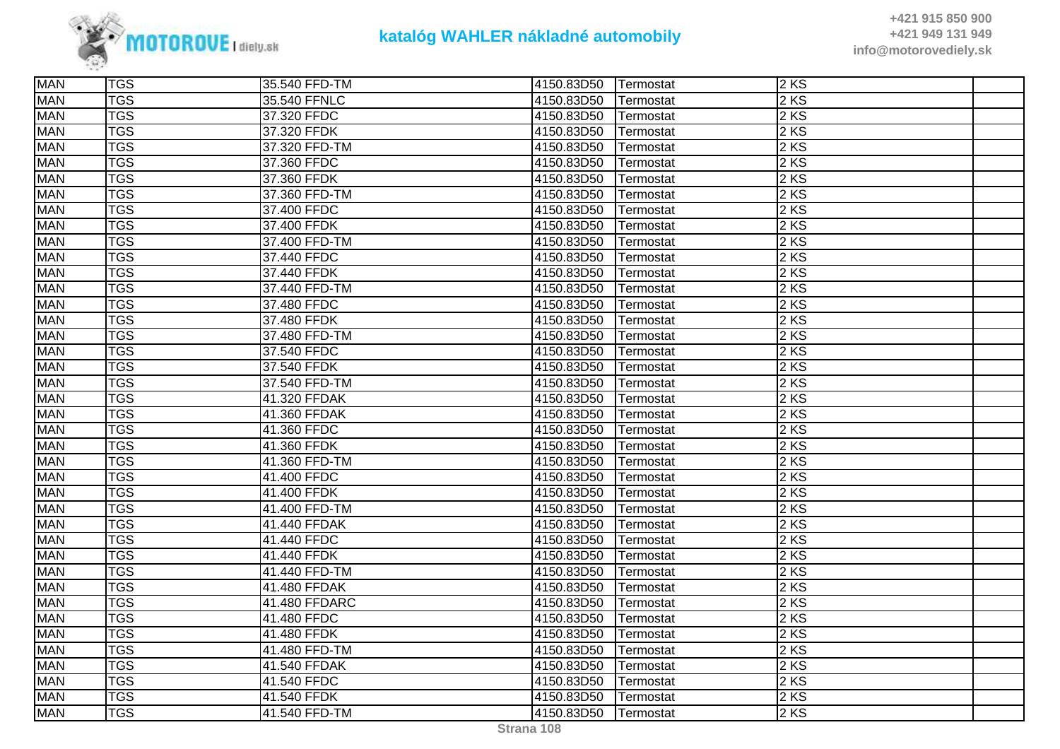

| <b>MAN</b> | <b>TGS</b>              | 35.540 FFD-TM | 4150.83D50 | Termostat | $\overline{2}$ KS |  |
|------------|-------------------------|---------------|------------|-----------|-------------------|--|
| <b>MAN</b> | $\overline{\text{TGS}}$ | 35.540 FFNLC  | 4150.83D50 | Termostat | $2$ KS            |  |
| <b>MAN</b> | <b>TGS</b>              | 37.320 FFDC   | 4150.83D50 | Termostat | 2KS               |  |
| <b>MAN</b> | <b>TGS</b>              | 37.320 FFDK   | 4150.83D50 | Termostat | 2 KS              |  |
| <b>MAN</b> | <b>TGS</b>              | 37.320 FFD-TM | 4150.83D50 | Termostat | $2$ KS            |  |
| <b>MAN</b> | $\overline{\text{TGS}}$ | 37.360 FFDC   | 4150.83D50 | Termostat | 2 KS              |  |
| <b>MAN</b> | <b>TGS</b>              | 37.360 FFDK   | 4150.83D50 | Termostat | $2$ KS            |  |
| <b>MAN</b> | <b>TGS</b>              | 37.360 FFD-TM | 4150.83D50 | Termostat | 2 KS              |  |
| <b>MAN</b> | <b>TGS</b>              | 37.400 FFDC   | 4150.83D50 | Termostat | 2 KS              |  |
| <b>MAN</b> | <b>TGS</b>              | 37.400 FFDK   | 4150.83D50 | Termostat | $2$ KS            |  |
| <b>MAN</b> | <b>TGS</b>              | 37.400 FFD-TM | 4150.83D50 | Termostat | $2$ KS            |  |
| <b>MAN</b> | <b>TGS</b>              | 37.440 FFDC   | 4150.83D50 | Termostat | $2$ KS            |  |
| <b>MAN</b> | <b>TGS</b>              | 37.440 FFDK   | 4150.83D50 | Termostat | 2 KS              |  |
| <b>MAN</b> | $\overline{\text{TGS}}$ | 37.440 FFD-TM | 4150.83D50 | Termostat | $2 K\overline{S}$ |  |
| <b>MAN</b> | <b>TGS</b>              | 37.480 FFDC   | 4150.83D50 | Termostat | 2 KS              |  |
| <b>MAN</b> | <b>TGS</b>              | 37.480 FFDK   | 4150.83D50 | Termostat | $2$ KS            |  |
| <b>MAN</b> | $\overline{\text{TGS}}$ | 37.480 FFD-TM | 4150.83D50 | Termostat | 2KS               |  |
| <b>MAN</b> | <b>TGS</b>              | 37.540 FFDC   | 4150.83D50 | Termostat | $2$ KS            |  |
| <b>MAN</b> | <b>TGS</b>              | 37.540 FFDK   | 4150.83D50 | Termostat | $2$ KS            |  |
| <b>MAN</b> | <b>TGS</b>              | 37.540 FFD-TM | 4150.83D50 | Termostat | 2 KS              |  |
| <b>MAN</b> | <b>TGS</b>              | 41.320 FFDAK  | 4150.83D50 | Termostat | 2 KS              |  |
| <b>MAN</b> | $\overline{\text{TGS}}$ | 41.360 FFDAK  | 4150.83D50 | Termostat | 2 KS              |  |
| <b>MAN</b> | <b>TGS</b>              | 41.360 FFDC   | 4150.83D50 | Termostat | $2$ KS            |  |
| <b>MAN</b> | <b>TGS</b>              | 41.360 FFDK   | 4150.83D50 | Termostat | $2$ KS            |  |
| <b>MAN</b> | <b>TGS</b>              | 41.360 FFD-TM | 4150.83D50 | Termostat | $2$ KS            |  |
| <b>MAN</b> | <b>TGS</b>              | 41.400 FFDC   | 4150.83D50 | Termostat | 2 KS              |  |
| <b>MAN</b> | <b>TGS</b>              | 41.400 FFDK   | 4150.83D50 | Termostat | 2 KS              |  |
| <b>MAN</b> | <b>TGS</b>              | 41.400 FFD-TM | 4150.83D50 | Termostat | $2$ KS            |  |
| <b>MAN</b> | <b>TGS</b>              | 41.440 FFDAK  | 4150.83D50 | Termostat | 2 KS              |  |
| <b>MAN</b> | <b>TGS</b>              | 41.440 FFDC   | 4150.83D50 | Termostat | 2 KS              |  |
| <b>MAN</b> | $\overline{\text{TGS}}$ | 41.440 FFDK   | 4150.83D50 | Termostat | 2 KS              |  |
| <b>MAN</b> | <b>TGS</b>              | 41.440 FFD-TM | 4150.83D50 | Termostat | $2$ KS            |  |
| <b>MAN</b> | <b>TGS</b>              | 41.480 FFDAK  | 4150.83D50 | Termostat | $2$ KS            |  |
| <b>MAN</b> | <b>TGS</b>              | 41.480 FFDARC | 4150.83D50 | Termostat | $2$ KS            |  |
| <b>MAN</b> | <b>TGS</b>              | 41.480 FFDC   | 4150.83D50 | Termostat | $2$ KS            |  |
| <b>MAN</b> | <b>TGS</b>              | 41.480 FFDK   | 4150.83D50 | Termostat | 2 KS              |  |
| <b>MAN</b> | <b>TGS</b>              | 41.480 FFD-TM | 4150.83D50 | Termostat | 2KS               |  |
| <b>MAN</b> | <b>TGS</b>              | 41.540 FFDAK  | 4150.83D50 | Termostat | 2 KS              |  |
| <b>MAN</b> | <b>TGS</b>              | 41.540 FFDC   | 4150.83D50 | Termostat | $2$ KS            |  |
| <b>MAN</b> | <b>TGS</b>              | 41.540 FFDK   | 4150.83D50 | Termostat | $2$ KS            |  |
| <b>MAN</b> | <b>TGS</b>              | 41.540 FFD-TM | 4150.83D50 | Termostat | $2$ KS            |  |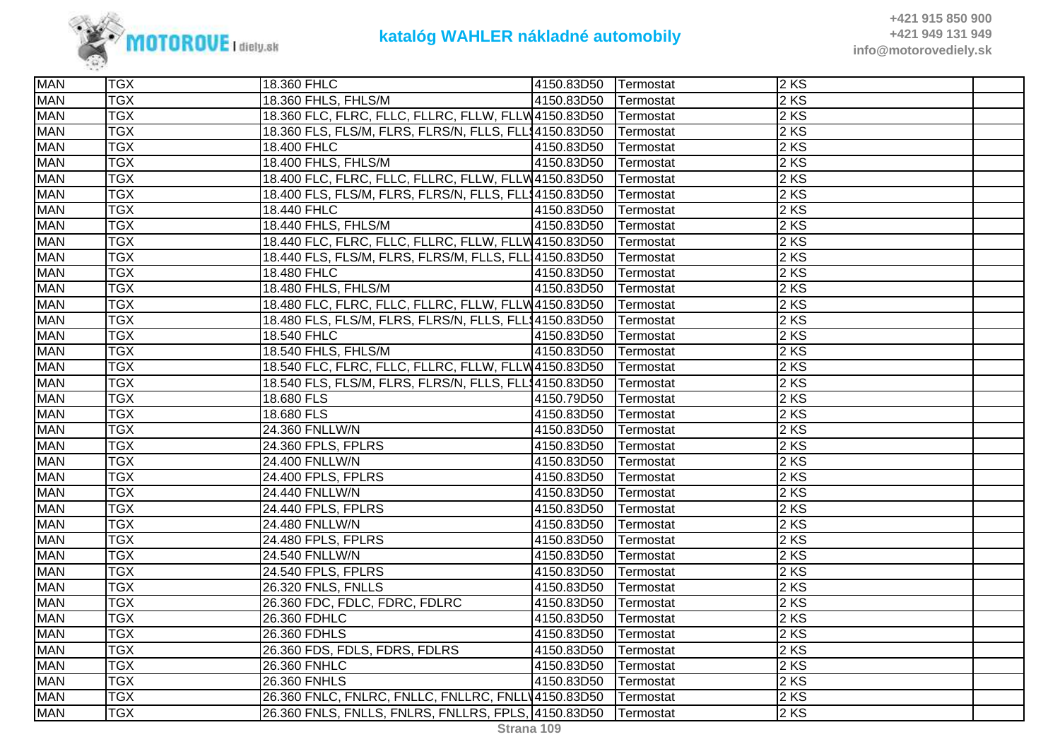

| <b>MAN</b> | <b>TGX</b> | 18.360 FHLC                                                     | 4150.83D50 | <b>Termostat</b> | $2$ KS |  |
|------------|------------|-----------------------------------------------------------------|------------|------------------|--------|--|
| <b>MAN</b> | <b>TGX</b> | 18.360 FHLS, FHLS/M                                             | 4150.83D50 | Termostat        | $2$ KS |  |
| <b>MAN</b> | <b>TGX</b> | 18.360 FLC, FLRC, FLLC, FLLRC, FLLW, FLLW4150.83D50   Termostat |            |                  | $2$ KS |  |
| <b>MAN</b> | <b>TGX</b> | 18.360 FLS, FLS/M, FLRS, FLRS/N, FLLS, FLL\$4150.83D50          |            | Termostat        | $2$ KS |  |
| <b>MAN</b> | <b>TGX</b> | 18.400 FHLC                                                     | 4150.83D50 | Termostat        | 2 KS   |  |
| <b>MAN</b> | <b>TGX</b> | 18.400 FHLS, FHLS/M                                             | 4150.83D50 | Termostat        | 2 KS   |  |
| <b>MAN</b> | <b>TGX</b> | 18.400 FLC, FLRC, FLLC, FLLRC, FLLW, FLLW4150.83D50             |            | Termostat        | 2 KS   |  |
| <b>MAN</b> | <b>TGX</b> | 18.400 FLS, FLS/M, FLRS, FLRS/N, FLLS, FLL\$4150.83D50          |            | Termostat        | $2$ KS |  |
| <b>MAN</b> | <b>TGX</b> | 18.440 FHLC                                                     | 4150.83D50 | Termostat        | $2$ KS |  |
| <b>MAN</b> | <b>TGX</b> | 18.440 FHLS, FHLS/M                                             | 4150.83D50 | Termostat        | $2$ KS |  |
| <b>MAN</b> | <b>TGX</b> | 18.440 FLC, FLRC, FLLC, FLLRC, FLLW, FLLW 4150.83D50            |            | Termostat        | 2 KS   |  |
| <b>MAN</b> | <b>TGX</b> | 18.440 FLS, FLS/M, FLRS, FLRS/M, FLLS, FLL 4150.83D50           |            | Termostat        | $2$ KS |  |
| <b>MAN</b> | <b>TGX</b> | 18.480 FHLC                                                     | 4150.83D50 | Termostat        | $2$ KS |  |
| <b>MAN</b> | <b>TGX</b> | 18.480 FHLS, FHLS/M                                             | 4150.83D50 | Termostat        | $2$ KS |  |
| <b>MAN</b> | <b>TGX</b> | 18.480 FLC, FLRC, FLLC, FLLRC, FLLW, FLLW 4150.83D50            |            | Termostat        | 2 KS   |  |
| <b>MAN</b> | <b>TGX</b> | 18.480 FLS, FLS/M, FLRS, FLRS/N, FLLS, FLL\$4150.83D50          |            | Termostat        | 2 KS   |  |
| <b>MAN</b> | <b>TGX</b> | 18.540 FHLC                                                     | 4150.83D50 | Termostat        | 2 KS   |  |
| <b>MAN</b> | <b>TGX</b> | 18.540 FHLS, FHLS/M                                             | 4150.83D50 | Termostat        | $2$ KS |  |
| <b>MAN</b> | <b>TGX</b> | 18.540 FLC, FLRC, FLLC, FLLRC, FLLW, FLLW 4150.83D50            |            | Termostat        | $2$ KS |  |
| <b>MAN</b> | <b>TGX</b> | 18.540 FLS, FLS/M, FLRS, FLRS/N, FLLS, FLL\$4150.83D50          |            | Termostat        | $2$ KS |  |
| <b>MAN</b> | <b>TGX</b> | 18.680 FLS                                                      | 4150.79D50 | Termostat        | 2 KS   |  |
| <b>MAN</b> | <b>TGX</b> | 18.680 FLS                                                      | 4150.83D50 | Termostat        | $2$ KS |  |
| <b>MAN</b> | <b>TGX</b> | 24.360 FNLLW/N                                                  | 4150.83D50 | Termostat        | $2$ KS |  |
| <b>MAN</b> | <b>TGX</b> | 24.360 FPLS, FPLRS                                              | 4150.83D50 | Termostat        | $2$ KS |  |
| <b>MAN</b> | <b>TGX</b> | 24.400 FNLLW/N                                                  | 4150.83D50 | Termostat        | 2 KS   |  |
| <b>MAN</b> | <b>TGX</b> | 24.400 FPLS, FPLRS                                              | 4150.83D50 | Termostat        | 2KS    |  |
| <b>MAN</b> | <b>TGX</b> | 24.440 FNLLW/N                                                  | 4150.83D50 | Termostat        | 2 KS   |  |
| <b>MAN</b> | <b>TGX</b> | 24.440 FPLS, FPLRS                                              | 4150.83D50 | Termostat        | 2 KS   |  |
| <b>MAN</b> | <b>TGX</b> | 24.480 FNLLW/N                                                  | 4150.83D50 | Termostat        | $2$ KS |  |
| <b>MAN</b> | <b>TGX</b> | 24.480 FPLS, FPLRS                                              | 4150.83D50 | Termostat        | $2$ KS |  |
| <b>MAN</b> | <b>TGX</b> | 24.540 FNLLW/N                                                  | 4150.83D50 | Termostat        | $2$ KS |  |
| <b>MAN</b> | <b>TGX</b> | 24.540 FPLS, FPLRS                                              | 4150.83D50 | Termostat        | 2 KS   |  |
| <b>MAN</b> | <b>TGX</b> | 26.320 FNLS, FNLLS                                              | 4150.83D50 | Termostat        | $2$ KS |  |
| <b>MAN</b> | <b>TGX</b> | 26.360 FDC, FDLC, FDRC, FDLRC                                   | 4150.83D50 | Termostat        | $2$ KS |  |
| <b>MAN</b> | <b>TGX</b> | 26.360 FDHLC                                                    | 4150.83D50 | Termostat        | $2$ KS |  |
| <b>MAN</b> | <b>TGX</b> | 26.360 FDHLS                                                    | 4150.83D50 | Termostat        | 2 KS   |  |
| <b>MAN</b> | <b>TGX</b> | 26.360 FDS, FDLS, FDRS, FDLRS                                   | 4150.83D50 | Termostat        | 2 KS   |  |
| <b>MAN</b> | <b>TGX</b> | 26.360 FNHLC                                                    | 4150.83D50 | Termostat        | 2 KS   |  |
| <b>MAN</b> | <b>TGX</b> | 26.360 FNHLS                                                    | 4150.83D50 | Termostat        | 2 KS   |  |
| <b>MAN</b> | <b>TGX</b> | 26.360 FNLC, FNLRC, FNLLC, FNLLRC, FNLLV4150.83D50  Termostat   |            |                  | $2$ KS |  |
| <b>MAN</b> | <b>TGX</b> | 26.360 FNLS, FNLLS, FNLRS, FNLLRS, FPLS, 4150.83D50             |            | Termostat        | 2 KS   |  |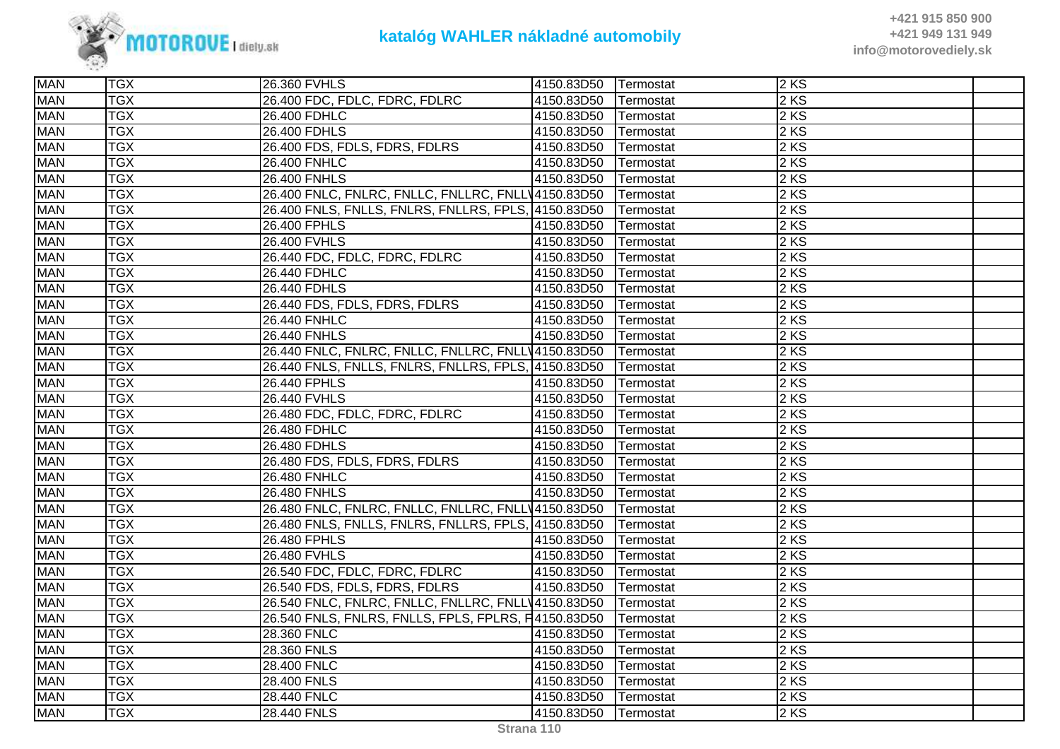

| <b>MAN</b> | <b>TGX</b> | 26.360 FVHLS                                        | 4150.83D50 Termostat |           | 2KS  |  |
|------------|------------|-----------------------------------------------------|----------------------|-----------|------|--|
| <b>MAN</b> | <b>TGX</b> | 26.400 FDC, FDLC, FDRC, FDLRC                       | 4150.83D50           | Termostat | 2 KS |  |
| <b>MAN</b> | <b>TGX</b> | 26.400 FDHLC                                        | 4150.83D50           | Termostat | 2 KS |  |
| <b>MAN</b> | <b>TGX</b> | 26.400 FDHLS                                        | 4150.83D50           | Termostat | 2 KS |  |
| <b>MAN</b> | <b>TGX</b> | 26.400 FDS, FDLS, FDRS, FDLRS                       | 4150.83D50           | Termostat | 2 KS |  |
| <b>MAN</b> | <b>TGX</b> | 26.400 FNHLC                                        | 4150.83D50           | Termostat | 2 KS |  |
| <b>MAN</b> | <b>TGX</b> | <b>26.400 FNHLS</b>                                 | 4150.83D50           | Termostat | 2 KS |  |
| <b>MAN</b> | <b>TGX</b> | 26.400 FNLC, FNLRC, FNLLC, FNLLRC, FNLLV4150.83D50  |                      | Termostat | 2 KS |  |
| <b>MAN</b> | <b>TGX</b> | 26.400 FNLS, FNLLS, FNLRS, FNLLRS, FPLS, 4150.83D50 |                      | Termostat | 2 KS |  |
| <b>MAN</b> | <b>TGX</b> | 26.400 FPHLS                                        | 4150.83D50           | Termostat | 2 KS |  |
| <b>MAN</b> | <b>TGX</b> | 26.400 FVHLS                                        | 4150.83D50           | Termostat | 2 KS |  |
| <b>MAN</b> | <b>TGX</b> | 26.440 FDC, FDLC, FDRC, FDLRC                       | 4150.83D50           | Termostat | 2 KS |  |
| <b>MAN</b> | <b>TGX</b> | 26.440 FDHLC                                        | 4150.83D50           | Termostat | 2 KS |  |
| <b>MAN</b> | <b>TGX</b> | 26.440 FDHLS                                        | 4150.83D50           | Termostat | 2 KS |  |
| <b>MAN</b> | <b>TGX</b> | 26.440 FDS, FDLS, FDRS, FDLRS                       | 4150.83D50           | Termostat | 2 KS |  |
| <b>MAN</b> | <b>TGX</b> | 26.440 FNHLC                                        | 4150.83D50           | Termostat | 2 KS |  |
| <b>MAN</b> | <b>TGX</b> | 26.440 FNHLS                                        | 4150.83D50           | Termostat | 2 KS |  |
| <b>MAN</b> | <b>TGX</b> | 26.440 FNLC, FNLRC, FNLLC, FNLLRC, FNLLV4150.83D50  |                      | Termostat | 2 KS |  |
| <b>MAN</b> | <b>TGX</b> | 26.440 FNLS, FNLLS, FNLRS, FNLLRS, FPLS, 4150.83D50 |                      | Termostat | 2 KS |  |
| <b>MAN</b> | <b>TGX</b> | 26.440 FPHLS                                        | 4150.83D50           | Termostat | 2 KS |  |
| <b>MAN</b> | <b>TGX</b> | 26.440 FVHLS                                        | 4150.83D50           | Termostat | 2 KS |  |
| <b>MAN</b> | <b>TGX</b> | 26.480 FDC, FDLC, FDRC, FDLRC                       | 4150.83D50           | Termostat | 2 KS |  |
| <b>MAN</b> | <b>TGX</b> | 26.480 FDHLC                                        | 4150.83D50           | Termostat | 2 KS |  |
| <b>MAN</b> | <b>TGX</b> | 26.480 FDHLS                                        | 4150.83D50           | Termostat | 2 KS |  |
| <b>MAN</b> | <b>TGX</b> | 26.480 FDS, FDLS, FDRS, FDLRS                       | 4150.83D50           | Termostat | 2 KS |  |
| <b>MAN</b> | <b>TGX</b> | 26.480 FNHLC                                        | 4150.83D50           | Termostat | 2 KS |  |
| <b>MAN</b> | <b>TGX</b> | <b>26.480 FNHLS</b>                                 | 4150.83D50           | Termostat | 2 KS |  |
| <b>MAN</b> | <b>TGX</b> | 26.480 FNLC, FNLRC, FNLLC, FNLLRC, FNLLV4150.83D50  |                      | Termostat | 2 KS |  |
| <b>MAN</b> | <b>TGX</b> | 26.480 FNLS, FNLLS, FNLRS, FNLLRS, FPLS, 4150.83D50 |                      | Termostat | 2 KS |  |
| <b>MAN</b> | <b>TGX</b> | 26.480 FPHLS                                        | 4150.83D50           | Termostat | 2 KS |  |
| <b>MAN</b> | <b>TGX</b> | 26.480 FVHLS                                        | 4150.83D50           | Termostat | 2 KS |  |
| <b>MAN</b> | <b>TGX</b> | 26.540 FDC, FDLC, FDRC, FDLRC                       | 4150.83D50           | Termostat | 2 KS |  |
| <b>MAN</b> | <b>TGX</b> | 26.540 FDS, FDLS, FDRS, FDLRS                       | 4150.83D50           | Termostat | 2 KS |  |
| <b>MAN</b> | <b>TGX</b> | 26.540 FNLC, FNLRC, FNLLC, FNLLRC, FNLLV4150.83D50  |                      | Termostat | 2 KS |  |
| <b>MAN</b> | <b>TGX</b> | 26.540 FNLS, FNLRS, FNLLS, FPLS, FPLRS, F4150.83D50 |                      | Termostat | 2 KS |  |
| <b>MAN</b> | <b>TGX</b> | 28.360 FNLC                                         | 4150.83D50           | Termostat | 2 KS |  |
| <b>MAN</b> | <b>TGX</b> | 28.360 FNLS                                         | 4150.83D50           | Termostat | 2 KS |  |
| <b>MAN</b> | <b>TGX</b> | 28.400 FNLC                                         | 4150.83D50           | Termostat | 2 KS |  |
| <b>MAN</b> | <b>TGX</b> | 28.400 FNLS                                         | 4150.83D50           | Termostat | 2 KS |  |
| <b>MAN</b> | <b>TGX</b> | 28.440 FNLC                                         | 4150.83D50           | Termostat | 2KS  |  |
| <b>MAN</b> | <b>TGX</b> | 28.440 FNLS                                         | 4150.83D50           | Termostat | 2 KS |  |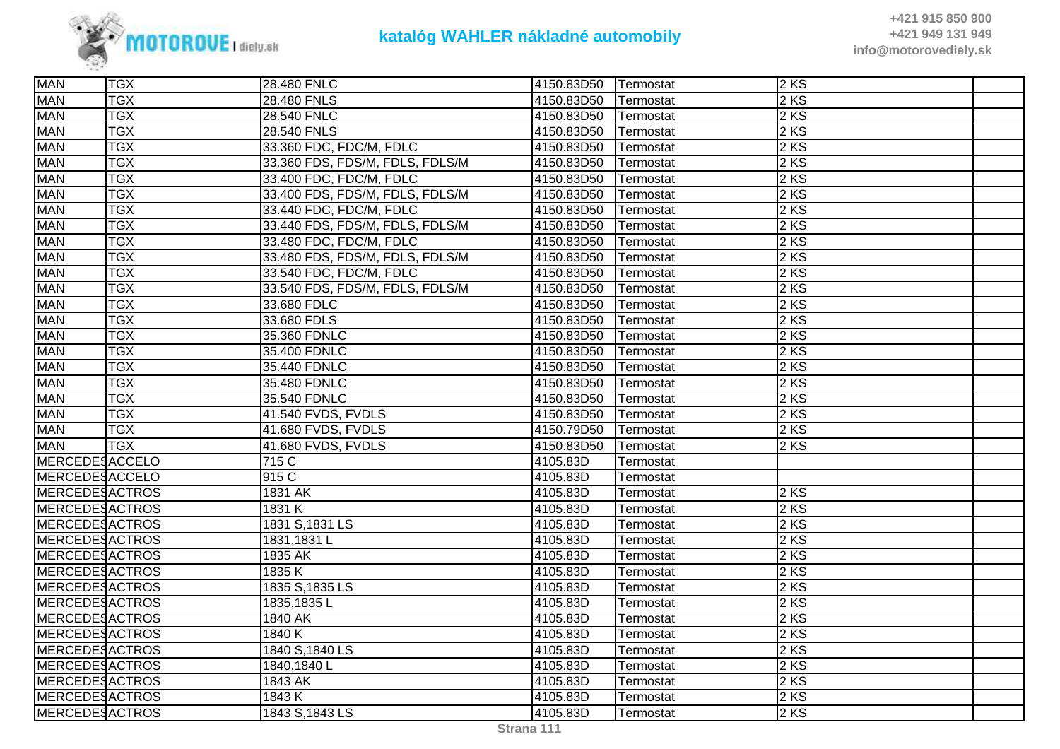

| <b>MAN</b>            | <b>TGX</b> | 28.480 FNLC                     | 4150.83D50 | Termostat | 2KS    |  |
|-----------------------|------------|---------------------------------|------------|-----------|--------|--|
| <b>MAN</b>            | <b>TGX</b> | 28.480 FNLS                     | 4150.83D50 | Termostat | 2 KS   |  |
| <b>MAN</b>            | <b>TGX</b> | 28.540 FNLC                     | 4150.83D50 | Termostat | 2 KS   |  |
| <b>MAN</b>            | <b>TGX</b> | 28.540 FNLS                     | 4150.83D50 | Termostat | 2 KS   |  |
| <b>MAN</b>            | <b>TGX</b> | 33.360 FDC, FDC/M, FDLC         | 4150.83D50 | Termostat | 2KS    |  |
| <b>MAN</b>            | <b>TGX</b> | 33.360 FDS, FDS/M, FDLS, FDLS/M | 4150.83D50 | Termostat | $2$ KS |  |
| <b>MAN</b>            | <b>TGX</b> | 33.400 FDC, FDC/M, FDLC         | 4150.83D50 | Termostat | $2$ KS |  |
| <b>MAN</b>            | <b>TGX</b> | 33.400 FDS, FDS/M, FDLS, FDLS/M | 4150.83D50 | Termostat | $2$ KS |  |
| <b>MAN</b>            | <b>TGX</b> | 33.440 FDC, FDC/M, FDLC         | 4150.83D50 | Termostat | 2 KS   |  |
| <b>MAN</b>            | <b>TGX</b> | 33.440 FDS, FDS/M, FDLS, FDLS/M | 4150.83D50 | Termostat | 2 KS   |  |
| <b>MAN</b>            | <b>TGX</b> | 33.480 FDC, FDC/M, FDLC         | 4150.83D50 | Termostat | $2$ KS |  |
| <b>MAN</b>            | <b>TGX</b> | 33.480 FDS, FDS/M, FDLS, FDLS/M | 4150.83D50 | Termostat | $2$ KS |  |
| <b>MAN</b>            | <b>TGX</b> | 33.540 FDC, FDC/M, FDLC         | 4150.83D50 | Termostat | 2 KS   |  |
| <b>MAN</b>            | <b>TGX</b> | 33.540 FDS, FDS/M, FDLS, FDLS/M | 4150.83D50 | Termostat | $2$ KS |  |
| <b>MAN</b>            | <b>TGX</b> | 33.680 FDLC                     | 4150.83D50 | Termostat | 2 KS   |  |
| <b>MAN</b>            | <b>TGX</b> | 33.680 FDLS                     | 4150.83D50 | Termostat | 2 KS   |  |
| <b>MAN</b>            | <b>TGX</b> | 35.360 FDNLC                    | 4150.83D50 | Termostat | 2 KS   |  |
| <b>MAN</b>            | <b>TGX</b> | 35.400 FDNLC                    | 4150.83D50 | Termostat | 2 KS   |  |
| <b>MAN</b>            | <b>TGX</b> | 35.440 FDNLC                    | 4150.83D50 | Termostat | $2$ KS |  |
| <b>MAN</b>            | <b>TGX</b> | 35.480 FDNLC                    | 4150.83D50 | Termostat | 2 KS   |  |
| <b>MAN</b>            | <b>TGX</b> | 35.540 FDNLC                    | 4150.83D50 | Termostat | 2 KS   |  |
| <b>MAN</b>            | <b>TGX</b> | 41.540 FVDS, FVDLS              | 4150.83D50 | Termostat | $2$ KS |  |
| <b>MAN</b>            | <b>TGX</b> | 41.680 FVDS, FVDLS              | 4150.79D50 | Termostat | $2$ KS |  |
| <b>MAN</b>            | <b>TGX</b> | 41.680 FVDS, FVDLS              | 4150.83D50 | Termostat | $2$ KS |  |
| <b>MERCEDESACCELO</b> |            | 715 C                           | 4105.83D   | Termostat |        |  |
| MERCEDESACCELO        |            | 915 C                           | 4105.83D   | Termostat |        |  |
| <b>MERCEDESACTROS</b> |            | 1831 AK                         | 4105.83D   | Termostat | 2KS    |  |
| <b>MERCEDESACTROS</b> |            | 1831 K                          | 4105.83D   | Termostat | $2$ KS |  |
| <b>MERCEDESACTROS</b> |            | 1831 S, 1831 LS                 | 4105.83D   | Termostat | 2 KS   |  |
| <b>MERCEDESACTROS</b> |            | 1831,1831L                      | 4105.83D   | Termostat | 2 KS   |  |
| <b>MERCEDESACTROS</b> |            | 1835 AK                         | 4105.83D   | Termostat | $2$ KS |  |
| <b>MERCEDESACTROS</b> |            | 1835K                           | 4105.83D   | Termostat | 2 KS   |  |
| MERCEDESACTROS        |            | 1835 S, 1835 LS                 | 4105.83D   | Termostat | 2 KS   |  |
| <b>MERCEDESACTROS</b> |            | 1835, 1835 L                    | 4105.83D   | Termostat | 2 KS   |  |
| <b>MERCEDESACTROS</b> |            | 1840 AK                         | 4105.83D   | Termostat | $2$ KS |  |
| <b>MERCEDESACTROS</b> |            | 1840 K                          | 4105.83D   | Termostat | $2$ KS |  |
| <b>MERCEDESACTROS</b> |            | 1840 S, 1840 LS                 | 4105.83D   | Termostat | 2 KS   |  |
| MERCEDESACTROS        |            | 1840,1840L                      | 4105.83D   | Termostat | 2KS    |  |
| MERCEDESACTROS        |            | 1843 AK                         | 4105.83D   | Termostat | $2$ KS |  |
| <b>MERCEDESACTROS</b> |            | 1843 K                          | 4105.83D   | Termostat | $2$ KS |  |
| <b>MERCEDESACTROS</b> |            | 1843 S, 1843 LS                 | 4105.83D   | Termostat | $2$ KS |  |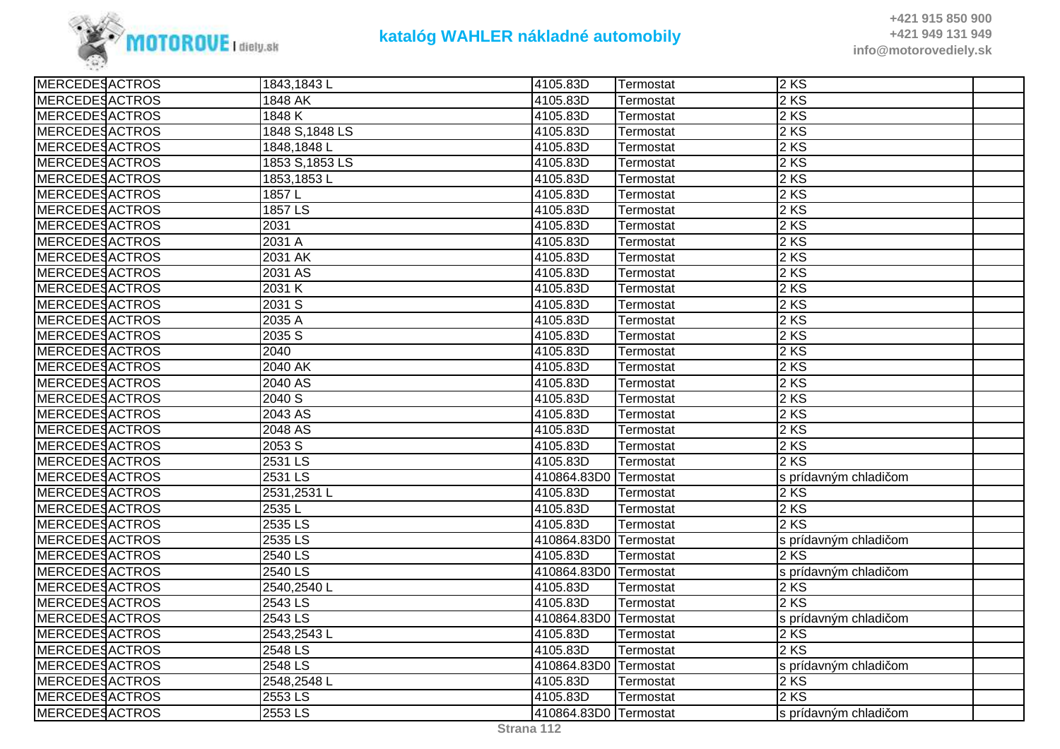

| <b>MERCEDESACTROS</b> | 1843,1843L      | 4105.83D              | Termostat | $2$ KS                |  |
|-----------------------|-----------------|-----------------------|-----------|-----------------------|--|
| <b>MERCEDESACTROS</b> | 1848 AK         | 4105.83D              | Termostat | 2 KS                  |  |
| <b>MERCEDESACTROS</b> | 1848 K          | 4105.83D              | Termostat | $2$ KS                |  |
| MERCEDESACTROS        | 1848 S, 1848 LS | 4105.83D              | Termostat | $2 K\overline{S}$     |  |
| MERCEDESACTROS        | 1848,1848L      | 4105.83D              | Termostat | 2KS                   |  |
| <b>MERCEDESACTROS</b> | 1853 S, 1853 LS | 4105.83D              | Termostat | 2 KS                  |  |
| <b>MERCEDESACTROS</b> | 1853,1853L      | 4105.83D              | Termostat | $2$ KS                |  |
| <b>MERCEDESACTROS</b> | 1857L           | 4105.83D              | Termostat | $2$ KS                |  |
| <b>MERCEDESACTROS</b> | 1857 LS         | 4105.83D              | Termostat | 2 KS                  |  |
| <b>MERCEDESACTROS</b> | 2031            | 4105.83D              | Termostat | 2 KS                  |  |
| MERCEDESACTROS        | 2031 A          | 4105.83D              | Termostat | 2 KS                  |  |
| MERCEDESACTROS        | 2031 AK         | 4105.83D              | Termostat | $2$ KS                |  |
| <b>MERCEDESACTROS</b> | 2031 AS         | 4105.83D              | Termostat | 2 KS                  |  |
| <b>MERCEDESACTROS</b> | 2031 K          | 4105.83D              | Termostat | 2 KS                  |  |
| MERCEDESACTROS        | 2031 S          | 4105.83D              | Termostat | 2KS                   |  |
| <b>MERCEDESACTROS</b> | 2035 A          | 4105.83D              | Termostat | 2 KS                  |  |
| <b>MERCEDESACTROS</b> | 2035S           | 4105.83D              | Termostat | 2 KS                  |  |
| <b>MERCEDESACTROS</b> | 2040            | 4105.83D              | Termostat | 2 KS                  |  |
| MERCEDESACTROS        | 2040 AK         | 4105.83D              | Termostat | 2KS                   |  |
| MERCEDESACTROS        | 2040 AS         | 4105.83D              | Termostat | 2 KS                  |  |
| <b>MERCEDESACTROS</b> | 2040 S          | 4105.83D              | Termostat | 2 KS                  |  |
| <b>MERCEDESACTROS</b> | 2043 AS         | 4105.83D              | Termostat | 2 KS                  |  |
| <b>MERCEDESACTROS</b> | 2048 AS         | 4105.83D              | Termostat | 2 KS                  |  |
| <b>MERCEDESACTROS</b> | 2053 S          | 4105.83D              | Termostat | $2$ KS                |  |
| <b>MERCEDESACTROS</b> | 2531 LS         | 4105.83D              | Termostat | 2 KS                  |  |
| MERCEDESACTROS        | 2531 LS         | 410864.83D0           | Termostat | s prídavným chladičom |  |
| <b>MERCEDESACTROS</b> | 2531,2531L      | 4105.83D              | Termostat | 2KS                   |  |
| <b>MERCEDESACTROS</b> | 2535L           | 4105.83D              | Termostat | 2 KS                  |  |
| <b>MERCEDESACTROS</b> | 2535 LS         | 4105.83D              | Termostat | 2 KS                  |  |
| MERCEDESACTROS        | 2535 LS         | 410864.83D0           | Termostat | s prídavným chladičom |  |
| MERCEDESACTROS        | 2540 LS         | 4105.83D              | Termostat | 2KS                   |  |
| MERCEDESACTROS        | $2540$ LS       | 410864.83D0           | Termostat | s prídavným chladičom |  |
| <b>MERCEDESACTROS</b> | 2540,2540L      | 4105.83D              | Termostat | 2KS                   |  |
| <b>MERCEDESACTROS</b> | 2543 LS         | 4105.83D              | Termostat | $2$ KS                |  |
| <b>MERCEDESACTROS</b> | 2543 LS         | 410864.83D0 Termostat |           | s prídavným chladičom |  |
| MERCEDESACTROS        | 2543,2543L      | 4105.83D              | Termostat | 2KS                   |  |
| <b>MERCEDESACTROS</b> | 2548 LS         | 4105.83D              | Termostat | 2 KS                  |  |
| MERCEDESACTROS        | 2548 LS         | 410864.83D0 Termostat |           | s prídavným chladičom |  |
| MERCEDESACTROS        | 2548,2548L      | 4105.83D              | Termostat | 2 KS                  |  |
| MERCEDESACTROS        | 2553 LS         | 4105.83D              | Termostat | $2$ KS                |  |
| <b>MERCEDESACTROS</b> | 2553 LS         | 410864.83D0 Termostat |           | s prídavným chladičom |  |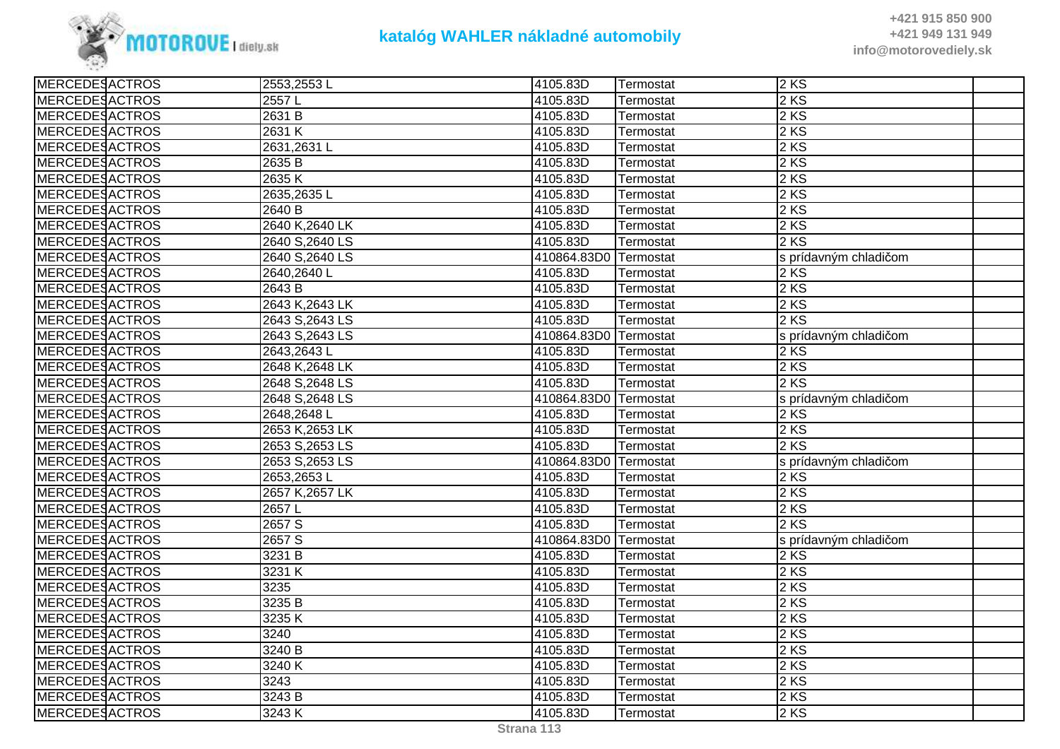

| <b>MERCEDESACTROS</b><br>2 KS<br>2557L<br>4105.83D<br>Termostat<br><b>MERCEDESACTROS</b><br>2631 B<br>4105.83D<br>2KS<br>Termostat<br>2 KS<br>2631 K<br><b>MERCEDESACTROS</b><br>4105.83D<br>Termostat<br><b>MERCEDESACTROS</b><br>2 KS<br>2631,2631L<br>4105.83D<br>Termostat<br><b>MERCEDESACTROS</b><br>2 KS<br>2635 B<br>4105.83D<br>Termostat<br>2 KS<br><b>MERCEDESACTROS</b><br>2635K<br>4105.83D<br>Termostat<br><b>MERCEDESACTROS</b><br>2635,2635L<br>2 KS<br>4105.83D<br>Termostat<br><b>MERCEDESACTROS</b><br>4105.83D<br>2 KS<br>2640 B<br>Termostat<br>2 KS<br><b>MERCEDESACTROS</b><br>2640 K, 2640 LK<br>4105.83D<br>Termostat<br>2 KS<br><b>MERCEDESACTROS</b><br>2640 S, 2640 LS<br>4105.83D<br>Termostat<br><b>MERCEDESACTROS</b><br>2640 S, 2640 LS<br>410864.83D0 Termostat<br>s prídavným chladičom<br><b>MERCEDESACTROS</b><br>2 KS<br>2640,2640L<br>4105.83D<br>Termostat<br><b>MERCEDESACTROS</b><br>2643 B<br>4105.83D<br>2KS<br>Termostat<br>2 KS<br><b>MERCEDESACTROS</b><br>2643 K, 2643 LK<br>4105.83D<br>Termostat<br><b>MERCEDESACTROS</b><br>2 KS<br>2643 S, 2643 LS<br>4105.83D<br>Termostat<br><b>MERCEDESACTROS</b><br>2643 S, 2643 LS<br>410864.83D0<br>s prídavným chladičom<br>Termostat<br>2 KS<br><b>MERCEDESACTROS</b><br>4105.83D<br>2643,2643L<br>Termostat<br><b>MERCEDESACTROS</b><br>4105.83D<br>2KS<br>2648 K, 2648 LK<br>Termostat<br><b>MERCEDESACTROS</b><br>4105.83D<br>2 KS<br>2648 S, 2648 LS<br>Termostat<br><b>MERCEDESACTROS</b><br>2648 S, 2648 LS<br>410864.83D0<br>Termostat<br>s prídavným chladičom<br><b>MERCEDESACTROS</b><br>2KS<br>4105.83D<br>2648,2648L<br>Termostat<br><b>MERCEDESACTROS</b><br>2 KS<br>4105.83D<br>2653 K, 2653 LK<br>Termostat<br><b>MERCEDESACTROS</b><br>2653 S, 2653 LS<br>4105.83D<br>2 KS<br>Termostat<br><b>MERCEDESACTROS</b><br>2653 S, 2653 LS<br>410864.83D0<br>Termostat<br>s prídavným chladičom<br><b>MERCEDESACTROS</b><br>2KS<br>2653,2653L<br>4105.83D<br>Termostat<br><b>MERCEDESACTROS</b><br>2 KS<br>2657 K, 2657 LK<br>4105.83D<br>Termostat<br>2 KS<br><b>MERCEDESACTROS</b><br>2657L<br>4105.83D<br>Termostat<br>$\overline{2657}$ S<br>2 KS<br><b>MERCEDESACTROS</b><br>4105.83D<br>Termostat<br><b>MERCEDESACTROS</b><br>2657 S<br>410864.83D0<br>Termostat<br>s prídavným chladičom<br><b>MERCEDESACTROS</b><br>3231 B<br>4105.83D<br>2 KS<br>Termostat<br>2 KS<br><b>MERCEDESACTROS</b><br>3231 K<br>4105.83D<br>Termostat<br><b>MERCEDESACTROS</b><br>2 KS<br>3235<br>4105.83D<br>Termostat<br><b>MERCEDESACTROS</b><br>2 KS<br>3235 B<br>4105.83D<br>Termostat<br><b>MERCEDESACTROS</b><br>3235K<br>4105.83D<br>2 KS<br>Termostat<br><b>MERCEDESACTROS</b><br>3240<br>4105.83D<br>2KS<br>Termostat<br><b>MERCEDESACTROS</b><br>3240 B<br>4105.83D<br>2KS<br>Termostat<br><b>MERCEDESACTROS</b><br>3240 K<br>2 KS<br>4105.83D<br>Termostat<br><b>MERCEDESACTROS</b><br>3243<br>2 KS<br>4105.83D<br>Termostat<br>2 KS<br><b>MERCEDESACTROS</b><br>3243 B<br>4105.83D<br>Termostat<br><b>MERCEDESACTROS</b><br>3243 K<br>2 KS<br>4105.83D<br>Termostat | <b>MERCEDESACTROS</b> | 2553,2553L | 4105.83D | Termostat | 2KS |
|------------------------------------------------------------------------------------------------------------------------------------------------------------------------------------------------------------------------------------------------------------------------------------------------------------------------------------------------------------------------------------------------------------------------------------------------------------------------------------------------------------------------------------------------------------------------------------------------------------------------------------------------------------------------------------------------------------------------------------------------------------------------------------------------------------------------------------------------------------------------------------------------------------------------------------------------------------------------------------------------------------------------------------------------------------------------------------------------------------------------------------------------------------------------------------------------------------------------------------------------------------------------------------------------------------------------------------------------------------------------------------------------------------------------------------------------------------------------------------------------------------------------------------------------------------------------------------------------------------------------------------------------------------------------------------------------------------------------------------------------------------------------------------------------------------------------------------------------------------------------------------------------------------------------------------------------------------------------------------------------------------------------------------------------------------------------------------------------------------------------------------------------------------------------------------------------------------------------------------------------------------------------------------------------------------------------------------------------------------------------------------------------------------------------------------------------------------------------------------------------------------------------------------------------------------------------------------------------------------------------------------------------------------------------------------------------------------------------------------------------------------------------------------------------------------------------------------------------------------------------------------------------------------------------------------------------------------------------------------------------------------------------------------------------------------------------|-----------------------|------------|----------|-----------|-----|
|                                                                                                                                                                                                                                                                                                                                                                                                                                                                                                                                                                                                                                                                                                                                                                                                                                                                                                                                                                                                                                                                                                                                                                                                                                                                                                                                                                                                                                                                                                                                                                                                                                                                                                                                                                                                                                                                                                                                                                                                                                                                                                                                                                                                                                                                                                                                                                                                                                                                                                                                                                                                                                                                                                                                                                                                                                                                                                                                                                                                                                                                        |                       |            |          |           |     |
|                                                                                                                                                                                                                                                                                                                                                                                                                                                                                                                                                                                                                                                                                                                                                                                                                                                                                                                                                                                                                                                                                                                                                                                                                                                                                                                                                                                                                                                                                                                                                                                                                                                                                                                                                                                                                                                                                                                                                                                                                                                                                                                                                                                                                                                                                                                                                                                                                                                                                                                                                                                                                                                                                                                                                                                                                                                                                                                                                                                                                                                                        |                       |            |          |           |     |
|                                                                                                                                                                                                                                                                                                                                                                                                                                                                                                                                                                                                                                                                                                                                                                                                                                                                                                                                                                                                                                                                                                                                                                                                                                                                                                                                                                                                                                                                                                                                                                                                                                                                                                                                                                                                                                                                                                                                                                                                                                                                                                                                                                                                                                                                                                                                                                                                                                                                                                                                                                                                                                                                                                                                                                                                                                                                                                                                                                                                                                                                        |                       |            |          |           |     |
|                                                                                                                                                                                                                                                                                                                                                                                                                                                                                                                                                                                                                                                                                                                                                                                                                                                                                                                                                                                                                                                                                                                                                                                                                                                                                                                                                                                                                                                                                                                                                                                                                                                                                                                                                                                                                                                                                                                                                                                                                                                                                                                                                                                                                                                                                                                                                                                                                                                                                                                                                                                                                                                                                                                                                                                                                                                                                                                                                                                                                                                                        |                       |            |          |           |     |
|                                                                                                                                                                                                                                                                                                                                                                                                                                                                                                                                                                                                                                                                                                                                                                                                                                                                                                                                                                                                                                                                                                                                                                                                                                                                                                                                                                                                                                                                                                                                                                                                                                                                                                                                                                                                                                                                                                                                                                                                                                                                                                                                                                                                                                                                                                                                                                                                                                                                                                                                                                                                                                                                                                                                                                                                                                                                                                                                                                                                                                                                        |                       |            |          |           |     |
|                                                                                                                                                                                                                                                                                                                                                                                                                                                                                                                                                                                                                                                                                                                                                                                                                                                                                                                                                                                                                                                                                                                                                                                                                                                                                                                                                                                                                                                                                                                                                                                                                                                                                                                                                                                                                                                                                                                                                                                                                                                                                                                                                                                                                                                                                                                                                                                                                                                                                                                                                                                                                                                                                                                                                                                                                                                                                                                                                                                                                                                                        |                       |            |          |           |     |
|                                                                                                                                                                                                                                                                                                                                                                                                                                                                                                                                                                                                                                                                                                                                                                                                                                                                                                                                                                                                                                                                                                                                                                                                                                                                                                                                                                                                                                                                                                                                                                                                                                                                                                                                                                                                                                                                                                                                                                                                                                                                                                                                                                                                                                                                                                                                                                                                                                                                                                                                                                                                                                                                                                                                                                                                                                                                                                                                                                                                                                                                        |                       |            |          |           |     |
|                                                                                                                                                                                                                                                                                                                                                                                                                                                                                                                                                                                                                                                                                                                                                                                                                                                                                                                                                                                                                                                                                                                                                                                                                                                                                                                                                                                                                                                                                                                                                                                                                                                                                                                                                                                                                                                                                                                                                                                                                                                                                                                                                                                                                                                                                                                                                                                                                                                                                                                                                                                                                                                                                                                                                                                                                                                                                                                                                                                                                                                                        |                       |            |          |           |     |
|                                                                                                                                                                                                                                                                                                                                                                                                                                                                                                                                                                                                                                                                                                                                                                                                                                                                                                                                                                                                                                                                                                                                                                                                                                                                                                                                                                                                                                                                                                                                                                                                                                                                                                                                                                                                                                                                                                                                                                                                                                                                                                                                                                                                                                                                                                                                                                                                                                                                                                                                                                                                                                                                                                                                                                                                                                                                                                                                                                                                                                                                        |                       |            |          |           |     |
|                                                                                                                                                                                                                                                                                                                                                                                                                                                                                                                                                                                                                                                                                                                                                                                                                                                                                                                                                                                                                                                                                                                                                                                                                                                                                                                                                                                                                                                                                                                                                                                                                                                                                                                                                                                                                                                                                                                                                                                                                                                                                                                                                                                                                                                                                                                                                                                                                                                                                                                                                                                                                                                                                                                                                                                                                                                                                                                                                                                                                                                                        |                       |            |          |           |     |
|                                                                                                                                                                                                                                                                                                                                                                                                                                                                                                                                                                                                                                                                                                                                                                                                                                                                                                                                                                                                                                                                                                                                                                                                                                                                                                                                                                                                                                                                                                                                                                                                                                                                                                                                                                                                                                                                                                                                                                                                                                                                                                                                                                                                                                                                                                                                                                                                                                                                                                                                                                                                                                                                                                                                                                                                                                                                                                                                                                                                                                                                        |                       |            |          |           |     |
|                                                                                                                                                                                                                                                                                                                                                                                                                                                                                                                                                                                                                                                                                                                                                                                                                                                                                                                                                                                                                                                                                                                                                                                                                                                                                                                                                                                                                                                                                                                                                                                                                                                                                                                                                                                                                                                                                                                                                                                                                                                                                                                                                                                                                                                                                                                                                                                                                                                                                                                                                                                                                                                                                                                                                                                                                                                                                                                                                                                                                                                                        |                       |            |          |           |     |
|                                                                                                                                                                                                                                                                                                                                                                                                                                                                                                                                                                                                                                                                                                                                                                                                                                                                                                                                                                                                                                                                                                                                                                                                                                                                                                                                                                                                                                                                                                                                                                                                                                                                                                                                                                                                                                                                                                                                                                                                                                                                                                                                                                                                                                                                                                                                                                                                                                                                                                                                                                                                                                                                                                                                                                                                                                                                                                                                                                                                                                                                        |                       |            |          |           |     |
|                                                                                                                                                                                                                                                                                                                                                                                                                                                                                                                                                                                                                                                                                                                                                                                                                                                                                                                                                                                                                                                                                                                                                                                                                                                                                                                                                                                                                                                                                                                                                                                                                                                                                                                                                                                                                                                                                                                                                                                                                                                                                                                                                                                                                                                                                                                                                                                                                                                                                                                                                                                                                                                                                                                                                                                                                                                                                                                                                                                                                                                                        |                       |            |          |           |     |
|                                                                                                                                                                                                                                                                                                                                                                                                                                                                                                                                                                                                                                                                                                                                                                                                                                                                                                                                                                                                                                                                                                                                                                                                                                                                                                                                                                                                                                                                                                                                                                                                                                                                                                                                                                                                                                                                                                                                                                                                                                                                                                                                                                                                                                                                                                                                                                                                                                                                                                                                                                                                                                                                                                                                                                                                                                                                                                                                                                                                                                                                        |                       |            |          |           |     |
|                                                                                                                                                                                                                                                                                                                                                                                                                                                                                                                                                                                                                                                                                                                                                                                                                                                                                                                                                                                                                                                                                                                                                                                                                                                                                                                                                                                                                                                                                                                                                                                                                                                                                                                                                                                                                                                                                                                                                                                                                                                                                                                                                                                                                                                                                                                                                                                                                                                                                                                                                                                                                                                                                                                                                                                                                                                                                                                                                                                                                                                                        |                       |            |          |           |     |
|                                                                                                                                                                                                                                                                                                                                                                                                                                                                                                                                                                                                                                                                                                                                                                                                                                                                                                                                                                                                                                                                                                                                                                                                                                                                                                                                                                                                                                                                                                                                                                                                                                                                                                                                                                                                                                                                                                                                                                                                                                                                                                                                                                                                                                                                                                                                                                                                                                                                                                                                                                                                                                                                                                                                                                                                                                                                                                                                                                                                                                                                        |                       |            |          |           |     |
|                                                                                                                                                                                                                                                                                                                                                                                                                                                                                                                                                                                                                                                                                                                                                                                                                                                                                                                                                                                                                                                                                                                                                                                                                                                                                                                                                                                                                                                                                                                                                                                                                                                                                                                                                                                                                                                                                                                                                                                                                                                                                                                                                                                                                                                                                                                                                                                                                                                                                                                                                                                                                                                                                                                                                                                                                                                                                                                                                                                                                                                                        |                       |            |          |           |     |
|                                                                                                                                                                                                                                                                                                                                                                                                                                                                                                                                                                                                                                                                                                                                                                                                                                                                                                                                                                                                                                                                                                                                                                                                                                                                                                                                                                                                                                                                                                                                                                                                                                                                                                                                                                                                                                                                                                                                                                                                                                                                                                                                                                                                                                                                                                                                                                                                                                                                                                                                                                                                                                                                                                                                                                                                                                                                                                                                                                                                                                                                        |                       |            |          |           |     |
|                                                                                                                                                                                                                                                                                                                                                                                                                                                                                                                                                                                                                                                                                                                                                                                                                                                                                                                                                                                                                                                                                                                                                                                                                                                                                                                                                                                                                                                                                                                                                                                                                                                                                                                                                                                                                                                                                                                                                                                                                                                                                                                                                                                                                                                                                                                                                                                                                                                                                                                                                                                                                                                                                                                                                                                                                                                                                                                                                                                                                                                                        |                       |            |          |           |     |
|                                                                                                                                                                                                                                                                                                                                                                                                                                                                                                                                                                                                                                                                                                                                                                                                                                                                                                                                                                                                                                                                                                                                                                                                                                                                                                                                                                                                                                                                                                                                                                                                                                                                                                                                                                                                                                                                                                                                                                                                                                                                                                                                                                                                                                                                                                                                                                                                                                                                                                                                                                                                                                                                                                                                                                                                                                                                                                                                                                                                                                                                        |                       |            |          |           |     |
|                                                                                                                                                                                                                                                                                                                                                                                                                                                                                                                                                                                                                                                                                                                                                                                                                                                                                                                                                                                                                                                                                                                                                                                                                                                                                                                                                                                                                                                                                                                                                                                                                                                                                                                                                                                                                                                                                                                                                                                                                                                                                                                                                                                                                                                                                                                                                                                                                                                                                                                                                                                                                                                                                                                                                                                                                                                                                                                                                                                                                                                                        |                       |            |          |           |     |
|                                                                                                                                                                                                                                                                                                                                                                                                                                                                                                                                                                                                                                                                                                                                                                                                                                                                                                                                                                                                                                                                                                                                                                                                                                                                                                                                                                                                                                                                                                                                                                                                                                                                                                                                                                                                                                                                                                                                                                                                                                                                                                                                                                                                                                                                                                                                                                                                                                                                                                                                                                                                                                                                                                                                                                                                                                                                                                                                                                                                                                                                        |                       |            |          |           |     |
|                                                                                                                                                                                                                                                                                                                                                                                                                                                                                                                                                                                                                                                                                                                                                                                                                                                                                                                                                                                                                                                                                                                                                                                                                                                                                                                                                                                                                                                                                                                                                                                                                                                                                                                                                                                                                                                                                                                                                                                                                                                                                                                                                                                                                                                                                                                                                                                                                                                                                                                                                                                                                                                                                                                                                                                                                                                                                                                                                                                                                                                                        |                       |            |          |           |     |
|                                                                                                                                                                                                                                                                                                                                                                                                                                                                                                                                                                                                                                                                                                                                                                                                                                                                                                                                                                                                                                                                                                                                                                                                                                                                                                                                                                                                                                                                                                                                                                                                                                                                                                                                                                                                                                                                                                                                                                                                                                                                                                                                                                                                                                                                                                                                                                                                                                                                                                                                                                                                                                                                                                                                                                                                                                                                                                                                                                                                                                                                        |                       |            |          |           |     |
|                                                                                                                                                                                                                                                                                                                                                                                                                                                                                                                                                                                                                                                                                                                                                                                                                                                                                                                                                                                                                                                                                                                                                                                                                                                                                                                                                                                                                                                                                                                                                                                                                                                                                                                                                                                                                                                                                                                                                                                                                                                                                                                                                                                                                                                                                                                                                                                                                                                                                                                                                                                                                                                                                                                                                                                                                                                                                                                                                                                                                                                                        |                       |            |          |           |     |
|                                                                                                                                                                                                                                                                                                                                                                                                                                                                                                                                                                                                                                                                                                                                                                                                                                                                                                                                                                                                                                                                                                                                                                                                                                                                                                                                                                                                                                                                                                                                                                                                                                                                                                                                                                                                                                                                                                                                                                                                                                                                                                                                                                                                                                                                                                                                                                                                                                                                                                                                                                                                                                                                                                                                                                                                                                                                                                                                                                                                                                                                        |                       |            |          |           |     |
|                                                                                                                                                                                                                                                                                                                                                                                                                                                                                                                                                                                                                                                                                                                                                                                                                                                                                                                                                                                                                                                                                                                                                                                                                                                                                                                                                                                                                                                                                                                                                                                                                                                                                                                                                                                                                                                                                                                                                                                                                                                                                                                                                                                                                                                                                                                                                                                                                                                                                                                                                                                                                                                                                                                                                                                                                                                                                                                                                                                                                                                                        |                       |            |          |           |     |
|                                                                                                                                                                                                                                                                                                                                                                                                                                                                                                                                                                                                                                                                                                                                                                                                                                                                                                                                                                                                                                                                                                                                                                                                                                                                                                                                                                                                                                                                                                                                                                                                                                                                                                                                                                                                                                                                                                                                                                                                                                                                                                                                                                                                                                                                                                                                                                                                                                                                                                                                                                                                                                                                                                                                                                                                                                                                                                                                                                                                                                                                        |                       |            |          |           |     |
|                                                                                                                                                                                                                                                                                                                                                                                                                                                                                                                                                                                                                                                                                                                                                                                                                                                                                                                                                                                                                                                                                                                                                                                                                                                                                                                                                                                                                                                                                                                                                                                                                                                                                                                                                                                                                                                                                                                                                                                                                                                                                                                                                                                                                                                                                                                                                                                                                                                                                                                                                                                                                                                                                                                                                                                                                                                                                                                                                                                                                                                                        |                       |            |          |           |     |
|                                                                                                                                                                                                                                                                                                                                                                                                                                                                                                                                                                                                                                                                                                                                                                                                                                                                                                                                                                                                                                                                                                                                                                                                                                                                                                                                                                                                                                                                                                                                                                                                                                                                                                                                                                                                                                                                                                                                                                                                                                                                                                                                                                                                                                                                                                                                                                                                                                                                                                                                                                                                                                                                                                                                                                                                                                                                                                                                                                                                                                                                        |                       |            |          |           |     |
|                                                                                                                                                                                                                                                                                                                                                                                                                                                                                                                                                                                                                                                                                                                                                                                                                                                                                                                                                                                                                                                                                                                                                                                                                                                                                                                                                                                                                                                                                                                                                                                                                                                                                                                                                                                                                                                                                                                                                                                                                                                                                                                                                                                                                                                                                                                                                                                                                                                                                                                                                                                                                                                                                                                                                                                                                                                                                                                                                                                                                                                                        |                       |            |          |           |     |
|                                                                                                                                                                                                                                                                                                                                                                                                                                                                                                                                                                                                                                                                                                                                                                                                                                                                                                                                                                                                                                                                                                                                                                                                                                                                                                                                                                                                                                                                                                                                                                                                                                                                                                                                                                                                                                                                                                                                                                                                                                                                                                                                                                                                                                                                                                                                                                                                                                                                                                                                                                                                                                                                                                                                                                                                                                                                                                                                                                                                                                                                        |                       |            |          |           |     |
|                                                                                                                                                                                                                                                                                                                                                                                                                                                                                                                                                                                                                                                                                                                                                                                                                                                                                                                                                                                                                                                                                                                                                                                                                                                                                                                                                                                                                                                                                                                                                                                                                                                                                                                                                                                                                                                                                                                                                                                                                                                                                                                                                                                                                                                                                                                                                                                                                                                                                                                                                                                                                                                                                                                                                                                                                                                                                                                                                                                                                                                                        |                       |            |          |           |     |
|                                                                                                                                                                                                                                                                                                                                                                                                                                                                                                                                                                                                                                                                                                                                                                                                                                                                                                                                                                                                                                                                                                                                                                                                                                                                                                                                                                                                                                                                                                                                                                                                                                                                                                                                                                                                                                                                                                                                                                                                                                                                                                                                                                                                                                                                                                                                                                                                                                                                                                                                                                                                                                                                                                                                                                                                                                                                                                                                                                                                                                                                        |                       |            |          |           |     |
|                                                                                                                                                                                                                                                                                                                                                                                                                                                                                                                                                                                                                                                                                                                                                                                                                                                                                                                                                                                                                                                                                                                                                                                                                                                                                                                                                                                                                                                                                                                                                                                                                                                                                                                                                                                                                                                                                                                                                                                                                                                                                                                                                                                                                                                                                                                                                                                                                                                                                                                                                                                                                                                                                                                                                                                                                                                                                                                                                                                                                                                                        |                       |            |          |           |     |
|                                                                                                                                                                                                                                                                                                                                                                                                                                                                                                                                                                                                                                                                                                                                                                                                                                                                                                                                                                                                                                                                                                                                                                                                                                                                                                                                                                                                                                                                                                                                                                                                                                                                                                                                                                                                                                                                                                                                                                                                                                                                                                                                                                                                                                                                                                                                                                                                                                                                                                                                                                                                                                                                                                                                                                                                                                                                                                                                                                                                                                                                        |                       |            |          |           |     |
|                                                                                                                                                                                                                                                                                                                                                                                                                                                                                                                                                                                                                                                                                                                                                                                                                                                                                                                                                                                                                                                                                                                                                                                                                                                                                                                                                                                                                                                                                                                                                                                                                                                                                                                                                                                                                                                                                                                                                                                                                                                                                                                                                                                                                                                                                                                                                                                                                                                                                                                                                                                                                                                                                                                                                                                                                                                                                                                                                                                                                                                                        |                       |            |          |           |     |
|                                                                                                                                                                                                                                                                                                                                                                                                                                                                                                                                                                                                                                                                                                                                                                                                                                                                                                                                                                                                                                                                                                                                                                                                                                                                                                                                                                                                                                                                                                                                                                                                                                                                                                                                                                                                                                                                                                                                                                                                                                                                                                                                                                                                                                                                                                                                                                                                                                                                                                                                                                                                                                                                                                                                                                                                                                                                                                                                                                                                                                                                        |                       |            |          |           |     |
|                                                                                                                                                                                                                                                                                                                                                                                                                                                                                                                                                                                                                                                                                                                                                                                                                                                                                                                                                                                                                                                                                                                                                                                                                                                                                                                                                                                                                                                                                                                                                                                                                                                                                                                                                                                                                                                                                                                                                                                                                                                                                                                                                                                                                                                                                                                                                                                                                                                                                                                                                                                                                                                                                                                                                                                                                                                                                                                                                                                                                                                                        |                       |            |          |           |     |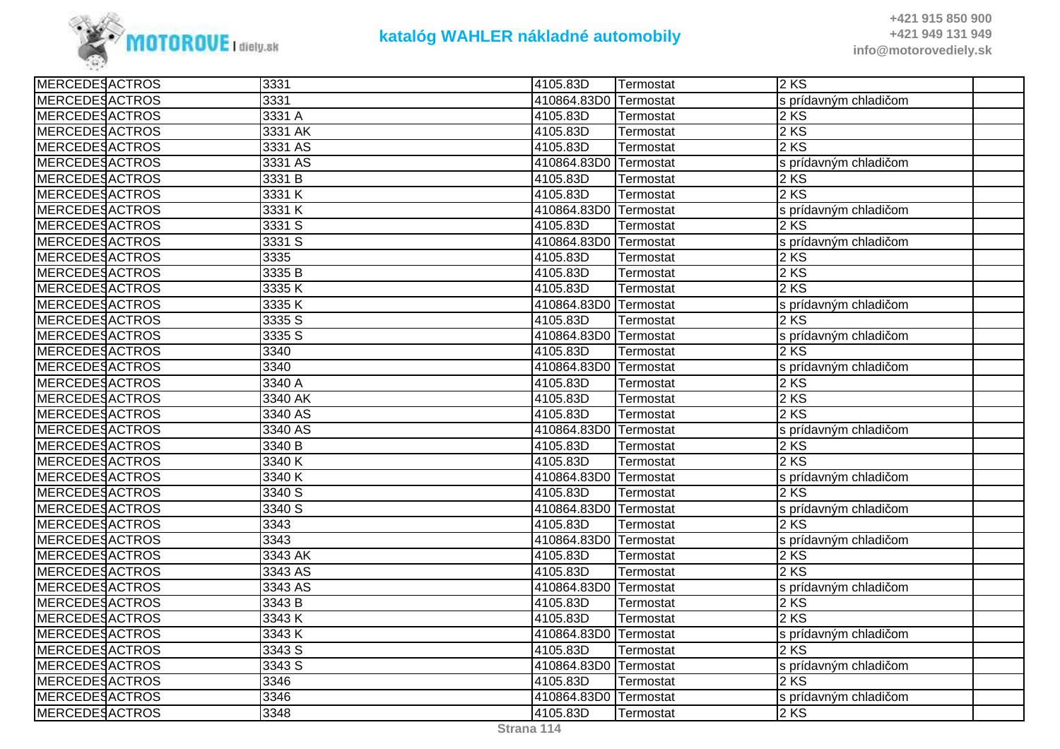

| <b>MERCEDESACTROS</b> | 3331    | 4105.83D    | Termostat        | 2 KS                  |
|-----------------------|---------|-------------|------------------|-----------------------|
| <b>MERCEDESACTROS</b> | 3331    | 410864.83D0 | Termostat        | s prídavným chladičom |
| <b>MERCEDESACTROS</b> | 3331 A  | 4105.83D    | Termostat        | 2KS                   |
| <b>MERCEDESACTROS</b> | 3331 AK | 4105.83D    | Termostat        | 2 KS                  |
| MERCEDESACTROS        | 3331 AS | 4105.83D    | Termostat        | 2 KS                  |
| <b>MERCEDESACTROS</b> | 3331 AS | 410864.83D0 | Termostat        | s prídavným chladičom |
| <b>MERCEDESACTROS</b> | 3331 B  | 4105.83D    | Termostat        | 2 KS                  |
| <b>MERCEDESACTROS</b> | 3331 K  | 4105.83D    | Termostat        | 2 KS                  |
| <b>MERCEDESACTROS</b> | 3331 K  | 410864.83D0 | Termostat        | s prídavným chladičom |
| <b>MERCEDESACTROS</b> | 3331 S  | 4105.83D    | Termostat        | 2 KS                  |
| <b>MERCEDESACTROS</b> | 3331 S  | 410864.83D0 | Termostat        | s prídavným chladičom |
| <b>MERCEDESACTROS</b> | 3335    | 4105.83D    | Termostat        | 2 KS                  |
| <b>MERCEDESACTROS</b> | 3335 B  | 4105.83D    | <b>Termostat</b> | 2 KS                  |
| <b>MERCEDESACTROS</b> | 3335K   | 4105.83D    | Termostat        | 2 KS                  |
| <b>MERCEDESACTROS</b> | 3335K   | 410864.83D0 | Termostat        | s prídavným chladičom |
| MERCEDESACTROS        | 3335 S  | 4105.83D    | Termostat        | 2 KS                  |
| <b>MERCEDESACTROS</b> | 3335 S  | 410864.83D0 | Termostat        | s prídavným chladičom |
| <b>MERCEDESACTROS</b> | 3340    | 4105.83D    | Termostat        | 2 KS                  |
| MERCEDESACTROS        | 3340    | 410864.83D0 | Termostat        | s prídavným chladičom |
| <b>MERCEDESACTROS</b> | 3340 A  | 4105.83D    | Termostat        | 2 KS                  |
| <b>MERCEDESACTROS</b> | 3340 AK | 4105.83D    | Termostat        | 2 KS                  |
| <b>MERCEDESACTROS</b> | 3340 AS | 4105.83D    | Termostat        | 2KS                   |
| <b>MERCEDESACTROS</b> | 3340 AS | 410864.83D0 | Termostat        | s prídavným chladičom |
| <b>MERCEDESACTROS</b> | 3340 B  | 4105.83D    | <b>Termostat</b> | 2 KS                  |
| <b>MERCEDESACTROS</b> | 3340 K  | 4105.83D    | Termostat        | 2 KS                  |
| MERCEDESACTROS        | 3340 K  | 410864.83D0 | Termostat        | s prídavným chladičom |
| <b>MERCEDESACTROS</b> | 3340 S  | 4105.83D    | Termostat        | 2KS                   |
| <b>MERCEDESACTROS</b> | 3340 S  | 410864.83D0 | Termostat        | s prídavným chladičom |
| <b>MERCEDESACTROS</b> | 3343    | 4105.83D    | Termostat        | 2 KS                  |
| <b>MERCEDESACTROS</b> | 3343    | 410864.83D0 | Termostat        | s prídavným chladičom |
| <b>MERCEDESACTROS</b> | 3343 AK | 4105.83D    | Termostat        | 2 KS                  |
| <b>MERCEDESACTROS</b> | 3343 AS | 4105.83D    | Termostat        | 2 KS                  |
| <b>MERCEDESACTROS</b> | 3343 AS | 410864.83D0 | Termostat        | s prídavným chladičom |
| <b>MERCEDESACTROS</b> | 3343 B  | 4105.83D    | Termostat        | 2 KS                  |
| <b>MERCEDESACTROS</b> | 3343K   | 4105.83D    | <b>Termostat</b> | 2 KS                  |
| <b>MERCEDESACTROS</b> | 3343 K  | 410864.83D0 | Termostat        | s prídavným chladičom |
| <b>MERCEDESACTROS</b> | 3343 S  | 4105.83D    | Termostat        | 2 KS                  |
| <b>MERCEDESACTROS</b> | 3343 S  | 410864.83D0 | Termostat        | s prídavným chladičom |
| <b>MERCEDESACTROS</b> | 3346    | 4105.83D    | Termostat        | 2 KS                  |
| <b>MERCEDESACTROS</b> | 3346    | 410864.83D0 | Termostat        | s prídavným chladičom |
| MERCEDESACTROS        | 3348    | 4105.83D    | Termostat        | 2KS                   |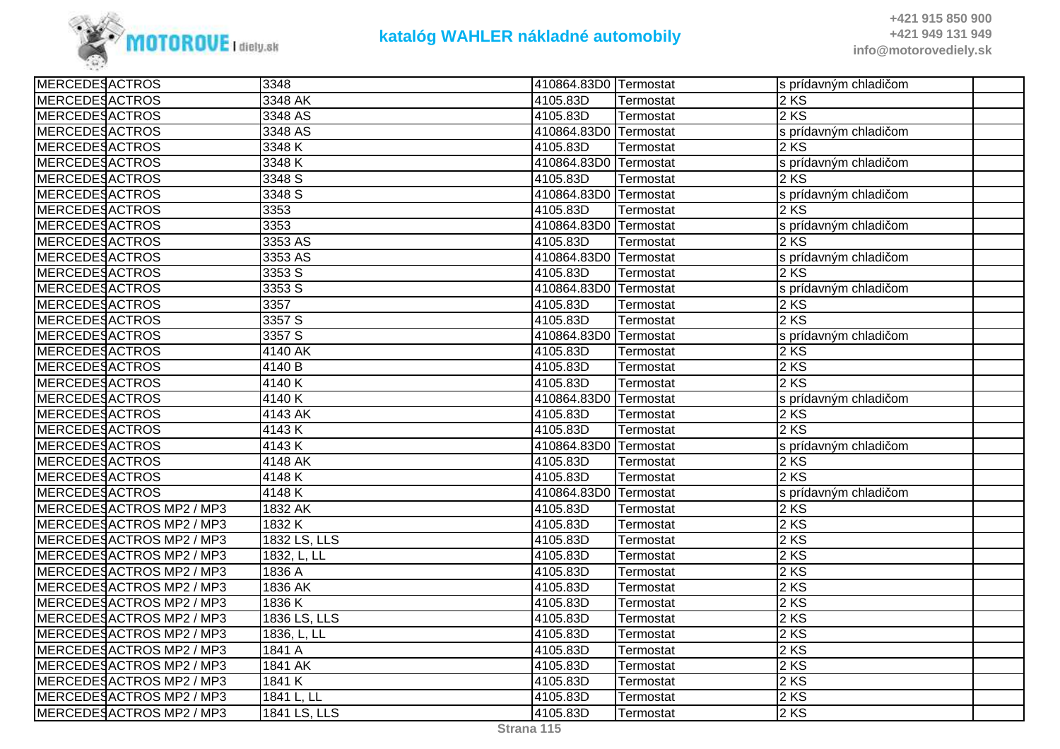

| <b>MERCEDESACTROS</b><br>3348 AK<br>2 KS<br>4105.83D<br>Termostat<br><b>MERCEDESACTROS</b><br>3348 AS<br>4105.83D<br>2 KS<br>Termostat<br>MERCEDESACTROS<br>3348 AS<br>410864.83D0<br>Termostat<br>s prídavným chladičom<br><b>MERCEDESACTROS</b><br>3348K<br>2KS<br>4105.83D<br>Termostat<br><b>MERCEDESACTROS</b><br>3348 K<br>410864.83D0<br>s prídavným chladičom<br>Termostat<br><b>MERCEDESACTROS</b><br>3348 S<br>$2\overline{KS}$<br>4105.83D<br>Termostat<br><b>MERCEDESACTROS</b><br>3348 S<br>410864.83D0<br>s prídavným chladičom<br>Termostat<br><b>MERCEDESACTROS</b><br>3353<br>4105.83D<br>2KS<br>Termostat<br>3353<br>MERCEDESACTROS<br>410864.83D0<br>Termostat<br>s prídavným chladičom<br><b>MERCEDESACTROS</b><br>3353 AS<br>4105.83D<br>2 KS<br>Termostat<br><b>MERCEDESACTROS</b><br>3353 AS<br>410864.83D0<br>s prídavným chladičom<br>Termostat<br>2 KS<br><b>MERCEDESACTROS</b><br>3353 S<br>4105.83D<br>Termostat<br><b>MERCEDESACTROS</b><br>3353 S<br>410864.83D0<br>Termostat<br>s prídavným chladičom<br>MERCEDESACTROS<br>3357<br>4105.83D<br>2KS<br>Termostat<br><b>MERCEDESACTROS</b><br>2 KS<br>3357 S<br>4105.83D<br>Termostat<br>3357 S<br><b>MERCEDESACTROS</b><br>410864.83D0<br>s prídavným chladičom<br>Termostat<br><b>MERCEDESACTROS</b><br>4140 AK<br>4105.83D<br>2 KS<br>Termostat<br><b>MERCEDESACTROS</b><br>4140 B<br>4105.83D<br>2KS<br>Termostat<br><b>MERCEDESACTROS</b><br>4140 K<br>4105.83D<br>2 KS<br>Termostat<br><b>MERCEDESACTROS</b><br>4140K<br>410864.83D0<br>Termostat<br>s prídavným chladičom<br><b>MERCEDESACTROS</b><br>4143 AK<br>4105.83D<br>2 KS<br>Termostat<br>2KS<br><b>MERCEDESACTROS</b><br>4105.83D<br>4143K<br>Termostat<br><b>MERCEDESACTROS</b><br>4143K<br>410864.83D0<br>Termostat<br>s prídavným chladičom<br><b>MERCEDESACTROS</b><br>4148 AK<br>4105.83D<br>2KS<br>Termostat<br><b>MERCEDESACTROS</b><br>4105.83D<br>2KS<br>4148K<br>Termostat<br><b>MERCEDESACTROS</b><br>4148K<br>410864.83D0<br>Termostat<br>s prídavným chladičom<br>MERCEDESACTROS MP2 / MP3<br>1832 AK<br>4105.83D<br>2 KS<br>Termostat<br>2KS<br>1832K<br>4105.83D<br>MERCEDESACTROS MP2 / MP3<br>Termostat<br>MERCEDESACTROS MP2 / MP3<br>1832 LS, LLS<br>2 KS<br>4105.83D<br>Termostat<br>MERCEDESACTROS MP2 / MP3<br>1832, L, LL<br>2 KS<br>4105.83D<br>Termostat<br>1836 A<br>4105.83D<br>2 KS<br>MERCEDESACTROS MP2 / MP3<br>Termostat<br>MERCEDESACTROS MP2 / MP3<br>1836 AK<br>2KS<br>4105.83D<br>Termostat<br>MERCEDESACTROS MP2 / MP3<br>1836 K<br>4105.83D<br>2 KS<br>Termostat<br>MERCEDESACTROS MP2 / MP3<br>1836 LS, LLS<br>4105.83D<br>2 KS<br><b>Termostat</b><br>MERCEDESACTROS MP2 / MP3<br>4105.83D<br>2 KS<br>1836, L, LL<br>Termostat<br>1841 A<br>MERCEDESACTROS MP2 / MP3<br>4105.83D<br>2KS<br>Termostat<br>1841 AK<br>2 KS<br>MERCEDESACTROS MP2 / MP3<br>4105.83D<br>Termostat<br>2 KS<br>MERCEDESACTROS MP2 / MP3<br>1841 K<br>4105.83D<br>Termostat<br>2KS<br>MERCEDESACTROS MP2 / MP3<br>1841 L, LL<br>4105.83D<br>Termostat<br>MERCEDESACTROS MP2 / MP3<br>1841 LS, LLS<br>4105.83D<br>$2$ KS<br>Termostat | <b>MERCEDESACTROS</b> | 3348 | 410864.83D0 Termostat | s prídavným chladičom |  |
|---------------------------------------------------------------------------------------------------------------------------------------------------------------------------------------------------------------------------------------------------------------------------------------------------------------------------------------------------------------------------------------------------------------------------------------------------------------------------------------------------------------------------------------------------------------------------------------------------------------------------------------------------------------------------------------------------------------------------------------------------------------------------------------------------------------------------------------------------------------------------------------------------------------------------------------------------------------------------------------------------------------------------------------------------------------------------------------------------------------------------------------------------------------------------------------------------------------------------------------------------------------------------------------------------------------------------------------------------------------------------------------------------------------------------------------------------------------------------------------------------------------------------------------------------------------------------------------------------------------------------------------------------------------------------------------------------------------------------------------------------------------------------------------------------------------------------------------------------------------------------------------------------------------------------------------------------------------------------------------------------------------------------------------------------------------------------------------------------------------------------------------------------------------------------------------------------------------------------------------------------------------------------------------------------------------------------------------------------------------------------------------------------------------------------------------------------------------------------------------------------------------------------------------------------------------------------------------------------------------------------------------------------------------------------------------------------------------------------------------------------------------------------------------------------------------------------------------------------------------------------------------------------------------------------------------------------------------------------------------------------------------------------------------------------------------------------------------------------|-----------------------|------|-----------------------|-----------------------|--|
|                                                                                                                                                                                                                                                                                                                                                                                                                                                                                                                                                                                                                                                                                                                                                                                                                                                                                                                                                                                                                                                                                                                                                                                                                                                                                                                                                                                                                                                                                                                                                                                                                                                                                                                                                                                                                                                                                                                                                                                                                                                                                                                                                                                                                                                                                                                                                                                                                                                                                                                                                                                                                                                                                                                                                                                                                                                                                                                                                                                                                                                                                                   |                       |      |                       |                       |  |
|                                                                                                                                                                                                                                                                                                                                                                                                                                                                                                                                                                                                                                                                                                                                                                                                                                                                                                                                                                                                                                                                                                                                                                                                                                                                                                                                                                                                                                                                                                                                                                                                                                                                                                                                                                                                                                                                                                                                                                                                                                                                                                                                                                                                                                                                                                                                                                                                                                                                                                                                                                                                                                                                                                                                                                                                                                                                                                                                                                                                                                                                                                   |                       |      |                       |                       |  |
|                                                                                                                                                                                                                                                                                                                                                                                                                                                                                                                                                                                                                                                                                                                                                                                                                                                                                                                                                                                                                                                                                                                                                                                                                                                                                                                                                                                                                                                                                                                                                                                                                                                                                                                                                                                                                                                                                                                                                                                                                                                                                                                                                                                                                                                                                                                                                                                                                                                                                                                                                                                                                                                                                                                                                                                                                                                                                                                                                                                                                                                                                                   |                       |      |                       |                       |  |
|                                                                                                                                                                                                                                                                                                                                                                                                                                                                                                                                                                                                                                                                                                                                                                                                                                                                                                                                                                                                                                                                                                                                                                                                                                                                                                                                                                                                                                                                                                                                                                                                                                                                                                                                                                                                                                                                                                                                                                                                                                                                                                                                                                                                                                                                                                                                                                                                                                                                                                                                                                                                                                                                                                                                                                                                                                                                                                                                                                                                                                                                                                   |                       |      |                       |                       |  |
|                                                                                                                                                                                                                                                                                                                                                                                                                                                                                                                                                                                                                                                                                                                                                                                                                                                                                                                                                                                                                                                                                                                                                                                                                                                                                                                                                                                                                                                                                                                                                                                                                                                                                                                                                                                                                                                                                                                                                                                                                                                                                                                                                                                                                                                                                                                                                                                                                                                                                                                                                                                                                                                                                                                                                                                                                                                                                                                                                                                                                                                                                                   |                       |      |                       |                       |  |
|                                                                                                                                                                                                                                                                                                                                                                                                                                                                                                                                                                                                                                                                                                                                                                                                                                                                                                                                                                                                                                                                                                                                                                                                                                                                                                                                                                                                                                                                                                                                                                                                                                                                                                                                                                                                                                                                                                                                                                                                                                                                                                                                                                                                                                                                                                                                                                                                                                                                                                                                                                                                                                                                                                                                                                                                                                                                                                                                                                                                                                                                                                   |                       |      |                       |                       |  |
|                                                                                                                                                                                                                                                                                                                                                                                                                                                                                                                                                                                                                                                                                                                                                                                                                                                                                                                                                                                                                                                                                                                                                                                                                                                                                                                                                                                                                                                                                                                                                                                                                                                                                                                                                                                                                                                                                                                                                                                                                                                                                                                                                                                                                                                                                                                                                                                                                                                                                                                                                                                                                                                                                                                                                                                                                                                                                                                                                                                                                                                                                                   |                       |      |                       |                       |  |
|                                                                                                                                                                                                                                                                                                                                                                                                                                                                                                                                                                                                                                                                                                                                                                                                                                                                                                                                                                                                                                                                                                                                                                                                                                                                                                                                                                                                                                                                                                                                                                                                                                                                                                                                                                                                                                                                                                                                                                                                                                                                                                                                                                                                                                                                                                                                                                                                                                                                                                                                                                                                                                                                                                                                                                                                                                                                                                                                                                                                                                                                                                   |                       |      |                       |                       |  |
|                                                                                                                                                                                                                                                                                                                                                                                                                                                                                                                                                                                                                                                                                                                                                                                                                                                                                                                                                                                                                                                                                                                                                                                                                                                                                                                                                                                                                                                                                                                                                                                                                                                                                                                                                                                                                                                                                                                                                                                                                                                                                                                                                                                                                                                                                                                                                                                                                                                                                                                                                                                                                                                                                                                                                                                                                                                                                                                                                                                                                                                                                                   |                       |      |                       |                       |  |
|                                                                                                                                                                                                                                                                                                                                                                                                                                                                                                                                                                                                                                                                                                                                                                                                                                                                                                                                                                                                                                                                                                                                                                                                                                                                                                                                                                                                                                                                                                                                                                                                                                                                                                                                                                                                                                                                                                                                                                                                                                                                                                                                                                                                                                                                                                                                                                                                                                                                                                                                                                                                                                                                                                                                                                                                                                                                                                                                                                                                                                                                                                   |                       |      |                       |                       |  |
|                                                                                                                                                                                                                                                                                                                                                                                                                                                                                                                                                                                                                                                                                                                                                                                                                                                                                                                                                                                                                                                                                                                                                                                                                                                                                                                                                                                                                                                                                                                                                                                                                                                                                                                                                                                                                                                                                                                                                                                                                                                                                                                                                                                                                                                                                                                                                                                                                                                                                                                                                                                                                                                                                                                                                                                                                                                                                                                                                                                                                                                                                                   |                       |      |                       |                       |  |
|                                                                                                                                                                                                                                                                                                                                                                                                                                                                                                                                                                                                                                                                                                                                                                                                                                                                                                                                                                                                                                                                                                                                                                                                                                                                                                                                                                                                                                                                                                                                                                                                                                                                                                                                                                                                                                                                                                                                                                                                                                                                                                                                                                                                                                                                                                                                                                                                                                                                                                                                                                                                                                                                                                                                                                                                                                                                                                                                                                                                                                                                                                   |                       |      |                       |                       |  |
|                                                                                                                                                                                                                                                                                                                                                                                                                                                                                                                                                                                                                                                                                                                                                                                                                                                                                                                                                                                                                                                                                                                                                                                                                                                                                                                                                                                                                                                                                                                                                                                                                                                                                                                                                                                                                                                                                                                                                                                                                                                                                                                                                                                                                                                                                                                                                                                                                                                                                                                                                                                                                                                                                                                                                                                                                                                                                                                                                                                                                                                                                                   |                       |      |                       |                       |  |
|                                                                                                                                                                                                                                                                                                                                                                                                                                                                                                                                                                                                                                                                                                                                                                                                                                                                                                                                                                                                                                                                                                                                                                                                                                                                                                                                                                                                                                                                                                                                                                                                                                                                                                                                                                                                                                                                                                                                                                                                                                                                                                                                                                                                                                                                                                                                                                                                                                                                                                                                                                                                                                                                                                                                                                                                                                                                                                                                                                                                                                                                                                   |                       |      |                       |                       |  |
|                                                                                                                                                                                                                                                                                                                                                                                                                                                                                                                                                                                                                                                                                                                                                                                                                                                                                                                                                                                                                                                                                                                                                                                                                                                                                                                                                                                                                                                                                                                                                                                                                                                                                                                                                                                                                                                                                                                                                                                                                                                                                                                                                                                                                                                                                                                                                                                                                                                                                                                                                                                                                                                                                                                                                                                                                                                                                                                                                                                                                                                                                                   |                       |      |                       |                       |  |
|                                                                                                                                                                                                                                                                                                                                                                                                                                                                                                                                                                                                                                                                                                                                                                                                                                                                                                                                                                                                                                                                                                                                                                                                                                                                                                                                                                                                                                                                                                                                                                                                                                                                                                                                                                                                                                                                                                                                                                                                                                                                                                                                                                                                                                                                                                                                                                                                                                                                                                                                                                                                                                                                                                                                                                                                                                                                                                                                                                                                                                                                                                   |                       |      |                       |                       |  |
|                                                                                                                                                                                                                                                                                                                                                                                                                                                                                                                                                                                                                                                                                                                                                                                                                                                                                                                                                                                                                                                                                                                                                                                                                                                                                                                                                                                                                                                                                                                                                                                                                                                                                                                                                                                                                                                                                                                                                                                                                                                                                                                                                                                                                                                                                                                                                                                                                                                                                                                                                                                                                                                                                                                                                                                                                                                                                                                                                                                                                                                                                                   |                       |      |                       |                       |  |
|                                                                                                                                                                                                                                                                                                                                                                                                                                                                                                                                                                                                                                                                                                                                                                                                                                                                                                                                                                                                                                                                                                                                                                                                                                                                                                                                                                                                                                                                                                                                                                                                                                                                                                                                                                                                                                                                                                                                                                                                                                                                                                                                                                                                                                                                                                                                                                                                                                                                                                                                                                                                                                                                                                                                                                                                                                                                                                                                                                                                                                                                                                   |                       |      |                       |                       |  |
|                                                                                                                                                                                                                                                                                                                                                                                                                                                                                                                                                                                                                                                                                                                                                                                                                                                                                                                                                                                                                                                                                                                                                                                                                                                                                                                                                                                                                                                                                                                                                                                                                                                                                                                                                                                                                                                                                                                                                                                                                                                                                                                                                                                                                                                                                                                                                                                                                                                                                                                                                                                                                                                                                                                                                                                                                                                                                                                                                                                                                                                                                                   |                       |      |                       |                       |  |
|                                                                                                                                                                                                                                                                                                                                                                                                                                                                                                                                                                                                                                                                                                                                                                                                                                                                                                                                                                                                                                                                                                                                                                                                                                                                                                                                                                                                                                                                                                                                                                                                                                                                                                                                                                                                                                                                                                                                                                                                                                                                                                                                                                                                                                                                                                                                                                                                                                                                                                                                                                                                                                                                                                                                                                                                                                                                                                                                                                                                                                                                                                   |                       |      |                       |                       |  |
|                                                                                                                                                                                                                                                                                                                                                                                                                                                                                                                                                                                                                                                                                                                                                                                                                                                                                                                                                                                                                                                                                                                                                                                                                                                                                                                                                                                                                                                                                                                                                                                                                                                                                                                                                                                                                                                                                                                                                                                                                                                                                                                                                                                                                                                                                                                                                                                                                                                                                                                                                                                                                                                                                                                                                                                                                                                                                                                                                                                                                                                                                                   |                       |      |                       |                       |  |
|                                                                                                                                                                                                                                                                                                                                                                                                                                                                                                                                                                                                                                                                                                                                                                                                                                                                                                                                                                                                                                                                                                                                                                                                                                                                                                                                                                                                                                                                                                                                                                                                                                                                                                                                                                                                                                                                                                                                                                                                                                                                                                                                                                                                                                                                                                                                                                                                                                                                                                                                                                                                                                                                                                                                                                                                                                                                                                                                                                                                                                                                                                   |                       |      |                       |                       |  |
|                                                                                                                                                                                                                                                                                                                                                                                                                                                                                                                                                                                                                                                                                                                                                                                                                                                                                                                                                                                                                                                                                                                                                                                                                                                                                                                                                                                                                                                                                                                                                                                                                                                                                                                                                                                                                                                                                                                                                                                                                                                                                                                                                                                                                                                                                                                                                                                                                                                                                                                                                                                                                                                                                                                                                                                                                                                                                                                                                                                                                                                                                                   |                       |      |                       |                       |  |
|                                                                                                                                                                                                                                                                                                                                                                                                                                                                                                                                                                                                                                                                                                                                                                                                                                                                                                                                                                                                                                                                                                                                                                                                                                                                                                                                                                                                                                                                                                                                                                                                                                                                                                                                                                                                                                                                                                                                                                                                                                                                                                                                                                                                                                                                                                                                                                                                                                                                                                                                                                                                                                                                                                                                                                                                                                                                                                                                                                                                                                                                                                   |                       |      |                       |                       |  |
|                                                                                                                                                                                                                                                                                                                                                                                                                                                                                                                                                                                                                                                                                                                                                                                                                                                                                                                                                                                                                                                                                                                                                                                                                                                                                                                                                                                                                                                                                                                                                                                                                                                                                                                                                                                                                                                                                                                                                                                                                                                                                                                                                                                                                                                                                                                                                                                                                                                                                                                                                                                                                                                                                                                                                                                                                                                                                                                                                                                                                                                                                                   |                       |      |                       |                       |  |
|                                                                                                                                                                                                                                                                                                                                                                                                                                                                                                                                                                                                                                                                                                                                                                                                                                                                                                                                                                                                                                                                                                                                                                                                                                                                                                                                                                                                                                                                                                                                                                                                                                                                                                                                                                                                                                                                                                                                                                                                                                                                                                                                                                                                                                                                                                                                                                                                                                                                                                                                                                                                                                                                                                                                                                                                                                                                                                                                                                                                                                                                                                   |                       |      |                       |                       |  |
|                                                                                                                                                                                                                                                                                                                                                                                                                                                                                                                                                                                                                                                                                                                                                                                                                                                                                                                                                                                                                                                                                                                                                                                                                                                                                                                                                                                                                                                                                                                                                                                                                                                                                                                                                                                                                                                                                                                                                                                                                                                                                                                                                                                                                                                                                                                                                                                                                                                                                                                                                                                                                                                                                                                                                                                                                                                                                                                                                                                                                                                                                                   |                       |      |                       |                       |  |
|                                                                                                                                                                                                                                                                                                                                                                                                                                                                                                                                                                                                                                                                                                                                                                                                                                                                                                                                                                                                                                                                                                                                                                                                                                                                                                                                                                                                                                                                                                                                                                                                                                                                                                                                                                                                                                                                                                                                                                                                                                                                                                                                                                                                                                                                                                                                                                                                                                                                                                                                                                                                                                                                                                                                                                                                                                                                                                                                                                                                                                                                                                   |                       |      |                       |                       |  |
|                                                                                                                                                                                                                                                                                                                                                                                                                                                                                                                                                                                                                                                                                                                                                                                                                                                                                                                                                                                                                                                                                                                                                                                                                                                                                                                                                                                                                                                                                                                                                                                                                                                                                                                                                                                                                                                                                                                                                                                                                                                                                                                                                                                                                                                                                                                                                                                                                                                                                                                                                                                                                                                                                                                                                                                                                                                                                                                                                                                                                                                                                                   |                       |      |                       |                       |  |
|                                                                                                                                                                                                                                                                                                                                                                                                                                                                                                                                                                                                                                                                                                                                                                                                                                                                                                                                                                                                                                                                                                                                                                                                                                                                                                                                                                                                                                                                                                                                                                                                                                                                                                                                                                                                                                                                                                                                                                                                                                                                                                                                                                                                                                                                                                                                                                                                                                                                                                                                                                                                                                                                                                                                                                                                                                                                                                                                                                                                                                                                                                   |                       |      |                       |                       |  |
|                                                                                                                                                                                                                                                                                                                                                                                                                                                                                                                                                                                                                                                                                                                                                                                                                                                                                                                                                                                                                                                                                                                                                                                                                                                                                                                                                                                                                                                                                                                                                                                                                                                                                                                                                                                                                                                                                                                                                                                                                                                                                                                                                                                                                                                                                                                                                                                                                                                                                                                                                                                                                                                                                                                                                                                                                                                                                                                                                                                                                                                                                                   |                       |      |                       |                       |  |
|                                                                                                                                                                                                                                                                                                                                                                                                                                                                                                                                                                                                                                                                                                                                                                                                                                                                                                                                                                                                                                                                                                                                                                                                                                                                                                                                                                                                                                                                                                                                                                                                                                                                                                                                                                                                                                                                                                                                                                                                                                                                                                                                                                                                                                                                                                                                                                                                                                                                                                                                                                                                                                                                                                                                                                                                                                                                                                                                                                                                                                                                                                   |                       |      |                       |                       |  |
|                                                                                                                                                                                                                                                                                                                                                                                                                                                                                                                                                                                                                                                                                                                                                                                                                                                                                                                                                                                                                                                                                                                                                                                                                                                                                                                                                                                                                                                                                                                                                                                                                                                                                                                                                                                                                                                                                                                                                                                                                                                                                                                                                                                                                                                                                                                                                                                                                                                                                                                                                                                                                                                                                                                                                                                                                                                                                                                                                                                                                                                                                                   |                       |      |                       |                       |  |
|                                                                                                                                                                                                                                                                                                                                                                                                                                                                                                                                                                                                                                                                                                                                                                                                                                                                                                                                                                                                                                                                                                                                                                                                                                                                                                                                                                                                                                                                                                                                                                                                                                                                                                                                                                                                                                                                                                                                                                                                                                                                                                                                                                                                                                                                                                                                                                                                                                                                                                                                                                                                                                                                                                                                                                                                                                                                                                                                                                                                                                                                                                   |                       |      |                       |                       |  |
|                                                                                                                                                                                                                                                                                                                                                                                                                                                                                                                                                                                                                                                                                                                                                                                                                                                                                                                                                                                                                                                                                                                                                                                                                                                                                                                                                                                                                                                                                                                                                                                                                                                                                                                                                                                                                                                                                                                                                                                                                                                                                                                                                                                                                                                                                                                                                                                                                                                                                                                                                                                                                                                                                                                                                                                                                                                                                                                                                                                                                                                                                                   |                       |      |                       |                       |  |
|                                                                                                                                                                                                                                                                                                                                                                                                                                                                                                                                                                                                                                                                                                                                                                                                                                                                                                                                                                                                                                                                                                                                                                                                                                                                                                                                                                                                                                                                                                                                                                                                                                                                                                                                                                                                                                                                                                                                                                                                                                                                                                                                                                                                                                                                                                                                                                                                                                                                                                                                                                                                                                                                                                                                                                                                                                                                                                                                                                                                                                                                                                   |                       |      |                       |                       |  |
|                                                                                                                                                                                                                                                                                                                                                                                                                                                                                                                                                                                                                                                                                                                                                                                                                                                                                                                                                                                                                                                                                                                                                                                                                                                                                                                                                                                                                                                                                                                                                                                                                                                                                                                                                                                                                                                                                                                                                                                                                                                                                                                                                                                                                                                                                                                                                                                                                                                                                                                                                                                                                                                                                                                                                                                                                                                                                                                                                                                                                                                                                                   |                       |      |                       |                       |  |
|                                                                                                                                                                                                                                                                                                                                                                                                                                                                                                                                                                                                                                                                                                                                                                                                                                                                                                                                                                                                                                                                                                                                                                                                                                                                                                                                                                                                                                                                                                                                                                                                                                                                                                                                                                                                                                                                                                                                                                                                                                                                                                                                                                                                                                                                                                                                                                                                                                                                                                                                                                                                                                                                                                                                                                                                                                                                                                                                                                                                                                                                                                   |                       |      |                       |                       |  |
|                                                                                                                                                                                                                                                                                                                                                                                                                                                                                                                                                                                                                                                                                                                                                                                                                                                                                                                                                                                                                                                                                                                                                                                                                                                                                                                                                                                                                                                                                                                                                                                                                                                                                                                                                                                                                                                                                                                                                                                                                                                                                                                                                                                                                                                                                                                                                                                                                                                                                                                                                                                                                                                                                                                                                                                                                                                                                                                                                                                                                                                                                                   |                       |      |                       |                       |  |
|                                                                                                                                                                                                                                                                                                                                                                                                                                                                                                                                                                                                                                                                                                                                                                                                                                                                                                                                                                                                                                                                                                                                                                                                                                                                                                                                                                                                                                                                                                                                                                                                                                                                                                                                                                                                                                                                                                                                                                                                                                                                                                                                                                                                                                                                                                                                                                                                                                                                                                                                                                                                                                                                                                                                                                                                                                                                                                                                                                                                                                                                                                   |                       |      |                       |                       |  |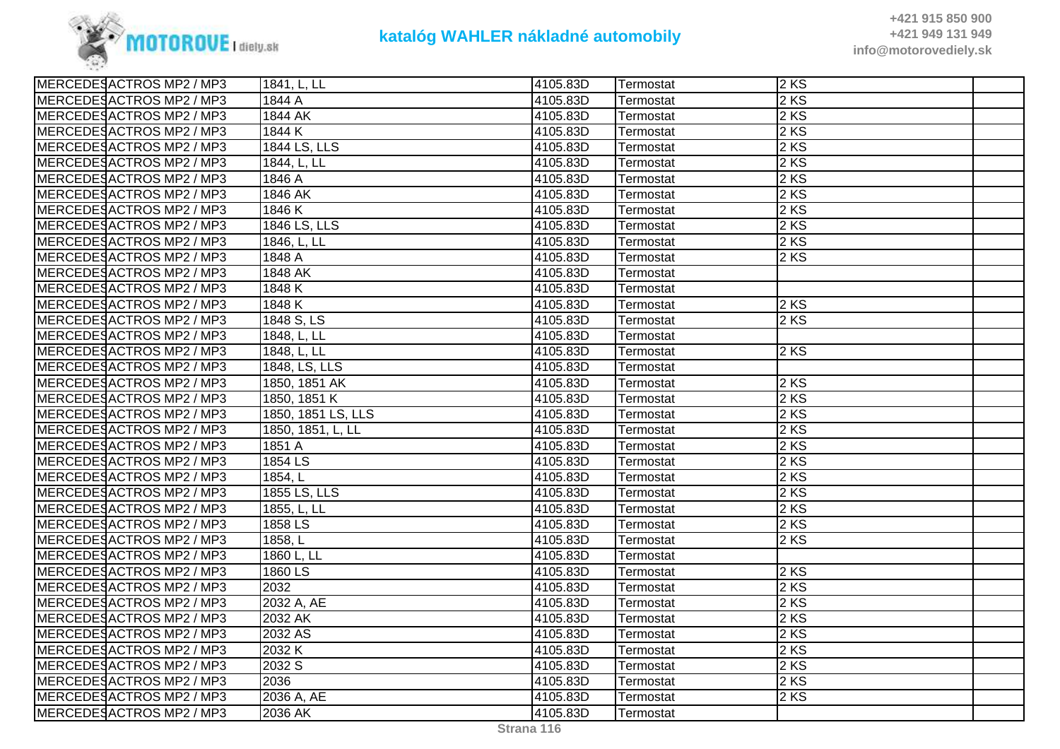

| MERCEDESACTROS MP2 / MP3 | 1841, L, LL        | 4105.83D | Termostat | 2 KS   |  |
|--------------------------|--------------------|----------|-----------|--------|--|
| MERCEDESACTROS MP2 / MP3 | 1844 A             | 4105.83D | Termostat | 2 KS   |  |
| MERCEDESACTROS MP2 / MP3 | 1844 AK            | 4105.83D | Termostat | 2KS    |  |
| MERCEDESACTROS MP2 / MP3 | 1844 K             | 4105.83D | Termostat | 2KS    |  |
| MERCEDESACTROS MP2 / MP3 | 1844 LS, LLS       | 4105.83D | Termostat | $2$ KS |  |
| MERCEDESACTROS MP2 / MP3 | 1844, L, LL        | 4105.83D | Termostat | 2 KS   |  |
| MERCEDESACTROS MP2 / MP3 | 1846 A             | 4105.83D | Termostat | $2$ KS |  |
| MERCEDESACTROS MP2 / MP3 | 1846 AK            | 4105.83D | Termostat | 2 KS   |  |
| MERCEDESACTROS MP2 / MP3 | 1846 K             | 4105.83D | Termostat | 2KS    |  |
| MERCEDESACTROS MP2 / MP3 | 1846 LS, LLS       | 4105.83D | Termostat | 2 KS   |  |
| MERCEDESACTROS MP2 / MP3 | 1846, L, LL        | 4105.83D | Termostat | 2KS    |  |
| MERCEDESACTROS MP2 / MP3 | 1848 A             | 4105.83D | Termostat | $2$ KS |  |
| MERCEDESACTROS MP2 / MP3 | 1848 AK            | 4105.83D | Termostat |        |  |
| MERCEDESACTROS MP2 / MP3 | 1848 K             | 4105.83D | Termostat |        |  |
| MERCEDESACTROS MP2 / MP3 | 1848 K             | 4105.83D | Termostat | 2 KS   |  |
| MERCEDESACTROS MP2 / MP3 | 1848 S, LS         | 4105.83D | Termostat | 2KS    |  |
| MERCEDESACTROS MP2 / MP3 | 1848, L, LL        | 4105.83D | Termostat |        |  |
| MERCEDESACTROS MP2 / MP3 | 1848, L, LL        | 4105.83D | Termostat | 2 KS   |  |
| MERCEDESACTROS MP2 / MP3 | 1848, LS, LLS      | 4105.83D | Termostat |        |  |
| MERCEDESACTROS MP2 / MP3 | 1850, 1851 AK      | 4105.83D | Termostat | 2KS    |  |
| MERCEDESACTROS MP2 / MP3 | 1850, 1851 K       | 4105.83D | Termostat | 2 KS   |  |
| MERCEDESACTROS MP2 / MP3 | 1850, 1851 LS, LLS | 4105.83D | Termostat | 2 KS   |  |
| MERCEDESACTROS MP2 / MP3 | 1850, 1851, L, LL  | 4105.83D | Termostat | 2 KS   |  |
| MERCEDESACTROS MP2 / MP3 | 1851 A             | 4105.83D | Termostat | 2 KS   |  |
| MERCEDESACTROS MP2 / MP3 | 1854 LS            | 4105.83D | Termostat | 2KS    |  |
| MERCEDESACTROS MP2 / MP3 | 1854, L            | 4105.83D | Termostat | 2 KS   |  |
| MERCEDESACTROS MP2 / MP3 | 1855 LS, LLS       | 4105.83D | Termostat | 2 KS   |  |
| MERCEDESACTROS MP2 / MP3 | 1855, L, LL        | 4105.83D | Termostat | $2$ KS |  |
| MERCEDESACTROS MP2 / MP3 | 1858 LS            | 4105.83D | Termostat | 2 KS   |  |
| MERCEDESACTROS MP2 / MP3 | 1858, L            | 4105.83D | Termostat | 2KS    |  |
| MERCEDESACTROS MP2 / MP3 | 1860 L, LL         | 4105.83D | Termostat |        |  |
| MERCEDESACTROS MP2 / MP3 | 1860 LS            | 4105.83D | Termostat | 2KS    |  |
| MERCEDESACTROS MP2 / MP3 | 2032               | 4105.83D | Termostat | 2 KS   |  |
| MERCEDESACTROS MP2 / MP3 | 2032 A, AE         | 4105.83D | Termostat | 2KS    |  |
| MERCEDESACTROS MP2 / MP3 | 2032 AK            | 4105.83D | Termostat | 2 KS   |  |
| MERCEDESACTROS MP2 / MP3 | 2032 AS            | 4105.83D | Termostat | 2KS    |  |
| MERCEDESACTROS MP2 / MP3 | 2032 K             | 4105.83D | Termostat | 2 KS   |  |
| MERCEDESACTROS MP2 / MP3 | 2032 S             | 4105.83D | Termostat | 2KS    |  |
| MERCEDESACTROS MP2 / MP3 | 2036               | 4105.83D | Termostat | 2 KS   |  |
| MERCEDESACTROS MP2 / MP3 | 2036 A, AE         | 4105.83D | Termostat | 2KS    |  |
| MERCEDESACTROS MP2 / MP3 | 2036 AK            | 4105.83D | Termostat |        |  |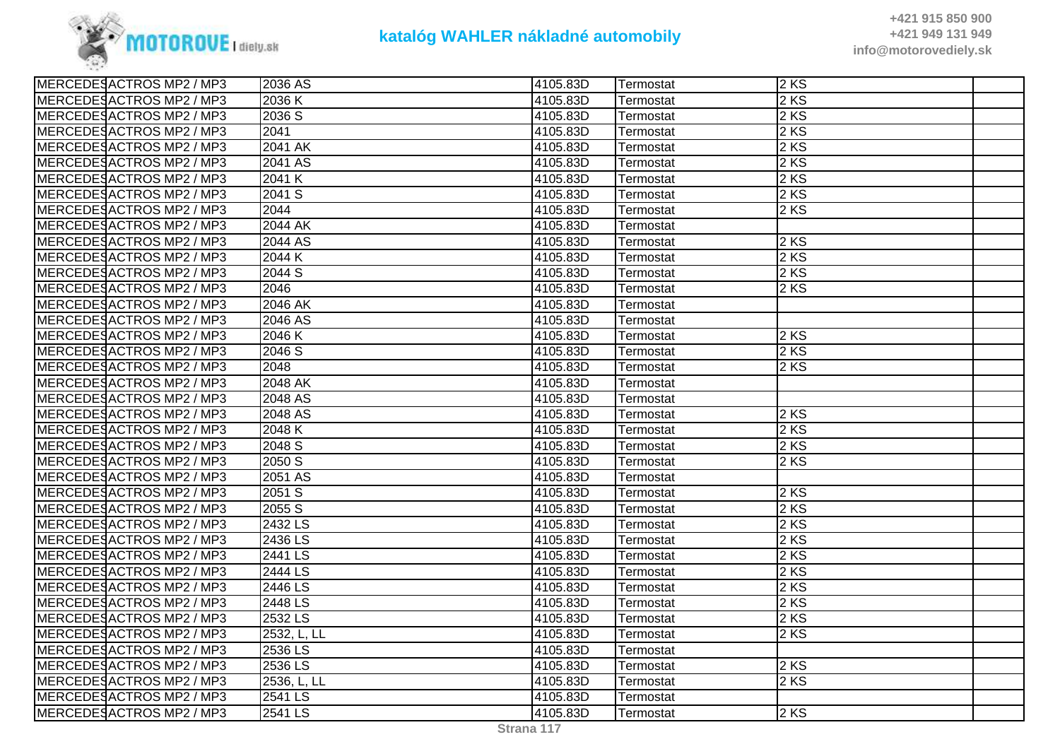

| MERCEDESACTROS MP2 / MP3 | 2036 AS     | 4105.83D | Termostat | 2KS    |  |
|--------------------------|-------------|----------|-----------|--------|--|
| MERCEDESACTROS MP2 / MP3 | 2036 K      | 4105.83D | Termostat | 2 KS   |  |
| MERCEDESACTROS MP2 / MP3 | 2036 S      | 4105.83D | Termostat | $2$ KS |  |
| MERCEDESACTROS MP2 / MP3 | 2041        | 4105.83D | Termostat | 2KS    |  |
| MERCEDESACTROS MP2 / MP3 | 2041 AK     | 4105.83D | Termostat | $2$ KS |  |
| MERCEDESACTROS MP2 / MP3 | 2041 AS     | 4105.83D | Termostat | 2 KS   |  |
| MERCEDESACTROS MP2 / MP3 | 2041 K      | 4105.83D | Termostat | 2 KS   |  |
| MERCEDESACTROS MP2 / MP3 | 2041 S      | 4105.83D | Termostat | 2 KS   |  |
| MERCEDESACTROS MP2 / MP3 | 2044        | 4105.83D | Termostat | 2 KS   |  |
| MERCEDESACTROS MP2 / MP3 | 2044 AK     | 4105.83D | Termostat |        |  |
| MERCEDESACTROS MP2 / MP3 | 2044 AS     | 4105.83D | Termostat | 2 KS   |  |
| MERCEDESACTROS MP2 / MP3 | 2044 K      | 4105.83D | Termostat | $2$ KS |  |
| MERCEDESACTROS MP2 / MP3 | 2044 S      | 4105.83D | Termostat | 2 KS   |  |
| MERCEDESACTROS MP2 / MP3 | 2046        | 4105.83D | Termostat | $2$ KS |  |
| MERCEDESACTROS MP2 / MP3 | 2046 AK     | 4105.83D | Termostat |        |  |
| MERCEDESACTROS MP2 / MP3 | 2046 AS     | 4105.83D | Termostat |        |  |
| MERCEDESACTROS MP2 / MP3 | 2046 K      | 4105.83D | Termostat | $2$ KS |  |
| MERCEDESACTROS MP2 / MP3 | 2046 S      | 4105.83D | Termostat | 2 KS   |  |
| MERCEDESACTROS MP2 / MP3 | 2048        | 4105.83D | Termostat | $2$ KS |  |
| MERCEDESACTROS MP2 / MP3 | 2048 AK     | 4105.83D | Termostat |        |  |
| MERCEDESACTROS MP2 / MP3 | 2048 AS     | 4105.83D | Termostat |        |  |
| MERCEDESACTROS MP2 / MP3 | 2048 AS     | 4105.83D | Termostat | $2$ KS |  |
| MERCEDESACTROS MP2 / MP3 | 2048 K      | 4105.83D | Termostat | 2KS    |  |
| MERCEDESACTROS MP2 / MP3 | 2048 S      | 4105.83D | Termostat | 2KS    |  |
| MERCEDESACTROS MP2 / MP3 | 2050 S      | 4105.83D | Termostat | $2$ KS |  |
| MERCEDESACTROS MP2 / MP3 | 2051 AS     | 4105.83D | Termostat |        |  |
| MERCEDESACTROS MP2 / MP3 | 2051S       | 4105.83D | Termostat | 2 KS   |  |
| MERCEDESACTROS MP2 / MP3 | 2055 S      | 4105.83D | Termostat | 2 KS   |  |
| MERCEDESACTROS MP2 / MP3 | 2432 LS     | 4105.83D | Termostat | 2 KS   |  |
| MERCEDESACTROS MP2 / MP3 | 2436 LS     | 4105.83D | Termostat | 2 KS   |  |
| MERCEDESACTROS MP2 / MP3 | 2441 LS     | 4105.83D | Termostat | 2KS    |  |
| MERCEDESACTROS MP2 / MP3 | 2444 LS     | 4105.83D | Termostat | 2KS    |  |
| MERCEDESACTROS MP2 / MP3 | 2446 LS     | 4105.83D | Termostat | 2 KS   |  |
| MERCEDESACTROS MP2 / MP3 | 2448 LS     | 4105.83D | Termostat | 2 KS   |  |
| MERCEDESACTROS MP2 / MP3 | 2532 LS     | 4105.83D | Termostat | $2$ KS |  |
| MERCEDESACTROS MP2 / MP3 | 2532, L, LL | 4105.83D | Termostat | 2KS    |  |
| MERCEDESACTROS MP2 / MP3 | 2536 LS     | 4105.83D | Termostat |        |  |
| MERCEDESACTROS MP2 / MP3 | 2536 LS     | 4105.83D | Termostat | 2 KS   |  |
| MERCEDESACTROS MP2 / MP3 | 2536, L, LL | 4105.83D | Termostat | 2 KS   |  |
| MERCEDESACTROS MP2 / MP3 | 2541 LS     | 4105.83D | Termostat |        |  |
| MERCEDESACTROS MP2 / MP3 | 2541 LS     | 4105.83D | Termostat | $2$ KS |  |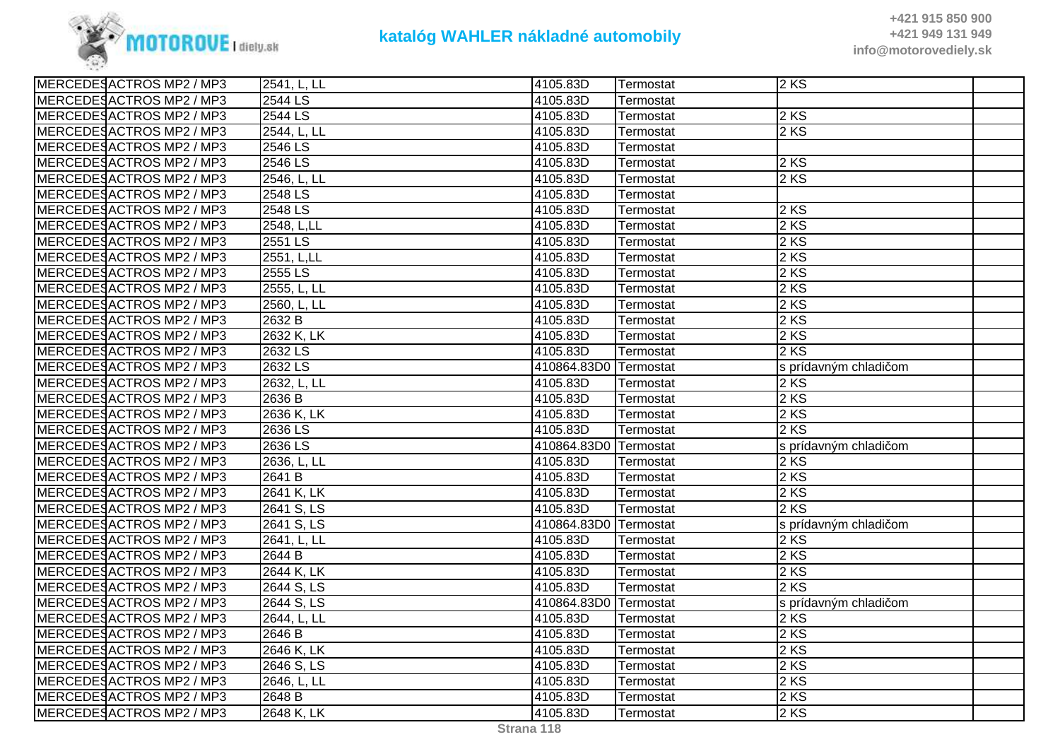

| MERCEDESACTROS MP2 / MP3 | 2541, L, LL | 4105.83D              | Termostat | 2KS                   |  |
|--------------------------|-------------|-----------------------|-----------|-----------------------|--|
| MERCEDESACTROS MP2 / MP3 | 2544 LS     | 4105.83D              | Termostat |                       |  |
| MERCEDESACTROS MP2 / MP3 | 2544 LS     | 4105.83D              | Termostat | $2$ KS                |  |
| MERCEDESACTROS MP2 / MP3 | 2544, L, LL | 4105.83D              | Termostat | $2$ KS                |  |
| MERCEDESACTROS MP2 / MP3 | 2546 LS     | 4105.83D              | Termostat |                       |  |
| MERCEDESACTROS MP2 / MP3 | 2546 LS     | 4105.83D              | Termostat | $2$ KS                |  |
| MERCEDESACTROS MP2 / MP3 | 2546, L, LL | 4105.83D              | Termostat | $2$ KS                |  |
| MERCEDESACTROS MP2 / MP3 | 2548 LS     | 4105.83D              | Termostat |                       |  |
| MERCEDESACTROS MP2 / MP3 | 2548 LS     | 4105.83D              | Termostat | $2$ KS                |  |
| MERCEDESACTROS MP2 / MP3 | 2548, L,LL  | 4105.83D              | Termostat | 2 KS                  |  |
| MERCEDESACTROS MP2 / MP3 | $2551$ LS   | 4105.83D              | Termostat | $2$ KS                |  |
| MERCEDESACTROS MP2 / MP3 | 2551, L,LL  | 4105.83D              | Termostat | $2$ KS                |  |
| MERCEDESACTROS MP2 / MP3 | 2555 LS     | 4105.83D              | Termostat | $2$ KS                |  |
| MERCEDESACTROS MP2 / MP3 | 2555, L, LL | 4105.83D              | Termostat | $2$ KS                |  |
| MERCEDESACTROS MP2 / MP3 | 2560, L, LL | 4105.83D              | Termostat | 2 KS                  |  |
| MERCEDESACTROS MP2 / MP3 | 2632 B      | 4105.83D              | Termostat | 2 KS                  |  |
| MERCEDESACTROS MP2 / MP3 | 2632 K, LK  | 4105.83D              | Termostat | $2$ KS                |  |
| MERCEDESACTROS MP2 / MP3 | 2632 LS     | 4105.83D              | Termostat | 2 KS                  |  |
| MERCEDESACTROS MP2 / MP3 | 2632 LS     | 410864.83D0 Termostat |           | s prídavným chladičom |  |
| MERCEDESACTROS MP2 / MP3 | 2632, L, LL | 4105.83D              | Termostat | 2KS                   |  |
| MERCEDESACTROS MP2 / MP3 | 2636 B      | 4105.83D              | Termostat | 2 KS                  |  |
| MERCEDESACTROS MP2 / MP3 | 2636 K, LK  | 4105.83D              | Termostat | 2 KS                  |  |
| MERCEDESACTROS MP2 / MP3 | 2636 LS     | 4105.83D              | Termostat | $2$ KS                |  |
| MERCEDESACTROS MP2 / MP3 | 2636 LS     | 410864.83D0 Termostat |           | s prídavným chladičom |  |
| MERCEDESACTROS MP2 / MP3 | 2636, L, LL | 4105.83D              | Termostat | $2$ KS                |  |
| MERCEDESACTROS MP2 / MP3 | 2641 B      | 4105.83D              | Termostat | 2 KS                  |  |
| MERCEDESACTROS MP2 / MP3 | 2641 K, LK  | 4105.83D              | Termostat | $2$ KS                |  |
| MERCEDESACTROS MP2 / MP3 | 2641 S, LS  | 4105.83D              | Termostat | $2$ KS                |  |
| MERCEDESACTROS MP2 / MP3 | 2641 S, LS  | 410864.83D0 Termostat |           | s prídavným chladičom |  |
| MERCEDESACTROS MP2 / MP3 | 2641, L, LL | 4105.83D              | Termostat | $2$ KS                |  |
| MERCEDESACTROS MP2 / MP3 | 2644 B      | 4105.83D              | Termostat | 2 KS                  |  |
| MERCEDESACTROS MP2 / MP3 | 2644 K, LK  | 4105.83D              | Termostat | 2 KS                  |  |
| MERCEDESACTROS MP2 / MP3 | 2644 S, LS  | 4105.83D              | Termostat | $2$ KS                |  |
| MERCEDESACTROS MP2 / MP3 | 2644 S, LS  | 410864.83D0 Termostat |           | s prídavným chladičom |  |
| MERCEDESACTROS MP2 / MP3 | 2644, L, LL | 4105.83D              | Termostat | $2$ KS                |  |
| MERCEDESACTROS MP2 / MP3 | 2646 B      | 4105.83D              | Termostat | 2 KS                  |  |
| MERCEDESACTROS MP2 / MP3 | 2646 K, LK  | 4105.83D              | Termostat | 2 KS                  |  |
| MERCEDESACTROS MP2 / MP3 | 2646 S, LS  | 4105.83D              | Termostat | $2$ KS                |  |
| MERCEDESACTROS MP2 / MP3 | 2646, L, LL | 4105.83D              | Termostat | 2 KS                  |  |
| MERCEDESACTROS MP2 / MP3 | 2648 B      | 4105.83D              | Termostat | $2$ KS                |  |
| MERCEDESACTROS MP2 / MP3 | 2648 K, LK  | 4105.83D              | Termostat | $2$ KS                |  |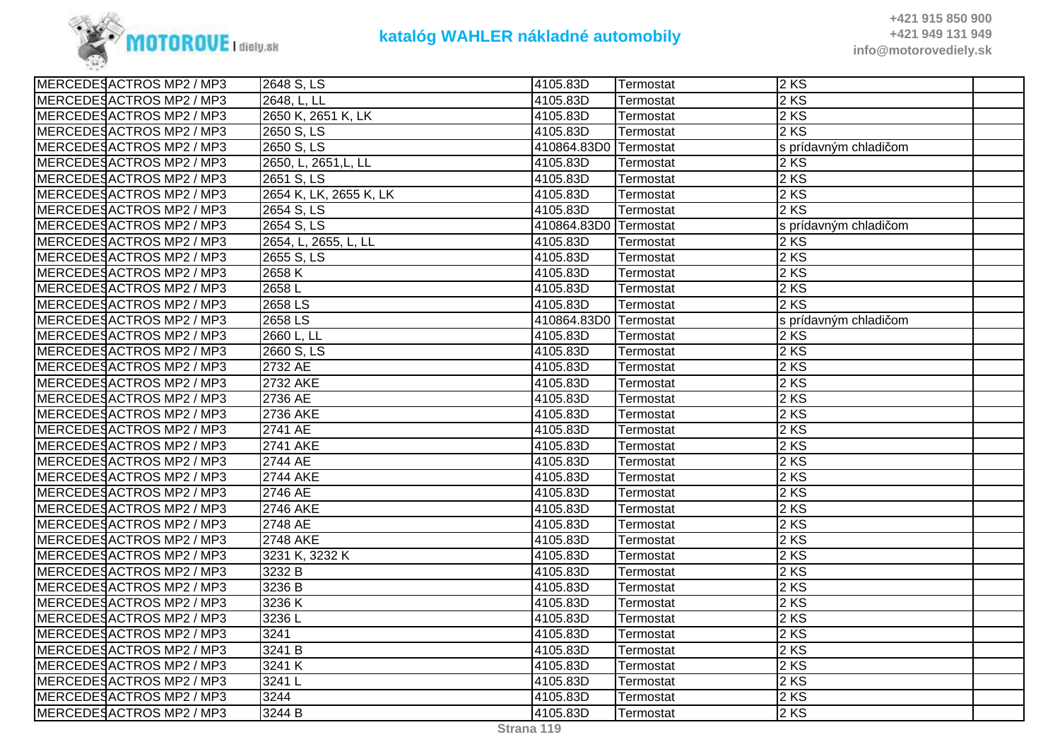

| MERCEDESACTROS MP2 / MP3 | 2648 S, LS              | 4105.83D              | Termostat | 2KS                   |  |
|--------------------------|-------------------------|-----------------------|-----------|-----------------------|--|
| MERCEDESACTROS MP2 / MP3 | 2648, L, LL             | 4105.83D              | Termostat | $2$ KS                |  |
| MERCEDESACTROS MP2 / MP3 | 2650 K, 2651 K, LK      | 4105.83D              | Termostat | 2 KS                  |  |
| MERCEDESACTROS MP2 / MP3 | 2650 S, LS              | 4105.83D              | Termostat | 2 KS                  |  |
| MERCEDESACTROS MP2 / MP3 | $\overline{2650}$ S, LS | 410864.83D0 Termostat |           | s prídavným chladičom |  |
| MERCEDESACTROS MP2 / MP3 | 2650, L, 2651, L, LL    | 4105.83D              | Termostat | 2 KS                  |  |
| MERCEDESACTROS MP2 / MP3 | 2651 S, LS              | 4105.83D              | Termostat | 2 KS                  |  |
| MERCEDESACTROS MP2 / MP3 | 2654 K, LK, 2655 K, LK  | 4105.83D              | Termostat | 2 KS                  |  |
| MERCEDESACTROS MP2 / MP3 | 2654 S, LS              | 4105.83D              | Termostat | $2$ KS                |  |
| MERCEDESACTROS MP2 / MP3 | 2654 S, LS              | 410864.83D0 Termostat |           | s prídavným chladičom |  |
| MERCEDESACTROS MP2 / MP3 | 2654, L, 2655, L, LL    | 4105.83D              | Termostat | $2$ KS                |  |
| MERCEDESACTROS MP2 / MP3 | 2655 S, LS              | 4105.83D              | Termostat | 2 KS                  |  |
| MERCEDESACTROS MP2 / MP3 | 2658K                   | 4105.83D              | Termostat | $2$ KS                |  |
| MERCEDESACTROS MP2 / MP3 | 2658L                   | 4105.83D              | Termostat | 2 KS                  |  |
| MERCEDESACTROS MP2 / MP3 | 2658 LS                 | 4105.83D              | Termostat | 2 KS                  |  |
| MERCEDESACTROS MP2 / MP3 | 2658 LS                 | 410864.83D0 Termostat |           | s prídavným chladičom |  |
| MERCEDESACTROS MP2 / MP3 | 2660 L, LL              | 4105.83D              | Termostat | 2 KS                  |  |
| MERCEDESACTROS MP2 / MP3 | 2660 S, LS              | 4105.83D              | Termostat | 2 KS                  |  |
| MERCEDESACTROS MP2 / MP3 | 2732 AE                 | 4105.83D              | Termostat | $2$ KS                |  |
| MERCEDESACTROS MP2 / MP3 | <b>2732 AKE</b>         | 4105.83D              | Termostat | 2 KS                  |  |
| MERCEDESACTROS MP2 / MP3 | 2736 AE                 | 4105.83D              | Termostat | $2$ KS                |  |
| MERCEDESACTROS MP2 / MP3 | 2736 AKE                | 4105.83D              | Termostat | 2 KS                  |  |
| MERCEDESACTROS MP2 / MP3 | 2741 AE                 | 4105.83D              | Termostat | $2$ KS                |  |
| MERCEDESACTROS MP2 / MP3 | <b>2741 AKE</b>         | 4105.83D              | Termostat | $2$ KS                |  |
| MERCEDESACTROS MP2 / MP3 | 2744 AE                 | 4105.83D              | Termostat | 2 KS                  |  |
| MERCEDESACTROS MP2 / MP3 | 2744 AKE                | 4105.83D              | Termostat | 2 KS                  |  |
| MERCEDESACTROS MP2 / MP3 | 2746 AE                 | 4105.83D              | Termostat | $2$ KS                |  |
| MERCEDESACTROS MP2 / MP3 | <b>2746 AKE</b>         | 4105.83D              | Termostat | 2 KS                  |  |
| MERCEDESACTROS MP2 / MP3 | 2748 AE                 | 4105.83D              | Termostat | $2$ KS                |  |
| MERCEDESACTROS MP2 / MP3 | <b>2748 AKE</b>         | 4105.83D              | Termostat | 2 KS                  |  |
| MERCEDESACTROS MP2 / MP3 | 3231 K, 3232 K          | 4105.83D              | Termostat | 2 KS                  |  |
| MERCEDESACTROS MP2 / MP3 | 3232 B                  | 4105.83D              | Termostat | $2$ KS                |  |
| MERCEDESACTROS MP2 / MP3 | 3236 B                  | 4105.83D              | Termostat | $2$ KS                |  |
| MERCEDESACTROS MP2 / MP3 | 3236 K                  | 4105.83D              | Termostat | 2 KS                  |  |
| MERCEDESACTROS MP2 / MP3 | 3236L                   | 4105.83D              | Termostat | $2$ KS                |  |
| MERCEDESACTROS MP2 / MP3 | 3241                    | 4105.83D              | Termostat | 2 KS                  |  |
| MERCEDESACTROS MP2 / MP3 | 3241 B                  | 4105.83D              | Termostat | 2 KS                  |  |
| MERCEDESACTROS MP2 / MP3 | 3241 K                  | 4105.83D              | Termostat | 2 KS                  |  |
| MERCEDESACTROS MP2 / MP3 | 3241L                   | 4105.83D              | Termostat | 2 KS                  |  |
| MERCEDESACTROS MP2 / MP3 | 3244                    | 4105.83D              | Termostat | 2 KS                  |  |
| MERCEDESACTROS MP2 / MP3 | 3244 B                  | 4105.83D              | Termostat | 2 KS                  |  |
|                          |                         |                       |           |                       |  |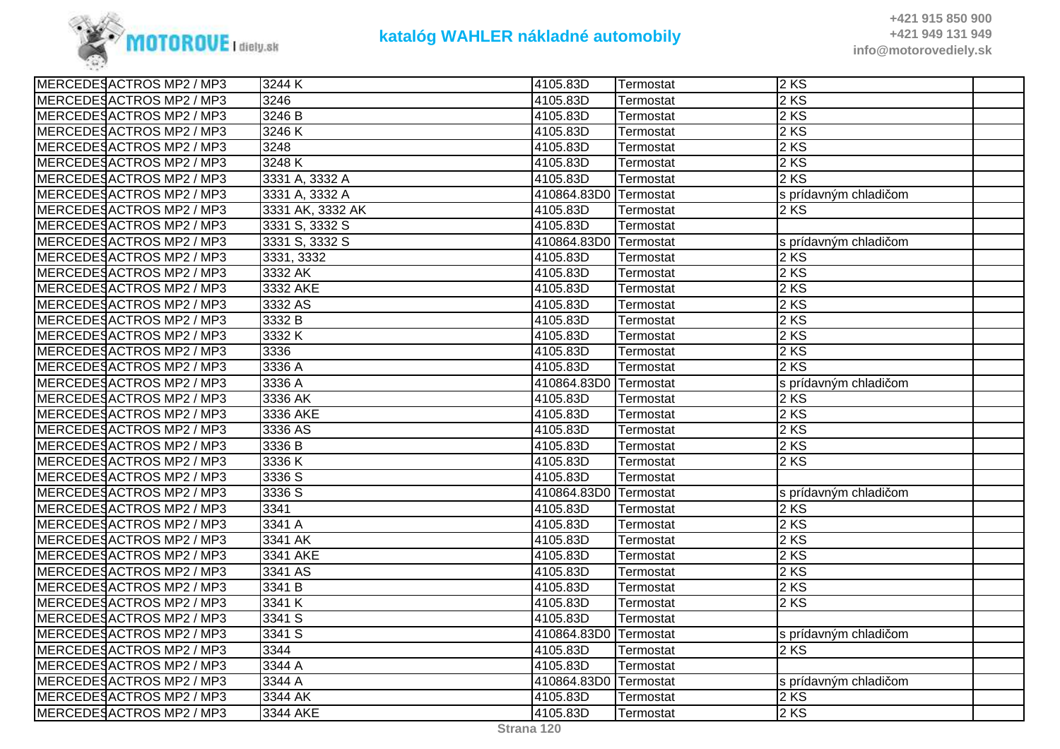

| MERCEDESACTROS MP2 / MP3 | 3244 K           | 4105.83D              | Termostat | 2 KS                  |
|--------------------------|------------------|-----------------------|-----------|-----------------------|
| MERCEDESACTROS MP2 / MP3 | 3246             | 4105.83D              | Termostat | 2 KS                  |
| MERCEDESACTROS MP2 / MP3 | 3246 B           | 4105.83D              | Termostat | $2$ KS                |
| MERCEDESACTROS MP2 / MP3 | 3246 K           | 4105.83D              | Termostat | 2 KS                  |
| MERCEDESACTROS MP2 / MP3 | 3248             | 4105.83D              | Termostat | 2 KS                  |
| MERCEDESACTROS MP2 / MP3 | 3248 K           | 4105.83D              | Termostat | 2KS                   |
| MERCEDESACTROS MP2 / MP3 | 3331 A, 3332 A   | 4105.83D              | Termostat | $2$ KS                |
| MERCEDESACTROS MP2 / MP3 | 3331 A, 3332 A   | 410864.83D0 Termostat |           | s prídavným chladičom |
| MERCEDESACTROS MP2 / MP3 | 3331 AK, 3332 AK | 4105.83D              | Termostat | $2$ KS                |
| MERCEDESACTROS MP2 / MP3 | 3331 S, 3332 S   | 4105.83D              | Termostat |                       |
| MERCEDESACTROS MP2 / MP3 | 3331 S, 3332 S   | 410864.83D0 Termostat |           | s prídavným chladičom |
| MERCEDESACTROS MP2 / MP3 | 3331, 3332       | 4105.83D              | Termostat | $2$ KS                |
| MERCEDESACTROS MP2 / MP3 | 3332 AK          | 4105.83D              | Termostat | $2$ KS                |
| MERCEDESACTROS MP2 / MP3 | 3332 AKE         | 4105.83D              | Termostat | $2$ KS                |
| MERCEDESACTROS MP2 / MP3 | 3332 AS          | 4105.83D              | Termostat | $2$ KS                |
| MERCEDESACTROS MP2 / MP3 | 3332 B           | 4105.83D              | Termostat | 2 KS                  |
| MERCEDESACTROS MP2 / MP3 | 3332 K           | 4105.83D              | Termostat | 2 KS                  |
| MERCEDESACTROS MP2 / MP3 | 3336             | 4105.83D              | Termostat | $2$ KS                |
| MERCEDESACTROS MP2 / MP3 | 3336A            | 4105.83D              | Termostat | 2KS                   |
| MERCEDESACTROS MP2 / MP3 | 3336 A           | 410864.83D0 Termostat |           | s prídavným chladičom |
| MERCEDESACTROS MP2 / MP3 | 3336 AK          | 4105.83D              | Termostat | $2$ KS                |
| MERCEDESACTROS MP2 / MP3 | 3336 AKE         | 4105.83D              | Termostat | 2 KS                  |
| MERCEDESACTROS MP2 / MP3 | 3336 AS          | 4105.83D              | Termostat | $2$ KS                |
| MERCEDESACTROS MP2 / MP3 | 3336 B           | 4105.83D              | Termostat | $2$ KS                |
| MERCEDESACTROS MP2 / MP3 | 3336 K           | 4105.83D              | Termostat | $2$ KS                |
| MERCEDESACTROS MP2 / MP3 | 3336 S           | 4105.83D              | Termostat |                       |
| MERCEDESACTROS MP2 / MP3 | 3336 S           | 410864.83D0 Termostat |           | s prídavným chladičom |
| MERCEDESACTROS MP2 / MP3 | 3341             | 4105.83D              | Termostat | $2$ KS                |
| MERCEDESACTROS MP2 / MP3 | 3341 A           | 4105.83D              | Termostat | $2$ KS                |
| MERCEDESACTROS MP2 / MP3 | 3341 AK          | 4105.83D              | Termostat | 2 KS                  |
| MERCEDESACTROS MP2 / MP3 | 3341 AKE         | 4105.83D              | Termostat | 2 KS                  |
| MERCEDESACTROS MP2 / MP3 | 3341 AS          | 4105.83D              | Termostat | 2 KS                  |
| MERCEDESACTROS MP2 / MP3 | 3341 B           | 4105.83D              | Termostat | 2 KS                  |
| MERCEDESACTROS MP2 / MP3 | 3341 K           | 4105.83D              | Termostat | $2$ KS                |
| MERCEDESACTROS MP2 / MP3 | 3341 S           | 4105.83D              | Termostat |                       |
| MERCEDESACTROS MP2 / MP3 | 3341 S           | 410864.83D0 Termostat |           | s prídavným chladičom |
| MERCEDESACTROS MP2 / MP3 | 3344             | 4105.83D              | Termostat | $2$ KS                |
| MERCEDESACTROS MP2 / MP3 | 3344 A           | 4105.83D              | Termostat |                       |
| MERCEDESACTROS MP2 / MP3 | 3344 A           | 410864.83D0 Termostat |           | s prídavným chladičom |
| MERCEDESACTROS MP2 / MP3 | 3344 AK          | 4105.83D              | Termostat | $2$ KS                |
| MERCEDESACTROS MP2 / MP3 | 3344 AKE         | 4105.83D              | Termostat | $2$ KS                |
|                          |                  |                       |           |                       |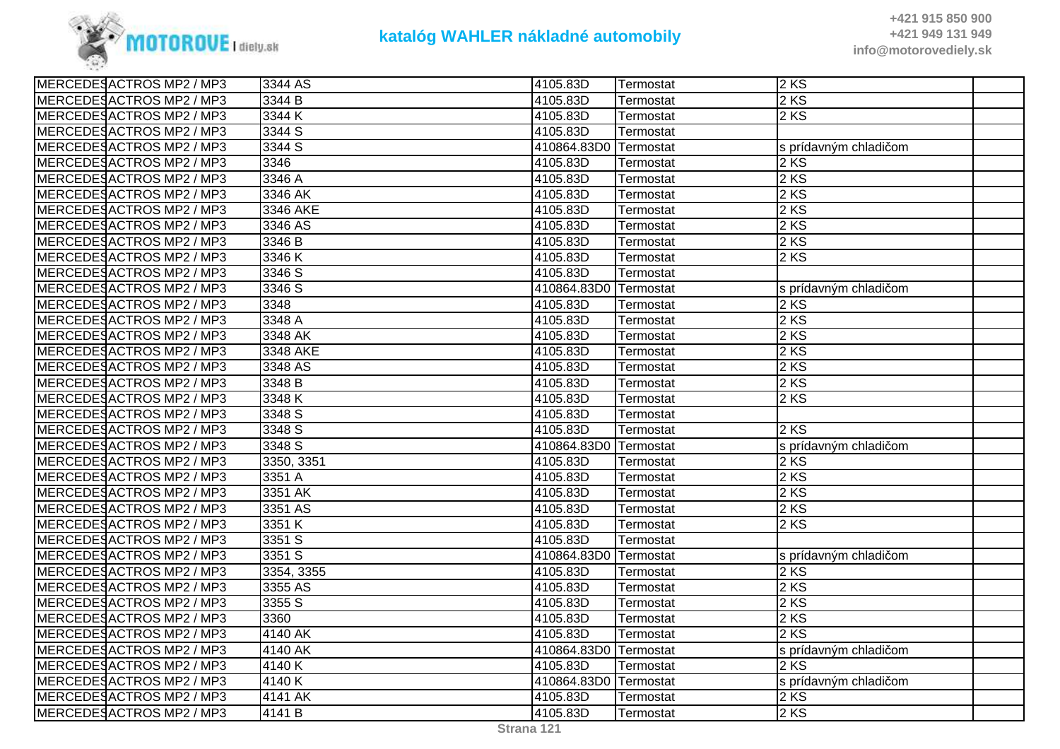

| MERCEDESACTROS MP2 / MP3 | 3344 AS    | 4105.83D              | Termostat        | 2KS                   |
|--------------------------|------------|-----------------------|------------------|-----------------------|
| MERCEDESACTROS MP2 / MP3 | 3344 B     | 4105.83D              | <b>Termostat</b> | 2 KS                  |
| MERCEDESACTROS MP2 / MP3 | 3344 K     | 4105.83D              | Termostat        | 2 KS                  |
| MERCEDESACTROS MP2 / MP3 | 3344 S     | 4105.83D              | Termostat        |                       |
| MERCEDESACTROS MP2 / MP3 | 3344 S     | 410864.83D0 Termostat |                  | s prídavným chladičom |
| MERCEDESACTROS MP2 / MP3 | 3346       | 4105.83D              | Termostat        | 2 KS                  |
| MERCEDESACTROS MP2 / MP3 | 3346 A     | 4105.83D              | Termostat        | 2 KS                  |
| MERCEDESACTROS MP2 / MP3 | 3346 AK    | 4105.83D              | <b>Termostat</b> | 2 KS                  |
| MERCEDESACTROS MP2 / MP3 | 3346 AKE   | 4105.83D              | Termostat        | 2 KS                  |
| MERCEDESACTROS MP2 / MP3 | 3346 AS    | 4105.83D              | Termostat        | 2 KS                  |
| MERCEDESACTROS MP2 / MP3 | 3346 B     | 4105.83D              | Termostat        | 2 KS                  |
| MERCEDESACTROS MP2 / MP3 | 3346K      | 4105.83D              | Termostat        | 2 KS                  |
| MERCEDESACTROS MP2 / MP3 | 3346 S     | 4105.83D              | Termostat        |                       |
| MERCEDESACTROS MP2 / MP3 | 3346 S     | 410864.83D0 Termostat |                  | s prídavným chladičom |
| MERCEDESACTROS MP2 / MP3 | 3348       | 4105.83D              | Termostat        | 2 KS                  |
| MERCEDESACTROS MP2 / MP3 | 3348 A     | 4105.83D              | Termostat        | 2 KS                  |
| MERCEDESACTROS MP2 / MP3 | 3348 AK    | 4105.83D              | Termostat        | 2 KS                  |
| MERCEDESACTROS MP2 / MP3 | 3348 AKE   | 4105.83D              | Termostat        | 2 KS                  |
| MERCEDESACTROS MP2 / MP3 | 3348 AS    | 4105.83D              | Termostat        | 2 KS                  |
| MERCEDESACTROS MP2 / MP3 | 3348 B     | 4105.83D              | Termostat        | 2 KS                  |
| MERCEDESACTROS MP2 / MP3 | 3348 K     | 4105.83D              | Termostat        | 2 KS                  |
| MERCEDESACTROS MP2 / MP3 | 3348 S     | 4105.83D              | Termostat        |                       |
| MERCEDESACTROS MP2 / MP3 | 3348 S     | 4105.83D              | Termostat        | 2 KS                  |
| MERCEDESACTROS MP2 / MP3 | 3348 S     | 410864.83D0 Termostat |                  | s prídavným chladičom |
| MERCEDESACTROS MP2 / MP3 | 3350, 3351 | 4105.83D              | Termostat        | 2 KS                  |
| MERCEDESACTROS MP2 / MP3 | 3351 A     | 4105.83D              | Termostat        | 2 KS                  |
| MERCEDESACTROS MP2 / MP3 | 3351 AK    | 4105.83D              | Termostat        | 2 KS                  |
| MERCEDESACTROS MP2 / MP3 | 3351 AS    | 4105.83D              | Termostat        | 2KS                   |
| MERCEDESACTROS MP2 / MP3 | 3351 K     | 4105.83D              | Termostat        | 2 KS                  |
| MERCEDESACTROS MP2 / MP3 | 3351 S     | 4105.83D              | Termostat        |                       |
| MERCEDESACTROS MP2 / MP3 | 3351 S     | 410864.83D0 Termostat |                  | s prídavným chladičom |
| MERCEDESACTROS MP2 / MP3 | 3354, 3355 | 4105.83D              | Termostat        | 2 KS                  |
| MERCEDESACTROS MP2 / MP3 | 3355 AS    | 4105.83D              | Termostat        | 2 KS                  |
| MERCEDESACTROS MP2 / MP3 | 3355 S     | 4105.83D              | Termostat        | 2 KS                  |
| MERCEDESACTROS MP2 / MP3 | 3360       | 4105.83D              | Termostat        | 2 KS                  |
| MERCEDESACTROS MP2 / MP3 | 4140 AK    | 4105.83D              | Termostat        | 2 KS                  |
| MERCEDESACTROS MP2 / MP3 | 4140 AK    | 410864.83D0 Termostat |                  | s prídavným chladičom |
| MERCEDESACTROS MP2 / MP3 | 4140K      | 4105.83D              | Termostat        | 2 KS                  |
| MERCEDESACTROS MP2 / MP3 | 4140 K     | 410864.83D0 Termostat |                  | s prídavným chladičom |
| MERCEDESACTROS MP2 / MP3 | 4141 AK    | 4105.83D              | Termostat        | 2 KS                  |
| MERCEDESACTROS MP2 / MP3 | 4141 B     | 4105.83D              | Termostat        | 2 KS                  |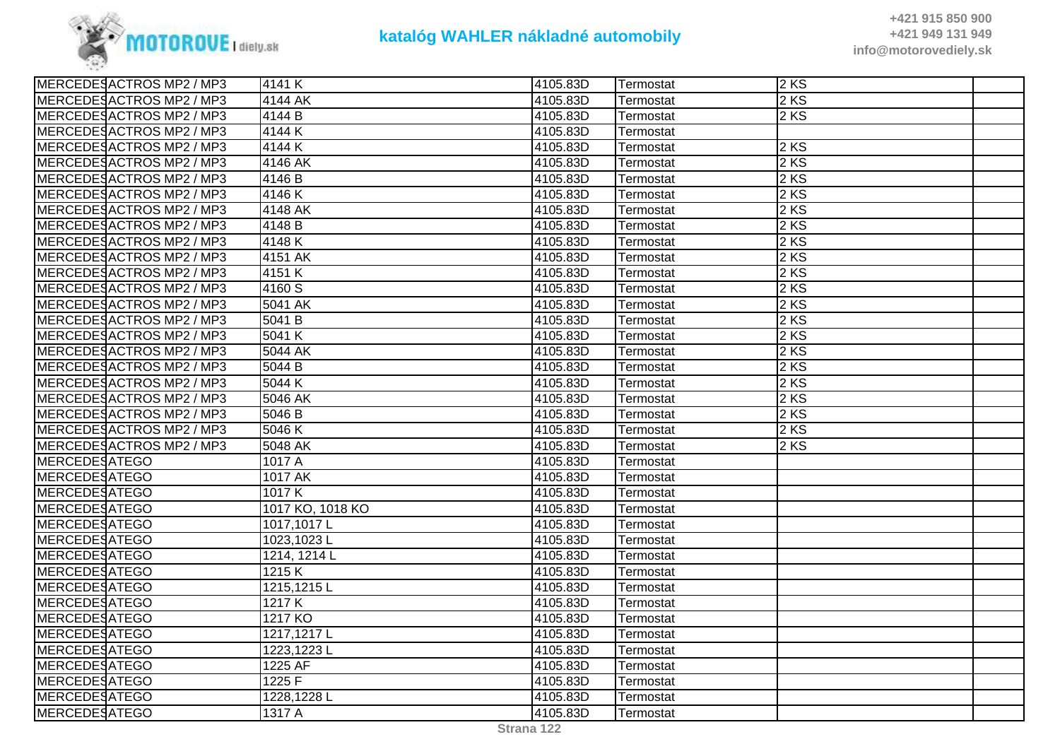

| MERCEDESACTROS MP2 / MP3 | 4141 K             | 4105.83D | Termostat | 2KS  |  |
|--------------------------|--------------------|----------|-----------|------|--|
| MERCEDESACTROS MP2 / MP3 | 4144 AK            | 4105.83D | Termostat | 2 KS |  |
| MERCEDESACTROS MP2 / MP3 | 4144 B             | 4105.83D | Termostat | 2KS  |  |
| MERCEDESACTROS MP2 / MP3 | 4144K              | 4105.83D | Termostat |      |  |
| MERCEDESACTROS MP2 / MP3 | 4144 K             | 4105.83D | Termostat | 2KS  |  |
| MERCEDESACTROS MP2 / MP3 | 4146 AK            | 4105.83D | Termostat | 2 KS |  |
| MERCEDESACTROS MP2 / MP3 | 4146 B             | 4105.83D | Termostat | 2 KS |  |
| MERCEDESACTROS MP2 / MP3 | 4146K              | 4105.83D | Termostat | 2 KS |  |
| MERCEDESACTROS MP2 / MP3 | 4148 AK            | 4105.83D | Termostat | 2 KS |  |
| MERCEDESACTROS MP2 / MP3 | 4148 B             | 4105.83D | Termostat | 2 KS |  |
| MERCEDESACTROS MP2 / MP3 | 4148K              | 4105.83D | Termostat | 2 KS |  |
| MERCEDESACTROS MP2 / MP3 | 4151 AK            | 4105.83D | Termostat | 2KS  |  |
| MERCEDESACTROS MP2 / MP3 | 4151 K             | 4105.83D | Termostat | 2 KS |  |
| MERCEDESACTROS MP2 / MP3 | 4160 S             | 4105.83D | Termostat | 2KS  |  |
| MERCEDESACTROS MP2 / MP3 | 5041 AK            | 4105.83D | Termostat | 2 KS |  |
| MERCEDESACTROS MP2 / MP3 | 5041 B             | 4105.83D | Termostat | 2 KS |  |
| MERCEDESACTROS MP2 / MP3 | 5041 K             | 4105.83D | Termostat | 2 KS |  |
| MERCEDESACTROS MP2 / MP3 | 5044 AK            | 4105.83D | Termostat | 2 KS |  |
| MERCEDESACTROS MP2 / MP3 | 5044 B             | 4105.83D | Termostat | 2KS  |  |
| MERCEDESACTROS MP2 / MP3 | 5044 K             | 4105.83D | Termostat | 2 KS |  |
| MERCEDESACTROS MP2 / MP3 | 5046 AK            | 4105.83D | Termostat | 2KS  |  |
| MERCEDESACTROS MP2 / MP3 | 5046 B             | 4105.83D | Termostat | 2 KS |  |
| MERCEDESACTROS MP2 / MP3 | 5046 K             | 4105.83D | Termostat | 2 KS |  |
| MERCEDESACTROS MP2 / MP3 | 5048 AK            | 4105.83D | Termostat | 2KS  |  |
| MERCEDESATEGO            | 1017 A             | 4105.83D | Termostat |      |  |
| MERCEDESATEGO            | 1017 AK            | 4105.83D | Termostat |      |  |
| <b>MERCEDESATEGO</b>     | 1017K              | 4105.83D | Termostat |      |  |
| <b>MERCEDESATEGO</b>     | 1017 KO, 1018 KO   | 4105.83D | Termostat |      |  |
| <b>MERCEDESATEGO</b>     | 1017,1017L         | 4105.83D | Termostat |      |  |
| <b>MERCEDESATEGO</b>     | 1023,1023L         | 4105.83D | Termostat |      |  |
| MERCEDESATEGO            | 1214, 1214 L       | 4105.83D | Termostat |      |  |
| MERCEDESATEGO            | $\overline{1215}K$ | 4105.83D | Termostat |      |  |
| <b>MERCEDESATEGO</b>     | 1215,1215L         | 4105.83D | Termostat |      |  |
| <b>MERCEDESATEGO</b>     | 1217K              | 4105.83D | Termostat |      |  |
| <b>MERCEDESATEGO</b>     | 1217 KO            | 4105.83D | Termostat |      |  |
| MERCEDESATEGO            | 1217,1217L         | 4105.83D | Termostat |      |  |
| MERCEDESATEGO            | 1223,1223L         | 4105.83D | Termostat |      |  |
| MERCEDESATEGO            | 1225 AF            | 4105.83D | Termostat |      |  |
| MERCEDESATEGO            | 1225 F             | 4105.83D | Termostat |      |  |
| <b>MERCEDESATEGO</b>     | 1228,1228L         | 4105.83D | Termostat |      |  |
| MERCEDESATEGO            | 1317 A             | 4105.83D | Termostat |      |  |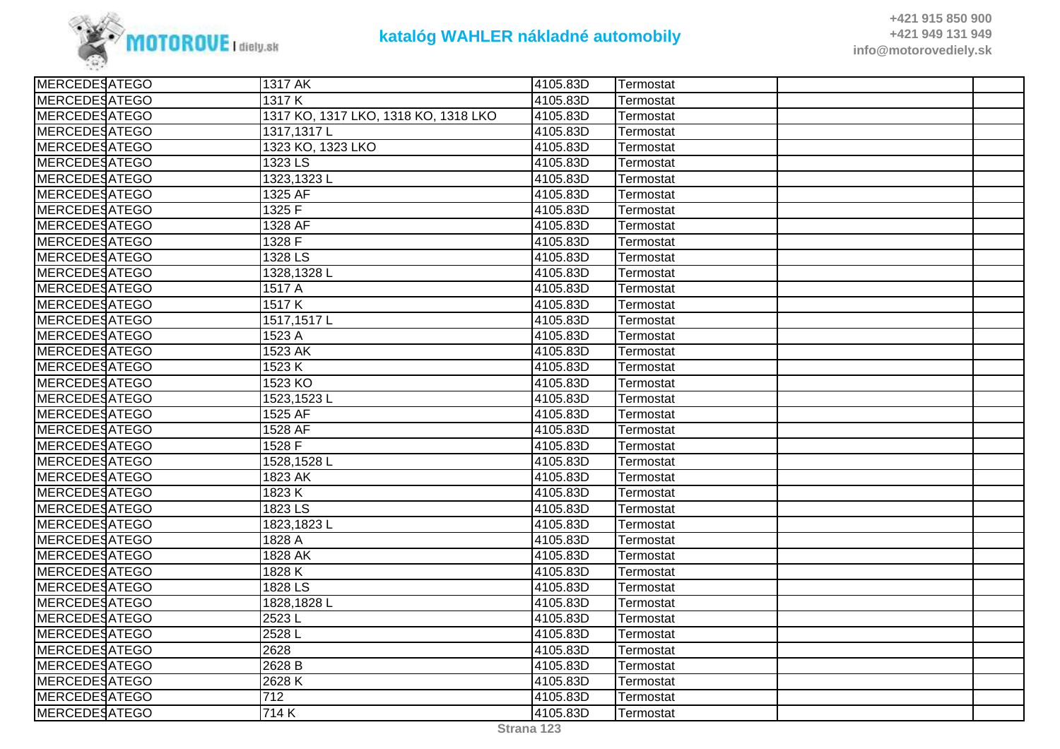

| <b>MERCEDESATEGO</b> | 1317 AK                              | 4105.83D | Termostat |  |
|----------------------|--------------------------------------|----------|-----------|--|
| <b>MERCEDESATEGO</b> | 1317K                                | 4105.83D | Termostat |  |
| <b>MERCEDESATEGO</b> | 1317 KO, 1317 LKO, 1318 KO, 1318 LKO | 4105.83D | Termostat |  |
| <b>MERCEDESATEGO</b> | 1317, 1317 L                         | 4105.83D | Termostat |  |
| <b>MERCEDESATEGO</b> | 1323 KO, 1323 LKO                    | 4105.83D | Termostat |  |
| <b>MERCEDESATEGO</b> | 1323 LS                              | 4105.83D | Termostat |  |
| <b>MERCEDESATEGO</b> | 1323,1323L                           | 4105.83D | Termostat |  |
| <b>MERCEDESATEGO</b> | 1325 AF                              | 4105.83D | Termostat |  |
| <b>MERCEDESATEGO</b> | 1325 F                               | 4105.83D | Termostat |  |
| <b>MERCEDESATEGO</b> | 1328 AF                              | 4105.83D | Termostat |  |
| <b>MERCEDESATEGO</b> | 1328 F                               | 4105.83D | Termostat |  |
| <b>MERCEDESATEGO</b> | 1328 LS                              | 4105.83D | Termostat |  |
| <b>MERCEDESATEGO</b> | 1328,1328L                           | 4105.83D | Termostat |  |
| <b>MERCEDESATEGO</b> | 1517 A                               | 4105.83D | Termostat |  |
| <b>MERCEDESATEGO</b> | 1517K                                | 4105.83D | Termostat |  |
| <b>MERCEDESATEGO</b> | 1517, 1517L                          | 4105.83D | Termostat |  |
| <b>MERCEDESATEGO</b> | 1523 A                               | 4105.83D | Termostat |  |
| <b>MERCEDESATEGO</b> | 1523 AK                              | 4105.83D | Termostat |  |
| <b>MERCEDESATEGO</b> | 1523 K                               | 4105.83D | Termostat |  |
| <b>MERCEDESATEGO</b> | 1523 KO                              | 4105.83D | Termostat |  |
| <b>MERCEDESATEGO</b> | 1523,1523L                           | 4105.83D | Termostat |  |
| <b>MERCEDESATEGO</b> | 1525 AF                              | 4105.83D | Termostat |  |
| <b>MERCEDESATEGO</b> | 1528 AF                              | 4105.83D | Termostat |  |
| <b>MERCEDESATEGO</b> | 1528 F                               | 4105.83D | Termostat |  |
| <b>MERCEDESATEGO</b> | 1528,1528L                           | 4105.83D | Termostat |  |
| <b>MERCEDESATEGO</b> | 1823 AK                              | 4105.83D | Termostat |  |
| <b>MERCEDESATEGO</b> | 1823 K                               | 4105.83D | Termostat |  |
| <b>MERCEDESATEGO</b> | 1823 LS                              | 4105.83D | Termostat |  |
| <b>MERCEDESATEGO</b> | 1823,1823L                           | 4105.83D | Termostat |  |
| <b>MERCEDESATEGO</b> | 1828 A                               | 4105.83D | Termostat |  |
| <b>MERCEDESATEGO</b> | 1828 AK                              | 4105.83D | Termostat |  |
| <b>MERCEDESATEGO</b> | 1828 K                               | 4105.83D | Termostat |  |
| <b>MERCEDESATEGO</b> | 1828 LS                              | 4105.83D | Termostat |  |
| <b>MERCEDESATEGO</b> | 1828, 1828 L                         | 4105.83D | Termostat |  |
| <b>MERCEDESATEGO</b> | 2523L                                | 4105.83D | Termostat |  |
| <b>MERCEDESATEGO</b> | 2528L                                | 4105.83D | Termostat |  |
| <b>MERCEDESATEGO</b> | 2628                                 | 4105.83D | Termostat |  |
| <b>MERCEDESATEGO</b> | 2628 B                               | 4105.83D | Termostat |  |
| <b>MERCEDESATEGO</b> | 2628K                                | 4105.83D | Termostat |  |
| <b>MERCEDESATEGO</b> | 712                                  | 4105.83D | Termostat |  |
| <b>MERCEDESATEGO</b> | 714K                                 | 4105.83D | Termostat |  |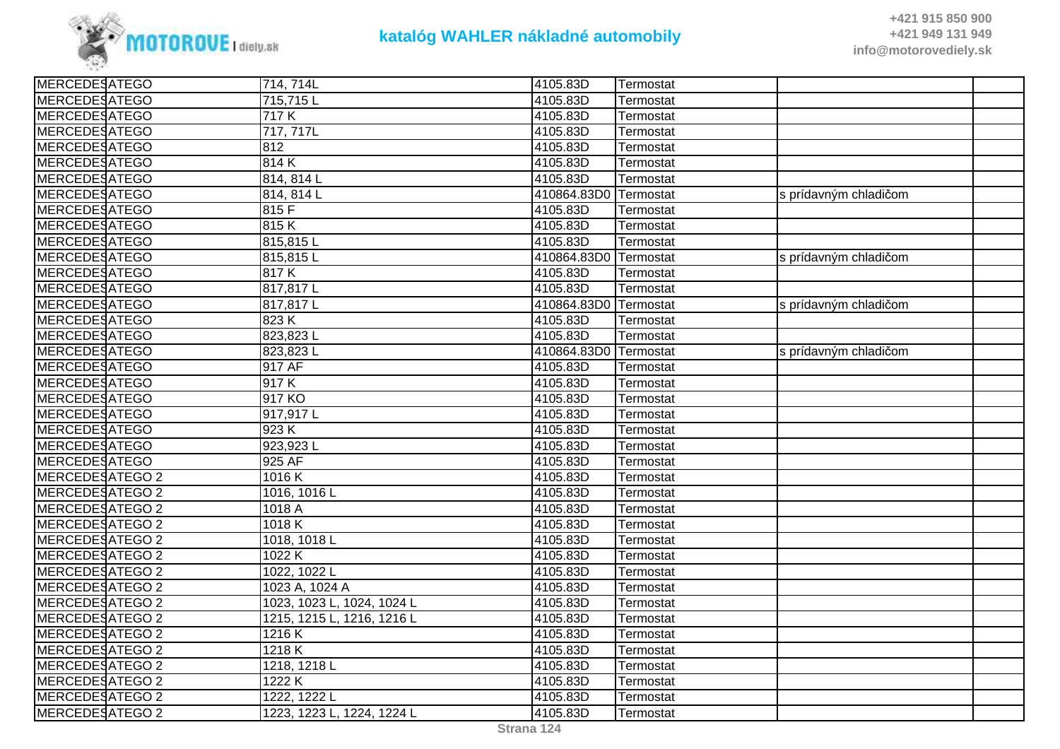

| <b>MERCEDESATEGO</b>   | 714, 714L                  | 4105.83D              | Termostat |                       |  |
|------------------------|----------------------------|-----------------------|-----------|-----------------------|--|
| <b>MERCEDESATEGO</b>   | 715,715L                   | 4105.83D              | Termostat |                       |  |
| <b>MERCEDESATEGO</b>   | 717 K                      | 4105.83D              | Termostat |                       |  |
| MERCEDESATEGO          | 717, 717L                  | 4105.83D              | Termostat |                       |  |
| <b>MERCEDESATEGO</b>   | $\overline{812}$           | 4105.83D              | Termostat |                       |  |
| <b>MERCEDESATEGO</b>   | 814K                       | 4105.83D              | Termostat |                       |  |
| <b>MERCEDESATEGO</b>   | 814, 814 L                 | 4105.83D              | Termostat |                       |  |
| <b>MERCEDESATEGO</b>   | 814, 814 L                 | 410864.83D0 Termostat |           | s prídavným chladičom |  |
| MERCEDESATEGO          | 815F                       | 4105.83D              | Termostat |                       |  |
| MERCEDESATEGO          | 815K                       | 4105.83D              | Termostat |                       |  |
| <b>MERCEDESATEGO</b>   | 815,815L                   | 4105.83D              | Termostat |                       |  |
| <b>MERCEDESATEGO</b>   | 815,815L                   | 410864.83D0 Termostat |           | s prídavným chladičom |  |
| <b>MERCEDESATEGO</b>   | 817K                       | 4105.83D              | Termostat |                       |  |
| MERCEDESATEGO          | 817,817L                   | 4105.83D              | Termostat |                       |  |
| <b>MERCEDESATEGO</b>   | 817,817L                   | 410864.83D0 Termostat |           | s prídavným chladičom |  |
| <b>MERCEDESATEGO</b>   | $\overline{823}$ K         | 4105.83D              | Termostat |                       |  |
| <b>MERCEDESATEGO</b>   | 823,823L                   | 4105.83D              | Termostat |                       |  |
| <b>MERCEDESATEGO</b>   | 823,823L                   | 410864.83D0 Termostat |           | s prídavným chladičom |  |
| <b>MERCEDESATEGO</b>   | 917 AF                     | 4105.83D              | Termostat |                       |  |
| MERCEDESATEGO          | 917K                       | 4105.83D              | Termostat |                       |  |
| MERCEDESATEGO          | 917 KO                     | 4105.83D              | Termostat |                       |  |
| <b>MERCEDESATEGO</b>   | 917,917L                   | 4105.83D              | Termostat |                       |  |
| <b>MERCEDESATEGO</b>   | 923 K                      | 4105.83D              | Termostat |                       |  |
| <b>MERCEDESATEGO</b>   | 923,923L                   | 4105.83D              | Termostat |                       |  |
| <b>MERCEDESATEGO</b>   | 925 AF                     | 4105.83D              | Termostat |                       |  |
| MERCEDESATEGO 2        | 1016K                      | 4105.83D              | Termostat |                       |  |
| MERCEDESATEGO 2        | 1016, 1016 L               | 4105.83D              | Termostat |                       |  |
| MERCEDESATEGO 2        | 1018 A                     | 4105.83D              | Termostat |                       |  |
| MERCEDESATEGO 2        | 1018 K                     | 4105.83D              | Termostat |                       |  |
| <b>MERCEDESATEGO 2</b> | 1018, 1018 L               | 4105.83D              | Termostat |                       |  |
| MERCEDESATEGO 2        | 1022K                      | 4105.83D              | Termostat |                       |  |
| MERCEDESATEGO 2        | 1022, 1022 L               | 4105.83D              | Termostat |                       |  |
| MERCEDESATEGO 2        | 1023 A, 1024 A             | 4105.83D              | Termostat |                       |  |
| <b>MERCEDESATEGO 2</b> | 1023, 1023 L, 1024, 1024 L | 4105.83D              | Termostat |                       |  |
| <b>MERCEDESATEGO 2</b> | 1215, 1215 L, 1216, 1216 L | 4105.83D              | Termostat |                       |  |
| <b>MERCEDESATEGO 2</b> | 1216K                      | 4105.83D              | Termostat |                       |  |
| MERCEDESATEGO 2        | 1218K                      | 4105.83D              | Termostat |                       |  |
| MERCEDESATEGO 2        | 1218, 1218 L               | 4105.83D              | Termostat |                       |  |
| MERCEDESATEGO 2        | 1222 K                     | 4105.83D              | Termostat |                       |  |
| MERCEDESATEGO 2        | 1222, 1222 L               | 4105.83D              | Termostat |                       |  |
| MERCEDESATEGO 2        | 1223, 1223 L, 1224, 1224 L | 4105.83D              | Termostat |                       |  |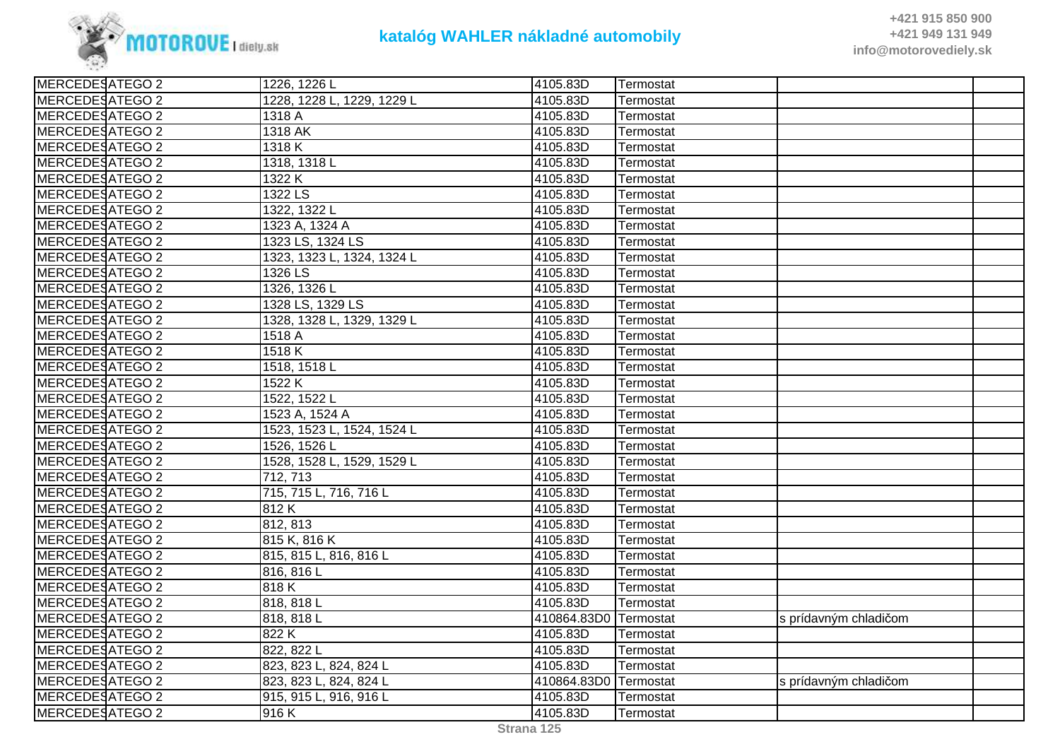

| 1228, 1228 L, 1229, 1229 L<br>4105.83D<br>Termostat<br>MERCEDESATEGO 2<br>1318 A<br>4105.83D<br>Termostat<br>MERCEDESATEGO 2<br>1318 AK<br>4105.83D<br>Termostat<br>MERCEDESATEGO 2<br>1318K<br>4105.83D<br>Termostat<br>MERCEDESATEGO 2<br>1318, 1318 L<br>4105.83D<br>Termostat<br>MERCEDESATEGO 2<br>1322 K<br>4105.83D<br>Termostat<br><b>MERCEDESATEGO 2</b><br>$1322$ LS<br>4105.83D<br>Termostat<br><b>MERCEDESATEGO 2</b><br>1322, 1322 L<br>4105.83D<br>Termostat<br>MERCEDESATEGO 2<br>4105.83D<br>1323 A, 1324 A<br>Termostat<br>MERCEDESATEGO 2<br>1323 LS, 1324 LS<br>4105.83D<br>Termostat<br>MERCEDESATEGO 2<br>4105.83D<br>1323, 1323 L, 1324, 1324 L<br>Termostat<br><b>MERCEDESATEGO 2</b><br>1326 LS<br>4105.83D<br>Termostat<br><b>MERCEDESATEGO 2</b><br>1326, 1326 L<br>4105.83D<br>Termostat<br>MERCEDESATEGO 2<br>1328 LS, 1329 LS<br>4105.83D<br>Termostat<br>MERCEDESATEGO 2<br>1328, 1328 L, 1329, 1329 L<br>4105.83D<br>Termostat<br><b>MERCEDESATEGO 2</b><br>4105.83D<br>1518 A<br>Termostat<br>1518 K<br><b>MERCEDESATEGO 2</b><br>4105.83D<br>Termostat<br>MERCEDESATEGO 2<br>1518, 1518 L<br>4105.83D<br>Termostat<br>MERCEDESATEGO 2<br>4105.83D<br>1522 K<br>Termostat<br>1522, 1522 L<br>4105.83D<br>MERCEDESATEGO 2<br>Termostat<br>MERCEDESATEGO 2<br>1523 A, 1524 A<br>4105.83D<br>Termostat<br><b>MERCEDESATEGO 2</b><br>1523, 1523 L, 1524, 1524 L<br>4105.83D<br>Termostat<br>MERCEDESATEGO 2<br>1526, 1526 L<br>4105.83D<br>Termostat<br><b>MERCEDESATEGO 2</b><br>1528, 1528 L, 1529, 1529 L<br>4105.83D<br>Termostat<br>MERCEDESATEGO 2<br>712, 713<br>4105.83D<br>Termostat<br>MERCEDESATEGO 2<br>715, 715 L, 716, 716 L<br>4105.83D<br>Termostat<br>MERCEDESATEGO 2<br>812K<br>4105.83D<br>Termostat<br>MERCEDESATEGO 2<br>812, 813<br>4105.83D<br>Termostat<br>MERCEDESATEGO 2<br>815 K, 816 K<br>4105.83D<br>Termostat<br>MERCEDESATEGO 2<br>815, 815 L, 816, 816 L<br>4105.83D<br>Termostat<br>MERCEDESATEGO 2<br>816, 816 L<br>4105.83D<br>Termostat<br>MERCEDESATEGO 2<br>818 K<br>4105.83D<br>Termostat<br>MERCEDESATEGO 2<br>4105.83D<br>818, 818 L<br>Termostat<br>MERCEDESATEGO 2<br>818, 818 L<br>410864.83D0<br>Termostat<br>s prídavným chladičom<br>MERCEDESATEGO 2<br>822K<br>4105.83D<br>Termostat<br>MERCEDESATEGO 2<br>822, 822 L<br>4105.83D<br>Termostat<br>MERCEDESATEGO 2<br>823, 823 L, 824, 824 L<br>4105.83D<br>Termostat<br>MERCEDESATEGO 2<br>410864.83D0 Termostat<br>823, 823 L, 824, 824 L<br>s prídavným chladičom<br>MERCEDESATEGO 2<br>915, 915 L, 916, 916 L<br>4105.83D<br>Termostat<br><b>MERCEDESATEGO 2</b><br>916K<br>4105.83D<br>Termostat | MERCEDESATEGO 2 | 1226, 1226 L | 4105.83D | Termostat |  |
|----------------------------------------------------------------------------------------------------------------------------------------------------------------------------------------------------------------------------------------------------------------------------------------------------------------------------------------------------------------------------------------------------------------------------------------------------------------------------------------------------------------------------------------------------------------------------------------------------------------------------------------------------------------------------------------------------------------------------------------------------------------------------------------------------------------------------------------------------------------------------------------------------------------------------------------------------------------------------------------------------------------------------------------------------------------------------------------------------------------------------------------------------------------------------------------------------------------------------------------------------------------------------------------------------------------------------------------------------------------------------------------------------------------------------------------------------------------------------------------------------------------------------------------------------------------------------------------------------------------------------------------------------------------------------------------------------------------------------------------------------------------------------------------------------------------------------------------------------------------------------------------------------------------------------------------------------------------------------------------------------------------------------------------------------------------------------------------------------------------------------------------------------------------------------------------------------------------------------------------------------------------------------------------------------------------------------------------------------------------------------------------------------------------------------------------------------------------------------------------------------------------------------------------------------------------------------------------------------------------------------------|-----------------|--------------|----------|-----------|--|
|                                                                                                                                                                                                                                                                                                                                                                                                                                                                                                                                                                                                                                                                                                                                                                                                                                                                                                                                                                                                                                                                                                                                                                                                                                                                                                                                                                                                                                                                                                                                                                                                                                                                                                                                                                                                                                                                                                                                                                                                                                                                                                                                                                                                                                                                                                                                                                                                                                                                                                                                                                                                                                  | MERCEDESATEGO 2 |              |          |           |  |
|                                                                                                                                                                                                                                                                                                                                                                                                                                                                                                                                                                                                                                                                                                                                                                                                                                                                                                                                                                                                                                                                                                                                                                                                                                                                                                                                                                                                                                                                                                                                                                                                                                                                                                                                                                                                                                                                                                                                                                                                                                                                                                                                                                                                                                                                                                                                                                                                                                                                                                                                                                                                                                  |                 |              |          |           |  |
|                                                                                                                                                                                                                                                                                                                                                                                                                                                                                                                                                                                                                                                                                                                                                                                                                                                                                                                                                                                                                                                                                                                                                                                                                                                                                                                                                                                                                                                                                                                                                                                                                                                                                                                                                                                                                                                                                                                                                                                                                                                                                                                                                                                                                                                                                                                                                                                                                                                                                                                                                                                                                                  |                 |              |          |           |  |
|                                                                                                                                                                                                                                                                                                                                                                                                                                                                                                                                                                                                                                                                                                                                                                                                                                                                                                                                                                                                                                                                                                                                                                                                                                                                                                                                                                                                                                                                                                                                                                                                                                                                                                                                                                                                                                                                                                                                                                                                                                                                                                                                                                                                                                                                                                                                                                                                                                                                                                                                                                                                                                  |                 |              |          |           |  |
|                                                                                                                                                                                                                                                                                                                                                                                                                                                                                                                                                                                                                                                                                                                                                                                                                                                                                                                                                                                                                                                                                                                                                                                                                                                                                                                                                                                                                                                                                                                                                                                                                                                                                                                                                                                                                                                                                                                                                                                                                                                                                                                                                                                                                                                                                                                                                                                                                                                                                                                                                                                                                                  |                 |              |          |           |  |
|                                                                                                                                                                                                                                                                                                                                                                                                                                                                                                                                                                                                                                                                                                                                                                                                                                                                                                                                                                                                                                                                                                                                                                                                                                                                                                                                                                                                                                                                                                                                                                                                                                                                                                                                                                                                                                                                                                                                                                                                                                                                                                                                                                                                                                                                                                                                                                                                                                                                                                                                                                                                                                  |                 |              |          |           |  |
|                                                                                                                                                                                                                                                                                                                                                                                                                                                                                                                                                                                                                                                                                                                                                                                                                                                                                                                                                                                                                                                                                                                                                                                                                                                                                                                                                                                                                                                                                                                                                                                                                                                                                                                                                                                                                                                                                                                                                                                                                                                                                                                                                                                                                                                                                                                                                                                                                                                                                                                                                                                                                                  |                 |              |          |           |  |
|                                                                                                                                                                                                                                                                                                                                                                                                                                                                                                                                                                                                                                                                                                                                                                                                                                                                                                                                                                                                                                                                                                                                                                                                                                                                                                                                                                                                                                                                                                                                                                                                                                                                                                                                                                                                                                                                                                                                                                                                                                                                                                                                                                                                                                                                                                                                                                                                                                                                                                                                                                                                                                  |                 |              |          |           |  |
|                                                                                                                                                                                                                                                                                                                                                                                                                                                                                                                                                                                                                                                                                                                                                                                                                                                                                                                                                                                                                                                                                                                                                                                                                                                                                                                                                                                                                                                                                                                                                                                                                                                                                                                                                                                                                                                                                                                                                                                                                                                                                                                                                                                                                                                                                                                                                                                                                                                                                                                                                                                                                                  |                 |              |          |           |  |
|                                                                                                                                                                                                                                                                                                                                                                                                                                                                                                                                                                                                                                                                                                                                                                                                                                                                                                                                                                                                                                                                                                                                                                                                                                                                                                                                                                                                                                                                                                                                                                                                                                                                                                                                                                                                                                                                                                                                                                                                                                                                                                                                                                                                                                                                                                                                                                                                                                                                                                                                                                                                                                  |                 |              |          |           |  |
|                                                                                                                                                                                                                                                                                                                                                                                                                                                                                                                                                                                                                                                                                                                                                                                                                                                                                                                                                                                                                                                                                                                                                                                                                                                                                                                                                                                                                                                                                                                                                                                                                                                                                                                                                                                                                                                                                                                                                                                                                                                                                                                                                                                                                                                                                                                                                                                                                                                                                                                                                                                                                                  |                 |              |          |           |  |
|                                                                                                                                                                                                                                                                                                                                                                                                                                                                                                                                                                                                                                                                                                                                                                                                                                                                                                                                                                                                                                                                                                                                                                                                                                                                                                                                                                                                                                                                                                                                                                                                                                                                                                                                                                                                                                                                                                                                                                                                                                                                                                                                                                                                                                                                                                                                                                                                                                                                                                                                                                                                                                  |                 |              |          |           |  |
|                                                                                                                                                                                                                                                                                                                                                                                                                                                                                                                                                                                                                                                                                                                                                                                                                                                                                                                                                                                                                                                                                                                                                                                                                                                                                                                                                                                                                                                                                                                                                                                                                                                                                                                                                                                                                                                                                                                                                                                                                                                                                                                                                                                                                                                                                                                                                                                                                                                                                                                                                                                                                                  |                 |              |          |           |  |
|                                                                                                                                                                                                                                                                                                                                                                                                                                                                                                                                                                                                                                                                                                                                                                                                                                                                                                                                                                                                                                                                                                                                                                                                                                                                                                                                                                                                                                                                                                                                                                                                                                                                                                                                                                                                                                                                                                                                                                                                                                                                                                                                                                                                                                                                                                                                                                                                                                                                                                                                                                                                                                  |                 |              |          |           |  |
|                                                                                                                                                                                                                                                                                                                                                                                                                                                                                                                                                                                                                                                                                                                                                                                                                                                                                                                                                                                                                                                                                                                                                                                                                                                                                                                                                                                                                                                                                                                                                                                                                                                                                                                                                                                                                                                                                                                                                                                                                                                                                                                                                                                                                                                                                                                                                                                                                                                                                                                                                                                                                                  |                 |              |          |           |  |
|                                                                                                                                                                                                                                                                                                                                                                                                                                                                                                                                                                                                                                                                                                                                                                                                                                                                                                                                                                                                                                                                                                                                                                                                                                                                                                                                                                                                                                                                                                                                                                                                                                                                                                                                                                                                                                                                                                                                                                                                                                                                                                                                                                                                                                                                                                                                                                                                                                                                                                                                                                                                                                  |                 |              |          |           |  |
|                                                                                                                                                                                                                                                                                                                                                                                                                                                                                                                                                                                                                                                                                                                                                                                                                                                                                                                                                                                                                                                                                                                                                                                                                                                                                                                                                                                                                                                                                                                                                                                                                                                                                                                                                                                                                                                                                                                                                                                                                                                                                                                                                                                                                                                                                                                                                                                                                                                                                                                                                                                                                                  |                 |              |          |           |  |
|                                                                                                                                                                                                                                                                                                                                                                                                                                                                                                                                                                                                                                                                                                                                                                                                                                                                                                                                                                                                                                                                                                                                                                                                                                                                                                                                                                                                                                                                                                                                                                                                                                                                                                                                                                                                                                                                                                                                                                                                                                                                                                                                                                                                                                                                                                                                                                                                                                                                                                                                                                                                                                  |                 |              |          |           |  |
|                                                                                                                                                                                                                                                                                                                                                                                                                                                                                                                                                                                                                                                                                                                                                                                                                                                                                                                                                                                                                                                                                                                                                                                                                                                                                                                                                                                                                                                                                                                                                                                                                                                                                                                                                                                                                                                                                                                                                                                                                                                                                                                                                                                                                                                                                                                                                                                                                                                                                                                                                                                                                                  |                 |              |          |           |  |
|                                                                                                                                                                                                                                                                                                                                                                                                                                                                                                                                                                                                                                                                                                                                                                                                                                                                                                                                                                                                                                                                                                                                                                                                                                                                                                                                                                                                                                                                                                                                                                                                                                                                                                                                                                                                                                                                                                                                                                                                                                                                                                                                                                                                                                                                                                                                                                                                                                                                                                                                                                                                                                  |                 |              |          |           |  |
|                                                                                                                                                                                                                                                                                                                                                                                                                                                                                                                                                                                                                                                                                                                                                                                                                                                                                                                                                                                                                                                                                                                                                                                                                                                                                                                                                                                                                                                                                                                                                                                                                                                                                                                                                                                                                                                                                                                                                                                                                                                                                                                                                                                                                                                                                                                                                                                                                                                                                                                                                                                                                                  |                 |              |          |           |  |
|                                                                                                                                                                                                                                                                                                                                                                                                                                                                                                                                                                                                                                                                                                                                                                                                                                                                                                                                                                                                                                                                                                                                                                                                                                                                                                                                                                                                                                                                                                                                                                                                                                                                                                                                                                                                                                                                                                                                                                                                                                                                                                                                                                                                                                                                                                                                                                                                                                                                                                                                                                                                                                  |                 |              |          |           |  |
|                                                                                                                                                                                                                                                                                                                                                                                                                                                                                                                                                                                                                                                                                                                                                                                                                                                                                                                                                                                                                                                                                                                                                                                                                                                                                                                                                                                                                                                                                                                                                                                                                                                                                                                                                                                                                                                                                                                                                                                                                                                                                                                                                                                                                                                                                                                                                                                                                                                                                                                                                                                                                                  |                 |              |          |           |  |
|                                                                                                                                                                                                                                                                                                                                                                                                                                                                                                                                                                                                                                                                                                                                                                                                                                                                                                                                                                                                                                                                                                                                                                                                                                                                                                                                                                                                                                                                                                                                                                                                                                                                                                                                                                                                                                                                                                                                                                                                                                                                                                                                                                                                                                                                                                                                                                                                                                                                                                                                                                                                                                  |                 |              |          |           |  |
|                                                                                                                                                                                                                                                                                                                                                                                                                                                                                                                                                                                                                                                                                                                                                                                                                                                                                                                                                                                                                                                                                                                                                                                                                                                                                                                                                                                                                                                                                                                                                                                                                                                                                                                                                                                                                                                                                                                                                                                                                                                                                                                                                                                                                                                                                                                                                                                                                                                                                                                                                                                                                                  |                 |              |          |           |  |
|                                                                                                                                                                                                                                                                                                                                                                                                                                                                                                                                                                                                                                                                                                                                                                                                                                                                                                                                                                                                                                                                                                                                                                                                                                                                                                                                                                                                                                                                                                                                                                                                                                                                                                                                                                                                                                                                                                                                                                                                                                                                                                                                                                                                                                                                                                                                                                                                                                                                                                                                                                                                                                  |                 |              |          |           |  |
|                                                                                                                                                                                                                                                                                                                                                                                                                                                                                                                                                                                                                                                                                                                                                                                                                                                                                                                                                                                                                                                                                                                                                                                                                                                                                                                                                                                                                                                                                                                                                                                                                                                                                                                                                                                                                                                                                                                                                                                                                                                                                                                                                                                                                                                                                                                                                                                                                                                                                                                                                                                                                                  |                 |              |          |           |  |
|                                                                                                                                                                                                                                                                                                                                                                                                                                                                                                                                                                                                                                                                                                                                                                                                                                                                                                                                                                                                                                                                                                                                                                                                                                                                                                                                                                                                                                                                                                                                                                                                                                                                                                                                                                                                                                                                                                                                                                                                                                                                                                                                                                                                                                                                                                                                                                                                                                                                                                                                                                                                                                  |                 |              |          |           |  |
|                                                                                                                                                                                                                                                                                                                                                                                                                                                                                                                                                                                                                                                                                                                                                                                                                                                                                                                                                                                                                                                                                                                                                                                                                                                                                                                                                                                                                                                                                                                                                                                                                                                                                                                                                                                                                                                                                                                                                                                                                                                                                                                                                                                                                                                                                                                                                                                                                                                                                                                                                                                                                                  |                 |              |          |           |  |
|                                                                                                                                                                                                                                                                                                                                                                                                                                                                                                                                                                                                                                                                                                                                                                                                                                                                                                                                                                                                                                                                                                                                                                                                                                                                                                                                                                                                                                                                                                                                                                                                                                                                                                                                                                                                                                                                                                                                                                                                                                                                                                                                                                                                                                                                                                                                                                                                                                                                                                                                                                                                                                  |                 |              |          |           |  |
|                                                                                                                                                                                                                                                                                                                                                                                                                                                                                                                                                                                                                                                                                                                                                                                                                                                                                                                                                                                                                                                                                                                                                                                                                                                                                                                                                                                                                                                                                                                                                                                                                                                                                                                                                                                                                                                                                                                                                                                                                                                                                                                                                                                                                                                                                                                                                                                                                                                                                                                                                                                                                                  |                 |              |          |           |  |
|                                                                                                                                                                                                                                                                                                                                                                                                                                                                                                                                                                                                                                                                                                                                                                                                                                                                                                                                                                                                                                                                                                                                                                                                                                                                                                                                                                                                                                                                                                                                                                                                                                                                                                                                                                                                                                                                                                                                                                                                                                                                                                                                                                                                                                                                                                                                                                                                                                                                                                                                                                                                                                  |                 |              |          |           |  |
|                                                                                                                                                                                                                                                                                                                                                                                                                                                                                                                                                                                                                                                                                                                                                                                                                                                                                                                                                                                                                                                                                                                                                                                                                                                                                                                                                                                                                                                                                                                                                                                                                                                                                                                                                                                                                                                                                                                                                                                                                                                                                                                                                                                                                                                                                                                                                                                                                                                                                                                                                                                                                                  |                 |              |          |           |  |
|                                                                                                                                                                                                                                                                                                                                                                                                                                                                                                                                                                                                                                                                                                                                                                                                                                                                                                                                                                                                                                                                                                                                                                                                                                                                                                                                                                                                                                                                                                                                                                                                                                                                                                                                                                                                                                                                                                                                                                                                                                                                                                                                                                                                                                                                                                                                                                                                                                                                                                                                                                                                                                  |                 |              |          |           |  |
|                                                                                                                                                                                                                                                                                                                                                                                                                                                                                                                                                                                                                                                                                                                                                                                                                                                                                                                                                                                                                                                                                                                                                                                                                                                                                                                                                                                                                                                                                                                                                                                                                                                                                                                                                                                                                                                                                                                                                                                                                                                                                                                                                                                                                                                                                                                                                                                                                                                                                                                                                                                                                                  |                 |              |          |           |  |
|                                                                                                                                                                                                                                                                                                                                                                                                                                                                                                                                                                                                                                                                                                                                                                                                                                                                                                                                                                                                                                                                                                                                                                                                                                                                                                                                                                                                                                                                                                                                                                                                                                                                                                                                                                                                                                                                                                                                                                                                                                                                                                                                                                                                                                                                                                                                                                                                                                                                                                                                                                                                                                  |                 |              |          |           |  |
|                                                                                                                                                                                                                                                                                                                                                                                                                                                                                                                                                                                                                                                                                                                                                                                                                                                                                                                                                                                                                                                                                                                                                                                                                                                                                                                                                                                                                                                                                                                                                                                                                                                                                                                                                                                                                                                                                                                                                                                                                                                                                                                                                                                                                                                                                                                                                                                                                                                                                                                                                                                                                                  |                 |              |          |           |  |
|                                                                                                                                                                                                                                                                                                                                                                                                                                                                                                                                                                                                                                                                                                                                                                                                                                                                                                                                                                                                                                                                                                                                                                                                                                                                                                                                                                                                                                                                                                                                                                                                                                                                                                                                                                                                                                                                                                                                                                                                                                                                                                                                                                                                                                                                                                                                                                                                                                                                                                                                                                                                                                  |                 |              |          |           |  |
|                                                                                                                                                                                                                                                                                                                                                                                                                                                                                                                                                                                                                                                                                                                                                                                                                                                                                                                                                                                                                                                                                                                                                                                                                                                                                                                                                                                                                                                                                                                                                                                                                                                                                                                                                                                                                                                                                                                                                                                                                                                                                                                                                                                                                                                                                                                                                                                                                                                                                                                                                                                                                                  |                 |              |          |           |  |
|                                                                                                                                                                                                                                                                                                                                                                                                                                                                                                                                                                                                                                                                                                                                                                                                                                                                                                                                                                                                                                                                                                                                                                                                                                                                                                                                                                                                                                                                                                                                                                                                                                                                                                                                                                                                                                                                                                                                                                                                                                                                                                                                                                                                                                                                                                                                                                                                                                                                                                                                                                                                                                  |                 |              |          |           |  |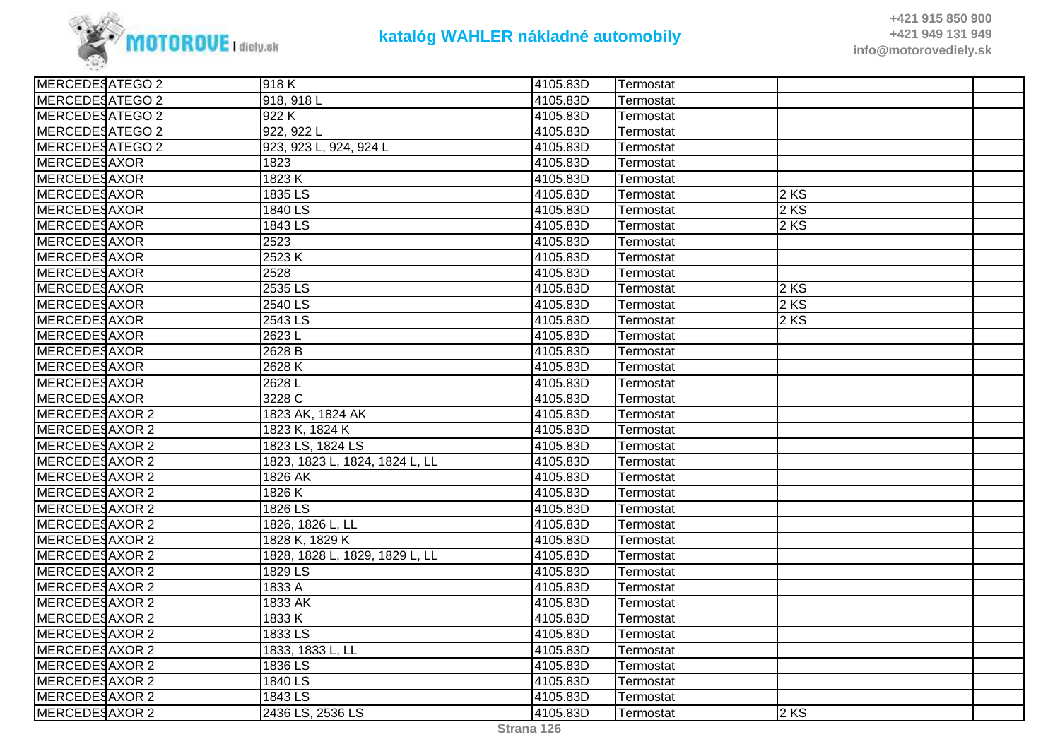

| MERCEDESATEGO 2     | 918K                           | 4105.83D | Termostat |        |  |
|---------------------|--------------------------------|----------|-----------|--------|--|
| MERCEDESATEGO 2     | 918, 918 L                     | 4105.83D | Termostat |        |  |
| MERCEDESATEGO 2     | 922K                           | 4105.83D | Termostat |        |  |
| MERCEDESATEGO 2     | 922, 922 L                     | 4105.83D | Termostat |        |  |
| MERCEDESATEGO 2     | 923, 923 L, 924, 924 L         | 4105.83D | Termostat |        |  |
| MERCEDESAXOR        | 1823                           | 4105.83D | Termostat |        |  |
| <b>MERCEDESAXOR</b> | 1823K                          | 4105.83D | Termostat |        |  |
| MERCEDESAXOR        | 1835 LS                        | 4105.83D | Termostat | $2$ KS |  |
| MERCEDESAXOR        | 1840 LS                        | 4105.83D | Termostat | 2KS    |  |
| MERCEDESAXOR        | 1843 LS                        | 4105.83D | Termostat | 2KS    |  |
| MERCEDESAXOR        | 2523                           | 4105.83D | Termostat |        |  |
| MERCEDESAXOR        | 2523K                          | 4105.83D | Termostat |        |  |
| <b>MERCEDESAXOR</b> | 2528                           | 4105.83D | Termostat |        |  |
| MERCEDESAXOR        | 2535 LS                        | 4105.83D | Termostat | 2KS    |  |
| MERCEDESAXOR        | 2540 LS                        | 4105.83D | Termostat | 2KS    |  |
| <b>MERCEDESAXOR</b> | 2543 LS                        | 4105.83D | Termostat | $2$ KS |  |
| MERCEDESAXOR        | 2623L                          | 4105.83D | Termostat |        |  |
| MERCEDESAXOR        | 2628 B                         | 4105.83D | Termostat |        |  |
| MERCEDESAXOR        | 2628K                          | 4105.83D | Termostat |        |  |
| <b>MERCEDESAXOR</b> | 2628L                          | 4105.83D | Termostat |        |  |
| <b>MERCEDESAXOR</b> | 3228 C                         | 4105.83D | Termostat |        |  |
| MERCEDESAXOR 2      | 1823 AK, 1824 AK               | 4105.83D | Termostat |        |  |
| MERCEDESAXOR 2      | 1823 K, 1824 K                 | 4105.83D | Termostat |        |  |
| MERCEDESAXOR 2      | 1823 LS, 1824 LS               | 4105.83D | Termostat |        |  |
| MERCEDESAXOR 2      | 1823, 1823 L, 1824, 1824 L, LL | 4105.83D | Termostat |        |  |
| MERCEDESAXOR 2      | 1826 AK                        | 4105.83D | Termostat |        |  |
| MERCEDESAXOR 2      | 1826K                          | 4105.83D | Termostat |        |  |
| MERCEDESAXOR 2      | 1826 LS                        | 4105.83D | Termostat |        |  |
| MERCEDESAXOR 2      | 1826, 1826 L, LL               | 4105.83D | Termostat |        |  |
| MERCEDESAXOR 2      | 1828 K, 1829 K                 | 4105.83D | Termostat |        |  |
| MERCEDESAXOR 2      | 1828, 1828 L, 1829, 1829 L, LL | 4105.83D | Termostat |        |  |
| MERCEDESAXOR 2      | 1829 LS                        | 4105.83D | Termostat |        |  |
| MERCEDESAXOR 2      | 1833 A                         | 4105.83D | Termostat |        |  |
| MERCEDESAXOR 2      | 1833 AK                        | 4105.83D | Termostat |        |  |
| MERCEDESAXOR 2      | 1833 K                         | 4105.83D | Termostat |        |  |
| MERCEDESAXOR 2      | 1833 LS                        | 4105.83D | Termostat |        |  |
| MERCEDESAXOR 2      | 1833, 1833 L, LL               | 4105.83D | Termostat |        |  |
| MERCEDESAXOR 2      | 1836 LS                        | 4105.83D | Termostat |        |  |
| MERCEDESAXOR 2      | 1840 LS                        | 4105.83D | Termostat |        |  |
| MERCEDESAXOR 2      | 1843 LS                        | 4105.83D | Termostat |        |  |
| MERCEDESAXOR 2      | 2436 LS, 2536 LS               | 4105.83D | Termostat | $2$ KS |  |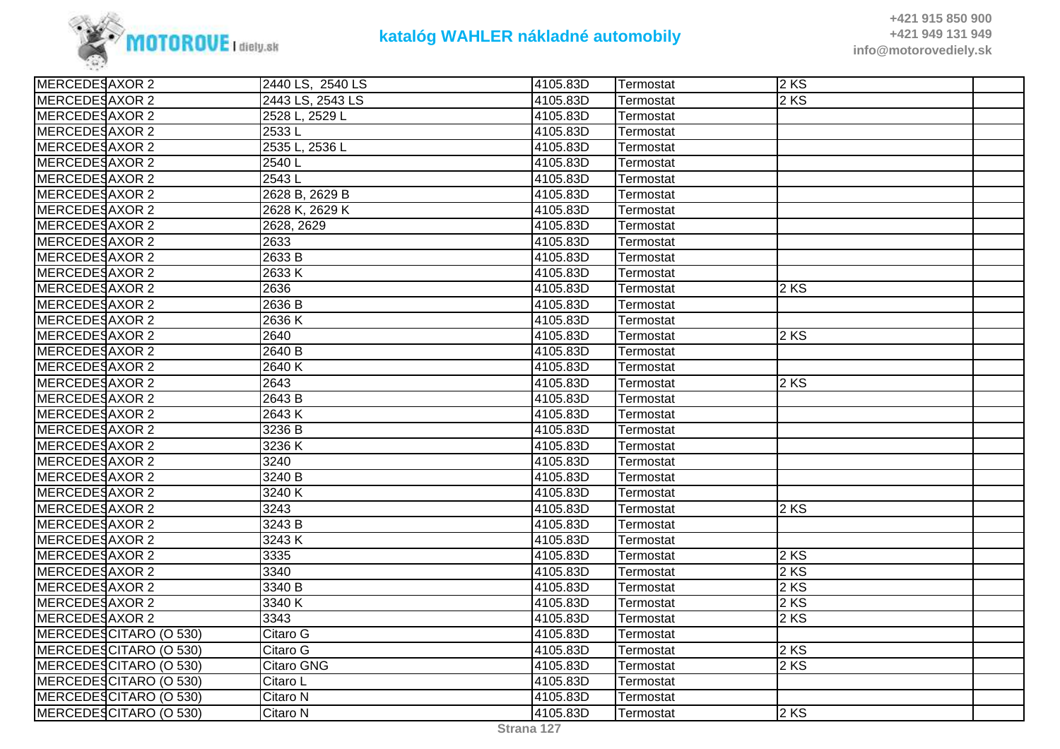

| MERCEDESAXOR 2<br>2443 LS, 2543 LS<br>$2$ KS<br>4105.83D<br>Termostat<br>MERCEDESAXOR 2<br>2528 L, 2529 L<br>4105.83D<br>Termostat<br>MERCEDESAXOR 2<br>2533L<br>4105.83D<br>Termostat<br>MERCEDESAXOR 2<br>2535 L, 2536 L<br>4105.83D<br>Termostat<br>MERCEDESAXOR 2<br>4105.83D<br>2540L<br>Termostat<br>MERCEDESAXOR 2<br>2543L<br>4105.83D<br>Termostat<br>MERCEDESAXOR 2<br>2628 B, 2629 B<br>4105.83D<br>Termostat<br>MERCEDESAXOR 2<br>2628 K, 2629 K<br>4105.83D<br>Termostat<br>MERCEDESAXOR 2<br>2628, 2629<br>4105.83D<br>Termostat<br>MERCEDESAXOR 2<br>2633<br>4105.83D<br>Termostat<br>MERCEDESAXOR 2<br>2633 B<br>4105.83D<br>Termostat<br>MERCEDESAXOR 2<br>2633K<br>4105.83D<br>Termostat<br>MERCEDESAXOR 2<br>2636<br>4105.83D<br>2KS<br>Termostat<br>MERCEDESAXOR 2<br>2636B<br>4105.83D<br>Termostat<br>MERCEDESAXOR 2<br>2636K<br>4105.83D<br>Termostat<br>MERCEDESAXOR 2<br>4105.83D<br>$2$ KS<br>2640<br>Termostat<br>MERCEDESAXOR 2<br>2640 B<br>4105.83D<br>Termostat<br>MERCEDESAXOR 2<br>4105.83D<br>2640K<br>Termostat<br>MERCEDESAXOR 2<br>2643<br>4105.83D<br>$2$ KS<br>Termostat<br>MERCEDESAXOR 2<br>2643 B<br>4105.83D<br>Termostat<br>MERCEDESAXOR 2<br>2643K<br>4105.83D<br>Termostat<br>MERCEDESAXOR 2<br>3236 B<br>4105.83D<br>Termostat<br>MERCEDESAXOR 2<br>3236K<br>4105.83D<br>Termostat<br>MERCEDESAXOR 2<br>4105.83D<br>3240<br>Termostat<br>MERCEDESAXOR 2<br>3240 B<br>4105.83D<br>Termostat<br>MERCEDESAXOR 2<br>3240 K<br>4105.83D<br>Termostat<br>MERCEDESAXOR 2<br>3243<br>4105.83D<br>$2$ KS<br>Termostat<br>MERCEDESAXOR 2<br>$\overline{3}$ 243 B<br>4105.83D<br>Termostat<br>MERCEDESAXOR 2<br>3243K<br>4105.83D<br>Termostat<br>MERCEDESAXOR 2<br>$2$ KS<br>3335<br>4105.83D<br>Termostat<br>2 KS<br>MERCEDESAXOR 2<br>3340<br>4105.83D<br>Termostat<br>MERCEDESAXOR 2<br>$2$ KS<br>3340 B<br>4105.83D<br>Termostat<br>MERCEDESAXOR 2<br>4105.83D<br>$2$ KS<br>3340K<br>Termostat<br>MERCEDESAXOR 2<br>3343<br>4105.83D<br>$2$ KS<br>Termostat<br>MERCEDESCITARO (O 530)<br>4105.83D<br>Citaro G<br>Termostat<br>MERCEDESCITARO (O 530)<br>Citaro G<br>4105.83D<br>$2$ KS<br>Termostat<br>$2$ KS<br>MERCEDESCITARO (O 530)<br>Citaro GNG<br>4105.83D<br>Termostat<br>MERCEDESCITARO (O 530)<br>Citaro L<br>4105.83D<br>Termostat<br>MERCEDESCITARO (O 530)<br>Citaro N<br>4105.83D<br>Termostat<br>$2$ KS<br>MERCEDESCITARO (O 530)<br>4105.83D<br>Citaro N<br>Termostat | MERCEDESAXOR 2 | 2440 LS, 2540 LS | 4105.83D | Termostat | $2$ KS |  |
|--------------------------------------------------------------------------------------------------------------------------------------------------------------------------------------------------------------------------------------------------------------------------------------------------------------------------------------------------------------------------------------------------------------------------------------------------------------------------------------------------------------------------------------------------------------------------------------------------------------------------------------------------------------------------------------------------------------------------------------------------------------------------------------------------------------------------------------------------------------------------------------------------------------------------------------------------------------------------------------------------------------------------------------------------------------------------------------------------------------------------------------------------------------------------------------------------------------------------------------------------------------------------------------------------------------------------------------------------------------------------------------------------------------------------------------------------------------------------------------------------------------------------------------------------------------------------------------------------------------------------------------------------------------------------------------------------------------------------------------------------------------------------------------------------------------------------------------------------------------------------------------------------------------------------------------------------------------------------------------------------------------------------------------------------------------------------------------------------------------------------------------------------------------------------------------------------------------------------------------------------------------------------------------------------------------------------------------------------------------------------------------------------------------------------------|----------------|------------------|----------|-----------|--------|--|
|                                                                                                                                                                                                                                                                                                                                                                                                                                                                                                                                                                                                                                                                                                                                                                                                                                                                                                                                                                                                                                                                                                                                                                                                                                                                                                                                                                                                                                                                                                                                                                                                                                                                                                                                                                                                                                                                                                                                                                                                                                                                                                                                                                                                                                                                                                                                                                                                                                |                |                  |          |           |        |  |
|                                                                                                                                                                                                                                                                                                                                                                                                                                                                                                                                                                                                                                                                                                                                                                                                                                                                                                                                                                                                                                                                                                                                                                                                                                                                                                                                                                                                                                                                                                                                                                                                                                                                                                                                                                                                                                                                                                                                                                                                                                                                                                                                                                                                                                                                                                                                                                                                                                |                |                  |          |           |        |  |
|                                                                                                                                                                                                                                                                                                                                                                                                                                                                                                                                                                                                                                                                                                                                                                                                                                                                                                                                                                                                                                                                                                                                                                                                                                                                                                                                                                                                                                                                                                                                                                                                                                                                                                                                                                                                                                                                                                                                                                                                                                                                                                                                                                                                                                                                                                                                                                                                                                |                |                  |          |           |        |  |
|                                                                                                                                                                                                                                                                                                                                                                                                                                                                                                                                                                                                                                                                                                                                                                                                                                                                                                                                                                                                                                                                                                                                                                                                                                                                                                                                                                                                                                                                                                                                                                                                                                                                                                                                                                                                                                                                                                                                                                                                                                                                                                                                                                                                                                                                                                                                                                                                                                |                |                  |          |           |        |  |
|                                                                                                                                                                                                                                                                                                                                                                                                                                                                                                                                                                                                                                                                                                                                                                                                                                                                                                                                                                                                                                                                                                                                                                                                                                                                                                                                                                                                                                                                                                                                                                                                                                                                                                                                                                                                                                                                                                                                                                                                                                                                                                                                                                                                                                                                                                                                                                                                                                |                |                  |          |           |        |  |
|                                                                                                                                                                                                                                                                                                                                                                                                                                                                                                                                                                                                                                                                                                                                                                                                                                                                                                                                                                                                                                                                                                                                                                                                                                                                                                                                                                                                                                                                                                                                                                                                                                                                                                                                                                                                                                                                                                                                                                                                                                                                                                                                                                                                                                                                                                                                                                                                                                |                |                  |          |           |        |  |
|                                                                                                                                                                                                                                                                                                                                                                                                                                                                                                                                                                                                                                                                                                                                                                                                                                                                                                                                                                                                                                                                                                                                                                                                                                                                                                                                                                                                                                                                                                                                                                                                                                                                                                                                                                                                                                                                                                                                                                                                                                                                                                                                                                                                                                                                                                                                                                                                                                |                |                  |          |           |        |  |
|                                                                                                                                                                                                                                                                                                                                                                                                                                                                                                                                                                                                                                                                                                                                                                                                                                                                                                                                                                                                                                                                                                                                                                                                                                                                                                                                                                                                                                                                                                                                                                                                                                                                                                                                                                                                                                                                                                                                                                                                                                                                                                                                                                                                                                                                                                                                                                                                                                |                |                  |          |           |        |  |
|                                                                                                                                                                                                                                                                                                                                                                                                                                                                                                                                                                                                                                                                                                                                                                                                                                                                                                                                                                                                                                                                                                                                                                                                                                                                                                                                                                                                                                                                                                                                                                                                                                                                                                                                                                                                                                                                                                                                                                                                                                                                                                                                                                                                                                                                                                                                                                                                                                |                |                  |          |           |        |  |
|                                                                                                                                                                                                                                                                                                                                                                                                                                                                                                                                                                                                                                                                                                                                                                                                                                                                                                                                                                                                                                                                                                                                                                                                                                                                                                                                                                                                                                                                                                                                                                                                                                                                                                                                                                                                                                                                                                                                                                                                                                                                                                                                                                                                                                                                                                                                                                                                                                |                |                  |          |           |        |  |
|                                                                                                                                                                                                                                                                                                                                                                                                                                                                                                                                                                                                                                                                                                                                                                                                                                                                                                                                                                                                                                                                                                                                                                                                                                                                                                                                                                                                                                                                                                                                                                                                                                                                                                                                                                                                                                                                                                                                                                                                                                                                                                                                                                                                                                                                                                                                                                                                                                |                |                  |          |           |        |  |
|                                                                                                                                                                                                                                                                                                                                                                                                                                                                                                                                                                                                                                                                                                                                                                                                                                                                                                                                                                                                                                                                                                                                                                                                                                                                                                                                                                                                                                                                                                                                                                                                                                                                                                                                                                                                                                                                                                                                                                                                                                                                                                                                                                                                                                                                                                                                                                                                                                |                |                  |          |           |        |  |
|                                                                                                                                                                                                                                                                                                                                                                                                                                                                                                                                                                                                                                                                                                                                                                                                                                                                                                                                                                                                                                                                                                                                                                                                                                                                                                                                                                                                                                                                                                                                                                                                                                                                                                                                                                                                                                                                                                                                                                                                                                                                                                                                                                                                                                                                                                                                                                                                                                |                |                  |          |           |        |  |
|                                                                                                                                                                                                                                                                                                                                                                                                                                                                                                                                                                                                                                                                                                                                                                                                                                                                                                                                                                                                                                                                                                                                                                                                                                                                                                                                                                                                                                                                                                                                                                                                                                                                                                                                                                                                                                                                                                                                                                                                                                                                                                                                                                                                                                                                                                                                                                                                                                |                |                  |          |           |        |  |
|                                                                                                                                                                                                                                                                                                                                                                                                                                                                                                                                                                                                                                                                                                                                                                                                                                                                                                                                                                                                                                                                                                                                                                                                                                                                                                                                                                                                                                                                                                                                                                                                                                                                                                                                                                                                                                                                                                                                                                                                                                                                                                                                                                                                                                                                                                                                                                                                                                |                |                  |          |           |        |  |
|                                                                                                                                                                                                                                                                                                                                                                                                                                                                                                                                                                                                                                                                                                                                                                                                                                                                                                                                                                                                                                                                                                                                                                                                                                                                                                                                                                                                                                                                                                                                                                                                                                                                                                                                                                                                                                                                                                                                                                                                                                                                                                                                                                                                                                                                                                                                                                                                                                |                |                  |          |           |        |  |
|                                                                                                                                                                                                                                                                                                                                                                                                                                                                                                                                                                                                                                                                                                                                                                                                                                                                                                                                                                                                                                                                                                                                                                                                                                                                                                                                                                                                                                                                                                                                                                                                                                                                                                                                                                                                                                                                                                                                                                                                                                                                                                                                                                                                                                                                                                                                                                                                                                |                |                  |          |           |        |  |
|                                                                                                                                                                                                                                                                                                                                                                                                                                                                                                                                                                                                                                                                                                                                                                                                                                                                                                                                                                                                                                                                                                                                                                                                                                                                                                                                                                                                                                                                                                                                                                                                                                                                                                                                                                                                                                                                                                                                                                                                                                                                                                                                                                                                                                                                                                                                                                                                                                |                |                  |          |           |        |  |
|                                                                                                                                                                                                                                                                                                                                                                                                                                                                                                                                                                                                                                                                                                                                                                                                                                                                                                                                                                                                                                                                                                                                                                                                                                                                                                                                                                                                                                                                                                                                                                                                                                                                                                                                                                                                                                                                                                                                                                                                                                                                                                                                                                                                                                                                                                                                                                                                                                |                |                  |          |           |        |  |
|                                                                                                                                                                                                                                                                                                                                                                                                                                                                                                                                                                                                                                                                                                                                                                                                                                                                                                                                                                                                                                                                                                                                                                                                                                                                                                                                                                                                                                                                                                                                                                                                                                                                                                                                                                                                                                                                                                                                                                                                                                                                                                                                                                                                                                                                                                                                                                                                                                |                |                  |          |           |        |  |
|                                                                                                                                                                                                                                                                                                                                                                                                                                                                                                                                                                                                                                                                                                                                                                                                                                                                                                                                                                                                                                                                                                                                                                                                                                                                                                                                                                                                                                                                                                                                                                                                                                                                                                                                                                                                                                                                                                                                                                                                                                                                                                                                                                                                                                                                                                                                                                                                                                |                |                  |          |           |        |  |
|                                                                                                                                                                                                                                                                                                                                                                                                                                                                                                                                                                                                                                                                                                                                                                                                                                                                                                                                                                                                                                                                                                                                                                                                                                                                                                                                                                                                                                                                                                                                                                                                                                                                                                                                                                                                                                                                                                                                                                                                                                                                                                                                                                                                                                                                                                                                                                                                                                |                |                  |          |           |        |  |
|                                                                                                                                                                                                                                                                                                                                                                                                                                                                                                                                                                                                                                                                                                                                                                                                                                                                                                                                                                                                                                                                                                                                                                                                                                                                                                                                                                                                                                                                                                                                                                                                                                                                                                                                                                                                                                                                                                                                                                                                                                                                                                                                                                                                                                                                                                                                                                                                                                |                |                  |          |           |        |  |
|                                                                                                                                                                                                                                                                                                                                                                                                                                                                                                                                                                                                                                                                                                                                                                                                                                                                                                                                                                                                                                                                                                                                                                                                                                                                                                                                                                                                                                                                                                                                                                                                                                                                                                                                                                                                                                                                                                                                                                                                                                                                                                                                                                                                                                                                                                                                                                                                                                |                |                  |          |           |        |  |
|                                                                                                                                                                                                                                                                                                                                                                                                                                                                                                                                                                                                                                                                                                                                                                                                                                                                                                                                                                                                                                                                                                                                                                                                                                                                                                                                                                                                                                                                                                                                                                                                                                                                                                                                                                                                                                                                                                                                                                                                                                                                                                                                                                                                                                                                                                                                                                                                                                |                |                  |          |           |        |  |
|                                                                                                                                                                                                                                                                                                                                                                                                                                                                                                                                                                                                                                                                                                                                                                                                                                                                                                                                                                                                                                                                                                                                                                                                                                                                                                                                                                                                                                                                                                                                                                                                                                                                                                                                                                                                                                                                                                                                                                                                                                                                                                                                                                                                                                                                                                                                                                                                                                |                |                  |          |           |        |  |
|                                                                                                                                                                                                                                                                                                                                                                                                                                                                                                                                                                                                                                                                                                                                                                                                                                                                                                                                                                                                                                                                                                                                                                                                                                                                                                                                                                                                                                                                                                                                                                                                                                                                                                                                                                                                                                                                                                                                                                                                                                                                                                                                                                                                                                                                                                                                                                                                                                |                |                  |          |           |        |  |
|                                                                                                                                                                                                                                                                                                                                                                                                                                                                                                                                                                                                                                                                                                                                                                                                                                                                                                                                                                                                                                                                                                                                                                                                                                                                                                                                                                                                                                                                                                                                                                                                                                                                                                                                                                                                                                                                                                                                                                                                                                                                                                                                                                                                                                                                                                                                                                                                                                |                |                  |          |           |        |  |
|                                                                                                                                                                                                                                                                                                                                                                                                                                                                                                                                                                                                                                                                                                                                                                                                                                                                                                                                                                                                                                                                                                                                                                                                                                                                                                                                                                                                                                                                                                                                                                                                                                                                                                                                                                                                                                                                                                                                                                                                                                                                                                                                                                                                                                                                                                                                                                                                                                |                |                  |          |           |        |  |
|                                                                                                                                                                                                                                                                                                                                                                                                                                                                                                                                                                                                                                                                                                                                                                                                                                                                                                                                                                                                                                                                                                                                                                                                                                                                                                                                                                                                                                                                                                                                                                                                                                                                                                                                                                                                                                                                                                                                                                                                                                                                                                                                                                                                                                                                                                                                                                                                                                |                |                  |          |           |        |  |
|                                                                                                                                                                                                                                                                                                                                                                                                                                                                                                                                                                                                                                                                                                                                                                                                                                                                                                                                                                                                                                                                                                                                                                                                                                                                                                                                                                                                                                                                                                                                                                                                                                                                                                                                                                                                                                                                                                                                                                                                                                                                                                                                                                                                                                                                                                                                                                                                                                |                |                  |          |           |        |  |
|                                                                                                                                                                                                                                                                                                                                                                                                                                                                                                                                                                                                                                                                                                                                                                                                                                                                                                                                                                                                                                                                                                                                                                                                                                                                                                                                                                                                                                                                                                                                                                                                                                                                                                                                                                                                                                                                                                                                                                                                                                                                                                                                                                                                                                                                                                                                                                                                                                |                |                  |          |           |        |  |
|                                                                                                                                                                                                                                                                                                                                                                                                                                                                                                                                                                                                                                                                                                                                                                                                                                                                                                                                                                                                                                                                                                                                                                                                                                                                                                                                                                                                                                                                                                                                                                                                                                                                                                                                                                                                                                                                                                                                                                                                                                                                                                                                                                                                                                                                                                                                                                                                                                |                |                  |          |           |        |  |
|                                                                                                                                                                                                                                                                                                                                                                                                                                                                                                                                                                                                                                                                                                                                                                                                                                                                                                                                                                                                                                                                                                                                                                                                                                                                                                                                                                                                                                                                                                                                                                                                                                                                                                                                                                                                                                                                                                                                                                                                                                                                                                                                                                                                                                                                                                                                                                                                                                |                |                  |          |           |        |  |
|                                                                                                                                                                                                                                                                                                                                                                                                                                                                                                                                                                                                                                                                                                                                                                                                                                                                                                                                                                                                                                                                                                                                                                                                                                                                                                                                                                                                                                                                                                                                                                                                                                                                                                                                                                                                                                                                                                                                                                                                                                                                                                                                                                                                                                                                                                                                                                                                                                |                |                  |          |           |        |  |
|                                                                                                                                                                                                                                                                                                                                                                                                                                                                                                                                                                                                                                                                                                                                                                                                                                                                                                                                                                                                                                                                                                                                                                                                                                                                                                                                                                                                                                                                                                                                                                                                                                                                                                                                                                                                                                                                                                                                                                                                                                                                                                                                                                                                                                                                                                                                                                                                                                |                |                  |          |           |        |  |
|                                                                                                                                                                                                                                                                                                                                                                                                                                                                                                                                                                                                                                                                                                                                                                                                                                                                                                                                                                                                                                                                                                                                                                                                                                                                                                                                                                                                                                                                                                                                                                                                                                                                                                                                                                                                                                                                                                                                                                                                                                                                                                                                                                                                                                                                                                                                                                                                                                |                |                  |          |           |        |  |
|                                                                                                                                                                                                                                                                                                                                                                                                                                                                                                                                                                                                                                                                                                                                                                                                                                                                                                                                                                                                                                                                                                                                                                                                                                                                                                                                                                                                                                                                                                                                                                                                                                                                                                                                                                                                                                                                                                                                                                                                                                                                                                                                                                                                                                                                                                                                                                                                                                |                |                  |          |           |        |  |
|                                                                                                                                                                                                                                                                                                                                                                                                                                                                                                                                                                                                                                                                                                                                                                                                                                                                                                                                                                                                                                                                                                                                                                                                                                                                                                                                                                                                                                                                                                                                                                                                                                                                                                                                                                                                                                                                                                                                                                                                                                                                                                                                                                                                                                                                                                                                                                                                                                |                |                  |          |           |        |  |
|                                                                                                                                                                                                                                                                                                                                                                                                                                                                                                                                                                                                                                                                                                                                                                                                                                                                                                                                                                                                                                                                                                                                                                                                                                                                                                                                                                                                                                                                                                                                                                                                                                                                                                                                                                                                                                                                                                                                                                                                                                                                                                                                                                                                                                                                                                                                                                                                                                |                |                  |          |           |        |  |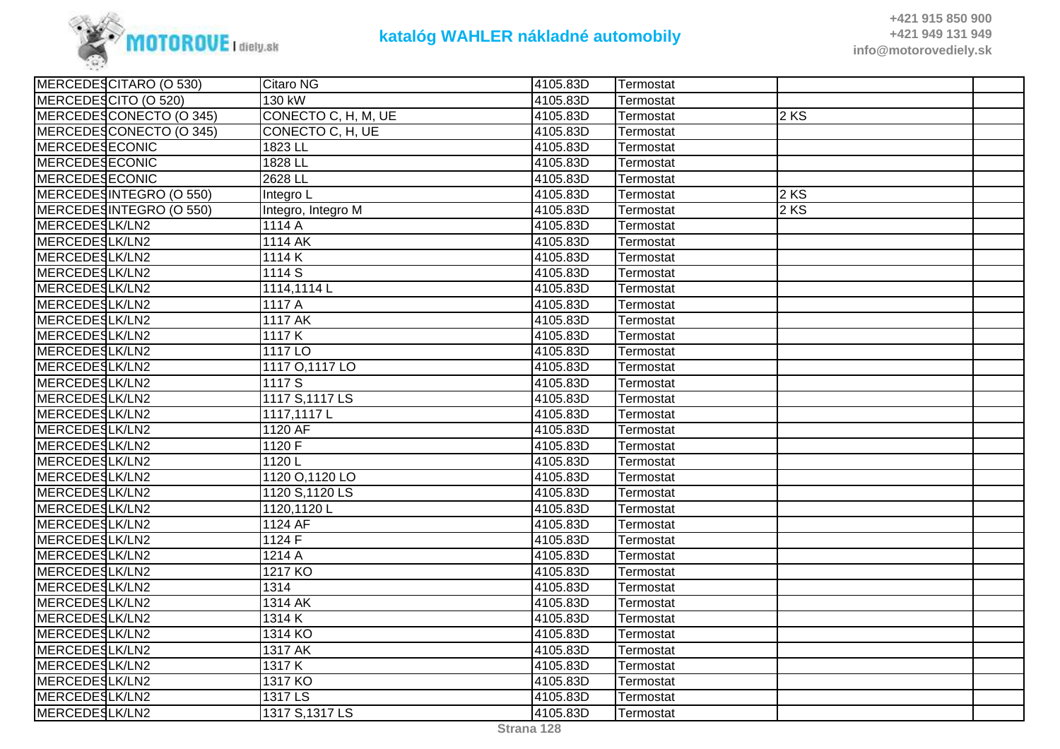

| MERCEDESCITARO (O 530)  | <b>Citaro NG</b>     | 4105.83D | Termostat |      |  |
|-------------------------|----------------------|----------|-----------|------|--|
| MERCEDESCITO (O 520)    | 130 kW               | 4105.83D | Termostat |      |  |
| MERCEDESCONECTO (O 345) | CONECTO C, H, M, UE  | 4105.83D | Termostat | 2 KS |  |
| MERCEDESCONECTO (O 345) | CONECTO C, H, UE     | 4105.83D | Termostat |      |  |
| MERCEDESECONIC          | 1823 LL              | 4105.83D | Termostat |      |  |
| <b>MERCEDESECONIC</b>   | 1828 LL              | 4105.83D | Termostat |      |  |
| <b>MERCEDESECONIC</b>   | 2628 LL              | 4105.83D | Termostat |      |  |
| MERCEDESINTEGRO (O 550) | Integro L            | 4105.83D | Termostat | 2KS  |  |
| MERCEDESINTEGRO (O 550) | Integro, Integro M   | 4105.83D | Termostat | 2 KS |  |
| MERCEDESLK/LN2          | 1114 A               | 4105.83D | Termostat |      |  |
| MERCEDESLK/LN2          | 1114 AK              | 4105.83D | Termostat |      |  |
| MERCEDESLK/LN2          | 1114K                | 4105.83D | Termostat |      |  |
| MERCEDESLK/LN2          | 1114 S               | 4105.83D | Termostat |      |  |
| MERCEDESLK/LN2          | 1114,1114L           | 4105.83D | Termostat |      |  |
| MERCEDESLK/LN2          | 1117 A               | 4105.83D | Termostat |      |  |
| MERCEDESLK/LN2          | 1117 AK              | 4105.83D | Termostat |      |  |
| MERCEDESLK/LN2          | 1117 K               | 4105.83D | Termostat |      |  |
| MERCEDESLK/LN2          | 1117 LO              | 4105.83D | Termostat |      |  |
| MERCEDESLK/LN2          | 1117 O, 1117 LO      | 4105.83D | Termostat |      |  |
| MERCEDESLK/LN2          | 1117 S               | 4105.83D | Termostat |      |  |
| MERCEDESLK/LN2          | 1117 S, 1117 LS      | 4105.83D | Termostat |      |  |
| MERCEDESLK/LN2          | 1117,1117L           | 4105.83D | Termostat |      |  |
| MERCEDESLK/LN2          | 1120 AF              | 4105.83D | Termostat |      |  |
| MERCEDESLK/LN2          | 1120 F               | 4105.83D | Termostat |      |  |
| MERCEDESLK/LN2          | 1120L                | 4105.83D | Termostat |      |  |
| MERCEDESLK/LN2          | 1120 O, 1120 LO      | 4105.83D | Termostat |      |  |
| MERCEDESLK/LN2          | 1120 S, 1120 LS      | 4105.83D | Termostat |      |  |
| MERCEDESLK/LN2          | 1120,1120L           | 4105.83D | Termostat |      |  |
| MERCEDESLK/LN2          | 1124 AF              | 4105.83D | Termostat |      |  |
| MERCEDESLK/LN2          | 1124 F               | 4105.83D | Termostat |      |  |
| MERCEDESLK/LN2          | $\overline{1}$ 214 A | 4105.83D | Termostat |      |  |
| MERCEDESLK/LN2          | 1217 KO              | 4105.83D | Termostat |      |  |
| MERCEDESLK/LN2          | 1314                 | 4105.83D | Termostat |      |  |
| MERCEDESLK/LN2          | 1314 AK              | 4105.83D | Termostat |      |  |
| MERCEDESLK/LN2          | 1314K                | 4105.83D | Termostat |      |  |
| MERCEDESLK/LN2          | 1314 KO              | 4105.83D | Termostat |      |  |
| MERCEDESLK/LN2          | 1317 AK              | 4105.83D | Termostat |      |  |
| MERCEDESLK/LN2          | 1317K                | 4105.83D | Termostat |      |  |
| MERCEDESLK/LN2          | 1317 KO              | 4105.83D | Termostat |      |  |
| MERCEDESLK/LN2          | 1317 LS              | 4105.83D | Termostat |      |  |
| MERCEDESLK/LN2          | 1317 S, 1317 LS      | 4105.83D | Termostat |      |  |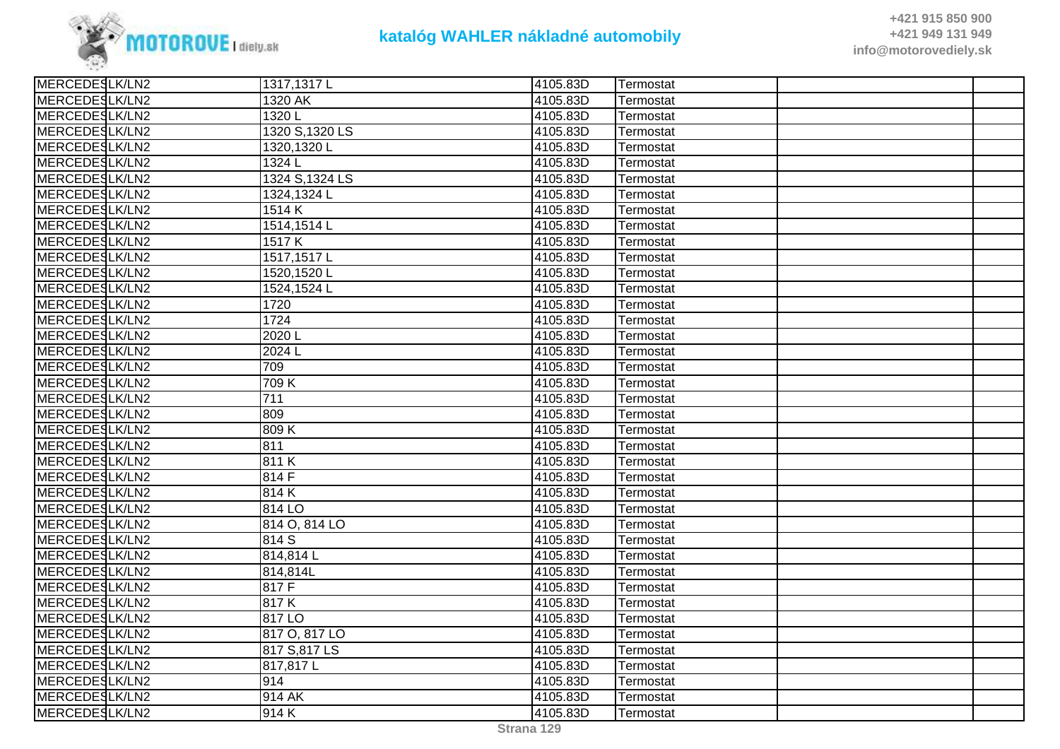

| MERCEDESLK/LN2<br>1320 AK<br>4105.83D<br>Termostat<br>MERCEDESLK/LN2<br>1320L<br>4105.83D<br>Termostat<br>MERCEDESLK/LN2<br>1320 S, 1320 LS<br>4105.83D<br>Termostat<br>MERCEDESLK/LN2<br>1320,1320L<br>4105.83D<br>Termostat |
|-------------------------------------------------------------------------------------------------------------------------------------------------------------------------------------------------------------------------------|
|                                                                                                                                                                                                                               |
|                                                                                                                                                                                                                               |
|                                                                                                                                                                                                                               |
|                                                                                                                                                                                                                               |
| MERCEDESLK/LN2<br>4105.83D<br>1324 L<br>Termostat                                                                                                                                                                             |
| MERCEDESLK/LN2<br>1324 S, 1324 LS<br>4105.83D<br>Termostat                                                                                                                                                                    |
| MERCEDESLK/LN2<br>1324,1324L<br>4105.83D<br>Termostat                                                                                                                                                                         |
| MERCEDESLK/LN2<br>1514K<br>4105.83D<br>Termostat                                                                                                                                                                              |
| MERCEDESLK/LN2<br>1514,1514L<br>4105.83D<br>Termostat                                                                                                                                                                         |
| MERCEDESLK/LN2<br>4105.83D<br>1517K<br>Termostat                                                                                                                                                                              |
| MERCEDESLK/LN2<br>1517,1517L<br>4105.83D<br>Termostat                                                                                                                                                                         |
| MERCEDESLK/LN2<br>4105.83D<br>1520,1520L<br>Termostat                                                                                                                                                                         |
| MERCEDESLK/LN2<br>1524,1524L<br>4105.83D<br>Termostat                                                                                                                                                                         |
| MERCEDESLK/LN2<br>4105.83D<br>1720<br>Termostat                                                                                                                                                                               |
| MERCEDESLK/LN2<br>1724<br>4105.83D<br>Termostat                                                                                                                                                                               |
| MERCEDESLK/LN2<br>2020L<br>4105.83D<br>Termostat                                                                                                                                                                              |
| MERCEDESLK/LN2<br>2024 L<br>4105.83D<br>Termostat                                                                                                                                                                             |
| MERCEDESLK/LN2<br>709<br>4105.83D<br>Termostat                                                                                                                                                                                |
| MERCEDESLK/LN2<br>709 K<br>4105.83D<br>Termostat                                                                                                                                                                              |
| MERCEDESLK/LN2<br>711<br>4105.83D<br>Termostat                                                                                                                                                                                |
| MERCEDESLK/LN2<br>809<br>4105.83D<br>Termostat                                                                                                                                                                                |
| MERCEDESLK/LN2<br>4105.83D<br>809K<br>Termostat                                                                                                                                                                               |
| MERCEDESLK/LN2<br>811<br>4105.83D<br>Termostat                                                                                                                                                                                |
| MERCEDESLK/LN2<br>4105.83D<br>811K<br>Termostat                                                                                                                                                                               |
| MERCEDESLK/LN2<br>814 F<br>4105.83D<br>Termostat                                                                                                                                                                              |
| MERCEDESLK/LN2<br>814K<br>4105.83D<br>Termostat                                                                                                                                                                               |
| MERCEDESLK/LN2<br>814 LO<br>4105.83D<br>Termostat                                                                                                                                                                             |
| MERCEDESLK/LN2<br>814 O, 814 LO<br>4105.83D<br>Termostat                                                                                                                                                                      |
| MERCEDESLK/LN2<br>814 S<br>4105.83D<br>Termostat                                                                                                                                                                              |
| MERCEDESLK/LN2<br>814,814L<br>4105.83D<br>Termostat                                                                                                                                                                           |
| MERCEDESLK/LN2<br>814,814L<br>4105.83D<br>Termostat                                                                                                                                                                           |
| MERCEDESLK/LN2<br>817 F<br>4105.83D<br>Termostat                                                                                                                                                                              |
| MERCEDESLK/LN2<br>4105.83D<br>817K<br>Termostat                                                                                                                                                                               |
| MERCEDESLK/LN2<br>817 LO<br>4105.83D<br>Termostat                                                                                                                                                                             |
| MERCEDESLK/LN2<br>817 O, 817 LO<br>4105.83D<br>Termostat                                                                                                                                                                      |
| MERCEDESLK/LN2<br>817 S,817 LS<br>4105.83D<br>Termostat                                                                                                                                                                       |
| MERCEDESLK/LN2<br>817,817L<br>4105.83D<br>Termostat                                                                                                                                                                           |
| MERCEDESLK/LN2<br>914<br>4105.83D<br>Termostat                                                                                                                                                                                |
| MERCEDESLK/LN2<br>914 AK<br>4105.83D<br>Termostat                                                                                                                                                                             |
| MERCEDESLK/LN2<br>914K<br>4105.83D<br>Termostat                                                                                                                                                                               |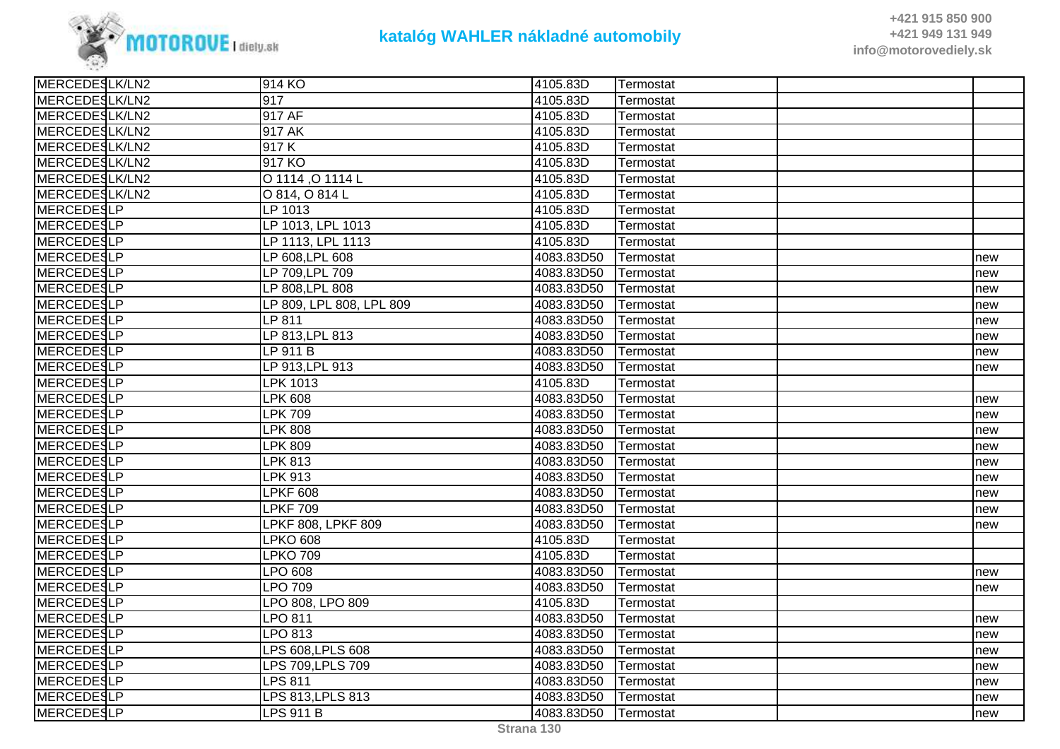

| MERCEDESLK/LN2<br>917<br>4105.83D<br>Termostat<br>MERCEDESLK/LN2<br>917 AF<br>4105.83D<br>Termostat<br>MERCEDESLK/LN2<br>917 AK<br>4105.83D<br>Termostat<br>MERCEDESLK/LN2<br>917K<br>4105.83D<br>Termostat<br>MERCEDESLK/LN2<br>917 KO<br>4105.83D<br>Termostat<br>MERCEDESLK/LN2<br>O 1114, O 1114 L<br>4105.83D<br>Termostat<br>MERCEDESLK/LN2<br>4105.83D<br>O 814, O 814 L<br>Termostat<br>MERCEDESLP<br>LP 1013<br>4105.83D<br>Termostat<br>MERCEDESLP<br>LP 1013, LPL 1013<br>4105.83D<br>Termostat<br>MERCEDESLP<br>LP 1113, LPL 1113<br>4105.83D<br>Termostat<br>MERCEDESLP<br>LP 608, LPL 608<br>4083.83D50<br>Termostat<br>new<br>MERCEDESLP<br>LP 709, LPL 709<br>4083.83D50<br>Termostat<br>new<br>MERCEDESLP<br>4083.83D50<br>LP 808, LPL 808<br>Termostat<br>new<br><b>MERCEDESLP</b><br>LP 809, LPL 808, LPL 809<br>4083.83D50<br>Termostat<br>new<br>MERCEDESLP<br>LP 811<br>4083.83D50<br>Termostat<br>new<br>MERCEDESLP<br>LP 813, LPL 813<br>4083.83D50<br>Termostat<br>new<br>MERCEDESLP<br>LP 911 B<br>4083.83D50<br>Termostat<br>new<br>MERCEDESLP<br>LP 913, LPL 913<br>4083.83D50<br>Termostat<br>new<br><b>MERCEDESLP</b><br>LPK 1013<br>4105.83D<br>Termostat<br>MERCEDESLP<br><b>LPK 608</b><br>4083.83D50<br>Termostat<br>new<br>MERCEDESLP<br><b>LPK 709</b><br>4083.83D50<br>Termostat<br>new<br><b>MERCEDESLP</b><br><b>LPK 808</b><br>4083.83D50<br>Termostat<br>new<br>MERCEDESLP<br>LPK 809<br>4083.83D50<br>Termostat<br>new<br>MERCEDESLP<br>LPK 813<br>4083.83D50<br>Termostat<br>new<br>MERCEDESLP<br>LPK 913<br>4083.83D50<br>Termostat<br>new<br><b>MERCEDESLP</b><br><b>LPKF 608</b><br>4083.83D50<br>Termostat<br>new<br>MERCEDESLP<br><b>LPKF 709</b><br>4083.83D50<br>Termostat<br>new<br><b>MERCEDESLP</b><br>LPKF 808, LPKF 809<br>4083.83D50<br>Termostat<br>new<br><b>MERCEDESLP</b><br><b>LPKO 608</b><br>4105.83D<br>Termostat<br>MERCEDESLP<br>LPKO 709<br>4105.83D<br>Termostat<br>MERCEDESLP<br>LPO 608<br>4083.83D50<br>Termostat<br>new<br>MERCEDESLP<br>LPO 709<br>4083.83D50<br>Termostat<br>new<br><b>MERCEDESLP</b><br>LPO 808, LPO 809<br>4105.83D<br>Termostat<br>MERCEDESLP<br>LPO 811<br>4083.83D50<br>Termostat<br>new<br>MERCEDESLP<br>LPO 813<br>4083.83D50<br>Termostat<br>new<br>MERCEDESLP<br>LPS 608, LPLS 608<br>4083.83D50<br>Termostat<br>new<br>MERCEDESLP<br>LPS 709, LPLS 709<br>4083.83D50<br>Termostat<br>new<br>MERCEDESLP<br>LPS 811<br>4083.83D50<br>Termostat<br>new<br>MERCEDESLP<br>LPS 813, LPLS 813<br>4083.83D50<br>Termostat<br>new<br>MERCEDESLP<br><b>LPS 911 B</b><br>4083.83D50<br>Termostat<br>new | MERCEDESLK/LN2 | 1914 KO | 4105.83D | <b>Termostat</b> |  |
|--------------------------------------------------------------------------------------------------------------------------------------------------------------------------------------------------------------------------------------------------------------------------------------------------------------------------------------------------------------------------------------------------------------------------------------------------------------------------------------------------------------------------------------------------------------------------------------------------------------------------------------------------------------------------------------------------------------------------------------------------------------------------------------------------------------------------------------------------------------------------------------------------------------------------------------------------------------------------------------------------------------------------------------------------------------------------------------------------------------------------------------------------------------------------------------------------------------------------------------------------------------------------------------------------------------------------------------------------------------------------------------------------------------------------------------------------------------------------------------------------------------------------------------------------------------------------------------------------------------------------------------------------------------------------------------------------------------------------------------------------------------------------------------------------------------------------------------------------------------------------------------------------------------------------------------------------------------------------------------------------------------------------------------------------------------------------------------------------------------------------------------------------------------------------------------------------------------------------------------------------------------------------------------------------------------------------------------------------------------------------------------------------------------------------------------------------------------------------------------------------------------------------------------------------------------------------------------------------|----------------|---------|----------|------------------|--|
|                                                                                                                                                                                                                                                                                                                                                                                                                                                                                                                                                                                                                                                                                                                                                                                                                                                                                                                                                                                                                                                                                                                                                                                                                                                                                                                                                                                                                                                                                                                                                                                                                                                                                                                                                                                                                                                                                                                                                                                                                                                                                                                                                                                                                                                                                                                                                                                                                                                                                                                                                                                                  |                |         |          |                  |  |
|                                                                                                                                                                                                                                                                                                                                                                                                                                                                                                                                                                                                                                                                                                                                                                                                                                                                                                                                                                                                                                                                                                                                                                                                                                                                                                                                                                                                                                                                                                                                                                                                                                                                                                                                                                                                                                                                                                                                                                                                                                                                                                                                                                                                                                                                                                                                                                                                                                                                                                                                                                                                  |                |         |          |                  |  |
|                                                                                                                                                                                                                                                                                                                                                                                                                                                                                                                                                                                                                                                                                                                                                                                                                                                                                                                                                                                                                                                                                                                                                                                                                                                                                                                                                                                                                                                                                                                                                                                                                                                                                                                                                                                                                                                                                                                                                                                                                                                                                                                                                                                                                                                                                                                                                                                                                                                                                                                                                                                                  |                |         |          |                  |  |
|                                                                                                                                                                                                                                                                                                                                                                                                                                                                                                                                                                                                                                                                                                                                                                                                                                                                                                                                                                                                                                                                                                                                                                                                                                                                                                                                                                                                                                                                                                                                                                                                                                                                                                                                                                                                                                                                                                                                                                                                                                                                                                                                                                                                                                                                                                                                                                                                                                                                                                                                                                                                  |                |         |          |                  |  |
|                                                                                                                                                                                                                                                                                                                                                                                                                                                                                                                                                                                                                                                                                                                                                                                                                                                                                                                                                                                                                                                                                                                                                                                                                                                                                                                                                                                                                                                                                                                                                                                                                                                                                                                                                                                                                                                                                                                                                                                                                                                                                                                                                                                                                                                                                                                                                                                                                                                                                                                                                                                                  |                |         |          |                  |  |
|                                                                                                                                                                                                                                                                                                                                                                                                                                                                                                                                                                                                                                                                                                                                                                                                                                                                                                                                                                                                                                                                                                                                                                                                                                                                                                                                                                                                                                                                                                                                                                                                                                                                                                                                                                                                                                                                                                                                                                                                                                                                                                                                                                                                                                                                                                                                                                                                                                                                                                                                                                                                  |                |         |          |                  |  |
|                                                                                                                                                                                                                                                                                                                                                                                                                                                                                                                                                                                                                                                                                                                                                                                                                                                                                                                                                                                                                                                                                                                                                                                                                                                                                                                                                                                                                                                                                                                                                                                                                                                                                                                                                                                                                                                                                                                                                                                                                                                                                                                                                                                                                                                                                                                                                                                                                                                                                                                                                                                                  |                |         |          |                  |  |
|                                                                                                                                                                                                                                                                                                                                                                                                                                                                                                                                                                                                                                                                                                                                                                                                                                                                                                                                                                                                                                                                                                                                                                                                                                                                                                                                                                                                                                                                                                                                                                                                                                                                                                                                                                                                                                                                                                                                                                                                                                                                                                                                                                                                                                                                                                                                                                                                                                                                                                                                                                                                  |                |         |          |                  |  |
|                                                                                                                                                                                                                                                                                                                                                                                                                                                                                                                                                                                                                                                                                                                                                                                                                                                                                                                                                                                                                                                                                                                                                                                                                                                                                                                                                                                                                                                                                                                                                                                                                                                                                                                                                                                                                                                                                                                                                                                                                                                                                                                                                                                                                                                                                                                                                                                                                                                                                                                                                                                                  |                |         |          |                  |  |
|                                                                                                                                                                                                                                                                                                                                                                                                                                                                                                                                                                                                                                                                                                                                                                                                                                                                                                                                                                                                                                                                                                                                                                                                                                                                                                                                                                                                                                                                                                                                                                                                                                                                                                                                                                                                                                                                                                                                                                                                                                                                                                                                                                                                                                                                                                                                                                                                                                                                                                                                                                                                  |                |         |          |                  |  |
|                                                                                                                                                                                                                                                                                                                                                                                                                                                                                                                                                                                                                                                                                                                                                                                                                                                                                                                                                                                                                                                                                                                                                                                                                                                                                                                                                                                                                                                                                                                                                                                                                                                                                                                                                                                                                                                                                                                                                                                                                                                                                                                                                                                                                                                                                                                                                                                                                                                                                                                                                                                                  |                |         |          |                  |  |
|                                                                                                                                                                                                                                                                                                                                                                                                                                                                                                                                                                                                                                                                                                                                                                                                                                                                                                                                                                                                                                                                                                                                                                                                                                                                                                                                                                                                                                                                                                                                                                                                                                                                                                                                                                                                                                                                                                                                                                                                                                                                                                                                                                                                                                                                                                                                                                                                                                                                                                                                                                                                  |                |         |          |                  |  |
|                                                                                                                                                                                                                                                                                                                                                                                                                                                                                                                                                                                                                                                                                                                                                                                                                                                                                                                                                                                                                                                                                                                                                                                                                                                                                                                                                                                                                                                                                                                                                                                                                                                                                                                                                                                                                                                                                                                                                                                                                                                                                                                                                                                                                                                                                                                                                                                                                                                                                                                                                                                                  |                |         |          |                  |  |
|                                                                                                                                                                                                                                                                                                                                                                                                                                                                                                                                                                                                                                                                                                                                                                                                                                                                                                                                                                                                                                                                                                                                                                                                                                                                                                                                                                                                                                                                                                                                                                                                                                                                                                                                                                                                                                                                                                                                                                                                                                                                                                                                                                                                                                                                                                                                                                                                                                                                                                                                                                                                  |                |         |          |                  |  |
|                                                                                                                                                                                                                                                                                                                                                                                                                                                                                                                                                                                                                                                                                                                                                                                                                                                                                                                                                                                                                                                                                                                                                                                                                                                                                                                                                                                                                                                                                                                                                                                                                                                                                                                                                                                                                                                                                                                                                                                                                                                                                                                                                                                                                                                                                                                                                                                                                                                                                                                                                                                                  |                |         |          |                  |  |
|                                                                                                                                                                                                                                                                                                                                                                                                                                                                                                                                                                                                                                                                                                                                                                                                                                                                                                                                                                                                                                                                                                                                                                                                                                                                                                                                                                                                                                                                                                                                                                                                                                                                                                                                                                                                                                                                                                                                                                                                                                                                                                                                                                                                                                                                                                                                                                                                                                                                                                                                                                                                  |                |         |          |                  |  |
|                                                                                                                                                                                                                                                                                                                                                                                                                                                                                                                                                                                                                                                                                                                                                                                                                                                                                                                                                                                                                                                                                                                                                                                                                                                                                                                                                                                                                                                                                                                                                                                                                                                                                                                                                                                                                                                                                                                                                                                                                                                                                                                                                                                                                                                                                                                                                                                                                                                                                                                                                                                                  |                |         |          |                  |  |
|                                                                                                                                                                                                                                                                                                                                                                                                                                                                                                                                                                                                                                                                                                                                                                                                                                                                                                                                                                                                                                                                                                                                                                                                                                                                                                                                                                                                                                                                                                                                                                                                                                                                                                                                                                                                                                                                                                                                                                                                                                                                                                                                                                                                                                                                                                                                                                                                                                                                                                                                                                                                  |                |         |          |                  |  |
|                                                                                                                                                                                                                                                                                                                                                                                                                                                                                                                                                                                                                                                                                                                                                                                                                                                                                                                                                                                                                                                                                                                                                                                                                                                                                                                                                                                                                                                                                                                                                                                                                                                                                                                                                                                                                                                                                                                                                                                                                                                                                                                                                                                                                                                                                                                                                                                                                                                                                                                                                                                                  |                |         |          |                  |  |
|                                                                                                                                                                                                                                                                                                                                                                                                                                                                                                                                                                                                                                                                                                                                                                                                                                                                                                                                                                                                                                                                                                                                                                                                                                                                                                                                                                                                                                                                                                                                                                                                                                                                                                                                                                                                                                                                                                                                                                                                                                                                                                                                                                                                                                                                                                                                                                                                                                                                                                                                                                                                  |                |         |          |                  |  |
|                                                                                                                                                                                                                                                                                                                                                                                                                                                                                                                                                                                                                                                                                                                                                                                                                                                                                                                                                                                                                                                                                                                                                                                                                                                                                                                                                                                                                                                                                                                                                                                                                                                                                                                                                                                                                                                                                                                                                                                                                                                                                                                                                                                                                                                                                                                                                                                                                                                                                                                                                                                                  |                |         |          |                  |  |
|                                                                                                                                                                                                                                                                                                                                                                                                                                                                                                                                                                                                                                                                                                                                                                                                                                                                                                                                                                                                                                                                                                                                                                                                                                                                                                                                                                                                                                                                                                                                                                                                                                                                                                                                                                                                                                                                                                                                                                                                                                                                                                                                                                                                                                                                                                                                                                                                                                                                                                                                                                                                  |                |         |          |                  |  |
|                                                                                                                                                                                                                                                                                                                                                                                                                                                                                                                                                                                                                                                                                                                                                                                                                                                                                                                                                                                                                                                                                                                                                                                                                                                                                                                                                                                                                                                                                                                                                                                                                                                                                                                                                                                                                                                                                                                                                                                                                                                                                                                                                                                                                                                                                                                                                                                                                                                                                                                                                                                                  |                |         |          |                  |  |
|                                                                                                                                                                                                                                                                                                                                                                                                                                                                                                                                                                                                                                                                                                                                                                                                                                                                                                                                                                                                                                                                                                                                                                                                                                                                                                                                                                                                                                                                                                                                                                                                                                                                                                                                                                                                                                                                                                                                                                                                                                                                                                                                                                                                                                                                                                                                                                                                                                                                                                                                                                                                  |                |         |          |                  |  |
|                                                                                                                                                                                                                                                                                                                                                                                                                                                                                                                                                                                                                                                                                                                                                                                                                                                                                                                                                                                                                                                                                                                                                                                                                                                                                                                                                                                                                                                                                                                                                                                                                                                                                                                                                                                                                                                                                                                                                                                                                                                                                                                                                                                                                                                                                                                                                                                                                                                                                                                                                                                                  |                |         |          |                  |  |
|                                                                                                                                                                                                                                                                                                                                                                                                                                                                                                                                                                                                                                                                                                                                                                                                                                                                                                                                                                                                                                                                                                                                                                                                                                                                                                                                                                                                                                                                                                                                                                                                                                                                                                                                                                                                                                                                                                                                                                                                                                                                                                                                                                                                                                                                                                                                                                                                                                                                                                                                                                                                  |                |         |          |                  |  |
|                                                                                                                                                                                                                                                                                                                                                                                                                                                                                                                                                                                                                                                                                                                                                                                                                                                                                                                                                                                                                                                                                                                                                                                                                                                                                                                                                                                                                                                                                                                                                                                                                                                                                                                                                                                                                                                                                                                                                                                                                                                                                                                                                                                                                                                                                                                                                                                                                                                                                                                                                                                                  |                |         |          |                  |  |
|                                                                                                                                                                                                                                                                                                                                                                                                                                                                                                                                                                                                                                                                                                                                                                                                                                                                                                                                                                                                                                                                                                                                                                                                                                                                                                                                                                                                                                                                                                                                                                                                                                                                                                                                                                                                                                                                                                                                                                                                                                                                                                                                                                                                                                                                                                                                                                                                                                                                                                                                                                                                  |                |         |          |                  |  |
|                                                                                                                                                                                                                                                                                                                                                                                                                                                                                                                                                                                                                                                                                                                                                                                                                                                                                                                                                                                                                                                                                                                                                                                                                                                                                                                                                                                                                                                                                                                                                                                                                                                                                                                                                                                                                                                                                                                                                                                                                                                                                                                                                                                                                                                                                                                                                                                                                                                                                                                                                                                                  |                |         |          |                  |  |
|                                                                                                                                                                                                                                                                                                                                                                                                                                                                                                                                                                                                                                                                                                                                                                                                                                                                                                                                                                                                                                                                                                                                                                                                                                                                                                                                                                                                                                                                                                                                                                                                                                                                                                                                                                                                                                                                                                                                                                                                                                                                                                                                                                                                                                                                                                                                                                                                                                                                                                                                                                                                  |                |         |          |                  |  |
|                                                                                                                                                                                                                                                                                                                                                                                                                                                                                                                                                                                                                                                                                                                                                                                                                                                                                                                                                                                                                                                                                                                                                                                                                                                                                                                                                                                                                                                                                                                                                                                                                                                                                                                                                                                                                                                                                                                                                                                                                                                                                                                                                                                                                                                                                                                                                                                                                                                                                                                                                                                                  |                |         |          |                  |  |
|                                                                                                                                                                                                                                                                                                                                                                                                                                                                                                                                                                                                                                                                                                                                                                                                                                                                                                                                                                                                                                                                                                                                                                                                                                                                                                                                                                                                                                                                                                                                                                                                                                                                                                                                                                                                                                                                                                                                                                                                                                                                                                                                                                                                                                                                                                                                                                                                                                                                                                                                                                                                  |                |         |          |                  |  |
|                                                                                                                                                                                                                                                                                                                                                                                                                                                                                                                                                                                                                                                                                                                                                                                                                                                                                                                                                                                                                                                                                                                                                                                                                                                                                                                                                                                                                                                                                                                                                                                                                                                                                                                                                                                                                                                                                                                                                                                                                                                                                                                                                                                                                                                                                                                                                                                                                                                                                                                                                                                                  |                |         |          |                  |  |
|                                                                                                                                                                                                                                                                                                                                                                                                                                                                                                                                                                                                                                                                                                                                                                                                                                                                                                                                                                                                                                                                                                                                                                                                                                                                                                                                                                                                                                                                                                                                                                                                                                                                                                                                                                                                                                                                                                                                                                                                                                                                                                                                                                                                                                                                                                                                                                                                                                                                                                                                                                                                  |                |         |          |                  |  |
|                                                                                                                                                                                                                                                                                                                                                                                                                                                                                                                                                                                                                                                                                                                                                                                                                                                                                                                                                                                                                                                                                                                                                                                                                                                                                                                                                                                                                                                                                                                                                                                                                                                                                                                                                                                                                                                                                                                                                                                                                                                                                                                                                                                                                                                                                                                                                                                                                                                                                                                                                                                                  |                |         |          |                  |  |
|                                                                                                                                                                                                                                                                                                                                                                                                                                                                                                                                                                                                                                                                                                                                                                                                                                                                                                                                                                                                                                                                                                                                                                                                                                                                                                                                                                                                                                                                                                                                                                                                                                                                                                                                                                                                                                                                                                                                                                                                                                                                                                                                                                                                                                                                                                                                                                                                                                                                                                                                                                                                  |                |         |          |                  |  |
|                                                                                                                                                                                                                                                                                                                                                                                                                                                                                                                                                                                                                                                                                                                                                                                                                                                                                                                                                                                                                                                                                                                                                                                                                                                                                                                                                                                                                                                                                                                                                                                                                                                                                                                                                                                                                                                                                                                                                                                                                                                                                                                                                                                                                                                                                                                                                                                                                                                                                                                                                                                                  |                |         |          |                  |  |
|                                                                                                                                                                                                                                                                                                                                                                                                                                                                                                                                                                                                                                                                                                                                                                                                                                                                                                                                                                                                                                                                                                                                                                                                                                                                                                                                                                                                                                                                                                                                                                                                                                                                                                                                                                                                                                                                                                                                                                                                                                                                                                                                                                                                                                                                                                                                                                                                                                                                                                                                                                                                  |                |         |          |                  |  |
|                                                                                                                                                                                                                                                                                                                                                                                                                                                                                                                                                                                                                                                                                                                                                                                                                                                                                                                                                                                                                                                                                                                                                                                                                                                                                                                                                                                                                                                                                                                                                                                                                                                                                                                                                                                                                                                                                                                                                                                                                                                                                                                                                                                                                                                                                                                                                                                                                                                                                                                                                                                                  |                |         |          |                  |  |
|                                                                                                                                                                                                                                                                                                                                                                                                                                                                                                                                                                                                                                                                                                                                                                                                                                                                                                                                                                                                                                                                                                                                                                                                                                                                                                                                                                                                                                                                                                                                                                                                                                                                                                                                                                                                                                                                                                                                                                                                                                                                                                                                                                                                                                                                                                                                                                                                                                                                                                                                                                                                  |                |         |          |                  |  |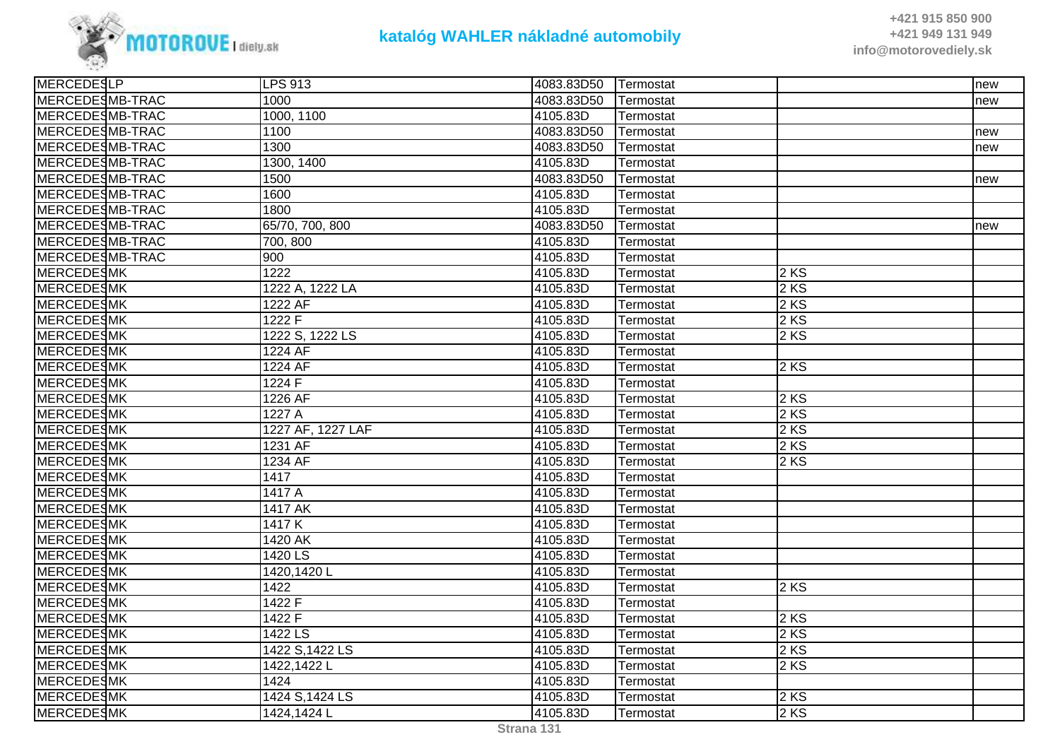

| MERCEDESLP        | <b>LPS 913</b>    | 4083.83D50 Termostat |           |        | new |
|-------------------|-------------------|----------------------|-----------|--------|-----|
| MERCEDESMB-TRAC   | 1000              | 4083.83D50           | Termostat |        | new |
| MERCEDESMB-TRAC   | 1000, 1100        | 4105.83D             | Termostat |        |     |
| MERCEDESMB-TRAC   | 1100              | 4083.83D50           | Termostat |        | new |
| MERCEDESMB-TRAC   | 1300              | 4083.83D50           | Termostat |        | new |
| MERCEDESMB-TRAC   | 1300, 1400        | 4105.83D             | Termostat |        |     |
| MERCEDESMB-TRAC   | 1500              | 4083.83D50           | Termostat |        | new |
| MERCEDESMB-TRAC   | 1600              | 4105.83D             | Termostat |        |     |
| MERCEDESMB-TRAC   | 1800              | 4105.83D             | Termostat |        |     |
| MERCEDESMB-TRAC   | 65/70, 700, 800   | 4083.83D50           | Termostat |        | new |
| MERCEDESMB-TRAC   | 700, 800          | 4105.83D             | Termostat |        |     |
| MERCEDESMB-TRAC   | 900               | 4105.83D             | Termostat |        |     |
| <b>MERCEDESMK</b> | 1222              | 4105.83D             | Termostat | 2KS    |     |
| <b>MERCEDESMK</b> | 1222 A, 1222 LA   | 4105.83D             | Termostat | 2 KS   |     |
| <b>MERCEDESMK</b> | 1222 AF           | 4105.83D             | Termostat | 2 KS   |     |
| <b>MERCEDESMK</b> | 1222F             | 4105.83D             | Termostat | 2 KS   |     |
| <b>MERCEDESMK</b> | 1222 S, 1222 LS   | 4105.83D             | Termostat | 2 KS   |     |
| <b>MERCEDESMK</b> | 1224 AF           | 4105.83D             | Termostat |        |     |
| <b>MERCEDESMK</b> | 1224 AF           | 4105.83D             | Termostat | $2$ KS |     |
| <b>MERCEDESMK</b> | 1224 F            | 4105.83D             | Termostat |        |     |
| <b>MERCEDESMK</b> | 1226 AF           | 4105.83D             | Termostat | 2 KS   |     |
| <b>MERCEDESMK</b> | 1227A             | 4105.83D             | Termostat | 2 KS   |     |
| <b>MERCEDESMK</b> | 1227 AF, 1227 LAF | 4105.83D             | Termostat | 2 KS   |     |
| <b>MERCEDESMK</b> | 1231 AF           | 4105.83D             | Termostat | 2 KS   |     |
| <b>MERCEDESMK</b> | 1234 AF           | 4105.83D             | Termostat | $2$ KS |     |
| <b>MERCEDESMK</b> | 1417              | 4105.83D             | Termostat |        |     |
| <b>MERCEDESMK</b> | 1417 A            | 4105.83D             | Termostat |        |     |
| <b>MERCEDESMK</b> | <b>1417 AK</b>    | 4105.83D             | Termostat |        |     |
| <b>MERCEDESMK</b> | 1417K             | 4105.83D             | Termostat |        |     |
| <b>MERCEDESMK</b> | 1420 AK           | 4105.83D             | Termostat |        |     |
| <b>MERCEDESMK</b> | 1420 LS           | 4105.83D             | Termostat |        |     |
| <b>MERCEDESMK</b> | 1420,1420L        | 4105.83D             | Termostat |        |     |
| <b>MERCEDESMK</b> | 1422              | 4105.83D             | Termostat | 2KS    |     |
| <b>MERCEDESMK</b> | 1422F             | 4105.83D             | Termostat |        |     |
| <b>MERCEDESMK</b> | 1422 F            | 4105.83D             | Termostat | $2$ KS |     |
| <b>MERCEDESMK</b> | 1422 LS           | 4105.83D             | Termostat | 2 KS   |     |
| <b>MERCEDESMK</b> | 1422 S, 1422 LS   | 4105.83D             | Termostat | 2 KS   |     |
| <b>MERCEDESMK</b> | 1422,1422L        | 4105.83D             | Termostat | $2$ KS |     |
| <b>MERCEDESMK</b> | 1424              | 4105.83D             | Termostat |        |     |
| <b>MERCEDESMK</b> | 1424 S, 1424 LS   | 4105.83D             | Termostat | $2$ KS |     |
| <b>MERCEDESMK</b> | 1424,1424L        | 4105.83D             | Termostat | 2 KS   |     |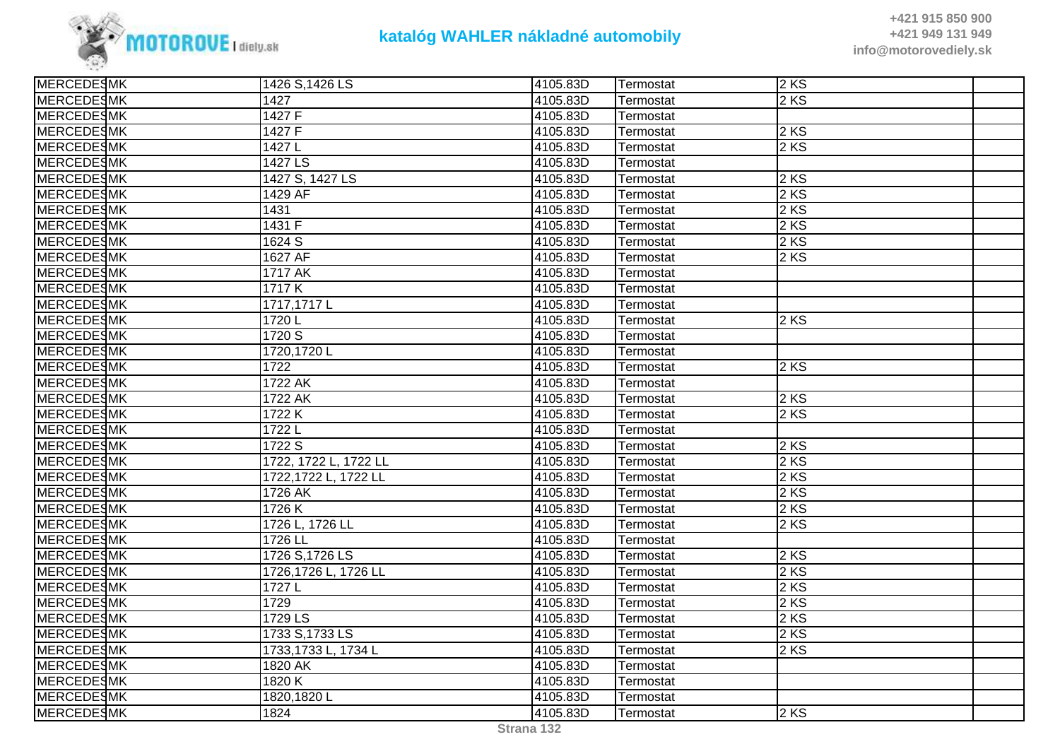

| <b>MERCEDESMK</b> | 1426 S, 1426 LS       | 4105.83D | Termostat | 2KS               |  |
|-------------------|-----------------------|----------|-----------|-------------------|--|
| <b>MERCEDESMK</b> | 1427                  | 4105.83D | Termostat | $2$ KS            |  |
| <b>MERCEDESMK</b> | 1427 F                | 4105.83D | Termostat |                   |  |
| <b>MERCEDESMK</b> | 1427 F                | 4105.83D | Termostat | 2KS               |  |
| <b>MERCEDESMK</b> | 1427L                 | 4105.83D | Termostat | $2$ KS            |  |
| <b>MERCEDESMK</b> | 1427 LS               | 4105.83D | Termostat |                   |  |
| <b>MERCEDESMK</b> | 1427 S, 1427 LS       | 4105.83D | Termostat | $2$ KS            |  |
| <b>MERCEDESMK</b> | 1429 AF               | 4105.83D | Termostat | $2$ KS            |  |
| <b>MERCEDESMK</b> | 1431                  | 4105.83D | Termostat | 2KS               |  |
| <b>MERCEDESMK</b> | 1431 F                | 4105.83D | Termostat | 2 KS              |  |
| <b>MERCEDESMK</b> | 1624 S                | 4105.83D | Termostat | $2$ KS            |  |
| <b>MERCEDESMK</b> | 1627 AF               | 4105.83D | Termostat | $2$ KS            |  |
| <b>MERCEDESMK</b> | 1717 AK               | 4105.83D | Termostat |                   |  |
| <b>MERCEDESMK</b> | 1717K                 | 4105.83D | Termostat |                   |  |
| <b>MERCEDESMK</b> | 1717,1717L            | 4105.83D | Termostat |                   |  |
| <b>MERCEDESMK</b> | 1720 L                | 4105.83D | Termostat | $2$ KS            |  |
| <b>MERCEDESMK</b> | 1720 S                | 4105.83D | Termostat |                   |  |
| <b>MERCEDESMK</b> | 1720, 1720 L          | 4105.83D | Termostat |                   |  |
| <b>MERCEDESMK</b> | 1722                  | 4105.83D | Termostat | $\overline{2}$ KS |  |
| <b>MERCEDESMK</b> | 1722 AK               | 4105.83D | Termostat |                   |  |
| <b>MERCEDESMK</b> | 1722 AK               | 4105.83D | Termostat | 2KS               |  |
| <b>MERCEDESMK</b> | 1722 K                | 4105.83D | Termostat | $2$ KS            |  |
| <b>MERCEDESMK</b> | 1722L                 | 4105.83D | Termostat |                   |  |
| <b>MERCEDESMK</b> | 1722 S                | 4105.83D | Termostat | 2 KS              |  |
| <b>MERCEDESMK</b> | 1722, 1722 L, 1722 LL | 4105.83D | Termostat | $2$ KS            |  |
| <b>MERCEDESMK</b> | 1722,1722 L, 1722 LL  | 4105.83D | Termostat | 2KS               |  |
| <b>MERCEDESMK</b> | 1726 AK               | 4105.83D | Termostat | 2 KS              |  |
| <b>MERCEDESMK</b> | 1726 K                | 4105.83D | Termostat | $2$ KS            |  |
| <b>MERCEDESMK</b> | 1726 L, 1726 LL       | 4105.83D | Termostat | 2 KS              |  |
| <b>MERCEDESMK</b> | 1726 LL               | 4105.83D | Termostat |                   |  |
| <b>MERCEDESMK</b> | 1726 S, 1726 LS       | 4105.83D | Termostat | 2 KS              |  |
| <b>MERCEDESMK</b> | 1726,1726 L, 1726 LL  | 4105.83D | Termostat | 2 KS              |  |
| <b>MERCEDESMK</b> | 1727L                 | 4105.83D | Termostat | $2$ KS            |  |
| <b>MERCEDESMK</b> | 1729                  | 4105.83D | Termostat | 2 KS              |  |
| <b>MERCEDESMK</b> | 1729 LS               | 4105.83D | Termostat | 2 KS              |  |
| <b>MERCEDESMK</b> | 1733 S, 1733 LS       | 4105.83D | Termostat | $2$ KS            |  |
| <b>MERCEDESMK</b> | 1733,1733 L, 1734 L   | 4105.83D | Termostat | 2KS               |  |
| <b>MERCEDESMK</b> | 1820 AK               | 4105.83D | Termostat |                   |  |
| <b>MERCEDESMK</b> | 1820 K                | 4105.83D | Termostat |                   |  |
| <b>MERCEDESMK</b> | 1820,1820L            | 4105.83D | Termostat |                   |  |
| <b>MERCEDESMK</b> | 1824                  | 4105.83D | Termostat | $2$ KS            |  |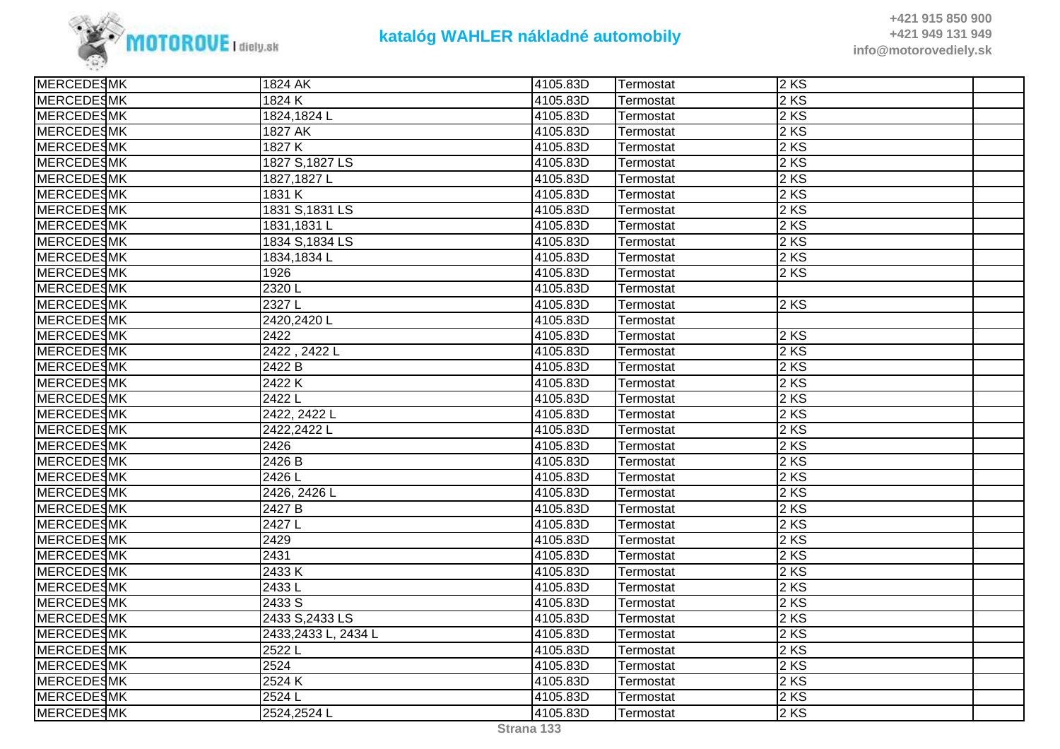

| <b>MERCEDESMK</b> | 1824 AK             | 4105.83D | Termostat | 2 KS              |  |
|-------------------|---------------------|----------|-----------|-------------------|--|
| <b>MERCEDESMK</b> | 1824 K              | 4105.83D | Termostat | 2 KS              |  |
| <b>MERCEDESMK</b> | 1824,1824L          | 4105.83D | Termostat | $2$ KS            |  |
| <b>MERCEDESMK</b> | 1827 AK             | 4105.83D | Termostat | $2$ KS            |  |
| <b>MERCEDESMK</b> | 1827 K              | 4105.83D | Termostat | 2KS               |  |
| MERCEDESMK        | 1827 S.1827 LS      | 4105.83D | Termostat | 2 KS              |  |
| MERCEDESMK        | 1827, 1827 L        | 4105.83D | Termostat | $2 K\overline{S}$ |  |
| <b>MERCEDESMK</b> | 1831 K              | 4105.83D | Termostat | $2$ KS            |  |
| <b>MERCEDESMK</b> | 1831 S, 1831 LS     | 4105.83D | Termostat | $2$ KS            |  |
| MERCEDESMK        | 1831,1831L          | 4105.83D | Termostat | 2 KS              |  |
| MERCEDESMK        | 1834 S, 1834 LS     | 4105.83D | Termostat | $2$ KS            |  |
| <b>MERCEDESMK</b> | 1834,1834L          | 4105.83D | Termostat | $2$ KS            |  |
| <b>MERCEDESMK</b> | 1926                | 4105.83D | Termostat | 2 KS              |  |
| <b>MERCEDESMK</b> | 2320L               | 4105.83D | Termostat |                   |  |
| <b>MERCEDESMK</b> | 2327L               | 4105.83D | Termostat | 2KS               |  |
| <b>MERCEDESMK</b> | 2420,2420L          | 4105.83D | Termostat |                   |  |
| <b>MERCEDESMK</b> | 2422                | 4105.83D | Termostat | 2 KS              |  |
| <b>MERCEDESMK</b> | 2422, 2422L         | 4105.83D | Termostat | 2KS               |  |
| <b>MERCEDESMK</b> | 2422 B              | 4105.83D | Termostat | $2$ KS            |  |
| <b>MERCEDESMK</b> | 2422K               | 4105.83D | Termostat | $2$ KS            |  |
| <b>MERCEDESMK</b> | 2422L               | 4105.83D | Termostat | 2KS               |  |
| <b>MERCEDESMK</b> | 2422, 2422 L        | 4105.83D | Termostat | $2$ KS            |  |
| MERCEDESMK        | 2422,2422L          | 4105.83D | Termostat | 2 KS              |  |
| <b>MERCEDESMK</b> | 2426                | 4105.83D | Termostat | $2$ KS            |  |
| <b>MERCEDESMK</b> | 2426 B              | 4105.83D | Termostat | $2$ KS            |  |
| <b>MERCEDESMK</b> | $2426$ L            | 4105.83D | Termostat | 2KS               |  |
| <b>MERCEDESMK</b> | 2426, 2426 L        | 4105.83D | Termostat | 2 KS              |  |
| MERCEDESMK        | 2427 B              | 4105.83D | Termostat | 2 KS              |  |
| <b>MERCEDESMK</b> | 2427L               | 4105.83D | Termostat | $2$ KS            |  |
| <b>MERCEDESMK</b> | 2429                | 4105.83D | Termostat | $2$ KS            |  |
| <b>MERCEDESMK</b> | 2431                | 4105.83D | Termostat | $2$ KS            |  |
| MERCEDESMK        | 2433K               | 4105.83D | Termostat | 2KS               |  |
| <b>MERCEDESMK</b> | 2433L               | 4105.83D | Termostat | 2KS               |  |
| <b>MERCEDESMK</b> | 2433 S              | 4105.83D | Termostat | $2$ KS            |  |
| <b>MERCEDESMK</b> | 2433 S, 2433 LS     | 4105.83D | Termostat | 2KS               |  |
| <b>MERCEDESMK</b> | 2433,2433 L, 2434 L | 4105.83D | Termostat | 2KS               |  |
| MERCEDESMK        | 2522L               | 4105.83D | Termostat | 2KS               |  |
| MERCEDESMK        | 2524                | 4105.83D | Termostat | $2$ KS            |  |
| <b>MERCEDESMK</b> | 2524K               | 4105.83D | Termostat | 2 KS              |  |
| <b>MERCEDESMK</b> | 2524L               | 4105.83D | Termostat | $2$ KS            |  |
| <b>MERCEDESMK</b> | 2524,2524L          | 4105.83D | Termostat | $2$ KS            |  |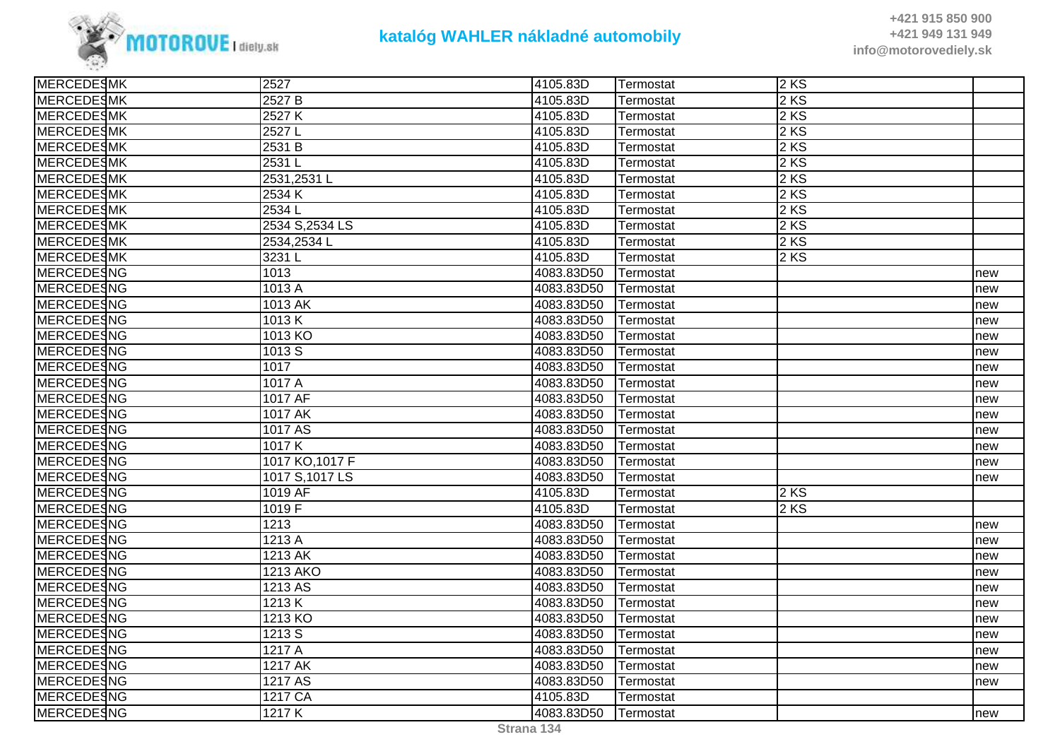

| <b>MERCEDESMK</b> | 2527            | 4105.83D   | Termostat | 2KS  |     |
|-------------------|-----------------|------------|-----------|------|-----|
| <b>MERCEDESMK</b> | 2527 B          | 4105.83D   | Termostat | 2 KS |     |
| <b>MERCEDESMK</b> | 2527 K          | 4105.83D   | Termostat | 2 KS |     |
| <b>MERCEDESMK</b> | 2527L           | 4105.83D   | Termostat | 2 KS |     |
| MERCEDESMK        | 2531 B          | 4105.83D   | Termostat | 2KS  |     |
| <b>MERCEDESMK</b> | 2531L           | 4105.83D   | Termostat | 2 KS |     |
| <b>MERCEDESMK</b> | 2531,2531L      | 4105.83D   | Termostat | 2 KS |     |
| <b>MERCEDESMK</b> | 2534 K          | 4105.83D   | Termostat | 2 KS |     |
| <b>MERCEDESMK</b> | 2534L           | 4105.83D   | Termostat | 2 KS |     |
| <b>MERCEDESMK</b> | 2534 S, 2534 LS | 4105.83D   | Termostat | 2 KS |     |
| <b>MERCEDESMK</b> | 2534,2534L      | 4105.83D   | Termostat | 2 KS |     |
| MERCEDESMK        | 3231L           | 4105.83D   | Termostat | 2KS  |     |
| <b>MERCEDESNG</b> | 1013            | 4083.83D50 | Termostat |      | new |
| <b>MERCEDESNG</b> | 1013 A          | 4083.83D50 | Termostat |      | new |
| <b>MERCEDESNG</b> | 1013 AK         | 4083.83D50 | Termostat |      | new |
| <b>MERCEDESNG</b> | 1013K           | 4083.83D50 | Termostat |      | new |
| MERCEDESNG        | 1013 KO         | 4083.83D50 | Termostat |      | new |
| <b>MERCEDESNG</b> | 1013S           | 4083.83D50 | Termostat |      | new |
| <b>MERCEDESNG</b> | 1017            | 4083.83D50 | Termostat |      | new |
| <b>MERCEDESNG</b> | 1017 A          | 4083.83D50 | Termostat |      | new |
| <b>MERCEDESNG</b> | 1017 AF         | 4083.83D50 | Termostat |      | new |
| <b>MERCEDESNG</b> | 1017 AK         | 4083.83D50 | Termostat |      | new |
| <b>MERCEDESNG</b> | 1017 AS         | 4083.83D50 | Termostat |      | new |
| <b>MERCEDESNG</b> | 1017K           | 4083.83D50 | Termostat |      | new |
| <b>MERCEDESNG</b> | 1017 KO, 1017 F | 4083.83D50 | Termostat |      | new |
| <b>MERCEDESNG</b> | 1017 S, 1017 LS | 4083.83D50 | Termostat |      | new |
| <b>MERCEDESNG</b> | 1019 AF         | 4105.83D   | Termostat | 2KS  |     |
| <b>MERCEDESNG</b> | 1019 F          | 4105.83D   | Termostat | 2 KS |     |
| <b>MERCEDESNG</b> | 1213            | 4083.83D50 | Termostat |      | new |
| <b>MERCEDESNG</b> | 1213A           | 4083.83D50 | Termostat |      | new |
| <b>MERCEDESNG</b> | 1213 AK         | 4083.83D50 | Termostat |      | new |
| <b>MERCEDESNG</b> | 1213 AKO        | 4083.83D50 | Termostat |      | new |
| <b>MERCEDESNG</b> | 1213 AS         | 4083.83D50 | Termostat |      | new |
| <b>MERCEDESNG</b> | 1213K           | 4083.83D50 | Termostat |      | new |
| <b>MERCEDESNG</b> | 1213 KO         | 4083.83D50 | Termostat |      | new |
| <b>MERCEDESNG</b> | 1213 S          | 4083.83D50 | Termostat |      | new |
| <b>MERCEDESNG</b> | 1217A           | 4083.83D50 | Termostat |      | new |
| <b>MERCEDESNG</b> | <b>1217 AK</b>  | 4083.83D50 | Termostat |      | new |
| MERCEDESNG        | 1217 AS         | 4083.83D50 | Termostat |      | new |
| <b>MERCEDESNG</b> | 1217 CA         | 4105.83D   | Termostat |      |     |
| <b>MERCEDESNG</b> | 1217K           | 4083.83D50 | Termostat |      | new |
|                   |                 |            |           |      |     |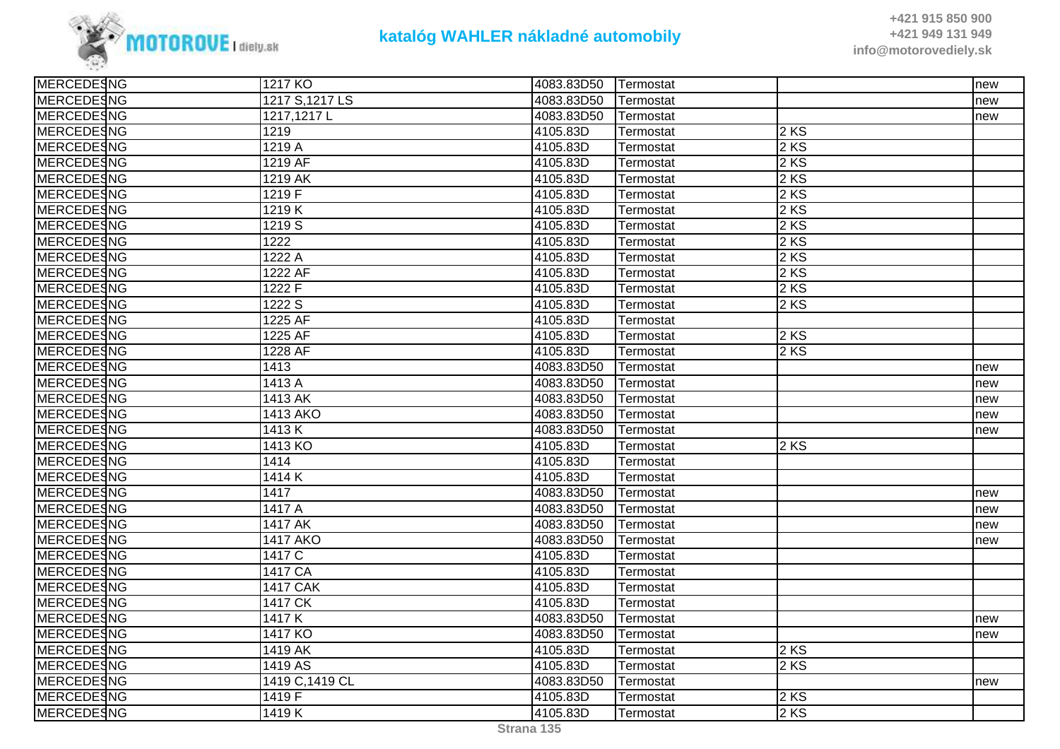

| <b>MERCEDESNG</b> | 1217 KO         | 4083.83D50 | Termostat |        | new |
|-------------------|-----------------|------------|-----------|--------|-----|
| MERCEDESNG        | 1217 S, 1217 LS | 4083.83D50 | Termostat |        | new |
| <b>MERCEDESNG</b> | 1217,1217L      | 4083.83D50 | Termostat |        | new |
| <b>MERCEDESNG</b> | 1219            | 4105.83D   | Termostat | $2$ KS |     |
| MERCEDESNG        | 1219 A          | 4105.83D   | Termostat | 2 KS   |     |
| <b>MERCEDESNG</b> | 1219 AF         | 4105.83D   | Termostat | 2 KS   |     |
| <b>MERCEDESNG</b> | 1219 AK         | 4105.83D   | Termostat | 2 KS   |     |
| <b>MERCEDESNG</b> | 1219 F          | 4105.83D   | Termostat | $2$ KS |     |
| <b>MERCEDESNG</b> | 1219K           | 4105.83D   | Termostat | 2 KS   |     |
| MERCEDESNG        | 1219 S          | 4105.83D   | Termostat | 2 KS   |     |
| <b>MERCEDESNG</b> | 1222            | 4105.83D   | Termostat | 2 KS   |     |
| MERCEDESNG        | 1222 A          | 4105.83D   | Termostat | $2$ KS |     |
| <b>MERCEDESNG</b> | 1222 AF         | 4105.83D   | Termostat | 2 KS   |     |
| <b>MERCEDESNG</b> | 1222 F          | 4105.83D   | Termostat | $2$ KS |     |
| <b>MERCEDESNG</b> | 1222 S          | 4105.83D   | Termostat | $2$ KS |     |
| MERCEDESNG        | 1225 AF         | 4105.83D   | Termostat |        |     |
| <b>MERCEDESNG</b> | 1225 AF         | 4105.83D   | Termostat | $2$ KS |     |
| <b>MERCEDESNG</b> | 1228 AF         | 4105.83D   | Termostat | $2$ KS |     |
| <b>MERCEDESNG</b> | 1413            | 4083.83D50 | Termostat |        | new |
| MERCEDESNG        | 1413 A          | 4083.83D50 | Termostat |        | new |
| MERCEDESNG        | 1413 AK         | 4083.83D50 | Termostat |        | new |
| <b>MERCEDESNG</b> | 1413 AKO        | 4083.83D50 | Termostat |        | new |
| <b>MERCEDESNG</b> | 1413K           | 4083.83D50 | Termostat |        | new |
| MERCEDESNG        | 1413 KO         | 4105.83D   | Termostat | $2$ KS |     |
| <b>MERCEDESNG</b> | 1414            | 4105.83D   | Termostat |        |     |
| MERCEDESNG        | 1414K           | 4105.83D   | Termostat |        |     |
| <b>MERCEDESNG</b> | 1417            | 4083.83D50 | Termostat |        | new |
| MERCEDESNG        | 1417 A          | 4083.83D50 | Termostat |        | new |
| <b>MERCEDESNG</b> | 1417 AK         | 4083.83D50 | Termostat |        | new |
| <b>MERCEDESNG</b> | <b>1417 AKO</b> | 4083.83D50 | Termostat |        | new |
| MERCEDESNG        | 1417 C          | 4105.83D   | Termostat |        |     |
| MERCEDESNG        | 1417 CA         | 4105.83D   | Termostat |        |     |
| <b>MERCEDESNG</b> | <b>1417 CAK</b> | 4105.83D   | Termostat |        |     |
| <b>MERCEDESNG</b> | 1417 CK         | 4105.83D   | Termostat |        |     |
| <b>MERCEDESNG</b> | 1417K           | 4083.83D50 | Termostat |        | new |
| <b>MERCEDESNG</b> | 1417 KO         | 4083.83D50 | Termostat |        | new |
| <b>MERCEDESNG</b> | 1419 AK         | 4105.83D   | Termostat | $2$ KS |     |
| <b>MERCEDESNG</b> | 1419 AS         | 4105.83D   | Termostat | 2 KS   |     |
| MERCEDESNG        | 1419 C, 1419 CL | 4083.83D50 | Termostat |        | new |
| MERCEDESNG        | 1419 F          | 4105.83D   | Termostat | $2$ KS |     |
| MERCEDESNG        | 1419K           | 4105.83D   | Termostat | $2$ KS |     |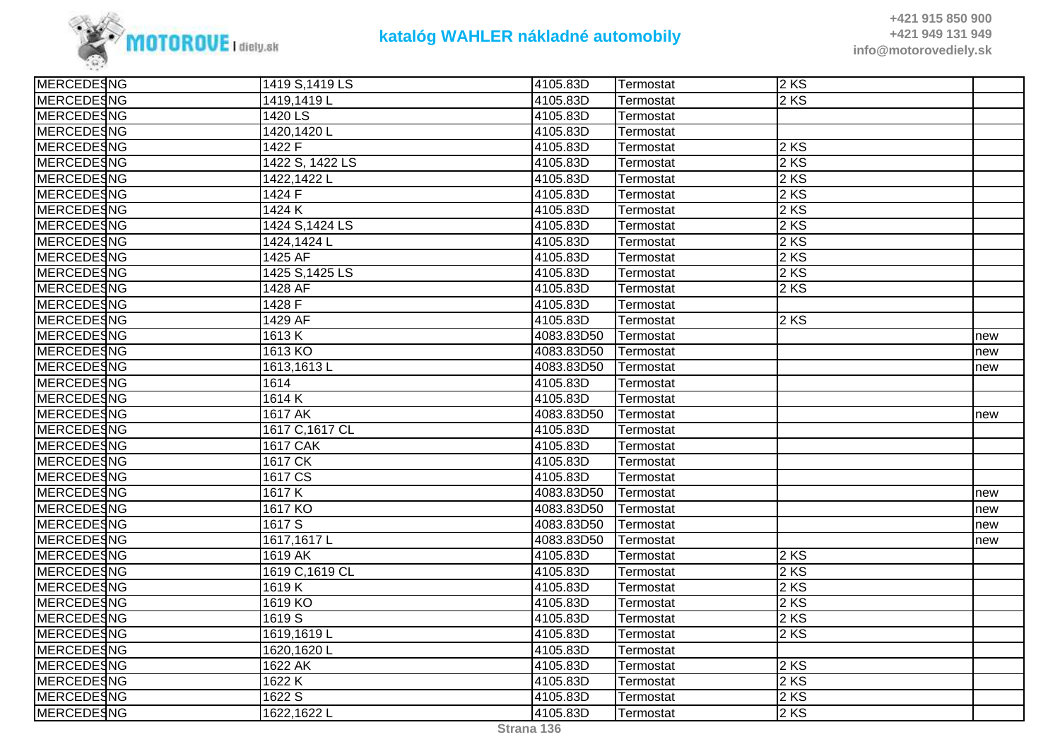

| <b>MERCEDESNG</b> | 1419 S, 1419 LS | 4105.83D   | Termostat | 2KS  |     |
|-------------------|-----------------|------------|-----------|------|-----|
| <b>MERCEDESNG</b> | 1419,1419L      | 4105.83D   | Termostat | 2 KS |     |
| <b>MERCEDESNG</b> | 1420 LS         | 4105.83D   | Termostat |      |     |
| <b>MERCEDESNG</b> | 1420,1420L      | 4105.83D   | Termostat |      |     |
| <b>MERCEDESNG</b> | 1422 F          | 4105.83D   | Termostat | 2KS  |     |
| <b>MERCEDESNG</b> | 1422 S, 1422 LS | 4105.83D   | Termostat | 2 KS |     |
| <b>MERCEDESNG</b> | 1422,1422L      | 4105.83D   | Termostat | 2 KS |     |
| <b>MERCEDESNG</b> | 1424 F          | 4105.83D   | Termostat | 2 KS |     |
| <b>MERCEDESNG</b> | 1424 K          | 4105.83D   | Termostat | 2KS  |     |
| <b>MERCEDESNG</b> | 1424 S, 1424 LS | 4105.83D   | Termostat | 2 KS |     |
| <b>MERCEDESNG</b> | 1424,1424 L     | 4105.83D   | Termostat | 2 KS |     |
| <b>MERCEDESNG</b> | 1425 AF         | 4105.83D   | Termostat | 2 KS |     |
| <b>MERCEDESNG</b> | 1425 S, 1425 LS | 4105.83D   | Termostat | 2 KS |     |
| <b>MERCEDESNG</b> | 1428 AF         | 4105.83D   | Termostat | 2 KS |     |
| <b>MERCEDESNG</b> | 1428 F          | 4105.83D   | Termostat |      |     |
| <b>MERCEDESNG</b> | 1429 AF         | 4105.83D   | Termostat | 2KS  |     |
| <b>MERCEDESNG</b> | 1613K           | 4083.83D50 | Termostat |      | new |
| <b>MERCEDESNG</b> | 1613 KO         | 4083.83D50 | Termostat |      | new |
| <b>MERCEDESNG</b> | 1613,1613L      | 4083.83D50 | Termostat |      | new |
| <b>MERCEDESNG</b> | 1614            | 4105.83D   | Termostat |      |     |
| <b>MERCEDESNG</b> | 1614K           | 4105.83D   | Termostat |      |     |
| MERCEDESNG        | 1617 AK         | 4083.83D50 | Termostat |      | new |
| <b>MERCEDESNG</b> | 1617 C, 1617 CL | 4105.83D   | Termostat |      |     |
| <b>MERCEDESNG</b> | <b>1617 CAK</b> | 4105.83D   | Termostat |      |     |
| <b>MERCEDESNG</b> | 1617 CK         | 4105.83D   | Termostat |      |     |
| <b>MERCEDESNG</b> | 1617 CS         | 4105.83D   | Termostat |      |     |
| <b>MERCEDESNG</b> | 1617K           | 4083.83D50 | Termostat |      | new |
| <b>MERCEDESNG</b> | 1617 KO         | 4083.83D50 | Termostat |      | new |
| <b>MERCEDESNG</b> | 1617 S          | 4083.83D50 | Termostat |      | new |
| <b>MERCEDESNG</b> | 1617,1617L      | 4083.83D50 | Termostat |      | new |
| <b>MERCEDESNG</b> | 1619 AK         | 4105.83D   | Termostat | 2 KS |     |
| <b>MERCEDESNG</b> | 1619 C, 1619 CL | 4105.83D   | Termostat | 2 KS |     |
| MERCEDESNG        | 1619K           | 4105.83D   | Termostat | 2KS  |     |
| <b>MERCEDESNG</b> | 1619 KO         | 4105.83D   | Termostat | 2 KS |     |
| <b>MERCEDESNG</b> | 1619 S          | 4105.83D   | Termostat | 2 KS |     |
| <b>MERCEDESNG</b> | 1619,1619L      | 4105.83D   | Termostat | 2KS  |     |
| <b>MERCEDESNG</b> | 1620,1620L      | 4105.83D   | Termostat |      |     |
| <b>MERCEDESNG</b> | 1622 AK         | 4105.83D   | Termostat | 2 KS |     |
| <b>MERCEDESNG</b> | 1622K           | 4105.83D   | Termostat | 2 KS |     |
| <b>MERCEDESNG</b> | 1622 S          | 4105.83D   | Termostat | 2KS  |     |
| <b>MERCEDESNG</b> | 1622,1622L      | 4105.83D   | Termostat | 2KS  |     |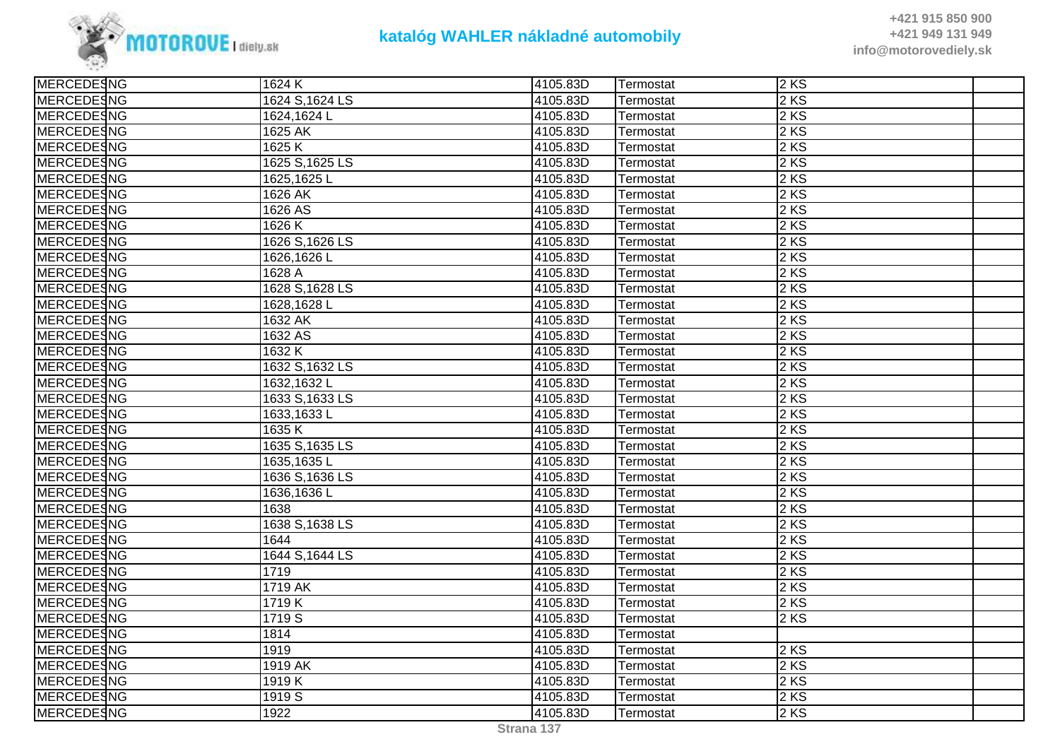

| <b>MERCEDESNG</b> | 1624 K          | 4105.83D | Termostat | <b>2 KS</b> |  |
|-------------------|-----------------|----------|-----------|-------------|--|
| MERCEDESNG        | 1624 S, 1624 LS | 4105.83D | Termostat | $2$ KS      |  |
| <b>MERCEDESNG</b> | 1624,1624L      | 4105.83D | Termostat | $2$ KS      |  |
| <b>MERCEDESNG</b> | 1625 AK         | 4105.83D | Termostat | $2$ KS      |  |
| <b>MERCEDESNG</b> | 1625K           | 4105.83D | Termostat | $2$ KS      |  |
| MERCEDESNG        | 1625 S, 1625 LS | 4105.83D | Termostat | $2$ KS      |  |
| <b>MERCEDESNG</b> | 1625,1625L      | 4105.83D | Termostat | $2$ KS      |  |
| <b>MERCEDESNG</b> | 1626 AK         | 4105.83D | Termostat | $2$ KS      |  |
| <b>MERCEDESNG</b> | 1626 AS         | 4105.83D | Termostat | 2 KS        |  |
| MERCEDESNG        | 1626 K          | 4105.83D | Termostat | $2$ KS      |  |
| MERCEDESNG        | 1626 S, 1626 LS | 4105.83D | Termostat | 2 KS        |  |
| MERCEDESNG        | 1626,1626L      | 4105.83D | Termostat | 2 KS        |  |
| <b>MERCEDESNG</b> | 1628 A          | 4105.83D | Termostat | 2 KS        |  |
| <b>MERCEDESNG</b> | 1628 S, 1628 LS | 4105.83D | Termostat | $2$ KS      |  |
| <b>MERCEDESNG</b> | 1628,1628L      | 4105.83D | Termostat | 2 KS        |  |
| <b>MERCEDESNG</b> | 1632 AK         | 4105.83D | Termostat | 2 KS        |  |
| MERCEDESNG        | 1632 AS         | 4105.83D | Termostat | 2 KS        |  |
| MERCEDESNG        | 1632K           | 4105.83D | Termostat | 2KS         |  |
| MERCEDESNG        | 1632 S, 1632 LS | 4105.83D | Termostat | $2$ KS      |  |
| <b>MERCEDESNG</b> | 1632,1632L      | 4105.83D | Termostat | $2$ KS      |  |
| MERCEDESNG        | 1633 S, 1633 LS | 4105.83D | Termostat | 2KS         |  |
| MERCEDESNG        | 1633,1633L      | 4105.83D | Termostat | $2$ KS      |  |
| <b>MERCEDESNG</b> | 1635 K          | 4105.83D | Termostat | $2$ KS      |  |
| <b>MERCEDESNG</b> | 1635 S, 1635 LS | 4105.83D | Termostat | 2 KS        |  |
| <b>MERCEDESNG</b> | 1635,1635L      | 4105.83D | Termostat | 2 KS        |  |
| <b>MERCEDESNG</b> | 1636 S, 1636 LS | 4105.83D | Termostat | 2KS         |  |
| <b>MERCEDESNG</b> | 1636,1636L      | 4105.83D | Termostat | 2 KS        |  |
| <b>MERCEDESNG</b> | 1638            | 4105.83D | Termostat | 2 KS        |  |
| MERCEDESNG        | 1638 S, 1638 LS | 4105.83D | Termostat | 2 KS        |  |
| <b>MERCEDESNG</b> | 1644            | 4105.83D | Termostat | 2 KS        |  |
| <b>MERCEDESNG</b> | 1644 S, 1644 LS | 4105.83D | Termostat | $2$ KS      |  |
| <b>MERCEDESNG</b> | 1719            | 4105.83D | Termostat | 2 KS        |  |
| MERCEDESNG        | 1719 AK         | 4105.83D | Termostat | $2$ KS      |  |
| <b>MERCEDESNG</b> | 1719K           | 4105.83D | Termostat | $2$ KS      |  |
| <b>MERCEDESNG</b> | 1719 S          | 4105.83D | Termostat | $2$ KS      |  |
| <b>MERCEDESNG</b> | 1814            | 4105.83D | Termostat |             |  |
| MERCEDESNG        | 1919            | 4105.83D | Termostat | $2$ KS      |  |
| MERCEDESNG        | 1919 AK         | 4105.83D | Termostat | $2$ KS      |  |
| <b>MERCEDESNG</b> | 1919 K          | 4105.83D | Termostat | 2 KS        |  |
| <b>MERCEDESNG</b> | 1919 S          | 4105.83D | Termostat | 2 KS        |  |
| <b>MERCEDESNG</b> | 1922            | 4105.83D | Termostat | $2$ KS      |  |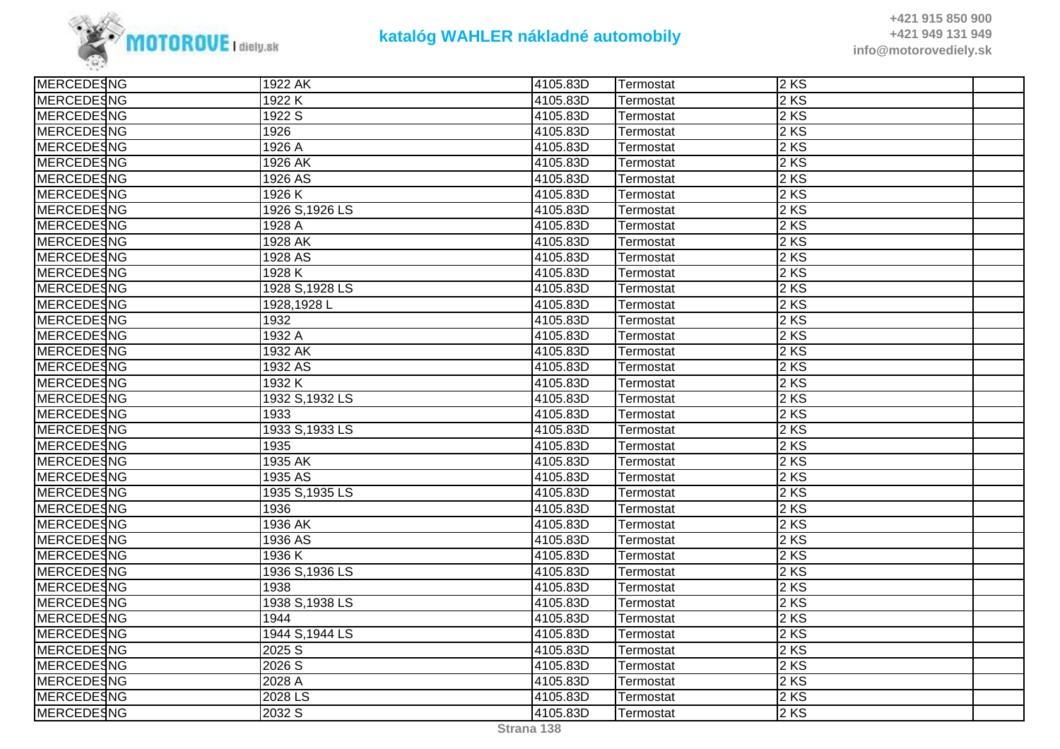

| <b>MERCEDESNG</b> | $\overline{19}$ 22 AK | 4105.83D | Termostat | 2 KS              |  |
|-------------------|-----------------------|----------|-----------|-------------------|--|
| MERCEDESNG        | 1922 K                | 4105.83D | Termostat | $2$ KS            |  |
| <b>MERCEDESNG</b> | 1922 S                | 4105.83D | Termostat | $2$ KS            |  |
| <b>MERCEDESNG</b> | 1926                  | 4105.83D | Termostat | 2 KS              |  |
| MERCEDESNG        | 1926 A                | 4105.83D | Termostat | $2 K\overline{S}$ |  |
| MERCEDESNG        | 1926 AK               | 4105.83D | Termostat | 2 KS              |  |
| MERCEDESNG        | 1926 AS               | 4105.83D | Termostat | $2$ KS            |  |
| <b>MERCEDESNG</b> | 1926 K                | 4105.83D | Termostat | 2 KS              |  |
| <b>MERCEDESNG</b> | 1926 S, 1926 LS       | 4105.83D | Termostat | $2$ KS            |  |
| MERCEDESNG        | 1928 A                | 4105.83D | Termostat | $2 K\overline{S}$ |  |
| MERCEDESNG        | 1928 AK               | 4105.83D | Termostat | 2 KS              |  |
| MERCEDESNG        | 1928 AS               | 4105.83D | Termostat | $2$ KS            |  |
| <b>MERCEDESNG</b> | 1928 K                | 4105.83D | Termostat | $2$ KS            |  |
| <b>MERCEDESNG</b> | 1928 S, 1928 LS       | 4105.83D | Termostat | $2$ KS            |  |
| <b>MERCEDESNG</b> | 1928,1928L            | 4105.83D | Termostat | 2KS               |  |
| MERCEDESNG        | 1932                  | 4105.83D | Termostat | 2 KS              |  |
| <b>MERCEDESNG</b> | 1932 A                | 4105.83D | Termostat | 2 KS              |  |
| <b>MERCEDESNG</b> | 1932 AK               | 4105.83D | Termostat | 2KS               |  |
| <b>MERCEDESNG</b> | 1932 AS               | 4105.83D | Termostat | $2$ KS            |  |
| <b>MERCEDESNG</b> | 1932 K                | 4105.83D | Termostat | 2KS               |  |
| <b>MERCEDESNG</b> | 1932 S, 1932 LS       | 4105.83D | Termostat | 2 KS              |  |
| MERCEDESNG        | 1933                  | 4105.83D | Termostat | 2 KS              |  |
| <b>MERCEDESNG</b> | 1933 S, 1933 LS       | 4105.83D | Termostat | $2$ KS            |  |
| <b>MERCEDESNG</b> | 1935                  | 4105.83D | Termostat | 2 KS              |  |
| <b>MERCEDESNG</b> | 1935 AK               | 4105.83D | Termostat | 2 KS              |  |
| MERCEDESNG        | 1935 AS               | 4105.83D | Termostat | 2KS               |  |
| MERCEDESNG        | 1935 S, 1935 LS       | 4105.83D | Termostat | 2 KS              |  |
| <b>MERCEDESNG</b> | 1936                  | 4105.83D | Termostat | $2$ KS            |  |
| <b>MERCEDESNG</b> | 1936 AK               | 4105.83D | Termostat | $2$ KS            |  |
| <b>MERCEDESNG</b> | 1936 AS               | 4105.83D | Termostat | 2 KS              |  |
| <b>MERCEDESNG</b> | 1936 K                | 4105.83D | Termostat | 2KS               |  |
| MERCEDESNG        | 1936 S, 1936 LS       | 4105.83D | Termostat | 2 KS              |  |
| <b>MERCEDESNG</b> | 1938                  | 4105.83D | Termostat | $2$ KS            |  |
| <b>MERCEDESNG</b> | 1938 S, 1938 LS       | 4105.83D | Termostat | 2 KS              |  |
| <b>MERCEDESNG</b> | 1944                  | 4105.83D | Termostat | 2 KS              |  |
| <b>MERCEDESNG</b> | 1944 S, 1944 LS       | 4105.83D | Termostat | 2KS               |  |
| MERCEDESNG        | 2025 S                | 4105.83D | Termostat | 2 KS              |  |
| <b>MERCEDESNG</b> | 2026S                 | 4105.83D | Termostat | 2 KS              |  |
| <b>MERCEDESNG</b> | 2028 A                | 4105.83D | Termostat | 2 KS              |  |
| MERCEDESNG        | 2028 LS               | 4105.83D | Termostat | $2$ KS            |  |
| MERCEDESNG        | 2032 S                | 4105.83D | Termostat | 2KS               |  |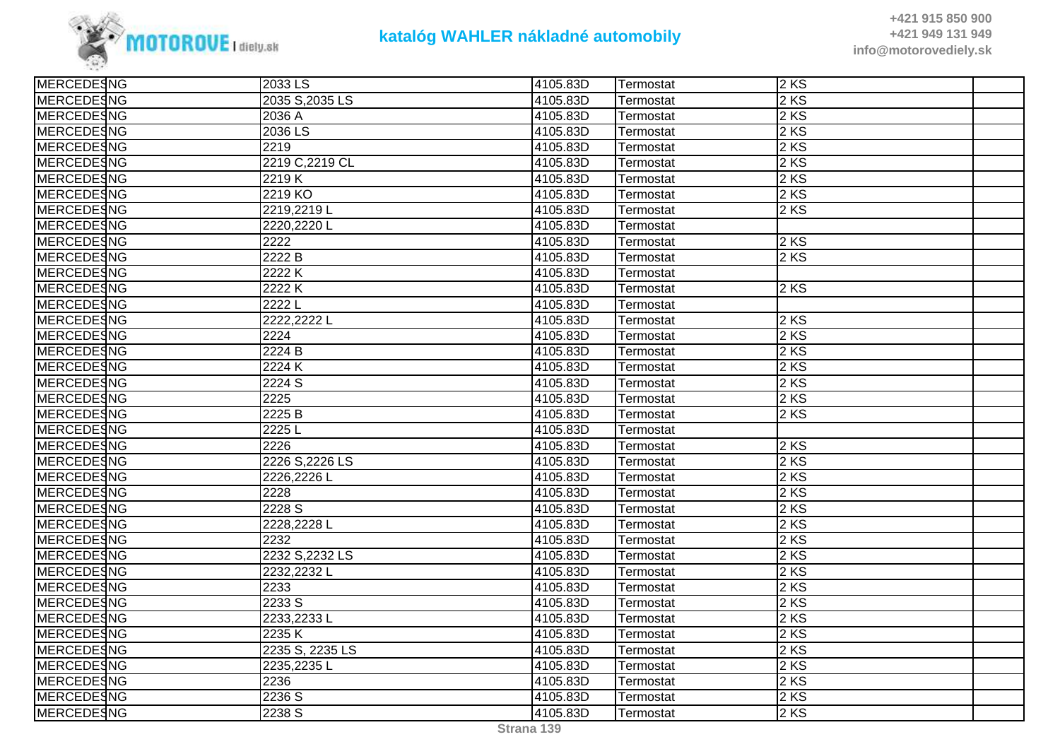

| MERCEDESNG        | 2033 LS         | 4105.83D | Termostat | <b>2 KS</b>       |  |
|-------------------|-----------------|----------|-----------|-------------------|--|
| MERCEDESNG        | 2035 S, 2035 LS | 4105.83D | Termostat | $2$ KS            |  |
| <b>MERCEDESNG</b> | 2036 A          | 4105.83D | Termostat | $2$ KS            |  |
| <b>MERCEDESNG</b> | 2036 LS         | 4105.83D | Termostat | $2$ KS            |  |
| MERCEDESNG        | 2219            | 4105.83D | Termostat | 2KS               |  |
| MERCEDESNG        | 2219 C, 2219 CL | 4105.83D | Termostat | 2 KS              |  |
| <b>MERCEDESNG</b> | 2219 K          | 4105.83D | Termostat | 2 KS              |  |
| <b>MERCEDESNG</b> | 2219 KO         | 4105.83D | Termostat | $2$ KS            |  |
| <b>MERCEDESNG</b> | 2219,2219L      | 4105.83D | Termostat | 2 KS              |  |
| MERCEDESNG        | 2220,2220L      | 4105.83D | Termostat |                   |  |
| MERCEDESNG        | 2222            | 4105.83D | Termostat | $2$ KS            |  |
| MERCEDESNG        | 2222 B          | 4105.83D | Termostat | 2 KS              |  |
| <b>MERCEDESNG</b> | 2222K           | 4105.83D | Termostat |                   |  |
| <b>MERCEDESNG</b> | 2222 K          | 4105.83D | Termostat | 2KS               |  |
| MERCEDESNG        | 2222L           | 4105.83D | Termostat |                   |  |
| MERCEDESNG        | 2222,2222 L     | 4105.83D | Termostat | $2$ KS            |  |
| MERCEDESNG        | 2224            | 4105.83D | Termostat | 2 KS              |  |
| MERCEDESNG        | 2224 B          | 4105.83D | Termostat | 2 KS              |  |
| MERCEDESNG        | 2224K           | 4105.83D | Termostat | $2$ KS            |  |
| MERCEDESNG        | 2224 S          | 4105.83D | Termostat | $2$ KS            |  |
| MERCEDESNG        | 2225            | 4105.83D | Termostat | 2KS               |  |
| MERCEDESNG        | 2225 B          | 4105.83D | Termostat | 2 KS              |  |
| MERCEDESNG        | 2225L           | 4105.83D | Termostat |                   |  |
| <b>MERCEDESNG</b> | 2226            | 4105.83D | Termostat | $2$ KS            |  |
| <b>MERCEDESNG</b> | 2226 S, 2226 LS | 4105.83D | Termostat | $2$ KS            |  |
| MERCEDESNG        | 2226,2226L      | 4105.83D | Termostat | $2$ KS            |  |
| <b>MERCEDESNG</b> | 2228            | 4105.83D | Termostat | $\overline{2}$ KS |  |
| <b>MERCEDESNG</b> | 2228 S          | 4105.83D | Termostat | 2 KS              |  |
| <b>MERCEDESNG</b> | 2228,2228L      | 4105.83D | Termostat | 2KS               |  |
| <b>MERCEDESNG</b> | 2232            | 4105.83D | Termostat | $2$ KS            |  |
| MERCEDESNG        | 2232 S, 2232 LS | 4105.83D | Termostat | $2$ KS            |  |
| MERCEDESNG        | 2232,2232L      | 4105.83D | Termostat | 2 KS              |  |
| MERCEDESNG        | 2233            | 4105.83D | Termostat | $2$ KS            |  |
| <b>MERCEDESNG</b> | 2233 S          | 4105.83D | Termostat | 2 KS              |  |
| <b>MERCEDESNG</b> | 2233,2233L      | 4105.83D | Termostat | $2$ KS            |  |
| <b>MERCEDESNG</b> | 2235K           | 4105.83D | Termostat | 2KS               |  |
| MERCEDESNG        | 2235 S, 2235 LS | 4105.83D | Termostat | 2 KS              |  |
| <b>MERCEDESNG</b> | 2235,2235L      | 4105.83D | Termostat | 2 KS              |  |
| <b>MERCEDESNG</b> | 2236            | 4105.83D | Termostat | 2 KS              |  |
| MERCEDESNG        | 2236 S          | 4105.83D | Termostat | $2$ KS            |  |
| <b>MERCEDESNG</b> | 2238 S          | 4105.83D | Termostat | 2KS               |  |
|                   |                 |          |           |                   |  |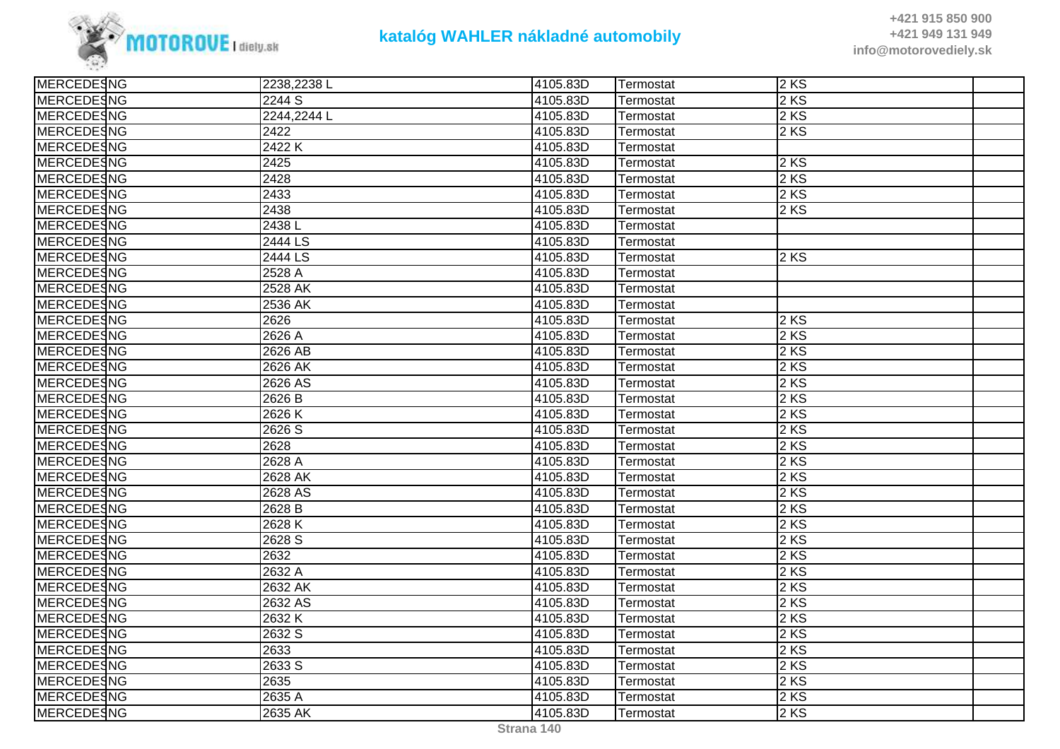

| <b>MERCEDESNG</b> | 2238,2238L        | 4105.83D | Termostat | 2KS    |  |
|-------------------|-------------------|----------|-----------|--------|--|
| <b>MERCEDESNG</b> | 2244 S            | 4105.83D | Termostat | 2 KS   |  |
| MERCEDESNG        | 2244,2244 L       | 4105.83D | Termostat | $2$ KS |  |
| <b>MERCEDESNG</b> | 2422              | 4105.83D | Termostat | 2 KS   |  |
| <b>MERCEDESNG</b> | 2422K             | 4105.83D | Termostat |        |  |
| <b>MERCEDESNG</b> | 2425              | 4105.83D | Termostat | 2 KS   |  |
| <b>MERCEDESNG</b> | 2428              | 4105.83D | Termostat | 2 KS   |  |
| <b>MERCEDESNG</b> | 2433              | 4105.83D | Termostat | 2 KS   |  |
| <b>MERCEDESNG</b> | 2438              | 4105.83D | Termostat | 2KS    |  |
| <b>MERCEDESNG</b> | 2438L             | 4105.83D | Termostat |        |  |
| <b>MERCEDESNG</b> | 2444 LS           | 4105.83D | Termostat |        |  |
| <b>MERCEDESNG</b> | 2444 LS           | 4105.83D | Termostat | 2KS    |  |
| <b>MERCEDESNG</b> | 2528 A            | 4105.83D | Termostat |        |  |
| <b>MERCEDESNG</b> | 2528 AK           | 4105.83D | Termostat |        |  |
| <b>MERCEDESNG</b> | 2536 AK           | 4105.83D | Termostat |        |  |
| MERCEDESNG        | 2626              | 4105.83D | Termostat | 2KS    |  |
| <b>MERCEDESNG</b> | 2626 A            | 4105.83D | Termostat | 2 KS   |  |
| <b>MERCEDESNG</b> | 2626 AB           | 4105.83D | Termostat | 2 KS   |  |
| MERCEDESNG        | $2626$ AK         | 4105.83D | Termostat | 2KS    |  |
| <b>MERCEDESNG</b> | 2626 AS           | 4105.83D | Termostat | 2 KS   |  |
| <b>MERCEDESNG</b> | 2626 B            | 4105.83D | Termostat | 2 KS   |  |
| MERCEDESNG        | 2626K             | 4105.83D | Termostat | 2 KS   |  |
| <b>MERCEDESNG</b> | 2626 S            | 4105.83D | Termostat | 2 KS   |  |
| <b>MERCEDESNG</b> | 2628              | 4105.83D | Termostat | 2 KS   |  |
| <b>MERCEDESNG</b> | 2628 A            | 4105.83D | Termostat | 2 KS   |  |
| <b>MERCEDESNG</b> | 2628 AK           | 4105.83D | Termostat | 2KS    |  |
| <b>MERCEDESNG</b> | 2628 AS           | 4105.83D | Termostat | 2 KS   |  |
| <b>MERCEDESNG</b> | 2628 <sub>B</sub> | 4105.83D | Termostat | 2 KS   |  |
| <b>MERCEDESNG</b> | 2628 K            | 4105.83D | Termostat | 2 KS   |  |
| <b>MERCEDESNG</b> | 2628 S            | 4105.83D | Termostat | 2 KS   |  |
| <b>MERCEDESNG</b> | 2632              | 4105.83D | Termostat | 2 KS   |  |
| MERCEDESNG        | 2632 A            | 4105.83D | Termostat | 2 KS   |  |
| MERCEDESNG        | 2632 AK           | 4105.83D | Termostat | 2 KS   |  |
| <b>MERCEDESNG</b> | 2632 AS           | 4105.83D | Termostat | 2 KS   |  |
| <b>MERCEDESNG</b> | 2632K             | 4105.83D | Termostat | 2 KS   |  |
| <b>MERCEDESNG</b> | 2632 S            | 4105.83D | Termostat | 2KS    |  |
| <b>MERCEDESNG</b> | 2633              | 4105.83D | Termostat | 2 KS   |  |
| <b>MERCEDESNG</b> | 2633 S            | 4105.83D | Termostat | 2 KS   |  |
| <b>MERCEDESNG</b> | 2635              | 4105.83D | Termostat | 2 KS   |  |
| MERCEDESNG        | 2635 A            | 4105.83D | Termostat | $2$ KS |  |
| <b>MERCEDESNG</b> | 2635 AK           | 4105.83D | Termostat | 2KS    |  |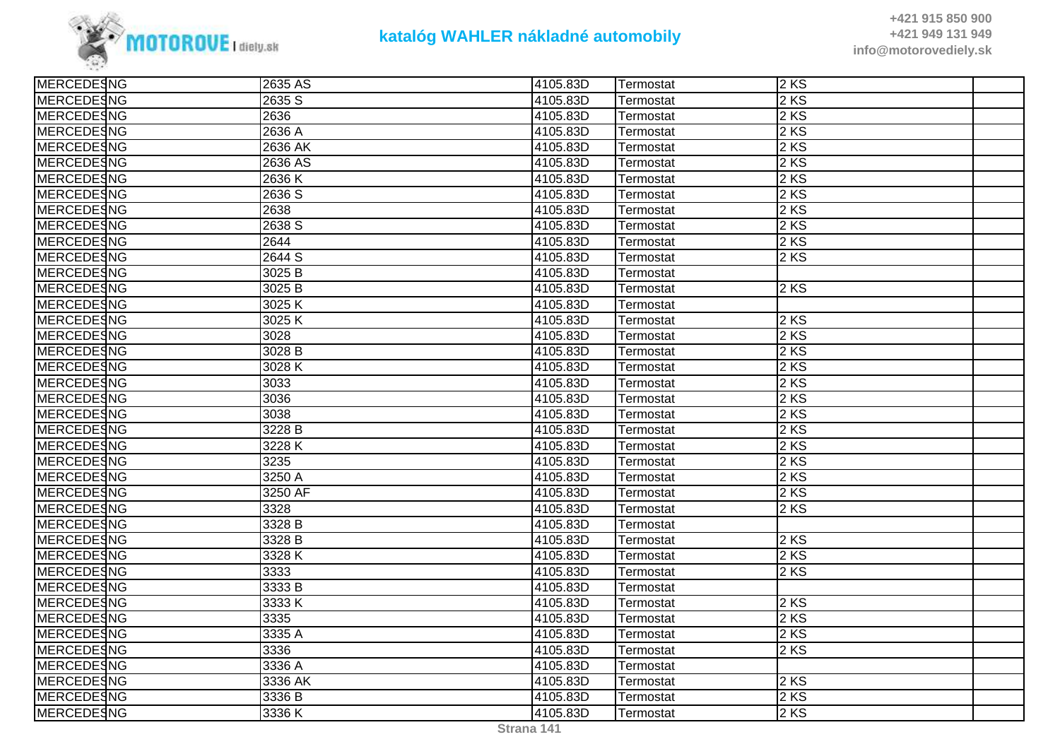

| <b>MERCEDESNG</b> | 2635 AS           | 4105.83D | Termostat | <b>2 KS</b> |  |
|-------------------|-------------------|----------|-----------|-------------|--|
| MERCEDESNG        | 2635 S            | 4105.83D | Termostat | $2$ KS      |  |
| <b>MERCEDESNG</b> | 2636              | 4105.83D | Termostat | 2 KS        |  |
| <b>MERCEDESNG</b> | 2636 A            | 4105.83D | Termostat | $2$ KS      |  |
| <b>MERCEDESNG</b> | 2636 AK           | 4105.83D | Termostat | 2KS         |  |
| <b>MERCEDESNG</b> | 2636 AS           | 4105.83D | Termostat | 2 KS        |  |
| <b>MERCEDESNG</b> | 2636 K            | 4105.83D | Termostat | 2 KS        |  |
| <b>MERCEDESNG</b> | 2636 S            | 4105.83D | Termostat | $2$ KS      |  |
| <b>MERCEDESNG</b> | 2638              | 4105.83D | Termostat | 2 KS        |  |
| <b>MERCEDESNG</b> | 2638 S            | 4105.83D | Termostat | 2KS         |  |
| MERCEDESNG        | 2644              | 4105.83D | Termostat | $2$ KS      |  |
| <b>MERCEDESNG</b> | 2644 S            | 4105.83D | Termostat | 2KS         |  |
| <b>MERCEDESNG</b> | 3025 <sub>B</sub> | 4105.83D | Termostat |             |  |
| <b>MERCEDESNG</b> | 3025 B            | 4105.83D | Termostat | 2KS         |  |
| <b>MERCEDESNG</b> | 3025K             | 4105.83D | Termostat |             |  |
| <b>MERCEDESNG</b> | 3025K             | 4105.83D | Termostat | $2$ KS      |  |
| <b>MERCEDESNG</b> | 3028              | 4105.83D | Termostat | 2 KS        |  |
| <b>MERCEDESNG</b> | 3028 B            | 4105.83D | Termostat | 2 KS        |  |
| MERCEDESNG        | 3028K             | 4105.83D | Termostat | $2$ KS      |  |
| <b>MERCEDESNG</b> | 3033              | 4105.83D | Termostat | $2$ KS      |  |
| <b>MERCEDESNG</b> | 3036              | 4105.83D | Termostat | 2KS         |  |
| <b>MERCEDESNG</b> | 3038              | 4105.83D | Termostat | 2 KS        |  |
| MERCEDESNG        | 3228 B            | 4105.83D | Termostat | 2 KS        |  |
| <b>MERCEDESNG</b> | 3228 K            | 4105.83D | Termostat | $2$ KS      |  |
| <b>MERCEDESNG</b> | 3235              | 4105.83D | Termostat | 2 KS        |  |
| <b>MERCEDESNG</b> | 3250 A            | 4105.83D | Termostat | 2 KS        |  |
| <b>MERCEDESNG</b> | 3250 AF           | 4105.83D | Termostat | $2$ KS      |  |
| <b>MERCEDESNG</b> | 3328              | 4105.83D | Termostat | 2 KS        |  |
| <b>MERCEDESNG</b> | 3328 B            | 4105.83D | Termostat |             |  |
| <b>MERCEDESNG</b> | 3328 B            | 4105.83D | Termostat | $2$ KS      |  |
| <b>MERCEDESNG</b> | 3328 K            | 4105.83D | Termostat | $2$ KS      |  |
| MERCEDESNG        | 3333              | 4105.83D | Termostat | 2 KS        |  |
| <b>MERCEDESNG</b> | 3333 B            | 4105.83D | Termostat |             |  |
| <b>MERCEDESNG</b> | 3333 K            | 4105.83D | Termostat | $2$ KS      |  |
| <b>MERCEDESNG</b> | 3335              | 4105.83D | Termostat | $2$ KS      |  |
| <b>MERCEDESNG</b> | 3335 A            | 4105.83D | Termostat | $2$ KS      |  |
| <b>MERCEDESNG</b> | 3336              | 4105.83D | Termostat | 2 KS        |  |
| <b>MERCEDESNG</b> | 3336 A            | 4105.83D | Termostat |             |  |
| <b>MERCEDESNG</b> | 3336 AK           | 4105.83D | Termostat | 2 KS        |  |
| MERCEDESNG        | 3336 B            | 4105.83D | Termostat | $2$ KS      |  |
| <b>MERCEDESNG</b> | 3336K             | 4105.83D | Termostat | 2KS         |  |
|                   |                   |          |           |             |  |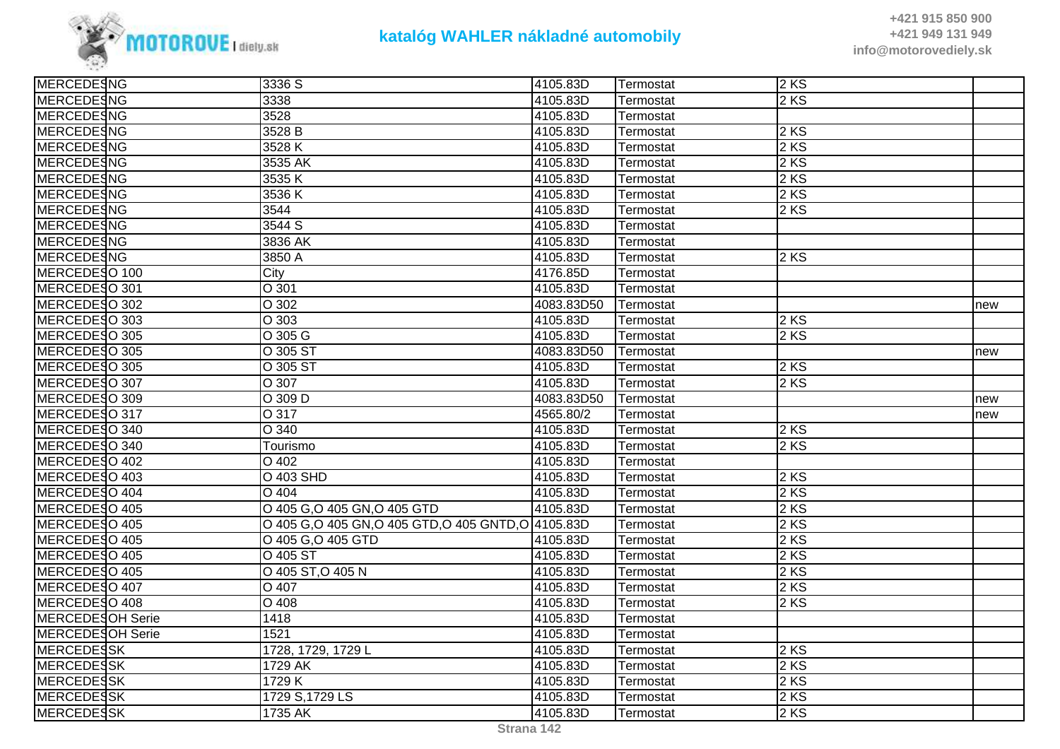

| MERCEDESNG        | 3336 S                                           | 4105.83D   | Termostat | 2KS  |     |
|-------------------|--------------------------------------------------|------------|-----------|------|-----|
| <b>MERCEDESNG</b> | 3338                                             | 4105.83D   | Termostat | 2 KS |     |
| MERCEDESNG        | 3528                                             | 4105.83D   | Termostat |      |     |
| MERCEDESNG        | 3528 B                                           | 4105.83D   | Termostat | 2KS  |     |
| MERCEDESNG        | 3528K                                            | 4105.83D   | Termostat | 2KS  |     |
| <b>MERCEDESNG</b> | 3535 AK                                          | 4105.83D   | Termostat | 2 KS |     |
| <b>MERCEDESNG</b> | 3535K                                            | 4105.83D   | Termostat | 2 KS |     |
| <b>MERCEDESNG</b> | 3536K                                            | 4105.83D   | Termostat | 2 KS |     |
| <b>MERCEDESNG</b> | $\overline{3}544$                                | 4105.83D   | Termostat | 2KS  |     |
| MERCEDESNG        | 3544 S                                           | 4105.83D   | Termostat |      |     |
| <b>MERCEDESNG</b> | 3836 AK                                          | 4105.83D   | Termostat |      |     |
| <b>MERCEDESNG</b> | 3850 A                                           | 4105.83D   | Termostat | 2KS  |     |
| MERCEDESO 100     | City                                             | 4176.85D   | Termostat |      |     |
| MERCEDESO 301     | O 301                                            | 4105.83D   | Termostat |      |     |
| MERCEDESO 302     | O 302                                            | 4083.83D50 | Termostat |      | new |
| MERCEDESO 303     | O 303                                            | 4105.83D   | Termostat | 2 KS |     |
| MERCEDESO 305     | O 305 G                                          | 4105.83D   | Termostat | 2 KS |     |
| MERCEDESO 305     | O 305 ST                                         | 4083.83D50 | Termostat |      | new |
| MERCEDESO 305     | O 305 ST                                         | 4105.83D   | Termostat | 2KS  |     |
| MERCEDESO 307     | O 307                                            | 4105.83D   | Termostat | 2KS  |     |
| MERCEDESO 309     | O 309 D                                          | 4083.83D50 | Termostat |      | new |
| MERCEDESO 317     | O 317                                            | 4565.80/2  | Termostat |      | new |
| MERCEDESO 340     | $\overline{O}$ 340                               | 4105.83D   | Termostat | 2 KS |     |
| MERCEDESO 340     | Tourismo                                         | 4105.83D   | Termostat | 2 KS |     |
| MERCEDESO 402     | O 402                                            | 4105.83D   | Termostat |      |     |
| MERCEDESO 403     | O 403 SHD                                        | 4105.83D   | Termostat | 2KS  |     |
| MERCEDESO 404     | $\overline{O}$ 404                               | 4105.83D   | Termostat | 2 KS |     |
| MERCEDESO 405     | O 405 G, O 405 GN, O 405 GTD                     | 4105.83D   | Termostat | 2 KS |     |
| MERCEDESO 405     | O 405 G,O 405 GN,O 405 GTD,O 405 GNTD,O 4105.83D |            | Termostat | 2 KS |     |
| MERCEDESO 405     | O 405 G, O 405 GTD                               | 4105.83D   | Termostat | 2 KS |     |
| MERCEDESO 405     | O 405 ST                                         | 4105.83D   | Termostat | 2KS  |     |
| MERCEDESO 405     | O 405 ST, O 405 N                                | 4105.83D   | Termostat | 2 KS |     |
| MERCEDESO 407     | O 407                                            | 4105.83D   | Termostat | 2 KS |     |
| MERCEDESO 408     | $\overline{O408}$                                | 4105.83D   | Termostat | 2 KS |     |
| MERCEDESOH Serie  | 1418                                             | 4105.83D   | Termostat |      |     |
| MERCEDESOH Serie  | 1521                                             | 4105.83D   | Termostat |      |     |
| <b>MERCEDESSK</b> | 1728, 1729, 1729 L                               | 4105.83D   | Termostat | 2 KS |     |
| <b>MERCEDESSK</b> | 1729 AK                                          | 4105.83D   | Termostat | 2 KS |     |
| <b>MERCEDESSK</b> | 1729 K                                           | 4105.83D   | Termostat | 2 KS |     |
| MERCEDESSK        | 1729 S, 1729 LS                                  | 4105.83D   | Termostat | 2KS  |     |
| <b>MERCEDESSK</b> | 1735 AK                                          | 4105.83D   | Termostat | 2KS  |     |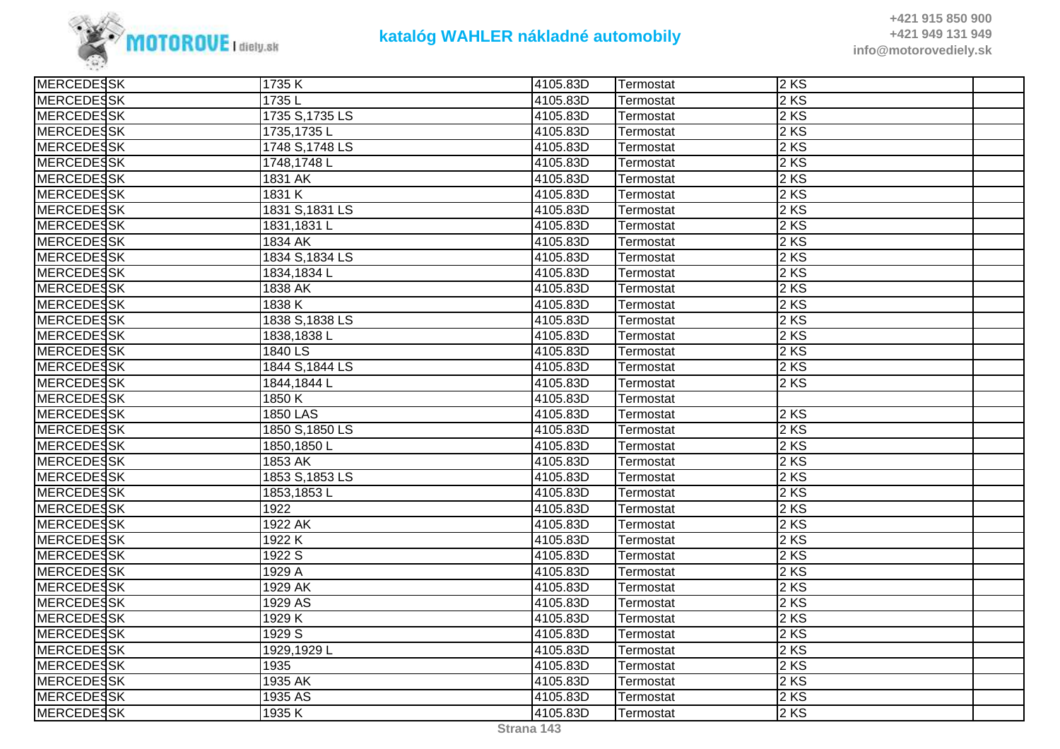

| <b>MERCEDESSK</b> | 1735K           | 4105.83D | Termostat | 2KS  |  |
|-------------------|-----------------|----------|-----------|------|--|
| <b>MERCEDESSK</b> | 1735L           | 4105.83D | Termostat | 2 KS |  |
| <b>MERCEDESSK</b> | 1735 S, 1735 LS | 4105.83D | Termostat | 2 KS |  |
| <b>MERCEDESSK</b> | 1735,1735L      | 4105.83D | Termostat | 2 KS |  |
| <b>MERCEDESSK</b> | 1748 S, 1748 LS | 4105.83D | Termostat | 2 KS |  |
| <b>MERCEDESSK</b> | 1748,1748L      | 4105.83D | Termostat | 2 KS |  |
| <b>MERCEDESSK</b> | 1831 AK         | 4105.83D | Termostat | 2 KS |  |
| <b>MERCEDESSK</b> | 1831 K          | 4105.83D | Termostat | 2 KS |  |
| <b>MERCEDESSK</b> | 1831 S, 1831 LS | 4105.83D | Termostat | 2KS  |  |
| <b>MERCEDESSK</b> | 1831,1831L      | 4105.83D | Termostat | 2 KS |  |
| <b>MERCEDESSK</b> | 1834 AK         | 4105.83D | Termostat | 2 KS |  |
| <b>MERCEDESSK</b> | 1834 S, 1834 LS | 4105.83D | Termostat | 2KS  |  |
| <b>MERCEDESSK</b> | 1834,1834 L     | 4105.83D | Termostat | 2 KS |  |
| <b>MERCEDESSK</b> | 1838 AK         | 4105.83D | Termostat | 2 KS |  |
| <b>MERCEDESSK</b> | 1838 K          | 4105.83D | Termostat | 2KS  |  |
| <b>MERCEDESSK</b> | 1838 S, 1838 LS | 4105.83D | Termostat | 2 KS |  |
| <b>MERCEDESSK</b> | 1838, 1838 L    | 4105.83D | Termostat | 2 KS |  |
| <b>MERCEDESSK</b> | 1840 LS         | 4105.83D | Termostat | 2 KS |  |
| <b>MERCEDESSK</b> | 1844 S, 1844 LS | 4105.83D | Termostat | 2KS  |  |
| <b>MERCEDESSK</b> | 1844,1844 L     | 4105.83D | Termostat | 2KS  |  |
| <b>MERCEDESSK</b> | 1850K           | 4105.83D | Termostat |      |  |
| MERCEDESSK        | 1850 LAS        | 4105.83D | Termostat | 2KS  |  |
| <b>MERCEDESSK</b> | 1850 S, 1850 LS | 4105.83D | Termostat | 2 KS |  |
| <b>MERCEDESSK</b> | 1850,1850L      | 4105.83D | Termostat | 2 KS |  |
| <b>MERCEDESSK</b> | $1853$ AK       | 4105.83D | Termostat | 2 KS |  |
| <b>MERCEDESSK</b> | 1853 S, 1853 LS | 4105.83D | Termostat | 2KS  |  |
| <b>MERCEDESSK</b> | 1853,1853L      | 4105.83D | Termostat | 2 KS |  |
| <b>MERCEDESSK</b> | 1922            | 4105.83D | Termostat | 2KS  |  |
| <b>MERCEDESSK</b> | 1922 AK         | 4105.83D | Termostat | 2 KS |  |
| <b>MERCEDESSK</b> | 1922 K          | 4105.83D | Termostat | 2 KS |  |
| <b>MERCEDESSK</b> | 1922 S          | 4105.83D | Termostat | 2 KS |  |
| <b>MERCEDESSK</b> | 1929 A          | 4105.83D | Termostat | 2 KS |  |
| MERCEDESSK        | 1929 AK         | 4105.83D | Termostat | 2 KS |  |
| <b>MERCEDESSK</b> | 1929 AS         | 4105.83D | Termostat | 2 KS |  |
| <b>MERCEDESSK</b> | 1929 K          | 4105.83D | Termostat | 2 KS |  |
| MERCEDESSK        | 1929 S          | 4105.83D | Termostat | 2KS  |  |
| <b>MERCEDESSK</b> | 1929,1929L      | 4105.83D | Termostat | 2 KS |  |
| <b>MERCEDESSK</b> | 1935            | 4105.83D | Termostat | 2 KS |  |
| <b>MERCEDESSK</b> | 1935 AK         | 4105.83D | Termostat | 2 KS |  |
| <b>MERCEDESSK</b> | 1935 AS         | 4105.83D | Termostat | 2KS  |  |
| <b>MERCEDESSK</b> | 1935 K          | 4105.83D | Termostat | 2KS  |  |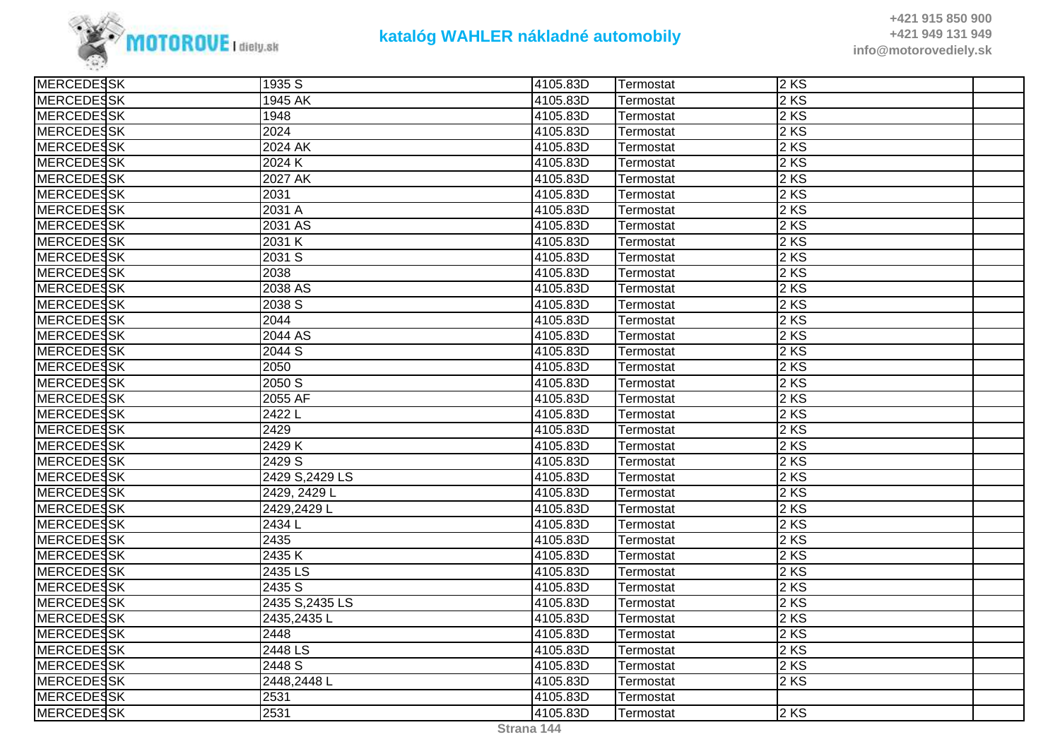

| <b>MERCEDESSK</b> | 1935 S              | 4105.83D | Termostat | 2KS  |  |
|-------------------|---------------------|----------|-----------|------|--|
| <b>MERCEDESSK</b> | 1945 AK             | 4105.83D | Termostat | 2 KS |  |
| MERCEDESSK        | 1948                | 4105.83D | Termostat | 2 KS |  |
| <b>MERCEDESSK</b> | 2024                | 4105.83D | Termostat | 2KS  |  |
| MERCEDESSK        | 2024 AK             | 4105.83D | Termostat | 2KS  |  |
| <b>MERCEDESSK</b> | 2024 K              | 4105.83D | Termostat | 2 KS |  |
| <b>MERCEDESSK</b> | 2027 AK             | 4105.83D | Termostat | 2 KS |  |
| MERCEDESSK        | 2031                | 4105.83D | Termostat | 2 KS |  |
| <b>MERCEDESSK</b> | $\overline{2031}$ A | 4105.83D | Termostat | 2KS  |  |
| MERCEDESSK        | 2031 AS             | 4105.83D | Termostat | 2 KS |  |
| MERCEDESSK        | 2031 K              | 4105.83D | Termostat | 2 KS |  |
| <b>MERCEDESSK</b> | 2031S               | 4105.83D | Termostat | 2 KS |  |
| <b>MERCEDESSK</b> | 2038                | 4105.83D | Termostat | 2 KS |  |
| <b>MERCEDESSK</b> | 2038 AS             | 4105.83D | Termostat | 2 KS |  |
| <b>MERCEDESSK</b> | 2038 S              | 4105.83D | Termostat | 2 KS |  |
| <b>MERCEDESSK</b> | 2044                | 4105.83D | Termostat | 2 KS |  |
| <b>MERCEDESSK</b> | $2044$ AS           | 4105.83D | Termostat | 2 KS |  |
| MERCEDESSK        | 2044 S              | 4105.83D | Termostat | 2 KS |  |
| MERCEDESSK        | 2050                | 4105.83D | Termostat | 2KS  |  |
| <b>MERCEDESSK</b> | 2050 S              | 4105.83D | Termostat | 2 KS |  |
| <b>MERCEDESSK</b> | 2055 AF             | 4105.83D | Termostat | 2 KS |  |
| MERCEDESSK        | 2422L               | 4105.83D | Termostat | 2 KS |  |
| <b>MERCEDESSK</b> | 2429                | 4105.83D | Termostat | 2 KS |  |
| <b>MERCEDESSK</b> | 2429 K              | 4105.83D | Termostat | 2 KS |  |
| <b>MERCEDESSK</b> | 2429 S              | 4105.83D | Termostat | 2 KS |  |
| MERCEDESSK        | 2429 S, 2429 LS     | 4105.83D | Termostat | 2KS  |  |
| MERCEDESSK        | 2429, 2429 L        | 4105.83D | Termostat | 2 KS |  |
| <b>MERCEDESSK</b> | 2429,2429L          | 4105.83D | Termostat | 2 KS |  |
| <b>MERCEDESSK</b> | 2434 L              | 4105.83D | Termostat | 2 KS |  |
| <b>MERCEDESSK</b> | 2435                | 4105.83D | Termostat | 2 KS |  |
| MERCEDESSK        | 2435K               | 4105.83D | Termostat | 2KS  |  |
| MERCEDESSK        | 2435 LS             | 4105.83D | Termostat | 2KS  |  |
| MERCEDESSK        | 2435 S              | 4105.83D | Termostat | 2KS  |  |
| <b>MERCEDESSK</b> | 2435 S, 2435 LS     | 4105.83D | Termostat | 2 KS |  |
| <b>MERCEDESSK</b> | 2435,2435L          | 4105.83D | Termostat | 2 KS |  |
| <b>MERCEDESSK</b> | 2448                | 4105.83D | Termostat | 2KS  |  |
| MERCEDESSK        | 2448 LS             | 4105.83D | Termostat | 2KS  |  |
| MERCEDESSK        | 2448 S              | 4105.83D | Termostat | 2 KS |  |
| <b>MERCEDESSK</b> | 2448,2448L          | 4105.83D | Termostat | 2 KS |  |
| <b>MERCEDESSK</b> | 2531                | 4105.83D | Termostat |      |  |
| MERCEDESSK        | 2531                | 4105.83D | Termostat | 2KS  |  |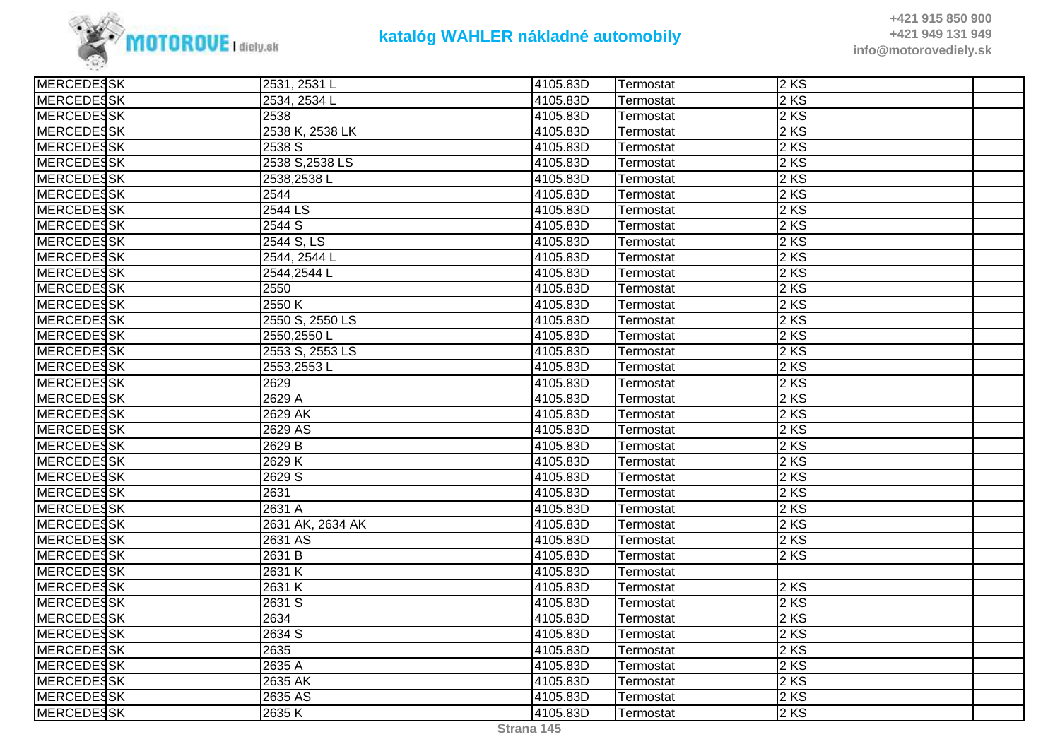

**+421 915 850 900 +421 949 131 949info@motorovediely.sk**

| <b>MERCEDESSK</b> | 2531, 2531 L     | 4105.83D | Termostat | 2KS    |  |
|-------------------|------------------|----------|-----------|--------|--|
| <b>MERCEDESSK</b> | 2534, 2534 L     | 4105.83D | Termostat | $2$ KS |  |
| <b>MERCEDESSK</b> | 2538             | 4105.83D | Termostat | $2$ KS |  |
| <b>MERCEDESSK</b> | 2538 K, 2538 LK  | 4105.83D | Termostat | $2$ KS |  |
| <b>MERCEDESSK</b> | 2538 S           | 4105.83D | Termostat | 2 KS   |  |
| <b>MERCEDESSK</b> | 2538 S, 2538 LS  | 4105.83D | Termostat | $2$ KS |  |
| <b>MERCEDESSK</b> | 2538,2538L       | 4105.83D | Termostat | 2 KS   |  |
| <b>MERCEDESSK</b> | 2544             | 4105.83D | Termostat | $2$ KS |  |
| <b>MERCEDESSK</b> | 2544 LS          | 4105.83D | Termostat | 2 KS   |  |
| <b>MERCEDESSK</b> | 2544 S           | 4105.83D | Termostat | 2 KS   |  |
| <b>MERCEDESSK</b> | 2544 S, LS       | 4105.83D | Termostat | $2$ KS |  |
| <b>MERCEDESSK</b> | 2544, 2544 L     | 4105.83D | Termostat | 2 KS   |  |
| <b>MERCEDESSK</b> | 2544,2544 L      | 4105.83D | Termostat | 2 KS   |  |
| <b>MERCEDESSK</b> | 2550             | 4105.83D | Termostat | $2$ KS |  |
| <b>MERCEDESSK</b> | 2550 K           | 4105.83D | Termostat | 2 KS   |  |
| <b>MERCEDESSK</b> | 2550 S, 2550 LS  | 4105.83D | Termostat | 2 KS   |  |
| <b>MERCEDESSK</b> | 2550,2550L       | 4105.83D | Termostat | 2 KS   |  |
| <b>MERCEDESSK</b> | 2553 S, 2553 LS  | 4105.83D | Termostat | 2 KS   |  |
| <b>MERCEDESSK</b> | 2553,2553L       | 4105.83D | Termostat | $2$ KS |  |
| <b>MERCEDESSK</b> | 2629             | 4105.83D | Termostat | 2 KS   |  |
| <b>MERCEDESSK</b> | 2629 A           | 4105.83D | Termostat | 2 KS   |  |
| MERCEDESSK        | 2629 AK          | 4105.83D | Termostat | 2 KS   |  |
| <b>MERCEDESSK</b> | 2629 AS          | 4105.83D | Termostat | $2$ KS |  |
| <b>MERCEDESSK</b> | 2629 B           | 4105.83D | Termostat | $2$ KS |  |
| <b>MERCEDESSK</b> | 2629K            | 4105.83D | Termostat | $2$ KS |  |
| <b>MERCEDESSK</b> | 2629 S           | 4105.83D | Termostat | $2$ KS |  |
| <b>MERCEDESSK</b> | 2631             | 4105.83D | Termostat | $2$ KS |  |
| <b>MERCEDESSK</b> | 2631 A           | 4105.83D | Termostat | 2 KS   |  |
| <b>MERCEDESSK</b> | 2631 AK, 2634 AK | 4105.83D | Termostat | $2$ KS |  |
| <b>MERCEDESSK</b> | 2631 AS          | 4105.83D | Termostat | $2$ KS |  |
| <b>MERCEDESSK</b> | 2631 B           | 4105.83D | Termostat | 2 KS   |  |
| <b>MERCEDESSK</b> | 2631 K           | 4105.83D | Termostat |        |  |
| <b>MERCEDESSK</b> | 2631 K           | 4105.83D | Termostat | 2 KS   |  |
| <b>MERCEDESSK</b> | 2631 S           | 4105.83D | Termostat | 2KS    |  |
| <b>MERCEDESSK</b> | 2634             | 4105.83D | Termostat | 2 KS   |  |
| MERCEDESSK        | 2634 S           | 4105.83D | Termostat | 2KS    |  |
| <b>MERCEDESSK</b> | 2635             | 4105.83D | Termostat | 2 KS   |  |
| <b>MERCEDESSK</b> | 2635 A           | 4105.83D | Termostat | 2 KS   |  |
| MERCEDESSK        | 2635 AK          | 4105.83D | Termostat | 2 KS   |  |
| <b>MERCEDESSK</b> | 2635 AS          | 4105.83D | Termostat | $2$ KS |  |
| <b>MERCEDESSK</b> | 2635K            | 4105.83D | Termostat | 2KS    |  |
|                   |                  |          |           |        |  |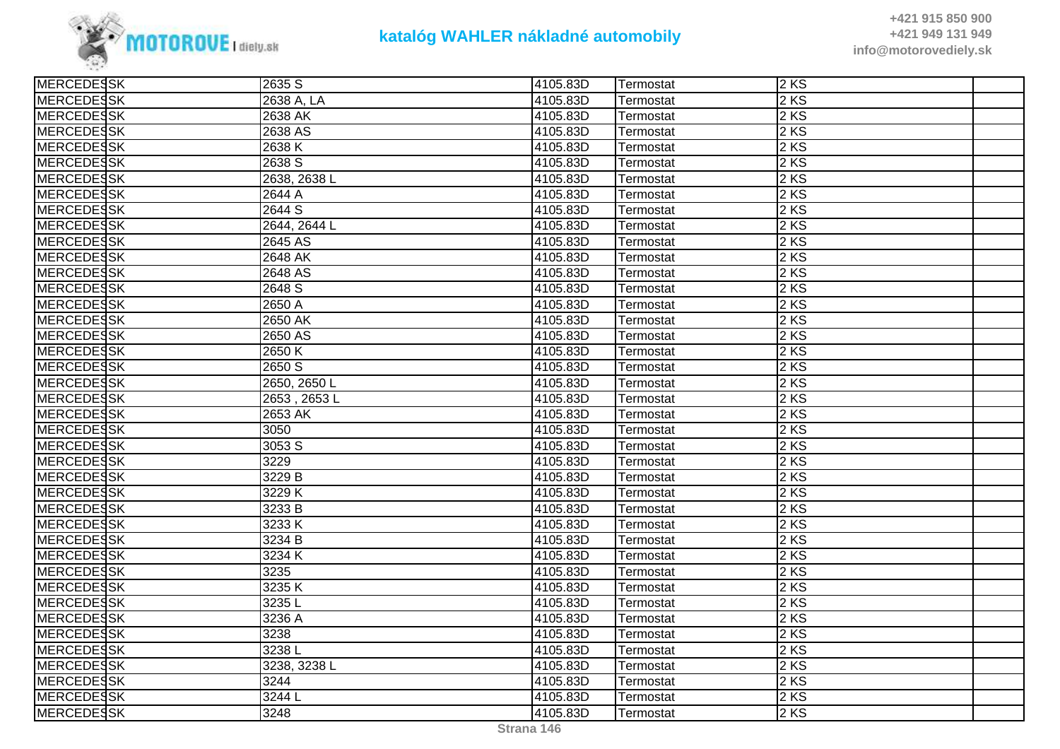

**+421 915 850 900 +421 949 131 949info@motorovediely.sk**

| <b>MERCEDESSK</b> | 2635 S       | 4105.83D | Termostat | 2 KS              |  |
|-------------------|--------------|----------|-----------|-------------------|--|
| MERCEDESSK        | 2638 A, LA   | 4105.83D | Termostat | $2$ KS            |  |
| <b>MERCEDESSK</b> | 2638 AK      | 4105.83D | Termostat | 2 KS              |  |
| <b>MERCEDESSK</b> | 2638 AS      | 4105.83D | Termostat | $2$ KS            |  |
| <b>MERCEDESSK</b> | 2638K        | 4105.83D | Termostat | 2KS               |  |
| MERCEDESSK        | 2638 S       | 4105.83D | Termostat | $2$ KS            |  |
| <b>MERCEDESSK</b> | 2638, 2638 L | 4105.83D | Termostat | $2$ KS            |  |
| <b>MERCEDESSK</b> | 2644 A       | 4105.83D | Termostat | $2$ KS            |  |
| <b>MERCEDESSK</b> | 2644 S       | 4105.83D | Termostat | 2 KS              |  |
| MERCEDESSK        | 2644, 2644 L | 4105.83D | Termostat | $2$ KS            |  |
| MERCEDESSK        | 2645 AS      | 4105.83D | Termostat | $2$ KS            |  |
| MERCEDESSK        | 2648 AK      | 4105.83D | Termostat | 2 KS              |  |
| MERCEDESSK        | 2648 AS      | 4105.83D | Termostat | 2KS               |  |
| <b>MERCEDESSK</b> | 2648 S       | 4105.83D | Termostat | $2$ KS            |  |
| <b>MERCEDESSK</b> | 2650 A       | 4105.83D | Termostat | 2 KS              |  |
| <b>MERCEDESSK</b> | $2650$ AK    | 4105.83D | Termostat | 2 KS              |  |
| MERCEDESSK        | 2650 AS      | 4105.83D | Termostat | 2 KS              |  |
| MERCEDESSK        | 2650K        | 4105.83D | Termostat | $2 K\overline{S}$ |  |
| MERCEDESSK        | 2650 S       | 4105.83D | Termostat | $2$ KS            |  |
| <b>MERCEDESSK</b> | 2650, 2650 L | 4105.83D | Termostat | $2$ KS            |  |
| MERCEDESSK        | 2653, 2653L  | 4105.83D | Termostat | 2KS               |  |
| <b>MERCEDESSK</b> | 2653 AK      | 4105.83D | Termostat | $2$ KS            |  |
| <b>MERCEDESSK</b> | 3050         | 4105.83D | Termostat | $2$ KS            |  |
| <b>MERCEDESSK</b> | 3053 S       | 4105.83D | Termostat | 2 KS              |  |
| MERCEDESSK        | 3229         | 4105.83D | Termostat | 2 KS              |  |
| <b>MERCEDESSK</b> | 3229 B       | 4105.83D | Termostat | 2KS               |  |
| <b>MERCEDESSK</b> | 3229K        | 4105.83D | Termostat | 2 KS              |  |
| <b>MERCEDESSK</b> | 3233 B       | 4105.83D | Termostat | 2 KS              |  |
| MERCEDESSK        | 3233K        | 4105.83D | Termostat | 2KS               |  |
| <b>MERCEDESSK</b> | 3234 B       | 4105.83D | Termostat | 2 KS              |  |
| <b>MERCEDESSK</b> | 3234K        | 4105.83D | Termostat | $2$ KS            |  |
| <b>MERCEDESSK</b> | 3235         | 4105.83D | Termostat | 2 KS              |  |
| MERCEDESSK        | 3235K        | 4105.83D | Termostat | $2$ KS            |  |
| <b>MERCEDESSK</b> | 3235L        | 4105.83D | Termostat | $2$ KS            |  |
| <b>MERCEDESSK</b> | 3236 A       | 4105.83D | Termostat | $2$ KS            |  |
| <b>MERCEDESSK</b> | 3238         | 4105.83D | Termostat | 2 KS              |  |
| MERCEDESSK        | 3238L        | 4105.83D | Termostat | 2KS               |  |
| MERCEDESSK        | 3238, 3238 L | 4105.83D | Termostat | $2$ KS            |  |
| <b>MERCEDESSK</b> | 3244         | 4105.83D | Termostat | 2 KS              |  |
| <b>MERCEDESSK</b> | 3244 L       | 4105.83D | Termostat | $2$ KS            |  |
| MERCEDESSK        | 3248         | 4105.83D | Termostat | $2$ KS            |  |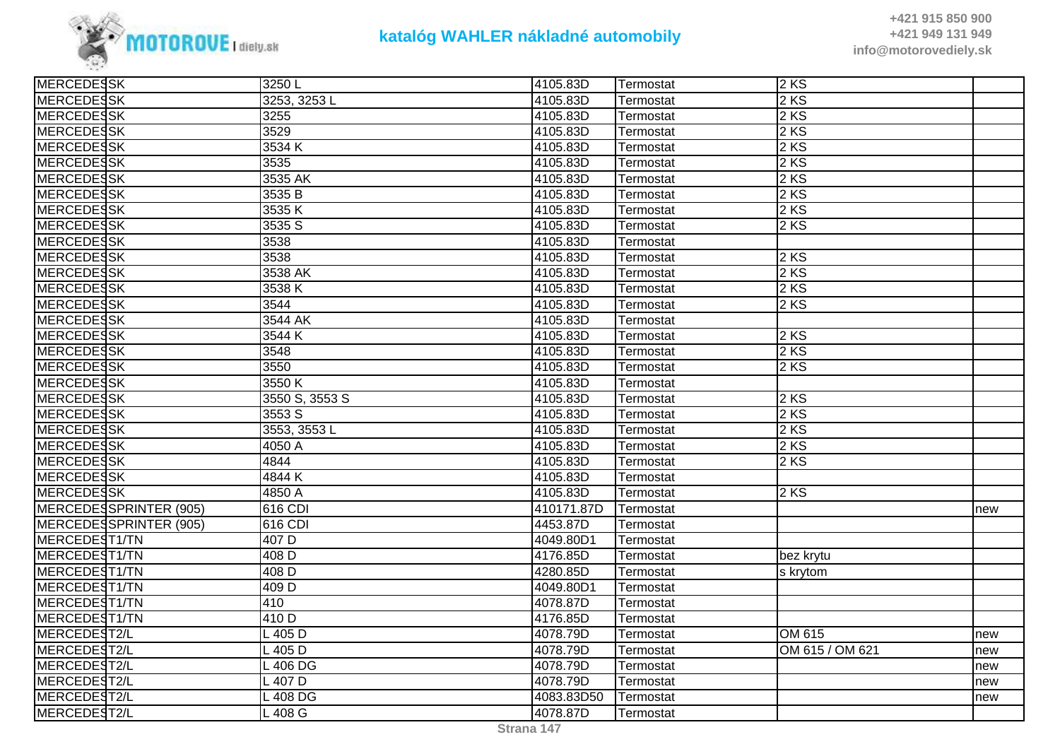

**+421 915 850 900 +421 949 131 949info@motorovediely.sk**

| <b>MERCEDESSK</b>        | $\overline{3}$ 250 L | 4105.83D   | Termostat        | $2$ KS          |     |
|--------------------------|----------------------|------------|------------------|-----------------|-----|
| <b>MERCEDESSK</b>        | 3253, 3253L          | 4105.83D   | Termostat        | 2 KS            |     |
| <b>MERCEDESSK</b>        | 3255                 | 4105.83D   | Termostat        | 2 KS            |     |
| <b>MERCEDESSK</b>        | 3529                 | 4105.83D   | Termostat        | 2 KS            |     |
| MERCEDESSK               | 3534K                | 4105.83D   | Termostat        | 2KS             |     |
| MERCEDESSK               | 3535                 | 4105.83D   | Termostat        | 2 KS            |     |
| <b>MERCEDESSK</b>        | 3535 AK              | 4105.83D   | Termostat        | 2 KS            |     |
| <b>MERCEDESSK</b>        | 3535 B               | 4105.83D   | Termostat        | 2 KS            |     |
| <b>MERCEDESSK</b>        | 3535K                | 4105.83D   | Termostat        | 2 KS            |     |
| <b>MERCEDESSK</b>        | 3535 S               | 4105.83D   | Termostat        | 2KS             |     |
| MERCEDESSK               | 3538                 | 4105.83D   | Termostat        |                 |     |
| <b>MERCEDESSK</b>        | 3538                 | 4105.83D   | Termostat        | 2 KS            |     |
| <b>MERCEDESSK</b>        | 3538 AK              | 4105.83D   | Termostat        | 2 KS            |     |
| <b>MERCEDESSK</b>        | 3538K                | 4105.83D   | Termostat        | 2 KS            |     |
| <b>MERCEDESSK</b>        | 3544                 | 4105.83D   | Termostat        | 2KS             |     |
| MERCEDESSK               | 3544 AK              | 4105.83D   | <b>Termostat</b> |                 |     |
| <b>MERCEDESSK</b>        | 3544 K               | 4105.83D   | Termostat        | 2KS             |     |
| <b>MERCEDESSK</b>        | 3548                 | 4105.83D   | Termostat        | 2 KS            |     |
| MERCEDESSK               | 3550                 | 4105.83D   | Termostat        | 2KS             |     |
| <b>MERCEDESSK</b>        | 3550 K               | 4105.83D   | Termostat        |                 |     |
| MERCEDESSK               | 3550 S, 3553 S       | 4105.83D   | Termostat        | 2KS             |     |
| <b>MERCEDESSK</b>        | 3553 S               | 4105.83D   | Termostat        | 2 KS            |     |
| MERCEDESSK               | 3553, 3553L          | 4105.83D   | Termostat        | 2 KS            |     |
| <b>MERCEDESSK</b>        | 4050 A               | 4105.83D   | Termostat        | 2 KS            |     |
| <b>MERCEDESSK</b>        | 4844                 | 4105.83D   | Termostat        | 2KS             |     |
| MERCEDESSK               | 4844K                | 4105.83D   | Termostat        |                 |     |
| <b>MERCEDESSK</b>        | 4850 A               | 4105.83D   | Termostat        | 2KS             |     |
| MERCEDESSPRINTER (905)   | 616 CDI              | 410171.87D | Termostat        |                 | new |
| MERCEDESSPRINTER (905)   | 616 CDI              | 4453.87D   | Termostat        |                 |     |
| MERCEDEST1/TN            | 407 D                | 4049.80D1  | Termostat        |                 |     |
| MERCEDEST1/TN            | 408 D                | 4176.85D   | Termostat        | bez krytu       |     |
| MERCEDEST1/TN            | 408 D                | 4280.85D   | Termostat        | s krytom        |     |
| MERCEDEST1/TN            | 409 <sub>D</sub>     | 4049.80D1  | Termostat        |                 |     |
| MERCEDEST1/TN            | 410                  | 4078.87D   | Termostat        |                 |     |
| MERCEDEST1/TN            | 410 D                | 4176.85D   | Termostat        |                 |     |
| MERCEDEST2/L             | $L$ 405 D            | 4078.79D   | Termostat        | OM 615          | new |
| MERCEDES <sub>T2/L</sub> | $L$ 405 D            | 4078.79D   | Termostat        | OM 615 / OM 621 | new |
| MERCEDEST2/L             | L 406 DG             | 4078.79D   | Termostat        |                 | new |
| MERCEDEST2/L             | $L$ 407 D            | 4078.79D   | Termostat        |                 | new |
| MERCEDEST2/L             | L 408 DG             | 4083.83D50 | Termostat        |                 | new |
| MERCEDEST2/L             | L 408 G              | 4078.87D   | Termostat        |                 |     |
|                          |                      |            |                  |                 |     |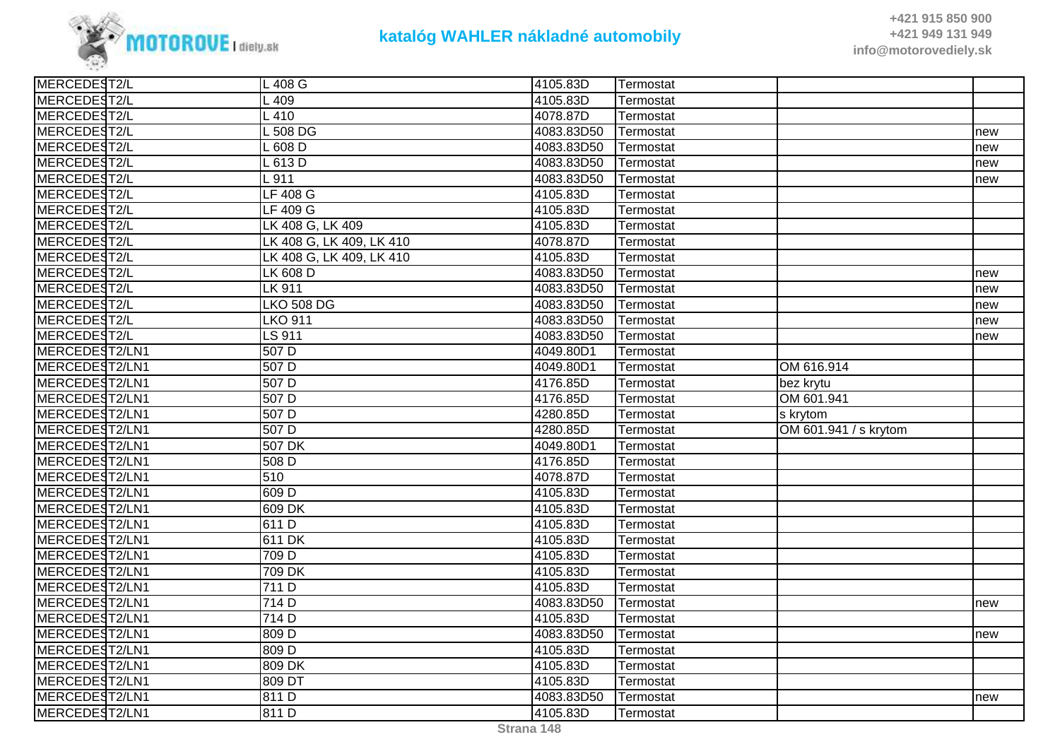

| MERCEDEST2/L<br>L 409<br>4105.83D<br>Termostat<br>MERCEDEST2/L<br>L 410<br>4078.87D<br>Termostat<br>MERCEDEST2/L<br>L 508 DG<br>4083.83D50<br>Termostat<br>new<br>MERCEDEST2/L<br>L 608 D<br>4083.83D50<br>Termostat<br>new<br>MERCEDEST2/L<br>4083.83D50<br>L 613 D<br>Termostat<br>new<br>MERCEDEST2/L<br>L 911<br>4083.83D50<br>Termostat<br>new<br>MERCEDEST2/L<br>LF 408 G<br>4105.83D<br><b>Termostat</b><br>MERCEDEST2/L<br><b>LF 409 G</b><br>4105.83D<br>Termostat<br>MERCEDEST2/L<br>LK 408 G, LK 409<br>4105.83D<br>Termostat<br>MERCEDEST2/L<br>LK 408 G, LK 409, LK 410<br>4078.87D<br>Termostat<br>MERCEDEST2/L<br>LK 408 G, LK 409, LK 410<br>4105.83D<br>Termostat<br>MERCEDEST2/L<br>LK 608 D<br>4083.83D50<br>Termostat<br>new<br>MERCEDEST2/L<br><b>LK 911</b><br>4083.83D50<br>Termostat<br>new<br>MERCEDEST2/L<br>4083.83D50<br><b>LKO 508 DG</b><br>Termostat<br>new<br>MERCEDEST2/L<br><b>LKO 911</b><br>4083.83D50<br>Termostat<br>new<br>MERCEDEST2/L<br>LS 911<br>4083.83D50<br>Termostat<br>new<br>MERCEDEST2/LN1<br>507 D<br>4049.80D1<br>Termostat<br>MERCEDEST2/LN1<br>507 D<br>4049.80D1<br>OM 616.914<br>Termostat<br>MERCEDEST2/LN1<br>507 D<br>4176.85D<br>Termostat<br>bez krytu<br>MERCEDEST2/LN1<br>$\overline{507}$ D<br>4176.85D<br>OM 601.941<br>Termostat<br>MERCEDEST2/LN1<br>$\overline{507}$ D<br>4280.85D<br>s krytom<br>Termostat<br>MERCEDEST2/LN1<br>4280.85D<br>507 D<br>OM 601.941 / s krytom<br>Termostat<br>MERCEDEST2/LN1<br>507 DK<br>4049.80D1<br>Termostat<br>MERCEDEST2/LN1<br>508 D<br>4176.85D<br>Termostat<br>510<br>MERCEDEST2/LN1<br>4078.87D<br><b>Termostat</b><br>MERCEDEST2/LN1<br>609 D<br>4105.83D<br>Termostat<br>MERCEDEST2/LN1<br>609 DK<br>4105.83D<br>Termostat<br>MERCEDEST2/LN1<br>611 D<br>4105.83D<br>Termostat<br>MERCEDEST2/LN1<br>611 DK<br>4105.83D<br>Termostat<br>MERCEDEST2/LN1<br>709 D<br>4105.83D<br>Termostat<br>MERCEDEST2/LN1<br>709 DK<br>4105.83D<br>Termostat<br>MERCEDEST2/LN1<br>4105.83D<br>711 D<br>Termostat<br>MERCEDEST2/LN1<br>714 D<br>4083.83D50<br>Termostat<br>new<br>MERCEDEST2/LN1<br>714 D<br>4105.83D<br>Termostat<br>MERCEDEST2/LN1<br>809 D<br>4083.83D50<br>Termostat<br>new<br>MERCEDEST2/LN1<br>809 <sub>D</sub><br>4105.83D<br>Termostat<br>MERCEDEST2/LN1<br>809 DK<br>4105.83D<br>Termostat<br>MERCEDEST2/LN1<br>809 DT<br>4105.83D<br>Termostat<br>MERCEDEST2/LN1<br>811 D<br>4083.83D50<br>Termostat<br>new<br>MERCEDEST2/LN1<br>811 D<br>4105.83D<br>Termostat | MERCEDEST2/L | L 408 G | 4105.83D | Termostat |  |
|----------------------------------------------------------------------------------------------------------------------------------------------------------------------------------------------------------------------------------------------------------------------------------------------------------------------------------------------------------------------------------------------------------------------------------------------------------------------------------------------------------------------------------------------------------------------------------------------------------------------------------------------------------------------------------------------------------------------------------------------------------------------------------------------------------------------------------------------------------------------------------------------------------------------------------------------------------------------------------------------------------------------------------------------------------------------------------------------------------------------------------------------------------------------------------------------------------------------------------------------------------------------------------------------------------------------------------------------------------------------------------------------------------------------------------------------------------------------------------------------------------------------------------------------------------------------------------------------------------------------------------------------------------------------------------------------------------------------------------------------------------------------------------------------------------------------------------------------------------------------------------------------------------------------------------------------------------------------------------------------------------------------------------------------------------------------------------------------------------------------------------------------------------------------------------------------------------------------------------------------------------------------------------------------------------------------------------------------------------------------------------------------------------------------------------------------------------------------------------------|--------------|---------|----------|-----------|--|
|                                                                                                                                                                                                                                                                                                                                                                                                                                                                                                                                                                                                                                                                                                                                                                                                                                                                                                                                                                                                                                                                                                                                                                                                                                                                                                                                                                                                                                                                                                                                                                                                                                                                                                                                                                                                                                                                                                                                                                                                                                                                                                                                                                                                                                                                                                                                                                                                                                                                                        |              |         |          |           |  |
|                                                                                                                                                                                                                                                                                                                                                                                                                                                                                                                                                                                                                                                                                                                                                                                                                                                                                                                                                                                                                                                                                                                                                                                                                                                                                                                                                                                                                                                                                                                                                                                                                                                                                                                                                                                                                                                                                                                                                                                                                                                                                                                                                                                                                                                                                                                                                                                                                                                                                        |              |         |          |           |  |
|                                                                                                                                                                                                                                                                                                                                                                                                                                                                                                                                                                                                                                                                                                                                                                                                                                                                                                                                                                                                                                                                                                                                                                                                                                                                                                                                                                                                                                                                                                                                                                                                                                                                                                                                                                                                                                                                                                                                                                                                                                                                                                                                                                                                                                                                                                                                                                                                                                                                                        |              |         |          |           |  |
|                                                                                                                                                                                                                                                                                                                                                                                                                                                                                                                                                                                                                                                                                                                                                                                                                                                                                                                                                                                                                                                                                                                                                                                                                                                                                                                                                                                                                                                                                                                                                                                                                                                                                                                                                                                                                                                                                                                                                                                                                                                                                                                                                                                                                                                                                                                                                                                                                                                                                        |              |         |          |           |  |
|                                                                                                                                                                                                                                                                                                                                                                                                                                                                                                                                                                                                                                                                                                                                                                                                                                                                                                                                                                                                                                                                                                                                                                                                                                                                                                                                                                                                                                                                                                                                                                                                                                                                                                                                                                                                                                                                                                                                                                                                                                                                                                                                                                                                                                                                                                                                                                                                                                                                                        |              |         |          |           |  |
|                                                                                                                                                                                                                                                                                                                                                                                                                                                                                                                                                                                                                                                                                                                                                                                                                                                                                                                                                                                                                                                                                                                                                                                                                                                                                                                                                                                                                                                                                                                                                                                                                                                                                                                                                                                                                                                                                                                                                                                                                                                                                                                                                                                                                                                                                                                                                                                                                                                                                        |              |         |          |           |  |
|                                                                                                                                                                                                                                                                                                                                                                                                                                                                                                                                                                                                                                                                                                                                                                                                                                                                                                                                                                                                                                                                                                                                                                                                                                                                                                                                                                                                                                                                                                                                                                                                                                                                                                                                                                                                                                                                                                                                                                                                                                                                                                                                                                                                                                                                                                                                                                                                                                                                                        |              |         |          |           |  |
|                                                                                                                                                                                                                                                                                                                                                                                                                                                                                                                                                                                                                                                                                                                                                                                                                                                                                                                                                                                                                                                                                                                                                                                                                                                                                                                                                                                                                                                                                                                                                                                                                                                                                                                                                                                                                                                                                                                                                                                                                                                                                                                                                                                                                                                                                                                                                                                                                                                                                        |              |         |          |           |  |
|                                                                                                                                                                                                                                                                                                                                                                                                                                                                                                                                                                                                                                                                                                                                                                                                                                                                                                                                                                                                                                                                                                                                                                                                                                                                                                                                                                                                                                                                                                                                                                                                                                                                                                                                                                                                                                                                                                                                                                                                                                                                                                                                                                                                                                                                                                                                                                                                                                                                                        |              |         |          |           |  |
|                                                                                                                                                                                                                                                                                                                                                                                                                                                                                                                                                                                                                                                                                                                                                                                                                                                                                                                                                                                                                                                                                                                                                                                                                                                                                                                                                                                                                                                                                                                                                                                                                                                                                                                                                                                                                                                                                                                                                                                                                                                                                                                                                                                                                                                                                                                                                                                                                                                                                        |              |         |          |           |  |
|                                                                                                                                                                                                                                                                                                                                                                                                                                                                                                                                                                                                                                                                                                                                                                                                                                                                                                                                                                                                                                                                                                                                                                                                                                                                                                                                                                                                                                                                                                                                                                                                                                                                                                                                                                                                                                                                                                                                                                                                                                                                                                                                                                                                                                                                                                                                                                                                                                                                                        |              |         |          |           |  |
|                                                                                                                                                                                                                                                                                                                                                                                                                                                                                                                                                                                                                                                                                                                                                                                                                                                                                                                                                                                                                                                                                                                                                                                                                                                                                                                                                                                                                                                                                                                                                                                                                                                                                                                                                                                                                                                                                                                                                                                                                                                                                                                                                                                                                                                                                                                                                                                                                                                                                        |              |         |          |           |  |
|                                                                                                                                                                                                                                                                                                                                                                                                                                                                                                                                                                                                                                                                                                                                                                                                                                                                                                                                                                                                                                                                                                                                                                                                                                                                                                                                                                                                                                                                                                                                                                                                                                                                                                                                                                                                                                                                                                                                                                                                                                                                                                                                                                                                                                                                                                                                                                                                                                                                                        |              |         |          |           |  |
|                                                                                                                                                                                                                                                                                                                                                                                                                                                                                                                                                                                                                                                                                                                                                                                                                                                                                                                                                                                                                                                                                                                                                                                                                                                                                                                                                                                                                                                                                                                                                                                                                                                                                                                                                                                                                                                                                                                                                                                                                                                                                                                                                                                                                                                                                                                                                                                                                                                                                        |              |         |          |           |  |
|                                                                                                                                                                                                                                                                                                                                                                                                                                                                                                                                                                                                                                                                                                                                                                                                                                                                                                                                                                                                                                                                                                                                                                                                                                                                                                                                                                                                                                                                                                                                                                                                                                                                                                                                                                                                                                                                                                                                                                                                                                                                                                                                                                                                                                                                                                                                                                                                                                                                                        |              |         |          |           |  |
|                                                                                                                                                                                                                                                                                                                                                                                                                                                                                                                                                                                                                                                                                                                                                                                                                                                                                                                                                                                                                                                                                                                                                                                                                                                                                                                                                                                                                                                                                                                                                                                                                                                                                                                                                                                                                                                                                                                                                                                                                                                                                                                                                                                                                                                                                                                                                                                                                                                                                        |              |         |          |           |  |
|                                                                                                                                                                                                                                                                                                                                                                                                                                                                                                                                                                                                                                                                                                                                                                                                                                                                                                                                                                                                                                                                                                                                                                                                                                                                                                                                                                                                                                                                                                                                                                                                                                                                                                                                                                                                                                                                                                                                                                                                                                                                                                                                                                                                                                                                                                                                                                                                                                                                                        |              |         |          |           |  |
|                                                                                                                                                                                                                                                                                                                                                                                                                                                                                                                                                                                                                                                                                                                                                                                                                                                                                                                                                                                                                                                                                                                                                                                                                                                                                                                                                                                                                                                                                                                                                                                                                                                                                                                                                                                                                                                                                                                                                                                                                                                                                                                                                                                                                                                                                                                                                                                                                                                                                        |              |         |          |           |  |
|                                                                                                                                                                                                                                                                                                                                                                                                                                                                                                                                                                                                                                                                                                                                                                                                                                                                                                                                                                                                                                                                                                                                                                                                                                                                                                                                                                                                                                                                                                                                                                                                                                                                                                                                                                                                                                                                                                                                                                                                                                                                                                                                                                                                                                                                                                                                                                                                                                                                                        |              |         |          |           |  |
|                                                                                                                                                                                                                                                                                                                                                                                                                                                                                                                                                                                                                                                                                                                                                                                                                                                                                                                                                                                                                                                                                                                                                                                                                                                                                                                                                                                                                                                                                                                                                                                                                                                                                                                                                                                                                                                                                                                                                                                                                                                                                                                                                                                                                                                                                                                                                                                                                                                                                        |              |         |          |           |  |
|                                                                                                                                                                                                                                                                                                                                                                                                                                                                                                                                                                                                                                                                                                                                                                                                                                                                                                                                                                                                                                                                                                                                                                                                                                                                                                                                                                                                                                                                                                                                                                                                                                                                                                                                                                                                                                                                                                                                                                                                                                                                                                                                                                                                                                                                                                                                                                                                                                                                                        |              |         |          |           |  |
|                                                                                                                                                                                                                                                                                                                                                                                                                                                                                                                                                                                                                                                                                                                                                                                                                                                                                                                                                                                                                                                                                                                                                                                                                                                                                                                                                                                                                                                                                                                                                                                                                                                                                                                                                                                                                                                                                                                                                                                                                                                                                                                                                                                                                                                                                                                                                                                                                                                                                        |              |         |          |           |  |
|                                                                                                                                                                                                                                                                                                                                                                                                                                                                                                                                                                                                                                                                                                                                                                                                                                                                                                                                                                                                                                                                                                                                                                                                                                                                                                                                                                                                                                                                                                                                                                                                                                                                                                                                                                                                                                                                                                                                                                                                                                                                                                                                                                                                                                                                                                                                                                                                                                                                                        |              |         |          |           |  |
|                                                                                                                                                                                                                                                                                                                                                                                                                                                                                                                                                                                                                                                                                                                                                                                                                                                                                                                                                                                                                                                                                                                                                                                                                                                                                                                                                                                                                                                                                                                                                                                                                                                                                                                                                                                                                                                                                                                                                                                                                                                                                                                                                                                                                                                                                                                                                                                                                                                                                        |              |         |          |           |  |
|                                                                                                                                                                                                                                                                                                                                                                                                                                                                                                                                                                                                                                                                                                                                                                                                                                                                                                                                                                                                                                                                                                                                                                                                                                                                                                                                                                                                                                                                                                                                                                                                                                                                                                                                                                                                                                                                                                                                                                                                                                                                                                                                                                                                                                                                                                                                                                                                                                                                                        |              |         |          |           |  |
|                                                                                                                                                                                                                                                                                                                                                                                                                                                                                                                                                                                                                                                                                                                                                                                                                                                                                                                                                                                                                                                                                                                                                                                                                                                                                                                                                                                                                                                                                                                                                                                                                                                                                                                                                                                                                                                                                                                                                                                                                                                                                                                                                                                                                                                                                                                                                                                                                                                                                        |              |         |          |           |  |
|                                                                                                                                                                                                                                                                                                                                                                                                                                                                                                                                                                                                                                                                                                                                                                                                                                                                                                                                                                                                                                                                                                                                                                                                                                                                                                                                                                                                                                                                                                                                                                                                                                                                                                                                                                                                                                                                                                                                                                                                                                                                                                                                                                                                                                                                                                                                                                                                                                                                                        |              |         |          |           |  |
|                                                                                                                                                                                                                                                                                                                                                                                                                                                                                                                                                                                                                                                                                                                                                                                                                                                                                                                                                                                                                                                                                                                                                                                                                                                                                                                                                                                                                                                                                                                                                                                                                                                                                                                                                                                                                                                                                                                                                                                                                                                                                                                                                                                                                                                                                                                                                                                                                                                                                        |              |         |          |           |  |
|                                                                                                                                                                                                                                                                                                                                                                                                                                                                                                                                                                                                                                                                                                                                                                                                                                                                                                                                                                                                                                                                                                                                                                                                                                                                                                                                                                                                                                                                                                                                                                                                                                                                                                                                                                                                                                                                                                                                                                                                                                                                                                                                                                                                                                                                                                                                                                                                                                                                                        |              |         |          |           |  |
|                                                                                                                                                                                                                                                                                                                                                                                                                                                                                                                                                                                                                                                                                                                                                                                                                                                                                                                                                                                                                                                                                                                                                                                                                                                                                                                                                                                                                                                                                                                                                                                                                                                                                                                                                                                                                                                                                                                                                                                                                                                                                                                                                                                                                                                                                                                                                                                                                                                                                        |              |         |          |           |  |
|                                                                                                                                                                                                                                                                                                                                                                                                                                                                                                                                                                                                                                                                                                                                                                                                                                                                                                                                                                                                                                                                                                                                                                                                                                                                                                                                                                                                                                                                                                                                                                                                                                                                                                                                                                                                                                                                                                                                                                                                                                                                                                                                                                                                                                                                                                                                                                                                                                                                                        |              |         |          |           |  |
|                                                                                                                                                                                                                                                                                                                                                                                                                                                                                                                                                                                                                                                                                                                                                                                                                                                                                                                                                                                                                                                                                                                                                                                                                                                                                                                                                                                                                                                                                                                                                                                                                                                                                                                                                                                                                                                                                                                                                                                                                                                                                                                                                                                                                                                                                                                                                                                                                                                                                        |              |         |          |           |  |
|                                                                                                                                                                                                                                                                                                                                                                                                                                                                                                                                                                                                                                                                                                                                                                                                                                                                                                                                                                                                                                                                                                                                                                                                                                                                                                                                                                                                                                                                                                                                                                                                                                                                                                                                                                                                                                                                                                                                                                                                                                                                                                                                                                                                                                                                                                                                                                                                                                                                                        |              |         |          |           |  |
|                                                                                                                                                                                                                                                                                                                                                                                                                                                                                                                                                                                                                                                                                                                                                                                                                                                                                                                                                                                                                                                                                                                                                                                                                                                                                                                                                                                                                                                                                                                                                                                                                                                                                                                                                                                                                                                                                                                                                                                                                                                                                                                                                                                                                                                                                                                                                                                                                                                                                        |              |         |          |           |  |
|                                                                                                                                                                                                                                                                                                                                                                                                                                                                                                                                                                                                                                                                                                                                                                                                                                                                                                                                                                                                                                                                                                                                                                                                                                                                                                                                                                                                                                                                                                                                                                                                                                                                                                                                                                                                                                                                                                                                                                                                                                                                                                                                                                                                                                                                                                                                                                                                                                                                                        |              |         |          |           |  |
|                                                                                                                                                                                                                                                                                                                                                                                                                                                                                                                                                                                                                                                                                                                                                                                                                                                                                                                                                                                                                                                                                                                                                                                                                                                                                                                                                                                                                                                                                                                                                                                                                                                                                                                                                                                                                                                                                                                                                                                                                                                                                                                                                                                                                                                                                                                                                                                                                                                                                        |              |         |          |           |  |
|                                                                                                                                                                                                                                                                                                                                                                                                                                                                                                                                                                                                                                                                                                                                                                                                                                                                                                                                                                                                                                                                                                                                                                                                                                                                                                                                                                                                                                                                                                                                                                                                                                                                                                                                                                                                                                                                                                                                                                                                                                                                                                                                                                                                                                                                                                                                                                                                                                                                                        |              |         |          |           |  |
|                                                                                                                                                                                                                                                                                                                                                                                                                                                                                                                                                                                                                                                                                                                                                                                                                                                                                                                                                                                                                                                                                                                                                                                                                                                                                                                                                                                                                                                                                                                                                                                                                                                                                                                                                                                                                                                                                                                                                                                                                                                                                                                                                                                                                                                                                                                                                                                                                                                                                        |              |         |          |           |  |
|                                                                                                                                                                                                                                                                                                                                                                                                                                                                                                                                                                                                                                                                                                                                                                                                                                                                                                                                                                                                                                                                                                                                                                                                                                                                                                                                                                                                                                                                                                                                                                                                                                                                                                                                                                                                                                                                                                                                                                                                                                                                                                                                                                                                                                                                                                                                                                                                                                                                                        |              |         |          |           |  |
|                                                                                                                                                                                                                                                                                                                                                                                                                                                                                                                                                                                                                                                                                                                                                                                                                                                                                                                                                                                                                                                                                                                                                                                                                                                                                                                                                                                                                                                                                                                                                                                                                                                                                                                                                                                                                                                                                                                                                                                                                                                                                                                                                                                                                                                                                                                                                                                                                                                                                        |              |         |          |           |  |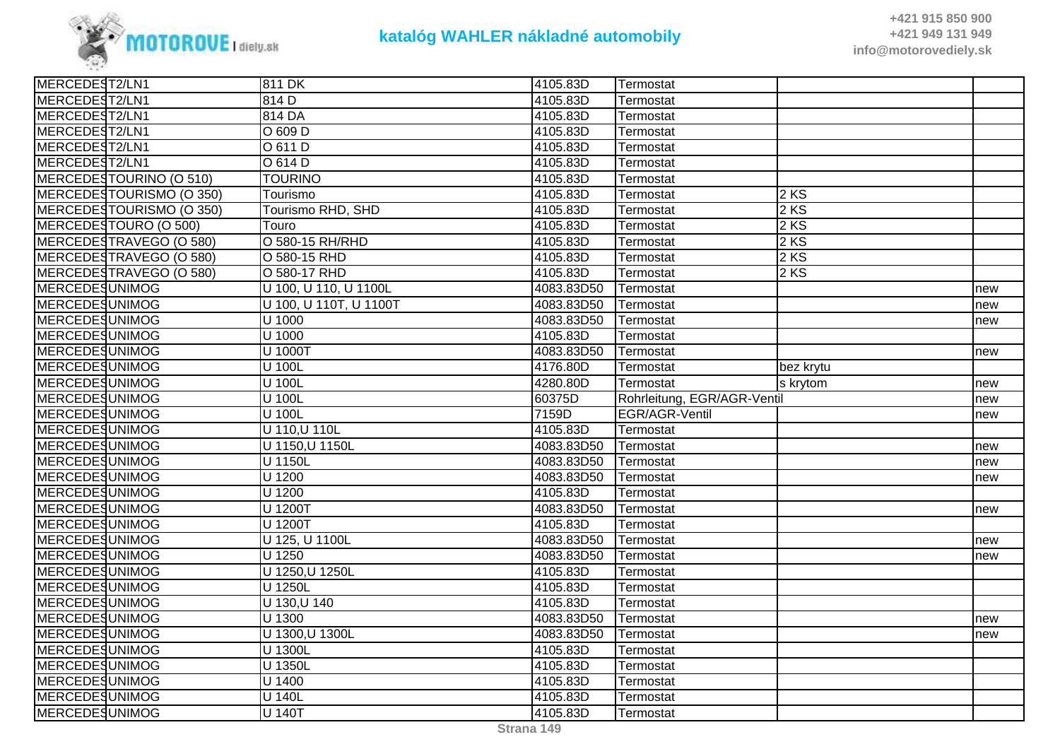

| MERCEDEST2/LN1        |                          | 811 DK                 | 4105.83D   | Termostat                   |           |     |
|-----------------------|--------------------------|------------------------|------------|-----------------------------|-----------|-----|
| MERCEDEST2/LN1        |                          | 814 D                  | 4105.83D   | Termostat                   |           |     |
| MERCEDEST2/LN1        |                          | 814 DA                 | 4105.83D   | Termostat                   |           |     |
| MERCEDEST2/LN1        |                          | $O$ 609 D              | 4105.83D   | Termostat                   |           |     |
| MERCEDEST2/LN1        |                          | O 611 D                | 4105.83D   | Termostat                   |           |     |
| MERCEDEST2/LN1        |                          | O 614 D                | 4105.83D   | Termostat                   |           |     |
|                       | MERCEDESTOURINO (O 510)  | <b>TOURINO</b>         | 4105.83D   | Termostat                   |           |     |
|                       | MERCEDESTOURISMO (O 350) | Tourismo               | 4105.83D   | Termostat                   | $2$ KS    |     |
|                       | MERCEDESTOURISMO (O 350) | Tourismo RHD, SHD      | 4105.83D   | Termostat                   | 2 KS      |     |
|                       | MERCEDESTOURO (O 500)    | Touro                  | 4105.83D   | Termostat                   | 2 KS      |     |
|                       | MERCEDESTRAVEGO (O 580)  | O 580-15 RH/RHD        | 4105.83D   | Termostat                   | $2$ KS    |     |
|                       | MERCEDESTRAVEGO (O 580)  | O 580-15 RHD           | 4105.83D   | Termostat                   | 2 KS      |     |
|                       | MERCEDESTRAVEGO (O 580)  | O 580-17 RHD           | 4105.83D   | Termostat                   | $2$ KS    |     |
| <b>MERCEDESUNIMOG</b> |                          | U 100, U 110, U 1100L  | 4083.83D50 | Termostat                   |           | new |
| MERCEDESUNIMOG        |                          | U 100, U 110T, U 1100T | 4083.83D50 | Termostat                   |           | new |
| <b>MERCEDESUNIMOG</b> |                          | $\overline{U}$ 1000    | 4083.83D50 | Termostat                   |           | new |
| MERCEDESUNIMOG        |                          | U 1000                 | 4105.83D   | Termostat                   |           |     |
| <b>MERCEDESUNIMOG</b> |                          | U 1000T                | 4083.83D50 | Termostat                   |           | new |
| <b>MERCEDESUNIMOG</b> |                          | U 100L                 | 4176.80D   | Termostat                   | bez krytu |     |
| <b>MERCEDESUNIMOG</b> |                          | U 100L                 | 4280.80D   | Termostat                   | s krytom  | new |
| MERCEDESUNIMOG        |                          | U 100L                 | 60375D     | Rohrleitung, EGR/AGR-Ventil |           | new |
| <b>MERCEDESUNIMOG</b> |                          | U 100L                 | 7159D      | EGR/AGR-Ventil              |           | new |
| <b>MERCEDESUNIMOG</b> |                          | U 110, U 110L          | 4105.83D   | Termostat                   |           |     |
| <b>MERCEDESUNIMOG</b> |                          | U 1150, U 1150L        | 4083.83D50 | Termostat                   |           | new |
| <b>MERCEDESUNIMOG</b> |                          | U 1150L                | 4083.83D50 | Termostat                   |           | new |
| <b>MERCEDESUNIMOG</b> |                          | U 1200                 | 4083.83D50 | Termostat                   |           | new |
| <b>MERCEDESUNIMOG</b> |                          | $\overline{U}$ 1200    | 4105.83D   | Termostat                   |           |     |
| <b>MERCEDESUNIMOG</b> |                          | U 1200T                | 4083.83D50 | Termostat                   |           | new |
| <b>MERCEDESUNIMOG</b> |                          | U 1200T                | 4105.83D   | Termostat                   |           |     |
| <b>MERCEDESUNIMOG</b> |                          | U 125, U 1100L         | 4083.83D50 | Termostat                   |           | new |
| MERCEDESUNIMOG        |                          | U 1250                 | 4083.83D50 | Termostat                   |           | new |
| MERCEDESUNIMOG        |                          | U 1250, U 1250L        | 4105.83D   | Termostat                   |           |     |
| MERCEDESUNIMOG        |                          | U 1250L                | 4105.83D   | Termostat                   |           |     |
| <b>MERCEDESUNIMOG</b> |                          | U 130, U 140           | 4105.83D   | Termostat                   |           |     |
| <b>MERCEDESUNIMOG</b> |                          | U 1300                 | 4083.83D50 | Termostat                   |           | new |
| <b>MERCEDESUNIMOG</b> |                          | U 1300, U 1300L        | 4083.83D50 | Termostat                   |           | new |
| <b>MERCEDESUNIMOG</b> |                          | U 1300L                | 4105.83D   | Termostat                   |           |     |
| MERCEDESUNIMOG        |                          | U 1350L                | 4105.83D   | Termostat                   |           |     |
| <b>MERCEDESUNIMOG</b> |                          | U 1400                 | 4105.83D   | Termostat                   |           |     |
| MERCEDESUNIMOG        |                          | U 140L                 | 4105.83D   | Termostat                   |           |     |
| MERCEDESUNIMOG        |                          | U 140T                 | 4105.83D   | Termostat                   |           |     |
|                       |                          |                        |            |                             |           |     |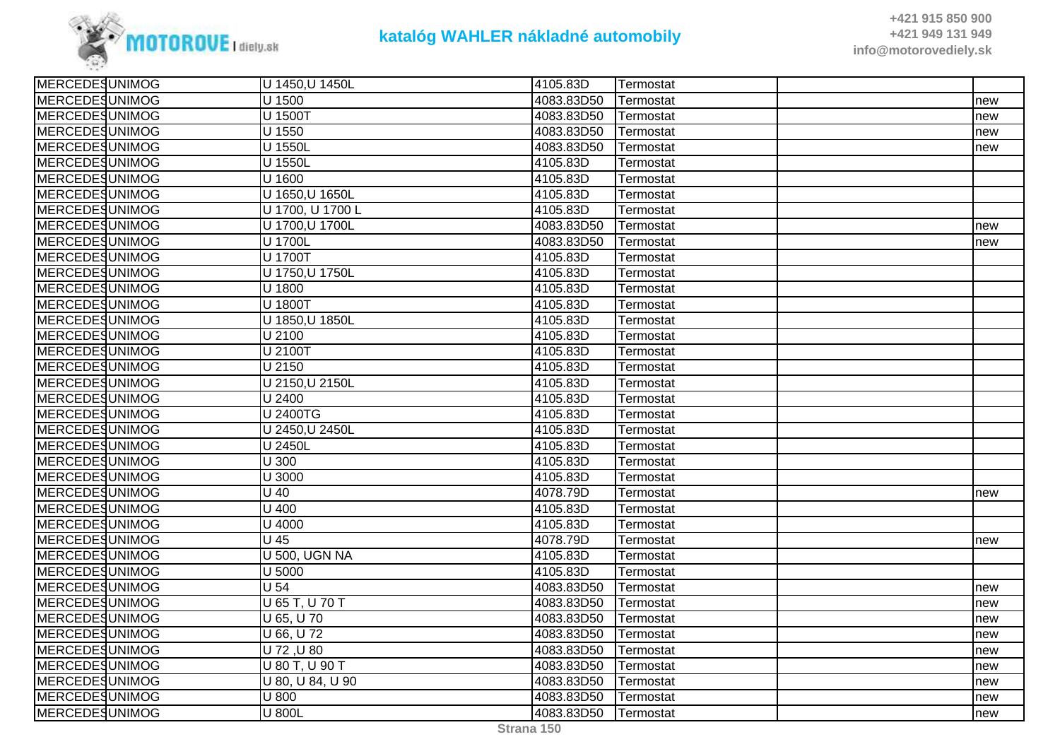

| <b>MERCEDESUNIMOG</b> | U 1450, U 1450L      | 4105.83D   | Termostat |     |
|-----------------------|----------------------|------------|-----------|-----|
| <b>MERCEDESUNIMOG</b> | U 1500               | 4083.83D50 | Termostat | new |
| MERCEDESUNIMOG        | U 1500T              | 4083.83D50 | Termostat | new |
| MERCEDESUNIMOG        | U 1550               | 4083.83D50 | Termostat | new |
| MERCEDESUNIMOG        | U 1550L              | 4083.83D50 | Termostat | new |
| <b>MERCEDESUNIMOG</b> | U 1550L              | 4105.83D   | Termostat |     |
| <b>MERCEDESUNIMOG</b> | U 1600               | 4105.83D   | Termostat |     |
| <b>MERCEDESUNIMOG</b> | U 1650, U 1650L      | 4105.83D   | Termostat |     |
| <b>MERCEDESUNIMOG</b> | U 1700, U 1700 L     | 4105.83D   | Termostat |     |
| MERCEDESUNIMOG        | U 1700, U 1700L      | 4083.83D50 | Termostat | new |
| <b>MERCEDESUNIMOG</b> | U 1700L              | 4083.83D50 | Termostat | new |
| <b>MERCEDESUNIMOG</b> | U 1700T              | 4105.83D   | Termostat |     |
| <b>MERCEDESUNIMOG</b> | U 1750, U 1750L      | 4105.83D   | Termostat |     |
| <b>MERCEDESUNIMOG</b> | U 1800               | 4105.83D   | Termostat |     |
| <b>MERCEDESUNIMOG</b> | U 1800T              | 4105.83D   | Termostat |     |
| <b>MERCEDESUNIMOG</b> | U 1850, U 1850L      | 4105.83D   | Termostat |     |
| <b>MERCEDESUNIMOG</b> | U 2100               | 4105.83D   | Termostat |     |
| <b>MERCEDESUNIMOG</b> | U 2100T              | 4105.83D   | Termostat |     |
| <b>MERCEDESUNIMOG</b> | U 2150               | 4105.83D   | Termostat |     |
| <b>MERCEDESUNIMOG</b> | U 2150, U 2150L      | 4105.83D   | Termostat |     |
| MERCEDESUNIMOG        | U 2400               | 4105.83D   | Termostat |     |
| <b>MERCEDESUNIMOG</b> | <b>U 2400TG</b>      | 4105.83D   | Termostat |     |
| <b>MERCEDESUNIMOG</b> | U 2450, U 2450L      | 4105.83D   | Termostat |     |
| <b>MERCEDESUNIMOG</b> | U 2450L              | 4105.83D   | Termostat |     |
| <b>MERCEDESUNIMOG</b> | U 300                | 4105.83D   | Termostat |     |
| <b>MERCEDESUNIMOG</b> | U 3000               | 4105.83D   | Termostat |     |
| MERCEDESUNIMOG        | $\overline{U}$ 40    | 4078.79D   | Termostat | new |
| <b>MERCEDESUNIMOG</b> | $U$ 400              | 4105.83D   | Termostat |     |
| <b>MERCEDESUNIMOG</b> | U 4000               | 4105.83D   | Termostat |     |
| <b>MERCEDESUNIMOG</b> | $\overline{U}$ 45    | 4078.79D   | Termostat | new |
| MERCEDESUNIMOG        | <b>U 500, UGN NA</b> | 4105.83D   | Termostat |     |
| MERCEDESUNIMOG        | U 5000               | 4105.83D   | Termostat |     |
| MERCEDESUNIMOG        | U <sub>54</sub>      | 4083.83D50 | Termostat | new |
| <b>MERCEDESUNIMOG</b> | U 65 T, U 70 T       | 4083.83D50 | Termostat | new |
| <b>MERCEDESUNIMOG</b> | U 65, U 70           | 4083.83D50 | Termostat | new |
| <b>MERCEDESUNIMOG</b> | U 66, U 72           | 4083.83D50 | Termostat | new |
| <b>MERCEDESUNIMOG</b> | U 72, U 80           | 4083.83D50 | Termostat | new |
| <b>MERCEDESUNIMOG</b> | U 80 T, U 90 T       | 4083.83D50 | Termostat | new |
| MERCEDESUNIMOG        | U 80, U 84, U 90     | 4083.83D50 | Termostat | new |
| MERCEDESUNIMOG        | U 800                | 4083.83D50 | Termostat | new |
| MERCEDESUNIMOG        | U 800L               | 4083.83D50 | Termostat | new |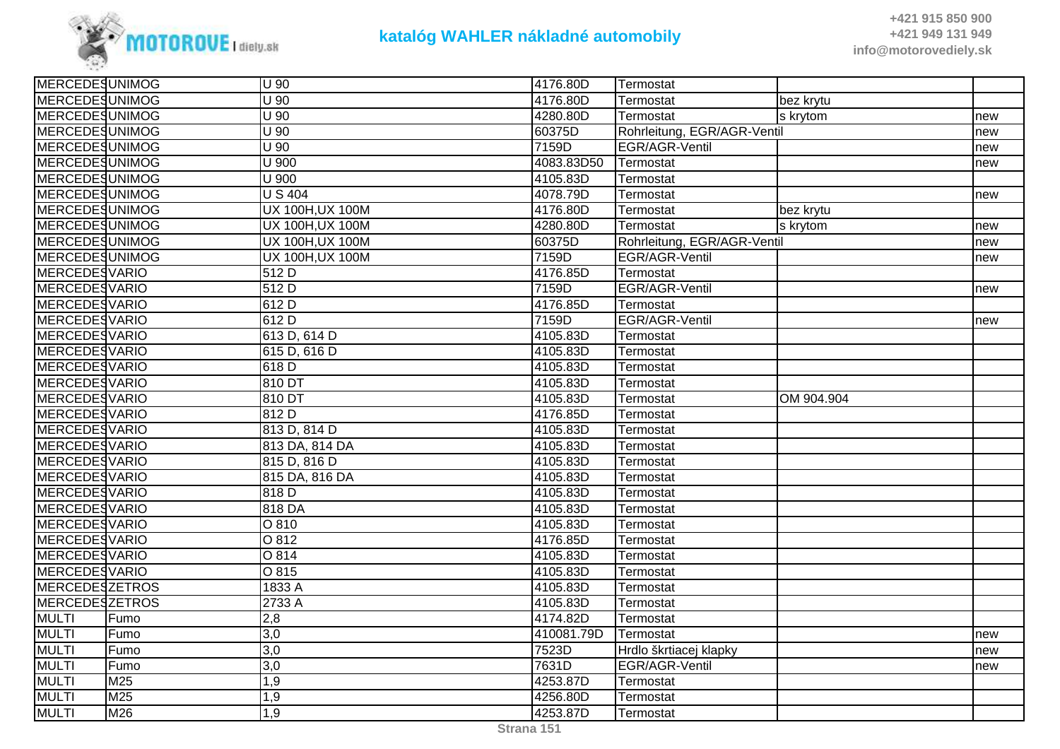

| <b>MERCEDESUNIMOG</b> |      | U 90                    | 4176.80D   | Termostat                   |            |     |
|-----------------------|------|-------------------------|------------|-----------------------------|------------|-----|
| <b>MERCEDESUNIMOG</b> |      | U 90                    | 4176.80D   | Termostat                   | bez krytu  |     |
| <b>MERCEDESUNIMOG</b> |      | U 90                    | 4280.80D   | Termostat                   | s krytom   | new |
| MERCEDESUNIMOG        |      | $U$ 90                  | 60375D     | Rohrleitung, EGR/AGR-Ventil |            | new |
| <b>MERCEDESUNIMOG</b> |      | U 90                    | 7159D      | EGR/AGR-Ventil              |            | new |
| <b>MERCEDESUNIMOG</b> |      | U 900                   | 4083.83D50 | Termostat                   |            | new |
| <b>MERCEDESUNIMOG</b> |      | U 900                   | 4105.83D   | Termostat                   |            |     |
| <b>MERCEDESUNIMOG</b> |      | <b>US404</b>            | 4078.79D   | Termostat                   |            | new |
| <b>MERCEDESUNIMOG</b> |      | <b>UX 100H, UX 100M</b> | 4176.80D   | Termostat                   | bez krytu  |     |
| <b>MERCEDESUNIMOG</b> |      | UX 100H, UX 100M        | 4280.80D   | Termostat                   | s krytom   | new |
| <b>MERCEDESUNIMOG</b> |      | <b>UX 100H, UX 100M</b> | 60375D     | Rohrleitung, EGR/AGR-Ventil |            | new |
| <b>MERCEDESUNIMOG</b> |      | <b>UX 100H, UX 100M</b> | 7159D      | EGR/AGR-Ventil              |            | new |
| <b>MERCEDESVARIO</b>  |      | 512 D                   | 4176.85D   | Termostat                   |            |     |
| <b>MERCEDESVARIO</b>  |      | 512D                    | 7159D      | EGR/AGR-Ventil              |            | new |
| <b>MERCEDESVARIO</b>  |      | 612 D                   | 4176.85D   | Termostat                   |            |     |
| <b>MERCEDESVARIO</b>  |      | 612 D                   | 7159D      | EGR/AGR-Ventil              |            | new |
| <b>MERCEDESVARIO</b>  |      | 613 D, 614 D            | 4105.83D   | Termostat                   |            |     |
| <b>MERCEDESVARIO</b>  |      | 615 D, 616 D            | 4105.83D   | Termostat                   |            |     |
| <b>MERCEDESVARIO</b>  |      | 618 D                   | 4105.83D   | Termostat                   |            |     |
| <b>MERCEDESVARIO</b>  |      | 810 DT                  | 4105.83D   | Termostat                   |            |     |
| <b>MERCEDESVARIO</b>  |      | 810 DT                  | 4105.83D   | Termostat                   | OM 904.904 |     |
| <b>MERCEDESVARIO</b>  |      | 812 D                   | 4176.85D   | Termostat                   |            |     |
| <b>MERCEDESVARIO</b>  |      | 813 D, 814 D            | 4105.83D   | Termostat                   |            |     |
| <b>MERCEDESVARIO</b>  |      | 813 DA, 814 DA          | 4105.83D   | Termostat                   |            |     |
| <b>MERCEDESVARIO</b>  |      | 815 D, 816 D            | 4105.83D   | Termostat                   |            |     |
| <b>MERCEDESVARIO</b>  |      | 815 DA, 816 DA          | 4105.83D   | Termostat                   |            |     |
| <b>MERCEDESVARIO</b>  |      | 818 D                   | 4105.83D   | Termostat                   |            |     |
| <b>MERCEDESVARIO</b>  |      | 818 DA                  | 4105.83D   | Termostat                   |            |     |
| MERCEDESVARIO         |      | O 810                   | 4105.83D   | Termostat                   |            |     |
| <b>MERCEDESVARIO</b>  |      | $\overline{O812}$       | 4176.85D   | Termostat                   |            |     |
| <b>MERCEDESVARIO</b>  |      | O 814                   | 4105.83D   | Termostat                   |            |     |
| <b>MERCEDESVARIO</b>  |      | O 815                   | 4105.83D   | Termostat                   |            |     |
| <b>MERCEDESZETROS</b> |      | 1833 A                  | 4105.83D   | Termostat                   |            |     |
| <b>MERCEDESZETROS</b> |      | 2733 A                  | 4105.83D   | Termostat                   |            |     |
| <b>MULTI</b>          | Fumo | 2,8                     | 4174.82D   | Termostat                   |            |     |
| <b>MULTI</b>          | Fumo | $\overline{3,0}$        | 410081.79D | Termostat                   |            | new |
| <b>MULTI</b>          | Fumo | 3,0                     | 7523D      | Hrdlo škrtiacej klapky      |            | new |
| <b>MULTI</b>          | Fumo | 3,0                     | 7631D      | EGR/AGR-Ventil              |            | new |
| <b>MULTI</b>          | M25  | 1,9                     | 4253.87D   | Termostat                   |            |     |
| <b>MULTI</b>          | M25  | 1,9                     | 4256.80D   | Termostat                   |            |     |
| <b>MULTI</b>          | M26  | 1,9                     | 4253.87D   | Termostat                   |            |     |
|                       |      |                         |            |                             |            |     |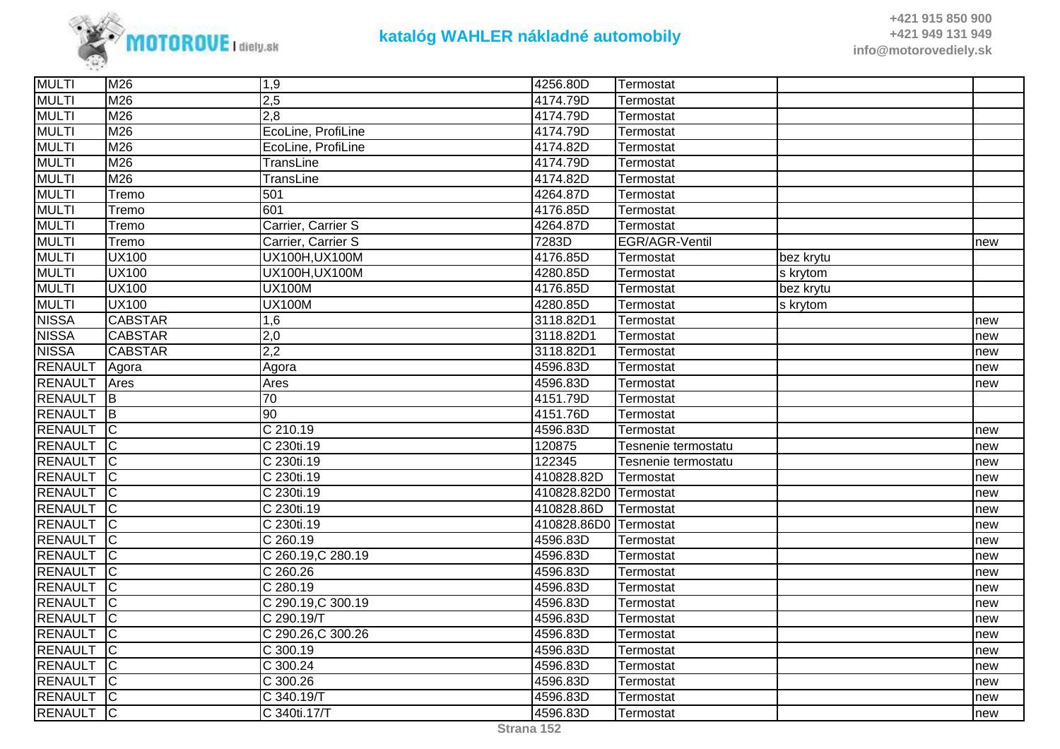

| <b>MULTI</b>   | M26                     | 1,9                     | 4256.80D              | Termostat           |           |     |
|----------------|-------------------------|-------------------------|-----------------------|---------------------|-----------|-----|
| <b>MULTI</b>   | M26                     | 2,5                     | 4174.79D              | Termostat           |           |     |
| <b>MULTI</b>   | M26                     | 2,8                     | 4174.79D              | Termostat           |           |     |
| <b>MULTI</b>   | M26                     | EcoLine, ProfiLine      | 4174.79D              | Termostat           |           |     |
| <b>MULTI</b>   | M26                     | EcoLine, ProfiLine      | 4174.82D              | Termostat           |           |     |
| <b>MULTI</b>   | M26                     | TransLine               | 4174.79D              | Termostat           |           |     |
| <b>MULTI</b>   | M26                     | TransLine               | 4174.82D              | Termostat           |           |     |
| <b>MULTI</b>   | Tremo                   | 501                     | 4264.87D              | Termostat           |           |     |
| <b>MULTI</b>   | Tremo                   | 601                     | 4176.85D              | Termostat           |           |     |
| <b>MULTI</b>   | Tremo                   | Carrier, Carrier S      | 4264.87D              | Termostat           |           |     |
| <b>MULTI</b>   | Tremo                   | Carrier, Carrier S      | 7283D                 | EGR/AGR-Ventil      |           | new |
| <b>MULTI</b>   | <b>UX100</b>            | UX100H, UX100M          | 4176.85D              | Termostat           | bez krytu |     |
| <b>MULTI</b>   | <b>UX100</b>            | UX100H, UX100M          | 4280.85D              | Termostat           | s krytom  |     |
| <b>MULTI</b>   | <b>UX100</b>            | <b>UX100M</b>           | 4176.85D              | Termostat           | bez krytu |     |
| <b>MULTI</b>   | <b>UX100</b>            | <b>UX100M</b>           | 4280.85D              | Termostat           | s krytom  |     |
| <b>NISSA</b>   | <b>CABSTAR</b>          | 1,6                     | 3118.82D1             | Termostat           |           | new |
| <b>NISSA</b>   | <b>CABSTAR</b>          | 2,0                     | 3118.82D1             | Termostat           |           | new |
| <b>NISSA</b>   | <b>CABSTAR</b>          | 2,2                     | 3118.82D1             | Termostat           |           | new |
| <b>RENAULT</b> | Agora                   | Agora                   | 4596.83D              | Termostat           |           | new |
| <b>RENAULT</b> | Ares                    | Ares                    | 4596.83D              | Termostat           |           | new |
| <b>RENAULT</b> | <b>IB</b>               | $\overline{70}$         | 4151.79D              | Termostat           |           |     |
| <b>RENAULT</b> | $\overline{\mathsf{B}}$ | 90                      | 4151.76D              | Termostat           |           |     |
| <b>RENAULT</b> | $\overline{\mathsf{C}}$ | C 210.19                | 4596.83D              | Termostat           |           | new |
| <b>RENAULT</b> | $\overline{C}$          | C 230ti.19              | 120875                | Tesnenie termostatu |           | new |
| <b>RENAULT</b> | $\overline{C}$          | C 230ti.19              | 122345                | Tesnenie termostatu |           | new |
| <b>RENAULT</b> | IС                      | C 230ti.19              | 410828.82D            | Termostat           |           | new |
| <b>RENAULT</b> | $\overline{C}$          | C 230ti.19              | 410828.82D0 Termostat |                     |           | new |
| <b>RENAULT</b> | $\overline{C}$          | $\overline{C}$ 230ti.19 | 410828.86D            | Termostat           |           | new |
| <b>RENAULT</b> | $\overline{\mathsf{C}}$ | C 230ti.19              | 410828.86D0 Termostat |                     |           | new |
| <b>RENAULT</b> | Iс                      | C 260.19                | 4596.83D              | Termostat           |           | new |
| <b>RENAULT</b> | IС                      | C 260.19, C 280.19      | 4596.83D              | Termostat           |           | new |
| <b>RENAULT</b> | $\overline{C}$          | C 260.26                | 4596.83D              | Termostat           |           | new |
| <b>RENAULT</b> | $\overline{C}$          | C 280.19                | 4596.83D              | Termostat           |           | new |
| <b>RENAULT</b> | ТC                      | C 290.19, C 300.19      | 4596.83D              | Termostat           |           | new |
| <b>RENAULT</b> | $\overline{C}$          | C 290.19/T              | 4596.83D              | Termostat           |           | new |
| <b>RENAULT</b> | IС                      | C 290.26, C 300.26      | 4596.83D              | Termostat           |           | new |
| <b>RENAULT</b> | IС                      | C 300.19                | 4596.83D              | Termostat           |           | new |
| <b>RENAULT</b> | lC.                     | $\overline{C}$ 300.24   | 4596.83D              | Termostat           |           | new |
| RENAULT        | $\overline{\mathsf{C}}$ | $\overline{C}$ 300.26   | 4596.83D              | Termostat           |           | new |
| RENAULT        | $\overline{C}$          | C 340.19/T              | 4596.83D              | Termostat           |           | new |
| <b>RENAULT</b> | $\overline{C}$          | C 340ti.17/T            | 4596.83D              | Termostat           |           | new |
|                |                         |                         |                       |                     |           |     |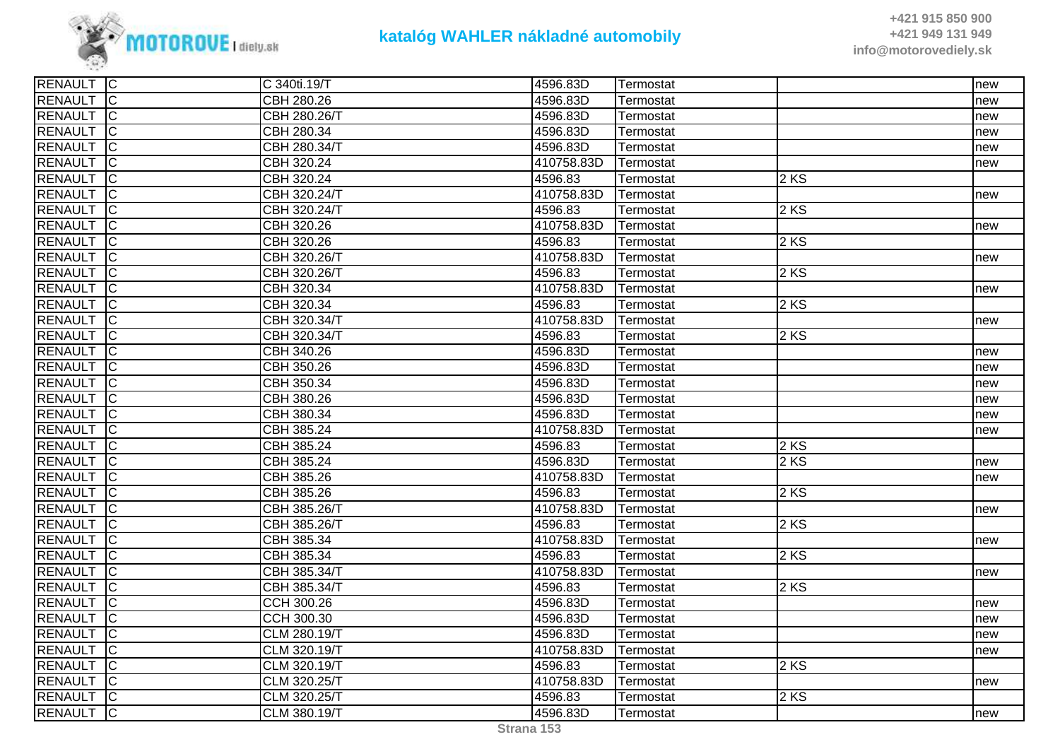

| RENAULT C        |                            | C 340ti.19/T | 4596.83D   | Termostat |      | new |
|------------------|----------------------------|--------------|------------|-----------|------|-----|
| RENAULT C        |                            | CBH 280.26   | 4596.83D   | Termostat |      | new |
| RENAULT C        |                            | CBH 280.26/T | 4596.83D   | Termostat |      | new |
| RENAULT C        |                            | CBH 280.34   | 4596.83D   | Termostat |      | new |
| RENAULT C        |                            | CBH 280.34/T | 4596.83D   | Termostat |      | new |
| <b>RENAULT</b>   | $\overline{C}$             | CBH 320.24   | 410758.83D | Termostat |      | new |
| RENAULT C        |                            | CBH 320.24   | 4596.83    | Termostat | 2 KS |     |
| RENAULT C        |                            | CBH 320.24/T | 410758.83D | Termostat |      | new |
| <b>RENAULT</b> C |                            | CBH 320.24/T | 4596.83    | Termostat | 2 KS |     |
| RENAULT C        |                            | CBH 320.26   | 410758.83D | Termostat |      | new |
| <b>RENAULT</b>   | $\overline{C}$             | CBH 320.26   | 4596.83    | Termostat | 2KS  |     |
| RENAULT C        |                            | CBH 320.26/T | 410758.83D | Termostat |      | new |
| RENAULT C        |                            | CBH 320.26/T | 4596.83    | Termostat | 2 KS |     |
| RENAULT          | $\overline{C}$             | CBH 320.34   | 410758.83D | Termostat |      | new |
| <b>RENAULT</b> C |                            | CBH 320.34   | 4596.83    | Termostat | 2KS  |     |
| RENAULT C        |                            | CBH 320.34/T | 410758.83D | Termostat |      | new |
| RENAULT C        |                            | CBH 320.34/T | 4596.83    | Termostat | 2KS  |     |
| RENAULT C        |                            | CBH 340.26   | 4596.83D   | Termostat |      | new |
| RENAULT C        |                            | CBH 350.26   | 4596.83D   | Termostat |      | new |
| RENAULT C        |                            | CBH 350.34   | 4596.83D   | Termostat |      | new |
| RENAULT C        |                            | CBH 380.26   | 4596.83D   | Termostat |      | new |
| <b>RENAULT</b>   | $\overline{C}$             | CBH 380.34   | 4596.83D   | Termostat |      | new |
| <b>RENAULT</b>   | $\overline{\phantom{a}}$ C | CBH 385.24   | 410758.83D | Termostat |      | new |
| RENAULT C        |                            | CBH 385.24   | 4596.83    | Termostat | 2 KS |     |
| RENAULT C        |                            | CBH 385.24   | 4596.83D   | Termostat | 2 KS | new |
| <b>RENAULT</b>   | IC                         | CBH 385.26   | 410758.83D | Termostat |      | new |
| RENAULT C        |                            | CBH 385.26   | 4596.83    | Termostat | 2KS  |     |
| RENAULT C        |                            | CBH 385.26/T | 410758.83D | Termostat |      | new |
| <b>RENAULT</b>   | TC                         | CBH 385.26/T | 4596.83    | Termostat | 2 KS |     |
| RENAULT C        |                            | CBH 385.34   | 410758.83D | Termostat |      | new |
| <b>RENAULT</b>   | $\overline{C}$             | CBH 385.34   | 4596.83    | Termostat | 2KS  |     |
| <b>RENAULT</b>   | $\overline{C}$             | CBH 385.34/T | 410758.83D | Termostat |      | new |
| RENAULT C        |                            | CBH 385.34/T | 4596.83    | Termostat | 2KS  |     |
| <b>RENAULT</b>   | $\overline{C}$             | CCH 300.26   | 4596.83D   | Termostat |      | new |
| <b>RENAULT</b>   | $\overline{C}$             | CCH 300.30   | 4596.83D   | Termostat |      | new |
| <b>RENAULT</b>   | $\overline{C}$             | CLM 280.19/T | 4596.83D   | Termostat |      | new |
| <b>RENAULT</b>   | $\overline{\mathsf{C}}$    | CLM 320.19/T | 410758.83D | Termostat |      | new |
| RENAULT C        |                            | CLM 320.19/T | 4596.83    | Termostat | 2 KS |     |
| RENAULT C        |                            | CLM 320.25/T | 410758.83D | Termostat |      | new |
| RENAULT C        |                            | CLM 320.25/T | 4596.83    | Termostat | 2KS  |     |
| <b>RENAULT</b> C |                            | CLM 380.19/T | 4596.83D   | Termostat |      | new |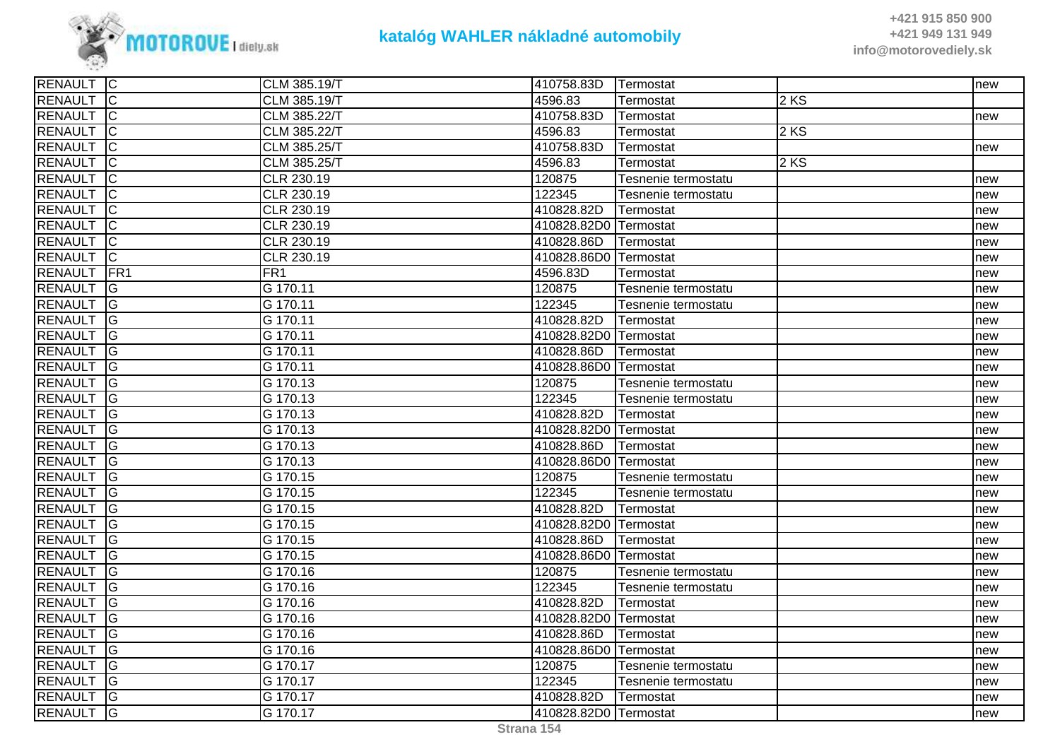

| RENAULT C        |                         | CLM 385.19/T | 410758.83D            | <b>Termostat</b>    |        | new |
|------------------|-------------------------|--------------|-----------------------|---------------------|--------|-----|
| RENAULT C        |                         | CLM 385.19/T | 4596.83               | Termostat           | 2 KS   |     |
| <b>RENAULT</b>   | $\overline{C}$          | CLM 385.22/T | 410758.83D            | Termostat           |        | new |
| <b>RENAULT</b>   | IС                      | CLM 385.22/T | 4596.83               | Termostat           | $2$ KS |     |
| RENAULT C        |                         | CLM 385.25/T | 410758.83D            | Termostat           |        | new |
| <b>RENAULT</b>   | $\overline{\mathsf{C}}$ | CLM 385.25/T | 4596.83               | Termostat           | $2$ KS |     |
| <b>RENAULT</b>   | $\overline{\mathsf{C}}$ | CLR 230.19   | 120875                | Tesnenie termostatu |        | new |
| <b>RENAULT</b>   | $\overline{C}$          | CLR 230.19   | 122345                | Tesnenie termostatu |        | new |
| <b>RENAULT</b>   | IС                      | CLR 230.19   | 410828.82D            | Termostat           |        | new |
| <b>RENAULT</b>   | C                       | CLR 230.19   | 410828.82D0 Termostat |                     |        | new |
| <b>RENAULT</b>   | $\overline{C}$          | CLR 230.19   | 410828.86D            | Termostat           |        | new |
| RENAULT C        |                         | CLR 230.19   | 410828.86D0 Termostat |                     |        | new |
| <b>RENAULT</b>   | <b>FR1</b>              | FR1          | 4596.83D              | Termostat           |        | new |
| <b>RENAULT</b>   | lG                      | G 170.11     | 120875                | Tesnenie termostatu |        | new |
| <b>RENAULT</b>   | lG.                     | G 170.11     | 122345                | Tesnenie termostatu |        | new |
| <b>RENAULT</b>   | <b>IG</b>               | G 170.11     | 410828.82D            | Termostat           |        | new |
| <b>RENAULT</b>   | $\overline{G}$          | G 170.11     | 410828.82D0 Termostat |                     |        | new |
| <b>RENAULT</b> G |                         | G 170.11     | 410828.86D            | Termostat           |        | new |
| <b>RENAULT</b>   | <b>G</b>                | G 170.11     | 410828.86D0 Termostat |                     |        | new |
| <b>RENAULT</b>   | lG.                     | G 170.13     | 120875                | Tesnenie termostatu |        | new |
| <b>RENAULT</b>   | <b>IG</b>               | G 170.13     | 122345                | Tesnenie termostatu |        | new |
| RENAULT G        |                         | G 170.13     | 410828.82D            | Termostat           |        | new |
| RENAULT          | $\overline{G}$          | G 170.13     | 410828.82D0 Termostat |                     |        | new |
| RENAULT G        |                         | G 170.13     | 410828.86D            | Termostat           |        | new |
| <b>RENAULT</b>   | lG.                     | G 170.13     | 410828.86D0 Termostat |                     |        | new |
| <b>RENAULT</b>   | <b>G</b>                | G 170.15     | 120875                | Tesnenie termostatu |        | new |
| <b>RENAULT</b>   | <b>G</b>                | G 170.15     | 122345                | Tesnenie termostatu |        | new |
| <b>RENAULT</b>   | G                       | G 170.15     | 410828.82D            | Termostat           |        | new |
| RENAULT G        |                         | G 170.15     | 410828.82D0 Termostat |                     |        | new |
| <b>RENAULT</b>   | <b>G</b>                | G 170.15     | 410828.86D            | Termostat           |        | new |
| <b>RENAULT</b>   | lG.                     | G 170.15     | 410828.86D0 Termostat |                     |        | new |
| <b>RENAULT</b>   | <b>G</b>                | G 170.16     | 120875                | Tesnenie termostatu |        | new |
| <b>RENAULT</b>   | <b>G</b>                | G 170.16     | 122345                | Tesnenie termostatu |        | new |
| <b>RENAULT</b> G |                         | G 170.16     | 410828.82D            | <b>ITermostat</b>   |        | new |
| RENAULT G        |                         | G 170.16     | 410828.82D0 Termostat |                     |        | new |
| <b>RENAULT</b>   | lG                      | G 170.16     | 410828.86D            | Termostat           |        | new |
| <b>RENAULT</b>   | lG.                     | G 170.16     | 410828.86D0 Termostat |                     |        | new |
| RENAULT G        |                         | G 170.17     | 120875                | Tesnenie termostatu |        | new |
| <b>RENAULT</b>   | $\overline{G}$          | G 170.17     | 122345                | Tesnenie termostatu |        | new |
| RENAULT G        |                         | G 170.17     | 410828.82D            | Termostat           |        | new |
| RENAULT G        |                         | G 170.17     | 410828.82D0 Termostat |                     |        | new |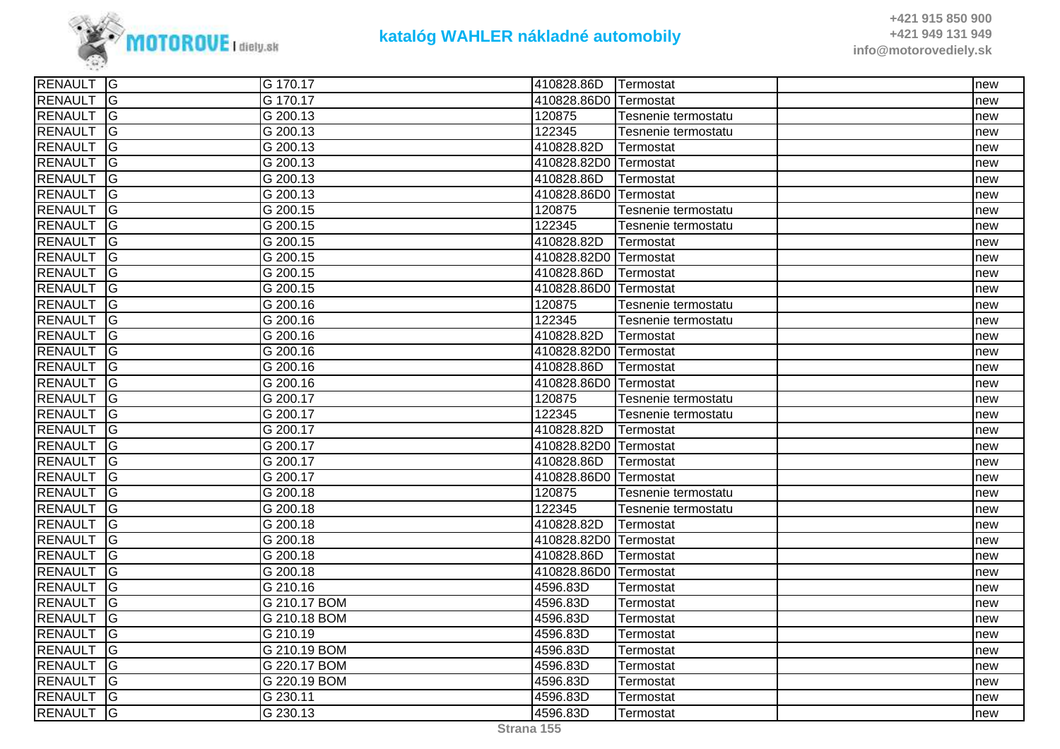

| <b>RENAULT G</b> |                | G 170.17              | 410828.86D   Termostat |                     | Inew |
|------------------|----------------|-----------------------|------------------------|---------------------|------|
| <b>RENAULT</b>   | <b>G</b>       | G 170.17              | 410828.86D0            | Termostat           | new  |
| <b>RENAULT</b>   | <b>G</b>       | G 200.13              | 120875                 | Tesnenie termostatu | new  |
| RENAULT G        |                | G 200.13              | 122345                 | Tesnenie termostatu | new  |
| <b>RENAULT</b>   | $\overline{G}$ | G 200.13              | 410828.82D             | Termostat           | new  |
| RENAULT G        |                | G 200.13              | 410828.82D0 Termostat  |                     | new  |
| <b>RENAULT</b>   | $\overline{G}$ | G 200.13              | 410828.86D             | Termostat           | new  |
| <b>RENAULT</b>   | G              | G 200.13              | 410828.86D0            | Termostat           | new  |
| <b>RENAULT</b>   | $\overline{G}$ | G 200.15              | 120875                 | Tesnenie termostatu | new  |
| <b>RENAULT</b>   | <b>G</b>       | $\overline{G}$ 200.15 | 122345                 | Tesnenie termostatu | new  |
| RENAULT G        |                | G 200.15              | 410828.82D             | Termostat           | new  |
| RENAULT          | $\overline{G}$ | G 200.15              | 410828.82D0 Termostat  |                     | new  |
| <b>RENAULT</b>   | lG.            | G 200.15              | 410828.86D             | Termostat           | new  |
| <b>RENAULT</b>   | <b>G</b>       | G 200.15              | 410828.86D0 Termostat  |                     | new  |
| <b>RENAULT</b>   | <b>G</b>       | G 200.16              | 120875                 | Tesnenie termostatu | new  |
| <b>RENAULT</b>   | <b>G</b>       | G 200.16              | 122345                 | Tesnenie termostatu | new  |
| <b>RENAULT</b>   | $\overline{G}$ | $\sqrt{G}$ 200.16     | 410828.82D             | Termostat           | new  |
| <b>RENAULT</b>   | $\overline{G}$ | G 200.16              | 410828.82D0 Termostat  |                     | new  |
| <b>RENAULT</b>   | lG.            | G 200.16              | 410828.86D             | Termostat           | new  |
| <b>RENAULT</b>   | lG.            | G 200.16              | 410828.86D0            | Termostat           | new  |
| <b>RENAULT</b>   | <b>G</b>       | G 200.17              | 120875                 | Tesnenie termostatu | new  |
| <b>RENAULT</b>   | $\overline{G}$ | G 200.17              | 122345                 | Tesnenie termostatu | new  |
| <b>RENAULT</b>   | $\overline{G}$ | G 200.17              | 410828.82D             | Termostat           | new  |
| <b>RENAULT</b>   | G              | G 200.17              | 410828.82D0 Termostat  |                     | new  |
| <b>RENAULT</b>   | $\overline{G}$ | G 200.17              | 410828.86D             | Termostat           | new  |
| <b>RENAULT</b>   | <b>G</b>       | G 200.17              | 410828.86D0            | lTermostat          | new  |
| <b>RENAULT</b>   | G              | G 200.18              | 120875                 | Tesnenie termostatu | new  |
| RENAULT G        |                | G 200.18              | 122345                 | Tesnenie termostatu | new  |
| <b>RENAULT</b>   | $\overline{G}$ | G 200.18              | 410828.82D             | Termostat           | new  |
| <b>RENAULT</b>   | <b>G</b>       | G 200.18              | 410828.82D0            | Termostat           | new  |
| <b>RENAULT</b>   | G              | G 200.18              | 410828.86D             | Termostat           | new  |
| <b>RENAULT</b>   | <b>G</b>       | G 200.18              | 410828.86D0            | Termostat           | new  |
| <b>RENAULT</b>   | <b>G</b>       | G 210.16              | 4596.83D               | Termostat           | new  |
| <b>RENAULT</b>   | $\overline{G}$ | G 210.17 BOM          | 4596.83D               | Termostat           | new  |
| <b>RENAULT</b>   | $\overline{G}$ | G 210.18 BOM          | 4596.83D               | Termostat           | new  |
| <b>RENAULT</b>   | lG             | G 210.19              | 4596.83D               | Termostat           | new  |
| <b>RENAULT</b>   | lG.            | G 210.19 BOM          | 4596.83D               | Termostat           | new  |
| <b>RENAULT</b>   | <b>G</b>       | G 220.17 BOM          | 4596.83D               | Termostat           | new  |
| <b>RENAULT</b>   | $\overline{G}$ | G 220.19 BOM          | 4596.83D               | Termostat           | new  |
| RENAULT G        |                | G 230.11              | 4596.83D               | Termostat           | new  |
| RENAULT G        |                | G 230.13              | 4596.83D               | Termostat           | new  |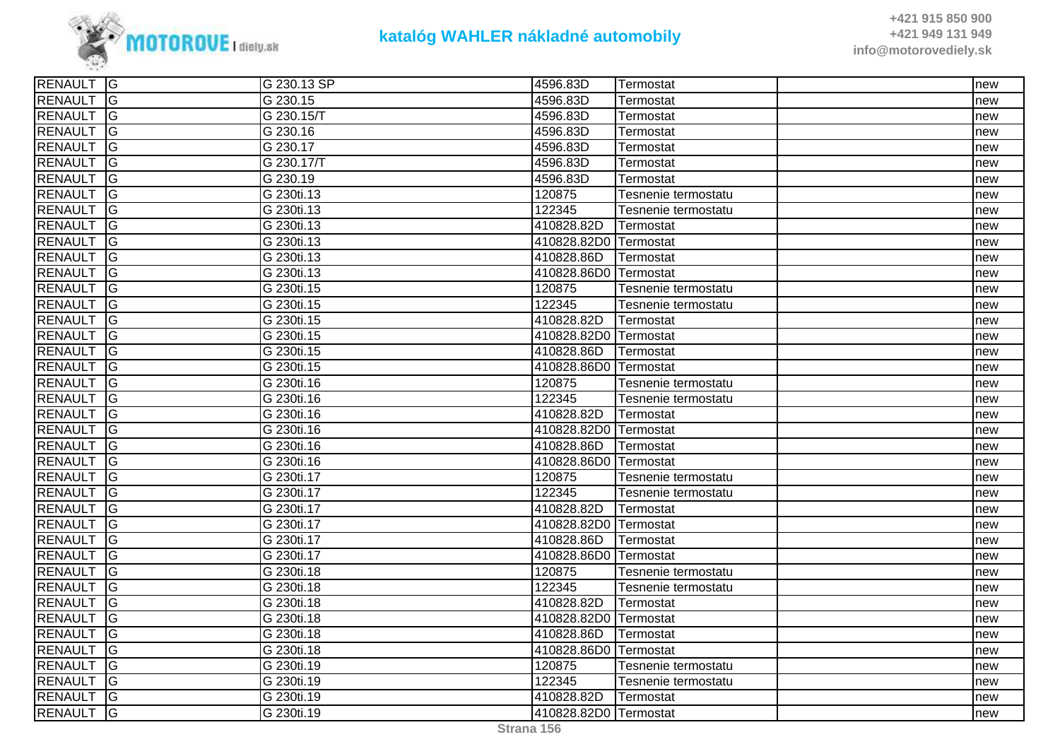

| RENAULT G      |                | G 230.13 SP | 4596.83D              | Termostat           | new |
|----------------|----------------|-------------|-----------------------|---------------------|-----|
| RENAULT G      |                | G 230.15    | 4596.83D              | Termostat           | new |
| <b>RENAULT</b> | $\overline{G}$ | G 230.15/T  | 4596.83D              | Termostat           | new |
| <b>RENAULT</b> | <b>G</b>       | G 230.16    | 4596.83D              | Termostat           | new |
| <b>RENAULT</b> | <b>IG</b>      | G 230.17    | 4596.83D              | Termostat           | new |
| <b>RENAULT</b> | $\overline{G}$ | G 230.17/T  | 4596.83D              | Termostat           | new |
| RENAULT G      |                | G 230.19    | 4596.83D              | Termostat           | new |
| <b>RENAULT</b> | $\overline{G}$ | G 230ti.13  | 120875                | Tesnenie termostatu | new |
| <b>RENAULT</b> | <b>G</b>       | G 230ti.13  | 122345                | Tesnenie termostatu | new |
| <b>RENAULT</b> | G              | G 230ti.13  | 410828.82D            | Termostat           | new |
| <b>RENAULT</b> | $\overline{G}$ | G 230ti.13  | 410828.82D0 Termostat |                     | new |
| RENAULT G      |                | G 230ti.13  | 410828.86D            | Termostat           | new |
| RENAULT G      |                | G 230ti.13  | 410828.86D0 Termostat |                     | new |
| <b>RENAULT</b> | <b>IG</b>      | G 230ti.15  | 120875                | Tesnenie termostatu | new |
| <b>RENAULT</b> | G              | G 230ti.15  | 122345                | Tesnenie termostatu | new |
| <b>RENAULT</b> | G              | G 230ti.15  | 410828.82D            | Termostat           | new |
| <b>RENAULT</b> | $\overline{G}$ | G 230ti.15  | 410828.82D0 Termostat |                     | new |
| RENAULT G      |                | G 230ti.15  | 410828.86D            | <b>Termostat</b>    | new |
| <b>RENAULT</b> | <b>G</b>       | G 230ti.15  | 410828.86D0 Termostat |                     | new |
| <b>RENAULT</b> | <b>IG</b>      | G 230ti.16  | 120875                | Tesnenie termostatu | new |
| <b>RENAULT</b> | <b>G</b>       | G 230ti.16  | 122345                | Tesnenie termostatu | new |
| <b>RENAULT</b> | $\overline{G}$ | G 230ti.16  | 410828.82D            | <b>ITermostat</b>   | new |
| RENAULT G      |                | G 230ti.16  | 410828.82D0 Termostat |                     | new |
| <b>RENAULT</b> | <b>IG</b>      | G 230ti.16  | 410828.86D            | Termostat           | new |
| <b>RENAULT</b> | <b>IG</b>      | G 230ti.16  | 410828.86D0 Termostat |                     | new |
| <b>RENAULT</b> | <b>G</b>       | G 230ti.17  | 120875                | Tesnenie termostatu | new |
| <b>RENAULT</b> | <b>G</b>       | G 230ti.17  | 122345                | Tesnenie termostatu | new |
| <b>RENAULT</b> | $\overline{G}$ | G 230ti.17  | 410828.82D            | Termostat           | new |
| RENAULT G      |                | G 230ti.17  | 410828.82D0 Termostat |                     | new |
| <b>RENAULT</b> | <b>G</b>       | G 230ti.17  | 410828.86D            | Termostat           | new |
| <b>RENAULT</b> | <b>IG</b>      | G 230ti.17  | 410828.86D0 Termostat |                     | new |
| <b>RENAULT</b> | <b>IG</b>      | G 230ti.18  | 120875                | Tesnenie termostatu | new |
| <b>RENAULT</b> | $\overline{G}$ | G 230ti.18  | 122345                | Tesnenie termostatu | new |
| RENAULT G      |                | G 230ti.18  | 410828.82D            | <b>Termostat</b>    | new |
| <b>RENAULT</b> | <b>G</b>       | G 230ti.18  | 410828.82D0 Termostat |                     | new |
| <b>RENAULT</b> | <b>IG</b>      | G 230ti.18  | 410828.86D            | Termostat           | new |
| <b>RENAULT</b> | <b>IG</b>      | G 230ti.18  | 410828.86D0 Termostat |                     | new |
| <b>RENAULT</b> | $\overline{G}$ | G 230ti.19  | 120875                | Tesnenie termostatu | new |
| <b>RENAULT</b> | $\overline{G}$ | G 230ti.19  | 122345                | Tesnenie termostatu | new |
| RENAULT G      |                | G 230ti.19  | 410828.82D            | Termostat           | new |
| RENAULT G      |                | G 230ti.19  | 410828.82D0 Termostat |                     | new |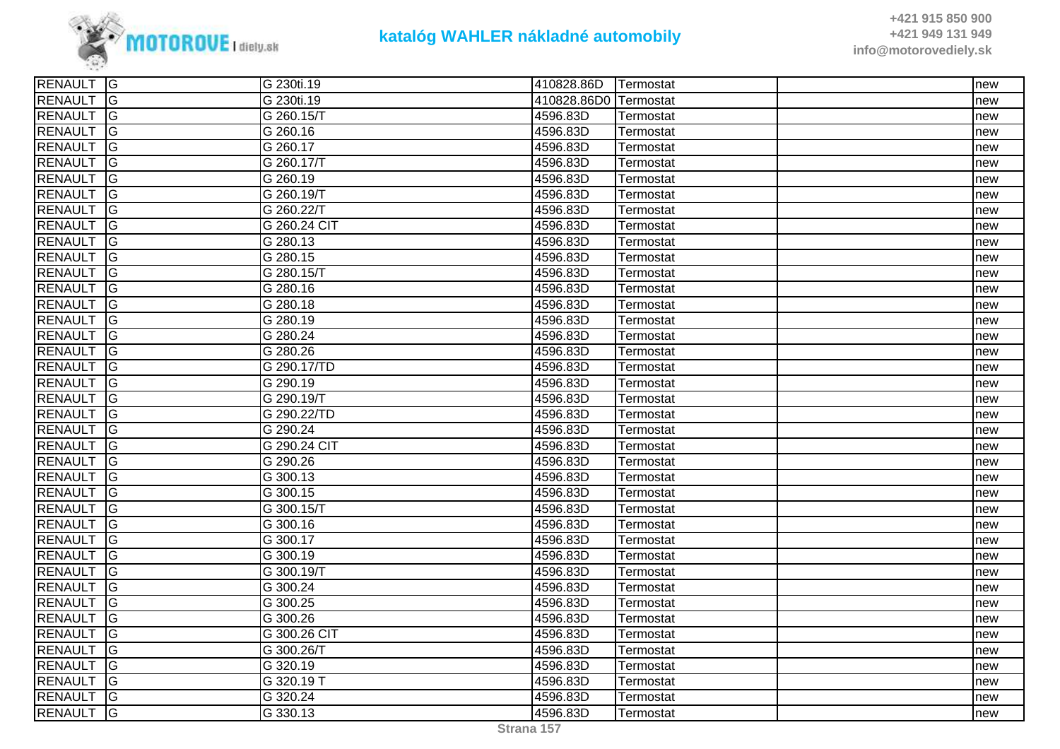

| <b>RENAULT</b><br><u>ଚ</u><br>G 230ti.19<br>410828.86D0 Termostat<br><u>ଚ</u><br><b>RENAULT</b><br>G 260.15/T<br>4596.83D<br>Termostat<br>RENAULT<br>lG.<br>G 260.16<br>4596.83D<br>Termostat<br><b>G</b><br><b>RENAULT</b><br>G 260.17<br>4596.83D<br>Termostat<br>$\overline{G}$<br><b>RENAULT</b><br>G 260.17/T<br>4596.83D<br>Termostat<br>$\overline{G}$<br><b>RENAULT</b><br>G 260.19<br>4596.83D<br>Termostat<br><b>RENAULT</b><br>lG<br>4596.83D<br>G 260.19/T<br>Termostat<br><b>RENAULT</b><br><b>G</b><br>G 260.22/T<br>4596.83D<br>Termostat<br>G<br><b>RENAULT</b><br>G 260.24 CIT<br>4596.83D<br><b>Termostat</b><br>G<br><b>RENAULT</b><br>G 280.13<br>4596.83D<br>Termostat<br>$\overline{G}$<br><b>RENAULT</b><br>4596.83D<br>G 280.15<br>Termostat<br><b>RENAULT</b><br>G<br>G 280.15/T<br>4596.83D<br>Termostat<br>G<br><b>RENAULT</b><br>4596.83D<br>G 280.16<br>Termostat<br>RENAULT<br>lG<br>4596.83D<br>G 280.18<br>Termostat<br>G<br><b>RENAULT</b><br>G 280.19<br>4596.83D<br>Termostat<br>$\overline{G}$<br><b>RENAULT</b><br>$\sqrt{G}$ 280.24<br>4596.83D<br>Termostat<br>$\overline{G}$<br><b>RENAULT</b><br>4596.83D<br>G 280.26<br>Termostat<br>$\overline{G}$<br><b>RENAULT</b><br>G 290.17/TD<br>4596.83D<br>Termostat<br><b>RENAULT</b><br><b>G</b><br>G 290.19<br>4596.83D<br>Termostat<br>G<br><b>RENAULT</b><br>4596.83D<br>G 290.19/T<br>Termostat<br><b>G</b><br><b>RENAULT</b><br>G 290.22/TD<br>4596.83D<br>Termostat | new |
|----------------------------------------------------------------------------------------------------------------------------------------------------------------------------------------------------------------------------------------------------------------------------------------------------------------------------------------------------------------------------------------------------------------------------------------------------------------------------------------------------------------------------------------------------------------------------------------------------------------------------------------------------------------------------------------------------------------------------------------------------------------------------------------------------------------------------------------------------------------------------------------------------------------------------------------------------------------------------------------------------------------------------------------------------------------------------------------------------------------------------------------------------------------------------------------------------------------------------------------------------------------------------------------------------------------------------------------------------------------------------------------------------------------------------------------------------------------|-----|
|                                                                                                                                                                                                                                                                                                                                                                                                                                                                                                                                                                                                                                                                                                                                                                                                                                                                                                                                                                                                                                                                                                                                                                                                                                                                                                                                                                                                                                                                | new |
|                                                                                                                                                                                                                                                                                                                                                                                                                                                                                                                                                                                                                                                                                                                                                                                                                                                                                                                                                                                                                                                                                                                                                                                                                                                                                                                                                                                                                                                                | new |
|                                                                                                                                                                                                                                                                                                                                                                                                                                                                                                                                                                                                                                                                                                                                                                                                                                                                                                                                                                                                                                                                                                                                                                                                                                                                                                                                                                                                                                                                | new |
|                                                                                                                                                                                                                                                                                                                                                                                                                                                                                                                                                                                                                                                                                                                                                                                                                                                                                                                                                                                                                                                                                                                                                                                                                                                                                                                                                                                                                                                                | new |
|                                                                                                                                                                                                                                                                                                                                                                                                                                                                                                                                                                                                                                                                                                                                                                                                                                                                                                                                                                                                                                                                                                                                                                                                                                                                                                                                                                                                                                                                | new |
|                                                                                                                                                                                                                                                                                                                                                                                                                                                                                                                                                                                                                                                                                                                                                                                                                                                                                                                                                                                                                                                                                                                                                                                                                                                                                                                                                                                                                                                                | new |
|                                                                                                                                                                                                                                                                                                                                                                                                                                                                                                                                                                                                                                                                                                                                                                                                                                                                                                                                                                                                                                                                                                                                                                                                                                                                                                                                                                                                                                                                | new |
|                                                                                                                                                                                                                                                                                                                                                                                                                                                                                                                                                                                                                                                                                                                                                                                                                                                                                                                                                                                                                                                                                                                                                                                                                                                                                                                                                                                                                                                                | new |
|                                                                                                                                                                                                                                                                                                                                                                                                                                                                                                                                                                                                                                                                                                                                                                                                                                                                                                                                                                                                                                                                                                                                                                                                                                                                                                                                                                                                                                                                | new |
|                                                                                                                                                                                                                                                                                                                                                                                                                                                                                                                                                                                                                                                                                                                                                                                                                                                                                                                                                                                                                                                                                                                                                                                                                                                                                                                                                                                                                                                                | new |
|                                                                                                                                                                                                                                                                                                                                                                                                                                                                                                                                                                                                                                                                                                                                                                                                                                                                                                                                                                                                                                                                                                                                                                                                                                                                                                                                                                                                                                                                | new |
|                                                                                                                                                                                                                                                                                                                                                                                                                                                                                                                                                                                                                                                                                                                                                                                                                                                                                                                                                                                                                                                                                                                                                                                                                                                                                                                                                                                                                                                                | new |
|                                                                                                                                                                                                                                                                                                                                                                                                                                                                                                                                                                                                                                                                                                                                                                                                                                                                                                                                                                                                                                                                                                                                                                                                                                                                                                                                                                                                                                                                | new |
|                                                                                                                                                                                                                                                                                                                                                                                                                                                                                                                                                                                                                                                                                                                                                                                                                                                                                                                                                                                                                                                                                                                                                                                                                                                                                                                                                                                                                                                                | new |
|                                                                                                                                                                                                                                                                                                                                                                                                                                                                                                                                                                                                                                                                                                                                                                                                                                                                                                                                                                                                                                                                                                                                                                                                                                                                                                                                                                                                                                                                | new |
|                                                                                                                                                                                                                                                                                                                                                                                                                                                                                                                                                                                                                                                                                                                                                                                                                                                                                                                                                                                                                                                                                                                                                                                                                                                                                                                                                                                                                                                                | new |
|                                                                                                                                                                                                                                                                                                                                                                                                                                                                                                                                                                                                                                                                                                                                                                                                                                                                                                                                                                                                                                                                                                                                                                                                                                                                                                                                                                                                                                                                | new |
|                                                                                                                                                                                                                                                                                                                                                                                                                                                                                                                                                                                                                                                                                                                                                                                                                                                                                                                                                                                                                                                                                                                                                                                                                                                                                                                                                                                                                                                                | new |
|                                                                                                                                                                                                                                                                                                                                                                                                                                                                                                                                                                                                                                                                                                                                                                                                                                                                                                                                                                                                                                                                                                                                                                                                                                                                                                                                                                                                                                                                | new |
|                                                                                                                                                                                                                                                                                                                                                                                                                                                                                                                                                                                                                                                                                                                                                                                                                                                                                                                                                                                                                                                                                                                                                                                                                                                                                                                                                                                                                                                                | new |
|                                                                                                                                                                                                                                                                                                                                                                                                                                                                                                                                                                                                                                                                                                                                                                                                                                                                                                                                                                                                                                                                                                                                                                                                                                                                                                                                                                                                                                                                | new |
| $\overline{G}$<br><b>RENAULT</b><br>G 290.24<br>4596.83D<br>Termostat                                                                                                                                                                                                                                                                                                                                                                                                                                                                                                                                                                                                                                                                                                                                                                                                                                                                                                                                                                                                                                                                                                                                                                                                                                                                                                                                                                                          | new |
| $\overline{G}$<br><b>RENAULT</b><br>G 290.24 CIT<br>4596.83D<br>Termostat                                                                                                                                                                                                                                                                                                                                                                                                                                                                                                                                                                                                                                                                                                                                                                                                                                                                                                                                                                                                                                                                                                                                                                                                                                                                                                                                                                                      | new |
| <b>RENAULT</b><br><u>ଚ</u><br>4596.83D<br>G 290.26<br>Termostat                                                                                                                                                                                                                                                                                                                                                                                                                                                                                                                                                                                                                                                                                                                                                                                                                                                                                                                                                                                                                                                                                                                                                                                                                                                                                                                                                                                                | new |
| <b>RENAULT</b><br><b>G</b><br>G 300.13<br>4596.83D<br>Termostat                                                                                                                                                                                                                                                                                                                                                                                                                                                                                                                                                                                                                                                                                                                                                                                                                                                                                                                                                                                                                                                                                                                                                                                                                                                                                                                                                                                                | new |
| G<br><b>RENAULT</b><br>G 300.15<br>4596.83D<br>Termostat                                                                                                                                                                                                                                                                                                                                                                                                                                                                                                                                                                                                                                                                                                                                                                                                                                                                                                                                                                                                                                                                                                                                                                                                                                                                                                                                                                                                       | new |
| $\overline{G}$<br><b>RENAULT</b><br>G 300.15/T<br>4596.83D<br>Termostat                                                                                                                                                                                                                                                                                                                                                                                                                                                                                                                                                                                                                                                                                                                                                                                                                                                                                                                                                                                                                                                                                                                                                                                                                                                                                                                                                                                        | new |
| <b>RENAULT</b><br>$\overline{G}$<br>G 300.16<br>4596.83D<br>Termostat                                                                                                                                                                                                                                                                                                                                                                                                                                                                                                                                                                                                                                                                                                                                                                                                                                                                                                                                                                                                                                                                                                                                                                                                                                                                                                                                                                                          | new |
| <b>RENAULT</b><br><u>ଚ</u><br>G 300.17<br>4596.83D<br>Termostat                                                                                                                                                                                                                                                                                                                                                                                                                                                                                                                                                                                                                                                                                                                                                                                                                                                                                                                                                                                                                                                                                                                                                                                                                                                                                                                                                                                                | new |
| <u>ଚ</u><br><b>RENAULT</b><br>G 300.19<br>4596.83D<br>Termostat                                                                                                                                                                                                                                                                                                                                                                                                                                                                                                                                                                                                                                                                                                                                                                                                                                                                                                                                                                                                                                                                                                                                                                                                                                                                                                                                                                                                | new |
| <b>RENAULT</b><br><b>G</b><br>G 300.19/T<br>4596.83D<br>Termostat                                                                                                                                                                                                                                                                                                                                                                                                                                                                                                                                                                                                                                                                                                                                                                                                                                                                                                                                                                                                                                                                                                                                                                                                                                                                                                                                                                                              | new |
| IG<br><b>RENAULT</b><br>G 300.24<br>4596.83D<br>Termostat                                                                                                                                                                                                                                                                                                                                                                                                                                                                                                                                                                                                                                                                                                                                                                                                                                                                                                                                                                                                                                                                                                                                                                                                                                                                                                                                                                                                      | new |
| $\overline{G}$<br><b>RENAULT</b><br>G 300.25<br>4596.83D<br>Termostat                                                                                                                                                                                                                                                                                                                                                                                                                                                                                                                                                                                                                                                                                                                                                                                                                                                                                                                                                                                                                                                                                                                                                                                                                                                                                                                                                                                          | new |
| $\overline{G}$<br><b>RENAULT</b><br>G 300.26<br>4596.83D<br>Termostat                                                                                                                                                                                                                                                                                                                                                                                                                                                                                                                                                                                                                                                                                                                                                                                                                                                                                                                                                                                                                                                                                                                                                                                                                                                                                                                                                                                          | new |
| RENAULT<br>lG.<br>G 300.26 CIT<br>4596.83D<br>Termostat                                                                                                                                                                                                                                                                                                                                                                                                                                                                                                                                                                                                                                                                                                                                                                                                                                                                                                                                                                                                                                                                                                                                                                                                                                                                                                                                                                                                        | new |
| <b>G</b><br><b>RENAULT</b><br>4596.83D<br>G 300.26/T<br>Termostat                                                                                                                                                                                                                                                                                                                                                                                                                                                                                                                                                                                                                                                                                                                                                                                                                                                                                                                                                                                                                                                                                                                                                                                                                                                                                                                                                                                              | new |
| $\overline{G}$<br><b>RENAULT</b><br>G 320.19<br>4596.83D<br>Termostat                                                                                                                                                                                                                                                                                                                                                                                                                                                                                                                                                                                                                                                                                                                                                                                                                                                                                                                                                                                                                                                                                                                                                                                                                                                                                                                                                                                          | new |
| $\overline{G}$<br>4596.83D<br><b>RENAULT</b><br>G 320.19 T<br>Termostat                                                                                                                                                                                                                                                                                                                                                                                                                                                                                                                                                                                                                                                                                                                                                                                                                                                                                                                                                                                                                                                                                                                                                                                                                                                                                                                                                                                        | new |
| <b>G</b><br><b>RENAULT</b><br>G 320.24<br>4596.83D<br>Termostat                                                                                                                                                                                                                                                                                                                                                                                                                                                                                                                                                                                                                                                                                                                                                                                                                                                                                                                                                                                                                                                                                                                                                                                                                                                                                                                                                                                                | new |
| lG<br><b>RENAULT</b><br>G 330.13<br>4596.83D<br>Termostat                                                                                                                                                                                                                                                                                                                                                                                                                                                                                                                                                                                                                                                                                                                                                                                                                                                                                                                                                                                                                                                                                                                                                                                                                                                                                                                                                                                                      | new |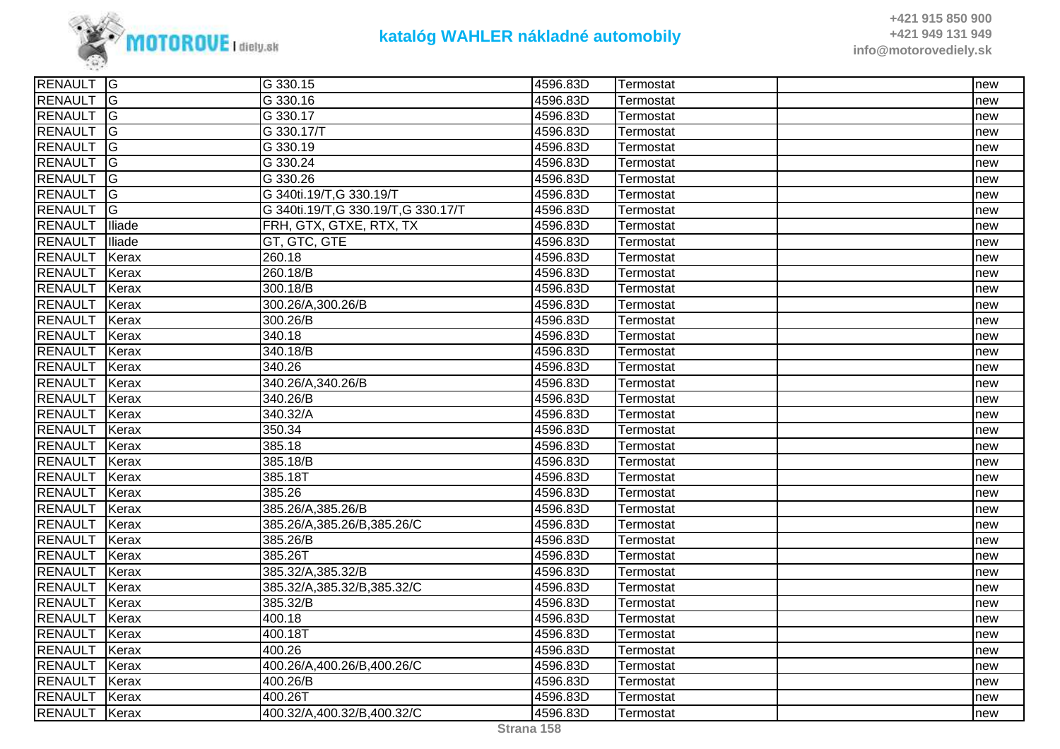

| RENAULT G      |                | G 330.15                             | 4596.83D | Termostat | new |
|----------------|----------------|--------------------------------------|----------|-----------|-----|
| <b>RENAULT</b> | lG             | G 330.16                             | 4596.83D | Termostat | new |
| <b>RENAULT</b> | G              | G 330.17                             | 4596.83D | Termostat | new |
| <b>RENAULT</b> | <b>G</b>       | G 330.17/T                           | 4596.83D | Termostat | new |
| <b>RENAULT</b> | $\overline{G}$ | G 330.19                             | 4596.83D | Termostat | new |
| <b>RENAULT</b> | $\overline{G}$ | G 330.24                             | 4596.83D | Termostat | new |
| <b>RENAULT</b> | $\overline{G}$ | G 330.26                             | 4596.83D | Termostat | new |
| <b>RENAULT</b> | lG             | G 340ti.19/T, G 330.19/T             | 4596.83D | Termostat | new |
| <b>RENAULT</b> | $\overline{G}$ | G 340ti.19/T, G 330.19/T, G 330.17/T | 4596.83D | Termostat | new |
| <b>RENAULT</b> | Iliade         | FRH, GTX, GTXE, RTX, TX              | 4596.83D | Termostat | new |
| <b>RENAULT</b> | Iliade         | GT, GTC, GTE                         | 4596.83D | Termostat | new |
| <b>RENAULT</b> | Kerax          | 260.18                               | 4596.83D | Termostat | new |
| <b>RENAULT</b> | Kerax          | 260.18/B                             | 4596.83D | Termostat | new |
| <b>RENAULT</b> | Kerax          | 300.18/B                             | 4596.83D | Termostat | new |
| <b>RENAULT</b> | Kerax          | 300.26/A,300.26/B                    | 4596.83D | Termostat | new |
| <b>RENAULT</b> | Kerax          | 300.26/B                             | 4596.83D | Termostat | new |
| <b>RENAULT</b> | Kerax          | 340.18                               | 4596.83D | Termostat | new |
| <b>RENAULT</b> | Kerax          | 340.18/B                             | 4596.83D | Termostat | new |
| <b>RENAULT</b> | Kerax          | 340.26                               | 4596.83D | Termostat | new |
| <b>RENAULT</b> | Kerax          | 340.26/A,340.26/B                    | 4596.83D | Termostat | new |
| <b>RENAULT</b> | Kerax          | 340.26/B                             | 4596.83D | Termostat | new |
| <b>RENAULT</b> | Kerax          | 340.32/A                             | 4596.83D | Termostat | new |
| <b>RENAULT</b> | Kerax          | 350.34                               | 4596.83D | Termostat | new |
| <b>RENAULT</b> | Kerax          | 385.18                               | 4596.83D | Termostat | new |
| <b>RENAULT</b> | Kerax          | 385.18/B                             | 4596.83D | Termostat | new |
| <b>RENAULT</b> | Kerax          | 385.18T                              | 4596.83D | Termostat | new |
| <b>RENAULT</b> | Kerax          | 385.26                               | 4596.83D | Termostat | new |
| <b>RENAULT</b> | Kerax          | 385.26/A,385.26/B                    | 4596.83D | Termostat | new |
| <b>RENAULT</b> | Kerax          | 385.26/A,385.26/B,385.26/C           | 4596.83D | Termostat | new |
| <b>RENAULT</b> | Kerax          | 385.26/B                             | 4596.83D | Termostat | new |
| <b>RENAULT</b> | Kerax          | 385.26T                              | 4596.83D | Termostat | new |
| <b>RENAULT</b> | Kerax          | 385.32/A,385.32/B                    | 4596.83D | Termostat | new |
| <b>RENAULT</b> | Kerax          | 385.32/A,385.32/B,385.32/C           | 4596.83D | Termostat | new |
| <b>RENAULT</b> | Kerax          | 385.32/B                             | 4596.83D | Termostat | new |
| <b>RENAULT</b> | Kerax          | 400.18                               | 4596.83D | Termostat | new |
| <b>RENAULT</b> | Kerax          | 400.18T                              | 4596.83D | Termostat | new |
| <b>RENAULT</b> | Kerax          | 400.26                               | 4596.83D | Termostat | new |
| <b>RENAULT</b> | Kerax          | 400.26/A,400.26/B,400.26/C           | 4596.83D | Termostat | new |
| <b>RENAULT</b> | Kerax          | 400.26/B                             | 4596.83D | Termostat | new |
| <b>RENAULT</b> | Kerax          | 400.26T                              | 4596.83D | Termostat | new |
| RENAULT Kerax  |                | 400.32/A,400.32/B,400.32/C           | 4596.83D | Termostat | new |
|                |                |                                      |          |           |     |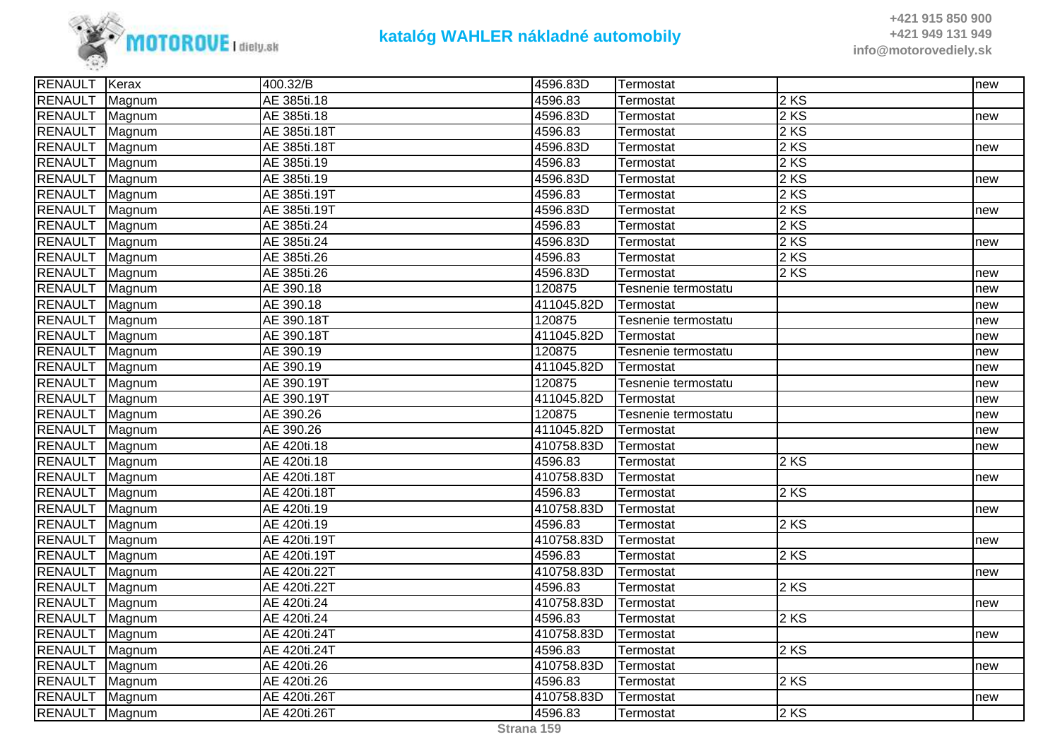

| RENAULT Kerax  |        | 400.32/B     | 4596.83D   | Termostat           |        | new |
|----------------|--------|--------------|------------|---------------------|--------|-----|
| <b>RENAULT</b> | Magnum | AE 385ti.18  | 4596.83    | Termostat           | $2$ KS |     |
| RENAULT Magnum |        | AE 385ti.18  | 4596.83D   | Termostat           | $2$ KS | new |
| RENAULT Magnum |        | AE 385ti.18T | 4596.83    | Termostat           | $2$ KS |     |
| RENAULT Magnum |        | AE 385ti.18T | 4596.83D   | Termostat           | $2$ KS | new |
| RENAULT Magnum |        | AE 385ti.19  | 4596.83    | Termostat           | $2$ KS |     |
| <b>RENAULT</b> | Magnum | AE 385ti.19  | 4596.83D   | Termostat           | 2 KS   | new |
| <b>RENAULT</b> | Magnum | AE 385ti.19T | 4596.83    | Termostat           | $2$ KS |     |
| RENAULT Magnum |        | AE 385ti.19T | 4596.83D   | Termostat           | $2$ KS | new |
| RENAULT Magnum |        | AE 385ti.24  | 4596.83    | Termostat           | 2 KS   |     |
| RENAULT Magnum |        | AE 385ti.24  | 4596.83D   | Termostat           | 2 KS   | new |
| <b>RENAULT</b> | Magnum | AE 385ti.26  | 4596.83    | Termostat           | $2$ KS |     |
| RENAULT Magnum |        | AE 385ti.26  | 4596.83D   | Termostat           | $2$ KS | new |
| RENAULT Magnum |        | AE 390.18    | 120875     | Tesnenie termostatu |        | new |
| RENAULT Magnum |        | AE 390.18    | 411045.82D | Termostat           |        | new |
| RENAULT Magnum |        | AE 390.18T   | 120875     | Tesnenie termostatu |        | new |
| RENAULT Magnum |        | AE 390.18T   | 411045.82D | lTermostat          |        | new |
| RENAULT Magnum |        | AE 390.19    | 120875     | Tesnenie termostatu |        | new |
| RENAULT        | Magnum | AE 390.19    | 411045.82D | Termostat           |        | new |
| RENAULT Magnum |        | AE 390.19T   | 120875     | Tesnenie termostatu |        | new |
| RENAULT Magnum |        | AE 390.19T   | 411045.82D | Termostat           |        | new |
| RENAULT Magnum |        | AE 390.26    | 120875     | Tesnenie termostatu |        | new |
| <b>RENAULT</b> | Magnum | AE 390.26    | 411045.82D | Termostat           |        | new |
| RENAULT Magnum |        | AE 420ti.18  | 410758.83D | Termostat           |        | new |
| RENAULT Magnum |        | AE 420ti.18  | 4596.83    | Termostat           | $2$ KS |     |
| RENAULT Magnum |        | AE 420ti.18T | 410758.83D | Termostat           |        | new |
| RENAULT Magnum |        | AE 420ti.18T | 4596.83    | Termostat           | 2 KS   |     |
| RENAULT Magnum |        | AE 420ti.19  | 410758.83D | Termostat           |        | new |
| <b>RENAULT</b> | Magnum | AE 420ti.19  | 4596.83    | Termostat           | 2 KS   |     |
| <b>RENAULT</b> | Magnum | AE 420ti.19T | 410758.83D | Termostat           |        | new |
| RENAULT Magnum |        | AE 420ti.19T | 4596.83    | Termostat           | $2$ KS |     |
| RENAULT Magnum |        | AE 420ti.22T | 410758.83D | Termostat           |        | new |
| RENAULT Magnum |        | AE 420ti.22T | 4596.83    | Termostat           | $2$ KS |     |
| <b>RENAULT</b> | Magnum | AE 420ti.24  | 410758.83D | Termostat           |        | new |
| RENAULT Magnum |        | AE 420ti.24  | 4596.83    | Termostat           | $2$ KS |     |
| <b>RENAULT</b> | Magnum | AE 420ti.24T | 410758.83D | Termostat           |        | new |
| <b>RENAULT</b> | Magnum | AE 420ti.24T | 4596.83    | Termostat           | $2$ KS |     |
| RENAULT Magnum |        | AE 420ti.26  | 410758.83D | Termostat           |        | new |
| RENAULT Magnum |        | AE 420ti.26  | 4596.83    | Termostat           | $2$ KS |     |
| RENAULT Magnum |        | AE 420ti.26T | 410758.83D | Termostat           |        | new |
| RENAULT Magnum |        | AE 420ti.26T | 4596.83    | Termostat           | 2 KS   |     |
|                |        |              |            |                     |        |     |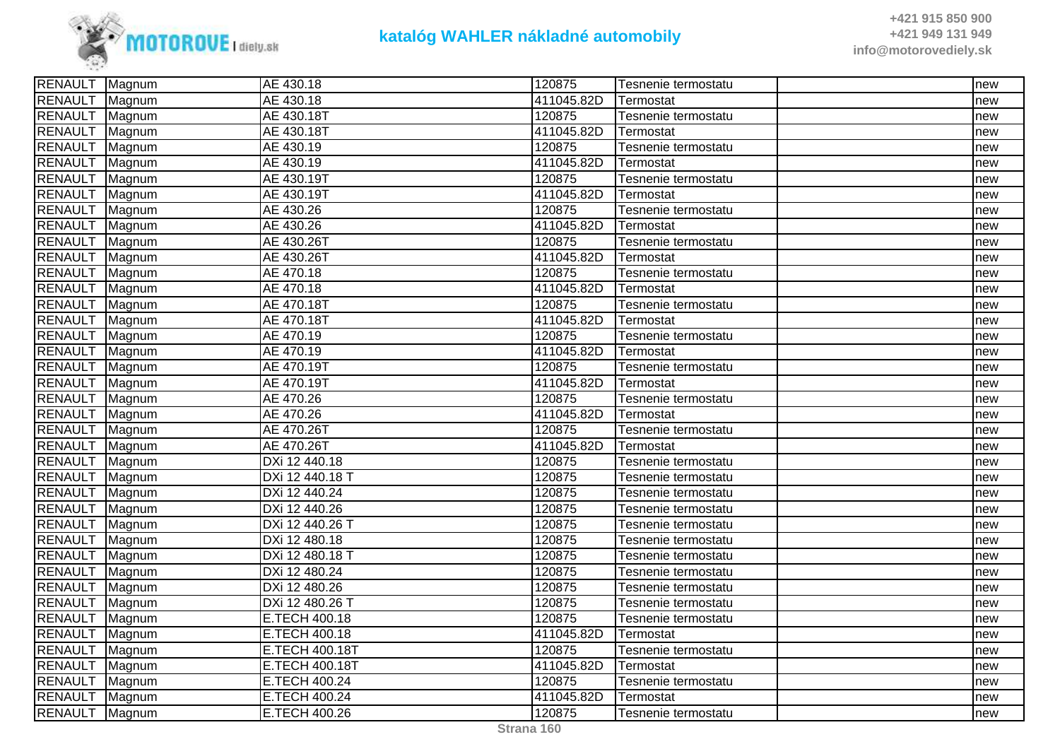

| RENAULT Magnum |        | AE 430.18             | 120875     | Tesnenie termostatu | new |
|----------------|--------|-----------------------|------------|---------------------|-----|
| RENAULT        | Magnum | AE 430.18             | 411045.82D | Termostat           | new |
| <b>RENAULT</b> | Magnum | AE 430.18T            | 120875     | Tesnenie termostatu | new |
| <b>RENAULT</b> | Magnum | AE 430.18T            | 411045.82D | Termostat           | new |
| <b>RENAULT</b> | Magnum | AE 430.19             | 120875     | Tesnenie termostatu | new |
| <b>RENAULT</b> | Magnum | AE 430.19             | 411045.82D | Termostat           | new |
| <b>RENAULT</b> | Magnum | AE 430.19T            | 120875     | Tesnenie termostatu | new |
| <b>RENAULT</b> | Magnum | AE 430.19T            | 411045.82D | Termostat           | new |
| <b>RENAULT</b> | Magnum | AE 430.26             | 120875     | Tesnenie termostatu | new |
| <b>RENAULT</b> | Magnum | AE 430.26             | 411045.82D | Termostat           | new |
| <b>RENAULT</b> | Magnum | AE 430.26T            | 120875     | Tesnenie termostatu | new |
| <b>RENAULT</b> | Magnum | AE 430.26T            | 411045.82D | Termostat           | new |
| <b>RENAULT</b> | Magnum | AE 470.18             | 120875     | Tesnenie termostatu | new |
| <b>RENAULT</b> | Magnum | AE 470.18             | 411045.82D | Termostat           | new |
| <b>RENAULT</b> | Magnum | AE 470.18T            | 120875     | Tesnenie termostatu | new |
| <b>RENAULT</b> | Magnum | AE 470.18T            | 411045.82D | Termostat           | new |
| <b>RENAULT</b> | Magnum | AE 470.19             | 120875     | Tesnenie termostatu | new |
| <b>RENAULT</b> | Magnum | AE 470.19             | 411045.82D | Termostat           | new |
| <b>RENAULT</b> | Magnum | AE 470.19T            | 120875     | Tesnenie termostatu | new |
| <b>RENAULT</b> | Magnum | AE 470.19T            | 411045.82D | Termostat           | new |
| <b>RENAULT</b> | Magnum | AE 470.26             | 120875     | Tesnenie termostatu | new |
| <b>RENAULT</b> | Magnum | AE 470.26             | 411045.82D | Termostat           | new |
| <b>RENAULT</b> | Magnum | AE 470.26T            | 120875     | Tesnenie termostatu | new |
| <b>RENAULT</b> | Magnum | AE 470.26T            | 411045.82D | Termostat           | new |
| <b>RENAULT</b> | Magnum | DXi 12 440.18         | 120875     | Tesnenie termostatu | new |
| <b>RENAULT</b> | Magnum | DXi 12 440.18 T       | 120875     | Tesnenie termostatu | new |
| <b>RENAULT</b> | Magnum | DXi 12 440.24         | 120875     | Tesnenie termostatu | new |
| <b>RENAULT</b> | Magnum | DXi 12 440.26         | 120875     | Tesnenie termostatu | new |
| <b>RENAULT</b> | Magnum | DXi 12 440.26 T       | 120875     | Tesnenie termostatu | new |
| <b>RENAULT</b> | Magnum | DXi 12 480.18         | 120875     | Tesnenie termostatu | new |
| <b>RENAULT</b> | Magnum | DXi 12 480.18 T       | 120875     | Tesnenie termostatu | new |
| <b>RENAULT</b> | Magnum | DXi 12 480.24         | 120875     | Tesnenie termostatu | new |
| <b>RENAULT</b> | Magnum | DXi 12 480.26         | 120875     | Tesnenie termostatu | new |
| <b>RENAULT</b> | Magnum | DXi 12 480.26 T       | 120875     | Tesnenie termostatu | new |
| <b>RENAULT</b> | Magnum | E.TECH 400.18         | 120875     | Tesnenie termostatu | new |
| <b>RENAULT</b> | Magnum | E.TECH 400.18         | 411045.82D | Termostat           | new |
| <b>RENAULT</b> | Magnum | E.TECH 400.18T        | 120875     | Tesnenie termostatu | new |
| <b>RENAULT</b> | Magnum | <b>E.TECH 400.18T</b> | 411045.82D | Termostat           | new |
| <b>RENAULT</b> | Magnum | E.TECH 400.24         | 120875     | Tesnenie termostatu | new |
| <b>RENAULT</b> | Magnum | E.TECH 400.24         | 411045.82D | Termostat           | new |
| <b>RENAULT</b> | Magnum | E.TECH 400.26         | 120875     | Tesnenie termostatu | new |
|                |        |                       |            |                     |     |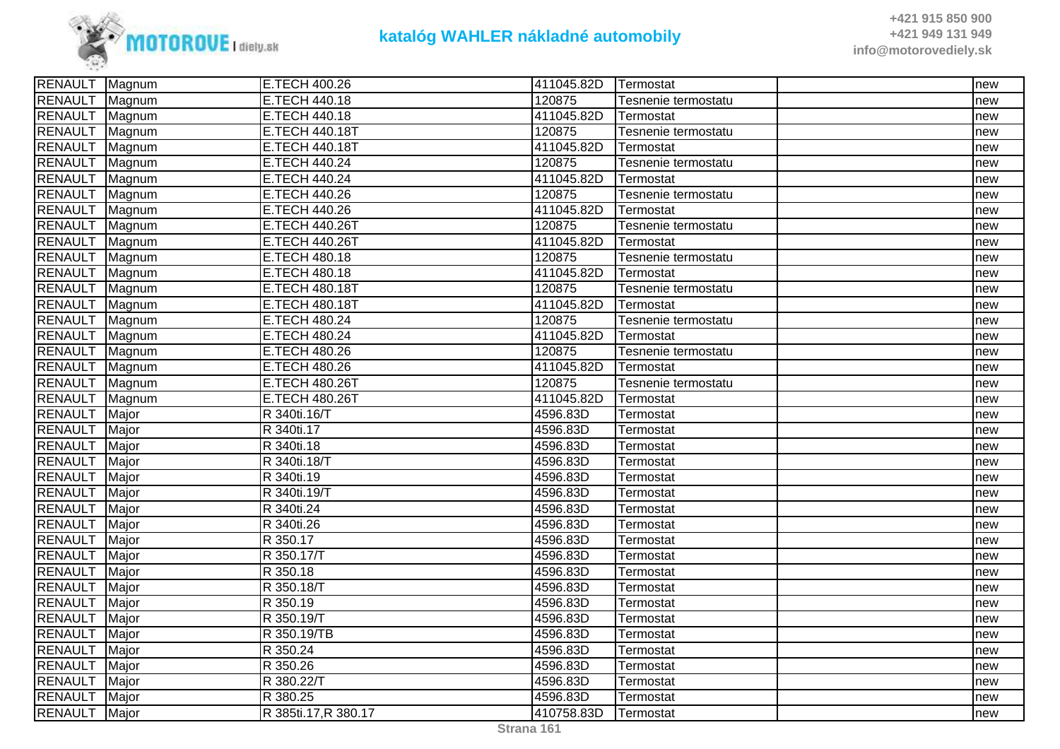

| RENAULT Magnum |        | E.TECH 400.26         | 411045.82D | <b>Termostat</b>    | new |
|----------------|--------|-----------------------|------------|---------------------|-----|
| <b>RENAULT</b> | Magnum | E.TECH 440.18         | 120875     | Tesnenie termostatu | new |
| RENAULT Magnum |        | E.TECH 440.18         | 411045.82D | Termostat           | new |
| <b>RENAULT</b> | Magnum | E.TECH 440.18T        | 120875     | Tesnenie termostatu | new |
| RENAULT Magnum |        | <b>E.TECH 440.18T</b> | 411045.82D | Termostat           | new |
| RENAULT Magnum |        | E.TECH 440.24         | 120875     | Tesnenie termostatu | new |
| RENAULT Magnum |        | E.TECH 440.24         | 411045.82D | Termostat           | new |
| <b>RENAULT</b> | Magnum | E.TECH 440.26         | 120875     | Tesnenie termostatu | new |
| <b>RENAULT</b> | Magnum | E.TECH 440.26         | 411045.82D | Termostat           | new |
| <b>RENAULT</b> | Magnum | E.TECH 440.26T        | 120875     | Tesnenie termostatu | new |
| RENAULT Magnum |        | E.TECH 440.26T        | 411045.82D | Termostat           | new |
| RENAULT Magnum |        | E.TECH 480.18         | 120875     | Tesnenie termostatu | new |
| RENAULT Magnum |        | <b>E.TECH 480.18</b>  | 411045.82D | Termostat           | new |
| RENAULT Magnum |        | <b>E.TECH 480.18T</b> | 120875     | Tesnenie termostatu | new |
| <b>RENAULT</b> | Magnum | E.TECH 480.18T        | 411045.82D | Termostat           | new |
| RENAULT        | Magnum | E.TECH 480.24         | 120875     | Tesnenie termostatu | new |
| RENAULT Magnum |        | E.TECH 480.24         | 411045.82D | Termostat           | new |
| RENAULT Magnum |        | E.TECH 480.26         | 120875     | Tesnenie termostatu | new |
| RENAULT Magnum |        | E.TECH 480.26         | 411045.82D | Termostat           | new |
| <b>RENAULT</b> | Magnum | <b>E.TECH 480.26T</b> | 120875     | Tesnenie termostatu | new |
| <b>RENAULT</b> | Magnum | <b>E.TECH 480.26T</b> | 411045.82D | Termostat           | new |
| <b>RENAULT</b> | Major  | R 340ti.16/T          | 4596.83D   | Termostat           | new |
| RENAULT Major  |        | R 340ti.17            | 4596.83D   | Termostat           | new |
| <b>RENAULT</b> | Major  | R 340ti.18            | 4596.83D   | Termostat           | new |
| <b>RENAULT</b> | Major  | R 340ti.18/T          | 4596.83D   | Termostat           | new |
| <b>RENAULT</b> | Major  | R 340ti.19            | 4596.83D   | Termostat           | new |
| <b>RENAULT</b> | Major  | R 340ti.19/T          | 4596.83D   | Termostat           | new |
| <b>RENAULT</b> | Major  | R 340ti.24            | 4596.83D   | Termostat           | new |
| <b>RENAULT</b> | Major  | R 340ti.26            | 4596.83D   | Termostat           | new |
| <b>RENAULT</b> | Major  | R 350.17              | 4596.83D   | Termostat           | new |
| <b>RENAULT</b> | Major  | R 350.17/T            | 4596.83D   | Termostat           | new |
| <b>RENAULT</b> | Major  | R 350.18              | 4596.83D   | Termostat           | new |
| <b>RENAULT</b> | Major  | R 350.18/T            | 4596.83D   | Termostat           | new |
| <b>RENAULT</b> | Major  | R 350.19              | 4596.83D   | Termostat           | new |
| <b>RENAULT</b> | Major  | R 350.19/T            | 4596.83D   | Termostat           | new |
| <b>RENAULT</b> | Major  | R 350.19/TB           | 4596.83D   | Termostat           | new |
| <b>RENAULT</b> | Major  | R 350.24              | 4596.83D   | Termostat           | new |
| <b>RENAULT</b> | Major  | R 350.26              | 4596.83D   | Termostat           | new |
| <b>RENAULT</b> | Major  | R 380.22/T            | 4596.83D   | Termostat           | new |
| <b>RENAULT</b> | Major  | R 380.25              | 4596.83D   | Termostat           | new |
| RENAULT Major  |        | R 385ti.17, R 380.17  | 410758.83D | <b>Termostat</b>    | new |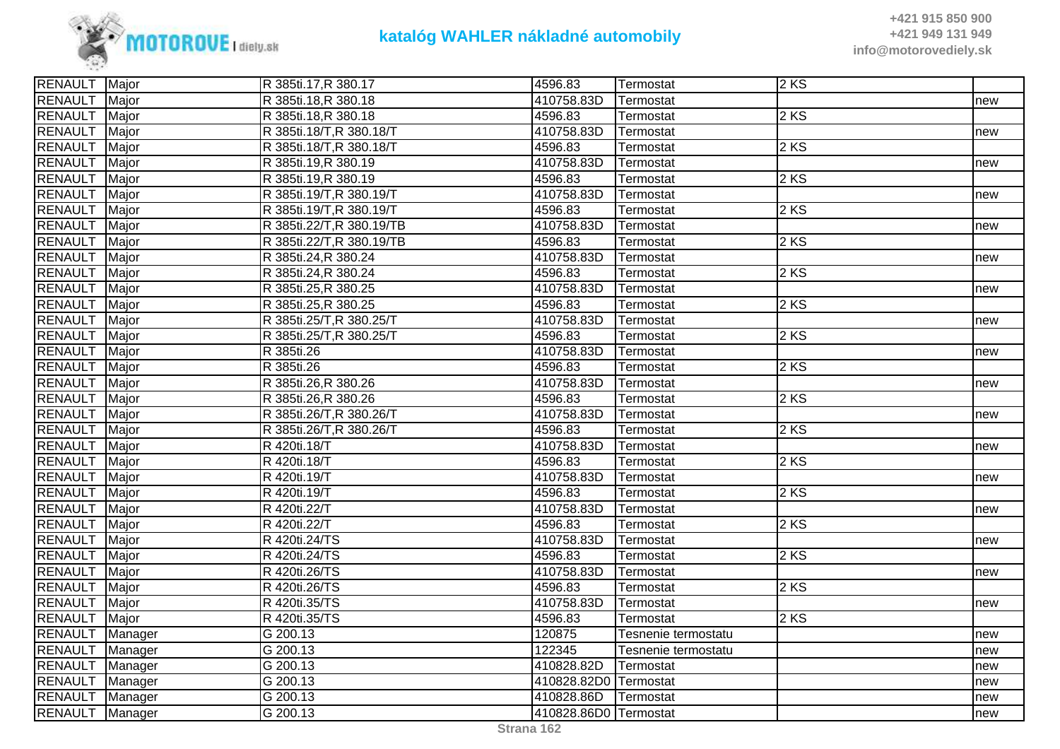

| RENAULT Major   |              | R 385ti.17, R 380.17      | 4596.83               | Termostat           | 2 KS |     |
|-----------------|--------------|---------------------------|-----------------------|---------------------|------|-----|
| <b>RENAULT</b>  | Major        | R 385ti.18, R 380.18      | 410758.83D            | Termostat           |      | new |
| <b>RENAULT</b>  | Major        | R 385ti.18, R 380.18      | 4596.83               | Termostat           | 2 KS |     |
| <b>RENAULT</b>  | Major        | R 385ti.18/T, R 380.18/T  | 410758.83D            | Termostat           |      | new |
| <b>RENAULT</b>  | Major        | R 385ti.18/T, R 380.18/T  | 4596.83               | Termostat           | 2KS  |     |
| <b>RENAULT</b>  | Major        | R 385ti.19, R 380.19      | 410758.83D            | Termostat           |      | new |
| <b>RENAULT</b>  | Major        | R 385ti.19, R 380.19      | 4596.83               | Termostat           | 2 KS |     |
| <b>RENAULT</b>  | Major        | R 385ti.19/T, R 380.19/T  | 410758.83D            | Termostat           |      | new |
| <b>RENAULT</b>  | Major        | R 385ti.19/T, R 380.19/T  | 4596.83               | Termostat           | 2KS  |     |
| <b>RENAULT</b>  | Major        | R 385ti.22/T, R 380.19/TB | 410758.83D            | Termostat           |      | new |
| <b>RENAULT</b>  | Major        | R 385ti.22/T, R 380.19/TB | 4596.83               | Termostat           | 2 KS |     |
| <b>RENAULT</b>  | Major        | R 385ti.24, R 380.24      | 410758.83D            | Termostat           |      | new |
| <b>RENAULT</b>  | Major        | R 385ti.24, R 380.24      | 4596.83               | Termostat           | 2 KS |     |
| <b>RENAULT</b>  | Major        | R 385ti.25, R 380.25      | 410758.83D            | Termostat           |      | new |
| <b>RENAULT</b>  | Major        | R 385ti.25, R 380.25      | 4596.83               | Termostat           | 2 KS |     |
| <b>RENAULT</b>  | Major        | R 385ti.25/T, R 380.25/T  | 410758.83D            | Termostat           |      | new |
| <b>RENAULT</b>  | Major        | R 385ti.25/T, R 380.25/T  | 4596.83               | Termostat           | 2 KS |     |
| <b>RENAULT</b>  | Major        | R 385ti.26                | 410758.83D            | Termostat           |      | new |
| <b>RENAULT</b>  | Major        | R 385ti.26                | 4596.83               | Termostat           | 2 KS |     |
| <b>RENAULT</b>  | Major        | R 385ti.26, R 380.26      | 410758.83D            | Termostat           |      | new |
| <b>RENAULT</b>  | Major        | R 385ti.26, R 380.26      | 4596.83               | Termostat           | 2 KS |     |
| <b>RENAULT</b>  | Major        | R 385ti.26/T, R 380.26/T  | 410758.83D            | Termostat           |      | new |
| <b>RENAULT</b>  | Major        | R 385ti.26/T, R 380.26/T  | 4596.83               | Termostat           | 2 KS |     |
| <b>RENAULT</b>  | Major        | R 420ti.18/T              | 410758.83D            | Termostat           |      | new |
| <b>RENAULT</b>  | Major        | R 420ti.18/T              | 4596.83               | Termostat           | 2 KS |     |
| <b>RENAULT</b>  | Major        | R 420ti.19/T              | 410758.83D            | Termostat           |      | new |
| <b>RENAULT</b>  | Major        | R 420ti.19/T              | 4596.83               | Termostat           | 2 KS |     |
| <b>RENAULT</b>  | Major        | R 420ti.22/T              | 410758.83D            | Termostat           |      | new |
| <b>RENAULT</b>  | <b>Major</b> | R 420ti.22/T              | 4596.83               | Termostat           | 2 KS |     |
| <b>RENAULT</b>  | Major        | R 420ti.24/TS             | 410758.83D            | Termostat           |      | new |
| <b>RENAULT</b>  | Major        | R 420ti.24/TS             | 4596.83               | Termostat           | 2 KS |     |
| <b>RENAULT</b>  | Major        | R 420ti.26/TS             | 410758.83D            | Termostat           |      | new |
| <b>RENAULT</b>  | Major        | R 420ti.26/TS             | 4596.83               | Termostat           | 2KS  |     |
| <b>RENAULT</b>  | Major        | R 420ti.35/TS             | 410758.83D            | Termostat           |      | new |
| <b>RENAULT</b>  | Major        | R 420ti.35/TS             | 4596.83               | Termostat           | 2 KS |     |
| <b>RENAULT</b>  | Manager      | G 200.13                  | 120875                | Tesnenie termostatu |      | new |
| RENAULT Manager |              | G 200.13                  | 122345                | Tesnenie termostatu |      | new |
| RENAULT Manager |              | G 200.13                  | 410828.82D            | Termostat           |      | new |
| RENAULT Manager |              | G 200.13                  | 410828.82D0 Termostat |                     |      | new |
| RENAULT Manager |              | G 200.13                  | 410828.86D            | Termostat           |      | new |
| RENAULT Manager |              | G 200.13                  | 410828.86D0 Termostat |                     |      | new |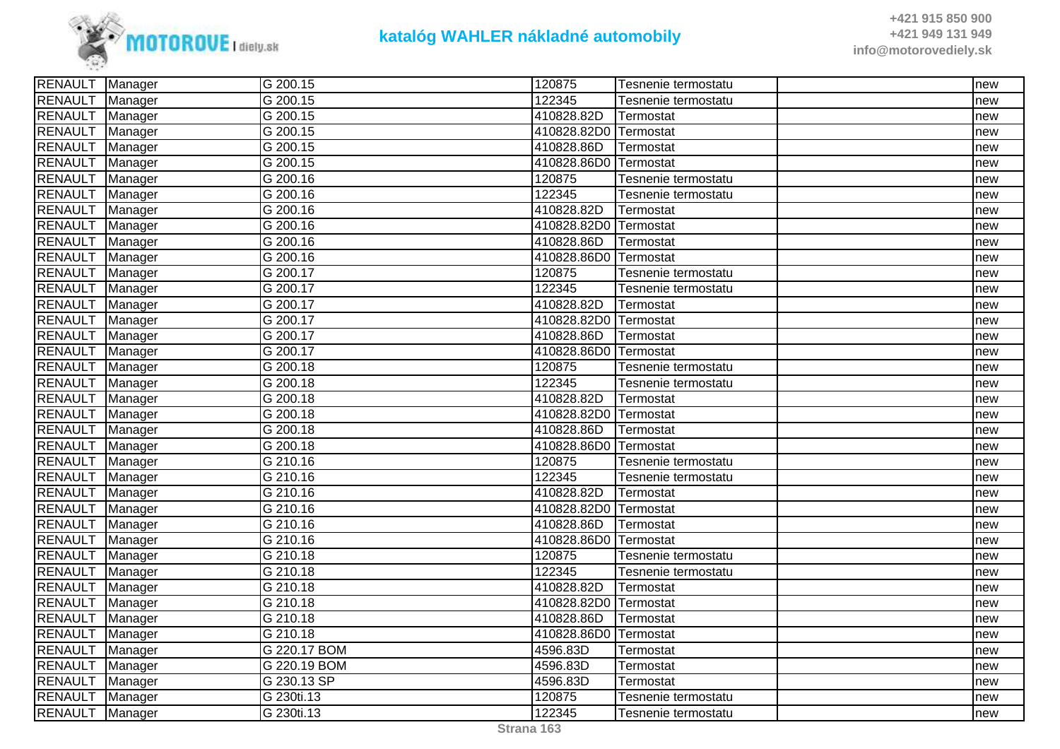

| RENAULT Manager   |         | G 200.15              | 120875                | Tesnenie termostatu | Inew |
|-------------------|---------|-----------------------|-----------------------|---------------------|------|
| <b>RENAULT</b>    | Manager | G 200.15              | 122345                | Tesnenie termostatu | new  |
| RENAULT Manager   |         | G 200.15              | 410828.82D            | Termostat           | new  |
| RENAULT Manager   |         | G 200.15              | 410828.82D0 Termostat |                     | new  |
| <b>RENAULT</b>    | Manager | G 200.15              | 410828.86D            | Termostat           | new  |
| RENAULT Manager   |         | G 200.15              | 410828.86D0 Termostat |                     | new  |
| <b>RENAULT</b>    | Manager | $\sqrt{G}$ 200.16     | 120875                | Tesnenie termostatu | new  |
| <b>RENAULT</b>    | Manager | G 200.16              | 122345                | Tesnenie termostatu | new  |
| RENAULT Manager   |         | G 200.16              | 410828.82D            | Termostat           | new  |
| RENAULT Manager   |         | G 200.16              | 410828.82D0 Termostat |                     | new  |
| RENAULT Manager   |         | G 200.16              | 410828.86D            | Termostat           | new  |
| RENAULT Manager   |         | G 200.16              | 410828.86D0 Termostat |                     | new  |
| <b>RENAULT</b>    | Manager | G 200.17              | 120875                | Tesnenie termostatu | new  |
| <b>RENAULT</b>    | Manager | G 200.17              | 122345                | Tesnenie termostatu | new  |
| RENAULT Manager   |         | G 200.17              | 410828.82D            | Termostat           | new  |
| RENAULT Manager   |         | G 200.17              | 410828.82D0 Termostat |                     | new  |
| RENAULT Manager   |         | $\sqrt{G}$ 200.17     | 410828.86D            | <b>Termostat</b>    | new  |
| <b>RENAULT</b>    | Manager | G 200.17              | 410828.86D0 Termostat |                     | new  |
| RENAULT           | Manager | G 200.18              | 120875                | Tesnenie termostatu | new  |
| <b>RENAULT</b>    | Manager | G 200.18              | 122345                | Tesnenie termostatu | new  |
| RENAULT Manager   |         | G 200.18              | 410828.82D            | Termostat           | new  |
| RENAULT Manager   |         | G 200.18              | 410828.82D0 Termostat |                     | new  |
| RENAULT   Manager |         | G 200.18              | 410828.86D            | Termostat           | new  |
| <b>RENAULT</b>    | Manager | G 200.18              | 410828.86D0 Termostat |                     | new  |
| RENAULT           | Manager | G 210.16              | 120875                | Tesnenie termostatu | new  |
| <b>RENAULT</b>    | Manager | G 210.16              | 122345                | Tesnenie termostatu | new  |
| RENAULT           | Manager | G 210.16              | 410828.82D            | Termostat           | new  |
| RENAULT   Manager |         | $\overline{G}$ 210.16 | 410828.82D0 Termostat |                     | new  |
| RENAULT           | Manager | G 210.16              | 410828.86D            | Termostat           | new  |
| <b>RENAULT</b>    | Manager | G 210.16              | 410828.86D0 Termostat |                     | new  |
| <b>RENAULT</b>    | Manager | G 210.18              | 120875                | Tesnenie termostatu | new  |
| RENAULT Manager   |         | G 210.18              | 122345                | Tesnenie termostatu | new  |
| RENAULT Manager   |         | G 210.18              | 410828.82D            | Termostat           | new  |
| RENAULT Manager   |         | $G$ 210.18            | 410828.82D0 Termostat |                     | new  |
| RENAULT Manager   |         | G 210.18              | 410828.86D            | Termostat           | new  |
| <b>RENAULT</b>    | Manager | G 210.18              | 410828.86D0 Termostat |                     | new  |
| <b>RENAULT</b>    | Manager | G 220.17 BOM          | 4596.83D              | Termostat           | new  |
| RENAULT Manager   |         | G 220.19 BOM          | 4596.83D              | Termostat           | new  |
| <b>RENAULT</b>    | Manager | G 230.13 SP           | 4596.83D              | Termostat           | new  |
| RENAULT Manager   |         | G 230ti.13            | 120875                | Tesnenie termostatu | new  |
| RENAULT Manager   |         | G 230ti.13            | 122345                | Tesnenie termostatu | new  |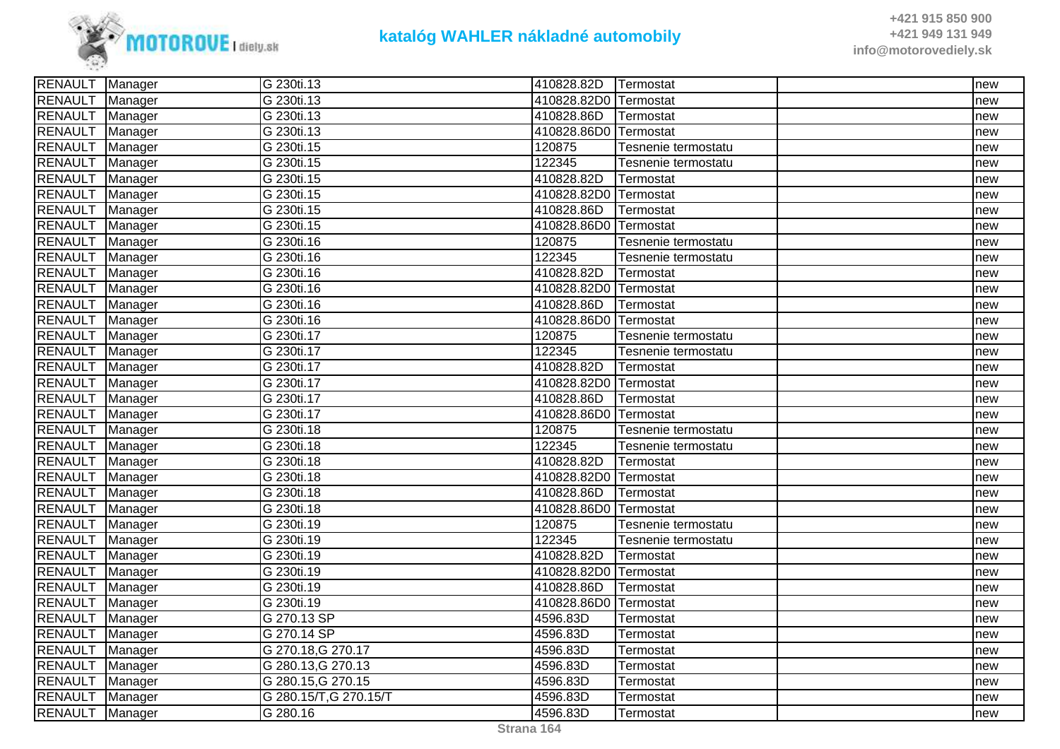

| RENAULT   Manager |         | G 230ti.13             | 410828.82D   Termostat |                     | Inew |
|-------------------|---------|------------------------|------------------------|---------------------|------|
| <b>RENAULT</b>    | Manager | G 230ti.13             | 410828.82D0 Termostat  |                     | new  |
| RENAULT Manager   |         | G 230ti.13             | 410828.86D             | Termostat           | new  |
| RENAULT Manager   |         | G 230ti.13             | 410828.86D0 Termostat  |                     | new  |
| <b>RENAULT</b>    | Manager | G 230ti.15             | 120875                 | Tesnenie termostatu | new  |
| RENAULT Manager   |         | G 230ti.15             | 122345                 | Tesnenie termostatu | new  |
| <b>RENAULT</b>    | Manager | G 230ti.15             | 410828.82D             | Termostat           | new  |
| RENAULT Manager   |         | G 230ti.15             | 410828.82D0 Termostat  |                     | new  |
| <b>RENAULT</b>    | Manager | G 230ti.15             | 410828.86D             | Termostat           | new  |
| RENAULT Manager   |         | G 230ti.15             | 410828.86D0 Termostat  |                     | new  |
| RENAULT Manager   |         | G 230ti.16             | 120875                 | Tesnenie termostatu | new  |
| RENAULT Manager   |         | G 230ti.16             | 122345                 | Tesnenie termostatu | new  |
| <b>RENAULT</b>    | Manager | G 230ti.16             | 410828.82D             | Termostat           | new  |
| RENAULT Manager   |         | G 230ti.16             | 410828.82D0 Termostat  |                     | new  |
| RENAULT Manager   |         | G 230ti.16             | 410828.86D             | Termostat           | new  |
| RENAULT Manager   |         | G 230ti.16             | 410828.86D0 Termostat  |                     | new  |
| RENAULT Manager   |         | G 230ti.17             | 120875                 | Tesnenie termostatu | new  |
| RENAULT Manager   |         | G 230ti.17             | 122345                 | Tesnenie termostatu | new  |
| <b>RENAULT</b>    | Manager | G 230ti.17             | 410828.82D             | Termostat           | new  |
| <b>RENAULT</b>    | Manager | G 230ti.17             | 410828.82D0 Termostat  |                     | new  |
| RENAULT Manager   |         | G 230ti.17             | 410828.86D             | Termostat           | new  |
| <b>RENAULT</b>    | Manager | G 230ti.17             | 410828.86D0 Termostat  |                     | new  |
| RENAULT Manager   |         | G 230ti.18             | 120875                 | Tesnenie termostatu | new  |
| RENAULT Manager   |         | G 230ti.18             | 122345                 | Tesnenie termostatu | new  |
| RENAULT Manager   |         | G 230ti.18             | 410828.82D             | Termostat           | new  |
| RENAULT Manager   |         | G 230ti.18             | 410828.82D0 Termostat  |                     | new  |
| RENAULT Manager   |         | G 230ti.18             | 410828.86D             | Termostat           | new  |
| RENAULT Manager   |         | G 230ti.18             | 410828.86D0 Termostat  |                     | new  |
| RENAULT Manager   |         | G 230ti.19             | 120875                 | Tesnenie termostatu | new  |
| <b>RENAULT</b>    | Manager | G 230ti.19             | 122345                 | Tesnenie termostatu | new  |
| RENAULT Manager   |         | G 230ti.19             | 410828.82D             | Termostat           | new  |
| RENAULT Manager   |         | G 230ti.19             | 410828.82D0 Termostat  |                     | new  |
| RENAULT Manager   |         | G 230ti.19             | 410828.86D             | Termostat           | new  |
| RENAULT Manager   |         | G 230ti.19             | 410828.86D0 Termostat  |                     | new  |
| RENAULT Manager   |         | G 270.13 SP            | 4596.83D               | <b>Termostat</b>    | new  |
| <b>RENAULT</b>    | Manager | G 270.14 SP            | 4596.83D               | Termostat           | new  |
| RENAULT Manager   |         | G 270.18, G 270.17     | 4596.83D               | Termostat           | new  |
| RENAULT Manager   |         | G 280.13, G 270.13     | 4596.83D               | Termostat           | new  |
| <b>RENAULT</b>    | Manager | G 280.15, G 270.15     | 4596.83D               | Termostat           | new  |
| RENAULT Manager   |         | G 280.15/T, G 270.15/T | 4596.83D               | Termostat           | new  |
| RENAULT Manager   |         | G 280.16               | 4596.83D               | Termostat           | new  |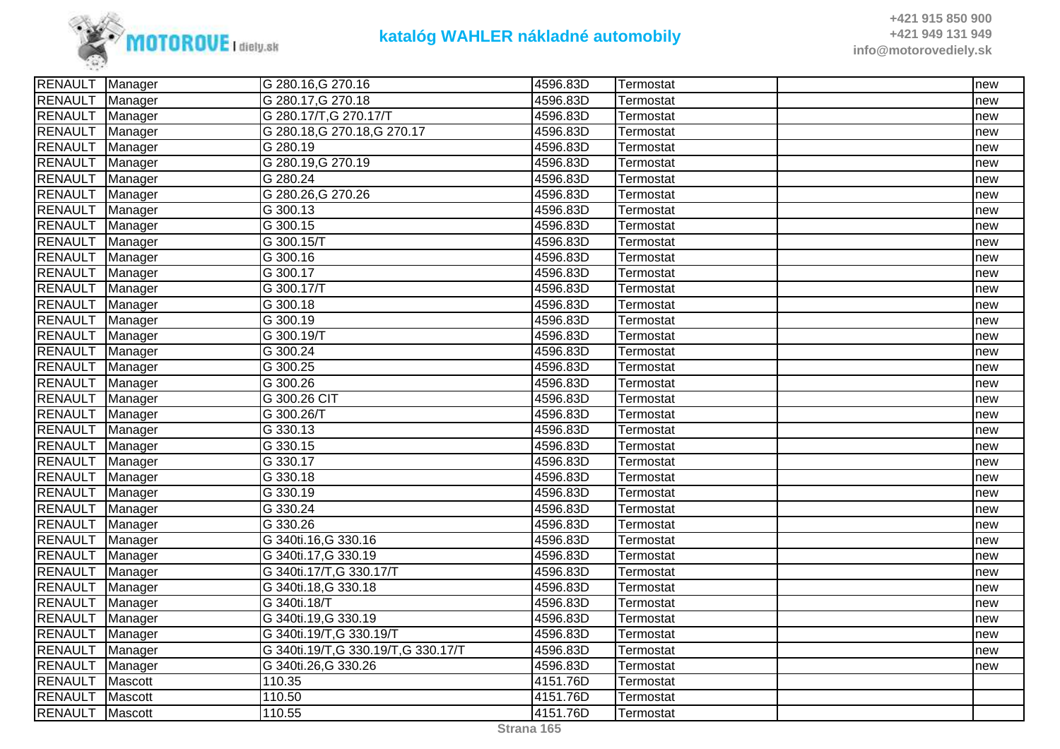

| RENAULT   Manager |                | G 280.16, G 270.16                   | 4596.83D | Termostat        | new |
|-------------------|----------------|--------------------------------------|----------|------------------|-----|
| RENAULT Manager   |                | G 280.17, G 270.18                   | 4596.83D | <b>Termostat</b> | new |
| <b>RENAULT</b>    | Manager        | G 280.17/T, G 270.17/T               | 4596.83D | Termostat        | new |
| RENAULT Manager   |                | G 280.18, G 270.18, G 270.17         | 4596.83D | Termostat        | new |
| RENAULT Manager   |                | G 280.19                             | 4596.83D | Termostat        | new |
| RENAULT Manager   |                | G 280.19, G 270.19                   | 4596.83D | Termostat        | new |
| RENAULT Manager   |                | G 280.24                             | 4596.83D | Termostat        | new |
| <b>RENAULT</b>    | Manager        | G 280.26, G 270.26                   | 4596.83D | Termostat        | new |
| <b>RENAULT</b>    | Manager        | G 300.13                             | 4596.83D | Termostat        | new |
| RENAULT Manager   |                | G 300.15                             | 4596.83D | Termostat        | new |
| RENAULT   Manager |                | G 300.15/T                           | 4596.83D | Termostat        | new |
| RENAULT Manager   |                | $\overline{G}$ 300.16                | 4596.83D | Termostat        | new |
| RENAULT Manager   |                | G 300.17                             | 4596.83D | Termostat        | new |
| <b>RENAULT</b>    | Manager        | G 300.17/T                           | 4596.83D | Termostat        | new |
| RENAULT Manager   |                | G 300.18                             | 4596.83D | Termostat        | new |
| RENAULT Manager   |                | G 300.19                             | 4596.83D | Termostat        | new |
| <b>RENAULT</b>    | Manager        | G 300.19/T                           | 4596.83D | Termostat        | new |
| RENAULT   Manager |                | G 300.24                             | 4596.83D | Termostat        | new |
| RENAULT   Manager |                | G 300.25                             | 4596.83D | Termostat        | new |
| <b>RENAULT</b>    | Manager        | G 300.26                             | 4596.83D | Termostat        | new |
| RENAULT Manager   |                | G 300.26 CIT                         | 4596.83D | <b>Termostat</b> | new |
| RENAULT Manager   |                | G 300.26/T                           | 4596.83D | Termostat        | new |
| RENAULT Manager   |                | G 330.13                             | 4596.83D | Termostat        | new |
| RENAULT   Manager |                | G 330.15                             | 4596.83D | Termostat        | new |
| <b>RENAULT</b>    | Manager        | $G$ 330.17                           | 4596.83D | Termostat        | new |
| RENAULT Manager   |                | G 330.18                             | 4596.83D | Termostat        | new |
| RENAULT Manager   |                | G 330.19                             | 4596.83D | Termostat        | new |
| RENAULT Manager   |                | G 330.24                             | 4596.83D | Termostat        | new |
| RENAULT   Manager |                | G 330.26                             | 4596.83D | Termostat        | new |
| <b>RENAULT</b>    | Manager        | G 340ti.16, G 330.16                 | 4596.83D | <b>Termostat</b> | new |
| <b>RENAULT</b>    | Manager        | G 340ti.17, G 330.19                 | 4596.83D | Termostat        | new |
| RENAULT Manager   |                | G 340ti.17/T, G 330.17/T             | 4596.83D | Termostat        | new |
| RENAULT           | Manager        | G 340ti.18, G 330.18                 | 4596.83D | Termostat        | new |
| RENAULT Manager   |                | G 340ti.18/T                         | 4596.83D | Termostat        | new |
| RENAULT Manager   |                | G 340ti.19, G 330.19                 | 4596.83D | Termostat        | new |
| <b>RENAULT</b>    | Manager        | G 340ti.19/T, G 330.19/T             | 4596.83D | Termostat        | new |
| RENAULT Manager   |                | G 340ti.19/T, G 330.19/T, G 330.17/T | 4596.83D | Termostat        | new |
| <b>RENAULT</b>    | Manager        | G 340ti.26, G 330.26                 | 4596.83D | Termostat        | new |
| <b>RENAULT</b>    | Mascott        | 110.35                               | 4151.76D | Termostat        |     |
| <b>RENAULT</b>    | <b>Mascott</b> | 110.50                               | 4151.76D | Termostat        |     |
| RENAULT Mascott   |                | 110.55                               | 4151.76D | Termostat        |     |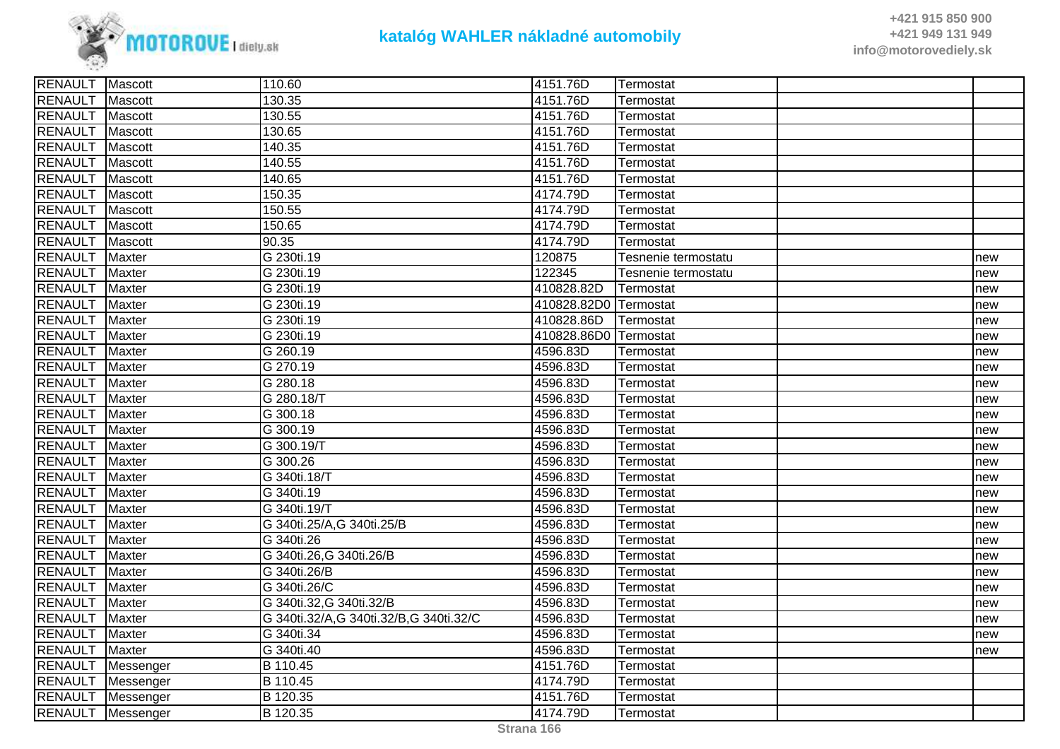

| <b>RENAULT</b> | Mascott        | 110.60                                 | 4151.76D              | Termostat           |     |
|----------------|----------------|----------------------------------------|-----------------------|---------------------|-----|
| <b>RENAULT</b> | Mascott        | 130.35                                 | 4151.76D              | Termostat           |     |
| <b>RENAULT</b> | Mascott        | 130.55                                 | 4151.76D              | Termostat           |     |
| <b>RENAULT</b> | Mascott        | 130.65                                 | 4151.76D              | Termostat           |     |
| <b>RENAULT</b> | Mascott        | 140.35                                 | 4151.76D              | Termostat           |     |
| <b>RENAULT</b> | Mascott        | 140.55                                 | 4151.76D              | Termostat           |     |
| <b>RENAULT</b> | Mascott        | 140.65                                 | 4151.76D              | Termostat           |     |
| <b>RENAULT</b> | Mascott        | 150.35                                 | 4174.79D              | Termostat           |     |
| <b>RENAULT</b> | Mascott        | 150.55                                 | 4174.79D              | Termostat           |     |
| <b>RENAULT</b> | Mascott        | 150.65                                 | 4174.79D              | Termostat           |     |
| <b>RENAULT</b> | <b>Mascott</b> | 90.35                                  | 4174.79D              | Termostat           |     |
| <b>RENAULT</b> | Maxter         | G 230ti.19                             | 120875                | Tesnenie termostatu | new |
| <b>RENAULT</b> | Maxter         | G 230ti.19                             | 122345                | Tesnenie termostatu | new |
| <b>RENAULT</b> | <b>Maxter</b>  | G 230ti.19                             | 410828.82D            | Termostat           | new |
| <b>RENAULT</b> | Maxter         | G 230ti.19                             | 410828.82D0 Termostat |                     | new |
| <b>RENAULT</b> | <b>Maxter</b>  | G 230ti.19                             | 410828.86D            | Termostat           | new |
| <b>RENAULT</b> | <b>Maxter</b>  | G 230ti.19                             | 410828.86D0           | Termostat           | new |
| <b>RENAULT</b> | <b>Maxter</b>  | G 260.19                               | 4596.83D              | Termostat           | new |
| <b>RENAULT</b> | <b>Maxter</b>  | G 270.19                               | 4596.83D              | Termostat           | new |
| <b>RENAULT</b> | <b>Maxter</b>  | G 280.18                               | 4596.83D              | Termostat           | new |
| <b>RENAULT</b> | Maxter         | G 280.18/T                             | 4596.83D              | Termostat           | new |
| <b>RENAULT</b> | <b>Maxter</b>  | G 300.18                               | 4596.83D              | Termostat           | new |
| <b>RENAULT</b> | <b>Maxter</b>  | G 300.19                               | 4596.83D              | Termostat           | new |
| <b>RENAULT</b> | <b>Maxter</b>  | G 300.19/T                             | 4596.83D              | Termostat           | new |
| <b>RENAULT</b> | Maxter         | G 300.26                               | 4596.83D              | Termostat           | new |
| <b>RENAULT</b> | <b>Maxter</b>  | G 340ti.18/T                           | 4596.83D              | Termostat           | new |
| <b>RENAULT</b> | <b>Maxter</b>  | G 340ti.19                             | 4596.83D              | Termostat           | new |
| <b>RENAULT</b> | <b>Maxter</b>  | G 340ti.19/T                           | 4596.83D              | Termostat           | new |
| <b>RENAULT</b> | <b>Maxter</b>  | G 340ti.25/A,G 340ti.25/B              | 4596.83D              | Termostat           | new |
| <b>RENAULT</b> | <b>Maxter</b>  | G 340ti.26                             | 4596.83D              | Termostat           | new |
| <b>RENAULT</b> | <b>Maxter</b>  | G 340ti.26, G 340ti.26/B               | 4596.83D              | Termostat           | new |
| <b>RENAULT</b> | Maxter         | G 340ti.26/B                           | 4596.83D              | Termostat           | new |
| <b>RENAULT</b> | <b>Maxter</b>  | G 340ti.26/C                           | 4596.83D              | Termostat           | new |
| <b>RENAULT</b> | <b>Maxter</b>  | G 340ti.32, G 340ti.32/B               | 4596.83D              | Termostat           | new |
| <b>RENAULT</b> | <b>Maxter</b>  | G 340ti.32/A,G 340ti.32/B,G 340ti.32/C | 4596.83D              | Termostat           | new |
| <b>RENAULT</b> | Maxter         | G 340ti.34                             | 4596.83D              | Termostat           | new |
| <b>RENAULT</b> | <b>Maxter</b>  | G 340ti.40                             | 4596.83D              | Termostat           | new |
| <b>RENAULT</b> | Messenger      | B 110.45                               | 4151.76D              | Termostat           |     |
| <b>RENAULT</b> | Messenger      | B 110.45                               | 4174.79D              | Termostat           |     |
| <b>RENAULT</b> | Messenger      | B 120.35                               | 4151.76D              | Termostat           |     |
| <b>RENAULT</b> | Messenger      | B 120.35                               | 4174.79D              | Termostat           |     |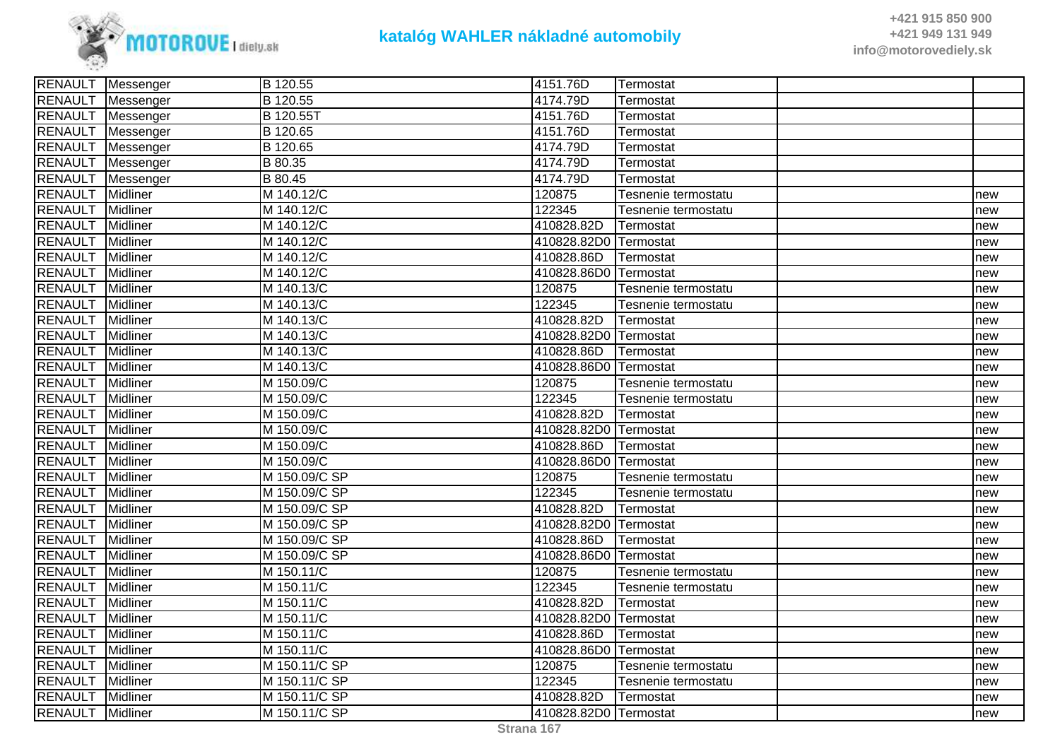

| RENAULT Messenger | B 120.55                                                             | 4151.76D                                                                                                                                                                                                                                                                                                                                                                                                                                                        | Termostat                                                                                              |                                                                                                                                                                                                                                                                                                                                                                                                             |
|-------------------|----------------------------------------------------------------------|-----------------------------------------------------------------------------------------------------------------------------------------------------------------------------------------------------------------------------------------------------------------------------------------------------------------------------------------------------------------------------------------------------------------------------------------------------------------|--------------------------------------------------------------------------------------------------------|-------------------------------------------------------------------------------------------------------------------------------------------------------------------------------------------------------------------------------------------------------------------------------------------------------------------------------------------------------------------------------------------------------------|
| Messenger         |                                                                      | 4174.79D                                                                                                                                                                                                                                                                                                                                                                                                                                                        | Termostat                                                                                              |                                                                                                                                                                                                                                                                                                                                                                                                             |
| Messenger         | B 120.55T                                                            | 4151.76D                                                                                                                                                                                                                                                                                                                                                                                                                                                        | Termostat                                                                                              |                                                                                                                                                                                                                                                                                                                                                                                                             |
| RENAULT Messenger | B 120.65                                                             | 4151.76D                                                                                                                                                                                                                                                                                                                                                                                                                                                        | Termostat                                                                                              |                                                                                                                                                                                                                                                                                                                                                                                                             |
| RENAULT Messenger |                                                                      | 4174.79D                                                                                                                                                                                                                                                                                                                                                                                                                                                        | Termostat                                                                                              |                                                                                                                                                                                                                                                                                                                                                                                                             |
| Messenger         |                                                                      | 4174.79D                                                                                                                                                                                                                                                                                                                                                                                                                                                        | Termostat                                                                                              |                                                                                                                                                                                                                                                                                                                                                                                                             |
| Messenger         | B 80.45                                                              | 4174.79D                                                                                                                                                                                                                                                                                                                                                                                                                                                        | Termostat                                                                                              |                                                                                                                                                                                                                                                                                                                                                                                                             |
| <b>Midliner</b>   | M 140.12/C                                                           | 120875                                                                                                                                                                                                                                                                                                                                                                                                                                                          | Tesnenie termostatu                                                                                    | new                                                                                                                                                                                                                                                                                                                                                                                                         |
| Midliner          | M 140.12/C                                                           | 122345                                                                                                                                                                                                                                                                                                                                                                                                                                                          | Tesnenie termostatu                                                                                    | new                                                                                                                                                                                                                                                                                                                                                                                                         |
| Midliner          |                                                                      | 410828.82D                                                                                                                                                                                                                                                                                                                                                                                                                                                      |                                                                                                        | new                                                                                                                                                                                                                                                                                                                                                                                                         |
| Midliner          |                                                                      |                                                                                                                                                                                                                                                                                                                                                                                                                                                                 |                                                                                                        | new                                                                                                                                                                                                                                                                                                                                                                                                         |
| Midliner          |                                                                      | 410828.86D                                                                                                                                                                                                                                                                                                                                                                                                                                                      |                                                                                                        | new                                                                                                                                                                                                                                                                                                                                                                                                         |
| Midliner          |                                                                      |                                                                                                                                                                                                                                                                                                                                                                                                                                                                 |                                                                                                        | new                                                                                                                                                                                                                                                                                                                                                                                                         |
| Midliner          | M 140.13/C                                                           | 120875                                                                                                                                                                                                                                                                                                                                                                                                                                                          | Tesnenie termostatu                                                                                    | new                                                                                                                                                                                                                                                                                                                                                                                                         |
| Midliner          |                                                                      | 122345                                                                                                                                                                                                                                                                                                                                                                                                                                                          | Tesnenie termostatu                                                                                    | new                                                                                                                                                                                                                                                                                                                                                                                                         |
| Midliner          |                                                                      | 410828.82D                                                                                                                                                                                                                                                                                                                                                                                                                                                      |                                                                                                        | new                                                                                                                                                                                                                                                                                                                                                                                                         |
| Midliner          |                                                                      |                                                                                                                                                                                                                                                                                                                                                                                                                                                                 |                                                                                                        | new                                                                                                                                                                                                                                                                                                                                                                                                         |
| Midliner          |                                                                      | 410828.86D                                                                                                                                                                                                                                                                                                                                                                                                                                                      |                                                                                                        | new                                                                                                                                                                                                                                                                                                                                                                                                         |
| Midliner          |                                                                      |                                                                                                                                                                                                                                                                                                                                                                                                                                                                 |                                                                                                        | new                                                                                                                                                                                                                                                                                                                                                                                                         |
| Midliner          | M 150.09/C                                                           | 120875                                                                                                                                                                                                                                                                                                                                                                                                                                                          | Tesnenie termostatu                                                                                    | new                                                                                                                                                                                                                                                                                                                                                                                                         |
| Midliner          |                                                                      |                                                                                                                                                                                                                                                                                                                                                                                                                                                                 | Tesnenie termostatu                                                                                    | new                                                                                                                                                                                                                                                                                                                                                                                                         |
| Midliner          |                                                                      |                                                                                                                                                                                                                                                                                                                                                                                                                                                                 |                                                                                                        | new                                                                                                                                                                                                                                                                                                                                                                                                         |
| <b>Midliner</b>   |                                                                      |                                                                                                                                                                                                                                                                                                                                                                                                                                                                 |                                                                                                        | new                                                                                                                                                                                                                                                                                                                                                                                                         |
| Midliner          |                                                                      | 410828.86D                                                                                                                                                                                                                                                                                                                                                                                                                                                      |                                                                                                        | new                                                                                                                                                                                                                                                                                                                                                                                                         |
| Midliner          |                                                                      |                                                                                                                                                                                                                                                                                                                                                                                                                                                                 |                                                                                                        | new                                                                                                                                                                                                                                                                                                                                                                                                         |
| Midliner          | M 150.09/C SP                                                        | 120875                                                                                                                                                                                                                                                                                                                                                                                                                                                          | Tesnenie termostatu                                                                                    | new                                                                                                                                                                                                                                                                                                                                                                                                         |
| Midliner          |                                                                      |                                                                                                                                                                                                                                                                                                                                                                                                                                                                 | Tesnenie termostatu                                                                                    | new                                                                                                                                                                                                                                                                                                                                                                                                         |
|                   |                                                                      |                                                                                                                                                                                                                                                                                                                                                                                                                                                                 | Termostat                                                                                              | new                                                                                                                                                                                                                                                                                                                                                                                                         |
|                   |                                                                      |                                                                                                                                                                                                                                                                                                                                                                                                                                                                 |                                                                                                        | new                                                                                                                                                                                                                                                                                                                                                                                                         |
| Midliner          |                                                                      | 410828.86D                                                                                                                                                                                                                                                                                                                                                                                                                                                      |                                                                                                        | new                                                                                                                                                                                                                                                                                                                                                                                                         |
| Midliner          |                                                                      |                                                                                                                                                                                                                                                                                                                                                                                                                                                                 |                                                                                                        | new                                                                                                                                                                                                                                                                                                                                                                                                         |
|                   |                                                                      |                                                                                                                                                                                                                                                                                                                                                                                                                                                                 | Tesnenie termostatu                                                                                    | new                                                                                                                                                                                                                                                                                                                                                                                                         |
|                   |                                                                      |                                                                                                                                                                                                                                                                                                                                                                                                                                                                 | Tesnenie termostatu                                                                                    | new                                                                                                                                                                                                                                                                                                                                                                                                         |
| Midliner          |                                                                      |                                                                                                                                                                                                                                                                                                                                                                                                                                                                 |                                                                                                        | new                                                                                                                                                                                                                                                                                                                                                                                                         |
|                   |                                                                      |                                                                                                                                                                                                                                                                                                                                                                                                                                                                 |                                                                                                        | new                                                                                                                                                                                                                                                                                                                                                                                                         |
|                   |                                                                      |                                                                                                                                                                                                                                                                                                                                                                                                                                                                 | lTermostat                                                                                             | new                                                                                                                                                                                                                                                                                                                                                                                                         |
| Midliner          |                                                                      |                                                                                                                                                                                                                                                                                                                                                                                                                                                                 |                                                                                                        | new                                                                                                                                                                                                                                                                                                                                                                                                         |
| Midliner          | M 150.11/C SP                                                        | 120875                                                                                                                                                                                                                                                                                                                                                                                                                                                          | Tesnenie termostatu                                                                                    | new                                                                                                                                                                                                                                                                                                                                                                                                         |
| Midliner          |                                                                      |                                                                                                                                                                                                                                                                                                                                                                                                                                                                 | Tesnenie termostatu                                                                                    | new                                                                                                                                                                                                                                                                                                                                                                                                         |
| Midliner          |                                                                      | 410828.82D                                                                                                                                                                                                                                                                                                                                                                                                                                                      |                                                                                                        | new                                                                                                                                                                                                                                                                                                                                                                                                         |
| RENAULT Midliner  |                                                                      |                                                                                                                                                                                                                                                                                                                                                                                                                                                                 |                                                                                                        | new                                                                                                                                                                                                                                                                                                                                                                                                         |
|                   | Midliner<br>Midliner<br>Midliner<br>Midliner<br>Midliner<br>Midliner | B 120.55<br>B 120.65<br>B 80.35<br>M 140.12/C<br>M 140.12/C<br>M 140.12/C<br>M 140.12/C<br>M 140.13/C<br>M 140.13/C<br>M 140.13/C<br>M 140.13/C<br>M 140.13/C<br>M 150.09/C<br>M 150.09/C<br>M 150.09/C<br>M 150.09/C<br>M 150.09/C<br>M 150.09/C SP<br>M 150.09/C SP<br>M 150.09/C SP<br>M 150.09/C SP<br>M 150.09/C SP<br>M 150.11/C<br>M 150.11/C<br>M 150.11/C<br>M 150.11/C<br>M 150.11/C<br>M 150.11/C<br>M 150.11/C SP<br>M 150.11/C SP<br>M 150.11/C SP | 122345<br>410828.82D<br>122345<br>410828.82D<br>120875<br>122345<br>410828.82D<br>410828.86D<br>122345 | Termostat<br>410828.82D0 Termostat<br><b>Termostat</b><br>410828.86D0 Termostat<br>Termostat<br>410828.82D0 Termostat<br>Termostat<br>410828.86D0 Termostat<br>Termostat<br>410828.82D0 Termostat<br>Termostat<br>410828.86D0 Termostat<br>410828.82D0 Termostat<br>Termostat<br>410828.86D0 Termostat<br>Termostat<br>410828.82D0 Termostat<br>410828.86D0 Termostat<br>Termostat<br>410828.82D0 Termostat |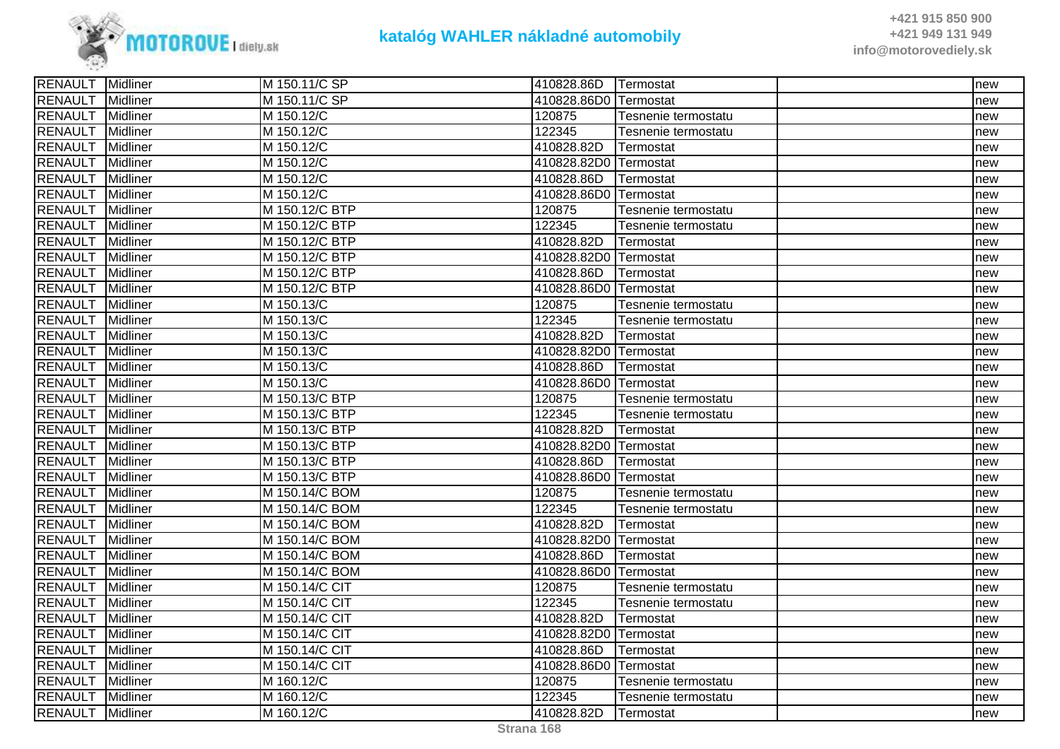

| M 150.11/C SP<br>410828.86D0 Termostat<br>Midliner<br>new<br>Midliner<br>M 150.12/C<br>120875<br>Tesnenie termostatu<br>new<br>Midliner<br>M 150.12/C<br>122345<br>Tesnenie termostatu<br>new<br>Midliner<br>M 150.12/C<br>410828.82D<br>Termostat<br>new<br>Midliner<br>M 150.12/C<br>410828.82D0 Termostat<br>new<br>Midliner<br>M 150.12/C<br>410828.86D<br>Termostat<br>new<br>Midliner<br>M 150.12/C<br>410828.86D0 Termostat<br>new<br>M 150.12/C BTP<br>Midliner<br>120875<br>Tesnenie termostatu<br>new<br>122345<br>Midliner<br>M 150.12/C BTP<br>Tesnenie termostatu<br>new<br>410828.82D<br><b>Midliner</b><br>M 150.12/C BTP<br>Termostat<br>new<br>Midliner<br>M 150.12/C BTP<br>410828.82D0 Termostat<br>new<br>M 150.12/C BTP<br>410828.86D<br>Midliner<br>Termostat<br>new<br><b>Midliner</b><br>M 150.12/C BTP<br>410828.86D0 Termostat<br>new<br>Midliner<br>120875<br>M 150.13/C<br>Tesnenie termostatu<br>new<br>122345<br>Midliner<br>M 150.13/C<br>Tesnenie termostatu<br>new<br>Midliner<br>M 150.13/C<br>410828.82D<br>Termostat<br>new<br>Midliner<br>410828.82D0 Termostat<br>M 150.13/C<br>new<br>Midliner<br>M 150.13/C<br>410828.86D<br>Termostat<br>new<br>Midliner<br>M 150.13/C<br>410828.86D0 Termostat<br>new<br><b>Midliner</b><br>M 150.13/C BTP<br>120875<br>Tesnenie termostatu<br>new<br>Midliner<br>M 150.13/C BTP<br>122345<br>Tesnenie termostatu<br>new<br><b>RENAULT</b><br>410828.82D<br>Midliner<br>M 150.13/C BTP<br>Termostat<br>new<br>Midliner<br>M 150.13/C BTP<br>410828.82D0 Termostat<br>new<br>Midliner<br>M 150.13/C BTP<br>410828.86D<br>Termostat<br>new<br><b>Midliner</b><br>M 150.13/C BTP<br>410828.86D0 Termostat<br>new<br><b>RENAULT</b><br>Midliner<br>M 150.14/C BOM<br>120875<br>Tesnenie termostatu<br>new<br><b>RENAULT</b><br>Midliner<br>122345<br>M 150.14/C BOM<br>Tesnenie termostatu<br>new<br><b>RENAULT</b><br>Midliner<br>M 150.14/C BOM<br>410828.82D<br>Termostat<br>new<br>M 150.14/C BOM<br><b>Midliner</b><br>410828.82D0 Termostat<br>new<br><b>RENAULT</b><br><b>Midliner</b><br>410828.86D<br>M 150.14/C BOM<br>Termostat<br>new<br><b>RENAULT</b><br>Midliner<br>M 150.14/C BOM<br>410828.86D0 Termostat<br>new<br><b>RENAULT</b><br>120875<br><b>Midliner</b><br>M 150.14/C CIT<br>Tesnenie termostatu<br>new<br><b>RENAULT</b><br>122345<br>Midliner<br>M 150.14/C CIT<br>Tesnenie termostatu<br>new<br><b>RENAULT</b><br>410828.82D<br><b>Midliner</b><br>M 150.14/C CIT<br>Termostat<br>new<br><b>RENAULT</b><br><b>Midliner</b><br>M 150.14/C CIT<br>410828.82D0 Termostat<br>new<br>Midliner<br>M 150.14/C CIT<br>410828.86D<br>Termostat<br>new<br><b>RENAULT</b><br>M 150.14/C CIT<br>410828.86D0 Termostat<br>Midliner<br>new<br><b>RENAULT</b><br>Midliner<br>120875<br>M 160.12/C<br>Tesnenie termostatu<br>new<br>122345<br><b>IMidliner</b><br>M 160.12/C<br>Tesnenie termostatu<br>new<br>RENAULT Midliner<br>M 160.12/C<br>410828.82D<br>Termostat<br>new | <b>RENAULT</b> Midliner | M 150.11/C SP | 410828.86D | <b>Termostat</b> | new |
|------------------------------------------------------------------------------------------------------------------------------------------------------------------------------------------------------------------------------------------------------------------------------------------------------------------------------------------------------------------------------------------------------------------------------------------------------------------------------------------------------------------------------------------------------------------------------------------------------------------------------------------------------------------------------------------------------------------------------------------------------------------------------------------------------------------------------------------------------------------------------------------------------------------------------------------------------------------------------------------------------------------------------------------------------------------------------------------------------------------------------------------------------------------------------------------------------------------------------------------------------------------------------------------------------------------------------------------------------------------------------------------------------------------------------------------------------------------------------------------------------------------------------------------------------------------------------------------------------------------------------------------------------------------------------------------------------------------------------------------------------------------------------------------------------------------------------------------------------------------------------------------------------------------------------------------------------------------------------------------------------------------------------------------------------------------------------------------------------------------------------------------------------------------------------------------------------------------------------------------------------------------------------------------------------------------------------------------------------------------------------------------------------------------------------------------------------------------------------------------------------------------------------------------------------------------------------------------------------------------------------------------------------------------------------------------------------------------------------------------------------------------------------------------------------------------------------------------------------------------------------------------------------------------------------------------------------------------|-------------------------|---------------|------------|------------------|-----|
|                                                                                                                                                                                                                                                                                                                                                                                                                                                                                                                                                                                                                                                                                                                                                                                                                                                                                                                                                                                                                                                                                                                                                                                                                                                                                                                                                                                                                                                                                                                                                                                                                                                                                                                                                                                                                                                                                                                                                                                                                                                                                                                                                                                                                                                                                                                                                                                                                                                                                                                                                                                                                                                                                                                                                                                                                                                                                                                                                                  | <b>RENAULT</b>          |               |            |                  |     |
|                                                                                                                                                                                                                                                                                                                                                                                                                                                                                                                                                                                                                                                                                                                                                                                                                                                                                                                                                                                                                                                                                                                                                                                                                                                                                                                                                                                                                                                                                                                                                                                                                                                                                                                                                                                                                                                                                                                                                                                                                                                                                                                                                                                                                                                                                                                                                                                                                                                                                                                                                                                                                                                                                                                                                                                                                                                                                                                                                                  | <b>RENAULT</b>          |               |            |                  |     |
|                                                                                                                                                                                                                                                                                                                                                                                                                                                                                                                                                                                                                                                                                                                                                                                                                                                                                                                                                                                                                                                                                                                                                                                                                                                                                                                                                                                                                                                                                                                                                                                                                                                                                                                                                                                                                                                                                                                                                                                                                                                                                                                                                                                                                                                                                                                                                                                                                                                                                                                                                                                                                                                                                                                                                                                                                                                                                                                                                                  | <b>RENAULT</b>          |               |            |                  |     |
|                                                                                                                                                                                                                                                                                                                                                                                                                                                                                                                                                                                                                                                                                                                                                                                                                                                                                                                                                                                                                                                                                                                                                                                                                                                                                                                                                                                                                                                                                                                                                                                                                                                                                                                                                                                                                                                                                                                                                                                                                                                                                                                                                                                                                                                                                                                                                                                                                                                                                                                                                                                                                                                                                                                                                                                                                                                                                                                                                                  | <b>RENAULT</b>          |               |            |                  |     |
|                                                                                                                                                                                                                                                                                                                                                                                                                                                                                                                                                                                                                                                                                                                                                                                                                                                                                                                                                                                                                                                                                                                                                                                                                                                                                                                                                                                                                                                                                                                                                                                                                                                                                                                                                                                                                                                                                                                                                                                                                                                                                                                                                                                                                                                                                                                                                                                                                                                                                                                                                                                                                                                                                                                                                                                                                                                                                                                                                                  | <b>RENAULT</b>          |               |            |                  |     |
|                                                                                                                                                                                                                                                                                                                                                                                                                                                                                                                                                                                                                                                                                                                                                                                                                                                                                                                                                                                                                                                                                                                                                                                                                                                                                                                                                                                                                                                                                                                                                                                                                                                                                                                                                                                                                                                                                                                                                                                                                                                                                                                                                                                                                                                                                                                                                                                                                                                                                                                                                                                                                                                                                                                                                                                                                                                                                                                                                                  | <b>RENAULT</b>          |               |            |                  |     |
|                                                                                                                                                                                                                                                                                                                                                                                                                                                                                                                                                                                                                                                                                                                                                                                                                                                                                                                                                                                                                                                                                                                                                                                                                                                                                                                                                                                                                                                                                                                                                                                                                                                                                                                                                                                                                                                                                                                                                                                                                                                                                                                                                                                                                                                                                                                                                                                                                                                                                                                                                                                                                                                                                                                                                                                                                                                                                                                                                                  | <b>RENAULT</b>          |               |            |                  |     |
|                                                                                                                                                                                                                                                                                                                                                                                                                                                                                                                                                                                                                                                                                                                                                                                                                                                                                                                                                                                                                                                                                                                                                                                                                                                                                                                                                                                                                                                                                                                                                                                                                                                                                                                                                                                                                                                                                                                                                                                                                                                                                                                                                                                                                                                                                                                                                                                                                                                                                                                                                                                                                                                                                                                                                                                                                                                                                                                                                                  | <b>RENAULT</b>          |               |            |                  |     |
|                                                                                                                                                                                                                                                                                                                                                                                                                                                                                                                                                                                                                                                                                                                                                                                                                                                                                                                                                                                                                                                                                                                                                                                                                                                                                                                                                                                                                                                                                                                                                                                                                                                                                                                                                                                                                                                                                                                                                                                                                                                                                                                                                                                                                                                                                                                                                                                                                                                                                                                                                                                                                                                                                                                                                                                                                                                                                                                                                                  | <b>RENAULT</b>          |               |            |                  |     |
|                                                                                                                                                                                                                                                                                                                                                                                                                                                                                                                                                                                                                                                                                                                                                                                                                                                                                                                                                                                                                                                                                                                                                                                                                                                                                                                                                                                                                                                                                                                                                                                                                                                                                                                                                                                                                                                                                                                                                                                                                                                                                                                                                                                                                                                                                                                                                                                                                                                                                                                                                                                                                                                                                                                                                                                                                                                                                                                                                                  | <b>RENAULT</b>          |               |            |                  |     |
|                                                                                                                                                                                                                                                                                                                                                                                                                                                                                                                                                                                                                                                                                                                                                                                                                                                                                                                                                                                                                                                                                                                                                                                                                                                                                                                                                                                                                                                                                                                                                                                                                                                                                                                                                                                                                                                                                                                                                                                                                                                                                                                                                                                                                                                                                                                                                                                                                                                                                                                                                                                                                                                                                                                                                                                                                                                                                                                                                                  | <b>RENAULT</b>          |               |            |                  |     |
|                                                                                                                                                                                                                                                                                                                                                                                                                                                                                                                                                                                                                                                                                                                                                                                                                                                                                                                                                                                                                                                                                                                                                                                                                                                                                                                                                                                                                                                                                                                                                                                                                                                                                                                                                                                                                                                                                                                                                                                                                                                                                                                                                                                                                                                                                                                                                                                                                                                                                                                                                                                                                                                                                                                                                                                                                                                                                                                                                                  | <b>RENAULT</b>          |               |            |                  |     |
|                                                                                                                                                                                                                                                                                                                                                                                                                                                                                                                                                                                                                                                                                                                                                                                                                                                                                                                                                                                                                                                                                                                                                                                                                                                                                                                                                                                                                                                                                                                                                                                                                                                                                                                                                                                                                                                                                                                                                                                                                                                                                                                                                                                                                                                                                                                                                                                                                                                                                                                                                                                                                                                                                                                                                                                                                                                                                                                                                                  | <b>RENAULT</b>          |               |            |                  |     |
|                                                                                                                                                                                                                                                                                                                                                                                                                                                                                                                                                                                                                                                                                                                                                                                                                                                                                                                                                                                                                                                                                                                                                                                                                                                                                                                                                                                                                                                                                                                                                                                                                                                                                                                                                                                                                                                                                                                                                                                                                                                                                                                                                                                                                                                                                                                                                                                                                                                                                                                                                                                                                                                                                                                                                                                                                                                                                                                                                                  | <b>RENAULT</b>          |               |            |                  |     |
|                                                                                                                                                                                                                                                                                                                                                                                                                                                                                                                                                                                                                                                                                                                                                                                                                                                                                                                                                                                                                                                                                                                                                                                                                                                                                                                                                                                                                                                                                                                                                                                                                                                                                                                                                                                                                                                                                                                                                                                                                                                                                                                                                                                                                                                                                                                                                                                                                                                                                                                                                                                                                                                                                                                                                                                                                                                                                                                                                                  | <b>RENAULT</b>          |               |            |                  |     |
|                                                                                                                                                                                                                                                                                                                                                                                                                                                                                                                                                                                                                                                                                                                                                                                                                                                                                                                                                                                                                                                                                                                                                                                                                                                                                                                                                                                                                                                                                                                                                                                                                                                                                                                                                                                                                                                                                                                                                                                                                                                                                                                                                                                                                                                                                                                                                                                                                                                                                                                                                                                                                                                                                                                                                                                                                                                                                                                                                                  | <b>RENAULT</b>          |               |            |                  |     |
|                                                                                                                                                                                                                                                                                                                                                                                                                                                                                                                                                                                                                                                                                                                                                                                                                                                                                                                                                                                                                                                                                                                                                                                                                                                                                                                                                                                                                                                                                                                                                                                                                                                                                                                                                                                                                                                                                                                                                                                                                                                                                                                                                                                                                                                                                                                                                                                                                                                                                                                                                                                                                                                                                                                                                                                                                                                                                                                                                                  | <b>RENAULT</b>          |               |            |                  |     |
|                                                                                                                                                                                                                                                                                                                                                                                                                                                                                                                                                                                                                                                                                                                                                                                                                                                                                                                                                                                                                                                                                                                                                                                                                                                                                                                                                                                                                                                                                                                                                                                                                                                                                                                                                                                                                                                                                                                                                                                                                                                                                                                                                                                                                                                                                                                                                                                                                                                                                                                                                                                                                                                                                                                                                                                                                                                                                                                                                                  | <b>RENAULT</b>          |               |            |                  |     |
|                                                                                                                                                                                                                                                                                                                                                                                                                                                                                                                                                                                                                                                                                                                                                                                                                                                                                                                                                                                                                                                                                                                                                                                                                                                                                                                                                                                                                                                                                                                                                                                                                                                                                                                                                                                                                                                                                                                                                                                                                                                                                                                                                                                                                                                                                                                                                                                                                                                                                                                                                                                                                                                                                                                                                                                                                                                                                                                                                                  | <b>RENAULT</b>          |               |            |                  |     |
|                                                                                                                                                                                                                                                                                                                                                                                                                                                                                                                                                                                                                                                                                                                                                                                                                                                                                                                                                                                                                                                                                                                                                                                                                                                                                                                                                                                                                                                                                                                                                                                                                                                                                                                                                                                                                                                                                                                                                                                                                                                                                                                                                                                                                                                                                                                                                                                                                                                                                                                                                                                                                                                                                                                                                                                                                                                                                                                                                                  | <b>RENAULT</b>          |               |            |                  |     |
|                                                                                                                                                                                                                                                                                                                                                                                                                                                                                                                                                                                                                                                                                                                                                                                                                                                                                                                                                                                                                                                                                                                                                                                                                                                                                                                                                                                                                                                                                                                                                                                                                                                                                                                                                                                                                                                                                                                                                                                                                                                                                                                                                                                                                                                                                                                                                                                                                                                                                                                                                                                                                                                                                                                                                                                                                                                                                                                                                                  | <b>RENAULT</b>          |               |            |                  |     |
|                                                                                                                                                                                                                                                                                                                                                                                                                                                                                                                                                                                                                                                                                                                                                                                                                                                                                                                                                                                                                                                                                                                                                                                                                                                                                                                                                                                                                                                                                                                                                                                                                                                                                                                                                                                                                                                                                                                                                                                                                                                                                                                                                                                                                                                                                                                                                                                                                                                                                                                                                                                                                                                                                                                                                                                                                                                                                                                                                                  |                         |               |            |                  |     |
|                                                                                                                                                                                                                                                                                                                                                                                                                                                                                                                                                                                                                                                                                                                                                                                                                                                                                                                                                                                                                                                                                                                                                                                                                                                                                                                                                                                                                                                                                                                                                                                                                                                                                                                                                                                                                                                                                                                                                                                                                                                                                                                                                                                                                                                                                                                                                                                                                                                                                                                                                                                                                                                                                                                                                                                                                                                                                                                                                                  | <b>RENAULT</b>          |               |            |                  |     |
|                                                                                                                                                                                                                                                                                                                                                                                                                                                                                                                                                                                                                                                                                                                                                                                                                                                                                                                                                                                                                                                                                                                                                                                                                                                                                                                                                                                                                                                                                                                                                                                                                                                                                                                                                                                                                                                                                                                                                                                                                                                                                                                                                                                                                                                                                                                                                                                                                                                                                                                                                                                                                                                                                                                                                                                                                                                                                                                                                                  | <b>RENAULT</b>          |               |            |                  |     |
|                                                                                                                                                                                                                                                                                                                                                                                                                                                                                                                                                                                                                                                                                                                                                                                                                                                                                                                                                                                                                                                                                                                                                                                                                                                                                                                                                                                                                                                                                                                                                                                                                                                                                                                                                                                                                                                                                                                                                                                                                                                                                                                                                                                                                                                                                                                                                                                                                                                                                                                                                                                                                                                                                                                                                                                                                                                                                                                                                                  | <b>RENAULT</b>          |               |            |                  |     |
|                                                                                                                                                                                                                                                                                                                                                                                                                                                                                                                                                                                                                                                                                                                                                                                                                                                                                                                                                                                                                                                                                                                                                                                                                                                                                                                                                                                                                                                                                                                                                                                                                                                                                                                                                                                                                                                                                                                                                                                                                                                                                                                                                                                                                                                                                                                                                                                                                                                                                                                                                                                                                                                                                                                                                                                                                                                                                                                                                                  |                         |               |            |                  |     |
|                                                                                                                                                                                                                                                                                                                                                                                                                                                                                                                                                                                                                                                                                                                                                                                                                                                                                                                                                                                                                                                                                                                                                                                                                                                                                                                                                                                                                                                                                                                                                                                                                                                                                                                                                                                                                                                                                                                                                                                                                                                                                                                                                                                                                                                                                                                                                                                                                                                                                                                                                                                                                                                                                                                                                                                                                                                                                                                                                                  |                         |               |            |                  |     |
|                                                                                                                                                                                                                                                                                                                                                                                                                                                                                                                                                                                                                                                                                                                                                                                                                                                                                                                                                                                                                                                                                                                                                                                                                                                                                                                                                                                                                                                                                                                                                                                                                                                                                                                                                                                                                                                                                                                                                                                                                                                                                                                                                                                                                                                                                                                                                                                                                                                                                                                                                                                                                                                                                                                                                                                                                                                                                                                                                                  |                         |               |            |                  |     |
|                                                                                                                                                                                                                                                                                                                                                                                                                                                                                                                                                                                                                                                                                                                                                                                                                                                                                                                                                                                                                                                                                                                                                                                                                                                                                                                                                                                                                                                                                                                                                                                                                                                                                                                                                                                                                                                                                                                                                                                                                                                                                                                                                                                                                                                                                                                                                                                                                                                                                                                                                                                                                                                                                                                                                                                                                                                                                                                                                                  | <b>RENAULT</b>          |               |            |                  |     |
|                                                                                                                                                                                                                                                                                                                                                                                                                                                                                                                                                                                                                                                                                                                                                                                                                                                                                                                                                                                                                                                                                                                                                                                                                                                                                                                                                                                                                                                                                                                                                                                                                                                                                                                                                                                                                                                                                                                                                                                                                                                                                                                                                                                                                                                                                                                                                                                                                                                                                                                                                                                                                                                                                                                                                                                                                                                                                                                                                                  |                         |               |            |                  |     |
|                                                                                                                                                                                                                                                                                                                                                                                                                                                                                                                                                                                                                                                                                                                                                                                                                                                                                                                                                                                                                                                                                                                                                                                                                                                                                                                                                                                                                                                                                                                                                                                                                                                                                                                                                                                                                                                                                                                                                                                                                                                                                                                                                                                                                                                                                                                                                                                                                                                                                                                                                                                                                                                                                                                                                                                                                                                                                                                                                                  |                         |               |            |                  |     |
|                                                                                                                                                                                                                                                                                                                                                                                                                                                                                                                                                                                                                                                                                                                                                                                                                                                                                                                                                                                                                                                                                                                                                                                                                                                                                                                                                                                                                                                                                                                                                                                                                                                                                                                                                                                                                                                                                                                                                                                                                                                                                                                                                                                                                                                                                                                                                                                                                                                                                                                                                                                                                                                                                                                                                                                                                                                                                                                                                                  |                         |               |            |                  |     |
|                                                                                                                                                                                                                                                                                                                                                                                                                                                                                                                                                                                                                                                                                                                                                                                                                                                                                                                                                                                                                                                                                                                                                                                                                                                                                                                                                                                                                                                                                                                                                                                                                                                                                                                                                                                                                                                                                                                                                                                                                                                                                                                                                                                                                                                                                                                                                                                                                                                                                                                                                                                                                                                                                                                                                                                                                                                                                                                                                                  |                         |               |            |                  |     |
|                                                                                                                                                                                                                                                                                                                                                                                                                                                                                                                                                                                                                                                                                                                                                                                                                                                                                                                                                                                                                                                                                                                                                                                                                                                                                                                                                                                                                                                                                                                                                                                                                                                                                                                                                                                                                                                                                                                                                                                                                                                                                                                                                                                                                                                                                                                                                                                                                                                                                                                                                                                                                                                                                                                                                                                                                                                                                                                                                                  |                         |               |            |                  |     |
|                                                                                                                                                                                                                                                                                                                                                                                                                                                                                                                                                                                                                                                                                                                                                                                                                                                                                                                                                                                                                                                                                                                                                                                                                                                                                                                                                                                                                                                                                                                                                                                                                                                                                                                                                                                                                                                                                                                                                                                                                                                                                                                                                                                                                                                                                                                                                                                                                                                                                                                                                                                                                                                                                                                                                                                                                                                                                                                                                                  |                         |               |            |                  |     |
|                                                                                                                                                                                                                                                                                                                                                                                                                                                                                                                                                                                                                                                                                                                                                                                                                                                                                                                                                                                                                                                                                                                                                                                                                                                                                                                                                                                                                                                                                                                                                                                                                                                                                                                                                                                                                                                                                                                                                                                                                                                                                                                                                                                                                                                                                                                                                                                                                                                                                                                                                                                                                                                                                                                                                                                                                                                                                                                                                                  | <b>RENAULT</b>          |               |            |                  |     |
|                                                                                                                                                                                                                                                                                                                                                                                                                                                                                                                                                                                                                                                                                                                                                                                                                                                                                                                                                                                                                                                                                                                                                                                                                                                                                                                                                                                                                                                                                                                                                                                                                                                                                                                                                                                                                                                                                                                                                                                                                                                                                                                                                                                                                                                                                                                                                                                                                                                                                                                                                                                                                                                                                                                                                                                                                                                                                                                                                                  |                         |               |            |                  |     |
|                                                                                                                                                                                                                                                                                                                                                                                                                                                                                                                                                                                                                                                                                                                                                                                                                                                                                                                                                                                                                                                                                                                                                                                                                                                                                                                                                                                                                                                                                                                                                                                                                                                                                                                                                                                                                                                                                                                                                                                                                                                                                                                                                                                                                                                                                                                                                                                                                                                                                                                                                                                                                                                                                                                                                                                                                                                                                                                                                                  |                         |               |            |                  |     |
|                                                                                                                                                                                                                                                                                                                                                                                                                                                                                                                                                                                                                                                                                                                                                                                                                                                                                                                                                                                                                                                                                                                                                                                                                                                                                                                                                                                                                                                                                                                                                                                                                                                                                                                                                                                                                                                                                                                                                                                                                                                                                                                                                                                                                                                                                                                                                                                                                                                                                                                                                                                                                                                                                                                                                                                                                                                                                                                                                                  | <b>RENAULT</b>          |               |            |                  |     |
|                                                                                                                                                                                                                                                                                                                                                                                                                                                                                                                                                                                                                                                                                                                                                                                                                                                                                                                                                                                                                                                                                                                                                                                                                                                                                                                                                                                                                                                                                                                                                                                                                                                                                                                                                                                                                                                                                                                                                                                                                                                                                                                                                                                                                                                                                                                                                                                                                                                                                                                                                                                                                                                                                                                                                                                                                                                                                                                                                                  |                         |               |            |                  |     |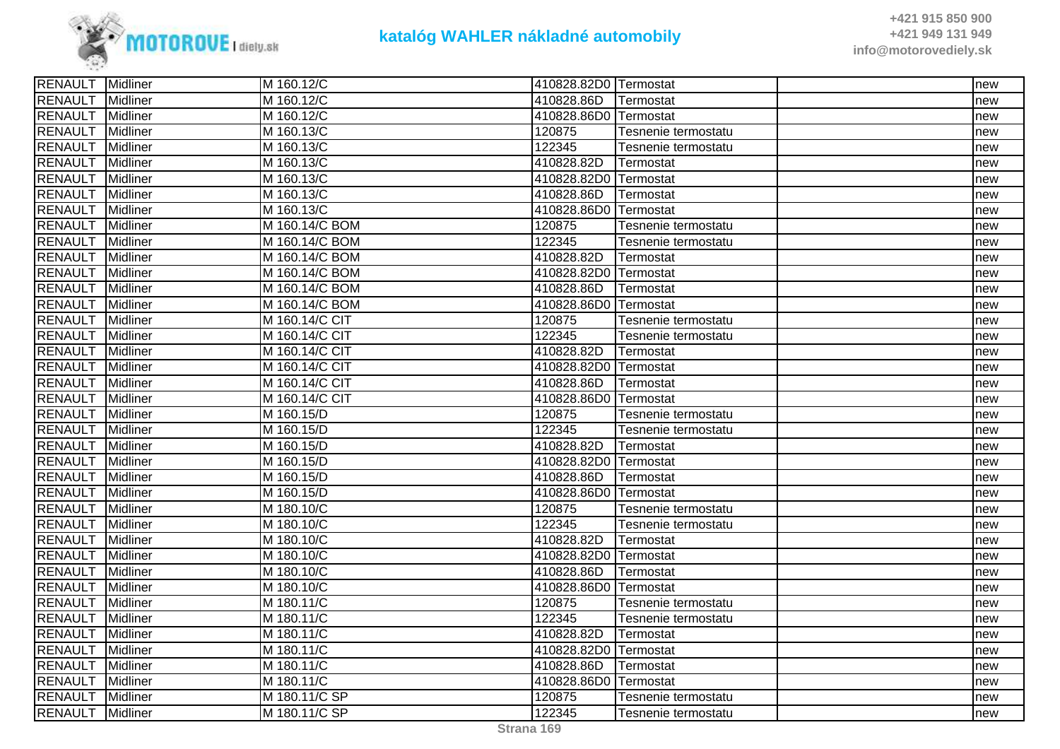

| 410828.86D<br>Midliner<br>M 160.12/C<br>Termostat<br>new<br>410828.86D0 Termostat<br>Midliner<br>M 160.12/C<br>new<br>Midliner<br>120875<br>M 160.13/C<br>Tesnenie termostatu<br>new<br>122345<br><b>Midliner</b><br>M 160.13/C<br>Tesnenie termostatu<br>new<br><b>Midliner</b><br>M 160.13/C<br>410828.82D<br>Termostat<br>new<br><b>Midliner</b><br>M 160.13/C<br>410828.82D0 Termostat<br>new<br>Midliner<br>M 160.13/C<br>410828.86D<br>Termostat<br>new<br><b>Midliner</b><br>410828.86D0 Termostat<br>M 160.13/C<br>new<br>M 160.14/C BOM<br>120875<br>Midliner<br>Tesnenie termostatu<br>new<br>122345<br>Midliner<br>M 160.14/C BOM<br>Tesnenie termostatu<br>new<br><b>Midliner</b><br>M 160.14/C BOM<br>410828.82D<br>Termostat<br>new<br><b>Midliner</b><br>M 160.14/C BOM<br>410828.82D0 Termostat<br>new<br>Midliner<br>M 160.14/C BOM<br>410828.86D<br>Termostat<br>new<br>Midliner<br>M 160.14/C BOM<br>410828.86D0 Termostat<br>new<br>Midliner<br>M 160.14/C CIT<br>120875<br>Tesnenie termostatu<br>new<br>122345<br>Midliner<br>M 160.14/C CIT<br>Tesnenie termostatu<br>new<br>Midliner<br>M 160.14/C CIT<br>410828.82D<br>Termostat<br>new<br><b>Midliner</b><br>M 160.14/C CIT<br>410828.82D0 Termostat<br>new<br><b>Midliner</b><br>M 160.14/C CIT<br>410828.86D<br>Termostat<br>new<br>Midliner<br>M 160.14/C CIT<br>410828.86D0 Termostat<br>new<br>120875<br>Midliner<br>M 160.15/D<br>Tesnenie termostatu<br>new<br>122345<br>Midliner<br>M 160.15/D<br>Tesnenie termostatu<br>new<br>Midliner<br>M 160.15/D<br>410828.82D<br>Termostat<br>new<br>Midliner<br>M 160.15/D<br>410828.82D0 Termostat<br>new<br>Midliner<br>410828.86D<br>M 160.15/D<br>Termostat<br>new<br>Midliner<br>410828.86D0 Termostat<br>M 160.15/D<br>new<br>Midliner<br>M 180.10/C<br>120875<br>Tesnenie termostatu<br>new<br><b>RENAULT</b><br>122345<br>Midliner<br>M 180.10/C<br>Tesnenie termostatu<br>new<br><b>Midliner</b><br>M 180.10/C<br>410828.82D<br>Termostat<br>new<br>Midliner<br>410828.82D0 Termostat<br>M 180.10/C<br>new<br>410828.86D<br>Midliner<br>M 180.10/C<br>Termostat<br>new<br>Midliner<br>410828.86D0 Termostat<br>M 180.10/C<br>new<br>120875<br><b>IMidliner</b><br>M 180.11/C<br>Tesnenie termostatu<br>new<br>122345<br>Midliner<br>M 180.11/C<br>Tesnenie termostatu<br>new<br><b>RENAULT</b><br>Midliner<br>410828.82D<br>M 180.11/C<br>Termostat<br>new<br><b>Midliner</b><br>M 180.11/C<br>410828.82D0 Termostat<br>new<br>Midliner<br>410828.86D<br>M 180.11/C<br>Termostat<br>new<br>M 180.11/C<br>410828.86D0 Termostat<br>Midliner<br>new<br>Midliner<br>M 180.11/C SP<br>120875<br>Tesnenie termostatu<br>new<br>RENAULT Midliner<br>122345<br>M 180.11/C SP<br>Tesnenie termostatu<br>new | <b>RENAULT</b> Midliner | M 160.12/C | 410828.82D0 Termostat | new |
|----------------------------------------------------------------------------------------------------------------------------------------------------------------------------------------------------------------------------------------------------------------------------------------------------------------------------------------------------------------------------------------------------------------------------------------------------------------------------------------------------------------------------------------------------------------------------------------------------------------------------------------------------------------------------------------------------------------------------------------------------------------------------------------------------------------------------------------------------------------------------------------------------------------------------------------------------------------------------------------------------------------------------------------------------------------------------------------------------------------------------------------------------------------------------------------------------------------------------------------------------------------------------------------------------------------------------------------------------------------------------------------------------------------------------------------------------------------------------------------------------------------------------------------------------------------------------------------------------------------------------------------------------------------------------------------------------------------------------------------------------------------------------------------------------------------------------------------------------------------------------------------------------------------------------------------------------------------------------------------------------------------------------------------------------------------------------------------------------------------------------------------------------------------------------------------------------------------------------------------------------------------------------------------------------------------------------------------------------------------------------------------------------------------------------------------------------------------------------------------------------------------------------------------------------------------------------------------------------------------------------------------------------------------------------------------------------------------------------------------|-------------------------|------------|-----------------------|-----|
|                                                                                                                                                                                                                                                                                                                                                                                                                                                                                                                                                                                                                                                                                                                                                                                                                                                                                                                                                                                                                                                                                                                                                                                                                                                                                                                                                                                                                                                                                                                                                                                                                                                                                                                                                                                                                                                                                                                                                                                                                                                                                                                                                                                                                                                                                                                                                                                                                                                                                                                                                                                                                                                                                                                                        | <b>RENAULT</b>          |            |                       |     |
|                                                                                                                                                                                                                                                                                                                                                                                                                                                                                                                                                                                                                                                                                                                                                                                                                                                                                                                                                                                                                                                                                                                                                                                                                                                                                                                                                                                                                                                                                                                                                                                                                                                                                                                                                                                                                                                                                                                                                                                                                                                                                                                                                                                                                                                                                                                                                                                                                                                                                                                                                                                                                                                                                                                                        | <b>RENAULT</b>          |            |                       |     |
|                                                                                                                                                                                                                                                                                                                                                                                                                                                                                                                                                                                                                                                                                                                                                                                                                                                                                                                                                                                                                                                                                                                                                                                                                                                                                                                                                                                                                                                                                                                                                                                                                                                                                                                                                                                                                                                                                                                                                                                                                                                                                                                                                                                                                                                                                                                                                                                                                                                                                                                                                                                                                                                                                                                                        | <b>RENAULT</b>          |            |                       |     |
|                                                                                                                                                                                                                                                                                                                                                                                                                                                                                                                                                                                                                                                                                                                                                                                                                                                                                                                                                                                                                                                                                                                                                                                                                                                                                                                                                                                                                                                                                                                                                                                                                                                                                                                                                                                                                                                                                                                                                                                                                                                                                                                                                                                                                                                                                                                                                                                                                                                                                                                                                                                                                                                                                                                                        | <b>RENAULT</b>          |            |                       |     |
|                                                                                                                                                                                                                                                                                                                                                                                                                                                                                                                                                                                                                                                                                                                                                                                                                                                                                                                                                                                                                                                                                                                                                                                                                                                                                                                                                                                                                                                                                                                                                                                                                                                                                                                                                                                                                                                                                                                                                                                                                                                                                                                                                                                                                                                                                                                                                                                                                                                                                                                                                                                                                                                                                                                                        | <b>RENAULT</b>          |            |                       |     |
|                                                                                                                                                                                                                                                                                                                                                                                                                                                                                                                                                                                                                                                                                                                                                                                                                                                                                                                                                                                                                                                                                                                                                                                                                                                                                                                                                                                                                                                                                                                                                                                                                                                                                                                                                                                                                                                                                                                                                                                                                                                                                                                                                                                                                                                                                                                                                                                                                                                                                                                                                                                                                                                                                                                                        | <b>RENAULT</b>          |            |                       |     |
|                                                                                                                                                                                                                                                                                                                                                                                                                                                                                                                                                                                                                                                                                                                                                                                                                                                                                                                                                                                                                                                                                                                                                                                                                                                                                                                                                                                                                                                                                                                                                                                                                                                                                                                                                                                                                                                                                                                                                                                                                                                                                                                                                                                                                                                                                                                                                                                                                                                                                                                                                                                                                                                                                                                                        | <b>RENAULT</b>          |            |                       |     |
|                                                                                                                                                                                                                                                                                                                                                                                                                                                                                                                                                                                                                                                                                                                                                                                                                                                                                                                                                                                                                                                                                                                                                                                                                                                                                                                                                                                                                                                                                                                                                                                                                                                                                                                                                                                                                                                                                                                                                                                                                                                                                                                                                                                                                                                                                                                                                                                                                                                                                                                                                                                                                                                                                                                                        | <b>RENAULT</b>          |            |                       |     |
|                                                                                                                                                                                                                                                                                                                                                                                                                                                                                                                                                                                                                                                                                                                                                                                                                                                                                                                                                                                                                                                                                                                                                                                                                                                                                                                                                                                                                                                                                                                                                                                                                                                                                                                                                                                                                                                                                                                                                                                                                                                                                                                                                                                                                                                                                                                                                                                                                                                                                                                                                                                                                                                                                                                                        | <b>RENAULT</b>          |            |                       |     |
|                                                                                                                                                                                                                                                                                                                                                                                                                                                                                                                                                                                                                                                                                                                                                                                                                                                                                                                                                                                                                                                                                                                                                                                                                                                                                                                                                                                                                                                                                                                                                                                                                                                                                                                                                                                                                                                                                                                                                                                                                                                                                                                                                                                                                                                                                                                                                                                                                                                                                                                                                                                                                                                                                                                                        | <b>RENAULT</b>          |            |                       |     |
|                                                                                                                                                                                                                                                                                                                                                                                                                                                                                                                                                                                                                                                                                                                                                                                                                                                                                                                                                                                                                                                                                                                                                                                                                                                                                                                                                                                                                                                                                                                                                                                                                                                                                                                                                                                                                                                                                                                                                                                                                                                                                                                                                                                                                                                                                                                                                                                                                                                                                                                                                                                                                                                                                                                                        | <b>RENAULT</b>          |            |                       |     |
|                                                                                                                                                                                                                                                                                                                                                                                                                                                                                                                                                                                                                                                                                                                                                                                                                                                                                                                                                                                                                                                                                                                                                                                                                                                                                                                                                                                                                                                                                                                                                                                                                                                                                                                                                                                                                                                                                                                                                                                                                                                                                                                                                                                                                                                                                                                                                                                                                                                                                                                                                                                                                                                                                                                                        | <b>RENAULT</b>          |            |                       |     |
|                                                                                                                                                                                                                                                                                                                                                                                                                                                                                                                                                                                                                                                                                                                                                                                                                                                                                                                                                                                                                                                                                                                                                                                                                                                                                                                                                                                                                                                                                                                                                                                                                                                                                                                                                                                                                                                                                                                                                                                                                                                                                                                                                                                                                                                                                                                                                                                                                                                                                                                                                                                                                                                                                                                                        | <b>RENAULT</b>          |            |                       |     |
|                                                                                                                                                                                                                                                                                                                                                                                                                                                                                                                                                                                                                                                                                                                                                                                                                                                                                                                                                                                                                                                                                                                                                                                                                                                                                                                                                                                                                                                                                                                                                                                                                                                                                                                                                                                                                                                                                                                                                                                                                                                                                                                                                                                                                                                                                                                                                                                                                                                                                                                                                                                                                                                                                                                                        | <b>RENAULT</b>          |            |                       |     |
|                                                                                                                                                                                                                                                                                                                                                                                                                                                                                                                                                                                                                                                                                                                                                                                                                                                                                                                                                                                                                                                                                                                                                                                                                                                                                                                                                                                                                                                                                                                                                                                                                                                                                                                                                                                                                                                                                                                                                                                                                                                                                                                                                                                                                                                                                                                                                                                                                                                                                                                                                                                                                                                                                                                                        | <b>RENAULT</b>          |            |                       |     |
|                                                                                                                                                                                                                                                                                                                                                                                                                                                                                                                                                                                                                                                                                                                                                                                                                                                                                                                                                                                                                                                                                                                                                                                                                                                                                                                                                                                                                                                                                                                                                                                                                                                                                                                                                                                                                                                                                                                                                                                                                                                                                                                                                                                                                                                                                                                                                                                                                                                                                                                                                                                                                                                                                                                                        | <b>RENAULT</b>          |            |                       |     |
|                                                                                                                                                                                                                                                                                                                                                                                                                                                                                                                                                                                                                                                                                                                                                                                                                                                                                                                                                                                                                                                                                                                                                                                                                                                                                                                                                                                                                                                                                                                                                                                                                                                                                                                                                                                                                                                                                                                                                                                                                                                                                                                                                                                                                                                                                                                                                                                                                                                                                                                                                                                                                                                                                                                                        | <b>RENAULT</b>          |            |                       |     |
|                                                                                                                                                                                                                                                                                                                                                                                                                                                                                                                                                                                                                                                                                                                                                                                                                                                                                                                                                                                                                                                                                                                                                                                                                                                                                                                                                                                                                                                                                                                                                                                                                                                                                                                                                                                                                                                                                                                                                                                                                                                                                                                                                                                                                                                                                                                                                                                                                                                                                                                                                                                                                                                                                                                                        | <b>RENAULT</b>          |            |                       |     |
|                                                                                                                                                                                                                                                                                                                                                                                                                                                                                                                                                                                                                                                                                                                                                                                                                                                                                                                                                                                                                                                                                                                                                                                                                                                                                                                                                                                                                                                                                                                                                                                                                                                                                                                                                                                                                                                                                                                                                                                                                                                                                                                                                                                                                                                                                                                                                                                                                                                                                                                                                                                                                                                                                                                                        | <b>RENAULT</b>          |            |                       |     |
|                                                                                                                                                                                                                                                                                                                                                                                                                                                                                                                                                                                                                                                                                                                                                                                                                                                                                                                                                                                                                                                                                                                                                                                                                                                                                                                                                                                                                                                                                                                                                                                                                                                                                                                                                                                                                                                                                                                                                                                                                                                                                                                                                                                                                                                                                                                                                                                                                                                                                                                                                                                                                                                                                                                                        | <b>RENAULT</b>          |            |                       |     |
|                                                                                                                                                                                                                                                                                                                                                                                                                                                                                                                                                                                                                                                                                                                                                                                                                                                                                                                                                                                                                                                                                                                                                                                                                                                                                                                                                                                                                                                                                                                                                                                                                                                                                                                                                                                                                                                                                                                                                                                                                                                                                                                                                                                                                                                                                                                                                                                                                                                                                                                                                                                                                                                                                                                                        | <b>RENAULT</b>          |            |                       |     |
|                                                                                                                                                                                                                                                                                                                                                                                                                                                                                                                                                                                                                                                                                                                                                                                                                                                                                                                                                                                                                                                                                                                                                                                                                                                                                                                                                                                                                                                                                                                                                                                                                                                                                                                                                                                                                                                                                                                                                                                                                                                                                                                                                                                                                                                                                                                                                                                                                                                                                                                                                                                                                                                                                                                                        | <b>RENAULT</b>          |            |                       |     |
|                                                                                                                                                                                                                                                                                                                                                                                                                                                                                                                                                                                                                                                                                                                                                                                                                                                                                                                                                                                                                                                                                                                                                                                                                                                                                                                                                                                                                                                                                                                                                                                                                                                                                                                                                                                                                                                                                                                                                                                                                                                                                                                                                                                                                                                                                                                                                                                                                                                                                                                                                                                                                                                                                                                                        | <b>RENAULT</b>          |            |                       |     |
|                                                                                                                                                                                                                                                                                                                                                                                                                                                                                                                                                                                                                                                                                                                                                                                                                                                                                                                                                                                                                                                                                                                                                                                                                                                                                                                                                                                                                                                                                                                                                                                                                                                                                                                                                                                                                                                                                                                                                                                                                                                                                                                                                                                                                                                                                                                                                                                                                                                                                                                                                                                                                                                                                                                                        | <b>RENAULT</b>          |            |                       |     |
|                                                                                                                                                                                                                                                                                                                                                                                                                                                                                                                                                                                                                                                                                                                                                                                                                                                                                                                                                                                                                                                                                                                                                                                                                                                                                                                                                                                                                                                                                                                                                                                                                                                                                                                                                                                                                                                                                                                                                                                                                                                                                                                                                                                                                                                                                                                                                                                                                                                                                                                                                                                                                                                                                                                                        | <b>RENAULT</b>          |            |                       |     |
|                                                                                                                                                                                                                                                                                                                                                                                                                                                                                                                                                                                                                                                                                                                                                                                                                                                                                                                                                                                                                                                                                                                                                                                                                                                                                                                                                                                                                                                                                                                                                                                                                                                                                                                                                                                                                                                                                                                                                                                                                                                                                                                                                                                                                                                                                                                                                                                                                                                                                                                                                                                                                                                                                                                                        | <b>RENAULT</b>          |            |                       |     |
|                                                                                                                                                                                                                                                                                                                                                                                                                                                                                                                                                                                                                                                                                                                                                                                                                                                                                                                                                                                                                                                                                                                                                                                                                                                                                                                                                                                                                                                                                                                                                                                                                                                                                                                                                                                                                                                                                                                                                                                                                                                                                                                                                                                                                                                                                                                                                                                                                                                                                                                                                                                                                                                                                                                                        | <b>RENAULT</b>          |            |                       |     |
|                                                                                                                                                                                                                                                                                                                                                                                                                                                                                                                                                                                                                                                                                                                                                                                                                                                                                                                                                                                                                                                                                                                                                                                                                                                                                                                                                                                                                                                                                                                                                                                                                                                                                                                                                                                                                                                                                                                                                                                                                                                                                                                                                                                                                                                                                                                                                                                                                                                                                                                                                                                                                                                                                                                                        |                         |            |                       |     |
|                                                                                                                                                                                                                                                                                                                                                                                                                                                                                                                                                                                                                                                                                                                                                                                                                                                                                                                                                                                                                                                                                                                                                                                                                                                                                                                                                                                                                                                                                                                                                                                                                                                                                                                                                                                                                                                                                                                                                                                                                                                                                                                                                                                                                                                                                                                                                                                                                                                                                                                                                                                                                                                                                                                                        | <b>RENAULT</b>          |            |                       |     |
|                                                                                                                                                                                                                                                                                                                                                                                                                                                                                                                                                                                                                                                                                                                                                                                                                                                                                                                                                                                                                                                                                                                                                                                                                                                                                                                                                                                                                                                                                                                                                                                                                                                                                                                                                                                                                                                                                                                                                                                                                                                                                                                                                                                                                                                                                                                                                                                                                                                                                                                                                                                                                                                                                                                                        | <b>RENAULT</b>          |            |                       |     |
|                                                                                                                                                                                                                                                                                                                                                                                                                                                                                                                                                                                                                                                                                                                                                                                                                                                                                                                                                                                                                                                                                                                                                                                                                                                                                                                                                                                                                                                                                                                                                                                                                                                                                                                                                                                                                                                                                                                                                                                                                                                                                                                                                                                                                                                                                                                                                                                                                                                                                                                                                                                                                                                                                                                                        | <b>RENAULT</b>          |            |                       |     |
|                                                                                                                                                                                                                                                                                                                                                                                                                                                                                                                                                                                                                                                                                                                                                                                                                                                                                                                                                                                                                                                                                                                                                                                                                                                                                                                                                                                                                                                                                                                                                                                                                                                                                                                                                                                                                                                                                                                                                                                                                                                                                                                                                                                                                                                                                                                                                                                                                                                                                                                                                                                                                                                                                                                                        | <b>RENAULT</b>          |            |                       |     |
|                                                                                                                                                                                                                                                                                                                                                                                                                                                                                                                                                                                                                                                                                                                                                                                                                                                                                                                                                                                                                                                                                                                                                                                                                                                                                                                                                                                                                                                                                                                                                                                                                                                                                                                                                                                                                                                                                                                                                                                                                                                                                                                                                                                                                                                                                                                                                                                                                                                                                                                                                                                                                                                                                                                                        | <b>RENAULT</b>          |            |                       |     |
|                                                                                                                                                                                                                                                                                                                                                                                                                                                                                                                                                                                                                                                                                                                                                                                                                                                                                                                                                                                                                                                                                                                                                                                                                                                                                                                                                                                                                                                                                                                                                                                                                                                                                                                                                                                                                                                                                                                                                                                                                                                                                                                                                                                                                                                                                                                                                                                                                                                                                                                                                                                                                                                                                                                                        | <b>RENAULT</b>          |            |                       |     |
|                                                                                                                                                                                                                                                                                                                                                                                                                                                                                                                                                                                                                                                                                                                                                                                                                                                                                                                                                                                                                                                                                                                                                                                                                                                                                                                                                                                                                                                                                                                                                                                                                                                                                                                                                                                                                                                                                                                                                                                                                                                                                                                                                                                                                                                                                                                                                                                                                                                                                                                                                                                                                                                                                                                                        |                         |            |                       |     |
|                                                                                                                                                                                                                                                                                                                                                                                                                                                                                                                                                                                                                                                                                                                                                                                                                                                                                                                                                                                                                                                                                                                                                                                                                                                                                                                                                                                                                                                                                                                                                                                                                                                                                                                                                                                                                                                                                                                                                                                                                                                                                                                                                                                                                                                                                                                                                                                                                                                                                                                                                                                                                                                                                                                                        | <b>RENAULT</b>          |            |                       |     |
|                                                                                                                                                                                                                                                                                                                                                                                                                                                                                                                                                                                                                                                                                                                                                                                                                                                                                                                                                                                                                                                                                                                                                                                                                                                                                                                                                                                                                                                                                                                                                                                                                                                                                                                                                                                                                                                                                                                                                                                                                                                                                                                                                                                                                                                                                                                                                                                                                                                                                                                                                                                                                                                                                                                                        | <b>RENAULT</b>          |            |                       |     |
|                                                                                                                                                                                                                                                                                                                                                                                                                                                                                                                                                                                                                                                                                                                                                                                                                                                                                                                                                                                                                                                                                                                                                                                                                                                                                                                                                                                                                                                                                                                                                                                                                                                                                                                                                                                                                                                                                                                                                                                                                                                                                                                                                                                                                                                                                                                                                                                                                                                                                                                                                                                                                                                                                                                                        | <b>RENAULT</b>          |            |                       |     |
|                                                                                                                                                                                                                                                                                                                                                                                                                                                                                                                                                                                                                                                                                                                                                                                                                                                                                                                                                                                                                                                                                                                                                                                                                                                                                                                                                                                                                                                                                                                                                                                                                                                                                                                                                                                                                                                                                                                                                                                                                                                                                                                                                                                                                                                                                                                                                                                                                                                                                                                                                                                                                                                                                                                                        | <b>RENAULT</b>          |            |                       |     |
|                                                                                                                                                                                                                                                                                                                                                                                                                                                                                                                                                                                                                                                                                                                                                                                                                                                                                                                                                                                                                                                                                                                                                                                                                                                                                                                                                                                                                                                                                                                                                                                                                                                                                                                                                                                                                                                                                                                                                                                                                                                                                                                                                                                                                                                                                                                                                                                                                                                                                                                                                                                                                                                                                                                                        |                         |            |                       |     |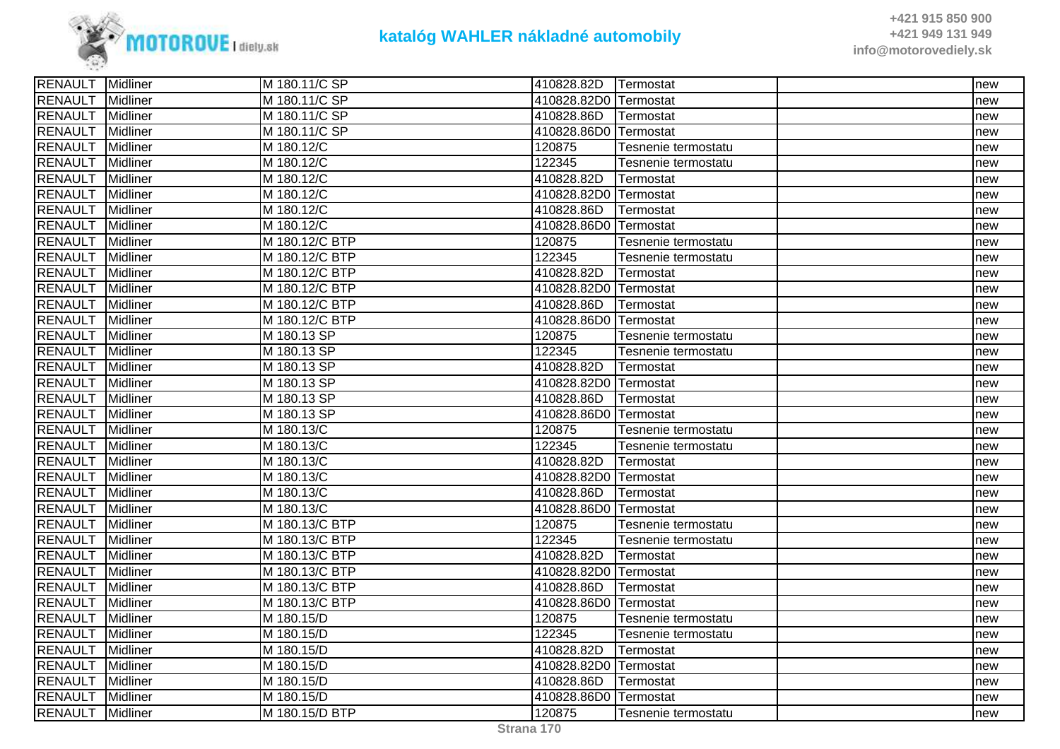

| <b>RENAULT</b> Midliner |                 | M 180.11/C SP  | 410828.82D            | <b>Termostat</b>    | new |
|-------------------------|-----------------|----------------|-----------------------|---------------------|-----|
| <b>RENAULT</b>          | <b>Midliner</b> | M 180.11/C SP  | 410828.82D0 Termostat |                     | new |
| <b>RENAULT</b>          | Midliner        | M 180.11/C SP  | 410828.86D            | Termostat           | new |
| <b>RENAULT</b>          | Midliner        | M 180.11/C SP  | 410828.86D0 Termostat |                     | new |
| <b>RENAULT</b>          | Midliner        | M 180.12/C     | 120875                | Tesnenie termostatu | new |
| <b>RENAULT</b>          | Midliner        | M 180.12/C     | 122345                | Tesnenie termostatu | new |
| <b>RENAULT</b>          | Midliner        | M 180.12/C     | 410828.82D            | Termostat           | new |
| <b>RENAULT</b>          | <b>Midliner</b> | M 180.12/C     | 410828.82D0 Termostat |                     | new |
| <b>RENAULT</b>          | Midliner        | M 180.12/C     | 410828.86D            | Termostat           | new |
| <b>RENAULT</b>          | Midliner        | M 180.12/C     | 410828.86D0 Termostat |                     | new |
| <b>RENAULT</b>          | Midliner        | M 180.12/C BTP | 120875                | Tesnenie termostatu | new |
| <b>RENAULT</b>          | Midliner        | M 180.12/C BTP | 122345                | Tesnenie termostatu | new |
| <b>RENAULT</b>          | <b>Midliner</b> | M 180.12/C BTP | 410828.82D            | Termostat           | new |
| <b>RENAULT</b>          | Midliner        | M 180.12/C BTP | 410828.82D0 Termostat |                     | new |
| <b>RENAULT</b>          | <b>Midliner</b> | M 180.12/C BTP | 410828.86D            | Termostat           | new |
| <b>RENAULT</b>          | Midliner        | M 180.12/C BTP | 410828.86D0 Termostat |                     | new |
| <b>RENAULT</b>          | Midliner        | M 180.13 SP    | 120875                | Tesnenie termostatu | new |
| <b>RENAULT</b>          | Midliner        | M 180.13 SP    | 122345                | Tesnenie termostatu | new |
| <b>RENAULT</b>          | Midliner        | M 180.13 SP    | 410828.82D            | Termostat           | new |
| <b>RENAULT</b>          | <b>Midliner</b> | M 180.13 SP    | 410828.82D0 Termostat |                     | new |
| <b>RENAULT</b>          | Midliner        | M 180.13 SP    | 410828.86D            | Termostat           | new |
| <b>RENAULT</b>          | Midliner        | M 180.13 SP    | 410828.86D0 Termostat |                     | new |
| <b>RENAULT</b>          | Midliner        | M 180.13/C     | 120875                | Tesnenie termostatu | new |
| <b>RENAULT</b>          | Midliner        | M 180.13/C     | 122345                | Tesnenie termostatu | new |
| <b>RENAULT</b>          | <b>Midliner</b> | M 180.13/C     | 410828.82D            | Termostat           | new |
| <b>RENAULT</b>          | Midliner        | M 180.13/C     | 410828.82D0 Termostat |                     | new |
| <b>RENAULT</b>          | <b>Midliner</b> | M 180.13/C     | 410828.86D            | Termostat           | new |
| <b>RENAULT</b>          | Midliner        | M 180.13/C     | 410828.86D0 Termostat |                     | new |
| <b>RENAULT</b>          | Midliner        | M 180.13/C BTP | 120875                | Tesnenie termostatu | new |
| <b>RENAULT</b>          | <b>Midliner</b> | M 180.13/C BTP | 122345                | Tesnenie termostatu | new |
| <b>RENAULT</b>          | <b>Midliner</b> | M 180.13/C BTP | 410828.82D            | Termostat           | new |
| <b>RENAULT</b>          | Midliner        | M 180.13/C BTP | 410828.82D0 Termostat |                     | new |
| <b>RENAULT</b>          | Midliner        | M 180.13/C BTP | 410828.86D            | Termostat           | new |
| <b>RENAULT</b>          | Midliner        | M 180.13/C BTP | 410828.86D0 Termostat |                     | new |
| <b>RENAULT</b>          | Midliner        | M 180.15/D     | 120875                | Tesnenie termostatu | new |
| <b>RENAULT</b>          | <b>Midliner</b> | M 180.15/D     | 122345                | Tesnenie termostatu | new |
| <b>RENAULT</b>          | <b>Midliner</b> | M 180.15/D     | 410828.82D            | Termostat           | new |
| <b>RENAULT</b>          | Midliner        | M 180.15/D     | 410828.82D0 Termostat |                     | new |
| <b>RENAULT</b>          | Midliner        | M 180.15/D     | 410828.86D            | Termostat           | new |
| <b>RENAULT</b>          | Midliner        | M 180.15/D     | 410828.86D0 Termostat |                     | new |
| <b>RENAULT</b>          | Midliner        | M 180.15/D BTP | 120875                | Tesnenie termostatu | new |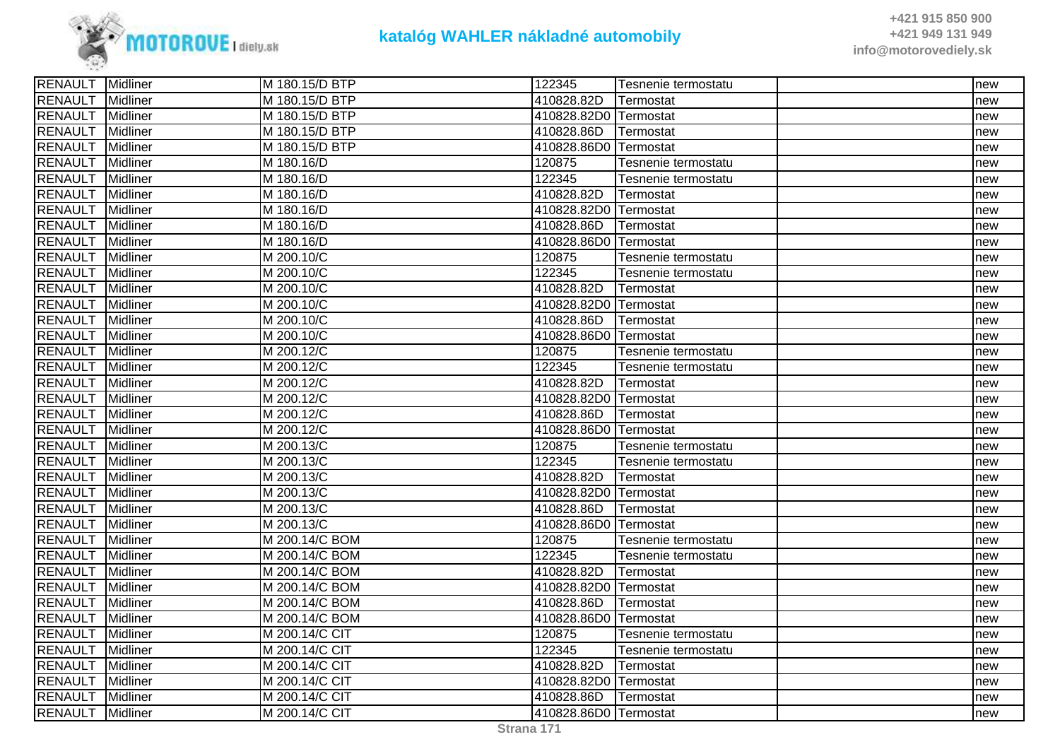

| RENAULT Midliner |                 | M 180.15/D BTP | 122345                | Tesnenie termostatu | new |
|------------------|-----------------|----------------|-----------------------|---------------------|-----|
| <b>RENAULT</b>   | Midliner        | M 180.15/D BTP | 410828.82D            | Termostat           | new |
| <b>RENAULT</b>   | <b>Midliner</b> | M 180.15/D BTP | 410828.82D0 Termostat |                     | new |
| <b>RENAULT</b>   | Midliner        | M 180.15/D BTP | 410828.86D            | Termostat           | new |
| <b>RENAULT</b>   | Midliner        | M 180.15/D BTP | 410828.86D0 Termostat |                     | new |
| <b>RENAULT</b>   | Midliner        | M 180.16/D     | 120875                | Tesnenie termostatu | new |
| <b>RENAULT</b>   | Midliner        | M 180.16/D     | 122345                | Tesnenie termostatu | new |
| <b>RENAULT</b>   | Midliner        | M 180.16/D     | 410828.82D            | Termostat           | new |
| <b>RENAULT</b>   | <b>Midliner</b> | M 180.16/D     | 410828.82D0 Termostat |                     | new |
| <b>RENAULT</b>   | <b>Midliner</b> | M 180.16/D     | 410828.86D            | Termostat           | new |
| <b>RENAULT</b>   | Midliner        | M 180.16/D     | 410828.86D0 Termostat |                     | new |
| <b>RENAULT</b>   | Midliner        | M 200.10/C     | 120875                | Tesnenie termostatu | new |
| <b>RENAULT</b>   | Midliner        | M 200.10/C     | 122345                | Tesnenie termostatu | new |
| <b>RENAULT</b>   | Midliner        | M 200.10/C     | 410828.82D            | Termostat           | new |
| <b>RENAULT</b>   | Midliner        | M 200.10/C     | 410828.82D0 Termostat |                     | new |
| <b>RENAULT</b>   | Midliner        | M 200.10/C     | 410828.86D            | Termostat           | new |
| <b>RENAULT</b>   | Midliner        | M 200.10/C     | 410828.86D0 Termostat |                     | new |
| <b>RENAULT</b>   | Midliner        | M 200.12/C     | 120875                | Tesnenie termostatu | new |
| <b>RENAULT</b>   | Midliner        | M 200.12/C     | 122345                | Tesnenie termostatu | new |
| <b>RENAULT</b>   | <b>Midliner</b> | M 200.12/C     | 410828.82D            | Termostat           | new |
| <b>RENAULT</b>   | Midliner        | M 200.12/C     | 410828.82D0 Termostat |                     | new |
| <b>RENAULT</b>   | Midliner        | M 200.12/C     | 410828.86D            | Termostat           | new |
| <b>RENAULT</b>   | Midliner        | M 200.12/C     | 410828.86D0 Termostat |                     | new |
| <b>RENAULT</b>   | Midliner        | M 200.13/C     | 120875                | Tesnenie termostatu | new |
| <b>RENAULT</b>   | Midliner        | M 200.13/C     | 122345                | Tesnenie termostatu | new |
| <b>RENAULT</b>   | Midliner        | M 200.13/C     | 410828.82D            | Termostat           | new |
| <b>RENAULT</b>   | Midliner        | M 200.13/C     | 410828.82D0 Termostat |                     | new |
| <b>RENAULT</b>   | Midliner        | M 200.13/C     | 410828.86D            | Termostat           | new |
| <b>RENAULT</b>   | Midliner        | M 200.13/C     | 410828.86D0 Termostat |                     | new |
| <b>RENAULT</b>   | Midliner        | M 200.14/C BOM | 120875                | Tesnenie termostatu | new |
| <b>RENAULT</b>   | Midliner        | M 200.14/C BOM | 122345                | Tesnenie termostatu | new |
| <b>RENAULT</b>   | Midliner        | M 200.14/C BOM | 410828.82D            | Termostat           | new |
| <b>RENAULT</b>   | Midliner        | M 200.14/C BOM | 410828.82D0 Termostat |                     | new |
| <b>RENAULT</b>   | Midliner        | M 200.14/C BOM | 410828.86D            | Termostat           | new |
| <b>RENAULT</b>   | Midliner        | M 200.14/C BOM | 410828.86D0 Termostat |                     | new |
| <b>RENAULT</b>   | Midliner        | M 200.14/C CIT | 120875                | Tesnenie termostatu | new |
| <b>RENAULT</b>   | Midliner        | M 200.14/C CIT | 122345                | Tesnenie termostatu | new |
| <b>RENAULT</b>   | Midliner        | M 200.14/C CIT | 410828.82D            | Termostat           | new |
| <b>RENAULT</b>   | <b>Midliner</b> | M 200.14/C CIT | 410828.82D0 Termostat |                     | new |
| <b>RENAULT</b>   | Midliner        | M 200.14/C CIT | 410828.86D            | Termostat           | new |
| <b>RENAULT</b>   | Midliner        | M 200.14/C CIT | 410828.86D0 Termostat |                     | new |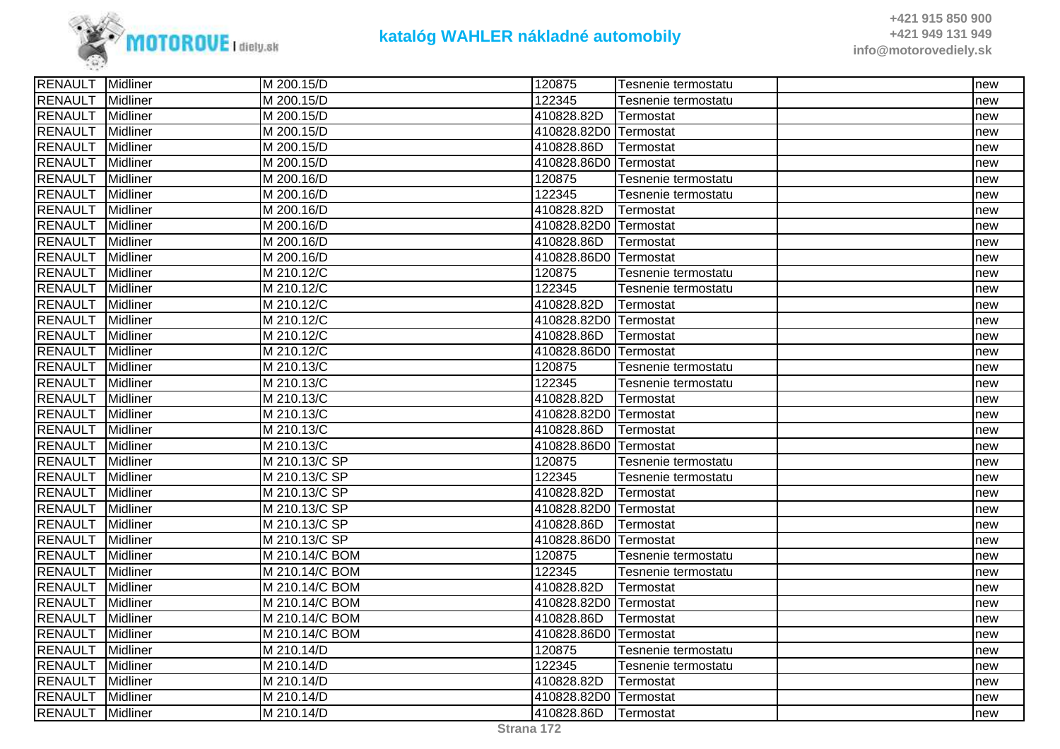

| <b>RENAULT</b><br>M 200.15/D<br>122345<br>Midliner<br>Tesnenie termostatu<br>new<br><b>RENAULT</b><br>Midliner<br>M 200.15/D<br>410828.82D<br>Termostat<br>new<br><b>RENAULT</b><br>Midliner<br>M 200.15/D<br>410828.82D0 Termostat<br>new<br><b>RENAULT</b><br>Midliner<br>410828.86D<br>M 200.15/D<br>Termostat<br>new<br><b>RENAULT</b><br>Midliner<br>M 200.15/D<br>410828.86D0 Termostat<br>new<br><b>RENAULT</b><br>Midliner<br>M 200.16/D<br>120875<br>Tesnenie termostatu<br>new<br><b>RENAULT</b><br>122345<br>Midliner<br>M 200.16/D<br>Tesnenie termostatu<br>new<br><b>RENAULT</b><br>Midliner<br>410828.82D<br>Termostat<br>M 200.16/D<br>new<br><b>RENAULT</b><br>410828.82D0 Termostat<br>Midliner<br>M 200.16/D<br>new<br><b>RENAULT</b><br><b>Midliner</b><br>M 200.16/D<br>410828.86D<br>Termostat<br>new<br><b>RENAULT</b><br>Midliner<br>M 200.16/D<br>410828.86D0 Termostat<br>new<br><b>RENAULT</b><br>M 210.12/C<br>120875<br>Midliner<br>Tesnenie termostatu<br>new<br><b>RENAULT</b><br>Midliner<br>122345<br>M 210.12/C<br>Tesnenie termostatu<br>new<br><b>RENAULT</b><br><b>Midliner</b><br>M 210.12/C<br>410828.82D<br>Termostat<br>new<br><b>RENAULT</b><br>M 210.12/C<br>410828.82D0 Termostat<br>Midliner<br>new<br><b>RENAULT</b><br>Midliner<br>M 210.12/C<br>410828.86D<br>Termostat<br>new<br><b>RENAULT</b><br>410828.86D0 Termostat<br>Midliner<br>M 210.12/C<br>new<br><b>RENAULT</b><br>Midliner<br>M 210.13/C<br>120875<br>Tesnenie termostatu<br>new<br><b>RENAULT</b><br>122345<br>Midliner<br>M 210.13/C<br>Tesnenie termostatu<br>new<br><b>RENAULT</b><br>410828.82D<br><b>Midliner</b><br>M 210.13/C<br>Termostat<br>new<br><b>RENAULT</b><br>410828.82D0 Termostat<br><b>Midliner</b><br>M 210.13/C<br>new<br><b>RENAULT</b><br>410828.86D<br><b>Midliner</b><br>M 210.13/C<br>Termostat<br>new<br><b>RENAULT</b><br>Midliner<br>M 210.13/C<br>410828.86D0 Termostat<br>new<br><b>RENAULT</b><br>Midliner<br>M 210.13/C SP<br>120875<br>Tesnenie termostatu<br>new<br><b>RENAULT</b><br>Midliner<br>122345<br>M 210.13/C SP<br>Tesnenie termostatu<br>new<br><b>RENAULT</b><br>M 210.13/C SP<br>Midliner<br>410828.82D<br>Termostat<br>new<br><b>RENAULT</b><br><b>Midliner</b><br>M 210.13/C SP<br>410828.82D0 Termostat<br>new<br><b>RENAULT</b><br>Midliner<br>M 210.13/C SP<br>410828.86D<br>Termostat<br>new<br><b>RENAULT</b><br>M 210.13/C SP<br>Midliner<br>410828.86D0 Termostat<br>new<br><b>RENAULT</b><br>120875<br>Midliner<br>M 210.14/C BOM<br>Tesnenie termostatu<br>new<br><b>RENAULT</b><br>122345<br>Midliner<br>M 210.14/C BOM<br>Tesnenie termostatu<br>new<br><b>RENAULT</b><br>M 210.14/C BOM<br>410828.82D<br>Midliner<br>Termostat<br>new<br><b>RENAULT</b><br>M 210.14/C BOM<br>410828.82D0 Termostat<br>Midliner<br>new<br><b>RENAULT</b><br>M 210.14/C BOM<br>410828.86D<br>Midliner<br>Termostat<br>new<br><b>RENAULT</b><br>Midliner<br>M 210.14/C BOM<br>410828.86D0 ITermostat<br>new<br><b>RENAULT</b><br>Midliner<br>120875<br>M 210.14/D<br>Tesnenie termostatu<br>new<br><b>RENAULT</b><br>122345<br>Midliner<br>M 210.14/D<br>Tesnenie termostatu<br>new<br><b>RENAULT</b><br>410828.82D<br>Midliner<br>M 210.14/D<br>Termostat<br>new<br><b>RENAULT</b><br>Midliner<br>M 210.14/D<br>410828.82D0 Termostat<br>new<br><b>RENAULT</b><br>410828.86D<br>Midliner<br>M 210.14/D<br>Termostat<br>new | <b>RENAULT</b> Midliner | M 200.15/D | 120875 | Tesnenie termostatu | new |
|---------------------------------------------------------------------------------------------------------------------------------------------------------------------------------------------------------------------------------------------------------------------------------------------------------------------------------------------------------------------------------------------------------------------------------------------------------------------------------------------------------------------------------------------------------------------------------------------------------------------------------------------------------------------------------------------------------------------------------------------------------------------------------------------------------------------------------------------------------------------------------------------------------------------------------------------------------------------------------------------------------------------------------------------------------------------------------------------------------------------------------------------------------------------------------------------------------------------------------------------------------------------------------------------------------------------------------------------------------------------------------------------------------------------------------------------------------------------------------------------------------------------------------------------------------------------------------------------------------------------------------------------------------------------------------------------------------------------------------------------------------------------------------------------------------------------------------------------------------------------------------------------------------------------------------------------------------------------------------------------------------------------------------------------------------------------------------------------------------------------------------------------------------------------------------------------------------------------------------------------------------------------------------------------------------------------------------------------------------------------------------------------------------------------------------------------------------------------------------------------------------------------------------------------------------------------------------------------------------------------------------------------------------------------------------------------------------------------------------------------------------------------------------------------------------------------------------------------------------------------------------------------------------------------------------------------------------------------------------------------------------------------------------------------------------------------------------------------------------------------------------------------------------------------------------------------------------------------------------------------------------------------------------------------------------------------------------------------------------------------------------------|-------------------------|------------|--------|---------------------|-----|
|                                                                                                                                                                                                                                                                                                                                                                                                                                                                                                                                                                                                                                                                                                                                                                                                                                                                                                                                                                                                                                                                                                                                                                                                                                                                                                                                                                                                                                                                                                                                                                                                                                                                                                                                                                                                                                                                                                                                                                                                                                                                                                                                                                                                                                                                                                                                                                                                                                                                                                                                                                                                                                                                                                                                                                                                                                                                                                                                                                                                                                                                                                                                                                                                                                                                                                                                                                                       |                         |            |        |                     |     |
|                                                                                                                                                                                                                                                                                                                                                                                                                                                                                                                                                                                                                                                                                                                                                                                                                                                                                                                                                                                                                                                                                                                                                                                                                                                                                                                                                                                                                                                                                                                                                                                                                                                                                                                                                                                                                                                                                                                                                                                                                                                                                                                                                                                                                                                                                                                                                                                                                                                                                                                                                                                                                                                                                                                                                                                                                                                                                                                                                                                                                                                                                                                                                                                                                                                                                                                                                                                       |                         |            |        |                     |     |
|                                                                                                                                                                                                                                                                                                                                                                                                                                                                                                                                                                                                                                                                                                                                                                                                                                                                                                                                                                                                                                                                                                                                                                                                                                                                                                                                                                                                                                                                                                                                                                                                                                                                                                                                                                                                                                                                                                                                                                                                                                                                                                                                                                                                                                                                                                                                                                                                                                                                                                                                                                                                                                                                                                                                                                                                                                                                                                                                                                                                                                                                                                                                                                                                                                                                                                                                                                                       |                         |            |        |                     |     |
|                                                                                                                                                                                                                                                                                                                                                                                                                                                                                                                                                                                                                                                                                                                                                                                                                                                                                                                                                                                                                                                                                                                                                                                                                                                                                                                                                                                                                                                                                                                                                                                                                                                                                                                                                                                                                                                                                                                                                                                                                                                                                                                                                                                                                                                                                                                                                                                                                                                                                                                                                                                                                                                                                                                                                                                                                                                                                                                                                                                                                                                                                                                                                                                                                                                                                                                                                                                       |                         |            |        |                     |     |
|                                                                                                                                                                                                                                                                                                                                                                                                                                                                                                                                                                                                                                                                                                                                                                                                                                                                                                                                                                                                                                                                                                                                                                                                                                                                                                                                                                                                                                                                                                                                                                                                                                                                                                                                                                                                                                                                                                                                                                                                                                                                                                                                                                                                                                                                                                                                                                                                                                                                                                                                                                                                                                                                                                                                                                                                                                                                                                                                                                                                                                                                                                                                                                                                                                                                                                                                                                                       |                         |            |        |                     |     |
|                                                                                                                                                                                                                                                                                                                                                                                                                                                                                                                                                                                                                                                                                                                                                                                                                                                                                                                                                                                                                                                                                                                                                                                                                                                                                                                                                                                                                                                                                                                                                                                                                                                                                                                                                                                                                                                                                                                                                                                                                                                                                                                                                                                                                                                                                                                                                                                                                                                                                                                                                                                                                                                                                                                                                                                                                                                                                                                                                                                                                                                                                                                                                                                                                                                                                                                                                                                       |                         |            |        |                     |     |
|                                                                                                                                                                                                                                                                                                                                                                                                                                                                                                                                                                                                                                                                                                                                                                                                                                                                                                                                                                                                                                                                                                                                                                                                                                                                                                                                                                                                                                                                                                                                                                                                                                                                                                                                                                                                                                                                                                                                                                                                                                                                                                                                                                                                                                                                                                                                                                                                                                                                                                                                                                                                                                                                                                                                                                                                                                                                                                                                                                                                                                                                                                                                                                                                                                                                                                                                                                                       |                         |            |        |                     |     |
|                                                                                                                                                                                                                                                                                                                                                                                                                                                                                                                                                                                                                                                                                                                                                                                                                                                                                                                                                                                                                                                                                                                                                                                                                                                                                                                                                                                                                                                                                                                                                                                                                                                                                                                                                                                                                                                                                                                                                                                                                                                                                                                                                                                                                                                                                                                                                                                                                                                                                                                                                                                                                                                                                                                                                                                                                                                                                                                                                                                                                                                                                                                                                                                                                                                                                                                                                                                       |                         |            |        |                     |     |
|                                                                                                                                                                                                                                                                                                                                                                                                                                                                                                                                                                                                                                                                                                                                                                                                                                                                                                                                                                                                                                                                                                                                                                                                                                                                                                                                                                                                                                                                                                                                                                                                                                                                                                                                                                                                                                                                                                                                                                                                                                                                                                                                                                                                                                                                                                                                                                                                                                                                                                                                                                                                                                                                                                                                                                                                                                                                                                                                                                                                                                                                                                                                                                                                                                                                                                                                                                                       |                         |            |        |                     |     |
|                                                                                                                                                                                                                                                                                                                                                                                                                                                                                                                                                                                                                                                                                                                                                                                                                                                                                                                                                                                                                                                                                                                                                                                                                                                                                                                                                                                                                                                                                                                                                                                                                                                                                                                                                                                                                                                                                                                                                                                                                                                                                                                                                                                                                                                                                                                                                                                                                                                                                                                                                                                                                                                                                                                                                                                                                                                                                                                                                                                                                                                                                                                                                                                                                                                                                                                                                                                       |                         |            |        |                     |     |
|                                                                                                                                                                                                                                                                                                                                                                                                                                                                                                                                                                                                                                                                                                                                                                                                                                                                                                                                                                                                                                                                                                                                                                                                                                                                                                                                                                                                                                                                                                                                                                                                                                                                                                                                                                                                                                                                                                                                                                                                                                                                                                                                                                                                                                                                                                                                                                                                                                                                                                                                                                                                                                                                                                                                                                                                                                                                                                                                                                                                                                                                                                                                                                                                                                                                                                                                                                                       |                         |            |        |                     |     |
|                                                                                                                                                                                                                                                                                                                                                                                                                                                                                                                                                                                                                                                                                                                                                                                                                                                                                                                                                                                                                                                                                                                                                                                                                                                                                                                                                                                                                                                                                                                                                                                                                                                                                                                                                                                                                                                                                                                                                                                                                                                                                                                                                                                                                                                                                                                                                                                                                                                                                                                                                                                                                                                                                                                                                                                                                                                                                                                                                                                                                                                                                                                                                                                                                                                                                                                                                                                       |                         |            |        |                     |     |
|                                                                                                                                                                                                                                                                                                                                                                                                                                                                                                                                                                                                                                                                                                                                                                                                                                                                                                                                                                                                                                                                                                                                                                                                                                                                                                                                                                                                                                                                                                                                                                                                                                                                                                                                                                                                                                                                                                                                                                                                                                                                                                                                                                                                                                                                                                                                                                                                                                                                                                                                                                                                                                                                                                                                                                                                                                                                                                                                                                                                                                                                                                                                                                                                                                                                                                                                                                                       |                         |            |        |                     |     |
|                                                                                                                                                                                                                                                                                                                                                                                                                                                                                                                                                                                                                                                                                                                                                                                                                                                                                                                                                                                                                                                                                                                                                                                                                                                                                                                                                                                                                                                                                                                                                                                                                                                                                                                                                                                                                                                                                                                                                                                                                                                                                                                                                                                                                                                                                                                                                                                                                                                                                                                                                                                                                                                                                                                                                                                                                                                                                                                                                                                                                                                                                                                                                                                                                                                                                                                                                                                       |                         |            |        |                     |     |
|                                                                                                                                                                                                                                                                                                                                                                                                                                                                                                                                                                                                                                                                                                                                                                                                                                                                                                                                                                                                                                                                                                                                                                                                                                                                                                                                                                                                                                                                                                                                                                                                                                                                                                                                                                                                                                                                                                                                                                                                                                                                                                                                                                                                                                                                                                                                                                                                                                                                                                                                                                                                                                                                                                                                                                                                                                                                                                                                                                                                                                                                                                                                                                                                                                                                                                                                                                                       |                         |            |        |                     |     |
|                                                                                                                                                                                                                                                                                                                                                                                                                                                                                                                                                                                                                                                                                                                                                                                                                                                                                                                                                                                                                                                                                                                                                                                                                                                                                                                                                                                                                                                                                                                                                                                                                                                                                                                                                                                                                                                                                                                                                                                                                                                                                                                                                                                                                                                                                                                                                                                                                                                                                                                                                                                                                                                                                                                                                                                                                                                                                                                                                                                                                                                                                                                                                                                                                                                                                                                                                                                       |                         |            |        |                     |     |
|                                                                                                                                                                                                                                                                                                                                                                                                                                                                                                                                                                                                                                                                                                                                                                                                                                                                                                                                                                                                                                                                                                                                                                                                                                                                                                                                                                                                                                                                                                                                                                                                                                                                                                                                                                                                                                                                                                                                                                                                                                                                                                                                                                                                                                                                                                                                                                                                                                                                                                                                                                                                                                                                                                                                                                                                                                                                                                                                                                                                                                                                                                                                                                                                                                                                                                                                                                                       |                         |            |        |                     |     |
|                                                                                                                                                                                                                                                                                                                                                                                                                                                                                                                                                                                                                                                                                                                                                                                                                                                                                                                                                                                                                                                                                                                                                                                                                                                                                                                                                                                                                                                                                                                                                                                                                                                                                                                                                                                                                                                                                                                                                                                                                                                                                                                                                                                                                                                                                                                                                                                                                                                                                                                                                                                                                                                                                                                                                                                                                                                                                                                                                                                                                                                                                                                                                                                                                                                                                                                                                                                       |                         |            |        |                     |     |
|                                                                                                                                                                                                                                                                                                                                                                                                                                                                                                                                                                                                                                                                                                                                                                                                                                                                                                                                                                                                                                                                                                                                                                                                                                                                                                                                                                                                                                                                                                                                                                                                                                                                                                                                                                                                                                                                                                                                                                                                                                                                                                                                                                                                                                                                                                                                                                                                                                                                                                                                                                                                                                                                                                                                                                                                                                                                                                                                                                                                                                                                                                                                                                                                                                                                                                                                                                                       |                         |            |        |                     |     |
|                                                                                                                                                                                                                                                                                                                                                                                                                                                                                                                                                                                                                                                                                                                                                                                                                                                                                                                                                                                                                                                                                                                                                                                                                                                                                                                                                                                                                                                                                                                                                                                                                                                                                                                                                                                                                                                                                                                                                                                                                                                                                                                                                                                                                                                                                                                                                                                                                                                                                                                                                                                                                                                                                                                                                                                                                                                                                                                                                                                                                                                                                                                                                                                                                                                                                                                                                                                       |                         |            |        |                     |     |
|                                                                                                                                                                                                                                                                                                                                                                                                                                                                                                                                                                                                                                                                                                                                                                                                                                                                                                                                                                                                                                                                                                                                                                                                                                                                                                                                                                                                                                                                                                                                                                                                                                                                                                                                                                                                                                                                                                                                                                                                                                                                                                                                                                                                                                                                                                                                                                                                                                                                                                                                                                                                                                                                                                                                                                                                                                                                                                                                                                                                                                                                                                                                                                                                                                                                                                                                                                                       |                         |            |        |                     |     |
|                                                                                                                                                                                                                                                                                                                                                                                                                                                                                                                                                                                                                                                                                                                                                                                                                                                                                                                                                                                                                                                                                                                                                                                                                                                                                                                                                                                                                                                                                                                                                                                                                                                                                                                                                                                                                                                                                                                                                                                                                                                                                                                                                                                                                                                                                                                                                                                                                                                                                                                                                                                                                                                                                                                                                                                                                                                                                                                                                                                                                                                                                                                                                                                                                                                                                                                                                                                       |                         |            |        |                     |     |
|                                                                                                                                                                                                                                                                                                                                                                                                                                                                                                                                                                                                                                                                                                                                                                                                                                                                                                                                                                                                                                                                                                                                                                                                                                                                                                                                                                                                                                                                                                                                                                                                                                                                                                                                                                                                                                                                                                                                                                                                                                                                                                                                                                                                                                                                                                                                                                                                                                                                                                                                                                                                                                                                                                                                                                                                                                                                                                                                                                                                                                                                                                                                                                                                                                                                                                                                                                                       |                         |            |        |                     |     |
|                                                                                                                                                                                                                                                                                                                                                                                                                                                                                                                                                                                                                                                                                                                                                                                                                                                                                                                                                                                                                                                                                                                                                                                                                                                                                                                                                                                                                                                                                                                                                                                                                                                                                                                                                                                                                                                                                                                                                                                                                                                                                                                                                                                                                                                                                                                                                                                                                                                                                                                                                                                                                                                                                                                                                                                                                                                                                                                                                                                                                                                                                                                                                                                                                                                                                                                                                                                       |                         |            |        |                     |     |
|                                                                                                                                                                                                                                                                                                                                                                                                                                                                                                                                                                                                                                                                                                                                                                                                                                                                                                                                                                                                                                                                                                                                                                                                                                                                                                                                                                                                                                                                                                                                                                                                                                                                                                                                                                                                                                                                                                                                                                                                                                                                                                                                                                                                                                                                                                                                                                                                                                                                                                                                                                                                                                                                                                                                                                                                                                                                                                                                                                                                                                                                                                                                                                                                                                                                                                                                                                                       |                         |            |        |                     |     |
|                                                                                                                                                                                                                                                                                                                                                                                                                                                                                                                                                                                                                                                                                                                                                                                                                                                                                                                                                                                                                                                                                                                                                                                                                                                                                                                                                                                                                                                                                                                                                                                                                                                                                                                                                                                                                                                                                                                                                                                                                                                                                                                                                                                                                                                                                                                                                                                                                                                                                                                                                                                                                                                                                                                                                                                                                                                                                                                                                                                                                                                                                                                                                                                                                                                                                                                                                                                       |                         |            |        |                     |     |
|                                                                                                                                                                                                                                                                                                                                                                                                                                                                                                                                                                                                                                                                                                                                                                                                                                                                                                                                                                                                                                                                                                                                                                                                                                                                                                                                                                                                                                                                                                                                                                                                                                                                                                                                                                                                                                                                                                                                                                                                                                                                                                                                                                                                                                                                                                                                                                                                                                                                                                                                                                                                                                                                                                                                                                                                                                                                                                                                                                                                                                                                                                                                                                                                                                                                                                                                                                                       |                         |            |        |                     |     |
|                                                                                                                                                                                                                                                                                                                                                                                                                                                                                                                                                                                                                                                                                                                                                                                                                                                                                                                                                                                                                                                                                                                                                                                                                                                                                                                                                                                                                                                                                                                                                                                                                                                                                                                                                                                                                                                                                                                                                                                                                                                                                                                                                                                                                                                                                                                                                                                                                                                                                                                                                                                                                                                                                                                                                                                                                                                                                                                                                                                                                                                                                                                                                                                                                                                                                                                                                                                       |                         |            |        |                     |     |
|                                                                                                                                                                                                                                                                                                                                                                                                                                                                                                                                                                                                                                                                                                                                                                                                                                                                                                                                                                                                                                                                                                                                                                                                                                                                                                                                                                                                                                                                                                                                                                                                                                                                                                                                                                                                                                                                                                                                                                                                                                                                                                                                                                                                                                                                                                                                                                                                                                                                                                                                                                                                                                                                                                                                                                                                                                                                                                                                                                                                                                                                                                                                                                                                                                                                                                                                                                                       |                         |            |        |                     |     |
|                                                                                                                                                                                                                                                                                                                                                                                                                                                                                                                                                                                                                                                                                                                                                                                                                                                                                                                                                                                                                                                                                                                                                                                                                                                                                                                                                                                                                                                                                                                                                                                                                                                                                                                                                                                                                                                                                                                                                                                                                                                                                                                                                                                                                                                                                                                                                                                                                                                                                                                                                                                                                                                                                                                                                                                                                                                                                                                                                                                                                                                                                                                                                                                                                                                                                                                                                                                       |                         |            |        |                     |     |
|                                                                                                                                                                                                                                                                                                                                                                                                                                                                                                                                                                                                                                                                                                                                                                                                                                                                                                                                                                                                                                                                                                                                                                                                                                                                                                                                                                                                                                                                                                                                                                                                                                                                                                                                                                                                                                                                                                                                                                                                                                                                                                                                                                                                                                                                                                                                                                                                                                                                                                                                                                                                                                                                                                                                                                                                                                                                                                                                                                                                                                                                                                                                                                                                                                                                                                                                                                                       |                         |            |        |                     |     |
|                                                                                                                                                                                                                                                                                                                                                                                                                                                                                                                                                                                                                                                                                                                                                                                                                                                                                                                                                                                                                                                                                                                                                                                                                                                                                                                                                                                                                                                                                                                                                                                                                                                                                                                                                                                                                                                                                                                                                                                                                                                                                                                                                                                                                                                                                                                                                                                                                                                                                                                                                                                                                                                                                                                                                                                                                                                                                                                                                                                                                                                                                                                                                                                                                                                                                                                                                                                       |                         |            |        |                     |     |
|                                                                                                                                                                                                                                                                                                                                                                                                                                                                                                                                                                                                                                                                                                                                                                                                                                                                                                                                                                                                                                                                                                                                                                                                                                                                                                                                                                                                                                                                                                                                                                                                                                                                                                                                                                                                                                                                                                                                                                                                                                                                                                                                                                                                                                                                                                                                                                                                                                                                                                                                                                                                                                                                                                                                                                                                                                                                                                                                                                                                                                                                                                                                                                                                                                                                                                                                                                                       |                         |            |        |                     |     |
|                                                                                                                                                                                                                                                                                                                                                                                                                                                                                                                                                                                                                                                                                                                                                                                                                                                                                                                                                                                                                                                                                                                                                                                                                                                                                                                                                                                                                                                                                                                                                                                                                                                                                                                                                                                                                                                                                                                                                                                                                                                                                                                                                                                                                                                                                                                                                                                                                                                                                                                                                                                                                                                                                                                                                                                                                                                                                                                                                                                                                                                                                                                                                                                                                                                                                                                                                                                       |                         |            |        |                     |     |
|                                                                                                                                                                                                                                                                                                                                                                                                                                                                                                                                                                                                                                                                                                                                                                                                                                                                                                                                                                                                                                                                                                                                                                                                                                                                                                                                                                                                                                                                                                                                                                                                                                                                                                                                                                                                                                                                                                                                                                                                                                                                                                                                                                                                                                                                                                                                                                                                                                                                                                                                                                                                                                                                                                                                                                                                                                                                                                                                                                                                                                                                                                                                                                                                                                                                                                                                                                                       |                         |            |        |                     |     |
|                                                                                                                                                                                                                                                                                                                                                                                                                                                                                                                                                                                                                                                                                                                                                                                                                                                                                                                                                                                                                                                                                                                                                                                                                                                                                                                                                                                                                                                                                                                                                                                                                                                                                                                                                                                                                                                                                                                                                                                                                                                                                                                                                                                                                                                                                                                                                                                                                                                                                                                                                                                                                                                                                                                                                                                                                                                                                                                                                                                                                                                                                                                                                                                                                                                                                                                                                                                       |                         |            |        |                     |     |
|                                                                                                                                                                                                                                                                                                                                                                                                                                                                                                                                                                                                                                                                                                                                                                                                                                                                                                                                                                                                                                                                                                                                                                                                                                                                                                                                                                                                                                                                                                                                                                                                                                                                                                                                                                                                                                                                                                                                                                                                                                                                                                                                                                                                                                                                                                                                                                                                                                                                                                                                                                                                                                                                                                                                                                                                                                                                                                                                                                                                                                                                                                                                                                                                                                                                                                                                                                                       |                         |            |        |                     |     |
|                                                                                                                                                                                                                                                                                                                                                                                                                                                                                                                                                                                                                                                                                                                                                                                                                                                                                                                                                                                                                                                                                                                                                                                                                                                                                                                                                                                                                                                                                                                                                                                                                                                                                                                                                                                                                                                                                                                                                                                                                                                                                                                                                                                                                                                                                                                                                                                                                                                                                                                                                                                                                                                                                                                                                                                                                                                                                                                                                                                                                                                                                                                                                                                                                                                                                                                                                                                       |                         |            |        |                     |     |
|                                                                                                                                                                                                                                                                                                                                                                                                                                                                                                                                                                                                                                                                                                                                                                                                                                                                                                                                                                                                                                                                                                                                                                                                                                                                                                                                                                                                                                                                                                                                                                                                                                                                                                                                                                                                                                                                                                                                                                                                                                                                                                                                                                                                                                                                                                                                                                                                                                                                                                                                                                                                                                                                                                                                                                                                                                                                                                                                                                                                                                                                                                                                                                                                                                                                                                                                                                                       |                         |            |        |                     |     |
|                                                                                                                                                                                                                                                                                                                                                                                                                                                                                                                                                                                                                                                                                                                                                                                                                                                                                                                                                                                                                                                                                                                                                                                                                                                                                                                                                                                                                                                                                                                                                                                                                                                                                                                                                                                                                                                                                                                                                                                                                                                                                                                                                                                                                                                                                                                                                                                                                                                                                                                                                                                                                                                                                                                                                                                                                                                                                                                                                                                                                                                                                                                                                                                                                                                                                                                                                                                       |                         |            |        |                     |     |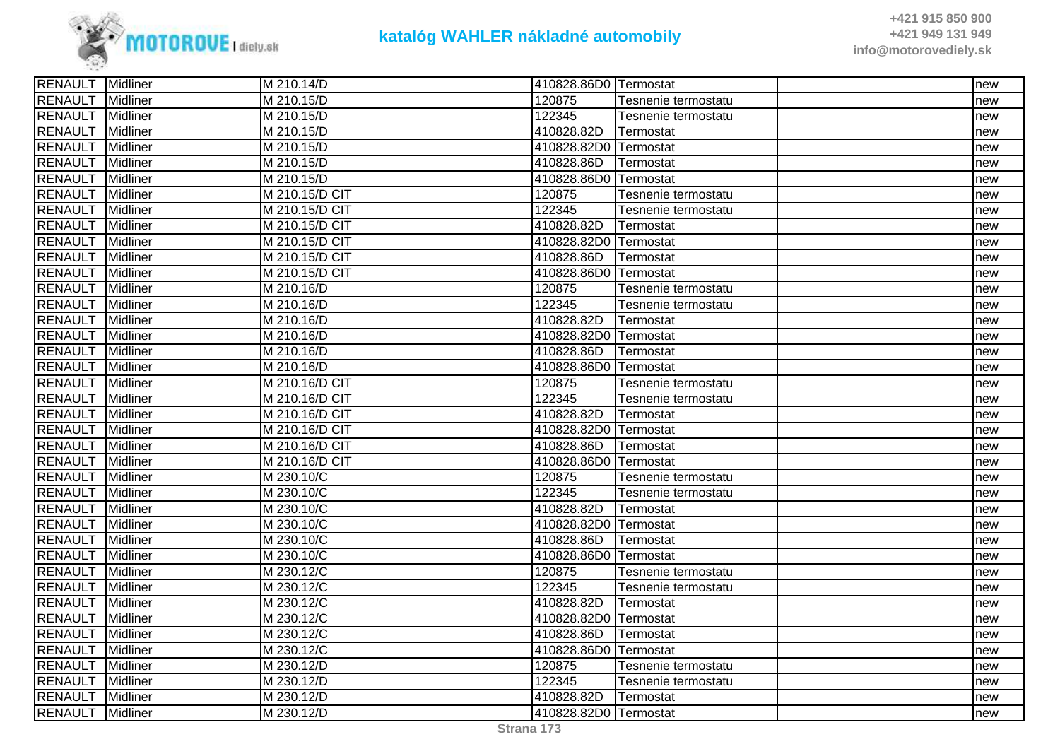

| <b>RENAULT</b><br>M 210.15/D<br>120875<br>Midliner<br>Tesnenie termostatu<br>new<br><b>RENAULT</b><br>122345<br>Midliner<br>M 210.15/D<br>Tesnenie termostatu<br>new<br><b>RENAULT</b><br>Midliner<br>M 210.15/D<br>410828.82D<br>Termostat<br>new<br><b>RENAULT</b><br>Midliner<br>410828.82D0 Termostat<br>M 210.15/D<br>new<br><b>RENAULT</b><br>Midliner<br>M 210.15/D<br>410828.86D<br>Termostat<br>new<br><b>RENAULT</b><br>Midliner<br>M 210.15/D<br>410828.86D0 Termostat<br>new<br><b>RENAULT</b><br>M 210.15/D CIT<br>120875<br>Midliner<br>Tesnenie termostatu<br>new<br><b>RENAULT</b><br>122345<br>Midliner<br>M 210.15/D CIT<br>Tesnenie termostatu<br>new<br><b>RENAULT</b><br>410828.82D<br>Midliner<br>M 210.15/D CIT<br>Termostat<br>new<br><b>RENAULT</b><br>Midliner<br>M 210.15/D CIT<br>410828.82D0 Termostat<br>new<br><b>RENAULT</b><br>Midliner<br>M 210.15/D CIT<br>410828.86D<br><b>Termostat</b><br>new<br><b>RENAULT</b><br>M 210.15/D CIT<br>410828.86D0 Termostat<br>Midliner<br>new<br><b>RENAULT</b><br>Midliner<br>M 210.16/D<br>120875<br>Tesnenie termostatu<br>new<br><b>RENAULT</b><br>122345<br>Midliner<br>M 210.16/D<br>Tesnenie termostatu<br>new<br><b>RENAULT</b><br>410828.82D<br>Midliner<br>M 210.16/D<br>Termostat<br>new<br><b>RENAULT</b><br>Midliner<br>410828.82D0 Termostat<br>M 210.16/D<br>new<br><b>RENAULT</b><br>410828.86D<br>Midliner<br>M 210.16/D<br>Termostat<br>new<br><b>RENAULT</b><br>Midliner<br>M 210.16/D<br>410828.86D0 Termostat<br>new<br><b>RENAULT</b><br>M 210.16/D CIT<br>Midliner<br>120875<br>Tesnenie termostatu<br>new<br><b>RENAULT</b><br>122345<br>Midliner<br>M 210.16/D CIT<br>Tesnenie termostatu<br>new<br><b>RENAULT</b><br>410828.82D<br>Midliner<br>M 210.16/D CIT<br>Termostat<br>new<br><b>RENAULT</b><br>M 210.16/D CIT<br><b>Midliner</b><br>410828.82D0 Termostat<br>new<br><b>RENAULT</b><br>Midliner<br>M 210.16/D CIT<br>410828.86D<br>Termostat<br>new<br><b>RENAULT</b><br>Midliner<br>M 210.16/D CIT<br>410828.86D0 Termostat<br>new<br><b>RENAULT</b><br>Midliner<br>M 230.10/C<br>120875<br>Tesnenie termostatu<br>new<br><b>RENAULT</b><br>122345<br>Midliner<br>M 230.10/C<br>Tesnenie termostatu<br>new<br><b>RENAULT</b><br>Midliner<br>M 230.10/C<br>410828.82D<br>Termostat<br>new<br><b>RENAULT</b><br>Midliner<br>M 230.10/C<br>410828.82D0 Termostat<br>new<br><b>RENAULT</b><br>410828.86D<br>Midliner<br>M 230.10/C<br>Termostat<br>new<br><b>RENAULT</b><br>Midliner<br>M 230.10/C<br>410828.86D0 Termostat<br>new<br>120875<br><b>RENAULT</b><br>Midliner<br>M 230.12/C<br>Tesnenie termostatu<br>new<br>122345<br>RENAULT<br>Midliner<br>M 230.12/C<br>Tesnenie termostatu<br>new<br><b>RENAULT</b><br>M 230.12/C<br>410828.82D<br>Midliner<br>Termostat<br>new<br><b>RENAULT</b><br>410828.82D0 Termostat<br>Midliner<br>M 230.12/C<br>new<br><b>RENAULT</b><br>Midliner<br>M 230.12/C<br>410828.86D<br>Termostat<br>new<br><b>RENAULT</b><br>Midliner<br>M 230.12/C<br>410828.86D0 Termostat<br>new<br><b>RENAULT</b><br>120875<br>Midliner<br>M 230.12/D<br>Tesnenie termostatu<br>new<br>122345<br><b>RENAULT</b><br>Midliner<br>M 230.12/D<br>Tesnenie termostatu<br>new<br><b>RENAULT</b><br>Midliner<br>M 230.12/D<br>410828.82D<br>Termostat<br>new<br><b>RENAULT</b><br>M 230.12/D<br>410828.82D0 Termostat<br>Midliner<br>new | <b>RENAULT</b> Midliner | M 210.14/D | 410828.86D0 Termostat | new |
|---------------------------------------------------------------------------------------------------------------------------------------------------------------------------------------------------------------------------------------------------------------------------------------------------------------------------------------------------------------------------------------------------------------------------------------------------------------------------------------------------------------------------------------------------------------------------------------------------------------------------------------------------------------------------------------------------------------------------------------------------------------------------------------------------------------------------------------------------------------------------------------------------------------------------------------------------------------------------------------------------------------------------------------------------------------------------------------------------------------------------------------------------------------------------------------------------------------------------------------------------------------------------------------------------------------------------------------------------------------------------------------------------------------------------------------------------------------------------------------------------------------------------------------------------------------------------------------------------------------------------------------------------------------------------------------------------------------------------------------------------------------------------------------------------------------------------------------------------------------------------------------------------------------------------------------------------------------------------------------------------------------------------------------------------------------------------------------------------------------------------------------------------------------------------------------------------------------------------------------------------------------------------------------------------------------------------------------------------------------------------------------------------------------------------------------------------------------------------------------------------------------------------------------------------------------------------------------------------------------------------------------------------------------------------------------------------------------------------------------------------------------------------------------------------------------------------------------------------------------------------------------------------------------------------------------------------------------------------------------------------------------------------------------------------------------------------------------------------------------------------------------------------------------------------------------------------------------------------------------------------------------------------------------------------------------------------------------------------------------|-------------------------|------------|-----------------------|-----|
|                                                                                                                                                                                                                                                                                                                                                                                                                                                                                                                                                                                                                                                                                                                                                                                                                                                                                                                                                                                                                                                                                                                                                                                                                                                                                                                                                                                                                                                                                                                                                                                                                                                                                                                                                                                                                                                                                                                                                                                                                                                                                                                                                                                                                                                                                                                                                                                                                                                                                                                                                                                                                                                                                                                                                                                                                                                                                                                                                                                                                                                                                                                                                                                                                                                                                                                                                               |                         |            |                       |     |
|                                                                                                                                                                                                                                                                                                                                                                                                                                                                                                                                                                                                                                                                                                                                                                                                                                                                                                                                                                                                                                                                                                                                                                                                                                                                                                                                                                                                                                                                                                                                                                                                                                                                                                                                                                                                                                                                                                                                                                                                                                                                                                                                                                                                                                                                                                                                                                                                                                                                                                                                                                                                                                                                                                                                                                                                                                                                                                                                                                                                                                                                                                                                                                                                                                                                                                                                                               |                         |            |                       |     |
|                                                                                                                                                                                                                                                                                                                                                                                                                                                                                                                                                                                                                                                                                                                                                                                                                                                                                                                                                                                                                                                                                                                                                                                                                                                                                                                                                                                                                                                                                                                                                                                                                                                                                                                                                                                                                                                                                                                                                                                                                                                                                                                                                                                                                                                                                                                                                                                                                                                                                                                                                                                                                                                                                                                                                                                                                                                                                                                                                                                                                                                                                                                                                                                                                                                                                                                                                               |                         |            |                       |     |
|                                                                                                                                                                                                                                                                                                                                                                                                                                                                                                                                                                                                                                                                                                                                                                                                                                                                                                                                                                                                                                                                                                                                                                                                                                                                                                                                                                                                                                                                                                                                                                                                                                                                                                                                                                                                                                                                                                                                                                                                                                                                                                                                                                                                                                                                                                                                                                                                                                                                                                                                                                                                                                                                                                                                                                                                                                                                                                                                                                                                                                                                                                                                                                                                                                                                                                                                                               |                         |            |                       |     |
|                                                                                                                                                                                                                                                                                                                                                                                                                                                                                                                                                                                                                                                                                                                                                                                                                                                                                                                                                                                                                                                                                                                                                                                                                                                                                                                                                                                                                                                                                                                                                                                                                                                                                                                                                                                                                                                                                                                                                                                                                                                                                                                                                                                                                                                                                                                                                                                                                                                                                                                                                                                                                                                                                                                                                                                                                                                                                                                                                                                                                                                                                                                                                                                                                                                                                                                                                               |                         |            |                       |     |
|                                                                                                                                                                                                                                                                                                                                                                                                                                                                                                                                                                                                                                                                                                                                                                                                                                                                                                                                                                                                                                                                                                                                                                                                                                                                                                                                                                                                                                                                                                                                                                                                                                                                                                                                                                                                                                                                                                                                                                                                                                                                                                                                                                                                                                                                                                                                                                                                                                                                                                                                                                                                                                                                                                                                                                                                                                                                                                                                                                                                                                                                                                                                                                                                                                                                                                                                                               |                         |            |                       |     |
|                                                                                                                                                                                                                                                                                                                                                                                                                                                                                                                                                                                                                                                                                                                                                                                                                                                                                                                                                                                                                                                                                                                                                                                                                                                                                                                                                                                                                                                                                                                                                                                                                                                                                                                                                                                                                                                                                                                                                                                                                                                                                                                                                                                                                                                                                                                                                                                                                                                                                                                                                                                                                                                                                                                                                                                                                                                                                                                                                                                                                                                                                                                                                                                                                                                                                                                                                               |                         |            |                       |     |
|                                                                                                                                                                                                                                                                                                                                                                                                                                                                                                                                                                                                                                                                                                                                                                                                                                                                                                                                                                                                                                                                                                                                                                                                                                                                                                                                                                                                                                                                                                                                                                                                                                                                                                                                                                                                                                                                                                                                                                                                                                                                                                                                                                                                                                                                                                                                                                                                                                                                                                                                                                                                                                                                                                                                                                                                                                                                                                                                                                                                                                                                                                                                                                                                                                                                                                                                                               |                         |            |                       |     |
|                                                                                                                                                                                                                                                                                                                                                                                                                                                                                                                                                                                                                                                                                                                                                                                                                                                                                                                                                                                                                                                                                                                                                                                                                                                                                                                                                                                                                                                                                                                                                                                                                                                                                                                                                                                                                                                                                                                                                                                                                                                                                                                                                                                                                                                                                                                                                                                                                                                                                                                                                                                                                                                                                                                                                                                                                                                                                                                                                                                                                                                                                                                                                                                                                                                                                                                                                               |                         |            |                       |     |
|                                                                                                                                                                                                                                                                                                                                                                                                                                                                                                                                                                                                                                                                                                                                                                                                                                                                                                                                                                                                                                                                                                                                                                                                                                                                                                                                                                                                                                                                                                                                                                                                                                                                                                                                                                                                                                                                                                                                                                                                                                                                                                                                                                                                                                                                                                                                                                                                                                                                                                                                                                                                                                                                                                                                                                                                                                                                                                                                                                                                                                                                                                                                                                                                                                                                                                                                                               |                         |            |                       |     |
|                                                                                                                                                                                                                                                                                                                                                                                                                                                                                                                                                                                                                                                                                                                                                                                                                                                                                                                                                                                                                                                                                                                                                                                                                                                                                                                                                                                                                                                                                                                                                                                                                                                                                                                                                                                                                                                                                                                                                                                                                                                                                                                                                                                                                                                                                                                                                                                                                                                                                                                                                                                                                                                                                                                                                                                                                                                                                                                                                                                                                                                                                                                                                                                                                                                                                                                                                               |                         |            |                       |     |
|                                                                                                                                                                                                                                                                                                                                                                                                                                                                                                                                                                                                                                                                                                                                                                                                                                                                                                                                                                                                                                                                                                                                                                                                                                                                                                                                                                                                                                                                                                                                                                                                                                                                                                                                                                                                                                                                                                                                                                                                                                                                                                                                                                                                                                                                                                                                                                                                                                                                                                                                                                                                                                                                                                                                                                                                                                                                                                                                                                                                                                                                                                                                                                                                                                                                                                                                                               |                         |            |                       |     |
|                                                                                                                                                                                                                                                                                                                                                                                                                                                                                                                                                                                                                                                                                                                                                                                                                                                                                                                                                                                                                                                                                                                                                                                                                                                                                                                                                                                                                                                                                                                                                                                                                                                                                                                                                                                                                                                                                                                                                                                                                                                                                                                                                                                                                                                                                                                                                                                                                                                                                                                                                                                                                                                                                                                                                                                                                                                                                                                                                                                                                                                                                                                                                                                                                                                                                                                                                               |                         |            |                       |     |
|                                                                                                                                                                                                                                                                                                                                                                                                                                                                                                                                                                                                                                                                                                                                                                                                                                                                                                                                                                                                                                                                                                                                                                                                                                                                                                                                                                                                                                                                                                                                                                                                                                                                                                                                                                                                                                                                                                                                                                                                                                                                                                                                                                                                                                                                                                                                                                                                                                                                                                                                                                                                                                                                                                                                                                                                                                                                                                                                                                                                                                                                                                                                                                                                                                                                                                                                                               |                         |            |                       |     |
|                                                                                                                                                                                                                                                                                                                                                                                                                                                                                                                                                                                                                                                                                                                                                                                                                                                                                                                                                                                                                                                                                                                                                                                                                                                                                                                                                                                                                                                                                                                                                                                                                                                                                                                                                                                                                                                                                                                                                                                                                                                                                                                                                                                                                                                                                                                                                                                                                                                                                                                                                                                                                                                                                                                                                                                                                                                                                                                                                                                                                                                                                                                                                                                                                                                                                                                                                               |                         |            |                       |     |
|                                                                                                                                                                                                                                                                                                                                                                                                                                                                                                                                                                                                                                                                                                                                                                                                                                                                                                                                                                                                                                                                                                                                                                                                                                                                                                                                                                                                                                                                                                                                                                                                                                                                                                                                                                                                                                                                                                                                                                                                                                                                                                                                                                                                                                                                                                                                                                                                                                                                                                                                                                                                                                                                                                                                                                                                                                                                                                                                                                                                                                                                                                                                                                                                                                                                                                                                                               |                         |            |                       |     |
|                                                                                                                                                                                                                                                                                                                                                                                                                                                                                                                                                                                                                                                                                                                                                                                                                                                                                                                                                                                                                                                                                                                                                                                                                                                                                                                                                                                                                                                                                                                                                                                                                                                                                                                                                                                                                                                                                                                                                                                                                                                                                                                                                                                                                                                                                                                                                                                                                                                                                                                                                                                                                                                                                                                                                                                                                                                                                                                                                                                                                                                                                                                                                                                                                                                                                                                                                               |                         |            |                       |     |
|                                                                                                                                                                                                                                                                                                                                                                                                                                                                                                                                                                                                                                                                                                                                                                                                                                                                                                                                                                                                                                                                                                                                                                                                                                                                                                                                                                                                                                                                                                                                                                                                                                                                                                                                                                                                                                                                                                                                                                                                                                                                                                                                                                                                                                                                                                                                                                                                                                                                                                                                                                                                                                                                                                                                                                                                                                                                                                                                                                                                                                                                                                                                                                                                                                                                                                                                                               |                         |            |                       |     |
|                                                                                                                                                                                                                                                                                                                                                                                                                                                                                                                                                                                                                                                                                                                                                                                                                                                                                                                                                                                                                                                                                                                                                                                                                                                                                                                                                                                                                                                                                                                                                                                                                                                                                                                                                                                                                                                                                                                                                                                                                                                                                                                                                                                                                                                                                                                                                                                                                                                                                                                                                                                                                                                                                                                                                                                                                                                                                                                                                                                                                                                                                                                                                                                                                                                                                                                                                               |                         |            |                       |     |
|                                                                                                                                                                                                                                                                                                                                                                                                                                                                                                                                                                                                                                                                                                                                                                                                                                                                                                                                                                                                                                                                                                                                                                                                                                                                                                                                                                                                                                                                                                                                                                                                                                                                                                                                                                                                                                                                                                                                                                                                                                                                                                                                                                                                                                                                                                                                                                                                                                                                                                                                                                                                                                                                                                                                                                                                                                                                                                                                                                                                                                                                                                                                                                                                                                                                                                                                                               |                         |            |                       |     |
|                                                                                                                                                                                                                                                                                                                                                                                                                                                                                                                                                                                                                                                                                                                                                                                                                                                                                                                                                                                                                                                                                                                                                                                                                                                                                                                                                                                                                                                                                                                                                                                                                                                                                                                                                                                                                                                                                                                                                                                                                                                                                                                                                                                                                                                                                                                                                                                                                                                                                                                                                                                                                                                                                                                                                                                                                                                                                                                                                                                                                                                                                                                                                                                                                                                                                                                                                               |                         |            |                       |     |
|                                                                                                                                                                                                                                                                                                                                                                                                                                                                                                                                                                                                                                                                                                                                                                                                                                                                                                                                                                                                                                                                                                                                                                                                                                                                                                                                                                                                                                                                                                                                                                                                                                                                                                                                                                                                                                                                                                                                                                                                                                                                                                                                                                                                                                                                                                                                                                                                                                                                                                                                                                                                                                                                                                                                                                                                                                                                                                                                                                                                                                                                                                                                                                                                                                                                                                                                                               |                         |            |                       |     |
|                                                                                                                                                                                                                                                                                                                                                                                                                                                                                                                                                                                                                                                                                                                                                                                                                                                                                                                                                                                                                                                                                                                                                                                                                                                                                                                                                                                                                                                                                                                                                                                                                                                                                                                                                                                                                                                                                                                                                                                                                                                                                                                                                                                                                                                                                                                                                                                                                                                                                                                                                                                                                                                                                                                                                                                                                                                                                                                                                                                                                                                                                                                                                                                                                                                                                                                                                               |                         |            |                       |     |
|                                                                                                                                                                                                                                                                                                                                                                                                                                                                                                                                                                                                                                                                                                                                                                                                                                                                                                                                                                                                                                                                                                                                                                                                                                                                                                                                                                                                                                                                                                                                                                                                                                                                                                                                                                                                                                                                                                                                                                                                                                                                                                                                                                                                                                                                                                                                                                                                                                                                                                                                                                                                                                                                                                                                                                                                                                                                                                                                                                                                                                                                                                                                                                                                                                                                                                                                                               |                         |            |                       |     |
|                                                                                                                                                                                                                                                                                                                                                                                                                                                                                                                                                                                                                                                                                                                                                                                                                                                                                                                                                                                                                                                                                                                                                                                                                                                                                                                                                                                                                                                                                                                                                                                                                                                                                                                                                                                                                                                                                                                                                                                                                                                                                                                                                                                                                                                                                                                                                                                                                                                                                                                                                                                                                                                                                                                                                                                                                                                                                                                                                                                                                                                                                                                                                                                                                                                                                                                                                               |                         |            |                       |     |
|                                                                                                                                                                                                                                                                                                                                                                                                                                                                                                                                                                                                                                                                                                                                                                                                                                                                                                                                                                                                                                                                                                                                                                                                                                                                                                                                                                                                                                                                                                                                                                                                                                                                                                                                                                                                                                                                                                                                                                                                                                                                                                                                                                                                                                                                                                                                                                                                                                                                                                                                                                                                                                                                                                                                                                                                                                                                                                                                                                                                                                                                                                                                                                                                                                                                                                                                                               |                         |            |                       |     |
|                                                                                                                                                                                                                                                                                                                                                                                                                                                                                                                                                                                                                                                                                                                                                                                                                                                                                                                                                                                                                                                                                                                                                                                                                                                                                                                                                                                                                                                                                                                                                                                                                                                                                                                                                                                                                                                                                                                                                                                                                                                                                                                                                                                                                                                                                                                                                                                                                                                                                                                                                                                                                                                                                                                                                                                                                                                                                                                                                                                                                                                                                                                                                                                                                                                                                                                                                               |                         |            |                       |     |
|                                                                                                                                                                                                                                                                                                                                                                                                                                                                                                                                                                                                                                                                                                                                                                                                                                                                                                                                                                                                                                                                                                                                                                                                                                                                                                                                                                                                                                                                                                                                                                                                                                                                                                                                                                                                                                                                                                                                                                                                                                                                                                                                                                                                                                                                                                                                                                                                                                                                                                                                                                                                                                                                                                                                                                                                                                                                                                                                                                                                                                                                                                                                                                                                                                                                                                                                                               |                         |            |                       |     |
|                                                                                                                                                                                                                                                                                                                                                                                                                                                                                                                                                                                                                                                                                                                                                                                                                                                                                                                                                                                                                                                                                                                                                                                                                                                                                                                                                                                                                                                                                                                                                                                                                                                                                                                                                                                                                                                                                                                                                                                                                                                                                                                                                                                                                                                                                                                                                                                                                                                                                                                                                                                                                                                                                                                                                                                                                                                                                                                                                                                                                                                                                                                                                                                                                                                                                                                                                               |                         |            |                       |     |
|                                                                                                                                                                                                                                                                                                                                                                                                                                                                                                                                                                                                                                                                                                                                                                                                                                                                                                                                                                                                                                                                                                                                                                                                                                                                                                                                                                                                                                                                                                                                                                                                                                                                                                                                                                                                                                                                                                                                                                                                                                                                                                                                                                                                                                                                                                                                                                                                                                                                                                                                                                                                                                                                                                                                                                                                                                                                                                                                                                                                                                                                                                                                                                                                                                                                                                                                                               |                         |            |                       |     |
|                                                                                                                                                                                                                                                                                                                                                                                                                                                                                                                                                                                                                                                                                                                                                                                                                                                                                                                                                                                                                                                                                                                                                                                                                                                                                                                                                                                                                                                                                                                                                                                                                                                                                                                                                                                                                                                                                                                                                                                                                                                                                                                                                                                                                                                                                                                                                                                                                                                                                                                                                                                                                                                                                                                                                                                                                                                                                                                                                                                                                                                                                                                                                                                                                                                                                                                                                               |                         |            |                       |     |
|                                                                                                                                                                                                                                                                                                                                                                                                                                                                                                                                                                                                                                                                                                                                                                                                                                                                                                                                                                                                                                                                                                                                                                                                                                                                                                                                                                                                                                                                                                                                                                                                                                                                                                                                                                                                                                                                                                                                                                                                                                                                                                                                                                                                                                                                                                                                                                                                                                                                                                                                                                                                                                                                                                                                                                                                                                                                                                                                                                                                                                                                                                                                                                                                                                                                                                                                                               |                         |            |                       |     |
|                                                                                                                                                                                                                                                                                                                                                                                                                                                                                                                                                                                                                                                                                                                                                                                                                                                                                                                                                                                                                                                                                                                                                                                                                                                                                                                                                                                                                                                                                                                                                                                                                                                                                                                                                                                                                                                                                                                                                                                                                                                                                                                                                                                                                                                                                                                                                                                                                                                                                                                                                                                                                                                                                                                                                                                                                                                                                                                                                                                                                                                                                                                                                                                                                                                                                                                                                               |                         |            |                       |     |
|                                                                                                                                                                                                                                                                                                                                                                                                                                                                                                                                                                                                                                                                                                                                                                                                                                                                                                                                                                                                                                                                                                                                                                                                                                                                                                                                                                                                                                                                                                                                                                                                                                                                                                                                                                                                                                                                                                                                                                                                                                                                                                                                                                                                                                                                                                                                                                                                                                                                                                                                                                                                                                                                                                                                                                                                                                                                                                                                                                                                                                                                                                                                                                                                                                                                                                                                                               |                         |            |                       |     |
|                                                                                                                                                                                                                                                                                                                                                                                                                                                                                                                                                                                                                                                                                                                                                                                                                                                                                                                                                                                                                                                                                                                                                                                                                                                                                                                                                                                                                                                                                                                                                                                                                                                                                                                                                                                                                                                                                                                                                                                                                                                                                                                                                                                                                                                                                                                                                                                                                                                                                                                                                                                                                                                                                                                                                                                                                                                                                                                                                                                                                                                                                                                                                                                                                                                                                                                                                               |                         |            |                       |     |
|                                                                                                                                                                                                                                                                                                                                                                                                                                                                                                                                                                                                                                                                                                                                                                                                                                                                                                                                                                                                                                                                                                                                                                                                                                                                                                                                                                                                                                                                                                                                                                                                                                                                                                                                                                                                                                                                                                                                                                                                                                                                                                                                                                                                                                                                                                                                                                                                                                                                                                                                                                                                                                                                                                                                                                                                                                                                                                                                                                                                                                                                                                                                                                                                                                                                                                                                                               |                         |            |                       |     |
|                                                                                                                                                                                                                                                                                                                                                                                                                                                                                                                                                                                                                                                                                                                                                                                                                                                                                                                                                                                                                                                                                                                                                                                                                                                                                                                                                                                                                                                                                                                                                                                                                                                                                                                                                                                                                                                                                                                                                                                                                                                                                                                                                                                                                                                                                                                                                                                                                                                                                                                                                                                                                                                                                                                                                                                                                                                                                                                                                                                                                                                                                                                                                                                                                                                                                                                                                               |                         |            |                       |     |
|                                                                                                                                                                                                                                                                                                                                                                                                                                                                                                                                                                                                                                                                                                                                                                                                                                                                                                                                                                                                                                                                                                                                                                                                                                                                                                                                                                                                                                                                                                                                                                                                                                                                                                                                                                                                                                                                                                                                                                                                                                                                                                                                                                                                                                                                                                                                                                                                                                                                                                                                                                                                                                                                                                                                                                                                                                                                                                                                                                                                                                                                                                                                                                                                                                                                                                                                                               |                         |            |                       |     |
|                                                                                                                                                                                                                                                                                                                                                                                                                                                                                                                                                                                                                                                                                                                                                                                                                                                                                                                                                                                                                                                                                                                                                                                                                                                                                                                                                                                                                                                                                                                                                                                                                                                                                                                                                                                                                                                                                                                                                                                                                                                                                                                                                                                                                                                                                                                                                                                                                                                                                                                                                                                                                                                                                                                                                                                                                                                                                                                                                                                                                                                                                                                                                                                                                                                                                                                                                               |                         |            |                       |     |
|                                                                                                                                                                                                                                                                                                                                                                                                                                                                                                                                                                                                                                                                                                                                                                                                                                                                                                                                                                                                                                                                                                                                                                                                                                                                                                                                                                                                                                                                                                                                                                                                                                                                                                                                                                                                                                                                                                                                                                                                                                                                                                                                                                                                                                                                                                                                                                                                                                                                                                                                                                                                                                                                                                                                                                                                                                                                                                                                                                                                                                                                                                                                                                                                                                                                                                                                                               |                         |            |                       |     |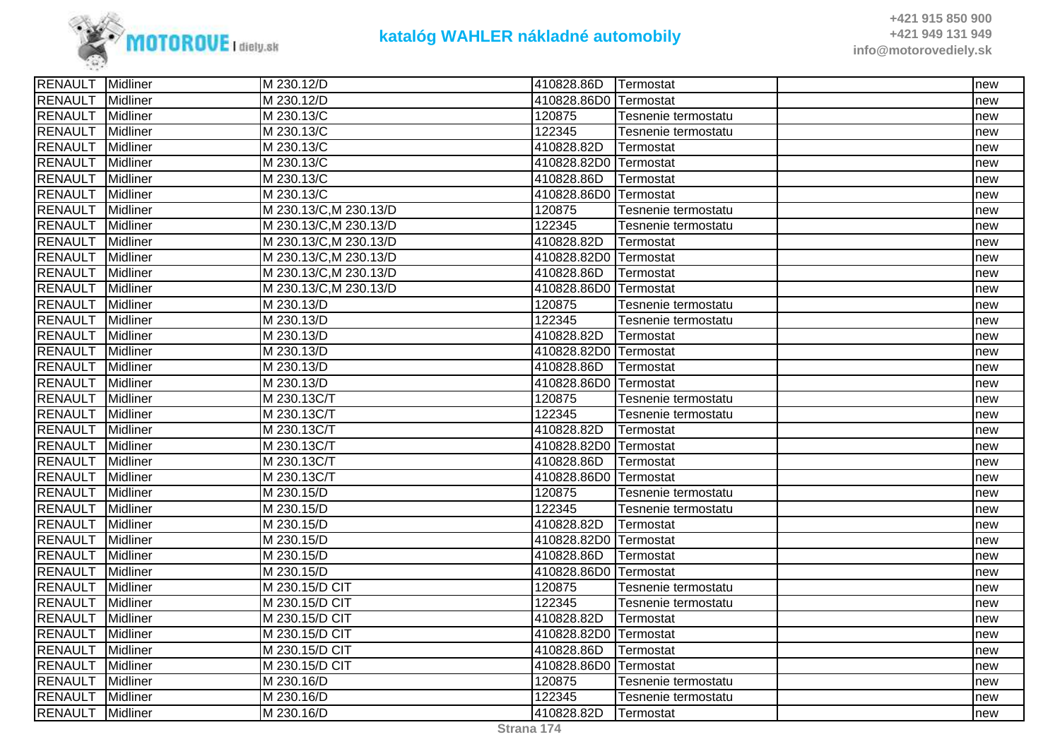

| M 230.12/D<br>410828.86D0 Termostat<br>Midliner<br>new<br>Midliner<br>M 230.13/C<br>120875<br>Tesnenie termostatu<br>new<br>122345<br>Midliner<br>M 230.13/C<br>Tesnenie termostatu<br>new<br>Midliner<br>M 230.13/C<br>410828.82D<br>Termostat<br>new<br>M 230.13/C<br>410828.82D0 Termostat<br>Midliner<br>new<br><b>Midliner</b><br>M 230.13/C<br>410828.86D<br>Termostat<br>new<br>Midliner<br>M 230.13/C<br>410828.86D0 Termostat<br>new<br>M 230.13/C, M 230.13/D<br>Midliner<br>120875<br>Tesnenie termostatu<br>new<br>122345<br>M 230.13/C, M 230.13/D<br>Midliner<br>Tesnenie termostatu<br>new<br>M 230.13/C, M 230.13/D<br>410828.82D<br>Midliner<br>Termostat<br>new<br>M 230.13/C, M 230.13/D<br>Midliner<br>410828.82D0 Termostat<br>new<br>M 230.13/C, M 230.13/D<br>410828.86D<br>Midliner<br>lTermostat<br>new<br><b>Midliner</b><br>M 230.13/C, M 230.13/D<br>410828.86D0 ITermostat<br>new<br>Midliner<br>120875<br>M 230.13/D<br>Tesnenie termostatu<br>new<br>122345<br>Midliner<br>M 230.13/D<br>Tesnenie termostatu<br>new<br>Midliner<br>410828.82D<br>M 230.13/D<br>Termostat<br>new<br>410828.82D0 Termostat<br><b>Midliner</b><br>M 230.13/D<br>new<br>Midliner<br>M 230.13/D<br>410828.86D<br>Termostat<br>new<br>Midliner<br>M 230.13/D<br>410828.86D0 Termostat<br>new<br>120875<br>Midliner<br>M 230.13C/T<br>Tesnenie termostatu<br>new<br>122345<br>Midliner<br>M 230.13C/T<br>Tesnenie termostatu<br>new<br>RENAULT<br>410828.82D<br>Midliner<br>M 230.13C/T<br>Termostat<br>new<br>Midliner<br>M 230.13C/T<br>410828.82D0 Termostat<br>new<br>Midliner<br>M 230.13C/T<br>410828.86D<br>Termostat<br>new<br>Midliner<br>M 230.13C/T<br>410828.86D0 Termostat<br>new<br><b>RENAULT</b><br>Midliner<br>M 230.15/D<br>120875<br>Tesnenie termostatu<br>new<br><b>RENAULT</b><br>122345<br>Midliner<br>M 230.15/D<br>Tesnenie termostatu<br>new<br><b>RENAULT</b><br><b>Midliner</b><br>M 230.15/D<br>410828.82D<br>Termostat<br>new<br><b>RENAULT</b><br>Midliner<br>M 230.15/D<br>410828.82D0 Termostat<br>new<br><b>RENAULT</b><br>Midliner<br>410828.86D<br>M 230.15/D<br>Termostat<br>new<br><b>RENAULT</b><br>Midliner<br>M 230.15/D<br>410828.86D0 Termostat<br>new<br><b>RENAULT</b><br>120875<br>Midliner<br>M 230.15/D CIT<br>Tesnenie termostatu<br>new<br><b>RENAULT</b><br>122345<br>M 230.15/D CIT<br>Midliner<br>Tesnenie termostatu<br>new<br><b>RENAULT</b><br>410828.82D<br>Midliner<br>M 230.15/D CIT<br>Termostat<br>new<br>RENAULT<br>Midliner<br>M 230.15/D CIT<br>410828.82D0 Termostat<br>new<br>Midliner<br>M 230.15/D CIT<br>410828.86D<br>Termostat<br>new<br>M 230.15/D CIT<br>410828.86D0 Termostat<br>Midliner<br>new<br><b>Midliner</b><br>120875<br>M 230.16/D<br>Tesnenie termostatu<br>new<br>Midliner<br>122345<br>M 230.16/D<br>Tesnenie termostatu<br>new<br>RENAULT Midliner<br>M 230.16/D<br>410828.82D<br>Termostat<br>new | <b>RENAULT</b> | Midliner | M 230.12/D | 410828.86D   Termostat | new |
|---------------------------------------------------------------------------------------------------------------------------------------------------------------------------------------------------------------------------------------------------------------------------------------------------------------------------------------------------------------------------------------------------------------------------------------------------------------------------------------------------------------------------------------------------------------------------------------------------------------------------------------------------------------------------------------------------------------------------------------------------------------------------------------------------------------------------------------------------------------------------------------------------------------------------------------------------------------------------------------------------------------------------------------------------------------------------------------------------------------------------------------------------------------------------------------------------------------------------------------------------------------------------------------------------------------------------------------------------------------------------------------------------------------------------------------------------------------------------------------------------------------------------------------------------------------------------------------------------------------------------------------------------------------------------------------------------------------------------------------------------------------------------------------------------------------------------------------------------------------------------------------------------------------------------------------------------------------------------------------------------------------------------------------------------------------------------------------------------------------------------------------------------------------------------------------------------------------------------------------------------------------------------------------------------------------------------------------------------------------------------------------------------------------------------------------------------------------------------------------------------------------------------------------------------------------------------------------------------------------------------------------------------------------------------------------------------------------------------------------------------------------------------------------------------------------------------------------------------------------------------------------------------|----------------|----------|------------|------------------------|-----|
|                                                                                                                                                                                                                                                                                                                                                                                                                                                                                                                                                                                                                                                                                                                                                                                                                                                                                                                                                                                                                                                                                                                                                                                                                                                                                                                                                                                                                                                                                                                                                                                                                                                                                                                                                                                                                                                                                                                                                                                                                                                                                                                                                                                                                                                                                                                                                                                                                                                                                                                                                                                                                                                                                                                                                                                                                                                                                                   | <b>RENAULT</b> |          |            |                        |     |
|                                                                                                                                                                                                                                                                                                                                                                                                                                                                                                                                                                                                                                                                                                                                                                                                                                                                                                                                                                                                                                                                                                                                                                                                                                                                                                                                                                                                                                                                                                                                                                                                                                                                                                                                                                                                                                                                                                                                                                                                                                                                                                                                                                                                                                                                                                                                                                                                                                                                                                                                                                                                                                                                                                                                                                                                                                                                                                   | <b>RENAULT</b> |          |            |                        |     |
|                                                                                                                                                                                                                                                                                                                                                                                                                                                                                                                                                                                                                                                                                                                                                                                                                                                                                                                                                                                                                                                                                                                                                                                                                                                                                                                                                                                                                                                                                                                                                                                                                                                                                                                                                                                                                                                                                                                                                                                                                                                                                                                                                                                                                                                                                                                                                                                                                                                                                                                                                                                                                                                                                                                                                                                                                                                                                                   | <b>RENAULT</b> |          |            |                        |     |
|                                                                                                                                                                                                                                                                                                                                                                                                                                                                                                                                                                                                                                                                                                                                                                                                                                                                                                                                                                                                                                                                                                                                                                                                                                                                                                                                                                                                                                                                                                                                                                                                                                                                                                                                                                                                                                                                                                                                                                                                                                                                                                                                                                                                                                                                                                                                                                                                                                                                                                                                                                                                                                                                                                                                                                                                                                                                                                   | RENAULT        |          |            |                        |     |
|                                                                                                                                                                                                                                                                                                                                                                                                                                                                                                                                                                                                                                                                                                                                                                                                                                                                                                                                                                                                                                                                                                                                                                                                                                                                                                                                                                                                                                                                                                                                                                                                                                                                                                                                                                                                                                                                                                                                                                                                                                                                                                                                                                                                                                                                                                                                                                                                                                                                                                                                                                                                                                                                                                                                                                                                                                                                                                   | <b>RENAULT</b> |          |            |                        |     |
|                                                                                                                                                                                                                                                                                                                                                                                                                                                                                                                                                                                                                                                                                                                                                                                                                                                                                                                                                                                                                                                                                                                                                                                                                                                                                                                                                                                                                                                                                                                                                                                                                                                                                                                                                                                                                                                                                                                                                                                                                                                                                                                                                                                                                                                                                                                                                                                                                                                                                                                                                                                                                                                                                                                                                                                                                                                                                                   | RENAULT        |          |            |                        |     |
|                                                                                                                                                                                                                                                                                                                                                                                                                                                                                                                                                                                                                                                                                                                                                                                                                                                                                                                                                                                                                                                                                                                                                                                                                                                                                                                                                                                                                                                                                                                                                                                                                                                                                                                                                                                                                                                                                                                                                                                                                                                                                                                                                                                                                                                                                                                                                                                                                                                                                                                                                                                                                                                                                                                                                                                                                                                                                                   | RENAULT        |          |            |                        |     |
|                                                                                                                                                                                                                                                                                                                                                                                                                                                                                                                                                                                                                                                                                                                                                                                                                                                                                                                                                                                                                                                                                                                                                                                                                                                                                                                                                                                                                                                                                                                                                                                                                                                                                                                                                                                                                                                                                                                                                                                                                                                                                                                                                                                                                                                                                                                                                                                                                                                                                                                                                                                                                                                                                                                                                                                                                                                                                                   | <b>RENAULT</b> |          |            |                        |     |
|                                                                                                                                                                                                                                                                                                                                                                                                                                                                                                                                                                                                                                                                                                                                                                                                                                                                                                                                                                                                                                                                                                                                                                                                                                                                                                                                                                                                                                                                                                                                                                                                                                                                                                                                                                                                                                                                                                                                                                                                                                                                                                                                                                                                                                                                                                                                                                                                                                                                                                                                                                                                                                                                                                                                                                                                                                                                                                   | <b>RENAULT</b> |          |            |                        |     |
|                                                                                                                                                                                                                                                                                                                                                                                                                                                                                                                                                                                                                                                                                                                                                                                                                                                                                                                                                                                                                                                                                                                                                                                                                                                                                                                                                                                                                                                                                                                                                                                                                                                                                                                                                                                                                                                                                                                                                                                                                                                                                                                                                                                                                                                                                                                                                                                                                                                                                                                                                                                                                                                                                                                                                                                                                                                                                                   | <b>RENAULT</b> |          |            |                        |     |
|                                                                                                                                                                                                                                                                                                                                                                                                                                                                                                                                                                                                                                                                                                                                                                                                                                                                                                                                                                                                                                                                                                                                                                                                                                                                                                                                                                                                                                                                                                                                                                                                                                                                                                                                                                                                                                                                                                                                                                                                                                                                                                                                                                                                                                                                                                                                                                                                                                                                                                                                                                                                                                                                                                                                                                                                                                                                                                   | <b>RENAULT</b> |          |            |                        |     |
|                                                                                                                                                                                                                                                                                                                                                                                                                                                                                                                                                                                                                                                                                                                                                                                                                                                                                                                                                                                                                                                                                                                                                                                                                                                                                                                                                                                                                                                                                                                                                                                                                                                                                                                                                                                                                                                                                                                                                                                                                                                                                                                                                                                                                                                                                                                                                                                                                                                                                                                                                                                                                                                                                                                                                                                                                                                                                                   | <b>RENAULT</b> |          |            |                        |     |
|                                                                                                                                                                                                                                                                                                                                                                                                                                                                                                                                                                                                                                                                                                                                                                                                                                                                                                                                                                                                                                                                                                                                                                                                                                                                                                                                                                                                                                                                                                                                                                                                                                                                                                                                                                                                                                                                                                                                                                                                                                                                                                                                                                                                                                                                                                                                                                                                                                                                                                                                                                                                                                                                                                                                                                                                                                                                                                   | <b>RENAULT</b> |          |            |                        |     |
|                                                                                                                                                                                                                                                                                                                                                                                                                                                                                                                                                                                                                                                                                                                                                                                                                                                                                                                                                                                                                                                                                                                                                                                                                                                                                                                                                                                                                                                                                                                                                                                                                                                                                                                                                                                                                                                                                                                                                                                                                                                                                                                                                                                                                                                                                                                                                                                                                                                                                                                                                                                                                                                                                                                                                                                                                                                                                                   | <b>RENAULT</b> |          |            |                        |     |
|                                                                                                                                                                                                                                                                                                                                                                                                                                                                                                                                                                                                                                                                                                                                                                                                                                                                                                                                                                                                                                                                                                                                                                                                                                                                                                                                                                                                                                                                                                                                                                                                                                                                                                                                                                                                                                                                                                                                                                                                                                                                                                                                                                                                                                                                                                                                                                                                                                                                                                                                                                                                                                                                                                                                                                                                                                                                                                   | RENAULT        |          |            |                        |     |
|                                                                                                                                                                                                                                                                                                                                                                                                                                                                                                                                                                                                                                                                                                                                                                                                                                                                                                                                                                                                                                                                                                                                                                                                                                                                                                                                                                                                                                                                                                                                                                                                                                                                                                                                                                                                                                                                                                                                                                                                                                                                                                                                                                                                                                                                                                                                                                                                                                                                                                                                                                                                                                                                                                                                                                                                                                                                                                   | <b>RENAULT</b> |          |            |                        |     |
|                                                                                                                                                                                                                                                                                                                                                                                                                                                                                                                                                                                                                                                                                                                                                                                                                                                                                                                                                                                                                                                                                                                                                                                                                                                                                                                                                                                                                                                                                                                                                                                                                                                                                                                                                                                                                                                                                                                                                                                                                                                                                                                                                                                                                                                                                                                                                                                                                                                                                                                                                                                                                                                                                                                                                                                                                                                                                                   | RENAULT        |          |            |                        |     |
|                                                                                                                                                                                                                                                                                                                                                                                                                                                                                                                                                                                                                                                                                                                                                                                                                                                                                                                                                                                                                                                                                                                                                                                                                                                                                                                                                                                                                                                                                                                                                                                                                                                                                                                                                                                                                                                                                                                                                                                                                                                                                                                                                                                                                                                                                                                                                                                                                                                                                                                                                                                                                                                                                                                                                                                                                                                                                                   | <b>RENAULT</b> |          |            |                        |     |
|                                                                                                                                                                                                                                                                                                                                                                                                                                                                                                                                                                                                                                                                                                                                                                                                                                                                                                                                                                                                                                                                                                                                                                                                                                                                                                                                                                                                                                                                                                                                                                                                                                                                                                                                                                                                                                                                                                                                                                                                                                                                                                                                                                                                                                                                                                                                                                                                                                                                                                                                                                                                                                                                                                                                                                                                                                                                                                   | <b>RENAULT</b> |          |            |                        |     |
|                                                                                                                                                                                                                                                                                                                                                                                                                                                                                                                                                                                                                                                                                                                                                                                                                                                                                                                                                                                                                                                                                                                                                                                                                                                                                                                                                                                                                                                                                                                                                                                                                                                                                                                                                                                                                                                                                                                                                                                                                                                                                                                                                                                                                                                                                                                                                                                                                                                                                                                                                                                                                                                                                                                                                                                                                                                                                                   | <b>RENAULT</b> |          |            |                        |     |
|                                                                                                                                                                                                                                                                                                                                                                                                                                                                                                                                                                                                                                                                                                                                                                                                                                                                                                                                                                                                                                                                                                                                                                                                                                                                                                                                                                                                                                                                                                                                                                                                                                                                                                                                                                                                                                                                                                                                                                                                                                                                                                                                                                                                                                                                                                                                                                                                                                                                                                                                                                                                                                                                                                                                                                                                                                                                                                   | <b>RENAULT</b> |          |            |                        |     |
|                                                                                                                                                                                                                                                                                                                                                                                                                                                                                                                                                                                                                                                                                                                                                                                                                                                                                                                                                                                                                                                                                                                                                                                                                                                                                                                                                                                                                                                                                                                                                                                                                                                                                                                                                                                                                                                                                                                                                                                                                                                                                                                                                                                                                                                                                                                                                                                                                                                                                                                                                                                                                                                                                                                                                                                                                                                                                                   |                |          |            |                        |     |
|                                                                                                                                                                                                                                                                                                                                                                                                                                                                                                                                                                                                                                                                                                                                                                                                                                                                                                                                                                                                                                                                                                                                                                                                                                                                                                                                                                                                                                                                                                                                                                                                                                                                                                                                                                                                                                                                                                                                                                                                                                                                                                                                                                                                                                                                                                                                                                                                                                                                                                                                                                                                                                                                                                                                                                                                                                                                                                   | RENAULT        |          |            |                        |     |
|                                                                                                                                                                                                                                                                                                                                                                                                                                                                                                                                                                                                                                                                                                                                                                                                                                                                                                                                                                                                                                                                                                                                                                                                                                                                                                                                                                                                                                                                                                                                                                                                                                                                                                                                                                                                                                                                                                                                                                                                                                                                                                                                                                                                                                                                                                                                                                                                                                                                                                                                                                                                                                                                                                                                                                                                                                                                                                   | RENAULT        |          |            |                        |     |
|                                                                                                                                                                                                                                                                                                                                                                                                                                                                                                                                                                                                                                                                                                                                                                                                                                                                                                                                                                                                                                                                                                                                                                                                                                                                                                                                                                                                                                                                                                                                                                                                                                                                                                                                                                                                                                                                                                                                                                                                                                                                                                                                                                                                                                                                                                                                                                                                                                                                                                                                                                                                                                                                                                                                                                                                                                                                                                   | <b>RENAULT</b> |          |            |                        |     |
|                                                                                                                                                                                                                                                                                                                                                                                                                                                                                                                                                                                                                                                                                                                                                                                                                                                                                                                                                                                                                                                                                                                                                                                                                                                                                                                                                                                                                                                                                                                                                                                                                                                                                                                                                                                                                                                                                                                                                                                                                                                                                                                                                                                                                                                                                                                                                                                                                                                                                                                                                                                                                                                                                                                                                                                                                                                                                                   |                |          |            |                        |     |
|                                                                                                                                                                                                                                                                                                                                                                                                                                                                                                                                                                                                                                                                                                                                                                                                                                                                                                                                                                                                                                                                                                                                                                                                                                                                                                                                                                                                                                                                                                                                                                                                                                                                                                                                                                                                                                                                                                                                                                                                                                                                                                                                                                                                                                                                                                                                                                                                                                                                                                                                                                                                                                                                                                                                                                                                                                                                                                   |                |          |            |                        |     |
|                                                                                                                                                                                                                                                                                                                                                                                                                                                                                                                                                                                                                                                                                                                                                                                                                                                                                                                                                                                                                                                                                                                                                                                                                                                                                                                                                                                                                                                                                                                                                                                                                                                                                                                                                                                                                                                                                                                                                                                                                                                                                                                                                                                                                                                                                                                                                                                                                                                                                                                                                                                                                                                                                                                                                                                                                                                                                                   |                |          |            |                        |     |
|                                                                                                                                                                                                                                                                                                                                                                                                                                                                                                                                                                                                                                                                                                                                                                                                                                                                                                                                                                                                                                                                                                                                                                                                                                                                                                                                                                                                                                                                                                                                                                                                                                                                                                                                                                                                                                                                                                                                                                                                                                                                                                                                                                                                                                                                                                                                                                                                                                                                                                                                                                                                                                                                                                                                                                                                                                                                                                   |                |          |            |                        |     |
|                                                                                                                                                                                                                                                                                                                                                                                                                                                                                                                                                                                                                                                                                                                                                                                                                                                                                                                                                                                                                                                                                                                                                                                                                                                                                                                                                                                                                                                                                                                                                                                                                                                                                                                                                                                                                                                                                                                                                                                                                                                                                                                                                                                                                                                                                                                                                                                                                                                                                                                                                                                                                                                                                                                                                                                                                                                                                                   |                |          |            |                        |     |
|                                                                                                                                                                                                                                                                                                                                                                                                                                                                                                                                                                                                                                                                                                                                                                                                                                                                                                                                                                                                                                                                                                                                                                                                                                                                                                                                                                                                                                                                                                                                                                                                                                                                                                                                                                                                                                                                                                                                                                                                                                                                                                                                                                                                                                                                                                                                                                                                                                                                                                                                                                                                                                                                                                                                                                                                                                                                                                   |                |          |            |                        |     |
|                                                                                                                                                                                                                                                                                                                                                                                                                                                                                                                                                                                                                                                                                                                                                                                                                                                                                                                                                                                                                                                                                                                                                                                                                                                                                                                                                                                                                                                                                                                                                                                                                                                                                                                                                                                                                                                                                                                                                                                                                                                                                                                                                                                                                                                                                                                                                                                                                                                                                                                                                                                                                                                                                                                                                                                                                                                                                                   |                |          |            |                        |     |
|                                                                                                                                                                                                                                                                                                                                                                                                                                                                                                                                                                                                                                                                                                                                                                                                                                                                                                                                                                                                                                                                                                                                                                                                                                                                                                                                                                                                                                                                                                                                                                                                                                                                                                                                                                                                                                                                                                                                                                                                                                                                                                                                                                                                                                                                                                                                                                                                                                                                                                                                                                                                                                                                                                                                                                                                                                                                                                   |                |          |            |                        |     |
|                                                                                                                                                                                                                                                                                                                                                                                                                                                                                                                                                                                                                                                                                                                                                                                                                                                                                                                                                                                                                                                                                                                                                                                                                                                                                                                                                                                                                                                                                                                                                                                                                                                                                                                                                                                                                                                                                                                                                                                                                                                                                                                                                                                                                                                                                                                                                                                                                                                                                                                                                                                                                                                                                                                                                                                                                                                                                                   |                |          |            |                        |     |
|                                                                                                                                                                                                                                                                                                                                                                                                                                                                                                                                                                                                                                                                                                                                                                                                                                                                                                                                                                                                                                                                                                                                                                                                                                                                                                                                                                                                                                                                                                                                                                                                                                                                                                                                                                                                                                                                                                                                                                                                                                                                                                                                                                                                                                                                                                                                                                                                                                                                                                                                                                                                                                                                                                                                                                                                                                                                                                   |                |          |            |                        |     |
|                                                                                                                                                                                                                                                                                                                                                                                                                                                                                                                                                                                                                                                                                                                                                                                                                                                                                                                                                                                                                                                                                                                                                                                                                                                                                                                                                                                                                                                                                                                                                                                                                                                                                                                                                                                                                                                                                                                                                                                                                                                                                                                                                                                                                                                                                                                                                                                                                                                                                                                                                                                                                                                                                                                                                                                                                                                                                                   | <b>RENAULT</b> |          |            |                        |     |
|                                                                                                                                                                                                                                                                                                                                                                                                                                                                                                                                                                                                                                                                                                                                                                                                                                                                                                                                                                                                                                                                                                                                                                                                                                                                                                                                                                                                                                                                                                                                                                                                                                                                                                                                                                                                                                                                                                                                                                                                                                                                                                                                                                                                                                                                                                                                                                                                                                                                                                                                                                                                                                                                                                                                                                                                                                                                                                   | <b>RENAULT</b> |          |            |                        |     |
|                                                                                                                                                                                                                                                                                                                                                                                                                                                                                                                                                                                                                                                                                                                                                                                                                                                                                                                                                                                                                                                                                                                                                                                                                                                                                                                                                                                                                                                                                                                                                                                                                                                                                                                                                                                                                                                                                                                                                                                                                                                                                                                                                                                                                                                                                                                                                                                                                                                                                                                                                                                                                                                                                                                                                                                                                                                                                                   | RENAULT        |          |            |                        |     |
|                                                                                                                                                                                                                                                                                                                                                                                                                                                                                                                                                                                                                                                                                                                                                                                                                                                                                                                                                                                                                                                                                                                                                                                                                                                                                                                                                                                                                                                                                                                                                                                                                                                                                                                                                                                                                                                                                                                                                                                                                                                                                                                                                                                                                                                                                                                                                                                                                                                                                                                                                                                                                                                                                                                                                                                                                                                                                                   | <b>RENAULT</b> |          |            |                        |     |
|                                                                                                                                                                                                                                                                                                                                                                                                                                                                                                                                                                                                                                                                                                                                                                                                                                                                                                                                                                                                                                                                                                                                                                                                                                                                                                                                                                                                                                                                                                                                                                                                                                                                                                                                                                                                                                                                                                                                                                                                                                                                                                                                                                                                                                                                                                                                                                                                                                                                                                                                                                                                                                                                                                                                                                                                                                                                                                   |                |          |            |                        |     |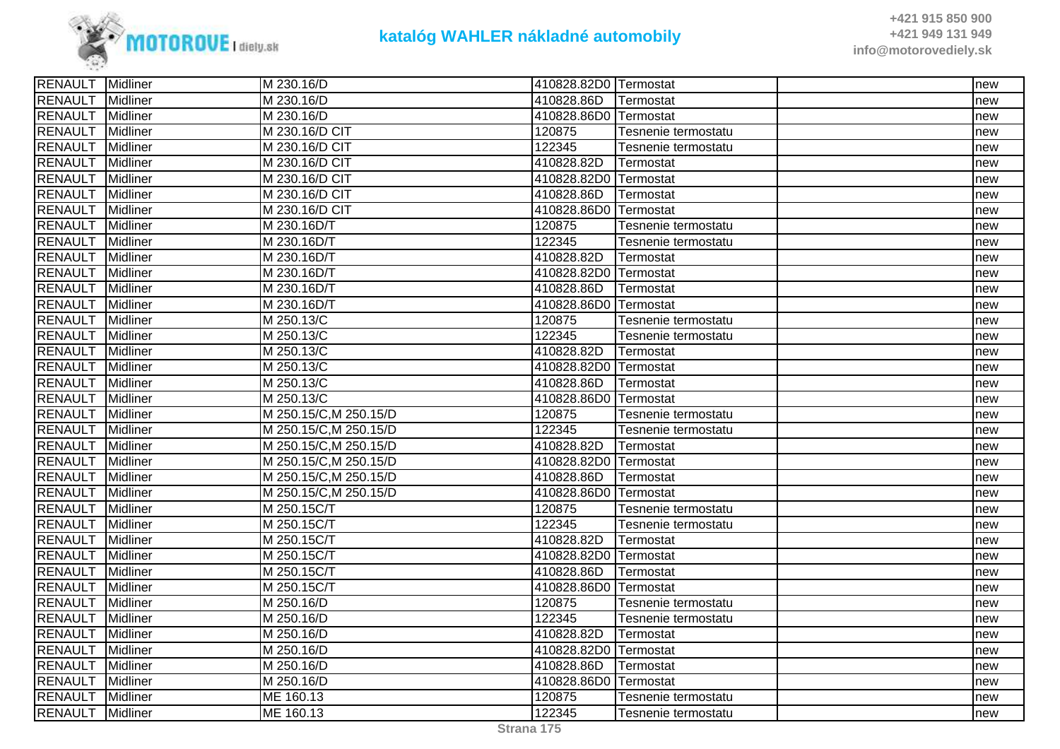

| <b>RENAULT</b> Midliner |                 | M 230.16/D             | 410828.82D0 Termostat |                     | Inew |
|-------------------------|-----------------|------------------------|-----------------------|---------------------|------|
| RENAULT                 | Midliner        | M 230.16/D             | 410828.86D            | <b>Termostat</b>    | new  |
| <b>RENAULT</b>          | Midliner        | M 230.16/D             | 410828.86D0 Termostat |                     | new  |
| <b>RENAULT</b>          | Midliner        | M 230.16/D CIT         | 120875                | Tesnenie termostatu | new  |
| RENAULT                 | Midliner        | M 230.16/D CIT         | 122345                | Tesnenie termostatu | new  |
| <b>RENAULT</b>          | <b>Midliner</b> | M 230.16/D CIT         | 410828.82D            | Termostat           | new  |
| RENAULT                 | Midliner        | M 230.16/D CIT         | 410828.82D0 Termostat |                     | new  |
| <b>RENAULT</b>          | <b>Midliner</b> | M 230.16/D CIT         | 410828.86D            | Termostat           | new  |
| <b>RENAULT</b>          | Midliner        | M 230.16/D CIT         | 410828.86D0 Termostat |                     | new  |
| <b>RENAULT</b>          | Midliner        | M 230.16D/T            | 120875                | Tesnenie termostatu | new  |
| <b>RENAULT</b>          | Midliner        | M 230.16D/T            | 122345                | Tesnenie termostatu | new  |
| RENAULT                 | Midliner        | M 230.16D/T            | 410828.82D            | Termostat           | new  |
| <b>RENAULT</b>          | Midliner        | M 230.16D/T            | 410828.82D0 Termostat |                     | new  |
| <b>RENAULT</b>          | Midliner        | M 230.16D/T            | 410828.86D            | Termostat           | new  |
| <b>RENAULT</b>          | Midliner        | M 230.16D/T            | 410828.86D0 Termostat |                     | new  |
| <b>RENAULT</b>          | Midliner        | M 250.13/C             | 120875                | Tesnenie termostatu | new  |
| <b>RENAULT</b>          | Midliner        | M 250.13/C             | 122345                | Tesnenie termostatu | new  |
| <b>RENAULT</b>          | Midliner        | M 250.13/C             | 410828.82D            | Termostat           | new  |
| RENAULT                 | <b>Midliner</b> | M 250.13/C             | 410828.82D0 Termostat |                     | new  |
| <b>RENAULT</b>          | Midliner        | M 250.13/C             | 410828.86D            | Termostat           | new  |
| <b>RENAULT</b>          | Midliner        | M 250.13/C             | 410828.86D0 Termostat |                     | new  |
| <b>RENAULT</b>          | Midliner        | M 250.15/C, M 250.15/D | 120875                | Tesnenie termostatu | new  |
| <b>RENAULT</b>          | Midliner        | M 250.15/C, M 250.15/D | 122345                | Tesnenie termostatu | new  |
| <b>RENAULT</b>          | Midliner        | M 250.15/C, M 250.15/D | 410828.82D            | Termostat           | new  |
| <b>RENAULT</b>          | Midliner        | M 250.15/C, M 250.15/D | 410828.82D0 Termostat |                     | new  |
| RENAULT                 | Midliner        | M 250.15/C, M 250.15/D | 410828.86D            | Termostat           | new  |
| <b>RENAULT</b>          | Midliner        | M 250.15/C, M 250.15/D | 410828.86D0 Termostat |                     | new  |
| <b>RENAULT</b>          | Midliner        | M 250.15C/T            | 120875                | Tesnenie termostatu | new  |
| <b>RENAULT</b>          | Midliner        | M 250.15C/T            | 122345                | Tesnenie termostatu | new  |
| <b>RENAULT</b>          | Midliner        | M 250.15C/T            | 410828.82D            | Termostat           | new  |
| <b>RENAULT</b>          | Midliner        | M 250.15C/T            | 410828.82D0 Termostat |                     | new  |
| <b>RENAULT</b>          | Midliner        | M 250.15C/T            | 410828.86D            | Termostat           | new  |
| <b>RENAULT</b>          | Midliner        | M 250.15C/T            | 410828.86D0 Termostat |                     | new  |
| <b>RENAULT</b>          | Midliner        | M 250.16/D             | 120875                | Tesnenie termostatu | new  |
| <b>RENAULT</b>          | Midliner        | M 250.16/D             | 122345                | Tesnenie termostatu | new  |
| <b>RENAULT</b>          | Midliner        | M 250.16/D             | 410828.82D            | Termostat           | new  |
| <b>RENAULT</b>          | <b>Midliner</b> | M 250.16/D             | 410828.82D0 Termostat |                     | new  |
| RENAULT                 | Midliner        | M 250.16/D             | 410828.86D            | Termostat           | new  |
| <b>RENAULT</b>          | Midliner        | M 250.16/D             | 410828.86D0 Termostat |                     | new  |
| <b>RENAULT</b>          | Midliner        | ME 160.13              | 120875                | Tesnenie termostatu | new  |
| <b>RENAULT</b>          | Midliner        | ME 160.13              | 122345                | Tesnenie termostatu | new  |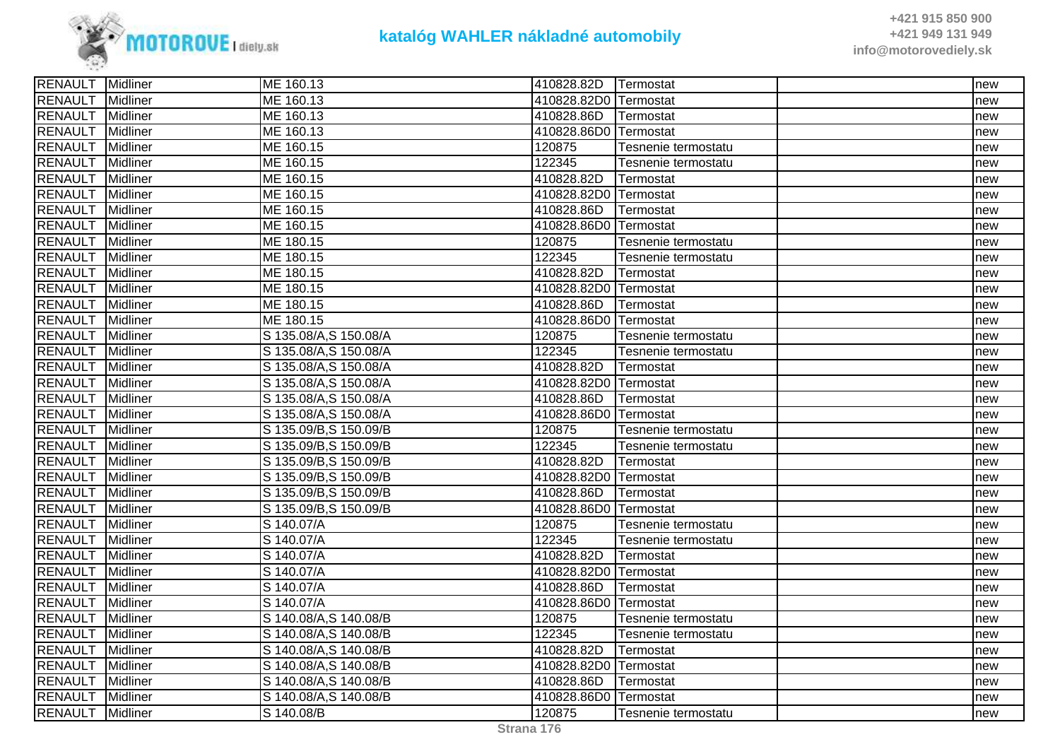

| <b>RENAULT</b> Midliner |                 | ME 160.13              | 410828.82D             | <b>ITermostat</b>   | Inew |
|-------------------------|-----------------|------------------------|------------------------|---------------------|------|
| RENAULT                 | <b>Midliner</b> | ME 160.13              | 410828.82D0 Termostat  |                     | new  |
| <b>RENAULT</b>          | <b>Midliner</b> | ME 160.13              | 410828.86D             | Termostat           | new  |
| <b>RENAULT</b>          | <b>Midliner</b> | ME 160.13              | 410828.86D0 Termostat  |                     | new  |
| <b>RENAULT</b>          | Midliner        | ME 160.15              | 120875                 | Tesnenie termostatu | new  |
| <b>RENAULT</b>          | Midliner        | ME 160.15              | 122345                 | Tesnenie termostatu | new  |
| <b>RENAULT</b>          | Midliner        | ME 160.15              | 410828.82D             | Termostat           | new  |
| <b>RENAULT</b>          | Midliner        | ME 160.15              | 410828.82D0 ITermostat |                     | new  |
| <b>RENAULT</b>          | Midliner        | ME 160.15              | 410828.86D             | Termostat           | new  |
| RENAULT                 | <b>Midliner</b> | ME 160.15              | 410828.86D0 Termostat  |                     | new  |
| <b>RENAULT</b>          | Midliner        | ME 180.15              | 120875                 | Tesnenie termostatu | new  |
| RENAULT                 | Midliner        | ME 180.15              | 122345                 | Tesnenie termostatu | new  |
| <b>RENAULT</b>          | Midliner        | ME 180.15              | 410828.82D             | Termostat           | new  |
| <b>RENAULT</b>          | Midliner        | ME 180.15              | 410828.82D0 Termostat  |                     | new  |
| <b>RENAULT</b>          | <b>Midliner</b> | ME 180.15              | 410828.86D             | Termostat           | new  |
| RENAULT                 | Midliner        | ME 180.15              | 410828.86D0 Termostat  |                     | new  |
| <b>RENAULT</b>          | Midliner        | S 135.08/A, S 150.08/A | 120875                 | Tesnenie termostatu | new  |
| <b>RENAULT</b>          | <b>Midliner</b> | S 135.08/A, S 150.08/A | 122345                 | Tesnenie termostatu | new  |
| <b>RENAULT</b>          | Midliner        | S 135.08/A, S 150.08/A | 410828.82D             | Termostat           | new  |
| <b>RENAULT</b>          | Midliner        | S 135.08/A, S 150.08/A | 410828.82D0 Termostat  |                     | new  |
| <b>RENAULT</b>          | Midliner        | S 135.08/A, S 150.08/A | 410828.86D             | lTermostat          | new  |
| <b>RENAULT</b>          | Midliner        | S 135.08/A, S 150.08/A | 410828.86D0 Termostat  |                     | new  |
| <b>RENAULT</b>          | Midliner        | S 135.09/B, S 150.09/B | 120875                 | Tesnenie termostatu | new  |
| RENAULT                 | Midliner        | S 135.09/B, S 150.09/B | 122345                 | Tesnenie termostatu | new  |
| RENAULT                 | Midliner        | S 135.09/B, S 150.09/B | 410828.82D             | Termostat           | new  |
| <b>RENAULT</b>          | Midliner        | S 135.09/B, S 150.09/B | 410828.82D0 Termostat  |                     | new  |
| <b>RENAULT</b>          | Midliner        | S 135.09/B, S 150.09/B | 410828.86D             | Termostat           | new  |
| RENAULT                 | <b>Midliner</b> | S 135.09/B, S 150.09/B | 410828.86D0 Termostat  |                     | new  |
| <b>RENAULT</b>          | <b>Midliner</b> | S 140.07/A             | 120875                 | Tesnenie termostatu | new  |
| RENAULT                 | Midliner        | S 140.07/A             | 122345                 | Tesnenie termostatu | new  |
| <b>RENAULT</b>          | Midliner        | S 140.07/A             | 410828.82D             | Termostat           | new  |
| <b>RENAULT</b>          | Midliner        | S 140.07/A             | 410828.82D0 Termostat  |                     | new  |
| <b>RENAULT</b>          | Midliner        | S 140.07/A             | 410828.86D             | Termostat           | new  |
| RENAULT                 | Midliner        | S 140.07/A             | 410828.86D0 Termostat  |                     | new  |
| <b>RENAULT</b>          | Midliner        | S 140.08/A, S 140.08/B | 120875                 | Tesnenie termostatu | new  |
| <b>RENAULT</b>          | Midliner        | S 140.08/A,S 140.08/B  | 122345                 | Tesnenie termostatu | new  |
| <b>RENAULT</b>          | Midliner        | S 140.08/A,S 140.08/B  | 410828.82D             | Termostat           | new  |
| RENAULT                 | Midliner        | S 140.08/A,S 140.08/B  | 410828.82D0 Termostat  |                     | new  |
| RENAULT                 | <b>Midliner</b> | S 140.08/A, S 140.08/B | 410828.86D             | Termostat           | new  |
| <b>RENAULT</b>          | Midliner        | S 140.08/A, S 140.08/B | 410828.86D0 Termostat  |                     | new  |
| <b>RENAULT</b>          | Midliner        | S 140.08/B             | 120875                 | Tesnenie termostatu | new  |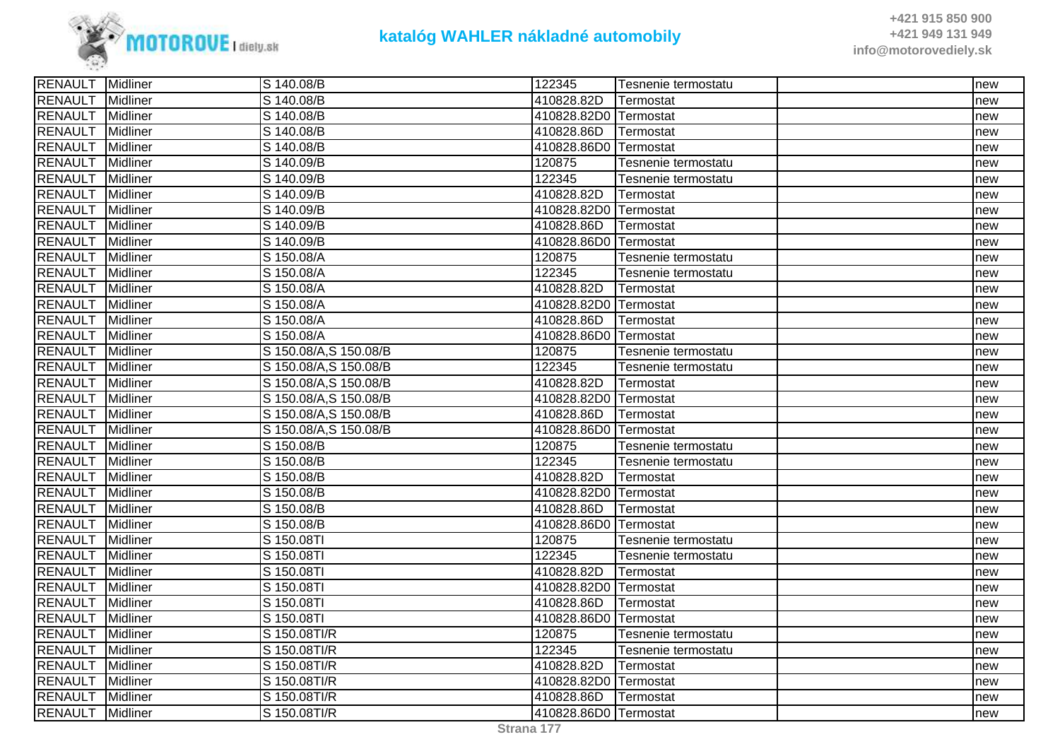

| RENAULT<br>S 140.08/B<br>410828.82D<br><b>Midliner</b><br>Termostat<br>new<br>RENAULT<br>Midliner<br>S 140.08/B<br>410828.82D0 Termostat<br>new<br><b>RENAULT</b><br>Midliner<br>S 140.08/B<br>410828.86D<br>Termostat<br>new<br><b>RENAULT</b><br>410828.86D0 Termostat<br>Midliner<br>S 140.08/B<br>new<br>RENAULT<br>120875<br>Midliner<br>S 140.09/B<br>Tesnenie termostatu<br>new<br><b>RENAULT</b><br>122345<br>Midliner<br>S 140.09/B<br>Tesnenie termostatu<br>new<br><b>RENAULT</b><br>S 140.09/B<br>410828.82D<br>Midliner<br>Termostat<br>new<br><b>RENAULT</b><br>Midliner<br>410828.82D0<br>S 140.09/B<br>Termostat<br>new<br><b>RENAULT</b><br>Midliner<br>S 140.09/B<br>410828.86D<br>Termostat<br>new<br><b>RENAULT</b><br>S 140.09/B<br>410828.86D0 Termostat<br><b>Midliner</b><br>new<br>RENAULT<br>120875<br>Midliner<br>S 150.08/A<br>Tesnenie termostatu<br>new<br><b>RENAULT</b><br>122345<br>Midliner<br>S 150.08/A<br>Tesnenie termostatu<br>new<br><b>RENAULT</b><br>Midliner<br>410828.82D<br>S 150.08/A<br>Termostat<br>new<br><b>RENAULT</b><br>Midliner<br>S 150.08/A<br>410828.82D0 Termostat<br>new<br><b>RENAULT</b><br>Midliner<br>S 150.08/A<br>410828.86D<br>Termostat<br>new<br>RENAULT<br>410828.86D0 Termostat<br>Midliner<br>S 150.08/A<br>new<br><b>RENAULT</b><br>S 150.08/A,S 150.08/B<br>Midliner<br>120875<br>Tesnenie termostatu<br>new<br><b>RENAULT</b><br>S 150.08/A,S 150.08/B<br>122345<br>Midliner<br>Tesnenie termostatu<br>new<br><b>RENAULT</b><br>410828.82D<br>Midliner<br>S 150.08/A, S 150.08/B<br>Termostat<br>new<br><b>RENAULT</b><br>Midliner<br>S 150.08/A, S 150.08/B<br>410828.82D0 Termostat<br>new<br>RENAULT<br>Midliner<br>S 150.08/A,S 150.08/B<br>410828.86D<br>Termostat<br>new<br><b>RENAULT</b><br>Midliner<br>S 150.08/A,S 150.08/B<br>410828.86D0 Termostat<br>new<br><b>RENAULT</b><br>Midliner<br>S 150.08/B<br>120875<br>Tesnenie termostatu<br>new<br><b>RENAULT</b><br>122345<br><b>Midliner</b><br>S 150.08/B<br>Tesnenie termostatu<br>new<br>RENAULT<br><b>Midliner</b><br>S 150.08/B<br>410828.82D<br>Termostat<br>new<br><b>RENAULT</b><br>410828.82D0 Termostat<br>Midliner<br>S 150.08/B<br>new<br><b>RENAULT</b><br>410828.86D<br>Midliner<br>S 150.08/B<br>Termostat<br>new<br><b>RENAULT</b><br>410828.86D0<br><b>Midliner</b><br>S 150.08/B<br>Termostat<br>new<br><b>RENAULT</b><br>S 150.08TI<br>120875<br>Midliner<br>Tesnenie termostatu<br>new<br><b>RENAULT</b><br>122345<br>Midliner<br>S 150.08TI<br>Tesnenie termostatu<br>new<br><b>RENAULT</b><br>$\overline{S}$ 150.08TI<br>410828.82D<br>Midliner<br>Termostat<br>new<br><b>RENAULT</b><br>410828.82D0 Termostat<br>Midliner<br>S 150.08TI<br>new<br><b>RENAULT</b><br>Midliner<br>S 150.08TI<br>410828.86D<br>Termostat<br>new<br><b>RENAULT</b><br>410828.86D0<br>Midliner<br>S 150.08TI<br>Termostat<br>new<br><b>RENAULT</b><br>S 150.08TI/R<br>120875<br><b>Midliner</b><br>Tesnenie termostatu<br>new<br>122345<br><b>RENAULT</b><br><b>Midliner</b><br>S 150.08TI/R<br>Tesnenie termostatu<br>new<br>RENAULT<br>S 150.08Tl/R<br>410828.82D<br>Midliner<br>Termostat<br>new<br><b>RENAULT</b><br>S 150.08TI/R<br>410828.82D0 Termostat<br><b>Midliner</b><br>new<br><b>RENAULT</b><br>S 150.08TI/R<br><b>Midliner</b><br>410828.86D<br>Termostat<br>new<br>RENAULT Midliner<br>S 150.08TI/R<br>410828.86D0 Termostat<br>new | <b>RENAULT</b> Midliner | S 140.08/B | 122345 | Tesnenie termostatu | new |
|---------------------------------------------------------------------------------------------------------------------------------------------------------------------------------------------------------------------------------------------------------------------------------------------------------------------------------------------------------------------------------------------------------------------------------------------------------------------------------------------------------------------------------------------------------------------------------------------------------------------------------------------------------------------------------------------------------------------------------------------------------------------------------------------------------------------------------------------------------------------------------------------------------------------------------------------------------------------------------------------------------------------------------------------------------------------------------------------------------------------------------------------------------------------------------------------------------------------------------------------------------------------------------------------------------------------------------------------------------------------------------------------------------------------------------------------------------------------------------------------------------------------------------------------------------------------------------------------------------------------------------------------------------------------------------------------------------------------------------------------------------------------------------------------------------------------------------------------------------------------------------------------------------------------------------------------------------------------------------------------------------------------------------------------------------------------------------------------------------------------------------------------------------------------------------------------------------------------------------------------------------------------------------------------------------------------------------------------------------------------------------------------------------------------------------------------------------------------------------------------------------------------------------------------------------------------------------------------------------------------------------------------------------------------------------------------------------------------------------------------------------------------------------------------------------------------------------------------------------------------------------------------------------------------------------------------------------------------------------------------------------------------------------------------------------------------------------------------------------------------------------------------------------------------------------------------------------------------------------------------------------------------------------------------------------------------------------------------------------------------------------------------|-------------------------|------------|--------|---------------------|-----|
|                                                                                                                                                                                                                                                                                                                                                                                                                                                                                                                                                                                                                                                                                                                                                                                                                                                                                                                                                                                                                                                                                                                                                                                                                                                                                                                                                                                                                                                                                                                                                                                                                                                                                                                                                                                                                                                                                                                                                                                                                                                                                                                                                                                                                                                                                                                                                                                                                                                                                                                                                                                                                                                                                                                                                                                                                                                                                                                                                                                                                                                                                                                                                                                                                                                                                                                                                                                             |                         |            |        |                     |     |
|                                                                                                                                                                                                                                                                                                                                                                                                                                                                                                                                                                                                                                                                                                                                                                                                                                                                                                                                                                                                                                                                                                                                                                                                                                                                                                                                                                                                                                                                                                                                                                                                                                                                                                                                                                                                                                                                                                                                                                                                                                                                                                                                                                                                                                                                                                                                                                                                                                                                                                                                                                                                                                                                                                                                                                                                                                                                                                                                                                                                                                                                                                                                                                                                                                                                                                                                                                                             |                         |            |        |                     |     |
|                                                                                                                                                                                                                                                                                                                                                                                                                                                                                                                                                                                                                                                                                                                                                                                                                                                                                                                                                                                                                                                                                                                                                                                                                                                                                                                                                                                                                                                                                                                                                                                                                                                                                                                                                                                                                                                                                                                                                                                                                                                                                                                                                                                                                                                                                                                                                                                                                                                                                                                                                                                                                                                                                                                                                                                                                                                                                                                                                                                                                                                                                                                                                                                                                                                                                                                                                                                             |                         |            |        |                     |     |
|                                                                                                                                                                                                                                                                                                                                                                                                                                                                                                                                                                                                                                                                                                                                                                                                                                                                                                                                                                                                                                                                                                                                                                                                                                                                                                                                                                                                                                                                                                                                                                                                                                                                                                                                                                                                                                                                                                                                                                                                                                                                                                                                                                                                                                                                                                                                                                                                                                                                                                                                                                                                                                                                                                                                                                                                                                                                                                                                                                                                                                                                                                                                                                                                                                                                                                                                                                                             |                         |            |        |                     |     |
|                                                                                                                                                                                                                                                                                                                                                                                                                                                                                                                                                                                                                                                                                                                                                                                                                                                                                                                                                                                                                                                                                                                                                                                                                                                                                                                                                                                                                                                                                                                                                                                                                                                                                                                                                                                                                                                                                                                                                                                                                                                                                                                                                                                                                                                                                                                                                                                                                                                                                                                                                                                                                                                                                                                                                                                                                                                                                                                                                                                                                                                                                                                                                                                                                                                                                                                                                                                             |                         |            |        |                     |     |
|                                                                                                                                                                                                                                                                                                                                                                                                                                                                                                                                                                                                                                                                                                                                                                                                                                                                                                                                                                                                                                                                                                                                                                                                                                                                                                                                                                                                                                                                                                                                                                                                                                                                                                                                                                                                                                                                                                                                                                                                                                                                                                                                                                                                                                                                                                                                                                                                                                                                                                                                                                                                                                                                                                                                                                                                                                                                                                                                                                                                                                                                                                                                                                                                                                                                                                                                                                                             |                         |            |        |                     |     |
|                                                                                                                                                                                                                                                                                                                                                                                                                                                                                                                                                                                                                                                                                                                                                                                                                                                                                                                                                                                                                                                                                                                                                                                                                                                                                                                                                                                                                                                                                                                                                                                                                                                                                                                                                                                                                                                                                                                                                                                                                                                                                                                                                                                                                                                                                                                                                                                                                                                                                                                                                                                                                                                                                                                                                                                                                                                                                                                                                                                                                                                                                                                                                                                                                                                                                                                                                                                             |                         |            |        |                     |     |
|                                                                                                                                                                                                                                                                                                                                                                                                                                                                                                                                                                                                                                                                                                                                                                                                                                                                                                                                                                                                                                                                                                                                                                                                                                                                                                                                                                                                                                                                                                                                                                                                                                                                                                                                                                                                                                                                                                                                                                                                                                                                                                                                                                                                                                                                                                                                                                                                                                                                                                                                                                                                                                                                                                                                                                                                                                                                                                                                                                                                                                                                                                                                                                                                                                                                                                                                                                                             |                         |            |        |                     |     |
|                                                                                                                                                                                                                                                                                                                                                                                                                                                                                                                                                                                                                                                                                                                                                                                                                                                                                                                                                                                                                                                                                                                                                                                                                                                                                                                                                                                                                                                                                                                                                                                                                                                                                                                                                                                                                                                                                                                                                                                                                                                                                                                                                                                                                                                                                                                                                                                                                                                                                                                                                                                                                                                                                                                                                                                                                                                                                                                                                                                                                                                                                                                                                                                                                                                                                                                                                                                             |                         |            |        |                     |     |
|                                                                                                                                                                                                                                                                                                                                                                                                                                                                                                                                                                                                                                                                                                                                                                                                                                                                                                                                                                                                                                                                                                                                                                                                                                                                                                                                                                                                                                                                                                                                                                                                                                                                                                                                                                                                                                                                                                                                                                                                                                                                                                                                                                                                                                                                                                                                                                                                                                                                                                                                                                                                                                                                                                                                                                                                                                                                                                                                                                                                                                                                                                                                                                                                                                                                                                                                                                                             |                         |            |        |                     |     |
|                                                                                                                                                                                                                                                                                                                                                                                                                                                                                                                                                                                                                                                                                                                                                                                                                                                                                                                                                                                                                                                                                                                                                                                                                                                                                                                                                                                                                                                                                                                                                                                                                                                                                                                                                                                                                                                                                                                                                                                                                                                                                                                                                                                                                                                                                                                                                                                                                                                                                                                                                                                                                                                                                                                                                                                                                                                                                                                                                                                                                                                                                                                                                                                                                                                                                                                                                                                             |                         |            |        |                     |     |
|                                                                                                                                                                                                                                                                                                                                                                                                                                                                                                                                                                                                                                                                                                                                                                                                                                                                                                                                                                                                                                                                                                                                                                                                                                                                                                                                                                                                                                                                                                                                                                                                                                                                                                                                                                                                                                                                                                                                                                                                                                                                                                                                                                                                                                                                                                                                                                                                                                                                                                                                                                                                                                                                                                                                                                                                                                                                                                                                                                                                                                                                                                                                                                                                                                                                                                                                                                                             |                         |            |        |                     |     |
|                                                                                                                                                                                                                                                                                                                                                                                                                                                                                                                                                                                                                                                                                                                                                                                                                                                                                                                                                                                                                                                                                                                                                                                                                                                                                                                                                                                                                                                                                                                                                                                                                                                                                                                                                                                                                                                                                                                                                                                                                                                                                                                                                                                                                                                                                                                                                                                                                                                                                                                                                                                                                                                                                                                                                                                                                                                                                                                                                                                                                                                                                                                                                                                                                                                                                                                                                                                             |                         |            |        |                     |     |
|                                                                                                                                                                                                                                                                                                                                                                                                                                                                                                                                                                                                                                                                                                                                                                                                                                                                                                                                                                                                                                                                                                                                                                                                                                                                                                                                                                                                                                                                                                                                                                                                                                                                                                                                                                                                                                                                                                                                                                                                                                                                                                                                                                                                                                                                                                                                                                                                                                                                                                                                                                                                                                                                                                                                                                                                                                                                                                                                                                                                                                                                                                                                                                                                                                                                                                                                                                                             |                         |            |        |                     |     |
|                                                                                                                                                                                                                                                                                                                                                                                                                                                                                                                                                                                                                                                                                                                                                                                                                                                                                                                                                                                                                                                                                                                                                                                                                                                                                                                                                                                                                                                                                                                                                                                                                                                                                                                                                                                                                                                                                                                                                                                                                                                                                                                                                                                                                                                                                                                                                                                                                                                                                                                                                                                                                                                                                                                                                                                                                                                                                                                                                                                                                                                                                                                                                                                                                                                                                                                                                                                             |                         |            |        |                     |     |
|                                                                                                                                                                                                                                                                                                                                                                                                                                                                                                                                                                                                                                                                                                                                                                                                                                                                                                                                                                                                                                                                                                                                                                                                                                                                                                                                                                                                                                                                                                                                                                                                                                                                                                                                                                                                                                                                                                                                                                                                                                                                                                                                                                                                                                                                                                                                                                                                                                                                                                                                                                                                                                                                                                                                                                                                                                                                                                                                                                                                                                                                                                                                                                                                                                                                                                                                                                                             |                         |            |        |                     |     |
|                                                                                                                                                                                                                                                                                                                                                                                                                                                                                                                                                                                                                                                                                                                                                                                                                                                                                                                                                                                                                                                                                                                                                                                                                                                                                                                                                                                                                                                                                                                                                                                                                                                                                                                                                                                                                                                                                                                                                                                                                                                                                                                                                                                                                                                                                                                                                                                                                                                                                                                                                                                                                                                                                                                                                                                                                                                                                                                                                                                                                                                                                                                                                                                                                                                                                                                                                                                             |                         |            |        |                     |     |
|                                                                                                                                                                                                                                                                                                                                                                                                                                                                                                                                                                                                                                                                                                                                                                                                                                                                                                                                                                                                                                                                                                                                                                                                                                                                                                                                                                                                                                                                                                                                                                                                                                                                                                                                                                                                                                                                                                                                                                                                                                                                                                                                                                                                                                                                                                                                                                                                                                                                                                                                                                                                                                                                                                                                                                                                                                                                                                                                                                                                                                                                                                                                                                                                                                                                                                                                                                                             |                         |            |        |                     |     |
|                                                                                                                                                                                                                                                                                                                                                                                                                                                                                                                                                                                                                                                                                                                                                                                                                                                                                                                                                                                                                                                                                                                                                                                                                                                                                                                                                                                                                                                                                                                                                                                                                                                                                                                                                                                                                                                                                                                                                                                                                                                                                                                                                                                                                                                                                                                                                                                                                                                                                                                                                                                                                                                                                                                                                                                                                                                                                                                                                                                                                                                                                                                                                                                                                                                                                                                                                                                             |                         |            |        |                     |     |
|                                                                                                                                                                                                                                                                                                                                                                                                                                                                                                                                                                                                                                                                                                                                                                                                                                                                                                                                                                                                                                                                                                                                                                                                                                                                                                                                                                                                                                                                                                                                                                                                                                                                                                                                                                                                                                                                                                                                                                                                                                                                                                                                                                                                                                                                                                                                                                                                                                                                                                                                                                                                                                                                                                                                                                                                                                                                                                                                                                                                                                                                                                                                                                                                                                                                                                                                                                                             |                         |            |        |                     |     |
|                                                                                                                                                                                                                                                                                                                                                                                                                                                                                                                                                                                                                                                                                                                                                                                                                                                                                                                                                                                                                                                                                                                                                                                                                                                                                                                                                                                                                                                                                                                                                                                                                                                                                                                                                                                                                                                                                                                                                                                                                                                                                                                                                                                                                                                                                                                                                                                                                                                                                                                                                                                                                                                                                                                                                                                                                                                                                                                                                                                                                                                                                                                                                                                                                                                                                                                                                                                             |                         |            |        |                     |     |
|                                                                                                                                                                                                                                                                                                                                                                                                                                                                                                                                                                                                                                                                                                                                                                                                                                                                                                                                                                                                                                                                                                                                                                                                                                                                                                                                                                                                                                                                                                                                                                                                                                                                                                                                                                                                                                                                                                                                                                                                                                                                                                                                                                                                                                                                                                                                                                                                                                                                                                                                                                                                                                                                                                                                                                                                                                                                                                                                                                                                                                                                                                                                                                                                                                                                                                                                                                                             |                         |            |        |                     |     |
|                                                                                                                                                                                                                                                                                                                                                                                                                                                                                                                                                                                                                                                                                                                                                                                                                                                                                                                                                                                                                                                                                                                                                                                                                                                                                                                                                                                                                                                                                                                                                                                                                                                                                                                                                                                                                                                                                                                                                                                                                                                                                                                                                                                                                                                                                                                                                                                                                                                                                                                                                                                                                                                                                                                                                                                                                                                                                                                                                                                                                                                                                                                                                                                                                                                                                                                                                                                             |                         |            |        |                     |     |
|                                                                                                                                                                                                                                                                                                                                                                                                                                                                                                                                                                                                                                                                                                                                                                                                                                                                                                                                                                                                                                                                                                                                                                                                                                                                                                                                                                                                                                                                                                                                                                                                                                                                                                                                                                                                                                                                                                                                                                                                                                                                                                                                                                                                                                                                                                                                                                                                                                                                                                                                                                                                                                                                                                                                                                                                                                                                                                                                                                                                                                                                                                                                                                                                                                                                                                                                                                                             |                         |            |        |                     |     |
|                                                                                                                                                                                                                                                                                                                                                                                                                                                                                                                                                                                                                                                                                                                                                                                                                                                                                                                                                                                                                                                                                                                                                                                                                                                                                                                                                                                                                                                                                                                                                                                                                                                                                                                                                                                                                                                                                                                                                                                                                                                                                                                                                                                                                                                                                                                                                                                                                                                                                                                                                                                                                                                                                                                                                                                                                                                                                                                                                                                                                                                                                                                                                                                                                                                                                                                                                                                             |                         |            |        |                     |     |
|                                                                                                                                                                                                                                                                                                                                                                                                                                                                                                                                                                                                                                                                                                                                                                                                                                                                                                                                                                                                                                                                                                                                                                                                                                                                                                                                                                                                                                                                                                                                                                                                                                                                                                                                                                                                                                                                                                                                                                                                                                                                                                                                                                                                                                                                                                                                                                                                                                                                                                                                                                                                                                                                                                                                                                                                                                                                                                                                                                                                                                                                                                                                                                                                                                                                                                                                                                                             |                         |            |        |                     |     |
|                                                                                                                                                                                                                                                                                                                                                                                                                                                                                                                                                                                                                                                                                                                                                                                                                                                                                                                                                                                                                                                                                                                                                                                                                                                                                                                                                                                                                                                                                                                                                                                                                                                                                                                                                                                                                                                                                                                                                                                                                                                                                                                                                                                                                                                                                                                                                                                                                                                                                                                                                                                                                                                                                                                                                                                                                                                                                                                                                                                                                                                                                                                                                                                                                                                                                                                                                                                             |                         |            |        |                     |     |
|                                                                                                                                                                                                                                                                                                                                                                                                                                                                                                                                                                                                                                                                                                                                                                                                                                                                                                                                                                                                                                                                                                                                                                                                                                                                                                                                                                                                                                                                                                                                                                                                                                                                                                                                                                                                                                                                                                                                                                                                                                                                                                                                                                                                                                                                                                                                                                                                                                                                                                                                                                                                                                                                                                                                                                                                                                                                                                                                                                                                                                                                                                                                                                                                                                                                                                                                                                                             |                         |            |        |                     |     |
|                                                                                                                                                                                                                                                                                                                                                                                                                                                                                                                                                                                                                                                                                                                                                                                                                                                                                                                                                                                                                                                                                                                                                                                                                                                                                                                                                                                                                                                                                                                                                                                                                                                                                                                                                                                                                                                                                                                                                                                                                                                                                                                                                                                                                                                                                                                                                                                                                                                                                                                                                                                                                                                                                                                                                                                                                                                                                                                                                                                                                                                                                                                                                                                                                                                                                                                                                                                             |                         |            |        |                     |     |
|                                                                                                                                                                                                                                                                                                                                                                                                                                                                                                                                                                                                                                                                                                                                                                                                                                                                                                                                                                                                                                                                                                                                                                                                                                                                                                                                                                                                                                                                                                                                                                                                                                                                                                                                                                                                                                                                                                                                                                                                                                                                                                                                                                                                                                                                                                                                                                                                                                                                                                                                                                                                                                                                                                                                                                                                                                                                                                                                                                                                                                                                                                                                                                                                                                                                                                                                                                                             |                         |            |        |                     |     |
|                                                                                                                                                                                                                                                                                                                                                                                                                                                                                                                                                                                                                                                                                                                                                                                                                                                                                                                                                                                                                                                                                                                                                                                                                                                                                                                                                                                                                                                                                                                                                                                                                                                                                                                                                                                                                                                                                                                                                                                                                                                                                                                                                                                                                                                                                                                                                                                                                                                                                                                                                                                                                                                                                                                                                                                                                                                                                                                                                                                                                                                                                                                                                                                                                                                                                                                                                                                             |                         |            |        |                     |     |
|                                                                                                                                                                                                                                                                                                                                                                                                                                                                                                                                                                                                                                                                                                                                                                                                                                                                                                                                                                                                                                                                                                                                                                                                                                                                                                                                                                                                                                                                                                                                                                                                                                                                                                                                                                                                                                                                                                                                                                                                                                                                                                                                                                                                                                                                                                                                                                                                                                                                                                                                                                                                                                                                                                                                                                                                                                                                                                                                                                                                                                                                                                                                                                                                                                                                                                                                                                                             |                         |            |        |                     |     |
|                                                                                                                                                                                                                                                                                                                                                                                                                                                                                                                                                                                                                                                                                                                                                                                                                                                                                                                                                                                                                                                                                                                                                                                                                                                                                                                                                                                                                                                                                                                                                                                                                                                                                                                                                                                                                                                                                                                                                                                                                                                                                                                                                                                                                                                                                                                                                                                                                                                                                                                                                                                                                                                                                                                                                                                                                                                                                                                                                                                                                                                                                                                                                                                                                                                                                                                                                                                             |                         |            |        |                     |     |
|                                                                                                                                                                                                                                                                                                                                                                                                                                                                                                                                                                                                                                                                                                                                                                                                                                                                                                                                                                                                                                                                                                                                                                                                                                                                                                                                                                                                                                                                                                                                                                                                                                                                                                                                                                                                                                                                                                                                                                                                                                                                                                                                                                                                                                                                                                                                                                                                                                                                                                                                                                                                                                                                                                                                                                                                                                                                                                                                                                                                                                                                                                                                                                                                                                                                                                                                                                                             |                         |            |        |                     |     |
|                                                                                                                                                                                                                                                                                                                                                                                                                                                                                                                                                                                                                                                                                                                                                                                                                                                                                                                                                                                                                                                                                                                                                                                                                                                                                                                                                                                                                                                                                                                                                                                                                                                                                                                                                                                                                                                                                                                                                                                                                                                                                                                                                                                                                                                                                                                                                                                                                                                                                                                                                                                                                                                                                                                                                                                                                                                                                                                                                                                                                                                                                                                                                                                                                                                                                                                                                                                             |                         |            |        |                     |     |
|                                                                                                                                                                                                                                                                                                                                                                                                                                                                                                                                                                                                                                                                                                                                                                                                                                                                                                                                                                                                                                                                                                                                                                                                                                                                                                                                                                                                                                                                                                                                                                                                                                                                                                                                                                                                                                                                                                                                                                                                                                                                                                                                                                                                                                                                                                                                                                                                                                                                                                                                                                                                                                                                                                                                                                                                                                                                                                                                                                                                                                                                                                                                                                                                                                                                                                                                                                                             |                         |            |        |                     |     |
|                                                                                                                                                                                                                                                                                                                                                                                                                                                                                                                                                                                                                                                                                                                                                                                                                                                                                                                                                                                                                                                                                                                                                                                                                                                                                                                                                                                                                                                                                                                                                                                                                                                                                                                                                                                                                                                                                                                                                                                                                                                                                                                                                                                                                                                                                                                                                                                                                                                                                                                                                                                                                                                                                                                                                                                                                                                                                                                                                                                                                                                                                                                                                                                                                                                                                                                                                                                             |                         |            |        |                     |     |
|                                                                                                                                                                                                                                                                                                                                                                                                                                                                                                                                                                                                                                                                                                                                                                                                                                                                                                                                                                                                                                                                                                                                                                                                                                                                                                                                                                                                                                                                                                                                                                                                                                                                                                                                                                                                                                                                                                                                                                                                                                                                                                                                                                                                                                                                                                                                                                                                                                                                                                                                                                                                                                                                                                                                                                                                                                                                                                                                                                                                                                                                                                                                                                                                                                                                                                                                                                                             |                         |            |        |                     |     |
|                                                                                                                                                                                                                                                                                                                                                                                                                                                                                                                                                                                                                                                                                                                                                                                                                                                                                                                                                                                                                                                                                                                                                                                                                                                                                                                                                                                                                                                                                                                                                                                                                                                                                                                                                                                                                                                                                                                                                                                                                                                                                                                                                                                                                                                                                                                                                                                                                                                                                                                                                                                                                                                                                                                                                                                                                                                                                                                                                                                                                                                                                                                                                                                                                                                                                                                                                                                             |                         |            |        |                     |     |
|                                                                                                                                                                                                                                                                                                                                                                                                                                                                                                                                                                                                                                                                                                                                                                                                                                                                                                                                                                                                                                                                                                                                                                                                                                                                                                                                                                                                                                                                                                                                                                                                                                                                                                                                                                                                                                                                                                                                                                                                                                                                                                                                                                                                                                                                                                                                                                                                                                                                                                                                                                                                                                                                                                                                                                                                                                                                                                                                                                                                                                                                                                                                                                                                                                                                                                                                                                                             |                         |            |        |                     |     |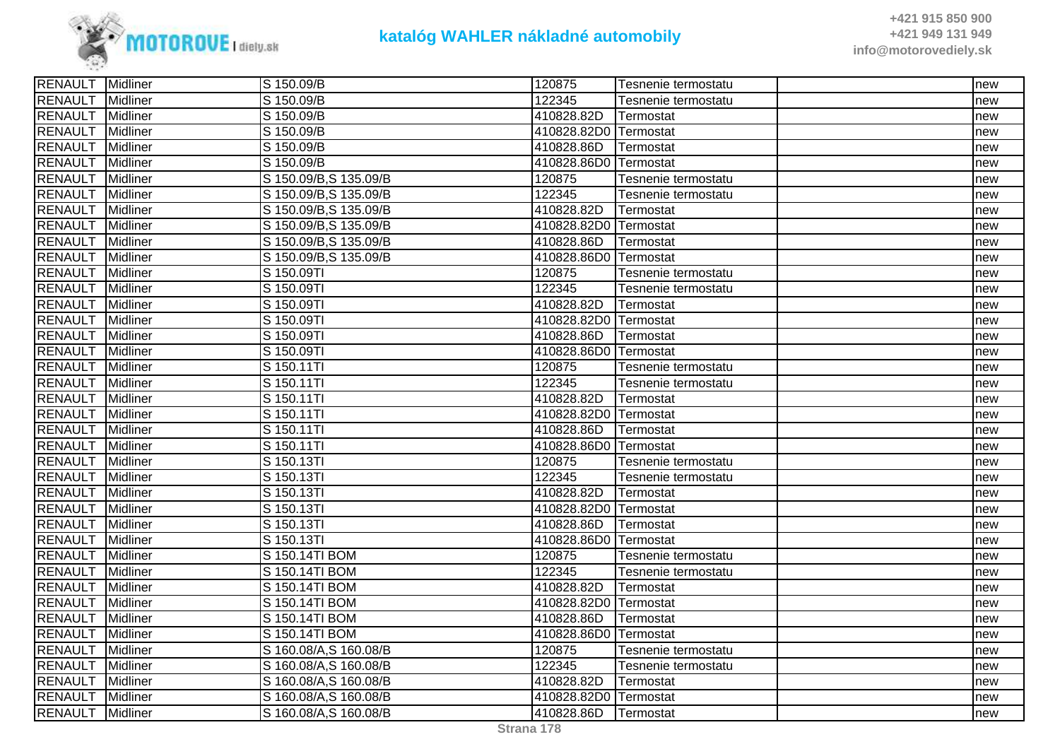

| <b>RENAULT</b> Midliner |                 | S 150.09/B             | 120875                | Tesnenie termostatu | Inew |
|-------------------------|-----------------|------------------------|-----------------------|---------------------|------|
| RENAULT                 | <b>Midliner</b> | S 150.09/B             | 122345                | Tesnenie termostatu | new  |
| <b>RENAULT</b>          | Midliner        | S 150.09/B             | 410828.82D            | Termostat           | new  |
| RENAULT                 | Midliner        | S 150.09/B             | 410828.82D0 Termostat |                     | new  |
| RENAULT                 | Midliner        | S 150.09/B             | 410828.86D            | Termostat           | new  |
| RENAULT                 | Midliner        | S 150.09/B             | 410828.86D0 Termostat |                     | new  |
| <b>RENAULT</b>          | Midliner        | S 150.09/B, S 135.09/B | 120875                | Tesnenie termostatu | new  |
| <b>RENAULT</b>          | Midliner        | S 150.09/B, S 135.09/B | 122345                | Tesnenie termostatu | new  |
| <b>RENAULT</b>          | Midliner        | S 150.09/B, S 135.09/B | 410828.82D            | Termostat           | new  |
| <b>RENAULT</b>          | Midliner        | S 150.09/B, S 135.09/B | 410828.82D0 Termostat |                     | new  |
| <b>RENAULT</b>          | Midliner        | S 150.09/B, S 135.09/B | 410828.86D            | Termostat           | new  |
| <b>RENAULT</b>          | Midliner        | S 150.09/B, S 135.09/B | 410828.86D0 Termostat |                     | new  |
| <b>RENAULT</b>          | Midliner        | S 150.09TI             | 120875                | Tesnenie termostatu | new  |
| <b>RENAULT</b>          | Midliner        | S 150.09TI             | 122345                | Tesnenie termostatu | new  |
| <b>RENAULT</b>          | Midliner        | S 150.09TI             | 410828.82D            | Termostat           | new  |
| <b>RENAULT</b>          | Midliner        | S 150.09TI             | 410828.82D0 Termostat |                     | new  |
| <b>RENAULT</b>          | Midliner        | S 150.09TI             | 410828.86D            | Termostat           | new  |
| <b>RENAULT</b>          | <b>Midliner</b> | S 150.09TI             | 410828.86D0 Termostat |                     | new  |
| RENAULT                 | Midliner        | S 150.11TI             | 120875                | Tesnenie termostatu | new  |
| <b>RENAULT</b>          | Midliner        | S 150.11TI             | 122345                | Tesnenie termostatu | new  |
| <b>RENAULT</b>          | Midliner        | S 150.11TI             | 410828.82D            | Termostat           | new  |
| RENAULT                 | Midliner        | S 150.11TI             | 410828.82D0 Termostat |                     | new  |
| <b>RENAULT</b>          | Midliner        | S 150.11TI             | 410828.86D            | Termostat           | new  |
| <b>RENAULT</b>          | Midliner        | S 150.11TI             | 410828.86D0 Termostat |                     | new  |
| <b>RENAULT</b>          | <b>Midliner</b> | S 150.13TI             | 120875                | Tesnenie termostatu | new  |
| <b>RENAULT</b>          | Midliner        | S 150.13TI             | 122345                | Tesnenie termostatu | new  |
| <b>RENAULT</b>          | Midliner        | S 150.13TI             | 410828.82D            | Termostat           | new  |
| RENAULT                 | Midliner        | S 150.13TI             | 410828.82D0 Termostat |                     | new  |
| <b>RENAULT</b>          | Midliner        | S 150.13TI             | 410828.86D            | Termostat           | new  |
| <b>RENAULT</b>          | Midliner        | S 150.13TI             | 410828.86D0 Termostat |                     | new  |
| <b>RENAULT</b>          | <b>Midliner</b> | S 150.14TI BOM         | 120875                | Tesnenie termostatu | new  |
| <b>RENAULT</b>          | Midliner        | S 150.14TI BOM         | 122345                | Tesnenie termostatu | new  |
| <b>RENAULT</b>          | Midliner        | S 150.14TI BOM         | 410828.82D            | Termostat           | new  |
| <b>RENAULT</b>          | Midliner        | S 150.14TI BOM         | 410828.82D0 Termostat |                     | new  |
| <b>RENAULT</b>          | Midliner        | S 150.14TI BOM         | 410828.86D            | Termostat           | new  |
| <b>RENAULT</b>          | Midliner        | S 150.14TI BOM         | 410828.86D0 Termostat |                     | new  |
| <b>RENAULT</b>          | <b>Midliner</b> | S 160.08/A, S 160.08/B | 120875                | Tesnenie termostatu | new  |
| <b>RENAULT</b>          | <b>Midliner</b> | S 160.08/A,S 160.08/B  | 122345                | Tesnenie termostatu | new  |
| <b>RENAULT</b>          | Midliner        | S 160.08/A,S 160.08/B  | 410828.82D            | Termostat           | new  |
| <b>RENAULT</b>          | <b>Midliner</b> | S 160.08/A,S 160.08/B  | 410828.82D0 Termostat |                     | new  |
| <b>RENAULT</b>          | Midliner        | S 160.08/A, S 160.08/B | 410828.86D            | lTermostat          | new  |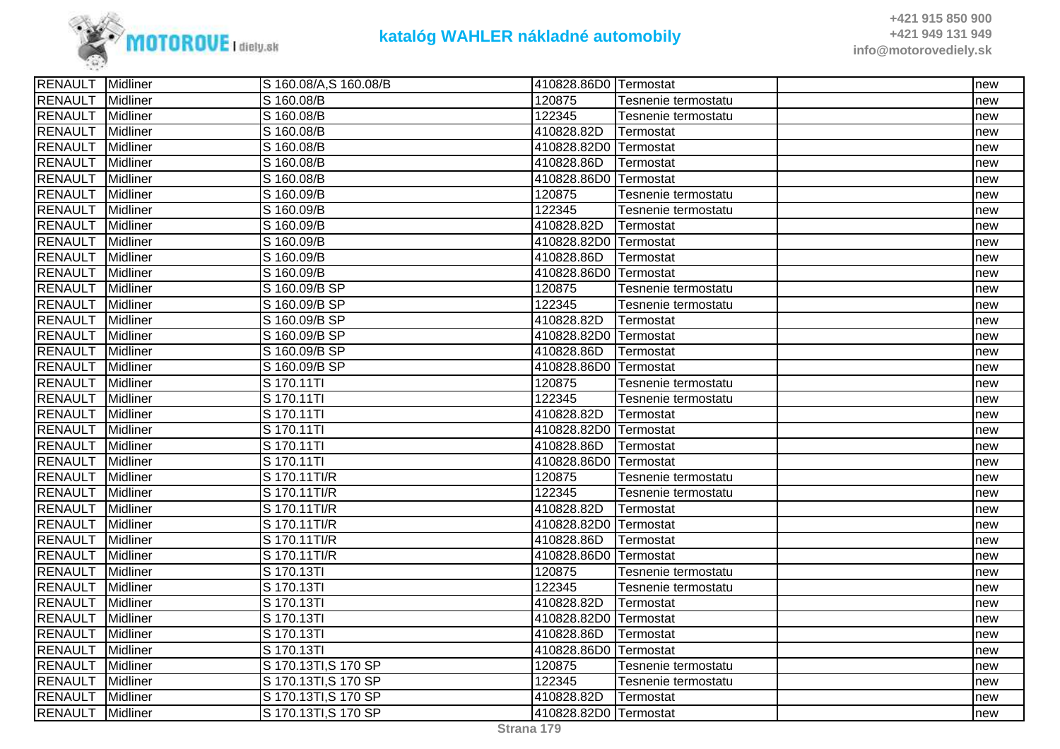

| <b>RENAULT</b> Midliner |                 | S 160.08/A,S 160.08/B | 410828.86D0 Termostat |                     | new |
|-------------------------|-----------------|-----------------------|-----------------------|---------------------|-----|
| <b>RENAULT</b>          | Midliner        | S 160.08/B            | 120875                | Tesnenie termostatu | new |
| <b>RENAULT</b>          | Midliner        | S 160.08/B            | 122345                | Tesnenie termostatu | new |
| <b>RENAULT</b>          | Midliner        | S 160.08/B            | 410828.82D            | Termostat           | new |
| <b>RENAULT</b>          | Midliner        | S 160.08/B            | 410828.82D0 Termostat |                     | new |
| <b>RENAULT</b>          | Midliner        | S 160.08/B            | 410828.86D            | Termostat           | new |
| <b>RENAULT</b>          | Midliner        | S 160.08/B            | 410828.86D0 Termostat |                     | new |
| RENAULT                 | <b>Midliner</b> | S 160.09/B            | 120875                | Tesnenie termostatu | new |
| <b>RENAULT</b>          | Midliner        | S 160.09/B            | 122345                | Tesnenie termostatu | new |
| <b>RENAULT</b>          | Midliner        | S 160.09/B            | 410828.82D            | Termostat           | new |
| <b>RENAULT</b>          | Midliner        | S 160.09/B            | 410828.82D0 Termostat |                     | new |
| <b>RENAULT</b>          | Midliner        | S 160.09/B            | 410828.86D            | Termostat           | new |
| <b>RENAULT</b>          | Midliner        | S 160.09/B            | 410828.86D0 Termostat |                     | new |
| <b>RENAULT</b>          | Midliner        | S 160.09/B SP         | 120875                | Tesnenie termostatu | new |
| RENAULT                 | Midliner        | S 160.09/B SP         | 122345                | Tesnenie termostatu | new |
| <b>RENAULT</b>          | <b>Midliner</b> | S 160.09/B SP         | 410828.82D            | Termostat           | new |
| <b>RENAULT</b>          | Midliner        | S 160.09/B SP         | 410828.82D0 Termostat |                     | new |
| <b>RENAULT</b>          | Midliner        | S 160.09/B SP         | 410828.86D            | <b>Termostat</b>    | new |
| RENAULT                 | Midliner        | S 160.09/B SP         | 410828.86D0 Termostat |                     | new |
| <b>RENAULT</b>          | Midliner        | S 170.11TI            | 120875                | Tesnenie termostatu | new |
| <b>RENAULT</b>          | Midliner        | S 170.11TI            | 122345                | Tesnenie termostatu | new |
| <b>RENAULT</b>          | Midliner        | S 170.11TI            | 410828.82D            | Termostat           | new |
| <b>RENAULT</b>          | Midliner        | S 170.11TI            | 410828.82D0 Termostat |                     | new |
| <b>RENAULT</b>          | Midliner        | S 170.11TI            | 410828.86D            | ITermostat          | new |
| <b>RENAULT</b>          | Midliner        | S 170.11TI            | 410828.86D0 Termostat |                     | new |
| <b>RENAULT</b>          | Midliner        | S 170.11TI/R          | 120875                | Tesnenie termostatu | new |
| <b>RENAULT</b>          | <b>Midliner</b> | S 170.11TI/R          | 122345                | Tesnenie termostatu | new |
| <b>RENAULT</b>          | <b>Midliner</b> | S 170.11TI/R          | 410828.82D            | Termostat           | new |
| <b>RENAULT</b>          | Midliner        | S 170.11TI/R          | 410828.82D0 Termostat |                     | new |
| <b>RENAULT</b>          | <b>Midliner</b> | S 170.11TI/R          | 410828.86D            | Termostat           | new |
| RENAULT                 | Midliner        | S 170.11TI/R          | 410828.86D0 Termostat |                     | new |
| <b>RENAULT</b>          | Midliner        | S 170.13TI            | 120875                | Tesnenie termostatu | new |
| RENAULT                 | <b>Midliner</b> | S 170.13TI            | 122345                | Tesnenie termostatu | new |
| <b>RENAULT</b>          | Midliner        | S 170.13TI            | 410828.82D            | Termostat           | new |
| <b>RENAULT</b>          | Midliner        | S 170.13TI            | 410828.82D0 Termostat |                     | new |
| RENAULT                 | Midliner        | S 170.13TI            | 410828.86D            | Termostat           | new |
| <b>RENAULT</b>          | Midliner        | S 170.13TI            | 410828.86D0 Termostat |                     | new |
| <b>RENAULT</b>          | Midliner        | S 170.13TI, S 170 SP  | 120875                | Tesnenie termostatu | new |
| <b>RENAULT</b>          | Midliner        | S 170.13TI, S 170 SP  | 122345                | Tesnenie termostatu | new |
| <b>RENAULT</b>          | Midliner        | S 170.13TI, S 170 SP  | 410828.82D            | Termostat           | new |
| <b>RENAULT</b> Midliner |                 | S 170.13TI, S 170 SP  | 410828.82D0 Termostat |                     | new |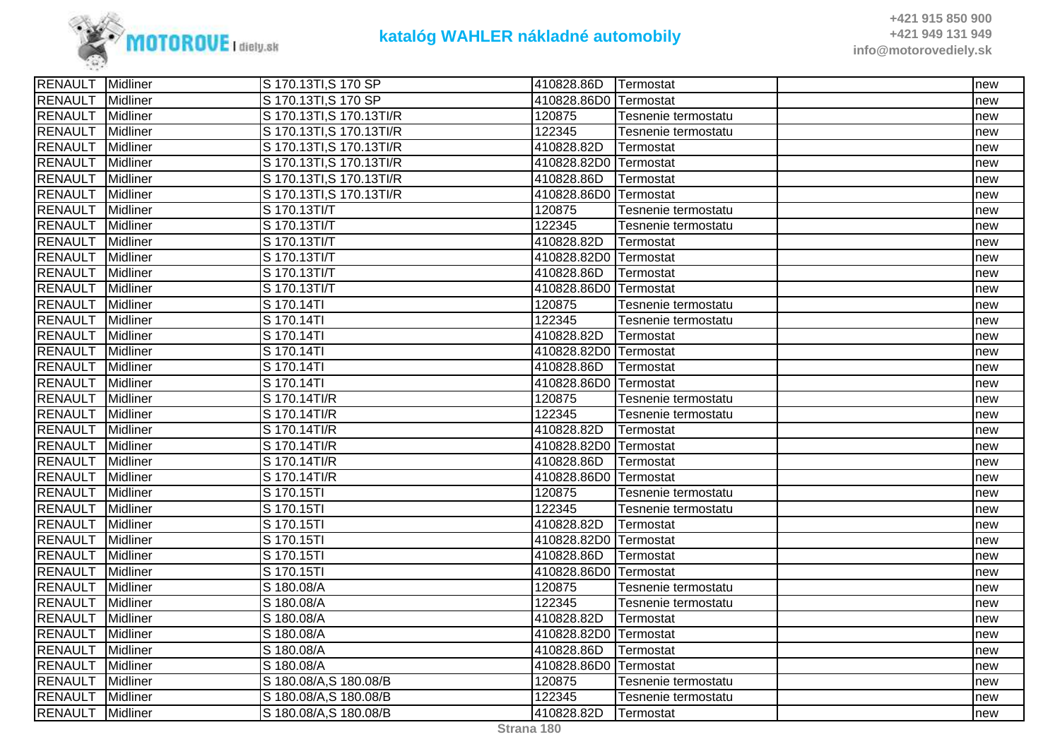

| <b>RENAULT</b> Midliner |                 | S 170.13TI, S 170 SP     | 410828.86D Termostat  |                     | new |
|-------------------------|-----------------|--------------------------|-----------------------|---------------------|-----|
| <b>RENAULT</b>          | Midliner        | S 170.13TI, S 170 SP     | 410828.86D0 Termostat |                     | new |
| <b>RENAULT</b>          | Midliner        | S 170.13TI, S 170.13TI/R | 120875                | Tesnenie termostatu | new |
| <b>RENAULT</b>          | Midliner        | S 170.13TI, S 170.13TI/R | 122345                | Tesnenie termostatu | new |
| <b>RENAULT</b>          | Midliner        | S 170.13TI, S 170.13TI/R | 410828.82D            | Termostat           | new |
| <b>RENAULT</b>          | Midliner        | S 170.13TI, S 170.13TI/R | 410828.82D0 Termostat |                     | new |
| <b>RENAULT</b>          | Midliner        | S 170.13TI, S 170.13TI/R | 410828.86D            | Termostat           | new |
| <b>RENAULT</b>          | Midliner        | S 170.13TI, S 170.13TI/R | 410828.86D0 Termostat |                     | new |
| <b>RENAULT</b>          | Midliner        | S 170.13TI/T             | 120875                | Tesnenie termostatu | new |
| <b>RENAULT</b>          | Midliner        | S 170.13TI/T             | 122345                | Tesnenie termostatu | new |
| <b>RENAULT</b>          | Midliner        | S 170.13TI/T             | 410828.82D            | Termostat           | new |
| <b>RENAULT</b>          | Midliner        | S 170.13TI/T             | 410828.82D0 Termostat |                     | new |
| <b>RENAULT</b>          | Midliner        | S 170.13TI/T             | 410828.86D            | Termostat           | new |
| <b>RENAULT</b>          | Midliner        | S 170.13TI/T             | 410828.86D0 Termostat |                     | new |
| <b>RENAULT</b>          | Midliner        | S 170.14TI               | 120875                | Tesnenie termostatu | new |
| <b>RENAULT</b>          | Midliner        | S 170.14TI               | 122345                | Tesnenie termostatu | new |
| <b>RENAULT</b>          | Midliner        | S 170.14TI               | 410828.82D            | Termostat           | new |
| <b>RENAULT</b>          | Midliner        | S 170.14TI               | 410828.82D0 Termostat |                     | new |
| <b>RENAULT</b>          | Midliner        | S 170.14TI               | 410828.86D            | Termostat           | new |
| <b>RENAULT</b>          | Midliner        | S 170.14TI               | 410828.86D0 Termostat |                     | new |
| <b>RENAULT</b>          | <b>Midliner</b> | S 170.14TI/R             | 120875                | Tesnenie termostatu | new |
| <b>RENAULT</b>          | Midliner        | S 170.14TI/R             | 122345                | Tesnenie termostatu | new |
| <b>RENAULT</b>          | Midliner        | S 170.14TI/R             | 410828.82D            | Termostat           | new |
| <b>RENAULT</b>          | Midliner        | S 170.14TI/R             | 410828.82D0 Termostat |                     | new |
| <b>RENAULT</b>          | Midliner        | S 170.14TI/R             | 410828.86D            | Termostat           | new |
| <b>RENAULT</b>          | Midliner        | S 170.14TI/R             | 410828.86D0 Termostat |                     | new |
| <b>RENAULT</b>          | Midliner        | S 170.15TI               | 120875                | Tesnenie termostatu | new |
| <b>RENAULT</b>          | Midliner        | S 170.15TI               | 122345                | Tesnenie termostatu | new |
| <b>RENAULT</b>          | Midliner        | S 170.15TI               | 410828.82D            | Termostat           | new |
| <b>RENAULT</b>          | Midliner        | S 170.15TI               | 410828.82D0 Termostat |                     | new |
| <b>RENAULT</b>          | Midliner        | S 170.15TI               | 410828.86D            | Termostat           | new |
| <b>RENAULT</b>          | Midliner        | S 170.15TI               | 410828.86D0 Termostat |                     | new |
| <b>RENAULT</b>          | Midliner        | S 180.08/A               | 120875                | Tesnenie termostatu | new |
| <b>RENAULT</b>          | <b>Midliner</b> | S 180.08/A               | 122345                | Tesnenie termostatu | new |
| <b>RENAULT</b>          | Midliner        | S 180.08/A               | 410828.82D            | Termostat           | new |
| <b>RENAULT</b>          | Midliner        | S 180.08/A               | 410828.82D0 Termostat |                     | new |
| <b>RENAULT</b>          | Midliner        | S 180.08/A               | 410828.86D            | Termostat           | new |
| <b>RENAULT</b>          | Midliner        | S 180.08/A               | 410828.86D0 Termostat |                     | new |
| <b>RENAULT</b>          | Midliner        | S 180.08/A, S 180.08/B   | 120875                | Tesnenie termostatu | new |
| <b>RENAULT</b>          | Midliner        | S 180.08/A, S 180.08/B   | 122345                | Tesnenie termostatu | new |
| RENAULT Midliner        |                 | S 180.08/A,S 180.08/B    | 410828.82D            | <b>ITermostat</b>   | new |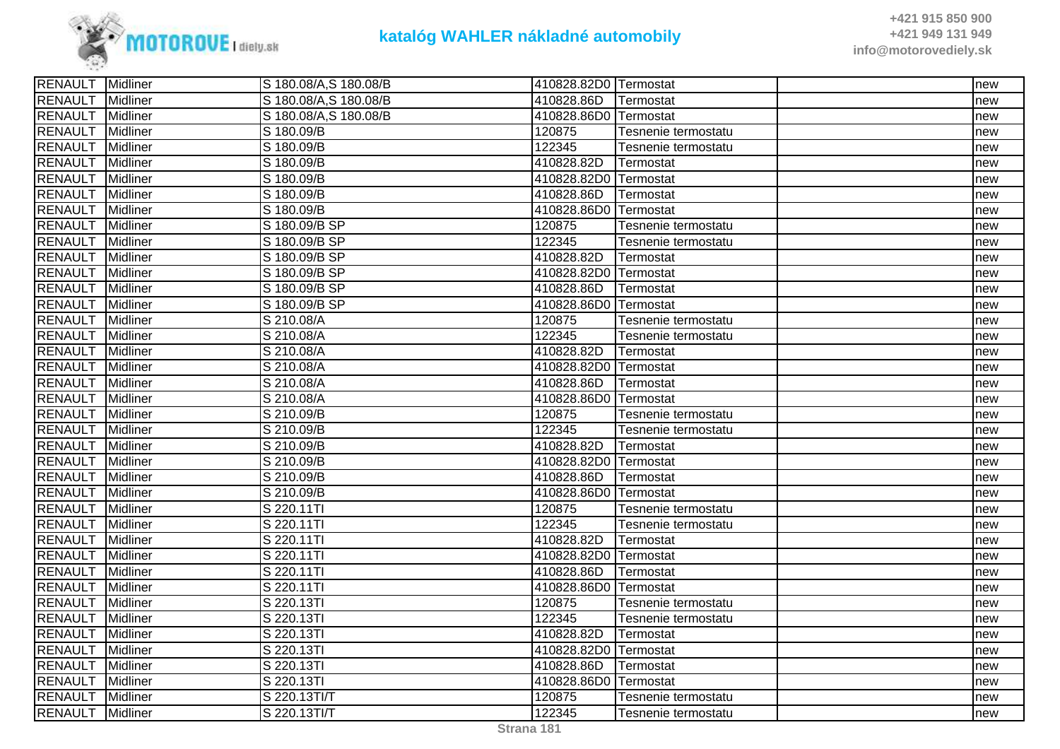

| RENAULT Midliner |                 | S 180.08/A,S 180.08/B  | 410828.82D0 Termostat  |                     | new |
|------------------|-----------------|------------------------|------------------------|---------------------|-----|
| <b>RENAULT</b>   | Midliner        | S 180.08/A, S 180.08/B | 410828.86D             | Termostat           | new |
| <b>RENAULT</b>   | Midliner        | S 180.08/A,S 180.08/B  | 410828.86D0 Termostat  |                     | new |
| <b>RENAULT</b>   | <b>Midliner</b> | S 180.09/B             | 120875                 | Tesnenie termostatu | new |
| <b>RENAULT</b>   | Midliner        | S 180.09/B             | 122345                 | Tesnenie termostatu | new |
| <b>RENAULT</b>   | Midliner        | S 180.09/B             | 410828.82D             | Termostat           | new |
| <b>RENAULT</b>   | <b>Midliner</b> | S 180.09/B             | 410828.82D0 Termostat  |                     | new |
| <b>RENAULT</b>   | Midliner        | S 180.09/B             | 410828.86D             | <b>Termostat</b>    | new |
| <b>RENAULT</b>   | <b>Midliner</b> | S 180.09/B             | 410828.86D0 Termostat  |                     | new |
| <b>RENAULT</b>   | Midliner        | S 180.09/B SP          | 120875                 | Tesnenie termostatu | new |
| <b>RENAULT</b>   | Midliner        | S 180.09/B SP          | 122345                 | Tesnenie termostatu | new |
| RENAULT          | Midliner        | S 180.09/B SP          | 410828.82D             | Termostat           | new |
| <b>RENAULT</b>   | Midliner        | S 180.09/B SP          | 410828.82D0 Termostat  |                     | new |
| <b>RENAULT</b>   | Midliner        | S 180.09/B SP          | 410828.86D             | Termostat           | new |
| <b>RENAULT</b>   | <b>Midliner</b> | S 180.09/B SP          | 410828.86D0 Termostat  |                     | new |
| <b>RENAULT</b>   | Midliner        | S 210.08/A             | 120875                 | Tesnenie termostatu | new |
| <b>RENAULT</b>   | Midliner        | S 210.08/A             | 122345                 | Tesnenie termostatu | new |
| <b>RENAULT</b>   | Midliner        | S 210.08/A             | 410828.82D             | Termostat           | new |
| <b>RENAULT</b>   | Midliner        | S 210.08/A             | 410828.82D0 Termostat  |                     | new |
| <b>RENAULT</b>   | <b>Midliner</b> | S 210.08/A             | 410828.86D             | Termostat           | new |
| <b>RENAULT</b>   | Midliner        | S 210.08/A             | 410828.86D0 ITermostat |                     | new |
| <b>RENAULT</b>   | Midliner        | S 210.09/B             | 120875                 | Tesnenie termostatu | new |
| <b>RENAULT</b>   | Midliner        | S 210.09/B             | 122345                 | Tesnenie termostatu | new |
| <b>RENAULT</b>   | Midliner        | S 210.09/B             | 410828.82D             | Termostat           | new |
| <b>RENAULT</b>   | <b>Midliner</b> | S 210.09/B             | 410828.82D0 Termostat  |                     | new |
| <b>RENAULT</b>   | <b>Midliner</b> | S 210.09/B             | 410828.86D             | Termostat           | new |
| <b>RENAULT</b>   | Midliner        | S 210.09/B             | 410828.86D0 Termostat  |                     | new |
| <b>RENAULT</b>   | Midliner        | S 220.11TI             | 120875                 | Tesnenie termostatu | new |
| <b>RENAULT</b>   | Midliner        | S 220.11TI             | 122345                 | Tesnenie termostatu | new |
| <b>RENAULT</b>   | Midliner        | S 220.11TI             | 410828.82D             | Termostat           | new |
| <b>RENAULT</b>   | Midliner        | S 220.11TI             | 410828.82D0 Termostat  |                     | new |
| <b>RENAULT</b>   | Midliner        | S 220.11TI             | 410828.86D             | Termostat           | new |
| <b>RENAULT</b>   | Midliner        | S 220.11TI             | 410828.86D0 Termostat  |                     | new |
| <b>RENAULT</b>   | Midliner        | S 220.13TI             | 120875                 | Tesnenie termostatu | new |
| <b>RENAULT</b>   | <b>Midliner</b> | S 220.13TI             | 122345                 | Tesnenie termostatu | new |
| <b>RENAULT</b>   | Midliner        | S 220.13TI             | 410828.82D             | Termostat           | new |
| <b>RENAULT</b>   | Midliner        | S 220.13TI             | 410828.82D0 Termostat  |                     | new |
| <b>RENAULT</b>   | Midliner        | S 220.13TI             | 410828.86D             | Termostat           | new |
| <b>RENAULT</b>   | <b>Midliner</b> | S 220.13TI             | 410828.86D0 Termostat  |                     | new |
| <b>RENAULT</b>   | Midliner        | S 220.13TI/T           | 120875                 | Tesnenie termostatu | new |
| <b>RENAULT</b>   | <b>Midliner</b> | S 220.13TI/T           | 122345                 | Tesnenie termostatu | new |
|                  |                 |                        |                        |                     |     |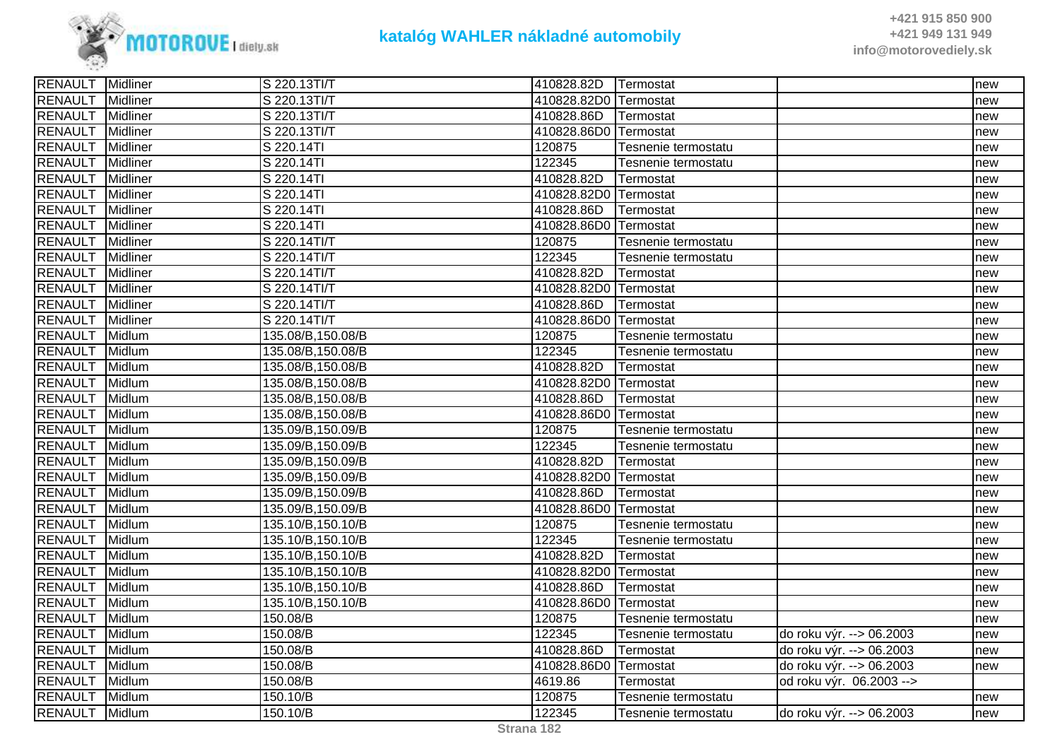

| <b>RENAULT</b> Midliner |                 | S 220.13TI/T      | 410828.82D Termostat  |                     |                          | new |
|-------------------------|-----------------|-------------------|-----------------------|---------------------|--------------------------|-----|
| <b>RENAULT</b>          | <b>Midliner</b> | S 220.13TI/T      | 410828.82D0 Termostat |                     |                          | new |
| <b>RENAULT</b>          | Midliner        | S 220.13TI/T      | 410828.86D            | Termostat           |                          | new |
| <b>RENAULT</b>          | <b>Midliner</b> | S 220.13TI/T      | 410828.86D0 Termostat |                     |                          | new |
| <b>RENAULT</b>          | Midliner        | S 220.14TI        | 120875                | Tesnenie termostatu |                          | new |
| <b>RENAULT</b>          | Midliner        | S 220.14TI        | 122345                | Tesnenie termostatu |                          | new |
| <b>RENAULT</b>          | Midliner        | S 220.14TI        | 410828.82D            | Termostat           |                          | new |
| <b>RENAULT</b>          | <b>Midliner</b> | S 220.14TI        | 410828.82D0 Termostat |                     |                          | new |
| <b>RENAULT</b>          | Midliner        | S 220.14TI        | 410828.86D            | Termostat           |                          | new |
| <b>RENAULT</b>          | Midliner        | S 220.14TI        | 410828.86D0 Termostat |                     |                          | new |
| <b>RENAULT</b>          | Midliner        | S 220.14TI/T      | 120875                | Tesnenie termostatu |                          | new |
| <b>RENAULT</b>          | Midliner        | S 220.14TI/T      | 122345                | Tesnenie termostatu |                          | new |
| <b>RENAULT</b>          | Midliner        | S 220.14TI/T      | 410828.82D            | Termostat           |                          | new |
| <b>RENAULT</b>          | <b>Midliner</b> | S 220.14TI/T      | 410828.82D0 Termostat |                     |                          | new |
| <b>RENAULT</b>          | Midliner        | S 220.14TI/T      | 410828.86D            | Termostat           |                          | new |
| <b>RENAULT</b>          | Midliner        | S 220.14TI/T      | 410828.86D0 Termostat |                     |                          | new |
| <b>RENAULT</b>          | Midlum          | 135.08/B,150.08/B | 120875                | Tesnenie termostatu |                          | new |
| <b>RENAULT</b>          | Midlum          | 135.08/B,150.08/B | 122345                | Tesnenie termostatu |                          | new |
| <b>RENAULT</b>          | Midlum          | 135.08/B,150.08/B | 410828.82D            | Termostat           |                          | new |
| <b>RENAULT</b>          | Midlum          | 135.08/B,150.08/B | 410828.82D0 Termostat |                     |                          | new |
| <b>RENAULT</b>          | Midlum          | 135.08/B,150.08/B | 410828.86D            | Termostat           |                          | new |
| <b>RENAULT</b>          | Midlum          | 135.08/B,150.08/B | 410828.86D0 Termostat |                     |                          | new |
| <b>RENAULT</b>          | Midlum          | 135.09/B,150.09/B | 120875                | Tesnenie termostatu |                          | new |
| <b>RENAULT</b>          | Midlum          | 135.09/B,150.09/B | 122345                | Tesnenie termostatu |                          | new |
| <b>RENAULT</b>          | Midlum          | 135.09/B,150.09/B | 410828.82D            | Termostat           |                          | new |
| <b>RENAULT</b>          | Midlum          | 135.09/B,150.09/B | 410828.82D0 Termostat |                     |                          | new |
| <b>RENAULT</b>          | Midlum          | 135.09/B,150.09/B | 410828.86D            | Termostat           |                          | new |
| <b>RENAULT</b>          | Midlum          | 135.09/B,150.09/B | 410828.86D0 Termostat |                     |                          | new |
| <b>RENAULT</b>          | Midlum          | 135.10/B,150.10/B | 120875                | Tesnenie termostatu |                          | new |
| <b>RENAULT</b>          | Midlum          | 135.10/B,150.10/B | 122345                | Tesnenie termostatu |                          | new |
| <b>RENAULT</b>          | Midlum          | 135.10/B,150.10/B | 410828.82D            | Termostat           |                          | new |
| <b>RENAULT</b>          | Midlum          | 135.10/B,150.10/B | 410828.82D0 Termostat |                     |                          | new |
| <b>RENAULT</b>          | Midlum          | 135.10/B,150.10/B | 410828.86D            | Termostat           |                          | new |
| <b>RENAULT</b>          | Midlum          | 135.10/B,150.10/B | 410828.86D0 Termostat |                     |                          | new |
| <b>RENAULT</b>          | Midlum          | 150.08/B          | 120875                | Tesnenie termostatu |                          | new |
| <b>RENAULT</b>          | Midlum          | 150.08/B          | 122345                | Tesnenie termostatu | do roku výr. --> 06.2003 | new |
| <b>RENAULT</b>          | Midlum          | 150.08/B          | 410828.86D            | Termostat           | do roku výr. --> 06.2003 | new |
| <b>RENAULT</b>          | Midlum          | 150.08/B          | 410828.86D0 Termostat |                     | do roku výr. --> 06.2003 | new |
| <b>RENAULT</b>          | Midlum          | 150.08/B          | 4619.86               | Termostat           | od roku výr. 06.2003 --> |     |
| <b>RENAULT</b>          | Midlum          | 150.10/B          | 120875                | Tesnenie termostatu |                          | new |
| <b>RENAULT</b>          | Midlum          | 150.10/B          | 122345                | Tesnenie termostatu | do roku výr. --> 06.2003 | new |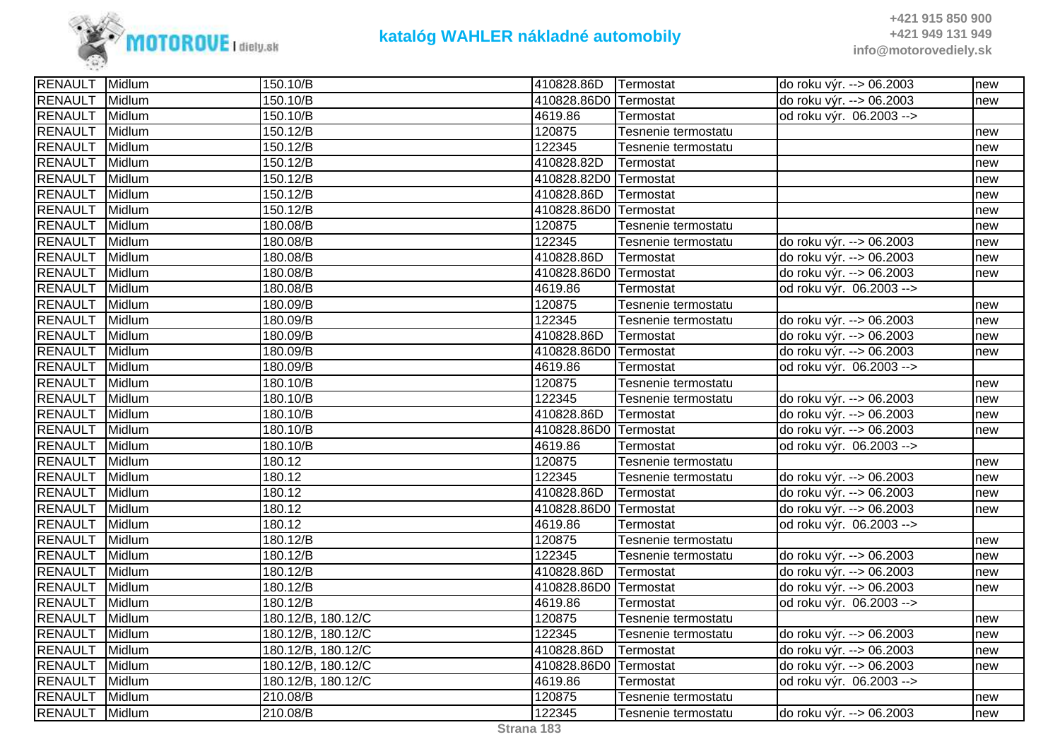

| <b>RENAULT</b> | Midlum | 150.10/B           | 410828.86D            | Termostat           | do roku výr. --> 06.2003  | new |
|----------------|--------|--------------------|-----------------------|---------------------|---------------------------|-----|
| <b>RENAULT</b> | Midlum | 150.10/B           | 410828.86D0 Termostat |                     | do roku výr. --> 06.2003  | new |
| <b>RENAULT</b> | Midlum | 150.10/B           | 4619.86               | Termostat           | od roku výr. 06.2003 -->  |     |
| <b>RENAULT</b> | Midlum | 150.12/B           | 120875                | Tesnenie termostatu |                           | new |
| <b>RENAULT</b> | Midlum | 150.12/B           | 122345                | Tesnenie termostatu |                           | new |
| <b>RENAULT</b> | Midlum | 150.12/B           | 410828.82D            | Termostat           |                           | new |
| <b>RENAULT</b> | Midlum | 150.12/B           | 410828.82D0 Termostat |                     |                           | new |
| <b>RENAULT</b> | Midlum | 150.12/B           | 410828.86D            | Termostat           |                           | new |
| RENAULT        | Midlum | 150.12/B           | 410828.86D0           | Termostat           |                           | new |
| RENAULT        | Midlum | 180.08/B           | 120875                | Tesnenie termostatu |                           | new |
| <b>RENAULT</b> | Midlum | 180.08/B           | 122345                | Tesnenie termostatu | do roku výr. --> 06.2003  | new |
| <b>RENAULT</b> | Midlum | 180.08/B           | 410828.86D            | Termostat           | do roku výr. --> 06.2003  | new |
| <b>RENAULT</b> | Midlum | 180.08/B           | 410828.86D0           | Termostat           | do roku výr. --> 06.2003  | new |
| <b>RENAULT</b> | Midlum | 180.08/B           | 4619.86               | Termostat           | od roku výr. 06.2003 -->  |     |
| <b>RENAULT</b> | Midlum | 180.09/B           | 120875                | Tesnenie termostatu |                           | new |
| <b>RENAULT</b> | Midlum | 180.09/B           | 122345                | Tesnenie termostatu | do roku výr. --> 06.2003  | new |
| <b>RENAULT</b> | Midlum | 180.09/B           | 410828.86D            | Termostat           | do roku výr. --> 06.2003  | new |
| <b>RENAULT</b> | Midlum | 180.09/B           | 410828.86D0 Termostat |                     | do roku výr. --> 06.2003  | new |
| RENAULT        | Midlum | 180.09/B           | 4619.86               | Termostat           | od roku výr. 06.2003 -->  |     |
| <b>RENAULT</b> | Midlum | 180.10/B           | 120875                | Tesnenie termostatu |                           | new |
| <b>RENAULT</b> | Midlum | 180.10/B           | 122345                | Tesnenie termostatu | do roku výr. --> 06.2003  | new |
| <b>RENAULT</b> | Midlum | 180.10/B           | 410828.86D            | Termostat           | do roku výr. --> 06.2003  | new |
| <b>RENAULT</b> | Midlum | 180.10/B           | 410828.86D0 Termostat |                     | do roku výr. --> 06.2003  | new |
| <b>RENAULT</b> | Midlum | 180.10/B           | 4619.86               | Termostat           | od roku výr. 06.2003 -->  |     |
| <b>RENAULT</b> | Midlum | 180.12             | 120875                | Tesnenie termostatu |                           | new |
| <b>RENAULT</b> | Midlum | 180.12             | 122345                | Tesnenie termostatu | do roku výr. --> 06.2003  | new |
| <b>RENAULT</b> | Midlum | 180.12             | 410828.86D            | Termostat           | do roku výr. -- > 06.2003 | new |
| <b>RENAULT</b> | Midlum | 180.12             | 410828.86D0 Termostat |                     | do roku výr. --> 06.2003  | new |
| <b>RENAULT</b> | Midlum | 180.12             | 4619.86               | Termostat           | od roku výr. 06.2003 -->  |     |
| <b>RENAULT</b> | Midlum | 180.12/B           | 120875                | Tesnenie termostatu |                           | new |
| <b>RENAULT</b> | Midlum | 180.12/B           | 122345                | Tesnenie termostatu | do roku výr. --> 06.2003  | new |
| <b>RENAULT</b> | Midlum | 180.12/B           | 410828.86D            | Termostat           | do roku výr. --> 06.2003  | new |
| <b>RENAULT</b> | Midlum | 180.12/B           | 410828.86D0 Termostat |                     | do roku výr. --> 06.2003  | new |
| RENAULT        | Midlum | 180.12/B           | 4619.86               | Termostat           | od roku výr. 06.2003 -->  |     |
| <b>RENAULT</b> | Midlum | 180.12/B, 180.12/C | 120875                | Tesnenie termostatu |                           | new |
| <b>RENAULT</b> | Midlum | 180.12/B, 180.12/C | 122345                | Tesnenie termostatu | do roku výr. --> 06.2003  | new |
| <b>RENAULT</b> | Midlum | 180.12/B, 180.12/C | 410828.86D            | Termostat           | do roku výr. --> 06.2003  | new |
| <b>RENAULT</b> | Midlum | 180.12/B, 180.12/C | 410828.86D0           | Termostat           | do roku výr. --> 06.2003  | new |
| <b>RENAULT</b> | Midlum | 180.12/B, 180.12/C | 4619.86               | Termostat           | od roku výr. 06.2003 -->  |     |
| <b>RENAULT</b> | Midlum | 210.08/B           | 120875                | Tesnenie termostatu |                           | new |
| <b>RENAULT</b> | Midlum | 210.08/B           | 122345                | Tesnenie termostatu | do roku výr. --> 06.2003  | new |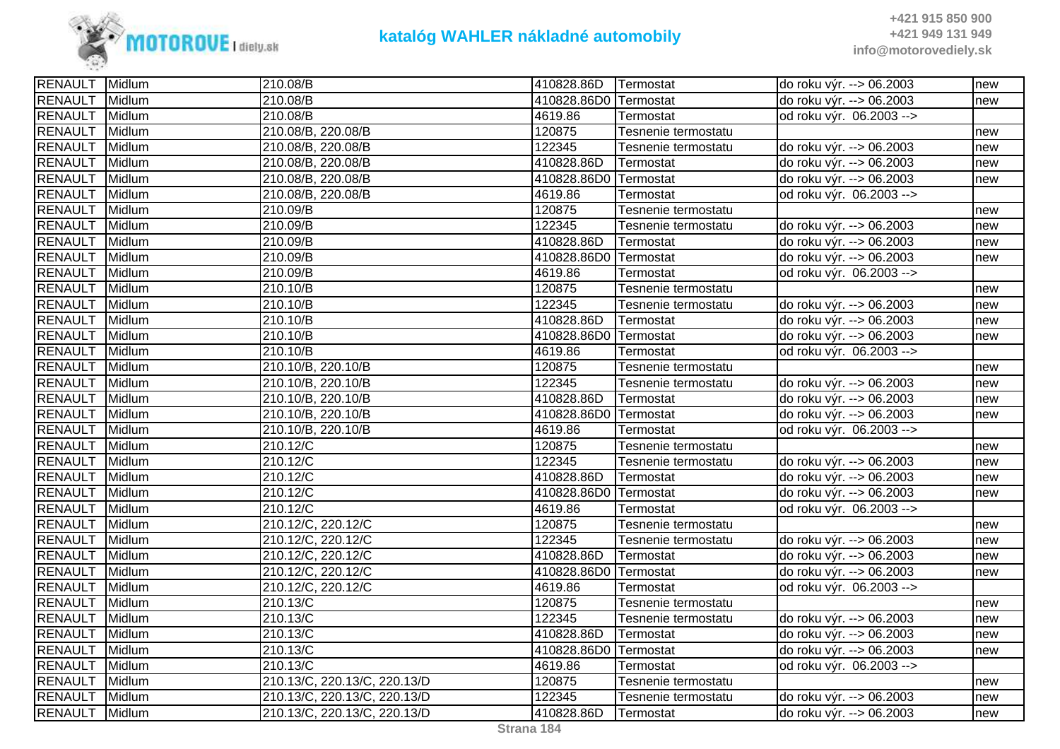

| <b>RENAULT</b><br>410828.86D0 Termostat<br>Midlum<br>210.08/B<br>do roku výr. --> 06.2003<br>new<br><b>RENAULT</b><br>Midlum<br>210.08/B<br>4619.86<br>od roku výr. 06.2003 --><br>Termostat<br><b>RENAULT</b><br>120875<br>Midlum<br>210.08/B, 220.08/B<br>Tesnenie termostatu<br>new<br>122345<br><b>RENAULT</b><br>Midlum<br>210.08/B, 220.08/B<br>do roku výr. --> 06.2003<br>Tesnenie termostatu<br>new<br><b>RENAULT</b><br>Midlum<br>410828.86D<br>210.08/B, 220.08/B<br>Termostat<br>do roku výr. --> 06.2003<br>new<br><b>RENAULT</b><br>Midlum<br>210.08/B, 220.08/B<br>410828.86D0 Termostat<br>do roku výr. --> 06.2003<br>new<br><b>RENAULT</b><br>Midlum<br>210.08/B, 220.08/B<br>4619.86<br>od roku výr. 06.2003 --><br>Termostat | <b>RENAULT</b> Midlum |        | 210.08/B | 410828.86D | Termostat           | do roku výr. --> 06.2003 | new |
|--------------------------------------------------------------------------------------------------------------------------------------------------------------------------------------------------------------------------------------------------------------------------------------------------------------------------------------------------------------------------------------------------------------------------------------------------------------------------------------------------------------------------------------------------------------------------------------------------------------------------------------------------------------------------------------------------------------------------------------------------|-----------------------|--------|----------|------------|---------------------|--------------------------|-----|
|                                                                                                                                                                                                                                                                                                                                                                                                                                                                                                                                                                                                                                                                                                                                                  |                       |        |          |            |                     |                          |     |
|                                                                                                                                                                                                                                                                                                                                                                                                                                                                                                                                                                                                                                                                                                                                                  |                       |        |          |            |                     |                          |     |
|                                                                                                                                                                                                                                                                                                                                                                                                                                                                                                                                                                                                                                                                                                                                                  |                       |        |          |            |                     |                          |     |
|                                                                                                                                                                                                                                                                                                                                                                                                                                                                                                                                                                                                                                                                                                                                                  |                       |        |          |            |                     |                          |     |
|                                                                                                                                                                                                                                                                                                                                                                                                                                                                                                                                                                                                                                                                                                                                                  |                       |        |          |            |                     |                          |     |
|                                                                                                                                                                                                                                                                                                                                                                                                                                                                                                                                                                                                                                                                                                                                                  |                       |        |          |            |                     |                          |     |
|                                                                                                                                                                                                                                                                                                                                                                                                                                                                                                                                                                                                                                                                                                                                                  |                       |        |          |            |                     |                          |     |
|                                                                                                                                                                                                                                                                                                                                                                                                                                                                                                                                                                                                                                                                                                                                                  | <b>RENAULT</b>        | Midlum | 210.09/B | 120875     | Tesnenie termostatu |                          | new |
| <b>RENAULT</b><br>Midlum<br>122345<br>210.09/B<br>Tesnenie termostatu<br>do roku výr. --> 06.2003<br>new                                                                                                                                                                                                                                                                                                                                                                                                                                                                                                                                                                                                                                         |                       |        |          |            |                     |                          |     |
| <b>RENAULT</b><br>410828.86D<br>Midlum<br>210.09/B<br>Termostat<br>do roku výr. --> 06.2003<br>new                                                                                                                                                                                                                                                                                                                                                                                                                                                                                                                                                                                                                                               |                       |        |          |            |                     |                          |     |
| <b>RENAULT</b><br>Midlum<br>210.09/B<br>410828.86D0 Termostat<br>do roku výr. --> 06.2003<br>new                                                                                                                                                                                                                                                                                                                                                                                                                                                                                                                                                                                                                                                 |                       |        |          |            |                     |                          |     |
| <b>RENAULT</b><br>Midlum<br>210.09/B<br>4619.86<br>od roku výr. 06.2003 --><br>Termostat                                                                                                                                                                                                                                                                                                                                                                                                                                                                                                                                                                                                                                                         |                       |        |          |            |                     |                          |     |
| <b>RENAULT</b><br>Midlum<br>210.10/B<br>120875<br>Tesnenie termostatu<br>new                                                                                                                                                                                                                                                                                                                                                                                                                                                                                                                                                                                                                                                                     |                       |        |          |            |                     |                          |     |
| <b>RENAULT</b><br>Midlum<br>122345<br>210.10/B<br>do roku výr. --> 06.2003<br>Tesnenie termostatu<br>new                                                                                                                                                                                                                                                                                                                                                                                                                                                                                                                                                                                                                                         |                       |        |          |            |                     |                          |     |
| <b>RENAULT</b><br>Midlum<br>410828.86D<br>210.10/B<br>Termostat<br>do roku výr. --> 06.2003<br>new                                                                                                                                                                                                                                                                                                                                                                                                                                                                                                                                                                                                                                               |                       |        |          |            |                     |                          |     |
| <b>RENAULT</b><br>Midlum<br>410828.86D0 Termostat<br>210.10/B<br>do roku výr. --> 06.2003<br>new                                                                                                                                                                                                                                                                                                                                                                                                                                                                                                                                                                                                                                                 |                       |        |          |            |                     |                          |     |
| <b>RENAULT</b><br>4619.86<br>Midlum<br>210.10/B<br>od roku výr. 06.2003 --><br>Termostat                                                                                                                                                                                                                                                                                                                                                                                                                                                                                                                                                                                                                                                         |                       |        |          |            |                     |                          |     |
| <b>RENAULT</b><br>210.10/B, 220.10/B<br>Midlum<br>120875<br>Tesnenie termostatu<br>new                                                                                                                                                                                                                                                                                                                                                                                                                                                                                                                                                                                                                                                           |                       |        |          |            |                     |                          |     |
| <b>RENAULT</b><br>Midlum<br>210.10/B, 220.10/B<br>122345<br>Tesnenie termostatu<br>do roku výr. --> 06.2003<br>new                                                                                                                                                                                                                                                                                                                                                                                                                                                                                                                                                                                                                               |                       |        |          |            |                     |                          |     |
| <b>RENAULT</b><br>Midlum<br>210.10/B, 220.10/B<br>410828.86D<br>Termostat<br>do roku výr. --> 06.2003<br>new                                                                                                                                                                                                                                                                                                                                                                                                                                                                                                                                                                                                                                     |                       |        |          |            |                     |                          |     |
| <b>RENAULT</b><br>410828.86D0 Termostat<br>Midlum<br>210.10/B, 220.10/B<br>do roku výr. --> 06.2003<br>new                                                                                                                                                                                                                                                                                                                                                                                                                                                                                                                                                                                                                                       |                       |        |          |            |                     |                          |     |
| <b>RENAULT</b><br>Midlum<br>210.10/B, 220.10/B<br>4619.86<br>Termostat<br>od roku výr. 06.2003 -->                                                                                                                                                                                                                                                                                                                                                                                                                                                                                                                                                                                                                                               |                       |        |          |            |                     |                          |     |
| <b>RENAULT</b><br>Midlum<br>210.12/C<br>120875<br>Tesnenie termostatu<br>new                                                                                                                                                                                                                                                                                                                                                                                                                                                                                                                                                                                                                                                                     |                       |        |          |            |                     |                          |     |
| <b>RENAULT</b><br>Midlum<br>210.12/C<br>122345<br>Tesnenie termostatu<br>do roku výr. --> 06.2003<br>new                                                                                                                                                                                                                                                                                                                                                                                                                                                                                                                                                                                                                                         |                       |        |          |            |                     |                          |     |
| <b>RENAULT</b><br>Midlum<br>410828.86D<br>210.12/C<br>Termostat<br>do roku výr. --> 06.2003<br>new                                                                                                                                                                                                                                                                                                                                                                                                                                                                                                                                                                                                                                               |                       |        |          |            |                     |                          |     |
| <b>RENAULT</b><br>Midlum<br>210.12/C<br>410828.86D0 Termostat<br>do roku výr. --> 06.2003<br>new                                                                                                                                                                                                                                                                                                                                                                                                                                                                                                                                                                                                                                                 |                       |        |          |            |                     |                          |     |
| <b>RENAULT</b><br>4619.86<br>Midlum<br>210.12/C<br>od roku výr. 06.2003 --><br>Termostat                                                                                                                                                                                                                                                                                                                                                                                                                                                                                                                                                                                                                                                         |                       |        |          |            |                     |                          |     |
| <b>RENAULT</b><br>210.12/C, 220.12/C<br>120875<br>Midlum<br>Tesnenie termostatu<br>new                                                                                                                                                                                                                                                                                                                                                                                                                                                                                                                                                                                                                                                           |                       |        |          |            |                     |                          |     |
| <b>RENAULT</b><br>210.12/C, 220.12/C<br>122345<br>Midlum<br>do roku výr. --> 06.2003<br>Tesnenie termostatu<br>new                                                                                                                                                                                                                                                                                                                                                                                                                                                                                                                                                                                                                               |                       |        |          |            |                     |                          |     |
| <b>RENAULT</b><br>Midlum<br>210.12/C, 220.12/C<br>410828.86D<br>Termostat<br>do roku výr. --> 06.2003<br>new                                                                                                                                                                                                                                                                                                                                                                                                                                                                                                                                                                                                                                     |                       |        |          |            |                     |                          |     |
| RENAULT<br>Midlum<br>210.12/C, 220.12/C<br>410828.86D0 Termostat<br>do roku výr. --> 06.2003<br>new                                                                                                                                                                                                                                                                                                                                                                                                                                                                                                                                                                                                                                              |                       |        |          |            |                     |                          |     |
| <b>RENAULT</b><br>Midlum<br>4619.86<br>210.12/C, 220.12/C<br>od roku výr. 06.2003 --><br>Termostat                                                                                                                                                                                                                                                                                                                                                                                                                                                                                                                                                                                                                                               |                       |        |          |            |                     |                          |     |
| <b>RENAULT</b><br>Midlum<br>210.13/C<br>120875<br>Tesnenie termostatu<br>new                                                                                                                                                                                                                                                                                                                                                                                                                                                                                                                                                                                                                                                                     |                       |        |          |            |                     |                          |     |
| <b>RENAULT</b><br>Midlum<br>210.13/C<br>122345<br>Tesnenie termostatu<br>do roku výr. --> 06.2003<br>new                                                                                                                                                                                                                                                                                                                                                                                                                                                                                                                                                                                                                                         |                       |        |          |            |                     |                          |     |
| <b>RENAULT</b><br>Midlum<br>410828.86D<br>210.13/C<br>Termostat<br>do roku výr. --> 06.2003<br>new                                                                                                                                                                                                                                                                                                                                                                                                                                                                                                                                                                                                                                               |                       |        |          |            |                     |                          |     |
| <b>RENAULT</b><br>Midlum<br>210.13/C<br>410828.86D0 Termostat<br>do roku výr. --> 06.2003<br>new                                                                                                                                                                                                                                                                                                                                                                                                                                                                                                                                                                                                                                                 |                       |        |          |            |                     |                          |     |
| <b>RENAULT</b><br>Midlum<br>210.13/C<br>4619.86<br>od roku výr. 06.2003 --><br>Termostat                                                                                                                                                                                                                                                                                                                                                                                                                                                                                                                                                                                                                                                         |                       |        |          |            |                     |                          |     |
| <b>RENAULT</b><br>Midlum<br>210.13/C, 220.13/C, 220.13/D<br>120875<br>Tesnenie termostatu<br>new                                                                                                                                                                                                                                                                                                                                                                                                                                                                                                                                                                                                                                                 |                       |        |          |            |                     |                          |     |
| <b>RENAULT</b><br>Midlum<br>210.13/C, 220.13/C, 220.13/D<br>122345<br>Tesnenie termostatu<br>do roku výr. --> 06.2003<br>new                                                                                                                                                                                                                                                                                                                                                                                                                                                                                                                                                                                                                     |                       |        |          |            |                     |                          |     |
| RENAULT Midlum<br>210.13/C, 220.13/C, 220.13/D<br>410828.86D<br>do roku výr. --> 06.2003<br>Termostat<br>new                                                                                                                                                                                                                                                                                                                                                                                                                                                                                                                                                                                                                                     |                       |        |          |            |                     |                          |     |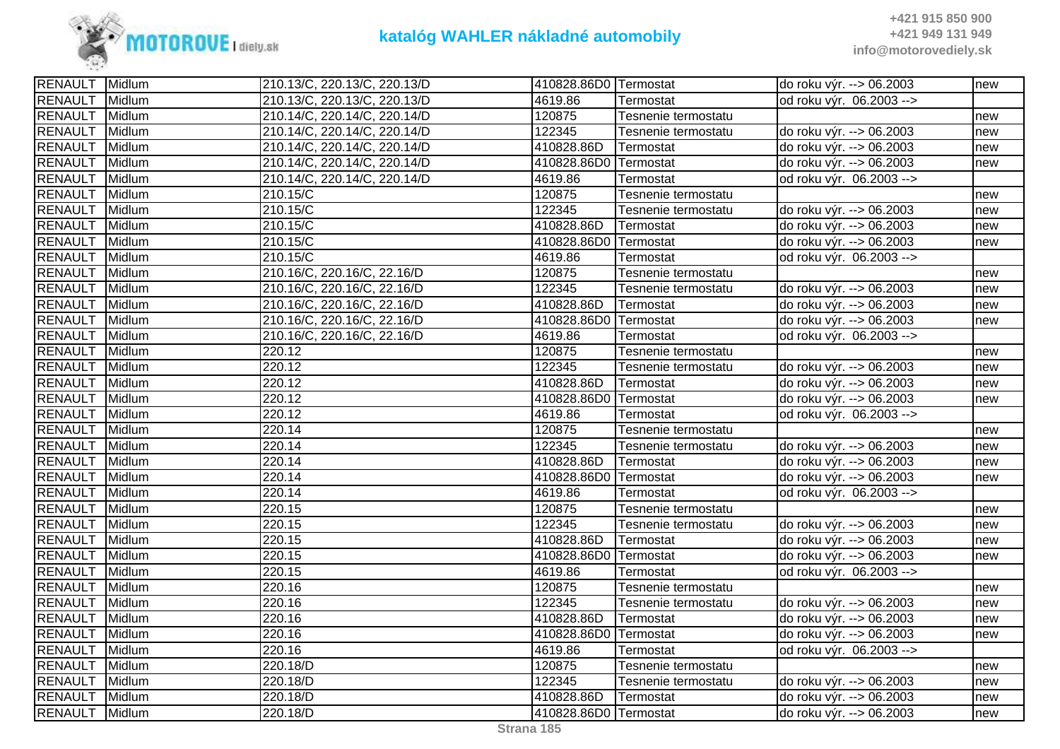

| RENAULT Midlum |        | 210.13/C, 220.13/C, 220.13/D | 410828.86D0 Termostat |                     | do roku výr. --> 06.2003 | new |
|----------------|--------|------------------------------|-----------------------|---------------------|--------------------------|-----|
| <b>RENAULT</b> | Midlum | 210.13/C, 220.13/C, 220.13/D | 4619.86               | Termostat           | od roku výr. 06.2003 --> |     |
| <b>RENAULT</b> | Midlum | 210.14/C, 220.14/C, 220.14/D | 120875                | Tesnenie termostatu |                          | new |
| <b>RENAULT</b> | Midlum | 210.14/C, 220.14/C, 220.14/D | 122345                | Tesnenie termostatu | do roku výr. --> 06.2003 | new |
| RENAULT Midlum |        | 210.14/C, 220.14/C, 220.14/D | 410828.86D            | Termostat           | do roku výr. --> 06.2003 | new |
| <b>RENAULT</b> | Midlum | 210.14/C, 220.14/C, 220.14/D | 410828.86D0 Termostat |                     | do roku výr. --> 06.2003 | new |
| <b>RENAULT</b> | Midlum | 210.14/C, 220.14/C, 220.14/D | 4619.86               | Termostat           | od roku výr. 06.2003 --> |     |
| <b>RENAULT</b> | Midlum | 210.15/C                     | 120875                | Tesnenie termostatu |                          | new |
| <b>RENAULT</b> | Midlum | 210.15/C                     | 122345                | Tesnenie termostatu | do roku výr. --> 06.2003 | new |
| <b>RENAULT</b> | Midlum | 210.15/C                     | 410828.86D            | Termostat           | do roku výr. --> 06.2003 | new |
| <b>RENAULT</b> | Midlum | 210.15/C                     | 410828.86D0 Termostat |                     | do roku výr. --> 06.2003 | new |
| RENAULT Midlum |        | 210.15/C                     | 4619.86               | Termostat           | od roku výr. 06.2003 --> |     |
| <b>RENAULT</b> | Midlum | 210.16/C, 220.16/C, 22.16/D  | 120875                | Tesnenie termostatu |                          | new |
| <b>RENAULT</b> | Midlum | 210.16/C, 220.16/C, 22.16/D  | 122345                | Tesnenie termostatu | do roku výr. --> 06.2003 | new |
| <b>RENAULT</b> | Midlum | 210.16/C, 220.16/C, 22.16/D  | 410828.86D            | Termostat           | do roku výr. --> 06.2003 | new |
| <b>RENAULT</b> | Midlum | 210.16/C, 220.16/C, 22.16/D  | 410828.86D0 Termostat |                     | do roku výr. --> 06.2003 | new |
| <b>RENAULT</b> | Midlum | 210.16/C, 220.16/C, 22.16/D  | 4619.86               | Termostat           | od roku výr. 06.2003 --> |     |
| RENAULT Midlum |        | 220.12                       | 120875                | Tesnenie termostatu |                          | new |
| <b>RENAULT</b> | Midlum | 220.12                       | 122345                | Tesnenie termostatu | do roku výr. --> 06.2003 | new |
| <b>RENAULT</b> | Midlum | 220.12                       | 410828.86D            | Termostat           | do roku výr. --> 06.2003 | new |
| <b>RENAULT</b> | Midlum | 220.12                       | 410828.86D0 Termostat |                     | do roku výr. --> 06.2003 | new |
| <b>RENAULT</b> | Midlum | 220.12                       | 4619.86               | Termostat           | od roku výr. 06.2003 --> |     |
| <b>RENAULT</b> | Midlum | 220.14                       | 120875                | Tesnenie termostatu |                          | new |
| <b>RENAULT</b> | Midlum | 220.14                       | 122345                | Tesnenie termostatu | do roku výr. --> 06.2003 | new |
| <b>RENAULT</b> | Midlum | 220.14                       | 410828.86D            | Termostat           | do roku výr. --> 06.2003 | new |
| RENAULT Midlum |        | 220.14                       | 410828.86D0 Termostat |                     | do roku výr. --> 06.2003 | new |
| <b>RENAULT</b> | Midlum | 220.14                       | 4619.86               | Termostat           | od roku výr. 06.2003 --> |     |
| RENAULT Midlum |        | 220.15                       | 120875                | Tesnenie termostatu |                          | new |
| <b>RENAULT</b> | Midlum | 220.15                       | 122345                | Tesnenie termostatu | do roku výr. --> 06.2003 | new |
| <b>RENAULT</b> | Midlum | 220.15                       | 410828.86D            | Termostat           | do roku výr. --> 06.2003 | new |
| <b>RENAULT</b> | Midlum | 220.15                       | 410828.86D0 Termostat |                     | do roku výr. --> 06.2003 | new |
| <b>RENAULT</b> | Midlum | $\overline{2}20.15$          | 4619.86               | Termostat           | od roku výr. 06.2003 --> |     |
| <b>RENAULT</b> | Midlum | 220.16                       | 120875                | Tesnenie termostatu |                          | new |
| <b>RENAULT</b> | Midlum | 220.16                       | 122345                | Tesnenie termostatu | do roku výr. --> 06.2003 | new |
| <b>RENAULT</b> | Midlum | 220.16                       | 410828.86D            | Termostat           | do roku výr. --> 06.2003 | new |
| <b>RENAULT</b> | Midlum | 220.16                       | 410828.86D0 Termostat |                     | do roku výr. --> 06.2003 | new |
| <b>RENAULT</b> | Midlum | 220.16                       | 4619.86               | Termostat           | od roku výr. 06.2003 --> |     |
| <b>RENAULT</b> | Midlum | 220.18/D                     | 120875                | Tesnenie termostatu |                          | new |
| <b>RENAULT</b> | Midlum | 220.18/D                     | 122345                | Tesnenie termostatu | do roku výr. --> 06.2003 | new |
| <b>RENAULT</b> | Midlum | 220.18/D                     | 410828.86D            | Termostat           | do roku výr. --> 06.2003 | new |
| RENAULT        | Midlum | 220.18/D                     | 410828.86D0 Termostat |                     | do roku výr. --> 06.2003 | new |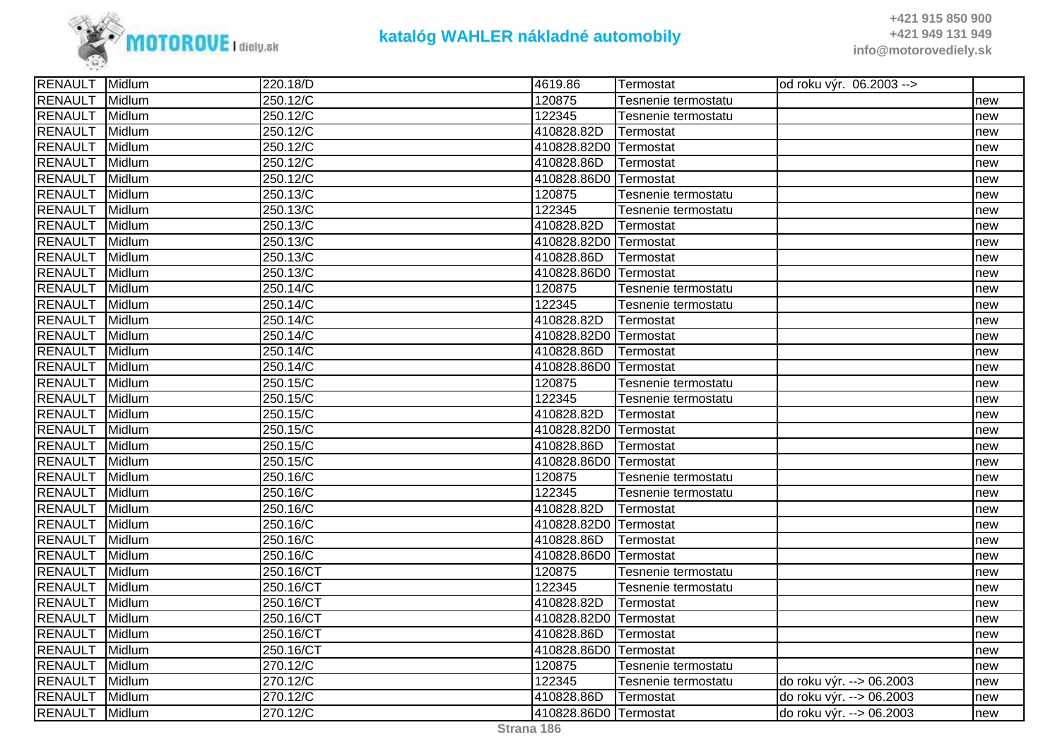

| RENAULT Midlum |        | 220.18/D             | 4619.86               | Termostat           | od roku výr. 06.2003 --> |     |
|----------------|--------|----------------------|-----------------------|---------------------|--------------------------|-----|
| <b>RENAULT</b> | Midlum | 250.12/C             | 120875                | Tesnenie termostatu |                          | new |
| <b>RENAULT</b> | Midlum | 250.12/C             | 122345                | Tesnenie termostatu |                          | new |
| <b>RENAULT</b> | Midlum | 250.12/C             | 410828.82D            | Termostat           |                          | new |
| <b>RENAULT</b> | Midlum | 250.12/C             | 410828.82D0 Termostat |                     |                          | new |
| <b>RENAULT</b> | Midlum | 250.12/C             | 410828.86D            | Termostat           |                          | new |
| <b>RENAULT</b> | Midlum | 250.12/C             | 410828.86D0 Termostat |                     |                          | new |
| <b>RENAULT</b> | Midlum | 250.13/C             | 120875                | Tesnenie termostatu |                          | new |
| <b>RENAULT</b> | Midlum | 250.13/C             | 122345                | Tesnenie termostatu |                          | new |
| <b>RENAULT</b> | Midlum | 250.13/C             | 410828.82D            | Termostat           |                          | new |
| <b>RENAULT</b> | Midlum | 250.13/C             | 410828.82D0 Termostat |                     |                          | new |
| <b>RENAULT</b> | Midlum | 250.13/C             | 410828.86D            | Termostat           |                          | new |
| <b>RENAULT</b> | Midlum | 250.13/C             | 410828.86D0 Termostat |                     |                          | new |
| <b>RENAULT</b> | Midlum | 250.14/C             | 120875                | Tesnenie termostatu |                          | new |
| <b>RENAULT</b> | Midlum | 250.14/C             | 122345                | Tesnenie termostatu |                          | new |
| <b>RENAULT</b> | Midlum | 250.14/C             | 410828.82D            | Termostat           |                          | new |
| <b>RENAULT</b> | Midlum | $250.14\overline{C}$ | 410828.82D0           | Termostat           |                          | new |
| <b>RENAULT</b> | Midlum | 250.14/C             | 410828.86D            | Termostat           |                          | new |
| <b>RENAULT</b> | Midlum | 250.14/C             | 410828.86D0           | Termostat           |                          | new |
| <b>RENAULT</b> | Midlum | 250.15/C             | 120875                | Tesnenie termostatu |                          | new |
| <b>RENAULT</b> | Midlum | 250.15/C             | 122345                | Tesnenie termostatu |                          | new |
| <b>RENAULT</b> | Midlum | 250.15/C             | 410828.82D            | Termostat           |                          | new |
| <b>RENAULT</b> | Midlum | 250.15/C             | 410828.82D0 Termostat |                     |                          | new |
| <b>RENAULT</b> | Midlum | 250.15/C             | 410828.86D            | Termostat           |                          | new |
| <b>RENAULT</b> | Midlum | 250.15/C             | 410828.86D0           | Termostat           |                          | new |
| <b>RENAULT</b> | Midlum | 250.16/C             | 120875                | Tesnenie termostatu |                          | new |
| <b>RENAULT</b> | Midlum | 250.16/C             | 122345                | Tesnenie termostatu |                          | new |
| <b>RENAULT</b> | Midlum | 250.16/C             | 410828.82D            | Termostat           |                          | new |
| <b>RENAULT</b> | Midlum | 250.16/C             | 410828.82D0           | Termostat           |                          | new |
| <b>RENAULT</b> | Midlum | 250.16/C             | 410828.86D            | Termostat           |                          | new |
| <b>RENAULT</b> | Midlum | 250.16/C             | 410828.86D0           | Termostat           |                          | new |
| <b>RENAULT</b> | Midlum | 250.16/CT            | 120875                | Tesnenie termostatu |                          | new |
| <b>RENAULT</b> | Midlum | 250.16/CT            | 122345                | Tesnenie termostatu |                          | new |
| <b>RENAULT</b> | Midlum | 250.16/CT            | 410828.82D            | Termostat           |                          | new |
| <b>RENAULT</b> | Midlum | 250.16/CT            | 410828.82D0 Termostat |                     |                          | new |
| <b>RENAULT</b> | Midlum | 250.16/CT            | 410828.86D            | Termostat           |                          | new |
| <b>RENAULT</b> | Midlum | 250.16/CT            | 410828.86D0 Termostat |                     |                          | new |
| <b>RENAULT</b> | Midlum | 270.12/C             | 120875                | Tesnenie termostatu |                          | new |
| <b>RENAULT</b> | Midlum | 270.12/C             | 122345                | Tesnenie termostatu | do roku výr. --> 06.2003 | new |
| <b>RENAULT</b> | Midlum | 270.12/C             | 410828.86D            | Termostat           | do roku výr. --> 06.2003 | new |
| RENAULT Midlum |        | 270.12/C             | 410828.86D0 Termostat |                     | do roku výr. --> 06.2003 | new |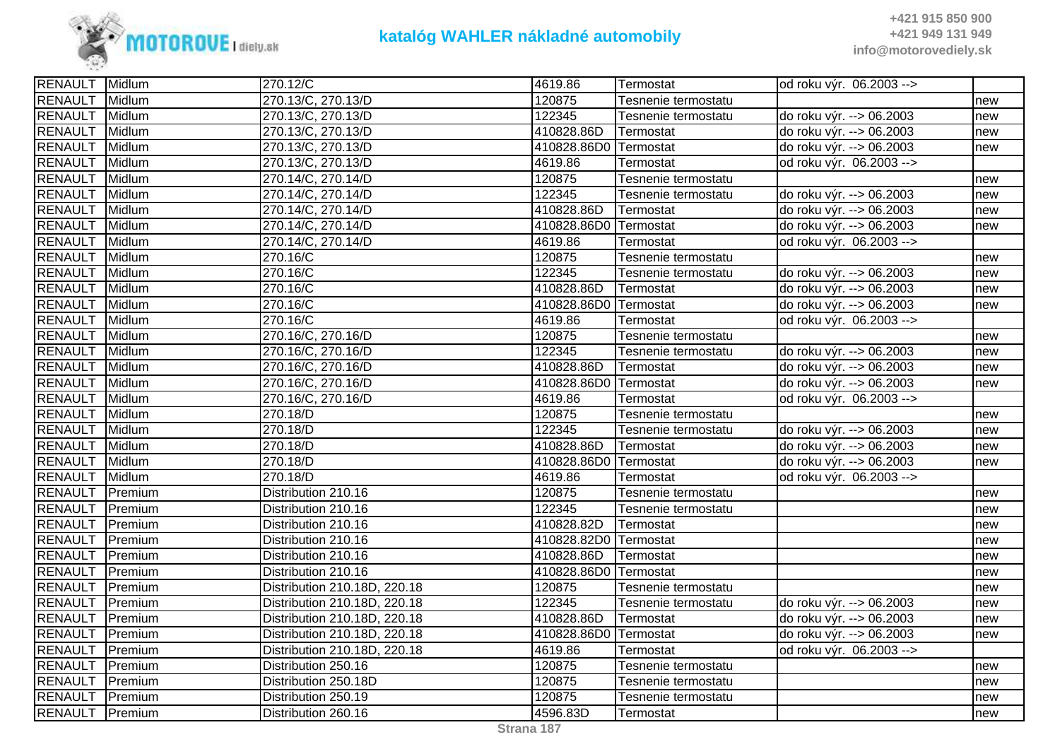

| RENAULT Midlum  |         | 270.12/C                     | 4619.86               | Termostat           | od roku výr. 06.2003 --> |     |
|-----------------|---------|------------------------------|-----------------------|---------------------|--------------------------|-----|
| <b>RENAULT</b>  | Midlum  | 270.13/C, 270.13/D           | 120875                | Tesnenie termostatu |                          | new |
| <b>RENAULT</b>  | Midlum  | 270.13/C, 270.13/D           | 122345                | Tesnenie termostatu | do roku výr. --> 06.2003 | new |
| <b>RENAULT</b>  | Midlum  | 270.13/C, 270.13/D           | 410828.86D            | Termostat           | do roku výr. --> 06.2003 | new |
| <b>RENAULT</b>  | Midlum  | 270.13/C, 270.13/D           | 410828.86D0 Termostat |                     | do roku výr. --> 06.2003 | new |
| <b>RENAULT</b>  | Midlum  | 270.13/C, 270.13/D           | 4619.86               | Termostat           | od roku výr. 06.2003 --> |     |
| <b>RENAULT</b>  | Midlum  | 270.14/C, 270.14/D           | 120875                | Tesnenie termostatu |                          | new |
| <b>RENAULT</b>  | Midlum  | 270.14/C, 270.14/D           | 122345                | Tesnenie termostatu | do roku výr. --> 06.2003 | new |
| <b>RENAULT</b>  | Midlum  | 270.14/C, 270.14/D           | 410828.86D            | Termostat           | do roku výr. --> 06.2003 | new |
| <b>RENAULT</b>  | Midlum  | 270.14/C, 270.14/D           | 410828.86D0 Termostat |                     | do roku výr. --> 06.2003 | new |
| <b>RENAULT</b>  | Midlum  | 270.14/C, 270.14/D           | 4619.86               | Termostat           | od roku výr. 06.2003 --> |     |
| RENAULT Midlum  |         | 270.16/C                     | 120875                | Tesnenie termostatu |                          | new |
| <b>RENAULT</b>  | Midlum  | 270.16/C                     | 122345                | Tesnenie termostatu | do roku výr. --> 06.2003 | new |
| <b>RENAULT</b>  | Midlum  | 270.16/C                     | 410828.86D            | Termostat           | do roku výr. --> 06.2003 | new |
| <b>RENAULT</b>  | Midlum  | 270.16/C                     | 410828.86D0 Termostat |                     | do roku výr. --> 06.2003 | new |
| <b>RENAULT</b>  | Midlum  | 270.16/C                     | 4619.86               | Termostat           | od roku výr. 06.2003 --> |     |
| <b>RENAULT</b>  | Midlum  | 270.16/C, 270.16/D           | 120875                | Tesnenie termostatu |                          | new |
| <b>RENAULT</b>  | Midlum  | 270.16/C, 270.16/D           | 122345                | Tesnenie termostatu | do roku výr. --> 06.2003 | new |
| <b>RENAULT</b>  | Midlum  | 270.16/C, 270.16/D           | 410828.86D            | Termostat           | do roku výr. --> 06.2003 | new |
| <b>RENAULT</b>  | Midlum  | 270.16/C, 270.16/D           | 410828.86D0 Termostat |                     | do roku výr. --> 06.2003 | new |
| <b>RENAULT</b>  | Midlum  | 270.16/C, 270.16/D           | 4619.86               | Termostat           | od roku výr. 06.2003 --> |     |
| <b>RENAULT</b>  | Midlum  | 270.18/D                     | 120875                | Tesnenie termostatu |                          | new |
| <b>RENAULT</b>  | Midlum  | 270.18/D                     | 122345                | Tesnenie termostatu | do roku výr. --> 06.2003 | new |
| <b>RENAULT</b>  | Midlum  | 270.18/D                     | 410828.86D            | Termostat           | do roku výr. --> 06.2003 | new |
| <b>RENAULT</b>  | Midlum  | 270.18/D                     | 410828.86D0 Termostat |                     | do roku výr. --> 06.2003 | new |
| <b>RENAULT</b>  | Midlum  | 270.18/D                     | 4619.86               | Termostat           | od roku výr. 06.2003 --> |     |
| <b>RENAULT</b>  | Premium | Distribution 210.16          | 120875                | Tesnenie termostatu |                          | new |
| <b>RENAULT</b>  | Premium | Distribution 210.16          | 122345                | Tesnenie termostatu |                          | new |
| <b>RENAULT</b>  | Premium | Distribution 210.16          | 410828.82D            | Termostat           |                          | new |
| <b>RENAULT</b>  | Premium | Distribution 210.16          | 410828.82D0 Termostat |                     |                          | new |
| <b>RENAULT</b>  | Premium | Distribution 210.16          | 410828.86D            | Termostat           |                          | new |
| <b>RENAULT</b>  | Premium | Distribution 210.16          | 410828.86D0 Termostat |                     |                          | new |
| <b>RENAULT</b>  | Premium | Distribution 210.18D, 220.18 | 120875                | Tesnenie termostatu |                          | new |
| <b>RENAULT</b>  | Premium | Distribution 210.18D, 220.18 | 122345                | Tesnenie termostatu | do roku výr. --> 06.2003 | new |
| <b>RENAULT</b>  | Premium | Distribution 210.18D, 220.18 | 410828.86D            | Termostat           | do roku výr. --> 06.2003 | new |
| <b>RENAULT</b>  | Premium | Distribution 210.18D, 220.18 | 410828.86D0           | Termostat           | do roku výr. --> 06.2003 | new |
| <b>RENAULT</b>  | Premium | Distribution 210.18D, 220.18 | 4619.86               | Termostat           | od roku výr. 06.2003 --> |     |
| <b>RENAULT</b>  | Premium | Distribution 250.16          | 120875                | Tesnenie termostatu |                          | new |
| RENAULT Premium |         | Distribution 250.18D         | 120875                | Tesnenie termostatu |                          | new |
| <b>RENAULT</b>  | Premium | Distribution 250.19          | 120875                | Tesnenie termostatu |                          | new |
| RENAULT Premium |         | Distribution 260.16          | 4596.83D              | Termostat           |                          | new |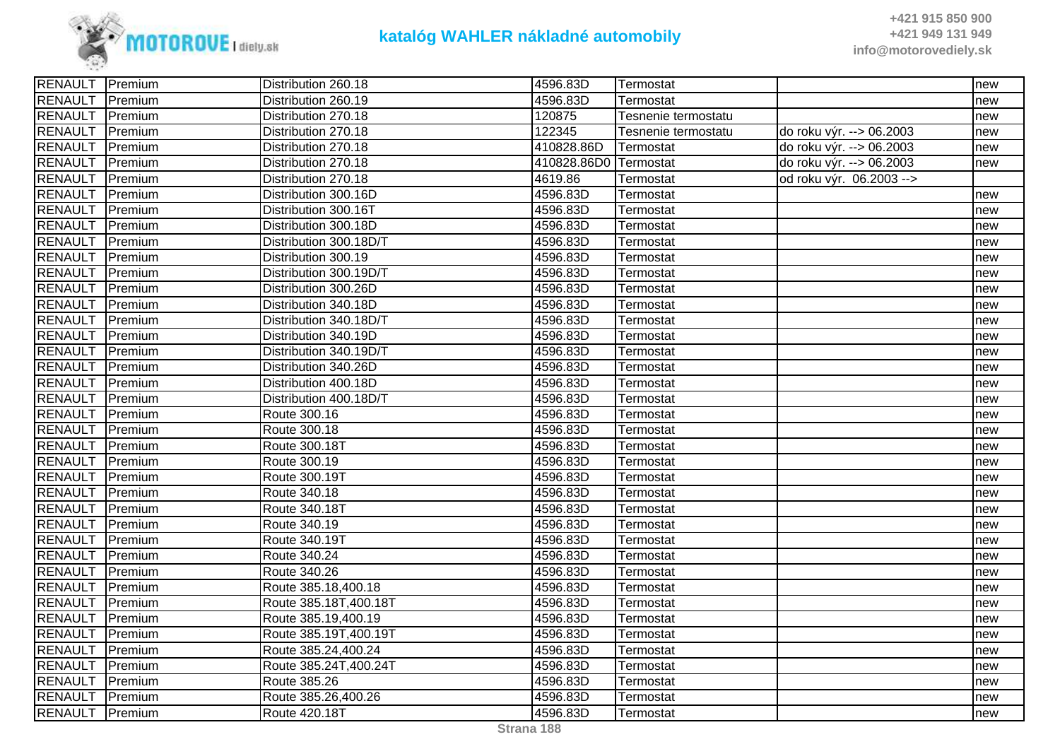

| RENAULT Premium        |                 | Distribution 260.18    | 4596.83D              | ∣Termostat          |                          | new |
|------------------------|-----------------|------------------------|-----------------------|---------------------|--------------------------|-----|
| <b>RENAULT</b>         | Premium         | Distribution 260.19    | 4596.83D              | Termostat           |                          | new |
| <b>RENAULT</b>         | Premium         | Distribution 270.18    | 120875                | Tesnenie termostatu |                          | new |
| <b>RENAULT</b>         | Premium         | Distribution 270.18    | 122345                | Tesnenie termostatu | do roku výr. --> 06.2003 | new |
| <b>RENAULT</b>         | Premium         | Distribution 270.18    | 410828.86D            | Termostat           | do roku výr. --> 06.2003 | new |
| <b>RENAULT</b>         | Premium         | Distribution 270.18    | 410828.86D0 Termostat |                     | do roku výr. --> 06.2003 | new |
| <b>RENAULT</b>         | Premium         | Distribution 270.18    | 4619.86               | Termostat           | od roku výr. 06.2003 --> |     |
| <b>RENAULT</b>         | Premium         | Distribution 300.16D   | 4596.83D              | Termostat           |                          | new |
| <b>RENAULT</b>         | Premium         | Distribution 300.16T   | 4596.83D              | Termostat           |                          | new |
| <b>RENAULT</b>         | Premium         | Distribution 300.18D   | 4596.83D              | Termostat           |                          | new |
| <b>RENAULT</b>         | Premium         | Distribution 300.18D/T | 4596.83D              | Termostat           |                          | new |
| <b>RENAULT</b>         | Premium         | Distribution 300.19    | 4596.83D              | Termostat           |                          | new |
| <b>RENAULT</b>         | Premium         | Distribution 300.19D/T | 4596.83D              | Termostat           |                          | new |
| <b>RENAULT</b>         | Premium         | Distribution 300.26D   | 4596.83D              | Termostat           |                          | new |
| <b>RENAULT</b>         | Premium         | Distribution 340.18D   | 4596.83D              | Termostat           |                          | new |
| <b>RENAULT</b>         | <b>IPremium</b> | Distribution 340.18D/T | 4596.83D              | Termostat           |                          | new |
| <b>RENAULT</b>         | Premium         | Distribution 340.19D   | 4596.83D              | Termostat           |                          | new |
| <b>RENAULT</b> Premium |                 | Distribution 340.19D/T | 4596.83D              | Termostat           |                          | new |
| <b>RENAULT</b>         | Premium         | Distribution 340.26D   | 4596.83D              | Termostat           |                          | new |
| <b>RENAULT</b>         | Premium         | Distribution 400.18D   | 4596.83D              | Termostat           |                          | new |
| <b>RENAULT</b>         | Premium         | Distribution 400.18D/T | 4596.83D              | Termostat           |                          | new |
| <b>RENAULT</b>         | Premium         | Route 300.16           | 4596.83D              | Termostat           |                          | new |
| <b>RENAULT</b>         | Premium         | Route 300.18           | 4596.83D              | Termostat           |                          | new |
| RENAULT Premium        |                 | Route 300.18T          | 4596.83D              | Termostat           |                          | new |
| <b>RENAULT</b>         | Premium         | Route 300.19           | 4596.83D              | Termostat           |                          | new |
| <b>RENAULT</b>         | Premium         | Route 300.19T          | 4596.83D              | Termostat           |                          | new |
| <b>RENAULT</b>         | Premium         | Route 340.18           | 4596.83D              | Termostat           |                          | new |
| <b>RENAULT</b>         | Premium         | Route 340.18T          | 4596.83D              | Termostat           |                          | new |
| <b>RENAULT</b>         | Premium         | Route 340.19           | 4596.83D              | Termostat           |                          | new |
| <b>RENAULT</b>         | <b>IPremium</b> | Route 340.19T          | 4596.83D              | Termostat           |                          | new |
| <b>RENAULT</b>         | Premium         | Route 340.24           | 4596.83D              | Termostat           |                          | new |
| <b>RENAULT</b>         | Premium         | Route 340.26           | 4596.83D              | Termostat           |                          | new |
| <b>RENAULT</b>         | Premium         | Route 385.18,400.18    | 4596.83D              | Termostat           |                          | new |
| <b>RENAULT</b>         | Premium         | Route 385.18T, 400.18T | 4596.83D              | Termostat           |                          | new |
| <b>RENAULT</b>         | Premium         | Route 385.19,400.19    | 4596.83D              | Termostat           |                          | new |
| <b>RENAULT</b>         | Premium         | Route 385.19T,400.19T  | 4596.83D              | Termostat           |                          | new |
| <b>RENAULT</b>         | Premium         | Route 385.24,400.24    | 4596.83D              | Termostat           |                          | new |
| <b>RENAULT</b>         | Premium         | Route 385.24T, 400.24T | 4596.83D              | Termostat           |                          | new |
| <b>RENAULT</b>         | Premium         | Route 385.26           | 4596.83D              | Termostat           |                          | new |
| <b>RENAULT</b>         | <b>IPremium</b> | Route 385.26,400.26    | 4596.83D              | Termostat           |                          | new |
| RENAULT Premium        |                 | Route 420.18T          | 4596.83D              | Termostat           |                          | new |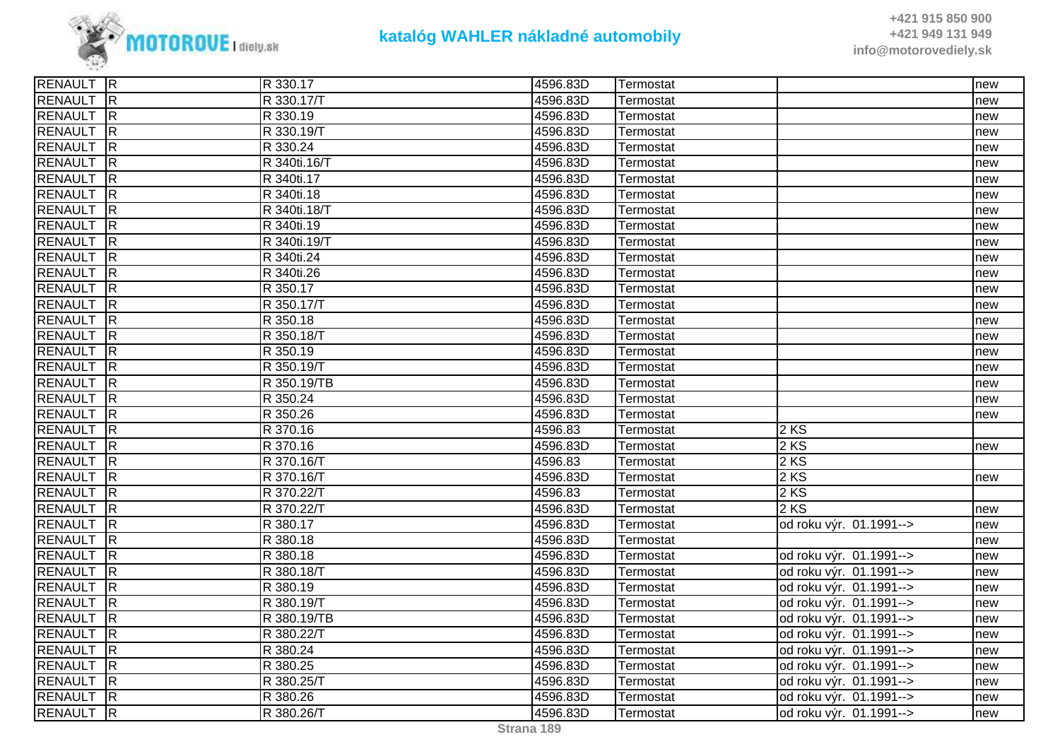

| RENAULT R        |                         | R 330.17     | 4596.83D | Termostat |                         | new |
|------------------|-------------------------|--------------|----------|-----------|-------------------------|-----|
| <b>RENAULT</b>   | R                       | R 330.17/T   | 4596.83D | Termostat |                         | new |
| <b>RENAULT</b>   | R                       | R 330.19     | 4596.83D | Termostat |                         | new |
| RENAULT R        |                         | R 330.19/T   | 4596.83D | Termostat |                         | new |
| RENAULT          | $\overline{\mathsf{R}}$ | R 330.24     | 4596.83D | Termostat |                         | new |
| <b>RENAULT</b>   | $\overline{\mathsf{R}}$ | R 340ti.16/T | 4596.83D | Termostat |                         | new |
| RENAULT R        |                         | R 340ti.17   | 4596.83D | Termostat |                         | new |
| <b>RENAULT</b>   | R                       | R 340ti.18   | 4596.83D | Termostat |                         | new |
| <b>RENAULT</b>   | $\overline{\mathsf{R}}$ | R 340ti.18/T | 4596.83D | Termostat |                         | new |
| <b>RENAULT</b>   | $\overline{R}$          | R 340ti.19   | 4596.83D | Termostat |                         | new |
| <b>RENAULT</b>   | $\overline{\mathsf{R}}$ | R 340ti.19/T | 4596.83D | Termostat |                         | new |
| <b>RENAULT</b>   | $\overline{\mathsf{R}}$ | R 340ti.24   | 4596.83D | Termostat |                         | new |
| <b>RENAULT</b>   | IR.                     | R 340ti.26   | 4596.83D | Termostat |                         | new |
| <b>RENAULT</b>   | R                       | R 350.17     | 4596.83D | Termostat |                         | new |
| <b>RENAULT</b>   | $\overline{R}$          | R 350.17/T   | 4596.83D | Termostat |                         | new |
| RENAULT          | $\overline{\mathsf{R}}$ | R 350.18     | 4596.83D | Termostat |                         | new |
| <b>RENAULT</b>   | $\overline{R}$          | R 350.18/T   | 4596.83D | Termostat |                         | new |
| RENAULT R        |                         | R 350.19     | 4596.83D | Termostat |                         | new |
| <b>RENAULT</b>   | R                       | R 350.19/T   | 4596.83D | Termostat |                         | new |
| <b>RENAULT</b>   | R                       | R 350.19/TB  | 4596.83D | Termostat |                         | new |
| <b>RENAULT</b> R |                         | R 350.24     | 4596.83D | Termostat |                         | new |
| <b>RENAULT</b>   | $\overline{\mathsf{R}}$ | R 350.26     | 4596.83D | Termostat |                         | new |
| RENAULT          | $\overline{\mathsf{R}}$ | R 370.16     | 4596.83  | Termostat | 2 KS                    |     |
| <b>RENAULT</b>   | $\overline{R}$          | R 370.16     | 4596.83D | Termostat | 2 KS                    | new |
| <b>RENAULT</b>   | $\overline{R}$          | R 370.16/T   | 4596.83  | Termostat | 2 KS                    |     |
| <b>RENAULT</b>   | IR                      | R 370.16/T   | 4596.83D | Termostat | 2 KS                    | new |
| <b>RENAULT</b>   | $\overline{\mathsf{R}}$ | R 370.22/T   | 4596.83  | Termostat | 2 KS                    |     |
| <b>RENAULT</b>   | $\overline{R}$          | R 370.22/T   | 4596.83D | Termostat | 2 KS                    | new |
| RENAULT R        |                         | R 380.17     | 4596.83D | Termostat | od roku výr. 01.1991--> | new |
| <b>RENAULT</b>   | $\overline{\mathsf{R}}$ | R 380.18     | 4596.83D | Termostat |                         | new |
| <b>RENAULT</b>   | R                       | R 380.18     | 4596.83D | Termostat | od roku výr. 01.1991--> | new |
| <b>RENAULT</b>   | $\overline{\mathsf{R}}$ | R 380.18/T   | 4596.83D | Termostat | od roku výr. 01.1991--> | new |
| <b>RENAULT</b>   | $\overline{R}$          | R 380.19     | 4596.83D | Termostat | od roku výr. 01.1991--> | new |
| <b>RENAULT</b>   | $\overline{\mathsf{R}}$ | R 380.19/T   | 4596.83D | Termostat | od roku výr. 01.1991--> | new |
| <b>RENAULT</b>   | $\overline{\mathsf{R}}$ | R 380.19/TB  | 4596.83D | Termostat | od roku výr. 01.1991--> | new |
| <b>RENAULT</b>   | $\overline{R}$          | R 380.22/T   | 4596.83D | Termostat | od roku výr. 01.1991--> | new |
| <b>RENAULT</b>   | $\overline{\mathsf{R}}$ | R 380.24     | 4596.83D | Termostat | od roku výr. 01.1991--> | new |
| <b>RENAULT</b>   | $\overline{\mathsf{R}}$ | R 380.25     | 4596.83D | Termostat | od roku výr. 01.1991--> | new |
| <b>RENAULT</b>   | $\overline{\mathsf{R}}$ | R 380.25/T   | 4596.83D | Termostat | od roku výr. 01.1991--> | new |
| RENAULT          | R                       | R 380.26     | 4596.83D | Termostat | od roku výr. 01.1991--> | new |
| RENAULT R        |                         | R 380.26/T   | 4596.83D | Termostat | od roku výr. 01.1991--> | new |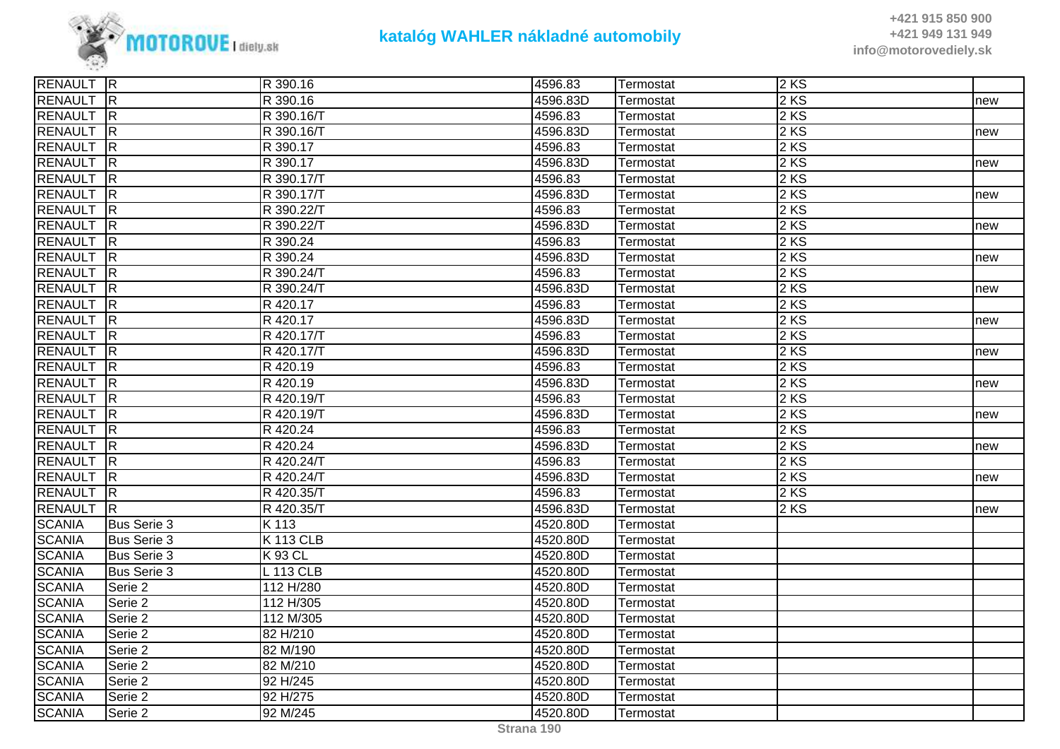

**+421 915 850 900 +421 949 131 949info@motorovediely.sk**

| RENAULT R        |                         | R 390.16        | 4596.83  | Termostat | 2KS               |     |
|------------------|-------------------------|-----------------|----------|-----------|-------------------|-----|
| <b>RENAULT</b> R |                         | R 390.16        | 4596.83D | Termostat | 2 KS              | new |
| <b>RENAULT</b>   | R                       | R 390.16/T      | 4596.83  | Termostat | 2KS               |     |
| RENAULT          | R                       | R 390.16/T      | 4596.83D | Termostat | 2 KS              | new |
| <b>RENAULT</b>   | R                       | R 390.17        | 4596.83  | Termostat | 2KS               |     |
| <b>RENAULT</b>   | $\overline{\mathsf{R}}$ | R 390.17        | 4596.83D | Termostat | 2 KS              | new |
| <b>RENAULT</b>   | $\overline{R}$          | R 390.17/T      | 4596.83  | Termostat | 2 KS              |     |
| <b>RENAULT</b>   | $\overline{R}$          | R 390.17/T      | 4596.83D | Termostat | 2 KS              | new |
| <b>RENAULT</b>   | R                       | R 390.22/T      | 4596.83  | Termostat | 2 KS              |     |
| <b>RENAULT</b>   | $\overline{R}$          | R 390.22/T      | 4596.83D | Termostat | 2 KS              | new |
| <b>RENAULT</b>   | $\overline{\mathsf{R}}$ | R 390.24        | 4596.83  | Termostat | 2 KS              |     |
| <b>RENAULT</b>   | R                       | R 390.24        | 4596.83D | Termostat | 2KS               | new |
| <b>RENAULT</b>   | $\overline{\mathsf{R}}$ | R 390.24/T      | 4596.83  | Termostat | 2 KS              |     |
| <b>RENAULT</b>   | R                       | R 390.24/T      | 4596.83D | Termostat | 2KS               | new |
| <b>RENAULT</b>   | R                       | R 420.17        | 4596.83  | Termostat | $2 K\overline{S}$ |     |
| <b>RENAULT</b>   | R                       | R 420.17        | 4596.83D | Termostat | 2KS               | new |
| <b>RENAULT</b>   | $\overline{R}$          | R 420.17/T      | 4596.83  | Termostat | 2KS               |     |
| <b>RENAULT</b>   | $\overline{R}$          | R 420.17/T      | 4596.83D | Termostat | 2 KS              | new |
| <b>RENAULT</b>   | R                       | R 420.19        | 4596.83  | Termostat | 2KS               |     |
| <b>RENAULT</b>   | R                       | R 420.19        | 4596.83D | Termostat | 2KS               | new |
| <b>RENAULT</b>   | $\overline{R}$          | R 420.19/T      | 4596.83  | Termostat | 2 KS              |     |
| <b>RENAULT</b>   | R                       | R 420.19/T      | 4596.83D | Termostat | 2 KS              | new |
| <b>RENAULT</b>   | $\overline{R}$          | R 420.24        | 4596.83  | Termostat | 2 KS              |     |
| <b>RENAULT</b>   | $\overline{R}$          | R 420.24        | 4596.83D | Termostat | 2 KS              | new |
| <b>RENAULT</b>   | R                       | R 420.24/T      | 4596.83  | Termostat | 2KS               |     |
| <b>RENAULT</b>   | R                       | R 420.24/T      | 4596.83D | Termostat | 2KS               | new |
| <b>RENAULT</b>   | $\overline{R}$          | R 420.35/T      | 4596.83  | Termostat | 2 KS              |     |
| <b>RENAULT</b>   | IR.                     | R 420.35/T      | 4596.83D | Termostat | 2KS               | new |
| <b>SCANIA</b>    | <b>Bus Serie 3</b>      | K 113           | 4520.80D | Termostat |                   |     |
| <b>SCANIA</b>    | <b>Bus Serie 3</b>      | <b>K113 CLB</b> | 4520.80D | Termostat |                   |     |
| <b>SCANIA</b>    | <b>Bus Serie 3</b>      | <b>K93 CL</b>   | 4520.80D | Termostat |                   |     |
| <b>SCANIA</b>    | <b>Bus Serie 3</b>      | L 113 CLB       | 4520.80D | Termostat |                   |     |
| <b>SCANIA</b>    | Serie 2                 | 112 H/280       | 4520.80D | Termostat |                   |     |
| <b>SCANIA</b>    | Serie 2                 | 112 H/305       | 4520.80D | Termostat |                   |     |
| <b>SCANIA</b>    | Serie 2                 | 112 M/305       | 4520.80D | Termostat |                   |     |
| <b>SCANIA</b>    | Serie 2                 | 82 H/210        | 4520.80D | Termostat |                   |     |
| <b>SCANIA</b>    | Serie 2                 | 82 M/190        | 4520.80D | Termostat |                   |     |
| <b>SCANIA</b>    | Serie 2                 | 82 M/210        | 4520.80D | Termostat |                   |     |
| <b>SCANIA</b>    | Serie 2                 | 92 H/245        | 4520.80D | Termostat |                   |     |
| <b>SCANIA</b>    | Serie 2                 | 92 H/275        | 4520.80D | Termostat |                   |     |
| <b>SCANIA</b>    | Serie 2                 | 92 M/245        | 4520.80D | Termostat |                   |     |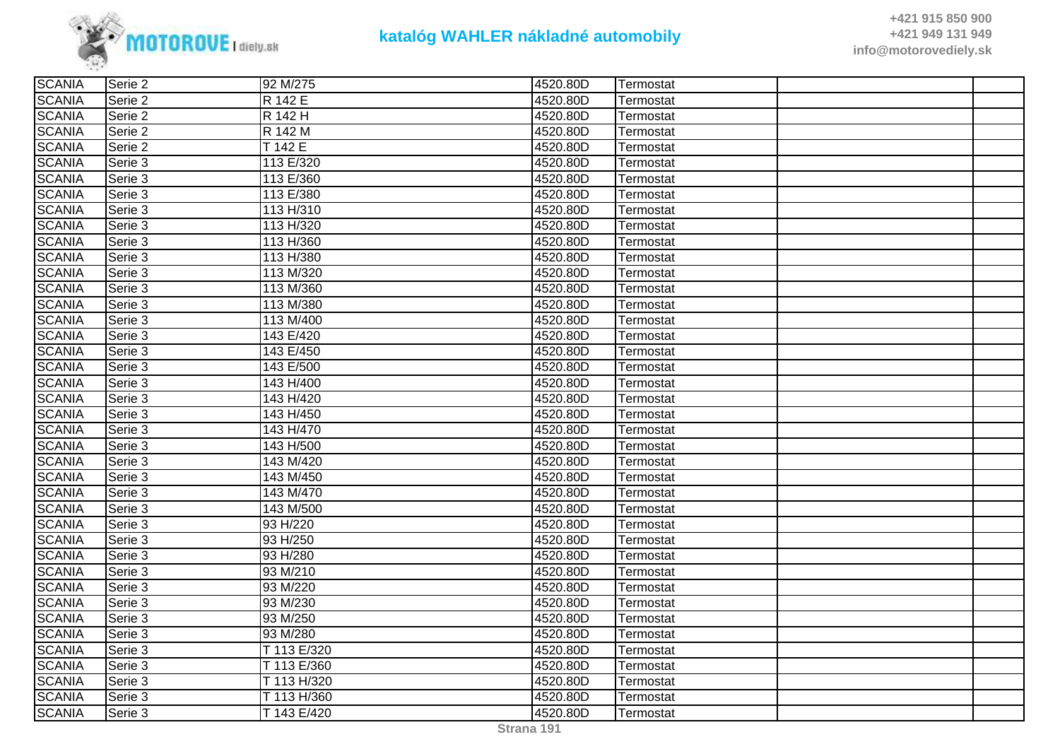

| <b>SCANIA</b> | Serie 2 | 92 M/275    | 4520.80D | Termostat |  |
|---------------|---------|-------------|----------|-----------|--|
| <b>SCANIA</b> | Serie 2 | R 142 E     | 4520.80D | Termostat |  |
| <b>SCANIA</b> | Serie 2 | R 142 H     | 4520.80D | Termostat |  |
| <b>SCANIA</b> | Serie 2 | R 142 M     | 4520.80D | Termostat |  |
| <b>SCANIA</b> | Serie 2 | T 142 E     | 4520.80D | Termostat |  |
| <b>SCANIA</b> | Serie 3 | 113 E/320   | 4520.80D | Termostat |  |
| <b>SCANIA</b> | Serie 3 | 113 E/360   | 4520.80D | Termostat |  |
| <b>SCANIA</b> | Serie 3 | 113 E/380   | 4520.80D | Termostat |  |
| <b>SCANIA</b> | Serie 3 | 113 H/310   | 4520.80D | Termostat |  |
| <b>SCANIA</b> | Serie 3 | 113 H/320   | 4520.80D | Termostat |  |
| <b>SCANIA</b> | Serie 3 | 113 H/360   | 4520.80D | Termostat |  |
| <b>SCANIA</b> | Serie 3 | 113 H/380   | 4520.80D | Termostat |  |
| <b>SCANIA</b> | Serie 3 | 113 M/320   | 4520.80D | Termostat |  |
| <b>SCANIA</b> | Serie 3 | 113 M/360   | 4520.80D | Termostat |  |
| <b>SCANIA</b> | Serie 3 | 113 M/380   | 4520.80D | Termostat |  |
| <b>SCANIA</b> | Serie 3 | 113 M/400   | 4520.80D | Termostat |  |
| <b>SCANIA</b> | Serie 3 | 143 E/420   | 4520.80D | Termostat |  |
| <b>SCANIA</b> | Serie 3 | 143 E/450   | 4520.80D | Termostat |  |
| <b>SCANIA</b> | Serie 3 | 143 E/500   | 4520.80D | Termostat |  |
| <b>SCANIA</b> | Serie 3 | 143 H/400   | 4520.80D | Termostat |  |
| <b>SCANIA</b> | Serie 3 | 143 H/420   | 4520.80D | Termostat |  |
| <b>SCANIA</b> | Serie 3 | 143 H/450   | 4520.80D | Termostat |  |
| <b>SCANIA</b> | Serie 3 | 143 H/470   | 4520.80D | Termostat |  |
| <b>SCANIA</b> | Serie 3 | 143 H/500   | 4520.80D | Termostat |  |
| <b>SCANIA</b> | Serie 3 | 143 M/420   | 4520.80D | Termostat |  |
| <b>SCANIA</b> | Serie 3 | 143 M/450   | 4520.80D | Termostat |  |
| <b>SCANIA</b> | Serie 3 | 143 M/470   | 4520.80D | Termostat |  |
| <b>SCANIA</b> | Serie 3 | 143 M/500   | 4520.80D | Termostat |  |
| <b>SCANIA</b> | Serie 3 | 93 H/220    | 4520.80D | Termostat |  |
| <b>SCANIA</b> | Serie 3 | 93 H/250    | 4520.80D | Termostat |  |
| <b>SCANIA</b> | Serie 3 | 93 H/280    | 4520.80D | Termostat |  |
| <b>SCANIA</b> | Serie 3 | 93 M/210    | 4520.80D | Termostat |  |
| <b>SCANIA</b> | Serie 3 | 93 M/220    | 4520.80D | Termostat |  |
| <b>SCANIA</b> | Serie 3 | 93 M/230    | 4520.80D | Termostat |  |
| <b>SCANIA</b> | Serie 3 | 93 M/250    | 4520.80D | Termostat |  |
| <b>SCANIA</b> | Serie 3 | 93 M/280    | 4520.80D | Termostat |  |
| <b>SCANIA</b> | Serie 3 | T 113 E/320 | 4520.80D | Termostat |  |
| <b>SCANIA</b> | Serie 3 | T 113 E/360 | 4520.80D | Termostat |  |
| <b>SCANIA</b> | Serie 3 | T 113 H/320 | 4520.80D | Termostat |  |
| <b>SCANIA</b> | Serie 3 | T 113 H/360 | 4520.80D | Termostat |  |
| <b>SCANIA</b> | Serie 3 | T 143 E/420 | 4520.80D | Termostat |  |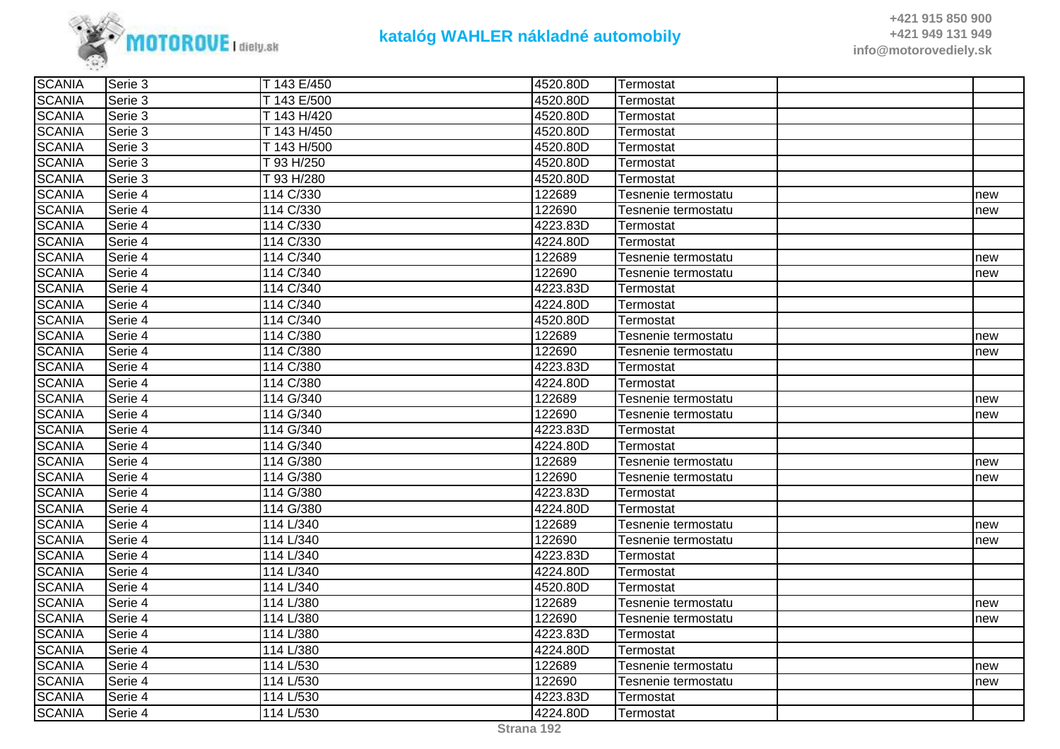

| <b>SCANIA</b> | ISerie 3 | T 143 E/450 | 4520.80D | Termostat           |     |
|---------------|----------|-------------|----------|---------------------|-----|
| <b>SCANIA</b> | lSerie 3 | T 143 E/500 | 4520.80D | Termostat           |     |
| <b>SCANIA</b> | lSerie 3 | T 143 H/420 | 4520.80D | Termostat           |     |
| <b>SCANIA</b> | Serie 3  | T 143 H/450 | 4520.80D | Termostat           |     |
| <b>SCANIA</b> | Serie 3  | T 143 H/500 | 4520.80D | Termostat           |     |
| <b>SCANIA</b> | Serie 3  | T 93 H/250  | 4520.80D | Termostat           |     |
| <b>SCANIA</b> | Serie 3  | T 93 H/280  | 4520.80D | Termostat           |     |
| <b>SCANIA</b> | Serie 4  | 114 C/330   | 122689   | Tesnenie termostatu | new |
| <b>SCANIA</b> | Serie 4  | 114 C/330   | 122690   | Tesnenie termostatu | new |
| <b>SCANIA</b> | Serie 4  | 114 C/330   | 4223.83D | Termostat           |     |
| <b>SCANIA</b> | Serie 4  | 114 C/330   | 4224.80D | Termostat           |     |
| <b>SCANIA</b> | Serie 4  | 114 C/340   | 122689   | Tesnenie termostatu | new |
| <b>SCANIA</b> | Serie 4  | 114 C/340   | 122690   | Tesnenie termostatu | new |
| <b>SCANIA</b> | Serie 4  | 114 C/340   | 4223.83D | Termostat           |     |
| <b>SCANIA</b> | Serie 4  | 114 C/340   | 4224.80D | Termostat           |     |
| <b>SCANIA</b> | Serie 4  | 114 C/340   | 4520.80D | Termostat           |     |
| <b>SCANIA</b> | Serie 4  | 114 C/380   | 122689   | Tesnenie termostatu | new |
| <b>SCANIA</b> | Serie 4  | 114 C/380   | 122690   | Tesnenie termostatu | new |
| <b>SCANIA</b> | Serie 4  | 114 C/380   | 4223.83D | Termostat           |     |
| <b>SCANIA</b> | Serie 4  | 114 C/380   | 4224.80D | Termostat           |     |
| <b>SCANIA</b> | Serie 4  | 114 G/340   | 122689   | Tesnenie termostatu | new |
| <b>SCANIA</b> | Serie 4  | 114 G/340   | 122690   | Tesnenie termostatu | new |
| <b>SCANIA</b> | lSerie 4 | 114 G/340   | 4223.83D | Termostat           |     |
| <b>SCANIA</b> | lSerie 4 | 114 G/340   | 4224.80D | Termostat           |     |
| <b>SCANIA</b> | Serie 4  | 114 G/380   | 122689   | Tesnenie termostatu | new |
| <b>SCANIA</b> | lSerie 4 | 114 G/380   | 122690   | Tesnenie termostatu | new |
| <b>SCANIA</b> | Serie 4  | 114 G/380   | 4223.83D | Termostat           |     |
| <b>SCANIA</b> | Serie 4  | 114 G/380   | 4224.80D | Termostat           |     |
| <b>SCANIA</b> | Serie 4  | 114 L/340   | 122689   | Tesnenie termostatu | new |
| <b>SCANIA</b> | Serie 4  | 114 L/340   | 122690   | Tesnenie termostatu | new |
| <b>SCANIA</b> | Serie 4  | 114 L/340   | 4223.83D | Termostat           |     |
| <b>SCANIA</b> | Serie 4  | 114 L/340   | 4224.80D | Termostat           |     |
| <b>SCANIA</b> | Serie 4  | 114 L/340   | 4520.80D | Termostat           |     |
| <b>SCANIA</b> | Serie 4  | 114 L/380   | 122689   | Tesnenie termostatu | new |
| <b>SCANIA</b> | Serie 4  | 114 L/380   | 122690   | Tesnenie termostatu | new |
| <b>SCANIA</b> | Serie 4  | 114 L/380   | 4223.83D | Termostat           |     |
| <b>SCANIA</b> | Serie 4  | 114 L/380   | 4224.80D | Termostat           |     |
| <b>SCANIA</b> | Serie 4  | 114 L/530   | 122689   | Tesnenie termostatu | new |
| <b>SCANIA</b> | Serie 4  | 114 L/530   | 122690   | Tesnenie termostatu | new |
| <b>SCANIA</b> | Serie 4  | 114 L/530   | 4223.83D | Termostat           |     |
| <b>SCANIA</b> | Serie 4  | 114 L/530   | 4224.80D | Termostat           |     |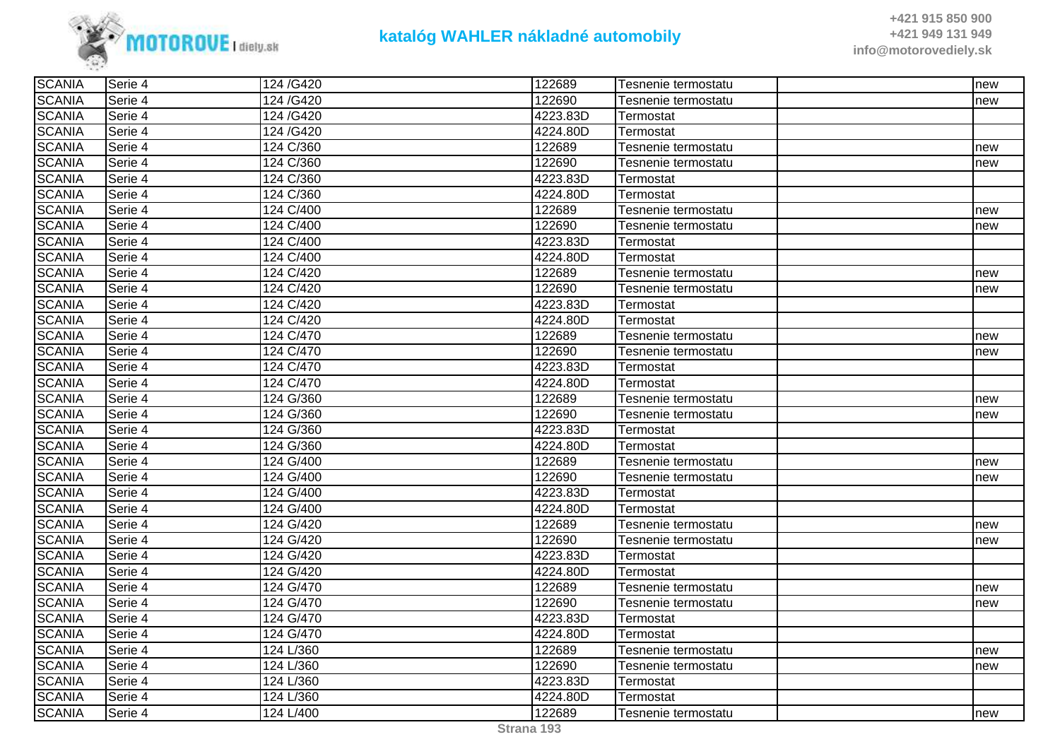

| <b>SCANIA</b> | Serie 4 | 124/G420  | 122689   | Tesnenie termostatu | new |
|---------------|---------|-----------|----------|---------------------|-----|
| <b>SCANIA</b> | Serie 4 | 124/G420  | 122690   | Tesnenie termostatu | new |
| <b>SCANIA</b> | Serie 4 | 124/G420  | 4223.83D | Termostat           |     |
| <b>SCANIA</b> | Serie 4 | 124 /G420 | 4224.80D | Termostat           |     |
| <b>SCANIA</b> | Serie 4 | 124 C/360 | 122689   | Tesnenie termostatu | new |
| <b>SCANIA</b> | Serie 4 | 124 C/360 | 122690   | Tesnenie termostatu | new |
| <b>SCANIA</b> | Serie 4 | 124 C/360 | 4223.83D | Termostat           |     |
| <b>SCANIA</b> | Serie 4 | 124 C/360 | 4224.80D | Termostat           |     |
| <b>SCANIA</b> | Serie 4 | 124 C/400 | 122689   | Tesnenie termostatu | new |
| <b>SCANIA</b> | Serie 4 | 124 C/400 | 122690   | Tesnenie termostatu | new |
| <b>SCANIA</b> | Serie 4 | 124 C/400 | 4223.83D | Termostat           |     |
| <b>SCANIA</b> | Serie 4 | 124 C/400 | 4224.80D | Termostat           |     |
| <b>SCANIA</b> | Serie 4 | 124 C/420 | 122689   | Tesnenie termostatu | new |
| <b>SCANIA</b> | Serie 4 | 124 C/420 | 122690   | Tesnenie termostatu | new |
| <b>SCANIA</b> | Serie 4 | 124 C/420 | 4223.83D | Termostat           |     |
| <b>SCANIA</b> | Serie 4 | 124 C/420 | 4224.80D | Termostat           |     |
| <b>SCANIA</b> | Serie 4 | 124 C/470 | 122689   | Tesnenie termostatu | new |
| <b>SCANIA</b> | Serie 4 | 124 C/470 | 122690   | Tesnenie termostatu | new |
| <b>SCANIA</b> | Serie 4 | 124 C/470 | 4223.83D | Termostat           |     |
| <b>SCANIA</b> | Serie 4 | 124 C/470 | 4224.80D | Termostat           |     |
| <b>SCANIA</b> | Serie 4 | 124 G/360 | 122689   | Tesnenie termostatu | new |
| <b>SCANIA</b> | Serie 4 | 124 G/360 | 122690   | Tesnenie termostatu | new |
| <b>SCANIA</b> | Serie 4 | 124 G/360 | 4223.83D | Termostat           |     |
| <b>SCANIA</b> | Serie 4 | 124 G/360 | 4224.80D | Termostat           |     |
| <b>SCANIA</b> | Serie 4 | 124 G/400 | 122689   | Tesnenie termostatu | new |
| <b>SCANIA</b> | Serie 4 | 124 G/400 | 122690   | Tesnenie termostatu | new |
| <b>SCANIA</b> | Serie 4 | 124 G/400 | 4223.83D | Termostat           |     |
| <b>SCANIA</b> | Serie 4 | 124 G/400 | 4224.80D | Termostat           |     |
| <b>SCANIA</b> | Serie 4 | 124 G/420 | 122689   | Tesnenie termostatu | new |
| <b>SCANIA</b> | Serie 4 | 124 G/420 | 122690   | Tesnenie termostatu | new |
| <b>SCANIA</b> | Serie 4 | 124 G/420 | 4223.83D | Termostat           |     |
| <b>SCANIA</b> | Serie 4 | 124 G/420 | 4224.80D | Termostat           |     |
| <b>SCANIA</b> | Serie 4 | 124 G/470 | 122689   | Tesnenie termostatu | new |
| <b>SCANIA</b> | Serie 4 | 124 G/470 | 122690   | Tesnenie termostatu | new |
| <b>SCANIA</b> | Serie 4 | 124 G/470 | 4223.83D | Termostat           |     |
| <b>SCANIA</b> | Serie 4 | 124 G/470 | 4224.80D | Termostat           |     |
| <b>SCANIA</b> | Serie 4 | 124 L/360 | 122689   | Tesnenie termostatu | new |
| <b>SCANIA</b> | Serie 4 | 124 L/360 | 122690   | Tesnenie termostatu | new |
| <b>SCANIA</b> | Serie 4 | 124 L/360 | 4223.83D | Termostat           |     |
| <b>SCANIA</b> | Serie 4 | 124 L/360 | 4224.80D | Termostat           |     |
| <b>SCANIA</b> | Serie 4 | 124 L/400 | 122689   | Tesnenie termostatu | new |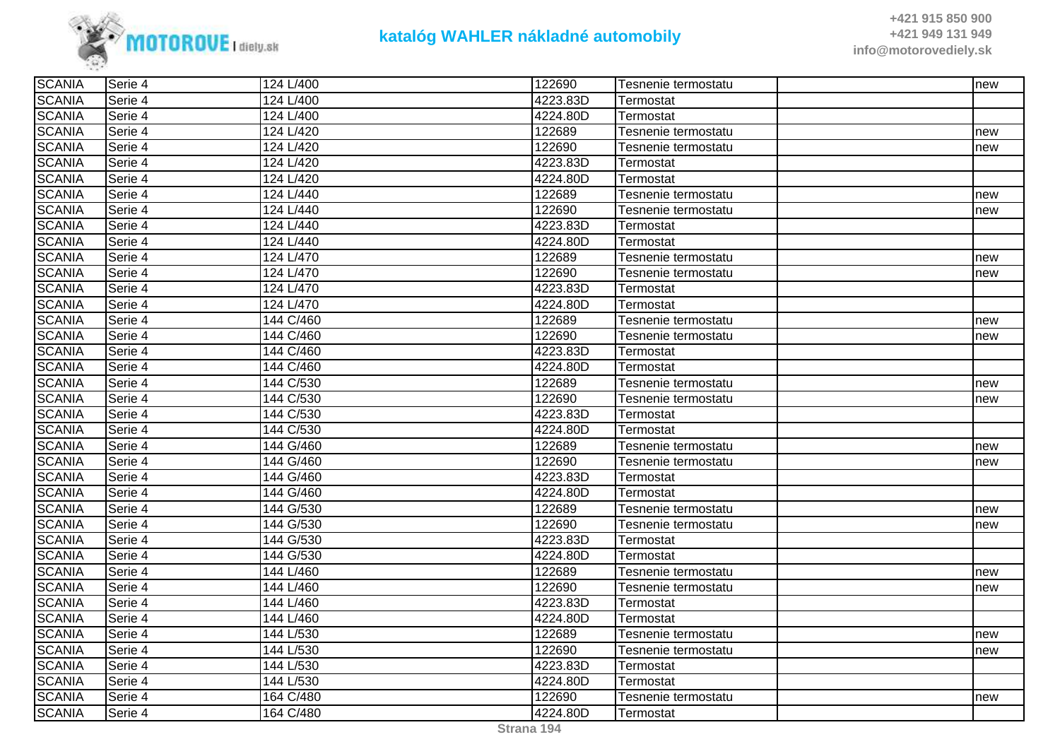

| <b>SCANIA</b> | Serie 4 | 124 L/400 | 122690   | Tesnenie termostatu | new |
|---------------|---------|-----------|----------|---------------------|-----|
| <b>SCANIA</b> | Serie 4 | 124 L/400 | 4223.83D | Termostat           |     |
| <b>SCANIA</b> | Serie 4 | 124 L/400 | 4224.80D | Termostat           |     |
| <b>SCANIA</b> | Serie 4 | 124 L/420 | 122689   | Tesnenie termostatu | new |
| <b>SCANIA</b> | Serie 4 | 124 L/420 | 122690   | Tesnenie termostatu | new |
| <b>SCANIA</b> | Serie 4 | 124 L/420 | 4223.83D | Termostat           |     |
| <b>SCANIA</b> | Serie 4 | 124 L/420 | 4224.80D | Termostat           |     |
| <b>SCANIA</b> | Serie 4 | 124 L/440 | 122689   | Tesnenie termostatu | new |
| <b>SCANIA</b> | Serie 4 | 124 L/440 | 122690   | Tesnenie termostatu | new |
| <b>SCANIA</b> | Serie 4 | 124 L/440 | 4223.83D | Termostat           |     |
| <b>SCANIA</b> | Serie 4 | 124 L/440 | 4224.80D | Termostat           |     |
| <b>SCANIA</b> | Serie 4 | 124 L/470 | 122689   | Tesnenie termostatu | new |
| <b>SCANIA</b> | Serie 4 | 124 L/470 | 122690   | Tesnenie termostatu | new |
| <b>SCANIA</b> | Serie 4 | 124 L/470 | 4223.83D | Termostat           |     |
| <b>SCANIA</b> | Serie 4 | 124 L/470 | 4224.80D | Termostat           |     |
| <b>SCANIA</b> | Serie 4 | 144 C/460 | 122689   | Tesnenie termostatu | new |
| <b>SCANIA</b> | Serie 4 | 144 C/460 | 122690   | Tesnenie termostatu | new |
| <b>SCANIA</b> | Serie 4 | 144 C/460 | 4223.83D | Termostat           |     |
| <b>SCANIA</b> | Serie 4 | 144 C/460 | 4224.80D | Termostat           |     |
| <b>SCANIA</b> | Serie 4 | 144 C/530 | 122689   | Tesnenie termostatu | new |
| <b>SCANIA</b> | Serie 4 | 144 C/530 | 122690   | Tesnenie termostatu | new |
| <b>SCANIA</b> | Serie 4 | 144 C/530 | 4223.83D | Termostat           |     |
| <b>SCANIA</b> | Serie 4 | 144 C/530 | 4224.80D | Termostat           |     |
| <b>SCANIA</b> | Serie 4 | 144 G/460 | 122689   | Tesnenie termostatu | new |
| <b>SCANIA</b> | Serie 4 | 144 G/460 | 122690   | Tesnenie termostatu | new |
| <b>SCANIA</b> | Serie 4 | 144 G/460 | 4223.83D | Termostat           |     |
| <b>SCANIA</b> | Serie 4 | 144 G/460 | 4224.80D | Termostat           |     |
| <b>SCANIA</b> | Serie 4 | 144 G/530 | 122689   | Tesnenie termostatu | new |
| <b>SCANIA</b> | Serie 4 | 144 G/530 | 122690   | Tesnenie termostatu | new |
| <b>SCANIA</b> | Serie 4 | 144 G/530 | 4223.83D | Termostat           |     |
| <b>SCANIA</b> | Serie 4 | 144 G/530 | 4224.80D | Termostat           |     |
| <b>SCANIA</b> | Serie 4 | 144 L/460 | 122689   | Tesnenie termostatu | new |
| <b>SCANIA</b> | Serie 4 | 144 L/460 | 122690   | Tesnenie termostatu | new |
| <b>SCANIA</b> | Serie 4 | 144 L/460 | 4223.83D | Termostat           |     |
| <b>SCANIA</b> | Serie 4 | 144 L/460 | 4224.80D | Termostat           |     |
| <b>SCANIA</b> | Serie 4 | 144 L/530 | 122689   | Tesnenie termostatu | new |
| <b>SCANIA</b> | Serie 4 | 144 L/530 | 122690   | Tesnenie termostatu | new |
| <b>SCANIA</b> | Serie 4 | 144 L/530 | 4223.83D | Termostat           |     |
| <b>SCANIA</b> | Serie 4 | 144 L/530 | 4224.80D | Termostat           |     |
| <b>SCANIA</b> | Serie 4 | 164 C/480 | 122690   | Tesnenie termostatu | new |
| <b>SCANIA</b> | Serie 4 | 164 C/480 | 4224.80D | Termostat           |     |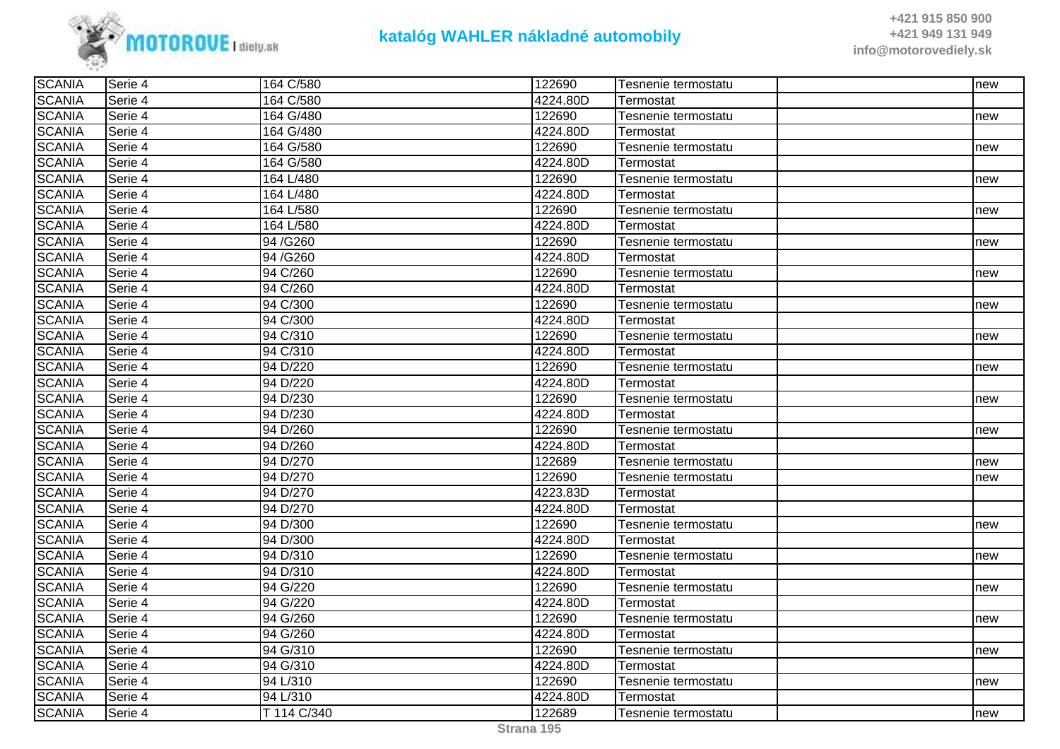

| <b>SCANIA</b> | Serie 4 | 164 C/580   | 122690   | Tesnenie termostatu | Inew |
|---------------|---------|-------------|----------|---------------------|------|
| <b>SCANIA</b> | Serie 4 | 164 C/580   | 4224.80D | Termostat           |      |
| <b>SCANIA</b> | Serie 4 | 164 G/480   | 122690   | Tesnenie termostatu | new  |
| <b>SCANIA</b> | Serie 4 | 164 G/480   | 4224.80D | Termostat           |      |
| <b>SCANIA</b> | Serie 4 | 164 G/580   | 122690   | Tesnenie termostatu | new  |
| <b>SCANIA</b> | Serie 4 | 164 G/580   | 4224.80D | Termostat           |      |
| <b>SCANIA</b> | Serie 4 | 164 L/480   | 122690   | Tesnenie termostatu | new  |
| <b>SCANIA</b> | Serie 4 | 164 L/480   | 4224.80D | Termostat           |      |
| <b>SCANIA</b> | Serie 4 | 164 L/580   | 122690   | Tesnenie termostatu | new  |
| <b>SCANIA</b> | Serie 4 | 164 L/580   | 4224.80D | Termostat           |      |
| <b>SCANIA</b> | Serie 4 | 94/G260     | 122690   | Tesnenie termostatu | new  |
| <b>SCANIA</b> | Serie 4 | 94/G260     | 4224.80D | Termostat           |      |
| <b>SCANIA</b> | Serie 4 | 94 C/260    | 122690   | Tesnenie termostatu | new  |
| <b>SCANIA</b> | Serie 4 | 94 C/260    | 4224.80D | Termostat           |      |
| <b>SCANIA</b> | Serie 4 | 94 C/300    | 122690   | Tesnenie termostatu | new  |
| <b>SCANIA</b> | Serie 4 | 94 C/300    | 4224.80D | Termostat           |      |
| <b>SCANIA</b> | Serie 4 | 94 C/310    | 122690   | Tesnenie termostatu | new  |
| <b>SCANIA</b> | Serie 4 | 94 C/310    | 4224.80D | Termostat           |      |
| <b>SCANIA</b> | Serie 4 | 94 D/220    | 122690   | Tesnenie termostatu | new  |
| <b>SCANIA</b> | Serie 4 | 94 D/220    | 4224.80D | Termostat           |      |
| <b>SCANIA</b> | Serie 4 | 94 D/230    | 122690   | Tesnenie termostatu | new  |
| <b>SCANIA</b> | Serie 4 | 94 D/230    | 4224.80D | Termostat           |      |
| <b>SCANIA</b> | Serie 4 | 94 D/260    | 122690   | Tesnenie termostatu | new  |
| <b>SCANIA</b> | Serie 4 | 94 D/260    | 4224.80D | Termostat           |      |
| <b>SCANIA</b> | Serie 4 | 94 D/270    | 122689   | Tesnenie termostatu | new  |
| <b>SCANIA</b> | Serie 4 | 94 D/270    | 122690   | Tesnenie termostatu | new  |
| <b>SCANIA</b> | Serie 4 | 94 D/270    | 4223.83D | Termostat           |      |
| <b>SCANIA</b> | Serie 4 | 94 D/270    | 4224.80D | Termostat           |      |
| <b>SCANIA</b> | Serie 4 | 94 D/300    | 122690   | Tesnenie termostatu | new  |
| <b>SCANIA</b> | Serie 4 | 94 D/300    | 4224.80D | Termostat           |      |
| <b>SCANIA</b> | Serie 4 | 94 D/310    | 122690   | Tesnenie termostatu | new  |
| <b>SCANIA</b> | Serie 4 | 94 D/310    | 4224.80D | Termostat           |      |
| <b>SCANIA</b> | Serie 4 | 94 G/220    | 122690   | Tesnenie termostatu | new  |
| <b>SCANIA</b> | Serie 4 | 94 G/220    | 4224.80D | Termostat           |      |
| <b>SCANIA</b> | Serie 4 | 94 G/260    | 122690   | Tesnenie termostatu | new  |
| <b>SCANIA</b> | Serie 4 | 94 G/260    | 4224.80D | Termostat           |      |
| <b>SCANIA</b> | Serie 4 | 94 G/310    | 122690   | Tesnenie termostatu | new  |
| <b>SCANIA</b> | Serie 4 | 94 G/310    | 4224.80D | Termostat           |      |
| <b>SCANIA</b> | Serie 4 | 94 L/310    | 122690   | Tesnenie termostatu | new  |
| <b>SCANIA</b> | Serie 4 | 94 L/310    | 4224.80D | Termostat           |      |
| <b>SCANIA</b> | Serie 4 | T 114 C/340 | 122689   | Tesnenie termostatu | new  |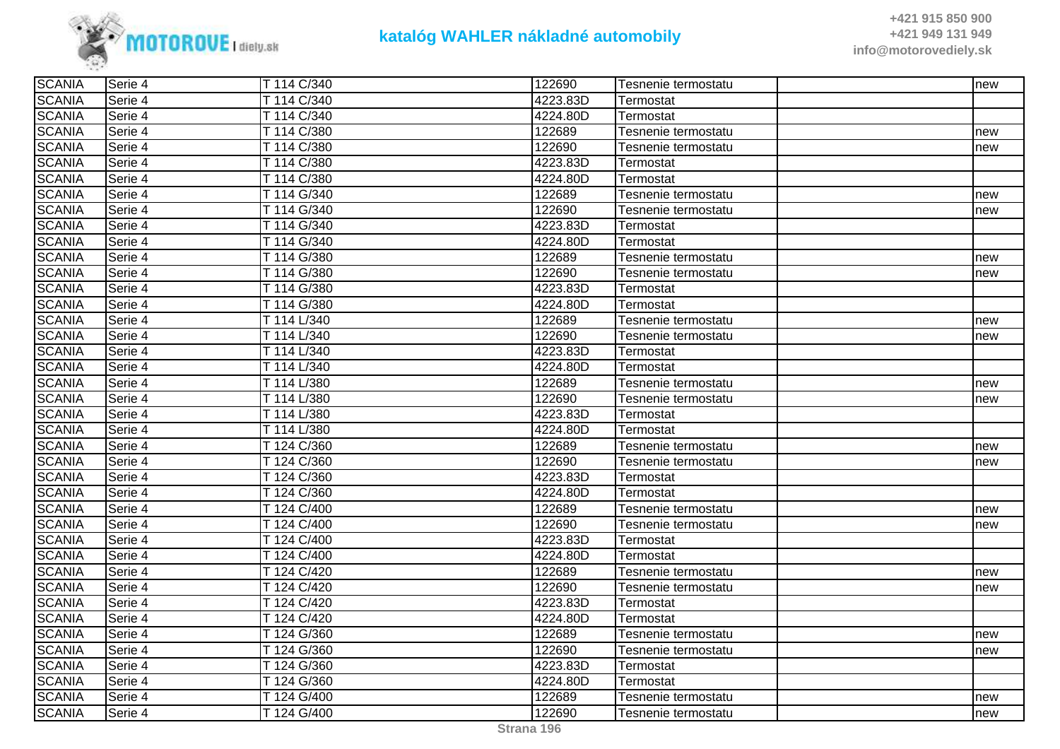

| <b>SCANIA</b> | Serie 4 | T 114 C/340 | 122690   | Tesnenie termostatu | new |
|---------------|---------|-------------|----------|---------------------|-----|
| <b>SCANIA</b> | Serie 4 | T 114 C/340 | 4223.83D | Termostat           |     |
| <b>SCANIA</b> | Serie 4 | T 114 C/340 | 4224.80D | Termostat           |     |
| <b>SCANIA</b> | Serie 4 | T 114 C/380 | 122689   | Tesnenie termostatu | new |
| <b>SCANIA</b> | Serie 4 | T 114 C/380 | 122690   | Tesnenie termostatu | new |
| <b>SCANIA</b> | Serie 4 | T 114 C/380 | 4223.83D | Termostat           |     |
| <b>SCANIA</b> | Serie 4 | T 114 C/380 | 4224.80D | Termostat           |     |
| <b>SCANIA</b> | Serie 4 | T 114 G/340 | 122689   | Tesnenie termostatu | new |
| <b>SCANIA</b> | Serie 4 | T 114 G/340 | 122690   | Tesnenie termostatu | new |
| <b>SCANIA</b> | Serie 4 | T 114 G/340 | 4223.83D | Termostat           |     |
| <b>SCANIA</b> | Serie 4 | T 114 G/340 | 4224.80D | Termostat           |     |
| <b>SCANIA</b> | Serie 4 | T 114 G/380 | 122689   | Tesnenie termostatu | new |
| <b>SCANIA</b> | Serie 4 | T 114 G/380 | 122690   | Tesnenie termostatu | new |
| <b>SCANIA</b> | Serie 4 | T 114 G/380 | 4223.83D | Termostat           |     |
| <b>SCANIA</b> | Serie 4 | T 114 G/380 | 4224.80D | Termostat           |     |
| <b>SCANIA</b> | Serie 4 | T 114 L/340 | 122689   | Tesnenie termostatu | new |
| <b>SCANIA</b> | Serie 4 | T 114 L/340 | 122690   | Tesnenie termostatu | new |
| <b>SCANIA</b> | Serie 4 | T 114 L/340 | 4223.83D | Termostat           |     |
| <b>SCANIA</b> | Serie 4 | T 114 L/340 | 4224.80D | Termostat           |     |
| <b>SCANIA</b> | Serie 4 | T 114 L/380 | 122689   | Tesnenie termostatu | new |
| <b>SCANIA</b> | Serie 4 | T 114 L/380 | 122690   | Tesnenie termostatu | new |
| <b>SCANIA</b> | Serie 4 | T 114 L/380 | 4223.83D | Termostat           |     |
| <b>SCANIA</b> | Serie 4 | T 114 L/380 | 4224.80D | Termostat           |     |
| <b>SCANIA</b> | Serie 4 | T 124 C/360 | 122689   | Tesnenie termostatu | new |
| <b>SCANIA</b> | Serie 4 | T 124 C/360 | 122690   | Tesnenie termostatu | new |
| <b>SCANIA</b> | Serie 4 | T 124 C/360 | 4223.83D | Termostat           |     |
| <b>SCANIA</b> | Serie 4 | T 124 C/360 | 4224.80D | Termostat           |     |
| <b>SCANIA</b> | Serie 4 | T 124 C/400 | 122689   | Tesnenie termostatu | new |
| <b>SCANIA</b> | Serie 4 | T 124 C/400 | 122690   | Tesnenie termostatu | new |
| <b>SCANIA</b> | Serie 4 | T 124 C/400 | 4223.83D | Termostat           |     |
| <b>SCANIA</b> | Serie 4 | T 124 C/400 | 4224.80D | Termostat           |     |
| <b>SCANIA</b> | Serie 4 | T 124 C/420 | 122689   | Tesnenie termostatu | new |
| <b>SCANIA</b> | Serie 4 | T 124 C/420 | 122690   | Tesnenie termostatu | new |
| <b>SCANIA</b> | Serie 4 | T 124 C/420 | 4223.83D | Termostat           |     |
| <b>SCANIA</b> | Serie 4 | T 124 C/420 | 4224.80D | Termostat           |     |
| <b>SCANIA</b> | Serie 4 | T 124 G/360 | 122689   | Tesnenie termostatu | new |
| <b>SCANIA</b> | Serie 4 | T 124 G/360 | 122690   | Tesnenie termostatu | new |
| <b>SCANIA</b> | Serie 4 | T 124 G/360 | 4223.83D | Termostat           |     |
| <b>SCANIA</b> | Serie 4 | T 124 G/360 | 4224.80D | Termostat           |     |
| <b>SCANIA</b> | Serie 4 | T 124 G/400 | 122689   | Tesnenie termostatu | new |
| <b>SCANIA</b> | Serie 4 | T 124 G/400 | 122690   | Tesnenie termostatu | new |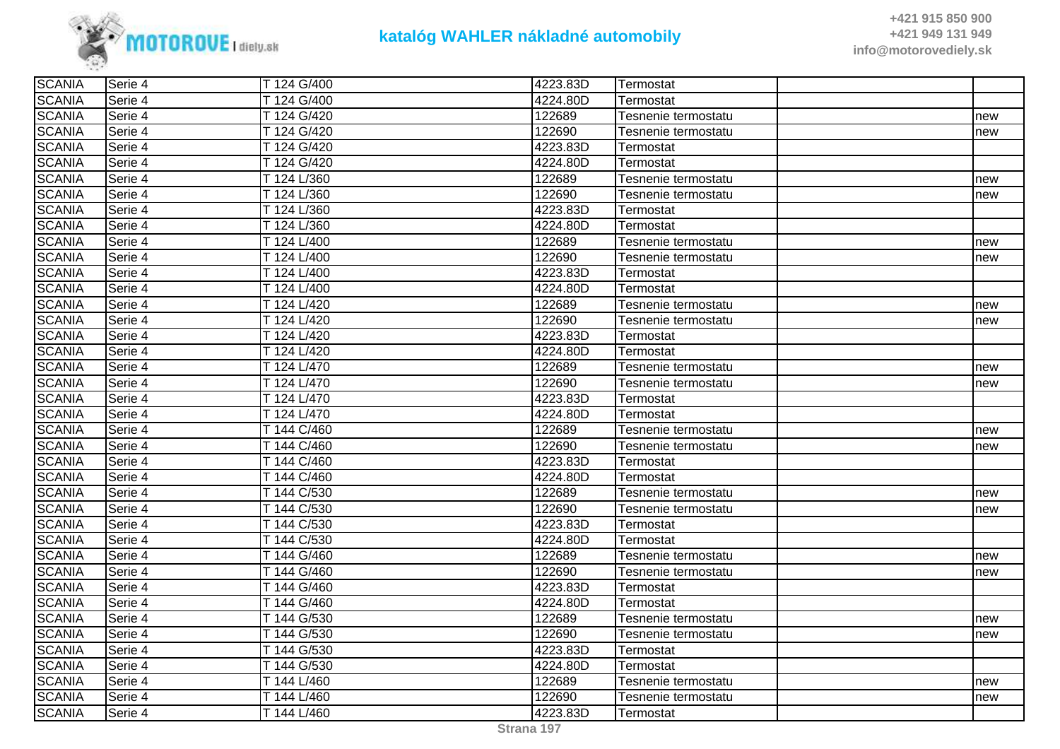

| <b>SCANIA</b><br>T 124 G/400<br>4224.80D<br>Serie 4<br>Termostat<br><b>SCANIA</b><br>T 124 G/420<br>122689<br>Serie 4<br>Tesnenie termostatu<br>new<br><b>SCANIA</b><br>T 124 G/420<br>122690<br>Serie 4<br>Tesnenie termostatu<br>new<br>4223.83D<br><b>SCANIA</b><br>T 124 G/420<br>Serie 4<br>Termostat<br><b>SCANIA</b><br>T 124 G/420<br>4224.80D<br>Serie 4<br>Termostat<br><b>SCANIA</b><br>T 124 L/360<br>122689<br>Serie 4<br>Tesnenie termostatu<br>new<br><b>SCANIA</b><br>122690<br>T 124 L/360<br>Serie 4<br>Tesnenie termostatu<br>new<br><b>SCANIA</b><br>4223.83D<br>T 124 L/360<br>Serie 4<br>Termostat<br><b>SCANIA</b><br>T 124 L/360<br>4224.80D<br>Serie 4<br>Termostat<br><b>SCANIA</b><br>122689<br>Serie 4<br>T 124 L/400<br>Tesnenie termostatu<br>new<br><b>SCANIA</b><br>122690<br>Serie 4<br>T 124 L/400<br>Tesnenie termostatu<br>new<br><b>SCANIA</b><br>4223.83D<br>Serie 4<br>T 124 L/400<br>Termostat<br><b>SCANIA</b><br>4224.80D<br>Serie 4<br>T 124 L/400<br>Termostat<br><b>SCANIA</b><br>T 124 L/420<br>122689<br>Serie 4<br>Tesnenie termostatu<br>new<br><b>SCANIA</b><br>122690<br>T 124 L/420<br>Serie 4<br>Tesnenie termostatu<br>new<br><b>SCANIA</b><br>4223.83D<br>T 124 L/420<br>Serie 4<br>Termostat<br><b>SCANIA</b><br>4224.80D<br>T 124 L/420<br>Serie 4<br>Termostat<br><b>SCANIA</b><br>T 124 L/470<br>122689<br>Serie 4<br>Tesnenie termostatu<br>new<br><b>SCANIA</b><br>122690<br>T 124 L/470<br>Serie 4<br>Tesnenie termostatu<br>new<br><b>SCANIA</b><br>4223.83D<br>Serie 4<br>T 124 L/470<br>Termostat<br><b>SCANIA</b><br>4224.80D<br>Serie 4<br>T 124 L/470<br>Termostat<br><b>SCANIA</b><br>T 144 C/460<br>122689<br>Serie 4<br>Tesnenie termostatu<br>new<br><b>SCANIA</b><br>T 144 C/460<br>122690<br>Serie 4<br>Tesnenie termostatu<br>new<br><b>SCANIA</b><br>4223.83D<br>T 144 C/460<br>Serie 4<br>Termostat<br><b>SCANIA</b><br>T 144 C/460<br>4224.80D<br>Serie 4<br>Termostat<br><b>SCANIA</b><br>122689<br>Serie 4<br>T 144 C/530<br>Tesnenie termostatu<br>new<br><b>SCANIA</b><br>T 144 C/530<br>122690<br>Serie 4<br>Tesnenie termostatu<br>new<br><b>SCANIA</b><br>4223.83D<br>T 144 C/530<br>Serie 4<br>Termostat<br><b>SCANIA</b><br>T 144 C/530<br>4224.80D<br>Serie 4<br>Termostat<br><b>SCANIA</b><br>T 144 G/460<br>122689<br>Serie 4<br>Tesnenie termostatu<br>new<br><b>SCANIA</b><br>122690<br>T 144 G/460<br>Serie 4<br>Tesnenie termostatu<br>new<br><b>SCANIA</b><br>T 144 G/460<br>4223.83D<br>Serie 4<br>Termostat<br><b>SCANIA</b><br>T 144 G/460<br>Serie 4<br>4224.80D<br>Termostat<br><b>SCANIA</b><br>T 144 G/530<br>122689<br>Serie 4<br>Tesnenie termostatu<br>new<br><b>SCANIA</b><br>122690<br>T 144 G/530<br>Serie 4<br>Tesnenie termostatu<br>new<br><b>SCANIA</b><br>4223.83D<br>T 144 G/530<br>Serie 4<br>Termostat<br><b>SCANIA</b><br>T 144 G/530<br>4224.80D<br>Serie 4<br>Termostat<br><b>SCANIA</b><br>122689<br>T 144 L/460<br>Serie 4<br>Tesnenie termostatu<br>new<br><b>SCANIA</b><br>T 144 L/460<br>122690<br>Serie 4<br>Tesnenie termostatu<br>new<br><b>SCANIA</b><br>4223.83D<br>T 144 L/460<br>Serie 4<br>Termostat | <b>SCANIA</b> | ISerie 4 | T 124 G/400 | 4223.83D | <b>ITermostat</b> |  |
|------------------------------------------------------------------------------------------------------------------------------------------------------------------------------------------------------------------------------------------------------------------------------------------------------------------------------------------------------------------------------------------------------------------------------------------------------------------------------------------------------------------------------------------------------------------------------------------------------------------------------------------------------------------------------------------------------------------------------------------------------------------------------------------------------------------------------------------------------------------------------------------------------------------------------------------------------------------------------------------------------------------------------------------------------------------------------------------------------------------------------------------------------------------------------------------------------------------------------------------------------------------------------------------------------------------------------------------------------------------------------------------------------------------------------------------------------------------------------------------------------------------------------------------------------------------------------------------------------------------------------------------------------------------------------------------------------------------------------------------------------------------------------------------------------------------------------------------------------------------------------------------------------------------------------------------------------------------------------------------------------------------------------------------------------------------------------------------------------------------------------------------------------------------------------------------------------------------------------------------------------------------------------------------------------------------------------------------------------------------------------------------------------------------------------------------------------------------------------------------------------------------------------------------------------------------------------------------------------------------------------------------------------------------------------------------------------------------------------------------------------------------------------------------------------------------------------------------------------------------------------------------------------------------------------------------------------------------------------------------------------------------------------------------------------------------------------------------------------------------------------------------|---------------|----------|-------------|----------|-------------------|--|
|                                                                                                                                                                                                                                                                                                                                                                                                                                                                                                                                                                                                                                                                                                                                                                                                                                                                                                                                                                                                                                                                                                                                                                                                                                                                                                                                                                                                                                                                                                                                                                                                                                                                                                                                                                                                                                                                                                                                                                                                                                                                                                                                                                                                                                                                                                                                                                                                                                                                                                                                                                                                                                                                                                                                                                                                                                                                                                                                                                                                                                                                                                                                          |               |          |             |          |                   |  |
|                                                                                                                                                                                                                                                                                                                                                                                                                                                                                                                                                                                                                                                                                                                                                                                                                                                                                                                                                                                                                                                                                                                                                                                                                                                                                                                                                                                                                                                                                                                                                                                                                                                                                                                                                                                                                                                                                                                                                                                                                                                                                                                                                                                                                                                                                                                                                                                                                                                                                                                                                                                                                                                                                                                                                                                                                                                                                                                                                                                                                                                                                                                                          |               |          |             |          |                   |  |
|                                                                                                                                                                                                                                                                                                                                                                                                                                                                                                                                                                                                                                                                                                                                                                                                                                                                                                                                                                                                                                                                                                                                                                                                                                                                                                                                                                                                                                                                                                                                                                                                                                                                                                                                                                                                                                                                                                                                                                                                                                                                                                                                                                                                                                                                                                                                                                                                                                                                                                                                                                                                                                                                                                                                                                                                                                                                                                                                                                                                                                                                                                                                          |               |          |             |          |                   |  |
|                                                                                                                                                                                                                                                                                                                                                                                                                                                                                                                                                                                                                                                                                                                                                                                                                                                                                                                                                                                                                                                                                                                                                                                                                                                                                                                                                                                                                                                                                                                                                                                                                                                                                                                                                                                                                                                                                                                                                                                                                                                                                                                                                                                                                                                                                                                                                                                                                                                                                                                                                                                                                                                                                                                                                                                                                                                                                                                                                                                                                                                                                                                                          |               |          |             |          |                   |  |
|                                                                                                                                                                                                                                                                                                                                                                                                                                                                                                                                                                                                                                                                                                                                                                                                                                                                                                                                                                                                                                                                                                                                                                                                                                                                                                                                                                                                                                                                                                                                                                                                                                                                                                                                                                                                                                                                                                                                                                                                                                                                                                                                                                                                                                                                                                                                                                                                                                                                                                                                                                                                                                                                                                                                                                                                                                                                                                                                                                                                                                                                                                                                          |               |          |             |          |                   |  |
|                                                                                                                                                                                                                                                                                                                                                                                                                                                                                                                                                                                                                                                                                                                                                                                                                                                                                                                                                                                                                                                                                                                                                                                                                                                                                                                                                                                                                                                                                                                                                                                                                                                                                                                                                                                                                                                                                                                                                                                                                                                                                                                                                                                                                                                                                                                                                                                                                                                                                                                                                                                                                                                                                                                                                                                                                                                                                                                                                                                                                                                                                                                                          |               |          |             |          |                   |  |
|                                                                                                                                                                                                                                                                                                                                                                                                                                                                                                                                                                                                                                                                                                                                                                                                                                                                                                                                                                                                                                                                                                                                                                                                                                                                                                                                                                                                                                                                                                                                                                                                                                                                                                                                                                                                                                                                                                                                                                                                                                                                                                                                                                                                                                                                                                                                                                                                                                                                                                                                                                                                                                                                                                                                                                                                                                                                                                                                                                                                                                                                                                                                          |               |          |             |          |                   |  |
|                                                                                                                                                                                                                                                                                                                                                                                                                                                                                                                                                                                                                                                                                                                                                                                                                                                                                                                                                                                                                                                                                                                                                                                                                                                                                                                                                                                                                                                                                                                                                                                                                                                                                                                                                                                                                                                                                                                                                                                                                                                                                                                                                                                                                                                                                                                                                                                                                                                                                                                                                                                                                                                                                                                                                                                                                                                                                                                                                                                                                                                                                                                                          |               |          |             |          |                   |  |
|                                                                                                                                                                                                                                                                                                                                                                                                                                                                                                                                                                                                                                                                                                                                                                                                                                                                                                                                                                                                                                                                                                                                                                                                                                                                                                                                                                                                                                                                                                                                                                                                                                                                                                                                                                                                                                                                                                                                                                                                                                                                                                                                                                                                                                                                                                                                                                                                                                                                                                                                                                                                                                                                                                                                                                                                                                                                                                                                                                                                                                                                                                                                          |               |          |             |          |                   |  |
|                                                                                                                                                                                                                                                                                                                                                                                                                                                                                                                                                                                                                                                                                                                                                                                                                                                                                                                                                                                                                                                                                                                                                                                                                                                                                                                                                                                                                                                                                                                                                                                                                                                                                                                                                                                                                                                                                                                                                                                                                                                                                                                                                                                                                                                                                                                                                                                                                                                                                                                                                                                                                                                                                                                                                                                                                                                                                                                                                                                                                                                                                                                                          |               |          |             |          |                   |  |
|                                                                                                                                                                                                                                                                                                                                                                                                                                                                                                                                                                                                                                                                                                                                                                                                                                                                                                                                                                                                                                                                                                                                                                                                                                                                                                                                                                                                                                                                                                                                                                                                                                                                                                                                                                                                                                                                                                                                                                                                                                                                                                                                                                                                                                                                                                                                                                                                                                                                                                                                                                                                                                                                                                                                                                                                                                                                                                                                                                                                                                                                                                                                          |               |          |             |          |                   |  |
|                                                                                                                                                                                                                                                                                                                                                                                                                                                                                                                                                                                                                                                                                                                                                                                                                                                                                                                                                                                                                                                                                                                                                                                                                                                                                                                                                                                                                                                                                                                                                                                                                                                                                                                                                                                                                                                                                                                                                                                                                                                                                                                                                                                                                                                                                                                                                                                                                                                                                                                                                                                                                                                                                                                                                                                                                                                                                                                                                                                                                                                                                                                                          |               |          |             |          |                   |  |
|                                                                                                                                                                                                                                                                                                                                                                                                                                                                                                                                                                                                                                                                                                                                                                                                                                                                                                                                                                                                                                                                                                                                                                                                                                                                                                                                                                                                                                                                                                                                                                                                                                                                                                                                                                                                                                                                                                                                                                                                                                                                                                                                                                                                                                                                                                                                                                                                                                                                                                                                                                                                                                                                                                                                                                                                                                                                                                                                                                                                                                                                                                                                          |               |          |             |          |                   |  |
|                                                                                                                                                                                                                                                                                                                                                                                                                                                                                                                                                                                                                                                                                                                                                                                                                                                                                                                                                                                                                                                                                                                                                                                                                                                                                                                                                                                                                                                                                                                                                                                                                                                                                                                                                                                                                                                                                                                                                                                                                                                                                                                                                                                                                                                                                                                                                                                                                                                                                                                                                                                                                                                                                                                                                                                                                                                                                                                                                                                                                                                                                                                                          |               |          |             |          |                   |  |
|                                                                                                                                                                                                                                                                                                                                                                                                                                                                                                                                                                                                                                                                                                                                                                                                                                                                                                                                                                                                                                                                                                                                                                                                                                                                                                                                                                                                                                                                                                                                                                                                                                                                                                                                                                                                                                                                                                                                                                                                                                                                                                                                                                                                                                                                                                                                                                                                                                                                                                                                                                                                                                                                                                                                                                                                                                                                                                                                                                                                                                                                                                                                          |               |          |             |          |                   |  |
|                                                                                                                                                                                                                                                                                                                                                                                                                                                                                                                                                                                                                                                                                                                                                                                                                                                                                                                                                                                                                                                                                                                                                                                                                                                                                                                                                                                                                                                                                                                                                                                                                                                                                                                                                                                                                                                                                                                                                                                                                                                                                                                                                                                                                                                                                                                                                                                                                                                                                                                                                                                                                                                                                                                                                                                                                                                                                                                                                                                                                                                                                                                                          |               |          |             |          |                   |  |
|                                                                                                                                                                                                                                                                                                                                                                                                                                                                                                                                                                                                                                                                                                                                                                                                                                                                                                                                                                                                                                                                                                                                                                                                                                                                                                                                                                                                                                                                                                                                                                                                                                                                                                                                                                                                                                                                                                                                                                                                                                                                                                                                                                                                                                                                                                                                                                                                                                                                                                                                                                                                                                                                                                                                                                                                                                                                                                                                                                                                                                                                                                                                          |               |          |             |          |                   |  |
|                                                                                                                                                                                                                                                                                                                                                                                                                                                                                                                                                                                                                                                                                                                                                                                                                                                                                                                                                                                                                                                                                                                                                                                                                                                                                                                                                                                                                                                                                                                                                                                                                                                                                                                                                                                                                                                                                                                                                                                                                                                                                                                                                                                                                                                                                                                                                                                                                                                                                                                                                                                                                                                                                                                                                                                                                                                                                                                                                                                                                                                                                                                                          |               |          |             |          |                   |  |
|                                                                                                                                                                                                                                                                                                                                                                                                                                                                                                                                                                                                                                                                                                                                                                                                                                                                                                                                                                                                                                                                                                                                                                                                                                                                                                                                                                                                                                                                                                                                                                                                                                                                                                                                                                                                                                                                                                                                                                                                                                                                                                                                                                                                                                                                                                                                                                                                                                                                                                                                                                                                                                                                                                                                                                                                                                                                                                                                                                                                                                                                                                                                          |               |          |             |          |                   |  |
|                                                                                                                                                                                                                                                                                                                                                                                                                                                                                                                                                                                                                                                                                                                                                                                                                                                                                                                                                                                                                                                                                                                                                                                                                                                                                                                                                                                                                                                                                                                                                                                                                                                                                                                                                                                                                                                                                                                                                                                                                                                                                                                                                                                                                                                                                                                                                                                                                                                                                                                                                                                                                                                                                                                                                                                                                                                                                                                                                                                                                                                                                                                                          |               |          |             |          |                   |  |
|                                                                                                                                                                                                                                                                                                                                                                                                                                                                                                                                                                                                                                                                                                                                                                                                                                                                                                                                                                                                                                                                                                                                                                                                                                                                                                                                                                                                                                                                                                                                                                                                                                                                                                                                                                                                                                                                                                                                                                                                                                                                                                                                                                                                                                                                                                                                                                                                                                                                                                                                                                                                                                                                                                                                                                                                                                                                                                                                                                                                                                                                                                                                          |               |          |             |          |                   |  |
|                                                                                                                                                                                                                                                                                                                                                                                                                                                                                                                                                                                                                                                                                                                                                                                                                                                                                                                                                                                                                                                                                                                                                                                                                                                                                                                                                                                                                                                                                                                                                                                                                                                                                                                                                                                                                                                                                                                                                                                                                                                                                                                                                                                                                                                                                                                                                                                                                                                                                                                                                                                                                                                                                                                                                                                                                                                                                                                                                                                                                                                                                                                                          |               |          |             |          |                   |  |
|                                                                                                                                                                                                                                                                                                                                                                                                                                                                                                                                                                                                                                                                                                                                                                                                                                                                                                                                                                                                                                                                                                                                                                                                                                                                                                                                                                                                                                                                                                                                                                                                                                                                                                                                                                                                                                                                                                                                                                                                                                                                                                                                                                                                                                                                                                                                                                                                                                                                                                                                                                                                                                                                                                                                                                                                                                                                                                                                                                                                                                                                                                                                          |               |          |             |          |                   |  |
|                                                                                                                                                                                                                                                                                                                                                                                                                                                                                                                                                                                                                                                                                                                                                                                                                                                                                                                                                                                                                                                                                                                                                                                                                                                                                                                                                                                                                                                                                                                                                                                                                                                                                                                                                                                                                                                                                                                                                                                                                                                                                                                                                                                                                                                                                                                                                                                                                                                                                                                                                                                                                                                                                                                                                                                                                                                                                                                                                                                                                                                                                                                                          |               |          |             |          |                   |  |
|                                                                                                                                                                                                                                                                                                                                                                                                                                                                                                                                                                                                                                                                                                                                                                                                                                                                                                                                                                                                                                                                                                                                                                                                                                                                                                                                                                                                                                                                                                                                                                                                                                                                                                                                                                                                                                                                                                                                                                                                                                                                                                                                                                                                                                                                                                                                                                                                                                                                                                                                                                                                                                                                                                                                                                                                                                                                                                                                                                                                                                                                                                                                          |               |          |             |          |                   |  |
|                                                                                                                                                                                                                                                                                                                                                                                                                                                                                                                                                                                                                                                                                                                                                                                                                                                                                                                                                                                                                                                                                                                                                                                                                                                                                                                                                                                                                                                                                                                                                                                                                                                                                                                                                                                                                                                                                                                                                                                                                                                                                                                                                                                                                                                                                                                                                                                                                                                                                                                                                                                                                                                                                                                                                                                                                                                                                                                                                                                                                                                                                                                                          |               |          |             |          |                   |  |
|                                                                                                                                                                                                                                                                                                                                                                                                                                                                                                                                                                                                                                                                                                                                                                                                                                                                                                                                                                                                                                                                                                                                                                                                                                                                                                                                                                                                                                                                                                                                                                                                                                                                                                                                                                                                                                                                                                                                                                                                                                                                                                                                                                                                                                                                                                                                                                                                                                                                                                                                                                                                                                                                                                                                                                                                                                                                                                                                                                                                                                                                                                                                          |               |          |             |          |                   |  |
|                                                                                                                                                                                                                                                                                                                                                                                                                                                                                                                                                                                                                                                                                                                                                                                                                                                                                                                                                                                                                                                                                                                                                                                                                                                                                                                                                                                                                                                                                                                                                                                                                                                                                                                                                                                                                                                                                                                                                                                                                                                                                                                                                                                                                                                                                                                                                                                                                                                                                                                                                                                                                                                                                                                                                                                                                                                                                                                                                                                                                                                                                                                                          |               |          |             |          |                   |  |
|                                                                                                                                                                                                                                                                                                                                                                                                                                                                                                                                                                                                                                                                                                                                                                                                                                                                                                                                                                                                                                                                                                                                                                                                                                                                                                                                                                                                                                                                                                                                                                                                                                                                                                                                                                                                                                                                                                                                                                                                                                                                                                                                                                                                                                                                                                                                                                                                                                                                                                                                                                                                                                                                                                                                                                                                                                                                                                                                                                                                                                                                                                                                          |               |          |             |          |                   |  |
|                                                                                                                                                                                                                                                                                                                                                                                                                                                                                                                                                                                                                                                                                                                                                                                                                                                                                                                                                                                                                                                                                                                                                                                                                                                                                                                                                                                                                                                                                                                                                                                                                                                                                                                                                                                                                                                                                                                                                                                                                                                                                                                                                                                                                                                                                                                                                                                                                                                                                                                                                                                                                                                                                                                                                                                                                                                                                                                                                                                                                                                                                                                                          |               |          |             |          |                   |  |
|                                                                                                                                                                                                                                                                                                                                                                                                                                                                                                                                                                                                                                                                                                                                                                                                                                                                                                                                                                                                                                                                                                                                                                                                                                                                                                                                                                                                                                                                                                                                                                                                                                                                                                                                                                                                                                                                                                                                                                                                                                                                                                                                                                                                                                                                                                                                                                                                                                                                                                                                                                                                                                                                                                                                                                                                                                                                                                                                                                                                                                                                                                                                          |               |          |             |          |                   |  |
|                                                                                                                                                                                                                                                                                                                                                                                                                                                                                                                                                                                                                                                                                                                                                                                                                                                                                                                                                                                                                                                                                                                                                                                                                                                                                                                                                                                                                                                                                                                                                                                                                                                                                                                                                                                                                                                                                                                                                                                                                                                                                                                                                                                                                                                                                                                                                                                                                                                                                                                                                                                                                                                                                                                                                                                                                                                                                                                                                                                                                                                                                                                                          |               |          |             |          |                   |  |
|                                                                                                                                                                                                                                                                                                                                                                                                                                                                                                                                                                                                                                                                                                                                                                                                                                                                                                                                                                                                                                                                                                                                                                                                                                                                                                                                                                                                                                                                                                                                                                                                                                                                                                                                                                                                                                                                                                                                                                                                                                                                                                                                                                                                                                                                                                                                                                                                                                                                                                                                                                                                                                                                                                                                                                                                                                                                                                                                                                                                                                                                                                                                          |               |          |             |          |                   |  |
|                                                                                                                                                                                                                                                                                                                                                                                                                                                                                                                                                                                                                                                                                                                                                                                                                                                                                                                                                                                                                                                                                                                                                                                                                                                                                                                                                                                                                                                                                                                                                                                                                                                                                                                                                                                                                                                                                                                                                                                                                                                                                                                                                                                                                                                                                                                                                                                                                                                                                                                                                                                                                                                                                                                                                                                                                                                                                                                                                                                                                                                                                                                                          |               |          |             |          |                   |  |
|                                                                                                                                                                                                                                                                                                                                                                                                                                                                                                                                                                                                                                                                                                                                                                                                                                                                                                                                                                                                                                                                                                                                                                                                                                                                                                                                                                                                                                                                                                                                                                                                                                                                                                                                                                                                                                                                                                                                                                                                                                                                                                                                                                                                                                                                                                                                                                                                                                                                                                                                                                                                                                                                                                                                                                                                                                                                                                                                                                                                                                                                                                                                          |               |          |             |          |                   |  |
|                                                                                                                                                                                                                                                                                                                                                                                                                                                                                                                                                                                                                                                                                                                                                                                                                                                                                                                                                                                                                                                                                                                                                                                                                                                                                                                                                                                                                                                                                                                                                                                                                                                                                                                                                                                                                                                                                                                                                                                                                                                                                                                                                                                                                                                                                                                                                                                                                                                                                                                                                                                                                                                                                                                                                                                                                                                                                                                                                                                                                                                                                                                                          |               |          |             |          |                   |  |
|                                                                                                                                                                                                                                                                                                                                                                                                                                                                                                                                                                                                                                                                                                                                                                                                                                                                                                                                                                                                                                                                                                                                                                                                                                                                                                                                                                                                                                                                                                                                                                                                                                                                                                                                                                                                                                                                                                                                                                                                                                                                                                                                                                                                                                                                                                                                                                                                                                                                                                                                                                                                                                                                                                                                                                                                                                                                                                                                                                                                                                                                                                                                          |               |          |             |          |                   |  |
|                                                                                                                                                                                                                                                                                                                                                                                                                                                                                                                                                                                                                                                                                                                                                                                                                                                                                                                                                                                                                                                                                                                                                                                                                                                                                                                                                                                                                                                                                                                                                                                                                                                                                                                                                                                                                                                                                                                                                                                                                                                                                                                                                                                                                                                                                                                                                                                                                                                                                                                                                                                                                                                                                                                                                                                                                                                                                                                                                                                                                                                                                                                                          |               |          |             |          |                   |  |
|                                                                                                                                                                                                                                                                                                                                                                                                                                                                                                                                                                                                                                                                                                                                                                                                                                                                                                                                                                                                                                                                                                                                                                                                                                                                                                                                                                                                                                                                                                                                                                                                                                                                                                                                                                                                                                                                                                                                                                                                                                                                                                                                                                                                                                                                                                                                                                                                                                                                                                                                                                                                                                                                                                                                                                                                                                                                                                                                                                                                                                                                                                                                          |               |          |             |          |                   |  |
|                                                                                                                                                                                                                                                                                                                                                                                                                                                                                                                                                                                                                                                                                                                                                                                                                                                                                                                                                                                                                                                                                                                                                                                                                                                                                                                                                                                                                                                                                                                                                                                                                                                                                                                                                                                                                                                                                                                                                                                                                                                                                                                                                                                                                                                                                                                                                                                                                                                                                                                                                                                                                                                                                                                                                                                                                                                                                                                                                                                                                                                                                                                                          |               |          |             |          |                   |  |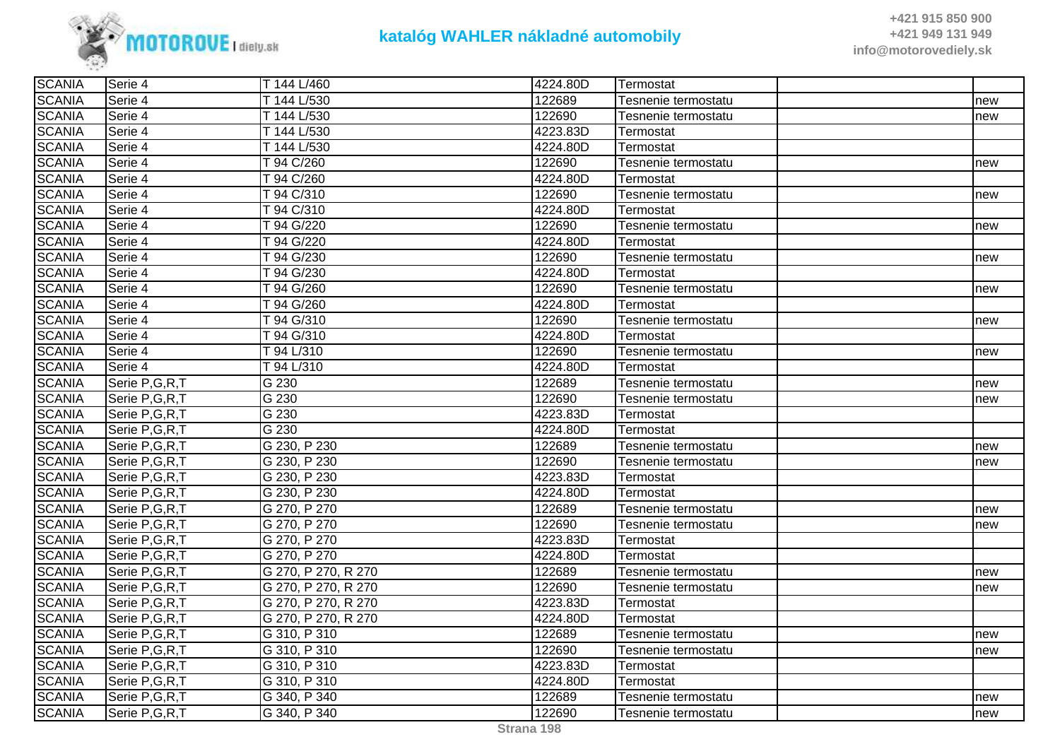

| <b>SCANIA</b> | Serie 4          | T 144 L/460         | 4224.80D | Termostat           |     |
|---------------|------------------|---------------------|----------|---------------------|-----|
| <b>SCANIA</b> | Serie 4          | T 144 L/530         | 122689   | Tesnenie termostatu | new |
| <b>SCANIA</b> | Serie 4          | T 144 L/530         | 122690   | Tesnenie termostatu | new |
| <b>SCANIA</b> | Serie 4          | T 144 L/530         | 4223.83D | Termostat           |     |
| <b>SCANIA</b> | Serie 4          | T 144 L/530         | 4224.80D | Termostat           |     |
| <b>SCANIA</b> | Serie 4          | T 94 C/260          | 122690   | Tesnenie termostatu | new |
| <b>SCANIA</b> | Serie 4          | T 94 C/260          | 4224.80D | Termostat           |     |
| <b>SCANIA</b> | Serie 4          | T 94 C/310          | 122690   | Tesnenie termostatu | new |
| <b>SCANIA</b> | Serie 4          | T 94 C/310          | 4224.80D | Termostat           |     |
| <b>SCANIA</b> | Serie 4          | T 94 G/220          | 122690   | Tesnenie termostatu | new |
| <b>SCANIA</b> | Serie 4          | T 94 G/220          | 4224.80D | Termostat           |     |
| <b>SCANIA</b> | Serie 4          | T 94 G/230          | 122690   | Tesnenie termostatu | new |
| <b>SCANIA</b> | Serie 4          | T 94 G/230          | 4224.80D | Termostat           |     |
| <b>SCANIA</b> | Serie 4          | T 94 G/260          | 122690   | Tesnenie termostatu | new |
| <b>SCANIA</b> | Serie 4          | T 94 G/260          | 4224.80D | Termostat           |     |
| <b>SCANIA</b> | Serie 4          | T 94 G/310          | 122690   | Tesnenie termostatu | new |
| <b>SCANIA</b> | Serie 4          | T 94 G/310          | 4224.80D | Termostat           |     |
| <b>SCANIA</b> | Serie 4          | T 94 L/310          | 122690   | Tesnenie termostatu | new |
| <b>SCANIA</b> | Serie 4          | T 94 L/310          | 4224.80D | Termostat           |     |
| <b>SCANIA</b> | Serie P,G,R,T    | G 230               | 122689   | Tesnenie termostatu | new |
| <b>SCANIA</b> | Serie P,G,R,T    | $\overline{G}$ 230  | 122690   | Tesnenie termostatu | new |
| <b>SCANIA</b> | Serie P,G,R,T    | G 230               | 4223.83D | Termostat           |     |
| <b>SCANIA</b> | Serie P, G, R, T | $G$ 230             | 4224.80D | Termostat           |     |
| <b>SCANIA</b> | Serie P,G,R,T    | G 230, P 230        | 122689   | Tesnenie termostatu | new |
| <b>SCANIA</b> | Serie P,G,R,T    | G 230, P 230        | 122690   | Tesnenie termostatu | new |
| <b>SCANIA</b> | Serie P,G,R,T    | G 230, P 230        | 4223.83D | Termostat           |     |
| <b>SCANIA</b> | Serie P,G,R,T    | G 230, P 230        | 4224.80D | Termostat           |     |
| <b>SCANIA</b> | Serie P,G,R,T    | G 270, P 270        | 122689   | Tesnenie termostatu | new |
| <b>SCANIA</b> | Serie P,G,R,T    | G 270, P 270        | 122690   | Tesnenie termostatu | new |
| <b>SCANIA</b> | Serie P,G,R,T    | G 270, P 270        | 4223.83D | Termostat           |     |
| <b>SCANIA</b> | Serie P,G,R,T    | G 270, P 270        | 4224.80D | Termostat           |     |
| <b>SCANIA</b> | Serie P,G,R,T    | G 270, P 270, R 270 | 122689   | Tesnenie termostatu | new |
| <b>SCANIA</b> | Serie P, G, R, T | G 270, P 270, R 270 | 122690   | Tesnenie termostatu | new |
| <b>SCANIA</b> | Serie P,G,R,T    | G 270, P 270, R 270 | 4223.83D | Termostat           |     |
| <b>SCANIA</b> | Serie P,G,R,T    | G 270, P 270, R 270 | 4224.80D | Termostat           |     |
| <b>SCANIA</b> | Serie P,G,R,T    | G 310, P 310        | 122689   | Tesnenie termostatu | new |
| <b>SCANIA</b> | Serie P,G,R,T    | G 310, P 310        | 122690   | Tesnenie termostatu | new |
| <b>SCANIA</b> | Serie P,G,R,T    | G 310, P 310        | 4223.83D | Termostat           |     |
| <b>SCANIA</b> | Serie P,G,R,T    | G 310, P 310        | 4224.80D | Termostat           |     |
| <b>SCANIA</b> | Serie P,G,R,T    | G 340, P 340        | 122689   | Tesnenie termostatu | new |
| <b>SCANIA</b> | Serie P,G,R,T    | G 340, P 340        | 122690   | Tesnenie termostatu | new |
|               |                  |                     |          |                     |     |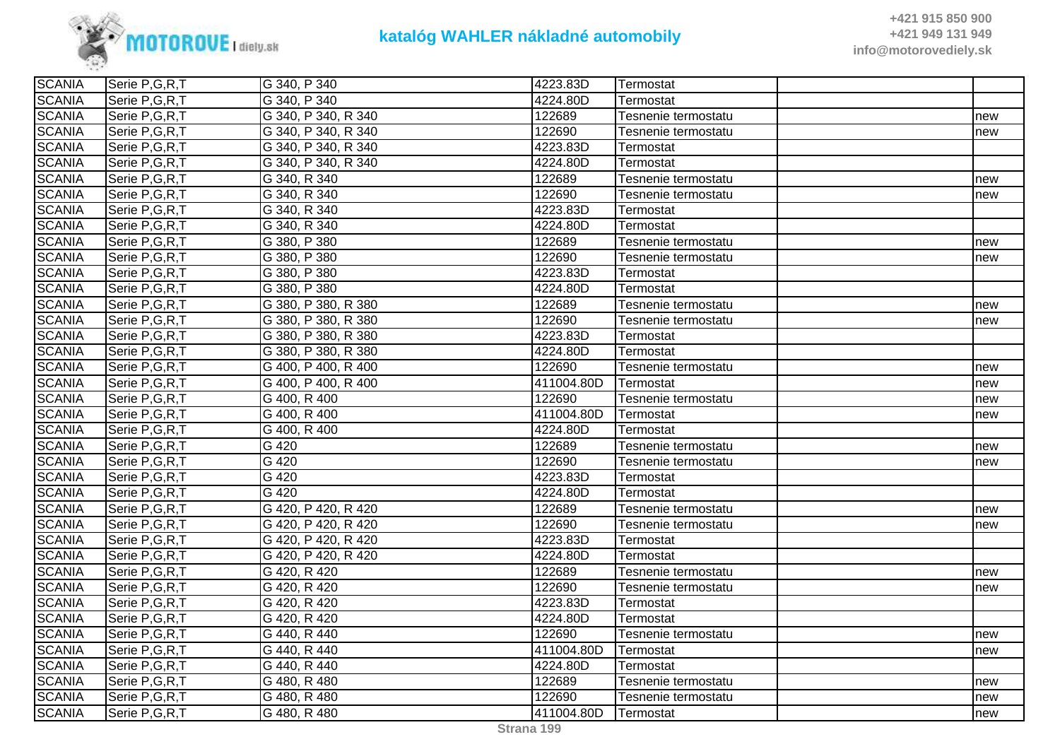

| <b>SCANIA</b> | Serie P,G,R,T    | G 340, P 340        | 4223.83D   | Termostat           |     |
|---------------|------------------|---------------------|------------|---------------------|-----|
| <b>SCANIA</b> | Serie P,G,R,T    | G 340, P 340        | 4224.80D   | Termostat           |     |
| <b>SCANIA</b> | Serie P,G,R,T    | G 340, P 340, R 340 | 122689     | Tesnenie termostatu | new |
| <b>SCANIA</b> | Serie P,G,R,T    | G 340, P 340, R 340 | 122690     | Tesnenie termostatu | new |
| <b>SCANIA</b> | Serie P,G,R,T    | G 340, P 340, R 340 | 4223.83D   | Termostat           |     |
| <b>SCANIA</b> | Serie P,G,R,T    | G 340, P 340, R 340 | 4224.80D   | Termostat           |     |
| <b>SCANIA</b> | Serie P,G,R,T    | G 340, R 340        | 122689     | Tesnenie termostatu | new |
| <b>SCANIA</b> | Serie P,G,R,T    | G 340, R 340        | 122690     | Tesnenie termostatu | new |
| <b>SCANIA</b> | Serie P,G,R,T    | G 340, R 340        | 4223.83D   | Termostat           |     |
| <b>SCANIA</b> | Serie P,G,R,T    | G 340, R 340        | 4224.80D   | Termostat           |     |
| <b>SCANIA</b> | Serie P,G,R,T    | G 380, P 380        | 122689     | Tesnenie termostatu | new |
| <b>SCANIA</b> | Serie P,G,R,T    | G 380, P 380        | 122690     | Tesnenie termostatu | new |
| <b>SCANIA</b> | Serie P,G,R,T    | G 380, P 380        | 4223.83D   | Termostat           |     |
| <b>SCANIA</b> | Serie P, G, R, T | G 380, P 380        | 4224.80D   | Termostat           |     |
| <b>SCANIA</b> | Serie P,G,R,T    | G 380, P 380, R 380 | 122689     | Tesnenie termostatu | new |
| <b>SCANIA</b> | Serie P,G,R,T    | G 380, P 380, R 380 | 122690     | Tesnenie termostatu | new |
| <b>SCANIA</b> | Serie P,G,R,T    | G 380, P 380, R 380 | 4223.83D   | Termostat           |     |
| <b>SCANIA</b> | Serie P,G,R,T    | G 380, P 380, R 380 | 4224.80D   | Termostat           |     |
| <b>SCANIA</b> | Serie P,G,R,T    | G 400, P 400, R 400 | 122690     | Tesnenie termostatu | new |
| <b>SCANIA</b> | Serie P,G,R,T    | G 400, P 400, R 400 | 411004.80D | Termostat           | new |
| <b>SCANIA</b> | Serie P,G,R,T    | G 400, R 400        | 122690     | Tesnenie termostatu | new |
| <b>SCANIA</b> | Serie P,G,R,T    | G 400, R 400        | 411004.80D | Termostat           | new |
| <b>SCANIA</b> | Serie P,G,R,T    | G 400, R 400        | 4224.80D   | Termostat           |     |
| <b>SCANIA</b> | Serie P,G,R,T    | G 420               | 122689     | Tesnenie termostatu | new |
| <b>SCANIA</b> | Serie P,G,R,T    | G 420               | 122690     | Tesnenie termostatu | new |
| <b>SCANIA</b> | Serie P,G,R,T    | $G$ 420             | 4223.83D   | Termostat           |     |
| <b>SCANIA</b> | Serie P,G,R,T    | G 420               | 4224.80D   | Termostat           |     |
| <b>SCANIA</b> | Serie P,G,R,T    | G 420, P 420, R 420 | 122689     | Tesnenie termostatu | new |
| <b>SCANIA</b> | Serie P,G,R,T    | G 420, P 420, R 420 | 122690     | Tesnenie termostatu | new |
| <b>SCANIA</b> | Serie P, G, R, T | G 420, P 420, R 420 | 4223.83D   | Termostat           |     |
| <b>SCANIA</b> | Serie P,G,R,T    | G 420, P 420, R 420 | 4224.80D   | Termostat           |     |
| <b>SCANIA</b> | Serie P,G,R,T    | G 420, R 420        | 122689     | Tesnenie termostatu | new |
| <b>SCANIA</b> | Serie P,G,R,T    | G 420, R 420        | 122690     | Tesnenie termostatu | new |
| <b>SCANIA</b> | Serie P,G,R,T    | G 420, R 420        | 4223.83D   | Termostat           |     |
| <b>SCANIA</b> | Serie P,G,R,T    | G 420, R 420        | 4224.80D   | Termostat           |     |
| <b>SCANIA</b> | Serie P, G, R, T | G 440, R 440        | 122690     | Tesnenie termostatu | new |
| <b>SCANIA</b> | Serie P, G, R, T | G 440, R 440        | 411004.80D | Termostat           | new |
| <b>SCANIA</b> | Serie P,G,R,T    | G 440, R 440        | 4224.80D   | Termostat           |     |
| <b>SCANIA</b> | Serie P,G,R,T    | G 480, R 480        | 122689     | Tesnenie termostatu | new |
| <b>SCANIA</b> | Serie P,G,R,T    | G 480, R 480        | 122690     | Tesnenie termostatu | new |
| <b>SCANIA</b> | Serie P,G,R,T    | G 480, R 480        | 411004.80D | <b>Termostat</b>    | new |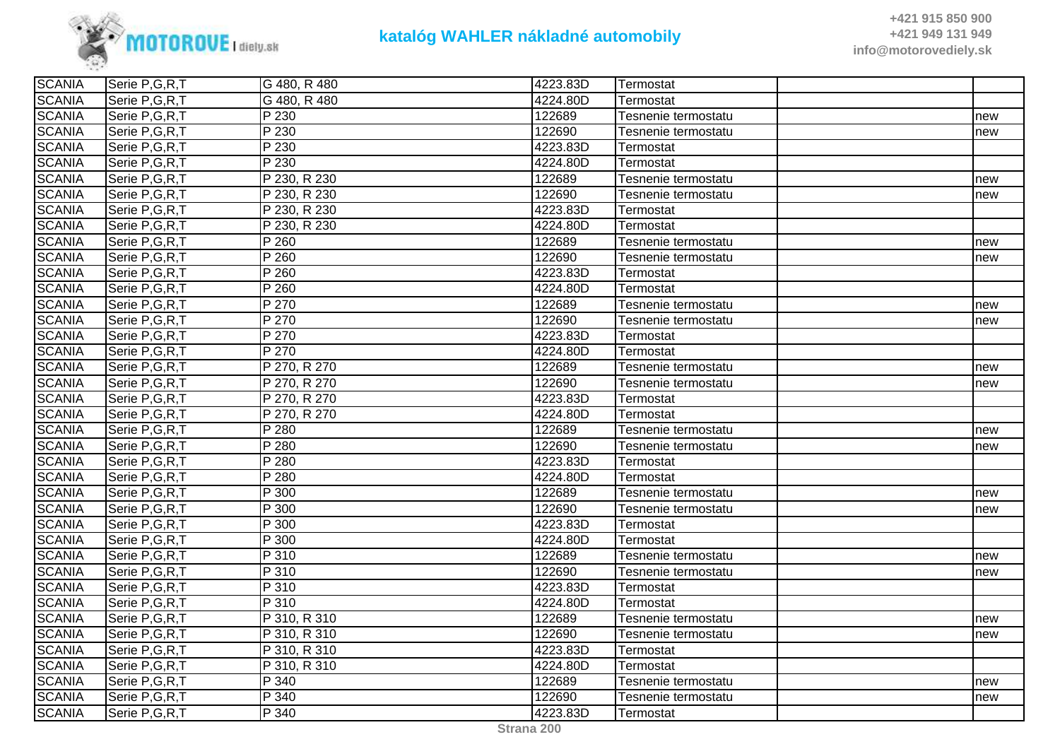

| <b>SCANIA</b> | Serie P,G,R,T    | G 480, R 480              | 4223.83D | Termostat           |     |
|---------------|------------------|---------------------------|----------|---------------------|-----|
| <b>SCANIA</b> | Serie P,G,R,T    | G 480, R 480              | 4224.80D | Termostat           |     |
| <b>SCANIA</b> | Serie P, G, R, T | P 230                     | 122689   | Tesnenie termostatu | new |
| <b>SCANIA</b> | Serie P,G,R,T    | P 230                     | 122690   | Tesnenie termostatu | new |
| <b>SCANIA</b> | Serie P,G,R,T    | P 230                     | 4223.83D | Termostat           |     |
| <b>SCANIA</b> | Serie P,G,R,T    | P 230                     | 4224.80D | Termostat           |     |
| <b>SCANIA</b> | Serie P,G,R,T    | P 230, R 230              | 122689   | Tesnenie termostatu | new |
| <b>SCANIA</b> | Serie P,G,R,T    | P 230, R 230              | 122690   | Tesnenie termostatu | new |
| <b>SCANIA</b> | Serie P,G,R,T    | P 230, R 230              | 4223.83D | Termostat           |     |
| <b>SCANIA</b> | Serie P,G,R,T    | $\overline{P}$ 230, R 230 | 4224.80D | Termostat           |     |
| <b>SCANIA</b> | Serie P,G,R,T    | P 260                     | 122689   | Tesnenie termostatu | new |
| <b>SCANIA</b> | Serie P,G,R,T    | P 260                     | 122690   | Tesnenie termostatu | new |
| <b>SCANIA</b> | Serie P, G, R, T | $P$ 260                   | 4223.83D | Termostat           |     |
| <b>SCANIA</b> | Serie P,G,R,T    | P 260                     | 4224.80D | Termostat           |     |
| <b>SCANIA</b> | Serie P,G,R,T    | P 270                     | 122689   | Tesnenie termostatu | new |
| <b>SCANIA</b> | Serie P,G,R,T    | P 270                     | 122690   | Tesnenie termostatu | new |
| <b>SCANIA</b> | Serie P,G,R,T    | P 270                     | 4223.83D | Termostat           |     |
| <b>SCANIA</b> | Serie P,G,R,T    | P 270                     | 4224.80D | Termostat           |     |
| <b>SCANIA</b> | Serie P,G,R,T    | P 270, R 270              | 122689   | Tesnenie termostatu | new |
| <b>SCANIA</b> | Serie P,G,R,T    | P 270, R 270              | 122690   | Tesnenie termostatu | new |
| <b>SCANIA</b> | Serie P,G,R,T    | P 270, R 270              | 4223.83D | Termostat           |     |
| <b>SCANIA</b> | Serie P,G,R,T    | P 270, R 270              | 4224.80D | Termostat           |     |
| <b>SCANIA</b> | Serie P,G,R,T    | P 280                     | 122689   | Tesnenie termostatu | new |
| <b>SCANIA</b> | Serie P,G,R,T    | P 280                     | 122690   | Tesnenie termostatu | new |
| <b>SCANIA</b> | Serie P,G,R,T    | P 280                     | 4223.83D | Termostat           |     |
| <b>SCANIA</b> | Serie P,G,R,T    | P 280                     | 4224.80D | Termostat           |     |
| <b>SCANIA</b> | Serie P,G,R,T    | P 300                     | 122689   | Tesnenie termostatu | new |
| <b>SCANIA</b> | Serie P,G,R,T    | P 300                     | 122690   | Tesnenie termostatu | new |
| <b>SCANIA</b> | Serie P, G, R, T | P 300                     | 4223.83D | Termostat           |     |
| <b>SCANIA</b> | Serie P,G,R,T    | P 300                     | 4224.80D | Termostat           |     |
| <b>SCANIA</b> | Serie P,G,R,T    | P 310                     | 122689   | Tesnenie termostatu | new |
| <b>SCANIA</b> | Serie P,G,R,T    | P 310                     | 122690   | Tesnenie termostatu | new |
| <b>SCANIA</b> | Serie P,G,R,T    | P 310                     | 4223.83D | Termostat           |     |
| <b>SCANIA</b> | Serie P,G,R,T    | P 310                     | 4224.80D | Termostat           |     |
| <b>SCANIA</b> | Serie P,G,R,T    | P 310, R 310              | 122689   | Tesnenie termostatu | new |
| <b>SCANIA</b> | Serie P,G,R,T    | P 310, R 310              | 122690   | Tesnenie termostatu | new |
| <b>SCANIA</b> | Serie P,G,R,T    | P 310, R 310              | 4223.83D | Termostat           |     |
| <b>SCANIA</b> | Serie P,G,R,T    | P 310, R 310              | 4224.80D | Termostat           |     |
| <b>SCANIA</b> | Serie P,G,R,T    | P 340                     | 122689   | Tesnenie termostatu | new |
| <b>SCANIA</b> | Serie P,G,R,T    | P 340                     | 122690   | Tesnenie termostatu | new |
| <b>SCANIA</b> | Serie P,G,R,T    | P 340                     | 4223.83D | Termostat           |     |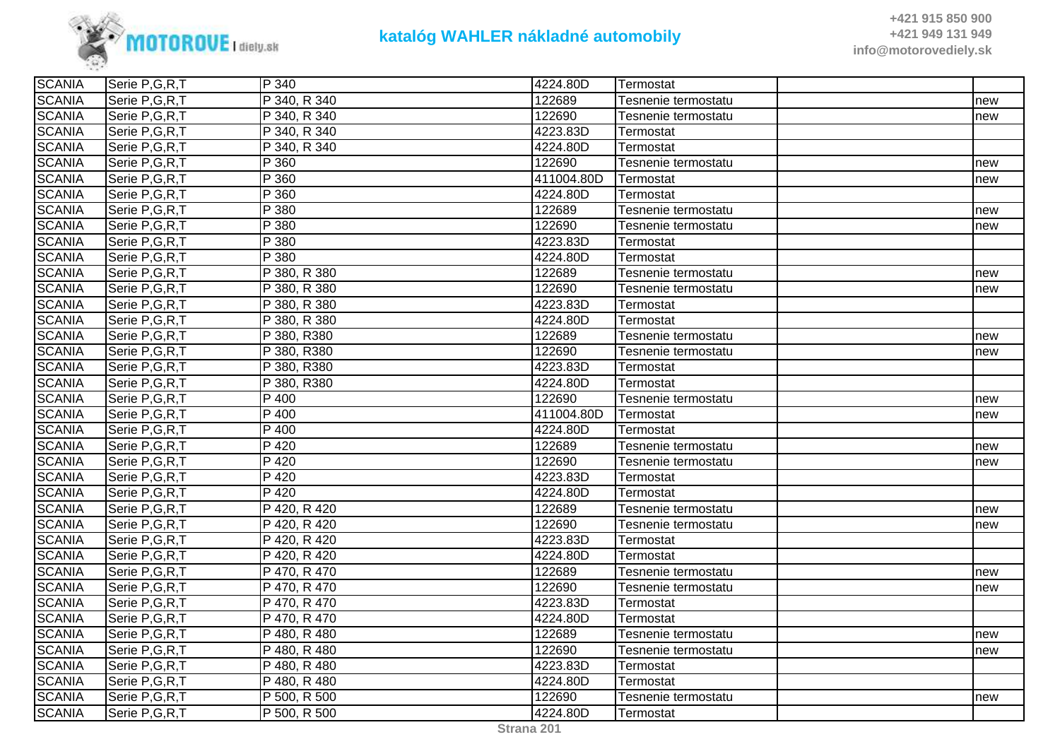

| <b>SCANIA</b> | Serie P,G,R,T    | P 340                     | 4224.80D   | ∣Termostat          |     |
|---------------|------------------|---------------------------|------------|---------------------|-----|
| <b>SCANIA</b> | Serie P, G, R, T | P 340, R 340              | 122689     | Tesnenie termostatu | new |
| <b>SCANIA</b> | Serie P,G,R,T    | P 340, R 340              | 122690     | Tesnenie termostatu | new |
| <b>SCANIA</b> | Serie P,G,R,T    | P 340, R 340              | 4223.83D   | Termostat           |     |
| <b>SCANIA</b> | Serie P, G, R, T | P 340, R 340              | 4224.80D   | Termostat           |     |
| <b>SCANIA</b> | Serie P,G,R,T    | P 360                     | 122690     | Tesnenie termostatu | new |
| <b>SCANIA</b> | Serie P,G,R,T    | P 360                     | 411004.80D | Termostat           | new |
| <b>SCANIA</b> | Serie P,G,R,T    | P 360                     | 4224.80D   | Termostat           |     |
| <b>SCANIA</b> | Serie P,G,R,T    | P 380                     | 122689     | Tesnenie termostatu | new |
| <b>SCANIA</b> | Serie P,G,R,T    | P 380                     | 122690     | Tesnenie termostatu | new |
| <b>SCANIA</b> | Serie P,G,R,T    | P 380                     | 4223.83D   | Termostat           |     |
| <b>SCANIA</b> | Serie P, G, R, T | P 380                     | 4224.80D   | Termostat           |     |
| <b>SCANIA</b> | Serie P,G,R,T    | P 380, R 380              | 122689     | Tesnenie termostatu | new |
| <b>SCANIA</b> | Serie P,G,R,T    | P 380, R 380              | 122690     | Tesnenie termostatu | new |
| <b>SCANIA</b> | Serie P,G,R,T    | P 380, R 380              | 4223.83D   | Termostat           |     |
| <b>SCANIA</b> | Serie P,G,R,T    | P 380, R 380              | 4224.80D   | Termostat           |     |
| <b>SCANIA</b> | Serie P,G,R,T    | P 380, R380               | 122689     | Tesnenie termostatu | new |
| <b>SCANIA</b> | Serie P,G,R,T    | P 380, R380               | 122690     | Tesnenie termostatu | new |
| <b>SCANIA</b> | Serie P,G,R,T    | P 380, R380               | 4223.83D   | Termostat           |     |
| <b>SCANIA</b> | Serie P,G,R,T    | P 380, R380               | 4224.80D   | Termostat           |     |
| <b>SCANIA</b> | Serie P,G,R,T    | P 400                     | 122690     | Tesnenie termostatu | new |
| <b>SCANIA</b> | Serie P,G,R,T    | P 400                     | 411004.80D | Termostat           | new |
| <b>SCANIA</b> | Serie P, G, R, T | P 400                     | 4224.80D   | Termostat           |     |
| <b>SCANIA</b> | Serie P,G,R,T    | P 420                     | 122689     | Tesnenie termostatu | new |
| <b>SCANIA</b> | Serie P,G,R,T    | P 420                     | 122690     | Tesnenie termostatu | new |
| <b>SCANIA</b> | Serie P,G,R,T    | P 420                     | 4223.83D   | Termostat           |     |
| <b>SCANIA</b> | Serie P,G,R,T    | P 420                     | 4224.80D   | Termostat           |     |
| <b>SCANIA</b> | Serie P,G,R,T    | P 420, R 420              | 122689     | Tesnenie termostatu | new |
| <b>SCANIA</b> | Serie P,G,R,T    | P 420, R 420              | 122690     | Tesnenie termostatu | new |
| <b>SCANIA</b> | Serie P,G,R,T    | $\overline{P}$ 420, R 420 | 4223.83D   | Termostat           |     |
| <b>SCANIA</b> | Serie P,G,R,T    | P 420, R 420              | 4224.80D   | Termostat           |     |
| <b>SCANIA</b> | Serie P,G,R,T    | P 470, R 470              | 122689     | Tesnenie termostatu | new |
| <b>SCANIA</b> | Serie P,G,R,T    | P 470, R 470              | 122690     | Tesnenie termostatu | new |
| <b>SCANIA</b> | Serie P,G,R,T    | P 470, R 470              | 4223.83D   | Termostat           |     |
| <b>SCANIA</b> | Serie P,G,R,T    | P 470, R 470              | 4224.80D   | Termostat           |     |
| <b>SCANIA</b> | Serie P,G,R,T    | P 480, R 480              | 122689     | Tesnenie termostatu | new |
| <b>SCANIA</b> | Serie P,G,R,T    | P 480, R 480              | 122690     | Tesnenie termostatu | new |
| <b>SCANIA</b> | Serie P,G,R,T    | P 480, R 480              | 4223.83D   | Termostat           |     |
| <b>SCANIA</b> | Serie P,G,R,T    | P 480, R 480              | 4224.80D   | Termostat           |     |
| <b>SCANIA</b> | Serie P,G,R,T    | P 500, R 500              | 122690     | Tesnenie termostatu | new |
| <b>SCANIA</b> | Serie P,G,R,T    | P 500, R 500              | 4224.80D   | Termostat           |     |
|               |                  |                           |            |                     |     |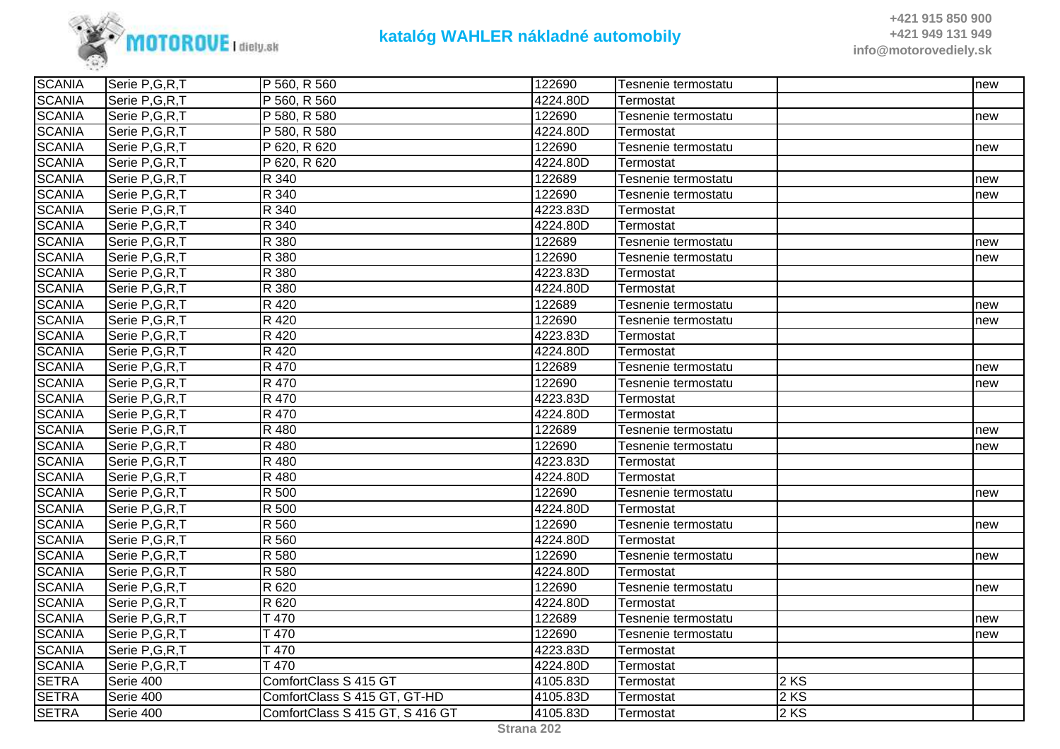

| <b>SCANIA</b> | Serie P,G,R,T    | P 560, R 560                    | 122690   | Tesnenie termostatu |      | new |
|---------------|------------------|---------------------------------|----------|---------------------|------|-----|
| <b>SCANIA</b> | Serie P,G,R,T    | P 560, R 560                    | 4224.80D | Termostat           |      |     |
| <b>SCANIA</b> | Serie P,G,R,T    | P 580, R 580                    | 122690   | Tesnenie termostatu |      | new |
| <b>SCANIA</b> | Serie P,G,R,T    | P 580, R 580                    | 4224.80D | Termostat           |      |     |
| <b>SCANIA</b> | Serie P,G,R,T    | P 620, R 620                    | 122690   | Tesnenie termostatu |      | new |
| <b>SCANIA</b> | Serie P,G,R,T    | P 620, R 620                    | 4224.80D | Termostat           |      |     |
| <b>SCANIA</b> | Serie P,G,R,T    | R 340                           | 122689   | Tesnenie termostatu |      | new |
| <b>SCANIA</b> | Serie P,G,R,T    | R 340                           | 122690   | Tesnenie termostatu |      | new |
| <b>SCANIA</b> | Serie P,G,R,T    | R 340                           | 4223.83D | Termostat           |      |     |
| <b>SCANIA</b> | Serie P,G,R,T    | R 340                           | 4224.80D | Termostat           |      |     |
| <b>SCANIA</b> | Serie P,G,R,T    | R 380                           | 122689   | Tesnenie termostatu |      | new |
| <b>SCANIA</b> | Serie P,G,R,T    | R 380                           | 122690   | Tesnenie termostatu |      | new |
| <b>SCANIA</b> | Serie P,G,R,T    | R 380                           | 4223.83D | Termostat           |      |     |
| <b>SCANIA</b> | Serie P,G,R,T    | R 380                           | 4224.80D | Termostat           |      |     |
| <b>SCANIA</b> | Serie P,G,R,T    | R 420                           | 122689   | Tesnenie termostatu |      | new |
| <b>SCANIA</b> | Serie P,G,R,T    | R 420                           | 122690   | Tesnenie termostatu |      | new |
| <b>SCANIA</b> | Serie P,G,R,T    | R 420                           | 4223.83D | Termostat           |      |     |
| <b>SCANIA</b> | Serie P,G,R,T    | R 420                           | 4224.80D | Termostat           |      |     |
| <b>SCANIA</b> | Serie P,G,R,T    | R 470                           | 122689   | Tesnenie termostatu |      | new |
| <b>SCANIA</b> | Serie P,G,R,T    | R 470                           | 122690   | Tesnenie termostatu |      | new |
| <b>SCANIA</b> | Serie P,G,R,T    | R 470                           | 4223.83D | Termostat           |      |     |
| <b>SCANIA</b> | Serie P,G,R,T    | R 470                           | 4224.80D | Termostat           |      |     |
| <b>SCANIA</b> | Serie P, G, R, T | R 480                           | 122689   | Tesnenie termostatu |      | new |
| <b>SCANIA</b> | Serie P, G, R, T | R 480                           | 122690   | Tesnenie termostatu |      | new |
| <b>SCANIA</b> | Serie P,G,R,T    | R 480                           | 4223.83D | Termostat           |      |     |
| <b>SCANIA</b> | Serie P,G,R,T    | R 480                           | 4224.80D | Termostat           |      |     |
| <b>SCANIA</b> | Serie P,G,R,T    | R 500                           | 122690   | Tesnenie termostatu |      | new |
| <b>SCANIA</b> | Serie P,G,R,T    | R 500                           | 4224.80D | Termostat           |      |     |
| <b>SCANIA</b> | Serie P,G,R,T    | R 560                           | 122690   | Tesnenie termostatu |      | new |
| <b>SCANIA</b> | Serie P,G,R,T    | R 560                           | 4224.80D | Termostat           |      |     |
| <b>SCANIA</b> | Serie P,G,R,T    | R 580                           | 122690   | Tesnenie termostatu |      | new |
| <b>SCANIA</b> | Serie P,G,R,T    | R 580                           | 4224.80D | Termostat           |      |     |
| <b>SCANIA</b> | Serie P,G,R,T    | R 620                           | 122690   | Tesnenie termostatu |      | new |
| <b>SCANIA</b> | Serie P,G,R,T    | R 620                           | 4224.80D | Termostat           |      |     |
| <b>SCANIA</b> | Serie P,G,R,T    | T 470                           | 122689   | Tesnenie termostatu |      | new |
| <b>SCANIA</b> | Serie P,G,R,T    | T 470                           | 122690   | Tesnenie termostatu |      | new |
| <b>SCANIA</b> | Serie P, G, R, T | T 470                           | 4223.83D | Termostat           |      |     |
| <b>SCANIA</b> | Serie P,G,R,T    | T 470                           | 4224.80D | Termostat           |      |     |
| <b>SETRA</b>  | Serie 400        | ComfortClass S 415 GT           | 4105.83D | Termostat           | 2 KS |     |
| <b>SETRA</b>  | Serie 400        | ComfortClass S 415 GT, GT-HD    | 4105.83D | Termostat           | 2 KS |     |
| <b>SETRA</b>  | Serie 400        | ComfortClass S 415 GT, S 416 GT | 4105.83D | Termostat           | 2KS  |     |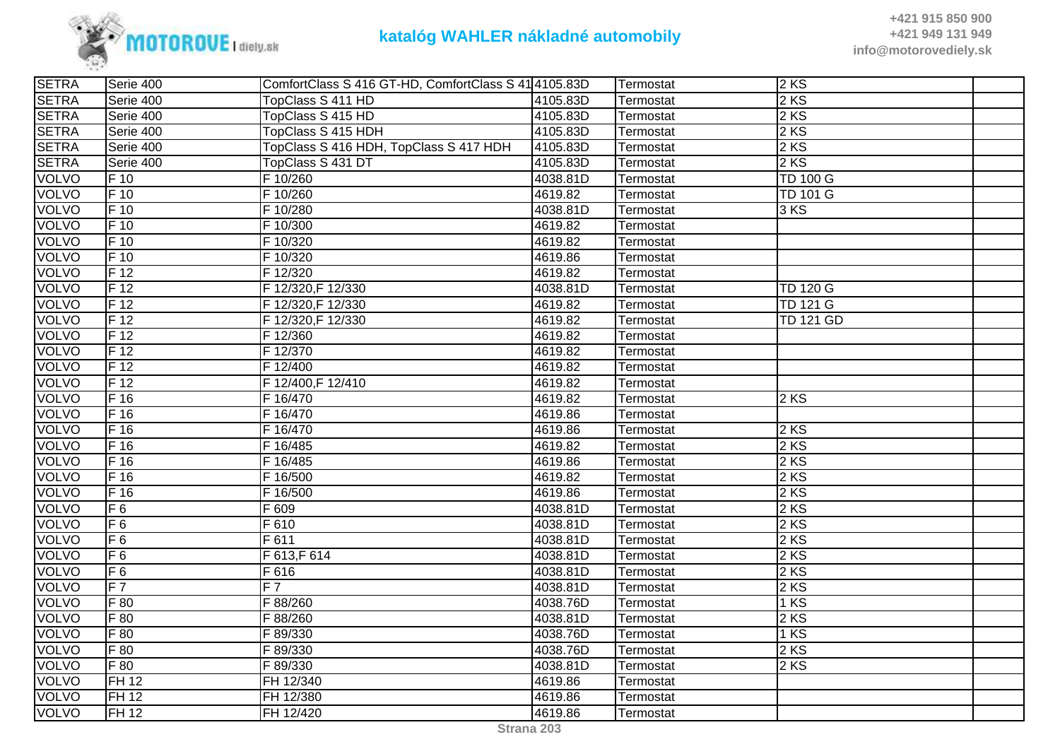

**+421 915 850 900 +421 949 131 949info@motorovediely.sk**

| <b>SETRA</b> | Serie 400                  | ComfortClass S 416 GT-HD, ComfortClass S 41 4105.83D |          | Termostat | $2$ KS           |  |
|--------------|----------------------------|------------------------------------------------------|----------|-----------|------------------|--|
| <b>SETRA</b> | Serie 400                  | TopClass S 411 HD                                    | 4105.83D | Termostat | 2 KS             |  |
| <b>SETRA</b> | Serie 400                  | TopClass S 415 HD                                    | 4105.83D | Termostat | 2 KS             |  |
| <b>SETRA</b> | Serie 400                  | TopClass S 415 HDH                                   | 4105.83D | Termostat | 2 KS             |  |
| <b>SETRA</b> | Serie 400                  | TopClass S 416 HDH, TopClass S 417 HDH               | 4105.83D | Termostat | 2 KS             |  |
| <b>SETRA</b> | Serie 400                  | TopClass S 431 DT                                    | 4105.83D | Termostat | 2 KS             |  |
| <b>VOLVO</b> | F 10                       | F 10/260                                             | 4038.81D | Termostat | <b>TD 100 G</b>  |  |
| <b>VOLVO</b> | $F_{10}$                   | F 10/260                                             | 4619.82  | Termostat | <b>TD 101 G</b>  |  |
| <b>VOLVO</b> | F 10                       | F 10/280                                             | 4038.81D | Termostat | 3 KS             |  |
| <b>VOLVO</b> | $F$ 10                     | F 10/300                                             | 4619.82  | Termostat |                  |  |
| <b>VOLVO</b> | F 10                       | F 10/320                                             | 4619.82  | Termostat |                  |  |
| <b>VOLVO</b> | $\overline{\mathsf{F}}$ 10 | F 10/320                                             | 4619.86  | Termostat |                  |  |
| <b>VOLVO</b> | $F_1$ 12                   | F 12/320                                             | 4619.82  | Termostat |                  |  |
| <b>VOLVO</b> | $F_1$                      | F 12/320, F 12/330                                   | 4038.81D | Termostat | <b>TD 120 G</b>  |  |
| <b>VOLVO</b> | $F_1$ 12                   | F 12/320, F 12/330                                   | 4619.82  | Termostat | <b>TD 121 G</b>  |  |
| <b>VOLVO</b> | F <sub>12</sub>            | F 12/320, F 12/330                                   | 4619.82  | Termostat | <b>TD 121 GD</b> |  |
| <b>VOLVO</b> | $F_1$ 12                   | F 12/360                                             | 4619.82  | Termostat |                  |  |
| <b>VOLVO</b> | $F_1$ 12                   | F 12/370                                             | 4619.82  | Termostat |                  |  |
| <b>VOLVO</b> | F 12                       | F 12/400                                             | 4619.82  | Termostat |                  |  |
| <b>VOLVO</b> | $F_1$ 12                   | F 12/400, F 12/410                                   | 4619.82  | Termostat |                  |  |
| <b>VOLVO</b> | F <sub>16</sub>            | F 16/470                                             | 4619.82  | Termostat | 2KS              |  |
| <b>VOLVO</b> | $F$ 16                     | F 16/470                                             | 4619.86  | Termostat |                  |  |
| <b>VOLVO</b> | F <sub>16</sub>            | F 16/470                                             | 4619.86  | Termostat | 2 KS             |  |
| <b>VOLVO</b> | $F$ 16                     | F 16/485                                             | 4619.82  | Termostat | 2 KS             |  |
| <b>VOLVO</b> | $\overline{F}$ 16          | F 16/485                                             | 4619.86  | Termostat | 2 KS             |  |
| <b>VOLVO</b> | $F$ 16                     | F 16/500                                             | 4619.82  | Termostat | 2 KS             |  |
| <b>VOLVO</b> | F <sub>16</sub>            | F 16/500                                             | 4619.86  | Termostat | 2 KS             |  |
| <b>VOLVO</b> | F6                         | F 609                                                | 4038.81D | Termostat | 2 KS             |  |
| VOLVO        | F6                         | F 610                                                | 4038.81D | Termostat | 2 KS             |  |
| <b>VOLVO</b> | $F_6$                      | F 611                                                | 4038.81D | Termostat | 2 KS             |  |
| <b>VOLVO</b> | F <sub>6</sub>             | F 613, F 614                                         | 4038.81D | Termostat | 2KS              |  |
| <b>VOLVO</b> | F6                         | F 616                                                | 4038.81D | Termostat | 2 KS             |  |
| <b>VOLVO</b> | F7                         | $F\overline{7}$                                      | 4038.81D | Termostat | 2 KS             |  |
| <b>VOLVO</b> | F 80                       | F 88/260                                             | 4038.76D | Termostat | 1 KS             |  |
| <b>VOLVO</b> | F 80                       | F 88/260                                             | 4038.81D | Termostat | 2 KS             |  |
| <b>VOLVO</b> | F 80                       | F 89/330                                             | 4038.76D | Termostat | 1 KS             |  |
| <b>VOLVO</b> | F 80                       | F 89/330                                             | 4038.76D | Termostat | 2 KS             |  |
| <b>VOLVO</b> | F 80                       | F 89/330                                             | 4038.81D | Termostat | 2 KS             |  |
| <b>VOLVO</b> | <b>FH 12</b>               | FH 12/340                                            | 4619.86  | Termostat |                  |  |
| <b>VOLVO</b> | FH 12                      | FH 12/380                                            | 4619.86  | Termostat |                  |  |
| <b>VOLVO</b> | FH 12                      | FH 12/420                                            | 4619.86  | Termostat |                  |  |
|              |                            |                                                      |          |           |                  |  |